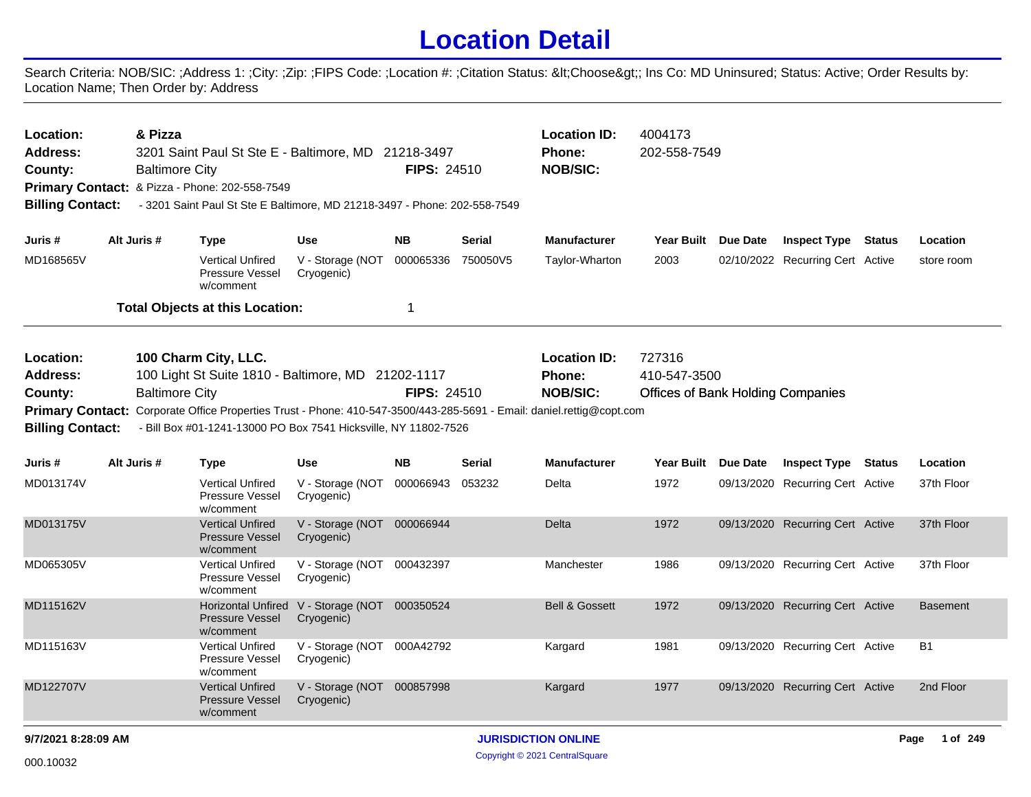## **Location Detail**

Search Criteria: NOB/SIC: ;Address 1: ;City: ;Zip: ;FIPS Code: ;Location #: ;Citation Status: <Choose&gt;; Ins Co: MD Uninsured; Status: Active; Order Results by: Location Name; Then Order by: Address

| Location:                    | & Pizza               |                                                                                                                       |                                          |             |               | <b>Location ID:</b>       | 4004173                                  |                                  |                 |
|------------------------------|-----------------------|-----------------------------------------------------------------------------------------------------------------------|------------------------------------------|-------------|---------------|---------------------------|------------------------------------------|----------------------------------|-----------------|
| <b>Address:</b>              |                       | 3201 Saint Paul St Ste E - Baltimore, MD 21218-3497                                                                   |                                          |             |               | <b>Phone:</b>             | 202-558-7549                             |                                  |                 |
| County:                      | <b>Baltimore City</b> |                                                                                                                       |                                          | FIPS: 24510 |               | <b>NOB/SIC:</b>           |                                          |                                  |                 |
|                              |                       | Primary Contact: & Pizza - Phone: 202-558-7549                                                                        |                                          |             |               |                           |                                          |                                  |                 |
| <b>Billing Contact:</b>      |                       | - 3201 Saint Paul St Ste E Baltimore, MD 21218-3497 - Phone: 202-558-7549                                             |                                          |             |               |                           |                                          |                                  |                 |
| Juris #                      | Alt Juris #           | <b>Type</b>                                                                                                           | <b>Use</b>                               | <b>NB</b>   | <b>Serial</b> | <b>Manufacturer</b>       | Year Built Due Date                      | <b>Inspect Type Status</b>       | Location        |
| MD168565V                    |                       | <b>Vertical Unfired</b><br>Pressure Vessel<br>w/comment                                                               | V - Storage (NOT 000065336<br>Cryogenic) |             | 750050V5      | Taylor-Wharton            | 2003                                     | 02/10/2022 Recurring Cert Active | store room      |
|                              |                       | <b>Total Objects at this Location:</b>                                                                                |                                          | 1           |               |                           |                                          |                                  |                 |
|                              |                       | 100 Charm City, LLC.                                                                                                  |                                          |             |               | <b>Location ID:</b>       | 727316                                   |                                  |                 |
| Location:<br><b>Address:</b> |                       | 100 Light St Suite 1810 - Baltimore, MD 21202-1117                                                                    |                                          |             |               | Phone:                    | 410-547-3500                             |                                  |                 |
| County:                      | <b>Baltimore City</b> |                                                                                                                       |                                          | FIPS: 24510 |               | <b>NOB/SIC:</b>           | <b>Offices of Bank Holding Companies</b> |                                  |                 |
|                              |                       | Primary Contact: Corporate Office Properties Trust - Phone: 410-547-3500/443-285-5691 - Email: daniel.rettig@copt.com |                                          |             |               |                           |                                          |                                  |                 |
| <b>Billing Contact:</b>      |                       | - Bill Box #01-1241-13000 PO Box 7541 Hicksville, NY 11802-7526                                                       |                                          |             |               |                           |                                          |                                  |                 |
|                              |                       |                                                                                                                       |                                          |             |               |                           |                                          |                                  |                 |
| Juris #                      | Alt Juris #           | <b>Type</b>                                                                                                           | <b>Use</b>                               | <b>NB</b>   | <b>Serial</b> | <b>Manufacturer</b>       | Year Built Due Date                      | <b>Inspect Type Status</b>       | Location        |
| MD013174V                    |                       | <b>Vertical Unfired</b><br>Pressure Vessel<br>w/comment                                                               | V - Storage (NOT 000066943<br>Cryogenic) |             | 053232        | Delta                     | 1972                                     | 09/13/2020 Recurring Cert Active | 37th Floor      |
| MD013175V                    |                       | <b>Vertical Unfired</b><br><b>Pressure Vessel</b><br>w/comment                                                        | V - Storage (NOT 000066944<br>Cryogenic) |             |               | Delta                     | 1972                                     | 09/13/2020 Recurring Cert Active | 37th Floor      |
| MD065305V                    |                       | <b>Vertical Unfired</b><br>Pressure Vessel<br>w/comment                                                               | V - Storage (NOT 000432397<br>Cryogenic) |             |               | Manchester                | 1986                                     | 09/13/2020 Recurring Cert Active | 37th Floor      |
| MD115162V                    |                       | <b>Horizontal Unfired</b><br>Pressure Vessel<br>w/comment                                                             | V - Storage (NOT 000350524<br>Cryogenic) |             |               | <b>Bell &amp; Gossett</b> | 1972                                     | 09/13/2020 Recurring Cert Active | <b>Basement</b> |
| MD115163V                    |                       | <b>Vertical Unfired</b><br>Pressure Vessel<br>w/comment                                                               | V - Storage (NOT 000A42792<br>Cryogenic) |             |               | Kargard                   | 1981                                     | 09/13/2020 Recurring Cert Active | <b>B1</b>       |
| MD122707V                    |                       | <b>Vertical Unfired</b><br><b>Pressure Vessel</b><br>w/comment                                                        | V - Storage (NOT 000857998<br>Cryogenic) |             |               | Kargard                   | 1977                                     | 09/13/2020 Recurring Cert Active | 2nd Floor       |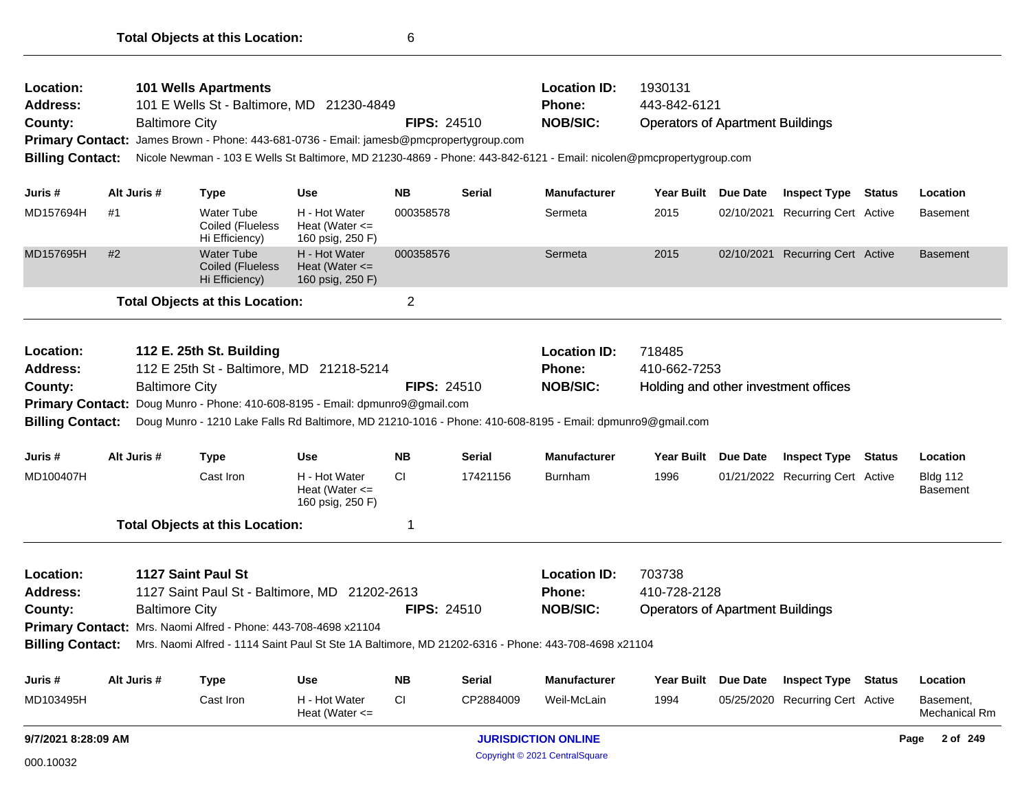| Location:<br><b>Address:</b><br>County:<br><b>Primary Contact:</b><br><b>Billing Contact:</b>                                                                                                                                                                                                                                                                                            |                                                   | <b>Baltimore City</b> | 101 Wells Apartments<br>101 E Wells St - Baltimore, MD 21230-4849<br>James Brown - Phone: 443-681-0736 - Email: jamesb@pmcpropertygroup.com<br>Nicole Newman - 103 E Wells St Baltimore, MD 21230-4869 - Phone: 443-842-6121 - Email: nicolen@pmcpropertygroup.com |                                                         | <b>FIPS: 24510</b> |               | <b>Location ID:</b><br><b>Phone:</b><br><b>NOB/SIC:</b> | 1930131<br>443-842-6121<br><b>Operators of Apartment Buildings</b> |                                      |                                                                                                                        |                                    |  |  |  |  |  |
|------------------------------------------------------------------------------------------------------------------------------------------------------------------------------------------------------------------------------------------------------------------------------------------------------------------------------------------------------------------------------------------|---------------------------------------------------|-----------------------|--------------------------------------------------------------------------------------------------------------------------------------------------------------------------------------------------------------------------------------------------------------------|---------------------------------------------------------|--------------------|---------------|---------------------------------------------------------|--------------------------------------------------------------------|--------------------------------------|------------------------------------------------------------------------------------------------------------------------|------------------------------------|--|--|--|--|--|
| Juris #                                                                                                                                                                                                                                                                                                                                                                                  |                                                   | Alt Juris #           | <b>Type</b>                                                                                                                                                                                                                                                        | <b>Use</b>                                              | <b>NB</b>          | <b>Serial</b> | <b>Manufacturer</b>                                     | Year Built Due Date                                                | <b>Inspect Type Status</b>           |                                                                                                                        | Location                           |  |  |  |  |  |
| MD157694H                                                                                                                                                                                                                                                                                                                                                                                | #1                                                |                       | <b>Water Tube</b><br>Coiled (Flueless<br>Hi Efficiency)                                                                                                                                                                                                            | H - Hot Water<br>Heat (Water $\leq$<br>160 psig, 250 F) | 000358578          |               | Sermeta                                                 | 2015                                                               | 02/10/2021 Recurring Cert Active     |                                                                                                                        | <b>Basement</b>                    |  |  |  |  |  |
| MD157695H                                                                                                                                                                                                                                                                                                                                                                                | #2                                                |                       | <b>Water Tube</b><br>Coiled (Flueless<br>Hi Efficiency)                                                                                                                                                                                                            | H - Hot Water<br>Heat (Water $\leq$<br>160 psig, 250 F) | 000358576          |               | Sermeta                                                 | 2015                                                               | 02/10/2021 Recurring Cert Active     |                                                                                                                        | <b>Basement</b>                    |  |  |  |  |  |
|                                                                                                                                                                                                                                                                                                                                                                                          |                                                   |                       | <b>Total Objects at this Location:</b>                                                                                                                                                                                                                             |                                                         | $\overline{c}$     |               |                                                         |                                                                    |                                      |                                                                                                                        |                                    |  |  |  |  |  |
| Location:<br>112 E. 25th St. Building<br><b>Address:</b><br>112 E 25th St - Baltimore, MD 21218-5214<br><b>FIPS: 24510</b><br><b>Baltimore City</b><br>County:<br>Primary Contact: Doug Munro - Phone: 410-608-8195 - Email: dpmunro9@gmail.com<br>Doug Munro - 1210 Lake Falls Rd Baltimore, MD 21210-1016 - Phone: 410-608-8195 - Email: dpmunro9@gmail.com<br><b>Billing Contact:</b> |                                                   |                       |                                                                                                                                                                                                                                                                    |                                                         |                    |               | <b>Location ID:</b><br><b>Phone:</b><br><b>NOB/SIC:</b> | 718485<br>410-662-7253                                             | Holding and other investment offices |                                                                                                                        |                                    |  |  |  |  |  |
| Juris #                                                                                                                                                                                                                                                                                                                                                                                  |                                                   | Alt Juris #           | <b>Type</b>                                                                                                                                                                                                                                                        | <b>Use</b>                                              | <b>NB</b>          | <b>Serial</b> | <b>Manufacturer</b>                                     | Year Built Due Date                                                | <b>Inspect Type</b>                  | <b>Status</b>                                                                                                          | Location                           |  |  |  |  |  |
| MD100407H                                                                                                                                                                                                                                                                                                                                                                                |                                                   |                       | Cast Iron                                                                                                                                                                                                                                                          | H - Hot Water<br>Heat (Water $\leq$<br>160 psig, 250 F) | <b>CI</b>          | 17421156      | <b>Burnham</b>                                          | 1996                                                               |                                      |                                                                                                                        | <b>Bldg 112</b><br><b>Basement</b> |  |  |  |  |  |
|                                                                                                                                                                                                                                                                                                                                                                                          |                                                   |                       | <b>Total Objects at this Location:</b>                                                                                                                                                                                                                             |                                                         | 1                  |               |                                                         |                                                                    |                                      |                                                                                                                        |                                    |  |  |  |  |  |
| Location:<br>1127 Saint Paul St<br><b>Address:</b><br>1127 Saint Paul St - Baltimore, MD 21202-2613<br><b>Baltimore City</b><br><b>FIPS: 24510</b><br>County:<br>Primary Contact: Mrs. Naomi Alfred - Phone: 443-708-4698 x21104<br><b>Billing Contact:</b><br>Mrs. Naomi Alfred - 1114 Saint Paul St Ste 1A Baltimore, MD 21202-6316 - Phone: 443-708-4698 x21104                       |                                                   |                       |                                                                                                                                                                                                                                                                    |                                                         |                    |               | <b>Location ID:</b><br><b>Phone:</b><br><b>NOB/SIC:</b> | 703738<br>410-728-2128<br><b>Operators of Apartment Buildings</b>  |                                      |                                                                                                                        |                                    |  |  |  |  |  |
| Juris #                                                                                                                                                                                                                                                                                                                                                                                  |                                                   | Alt Juris #           | <b>Type</b>                                                                                                                                                                                                                                                        | <b>Use</b>                                              | <b>NB</b>          | <b>Serial</b> | <b>Manufacturer</b>                                     | Year Built Due Date                                                |                                      |                                                                                                                        | Location                           |  |  |  |  |  |
| MD103495H                                                                                                                                                                                                                                                                                                                                                                                |                                                   |                       | Cast Iron                                                                                                                                                                                                                                                          | H - Hot Water<br>Heat (Water $\leq$                     | CI.                | CP2884009     | Weil-McLain                                             | 1994                                                               |                                      |                                                                                                                        | Basement,<br>Mechanical Rm         |  |  |  |  |  |
|                                                                                                                                                                                                                                                                                                                                                                                          | 9/7/2021 8:28:09 AM<br><b>JURISDICTION ONLINE</b> |                       |                                                                                                                                                                                                                                                                    |                                                         |                    |               |                                                         |                                                                    |                                      | 01/21/2022 Recurring Cert Active<br><b>Inspect Type Status</b><br>05/25/2020 Recurring Cert Active<br>2 of 249<br>Page |                                    |  |  |  |  |  |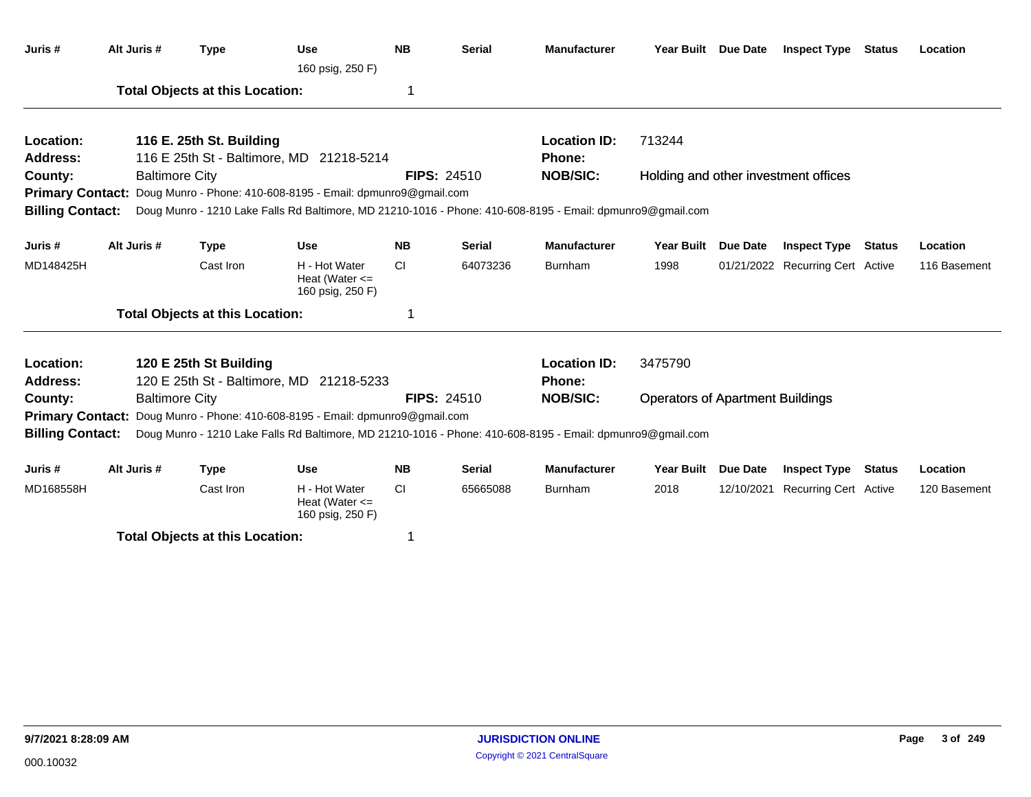| Juris #                                                                                                                               | Alt Juris # |                       | <b>Type</b>                            | <b>Use</b><br>160 psig, 250 F)                                                                             | <b>NB</b> | <b>Serial</b>      | <b>Manufacturer</b> | Year Built Due Date |            |                                                                                                                                                                                                                                                                                                                    |  | Location |  |  |
|---------------------------------------------------------------------------------------------------------------------------------------|-------------|-----------------------|----------------------------------------|------------------------------------------------------------------------------------------------------------|-----------|--------------------|---------------------|---------------------|------------|--------------------------------------------------------------------------------------------------------------------------------------------------------------------------------------------------------------------------------------------------------------------------------------------------------------------|--|----------|--|--|
|                                                                                                                                       |             |                       | <b>Total Objects at this Location:</b> |                                                                                                            | 1         |                    |                     |                     |            |                                                                                                                                                                                                                                                                                                                    |  |          |  |  |
| Location:                                                                                                                             |             |                       | 116 E. 25th St. Building               |                                                                                                            |           |                    | <b>Location ID:</b> | 713244              |            |                                                                                                                                                                                                                                                                                                                    |  |          |  |  |
| <b>Address:</b>                                                                                                                       |             |                       |                                        | 116 E 25th St - Baltimore, MD 21218-5214                                                                   |           |                    | Phone:              |                     |            |                                                                                                                                                                                                                                                                                                                    |  |          |  |  |
| County:                                                                                                                               |             | <b>Baltimore City</b> |                                        |                                                                                                            |           | <b>FIPS: 24510</b> | <b>NOB/SIC:</b>     |                     |            |                                                                                                                                                                                                                                                                                                                    |  |          |  |  |
|                                                                                                                                       |             |                       |                                        | Primary Contact: Doug Munro - Phone: 410-608-8195 - Email: dpmunro9@gmail.com                              |           |                    |                     |                     |            | <b>Inspect Type Status</b><br>Holding and other investment offices<br><b>Inspect Type</b><br><b>Status</b><br>Location<br>01/21/2022 Recurring Cert Active<br>116 Basement<br><b>Operators of Apartment Buildings</b><br><b>Inspect Type</b><br>Location<br>Status<br>120 Basement<br><b>Recurring Cert Active</b> |  |          |  |  |
| <b>Billing Contact:</b>                                                                                                               |             |                       |                                        | Doug Munro - 1210 Lake Falls Rd Baltimore, MD 21210-1016 - Phone: 410-608-8195 - Email: dpmunro9@gmail.com |           |                    |                     |                     |            |                                                                                                                                                                                                                                                                                                                    |  |          |  |  |
| Juris #                                                                                                                               | Alt Juris # |                       | <b>Type</b>                            | <b>Use</b>                                                                                                 | <b>NB</b> | <b>Serial</b>      | <b>Manufacturer</b> | Year Built Due Date |            |                                                                                                                                                                                                                                                                                                                    |  |          |  |  |
| MD148425H                                                                                                                             |             |                       | Cast Iron                              | H - Hot Water<br>Heat (Water $\leq$<br>160 psig, 250 F)                                                    | CI.       | 64073236           | Burnham             | 1998                |            |                                                                                                                                                                                                                                                                                                                    |  |          |  |  |
|                                                                                                                                       |             |                       | <b>Total Objects at this Location:</b> |                                                                                                            | 1         |                    |                     |                     |            |                                                                                                                                                                                                                                                                                                                    |  |          |  |  |
| Location:                                                                                                                             |             |                       | 120 E 25th St Building                 |                                                                                                            |           |                    | <b>Location ID:</b> | 3475790             |            |                                                                                                                                                                                                                                                                                                                    |  |          |  |  |
| <b>Address:</b>                                                                                                                       |             |                       |                                        | 120 E 25th St - Baltimore, MD 21218-5233                                                                   |           |                    | <b>Phone:</b>       |                     |            |                                                                                                                                                                                                                                                                                                                    |  |          |  |  |
| County:                                                                                                                               |             | <b>Baltimore City</b> |                                        |                                                                                                            |           | <b>FIPS: 24510</b> | <b>NOB/SIC:</b>     |                     |            |                                                                                                                                                                                                                                                                                                                    |  |          |  |  |
|                                                                                                                                       |             |                       |                                        | Primary Contact: Doug Munro - Phone: 410-608-8195 - Email: dpmunro9@gmail.com                              |           |                    |                     |                     |            |                                                                                                                                                                                                                                                                                                                    |  |          |  |  |
| <b>Billing Contact:</b><br>Doug Munro - 1210 Lake Falls Rd Baltimore, MD 21210-1016 - Phone: 410-608-8195 - Email: dpmunro9@gmail.com |             |                       |                                        |                                                                                                            |           |                    |                     |                     |            |                                                                                                                                                                                                                                                                                                                    |  |          |  |  |
| Juris#                                                                                                                                | Alt Juris # |                       | <b>Type</b>                            | <b>Use</b>                                                                                                 | <b>NB</b> | <b>Serial</b>      | <b>Manufacturer</b> | Year Built Due Date |            |                                                                                                                                                                                                                                                                                                                    |  |          |  |  |
| MD168558H                                                                                                                             |             |                       | Cast Iron                              | H - Hot Water<br>Heat (Water $\leq$<br>160 psig, 250 F)                                                    | <b>CI</b> | 65665088           | Burnham             | 2018                | 12/10/2021 |                                                                                                                                                                                                                                                                                                                    |  |          |  |  |
|                                                                                                                                       |             |                       | <b>Total Objects at this Location:</b> |                                                                                                            | 1         |                    |                     |                     |            |                                                                                                                                                                                                                                                                                                                    |  |          |  |  |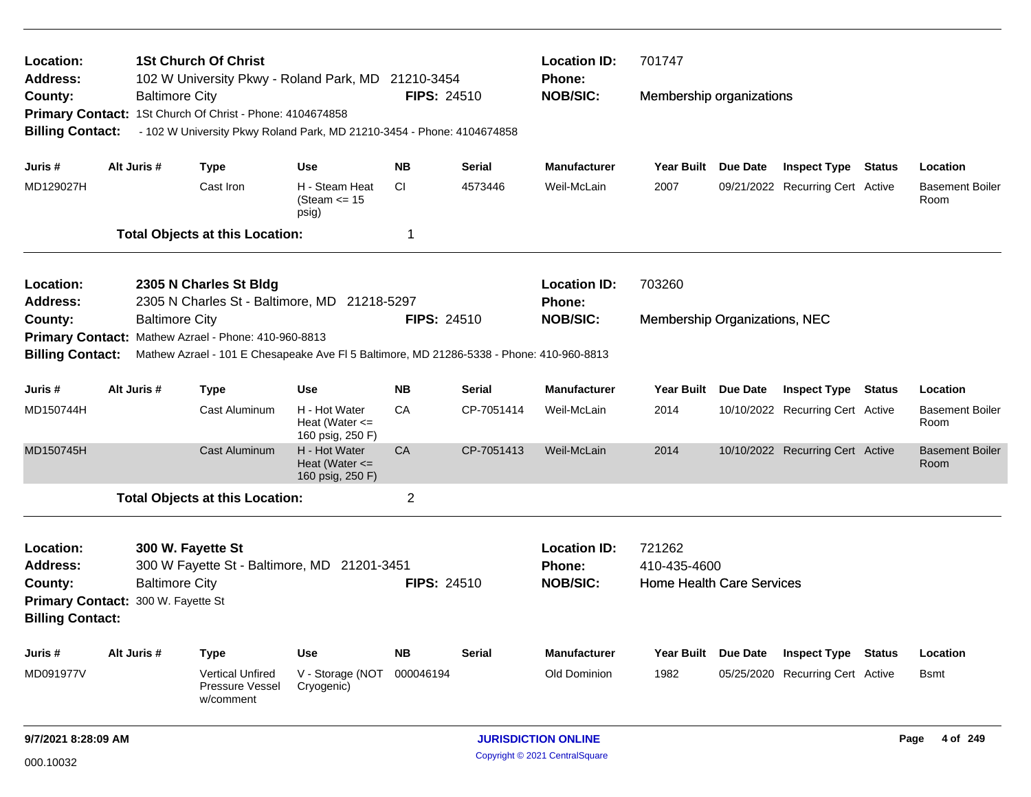| Location:<br><b>Address:</b>                                  |                                                                        |                       | <b>1St Church Of Christ</b><br><b>Location ID:</b><br>102 W University Pkwy - Roland Park, MD 21210-3454<br><b>Phone:</b> |                                                         |                               |               |                                                         |                                                            |  |                                  |               |                                |
|---------------------------------------------------------------|------------------------------------------------------------------------|-----------------------|---------------------------------------------------------------------------------------------------------------------------|---------------------------------------------------------|-------------------------------|---------------|---------------------------------------------------------|------------------------------------------------------------|--|----------------------------------|---------------|--------------------------------|
| County:                                                       |                                                                        | <b>Baltimore City</b> | Primary Contact: 1St Church Of Christ - Phone: 4104674858                                                                 |                                                         | <b>FIPS: 24510</b>            |               | <b>NOB/SIC:</b>                                         | Membership organizations                                   |  |                                  |               |                                |
| <b>Billing Contact:</b>                                       |                                                                        |                       | - 102 W University Pkwy Roland Park, MD 21210-3454 - Phone: 4104674858                                                    |                                                         |                               |               |                                                         |                                                            |  |                                  |               |                                |
| Juris #                                                       | Alt Juris #                                                            |                       | <b>Type</b>                                                                                                               | <b>Use</b>                                              | <b>NB</b>                     | <b>Serial</b> | <b>Manufacturer</b>                                     | Year Built Due Date                                        |  | <b>Inspect Type Status</b>       |               | Location                       |
| MD129027H                                                     |                                                                        |                       | Cast Iron                                                                                                                 | H - Steam Heat<br>(Steam $\leq$ 15<br>psig)             | <b>CI</b>                     | 4573446       | Weil-McLain                                             | 2007                                                       |  | 09/21/2022 Recurring Cert Active |               | <b>Basement Boiler</b><br>Room |
|                                                               |                                                                        |                       | <b>Total Objects at this Location:</b>                                                                                    |                                                         | 1                             |               |                                                         |                                                            |  |                                  |               |                                |
| Location:                                                     |                                                                        |                       | 2305 N Charles St Bldg                                                                                                    |                                                         |                               |               | <b>Location ID:</b>                                     | 703260                                                     |  |                                  |               |                                |
| Address:                                                      |                                                                        |                       | 2305 N Charles St - Baltimore, MD 21218-5297                                                                              |                                                         |                               |               | <b>Phone:</b>                                           |                                                            |  |                                  |               |                                |
| County:<br><b>FIPS: 24510</b><br><b>Baltimore City</b>        |                                                                        |                       |                                                                                                                           | <b>NOB/SIC:</b>                                         | Membership Organizations, NEC |               |                                                         |                                                            |  |                                  |               |                                |
| Primary Contact: Mathew Azrael - Phone: 410-960-8813          |                                                                        |                       |                                                                                                                           |                                                         |                               |               |                                                         |                                                            |  |                                  |               |                                |
| <b>Billing Contact:</b>                                       |                                                                        |                       | Mathew Azrael - 101 E Chesapeake Ave FI 5 Baltimore, MD 21286-5338 - Phone: 410-960-8813                                  |                                                         |                               |               |                                                         |                                                            |  |                                  |               |                                |
| Juris #                                                       | Alt Juris #<br><b>Type</b><br><b>Use</b><br><b>NB</b><br><b>Serial</b> |                       |                                                                                                                           |                                                         |                               |               | <b>Manufacturer</b>                                     | Year Built Due Date                                        |  | <b>Inspect Type Status</b>       |               | Location                       |
| MD150744H                                                     |                                                                        |                       | Cast Aluminum                                                                                                             | H - Hot Water<br>Heat (Water $\leq$<br>160 psig, 250 F) | CA                            | CP-7051414    | Weil-McLain                                             | 2014                                                       |  | 10/10/2022 Recurring Cert Active |               | <b>Basement Boiler</b><br>Room |
| MD150745H                                                     |                                                                        |                       | Cast Aluminum                                                                                                             | H - Hot Water<br>Heat (Water $\leq$<br>160 psig, 250 F) | CA                            | CP-7051413    | Weil-McLain                                             | 2014                                                       |  | 10/10/2022 Recurring Cert Active |               | <b>Basement Boiler</b><br>Room |
|                                                               |                                                                        |                       | <b>Total Objects at this Location:</b>                                                                                    |                                                         | $\boldsymbol{2}$              |               |                                                         |                                                            |  |                                  |               |                                |
| Location:<br><b>Address:</b><br>County:                       |                                                                        | <b>Baltimore City</b> | 300 W. Fayette St<br>300 W Fayette St - Baltimore, MD 21201-3451                                                          |                                                         | FIPS: 24510                   |               | <b>Location ID:</b><br><b>Phone:</b><br><b>NOB/SIC:</b> | 721262<br>410-435-4600<br><b>Home Health Care Services</b> |  |                                  |               |                                |
| Primary Contact: 300 W. Fayette St<br><b>Billing Contact:</b> |                                                                        |                       |                                                                                                                           |                                                         |                               |               |                                                         |                                                            |  |                                  |               |                                |
| Juris #                                                       | Alt Juris #                                                            |                       | <b>Type</b>                                                                                                               | <b>Use</b>                                              | <b>NB</b>                     | <b>Serial</b> | <b>Manufacturer</b>                                     | Year Built Due Date                                        |  | <b>Inspect Type</b>              | <b>Status</b> | Location                       |
| MD091977V                                                     |                                                                        |                       | <b>Vertical Unfired</b><br>Pressure Vessel<br>w/comment                                                                   | V - Storage (NOT 000046194<br>Cryogenic)                |                               |               | Old Dominion                                            | 1982                                                       |  | 05/25/2020 Recurring Cert Active |               | <b>B</b> smt                   |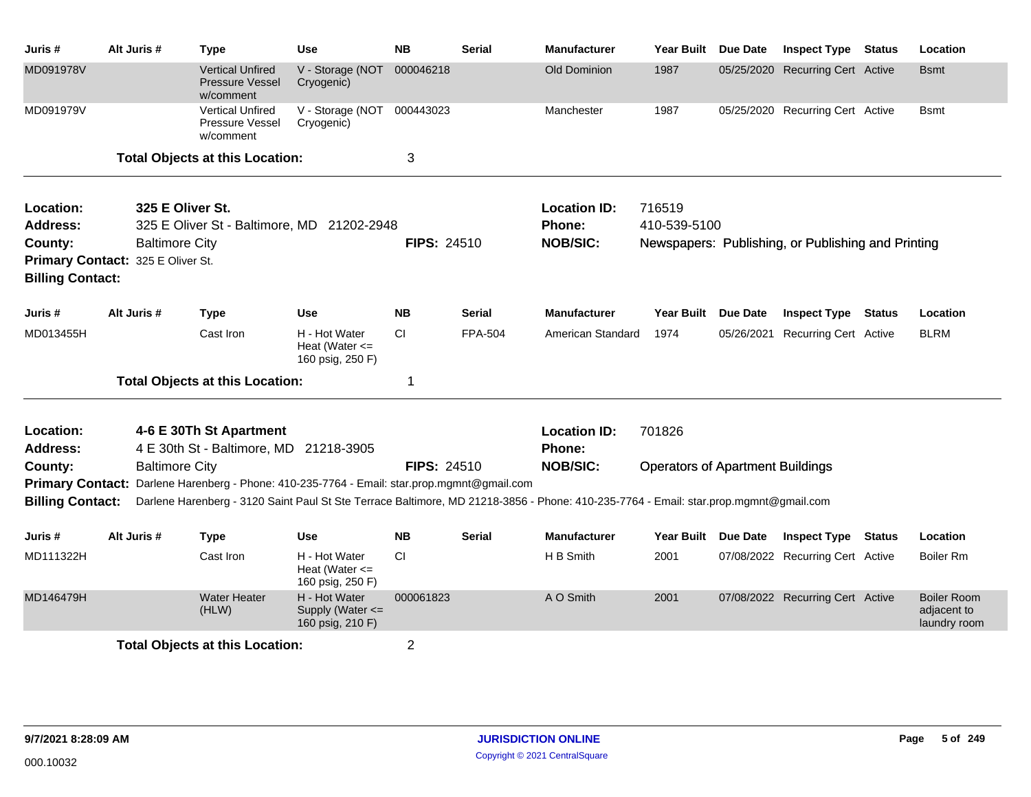| Juris #                                                                                                                                                                                                                                                        | Alt Juris #                                                                    | <b>Type</b>                                                       | <b>Use</b>                                              | <b>NB</b>          | <b>Serial</b> | <b>Manufacturer</b>                              | Year Built                              | Due Date   | <b>Inspect Type</b>                                | <b>Status</b> | Location                                          |
|----------------------------------------------------------------------------------------------------------------------------------------------------------------------------------------------------------------------------------------------------------------|--------------------------------------------------------------------------------|-------------------------------------------------------------------|---------------------------------------------------------|--------------------|---------------|--------------------------------------------------|-----------------------------------------|------------|----------------------------------------------------|---------------|---------------------------------------------------|
| MD091978V                                                                                                                                                                                                                                                      |                                                                                | <b>Vertical Unfired</b><br><b>Pressure Vessel</b><br>w/comment    | V - Storage (NOT<br>Cryogenic)                          | 000046218          |               | Old Dominion                                     | 1987                                    |            | 05/25/2020 Recurring Cert Active                   |               | <b>B</b> smt                                      |
| MD091979V                                                                                                                                                                                                                                                      |                                                                                | <b>Vertical Unfired</b><br>Pressure Vessel<br>w/comment           | V - Storage (NOT 000443023<br>Cryogenic)                |                    |               | Manchester                                       | 1987                                    |            | 05/25/2020 Recurring Cert Active                   |               | Bsmt                                              |
|                                                                                                                                                                                                                                                                |                                                                                | <b>Total Objects at this Location:</b>                            |                                                         | 3                  |               |                                                  |                                         |            |                                                    |               |                                                   |
| Location:<br><b>Address:</b><br>County:<br><b>Billing Contact:</b>                                                                                                                                                                                             | 325 E Oliver St.<br><b>Baltimore City</b><br>Primary Contact: 325 E Oliver St. | 325 E Oliver St - Baltimore, MD 21202-2948                        |                                                         | <b>FIPS: 24510</b> |               | <b>Location ID:</b><br>Phone:<br><b>NOB/SIC:</b> | 716519<br>410-539-5100                  |            | Newspapers: Publishing, or Publishing and Printing |               |                                                   |
| Juris #                                                                                                                                                                                                                                                        | Alt Juris #                                                                    | <b>Type</b>                                                       | <b>Use</b>                                              | <b>NB</b>          | <b>Serial</b> | <b>Manufacturer</b>                              | Year Built Due Date                     |            | <b>Inspect Type Status</b>                         |               | Location                                          |
| MD013455H                                                                                                                                                                                                                                                      |                                                                                | Cast Iron                                                         | H - Hot Water<br>Heat (Water $\leq$<br>160 psig, 250 F) | <b>CI</b>          | FPA-504       | American Standard                                | 1974                                    | 05/26/2021 | <b>Recurring Cert Active</b>                       |               | <b>BLRM</b>                                       |
|                                                                                                                                                                                                                                                                |                                                                                | <b>Total Objects at this Location:</b>                            |                                                         | 1                  |               |                                                  |                                         |            |                                                    |               |                                                   |
| Location:<br><b>Address:</b>                                                                                                                                                                                                                                   |                                                                                | 4-6 E 30Th St Apartment<br>4 E 30th St - Baltimore, MD 21218-3905 |                                                         |                    |               | <b>Location ID:</b><br>Phone:                    | 701826                                  |            |                                                    |               |                                                   |
| County:                                                                                                                                                                                                                                                        | <b>Baltimore City</b>                                                          |                                                                   |                                                         | <b>FIPS: 24510</b> |               | <b>NOB/SIC:</b>                                  | <b>Operators of Apartment Buildings</b> |            |                                                    |               |                                                   |
| Primary Contact: Darlene Harenberg - Phone: 410-235-7764 - Email: star.prop.mgmnt@gmail.com<br><b>Billing Contact:</b><br>Darlene Harenberg - 3120 Saint Paul St Ste Terrace Baltimore, MD 21218-3856 - Phone: 410-235-7764 - Email: star.prop.mgmnt@gmail.com |                                                                                |                                                                   |                                                         |                    |               |                                                  |                                         |            |                                                    |               |                                                   |
| Juris #                                                                                                                                                                                                                                                        | Alt Juris #                                                                    | <b>Type</b>                                                       | <b>Use</b>                                              | <b>NB</b>          | <b>Serial</b> | <b>Manufacturer</b>                              | Year Built Due Date                     |            | <b>Inspect Type</b>                                | Status        | Location                                          |
| MD111322H                                                                                                                                                                                                                                                      |                                                                                | Cast Iron                                                         | H - Hot Water<br>Heat (Water $\leq$<br>160 psig, 250 F) | <b>CI</b>          |               | H B Smith                                        | 2001                                    |            | 07/08/2022 Recurring Cert Active                   |               | Boiler Rm                                         |
| MD146479H                                                                                                                                                                                                                                                      |                                                                                | <b>Water Heater</b><br>(HLW)                                      | H - Hot Water<br>Supply (Water <=<br>160 psig, 210 F)   | 000061823          |               | A O Smith                                        | 2001                                    |            | 07/08/2022 Recurring Cert Active                   |               | <b>Boiler Room</b><br>adjacent to<br>laundry room |
|                                                                                                                                                                                                                                                                |                                                                                | <b>Total Objects at this Location:</b>                            |                                                         | $\overline{2}$     |               |                                                  |                                         |            |                                                    |               |                                                   |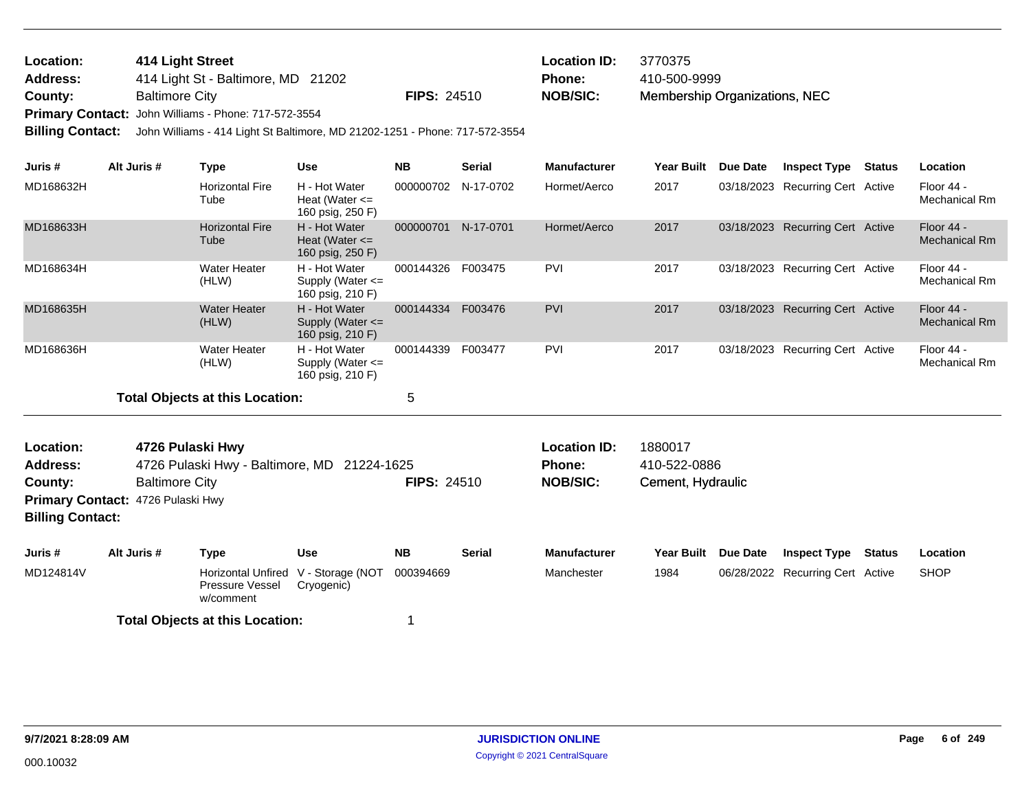| Location:       | 414 Light Street                                                                             |                    | <b>Location ID:</b> | 3770375                       |
|-----------------|----------------------------------------------------------------------------------------------|--------------------|---------------------|-------------------------------|
| <b>Address:</b> | 414 Light St - Baltimore, MD 21202                                                           |                    | <b>Phone:</b>       | 410-500-9999                  |
| County:         | <b>Baltimore City</b>                                                                        | <b>FIPS: 24510</b> | <b>NOB/SIC:</b>     | Membership Organizations, NEC |
|                 | Primary Contact: John Williams - Phone: 717-572-3554                                         |                    |                     |                               |
|                 | Billing Contact: John Williams - 414 Light St Baltimore, MD 21202-1251 - Phone: 717-572-3554 |                    |                     |                               |

| Juris #                                                            | Alt Juris #                                                | <b>Type</b>                            | <b>Use</b>                                                | <b>NB</b>          | <b>Serial</b> | <b>Manufacturer</b>                                     | <b>Year Built</b>                            | Due Date | <b>Inspect Type</b>              | Status | Location                           |
|--------------------------------------------------------------------|------------------------------------------------------------|----------------------------------------|-----------------------------------------------------------|--------------------|---------------|---------------------------------------------------------|----------------------------------------------|----------|----------------------------------|--------|------------------------------------|
| MD168632H                                                          |                                                            | <b>Horizontal Fire</b><br>Tube         | H - Hot Water<br>Heat (Water $\leq$<br>160 psig, 250 F)   | 000000702          | N-17-0702     | Hormet/Aerco                                            | 2017                                         |          | 03/18/2023 Recurring Cert Active |        | Floor 44 -<br>Mechanical Rm        |
| MD168633H                                                          |                                                            | <b>Horizontal Fire</b><br>Tube         | H - Hot Water<br>Heat (Water $\leq$<br>160 psig, 250 F)   | 000000701          | N-17-0701     | Hormet/Aerco                                            | 2017                                         |          | 03/18/2023 Recurring Cert Active |        | Floor 44 -<br>Mechanical Rm        |
| MD168634H                                                          |                                                            | <b>Water Heater</b><br>(HLW)           | H - Hot Water<br>Supply (Water <=<br>160 psig, 210 F)     | 000144326          | F003475       | PVI                                                     | 2017                                         |          | 03/18/2023 Recurring Cert Active |        | Floor 44 -<br>Mechanical Rm        |
| MD168635H                                                          |                                                            | <b>Water Heater</b><br>(HLW)           | H - Hot Water<br>Supply (Water $\leq$<br>160 psig, 210 F) | 000144334          | F003476       | <b>PVI</b>                                              | 2017                                         |          | 03/18/2023 Recurring Cert Active |        | Floor 44 -<br><b>Mechanical Rm</b> |
| MD168636H                                                          |                                                            | <b>Water Heater</b><br>(HLW)           | H - Hot Water<br>Supply (Water <=<br>160 psig, 210 F)     | 000144339          | F003477       | PVI                                                     | 2017                                         |          | 03/18/2023 Recurring Cert Active |        | Floor 44 -<br>Mechanical Rm        |
|                                                                    |                                                            | <b>Total Objects at this Location:</b> |                                                           | $\overline{5}$     |               |                                                         |                                              |          |                                  |        |                                    |
| Location:<br><b>Address:</b><br>County:<br><b>Billing Contact:</b> | <b>Baltimore City</b><br>Primary Contact: 4726 Pulaski Hwy | 4726 Pulaski Hwy                       | 4726 Pulaski Hwy - Baltimore, MD 21224-1625               | <b>FIPS: 24510</b> |               | <b>Location ID:</b><br><b>Phone:</b><br><b>NOB/SIC:</b> | 1880017<br>410-522-0886<br>Cement, Hydraulic |          |                                  |        |                                    |

| Juris #   | Alt Juris # | Tvpe                                                                          | Use        | <b>NB</b> | Serial | <b>Manufacturer</b> | <b>Year Built</b> | <b>Due Date</b> | <b>Inspect Type Status</b>       | Location |
|-----------|-------------|-------------------------------------------------------------------------------|------------|-----------|--------|---------------------|-------------------|-----------------|----------------------------------|----------|
| MD124814V |             | Horizontal Unfired V - Storage (NOT 000394669<br>Pressure Vessel<br>w/comment | Cryogenic) |           |        | Manchester          | 1984              |                 | 06/28/2022 Recurring Cert Active | SHOP     |
|           | ________    | ________                                                                      |            |           |        |                     |                   |                 |                                  |          |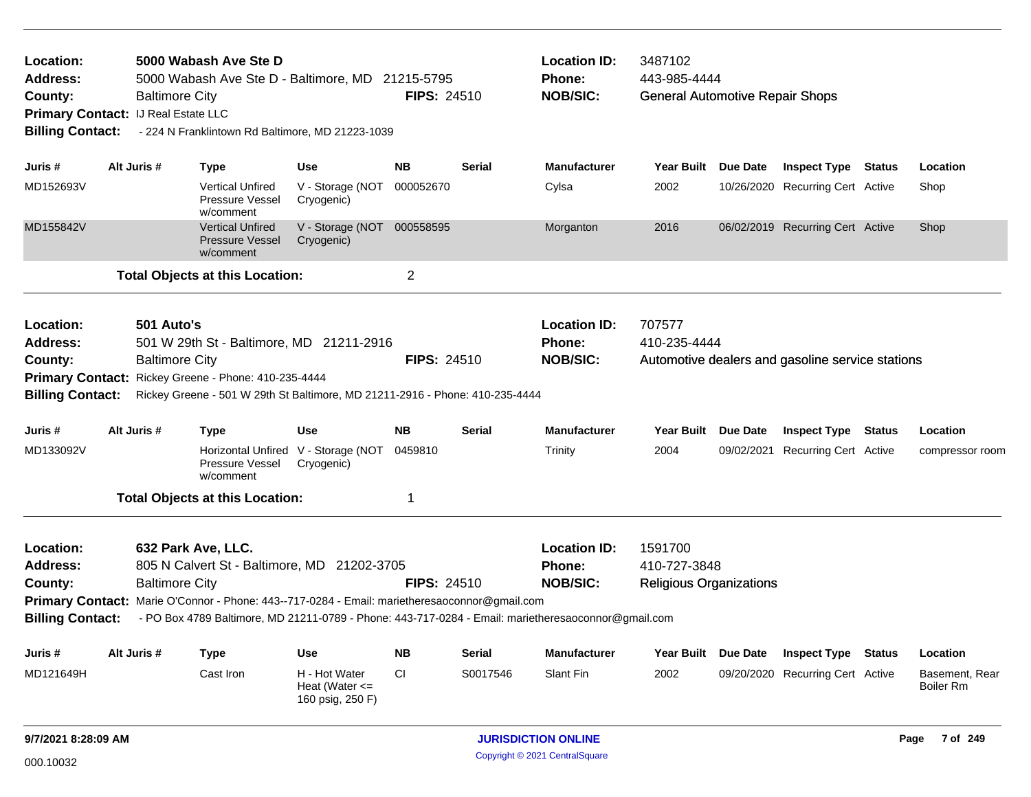| Location:<br><b>Address:</b><br>County:<br><b>Billing Contact:</b> | <b>Baltimore City</b><br>Primary Contact: IJ Real Estate LLC | 5000 Wabash Ave Ste D<br>5000 Wabash Ave Ste D - Baltimore, MD 21215-5795<br>- 224 N Franklintown Rd Baltimore, MD 21223-1039                                                                                                                                             |                                                         | <b>FIPS: 24510</b> |               | <b>Location ID:</b><br><b>Phone:</b><br><b>NOB/SIC:</b>           | 3487102<br>443-985-4444<br><b>General Automotive Repair Shops</b><br>Year Built Due Date<br>Inspect Type<br>2002<br>10/26/2020 Recurring Cert Active<br>2016<br>06/02/2019 Recurring Cert Active<br>707577<br>410-235-4444<br>Automotive dealers and gasoline service stations |  |                                  |               |                             |
|--------------------------------------------------------------------|--------------------------------------------------------------|---------------------------------------------------------------------------------------------------------------------------------------------------------------------------------------------------------------------------------------------------------------------------|---------------------------------------------------------|--------------------|---------------|-------------------------------------------------------------------|--------------------------------------------------------------------------------------------------------------------------------------------------------------------------------------------------------------------------------------------------------------------------------|--|----------------------------------|---------------|-----------------------------|
| Juris #                                                            | Alt Juris #                                                  | <b>Type</b>                                                                                                                                                                                                                                                               | <b>Use</b>                                              | <b>NB</b>          | <b>Serial</b> | <b>Manufacturer</b>                                               |                                                                                                                                                                                                                                                                                |  |                                  | Status        | Location                    |
| MD152693V                                                          |                                                              | <b>Vertical Unfired</b><br><b>Pressure Vessel</b><br>w/comment                                                                                                                                                                                                            | V - Storage (NOT<br>Cryogenic)                          | 000052670          |               | Cylsa                                                             |                                                                                                                                                                                                                                                                                |  |                                  |               | Shop                        |
| MD155842V                                                          |                                                              | <b>Vertical Unfired</b><br><b>Pressure Vessel</b><br>w/comment                                                                                                                                                                                                            | V - Storage (NOT 000558595<br>Cryogenic)                |                    |               | Morganton                                                         |                                                                                                                                                                                                                                                                                |  |                                  |               | Shop                        |
|                                                                    |                                                              | <b>Total Objects at this Location:</b>                                                                                                                                                                                                                                    |                                                         | $\overline{2}$     |               |                                                                   |                                                                                                                                                                                                                                                                                |  |                                  |               |                             |
| Location:<br><b>Address:</b><br>County:<br><b>Billing Contact:</b> | 501 Auto's<br><b>Baltimore City</b>                          | 501 W 29th St - Baltimore, MD 21211-2916<br>Primary Contact: Rickey Greene - Phone: 410-235-4444<br>Rickey Greene - 501 W 29th St Baltimore, MD 21211-2916 - Phone: 410-235-4444                                                                                          |                                                         | <b>FIPS: 24510</b> |               | <b>Location ID:</b><br><b>Phone:</b><br><b>NOB/SIC:</b>           |                                                                                                                                                                                                                                                                                |  |                                  |               |                             |
| Juris #                                                            | Alt Juris #                                                  | <b>Type</b>                                                                                                                                                                                                                                                               | <b>Use</b>                                              | <b>NB</b>          | <b>Serial</b> | <b>Manufacturer</b><br>Year Built Due Date<br><b>Inspect Type</b> |                                                                                                                                                                                                                                                                                |  |                                  |               | Location                    |
| MD133092V                                                          |                                                              | Pressure Vessel<br>w/comment                                                                                                                                                                                                                                              | Horizontal Unfired V - Storage (NOT<br>Cryogenic)       | 0459810            |               | <b>Trinity</b>                                                    | 2004                                                                                                                                                                                                                                                                           |  | 09/02/2021 Recurring Cert Active |               | compressor room             |
|                                                                    |                                                              | <b>Total Objects at this Location:</b>                                                                                                                                                                                                                                    |                                                         | 1                  |               |                                                                   |                                                                                                                                                                                                                                                                                |  |                                  |               |                             |
| Location:<br><b>Address:</b><br>County:<br><b>Billing Contact:</b> | <b>Baltimore City</b>                                        | 632 Park Ave, LLC.<br>805 N Calvert St - Baltimore, MD 21202-3705<br>Primary Contact: Marie O'Connor - Phone: 443--717-0284 - Email: marietheresaoconnor@gmail.com<br>- PO Box 4789 Baltimore, MD 21211-0789 - Phone: 443-717-0284 - Email: marietheresaoconnor@gmail.com |                                                         | <b>FIPS: 24510</b> |               | <b>Location ID:</b><br><b>Phone:</b><br><b>NOB/SIC:</b>           | 1591700<br>410-727-3848<br><b>Religious Organizations</b>                                                                                                                                                                                                                      |  |                                  |               |                             |
| Juris #                                                            | Alt Juris #                                                  | <b>Type</b>                                                                                                                                                                                                                                                               | <b>Use</b>                                              | <b>NB</b>          | Serial        | <b>Manufacturer</b>                                               | Year Built Due Date                                                                                                                                                                                                                                                            |  | <b>Inspect Type</b>              | <b>Status</b> | Location                    |
| MD121649H                                                          |                                                              | Cast Iron                                                                                                                                                                                                                                                                 | H - Hot Water<br>Heat (Water $\leq$<br>160 psig, 250 F) | CI                 | S0017546      | Slant Fin                                                         | 2002                                                                                                                                                                                                                                                                           |  | 09/20/2020 Recurring Cert Active |               | Basement, Rear<br>Boiler Rm |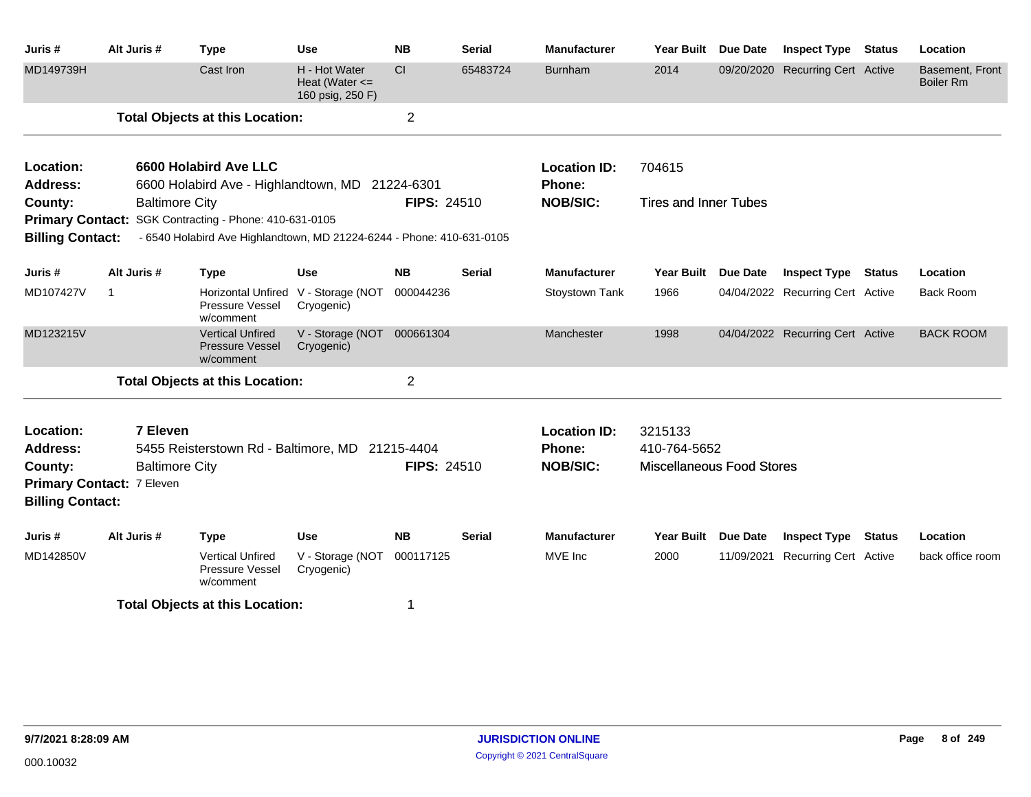| Juris #                 | Alt Juris #               | <b>Type</b>                                                           | <b>Use</b>                                              | <b>NB</b>          | <b>Serial</b> | <b>Manufacturer</b> | Year Built                       | <b>Due Date</b> | <b>Inspect Type</b>              | <b>Status</b> | Location                            |
|-------------------------|---------------------------|-----------------------------------------------------------------------|---------------------------------------------------------|--------------------|---------------|---------------------|----------------------------------|-----------------|----------------------------------|---------------|-------------------------------------|
| MD149739H               |                           | Cast Iron                                                             | H - Hot Water<br>Heat (Water $\leq$<br>160 psig, 250 F) | <b>CI</b>          | 65483724      | <b>Burnham</b>      | 2014                             |                 | 09/20/2020 Recurring Cert Active |               | Basement, Front<br><b>Boiler Rm</b> |
|                         |                           | <b>Total Objects at this Location:</b>                                |                                                         | $\overline{2}$     |               |                     |                                  |                 |                                  |               |                                     |
| Location:               |                           | 6600 Holabird Ave LLC                                                 |                                                         |                    |               | <b>Location ID:</b> | 704615                           |                 |                                  |               |                                     |
| Address:                |                           | 6600 Holabird Ave - Highlandtown, MD                                  |                                                         | 21224-6301         |               | <b>Phone:</b>       |                                  |                 |                                  |               |                                     |
| County:                 | <b>Baltimore City</b>     |                                                                       |                                                         | <b>FIPS: 24510</b> |               | <b>NOB/SIC:</b>     | <b>Tires and Inner Tubes</b>     |                 |                                  |               |                                     |
|                         |                           | Primary Contact: SGK Contracting - Phone: 410-631-0105                |                                                         |                    |               |                     |                                  |                 |                                  |               |                                     |
| <b>Billing Contact:</b> |                           | - 6540 Holabird Ave Highlandtown, MD 21224-6244 - Phone: 410-631-0105 |                                                         |                    |               |                     |                                  |                 |                                  |               |                                     |
| Juris #                 | Alt Juris #               | <b>Type</b>                                                           | <b>Use</b>                                              | <b>NB</b>          | <b>Serial</b> | <b>Manufacturer</b> | <b>Year Built</b>                | <b>Due Date</b> | <b>Inspect Type</b>              | Status        | Location                            |
| MD107427V               | $\mathbf{1}$              | Pressure Vessel<br>w/comment                                          | Horizontal Unfired V - Storage (NOT<br>Cryogenic)       | 000044236          |               | Stoystown Tank      | 1966                             |                 | 04/04/2022 Recurring Cert Active |               | <b>Back Room</b>                    |
| MD123215V               |                           | <b>Vertical Unfired</b><br><b>Pressure Vessel</b><br>w/comment        | V - Storage (NOT<br>Cryogenic)                          | 000661304          |               | Manchester          | 1998                             |                 | 04/04/2022 Recurring Cert Active |               | <b>BACK ROOM</b>                    |
|                         |                           | <b>Total Objects at this Location:</b>                                |                                                         | $\overline{2}$     |               |                     |                                  |                 |                                  |               |                                     |
| Location:               | <b>7 Eleven</b>           |                                                                       |                                                         |                    |               | <b>Location ID:</b> | 3215133                          |                 |                                  |               |                                     |
| <b>Address:</b>         |                           | 5455 Reisterstown Rd - Baltimore, MD 21215-4404                       |                                                         |                    |               | Phone:              | 410-764-5652                     |                 |                                  |               |                                     |
| County:                 | <b>Baltimore City</b>     |                                                                       |                                                         | <b>FIPS: 24510</b> |               | <b>NOB/SIC:</b>     | <b>Miscellaneous Food Stores</b> |                 |                                  |               |                                     |
|                         | Primary Contact: 7 Eleven |                                                                       |                                                         |                    |               |                     |                                  |                 |                                  |               |                                     |
| <b>Billing Contact:</b> |                           |                                                                       |                                                         |                    |               |                     |                                  |                 |                                  |               |                                     |
| Juris #                 | Alt Juris #               | <b>Type</b>                                                           | <b>Use</b>                                              | <b>NB</b>          | <b>Serial</b> | <b>Manufacturer</b> | <b>Year Built</b>                | <b>Due Date</b> | <b>Inspect Type</b>              | <b>Status</b> | Location                            |
| MD142850V               |                           | <b>Vertical Unfired</b><br>Pressure Vessel<br>w/comment               | V - Storage (NOT<br>Cryogenic)                          | 000117125          |               | MVE Inc             | 2000                             | 11/09/2021      | <b>Recurring Cert Active</b>     |               | back office room                    |
|                         |                           | <b>Total Objects at this Location:</b>                                |                                                         | 1                  |               |                     |                                  |                 |                                  |               |                                     |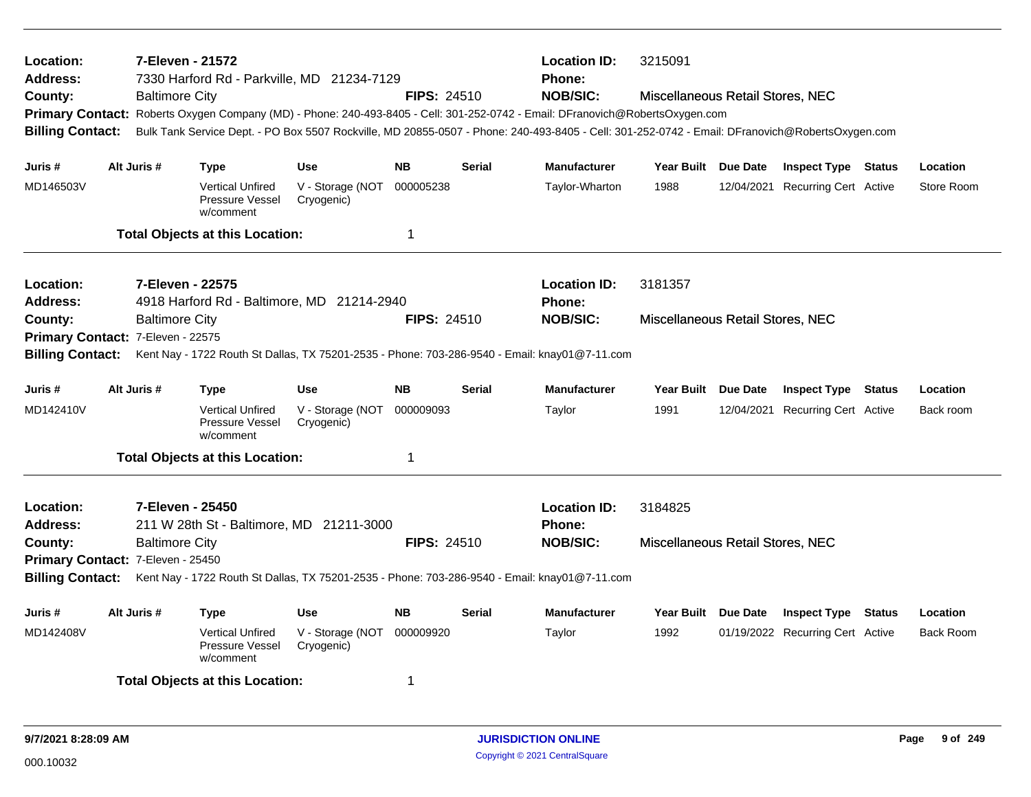| Location:<br>Address:<br>County:<br><b>Billing Contact:</b>                                                                                                                                                                                                                                                                                      |             | 7-Eleven - 21572<br><b>Baltimore City</b>                          |                                                   | 7330 Harford Rd - Parkville, MD 21234-7129   | <b>FIPS: 24510</b>                    |               | <b>Location ID:</b><br>3215091<br><b>Phone:</b><br><b>NOB/SIC:</b><br>Miscellaneous Retail Stores, NEC<br>Primary Contact: Roberts Oxygen Company (MD) - Phone: 240-493-8405 - Cell: 301-252-0742 - Email: DFranovich@RobertsOxygen.com<br>Bulk Tank Service Dept. - PO Box 5507 Rockville, MD 20855-0507 - Phone: 240-493-8405 - Cell: 301-252-0742 - Email: DFranovich@RobertsOxygen.com |                                             |  |                                                                |        |                              |
|--------------------------------------------------------------------------------------------------------------------------------------------------------------------------------------------------------------------------------------------------------------------------------------------------------------------------------------------------|-------------|--------------------------------------------------------------------|---------------------------------------------------|----------------------------------------------|---------------------------------------|---------------|--------------------------------------------------------------------------------------------------------------------------------------------------------------------------------------------------------------------------------------------------------------------------------------------------------------------------------------------------------------------------------------------|---------------------------------------------|--|----------------------------------------------------------------|--------|------------------------------|
| Juris #<br>MD146503V                                                                                                                                                                                                                                                                                                                             | Alt Juris # | <b>Type</b><br>w/comment<br><b>Total Objects at this Location:</b> | <b>Vertical Unfired</b><br><b>Pressure Vessel</b> | <b>Use</b><br>V - Storage (NOT<br>Cryogenic) | <b>NB</b><br>000005238<br>1           | <b>Serial</b> | <b>Manufacturer</b><br>Taylor-Wharton                                                                                                                                                                                                                                                                                                                                                      | Year Built Due Date<br>1988                 |  | <b>Inspect Type Status</b><br>12/04/2021 Recurring Cert Active |        | Location<br>Store Room       |
| Location:<br>Address:<br>County:<br>Primary Contact: 7-Eleven - 22575<br><b>Billing Contact:</b>                                                                                                                                                                                                                                                 |             | 7-Eleven - 22575<br><b>Baltimore City</b>                          |                                                   | 4918 Harford Rd - Baltimore, MD 21214-2940   | <b>FIPS: 24510</b>                    |               | <b>Location ID:</b><br><b>Phone:</b><br><b>NOB/SIC:</b><br>Kent Nay - 1722 Routh St Dallas, TX 75201-2535 - Phone: 703-286-9540 - Email: knay01@7-11.com                                                                                                                                                                                                                                   | 3181357<br>Miscellaneous Retail Stores, NEC |  |                                                                |        |                              |
| Juris #<br>MD142410V                                                                                                                                                                                                                                                                                                                             | Alt Juris # | <b>Type</b><br>w/comment                                           | <b>Vertical Unfired</b><br>Pressure Vessel        | <b>Use</b><br>V - Storage (NOT<br>Cryogenic) | <b>NB</b><br>000009093<br>$\mathbf 1$ | <b>Serial</b> | <b>Manufacturer</b><br>Taylor                                                                                                                                                                                                                                                                                                                                                              | Year Built Due Date<br>1991                 |  | <b>Inspect Type Status</b><br>12/04/2021 Recurring Cert Active |        | Location<br>Back room        |
| <b>Total Objects at this Location:</b><br>7-Eleven - 25450<br>Location:<br>Address:<br>211 W 28th St - Baltimore, MD 21211-3000<br><b>FIPS: 24510</b><br><b>Baltimore City</b><br>County:<br>Primary Contact: 7-Eleven - 25450<br>Billing Contact: Kent Nay - 1722 Routh St Dallas, TX 75201-2535 - Phone: 703-286-9540 - Email: knay01@7-11.com |             |                                                                    |                                                   |                                              |                                       |               | <b>Location ID:</b><br><b>Phone:</b><br><b>NOB/SIC:</b>                                                                                                                                                                                                                                                                                                                                    | 3184825<br>Miscellaneous Retail Stores, NEC |  |                                                                |        |                              |
| Juris #<br>MD142408V                                                                                                                                                                                                                                                                                                                             | Alt Juris # | <b>Type</b><br>w/comment<br><b>Total Objects at this Location:</b> | <b>Vertical Unfired</b><br>Pressure Vessel        | <b>Use</b><br>V - Storage (NOT<br>Cryogenic) | <b>NB</b><br>000009920<br>-1          | <b>Serial</b> | <b>Manufacturer</b><br>Taylor                                                                                                                                                                                                                                                                                                                                                              | Year Built Due Date<br>1992                 |  | <b>Inspect Type</b><br>01/19/2022 Recurring Cert Active        | Status | Location<br><b>Back Room</b> |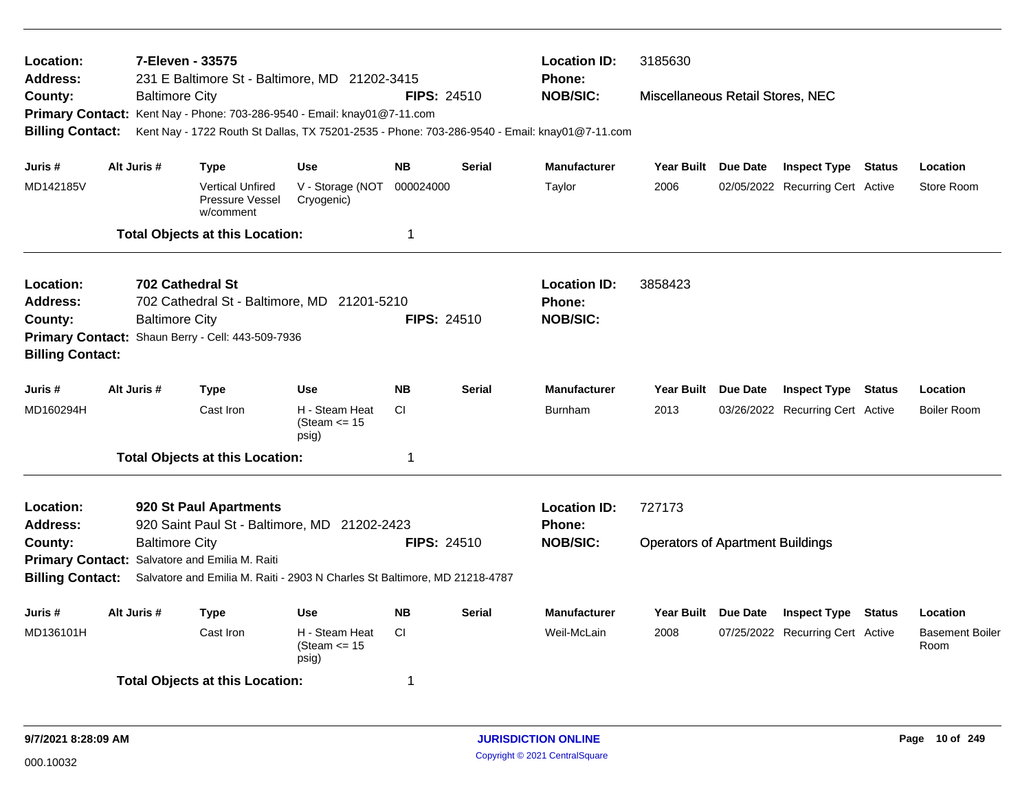| Location:<br><b>Address:</b><br>County:                                                                                                                                                                    |             | 7-Eleven - 33575<br><b>Baltimore City</b> |                                                                       | 231 E Baltimore St - Baltimore, MD 21202-3415                            | FIPS: 24510 |               | <b>Location ID:</b><br>3185630<br>Phone:<br><b>NOB/SIC:</b><br>Miscellaneous Retail Stores, NEC |                                         |  |                                  |        |                                |
|------------------------------------------------------------------------------------------------------------------------------------------------------------------------------------------------------------|-------------|-------------------------------------------|-----------------------------------------------------------------------|--------------------------------------------------------------------------|-------------|---------------|-------------------------------------------------------------------------------------------------|-----------------------------------------|--|----------------------------------|--------|--------------------------------|
| <b>Billing Contact:</b>                                                                                                                                                                                    |             |                                           |                                                                       | Primary Contact: Kent Nay - Phone: 703-286-9540 - Email: knay01@7-11.com |             |               | Kent Nay - 1722 Routh St Dallas, TX 75201-2535 - Phone: 703-286-9540 - Email: knay01@7-11.com   |                                         |  |                                  |        |                                |
| Juris #                                                                                                                                                                                                    | Alt Juris # |                                           | <b>Type</b>                                                           | <b>Use</b>                                                               | <b>NB</b>   | <b>Serial</b> | Manufacturer                                                                                    | Year Built Due Date                     |  | <b>Inspect Type Status</b>       |        | Location                       |
| MD142185V                                                                                                                                                                                                  |             |                                           | <b>Vertical Unfired</b><br>Pressure Vessel<br>w/comment               | V - Storage (NOT<br>Cryogenic)                                           | 000024000   |               | Taylor                                                                                          | 2006                                    |  | 02/05/2022 Recurring Cert Active |        | Store Room                     |
|                                                                                                                                                                                                            |             |                                           | <b>Total Objects at this Location:</b>                                |                                                                          | $\mathbf 1$ |               |                                                                                                 |                                         |  |                                  |        |                                |
| Location:<br><b>Address:</b><br>County:<br><b>Billing Contact:</b>                                                                                                                                         |             | <b>Baltimore City</b>                     | 702 Cathedral St<br>Primary Contact: Shaun Berry - Cell: 443-509-7936 | 702 Cathedral St - Baltimore, MD 21201-5210                              | FIPS: 24510 |               | <b>Location ID:</b><br>Phone:<br><b>NOB/SIC:</b>                                                | 3858423                                 |  |                                  |        |                                |
| Juris #                                                                                                                                                                                                    | Alt Juris # |                                           | <b>Type</b>                                                           | <b>Use</b>                                                               | <b>NB</b>   | <b>Serial</b> | <b>Manufacturer</b>                                                                             | Year Built Due Date                     |  | <b>Inspect Type Status</b>       |        | Location                       |
| MD160294H                                                                                                                                                                                                  |             |                                           | Cast Iron                                                             | H - Steam Heat<br>(Steam $\leq$ 15<br>psig)                              | <b>CI</b>   |               | <b>Burnham</b>                                                                                  | 2013                                    |  | 03/26/2022 Recurring Cert Active |        | <b>Boiler Room</b>             |
|                                                                                                                                                                                                            |             |                                           | <b>Total Objects at this Location:</b>                                |                                                                          | -1          |               |                                                                                                 |                                         |  |                                  |        |                                |
| Location:<br><b>Address:</b>                                                                                                                                                                               |             |                                           | 920 St Paul Apartments                                                | 920 Saint Paul St - Baltimore, MD 21202-2423                             |             |               | <b>Location ID:</b><br><b>Phone:</b>                                                            | 727173                                  |  |                                  |        |                                |
| FIPS: 24510<br><b>Baltimore City</b><br>County:<br>Primary Contact: Salvatore and Emilia M. Raiti<br><b>Billing Contact:</b><br>Salvatore and Emilia M. Raiti - 2903 N Charles St Baltimore, MD 21218-4787 |             |                                           |                                                                       |                                                                          |             |               | <b>NOB/SIC:</b>                                                                                 | <b>Operators of Apartment Buildings</b> |  |                                  |        |                                |
| Juris #                                                                                                                                                                                                    | Alt Juris # |                                           | <b>Type</b>                                                           | Use                                                                      | <b>NB</b>   | <b>Serial</b> | <b>Manufacturer</b>                                                                             | Year Built Due Date                     |  | <b>Inspect Type</b>              | Status | Location                       |
| MD136101H                                                                                                                                                                                                  |             |                                           | Cast Iron                                                             | H - Steam Heat<br>(Steam $\leq$ 15<br>psig)                              | <b>CI</b>   |               | Weil-McLain                                                                                     | 2008                                    |  | 07/25/2022 Recurring Cert Active |        | <b>Basement Boiler</b><br>Room |
|                                                                                                                                                                                                            |             |                                           | <b>Total Objects at this Location:</b>                                |                                                                          | -1          |               |                                                                                                 |                                         |  |                                  |        |                                |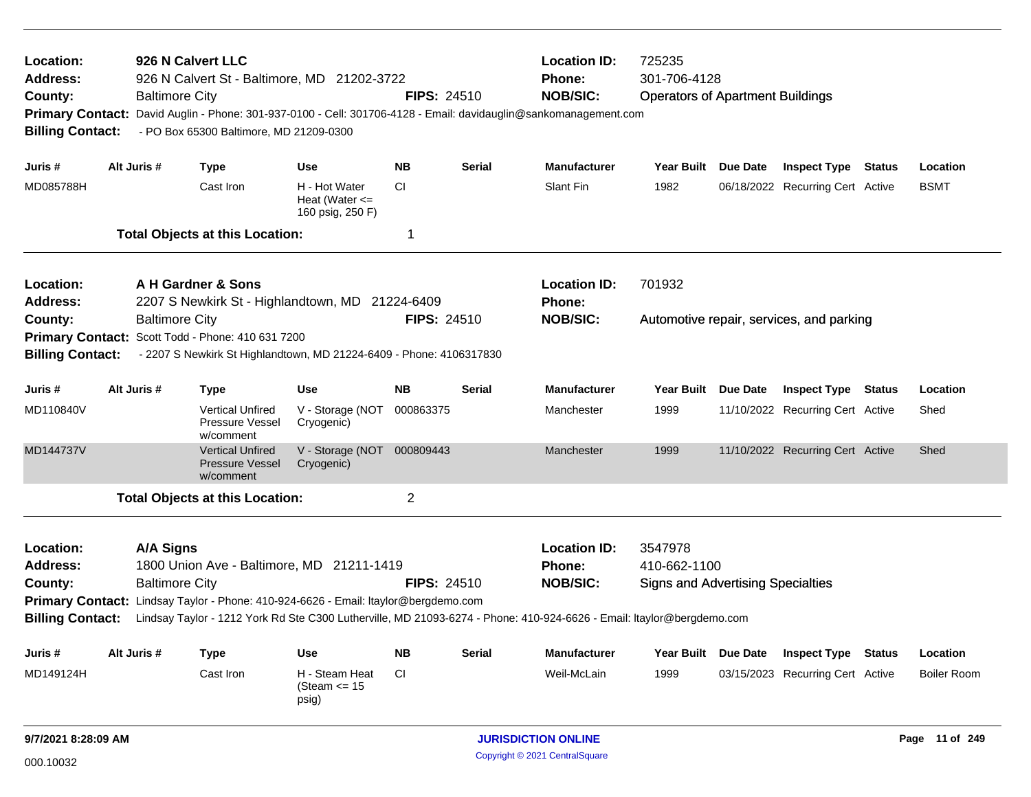| Location:<br><b>Address:</b><br>County:<br><b>Primary Contact:</b><br><b>Billing Contact:</b> |                                                                            | <b>Baltimore City</b> | 926 N Calvert LLC<br>- PO Box 65300 Baltimore, MD 21209-0300   | 926 N Calvert St - Baltimore, MD 21202-3722                                         | <b>FIPS: 24510</b> |               | <b>Location ID:</b><br>Phone:<br><b>NOB/SIC:</b><br>David Auglin - Phone: 301-937-0100 - Cell: 301706-4128 - Email: davidauglin@sankomanagement.com | 725235<br>301-706-4128<br><b>Operators of Apartment Buildings</b> |                                          |                    |
|-----------------------------------------------------------------------------------------------|----------------------------------------------------------------------------|-----------------------|----------------------------------------------------------------|-------------------------------------------------------------------------------------|--------------------|---------------|-----------------------------------------------------------------------------------------------------------------------------------------------------|-------------------------------------------------------------------|------------------------------------------|--------------------|
|                                                                                               |                                                                            |                       |                                                                |                                                                                     |                    |               |                                                                                                                                                     |                                                                   |                                          |                    |
| Juris #                                                                                       | Alt Juris #                                                                |                       | <b>Type</b>                                                    | <b>Use</b>                                                                          | <b>NB</b>          | <b>Serial</b> | <b>Manufacturer</b>                                                                                                                                 | Year Built Due Date                                               | <b>Inspect Type Status</b>               | Location           |
| MD085788H                                                                                     |                                                                            |                       | Cast Iron                                                      | H - Hot Water<br>Heat (Water $\leq$<br>160 psig, 250 F)                             | <b>CI</b>          |               | Slant Fin                                                                                                                                           | 1982                                                              | 06/18/2022 Recurring Cert Active         | <b>BSMT</b>        |
|                                                                                               |                                                                            |                       | <b>Total Objects at this Location:</b>                         |                                                                                     | 1                  |               |                                                                                                                                                     |                                                                   |                                          |                    |
| Location:                                                                                     |                                                                            |                       | A H Gardner & Sons                                             |                                                                                     |                    |               | <b>Location ID:</b>                                                                                                                                 | 701932                                                            |                                          |                    |
| <b>Address:</b>                                                                               |                                                                            |                       |                                                                | 2207 S Newkirk St - Highlandtown, MD 21224-6409                                     |                    |               | Phone:                                                                                                                                              |                                                                   |                                          |                    |
| County:                                                                                       | <b>Baltimore City</b><br>Primary Contact: Scott Todd - Phone: 410 631 7200 |                       |                                                                |                                                                                     |                    |               | <b>NOB/SIC:</b>                                                                                                                                     |                                                                   | Automotive repair, services, and parking |                    |
|                                                                                               |                                                                            |                       |                                                                |                                                                                     |                    |               |                                                                                                                                                     |                                                                   |                                          |                    |
| <b>Billing Contact:</b>                                                                       |                                                                            |                       |                                                                | - 2207 S Newkirk St Highlandtown, MD 21224-6409 - Phone: 4106317830                 |                    |               |                                                                                                                                                     |                                                                   |                                          |                    |
| Juris #                                                                                       | Alt Juris #                                                                |                       | <b>Type</b>                                                    | <b>Use</b>                                                                          | <b>NB</b>          | Serial        | <b>Manufacturer</b>                                                                                                                                 | Year Built Due Date                                               | <b>Inspect Type Status</b>               | Location           |
| MD110840V                                                                                     |                                                                            |                       | <b>Vertical Unfired</b><br>Pressure Vessel<br>w/comment        | V - Storage (NOT<br>Cryogenic)                                                      | 000863375          |               | Manchester                                                                                                                                          | 1999                                                              | 11/10/2022 Recurring Cert Active         | Shed               |
| MD144737V                                                                                     |                                                                            |                       | <b>Vertical Unfired</b><br><b>Pressure Vessel</b><br>w/comment | V - Storage (NOT<br>Cryogenic)                                                      | 000809443          |               | Manchester                                                                                                                                          | 1999                                                              | 11/10/2022 Recurring Cert Active         | Shed               |
|                                                                                               |                                                                            |                       | <b>Total Objects at this Location:</b>                         |                                                                                     | $\overline{2}$     |               |                                                                                                                                                     |                                                                   |                                          |                    |
| Location:                                                                                     |                                                                            | <b>A/A Signs</b>      |                                                                |                                                                                     |                    |               | <b>Location ID:</b>                                                                                                                                 | 3547978                                                           |                                          |                    |
| <b>Address:</b>                                                                               |                                                                            |                       |                                                                | 1800 Union Ave - Baltimore, MD 21211-1419                                           |                    |               | <b>Phone:</b>                                                                                                                                       | 410-662-1100                                                      |                                          |                    |
| County:                                                                                       |                                                                            | <b>Baltimore City</b> |                                                                |                                                                                     | <b>FIPS: 24510</b> |               | <b>NOB/SIC:</b>                                                                                                                                     | <b>Signs and Advertising Specialties</b>                          |                                          |                    |
|                                                                                               |                                                                            |                       |                                                                | Primary Contact: Lindsay Taylor - Phone: 410-924-6626 - Email: Itaylor@bergdemo.com |                    |               |                                                                                                                                                     |                                                                   |                                          |                    |
| <b>Billing Contact:</b>                                                                       |                                                                            |                       |                                                                |                                                                                     |                    |               | Lindsay Taylor - 1212 York Rd Ste C300 Lutherville, MD 21093-6274 - Phone: 410-924-6626 - Email: Itaylor@bergdemo.com                               |                                                                   |                                          |                    |
| Juris #                                                                                       | Alt Juris #                                                                |                       | <b>Type</b>                                                    | <b>Use</b>                                                                          | <b>NB</b>          | <b>Serial</b> | <b>Manufacturer</b>                                                                                                                                 | Year Built Due Date                                               | <b>Inspect Type Status</b>               | Location           |
| MD149124H                                                                                     |                                                                            |                       | Cast Iron                                                      | H - Steam Heat<br>(Steam $\le$ 15<br>psig)                                          | <b>CI</b>          |               | Weil-McLain                                                                                                                                         | 1999                                                              | 03/15/2023 Recurring Cert Active         | <b>Boiler Room</b> |
| 9/7/2021 8:28:09 AM                                                                           |                                                                            |                       |                                                                |                                                                                     |                    |               | <b>JURISDICTION ONLINE</b>                                                                                                                          |                                                                   |                                          | Page 11 of 249     |

Copyright © 2021 CentralSquare 000.10032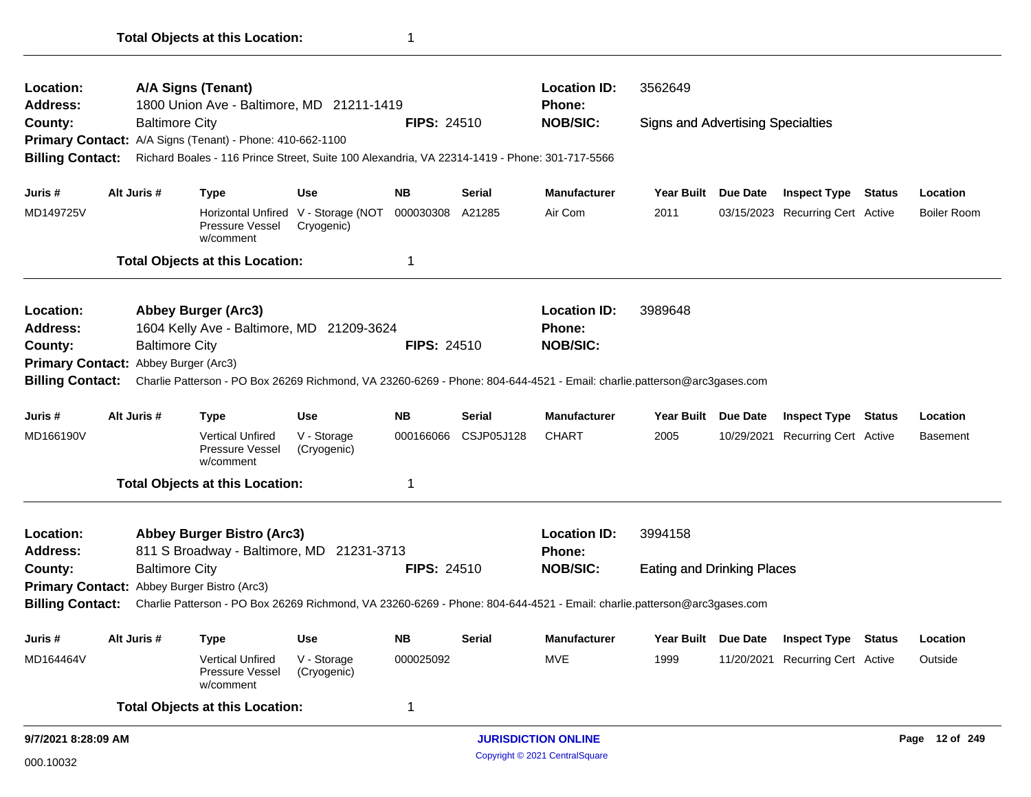| Location:               |                       | A/A Signs (Tenant)                                                                                                      |                                                   |                    |               | <b>Location ID:</b>        | 3562649                                  |                 |                                                  |                    |
|-------------------------|-----------------------|-------------------------------------------------------------------------------------------------------------------------|---------------------------------------------------|--------------------|---------------|----------------------------|------------------------------------------|-----------------|--------------------------------------------------|--------------------|
| <b>Address:</b>         |                       | 1800 Union Ave - Baltimore, MD 21211-1419                                                                               |                                                   |                    |               | <b>Phone:</b>              |                                          |                 |                                                  |                    |
| County:                 | <b>Baltimore City</b> |                                                                                                                         |                                                   | <b>FIPS: 24510</b> |               | <b>NOB/SIC:</b>            | <b>Signs and Advertising Specialties</b> |                 |                                                  |                    |
|                         |                       | Primary Contact: A/A Signs (Tenant) - Phone: 410-662-1100                                                               |                                                   |                    |               |                            |                                          |                 |                                                  |                    |
| <b>Billing Contact:</b> |                       | Richard Boales - 116 Prince Street, Suite 100 Alexandria, VA 22314-1419 - Phone: 301-717-5566                           |                                                   |                    |               |                            |                                          |                 |                                                  |                    |
| Juris #                 | Alt Juris #           | <b>Type</b>                                                                                                             | <b>Use</b>                                        | <b>NB</b>          | Serial        | <b>Manufacturer</b>        | <b>Year Built</b>                        | Due Date        | <b>Inspect Type Status</b>                       | Location           |
| MD149725V               |                       | Pressure Vessel<br>w/comment                                                                                            | Horizontal Unfired V - Storage (NOT<br>Cryogenic) | 000030308          | A21285        | Air Com                    | 2011                                     |                 | 03/15/2023 Recurring Cert Active                 | <b>Boiler Room</b> |
|                         |                       | <b>Total Objects at this Location:</b>                                                                                  |                                                   | 1                  |               |                            |                                          |                 |                                                  |                    |
| Location:               |                       | <b>Abbey Burger (Arc3)</b>                                                                                              |                                                   |                    |               | <b>Location ID:</b>        | 3989648                                  |                 |                                                  |                    |
| <b>Address:</b>         |                       | 1604 Kelly Ave - Baltimore, MD 21209-3624                                                                               |                                                   |                    |               | <b>Phone:</b>              |                                          |                 |                                                  |                    |
| County:                 | <b>Baltimore City</b> |                                                                                                                         |                                                   | <b>FIPS: 24510</b> |               | <b>NOB/SIC:</b>            |                                          |                 |                                                  |                    |
| <b>Primary Contact:</b> | Abbey Burger (Arc3)   |                                                                                                                         |                                                   |                    |               |                            |                                          |                 |                                                  |                    |
| <b>Billing Contact:</b> |                       | Charlie Patterson - PO Box 26269 Richmond, VA 23260-6269 - Phone: 804-644-4521 - Email: charlie.patterson@arc3gases.com |                                                   |                    |               |                            |                                          |                 |                                                  |                    |
|                         |                       |                                                                                                                         |                                                   |                    |               |                            |                                          |                 |                                                  |                    |
| Juris #                 | Alt Juris #           | <b>Type</b>                                                                                                             | <b>Use</b>                                        | <b>NB</b>          | Serial        | <b>Manufacturer</b>        | <b>Year Built</b>                        | <b>Due Date</b> | <b>Inspect Type Status</b>                       | Location           |
| MD166190V               |                       | <b>Vertical Unfired</b><br>Pressure Vessel<br>w/comment                                                                 | V - Storage<br>(Cryogenic)                        | 000166066          | CSJP05J128    | <b>CHART</b>               | 2005                                     |                 | 10/29/2021 Recurring Cert Active                 | <b>Basement</b>    |
|                         |                       | <b>Total Objects at this Location:</b>                                                                                  |                                                   | 1                  |               |                            |                                          |                 |                                                  |                    |
| Location:               |                       | <b>Abbey Burger Bistro (Arc3)</b>                                                                                       |                                                   |                    |               | <b>Location ID:</b>        | 3994158                                  |                 |                                                  |                    |
| <b>Address:</b>         |                       | 811 S Broadway - Baltimore, MD 21231-3713                                                                               |                                                   |                    |               | <b>Phone:</b>              |                                          |                 |                                                  |                    |
| County:                 | <b>Baltimore City</b> |                                                                                                                         |                                                   | <b>FIPS: 24510</b> |               | <b>NOB/SIC:</b>            | <b>Eating and Drinking Places</b>        |                 |                                                  |                    |
|                         |                       | Primary Contact: Abbey Burger Bistro (Arc3)                                                                             |                                                   |                    |               |                            |                                          |                 |                                                  |                    |
| <b>Billing Contact:</b> |                       | Charlie Patterson - PO Box 26269 Richmond, VA 23260-6269 - Phone: 804-644-4521 - Email: charlie.patterson@arc3gases.com |                                                   |                    |               |                            |                                          |                 |                                                  |                    |
| Juris #                 | Alt Juris #           | <b>Type</b>                                                                                                             | <b>Use</b>                                        | <b>NB</b>          | <b>Serial</b> | <b>Manufacturer</b>        |                                          |                 | Year Built Due Date Inspect Type Status Location |                    |
| MD164464V               |                       | <b>Vertical Unfired</b><br>Pressure Vessel<br>w/comment                                                                 | V - Storage<br>(Cryogenic)                        | 000025092          |               | MVE                        | 1999                                     |                 | 11/20/2021 Recurring Cert Active                 | Outside            |
|                         |                       | <b>Total Objects at this Location:</b>                                                                                  |                                                   | 1                  |               |                            |                                          |                 |                                                  |                    |
| 9/7/2021 8:28:09 AM     |                       |                                                                                                                         |                                                   |                    |               | <b>JURISDICTION ONLINE</b> |                                          |                 |                                                  | Page 12 of 249     |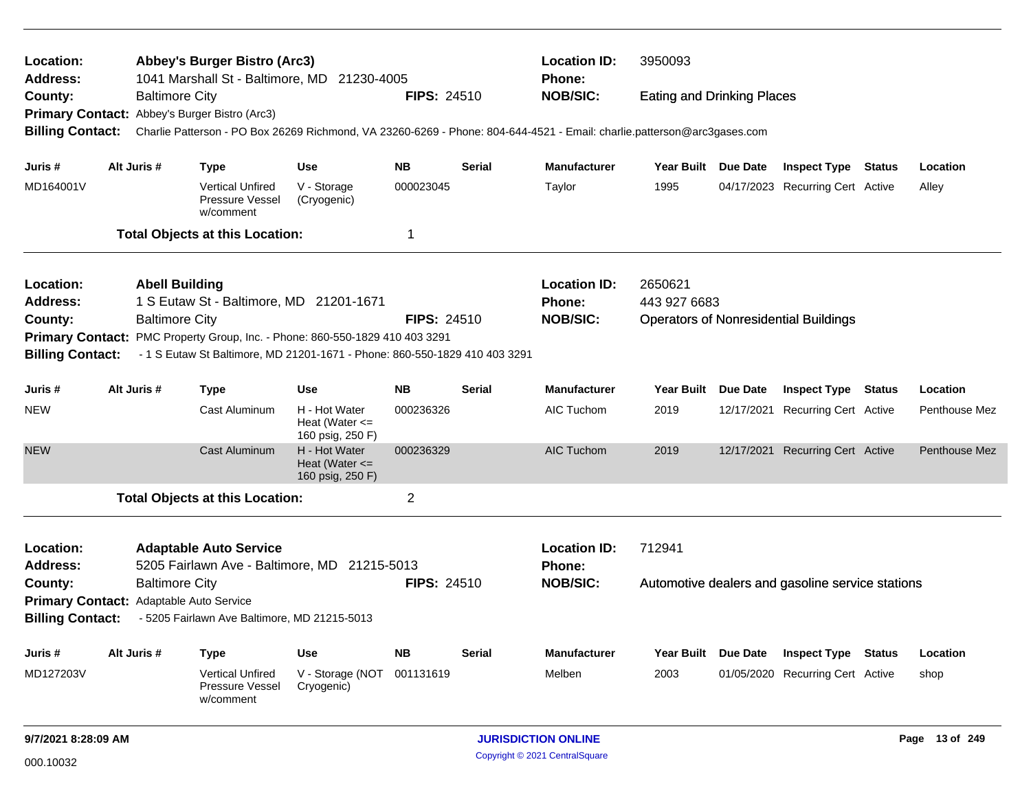| Location:<br>Address:<br>County:<br><b>Billing Contact:</b> |             | <b>Baltimore City</b> | Abbey's Burger Bistro (Arc3)<br>1041 Marshall St - Baltimore, MD 21230-4005<br>Primary Contact: Abbey's Burger Bistro (Arc3) |                                                         | <b>FIPS: 24510</b> |               | <b>Location ID:</b><br>Phone:<br><b>NOB/SIC:</b><br>Charlie Patterson - PO Box 26269 Richmond, VA 23260-6269 - Phone: 804-644-4521 - Email: charlie.patterson@arc3gases.com | 3950093<br><b>Eating and Drinking Places</b> |                 |                                                  |               |               |
|-------------------------------------------------------------|-------------|-----------------------|------------------------------------------------------------------------------------------------------------------------------|---------------------------------------------------------|--------------------|---------------|-----------------------------------------------------------------------------------------------------------------------------------------------------------------------------|----------------------------------------------|-----------------|--------------------------------------------------|---------------|---------------|
|                                                             |             |                       |                                                                                                                              |                                                         |                    |               |                                                                                                                                                                             |                                              |                 |                                                  |               |               |
| Juris #                                                     | Alt Juris # |                       | <b>Type</b>                                                                                                                  | <b>Use</b>                                              | <b>NB</b>          | Serial        | <b>Manufacturer</b>                                                                                                                                                         | <b>Year Built</b>                            | <b>Due Date</b> | <b>Inspect Type Status</b>                       |               | Location      |
| MD164001V                                                   |             |                       | <b>Vertical Unfired</b><br>Pressure Vessel<br>w/comment                                                                      | V - Storage<br>(Cryogenic)                              | 000023045          |               | Taylor                                                                                                                                                                      | 1995                                         |                 | 04/17/2023 Recurring Cert Active                 |               | Alley         |
|                                                             |             |                       | <b>Total Objects at this Location:</b>                                                                                       |                                                         | 1                  |               |                                                                                                                                                                             |                                              |                 |                                                  |               |               |
| Location:<br><b>Address:</b>                                |             | <b>Abell Building</b> | 1 S Eutaw St - Baltimore, MD 21201-1671                                                                                      |                                                         |                    |               | <b>Location ID:</b><br>Phone:                                                                                                                                               | 2650621<br>443 927 6683                      |                 |                                                  |               |               |
| County:                                                     |             | <b>Baltimore City</b> |                                                                                                                              |                                                         | <b>FIPS: 24510</b> |               | <b>NOB/SIC:</b>                                                                                                                                                             |                                              |                 | <b>Operators of Nonresidential Buildings</b>     |               |               |
|                                                             |             |                       | Primary Contact: PMC Property Group, Inc. - Phone: 860-550-1829 410 403 3291                                                 |                                                         |                    |               |                                                                                                                                                                             |                                              |                 |                                                  |               |               |
| <b>Billing Contact:</b>                                     |             |                       | - 1 S Eutaw St Baltimore, MD 21201-1671 - Phone: 860-550-1829 410 403 3291                                                   |                                                         |                    |               |                                                                                                                                                                             |                                              |                 |                                                  |               |               |
| Juris #                                                     | Alt Juris # |                       | <b>Type</b>                                                                                                                  | <b>Use</b>                                              | <b>NB</b>          | <b>Serial</b> | <b>Manufacturer</b>                                                                                                                                                         | <b>Year Built</b>                            | <b>Due Date</b> | <b>Inspect Type</b>                              | <b>Status</b> | Location      |
| <b>NEW</b>                                                  |             |                       | Cast Aluminum                                                                                                                | H - Hot Water<br>Heat (Water $\leq$<br>160 psig, 250 F) | 000236326          |               | AIC Tuchom                                                                                                                                                                  | 2019                                         |                 | 12/17/2021 Recurring Cert Active                 |               | Penthouse Mez |
| <b>NEW</b>                                                  |             |                       | Cast Aluminum                                                                                                                | H - Hot Water<br>Heat (Water $\leq$<br>160 psig, 250 F) | 000236329          |               | AIC Tuchom                                                                                                                                                                  | 2019                                         |                 | 12/17/2021 Recurring Cert Active                 |               | Penthouse Mez |
|                                                             |             |                       | <b>Total Objects at this Location:</b>                                                                                       |                                                         | $\overline{2}$     |               |                                                                                                                                                                             |                                              |                 |                                                  |               |               |
| Location:                                                   |             |                       | <b>Adaptable Auto Service</b>                                                                                                |                                                         |                    |               | <b>Location ID:</b>                                                                                                                                                         | 712941                                       |                 |                                                  |               |               |
| <b>Address:</b><br>County:                                  |             | <b>Baltimore City</b> | 5205 Fairlawn Ave - Baltimore, MD 21215-5013                                                                                 |                                                         | <b>FIPS: 24510</b> |               | <b>Phone:</b><br><b>NOB/SIC:</b>                                                                                                                                            |                                              |                 | Automotive dealers and gasoline service stations |               |               |
| <b>Primary Contact:</b>                                     |             |                       | Adaptable Auto Service                                                                                                       |                                                         |                    |               |                                                                                                                                                                             |                                              |                 |                                                  |               |               |
| <b>Billing Contact:</b>                                     |             |                       | - 5205 Fairlawn Ave Baltimore, MD 21215-5013                                                                                 |                                                         |                    |               |                                                                                                                                                                             |                                              |                 |                                                  |               |               |
| Juris #                                                     | Alt Juris # |                       | <b>Type</b>                                                                                                                  | Use                                                     | <b>NB</b>          | <b>Serial</b> | <b>Manufacturer</b>                                                                                                                                                         | <b>Year Built</b>                            | <b>Due Date</b> | <b>Inspect Type Status</b>                       |               | Location      |
| MD127203V                                                   |             |                       | <b>Vertical Unfired</b><br><b>Pressure Vessel</b><br>w/comment                                                               | V - Storage (NOT<br>Cryogenic)                          | 001131619          |               | Melben                                                                                                                                                                      | 2003                                         |                 | 01/05/2020 Recurring Cert Active                 |               | shop          |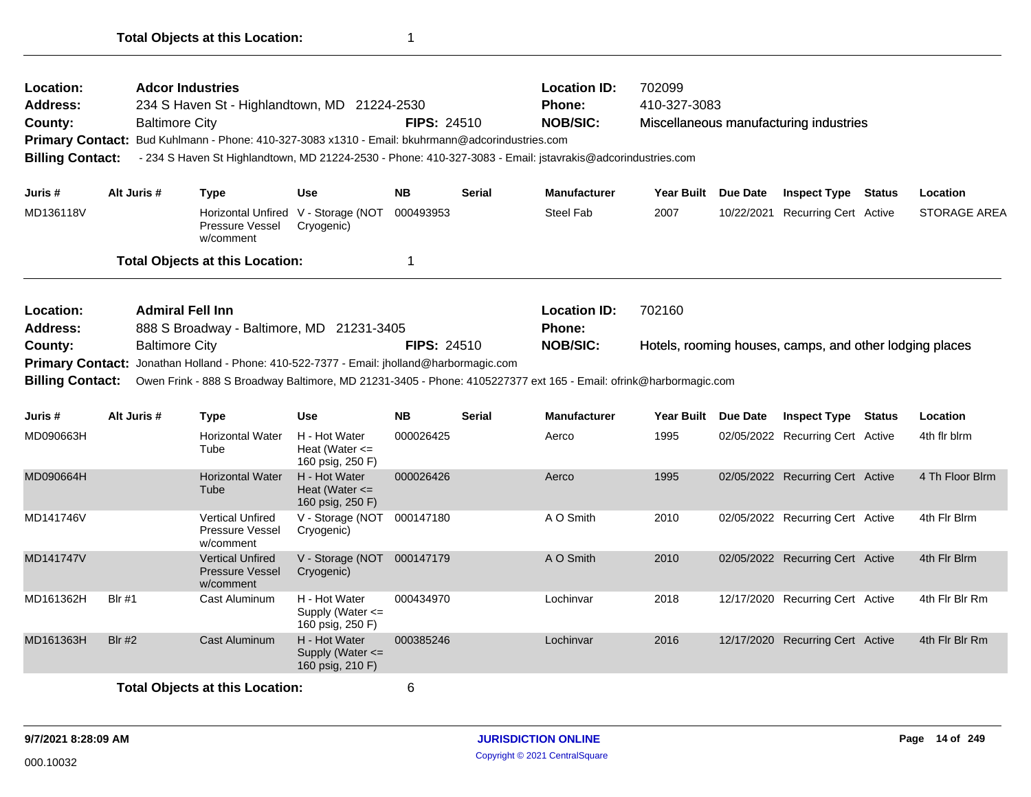| Location:<br><b>Address:</b><br>County:<br><b>Primary Contact:</b><br><b>Billing Contact:</b> |               | <b>Adcor Industries</b><br><b>Baltimore City</b> | 234 S Haven St - Highlandtown, MD 21224-2530<br>Bud Kuhlmann - Phone: 410-327-3083 x1310 - Email: bkuhrmann@adcorindustries.com<br>- 234 S Haven St Highlandtown, MD 21224-2530 - Phone: 410-327-3083 - Email: jstavrakis@adcorindustries.com |                                                         | <b>FIPS: 24510</b> |               | <b>Location ID:</b><br>Phone:<br><b>NOB/SIC:</b> | 702099<br>410-327-3083 |            | Miscellaneous manufacturing industries                  |                 |
|-----------------------------------------------------------------------------------------------|---------------|--------------------------------------------------|-----------------------------------------------------------------------------------------------------------------------------------------------------------------------------------------------------------------------------------------------|---------------------------------------------------------|--------------------|---------------|--------------------------------------------------|------------------------|------------|---------------------------------------------------------|-----------------|
| Juris #                                                                                       |               | Alt Juris #                                      | <b>Type</b>                                                                                                                                                                                                                                   | <b>Use</b>                                              | <b>NB</b>          | <b>Serial</b> | <b>Manufacturer</b>                              | Year Built Due Date    |            | <b>Inspect Type Status</b>                              | Location        |
| MD136118V                                                                                     |               |                                                  | Pressure Vessel<br>w/comment                                                                                                                                                                                                                  | Horizontal Unfired V - Storage (NOT<br>Cryogenic)       | 000493953          |               | Steel Fab                                        | 2007                   | 10/22/2021 | <b>Recurring Cert Active</b>                            | STORAGE AREA    |
|                                                                                               |               |                                                  | <b>Total Objects at this Location:</b>                                                                                                                                                                                                        |                                                         | 1                  |               |                                                  |                        |            |                                                         |                 |
| Location:<br><b>Address:</b>                                                                  |               | <b>Admiral Fell Inn</b>                          | 888 S Broadway - Baltimore, MD 21231-3405                                                                                                                                                                                                     |                                                         |                    |               | <b>Location ID:</b><br>Phone:                    | 702160                 |            |                                                         |                 |
| County:                                                                                       |               | <b>Baltimore City</b>                            |                                                                                                                                                                                                                                               |                                                         | <b>FIPS: 24510</b> |               | <b>NOB/SIC:</b>                                  |                        |            | Hotels, rooming houses, camps, and other lodging places |                 |
|                                                                                               |               |                                                  | Primary Contact: Jonathan Holland - Phone: 410-522-7377 - Email: jholland@harbormagic.com                                                                                                                                                     |                                                         |                    |               |                                                  |                        |            |                                                         |                 |
| <b>Billing Contact:</b>                                                                       |               |                                                  | Owen Frink - 888 S Broadway Baltimore, MD 21231-3405 - Phone: 4105227377 ext 165 - Email: ofrink@harbormagic.com                                                                                                                              |                                                         |                    |               |                                                  |                        |            |                                                         |                 |
| Juris #                                                                                       |               | Alt Juris #                                      | <b>Type</b>                                                                                                                                                                                                                                   | <b>Use</b>                                              | <b>NB</b>          | <b>Serial</b> | Manufacturer                                     | Year Built Due Date    |            | <b>Inspect Type Status</b>                              | Location        |
| MD090663H                                                                                     |               |                                                  | <b>Horizontal Water</b><br>Tube                                                                                                                                                                                                               | H - Hot Water<br>Heat (Water $\leq$<br>160 psig, 250 F) | 000026425          |               | Aerco                                            | 1995                   |            | 02/05/2022 Recurring Cert Active                        | 4th fir birm    |
| MD090664H                                                                                     |               |                                                  | <b>Horizontal Water</b><br>Tube                                                                                                                                                                                                               | H - Hot Water<br>Heat (Water $\leq$<br>160 psig, 250 F) | 000026426          |               | Aerco                                            | 1995                   |            | 02/05/2022 Recurring Cert Active                        | 4 Th Floor Blrm |
| MD141746V                                                                                     |               |                                                  | <b>Vertical Unfired</b><br>Pressure Vessel<br>w/comment                                                                                                                                                                                       | V - Storage (NOT<br>Cryogenic)                          | 000147180          |               | A O Smith                                        | 2010                   |            | 02/05/2022 Recurring Cert Active                        | 4th Fir Birm    |
| MD141747V                                                                                     |               |                                                  | <b>Vertical Unfired</b><br>Pressure Vessel<br>w/comment                                                                                                                                                                                       | V - Storage (NOT 000147179<br>Cryogenic)                |                    |               | A O Smith                                        | 2010                   |            | 02/05/2022 Recurring Cert Active                        | 4th Fir Birm    |
| MD161362H                                                                                     | <b>Blr #1</b> |                                                  | Cast Aluminum                                                                                                                                                                                                                                 | H - Hot Water<br>Supply (Water <=<br>160 psig, 250 F)   | 000434970          |               | Lochinvar                                        | 2018                   |            | 12/17/2020 Recurring Cert Active                        | 4th Fir Bir Rm  |
| MD161363H                                                                                     | $B$ Ir #2     |                                                  | <b>Cast Aluminum</b>                                                                                                                                                                                                                          | H - Hot Water<br>Supply (Water <=<br>160 psig, 210 F)   | 000385246          |               | Lochinvar                                        | 2016                   |            | 12/17/2020 Recurring Cert Active                        | 4th Fir Bir Rm  |
|                                                                                               |               |                                                  | .                                                                                                                                                                                                                                             |                                                         |                    |               |                                                  |                        |            |                                                         |                 |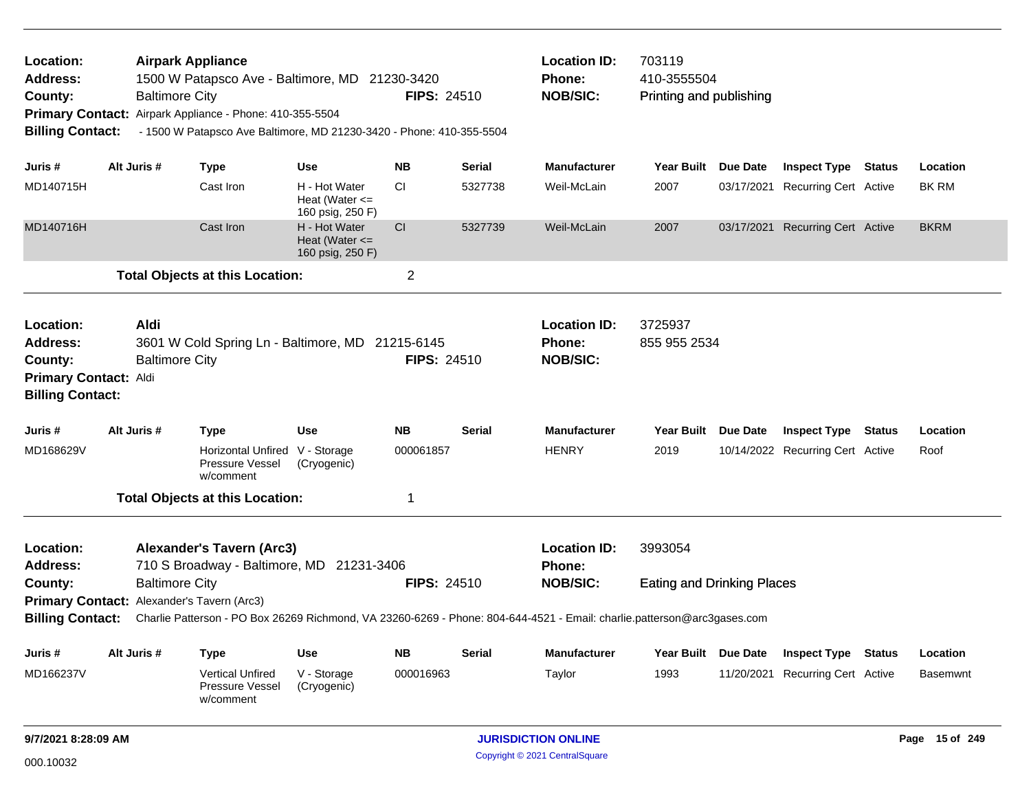| Location:<br>Address:<br>County:<br><b>Billing Contact:</b>                                 |             | <b>Airpark Appliance</b><br>1500 W Patapsco Ave - Baltimore, MD 21230-3420<br><b>Baltimore City</b><br>Primary Contact: Airpark Appliance - Phone: 410-355-5504<br>- 1500 W Patapsco Ave Baltimore, MD 21230-3420 - Phone: 410-355-5504                                  |                                                         | FIPS: 24510        |               | <b>Location ID:</b><br><b>Phone:</b><br><b>NOB/SIC:</b> | 703119<br>410-3555504<br>Printing and publishing |                                  |                 |
|---------------------------------------------------------------------------------------------|-------------|--------------------------------------------------------------------------------------------------------------------------------------------------------------------------------------------------------------------------------------------------------------------------|---------------------------------------------------------|--------------------|---------------|---------------------------------------------------------|--------------------------------------------------|----------------------------------|-----------------|
| Juris #                                                                                     | Alt Juris # | <b>Type</b>                                                                                                                                                                                                                                                              | <b>Use</b>                                              | <b>NB</b>          | Serial        | <b>Manufacturer</b>                                     | Year Built Due Date                              | <b>Inspect Type Status</b>       | Location        |
| MD140715H                                                                                   |             | Cast Iron                                                                                                                                                                                                                                                                | H - Hot Water<br>Heat (Water $\leq$<br>160 psig, 250 F) | <b>CI</b>          | 5327738       | Weil-McLain                                             | 2007                                             | 03/17/2021 Recurring Cert Active | <b>BK RM</b>    |
| MD140716H                                                                                   |             | Cast Iron                                                                                                                                                                                                                                                                | H - Hot Water<br>Heat (Water $\leq$<br>160 psig, 250 F) | CI                 | 5327739       | Weil-McLain                                             | 2007                                             | 03/17/2021 Recurring Cert Active | <b>BKRM</b>     |
|                                                                                             |             | <b>Total Objects at this Location:</b>                                                                                                                                                                                                                                   |                                                         | $\overline{2}$     |               |                                                         |                                                  |                                  |                 |
| Location:<br><b>Address:</b><br>County:<br>Primary Contact: Aldi<br><b>Billing Contact:</b> | Aldi        | 3601 W Cold Spring Ln - Baltimore, MD 21215-6145<br><b>Baltimore City</b>                                                                                                                                                                                                |                                                         | <b>FIPS: 24510</b> |               | <b>Location ID:</b><br><b>Phone:</b><br><b>NOB/SIC:</b> | 3725937<br>855 955 2534                          |                                  |                 |
| Juris #                                                                                     | Alt Juris # | <b>Type</b>                                                                                                                                                                                                                                                              | <b>Use</b>                                              | <b>NB</b>          | <b>Serial</b> | <b>Manufacturer</b>                                     | Year Built Due Date                              | <b>Inspect Type Status</b>       | Location        |
| MD168629V                                                                                   |             | Horizontal Unfired V - Storage<br><b>Pressure Vessel</b><br>w/comment                                                                                                                                                                                                    | (Cryogenic)                                             | 000061857          |               | <b>HENRY</b>                                            | 2019                                             | 10/14/2022 Recurring Cert Active | Roof            |
|                                                                                             |             | <b>Total Objects at this Location:</b>                                                                                                                                                                                                                                   |                                                         | 1                  |               |                                                         |                                                  |                                  |                 |
| Location:<br><b>Address:</b><br>County:<br><b>Billing Contact:</b>                          |             | Alexander's Tavern (Arc3)<br>710 S Broadway - Baltimore, MD 21231-3406<br><b>Baltimore City</b><br>Primary Contact: Alexander's Tavern (Arc3)<br>Charlie Patterson - PO Box 26269 Richmond, VA 23260-6269 - Phone: 804-644-4521 - Email: charlie.patterson@arc3gases.com |                                                         | <b>FIPS: 24510</b> |               | <b>Location ID:</b><br><b>Phone:</b><br><b>NOB/SIC:</b> | 3993054<br><b>Eating and Drinking Places</b>     |                                  |                 |
| Juris#                                                                                      | Alt Juris # | <b>Type</b>                                                                                                                                                                                                                                                              | <b>Use</b>                                              | <b>NB</b>          | <b>Serial</b> | <b>Manufacturer</b>                                     | Year Built Due Date                              | <b>Inspect Type Status</b>       | Location        |
| MD166237V                                                                                   |             | Vertical Unfired<br>Pressure Vessel<br>w/comment                                                                                                                                                                                                                         | V - Storage<br>(Cryogenic)                              | 000016963          |               | Taylor                                                  | 1993                                             | 11/20/2021 Recurring Cert Active | <b>Basemwnt</b> |
| 9/7/2021 8:28:09 AM                                                                         |             |                                                                                                                                                                                                                                                                          |                                                         |                    |               | <b>JURISDICTION ONLINE</b>                              |                                                  |                                  | Page 15 of 249  |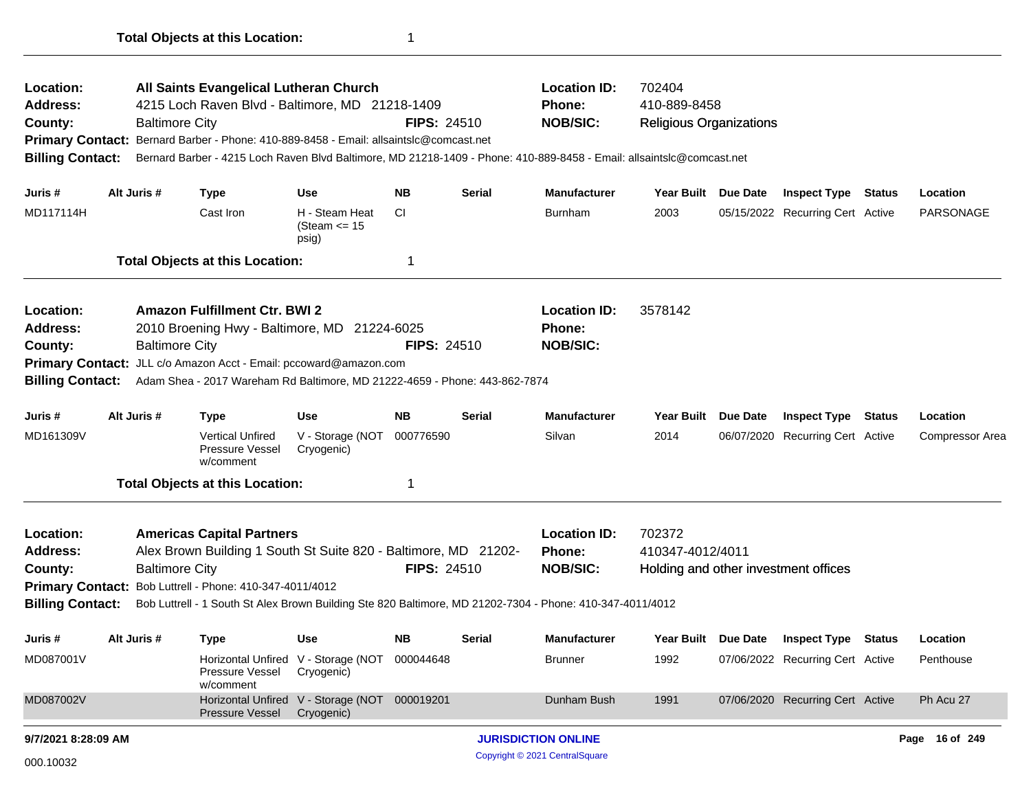| Location:<br><b>Address:</b><br>County:<br><b>Billing Contact:</b> |                                                                                                                                                                                                                                                                                                                                                                       | <b>Baltimore City</b> | <b>All Saints Evangelical Lutheran Church</b><br>4215 Loch Raven Blvd - Baltimore, MD 21218-1409<br>Primary Contact: Bernard Barber - Phone: 410-889-8458 - Email: allsaintslc@comcast.net<br>Bernard Barber - 4215 Loch Raven Blvd Baltimore, MD 21218-1409 - Phone: 410-889-8458 - Email: allsaintslc@comcast.net |                                                             | <b>FIPS: 24510</b> |        | <b>Location ID:</b><br><b>Phone:</b><br><b>NOB/SIC:</b> | 702404<br>410-889-8458<br><b>Religious Organizations</b> |                     |                                      |        |                        |
|--------------------------------------------------------------------|-----------------------------------------------------------------------------------------------------------------------------------------------------------------------------------------------------------------------------------------------------------------------------------------------------------------------------------------------------------------------|-----------------------|---------------------------------------------------------------------------------------------------------------------------------------------------------------------------------------------------------------------------------------------------------------------------------------------------------------------|-------------------------------------------------------------|--------------------|--------|---------------------------------------------------------|----------------------------------------------------------|---------------------|--------------------------------------|--------|------------------------|
| Juris #                                                            |                                                                                                                                                                                                                                                                                                                                                                       | Alt Juris #           | <b>Type</b>                                                                                                                                                                                                                                                                                                         | <b>Use</b>                                                  | <b>NB</b>          | Serial | <b>Manufacturer</b>                                     | <b>Year Built</b>                                        | Due Date            | <b>Inspect Type</b>                  | Status | Location               |
| MD117114H                                                          |                                                                                                                                                                                                                                                                                                                                                                       |                       | Cast Iron                                                                                                                                                                                                                                                                                                           | H - Steam Heat<br>(Steam $\le$ 15<br>psig)                  | <b>CI</b>          |        | <b>Burnham</b>                                          | 2003                                                     |                     | 05/15/2022 Recurring Cert Active     |        | PARSONAGE              |
|                                                                    |                                                                                                                                                                                                                                                                                                                                                                       |                       | <b>Total Objects at this Location:</b>                                                                                                                                                                                                                                                                              |                                                             |                    |        |                                                         |                                                          |                     |                                      |        |                        |
| Location:<br><b>Address:</b><br>County:<br><b>Billing Contact:</b> |                                                                                                                                                                                                                                                                                                                                                                       | <b>Baltimore City</b> | <b>Amazon Fulfillment Ctr. BWI 2</b><br>2010 Broening Hwy - Baltimore, MD 21224-6025<br>Primary Contact: JLL c/o Amazon Acct - Email: pccoward@amazon.com<br>Adam Shea - 2017 Wareham Rd Baltimore, MD 21222-4659 - Phone: 443-862-7874                                                                             |                                                             | <b>FIPS: 24510</b> |        | <b>Location ID:</b><br>Phone:<br><b>NOB/SIC:</b>        | 3578142                                                  |                     |                                      |        |                        |
| Juris #                                                            |                                                                                                                                                                                                                                                                                                                                                                       | Alt Juris #           | <b>Type</b>                                                                                                                                                                                                                                                                                                         | <b>Use</b>                                                  | <b>NB</b>          | Serial | <b>Manufacturer</b>                                     | Year Built Due Date                                      |                     | <b>Inspect Type Status</b>           |        | Location               |
| MD161309V                                                          |                                                                                                                                                                                                                                                                                                                                                                       |                       | <b>Vertical Unfired</b><br>Pressure Vessel<br>w/comment                                                                                                                                                                                                                                                             | V - Storage (NOT<br>Cryogenic)                              | 000776590          |        | Silvan                                                  | 2014                                                     |                     | 06/07/2020 Recurring Cert Active     |        | <b>Compressor Area</b> |
|                                                                    |                                                                                                                                                                                                                                                                                                                                                                       |                       |                                                                                                                                                                                                                                                                                                                     |                                                             | 1                  |        |                                                         |                                                          |                     |                                      |        |                        |
| Location:<br><b>Address:</b><br>County:<br><b>Billing Contact:</b> | <b>Total Objects at this Location:</b><br><b>Americas Capital Partners</b><br>Alex Brown Building 1 South St Suite 820 - Baltimore, MD 21202-<br><b>Baltimore City</b><br><b>FIPS: 24510</b><br>Primary Contact: Bob Luttrell - Phone: 410-347-4011/4012<br>Bob Luttrell - 1 South St Alex Brown Building Ste 820 Baltimore, MD 21202-7304 - Phone: 410-347-4011/4012 |                       |                                                                                                                                                                                                                                                                                                                     |                                                             |                    |        | <b>Location ID:</b><br>Phone:<br><b>NOB/SIC:</b>        | 702372<br>410347-4012/4011                               |                     | Holding and other investment offices |        |                        |
| Juris #                                                            |                                                                                                                                                                                                                                                                                                                                                                       | Alt Juris #           | <b>Type</b>                                                                                                                                                                                                                                                                                                         | Use                                                         | <b>NB</b>          | Serial | <b>Manufacturer</b>                                     |                                                          | Year Built Due Date | <b>Inspect Type Status</b>           |        | Location               |
| MD087001V                                                          |                                                                                                                                                                                                                                                                                                                                                                       |                       | Pressure Vessel Cryogenic)<br>w/comment                                                                                                                                                                                                                                                                             | Horizontal Unfired V - Storage (NOT 000044648               |                    |        | Brunner                                                 | 1992                                                     |                     | 07/06/2022 Recurring Cert Active     |        | Penthouse              |
| MD087002V                                                          |                                                                                                                                                                                                                                                                                                                                                                       |                       | Pressure Vessel                                                                                                                                                                                                                                                                                                     | Horizontal Unfired V - Storage (NOT 000019201<br>Cryogenic) |                    |        | Dunham Bush                                             | 1991                                                     |                     | 07/06/2020 Recurring Cert Active     |        | Ph Acu 27              |
| 9/7/2021 8:28:09 AM                                                |                                                                                                                                                                                                                                                                                                                                                                       |                       |                                                                                                                                                                                                                                                                                                                     |                                                             |                    |        | <b>JURISDICTION ONLINE</b>                              |                                                          |                     |                                      |        | Page 16 of 249         |
| 000.10032                                                          |                                                                                                                                                                                                                                                                                                                                                                       |                       |                                                                                                                                                                                                                                                                                                                     |                                                             |                    |        | Copyright © 2021 CentralSquare                          |                                                          |                     |                                      |        |                        |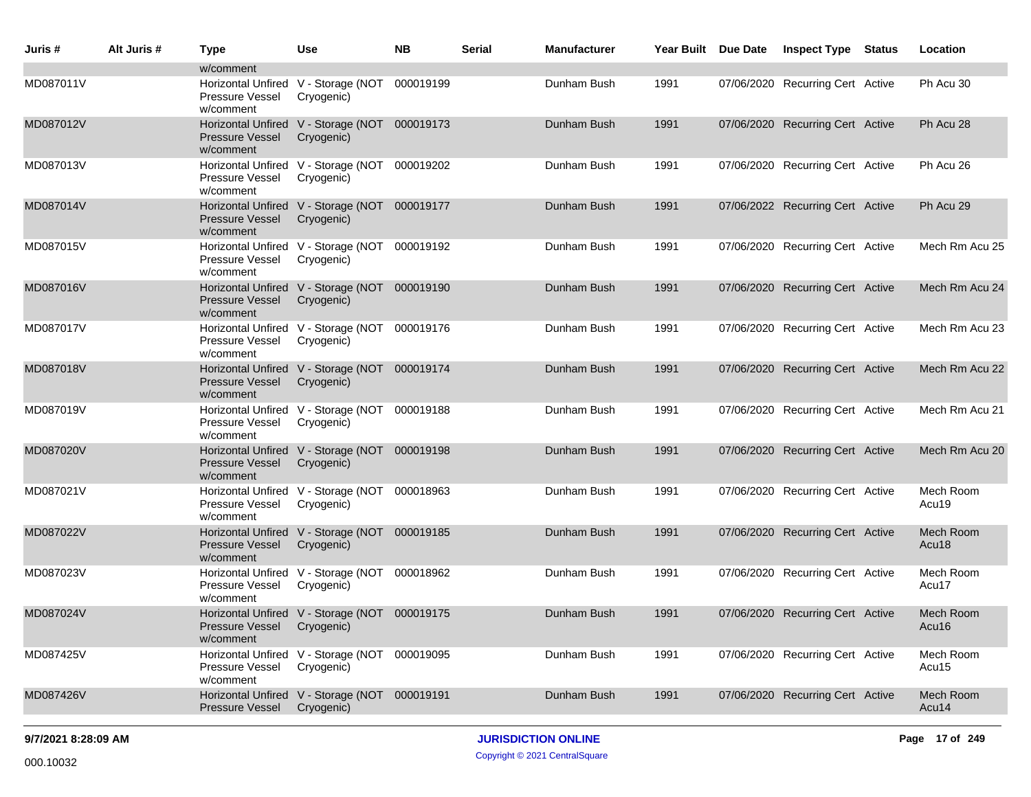| Juris #   | Alt Juris # | <b>Type</b>                                               | Use                                                         | <b>NB</b> | <b>Serial</b> | <b>Manufacturer</b> | Year Built | Due Date | <b>Inspect Type</b>              | Status | Location           |
|-----------|-------------|-----------------------------------------------------------|-------------------------------------------------------------|-----------|---------------|---------------------|------------|----------|----------------------------------|--------|--------------------|
|           |             | w/comment                                                 |                                                             |           |               |                     |            |          |                                  |        |                    |
| MD087011V |             | Horizontal Unfired<br><b>Pressure Vessel</b><br>w/comment | V - Storage (NOT 000019199<br>Cryogenic)                    |           |               | Dunham Bush         | 1991       |          | 07/06/2020 Recurring Cert Active |        | Ph Acu 30          |
| MD087012V |             | <b>Pressure Vessel</b><br>w/comment                       | Horizontal Unfired V - Storage (NOT 000019173<br>Cryogenic) |           |               | Dunham Bush         | 1991       |          | 07/06/2020 Recurring Cert Active |        | Ph Acu 28          |
| MD087013V |             | Pressure Vessel<br>w/comment                              | Horizontal Unfired V - Storage (NOT 000019202<br>Cryogenic) |           |               | Dunham Bush         | 1991       |          | 07/06/2020 Recurring Cert Active |        | Ph Acu 26          |
| MD087014V |             | <b>Pressure Vessel</b><br>w/comment                       | Horizontal Unfired V - Storage (NOT<br>Cryogenic)           | 000019177 |               | Dunham Bush         | 1991       |          | 07/06/2022 Recurring Cert Active |        | Ph Acu 29          |
| MD087015V |             | Pressure Vessel<br>w/comment                              | Horizontal Unfired V - Storage (NOT 000019192<br>Cryogenic) |           |               | Dunham Bush         | 1991       |          | 07/06/2020 Recurring Cert Active |        | Mech Rm Acu 25     |
| MD087016V |             | <b>Pressure Vessel</b><br>w/comment                       | Horizontal Unfired V - Storage (NOT<br>Cryogenic)           | 000019190 |               | Dunham Bush         | 1991       |          | 07/06/2020 Recurring Cert Active |        | Mech Rm Acu 24     |
| MD087017V |             | Pressure Vessel<br>w/comment                              | Horizontal Unfired V - Storage (NOT 000019176<br>Cryogenic) |           |               | Dunham Bush         | 1991       |          | 07/06/2020 Recurring Cert Active |        | Mech Rm Acu 23     |
| MD087018V |             | Pressure Vessel<br>w/comment                              | Horizontal Unfired V - Storage (NOT 000019174<br>Cryogenic) |           |               | Dunham Bush         | 1991       |          | 07/06/2020 Recurring Cert Active |        | Mech Rm Acu 22     |
| MD087019V |             | Pressure Vessel<br>w/comment                              | Horizontal Unfired V - Storage (NOT 000019188<br>Cryogenic) |           |               | Dunham Bush         | 1991       |          | 07/06/2020 Recurring Cert Active |        | Mech Rm Acu 21     |
| MD087020V |             | <b>Pressure Vessel</b><br>w/comment                       | Horizontal Unfired V - Storage (NOT 000019198<br>Cryogenic) |           |               | Dunham Bush         | 1991       |          | 07/06/2020 Recurring Cert Active |        | Mech Rm Acu 20     |
| MD087021V |             | <b>Pressure Vessel</b><br>w/comment                       | Horizontal Unfired V - Storage (NOT 000018963<br>Cryogenic) |           |               | Dunham Bush         | 1991       |          | 07/06/2020 Recurring Cert Active |        | Mech Room<br>Acu19 |
| MD087022V |             | Pressure Vessel<br>w/comment                              | Horizontal Unfired V - Storage (NOT 000019185<br>Cryogenic) |           |               | Dunham Bush         | 1991       |          | 07/06/2020 Recurring Cert Active |        | Mech Room<br>Acu18 |
| MD087023V |             | Pressure Vessel<br>w/comment                              | Horizontal Unfired V - Storage (NOT 000018962<br>Cryogenic) |           |               | Dunham Bush         | 1991       |          | 07/06/2020 Recurring Cert Active |        | Mech Room<br>Acu17 |
| MD087024V |             | <b>Pressure Vessel</b><br>w/comment                       | Horizontal Unfired V - Storage (NOT 000019175<br>Cryogenic) |           |               | Dunham Bush         | 1991       |          | 07/06/2020 Recurring Cert Active |        | Mech Room<br>Acu16 |
| MD087425V |             | Pressure Vessel<br>w/comment                              | Horizontal Unfired V - Storage (NOT 000019095<br>Cryogenic) |           |               | Dunham Bush         | 1991       |          | 07/06/2020 Recurring Cert Active |        | Mech Room<br>Acu15 |
| MD087426V |             | Pressure Vessel                                           | Horizontal Unfired V - Storage (NOT 000019191<br>Cryogenic) |           |               | Dunham Bush         | 1991       |          | 07/06/2020 Recurring Cert Active |        | Mech Room<br>Acu14 |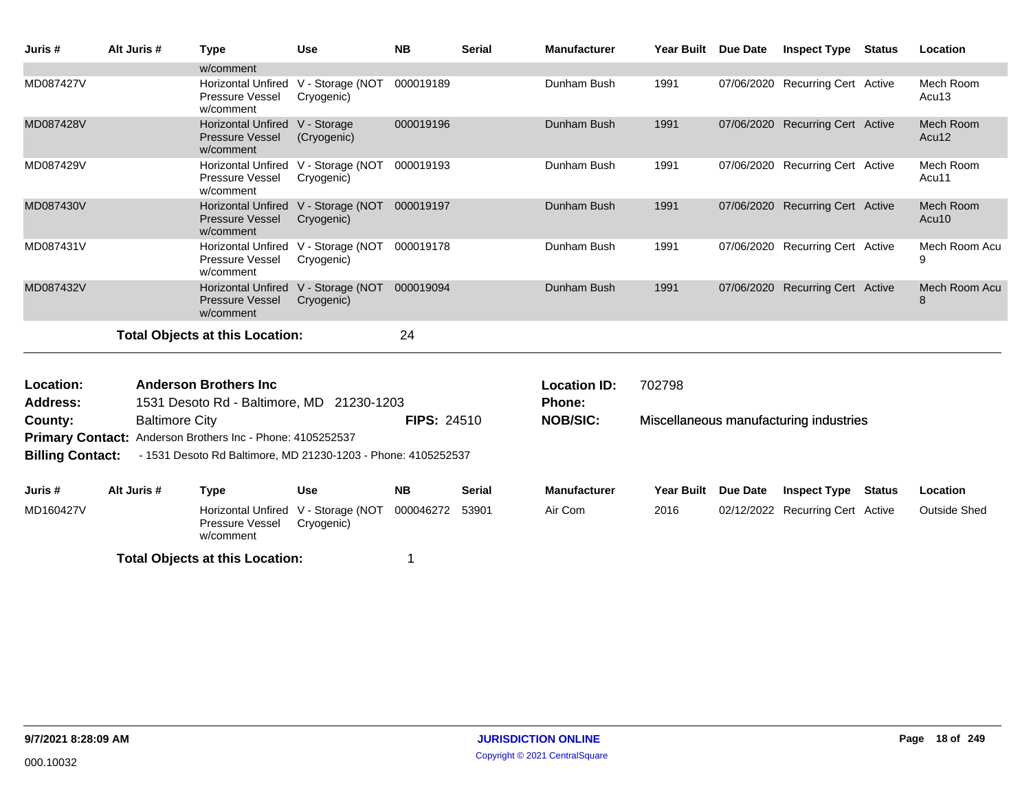| Juris #                 | Alt Juris #           | <b>Type</b>                                                         | <b>Use</b>                                        | <b>NB</b>          | <b>Serial</b> | <b>Manufacturer</b> | <b>Year Built</b> | <b>Due Date</b> | <b>Inspect Type Status</b>             | Location                       |
|-------------------------|-----------------------|---------------------------------------------------------------------|---------------------------------------------------|--------------------|---------------|---------------------|-------------------|-----------------|----------------------------------------|--------------------------------|
|                         |                       | w/comment                                                           |                                                   |                    |               |                     |                   |                 |                                        |                                |
| MD087427V               |                       | Horizontal Unfired V - Storage (NOT<br>Pressure Vessel<br>w/comment | Cryogenic)                                        | 000019189          |               | Dunham Bush         | 1991              |                 | 07/06/2020 Recurring Cert Active       | Mech Room<br>Acu13             |
| MD087428V               |                       | <b>Horizontal Unfired</b><br><b>Pressure Vessel</b><br>w/comment    | V - Storage<br>(Cryogenic)                        | 000019196          |               | Dunham Bush         | 1991              |                 | 07/06/2020 Recurring Cert Active       | Mech Room<br>Acu12             |
| MD087429V               |                       | Horizontal Unfired<br>Pressure Vessel<br>w/comment                  | V - Storage (NOT<br>Cryogenic)                    | 000019193          |               | Dunham Bush         | 1991              |                 | 07/06/2020 Recurring Cert Active       | Mech Room<br>Acu11             |
| MD087430V               |                       | <b>Horizontal Unfired</b><br><b>Pressure Vessel</b><br>w/comment    | V - Storage (NOT<br>Cryogenic)                    | 000019197          |               | Dunham Bush         | 1991              |                 | 07/06/2020 Recurring Cert Active       | Mech Room<br>Acu <sub>10</sub> |
| MD087431V               |                       | Pressure Vessel<br>w/comment                                        | Horizontal Unfired V - Storage (NOT<br>Cryogenic) | 000019178          |               | Dunham Bush         | 1991              |                 | 07/06/2020 Recurring Cert Active       | Mech Room Acu<br>9             |
| MD087432V               |                       | <b>Horizontal Unfired</b><br><b>Pressure Vessel</b><br>w/comment    | V - Storage (NOT<br>Cryogenic)                    | 000019094          |               | Dunham Bush         | 1991              |                 | 07/06/2020 Recurring Cert Active       | Mech Room Acu<br>8             |
|                         |                       | <b>Total Objects at this Location:</b>                              |                                                   | 24                 |               |                     |                   |                 |                                        |                                |
| Location:               |                       | <b>Anderson Brothers Inc.</b>                                       |                                                   |                    |               | <b>Location ID:</b> | 702798            |                 |                                        |                                |
| <b>Address:</b>         |                       | 1531 Desoto Rd - Baltimore, MD 21230-1203                           |                                                   |                    |               | <b>Phone:</b>       |                   |                 |                                        |                                |
| County:                 | <b>Baltimore City</b> |                                                                     |                                                   | <b>FIPS: 24510</b> |               | <b>NOB/SIC:</b>     |                   |                 | Miscellaneous manufacturing industries |                                |
|                         |                       | <b>Primary Contact:</b> Anderson Brothers Inc - Phone: 4105252537   |                                                   |                    |               |                     |                   |                 |                                        |                                |
| <b>Billing Contact:</b> |                       |                                                                     |                                                   |                    |               |                     |                   |                 |                                        |                                |
|                         |                       | - 1531 Desoto Rd Baltimore, MD 21230-1203 - Phone: 4105252537       |                                                   |                    |               |                     |                   |                 |                                        |                                |
| Juris #                 | Alt Juris #           | <b>Type</b>                                                         | <b>Use</b>                                        | <b>NB</b>          | <b>Serial</b> | <b>Manufacturer</b> | <b>Year Built</b> | Due Date        | <b>Inspect Type Status</b>             | Location                       |
| MD160427V               |                       | Pressure Vessel<br>w/comment                                        | Horizontal Unfired V - Storage (NOT<br>Cryogenic) | 000046272 53901    |               | Air Com             | 2016              |                 | 02/12/2022 Recurring Cert Active       | Outside Shed                   |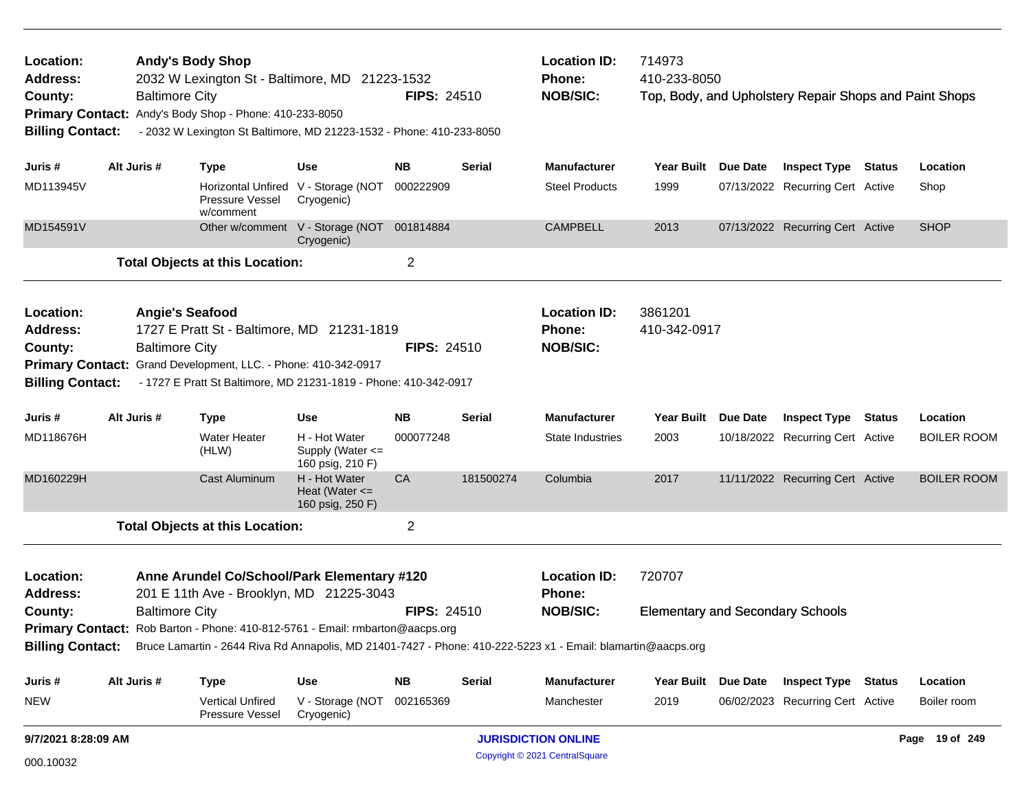| Location:<br><b>Address:</b><br>County:<br><b>Billing Contact:</b> | <b>Baltimore City</b>                           | <b>Andy's Body Shop</b><br>2032 W Lexington St - Baltimore, MD 21223-1532<br>Primary Contact: Andy's Body Shop - Phone: 410-233-8050<br>- 2032 W Lexington St Baltimore, MD 21223-1532 - Phone: 410-233-8050 |                                                         | <b>FIPS: 24510</b> |               | <b>Location ID:</b><br>Phone:<br><b>NOB/SIC:</b>                                                                              | 714973<br>410-233-8050                            |                     | Top, Body, and Upholstery Repair Shops and Paint Shops |                    |
|--------------------------------------------------------------------|-------------------------------------------------|--------------------------------------------------------------------------------------------------------------------------------------------------------------------------------------------------------------|---------------------------------------------------------|--------------------|---------------|-------------------------------------------------------------------------------------------------------------------------------|---------------------------------------------------|---------------------|--------------------------------------------------------|--------------------|
| Juris #                                                            | Alt Juris #                                     | <b>Type</b>                                                                                                                                                                                                  | <b>Use</b>                                              | <b>NB</b>          | Serial        | <b>Manufacturer</b>                                                                                                           |                                                   | Year Built Due Date | <b>Inspect Type Status</b>                             | Location           |
| MD113945V                                                          |                                                 | Pressure Vessel<br>w/comment                                                                                                                                                                                 | Horizontal Unfired V - Storage (NOT<br>Cryogenic)       | 000222909          |               | <b>Steel Products</b>                                                                                                         | 1999                                              |                     | 07/13/2022 Recurring Cert Active                       | Shop               |
| MD154591V                                                          |                                                 |                                                                                                                                                                                                              | Other w/comment V - Storage (NOT<br>Cryogenic)          | 001814884          |               | <b>CAMPBELL</b>                                                                                                               | 2013                                              |                     | 07/13/2022 Recurring Cert Active                       | <b>SHOP</b>        |
|                                                                    |                                                 | <b>Total Objects at this Location:</b>                                                                                                                                                                       |                                                         | $\overline{c}$     |               |                                                                                                                               |                                                   |                     |                                                        |                    |
| Location:<br><b>Address:</b><br>County:<br><b>Billing Contact:</b> | <b>Angie's Seafood</b><br><b>Baltimore City</b> | 1727 E Pratt St - Baltimore, MD 21231-1819<br>Primary Contact: Grand Development, LLC. - Phone: 410-342-0917<br>- 1727 E Pratt St Baltimore, MD 21231-1819 - Phone: 410-342-0917                             |                                                         | <b>FIPS: 24510</b> |               | <b>Location ID:</b><br><b>Phone:</b><br><b>NOB/SIC:</b>                                                                       | 3861201<br>410-342-0917                           |                     |                                                        |                    |
| Juris #                                                            | Alt Juris #                                     | <b>Type</b>                                                                                                                                                                                                  | <b>Use</b>                                              | NB.                | Serial        | <b>Manufacturer</b>                                                                                                           | Year Built Due Date                               |                     | <b>Inspect Type Status</b>                             | Location           |
| MD118676H                                                          |                                                 | <b>Water Heater</b><br>(HLW)                                                                                                                                                                                 | H - Hot Water<br>Supply (Water <=<br>160 psig, 210 F)   | 000077248          |               | State Industries                                                                                                              | 2003                                              |                     | 10/18/2022 Recurring Cert Active                       | <b>BOILER ROOM</b> |
| MD160229H                                                          |                                                 | Cast Aluminum                                                                                                                                                                                                | H - Hot Water<br>Heat (Water $\leq$<br>160 psig, 250 F) | CA                 | 181500274     | Columbia                                                                                                                      | 2017                                              |                     | 11/11/2022 Recurring Cert Active                       | <b>BOILER ROOM</b> |
|                                                                    |                                                 | <b>Total Objects at this Location:</b>                                                                                                                                                                       |                                                         | 2                  |               |                                                                                                                               |                                                   |                     |                                                        |                    |
| Location:<br><b>Address:</b><br>County:                            | <b>Baltimore City</b>                           | Anne Arundel Co/School/Park Elementary #120<br>201 E 11th Ave - Brooklyn, MD 21225-3043<br>Primary Contact: Rob Barton - Phone: 410-812-5761 - Email: rmbarton@aacps.org                                     |                                                         | <b>FIPS: 24510</b> |               | <b>Location ID:</b><br><b>Phone:</b><br><b>NOB/SIC:</b>                                                                       | 720707<br><b>Elementary and Secondary Schools</b> |                     |                                                        |                    |
|                                                                    |                                                 |                                                                                                                                                                                                              |                                                         |                    |               | Billing Contact: Bruce Lamartin - 2644 Riva Rd Annapolis, MD 21401-7427 - Phone: 410-222-5223 x1 - Email: blamartin@aacps.org |                                                   |                     |                                                        |                    |
| Juris #                                                            | Alt Juris #                                     | <b>Type</b>                                                                                                                                                                                                  | <b>Use</b>                                              | <b>NB</b>          | <b>Serial</b> | <b>Manufacturer</b>                                                                                                           |                                                   | Year Built Due Date | <b>Inspect Type Status</b>                             | Location           |
| <b>NEW</b>                                                         |                                                 | Vertical Unfired<br><b>Pressure Vessel</b>                                                                                                                                                                   | V - Storage (NOT<br>Cryogenic)                          | 002165369          |               | Manchester                                                                                                                    | 2019                                              |                     | 06/02/2023 Recurring Cert Active                       | Boiler room        |
| 9/7/2021 8:28:09 AM                                                |                                                 |                                                                                                                                                                                                              |                                                         |                    |               | <b>JURISDICTION ONLINE</b>                                                                                                    |                                                   |                     |                                                        | Page 19 of 249     |
| 000.10032                                                          |                                                 |                                                                                                                                                                                                              |                                                         |                    |               | Copyright © 2021 CentralSquare                                                                                                |                                                   |                     |                                                        |                    |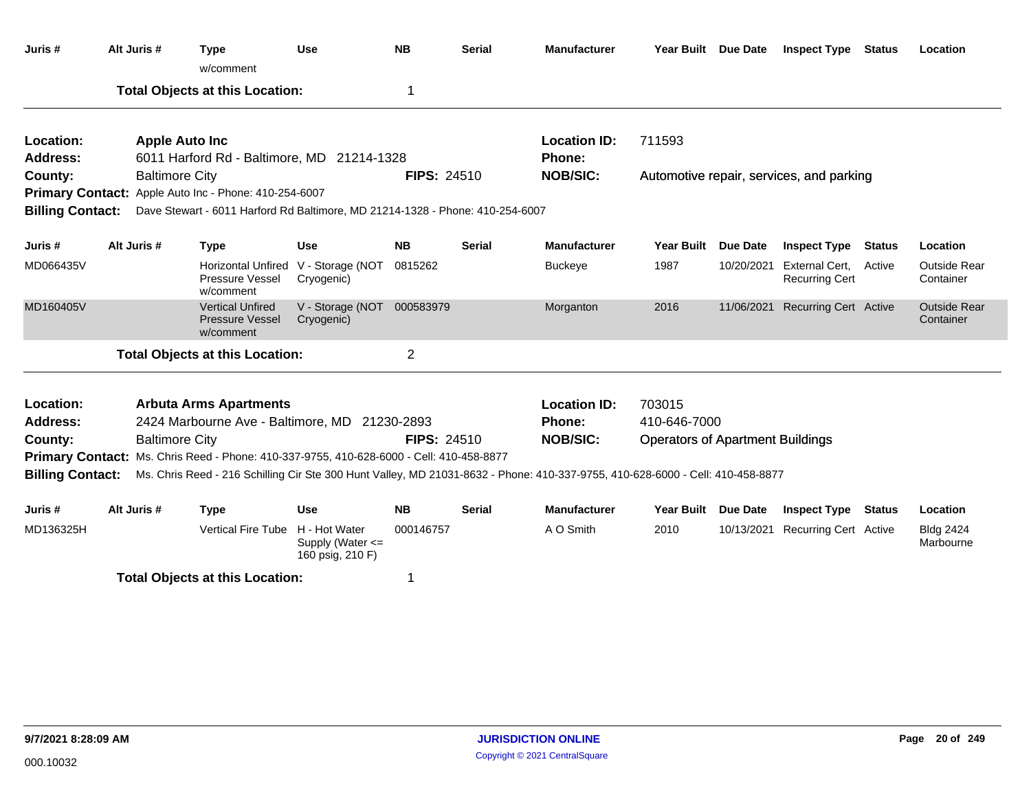| Juris #                                                 | Alt Juris #           | <b>Type</b><br>w/comment                                                                                                                                                                                  | <b>Use</b>                           | <b>NB</b>          | <b>Serial</b>                 | <b>Manufacturer</b>           | Year Built Due Date                     |                 | <b>Inspect Type</b>                      | <b>Status</b> | Location                         |
|---------------------------------------------------------|-----------------------|-----------------------------------------------------------------------------------------------------------------------------------------------------------------------------------------------------------|--------------------------------------|--------------------|-------------------------------|-------------------------------|-----------------------------------------|-----------------|------------------------------------------|---------------|----------------------------------|
|                                                         |                       | <b>Total Objects at this Location:</b>                                                                                                                                                                    |                                      | $\mathbf 1$        |                               |                               |                                         |                 |                                          |               |                                  |
| Location:<br><b>Address:</b>                            | <b>Apple Auto Inc</b> | 6011 Harford Rd - Baltimore, MD 21214-1328                                                                                                                                                                |                                      |                    |                               | <b>Location ID:</b><br>Phone: | 711593                                  |                 |                                          |               |                                  |
| County:                                                 | <b>Baltimore City</b> |                                                                                                                                                                                                           |                                      | <b>FIPS: 24510</b> |                               | <b>NOB/SIC:</b>               |                                         |                 | Automotive repair, services, and parking |               |                                  |
|                                                         |                       | Primary Contact: Apple Auto Inc - Phone: 410-254-6007                                                                                                                                                     |                                      |                    |                               |                               |                                         |                 |                                          |               |                                  |
| <b>Billing Contact:</b>                                 |                       | Dave Stewart - 6011 Harford Rd Baltimore, MD 21214-1328 - Phone: 410-254-6007                                                                                                                             |                                      |                    |                               |                               |                                         |                 |                                          |               |                                  |
| Juris #                                                 | Alt Juris #           | <b>Type</b>                                                                                                                                                                                               | <b>Use</b>                           | <b>NB</b>          | <b>Serial</b>                 | <b>Manufacturer</b>           | Year Built                              | <b>Due Date</b> | <b>Inspect Type</b>                      | <b>Status</b> | Location                         |
| MD066435V                                               |                       | <b>Horizontal Unfired</b><br>Pressure Vessel<br>w/comment                                                                                                                                                 | V - Storage (NOT<br>Cryogenic)       | 0815262            |                               | <b>Buckeye</b>                | 1987                                    | 10/20/2021      | External Cert,<br><b>Recurring Cert</b>  | Active        | <b>Outside Rear</b><br>Container |
| MD160405V                                               |                       | <b>Vertical Unfired</b><br><b>Pressure Vessel</b><br>w/comment                                                                                                                                            | V - Storage (NOT<br>Cryogenic)       | 000583979          |                               | Morganton                     | 2016                                    | 11/06/2021      | <b>Recurring Cert Active</b>             |               | <b>Outside Rear</b><br>Container |
|                                                         |                       | <b>Total Objects at this Location:</b>                                                                                                                                                                    |                                      | $\overline{2}$     |                               |                               |                                         |                 |                                          |               |                                  |
| Location:<br><b>Address:</b>                            |                       | <b>Arbuta Arms Apartments</b><br>2424 Marbourne Ave - Baltimore, MD 21230-2893                                                                                                                            |                                      |                    | <b>Location ID:</b><br>Phone: | 703015<br>410-646-7000        |                                         |                 |                                          |               |                                  |
| County:                                                 | <b>Baltimore City</b> |                                                                                                                                                                                                           |                                      | <b>FIPS: 24510</b> |                               | <b>NOB/SIC:</b>               | <b>Operators of Apartment Buildings</b> |                 |                                          |               |                                  |
| <b>Primary Contact:</b><br><b>Billing Contact:</b>      |                       | Ms. Chris Reed - Phone: 410-337-9755, 410-628-6000 - Cell: 410-458-8877<br>Ms. Chris Reed - 216 Schilling Cir Ste 300 Hunt Valley, MD 21031-8632 - Phone: 410-337-9755, 410-628-6000 - Cell: 410-458-8877 |                                      |                    |                               |                               |                                         |                 |                                          |               |                                  |
| Juris #                                                 | Alt Juris #           | <b>Type</b>                                                                                                                                                                                               | <b>Use</b>                           | <b>NB</b>          | <b>Serial</b>                 | <b>Manufacturer</b>           | Year Built Due Date                     |                 | <b>Inspect Type Status</b>               |               | Location                         |
| <b>Vertical Fire Tube</b><br>H - Hot Water<br>MD136325H |                       |                                                                                                                                                                                                           | Supply (Water <=<br>160 psig, 210 F) | 000146757          |                               | A O Smith                     | 2010                                    | 10/13/2021      | <b>Recurring Cert Active</b>             |               | <b>Bldg 2424</b><br>Marbourne    |
|                                                         |                       | <b>Total Objects at this Location:</b>                                                                                                                                                                    |                                      | 1                  |                               |                               |                                         |                 |                                          |               |                                  |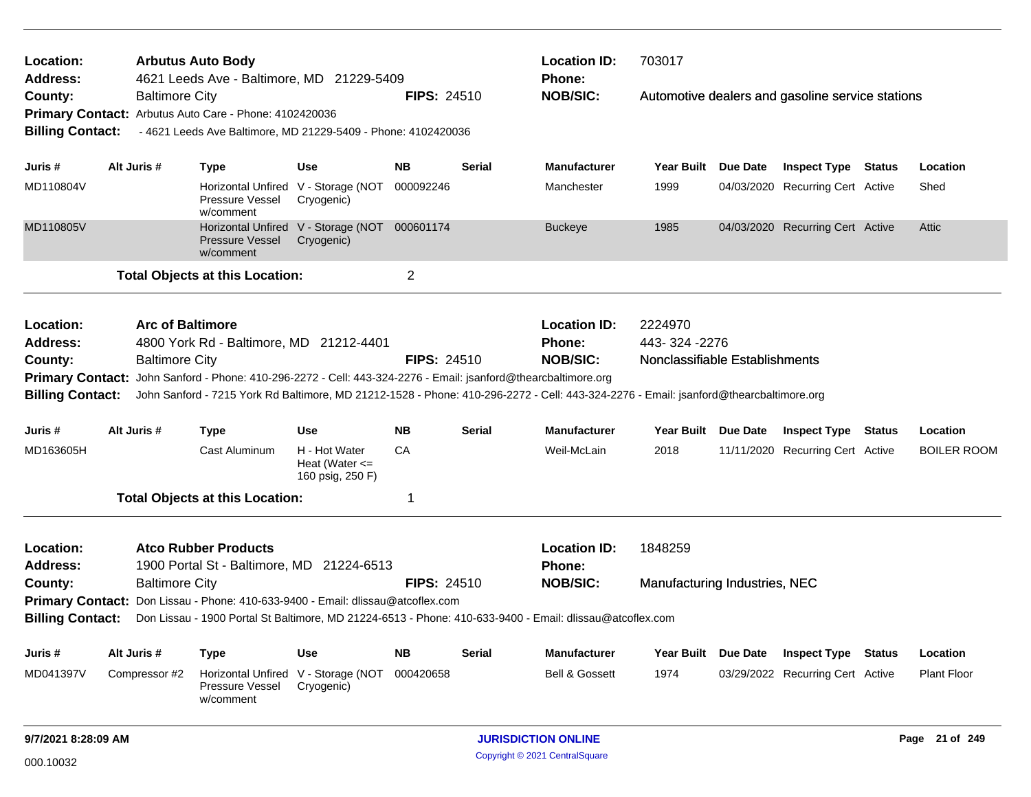| Location:                               |               | <b>Arbutus Auto Body</b>                                                                                                                                                                                                                                |                                                             |                    |               | <b>Location ID:</b>                              | 703017                                                    |          |                                                  |               |                    |
|-----------------------------------------|---------------|---------------------------------------------------------------------------------------------------------------------------------------------------------------------------------------------------------------------------------------------------------|-------------------------------------------------------------|--------------------|---------------|--------------------------------------------------|-----------------------------------------------------------|----------|--------------------------------------------------|---------------|--------------------|
| <b>Address:</b>                         |               | 4621 Leeds Ave - Baltimore, MD 21229-5409                                                                                                                                                                                                               |                                                             |                    |               | Phone:                                           |                                                           |          |                                                  |               |                    |
| County:                                 |               | <b>Baltimore City</b>                                                                                                                                                                                                                                   |                                                             | <b>FIPS: 24510</b> |               | <b>NOB/SIC:</b>                                  |                                                           |          | Automotive dealers and gasoline service stations |               |                    |
|                                         |               | Primary Contact: Arbutus Auto Care - Phone: 4102420036                                                                                                                                                                                                  |                                                             |                    |               |                                                  |                                                           |          |                                                  |               |                    |
| <b>Billing Contact:</b>                 |               | - 4621 Leeds Ave Baltimore, MD 21229-5409 - Phone: 4102420036                                                                                                                                                                                           |                                                             |                    |               |                                                  |                                                           |          |                                                  |               |                    |
| Juris #                                 | Alt Juris #   | <b>Type</b>                                                                                                                                                                                                                                             | <b>Use</b>                                                  | <b>NB</b>          | <b>Serial</b> | <b>Manufacturer</b>                              | Year Built Due Date                                       |          | <b>Inspect Type Status</b>                       |               | Location           |
| MD110804V                               |               | Pressure Vessel<br>w/comment                                                                                                                                                                                                                            | Horizontal Unfired V - Storage (NOT<br>Cryogenic)           | 000092246          |               | Manchester                                       | 1999                                                      |          | 04/03/2020 Recurring Cert Active                 |               | Shed               |
| MD110805V                               |               | <b>Pressure Vessel</b><br>w/comment                                                                                                                                                                                                                     | Horizontal Unfired V - Storage (NOT 000601174<br>Cryogenic) |                    |               | <b>Buckeye</b>                                   | 1985                                                      |          | 04/03/2020 Recurring Cert Active                 |               | Attic              |
|                                         |               | <b>Total Objects at this Location:</b>                                                                                                                                                                                                                  |                                                             | $\overline{c}$     |               |                                                  |                                                           |          |                                                  |               |                    |
| Location:<br><b>Address:</b><br>County: |               | <b>Arc of Baltimore</b><br>4800 York Rd - Baltimore, MD 21212-4401<br><b>Baltimore City</b>                                                                                                                                                             |                                                             | <b>FIPS: 24510</b> |               | <b>Location ID:</b><br>Phone:<br><b>NOB/SIC:</b> | 2224970<br>443-324-2276<br>Nonclassifiable Establishments |          |                                                  |               |                    |
|                                         |               |                                                                                                                                                                                                                                                         |                                                             |                    |               |                                                  |                                                           |          |                                                  |               |                    |
| <b>Billing Contact:</b>                 |               | Primary Contact: John Sanford - Phone: 410-296-2272 - Cell: 443-324-2276 - Email: jsanford@thearcbaltimore.org<br>John Sanford - 7215 York Rd Baltimore, MD 21212-1528 - Phone: 410-296-2272 - Cell: 443-324-2276 - Email: jsanford@thearcbaltimore.org |                                                             |                    |               |                                                  |                                                           |          |                                                  |               |                    |
|                                         |               |                                                                                                                                                                                                                                                         |                                                             |                    |               |                                                  |                                                           |          |                                                  |               |                    |
| Juris #                                 | Alt Juris #   | <b>Type</b>                                                                                                                                                                                                                                             | <b>Use</b>                                                  | <b>NB</b>          | Serial        | <b>Manufacturer</b>                              | Year Built Due Date                                       |          | <b>Inspect Type Status</b>                       |               | Location           |
| MD163605H                               |               | Cast Aluminum                                                                                                                                                                                                                                           | H - Hot Water<br>Heat (Water $\leq$<br>160 psig, 250 F)     | CA                 |               | Weil-McLain                                      | 2018                                                      |          | 11/11/2020 Recurring Cert Active                 |               | <b>BOILER ROOM</b> |
|                                         |               | <b>Total Objects at this Location:</b>                                                                                                                                                                                                                  |                                                             | -1                 |               |                                                  |                                                           |          |                                                  |               |                    |
| Location:<br><b>Address:</b>            |               | <b>Atco Rubber Products</b><br>1900 Portal St - Baltimore, MD 21224-6513                                                                                                                                                                                |                                                             |                    |               | <b>Location ID:</b><br><b>Phone:</b>             | 1848259                                                   |          |                                                  |               |                    |
| County:                                 |               | <b>Baltimore City</b>                                                                                                                                                                                                                                   |                                                             | <b>FIPS: 24510</b> |               | <b>NOB/SIC:</b>                                  | Manufacturing Industries, NEC                             |          |                                                  |               |                    |
|                                         |               | Primary Contact: Don Lissau - Phone: 410-633-9400 - Email: dlissau@atcoflex.com                                                                                                                                                                         |                                                             |                    |               |                                                  |                                                           |          |                                                  |               |                    |
| <b>Billing Contact:</b>                 |               | Don Lissau - 1900 Portal St Baltimore, MD 21224-6513 - Phone: 410-633-9400 - Email: dlissau@atcoflex.com                                                                                                                                                |                                                             |                    |               |                                                  |                                                           |          |                                                  |               |                    |
| Juris #                                 | Alt Juris #   | <b>Type</b>                                                                                                                                                                                                                                             | Use                                                         | <b>NB</b>          | Serial        | <b>Manufacturer</b>                              | <b>Year Built</b>                                         | Due Date | <b>Inspect Type</b>                              | <b>Status</b> | Location           |
| MD041397V                               | Compressor #2 | <b>Horizontal Unfired</b><br>Pressure Vessel<br>w/comment                                                                                                                                                                                               | V - Storage (NOT<br>Cryogenic)                              | 000420658          |               | <b>Bell &amp; Gossett</b>                        | 1974                                                      |          | 03/29/2022 Recurring Cert Active                 |               | <b>Plant Floor</b> |
| 9/7/2021 8:28:09 AM                     |               |                                                                                                                                                                                                                                                         |                                                             |                    |               | <b>JURISDICTION ONLINE</b>                       |                                                           |          |                                                  |               | Page 21 of 249     |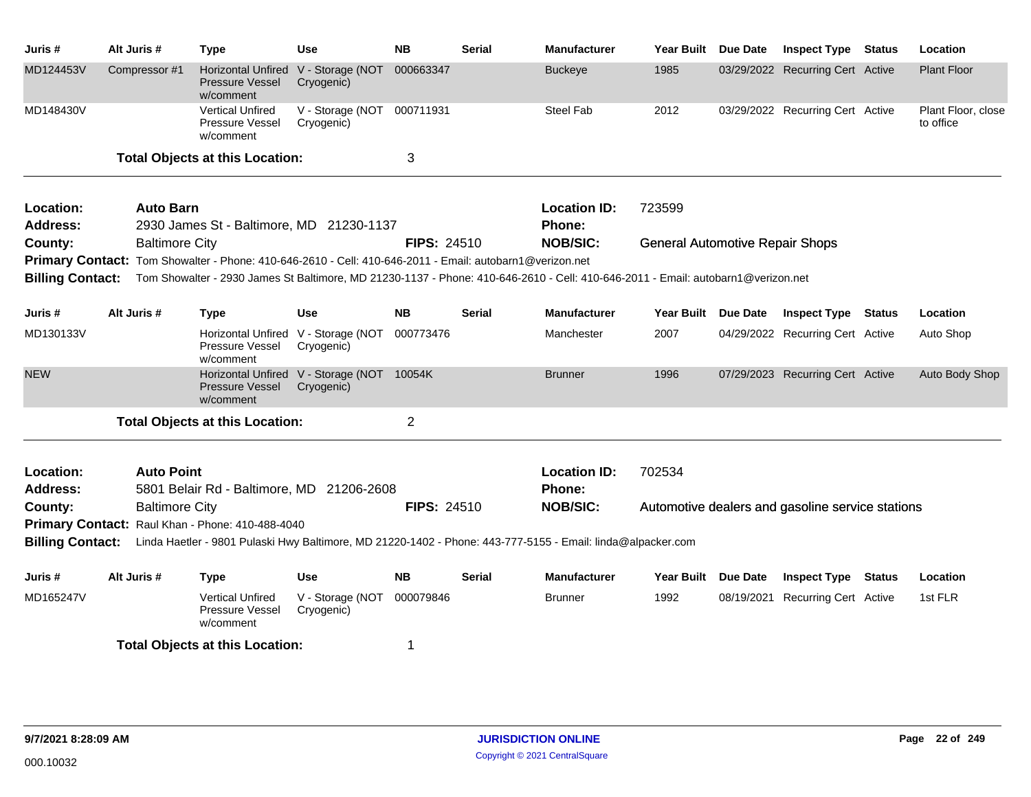| Juris #                 | Alt Juris #           | <b>Type</b>                                                                                              | <b>Use</b>                                               | <b>NB</b>          | <b>Serial</b> | <b>Manufacturer</b>                                                                                                              | <b>Year Built</b>                      | Due Date        | <b>Inspect Type Status</b>                       | Location                        |
|-------------------------|-----------------------|----------------------------------------------------------------------------------------------------------|----------------------------------------------------------|--------------------|---------------|----------------------------------------------------------------------------------------------------------------------------------|----------------------------------------|-----------------|--------------------------------------------------|---------------------------------|
| MD124453V               | Compressor #1         | <b>Horizontal Unfired</b><br><b>Pressure Vessel</b><br>w/comment                                         | V - Storage (NOT<br>Cryogenic)                           | 000663347          |               | <b>Buckeye</b>                                                                                                                   | 1985                                   |                 | 03/29/2022 Recurring Cert Active                 | <b>Plant Floor</b>              |
| MD148430V               |                       | <b>Vertical Unfired</b><br>Pressure Vessel<br>w/comment                                                  | V - Storage (NOT 000711931<br>Cryogenic)                 |                    |               | <b>Steel Fab</b>                                                                                                                 | 2012                                   |                 | 03/29/2022 Recurring Cert Active                 | Plant Floor, close<br>to office |
|                         |                       | <b>Total Objects at this Location:</b>                                                                   |                                                          | 3                  |               |                                                                                                                                  |                                        |                 |                                                  |                                 |
| Location:               | <b>Auto Barn</b>      |                                                                                                          |                                                          |                    |               | <b>Location ID:</b>                                                                                                              | 723599                                 |                 |                                                  |                                 |
| <b>Address:</b>         |                       | 2930 James St - Baltimore, MD 21230-1137                                                                 |                                                          |                    |               | <b>Phone:</b>                                                                                                                    |                                        |                 |                                                  |                                 |
| County:                 | <b>Baltimore City</b> |                                                                                                          |                                                          | <b>FIPS: 24510</b> |               | <b>NOB/SIC:</b>                                                                                                                  | <b>General Automotive Repair Shops</b> |                 |                                                  |                                 |
|                         |                       | Primary Contact: Tom Showalter - Phone: 410-646-2610 - Cell: 410-646-2011 - Email: autobarn1@verizon.net |                                                          |                    |               |                                                                                                                                  |                                        |                 |                                                  |                                 |
| <b>Billing Contact:</b> |                       |                                                                                                          |                                                          |                    |               | Tom Showalter - 2930 James St Baltimore, MD 21230-1137 - Phone: 410-646-2610 - Cell: 410-646-2011 - Email: autobarn1@verizon.net |                                        |                 |                                                  |                                 |
| Juris #                 | Alt Juris #           | <b>Type</b>                                                                                              | <b>Use</b>                                               | <b>NB</b>          | Serial        | <b>Manufacturer</b>                                                                                                              | <b>Year Built</b>                      | <b>Due Date</b> | <b>Inspect Type Status</b>                       | Location                        |
| MD130133V               |                       | Pressure Vessel<br>w/comment                                                                             | Horizontal Unfired V - Storage (NOT<br>Cryogenic)        | 000773476          |               | Manchester                                                                                                                       | 2007                                   |                 | 04/29/2022 Recurring Cert Active                 | Auto Shop                       |
| <b>NEW</b>              |                       | <b>Pressure Vessel</b><br>w/comment                                                                      | Horizontal Unfired V - Storage (NOT 10054K<br>Cryogenic) |                    |               | <b>Brunner</b>                                                                                                                   | 1996                                   |                 | 07/29/2023 Recurring Cert Active                 | Auto Body Shop                  |
|                         |                       | <b>Total Objects at this Location:</b>                                                                   |                                                          | $\overline{2}$     |               |                                                                                                                                  |                                        |                 |                                                  |                                 |
| Location:               | <b>Auto Point</b>     |                                                                                                          |                                                          |                    |               | <b>Location ID:</b>                                                                                                              | 702534                                 |                 |                                                  |                                 |
| <b>Address:</b>         |                       | 5801 Belair Rd - Baltimore, MD 21206-2608                                                                |                                                          |                    |               | Phone:                                                                                                                           |                                        |                 |                                                  |                                 |
| County:                 | <b>Baltimore City</b> |                                                                                                          |                                                          | <b>FIPS: 24510</b> |               | <b>NOB/SIC:</b>                                                                                                                  |                                        |                 | Automotive dealers and gasoline service stations |                                 |
|                         |                       | Primary Contact: Raul Khan - Phone: 410-488-4040                                                         |                                                          |                    |               |                                                                                                                                  |                                        |                 |                                                  |                                 |
|                         |                       |                                                                                                          |                                                          |                    |               | Billing Contact: Linda Haetler - 9801 Pulaski Hwy Baltimore, MD 21220-1402 - Phone: 443-777-5155 - Email: linda@alpacker.com     |                                        |                 |                                                  |                                 |
| Juris #                 | Alt Juris #           | <b>Type</b>                                                                                              | <b>Use</b>                                               | <b>NB</b>          | Serial        | <b>Manufacturer</b>                                                                                                              | Year Built                             | Due Date        | <b>Inspect Type Status</b>                       | Location                        |
| MD165247V               |                       | <b>Vertical Unfired</b><br>Pressure Vessel<br>w/comment                                                  | V - Storage (NOT<br>Cryogenic)                           | 000079846          |               | <b>Brunner</b>                                                                                                                   | 1992                                   |                 | 08/19/2021 Recurring Cert Active                 | 1st FLR                         |
|                         |                       | <b>Total Objects at this Location:</b>                                                                   |                                                          | 1                  |               |                                                                                                                                  |                                        |                 |                                                  |                                 |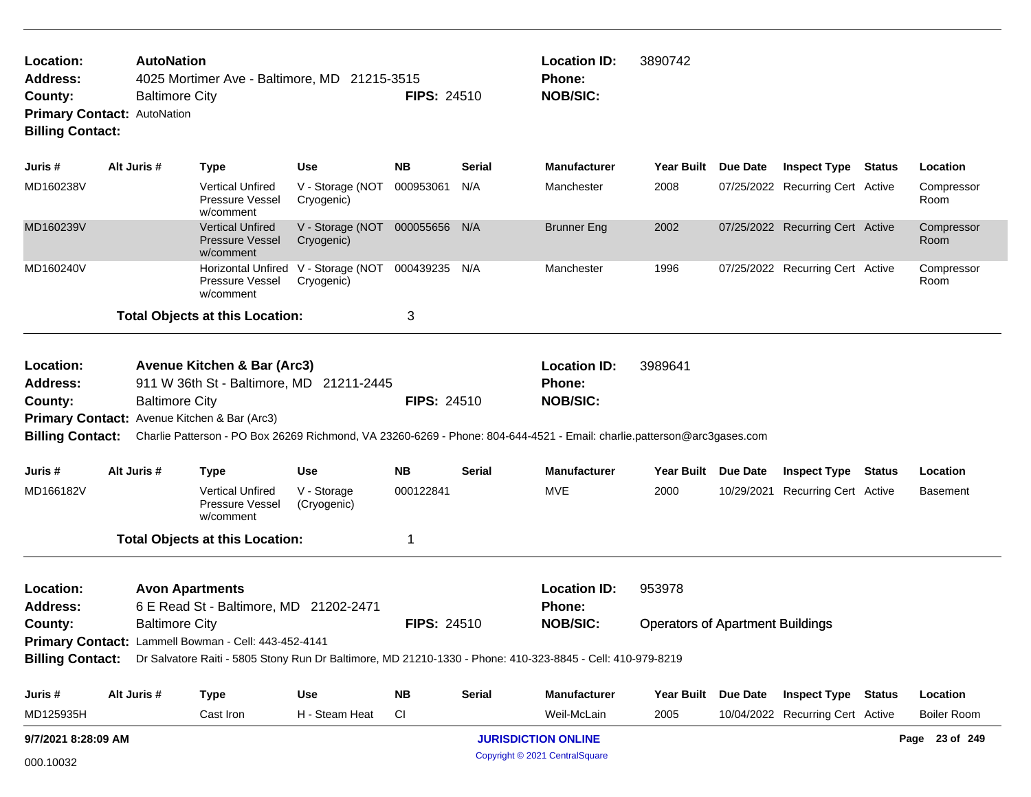| Location:<br><b>Address:</b><br>County:<br>Primary Contact: AutoNation<br><b>Billing Contact:</b> |                        | <b>AutoNation</b><br><b>Location ID:</b><br>3890742<br>4025 Mortimer Ave - Baltimore, MD 21215-3515<br><b>Phone:</b><br><b>NOB/SIC:</b><br><b>FIPS: 24510</b><br><b>Baltimore City</b> |                                                   |                    |               |                                                                                                                                                                                                     |                                         |                                  |               |                    |
|---------------------------------------------------------------------------------------------------|------------------------|----------------------------------------------------------------------------------------------------------------------------------------------------------------------------------------|---------------------------------------------------|--------------------|---------------|-----------------------------------------------------------------------------------------------------------------------------------------------------------------------------------------------------|-----------------------------------------|----------------------------------|---------------|--------------------|
| Juris #                                                                                           | Alt Juris #            | <b>Type</b>                                                                                                                                                                            | Use                                               | NΒ                 | Serial        | <b>Manufacturer</b>                                                                                                                                                                                 | Year Built Due Date                     | <b>Inspect Type Status</b>       |               | Location           |
| MD160238V                                                                                         |                        | <b>Vertical Unfired</b><br><b>Pressure Vessel</b><br>w/comment                                                                                                                         | V - Storage (NOT<br>Cryogenic)                    | 000953061          | N/A           | Manchester                                                                                                                                                                                          | 2008                                    | 07/25/2022 Recurring Cert Active |               | Compressor<br>Room |
| MD160239V                                                                                         |                        | <b>Vertical Unfired</b><br><b>Pressure Vessel</b><br>w/comment                                                                                                                         | V - Storage (NOT 000055656 N/A<br>Cryogenic)      |                    |               | <b>Brunner Eng</b>                                                                                                                                                                                  | 2002                                    | 07/25/2022 Recurring Cert Active |               | Compressor<br>Room |
| MD160240V                                                                                         |                        | Pressure Vessel<br>w/comment                                                                                                                                                           | Horizontal Unfired V - Storage (NOT<br>Cryogenic) | 000439235 N/A      |               | Manchester                                                                                                                                                                                          | 1996                                    | 07/25/2022 Recurring Cert Active |               | Compressor<br>Room |
|                                                                                                   |                        | <b>Total Objects at this Location:</b>                                                                                                                                                 |                                                   | 3                  |               |                                                                                                                                                                                                     |                                         |                                  |               |                    |
| Location:<br><b>Address:</b><br>County:<br>Primary Contact: Avenue Kitchen & Bar (Arc3)           | <b>Baltimore City</b>  | Avenue Kitchen & Bar (Arc3)<br>911 W 36th St - Baltimore, MD 21211-2445                                                                                                                |                                                   | <b>FIPS: 24510</b> |               | <b>Location ID:</b><br><b>Phone:</b><br><b>NOB/SIC:</b><br>Billing Contact: Charlie Patterson - PO Box 26269 Richmond, VA 23260-6269 - Phone: 804-644-4521 - Email: charlie.patterson@arc3gases.com | 3989641                                 |                                  |               |                    |
| Juris #                                                                                           | Alt Juris #            | <b>Type</b>                                                                                                                                                                            | Use                                               | <b>NB</b>          | Serial        | <b>Manufacturer</b>                                                                                                                                                                                 | Year Built Due Date                     | <b>Inspect Type</b>              | <b>Status</b> | Location           |
| MD166182V                                                                                         |                        | <b>Vertical Unfired</b><br><b>Pressure Vessel</b><br>w/comment                                                                                                                         | V - Storage<br>(Cryogenic)                        | 000122841          |               | <b>MVE</b>                                                                                                                                                                                          | 2000                                    | 10/29/2021 Recurring Cert Active |               | <b>Basement</b>    |
|                                                                                                   |                        | <b>Total Objects at this Location:</b>                                                                                                                                                 |                                                   | 1                  |               |                                                                                                                                                                                                     |                                         |                                  |               |                    |
| Location:<br><b>Address:</b>                                                                      | <b>Avon Apartments</b> | 6 E Read St - Baltimore, MD 21202-2471                                                                                                                                                 |                                                   |                    |               | <b>Location ID:</b><br><b>Phone:</b>                                                                                                                                                                | 953978                                  |                                  |               |                    |
| County:                                                                                           | <b>Baltimore City</b>  |                                                                                                                                                                                        |                                                   | <b>FIPS: 24510</b> |               | <b>NOB/SIC:</b>                                                                                                                                                                                     | <b>Operators of Apartment Buildings</b> |                                  |               |                    |
|                                                                                                   |                        | Primary Contact: Lammell Bowman - Cell: 443-452-4141                                                                                                                                   |                                                   |                    |               | Billing Contact: Dr Salvatore Raiti - 5805 Stony Run Dr Baltimore, MD 21210-1330 - Phone: 410-323-8845 - Cell: 410-979-8219                                                                         |                                         |                                  |               |                    |
| Juris #                                                                                           | Alt Juris #            | <b>Type</b>                                                                                                                                                                            | Use                                               | <b>NB</b>          | <b>Serial</b> | Manufacturer                                                                                                                                                                                        | Year Built Due Date                     | <b>Inspect Type Status</b>       |               | Location           |
| MD125935H                                                                                         |                        | Cast Iron                                                                                                                                                                              | H - Steam Heat                                    | CI                 |               | Weil-McLain                                                                                                                                                                                         | 2005                                    | 10/04/2022 Recurring Cert Active |               | <b>Boiler Room</b> |
| 9/7/2021 8:28:09 AM                                                                               |                        |                                                                                                                                                                                        |                                                   |                    |               | <b>JURISDICTION ONLINE</b>                                                                                                                                                                          |                                         |                                  |               | Page 23 of 249     |

Copyright © 2021 CentralSquare 000.10032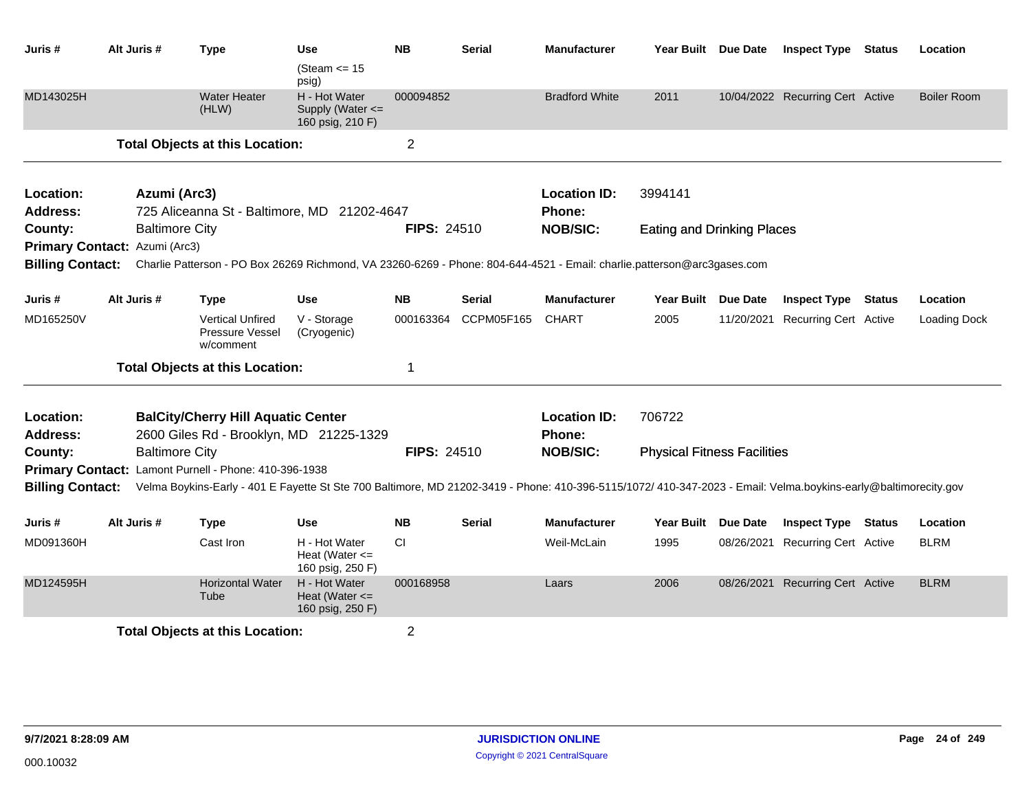| Juris #                      | Alt Juris #                   | <b>Type</b>                                                                                                                                                     | <b>Use</b>                                              | <b>NB</b>          | <b>Serial</b> | <b>Manufacturer</b>           | Year Built Due Date                |                 | <b>Inspect Type Status</b>       |               | Location            |
|------------------------------|-------------------------------|-----------------------------------------------------------------------------------------------------------------------------------------------------------------|---------------------------------------------------------|--------------------|---------------|-------------------------------|------------------------------------|-----------------|----------------------------------|---------------|---------------------|
|                              |                               |                                                                                                                                                                 | (Steam $\le$ 15<br>psig)                                |                    |               |                               |                                    |                 |                                  |               |                     |
| MD143025H                    |                               | <b>Water Heater</b><br>(HLW)                                                                                                                                    | H - Hot Water<br>Supply (Water <=<br>160 psig, 210 F)   | 000094852          |               | <b>Bradford White</b>         | 2011                               |                 | 10/04/2022 Recurring Cert Active |               | <b>Boiler Room</b>  |
|                              |                               | <b>Total Objects at this Location:</b>                                                                                                                          |                                                         | $\overline{2}$     |               |                               |                                    |                 |                                  |               |                     |
| Location:                    | Azumi (Arc3)                  |                                                                                                                                                                 |                                                         |                    |               | <b>Location ID:</b>           | 3994141                            |                 |                                  |               |                     |
| <b>Address:</b>              |                               | 725 Aliceanna St - Baltimore, MD 21202-4647                                                                                                                     |                                                         |                    |               | <b>Phone:</b>                 |                                    |                 |                                  |               |                     |
| County:                      | <b>Baltimore City</b>         |                                                                                                                                                                 |                                                         | <b>FIPS: 24510</b> |               | <b>NOB/SIC:</b>               | <b>Eating and Drinking Places</b>  |                 |                                  |               |                     |
|                              | Primary Contact: Azumi (Arc3) |                                                                                                                                                                 |                                                         |                    |               |                               |                                    |                 |                                  |               |                     |
| <b>Billing Contact:</b>      |                               | Charlie Patterson - PO Box 26269 Richmond, VA 23260-6269 - Phone: 804-644-4521 - Email: charlie.patterson@arc3gases.com                                         |                                                         |                    |               |                               |                                    |                 |                                  |               |                     |
| Juris #                      | Alt Juris #                   | <b>Type</b>                                                                                                                                                     | <b>Use</b>                                              | <b>NB</b>          | Serial        | <b>Manufacturer</b>           | Year Built                         | <b>Due Date</b> | <b>Inspect Type</b>              | <b>Status</b> | Location            |
| MD165250V                    |                               | <b>Vertical Unfired</b><br><b>Pressure Vessel</b><br>w/comment                                                                                                  | V - Storage<br>(Cryogenic)                              | 000163364          | CCPM05F165    | <b>CHART</b>                  | 2005                               | 11/20/2021      | <b>Recurring Cert Active</b>     |               | <b>Loading Dock</b> |
|                              |                               | <b>Total Objects at this Location:</b>                                                                                                                          |                                                         | 1                  |               |                               |                                    |                 |                                  |               |                     |
| Location:<br><b>Address:</b> |                               | <b>BalCity/Cherry Hill Aquatic Center</b><br>2600 Giles Rd - Brooklyn, MD 21225-1329                                                                            |                                                         |                    |               | <b>Location ID:</b><br>Phone: | 706722                             |                 |                                  |               |                     |
| County:                      | <b>Baltimore City</b>         |                                                                                                                                                                 |                                                         | <b>FIPS: 24510</b> |               | <b>NOB/SIC:</b>               | <b>Physical Fitness Facilities</b> |                 |                                  |               |                     |
|                              |                               | Primary Contact: Lamont Purnell - Phone: 410-396-1938                                                                                                           |                                                         |                    |               |                               |                                    |                 |                                  |               |                     |
| <b>Billing Contact:</b>      |                               | Velma Boykins-Early - 401 E Fayette St Ste 700 Baltimore, MD 21202-3419 - Phone: 410-396-5115/1072/ 410-347-2023 - Email: Velma.boykins-early@baltimorecity.gov |                                                         |                    |               |                               |                                    |                 |                                  |               |                     |
| Juris #                      | Alt Juris #                   | <b>Type</b>                                                                                                                                                     | <b>Use</b>                                              | <b>NB</b>          | <b>Serial</b> | <b>Manufacturer</b>           | <b>Year Built</b>                  | <b>Due Date</b> | <b>Inspect Type</b>              | <b>Status</b> | Location            |
| MD091360H                    |                               | Cast Iron                                                                                                                                                       | H - Hot Water<br>Heat (Water $\leq$<br>160 psig, 250 F) | СI                 |               | Weil-McLain                   | 1995                               | 08/26/2021      | <b>Recurring Cert Active</b>     |               | <b>BLRM</b>         |
| MD124595H                    |                               | <b>Horizontal Water</b><br>Tube                                                                                                                                 | H - Hot Water<br>Heat (Water $\leq$<br>160 psig, 250 F) | 000168958          |               | Laars                         | 2006                               | 08/26/2021      | <b>Recurring Cert Active</b>     |               | <b>BLRM</b>         |
|                              |                               | <b>Total Objects at this Location:</b>                                                                                                                          |                                                         | $\overline{2}$     |               |                               |                                    |                 |                                  |               |                     |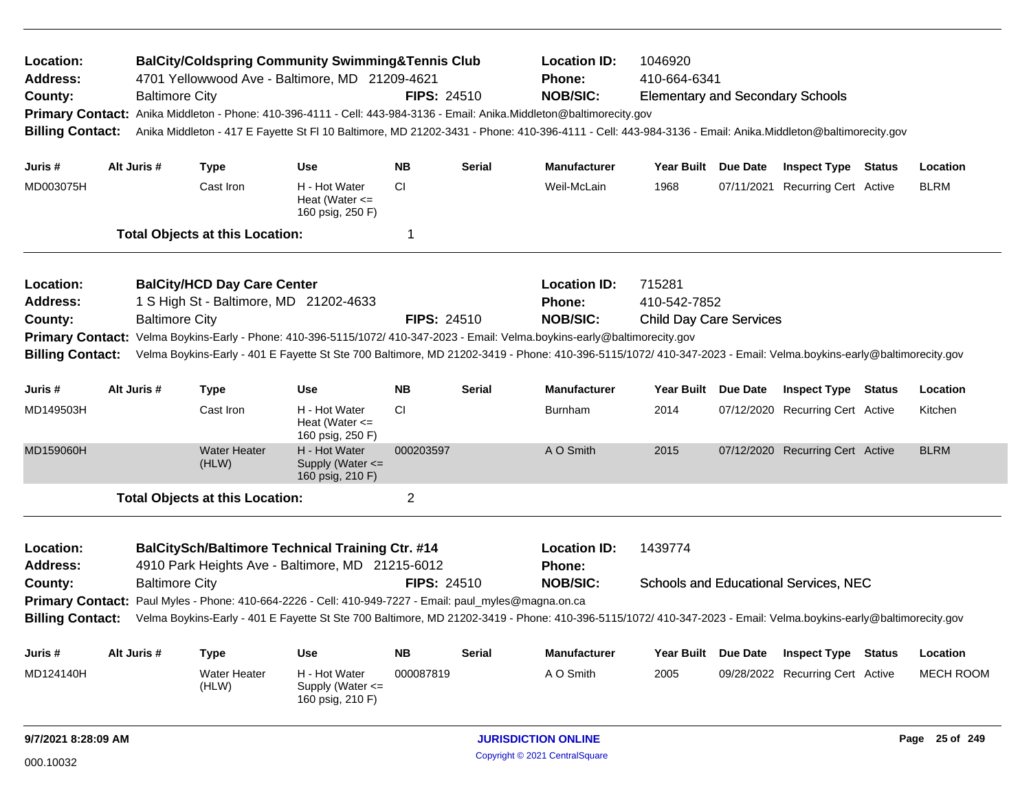| Location:<br><b>Address:</b><br>County:<br><b>Billing Contact:</b>                                                                                                                                                                                                                                | <b>Baltimore City</b> | <b>BalCity/Coldspring Community Swimming&amp;Tennis Club</b><br>4701 Yellowwood Ave - Baltimore, MD 21209-4621<br>Primary Contact: Anika Middleton - Phone: 410-396-4111 - Cell: 443-984-3136 - Email: Anika.Middleton@baltimorecity.gov<br>Anika Middleton - 417 E Fayette St FI 10 Baltimore, MD 21202-3431 - Phone: 410-396-4111 - Cell: 443-984-3136 - Email: Anika.Middleton@baltimorecity.gov |                                                           | <b>FIPS: 24510</b> |                                                         | <b>Location ID:</b><br>Phone:<br><b>NOB/SIC:</b>        | 1046920<br>410-664-6341<br><b>Elementary and Secondary Schools</b> |                                              |                                                         |        |                     |
|---------------------------------------------------------------------------------------------------------------------------------------------------------------------------------------------------------------------------------------------------------------------------------------------------|-----------------------|-----------------------------------------------------------------------------------------------------------------------------------------------------------------------------------------------------------------------------------------------------------------------------------------------------------------------------------------------------------------------------------------------------|-----------------------------------------------------------|--------------------|---------------------------------------------------------|---------------------------------------------------------|--------------------------------------------------------------------|----------------------------------------------|---------------------------------------------------------|--------|---------------------|
| Juris #                                                                                                                                                                                                                                                                                           | Alt Juris #           | <b>Type</b>                                                                                                                                                                                                                                                                                                                                                                                         | <b>Use</b>                                                | <b>NB</b>          | <b>Serial</b>                                           | <b>Manufacturer</b>                                     | Year Built Due Date                                                |                                              | <b>Inspect Type Status</b>                              |        | Location            |
| MD003075H                                                                                                                                                                                                                                                                                         |                       | Cast Iron                                                                                                                                                                                                                                                                                                                                                                                           | H - Hot Water<br>Heat (Water $\leq$<br>160 psig, 250 F)   | CI.                |                                                         | Weil-McLain                                             | 1968                                                               |                                              | 07/11/2021 Recurring Cert Active                        |        | <b>BLRM</b>         |
|                                                                                                                                                                                                                                                                                                   |                       | <b>Total Objects at this Location:</b>                                                                                                                                                                                                                                                                                                                                                              |                                                           | $\overline{1}$     |                                                         |                                                         |                                                                    |                                              |                                                         |        |                     |
| Location:<br><b>Address:</b><br>County:                                                                                                                                                                                                                                                           | <b>Baltimore City</b> | <b>BalCity/HCD Day Care Center</b><br>1 S High St - Baltimore, MD 21202-4633<br>Primary Contact: Velma Boykins-Early - Phone: 410-396-5115/1072/ 410-347-2023 - Email: Velma.boykins-early@baltimorecity.gov                                                                                                                                                                                        |                                                           | FIPS: 24510        |                                                         | <b>Location ID:</b><br><b>Phone:</b><br><b>NOB/SIC:</b> | 715281<br>410-542-7852<br><b>Child Day Care Services</b>           |                                              |                                                         |        |                     |
| Velma Boykins-Early - 401 E Fayette St Ste 700 Baltimore, MD 21202-3419 - Phone: 410-396-5115/1072/ 410-347-2023 - Email: Velma.boykins-early@baltimorecity.gov<br><b>Billing Contact:</b><br>Alt Juris #<br><b>Use</b><br><b>NB</b><br><b>Serial</b><br><b>Manufacturer</b><br><b>Year Built</b> |                       |                                                                                                                                                                                                                                                                                                                                                                                                     |                                                           |                    |                                                         |                                                         |                                                                    |                                              |                                                         |        |                     |
| Juris #<br>MD149503H                                                                                                                                                                                                                                                                              |                       | <b>Type</b><br>Cast Iron                                                                                                                                                                                                                                                                                                                                                                            | H - Hot Water<br>Heat (Water $\leq$<br>160 psig, 250 F)   | CI                 |                                                         | Burnham                                                 | 2014                                                               | <b>Due Date</b>                              | <b>Inspect Type</b><br>07/12/2020 Recurring Cert Active | Status | Location<br>Kitchen |
| MD159060H                                                                                                                                                                                                                                                                                         |                       | <b>Water Heater</b><br>(HLW)                                                                                                                                                                                                                                                                                                                                                                        | H - Hot Water<br>Supply (Water $\leq$<br>160 psig, 210 F) | 000203597          |                                                         | A O Smith                                               | 2015                                                               |                                              | 07/12/2020 Recurring Cert Active                        |        | <b>BLRM</b>         |
|                                                                                                                                                                                                                                                                                                   |                       | <b>Total Objects at this Location:</b>                                                                                                                                                                                                                                                                                                                                                              |                                                           | $\overline{2}$     |                                                         |                                                         |                                                                    |                                              |                                                         |        |                     |
| Location:<br><b>Address:</b><br>County:<br><b>Billing Contact:</b>                                                                                                                                                                                                                                | <b>Baltimore City</b> | <b>BalCitySch/Baltimore Technical Training Ctr. #14</b><br>4910 Park Heights Ave - Baltimore, MD 21215-6012<br>Primary Contact: Paul Myles - Phone: 410-664-2226 - Cell: 410-949-7227 - Email: paul_myles@magna.on.ca<br>Velma Boykins-Early - 401 E Fayette St Ste 700 Baltimore, MD 21202-3419 - Phone: 410-396-5115/1072/ 410-347-2023 - Email: Velma.boykins-early@baltimorecity.gov            |                                                           | <b>FIPS: 24510</b> | <b>Location ID:</b><br><b>Phone:</b><br><b>NOB/SIC:</b> | 1439774                                                 |                                                                    | <b>Schools and Educational Services, NEC</b> |                                                         |        |                     |
| Juris #                                                                                                                                                                                                                                                                                           | Alt Juris #           | Type                                                                                                                                                                                                                                                                                                                                                                                                | <b>Use</b>                                                | <b>NB</b>          | <b>Serial</b>                                           | <b>Manufacturer</b>                                     | Year Built Due Date                                                |                                              | <b>Inspect Type</b>                                     | Status | Location            |
| MD124140H                                                                                                                                                                                                                                                                                         |                       | <b>Water Heater</b><br>(HLW)                                                                                                                                                                                                                                                                                                                                                                        | H - Hot Water<br>Supply (Water $\leq$<br>160 psig, 210 F) | 000087819          |                                                         | A O Smith                                               | 2005                                                               |                                              | 09/28/2022 Recurring Cert Active                        |        | <b>MECH ROOM</b>    |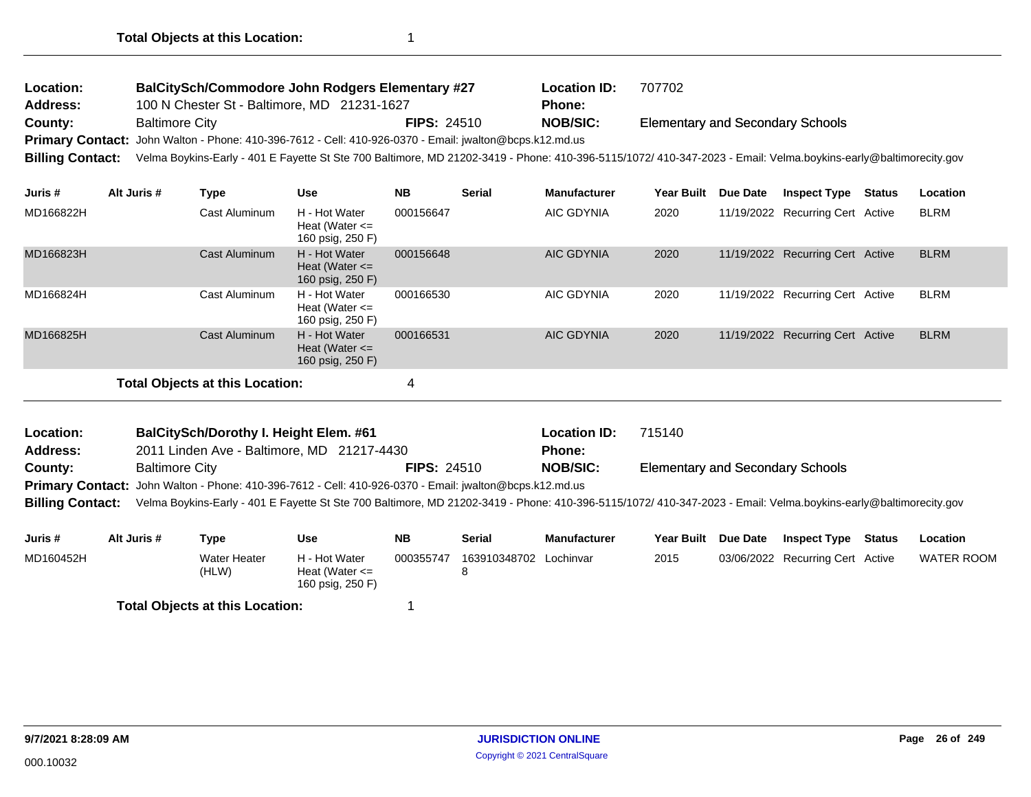| <b>Location:</b> | <b>BalCitySch/Commodore John Rodgers Elementary #27</b>                                                 |                    | <b>Location ID:</b> | 707702                                                                                                                                                          |
|------------------|---------------------------------------------------------------------------------------------------------|--------------------|---------------------|-----------------------------------------------------------------------------------------------------------------------------------------------------------------|
| <b>Address:</b>  | 100 N Chester St - Baltimore, MD 21231-1627                                                             |                    | Phone:              |                                                                                                                                                                 |
| <b>County:</b>   | <b>Baltimore City</b>                                                                                   | <b>FIPS: 24510</b> | <b>NOB/SIC:</b>     | <b>Elementary and Secondary Schools</b>                                                                                                                         |
|                  | Primary Contact: John Walton - Phone: 410-396-7612 - Cell: 410-926-0370 - Email: jwalton@bcps.k12.md.us |                    |                     |                                                                                                                                                                 |
| Billing Contact: |                                                                                                         |                    |                     | Velma Boykins-Early - 401 E Fayette St Ste 700 Baltimore, MD 21202-3419 - Phone: 410-396-5115/1072/ 410-347-2023 - Email: Velma.boykins-early@baltimorecity.gov |

| Juris #   | Alt Juris # | Type                                   | <b>Use</b>                                              | <b>NB</b> | <b>Serial</b> | <b>Manufacturer</b> | <b>Year Built</b> | Due Date | <b>Inspect Type</b>              | Status | Location    |
|-----------|-------------|----------------------------------------|---------------------------------------------------------|-----------|---------------|---------------------|-------------------|----------|----------------------------------|--------|-------------|
| MD166822H |             | Cast Aluminum                          | H - Hot Water<br>Heat (Water $\leq$<br>160 psig, 250 F) | 000156647 |               | AIC GDYNIA          | 2020              |          | 11/19/2022 Recurring Cert Active |        | <b>BLRM</b> |
| MD166823H |             | Cast Aluminum                          | H - Hot Water<br>Heat (Water $\leq$<br>160 psig, 250 F) | 000156648 |               | AIC GDYNIA          | 2020              |          | 11/19/2022 Recurring Cert Active |        | <b>BLRM</b> |
| MD166824H |             | Cast Aluminum                          | H - Hot Water<br>Heat (Water $\leq$<br>160 psig, 250 F) | 000166530 |               | AIC GDYNIA          | 2020              |          | 11/19/2022 Recurring Cert Active |        | <b>BLRM</b> |
| MD166825H |             | Cast Aluminum                          | H - Hot Water<br>Heat (Water $\leq$<br>160 psig, 250 F) | 000166531 |               | AIC GDYNIA          | 2020              |          | 11/19/2022 Recurring Cert Active |        | <b>BLRM</b> |
|           |             | <b>Total Objects at this Location:</b> |                                                         | 4         |               |                     |                   |          |                                  |        |             |

| Location:               | <b>BalCitySch/Dorothy I. Height Elem. #61</b>                                                           |                    | <b>Location ID:</b> | 715140                                                                                                                                                          |
|-------------------------|---------------------------------------------------------------------------------------------------------|--------------------|---------------------|-----------------------------------------------------------------------------------------------------------------------------------------------------------------|
| <b>Address:</b>         | 2011 Linden Ave - Baltimore, MD 21217-4430                                                              |                    | Phone:              |                                                                                                                                                                 |
| County:                 | <b>Baltimore City</b>                                                                                   | <b>FIPS: 24510</b> | <b>NOB/SIC:</b>     | <b>Elementary and Secondary Schools</b>                                                                                                                         |
|                         | Primary Contact: John Walton - Phone: 410-396-7612 - Cell: 410-926-0370 - Email: jwalton@bcps.k12.md.us |                    |                     |                                                                                                                                                                 |
| <b>Billing Contact:</b> |                                                                                                         |                    |                     | Velma Boykins-Early - 401 E Fayette St Ste 700 Baltimore, MD 21202-3419 - Phone: 410-396-5115/1072/ 410-347-2023 - Email: Velma.boykins-early@baltimorecity.gov |

| Juris #   | Alt Juris # | Type                                   | <b>Use</b>                                              | <b>NB</b> | Serial                 | <b>Manufacturer</b> | Year Built | <b>Due Date</b> | <b>Inspect Type</b>              | Status | Location   |
|-----------|-------------|----------------------------------------|---------------------------------------------------------|-----------|------------------------|---------------------|------------|-----------------|----------------------------------|--------|------------|
| MD160452H |             | <b>Water Heater</b><br>(HLW)           | H - Hot Water<br>Heat (Water $\leq$<br>160 psig, 250 F) | 000355747 | 163910348702 Lochinvar |                     | 2015       |                 | 03/06/2022 Recurring Cert Active |        | WATER ROOM |
|           |             | <b>Total Objects at this Location:</b> |                                                         |           |                        |                     |            |                 |                                  |        |            |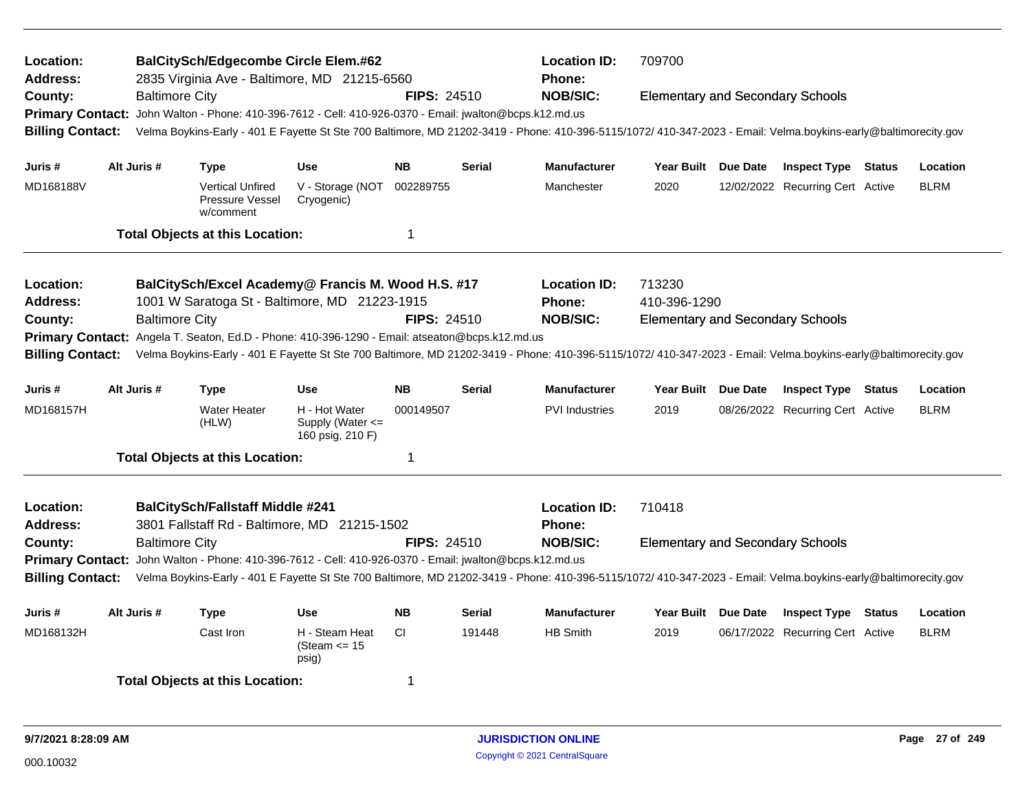| Location:<br><b>Address:</b>                                                                                                                                                                                                                                                                          |                                                                                                                                                                                            | <b>BalCitySch/Edgecombe Circle Elem.#62</b><br><b>Location ID:</b><br>709700<br>2835 Virginia Ave - Baltimore, MD 21215-6560<br><b>Phone:</b><br><b>NOB/SIC:</b><br><b>Baltimore City</b><br><b>FIPS: 24510</b><br><b>Elementary and Secondary Schools</b> |                                                         |                                                                                        |                    |               |                                                                                                                                                                 |                                         |  |                                  |               |             |
|-------------------------------------------------------------------------------------------------------------------------------------------------------------------------------------------------------------------------------------------------------------------------------------------------------|--------------------------------------------------------------------------------------------------------------------------------------------------------------------------------------------|------------------------------------------------------------------------------------------------------------------------------------------------------------------------------------------------------------------------------------------------------------|---------------------------------------------------------|----------------------------------------------------------------------------------------|--------------------|---------------|-----------------------------------------------------------------------------------------------------------------------------------------------------------------|-----------------------------------------|--|----------------------------------|---------------|-------------|
| County:                                                                                                                                                                                                                                                                                               |                                                                                                                                                                                            |                                                                                                                                                                                                                                                            |                                                         |                                                                                        |                    |               |                                                                                                                                                                 |                                         |  |                                  |               |             |
| <b>Primary Contact:</b>                                                                                                                                                                                                                                                                               |                                                                                                                                                                                            |                                                                                                                                                                                                                                                            |                                                         | John Walton - Phone: 410-396-7612 - Cell: 410-926-0370 - Email: jwalton@bcps.k12.md.us |                    |               |                                                                                                                                                                 |                                         |  |                                  |               |             |
| <b>Billing Contact:</b>                                                                                                                                                                                                                                                                               |                                                                                                                                                                                            |                                                                                                                                                                                                                                                            |                                                         |                                                                                        |                    |               | Velma Boykins-Early - 401 E Fayette St Ste 700 Baltimore, MD 21202-3419 - Phone: 410-396-5115/1072/ 410-347-2023 - Email: Velma.boykins-early@baltimorecity.gov |                                         |  |                                  |               |             |
| Juris #                                                                                                                                                                                                                                                                                               | Alt Juris #                                                                                                                                                                                |                                                                                                                                                                                                                                                            | <b>Type</b>                                             | <b>Use</b>                                                                             | <b>NB</b>          | <b>Serial</b> | <b>Manufacturer</b>                                                                                                                                             | Year Built Due Date                     |  | <b>Inspect Type Status</b>       |               | Location    |
| MD168188V                                                                                                                                                                                                                                                                                             |                                                                                                                                                                                            |                                                                                                                                                                                                                                                            | <b>Vertical Unfired</b><br>Pressure Vessel<br>w/comment | V - Storage (NOT<br>Cryogenic)                                                         | 002289755          |               | Manchester                                                                                                                                                      | 2020                                    |  | 12/02/2022 Recurring Cert Active |               | <b>BLRM</b> |
|                                                                                                                                                                                                                                                                                                       |                                                                                                                                                                                            |                                                                                                                                                                                                                                                            | <b>Total Objects at this Location:</b>                  |                                                                                        | 1                  |               |                                                                                                                                                                 |                                         |  |                                  |               |             |
|                                                                                                                                                                                                                                                                                                       |                                                                                                                                                                                            |                                                                                                                                                                                                                                                            |                                                         |                                                                                        |                    |               |                                                                                                                                                                 |                                         |  |                                  |               |             |
| Location:                                                                                                                                                                                                                                                                                             |                                                                                                                                                                                            |                                                                                                                                                                                                                                                            |                                                         | BalCitySch/Excel Academy@ Francis M. Wood H.S. #17                                     |                    |               | <b>Location ID:</b>                                                                                                                                             | 713230                                  |  |                                  |               |             |
| <b>Address:</b>                                                                                                                                                                                                                                                                                       |                                                                                                                                                                                            |                                                                                                                                                                                                                                                            |                                                         | 1001 W Saratoga St - Baltimore, MD 21223-1915                                          |                    |               | <b>Phone:</b>                                                                                                                                                   | 410-396-1290                            |  |                                  |               |             |
| County:                                                                                                                                                                                                                                                                                               |                                                                                                                                                                                            | <b>Baltimore City</b>                                                                                                                                                                                                                                      |                                                         |                                                                                        | <b>FIPS: 24510</b> |               | <b>NOB/SIC:</b>                                                                                                                                                 | <b>Elementary and Secondary Schools</b> |  |                                  |               |             |
|                                                                                                                                                                                                                                                                                                       | Angela T. Seaton, Ed.D - Phone: 410-396-1290 - Email: atseaton@bcps.k12.md.us<br><b>Primary Contact:</b>                                                                                   |                                                                                                                                                                                                                                                            |                                                         |                                                                                        |                    |               |                                                                                                                                                                 |                                         |  |                                  |               |             |
|                                                                                                                                                                                                                                                                                                       | Velma Boykins-Early - 401 E Fayette St Ste 700 Baltimore, MD 21202-3419 - Phone: 410-396-5115/1072/ 410-347-2023 - Email: Velma.boykins-early@baltimorecity.gov<br><b>Billing Contact:</b> |                                                                                                                                                                                                                                                            |                                                         |                                                                                        |                    |               |                                                                                                                                                                 |                                         |  |                                  |               |             |
| Juris #                                                                                                                                                                                                                                                                                               | Alt Juris #                                                                                                                                                                                |                                                                                                                                                                                                                                                            | <b>Type</b>                                             | <b>Use</b>                                                                             | <b>NB</b>          | <b>Serial</b> | <b>Manufacturer</b>                                                                                                                                             | Year Built Due Date                     |  | <b>Inspect Type Status</b>       |               | Location    |
| MD168157H                                                                                                                                                                                                                                                                                             |                                                                                                                                                                                            |                                                                                                                                                                                                                                                            | <b>Water Heater</b><br>(HLW)                            | H - Hot Water<br>Supply (Water $\leq$<br>160 psig, 210 F)                              | 000149507          |               | <b>PVI</b> Industries                                                                                                                                           | 2019                                    |  | 08/26/2022 Recurring Cert Active |               | <b>BLRM</b> |
|                                                                                                                                                                                                                                                                                                       |                                                                                                                                                                                            |                                                                                                                                                                                                                                                            | <b>Total Objects at this Location:</b>                  |                                                                                        | 1                  |               |                                                                                                                                                                 |                                         |  |                                  |               |             |
| Location:<br>Address:                                                                                                                                                                                                                                                                                 |                                                                                                                                                                                            |                                                                                                                                                                                                                                                            | <b>BalCitySch/Fallstaff Middle #241</b>                 | 3801 Fallstaff Rd - Baltimore, MD 21215-1502                                           |                    |               | <b>Location ID:</b><br><b>Phone:</b>                                                                                                                            | 710418                                  |  |                                  |               |             |
| County:                                                                                                                                                                                                                                                                                               |                                                                                                                                                                                            | <b>Baltimore City</b>                                                                                                                                                                                                                                      |                                                         |                                                                                        | <b>FIPS: 24510</b> |               | <b>NOB/SIC:</b>                                                                                                                                                 | <b>Elementary and Secondary Schools</b> |  |                                  |               |             |
|                                                                                                                                                                                                                                                                                                       |                                                                                                                                                                                            |                                                                                                                                                                                                                                                            |                                                         |                                                                                        |                    |               |                                                                                                                                                                 |                                         |  |                                  |               |             |
| Primary Contact: John Walton - Phone: 410-396-7612 - Cell: 410-926-0370 - Email: jwalton@bcps.k12.md.us<br><b>Billing Contact:</b><br>Velma Boykins-Early - 401 E Fayette St Ste 700 Baltimore, MD 21202-3419 - Phone: 410-396-5115/1072/ 410-347-2023 - Email: Velma.boykins-early@baltimorecity.gov |                                                                                                                                                                                            |                                                                                                                                                                                                                                                            |                                                         |                                                                                        |                    |               |                                                                                                                                                                 |                                         |  |                                  |               |             |
| Juris #                                                                                                                                                                                                                                                                                               | Alt Juris #                                                                                                                                                                                |                                                                                                                                                                                                                                                            | <b>Type</b>                                             | <b>Use</b>                                                                             | <b>NB</b>          | <b>Serial</b> | <b>Manufacturer</b>                                                                                                                                             | Year Built Due Date                     |  | <b>Inspect Type</b>              | <b>Status</b> | Location    |
| MD168132H                                                                                                                                                                                                                                                                                             |                                                                                                                                                                                            |                                                                                                                                                                                                                                                            | Cast Iron                                               | H - Steam Heat<br>(Steam $\le$ 15<br>psig)                                             | <b>CI</b>          | 191448        | <b>HB Smith</b>                                                                                                                                                 | 2019                                    |  | 06/17/2022 Recurring Cert Active |               | <b>BLRM</b> |
|                                                                                                                                                                                                                                                                                                       |                                                                                                                                                                                            |                                                                                                                                                                                                                                                            | <b>Total Objects at this Location:</b>                  |                                                                                        | 1                  |               |                                                                                                                                                                 |                                         |  |                                  |               |             |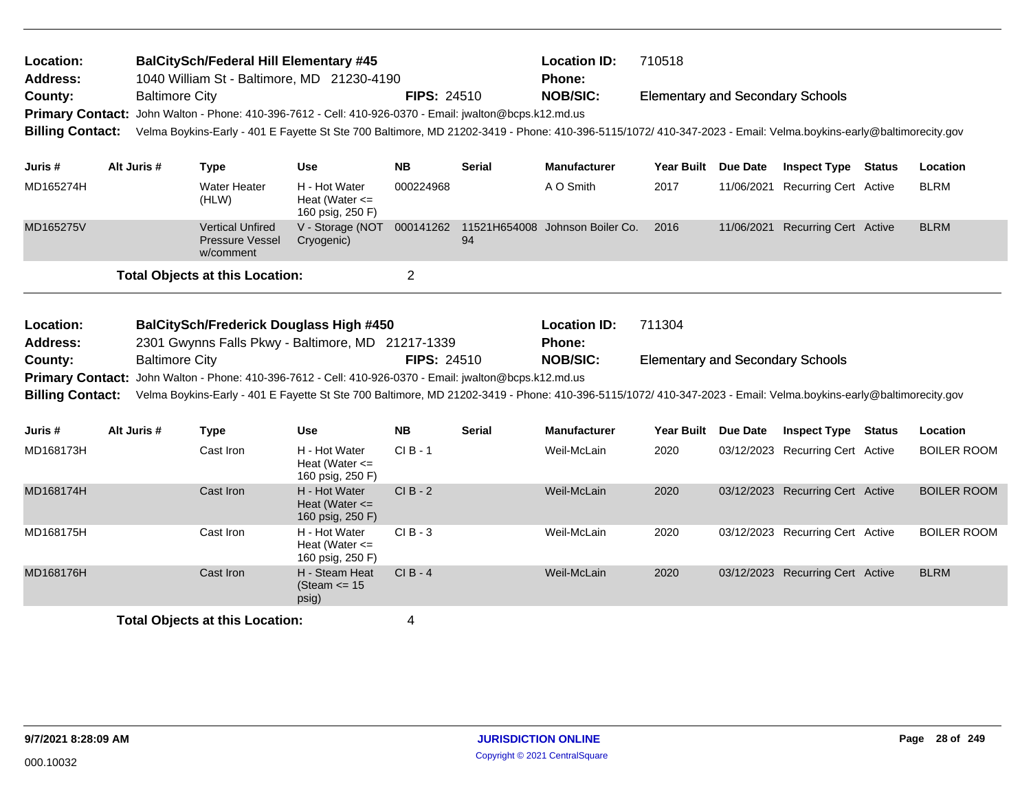| Location:<br><b>Address:</b>                                                                                       |                       | <b>BalCitySch/Federal Hill Elementary #45</b>                  | 1040 William St - Baltimore, MD 21230-4190                                                          |                    |               | <b>Location ID:</b><br>Phone:                                                                                                                                   | 710518                                  |            |                                  |               |                    |
|--------------------------------------------------------------------------------------------------------------------|-----------------------|----------------------------------------------------------------|-----------------------------------------------------------------------------------------------------|--------------------|---------------|-----------------------------------------------------------------------------------------------------------------------------------------------------------------|-----------------------------------------|------------|----------------------------------|---------------|--------------------|
| County:<br>Primary Contact: John Walton - Phone: 410-396-7612 - Cell: 410-926-0370 - Email: jwalton@bcps.k12.md.us | <b>Baltimore City</b> |                                                                |                                                                                                     | <b>FIPS: 24510</b> |               | <b>NOB/SIC:</b>                                                                                                                                                 | <b>Elementary and Secondary Schools</b> |            |                                  |               |                    |
| <b>Billing Contact:</b>                                                                                            |                       |                                                                |                                                                                                     |                    |               | Velma Boykins-Early - 401 E Fayette St Ste 700 Baltimore, MD 21202-3419 - Phone: 410-396-5115/1072/ 410-347-2023 - Email: Velma.boykins-early@baltimorecity.gov |                                         |            |                                  |               |                    |
| Juris #                                                                                                            | Alt Juris #           | <b>Type</b>                                                    | <b>Use</b>                                                                                          | <b>NB</b>          | <b>Serial</b> | <b>Manufacturer</b>                                                                                                                                             | Year Built Due Date                     |            | <b>Inspect Type Status</b>       |               | Location           |
| MD165274H                                                                                                          |                       | <b>Water Heater</b><br>(HLW)                                   | H - Hot Water<br>Heat (Water $\leq$<br>160 psig, 250 F)                                             | 000224968          |               | A O Smith                                                                                                                                                       | 2017                                    | 11/06/2021 | <b>Recurring Cert Active</b>     |               | <b>BLRM</b>        |
| MD165275V                                                                                                          |                       | <b>Vertical Unfired</b><br><b>Pressure Vessel</b><br>w/comment | Cryogenic)                                                                                          |                    | 94            | V - Storage (NOT 000141262 11521H654008 Johnson Boiler Co.                                                                                                      | 2016                                    |            | 11/06/2021 Recurring Cert Active |               | <b>BLRM</b>        |
|                                                                                                                    |                       | <b>Total Objects at this Location:</b>                         |                                                                                                     | $\overline{2}$     |               |                                                                                                                                                                 |                                         |            |                                  |               |                    |
|                                                                                                                    |                       |                                                                |                                                                                                     |                    |               |                                                                                                                                                                 |                                         |            |                                  |               |                    |
| Location:<br>Address:                                                                                              |                       |                                                                | <b>BalCitySch/Frederick Douglass High #450</b><br>2301 Gwynns Falls Pkwy - Baltimore, MD 21217-1339 |                    |               | <b>Location ID:</b><br>Phone:                                                                                                                                   | 711304                                  |            |                                  |               |                    |
| County:                                                                                                            | <b>Baltimore City</b> |                                                                |                                                                                                     | <b>FIPS: 24510</b> |               | <b>NOB/SIC:</b>                                                                                                                                                 | <b>Elementary and Secondary Schools</b> |            |                                  |               |                    |
| Primary Contact: John Walton - Phone: 410-396-7612 - Cell: 410-926-0370 - Email: jwalton@bcps.k12.md.us            |                       |                                                                |                                                                                                     |                    |               |                                                                                                                                                                 |                                         |            |                                  |               |                    |
| <b>Billing Contact:</b>                                                                                            |                       |                                                                |                                                                                                     |                    |               | Velma Boykins-Early - 401 E Fayette St Ste 700 Baltimore, MD 21202-3419 - Phone: 410-396-5115/1072/ 410-347-2023 - Email: Velma.boykins-early@baltimorecity.gov |                                         |            |                                  |               |                    |
| Juris #                                                                                                            | Alt Juris #           | <b>Type</b>                                                    | <b>Use</b>                                                                                          | <b>NB</b>          | <b>Serial</b> | <b>Manufacturer</b>                                                                                                                                             | Year Built Due Date                     |            | <b>Inspect Type</b>              | <b>Status</b> | Location           |
| MD168173H                                                                                                          |                       | Cast Iron                                                      | H - Hot Water<br>Heat (Water $\leq$<br>160 psig, 250 F)                                             | $CI B - 1$         |               | Weil-McLain                                                                                                                                                     | 2020                                    |            | 03/12/2023 Recurring Cert Active |               | <b>BOILER ROOM</b> |
| MD168174H                                                                                                          |                       | Cast Iron                                                      | H - Hot Water<br>Heat (Water $\leq$<br>160 psig, 250 F)                                             | $CI B - 2$         |               | Weil-McLain                                                                                                                                                     | 2020                                    |            | 03/12/2023 Recurring Cert Active |               | <b>BOILER ROOM</b> |
| MD168175H                                                                                                          |                       | Cast Iron                                                      | H - Hot Water<br>Heat (Water $\leq$<br>160 psig, 250 F)                                             | $CI B - 3$         |               | Weil-McLain                                                                                                                                                     | 2020                                    |            | 03/12/2023 Recurring Cert Active |               | <b>BOILER ROOM</b> |
| MD168176H                                                                                                          |                       | Cast Iron                                                      | H - Steam Heat<br>(Steam $\le$ 15<br>psig)                                                          | $CI B - 4$         |               | Weil-McLain                                                                                                                                                     | 2020                                    |            | 03/12/2023 Recurring Cert Active |               | <b>BLRM</b>        |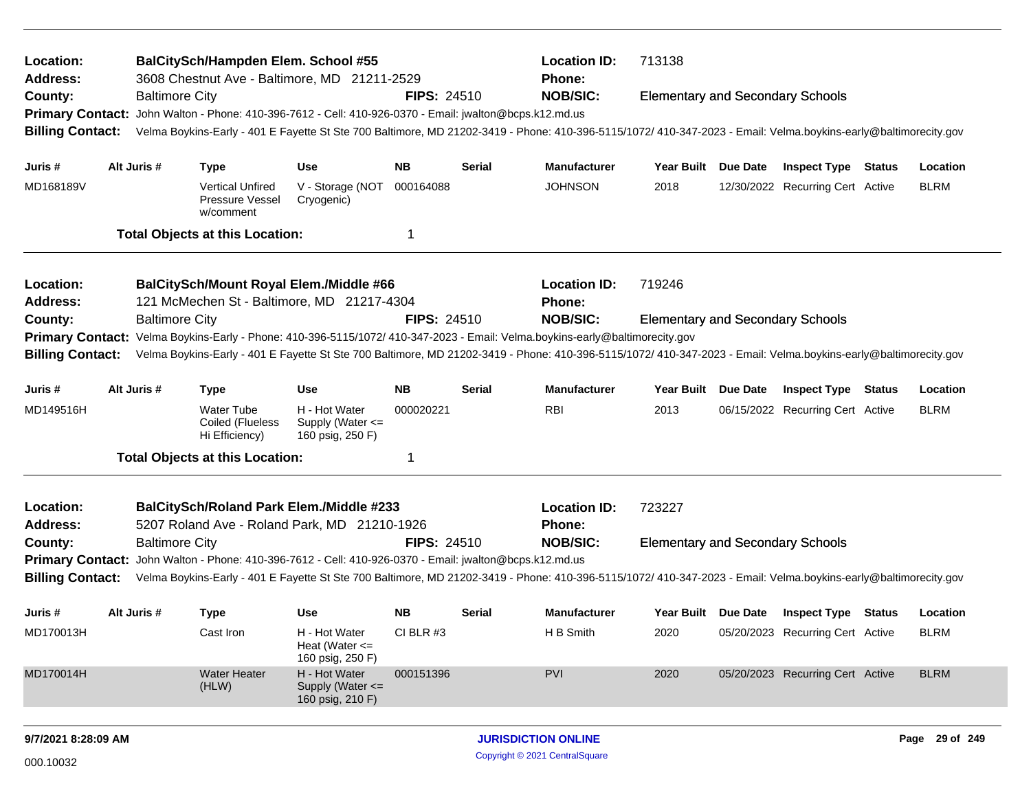| <b>Location:</b><br><b>Address:</b> |                                                                                                                                                                                                                                                                                                                                                                                                                         |                       | BalCitySch/Hampden Elem. School #55<br>3608 Chestnut Ave - Baltimore, MD 21211-2529                     |                                                           |                    |               | <b>Location ID:</b><br>Phone:                                                                                                                                   | 713138                                  |                                  |             |
|-------------------------------------|-------------------------------------------------------------------------------------------------------------------------------------------------------------------------------------------------------------------------------------------------------------------------------------------------------------------------------------------------------------------------------------------------------------------------|-----------------------|---------------------------------------------------------------------------------------------------------|-----------------------------------------------------------|--------------------|---------------|-----------------------------------------------------------------------------------------------------------------------------------------------------------------|-----------------------------------------|----------------------------------|-------------|
| County:                             |                                                                                                                                                                                                                                                                                                                                                                                                                         | <b>Baltimore City</b> |                                                                                                         |                                                           | <b>FIPS: 24510</b> |               | <b>NOB/SIC:</b>                                                                                                                                                 | <b>Elementary and Secondary Schools</b> |                                  |             |
| <b>Primary Contact:</b>             |                                                                                                                                                                                                                                                                                                                                                                                                                         |                       | John Walton - Phone: 410-396-7612 - Cell: 410-926-0370 - Email: jwalton@bcps.k12.md.us                  |                                                           |                    |               |                                                                                                                                                                 |                                         |                                  |             |
|                                     | <b>Billing Contact:</b><br>Velma Boykins-Early - 401 E Fayette St Ste 700 Baltimore, MD 21202-3419 - Phone: 410-396-5115/1072/ 410-347-2023 - Email: Velma.boykins-early@baltimorecity.gov<br><b>NB</b><br>Alt Juris #<br><b>Type</b><br><b>Use</b><br><b>Serial</b><br><b>Manufacturer</b><br>V - Storage (NOT<br>000164088<br><b>JOHNSON</b><br><b>Vertical Unfired</b><br>Pressure Vessel<br>Cryogenic)<br>w/comment |                       |                                                                                                         |                                                           |                    |               |                                                                                                                                                                 |                                         |                                  |             |
| Juris #                             |                                                                                                                                                                                                                                                                                                                                                                                                                         |                       |                                                                                                         |                                                           |                    |               |                                                                                                                                                                 | Year Built Due Date                     | <b>Inspect Type Status</b>       | Location    |
| MD168189V                           |                                                                                                                                                                                                                                                                                                                                                                                                                         |                       |                                                                                                         |                                                           |                    |               |                                                                                                                                                                 | 2018                                    | 12/30/2022 Recurring Cert Active | <b>BLRM</b> |
|                                     |                                                                                                                                                                                                                                                                                                                                                                                                                         |                       | <b>Total Objects at this Location:</b>                                                                  |                                                           | $\mathbf 1$        |               |                                                                                                                                                                 |                                         |                                  |             |
| <b>Location:</b>                    |                                                                                                                                                                                                                                                                                                                                                                                                                         |                       | <b>BalCitySch/Mount Royal Elem./Middle #66</b>                                                          |                                                           |                    |               | <b>Location ID:</b>                                                                                                                                             | 719246                                  |                                  |             |
| Address:                            |                                                                                                                                                                                                                                                                                                                                                                                                                         |                       | 121 McMechen St - Baltimore, MD 21217-4304                                                              |                                                           |                    |               | <b>Phone:</b>                                                                                                                                                   |                                         |                                  |             |
| County:                             |                                                                                                                                                                                                                                                                                                                                                                                                                         | <b>Baltimore City</b> |                                                                                                         |                                                           | <b>FIPS: 24510</b> |               | <b>NOB/SIC:</b>                                                                                                                                                 | <b>Elementary and Secondary Schools</b> |                                  |             |
|                                     | Primary Contact: Velma Boykins-Early - Phone: 410-396-5115/1072/ 410-347-2023 - Email: Velma.boykins-early@baltimorecity.gov                                                                                                                                                                                                                                                                                            |                       |                                                                                                         |                                                           |                    |               |                                                                                                                                                                 |                                         |                                  |             |
| <b>Billing Contact:</b>             | Velma Boykins-Early - 401 E Fayette St Ste 700 Baltimore, MD 21202-3419 - Phone: 410-396-5115/1072/ 410-347-2023 - Email: Velma.boykins-early@baltimorecity.gov                                                                                                                                                                                                                                                         |                       |                                                                                                         |                                                           |                    |               |                                                                                                                                                                 |                                         |                                  |             |
| Juris #                             |                                                                                                                                                                                                                                                                                                                                                                                                                         | Alt Juris #           | Type                                                                                                    | <b>Use</b>                                                | <b>NB</b>          | <b>Serial</b> | <b>Manufacturer</b>                                                                                                                                             | Year Built Due Date                     | <b>Inspect Type Status</b>       | Location    |
| MD149516H                           |                                                                                                                                                                                                                                                                                                                                                                                                                         |                       | <b>Water Tube</b><br>Coiled (Flueless<br>Hi Efficiency)                                                 | H - Hot Water<br>Supply (Water <=<br>160 psig, 250 F)     | 000020221          |               | <b>RBI</b>                                                                                                                                                      | 2013                                    | 06/15/2022 Recurring Cert Active | <b>BLRM</b> |
|                                     |                                                                                                                                                                                                                                                                                                                                                                                                                         |                       | <b>Total Objects at this Location:</b>                                                                  |                                                           | -1                 |               |                                                                                                                                                                 |                                         |                                  |             |
| Location:                           |                                                                                                                                                                                                                                                                                                                                                                                                                         |                       | <b>BalCitySch/Roland Park Elem./Middle #233</b>                                                         |                                                           |                    |               | <b>Location ID:</b>                                                                                                                                             | 723227                                  |                                  |             |
| <b>Address:</b>                     |                                                                                                                                                                                                                                                                                                                                                                                                                         |                       | 5207 Roland Ave - Roland Park, MD 21210-1926                                                            |                                                           |                    |               | Phone:                                                                                                                                                          |                                         |                                  |             |
| County:                             |                                                                                                                                                                                                                                                                                                                                                                                                                         | <b>Baltimore City</b> |                                                                                                         |                                                           | <b>FIPS: 24510</b> |               | <b>NOB/SIC:</b>                                                                                                                                                 | <b>Elementary and Secondary Schools</b> |                                  |             |
|                                     |                                                                                                                                                                                                                                                                                                                                                                                                                         |                       | Primary Contact: John Walton - Phone: 410-396-7612 - Cell: 410-926-0370 - Email: jwalton@bcps.k12.md.us |                                                           |                    |               |                                                                                                                                                                 |                                         |                                  |             |
| <b>Billing Contact:</b>             |                                                                                                                                                                                                                                                                                                                                                                                                                         |                       |                                                                                                         |                                                           |                    |               | Velma Boykins-Early - 401 E Fayette St Ste 700 Baltimore, MD 21202-3419 - Phone: 410-396-5115/1072/ 410-347-2023 - Email: Velma.boykins-early@baltimorecity.gov |                                         |                                  |             |
| Juris #                             |                                                                                                                                                                                                                                                                                                                                                                                                                         | Alt Juris #           | <b>Type</b>                                                                                             | <b>Use</b>                                                | <b>NB</b>          | <b>Serial</b> | <b>Manufacturer</b>                                                                                                                                             | Year Built Due Date                     | <b>Inspect Type Status</b>       | Location    |
| MD170013H                           |                                                                                                                                                                                                                                                                                                                                                                                                                         |                       | Cast Iron                                                                                               | H - Hot Water<br>Heat (Water <=<br>160 psig, 250 F)       | CIBLR#3            |               | H B Smith                                                                                                                                                       | 2020                                    | 05/20/2023 Recurring Cert Active | <b>BLRM</b> |
| MD170014H                           |                                                                                                                                                                                                                                                                                                                                                                                                                         |                       | <b>Water Heater</b><br>(HLW)                                                                            | H - Hot Water<br>Supply (Water $\leq$<br>160 psig, 210 F) | 000151396          |               | <b>PVI</b>                                                                                                                                                      | 2020                                    | 05/20/2023 Recurring Cert Active | <b>BLRM</b> |
|                                     |                                                                                                                                                                                                                                                                                                                                                                                                                         |                       |                                                                                                         |                                                           |                    |               |                                                                                                                                                                 |                                         |                                  |             |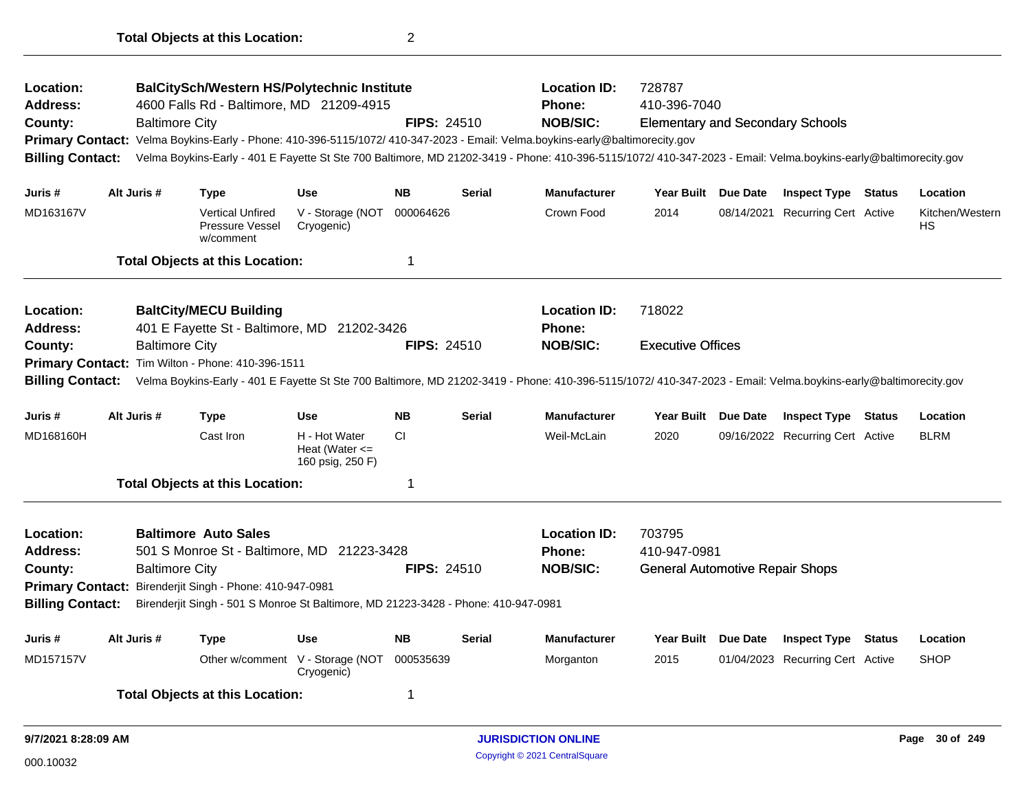| Location:<br><b>Address:</b><br>County:<br><b>Billing Contact:</b> | <b>Baltimore City</b> | <b>BalCitySch/Western HS/Polytechnic Institute</b><br>4600 Falls Rd - Baltimore, MD 21209-4915                                                                                                                              |                                                         | <b>FIPS: 24510</b> |               | <b>Location ID:</b><br>Phone:<br><b>NOB/SIC:</b><br>Primary Contact: Velma Boykins-Early - Phone: 410-396-5115/1072/ 410-347-2023 - Email: Velma.boykins-early@baltimorecity.gov<br>Velma Boykins-Early - 401 E Fayette St Ste 700 Baltimore, MD 21202-3419 - Phone: 410-396-5115/1072/ 410-347-2023 - Email: Velma.boykins-early@baltimorecity.gov | 728787<br>410-396-7040<br><b>Elementary and Secondary Schools</b> |          |                                  |        |                        |
|--------------------------------------------------------------------|-----------------------|-----------------------------------------------------------------------------------------------------------------------------------------------------------------------------------------------------------------------------|---------------------------------------------------------|--------------------|---------------|-----------------------------------------------------------------------------------------------------------------------------------------------------------------------------------------------------------------------------------------------------------------------------------------------------------------------------------------------------|-------------------------------------------------------------------|----------|----------------------------------|--------|------------------------|
| Juris #                                                            | Alt Juris #           | <b>Type</b>                                                                                                                                                                                                                 | Use                                                     | <b>NB</b>          | <b>Serial</b> | <b>Manufacturer</b>                                                                                                                                                                                                                                                                                                                                 | <b>Year Built</b>                                                 | Due Date | <b>Inspect Type Status</b>       |        | Location               |
| MD163167V                                                          |                       | <b>Vertical Unfired</b><br><b>Pressure Vessel</b><br>w/comment                                                                                                                                                              | V - Storage (NOT<br>Cryogenic)                          | 000064626          |               | Crown Food                                                                                                                                                                                                                                                                                                                                          | 2014                                                              |          | 08/14/2021 Recurring Cert Active |        | Kitchen/Western<br>HS. |
|                                                                    |                       | <b>Total Objects at this Location:</b>                                                                                                                                                                                      |                                                         | 1                  |               |                                                                                                                                                                                                                                                                                                                                                     |                                                                   |          |                                  |        |                        |
| Location:<br><b>Address:</b>                                       |                       | <b>BaltCity/MECU Building</b><br>401 E Fayette St - Baltimore, MD 21202-3426                                                                                                                                                |                                                         |                    |               | <b>Location ID:</b><br><b>Phone:</b>                                                                                                                                                                                                                                                                                                                | 718022                                                            |          |                                  |        |                        |
| County:<br><b>Billing Contact:</b>                                 | <b>Baltimore City</b> | Primary Contact: Tim Wilton - Phone: 410-396-1511                                                                                                                                                                           |                                                         | <b>FIPS: 24510</b> |               | <b>NOB/SIC:</b><br>Velma Boykins-Early - 401 E Fayette St Ste 700 Baltimore, MD 21202-3419 - Phone: 410-396-5115/1072/ 410-347-2023 - Email: Velma.boykins-early@baltimorecity.gov                                                                                                                                                                  | <b>Executive Offices</b>                                          |          |                                  |        |                        |
| Juris #                                                            | Alt Juris #           | <b>Type</b>                                                                                                                                                                                                                 | <b>Use</b>                                              | <b>NB</b>          | <b>Serial</b> | <b>Manufacturer</b>                                                                                                                                                                                                                                                                                                                                 | Year Built Due Date                                               |          | <b>Inspect Type Status</b>       |        | Location               |
| MD168160H                                                          |                       | Cast Iron                                                                                                                                                                                                                   | H - Hot Water<br>Heat (Water $\leq$<br>160 psig, 250 F) | CI                 |               | Weil-McLain                                                                                                                                                                                                                                                                                                                                         | 2020                                                              |          | 09/16/2022 Recurring Cert Active |        | <b>BLRM</b>            |
|                                                                    |                       | <b>Total Objects at this Location:</b>                                                                                                                                                                                      |                                                         | $\mathbf{1}$       |               |                                                                                                                                                                                                                                                                                                                                                     |                                                                   |          |                                  |        |                        |
| Location:<br>Address:<br>County:<br><b>Billing Contact:</b>        | <b>Baltimore City</b> | <b>Baltimore Auto Sales</b><br>501 S Monroe St - Baltimore, MD 21223-3428<br>Primary Contact: Birenderjit Singh - Phone: 410-947-0981<br>Birenderjit Singh - 501 S Monroe St Baltimore, MD 21223-3428 - Phone: 410-947-0981 |                                                         | <b>FIPS: 24510</b> |               | <b>Location ID:</b><br><b>Phone:</b><br><b>NOB/SIC:</b>                                                                                                                                                                                                                                                                                             | 703795<br>410-947-0981<br><b>General Automotive Repair Shops</b>  |          |                                  |        |                        |
| Juris #                                                            | Alt Juris #           | <b>Type</b>                                                                                                                                                                                                                 | <b>Use</b>                                              | <b>NB</b>          | <b>Serial</b> | <b>Manufacturer</b>                                                                                                                                                                                                                                                                                                                                 | Year Built                                                        | Due Date | <b>Inspect Type</b>              | Status | Location               |
| MD157157V                                                          |                       | Other w/comment V - Storage (NOT                                                                                                                                                                                            | Cryogenic)                                              | 000535639          |               | Morganton                                                                                                                                                                                                                                                                                                                                           | 2015                                                              |          | 01/04/2023 Recurring Cert Active |        | <b>SHOP</b>            |
|                                                                    |                       | <b>Total Objects at this Location:</b>                                                                                                                                                                                      |                                                         | 1                  |               |                                                                                                                                                                                                                                                                                                                                                     |                                                                   |          |                                  |        |                        |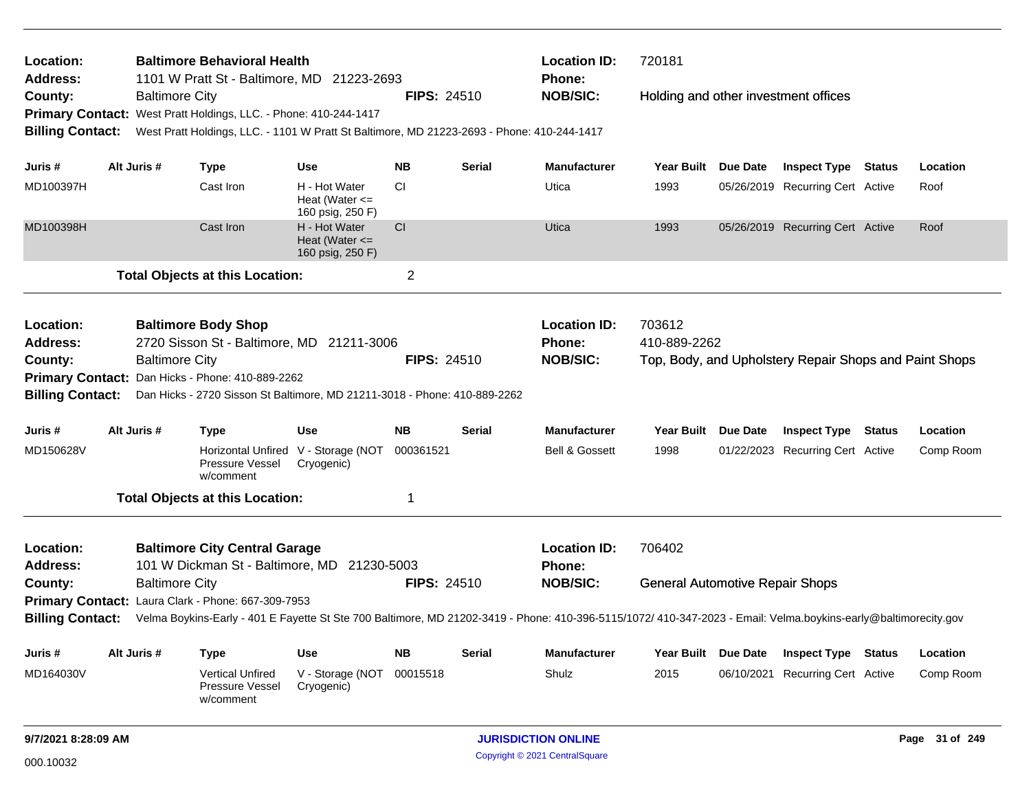| Location:                    | <b>Baltimore Behavioral Health</b><br><b>Address:</b><br>1101 W Pratt St - Baltimore, MD 21223-2693<br><b>Baltimore City</b>                                                               |                       |                                                                                            |                                                         |                    |               | <b>Location ID:</b><br>Phone: | 720181                                 |                                                        |                |
|------------------------------|--------------------------------------------------------------------------------------------------------------------------------------------------------------------------------------------|-----------------------|--------------------------------------------------------------------------------------------|---------------------------------------------------------|--------------------|---------------|-------------------------------|----------------------------------------|--------------------------------------------------------|----------------|
| County:                      |                                                                                                                                                                                            |                       |                                                                                            |                                                         | <b>FIPS: 24510</b> |               | <b>NOB/SIC:</b>               | Holding and other investment offices   |                                                        |                |
|                              |                                                                                                                                                                                            |                       | Primary Contact: West Pratt Holdings, LLC. - Phone: 410-244-1417                           |                                                         |                    |               |                               |                                        |                                                        |                |
| <b>Billing Contact:</b>      |                                                                                                                                                                                            |                       | West Pratt Holdings, LLC. - 1101 W Pratt St Baltimore, MD 21223-2693 - Phone: 410-244-1417 |                                                         |                    |               |                               |                                        |                                                        |                |
| Juris #                      |                                                                                                                                                                                            | Alt Juris #           | <b>Type</b>                                                                                | <b>Use</b>                                              | <b>NB</b>          | <b>Serial</b> | <b>Manufacturer</b>           | Year Built Due Date                    | <b>Inspect Type Status</b>                             | Location       |
|                              |                                                                                                                                                                                            |                       | Cast Iron                                                                                  | H - Hot Water                                           | CI.                |               |                               | 1993                                   |                                                        |                |
| MD100397H                    |                                                                                                                                                                                            |                       |                                                                                            | Heat (Water $\leq$<br>160 psig, 250 F)                  |                    |               | Utica                         |                                        | 05/26/2019 Recurring Cert Active                       | Roof           |
| MD100398H                    |                                                                                                                                                                                            |                       | Cast Iron                                                                                  | H - Hot Water<br>Heat (Water $\leq$<br>160 psig, 250 F) | CI                 |               | Utica                         | 1993                                   | 05/26/2019 Recurring Cert Active                       | Roof           |
|                              |                                                                                                                                                                                            |                       | <b>Total Objects at this Location:</b>                                                     |                                                         | $\overline{2}$     |               |                               |                                        |                                                        |                |
| Location:<br><b>Address:</b> |                                                                                                                                                                                            |                       | <b>Baltimore Body Shop</b>                                                                 |                                                         |                    |               | <b>Location ID:</b><br>Phone: | 703612<br>410-889-2262                 |                                                        |                |
| County:                      | 2720 Sisson St - Baltimore, MD 21211-3006<br><b>Baltimore City</b>                                                                                                                         |                       |                                                                                            |                                                         | <b>FIPS: 24510</b> |               | <b>NOB/SIC:</b>               |                                        |                                                        |                |
|                              | Primary Contact: Dan Hicks - Phone: 410-889-2262                                                                                                                                           |                       |                                                                                            |                                                         |                    |               |                               |                                        | Top, Body, and Upholstery Repair Shops and Paint Shops |                |
|                              | <b>Billing Contact:</b><br>Dan Hicks - 2720 Sisson St Baltimore, MD 21211-3018 - Phone: 410-889-2262                                                                                       |                       |                                                                                            |                                                         |                    |               |                               |                                        |                                                        |                |
| Juris #                      |                                                                                                                                                                                            | Alt Juris #           | <b>Type</b>                                                                                | <b>Use</b>                                              | <b>NB</b>          | Serial        | <b>Manufacturer</b>           | Year Built Due Date                    | <b>Inspect Type Status</b>                             | Location       |
| MD150628V                    |                                                                                                                                                                                            |                       | Pressure Vessel<br>w/comment                                                               | Horizontal Unfired V - Storage (NOT<br>Cryogenic)       | 000361521          |               | <b>Bell &amp; Gossett</b>     | 1998                                   | 01/22/2023 Recurring Cert Active                       | Comp Room      |
|                              |                                                                                                                                                                                            |                       | <b>Total Objects at this Location:</b>                                                     |                                                         | 1                  |               |                               |                                        |                                                        |                |
| Location:                    |                                                                                                                                                                                            |                       | <b>Baltimore City Central Garage</b>                                                       |                                                         |                    |               | <b>Location ID:</b>           | 706402                                 |                                                        |                |
| <b>Address:</b>              |                                                                                                                                                                                            |                       | 101 W Dickman St - Baltimore, MD 21230-5003                                                |                                                         |                    |               | <b>Phone:</b>                 |                                        |                                                        |                |
| County:                      |                                                                                                                                                                                            | <b>Baltimore City</b> |                                                                                            |                                                         | <b>FIPS: 24510</b> |               | <b>NOB/SIC:</b>               | <b>General Automotive Repair Shops</b> |                                                        |                |
|                              |                                                                                                                                                                                            |                       | Primary Contact: Laura Clark - Phone: 667-309-7953                                         |                                                         |                    |               |                               |                                        |                                                        |                |
|                              | <b>Billing Contact:</b><br>Velma Boykins-Early - 401 E Fayette St Ste 700 Baltimore, MD 21202-3419 - Phone: 410-396-5115/1072/ 410-347-2023 - Email: Velma.boykins-early@baltimorecity.gov |                       |                                                                                            |                                                         |                    |               |                               |                                        |                                                        |                |
| Juris #                      |                                                                                                                                                                                            | Alt Juris #           | <b>Type</b>                                                                                | <b>Use</b>                                              | <b>NB</b>          | Serial        | <b>Manufacturer</b>           | Year Built Due Date                    | <b>Inspect Type Status</b>                             | Location       |
| MD164030V                    |                                                                                                                                                                                            |                       | <b>Vertical Unfired</b><br>Pressure Vessel<br>w/comment                                    | V - Storage (NOT<br>Cryogenic)                          | 00015518           |               | Shulz                         | 2015                                   | 06/10/2021 Recurring Cert Active                       | Comp Room      |
| 9/7/2021 8:28:09 AM          |                                                                                                                                                                                            |                       |                                                                                            |                                                         |                    |               | <b>JURISDICTION ONLINE</b>    |                                        |                                                        | Page 31 of 249 |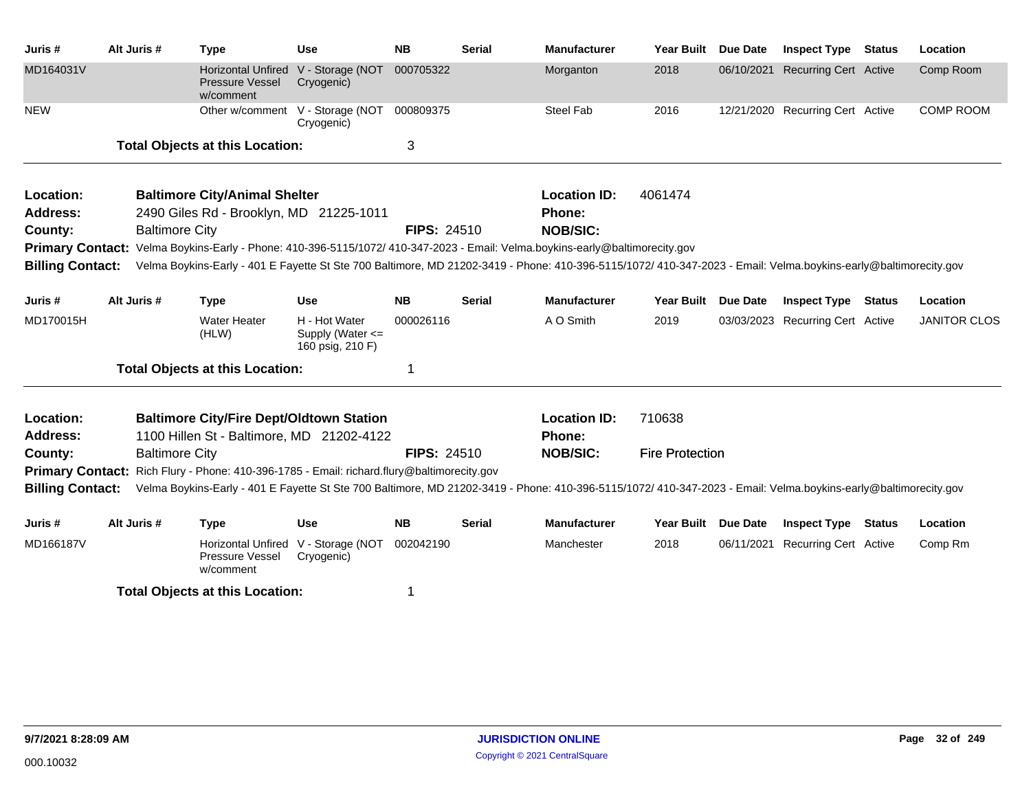| Juris#                                                                                                                                              | Alt Juris #           | <b>Type</b>                                                                                  | <b>Use</b>                                            | <b>NB</b>          | <b>Serial</b>      | <b>Manufacturer</b>                                                                                                                                             | Year Built Due Date    | <b>Inspect Type Status</b>       | Location            |
|-----------------------------------------------------------------------------------------------------------------------------------------------------|-----------------------|----------------------------------------------------------------------------------------------|-------------------------------------------------------|--------------------|--------------------|-----------------------------------------------------------------------------------------------------------------------------------------------------------------|------------------------|----------------------------------|---------------------|
| MD164031V                                                                                                                                           |                       | <b>Pressure Vessel</b><br>w/comment                                                          | Horizontal Unfired V - Storage (NOT<br>Cryogenic)     | 000705322          |                    | Morganton                                                                                                                                                       | 2018                   | 06/10/2021 Recurring Cert Active | Comp Room           |
| <b>NEW</b>                                                                                                                                          |                       |                                                                                              | Other w/comment V - Storage (NOT<br>Cryogenic)        | 000809375          |                    | <b>Steel Fab</b>                                                                                                                                                | 2016                   | 12/21/2020 Recurring Cert Active | <b>COMP ROOM</b>    |
|                                                                                                                                                     |                       | <b>Total Objects at this Location:</b>                                                       |                                                       | 3                  |                    |                                                                                                                                                                 |                        |                                  |                     |
| Location:<br><b>Baltimore City/Animal Shelter</b><br><b>Address:</b><br>2490 Giles Rd - Brooklyn, MD 21225-1011<br><b>Baltimore City</b><br>County: |                       |                                                                                              |                                                       |                    | <b>FIPS: 24510</b> | <b>Location ID:</b><br><b>Phone:</b><br><b>NOB/SIC:</b>                                                                                                         | 4061474                |                                  |                     |
|                                                                                                                                                     |                       |                                                                                              |                                                       |                    |                    | Primary Contact: Velma Boykins-Early - Phone: 410-396-5115/1072/ 410-347-2023 - Email: Velma.boykins-early@baltimorecity.gov                                    |                        |                                  |                     |
| <b>Billing Contact:</b>                                                                                                                             |                       |                                                                                              |                                                       |                    |                    | Velma Boykins-Early - 401 E Fayette St Ste 700 Baltimore, MD 21202-3419 - Phone: 410-396-5115/1072/ 410-347-2023 - Email: Velma.boykins-early@baltimorecity.gov |                        |                                  |                     |
| Juris #                                                                                                                                             | Alt Juris #           | <b>Type</b>                                                                                  | <b>Use</b>                                            | <b>NB</b>          | <b>Serial</b>      | <b>Manufacturer</b>                                                                                                                                             | Year Built Due Date    | <b>Inspect Type Status</b>       | Location            |
| MD170015H                                                                                                                                           |                       | <b>Water Heater</b><br>(HLW)                                                                 | H - Hot Water<br>Supply (Water <=<br>160 psig, 210 F) | 000026116          |                    | A O Smith                                                                                                                                                       | 2019                   | 03/03/2023 Recurring Cert Active | <b>JANITOR CLOS</b> |
|                                                                                                                                                     |                       | <b>Total Objects at this Location:</b>                                                       |                                                       | 1                  |                    |                                                                                                                                                                 |                        |                                  |                     |
| Location:<br><b>Address:</b>                                                                                                                        |                       | <b>Baltimore City/Fire Dept/Oldtown Station</b><br>1100 Hillen St - Baltimore, MD 21202-4122 |                                                       |                    |                    | <b>Location ID:</b><br>Phone:                                                                                                                                   | 710638                 |                                  |                     |
| County:                                                                                                                                             | <b>Baltimore City</b> |                                                                                              |                                                       | <b>FIPS: 24510</b> |                    | <b>NOB/SIC:</b>                                                                                                                                                 | <b>Fire Protection</b> |                                  |                     |
| <b>Billing Contact:</b>                                                                                                                             |                       | Primary Contact: Rich Flury - Phone: 410-396-1785 - Email: richard.flury@baltimorecity.gov   |                                                       |                    |                    | Velma Boykins-Early - 401 E Fayette St Ste 700 Baltimore, MD 21202-3419 - Phone: 410-396-5115/1072/ 410-347-2023 - Email: Velma.boykins-early@baltimorecity.gov |                        |                                  |                     |
| Juris #                                                                                                                                             | Alt Juris #           | <b>Type</b>                                                                                  | <b>Use</b>                                            | <b>NB</b>          | <b>Serial</b>      | <b>Manufacturer</b>                                                                                                                                             | Year Built Due Date    | <b>Inspect Type Status</b>       | Location            |
| MD166187V                                                                                                                                           |                       | Pressure Vessel<br>w/comment                                                                 | Horizontal Unfired V - Storage (NOT<br>Cryogenic)     | 002042190          |                    | Manchester                                                                                                                                                      | 2018                   | 06/11/2021 Recurring Cert Active | Comp Rm             |
|                                                                                                                                                     |                       | <b>Total Objects at this Location:</b>                                                       |                                                       | 1                  |                    |                                                                                                                                                                 |                        |                                  |                     |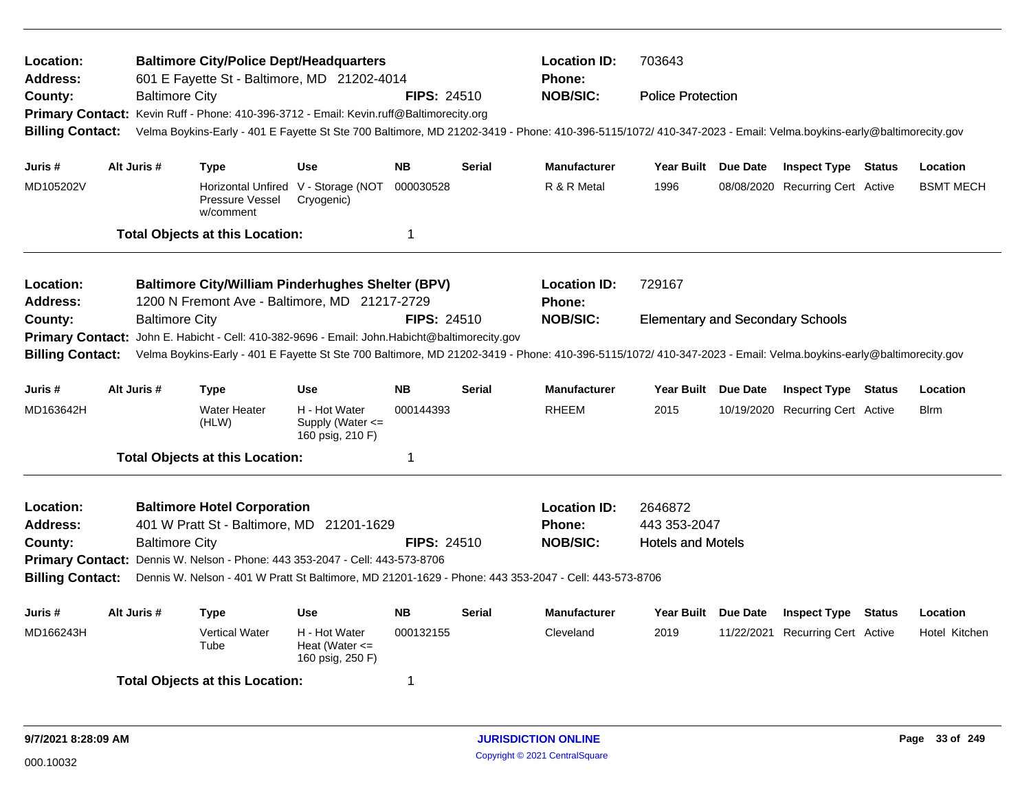| Location:<br><b>Address:</b><br>County:<br>Juris #<br>MD105202V           | <b>Baltimore City/Police Dept/Headquarters</b><br>601 E Fayette St - Baltimore, MD 21202-4014<br><b>FIPS: 24510</b><br><b>Baltimore City</b><br>Primary Contact: Kevin Ruff - Phone: 410-396-3712 - Email: Kevin.ruff@Baltimorecity.org<br><b>Billing Contact:</b><br>Velma Boykins-Early - 401 E Fayette St Ste 700 Baltimore, MD 21202-3419 - Phone: 410-396-5115/1072/ 410-347-2023 - Email: Velma.boykins-early@baltimorecity.gov<br>Alt Juris #<br><b>NB</b><br><b>Serial</b><br><b>Type</b><br><b>Use</b><br>Horizontal Unfired V - Storage (NOT<br>000030528 |                                                                                                                                                                                                                                                                          |                                                           |                               |               |                                                         | 703643<br><b>Police Protection</b><br><b>Year Built</b><br>1996 | <b>Due Date</b> | <b>Inspect Type Status</b><br>08/08/2020 Recurring Cert Active |        | Location<br><b>BSMT MECH</b> |  |  |
|---------------------------------------------------------------------------|---------------------------------------------------------------------------------------------------------------------------------------------------------------------------------------------------------------------------------------------------------------------------------------------------------------------------------------------------------------------------------------------------------------------------------------------------------------------------------------------------------------------------------------------------------------------|--------------------------------------------------------------------------------------------------------------------------------------------------------------------------------------------------------------------------------------------------------------------------|-----------------------------------------------------------|-------------------------------|---------------|---------------------------------------------------------|-----------------------------------------------------------------|-----------------|----------------------------------------------------------------|--------|------------------------------|--|--|
|                                                                           |                                                                                                                                                                                                                                                                                                                                                                                                                                                                                                                                                                     | Pressure Vessel<br>w/comment                                                                                                                                                                                                                                             | Cryogenic)                                                |                               |               |                                                         |                                                                 |                 |                                                                |        |                              |  |  |
|                                                                           |                                                                                                                                                                                                                                                                                                                                                                                                                                                                                                                                                                     | <b>Total Objects at this Location:</b>                                                                                                                                                                                                                                   |                                                           | $\mathbf 1$                   |               |                                                         |                                                                 |                 |                                                                |        |                              |  |  |
| Location:<br><b>Address:</b>                                              |                                                                                                                                                                                                                                                                                                                                                                                                                                                                                                                                                                     | <b>Baltimore City/William Pinderhughes Shelter (BPV)</b><br>1200 N Fremont Ave - Baltimore, MD 21217-2729                                                                                                                                                                |                                                           | <b>Location ID:</b><br>Phone: | 729167        |                                                         |                                                                 |                 |                                                                |        |                              |  |  |
| County:                                                                   | <b>Baltimore City</b>                                                                                                                                                                                                                                                                                                                                                                                                                                                                                                                                               |                                                                                                                                                                                                                                                                          |                                                           | <b>FIPS: 24510</b>            |               | <b>NOB/SIC:</b>                                         | <b>Elementary and Secondary Schools</b>                         |                 |                                                                |        |                              |  |  |
| <b>Primary Contact:</b><br><b>Billing Contact:</b>                        |                                                                                                                                                                                                                                                                                                                                                                                                                                                                                                                                                                     | John E. Habicht - Cell: 410-382-9696 - Email: John. Habicht@baltimorecity.gov<br>Velma Boykins-Early - 401 E Fayette St Ste 700 Baltimore, MD 21202-3419 - Phone: 410-396-5115/1072/ 410-347-2023 - Email: Velma.boykins-early@baltimorecity.gov                         |                                                           |                               |               |                                                         |                                                                 |                 |                                                                |        |                              |  |  |
| Juris #                                                                   | Alt Juris #                                                                                                                                                                                                                                                                                                                                                                                                                                                                                                                                                         | <b>Type</b>                                                                                                                                                                                                                                                              | <b>Use</b>                                                | <b>NB</b>                     | <b>Serial</b> | <b>Manufacturer</b>                                     | Year Built Due Date                                             |                 | <b>Inspect Type Status</b>                                     |        | Location                     |  |  |
| MD163642H                                                                 |                                                                                                                                                                                                                                                                                                                                                                                                                                                                                                                                                                     | <b>Water Heater</b><br>(HLW)                                                                                                                                                                                                                                             | H - Hot Water<br>Supply (Water $\leq$<br>160 psig, 210 F) | 000144393                     |               | <b>RHEEM</b>                                            | 2015                                                            |                 | 10/19/2020 Recurring Cert Active                               |        | <b>B</b> lrm                 |  |  |
|                                                                           |                                                                                                                                                                                                                                                                                                                                                                                                                                                                                                                                                                     | <b>Total Objects at this Location:</b>                                                                                                                                                                                                                                   |                                                           | -1                            |               |                                                         |                                                                 |                 |                                                                |        |                              |  |  |
| <b>Location:</b><br><b>Address:</b><br>County:<br><b>Billing Contact:</b> | <b>Baltimore City</b>                                                                                                                                                                                                                                                                                                                                                                                                                                                                                                                                               | <b>Baltimore Hotel Corporation</b><br>401 W Pratt St - Baltimore, MD 21201-1629<br>Primary Contact: Dennis W. Nelson - Phone: 443 353-2047 - Cell: 443-573-8706<br>Dennis W. Nelson - 401 W Pratt St Baltimore, MD 21201-1629 - Phone: 443 353-2047 - Cell: 443-573-8706 |                                                           | <b>FIPS: 24510</b>            |               | <b>Location ID:</b><br><b>Phone:</b><br><b>NOB/SIC:</b> | 2646872<br>443 353-2047<br><b>Hotels and Motels</b>             |                 |                                                                |        |                              |  |  |
| Juris #                                                                   | Alt Juris #                                                                                                                                                                                                                                                                                                                                                                                                                                                                                                                                                         | Type                                                                                                                                                                                                                                                                     | <b>Use</b>                                                | <b>NB</b>                     | <b>Serial</b> | <b>Manufacturer</b>                                     | Year Built Due Date                                             |                 | <b>Inspect Type</b>                                            | Status | Location                     |  |  |
| MD166243H                                                                 |                                                                                                                                                                                                                                                                                                                                                                                                                                                                                                                                                                     | <b>Vertical Water</b><br>Tube                                                                                                                                                                                                                                            | H - Hot Water<br>Heat (Water $\leq$<br>160 psig, 250 F)   | 000132155                     |               | Cleveland                                               | 2019                                                            |                 | 11/22/2021 Recurring Cert Active                               |        | Hotel Kitchen                |  |  |
|                                                                           |                                                                                                                                                                                                                                                                                                                                                                                                                                                                                                                                                                     | <b>Total Objects at this Location:</b>                                                                                                                                                                                                                                   |                                                           | -1                            |               |                                                         |                                                                 |                 |                                                                |        |                              |  |  |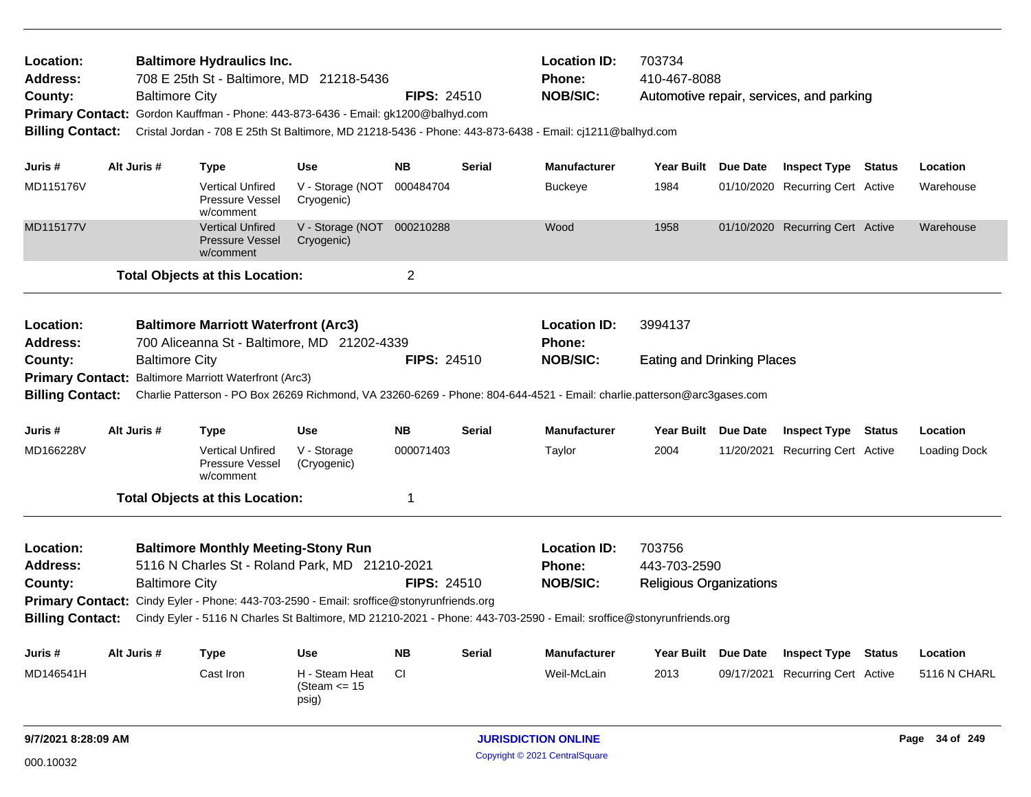| Location:<br><b>Address:</b><br>County:<br><b>Primary Contact:</b><br><b>Billing Contact:</b> | <b>Baltimore City</b>                                                                        | <b>Baltimore Hydraulics Inc.</b><br>708 E 25th St - Baltimore, MD 21218-5436 |                                                                                          | <b>FIPS: 24510</b><br>Gordon Kauffman - Phone: 443-873-6436 - Email: gk1200@balhyd.com<br>Cristal Jordan - 708 E 25th St Baltimore, MD 21218-5436 - Phone: 443-873-6438 - Email: cj1211@balhyd.com |                    |               | 703734<br>410-467-8088<br>Automotive repair, services, and parking                                                                         |                                   |            |                                  |  |                |
|-----------------------------------------------------------------------------------------------|----------------------------------------------------------------------------------------------|------------------------------------------------------------------------------|------------------------------------------------------------------------------------------|----------------------------------------------------------------------------------------------------------------------------------------------------------------------------------------------------|--------------------|---------------|--------------------------------------------------------------------------------------------------------------------------------------------|-----------------------------------|------------|----------------------------------|--|----------------|
| Juris #                                                                                       |                                                                                              | Alt Juris #                                                                  | <b>Type</b>                                                                              | <b>Use</b>                                                                                                                                                                                         | <b>NB</b>          | <b>Serial</b> | <b>Manufacturer</b>                                                                                                                        | <b>Year Built</b>                 | Due Date   | <b>Inspect Type Status</b>       |  | Location       |
| MD115176V                                                                                     |                                                                                              |                                                                              | <b>Vertical Unfired</b><br>Pressure Vessel<br>w/comment                                  | V - Storage (NOT 000484704<br>Cryogenic)                                                                                                                                                           |                    |               | <b>Buckeye</b>                                                                                                                             | 1984                              |            | 01/10/2020 Recurring Cert Active |  | Warehouse      |
| MD115177V                                                                                     |                                                                                              |                                                                              | <b>Vertical Unfired</b><br><b>Pressure Vessel</b><br>w/comment                           | V - Storage (NOT 000210288<br>Cryogenic)                                                                                                                                                           |                    |               | Wood                                                                                                                                       | 1958                              |            | 01/10/2020 Recurring Cert Active |  | Warehouse      |
|                                                                                               |                                                                                              |                                                                              | <b>Total Objects at this Location:</b>                                                   |                                                                                                                                                                                                    | $\overline{2}$     |               |                                                                                                                                            |                                   |            |                                  |  |                |
| Location:<br><b>Address:</b>                                                                  | <b>Baltimore Marriott Waterfront (Arc3)</b><br>700 Aliceanna St - Baltimore, MD 21202-4339   |                                                                              |                                                                                          |                                                                                                                                                                                                    |                    |               | <b>Location ID:</b><br>Phone:                                                                                                              | 3994137                           |            |                                  |  |                |
| County:<br><b>Billing Contact:</b>                                                            |                                                                                              | <b>Baltimore City</b>                                                        | Primary Contact: Baltimore Marriott Waterfront (Arc3)                                    |                                                                                                                                                                                                    | <b>FIPS: 24510</b> |               | <b>NOB/SIC:</b><br>Charlie Patterson - PO Box 26269 Richmond, VA 23260-6269 - Phone: 804-644-4521 - Email: charlie.patterson@arc3gases.com | <b>Eating and Drinking Places</b> |            |                                  |  |                |
| Juris #                                                                                       |                                                                                              | Alt Juris #                                                                  | <b>Type</b>                                                                              | <b>Use</b>                                                                                                                                                                                         | <b>NB</b>          | <b>Serial</b> | <b>Manufacturer</b>                                                                                                                        | Year Built Due Date               |            | <b>Inspect Type Status</b>       |  | Location       |
| MD166228V                                                                                     |                                                                                              |                                                                              | <b>Vertical Unfired</b><br><b>Pressure Vessel</b><br>w/comment                           | V - Storage<br>(Cryogenic)                                                                                                                                                                         | 000071403          |               | Taylor                                                                                                                                     | 2004                              | 11/20/2021 | <b>Recurring Cert Active</b>     |  | Loading Dock   |
|                                                                                               |                                                                                              |                                                                              | <b>Total Objects at this Location:</b>                                                   |                                                                                                                                                                                                    | 1                  |               |                                                                                                                                            |                                   |            |                                  |  |                |
| Location:<br><b>Address:</b>                                                                  | <b>Baltimore Monthly Meeting-Stony Run</b><br>5116 N Charles St - Roland Park, MD 21210-2021 |                                                                              |                                                                                          |                                                                                                                                                                                                    |                    |               | <b>Location ID:</b><br><b>Phone:</b>                                                                                                       | 703756<br>443-703-2590            |            |                                  |  |                |
| County:                                                                                       |                                                                                              | <b>Baltimore City</b>                                                        |                                                                                          |                                                                                                                                                                                                    | <b>FIPS: 24510</b> |               | <b>NOB/SIC:</b>                                                                                                                            | <b>Religious Organizations</b>    |            |                                  |  |                |
| <b>Billing Contact:</b>                                                                       |                                                                                              |                                                                              | Primary Contact: Cindy Eyler - Phone: 443-703-2590 - Email: sroffice@stonyrunfriends.org |                                                                                                                                                                                                    |                    |               | Cindy Eyler - 5116 N Charles St Baltimore, MD 21210-2021 - Phone: 443-703-2590 - Email: sroffice@stonyrunfriends.org                       |                                   |            |                                  |  |                |
|                                                                                               |                                                                                              |                                                                              |                                                                                          |                                                                                                                                                                                                    |                    |               |                                                                                                                                            |                                   |            |                                  |  |                |
| Juris #                                                                                       |                                                                                              | Alt Juris #                                                                  | <b>Type</b>                                                                              | <b>Use</b>                                                                                                                                                                                         | <b>NB</b>          | <b>Serial</b> | <b>Manufacturer</b>                                                                                                                        | Year Built Due Date               |            | <b>Inspect Type Status</b>       |  | Location       |
| MD146541H                                                                                     |                                                                                              |                                                                              | Cast Iron                                                                                | H - Steam Heat<br>(Steam $\le$ 15<br>psig)                                                                                                                                                         | CI.                |               | Weil-McLain                                                                                                                                | 2013                              |            | 09/17/2021 Recurring Cert Active |  | 5116 N CHARL   |
| 9/7/2021 8:28:09 AM                                                                           |                                                                                              |                                                                              |                                                                                          |                                                                                                                                                                                                    |                    |               | <b>JURISDICTION ONLINE</b>                                                                                                                 |                                   |            |                                  |  | Page 34 of 249 |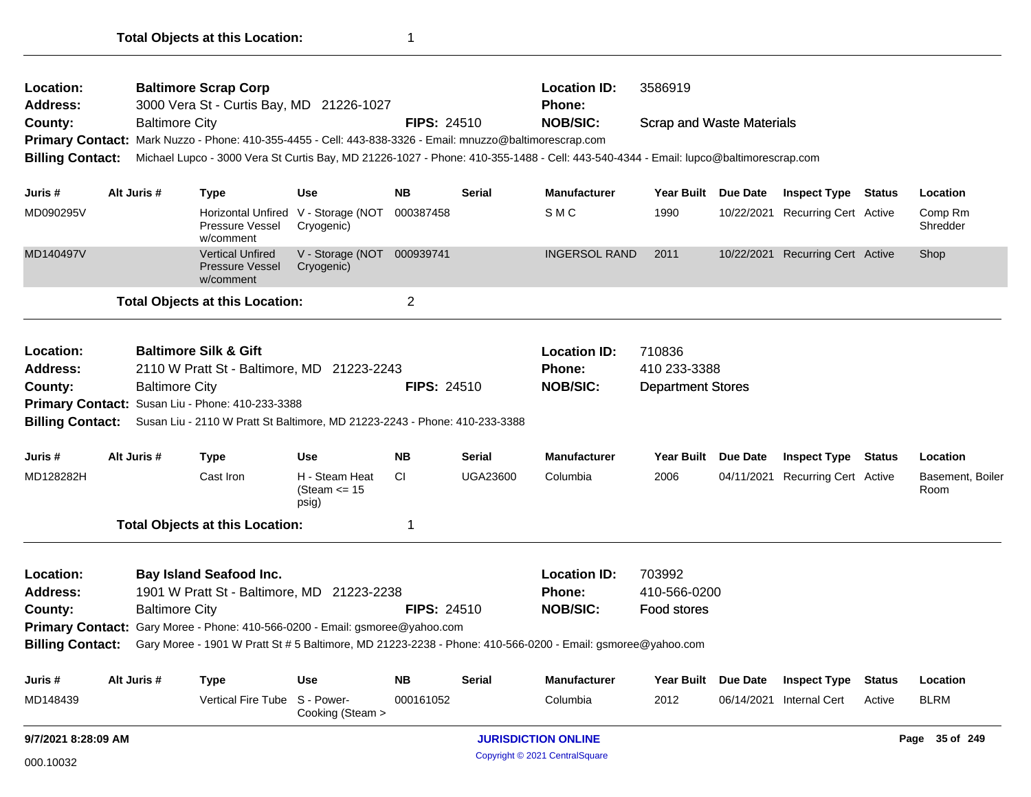| <b>Baltimore Scrap Corp</b><br>Location:<br>3000 Vera St - Curtis Bay, MD 21226-1027<br><b>Address:</b> |  |                       |                                                                                                           |                                                   |                            | <b>Location ID:</b><br>Phone: | 3586919                                                                                                                             |                                  |                     |                                  |               |                          |  |  |
|---------------------------------------------------------------------------------------------------------|--|-----------------------|-----------------------------------------------------------------------------------------------------------|---------------------------------------------------|----------------------------|-------------------------------|-------------------------------------------------------------------------------------------------------------------------------------|----------------------------------|---------------------|----------------------------------|---------------|--------------------------|--|--|
| County:                                                                                                 |  | <b>Baltimore City</b> |                                                                                                           |                                                   | <b>FIPS: 24510</b>         |                               | <b>NOB/SIC:</b>                                                                                                                     | <b>Scrap and Waste Materials</b> |                     |                                  |               |                          |  |  |
|                                                                                                         |  |                       | Primary Contact: Mark Nuzzo - Phone: 410-355-4455 - Cell: 443-838-3326 - Email: mnuzzo@baltimorescrap.com |                                                   |                            |                               |                                                                                                                                     |                                  |                     |                                  |               |                          |  |  |
| <b>Billing Contact:</b>                                                                                 |  |                       |                                                                                                           |                                                   |                            |                               | Michael Lupco - 3000 Vera St Curtis Bay, MD 21226-1027 - Phone: 410-355-1488 - Cell: 443-540-4344 - Email: lupco@baltimorescrap.com |                                  |                     |                                  |               |                          |  |  |
| Juris #                                                                                                 |  | Alt Juris #           | <b>Type</b>                                                                                               | <b>Use</b>                                        | <b>NB</b>                  | <b>Serial</b>                 | <b>Manufacturer</b>                                                                                                                 |                                  | Year Built Due Date | <b>Inspect Type Status</b>       |               | Location                 |  |  |
| MD090295V                                                                                               |  |                       | Pressure Vessel<br>w/comment                                                                              | Horizontal Unfired V - Storage (NOT<br>Cryogenic) | 000387458                  |                               | SMC                                                                                                                                 | 1990                             | 10/22/2021          | Recurring Cert Active            |               | Comp Rm<br>Shredder      |  |  |
| MD140497V                                                                                               |  |                       | <b>Vertical Unfired</b><br><b>Pressure Vessel</b><br>w/comment                                            | V - Storage (NOT 000939741<br>Cryogenic)          |                            |                               | <b>INGERSOL RAND</b>                                                                                                                | 2011                             |                     | 10/22/2021 Recurring Cert Active |               | Shop                     |  |  |
|                                                                                                         |  |                       | <b>Total Objects at this Location:</b>                                                                    |                                                   | 2                          |                               |                                                                                                                                     |                                  |                     |                                  |               |                          |  |  |
| Location:                                                                                               |  |                       | <b>Baltimore Silk &amp; Gift</b>                                                                          |                                                   |                            |                               | <b>Location ID:</b>                                                                                                                 | 710836                           |                     |                                  |               |                          |  |  |
| <b>Address:</b>                                                                                         |  |                       | 2110 W Pratt St - Baltimore, MD 21223-2243                                                                |                                                   |                            |                               | Phone:                                                                                                                              | 410 233-3388                     |                     |                                  |               |                          |  |  |
| County:                                                                                                 |  | <b>Baltimore City</b> |                                                                                                           |                                                   | FIPS: 24510                |                               | <b>NOB/SIC:</b>                                                                                                                     | <b>Department Stores</b>         |                     |                                  |               |                          |  |  |
|                                                                                                         |  |                       | Primary Contact: Susan Liu - Phone: 410-233-3388                                                          |                                                   |                            |                               |                                                                                                                                     |                                  |                     |                                  |               |                          |  |  |
|                                                                                                         |  |                       | <b>Billing Contact:</b> Susan Liu - 2110 W Pratt St Baltimore, MD 21223-2243 - Phone: 410-233-3388        |                                                   |                            |                               |                                                                                                                                     |                                  |                     |                                  |               |                          |  |  |
| Juris #                                                                                                 |  | Alt Juris #           | <b>Type</b>                                                                                               | <b>Use</b>                                        | <b>NB</b>                  | <b>Serial</b>                 | <b>Manufacturer</b>                                                                                                                 |                                  | Year Built Due Date | <b>Inspect Type</b>              | <b>Status</b> | Location                 |  |  |
| MD128282H                                                                                               |  |                       | Cast Iron                                                                                                 | H - Steam Heat<br>(Steam $\le$ 15<br>psig)        | CI.                        | <b>UGA23600</b>               | Columbia                                                                                                                            | 2006                             |                     | 04/11/2021 Recurring Cert Active |               | Basement, Boiler<br>Room |  |  |
|                                                                                                         |  |                       | <b>Total Objects at this Location:</b>                                                                    |                                                   | 1                          |                               |                                                                                                                                     |                                  |                     |                                  |               |                          |  |  |
| Location:                                                                                               |  |                       | <b>Bay Island Seafood Inc.</b>                                                                            |                                                   |                            |                               | <b>Location ID:</b>                                                                                                                 | 703992                           |                     |                                  |               |                          |  |  |
| <b>Address:</b>                                                                                         |  |                       | 1901 W Pratt St - Baltimore, MD 21223-2238                                                                |                                                   |                            |                               | <b>Phone:</b>                                                                                                                       | 410-566-0200                     |                     |                                  |               |                          |  |  |
| County:                                                                                                 |  | <b>Baltimore City</b> |                                                                                                           |                                                   | <b>FIPS: 24510</b>         |                               | <b>NOB/SIC:</b>                                                                                                                     | Food stores                      |                     |                                  |               |                          |  |  |
|                                                                                                         |  |                       | Primary Contact: Gary Moree - Phone: 410-566-0200 - Email: gsmoree@yahoo.com                              |                                                   |                            |                               |                                                                                                                                     |                                  |                     |                                  |               |                          |  |  |
| <b>Billing Contact:</b>                                                                                 |  |                       |                                                                                                           |                                                   |                            |                               | Gary Moree - 1901 W Pratt St # 5 Baltimore, MD 21223-2238 - Phone: 410-566-0200 - Email: gsmoree@yahoo.com                          |                                  |                     |                                  |               |                          |  |  |
| Juris #                                                                                                 |  | Alt Juris #           | <b>Type</b>                                                                                               | <b>Use</b>                                        | <b>NB</b>                  | <b>Serial</b>                 | <b>Manufacturer</b>                                                                                                                 |                                  | Year Built Due Date | <b>Inspect Type</b>              | <b>Status</b> | Location                 |  |  |
| MD148439                                                                                                |  |                       | Vertical Fire Tube S - Power-                                                                             | Cooking (Steam >                                  | 000161052                  |                               | Columbia                                                                                                                            | 2012                             | 06/14/2021          | <b>Internal Cert</b>             | Active        | <b>BLRM</b>              |  |  |
| 9/7/2021 8:28:09 AM                                                                                     |  |                       |                                                                                                           |                                                   | <b>JURISDICTION ONLINE</b> |                               |                                                                                                                                     |                                  |                     |                                  |               | Page 35 of 249           |  |  |

Copyright © 2021 CentralSquare 000.10032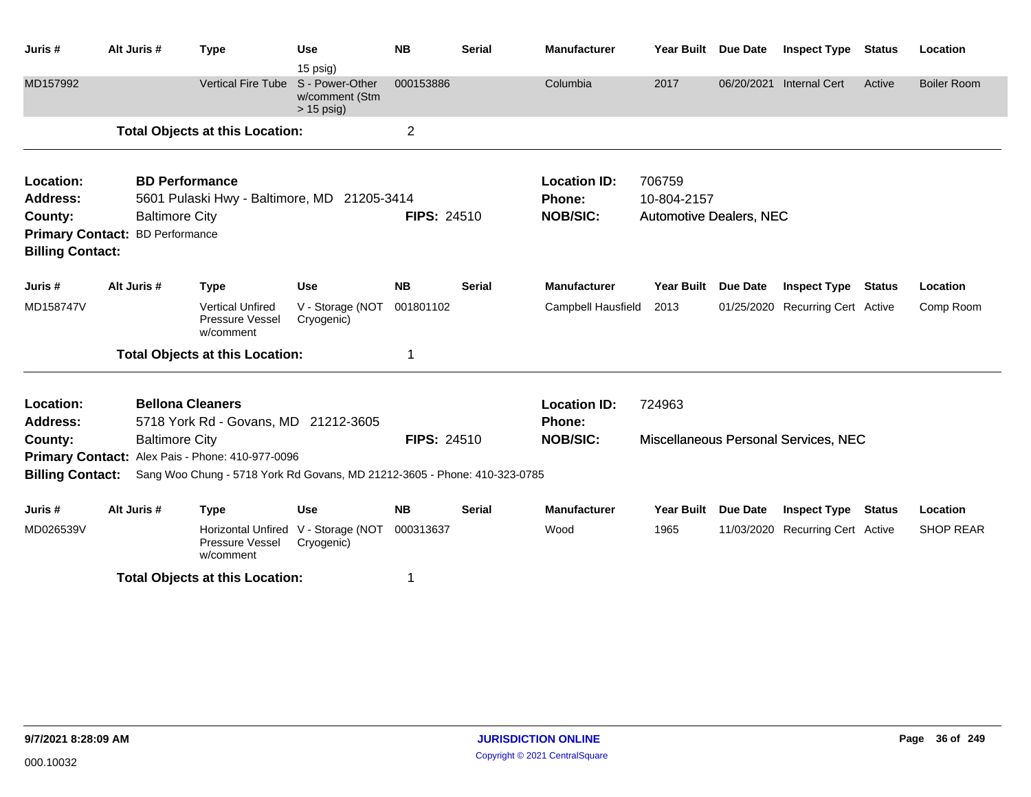| Juris #                                 | Alt Juris #                     | <b>Type</b>                                                                                   | <b>Use</b>                                                    | <b>NB</b>      | <b>Serial</b> | <b>Manufacturer</b>                                                                                         | Year Built Due Date |                 | <b>Inspect Type</b>              | <b>Status</b> | Location           |  |  |
|-----------------------------------------|---------------------------------|-----------------------------------------------------------------------------------------------|---------------------------------------------------------------|----------------|---------------|-------------------------------------------------------------------------------------------------------------|---------------------|-----------------|----------------------------------|---------------|--------------------|--|--|
| MD157992                                |                                 | <b>Vertical Fire Tube</b>                                                                     | 15 psig)<br>S - Power-Other<br>w/comment (Stm<br>$> 15$ psig) | 000153886      |               | Columbia                                                                                                    | 2017                |                 | 06/20/2021 Internal Cert         | Active        | <b>Boiler Room</b> |  |  |
|                                         |                                 | <b>Total Objects at this Location:</b>                                                        |                                                               | $\overline{2}$ |               |                                                                                                             |                     |                 |                                  |               |                    |  |  |
| Location:<br><b>Address:</b><br>County: |                                 | <b>BD Performance</b><br>5601 Pulaski Hwy - Baltimore, MD 21205-3414<br><b>Baltimore City</b> |                                                               | FIPS: 24510    |               | 706759<br><b>Location ID:</b><br>Phone:<br>10-804-2157<br><b>NOB/SIC:</b><br><b>Automotive Dealers, NEC</b> |                     |                 |                                  |               |                    |  |  |
| <b>Billing Contact:</b>                 | Primary Contact: BD Performance |                                                                                               |                                                               |                |               |                                                                                                             |                     |                 |                                  |               |                    |  |  |
| Juris #                                 | Alt Juris #                     | <b>Type</b>                                                                                   | <b>Use</b>                                                    | <b>NB</b>      | <b>Serial</b> | <b>Manufacturer</b>                                                                                         | <b>Year Built</b>   | <b>Due Date</b> | <b>Inspect Type Status</b>       |               | Location           |  |  |
| MD158747V                               |                                 | <b>Vertical Unfired</b><br>Pressure Vessel<br>w/comment                                       | V - Storage (NOT<br>Cryogenic)                                | 001801102      |               | Campbell Hausfield                                                                                          | 2013                |                 | 01/25/2020 Recurring Cert Active |               | Comp Room          |  |  |
|                                         |                                 | <b>Total Objects at this Location:</b>                                                        |                                                               | 1              |               |                                                                                                             |                     |                 |                                  |               |                    |  |  |
| Location:                               |                                 | <b>Bellona Cleaners</b>                                                                       |                                                               |                |               | <b>Location ID:</b>                                                                                         | 724963              |                 |                                  |               |                    |  |  |
| <b>Address:</b>                         |                                 | 5718 York Rd - Govans, MD 21212-3605                                                          |                                                               |                |               | Phone:                                                                                                      |                     |                 |                                  |               |                    |  |  |
| County:                                 |                                 | <b>Baltimore City</b><br>Primary Contact: Alex Pais - Phone: 410-977-0096                     |                                                               | FIPS: 24510    |               | <b>NOB/SIC:</b><br>Miscellaneous Personal Services, NEC                                                     |                     |                 |                                  |               |                    |  |  |
| <b>Billing Contact:</b>                 |                                 | Sang Woo Chung - 5718 York Rd Govans, MD 21212-3605 - Phone: 410-323-0785                     |                                                               |                |               |                                                                                                             |                     |                 |                                  |               |                    |  |  |
| Juris #                                 | Alt Juris #                     | <b>Type</b>                                                                                   | <b>Use</b>                                                    | <b>NB</b>      | <b>Serial</b> | <b>Manufacturer</b>                                                                                         | <b>Year Built</b>   | <b>Due Date</b> | <b>Inspect Type</b>              | <b>Status</b> | Location           |  |  |
| MD026539V                               |                                 | <b>Horizontal Unfired</b><br>Pressure Vessel<br>w/comment                                     | V - Storage (NOT<br>Cryogenic)                                | 000313637      |               | Wood                                                                                                        | 1965                |                 | 11/03/2020 Recurring Cert Active |               | <b>SHOP REAR</b>   |  |  |
|                                         |                                 | <b>Total Objects at this Location:</b>                                                        |                                                               | 1              |               |                                                                                                             |                     |                 |                                  |               |                    |  |  |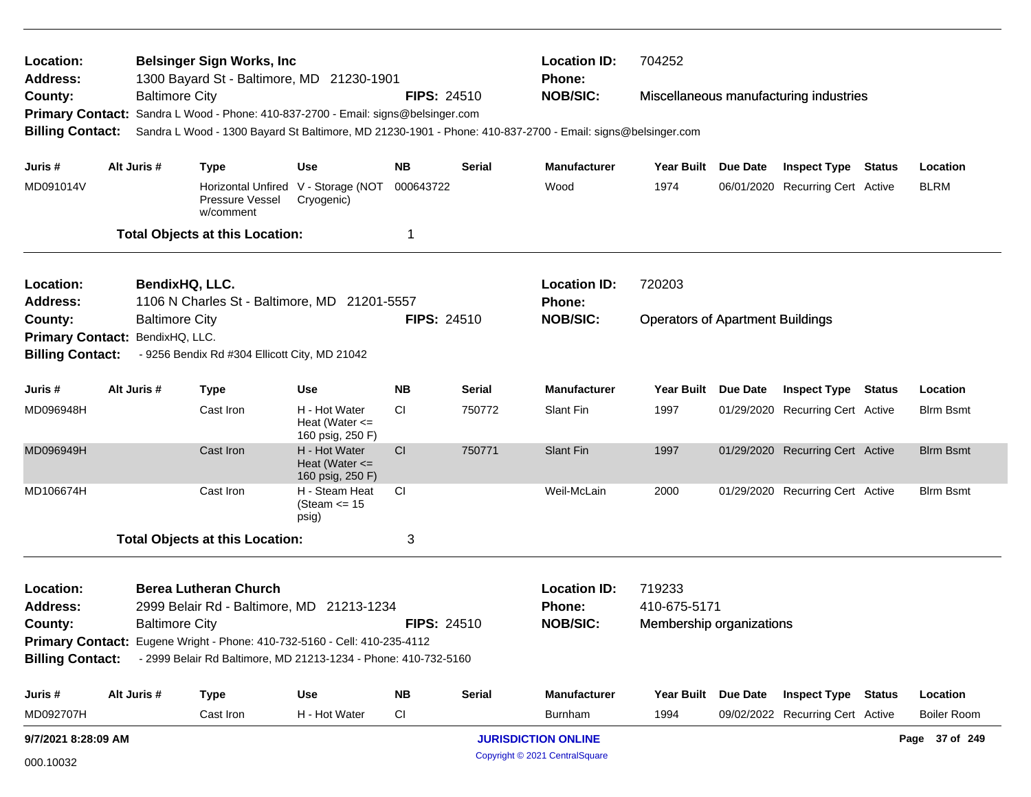| Location:<br><b>Address:</b>                                          |             |                       | <b>Belsinger Sign Works, Inc.</b><br>1300 Bayard St - Baltimore, MD 21230-1901                                                                                                                                            |                                                         |                    |               | <b>Location ID:</b><br>Phone:                                                                                                 | 704252                                             |          |                                        |                    |
|-----------------------------------------------------------------------|-------------|-----------------------|---------------------------------------------------------------------------------------------------------------------------------------------------------------------------------------------------------------------------|---------------------------------------------------------|--------------------|---------------|-------------------------------------------------------------------------------------------------------------------------------|----------------------------------------------------|----------|----------------------------------------|--------------------|
| County:<br><b>Billing Contact:</b>                                    |             | <b>Baltimore City</b> | Primary Contact: Sandra L Wood - Phone: 410-837-2700 - Email: signs@belsinger.com                                                                                                                                         |                                                         | <b>FIPS: 24510</b> |               | <b>NOB/SIC:</b><br>Sandra L Wood - 1300 Bayard St Baltimore, MD 21230-1901 - Phone: 410-837-2700 - Email: signs@belsinger.com |                                                    |          | Miscellaneous manufacturing industries |                    |
| Juris #                                                               | Alt Juris # |                       | <b>Type</b>                                                                                                                                                                                                               | <b>Use</b>                                              | <b>NB</b>          | <b>Serial</b> | <b>Manufacturer</b>                                                                                                           | <b>Year Built</b>                                  | Due Date | <b>Inspect Type Status</b>             | Location           |
| MD091014V                                                             |             |                       | Pressure Vessel<br>w/comment                                                                                                                                                                                              | Horizontal Unfired V - Storage (NOT<br>Cryogenic)       | 000643722          |               | Wood                                                                                                                          | 1974                                               |          | 06/01/2020 Recurring Cert Active       | <b>BLRM</b>        |
|                                                                       |             |                       | <b>Total Objects at this Location:</b>                                                                                                                                                                                    |                                                         | -1                 |               |                                                                                                                               |                                                    |          |                                        |                    |
| Location:<br><b>Address:</b>                                          |             |                       | BendixHQ, LLC.<br>1106 N Charles St - Baltimore, MD 21201-5557                                                                                                                                                            |                                                         |                    |               | <b>Location ID:</b><br>Phone:                                                                                                 | 720203                                             |          |                                        |                    |
| County:<br>Primary Contact: BendixHQ, LLC.<br><b>Billing Contact:</b> |             | <b>Baltimore City</b> | - 9256 Bendix Rd #304 Ellicott City, MD 21042                                                                                                                                                                             |                                                         | <b>FIPS: 24510</b> |               | <b>NOB/SIC:</b>                                                                                                               | <b>Operators of Apartment Buildings</b>            |          |                                        |                    |
| Juris #                                                               | Alt Juris # |                       | <b>Type</b>                                                                                                                                                                                                               | <b>Use</b>                                              | <b>NB</b>          | <b>Serial</b> | <b>Manufacturer</b>                                                                                                           | Year Built                                         | Due Date | <b>Inspect Type Status</b>             | Location           |
| MD096948H                                                             |             |                       | Cast Iron                                                                                                                                                                                                                 | H - Hot Water<br>Heat (Water $\leq$<br>160 psig, 250 F) | <b>CI</b>          | 750772        | <b>Slant Fin</b>                                                                                                              | 1997                                               |          | 01/29/2020 Recurring Cert Active       | <b>Blrm Bsmt</b>   |
| MD096949H                                                             |             |                       | Cast Iron                                                                                                                                                                                                                 | H - Hot Water<br>Heat (Water $\leq$<br>160 psig, 250 F) | <b>CI</b>          | 750771        | <b>Slant Fin</b>                                                                                                              | 1997                                               |          | 01/29/2020 Recurring Cert Active       | <b>Blrm Bsmt</b>   |
| MD106674H                                                             |             |                       | Cast Iron                                                                                                                                                                                                                 | H - Steam Heat<br>(Steam $\le$ 15<br>psig)              | <b>CI</b>          |               | Weil-McLain                                                                                                                   | 2000                                               |          | 01/29/2020 Recurring Cert Active       | <b>Blrm Bsmt</b>   |
|                                                                       |             |                       | <b>Total Objects at this Location:</b>                                                                                                                                                                                    |                                                         | 3                  |               |                                                                                                                               |                                                    |          |                                        |                    |
| Location:<br><b>Address:</b><br>County:<br><b>Billing Contact:</b>    |             | <b>Baltimore City</b> | <b>Berea Lutheran Church</b><br>2999 Belair Rd - Baltimore, MD 21213-1234<br>Primary Contact: Eugene Wright - Phone: 410-732-5160 - Cell: 410-235-4112<br>- 2999 Belair Rd Baltimore, MD 21213-1234 - Phone: 410-732-5160 |                                                         | <b>FIPS: 24510</b> |               | <b>Location ID:</b><br><b>Phone:</b><br><b>NOB/SIC:</b>                                                                       | 719233<br>410-675-5171<br>Membership organizations |          |                                        |                    |
| Juris #                                                               | Alt Juris # |                       | <b>Type</b>                                                                                                                                                                                                               | <b>Use</b>                                              | <b>NB</b>          | <b>Serial</b> | <b>Manufacturer</b>                                                                                                           | Year Built Due Date                                |          | <b>Inspect Type Status</b>             | Location           |
| MD092707H                                                             |             |                       | Cast Iron                                                                                                                                                                                                                 | H - Hot Water                                           | <b>CI</b>          |               | <b>Burnham</b>                                                                                                                | 1994                                               |          | 09/02/2022 Recurring Cert Active       | <b>Boiler Room</b> |
| 9/7/2021 8:28:09 AM                                                   |             |                       |                                                                                                                                                                                                                           |                                                         |                    |               | <b>JURISDICTION ONLINE</b>                                                                                                    |                                                    |          |                                        | Page 37 of 249     |
| 000.10032                                                             |             |                       |                                                                                                                                                                                                                           |                                                         |                    |               | Copyright © 2021 CentralSquare                                                                                                |                                                    |          |                                        |                    |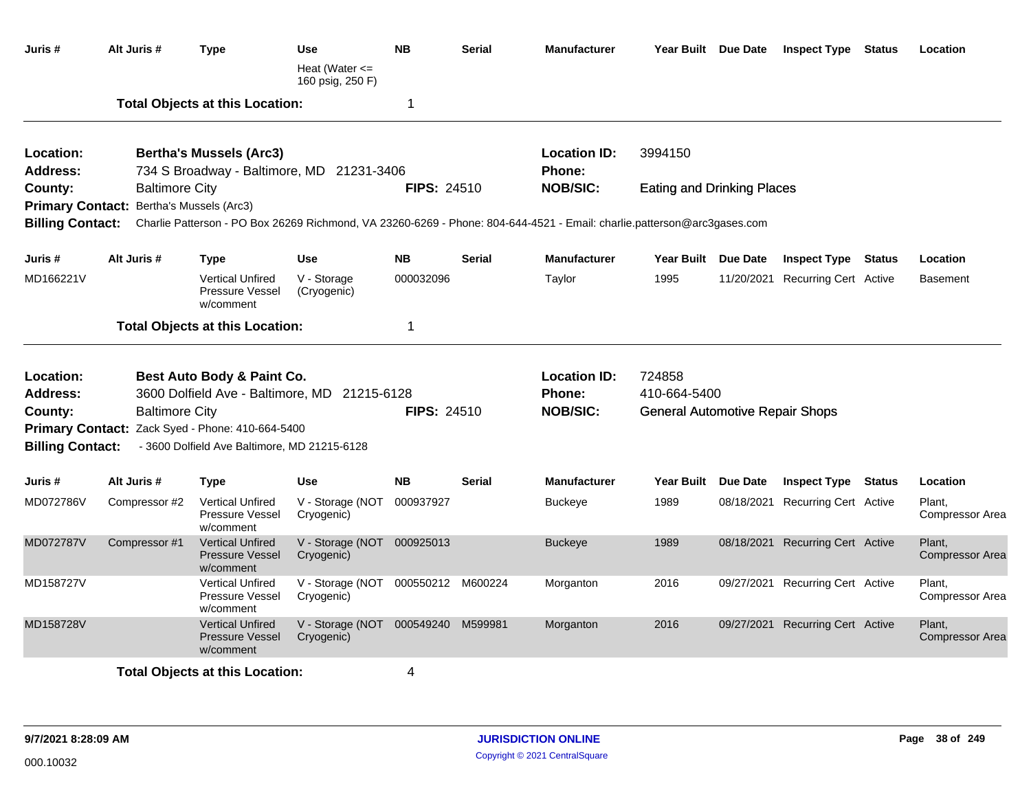| Juris #                      | Alt Juris #                              | <b>Type</b>                                                                                      | Use<br>Heat (Water $\leq$<br>160 psig, 250 F)    | <b>NB</b>          | <b>Serial</b>                        | <b>Manufacturer</b>                                                                                                     |                                        | Year Built Due Date | <b>Inspect Type Status</b>       | Location                         |
|------------------------------|------------------------------------------|--------------------------------------------------------------------------------------------------|--------------------------------------------------|--------------------|--------------------------------------|-------------------------------------------------------------------------------------------------------------------------|----------------------------------------|---------------------|----------------------------------|----------------------------------|
|                              |                                          | <b>Total Objects at this Location:</b>                                                           |                                                  | $\mathbf 1$        |                                      |                                                                                                                         |                                        |                     |                                  |                                  |
| Location:<br><b>Address:</b> |                                          | <b>Bertha's Mussels (Arc3)</b>                                                                   | 734 S Broadway - Baltimore, MD 21231-3406        |                    |                                      | <b>Location ID:</b><br>Phone:                                                                                           | 3994150                                |                     |                                  |                                  |
| County:                      | <b>Baltimore City</b>                    |                                                                                                  |                                                  | <b>FIPS: 24510</b> |                                      | <b>NOB/SIC:</b>                                                                                                         | <b>Eating and Drinking Places</b>      |                     |                                  |                                  |
|                              | Primary Contact: Bertha's Mussels (Arc3) |                                                                                                  |                                                  |                    |                                      |                                                                                                                         |                                        |                     |                                  |                                  |
| <b>Billing Contact:</b>      |                                          |                                                                                                  |                                                  |                    |                                      | Charlie Patterson - PO Box 26269 Richmond, VA 23260-6269 - Phone: 804-644-4521 - Email: charlie.patterson@arc3gases.com |                                        |                     |                                  |                                  |
| Juris #                      | Alt Juris #                              | <b>Type</b>                                                                                      | <b>Use</b>                                       | <b>NB</b>          | <b>Serial</b>                        | <b>Manufacturer</b>                                                                                                     |                                        | Year Built Due Date | <b>Inspect Type Status</b>       | Location                         |
| MD166221V                    |                                          | <b>Vertical Unfired</b><br>Pressure Vessel<br>w/comment                                          | V - Storage<br>(Cryogenic)                       | 000032096          |                                      | Taylor                                                                                                                  | 1995                                   | 11/20/2021          | <b>Recurring Cert Active</b>     | <b>Basement</b>                  |
|                              |                                          | <b>Total Objects at this Location:</b>                                                           |                                                  | $\mathbf{1}$       |                                      |                                                                                                                         |                                        |                     |                                  |                                  |
| Location:<br><b>Address:</b> | Best Auto Body & Paint Co.               | 3600 Dolfield Ave - Baltimore, MD 21215-6128                                                     |                                                  |                    | <b>Location ID:</b><br><b>Phone:</b> | 724858<br>410-664-5400                                                                                                  |                                        |                     |                                  |                                  |
| County:                      | <b>Baltimore City</b>                    |                                                                                                  |                                                  | <b>FIPS: 24510</b> |                                      | <b>NOB/SIC:</b>                                                                                                         | <b>General Automotive Repair Shops</b> |                     |                                  |                                  |
| <b>Billing Contact:</b>      |                                          | Primary Contact: Zack Syed - Phone: 410-664-5400<br>- 3600 Dolfield Ave Baltimore, MD 21215-6128 |                                                  |                    |                                      |                                                                                                                         |                                        |                     |                                  |                                  |
| Juris #                      | Alt Juris #                              | <b>Type</b>                                                                                      | <b>Use</b>                                       | <b>NB</b>          | <b>Serial</b>                        | <b>Manufacturer</b>                                                                                                     |                                        | Year Built Due Date | <b>Inspect Type Status</b>       | Location                         |
| MD072786V                    | Compressor #2                            | <b>Vertical Unfired</b><br><b>Pressure Vessel</b><br>w/comment                                   | V - Storage (NOT<br>Cryogenic)                   | 000937927          |                                      | <b>Buckeye</b>                                                                                                          | 1989                                   | 08/18/2021          | <b>Recurring Cert Active</b>     | Plant.<br><b>Compressor Area</b> |
| MD072787V                    | Compressor #1                            | <b>Vertical Unfired</b><br><b>Pressure Vessel</b><br>w/comment                                   | V - Storage (NOT 000925013<br>Cryogenic)         |                    |                                      | <b>Buckeye</b>                                                                                                          | 1989                                   |                     | 08/18/2021 Recurring Cert Active | Plant,<br><b>Compressor Area</b> |
| MD158727V                    |                                          | <b>Vertical Unfired</b><br>Pressure Vessel<br>w/comment                                          | V - Storage (NOT 000550212 M600224<br>Cryogenic) |                    |                                      | Morganton                                                                                                               | 2016                                   |                     | 09/27/2021 Recurring Cert Active | Plant,<br><b>Compressor Area</b> |
| MD158728V                    |                                          | <b>Vertical Unfired</b><br><b>Pressure Vessel</b><br>w/comment                                   | V - Storage (NOT 000549240<br>Cryogenic)         |                    | M599981                              | Morganton                                                                                                               | 2016                                   | 09/27/2021          | <b>Recurring Cert</b> Active     | Plant,<br>Compressor Area        |
|                              |                                          | <b>Total Objects at this Location:</b>                                                           |                                                  | 4                  |                                      |                                                                                                                         |                                        |                     |                                  |                                  |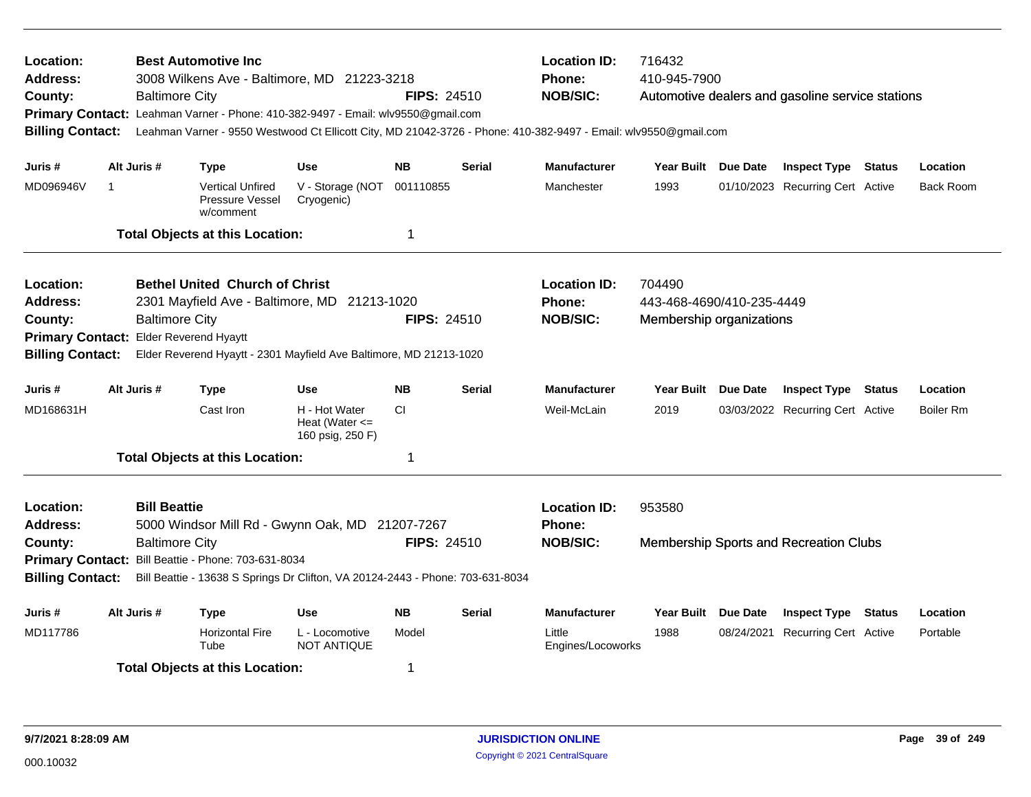| Location:<br><b>Address:</b><br>County:<br><b>Billing Contact:</b>                     |             | <b>Baltimore City</b>                        | <b>Best Automotive Inc.</b>                                           | 3008 Wilkens Ave - Baltimore, MD 21223-3218<br>Primary Contact: Leahman Varner - Phone: 410-382-9497 - Email: wlv9550@gmail.com   | <b>FIPS: 24510</b> |               | <b>Location ID:</b><br><b>Phone:</b><br><b>NOB/SIC:</b><br>Leahman Varner - 9550 Westwood Ct Ellicott City, MD 21042-3726 - Phone: 410-382-9497 - Email: wlv9550@gmail.com | 716432<br>410-945-7900                                          |          | Automotive dealers and gasoline service stations |               |                  |
|----------------------------------------------------------------------------------------|-------------|----------------------------------------------|-----------------------------------------------------------------------|-----------------------------------------------------------------------------------------------------------------------------------|--------------------|---------------|----------------------------------------------------------------------------------------------------------------------------------------------------------------------------|-----------------------------------------------------------------|----------|--------------------------------------------------|---------------|------------------|
| Juris #                                                                                | Alt Juris # |                                              | <b>Type</b>                                                           | <b>Use</b>                                                                                                                        | <b>NB</b>          | <b>Serial</b> | <b>Manufacturer</b>                                                                                                                                                        | Year Built Due Date                                             |          | <b>Inspect Type</b>                              | <b>Status</b> | Location         |
| MD096946V                                                                              | 1           |                                              | <b>Vertical Unfired</b><br>Pressure Vessel<br>w/comment               | V - Storage (NOT<br>Cryogenic)                                                                                                    | 001110855          |               | Manchester                                                                                                                                                                 | 1993                                                            |          | 01/10/2023 Recurring Cert Active                 |               | <b>Back Room</b> |
|                                                                                        |             |                                              | <b>Total Objects at this Location:</b>                                |                                                                                                                                   | -1                 |               |                                                                                                                                                                            |                                                                 |          |                                                  |               |                  |
| Location:<br>Address:<br>County:<br><b>Primary Contact:</b><br><b>Billing Contact:</b> |             | <b>Baltimore City</b>                        | <b>Bethel United Church of Christ</b><br><b>Elder Reverend Hyaytt</b> | 2301 Mayfield Ave - Baltimore, MD 21213-1020<br>Elder Reverend Hyaytt - 2301 Mayfield Ave Baltimore, MD 21213-1020                | <b>FIPS: 24510</b> |               | <b>Location ID:</b><br><b>Phone:</b><br><b>NOB/SIC:</b>                                                                                                                    | 704490<br>443-468-4690/410-235-4449<br>Membership organizations |          |                                                  |               |                  |
| Juris #                                                                                | Alt Juris # |                                              | Type                                                                  | <b>Use</b>                                                                                                                        | <b>NB</b>          | <b>Serial</b> | <b>Manufacturer</b>                                                                                                                                                        | <b>Year Built</b>                                               | Due Date | <b>Inspect Type</b>                              | Status        | Location         |
| MD168631H                                                                              |             |                                              | Cast Iron                                                             | H - Hot Water<br>Heat (Water $\leq$<br>160 psig, 250 F)                                                                           | <b>CI</b>          |               | Weil-McLain                                                                                                                                                                | 2019                                                            |          | 03/03/2022 Recurring Cert Active                 |               | <b>Boiler Rm</b> |
|                                                                                        |             |                                              | <b>Total Objects at this Location:</b>                                |                                                                                                                                   | -1                 |               |                                                                                                                                                                            |                                                                 |          |                                                  |               |                  |
| Location:<br><b>Address:</b><br>County:<br><b>Billing Contact:</b>                     |             | <b>Bill Beattie</b><br><b>Baltimore City</b> | Primary Contact: Bill Beattie - Phone: 703-631-8034                   | 5000 Windsor Mill Rd - Gwynn Oak, MD 21207-7267<br>Bill Beattie - 13638 S Springs Dr Clifton, VA 20124-2443 - Phone: 703-631-8034 | <b>FIPS: 24510</b> |               | <b>Location ID:</b><br><b>Phone:</b><br><b>NOB/SIC:</b>                                                                                                                    | 953580                                                          |          | Membership Sports and Recreation Clubs           |               |                  |
| Juris #                                                                                | Alt Juris # |                                              | <b>Type</b>                                                           | <b>Use</b>                                                                                                                        | <b>NB</b>          | <b>Serial</b> | <b>Manufacturer</b>                                                                                                                                                        | Year Built Due Date                                             |          | <b>Inspect Type</b>                              | Status        | Location         |
| MD117786                                                                               |             |                                              | <b>Horizontal Fire</b><br>Tube                                        | L - Locomotive<br><b>NOT ANTIQUE</b>                                                                                              | Model              |               | Little<br>Engines/Locoworks                                                                                                                                                | 1988                                                            |          | 08/24/2021 Recurring Cert Active                 |               | Portable         |
|                                                                                        |             |                                              | <b>Total Objects at this Location:</b>                                |                                                                                                                                   | -1                 |               |                                                                                                                                                                            |                                                                 |          |                                                  |               |                  |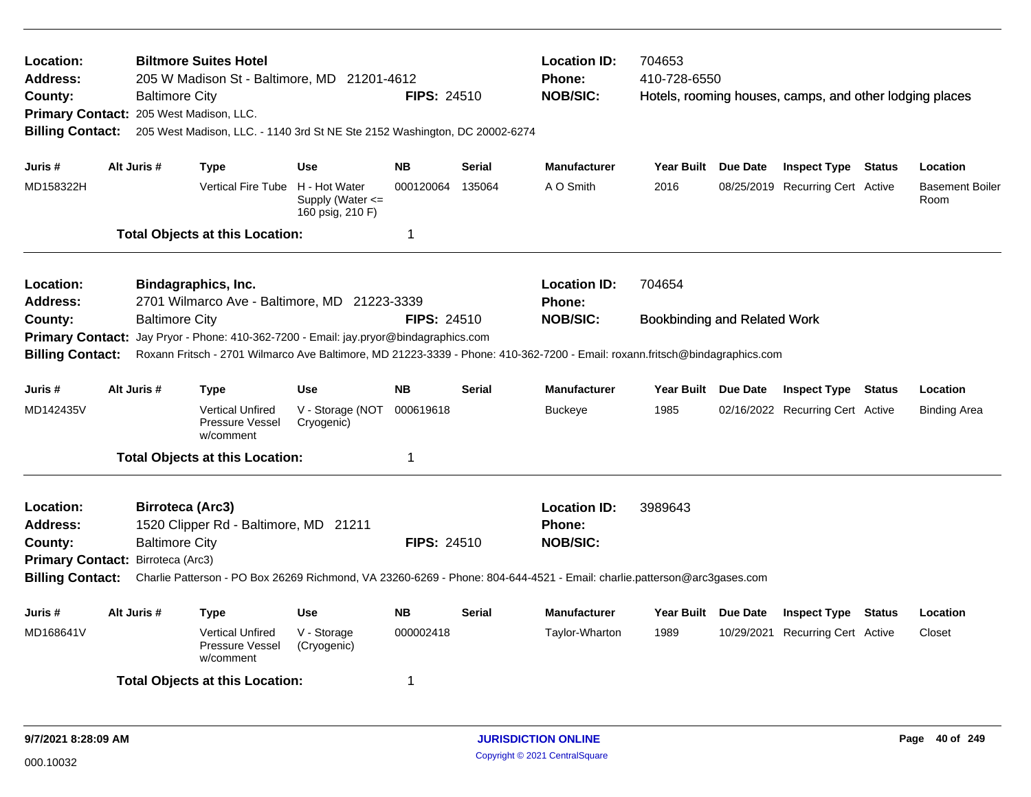| Location:<br>Address:<br>County:<br>Primary Contact: 205 West Madison, LLC.<br><b>Billing Contact:</b> |                                                                                                                                                                                                                                                                                                                                | <b>Baltimore City</b> | <b>Biltmore Suites Hotel</b><br>205 W Madison St - Baltimore, MD 21201-4612<br>205 West Madison, LLC. - 1140 3rd St NE Ste 2152 Washington, DC 20002-6274 |                                          | FIPS: 24510        |                    | <b>Location ID:</b><br><b>Phone:</b><br><b>NOB/SIC:</b>                                                                                        | 704653<br>410-728-6550              |            | Hotels, rooming houses, camps, and other lodging places |        |                                |
|--------------------------------------------------------------------------------------------------------|--------------------------------------------------------------------------------------------------------------------------------------------------------------------------------------------------------------------------------------------------------------------------------------------------------------------------------|-----------------------|-----------------------------------------------------------------------------------------------------------------------------------------------------------|------------------------------------------|--------------------|--------------------|------------------------------------------------------------------------------------------------------------------------------------------------|-------------------------------------|------------|---------------------------------------------------------|--------|--------------------------------|
| Juris #                                                                                                |                                                                                                                                                                                                                                                                                                                                | Alt Juris #           | <b>Type</b>                                                                                                                                               | <b>Use</b>                               | <b>NB</b>          | <b>Serial</b>      | <b>Manufacturer</b>                                                                                                                            | Year Built Due Date                 |            | <b>Inspect Type Status</b>                              |        | Location                       |
| MD158322H                                                                                              |                                                                                                                                                                                                                                                                                                                                |                       | Vertical Fire Tube H - Hot Water                                                                                                                          | Supply (Water $\leq$<br>160 psig, 210 F) | 000120064          | 135064             | A O Smith                                                                                                                                      | 2016                                |            | 08/25/2019 Recurring Cert Active                        |        | <b>Basement Boiler</b><br>Room |
|                                                                                                        |                                                                                                                                                                                                                                                                                                                                |                       | <b>Total Objects at this Location:</b>                                                                                                                    |                                          | -1                 |                    |                                                                                                                                                |                                     |            |                                                         |        |                                |
| Location:<br>Address:                                                                                  |                                                                                                                                                                                                                                                                                                                                |                       | <b>Bindagraphics, Inc.</b><br>2701 Wilmarco Ave - Baltimore, MD 21223-3339                                                                                |                                          |                    |                    | <b>Location ID:</b><br><b>Phone:</b>                                                                                                           | 704654                              |            |                                                         |        |                                |
| County:<br><b>Primary Contact:</b><br><b>Billing Contact:</b>                                          |                                                                                                                                                                                                                                                                                                                                | <b>Baltimore City</b> | Jay Pryor - Phone: 410-362-7200 - Email: jay.pryor@bindagraphics.com                                                                                      |                                          | <b>FIPS: 24510</b> |                    | <b>NOB/SIC:</b><br>Roxann Fritsch - 2701 Wilmarco Ave Baltimore, MD 21223-3339 - Phone: 410-362-7200 - Email: roxann.fritsch@bindagraphics.com | <b>Bookbinding and Related Work</b> |            |                                                         |        |                                |
| Juris #                                                                                                |                                                                                                                                                                                                                                                                                                                                | Alt Juris #           | <b>Type</b>                                                                                                                                               | <b>Use</b>                               | <b>NB</b>          | <b>Serial</b>      | <b>Manufacturer</b>                                                                                                                            | Year Built Due Date                 |            | <b>Inspect Type Status</b>                              |        | Location                       |
| MD142435V                                                                                              |                                                                                                                                                                                                                                                                                                                                |                       | <b>Vertical Unfired</b><br>Pressure Vessel<br>w/comment                                                                                                   | V - Storage (NOT<br>Cryogenic)           | 000619618          |                    | <b>Buckeye</b>                                                                                                                                 | 1985                                |            | 02/16/2022 Recurring Cert Active                        |        | <b>Binding Area</b>            |
|                                                                                                        |                                                                                                                                                                                                                                                                                                                                |                       |                                                                                                                                                           |                                          | $\mathbf 1$        |                    |                                                                                                                                                |                                     |            |                                                         |        |                                |
| Location:<br><b>Address:</b><br>County:                                                                | <b>Total Objects at this Location:</b><br><b>Birroteca (Arc3)</b><br>1520 Clipper Rd - Baltimore, MD 21211<br><b>Baltimore City</b><br>Primary Contact: Birroteca (Arc3)<br><b>Billing Contact:</b><br>Charlie Patterson - PO Box 26269 Richmond, VA 23260-6269 - Phone: 804-644-4521 - Email: charlie.patterson@arc3gases.com |                       |                                                                                                                                                           |                                          |                    | <b>FIPS: 24510</b> | <b>Location ID:</b><br>Phone:<br><b>NOB/SIC:</b>                                                                                               | 3989643                             |            |                                                         |        |                                |
| Juris #                                                                                                |                                                                                                                                                                                                                                                                                                                                | Alt Juris #           | Type                                                                                                                                                      | <b>Use</b>                               | <b>NB</b>          | <b>Serial</b>      | <b>Manufacturer</b>                                                                                                                            | Year Built Due Date                 |            | <b>Inspect Type</b>                                     | Status | Location                       |
| MD168641V                                                                                              |                                                                                                                                                                                                                                                                                                                                |                       | <b>Vertical Unfired</b><br>Pressure Vessel<br>w/comment                                                                                                   | V - Storage<br>(Cryogenic)               | 000002418          |                    | Taylor-Wharton                                                                                                                                 | 1989                                | 10/29/2021 | <b>Recurring Cert Active</b>                            |        | Closet                         |
|                                                                                                        |                                                                                                                                                                                                                                                                                                                                |                       | <b>Total Objects at this Location:</b>                                                                                                                    |                                          | -1                 |                    |                                                                                                                                                |                                     |            |                                                         |        |                                |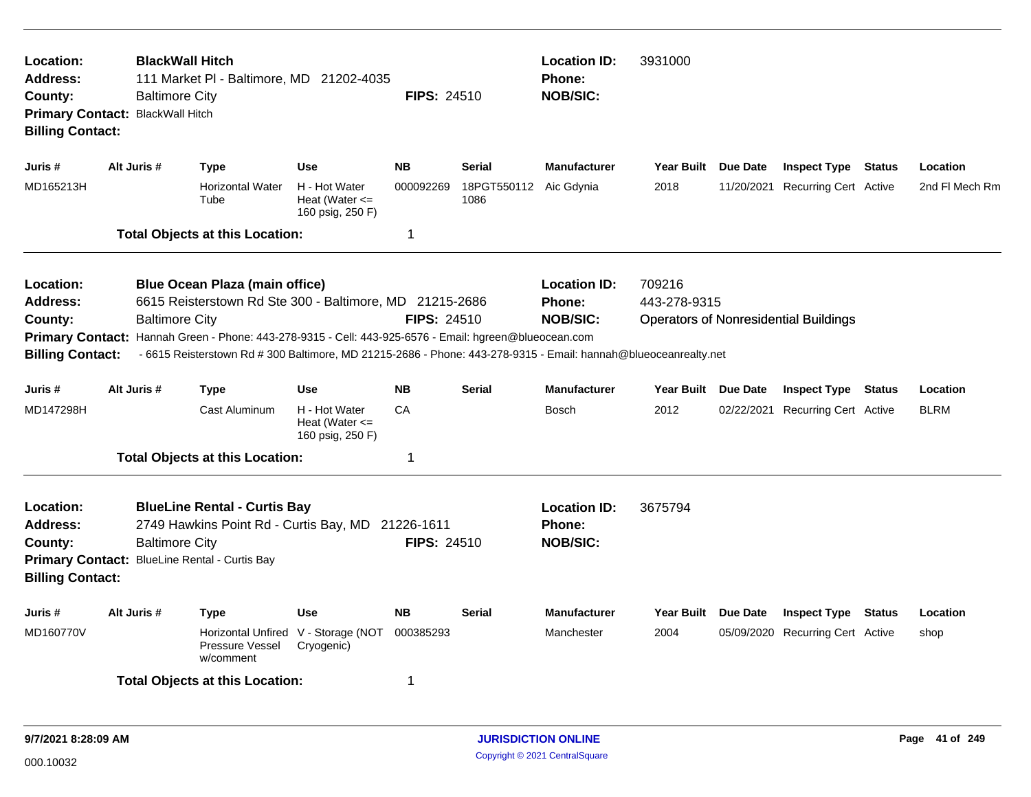| Location:<br>Address:<br>County:<br><b>Billing Contact:</b>        | Primary Contact: BlackWall Hitch | <b>BlackWall Hitch</b><br>111 Market PI - Baltimore, MD 21202-4035<br><b>Baltimore City</b>                                                                                                                                                                                                                                                            |                                                         | <b>FIPS: 24510</b> |                                | <b>Location ID:</b><br><b>Phone:</b><br><b>NOB/SIC:</b> | 3931000                |                 |                                              |        |                |
|--------------------------------------------------------------------|----------------------------------|--------------------------------------------------------------------------------------------------------------------------------------------------------------------------------------------------------------------------------------------------------------------------------------------------------------------------------------------------------|---------------------------------------------------------|--------------------|--------------------------------|---------------------------------------------------------|------------------------|-----------------|----------------------------------------------|--------|----------------|
| Juris #                                                            | Alt Juris #                      | <b>Type</b>                                                                                                                                                                                                                                                                                                                                            | <b>Use</b>                                              | <b>NB</b>          | <b>Serial</b>                  | <b>Manufacturer</b>                                     | <b>Year Built</b>      | <b>Due Date</b> | <b>Inspect Type Status</b>                   |        | Location       |
| MD165213H                                                          |                                  | <b>Horizontal Water</b><br>Tube                                                                                                                                                                                                                                                                                                                        | H - Hot Water<br>Heat (Water $\leq$<br>160 psig, 250 F) | 000092269          | 18PGT550112 Aic Gdynia<br>1086 |                                                         | 2018                   |                 | 11/20/2021 Recurring Cert Active             |        | 2nd FI Mech Rm |
|                                                                    |                                  | <b>Total Objects at this Location:</b>                                                                                                                                                                                                                                                                                                                 |                                                         | $\mathbf 1$        |                                |                                                         |                        |                 |                                              |        |                |
| Location:<br><b>Address:</b><br>County:<br><b>Billing Contact:</b> |                                  | <b>Blue Ocean Plaza (main office)</b><br>6615 Reisterstown Rd Ste 300 - Baltimore, MD 21215-2686<br><b>Baltimore City</b><br>Primary Contact: Hannah Green - Phone: 443-278-9315 - Cell: 443-925-6576 - Email: hgreen@blueocean.com<br>- 6615 Reisterstown Rd # 300 Baltimore, MD 21215-2686 - Phone: 443-278-9315 - Email: hannah@blueoceanrealty.net |                                                         | FIPS: 24510        |                                | <b>Location ID:</b><br><b>Phone:</b><br><b>NOB/SIC:</b> | 709216<br>443-278-9315 |                 | <b>Operators of Nonresidential Buildings</b> |        |                |
| Juris #                                                            | Alt Juris #                      | <b>Type</b>                                                                                                                                                                                                                                                                                                                                            | <b>Use</b>                                              | <b>NB</b>          | <b>Serial</b>                  | <b>Manufacturer</b>                                     | Year Built Due Date    |                 | <b>Inspect Type Status</b>                   |        | Location       |
| MD147298H                                                          |                                  | Cast Aluminum                                                                                                                                                                                                                                                                                                                                          | H - Hot Water<br>Heat (Water $\leq$<br>160 psig, 250 F) | CA                 |                                | <b>Bosch</b>                                            | 2012                   |                 | 02/22/2021 Recurring Cert Active             |        | <b>BLRM</b>    |
|                                                                    |                                  | <b>Total Objects at this Location:</b>                                                                                                                                                                                                                                                                                                                 |                                                         | $\overline{1}$     |                                |                                                         |                        |                 |                                              |        |                |
| Location:<br><b>Address:</b><br>County:<br><b>Billing Contact:</b> |                                  | <b>BlueLine Rental - Curtis Bay</b><br>2749 Hawkins Point Rd - Curtis Bay, MD 21226-1611<br><b>Baltimore City</b><br>Primary Contact: BlueLine Rental - Curtis Bay                                                                                                                                                                                     |                                                         | FIPS: 24510        |                                | <b>Location ID:</b><br><b>Phone:</b><br><b>NOB/SIC:</b> | 3675794                |                 |                                              |        |                |
| Juris #                                                            | Alt Juris #                      | <b>Type</b>                                                                                                                                                                                                                                                                                                                                            | <b>Use</b>                                              | <b>NB</b>          | <b>Serial</b>                  | <b>Manufacturer</b>                                     | <b>Year Built</b>      | Due Date        | <b>Inspect Type</b>                          | Status | Location       |
| MD160770V                                                          |                                  | Pressure Vessel<br>w/comment                                                                                                                                                                                                                                                                                                                           | Horizontal Unfired V - Storage (NOT<br>Cryogenic)       | 000385293          |                                | Manchester                                              | 2004                   |                 | 05/09/2020 Recurring Cert Active             |        | shop           |
|                                                                    |                                  | <b>Total Objects at this Location:</b>                                                                                                                                                                                                                                                                                                                 |                                                         | 1                  |                                |                                                         |                        |                 |                                              |        |                |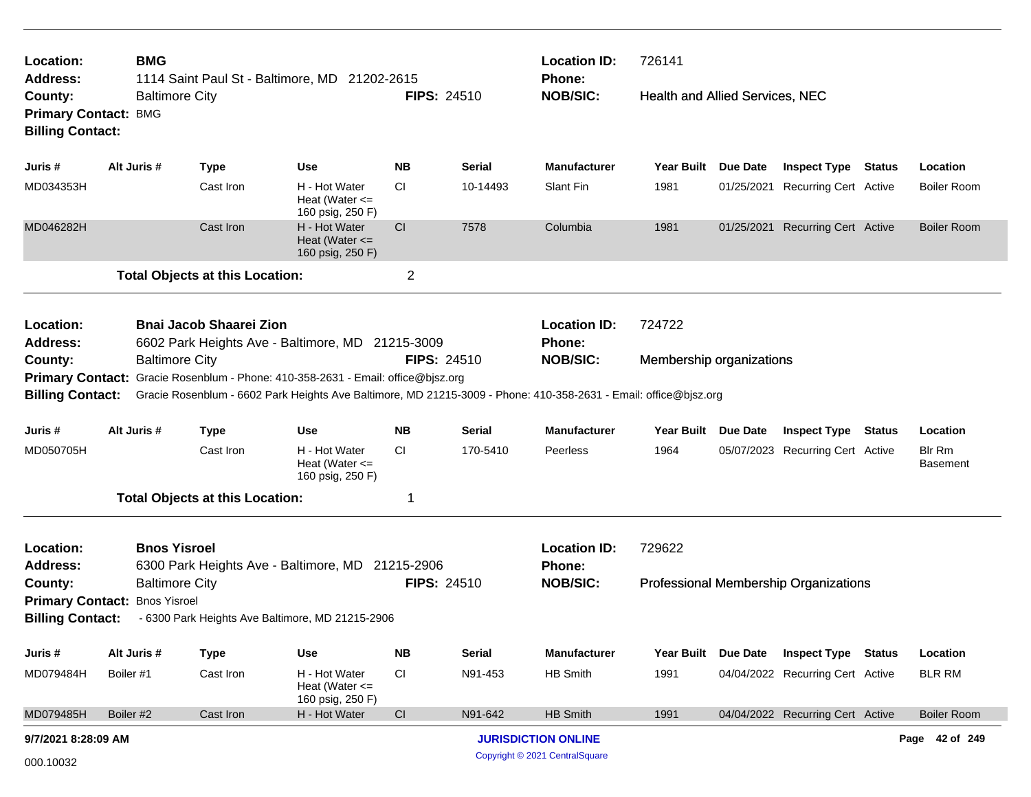| Location:                                                                                                                                                                    |           | <b>BMG</b>            |                                        |                                                                                  |                    |               | <b>Location ID:</b>                                                                                                                 | 726141                          |          |                                       |                                  |
|------------------------------------------------------------------------------------------------------------------------------------------------------------------------------|-----------|-----------------------|----------------------------------------|----------------------------------------------------------------------------------|--------------------|---------------|-------------------------------------------------------------------------------------------------------------------------------------|---------------------------------|----------|---------------------------------------|----------------------------------|
| Address:<br>County:<br><b>Primary Contact: BMG</b><br><b>Billing Contact:</b>                                                                                                |           | <b>Baltimore City</b> |                                        | 1114 Saint Paul St - Baltimore, MD 21202-2615                                    | <b>FIPS: 24510</b> |               | <b>Phone:</b><br><b>NOB/SIC:</b>                                                                                                    | Health and Allied Services, NEC |          |                                       |                                  |
| Juris #                                                                                                                                                                      |           | Alt Juris #           | <b>Type</b>                            | Use                                                                              | <b>NB</b>          | Serial        | <b>Manufacturer</b>                                                                                                                 | Year Built                      | Due Date | <b>Inspect Type Status</b>            | Location                         |
| MD034353H                                                                                                                                                                    |           |                       | Cast Iron                              | H - Hot Water<br>Heat (Water $\leq$<br>160 psig, 250 F)                          | <b>CI</b>          | 10-14493      | Slant Fin                                                                                                                           | 1981                            |          | 01/25/2021 Recurring Cert Active      | <b>Boiler Room</b>               |
| MD046282H                                                                                                                                                                    |           |                       | Cast Iron                              | H - Hot Water<br>Heat (Water $\leq$<br>160 psig, 250 F)                          | CI                 | 7578          | Columbia                                                                                                                            | 1981                            |          | 01/25/2021 Recurring Cert Active      | <b>Boiler Room</b>               |
|                                                                                                                                                                              |           |                       | <b>Total Objects at this Location:</b> |                                                                                  | $\overline{2}$     |               |                                                                                                                                     |                                 |          |                                       |                                  |
| <b>Bnai Jacob Shaarei Zion</b><br>Location:<br>6602 Park Heights Ave - Baltimore, MD 21215-3009<br><b>Address:</b><br><b>Baltimore City</b><br><b>FIPS: 24510</b><br>County: |           |                       |                                        |                                                                                  |                    |               | <b>Location ID:</b><br><b>Phone:</b>                                                                                                | 724722                          |          |                                       |                                  |
| <b>Billing Contact:</b>                                                                                                                                                      |           |                       |                                        | Primary Contact: Gracie Rosenblum - Phone: 410-358-2631 - Email: office@bjsz.org |                    |               | <b>NOB/SIC:</b><br>Gracie Rosenblum - 6602 Park Heights Ave Baltimore, MD 21215-3009 - Phone: 410-358-2631 - Email: office@bjsz.org | Membership organizations        |          |                                       |                                  |
| Juris #                                                                                                                                                                      |           | Alt Juris #           | <b>Type</b>                            | Use                                                                              | <b>NB</b>          | <b>Serial</b> | <b>Manufacturer</b>                                                                                                                 | Year Built Due Date             |          | <b>Inspect Type Status</b>            | Location                         |
| MD050705H                                                                                                                                                                    |           |                       | Cast Iron                              | H - Hot Water<br>Heat (Water $\leq$<br>160 psig, 250 F)                          | <b>CI</b>          | 170-5410      | Peerless                                                                                                                            | 1964                            |          | 05/07/2023 Recurring Cert Active      | <b>Blr Rm</b><br><b>Basement</b> |
|                                                                                                                                                                              |           |                       | <b>Total Objects at this Location:</b> |                                                                                  | 1                  |               |                                                                                                                                     |                                 |          |                                       |                                  |
| Location:<br><b>Address:</b>                                                                                                                                                 |           | <b>Bnos Yisroel</b>   |                                        | 6300 Park Heights Ave - Baltimore, MD 21215-2906                                 |                    |               | <b>Location ID:</b><br><b>Phone:</b>                                                                                                | 729622                          |          |                                       |                                  |
| County:                                                                                                                                                                      |           | <b>Baltimore City</b> |                                        |                                                                                  | <b>FIPS: 24510</b> |               | <b>NOB/SIC:</b>                                                                                                                     |                                 |          | Professional Membership Organizations |                                  |
| Primary Contact: Bnos Yisroel<br><b>Billing Contact:</b>                                                                                                                     |           |                       |                                        | - 6300 Park Heights Ave Baltimore, MD 21215-2906                                 |                    |               |                                                                                                                                     |                                 |          |                                       |                                  |
| Juris #                                                                                                                                                                      |           | Alt Juris #           | <b>Type</b>                            | <b>Use</b>                                                                       | <b>NB</b>          | Serial        | <b>Manufacturer</b>                                                                                                                 | <b>Year Built</b>               | Due Date | <b>Inspect Type Status</b>            | Location                         |
| MD079484H                                                                                                                                                                    | Boiler #1 |                       | Cast Iron                              | H - Hot Water<br>Heat (Water $\leq$<br>160 psig, 250 F)                          | <b>CI</b>          | N91-453       | <b>HB Smith</b>                                                                                                                     | 1991                            |          | 04/04/2022 Recurring Cert Active      | <b>BLR RM</b>                    |
| MD079485H                                                                                                                                                                    | Boiler #2 |                       | Cast Iron                              | H - Hot Water                                                                    | CI                 | N91-642       | <b>HB Smith</b>                                                                                                                     | 1991                            |          | 04/04/2022 Recurring Cert Active      | <b>Boiler Room</b>               |
| 9/7/2021 8:28:09 AM                                                                                                                                                          |           |                       |                                        |                                                                                  |                    |               | <b>JURISDICTION ONLINE</b>                                                                                                          |                                 |          |                                       | Page 42 of 249                   |
| 000.10032                                                                                                                                                                    |           |                       |                                        |                                                                                  |                    |               | Copyright © 2021 CentralSquare                                                                                                      |                                 |          |                                       |                                  |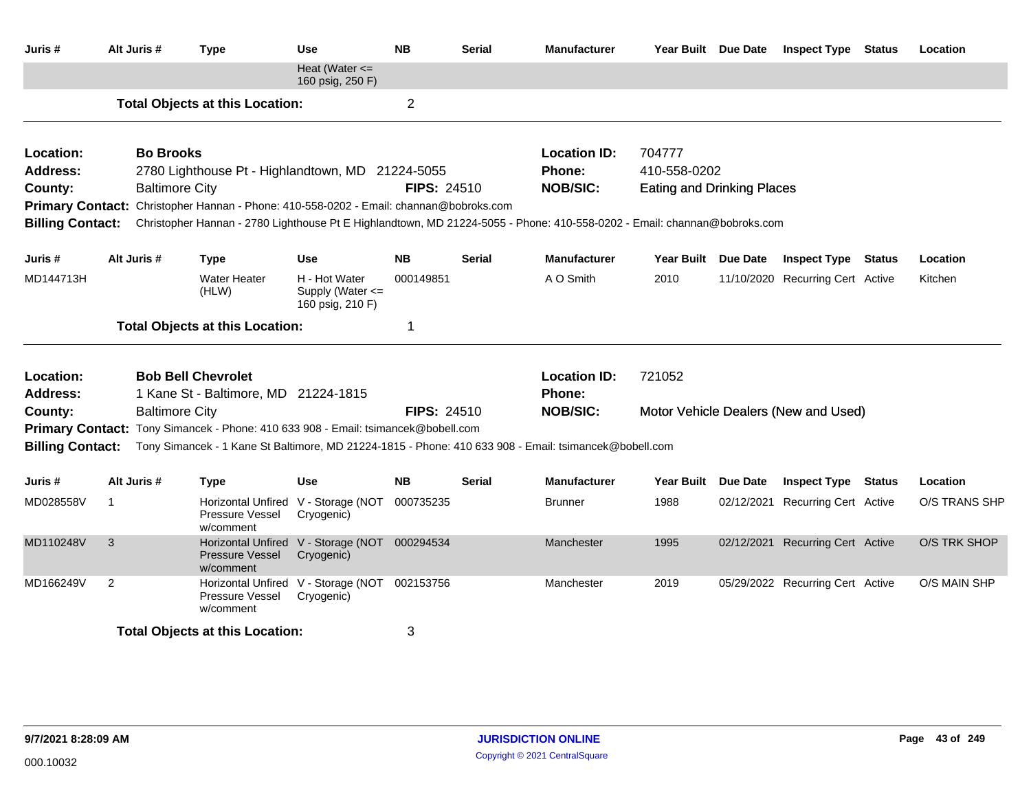| Juris #                 | Alt Juris #           | <b>Type</b>                                                                            | Use                                                         | <b>NB</b>          | <b>Serial</b> | <b>Manufacturer</b>                                                                                                      |                                   | Year Built Due Date | <b>Inspect Type Status</b>           | Location      |
|-------------------------|-----------------------|----------------------------------------------------------------------------------------|-------------------------------------------------------------|--------------------|---------------|--------------------------------------------------------------------------------------------------------------------------|-----------------------------------|---------------------|--------------------------------------|---------------|
|                         |                       |                                                                                        | Heat (Water $\leq$<br>160 psig, 250 F)                      |                    |               |                                                                                                                          |                                   |                     |                                      |               |
|                         |                       | <b>Total Objects at this Location:</b>                                                 |                                                             | $\overline{2}$     |               |                                                                                                                          |                                   |                     |                                      |               |
| Location:               | <b>Bo Brooks</b>      |                                                                                        |                                                             |                    |               | <b>Location ID:</b>                                                                                                      | 704777                            |                     |                                      |               |
| <b>Address:</b>         |                       | 2780 Lighthouse Pt - Highlandtown, MD 21224-5055                                       |                                                             |                    |               | Phone:                                                                                                                   | 410-558-0202                      |                     |                                      |               |
| County:                 | <b>Baltimore City</b> |                                                                                        |                                                             | FIPS: 24510        |               | <b>NOB/SIC:</b>                                                                                                          | <b>Eating and Drinking Places</b> |                     |                                      |               |
|                         |                       | Primary Contact: Christopher Hannan - Phone: 410-558-0202 - Email: channan@bobroks.com |                                                             |                    |               |                                                                                                                          |                                   |                     |                                      |               |
| <b>Billing Contact:</b> |                       |                                                                                        |                                                             |                    |               | Christopher Hannan - 2780 Lighthouse Pt E Highlandtown, MD 21224-5055 - Phone: 410-558-0202 - Email: channan@bobroks.com |                                   |                     |                                      |               |
| Juris #                 | Alt Juris #           | <b>Type</b>                                                                            | <b>Use</b>                                                  | <b>NB</b>          | <b>Serial</b> | <b>Manufacturer</b>                                                                                                      |                                   | Year Built Due Date | <b>Inspect Type Status</b>           | Location      |
| MD144713H               |                       | <b>Water Heater</b><br>(HLW)                                                           | H - Hot Water<br>Supply (Water <=<br>160 psig, 210 F)       | 000149851          |               | A O Smith                                                                                                                | 2010                              |                     | 11/10/2020 Recurring Cert Active     | Kitchen       |
|                         |                       | <b>Total Objects at this Location:</b>                                                 |                                                             | 1                  |               |                                                                                                                          |                                   |                     |                                      |               |
| Location:               |                       | <b>Bob Bell Chevrolet</b>                                                              |                                                             |                    |               | <b>Location ID:</b>                                                                                                      | 721052                            |                     |                                      |               |
| <b>Address:</b>         |                       | 1 Kane St - Baltimore, MD 21224-1815                                                   |                                                             |                    |               | <b>Phone:</b>                                                                                                            |                                   |                     |                                      |               |
| County:                 | <b>Baltimore City</b> |                                                                                        |                                                             | <b>FIPS: 24510</b> |               | <b>NOB/SIC:</b>                                                                                                          |                                   |                     | Motor Vehicle Dealers (New and Used) |               |
|                         |                       | Primary Contact: Tony Simancek - Phone: 410 633 908 - Email: tsimancek@bobell.com      |                                                             |                    |               |                                                                                                                          |                                   |                     |                                      |               |
| <b>Billing Contact:</b> |                       |                                                                                        |                                                             |                    |               | Tony Simancek - 1 Kane St Baltimore, MD 21224-1815 - Phone: 410 633 908 - Email: tsimancek@bobell.com                    |                                   |                     |                                      |               |
| Juris #                 | Alt Juris #           | <b>Type</b>                                                                            | <b>Use</b>                                                  | <b>NB</b>          | Serial        | <b>Manufacturer</b>                                                                                                      | Year Built Due Date               |                     | <b>Inspect Type Status</b>           | Location      |
| MD028558V               | -1                    | Pressure Vessel<br>w/comment                                                           | Horizontal Unfired V - Storage (NOT<br>Cryogenic)           | 000735235          |               | <b>Brunner</b>                                                                                                           | 1988                              | 02/12/2021          | <b>Recurring Cert</b> Active         | O/S TRANS SHP |
| MD110248V               | 3                     | Pressure Vessel<br>w/comment                                                           | Horizontal Unfired V - Storage (NOT 000294534<br>Cryogenic) |                    |               | Manchester                                                                                                               | 1995                              |                     | 02/12/2021 Recurring Cert Active     | O/S TRK SHOP  |
| MD166249V               | $\overline{2}$        | Pressure Vessel<br>w/comment                                                           | Horizontal Unfired V - Storage (NOT<br>Cryogenic)           | 002153756          |               | Manchester                                                                                                               | 2019                              |                     | 05/29/2022 Recurring Cert Active     | O/S MAIN SHP  |
|                         |                       | <b>Total Objects at this Location:</b>                                                 |                                                             | 3                  |               |                                                                                                                          |                                   |                     |                                      |               |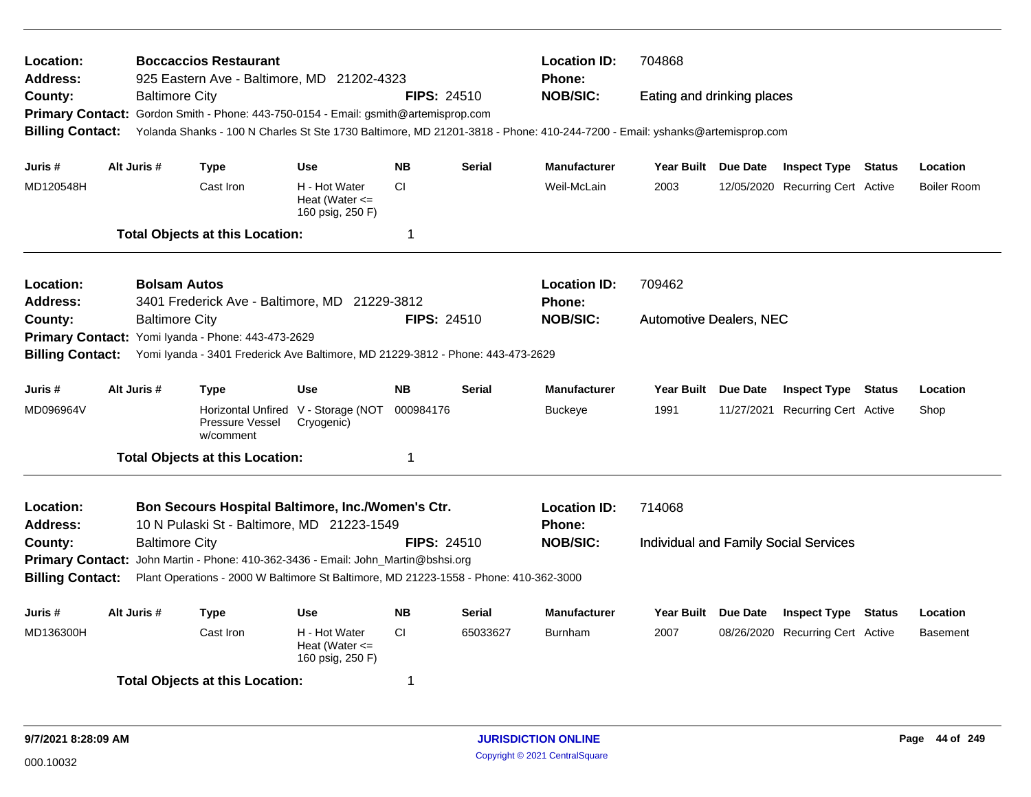| Location:<br><b>Address:</b><br>County:<br><b>Billing Contact:</b> |             | <b>Baltimore City</b> | <b>Boccaccios Restaurant</b><br>925 Eastern Ave - Baltimore, MD 21202-4323<br>Primary Contact: Gordon Smith - Phone: 443-750-0154 - Email: gsmith@artemisprop.com |                                                         | <b>FIPS: 24510</b> |               | <b>Location ID:</b><br>Phone:<br><b>NOB/SIC:</b><br>Yolanda Shanks - 100 N Charles St Ste 1730 Baltimore, MD 21201-3818 - Phone: 410-244-7200 - Email: yshanks@artemisprop.com | 704868<br>Eating and drinking places |          |                                              |        |                    |
|--------------------------------------------------------------------|-------------|-----------------------|-------------------------------------------------------------------------------------------------------------------------------------------------------------------|---------------------------------------------------------|--------------------|---------------|--------------------------------------------------------------------------------------------------------------------------------------------------------------------------------|--------------------------------------|----------|----------------------------------------------|--------|--------------------|
| Juris #                                                            | Alt Juris # |                       | <b>Type</b>                                                                                                                                                       | <b>Use</b>                                              | <b>NB</b>          | <b>Serial</b> | <b>Manufacturer</b>                                                                                                                                                            | Year Built Due Date                  |          | <b>Inspect Type Status</b>                   |        | Location           |
| MD120548H                                                          |             |                       | Cast Iron                                                                                                                                                         | H - Hot Water<br>Heat (Water $\leq$<br>160 psig, 250 F) | CI.                |               | Weil-McLain                                                                                                                                                                    | 2003                                 |          | 12/05/2020 Recurring Cert Active             |        | <b>Boiler Room</b> |
|                                                                    |             |                       | <b>Total Objects at this Location:</b>                                                                                                                            |                                                         | 1                  |               |                                                                                                                                                                                |                                      |          |                                              |        |                    |
| Location:<br><b>Address:</b>                                       |             | <b>Bolsam Autos</b>   | 3401 Frederick Ave - Baltimore, MD 21229-3812                                                                                                                     |                                                         |                    |               | <b>Location ID:</b><br>Phone:                                                                                                                                                  | 709462                               |          |                                              |        |                    |
| County:<br><b>Billing Contact:</b>                                 |             | <b>Baltimore City</b> | Primary Contact: Yomi Iyanda - Phone: 443-473-2629<br>Yomi Iyanda - 3401 Frederick Ave Baltimore, MD 21229-3812 - Phone: 443-473-2629                             |                                                         | FIPS: 24510        |               | <b>NOB/SIC:</b>                                                                                                                                                                | <b>Automotive Dealers, NEC</b>       |          |                                              |        |                    |
| Juris #                                                            | Alt Juris # |                       | <b>Type</b>                                                                                                                                                       | Use                                                     | <b>NB</b>          | <b>Serial</b> | <b>Manufacturer</b>                                                                                                                                                            | <b>Year Built</b>                    | Due Date | <b>Inspect Type</b>                          | Status | Location           |
| MD096964V                                                          |             |                       | Horizontal Unfired V - Storage (NOT<br>Pressure Vessel<br>w/comment                                                                                               | Cryogenic)                                              | 000984176          |               | Buckeye                                                                                                                                                                        | 1991                                 |          | 11/27/2021 Recurring Cert Active             |        | Shop               |
|                                                                    |             |                       | <b>Total Objects at this Location:</b>                                                                                                                            |                                                         | $\mathbf 1$        |               |                                                                                                                                                                                |                                      |          |                                              |        |                    |
| Location:<br><b>Address:</b>                                       |             |                       | Bon Secours Hospital Baltimore, Inc./Women's Ctr.<br>10 N Pulaski St - Baltimore, MD 21223-1549                                                                   |                                                         |                    |               | <b>Location ID:</b><br>Phone:                                                                                                                                                  | 714068                               |          |                                              |        |                    |
| County:<br><b>Primary Contact:</b><br><b>Billing Contact:</b>      |             | <b>Baltimore City</b> | John Martin - Phone: 410-362-3436 - Email: John_Martin@bshsi.org<br>Plant Operations - 2000 W Baltimore St Baltimore, MD 21223-1558 - Phone: 410-362-3000         |                                                         | <b>FIPS: 24510</b> |               | <b>NOB/SIC:</b>                                                                                                                                                                |                                      |          | <b>Individual and Family Social Services</b> |        |                    |
|                                                                    |             |                       |                                                                                                                                                                   |                                                         |                    |               |                                                                                                                                                                                |                                      |          |                                              |        |                    |
| Juris #                                                            | Alt Juris # |                       | <b>Type</b>                                                                                                                                                       | <b>Use</b>                                              | <b>NB</b>          | <b>Serial</b> | <b>Manufacturer</b>                                                                                                                                                            | <b>Year Built</b>                    | Due Date | <b>Inspect Type</b>                          | Status | Location           |
| MD136300H                                                          |             |                       | Cast Iron                                                                                                                                                         | H - Hot Water<br>Heat (Water $\leq$<br>160 psig, 250 F) | CI.                | 65033627      | Burnham                                                                                                                                                                        | 2007                                 |          | 08/26/2020 Recurring Cert Active             |        | <b>Basement</b>    |
|                                                                    |             |                       | <b>Total Objects at this Location:</b>                                                                                                                            |                                                         | 1                  |               |                                                                                                                                                                                |                                      |          |                                              |        |                    |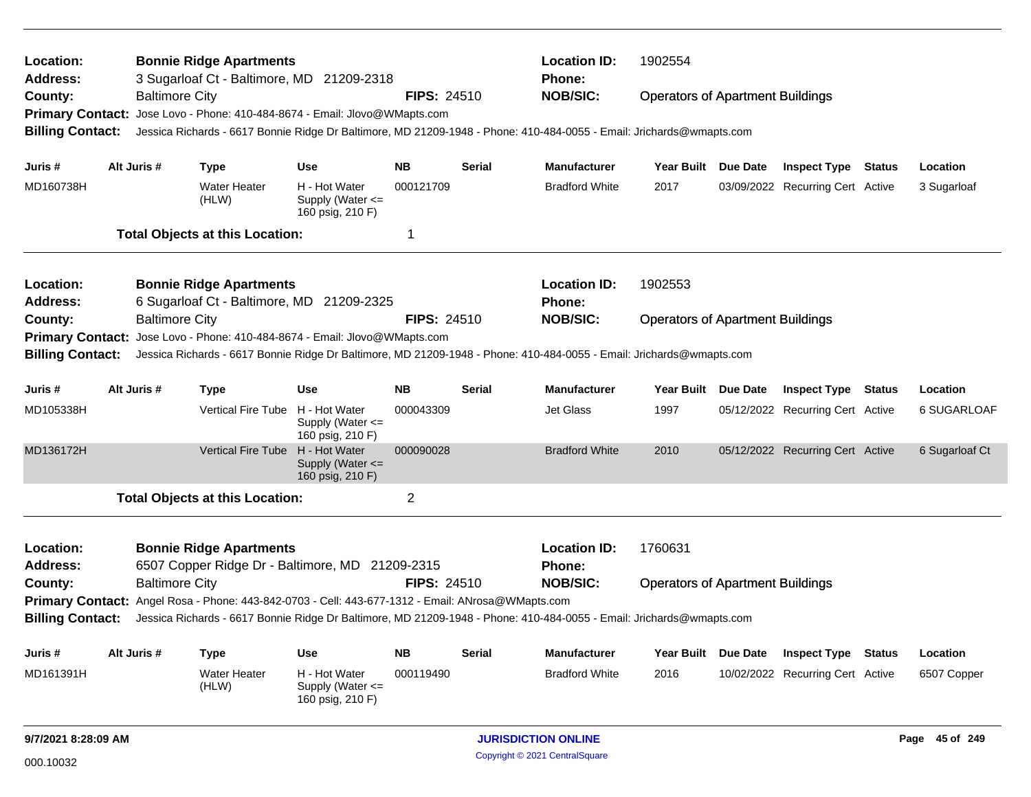| Location:<br><b>Address:</b><br>County:<br><b>Billing Contact:</b>        | <b>Baltimore City</b> | <b>Bonnie Ridge Apartments</b><br>3 Sugarloaf Ct - Baltimore, MD 21209-2318<br>Primary Contact: Jose Lovo - Phone: 410-484-8674 - Email: Jlovo@WMapts.com<br>Jessica Richards - 6617 Bonnie Ridge Dr Baltimore, MD 21209-1948 - Phone: 410-484-0055 - Email: Jrichards@wmapts.com                              |                                                                            | FIPS: 24510                         |                                                         | <b>Location ID:</b><br><b>Phone:</b><br><b>NOB/SIC:</b>          | 1902554<br><b>Operators of Apartment Buildings</b> |                                                                                             |               |                                           |
|---------------------------------------------------------------------------|-----------------------|----------------------------------------------------------------------------------------------------------------------------------------------------------------------------------------------------------------------------------------------------------------------------------------------------------------|----------------------------------------------------------------------------|-------------------------------------|---------------------------------------------------------|------------------------------------------------------------------|----------------------------------------------------|---------------------------------------------------------------------------------------------|---------------|-------------------------------------------|
| Juris #<br>MD160738H                                                      | Alt Juris #           | <b>Type</b><br><b>Water Heater</b><br>(HLW)<br><b>Total Objects at this Location:</b>                                                                                                                                                                                                                          | <b>Use</b><br>H - Hot Water<br>Supply (Water $\leq$<br>160 psig, 210 F)    | <b>NB</b><br>000121709<br>-1        | <b>Serial</b>                                           | <b>Manufacturer</b><br><b>Bradford White</b>                     | Year Built Due Date<br>2017                        | <b>Inspect Type Status</b><br>03/09/2022 Recurring Cert Active                              |               | Location<br>3 Sugarloaf                   |
| <b>Location:</b><br><b>Address:</b><br>County:<br><b>Billing Contact:</b> | <b>Baltimore City</b> | <b>Bonnie Ridge Apartments</b><br>6 Sugarloaf Ct - Baltimore, MD 21209-2325<br>Primary Contact: Jose Lovo - Phone: 410-484-8674 - Email: Jlovo@WMapts.com<br>Jessica Richards - 6617 Bonnie Ridge Dr Baltimore, MD 21209-1948 - Phone: 410-484-0055 - Email: Jrichards@wmapts.com                              |                                                                            | FIPS: 24510                         |                                                         | <b>Location ID:</b><br><b>Phone:</b><br><b>NOB/SIC:</b>          | 1902553<br><b>Operators of Apartment Buildings</b> |                                                                                             |               |                                           |
| Juris #<br>MD105338H<br>MD136172H                                         | Alt Juris #           | <b>Type</b><br>Vertical Fire Tube H - Hot Water<br>Vertical Fire Tube H - Hot Water                                                                                                                                                                                                                            | <b>Use</b><br>Supply (Water $\leq$<br>160 psig, 210 F)<br>Supply (Water <= | <b>NB</b><br>000043309<br>000090028 | <b>Serial</b>                                           | <b>Manufacturer</b><br><b>Jet Glass</b><br><b>Bradford White</b> | Year Built Due Date<br>1997<br>2010                | <b>Inspect Type</b><br>05/12/2022 Recurring Cert Active<br>05/12/2022 Recurring Cert Active | Status        | Location<br>6 SUGARLOAF<br>6 Sugarloaf Ct |
|                                                                           |                       | <b>Total Objects at this Location:</b>                                                                                                                                                                                                                                                                         | 160 psig, 210 F)                                                           | $\overline{2}$                      |                                                         |                                                                  |                                                    |                                                                                             |               |                                           |
| Location:<br><b>Address:</b><br>County:<br><b>Billing Contact:</b>        | <b>Baltimore City</b> | <b>Bonnie Ridge Apartments</b><br>6507 Copper Ridge Dr - Baltimore, MD 21209-2315<br>Primary Contact: Angel Rosa - Phone: 443-842-0703 - Cell: 443-677-1312 - Email: ANrosa@WMapts.com<br>Jessica Richards - 6617 Bonnie Ridge Dr Baltimore, MD 21209-1948 - Phone: 410-484-0055 - Email: Jrichards@wmapts.com |                                                                            | <b>FIPS: 24510</b>                  | <b>Location ID:</b><br><b>Phone:</b><br><b>NOB/SIC:</b> | 1760631<br><b>Operators of Apartment Buildings</b>               |                                                    |                                                                                             |               |                                           |
| Juris #<br>MD161391H                                                      | Alt Juris #           | <b>Type</b><br><b>Water Heater</b><br>(HLW)                                                                                                                                                                                                                                                                    | Use<br>H - Hot Water<br>Supply (Water $\leq$<br>160 psig, 210 F)           | <b>NB</b><br>000119490              | <b>Serial</b>                                           | <b>Manufacturer</b><br><b>Bradford White</b>                     | Year Built Due Date<br>2016                        | <b>Inspect Type</b><br>10/02/2022 Recurring Cert Active                                     | <b>Status</b> | Location<br>6507 Copper                   |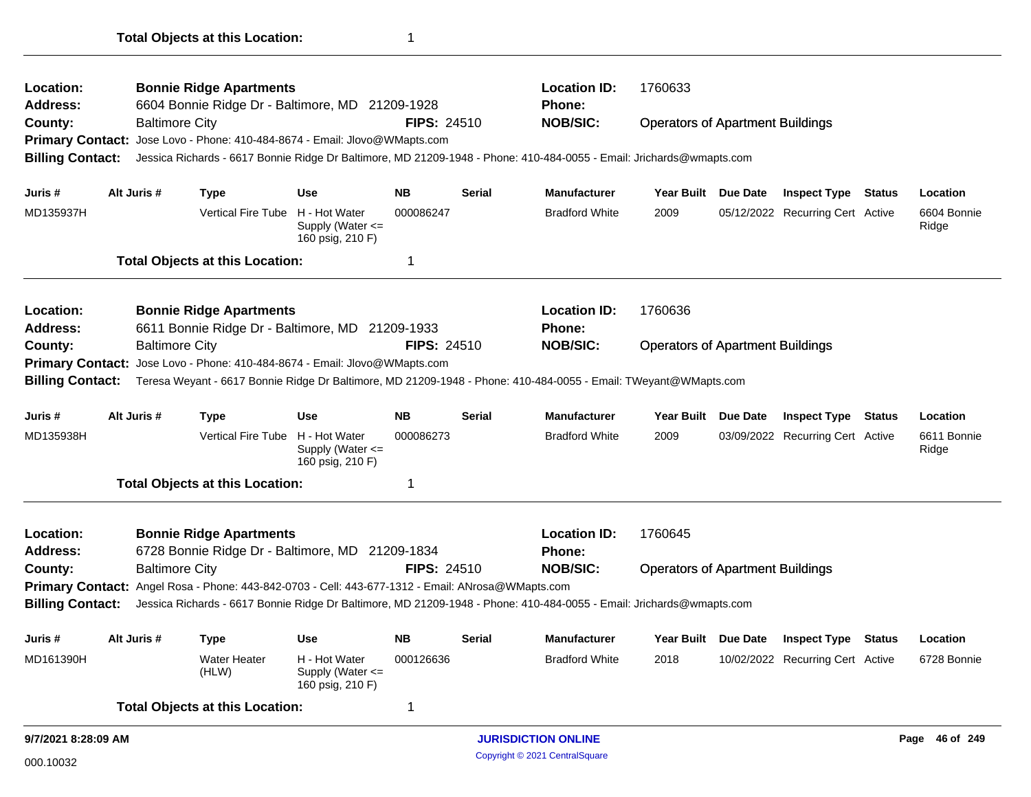| Location:<br><b>Address:</b>       |  |                       | <b>Bonnie Ridge Apartments</b><br>6604 Bonnie Ridge Dr - Baltimore, MD 21209-1928                        |                                                           |                    |               | <b>Location ID:</b><br><b>Phone:</b>                                                                                 | 1760633                                 |                 |                                  |        |                      |
|------------------------------------|--|-----------------------|----------------------------------------------------------------------------------------------------------|-----------------------------------------------------------|--------------------|---------------|----------------------------------------------------------------------------------------------------------------------|-----------------------------------------|-----------------|----------------------------------|--------|----------------------|
| County:                            |  | <b>Baltimore City</b> |                                                                                                          |                                                           | <b>FIPS: 24510</b> |               | <b>NOB/SIC:</b>                                                                                                      | <b>Operators of Apartment Buildings</b> |                 |                                  |        |                      |
| <b>Primary Contact:</b>            |  |                       | Jose Lovo - Phone: 410-484-8674 - Email: Jlovo@WMapts.com                                                |                                                           |                    |               |                                                                                                                      |                                         |                 |                                  |        |                      |
| <b>Billing Contact:</b>            |  |                       |                                                                                                          |                                                           |                    |               | Jessica Richards - 6617 Bonnie Ridge Dr Baltimore, MD 21209-1948 - Phone: 410-484-0055 - Email: Jrichards@wmapts.com |                                         |                 |                                  |        |                      |
| Juris #                            |  | Alt Juris #           | <b>Type</b>                                                                                              | Use                                                       | <b>NB</b>          | <b>Serial</b> | <b>Manufacturer</b>                                                                                                  | Year Built Due Date                     |                 | <b>Inspect Type Status</b>       |        | Location             |
| MD135937H                          |  |                       | <b>Vertical Fire Tube</b>                                                                                | H - Hot Water<br>Supply (Water $\leq$<br>160 psig, 210 F) | 000086247          |               | <b>Bradford White</b>                                                                                                | 2009                                    |                 | 05/12/2022 Recurring Cert Active |        | 6604 Bonnie<br>Ridge |
|                                    |  |                       | <b>Total Objects at this Location:</b>                                                                   |                                                           | 1                  |               |                                                                                                                      |                                         |                 |                                  |        |                      |
| Location:<br><b>Address:</b>       |  |                       | <b>Bonnie Ridge Apartments</b><br>6611 Bonnie Ridge Dr - Baltimore, MD 21209-1933                        |                                                           |                    |               | <b>Location ID:</b><br>Phone:                                                                                        | 1760636                                 |                 |                                  |        |                      |
| County:<br><b>Primary Contact:</b> |  | <b>Baltimore City</b> |                                                                                                          |                                                           | FIPS: 24510        |               | <b>NOB/SIC:</b>                                                                                                      | <b>Operators of Apartment Buildings</b> |                 |                                  |        |                      |
|                                    |  |                       | Jose Lovo - Phone: 410-484-8674 - Email: Jlovo@WMapts.com                                                |                                                           |                    |               |                                                                                                                      |                                         |                 |                                  |        |                      |
| <b>Billing Contact:</b>            |  |                       |                                                                                                          |                                                           |                    |               | Teresa Weyant - 6617 Bonnie Ridge Dr Baltimore, MD 21209-1948 - Phone: 410-484-0055 - Email: TWeyant@WMapts.com      |                                         |                 |                                  |        |                      |
| Juris #                            |  | Alt Juris #           | <b>Type</b>                                                                                              | <b>Use</b>                                                | <b>NB</b>          | <b>Serial</b> | <b>Manufacturer</b>                                                                                                  | <b>Year Built</b>                       | <b>Due Date</b> | <b>Inspect Type</b>              | Status | Location             |
| MD135938H                          |  |                       | <b>Vertical Fire Tube</b>                                                                                | H - Hot Water<br>Supply (Water $\leq$<br>160 psig, 210 F) | 000086273          |               | <b>Bradford White</b>                                                                                                | 2009                                    |                 | 03/09/2022 Recurring Cert Active |        | 6611 Bonnie<br>Ridge |
|                                    |  |                       | <b>Total Objects at this Location:</b>                                                                   |                                                           | $\mathbf 1$        |               |                                                                                                                      |                                         |                 |                                  |        |                      |
| Location:                          |  |                       | <b>Bonnie Ridge Apartments</b>                                                                           |                                                           |                    |               | <b>Location ID:</b>                                                                                                  | 1760645                                 |                 |                                  |        |                      |
| <b>Address:</b>                    |  |                       | 6728 Bonnie Ridge Dr - Baltimore, MD 21209-1834                                                          |                                                           |                    |               | <b>Phone:</b>                                                                                                        |                                         |                 |                                  |        |                      |
| County:                            |  | <b>Baltimore City</b> |                                                                                                          |                                                           | FIPS: 24510        |               | <b>NOB/SIC:</b>                                                                                                      | <b>Operators of Apartment Buildings</b> |                 |                                  |        |                      |
|                                    |  |                       | <b>Primary Contact:</b> Angel Rosa - Phone: 443-842-0703 - Cell: 443-677-1312 - Email: ANrosa@WMapts.com |                                                           |                    |               |                                                                                                                      |                                         |                 |                                  |        |                      |
| <b>Billing Contact:</b>            |  |                       |                                                                                                          |                                                           |                    |               | Jessica Richards - 6617 Bonnie Ridge Dr Baltimore, MD 21209-1948 - Phone: 410-484-0055 - Email: Jrichards@wmapts.com |                                         |                 |                                  |        |                      |
| Juris #                            |  | Alt Juris #           | <b>Type</b>                                                                                              | <b>Use</b>                                                | <b>NB</b>          | <b>Serial</b> | <b>Manufacturer</b>                                                                                                  | Year Built Due Date                     |                 | <b>Inspect Type</b>              | Status | Location             |
| MD161390H                          |  |                       | <b>Water Heater</b><br>(HLW)                                                                             | H - Hot Water<br>Supply (Water $\leq$<br>160 psig, 210 F) | 000126636          |               | <b>Bradford White</b>                                                                                                | 2018                                    |                 | 10/02/2022 Recurring Cert Active |        | 6728 Bonnie          |
|                                    |  |                       | <b>Total Objects at this Location:</b>                                                                   |                                                           | 1                  |               |                                                                                                                      |                                         |                 |                                  |        |                      |
| 9/7/2021 8:28:09 AM                |  |                       |                                                                                                          |                                                           |                    |               | <b>JURISDICTION ONLINE</b>                                                                                           |                                         |                 |                                  |        | Page 46 of 249       |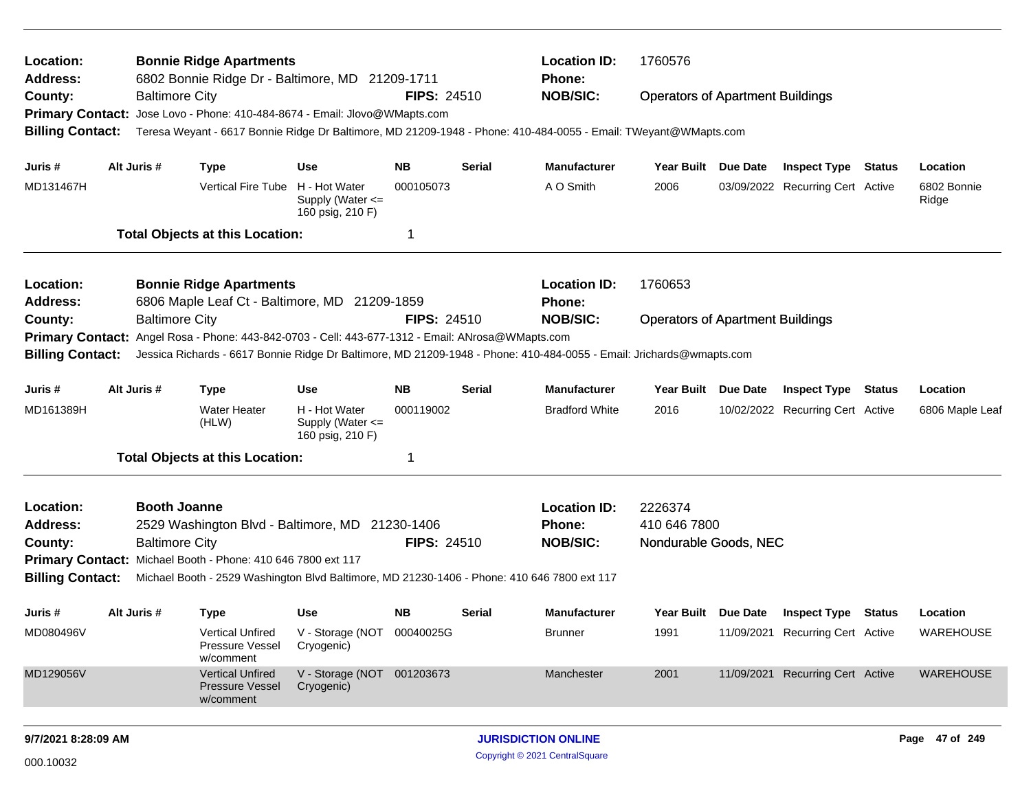| Location:<br><b>Address:</b> |             | <b>Bonnie Ridge Apartments</b><br>6802 Bonnie Ridge Dr - Baltimore, MD 21209-1711                                    |                                                       |                    |               | <b>Location ID:</b><br>Phone: | 1760576                                 |                     |                                  |               |                      |
|------------------------------|-------------|----------------------------------------------------------------------------------------------------------------------|-------------------------------------------------------|--------------------|---------------|-------------------------------|-----------------------------------------|---------------------|----------------------------------|---------------|----------------------|
| County:                      |             | <b>Baltimore City</b>                                                                                                |                                                       | <b>FIPS: 24510</b> |               | <b>NOB/SIC:</b>               | <b>Operators of Apartment Buildings</b> |                     |                                  |               |                      |
| <b>Primary Contact:</b>      |             | Jose Lovo - Phone: 410-484-8674 - Email: Jlovo@WMapts.com                                                            |                                                       |                    |               |                               |                                         |                     |                                  |               |                      |
| <b>Billing Contact:</b>      |             | Teresa Weyant - 6617 Bonnie Ridge Dr Baltimore, MD 21209-1948 - Phone: 410-484-0055 - Email: TWeyant@WMapts.com      |                                                       |                    |               |                               |                                         |                     |                                  |               |                      |
| Juris #                      | Alt Juris # | <b>Type</b>                                                                                                          | Use                                                   | <b>NB</b>          | <b>Serial</b> | Manufacturer                  | Year Built Due Date                     |                     | <b>Inspect Type Status</b>       |               | Location             |
| MD131467H                    |             | Vertical Fire Tube H - Hot Water                                                                                     | Supply (Water <=<br>160 psig, 210 F)                  | 000105073          |               | A O Smith                     | 2006                                    |                     | 03/09/2022 Recurring Cert Active |               | 6802 Bonnie<br>Ridge |
|                              |             | <b>Total Objects at this Location:</b>                                                                               |                                                       | -1                 |               |                               |                                         |                     |                                  |               |                      |
| Location:                    |             | <b>Bonnie Ridge Apartments</b>                                                                                       |                                                       |                    |               | <b>Location ID:</b>           | 1760653                                 |                     |                                  |               |                      |
| <b>Address:</b>              |             | 6806 Maple Leaf Ct - Baltimore, MD 21209-1859                                                                        |                                                       |                    |               | <b>Phone:</b>                 |                                         |                     |                                  |               |                      |
| County:                      |             | <b>Baltimore City</b>                                                                                                |                                                       | <b>FIPS: 24510</b> |               | <b>NOB/SIC:</b>               | <b>Operators of Apartment Buildings</b> |                     |                                  |               |                      |
|                              |             | Primary Contact: Angel Rosa - Phone: 443-842-0703 - Cell: 443-677-1312 - Email: ANrosa@WMapts.com                    |                                                       |                    |               |                               |                                         |                     |                                  |               |                      |
| <b>Billing Contact:</b>      |             | Jessica Richards - 6617 Bonnie Ridge Dr Baltimore, MD 21209-1948 - Phone: 410-484-0055 - Email: Jrichards@wmapts.com |                                                       |                    |               |                               |                                         |                     |                                  |               |                      |
| Juris #                      | Alt Juris # | <b>Type</b>                                                                                                          | <b>Use</b>                                            | <b>NB</b>          | <b>Serial</b> | <b>Manufacturer</b>           | Year Built Due Date                     |                     | <b>Inspect Type</b>              | <b>Status</b> | Location             |
| MD161389H                    |             | <b>Water Heater</b><br>(HLW)                                                                                         | H - Hot Water<br>Supply (Water <=<br>160 psig, 210 F) | 000119002          |               | <b>Bradford White</b>         | 2016                                    |                     | 10/02/2022 Recurring Cert Active |               | 6806 Maple Leaf      |
|                              |             | <b>Total Objects at this Location:</b>                                                                               |                                                       | -1                 |               |                               |                                         |                     |                                  |               |                      |
| Location:                    |             | <b>Booth Joanne</b>                                                                                                  |                                                       |                    |               | <b>Location ID:</b>           | 2226374                                 |                     |                                  |               |                      |
| <b>Address:</b>              |             | 2529 Washington Blvd - Baltimore, MD 21230-1406                                                                      |                                                       |                    |               | <b>Phone:</b>                 | 410 646 7800                            |                     |                                  |               |                      |
| County:                      |             | <b>Baltimore City</b>                                                                                                |                                                       | <b>FIPS: 24510</b> |               | <b>NOB/SIC:</b>               | Nondurable Goods, NEC                   |                     |                                  |               |                      |
|                              |             | Primary Contact: Michael Booth - Phone: 410 646 7800 ext 117                                                         |                                                       |                    |               |                               |                                         |                     |                                  |               |                      |
| <b>Billing Contact:</b>      |             | Michael Booth - 2529 Washington Blvd Baltimore, MD 21230-1406 - Phone: 410 646 7800 ext 117                          |                                                       |                    |               |                               |                                         |                     |                                  |               |                      |
| Juris #                      | Alt Juris # | <b>Type</b>                                                                                                          | Use                                                   | NB.                | Serial        | Manufacturer                  |                                         | Year Built Due Date | <b>Inspect Type Status</b>       |               | Location             |
| MD080496V                    |             | <b>Vertical Unfired</b><br>Pressure Vessel<br>w/comment                                                              | V - Storage (NOT 00040025G<br>Cryogenic)              |                    |               | Brunner                       | 1991                                    |                     | 11/09/2021 Recurring Cert Active |               | WAREHOUSE            |
| MD129056V                    |             | <b>Vertical Unfired</b><br>Pressure Vessel<br>w/comment                                                              | V - Storage (NOT 001203673<br>Cryogenic)              |                    |               | Manchester                    | 2001                                    |                     | 11/09/2021 Recurring Cert Active |               | <b>WAREHOUSE</b>     |
| 9/7/2021 8:28:09 AM          |             |                                                                                                                      |                                                       |                    |               | <b>JURISDICTION ONLINE</b>    |                                         |                     |                                  |               | Page 47 of 249       |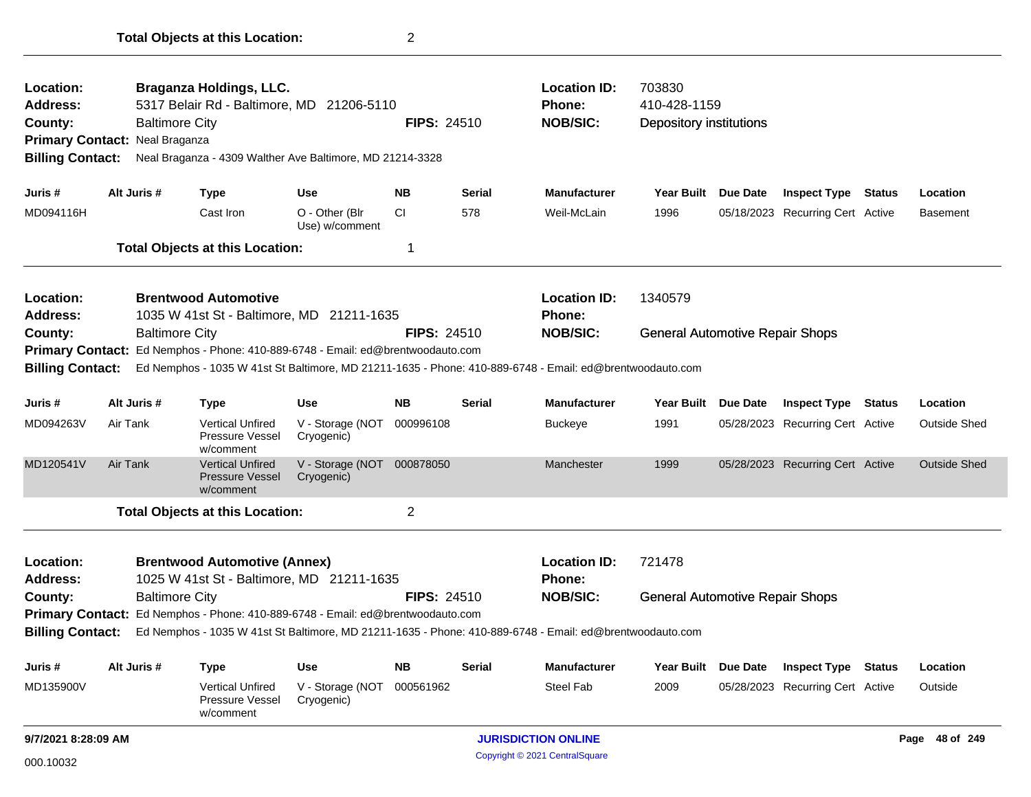| Location:               |                                | Braganza Holdings, LLC.                |                                                           |           |                    | <b>Location ID:</b> | 703830                  |                 |                                  |        |                 |
|-------------------------|--------------------------------|----------------------------------------|-----------------------------------------------------------|-----------|--------------------|---------------------|-------------------------|-----------------|----------------------------------|--------|-----------------|
| <b>Address:</b>         |                                |                                        | 5317 Belair Rd - Baltimore, MD 21206-5110                 |           |                    | <b>Phone:</b>       | 410-428-1159            |                 |                                  |        |                 |
| County:                 |                                | <b>Baltimore City</b>                  |                                                           |           | <b>FIPS: 24510</b> | <b>NOB/SIC:</b>     | Depository institutions |                 |                                  |        |                 |
|                         | Primary Contact: Neal Braganza |                                        |                                                           |           |                    |                     |                         |                 |                                  |        |                 |
| <b>Billing Contact:</b> |                                |                                        | Neal Braganza - 4309 Walther Ave Baltimore, MD 21214-3328 |           |                    |                     |                         |                 |                                  |        |                 |
| Juris #                 | Alt Juris #                    | Type                                   | Use                                                       | <b>NB</b> | <b>Serial</b>      | <b>Manufacturer</b> | <b>Year Built</b>       | <b>Due Date</b> | <b>Inspect Type</b>              | Status | Location        |
| MD094116H               |                                | Cast Iron                              | O - Other (Blr)<br>Use) w/comment                         | CI        | 578                | Weil-McLain         | 1996                    |                 | 05/18/2023 Recurring Cert Active |        | <b>Basement</b> |
|                         |                                | <b>Total Objects at this Location:</b> |                                                           |           |                    |                     |                         |                 |                                  |        |                 |

| Location:       | <b>Brentwood Automotive</b>                                                            |                    | <b>Location ID:</b> | 1340579                         |
|-----------------|----------------------------------------------------------------------------------------|--------------------|---------------------|---------------------------------|
| <b>Address:</b> | 1035 W 41st St - Baltimore, MD 21211-1635                                              |                    | <b>Phone:</b>       |                                 |
| County:         | <b>Baltimore City</b>                                                                  | <b>FIPS: 24510</b> | <b>NOB/SIC:</b>     | General Automotive Repair Shops |
|                 | <b>Primary Contact:</b> Ed Nemphos - Phone: 410-889-6748 - Email: ed@brentwoodauto.com |                    |                     |                                 |

**Billing Contact:** Ed Nemphos - 1035 W 41st St Baltimore, MD 21211-1635 - Phone: 410-889-6748 - Email: ed@brentwoodauto.com

| Juris #   | Alt Juris # | Type                                                           | Use                            | <b>NB</b> | <b>Serial</b> | <b>Manufacturer</b> | Year Built Due Date | <b>Inspect Type</b>              | Status | Location            |
|-----------|-------------|----------------------------------------------------------------|--------------------------------|-----------|---------------|---------------------|---------------------|----------------------------------|--------|---------------------|
| MD094263V | Air Tank    | Vertical Unfired<br>Pressure Vessel<br>w/comment               | V - Storage (NOT<br>Cryogenic) | 000996108 |               | Buckeye             | 1991                | 05/28/2023 Recurring Cert Active |        | Outside Shed        |
| MD120541V | Air Tank    | <b>Vertical Unfired</b><br><b>Pressure Vessel</b><br>w/comment | V - Storage (NOT<br>Cryogenic) | 000878050 |               | Manchester          | 1999                | 05/28/2023 Recurring Cert Active |        | <b>Outside Shed</b> |
|           |             | Total Objects at this Location:                                |                                |           |               |                     |                     |                                  |        |                     |

| <b>Location:</b> | <b>Brentwood Automotive (Annex)</b>                                                    |                    | <b>Location ID:</b> | 721478                                 |
|------------------|----------------------------------------------------------------------------------------|--------------------|---------------------|----------------------------------------|
| <b>Address:</b>  | 1025 W 41st St - Baltimore, MD 21211-1635                                              |                    | Phone:              |                                        |
| County:          | <b>Baltimore City</b>                                                                  | <b>FIPS: 24510</b> | NOB/SIC:            | <b>General Automotive Repair Shops</b> |
|                  | <b>Primary Contact:</b> Ed Nemphos - Phone: 410-889-6748 - Email: ed@brentwoodauto.com |                    |                     |                                        |

**Billing Contact:** Ed Nemphos - 1035 W 41st St Baltimore, MD 21211-1635 - Phone: 410-889-6748 - Email: ed@brentwoodauto.com

| Juris #   | Alt Juris # | Type                                                    | Use                            | <b>NB</b> | Serial | <b>Manufacturer</b> | Year Built Due Date | <b>Inspect Type</b>              | Status | Location |
|-----------|-------------|---------------------------------------------------------|--------------------------------|-----------|--------|---------------------|---------------------|----------------------------------|--------|----------|
| MD135900V |             | <b>Vertical Unfired</b><br>Pressure Vessel<br>w/comment | V - Storage (NOT<br>Cryogenic) | 000561962 |        | Steel Fab           | 2009                | 05/28/2023 Recurring Cert Active |        | Outside  |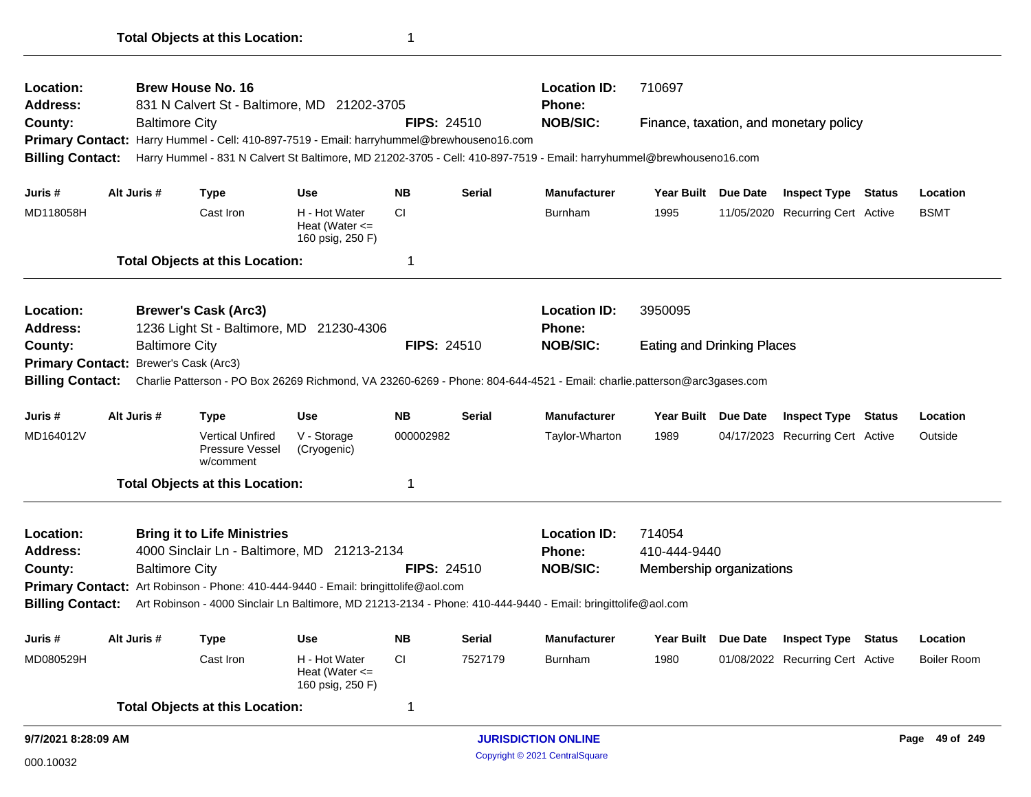| 9/7/2021 8:28:09 AM                   |                       |                                                                                           |                                                         |                    |               | <b>JURISDICTION ONLINE</b>                                                                                              |                                   |          |                                        |        | Page 49 of 249     |
|---------------------------------------|-----------------------|-------------------------------------------------------------------------------------------|---------------------------------------------------------|--------------------|---------------|-------------------------------------------------------------------------------------------------------------------------|-----------------------------------|----------|----------------------------------------|--------|--------------------|
|                                       |                       | <b>Total Objects at this Location:</b>                                                    |                                                         | 1                  |               |                                                                                                                         |                                   |          |                                        |        |                    |
| MD080529H                             |                       | Cast Iron                                                                                 | H - Hot Water<br>Heat (Water $\leq$<br>160 psig, 250 F) | CI.                | 7527179       | <b>Burnham</b>                                                                                                          | 1980                              |          | 01/08/2022 Recurring Cert Active       |        | <b>Boiler Room</b> |
| Juris #                               | Alt Juris #           | <b>Type</b>                                                                               | <b>Use</b>                                              | <b>NB</b>          | <b>Serial</b> | <b>Manufacturer</b>                                                                                                     | <b>Year Built</b>                 | Due Date | <b>Inspect Type</b>                    | Status | Location           |
| <b>Billing Contact:</b>               |                       |                                                                                           |                                                         |                    |               | Art Robinson - 4000 Sinclair Ln Baltimore, MD 21213-2134 - Phone: 410-444-9440 - Email: bringittolife@aol.com           |                                   |          |                                        |        |                    |
|                                       |                       | Primary Contact: Art Robinson - Phone: 410-444-9440 - Email: bringittolife@aol.com        |                                                         |                    |               |                                                                                                                         |                                   |          |                                        |        |                    |
| County:                               | <b>Baltimore City</b> |                                                                                           |                                                         | <b>FIPS: 24510</b> |               | <b>NOB/SIC:</b>                                                                                                         | Membership organizations          |          |                                        |        |                    |
| <b>Address:</b>                       |                       | 4000 Sinclair Ln - Baltimore, MD 21213-2134                                               |                                                         |                    |               | <b>Phone:</b>                                                                                                           | 410-444-9440                      |          |                                        |        |                    |
| Location:                             |                       | <b>Bring it to Life Ministries</b>                                                        |                                                         |                    |               | <b>Location ID:</b>                                                                                                     | 714054                            |          |                                        |        |                    |
|                                       |                       | <b>Total Objects at this Location:</b>                                                    |                                                         | 1                  |               |                                                                                                                         |                                   |          |                                        |        |                    |
| MD164012V                             |                       | <b>Vertical Unfired</b><br>Pressure Vessel<br>w/comment                                   | V - Storage<br>(Cryogenic)                              | 000002982          |               | Taylor-Wharton                                                                                                          | 1989                              |          | 04/17/2023 Recurring Cert Active       |        | Outside            |
| Juris #                               | Alt Juris #           | <b>Type</b>                                                                               | <b>Use</b>                                              | <b>NB</b>          | Serial        | <b>Manufacturer</b>                                                                                                     | Year Built Due Date               |          | <b>Inspect Type</b>                    | Status | Location           |
| <b>Billing Contact:</b>               |                       |                                                                                           |                                                         |                    |               | Charlie Patterson - PO Box 26269 Richmond, VA 23260-6269 - Phone: 804-644-4521 - Email: charlie.patterson@arc3gases.com |                                   |          |                                        |        |                    |
| Primary Contact: Brewer's Cask (Arc3) |                       |                                                                                           |                                                         |                    |               |                                                                                                                         |                                   |          |                                        |        |                    |
| County:                               | <b>Baltimore City</b> |                                                                                           |                                                         | <b>FIPS: 24510</b> |               | <b>NOB/SIC:</b>                                                                                                         | <b>Eating and Drinking Places</b> |          |                                        |        |                    |
| <b>Address:</b>                       |                       | 1236 Light St - Baltimore, MD 21230-4306                                                  |                                                         |                    |               | <b>Phone:</b>                                                                                                           |                                   |          |                                        |        |                    |
| Location:                             |                       | <b>Brewer's Cask (Arc3)</b>                                                               |                                                         |                    |               | <b>Location ID:</b>                                                                                                     | 3950095                           |          |                                        |        |                    |
|                                       |                       | <b>Total Objects at this Location:</b>                                                    |                                                         | 1                  |               |                                                                                                                         |                                   |          |                                        |        |                    |
| MD118058H                             |                       | Cast Iron                                                                                 | H - Hot Water<br>Heat (Water $\leq$<br>160 psig, 250 F) | <b>CI</b>          |               | <b>Burnham</b>                                                                                                          | 1995                              |          | 11/05/2020 Recurring Cert Active       |        | <b>BSMT</b>        |
| Juris #                               | Alt Juris #           | <b>Type</b>                                                                               | <b>Use</b>                                              | <b>NB</b>          | <b>Serial</b> | <b>Manufacturer</b>                                                                                                     | Year Built Due Date               |          | <b>Inspect Type Status</b>             |        | Location           |
| <b>Billing Contact:</b>               |                       |                                                                                           |                                                         |                    |               | Harry Hummel - 831 N Calvert St Baltimore, MD 21202-3705 - Cell: 410-897-7519 - Email: harryhummel@brewhouseno16.com    |                                   |          |                                        |        |                    |
|                                       |                       | Primary Contact: Harry Hummel - Cell: 410-897-7519 - Email: harryhummel@brewhouseno16.com |                                                         |                    |               |                                                                                                                         |                                   |          |                                        |        |                    |
| <b>Address:</b><br>County:            | <b>Baltimore City</b> | 831 N Calvert St - Baltimore, MD 21202-3705                                               |                                                         | <b>FIPS: 24510</b> |               | <b>Phone:</b><br><b>NOB/SIC:</b>                                                                                        |                                   |          | Finance, taxation, and monetary policy |        |                    |
| <b>Location:</b>                      |                       | <b>Brew House No. 16</b>                                                                  |                                                         |                    |               | <b>Location ID:</b>                                                                                                     | 710697                            |          |                                        |        |                    |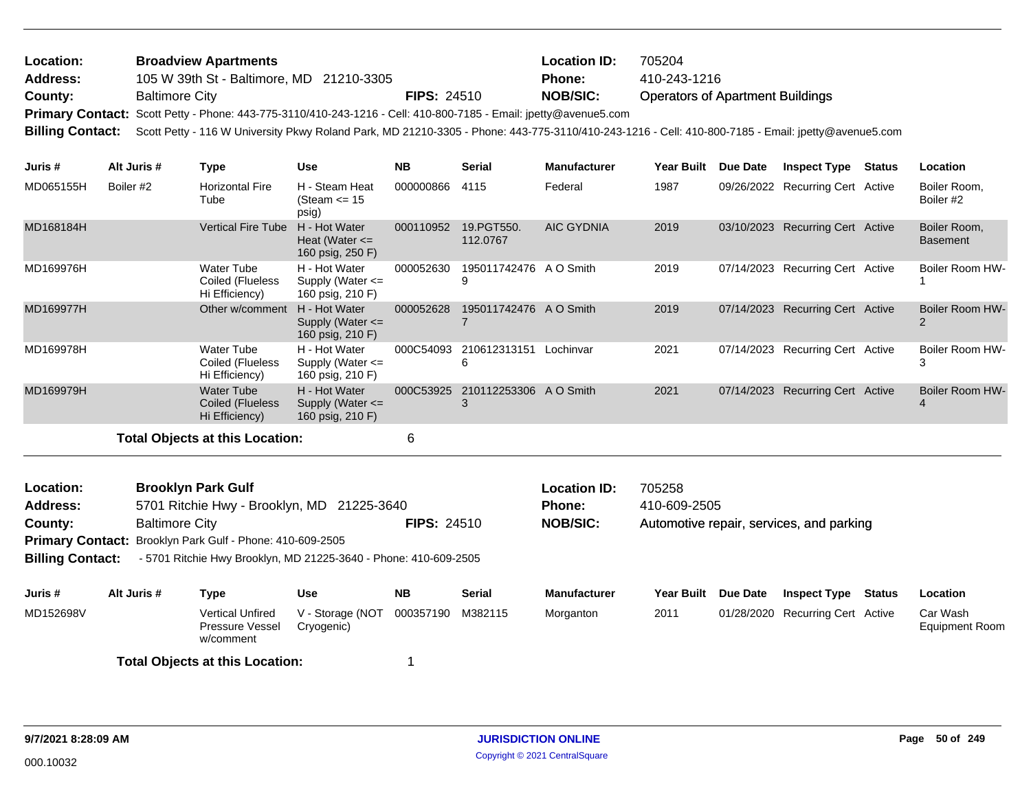| Location:       | <b>Broadview Apartments</b>                                                                                                                                         |                    | <b>Location ID:</b> | 705204                                  |
|-----------------|---------------------------------------------------------------------------------------------------------------------------------------------------------------------|--------------------|---------------------|-----------------------------------------|
| <b>Address:</b> | 105 W 39th St - Baltimore, MD 21210-3305                                                                                                                            |                    | <b>Phone:</b>       | 410-243-1216                            |
| County:         | <b>Baltimore City</b>                                                                                                                                               | <b>FIPS: 24510</b> | <b>NOB/SIC:</b>     | <b>Operators of Apartment Buildings</b> |
|                 | Primary Contact: Scott Petty - Phone: 443-775-3110/410-243-1216 - Cell: 410-800-7185 - Email: jpetty@avenue5.com                                                    |                    |                     |                                         |
|                 | Billing Contact: Scott Petty - 116 W University Pkwy Roland Park, MD 21210-3305 - Phone: 443-775-3110/410-243-1216 - Cell: 410-800-7185 - Email: jpetty@avenue5.com |                    |                     |                                         |
|                 |                                                                                                                                                                     |                    |                     |                                         |

| Juris #   | Alt Juris # | Type                                                    | <b>Use</b>                                                | <b>NB</b> | Serial                      | <b>Manufacturer</b> | Year Built | Due Date   | <b>Inspect Type</b>              | <b>Status</b> | Location                  |
|-----------|-------------|---------------------------------------------------------|-----------------------------------------------------------|-----------|-----------------------------|---------------------|------------|------------|----------------------------------|---------------|---------------------------|
| MD065155H | Boiler #2   | <b>Horizontal Fire</b><br>Tube                          | H - Steam Heat<br>(Steam $\le$ 15<br>psig)                | 000000866 | 4115                        | Federal             | 1987       |            | 09/26/2022 Recurring Cert Active |               | Boiler Room,<br>Boiler #2 |
| MD168184H |             | <b>Vertical Fire Tube</b>                               | H - Hot Water<br>Heat (Water $\leq$<br>160 psig, 250 F)   | 000110952 | 19.PGT550.<br>112.0767      | <b>AIC GYDNIA</b>   | 2019       | 03/10/2023 | <b>Recurring Cert Active</b>     |               | Boiler Room,<br>Basement  |
| MD169976H |             | Water Tube<br>Coiled (Flueless<br>Hi Efficiency)        | H - Hot Water<br>Supply (Water <=<br>160 psig, 210 F)     | 000052630 | 195011742476 A O Smith<br>9 |                     | 2019       | 07/14/2023 | Recurring Cert Active            |               | Boiler Room HW-           |
| MD169977H |             | Other w/comment                                         | H - Hot Water<br>Supply (Water $\leq$<br>160 psig, 210 F) | 000052628 | 195011742476                | A O Smith           | 2019       | 07/14/2023 | <b>Recurring Cert Active</b>     |               | <b>Boiler Room HW-</b>    |
| MD169978H |             | Water Tube<br>Coiled (Flueless<br>Hi Efficiency)        | H - Hot Water<br>Supply (Water $\leq$<br>160 psig, 210 F) | 000C54093 | 210612313151<br>6           | Lochinvar           | 2021       | 07/14/2023 | Recurring Cert Active            |               | Boiler Room HW-<br>3      |
| MD169979H |             | <b>Water Tube</b><br>Coiled (Flueless<br>Hi Efficiency) | H - Hot Water<br>Supply (Water $\leq$<br>160 psig, 210 F) | 000C53925 | 210112253306 A O Smith<br>3 |                     | 2021       | 07/14/2023 | <b>Recurring Cert Active</b>     |               | <b>Boiler Room HW-</b>    |
|           |             |                                                         |                                                           |           |                             |                     |            |            |                                  |               |                           |

| Location:<br><b>Address:</b> | <b>Brooklyn Park Gulf</b><br>5701 Ritchie Hwy - Brooklyn, MD 21225-3640 |                                                                                                                                      |                                |                    |               |                     | 705258<br>410-609-2505 |                 |                                          |        |                                   |
|------------------------------|-------------------------------------------------------------------------|--------------------------------------------------------------------------------------------------------------------------------------|--------------------------------|--------------------|---------------|---------------------|------------------------|-----------------|------------------------------------------|--------|-----------------------------------|
| County:                      | <b>Baltimore City</b>                                                   |                                                                                                                                      |                                | <b>FIPS: 24510</b> |               | <b>NOB/SIC:</b>     |                        |                 | Automotive repair, services, and parking |        |                                   |
| <b>Billing Contact:</b>      |                                                                         | <b>Primary Contact:</b> Brooklyn Park Gulf - Phone: 410-609-2505<br>- 5701 Ritchie Hwy Brooklyn, MD 21225-3640 - Phone: 410-609-2505 |                                |                    |               |                     |                        |                 |                                          |        |                                   |
| Juris #                      | Alt Juris #                                                             | Type                                                                                                                                 | <b>Use</b>                     | <b>NB</b>          | <b>Serial</b> | <b>Manufacturer</b> | <b>Year Built</b>      | <b>Due Date</b> | <b>Inspect Type</b>                      | Status | Location                          |
| MD152698V                    |                                                                         | <b>Vertical Unfired</b><br>Pressure Vessel<br>w/comment                                                                              | V - Storage (NOT<br>Cryogenic) | 000357190          | M382115       | Morganton           | 2011                   |                 | 01/28/2020 Recurring Cert Active         |        | Car Wash<br><b>Equipment Room</b> |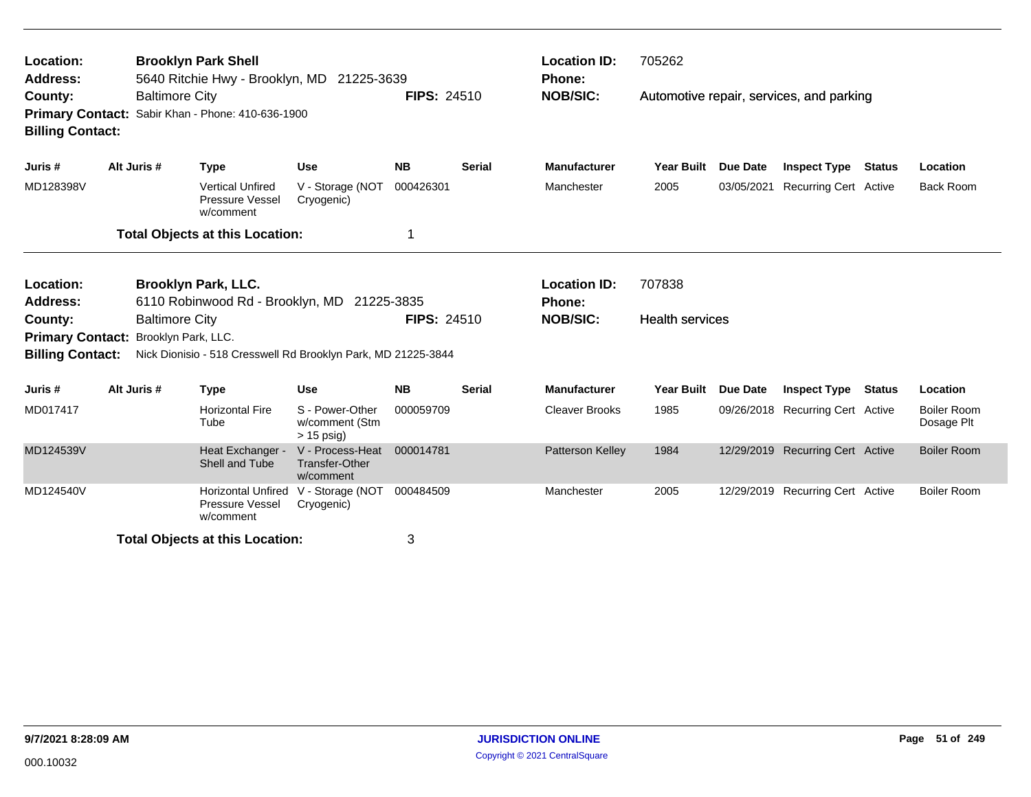| Location:<br><b>Brooklyn Park Shell</b><br><b>Address:</b><br>5640 Ritchie Hwy - Brooklyn, MD 21225-3639 |             |                                                                           |                                                        |                    |               | <b>Location ID:</b><br><b>Phone:</b> | 705262                                   |                 |                                  |        |                           |  |  |
|----------------------------------------------------------------------------------------------------------|-------------|---------------------------------------------------------------------------|--------------------------------------------------------|--------------------|---------------|--------------------------------------|------------------------------------------|-----------------|----------------------------------|--------|---------------------------|--|--|
| County:<br><b>Primary Contact:</b><br><b>Billing Contact:</b>                                            |             | <b>Baltimore City</b><br>Sabir Khan - Phone: 410-636-1900                 |                                                        | <b>FIPS: 24510</b> |               | <b>NOB/SIC:</b>                      | Automotive repair, services, and parking |                 |                                  |        |                           |  |  |
| Juris #                                                                                                  | Alt Juris # | <b>Type</b>                                                               | <b>Use</b>                                             | <b>NB</b>          | <b>Serial</b> | <b>Manufacturer</b>                  | <b>Year Built</b>                        | <b>Due Date</b> | <b>Inspect Type Status</b>       |        | Location                  |  |  |
| MD128398V                                                                                                |             | <b>Vertical Unfired</b><br>Pressure Vessel<br>w/comment                   | V - Storage (NOT<br>Cryogenic)                         | 000426301          |               | Manchester                           | 2005                                     | 03/05/2021      | Recurring Cert Active            |        | <b>Back Room</b>          |  |  |
|                                                                                                          |             | <b>Total Objects at this Location:</b>                                    |                                                        |                    |               |                                      |                                          |                 |                                  |        |                           |  |  |
| Location:<br>Address:                                                                                    |             | <b>Brooklyn Park, LLC.</b><br>6110 Robinwood Rd - Brooklyn, MD 21225-3835 |                                                        |                    |               | <b>Location ID:</b><br><b>Phone:</b> | 707838                                   |                 |                                  |        |                           |  |  |
| County:<br><b>Primary Contact:</b>                                                                       |             | <b>Baltimore City</b><br>Brooklyn Park, LLC.                              |                                                        | <b>FIPS: 24510</b> |               | <b>NOB/SIC:</b>                      | <b>Health services</b>                   |                 |                                  |        |                           |  |  |
| <b>Billing Contact:</b>                                                                                  |             | Nick Dionisio - 518 Cresswell Rd Brooklyn Park, MD 21225-3844             |                                                        |                    |               |                                      |                                          |                 |                                  |        |                           |  |  |
| Juris #                                                                                                  | Alt Juris # | <b>Type</b>                                                               | <b>Use</b>                                             | <b>NB</b>          | <b>Serial</b> | <b>Manufacturer</b>                  | <b>Year Built</b>                        | Due Date        | <b>Inspect Type</b>              | Status | Location                  |  |  |
| MD017417                                                                                                 |             | <b>Horizontal Fire</b><br>Tube                                            | S - Power-Other<br>w/comment (Stm<br>$> 15$ psig)      | 000059709          |               | <b>Cleaver Brooks</b>                | 1985                                     |                 | 09/26/2018 Recurring Cert Active |        | Boiler Room<br>Dosage Plt |  |  |
| MD124539V                                                                                                |             | Heat Exchanger -<br>Shell and Tube                                        | V - Process-Heat<br><b>Transfer-Other</b><br>w/comment | 000014781          |               | Patterson Kelley                     | 1984                                     |                 | 12/29/2019 Recurring Cert Active |        | <b>Boiler Room</b>        |  |  |
| MD124540V                                                                                                |             | <b>Horizontal Unfired</b><br>Pressure Vessel<br>w/comment                 | V - Storage (NOT<br>Cryogenic)                         | 000484509          |               | Manchester                           | 2005                                     |                 | 12/29/2019 Recurring Cert Active |        | <b>Boiler Room</b>        |  |  |
|                                                                                                          |             | <b>Total Objects at this Location:</b>                                    |                                                        | 3                  |               |                                      |                                          |                 |                                  |        |                           |  |  |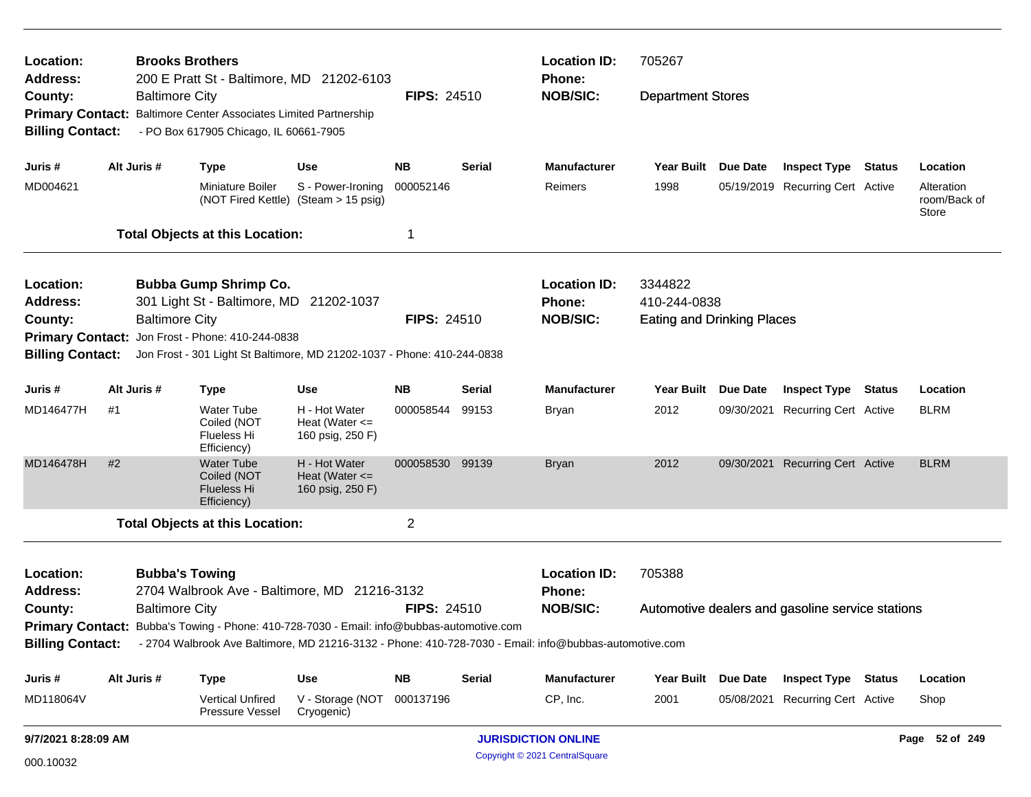| Location:<br>Address:              |    | <b>Brooks Brothers</b> | 200 E Pratt St - Baltimore, MD 21202-6103                                                                  |                                                         | <b>Location ID:</b><br>705267<br><b>Phone:</b> |               |                                      |                                   |                          |                                                  |        |                                            |
|------------------------------------|----|------------------------|------------------------------------------------------------------------------------------------------------|---------------------------------------------------------|------------------------------------------------|---------------|--------------------------------------|-----------------------------------|--------------------------|--------------------------------------------------|--------|--------------------------------------------|
| County:<br><b>Billing Contact:</b> |    | <b>Baltimore City</b>  | Primary Contact: Baltimore Center Associates Limited Partnership<br>- PO Box 617905 Chicago, IL 60661-7905 |                                                         | <b>FIPS: 24510</b>                             |               | <b>NOB/SIC:</b>                      |                                   | <b>Department Stores</b> |                                                  |        |                                            |
| Juris #                            |    | Alt Juris #            | <b>Type</b>                                                                                                | <b>Use</b>                                              | <b>NB</b>                                      | <b>Serial</b> | <b>Manufacturer</b>                  | <b>Year Built</b>                 | Due Date                 | <b>Inspect Type</b>                              | Status | Location                                   |
| MD004621                           |    |                        | <b>Miniature Boiler</b><br>(NOT Fired Kettle) (Steam > 15 psig)                                            | S - Power-Ironing                                       | 000052146                                      |               | Reimers                              | 1998                              |                          | 05/19/2019 Recurring Cert Active                 |        | Alteration<br>room/Back of<br><b>Store</b> |
|                                    |    |                        | <b>Total Objects at this Location:</b>                                                                     |                                                         | 1                                              |               |                                      |                                   |                          |                                                  |        |                                            |
| Location:                          |    |                        | <b>Bubba Gump Shrimp Co.</b>                                                                               |                                                         |                                                |               | <b>Location ID:</b>                  | 3344822                           |                          |                                                  |        |                                            |
| <b>Address:</b>                    |    |                        | 301 Light St - Baltimore, MD 21202-1037                                                                    |                                                         |                                                |               | Phone:                               | 410-244-0838                      |                          |                                                  |        |                                            |
| County:                            |    | <b>Baltimore City</b>  |                                                                                                            |                                                         | <b>FIPS: 24510</b>                             |               | <b>NOB/SIC:</b>                      | <b>Eating and Drinking Places</b> |                          |                                                  |        |                                            |
|                                    |    |                        | Primary Contact: Jon Frost - Phone: 410-244-0838                                                           |                                                         |                                                |               |                                      |                                   |                          |                                                  |        |                                            |
| <b>Billing Contact:</b>            |    |                        | Jon Frost - 301 Light St Baltimore, MD 21202-1037 - Phone: 410-244-0838                                    |                                                         |                                                |               |                                      |                                   |                          |                                                  |        |                                            |
| Juris #                            |    | Alt Juris #            | Type                                                                                                       | <b>Use</b>                                              | <b>NB</b>                                      | Serial        | <b>Manufacturer</b>                  | <b>Year Built</b>                 | <b>Due Date</b>          | <b>Inspect Type Status</b>                       |        | Location                                   |
| MD146477H                          | #1 |                        | <b>Water Tube</b><br>Coiled (NOT<br>Flueless Hi<br>Efficiency)                                             | H - Hot Water<br>Heat (Water $\leq$<br>160 psig, 250 F) | 000058544                                      | 99153         | Bryan                                | 2012                              | 09/30/2021               | <b>Recurring Cert Active</b>                     |        | <b>BLRM</b>                                |
| MD146478H                          | #2 |                        | <b>Water Tube</b><br>Coiled (NOT<br><b>Flueless Hi</b><br>Efficiency)                                      | H - Hot Water<br>Heat (Water $\leq$<br>160 psig, 250 F) | 000058530 99139                                |               | <b>Bryan</b>                         | 2012                              |                          | 09/30/2021 Recurring Cert Active                 |        | <b>BLRM</b>                                |
|                                    |    |                        | <b>Total Objects at this Location:</b>                                                                     |                                                         | $\overline{2}$                                 |               |                                      |                                   |                          |                                                  |        |                                            |
| Location:<br><b>Address:</b>       |    | <b>Bubba's Towing</b>  | 2704 Walbrook Ave - Baltimore, MD 21216-3132                                                               |                                                         |                                                |               | <b>Location ID:</b><br><b>Phone:</b> | 705388                            |                          |                                                  |        |                                            |
| County:                            |    | <b>Baltimore City</b>  |                                                                                                            |                                                         | <b>FIPS: 24510</b>                             |               | <b>NOB/SIC:</b>                      |                                   |                          | Automotive dealers and gasoline service stations |        |                                            |
|                                    |    |                        | Primary Contact: Bubba's Towing - Phone: 410-728-7030 - Email: info@bubbas-automotive.com                  |                                                         |                                                |               |                                      |                                   |                          |                                                  |        |                                            |
| <b>Billing Contact:</b>            |    |                        | - 2704 Walbrook Ave Baltimore, MD 21216-3132 - Phone: 410-728-7030 - Email: info@bubbas-automotive.com     |                                                         |                                                |               |                                      |                                   |                          |                                                  |        |                                            |
| Juris #                            |    | Alt Juris #            | Type                                                                                                       | Use                                                     | <b>NB</b>                                      | Serial        | Manufacturer                         | <b>Year Built</b>                 | Due Date                 | <b>Inspect Type Status</b>                       |        | Location                                   |
| MD118064V                          |    |                        | Vertical Unfired<br>Pressure Vessel                                                                        | V - Storage (NOT<br>Cryogenic)                          | 000137196                                      |               | CP, Inc.                             | 2001                              | 05/08/2021               | <b>Recurring Cert Active</b>                     |        | Shop                                       |
| 9/7/2021 8:28:09 AM                |    |                        |                                                                                                            |                                                         |                                                |               | <b>JURISDICTION ONLINE</b>           |                                   |                          |                                                  |        | Page 52 of 249                             |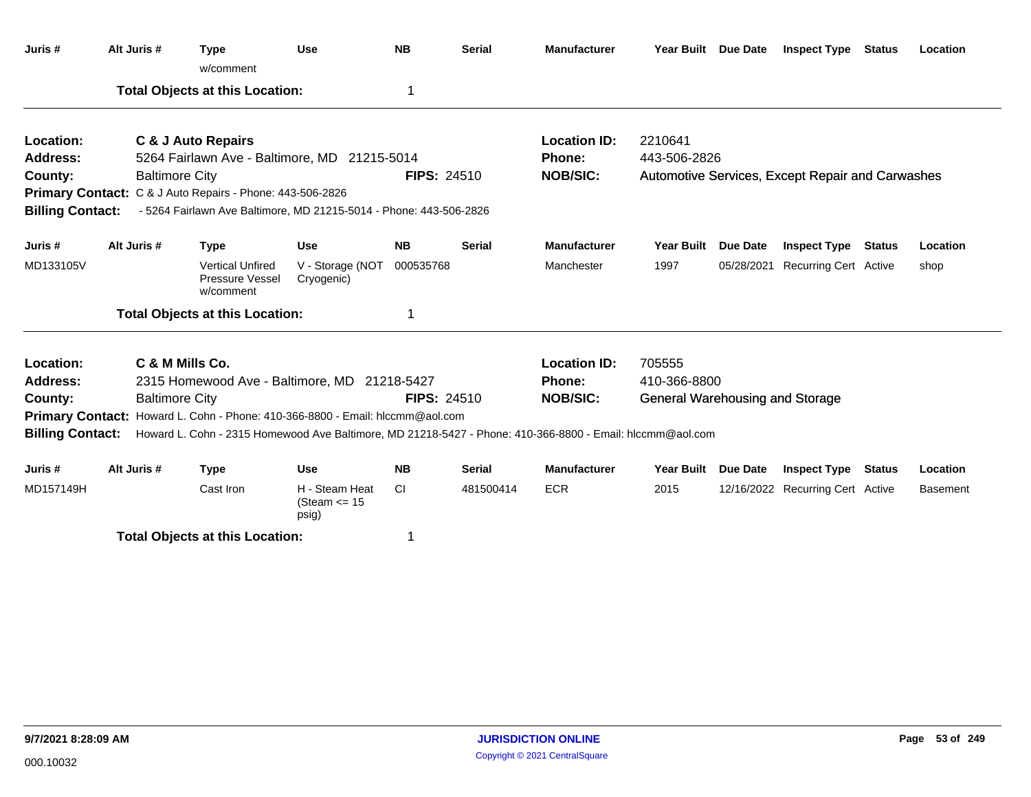| Juris #                 | Alt Juris #           | <b>Type</b><br>w/comment                                                                                  | <b>Use</b>                                 | <b>NB</b>          | <b>Serial</b> | <b>Manufacturer</b> | Year Built Due Date                    |                 | <b>Inspect Type Status</b>                       | Location        |
|-------------------------|-----------------------|-----------------------------------------------------------------------------------------------------------|--------------------------------------------|--------------------|---------------|---------------------|----------------------------------------|-----------------|--------------------------------------------------|-----------------|
|                         |                       | <b>Total Objects at this Location:</b>                                                                    |                                            | 1                  |               |                     |                                        |                 |                                                  |                 |
| Location:               |                       | <b>C &amp; J Auto Repairs</b>                                                                             |                                            |                    |               | <b>Location ID:</b> | 2210641                                |                 |                                                  |                 |
| Address:                |                       | 5264 Fairlawn Ave - Baltimore, MD 21215-5014                                                              |                                            |                    |               | <b>Phone:</b>       | 443-506-2826                           |                 |                                                  |                 |
| County:                 | <b>Baltimore City</b> |                                                                                                           |                                            | <b>FIPS: 24510</b> |               | <b>NOB/SIC:</b>     |                                        |                 | Automotive Services, Except Repair and Carwashes |                 |
|                         |                       | Primary Contact: C & J Auto Repairs - Phone: 443-506-2826                                                 |                                            |                    |               |                     |                                        |                 |                                                  |                 |
| <b>Billing Contact:</b> |                       | - 5264 Fairlawn Ave Baltimore, MD 21215-5014 - Phone: 443-506-2826                                        |                                            |                    |               |                     |                                        |                 |                                                  |                 |
| Juris #                 | Alt Juris #           | <b>Type</b>                                                                                               | <b>Use</b>                                 | <b>NB</b>          | Serial        | <b>Manufacturer</b> | Year Built                             | Due Date        | <b>Inspect Type Status</b>                       | Location        |
| MD133105V               |                       | <b>Vertical Unfired</b><br>Pressure Vessel<br>w/comment                                                   | V - Storage (NOT<br>Cryogenic)             | 000535768          |               | Manchester          | 1997                                   | 05/28/2021      | Recurring Cert Active                            | shop            |
|                         |                       | <b>Total Objects at this Location:</b>                                                                    |                                            | 1                  |               |                     |                                        |                 |                                                  |                 |
| Location:               |                       | C & M Mills Co.                                                                                           |                                            |                    |               | <b>Location ID:</b> | 705555                                 |                 |                                                  |                 |
| <b>Address:</b>         |                       | 2315 Homewood Ave - Baltimore, MD 21218-5427                                                              |                                            |                    |               | <b>Phone:</b>       | 410-366-8800                           |                 |                                                  |                 |
| County:                 | <b>Baltimore City</b> |                                                                                                           |                                            | <b>FIPS: 24510</b> |               | <b>NOB/SIC:</b>     | <b>General Warehousing and Storage</b> |                 |                                                  |                 |
|                         |                       | Primary Contact: Howard L. Cohn - Phone: 410-366-8800 - Email: hlccmm@aol.com                             |                                            |                    |               |                     |                                        |                 |                                                  |                 |
| <b>Billing Contact:</b> |                       | Howard L. Cohn - 2315 Homewood Ave Baltimore, MD 21218-5427 - Phone: 410-366-8800 - Email: hlccmm@aol.com |                                            |                    |               |                     |                                        |                 |                                                  |                 |
| Juris #                 | Alt Juris #           | <b>Type</b>                                                                                               | <b>Use</b>                                 | <b>NB</b>          | Serial        | <b>Manufacturer</b> | <b>Year Built</b>                      | <b>Due Date</b> | <b>Inspect Type Status</b>                       | Location        |
| MD157149H               |                       | Cast Iron                                                                                                 | H - Steam Heat<br>(Steam $\le$ 15<br>psig) | <b>CI</b>          | 481500414     | <b>ECR</b>          | 2015                                   |                 | 12/16/2022 Recurring Cert Active                 | <b>Basement</b> |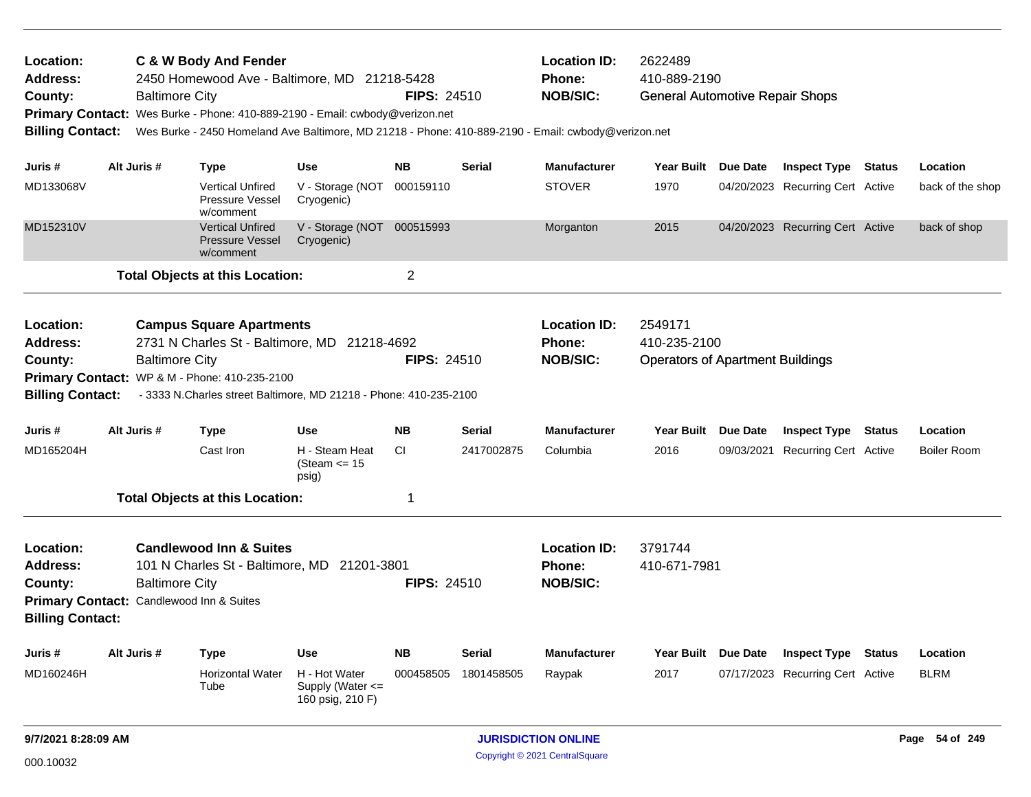| Location:<br>Address:<br>County:<br><b>Billing Contact:</b>                                                                                                                                                                                                                                                                 | <b>Baltimore City</b> | <b>C &amp; W Body And Fender</b><br>2450 Homewood Ave - Baltimore, MD 21218-5428<br>Primary Contact: Wes Burke - Phone: 410-889-2190 - Email: cwbody@verizon.net<br>Wes Burke - 2450 Homeland Ave Baltimore, MD 21218 - Phone: 410-889-2190 - Email: cwbody@verizon.net |                                                        | <b>FIPS: 24510</b> |               | <b>Location ID:</b><br>Phone:<br><b>NOB/SIC:</b>        | 2622489<br>410-889-2190<br><b>General Automotive Repair Shops</b>  |                                                                |               |                              |
|-----------------------------------------------------------------------------------------------------------------------------------------------------------------------------------------------------------------------------------------------------------------------------------------------------------------------------|-----------------------|-------------------------------------------------------------------------------------------------------------------------------------------------------------------------------------------------------------------------------------------------------------------------|--------------------------------------------------------|--------------------|---------------|---------------------------------------------------------|--------------------------------------------------------------------|----------------------------------------------------------------|---------------|------------------------------|
| Juris #<br>MD133068V                                                                                                                                                                                                                                                                                                        | Alt Juris #           | <b>Type</b><br><b>Vertical Unfired</b><br>Pressure Vessel<br>w/comment                                                                                                                                                                                                  | <b>Use</b><br>V - Storage (NOT 000159110<br>Cryogenic) | <b>NB</b>          | Serial        | <b>Manufacturer</b><br><b>STOVER</b>                    | Year Built Due Date<br>1970                                        | <b>Inspect Type Status</b><br>04/20/2023 Recurring Cert Active |               | Location<br>back of the shop |
| MD152310V                                                                                                                                                                                                                                                                                                                   |                       | <b>Vertical Unfired</b><br><b>Pressure Vessel</b><br>w/comment                                                                                                                                                                                                          | V - Storage (NOT 000515993<br>Cryogenic)               |                    |               | Morganton                                               | 2015                                                               | 04/20/2023 Recurring Cert Active                               |               | back of shop                 |
|                                                                                                                                                                                                                                                                                                                             |                       | <b>Total Objects at this Location:</b>                                                                                                                                                                                                                                  |                                                        | $\overline{2}$     |               |                                                         |                                                                    |                                                                |               |                              |
| Location:<br><b>Campus Square Apartments</b><br><b>Address:</b><br>2731 N Charles St - Baltimore, MD 21218-4692<br><b>FIPS: 24510</b><br>County:<br><b>Baltimore City</b><br>Primary Contact: WP & M - Phone: 410-235-2100<br><b>Billing Contact:</b><br>- 3333 N. Charles street Baltimore, MD 21218 - Phone: 410-235-2100 |                       |                                                                                                                                                                                                                                                                         |                                                        |                    |               | <b>Location ID:</b><br><b>Phone:</b><br><b>NOB/SIC:</b> | 2549171<br>410-235-2100<br><b>Operators of Apartment Buildings</b> |                                                                |               |                              |
| Juris #                                                                                                                                                                                                                                                                                                                     | Alt Juris #           | <b>Type</b>                                                                                                                                                                                                                                                             | <b>Use</b>                                             | <b>NB</b>          | <b>Serial</b> | <b>Manufacturer</b>                                     | Year Built Due Date                                                | <b>Inspect Type</b>                                            | <b>Status</b> | Location                     |
| MD165204H                                                                                                                                                                                                                                                                                                                   |                       | Cast Iron                                                                                                                                                                                                                                                               | H - Steam Heat<br>(Steam $\le$ 15<br>psig)             | CI.                | 2417002875    | Columbia                                                | 2016                                                               | 09/03/2021 Recurring Cert Active                               |               | <b>Boiler Room</b>           |
|                                                                                                                                                                                                                                                                                                                             |                       | <b>Total Objects at this Location:</b>                                                                                                                                                                                                                                  |                                                        | $\mathbf 1$        |               |                                                         |                                                                    |                                                                |               |                              |
| Location:<br>Address:<br>County:<br>Primary Contact: Candlewood Inn & Suites<br><b>Billing Contact:</b>                                                                                                                                                                                                                     | <b>Baltimore City</b> | <b>Candlewood Inn &amp; Suites</b><br>101 N Charles St - Baltimore, MD 21201-3801                                                                                                                                                                                       |                                                        | <b>FIPS: 24510</b> |               | <b>Location ID:</b><br><b>Phone:</b><br><b>NOB/SIC:</b> | 3791744<br>410-671-7981                                            |                                                                |               |                              |
| Juris #                                                                                                                                                                                                                                                                                                                     | Alt Juris #           | <b>Type</b>                                                                                                                                                                                                                                                             | <b>Use</b>                                             | <b>NB</b>          | Serial        | <b>Manufacturer</b>                                     | Year Built Due Date                                                | <b>Inspect Type</b>                                            | <b>Status</b> | Location                     |
| MD160246H                                                                                                                                                                                                                                                                                                                   |                       | <b>Horizontal Water</b><br>Tube                                                                                                                                                                                                                                         | H - Hot Water<br>Supply (Water <=<br>160 psig, 210 F)  | 000458505          | 1801458505    | Raypak                                                  | 2017                                                               | 07/17/2023 Recurring Cert Active                               |               | <b>BLRM</b>                  |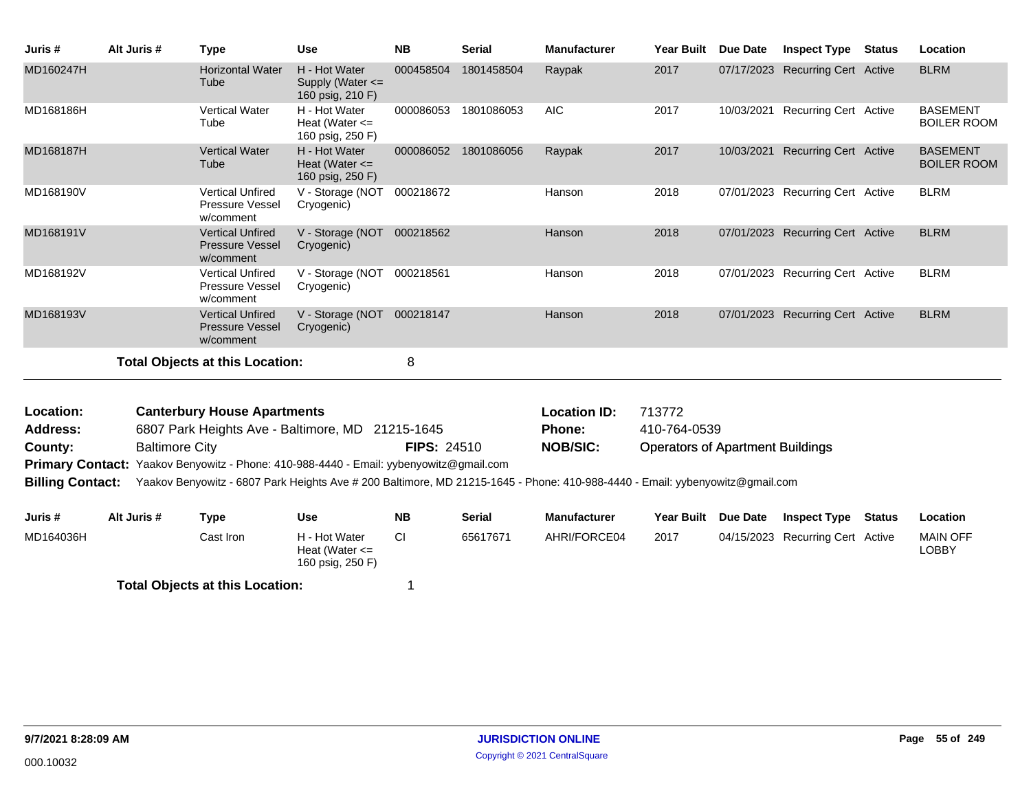| Juris #                 | Alt Juris #           | Type                                                           | <b>Use</b>                                                                             | <b>NB</b>          | <b>Serial</b>        | <b>Manufacturer</b>                                                                                                          | <b>Year Built</b>                       | Due Date | <b>Inspect Type</b>              | <b>Status</b> | Location                              |
|-------------------------|-----------------------|----------------------------------------------------------------|----------------------------------------------------------------------------------------|--------------------|----------------------|------------------------------------------------------------------------------------------------------------------------------|-----------------------------------------|----------|----------------------------------|---------------|---------------------------------------|
| MD160247H               |                       | <b>Horizontal Water</b><br>Tube                                | H - Hot Water<br>Supply (Water $\leq$<br>160 psig, 210 F)                              |                    | 000458504 1801458504 | Raypak                                                                                                                       | 2017                                    |          | 07/17/2023 Recurring Cert Active |               | <b>BLRM</b>                           |
| MD168186H               |                       | <b>Vertical Water</b><br>Tube                                  | H - Hot Water<br>Heat (Water $\leq$<br>160 psig, 250 F)                                |                    | 000086053 1801086053 | <b>AIC</b>                                                                                                                   | 2017                                    |          | 10/03/2021 Recurring Cert Active |               | <b>BASEMENT</b><br><b>BOILER ROOM</b> |
| MD168187H               |                       | <b>Vertical Water</b><br>Tube                                  | H - Hot Water<br>Heat (Water $\leq$<br>160 psig, 250 F)                                |                    | 000086052 1801086056 | Raypak                                                                                                                       | 2017                                    |          | 10/03/2021 Recurring Cert Active |               | <b>BASEMENT</b><br><b>BOILER ROOM</b> |
| MD168190V               |                       | <b>Vertical Unfired</b><br>Pressure Vessel<br>w/comment        | V - Storage (NOT 000218672<br>Cryogenic)                                               |                    |                      | Hanson                                                                                                                       | 2018                                    |          | 07/01/2023 Recurring Cert Active |               | <b>BLRM</b>                           |
| MD168191V               |                       | <b>Vertical Unfired</b><br><b>Pressure Vessel</b><br>w/comment | V - Storage (NOT 000218562<br>Cryogenic)                                               |                    |                      | Hanson                                                                                                                       | 2018                                    |          | 07/01/2023 Recurring Cert Active |               | <b>BLRM</b>                           |
| MD168192V               |                       | <b>Vertical Unfired</b><br>Pressure Vessel<br>w/comment        | V - Storage (NOT<br>Cryogenic)                                                         | 000218561          |                      | Hanson                                                                                                                       | 2018                                    |          | 07/01/2023 Recurring Cert Active |               | <b>BLRM</b>                           |
| MD168193V               |                       | <b>Vertical Unfired</b><br><b>Pressure Vessel</b><br>w/comment | V - Storage (NOT<br>Cryogenic)                                                         | 000218147          |                      | Hanson                                                                                                                       | 2018                                    |          | 07/01/2023 Recurring Cert Active |               | <b>BLRM</b>                           |
|                         |                       | <b>Total Objects at this Location:</b>                         |                                                                                        | 8                  |                      |                                                                                                                              |                                         |          |                                  |               |                                       |
| Location:               |                       | <b>Canterbury House Apartments</b>                             |                                                                                        |                    |                      | <b>Location ID:</b>                                                                                                          | 713772                                  |          |                                  |               |                                       |
| <b>Address:</b>         |                       |                                                                | 6807 Park Heights Ave - Baltimore, MD 21215-1645                                       |                    |                      | Phone:                                                                                                                       | 410-764-0539                            |          |                                  |               |                                       |
| County:                 | <b>Baltimore City</b> |                                                                |                                                                                        | <b>FIPS: 24510</b> |                      | <b>NOB/SIC:</b>                                                                                                              | <b>Operators of Apartment Buildings</b> |          |                                  |               |                                       |
|                         |                       |                                                                | Primary Contact: Yaakov Benyowitz - Phone: 410-988-4440 - Email: yybenyowitz@gmail.com |                    |                      |                                                                                                                              |                                         |          |                                  |               |                                       |
| <b>Billing Contact:</b> |                       |                                                                |                                                                                        |                    |                      | Yaakov Benyowitz - 6807 Park Heights Ave # 200 Baltimore, MD 21215-1645 - Phone: 410-988-4440 - Email: yybenyowitz@gmail.com |                                         |          |                                  |               |                                       |
| Juris #                 | Alt Juris #           | <b>Type</b>                                                    | <b>Use</b>                                                                             | <b>NB</b>          | <b>Serial</b>        | <b>Manufacturer</b>                                                                                                          | <b>Year Built</b>                       | Due Date | <b>Inspect Type Status</b>       |               | Location                              |
| MD164036H               |                       | Cast Iron                                                      | H - Hot Water<br>Heat (Water $\leq$<br>160 psig, 250 F)                                | <b>CI</b>          | 65617671             | AHRI/FORCE04                                                                                                                 | 2017                                    |          | 04/15/2023 Recurring Cert Active |               | <b>MAIN OFF</b><br><b>LOBBY</b>       |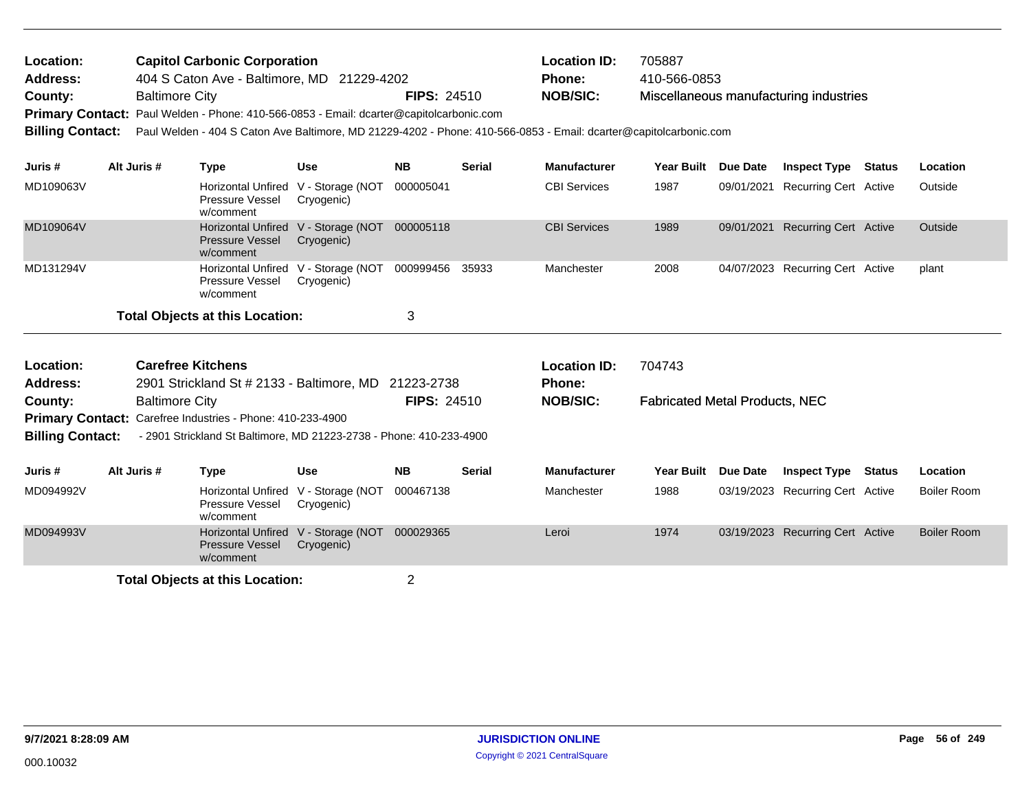| <b>Capitol Carbonic Corporation</b><br><b>Location ID:</b><br>705887<br>Location:<br>404 S Caton Ave - Baltimore, MD 21229-4202<br>Address:<br><b>Phone:</b><br>410-566-0853<br><b>NOB/SIC:</b><br><b>FIPS: 24510</b><br>County:<br><b>Baltimore City</b><br>Miscellaneous manufacturing industries<br>Primary Contact: Paul Welden - Phone: 410-566-0853 - Email: dcarter@capitolcarbonic.com<br><b>Billing Contact:</b><br>Paul Welden - 404 S Caton Ave Baltimore, MD 21229-4202 - Phone: 410-566-0853 - Email: dcarter@capitolcarbonic.com<br>Alt Juris #<br><b>Use</b><br><b>NB</b><br><b>Serial</b><br><b>Manufacturer</b><br><b>Year Built</b><br><b>Due Date</b><br><b>Inspect Type</b><br>Juris#<br><b>Type</b><br><b>Status</b> |             |                          |                                                                                                                                   |                                                             |                    |        |                               |                                       |                 |                                  |        |                    |
|-------------------------------------------------------------------------------------------------------------------------------------------------------------------------------------------------------------------------------------------------------------------------------------------------------------------------------------------------------------------------------------------------------------------------------------------------------------------------------------------------------------------------------------------------------------------------------------------------------------------------------------------------------------------------------------------------------------------------------------------|-------------|--------------------------|-----------------------------------------------------------------------------------------------------------------------------------|-------------------------------------------------------------|--------------------|--------|-------------------------------|---------------------------------------|-----------------|----------------------------------|--------|--------------------|
|                                                                                                                                                                                                                                                                                                                                                                                                                                                                                                                                                                                                                                                                                                                                           |             |                          |                                                                                                                                   |                                                             |                    |        |                               |                                       |                 |                                  |        | Location           |
| MD109063V                                                                                                                                                                                                                                                                                                                                                                                                                                                                                                                                                                                                                                                                                                                                 |             |                          | Pressure Vessel<br>w/comment                                                                                                      | Horizontal Unfired V - Storage (NOT<br>Cryogenic)           | 000005041          |        | <b>CBI Services</b>           | 1987                                  |                 | 09/01/2021 Recurring Cert Active |        | Outside            |
| MD109064V                                                                                                                                                                                                                                                                                                                                                                                                                                                                                                                                                                                                                                                                                                                                 |             |                          | <b>Pressure Vessel</b><br>w/comment                                                                                               | Horizontal Unfired V - Storage (NOT 000005118<br>Cryogenic) |                    |        | <b>CBI Services</b>           | 1989                                  |                 | 09/01/2021 Recurring Cert Active |        | Outside            |
| MD131294V                                                                                                                                                                                                                                                                                                                                                                                                                                                                                                                                                                                                                                                                                                                                 |             |                          | <b>Pressure Vessel</b><br>w/comment                                                                                               | Horizontal Unfired V - Storage (NOT<br>Cryogenic)           | 000999456          | 35933  | Manchester                    | 2008                                  |                 | 04/07/2023 Recurring Cert Active |        | plant              |
|                                                                                                                                                                                                                                                                                                                                                                                                                                                                                                                                                                                                                                                                                                                                           |             |                          | <b>Total Objects at this Location:</b>                                                                                            |                                                             | 3                  |        |                               |                                       |                 |                                  |        |                    |
| Location:<br><b>Address:</b>                                                                                                                                                                                                                                                                                                                                                                                                                                                                                                                                                                                                                                                                                                              |             | <b>Carefree Kitchens</b> | 2901 Strickland St # 2133 - Baltimore, MD 21223-2738                                                                              |                                                             |                    |        | <b>Location ID:</b><br>Phone: | 704743                                |                 |                                  |        |                    |
| County:                                                                                                                                                                                                                                                                                                                                                                                                                                                                                                                                                                                                                                                                                                                                   |             | <b>Baltimore City</b>    |                                                                                                                                   |                                                             | <b>FIPS: 24510</b> |        | <b>NOB/SIC:</b>               | <b>Fabricated Metal Products, NEC</b> |                 |                                  |        |                    |
| <b>Billing Contact:</b>                                                                                                                                                                                                                                                                                                                                                                                                                                                                                                                                                                                                                                                                                                                   |             |                          | Primary Contact: Carefree Industries - Phone: 410-233-4900<br>- 2901 Strickland St Baltimore, MD 21223-2738 - Phone: 410-233-4900 |                                                             |                    |        |                               |                                       |                 |                                  |        |                    |
| Juris #                                                                                                                                                                                                                                                                                                                                                                                                                                                                                                                                                                                                                                                                                                                                   | Alt Juris # |                          | <b>Type</b>                                                                                                                       | Use                                                         | <b>NB</b>          | Serial | <b>Manufacturer</b>           | <b>Year Built</b>                     | <b>Due Date</b> | <b>Inspect Type</b>              | Status | Location           |
| MD094992V                                                                                                                                                                                                                                                                                                                                                                                                                                                                                                                                                                                                                                                                                                                                 |             |                          | Horizontal Unfired V - Storage (NOT<br>Pressure Vessel<br>w/comment                                                               | Cryogenic)                                                  | 000467138          |        | Manchester                    | 1988                                  |                 | 03/19/2023 Recurring Cert Active |        | <b>Boiler Room</b> |
| MD094993V                                                                                                                                                                                                                                                                                                                                                                                                                                                                                                                                                                                                                                                                                                                                 |             |                          | <b>Pressure Vessel</b><br>w/comment                                                                                               | Horizontal Unfired V - Storage (NOT 000029365<br>Cryogenic) |                    |        | Leroi                         | 1974                                  |                 | 03/19/2023 Recurring Cert Active |        | <b>Boiler Room</b> |
|                                                                                                                                                                                                                                                                                                                                                                                                                                                                                                                                                                                                                                                                                                                                           |             |                          | <b>Total Objects at this Location:</b>                                                                                            |                                                             | 2                  |        |                               |                                       |                 |                                  |        |                    |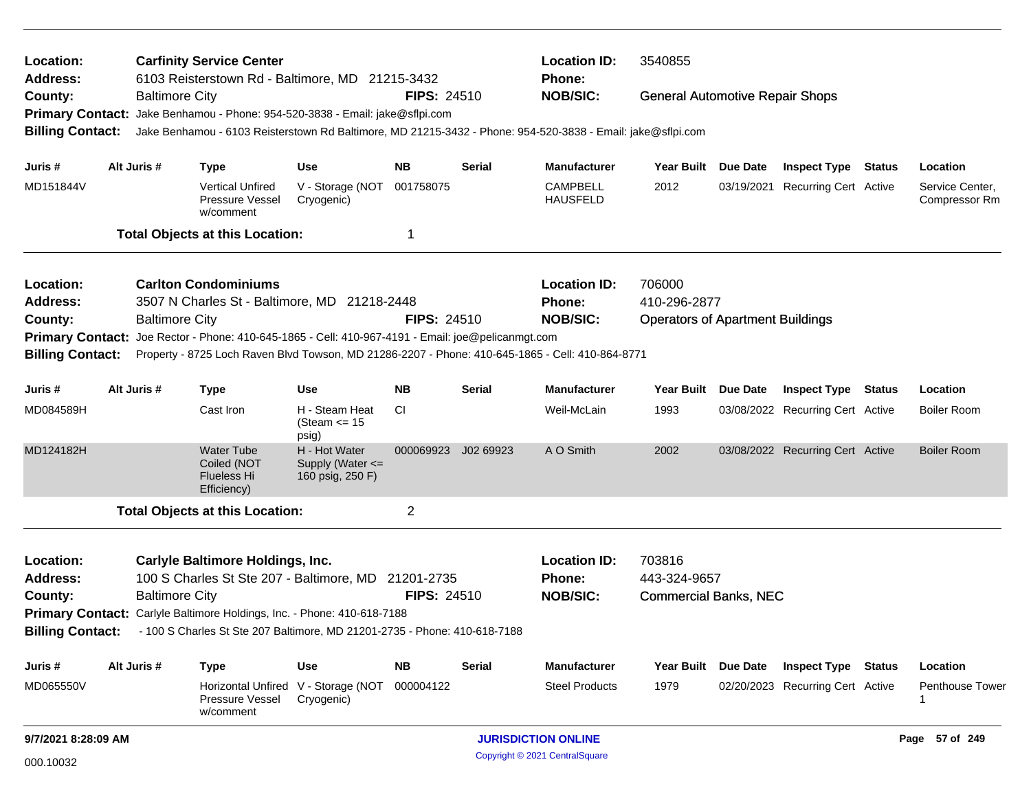| Location:<br><b>Address:</b> |             |                       | <b>Carfinity Service Center</b><br>6103 Reisterstown Rd - Baltimore, MD 21215-3432                          |                                                             |                    |               | <b>Location ID:</b><br><b>Phone:</b> | 3540855                                 |                 |                                  |                                  |
|------------------------------|-------------|-----------------------|-------------------------------------------------------------------------------------------------------------|-------------------------------------------------------------|--------------------|---------------|--------------------------------------|-----------------------------------------|-----------------|----------------------------------|----------------------------------|
| County:                      |             | <b>Baltimore City</b> |                                                                                                             |                                                             | <b>FIPS: 24510</b> |               | <b>NOB/SIC:</b>                      | <b>General Automotive Repair Shops</b>  |                 |                                  |                                  |
|                              |             |                       | Primary Contact: Jake Benhamou - Phone: 954-520-3838 - Email: jake@sflpi.com                                |                                                             |                    |               |                                      |                                         |                 |                                  |                                  |
| <b>Billing Contact:</b>      |             |                       | Jake Benhamou - 6103 Reisterstown Rd Baltimore, MD 21215-3432 - Phone: 954-520-3838 - Email: jake@sflpi.com |                                                             |                    |               |                                      |                                         |                 |                                  |                                  |
| Juris #                      | Alt Juris # |                       | <b>Type</b>                                                                                                 | Use                                                         | <b>NB</b>          | <b>Serial</b> | <b>Manufacturer</b>                  | <b>Year Built</b>                       | <b>Due Date</b> | <b>Inspect Type Status</b>       | Location                         |
| MD151844V                    |             |                       | <b>Vertical Unfired</b><br>Pressure Vessel<br>w/comment                                                     | V - Storage (NOT<br>Cryogenic)                              | 001758075          |               | <b>CAMPBELL</b><br><b>HAUSFELD</b>   | 2012                                    | 03/19/2021      | Recurring Cert Active            | Service Center,<br>Compressor Rm |
|                              |             |                       | <b>Total Objects at this Location:</b>                                                                      |                                                             | 1                  |               |                                      |                                         |                 |                                  |                                  |
| Location:                    |             |                       | <b>Carlton Condominiums</b>                                                                                 |                                                             |                    |               | <b>Location ID:</b>                  | 706000                                  |                 |                                  |                                  |
| <b>Address:</b>              |             |                       | 3507 N Charles St - Baltimore, MD 21218-2448                                                                |                                                             |                    |               | <b>Phone:</b>                        | 410-296-2877                            |                 |                                  |                                  |
| County:                      |             | <b>Baltimore City</b> |                                                                                                             |                                                             | <b>FIPS: 24510</b> |               | <b>NOB/SIC:</b>                      | <b>Operators of Apartment Buildings</b> |                 |                                  |                                  |
|                              |             |                       | Primary Contact: Joe Rector - Phone: 410-645-1865 - Cell: 410-967-4191 - Email: joe@pelicanmgt.com          |                                                             |                    |               |                                      |                                         |                 |                                  |                                  |
| <b>Billing Contact:</b>      |             |                       | Property - 8725 Loch Raven Blvd Towson, MD 21286-2207 - Phone: 410-645-1865 - Cell: 410-864-8771            |                                                             |                    |               |                                      |                                         |                 |                                  |                                  |
| Juris #                      | Alt Juris # |                       | <b>Type</b>                                                                                                 | Use                                                         | <b>NB</b>          | <b>Serial</b> | <b>Manufacturer</b>                  | Year Built                              | <b>Due Date</b> | <b>Inspect Type Status</b>       | Location                         |
| MD084589H                    |             |                       | Cast Iron                                                                                                   | H - Steam Heat<br>(Steam $\leq$ 15<br>psig)                 | <b>CI</b>          |               | Weil-McLain                          | 1993                                    |                 | 03/08/2022 Recurring Cert Active | <b>Boiler Room</b>               |
| MD124182H                    |             |                       | <b>Water Tube</b><br>Coiled (NOT<br><b>Flueless Hi</b><br>Efficiency)                                       | H - Hot Water<br>Supply (Water <=<br>160 psig, 250 F)       | 000069923          | J02 69923     | A O Smith                            | 2002                                    |                 | 03/08/2022 Recurring Cert Active | <b>Boiler Room</b>               |
|                              |             |                       | <b>Total Objects at this Location:</b>                                                                      |                                                             | $\overline{2}$     |               |                                      |                                         |                 |                                  |                                  |
| Location:                    |             |                       | Carlyle Baltimore Holdings, Inc.                                                                            |                                                             |                    |               | <b>Location ID:</b>                  | 703816                                  |                 |                                  |                                  |
| <b>Address:</b>              |             |                       | 100 S Charles St Ste 207 - Baltimore, MD 21201-2735                                                         |                                                             |                    |               | <b>Phone:</b>                        | 443-324-9657                            |                 |                                  |                                  |
| County:                      |             | <b>Baltimore City</b> |                                                                                                             |                                                             | <b>FIPS: 24510</b> |               | <b>NOB/SIC:</b>                      | <b>Commercial Banks, NEC</b>            |                 |                                  |                                  |
|                              |             |                       | Primary Contact: Carlyle Baltimore Holdings, Inc. - Phone: 410-618-7188                                     |                                                             |                    |               |                                      |                                         |                 |                                  |                                  |
|                              |             |                       | Billing Contact: - 100 S Charles St Ste 207 Baltimore, MD 21201-2735 - Phone: 410-618-7188                  |                                                             |                    |               |                                      |                                         |                 |                                  |                                  |
| Juris #                      | Alt Juris # |                       | <b>Type</b>                                                                                                 | <b>Use</b>                                                  | <b>NB</b>          | <b>Serial</b> | <b>Manufacturer</b>                  | <b>Year Built</b>                       | <b>Due Date</b> | <b>Inspect Type Status</b>       | Location                         |
| MD065550V                    |             |                       | Pressure Vessel<br>w/comment                                                                                | Horizontal Unfired V - Storage (NOT 000004122<br>Cryogenic) |                    |               | <b>Steel Products</b>                | 1979                                    |                 | 02/20/2023 Recurring Cert Active | Penthouse Tower                  |
| 9/7/2021 8:28:09 AM          |             |                       |                                                                                                             |                                                             |                    |               | <b>JURISDICTION ONLINE</b>           |                                         |                 |                                  | Page 57 of 249                   |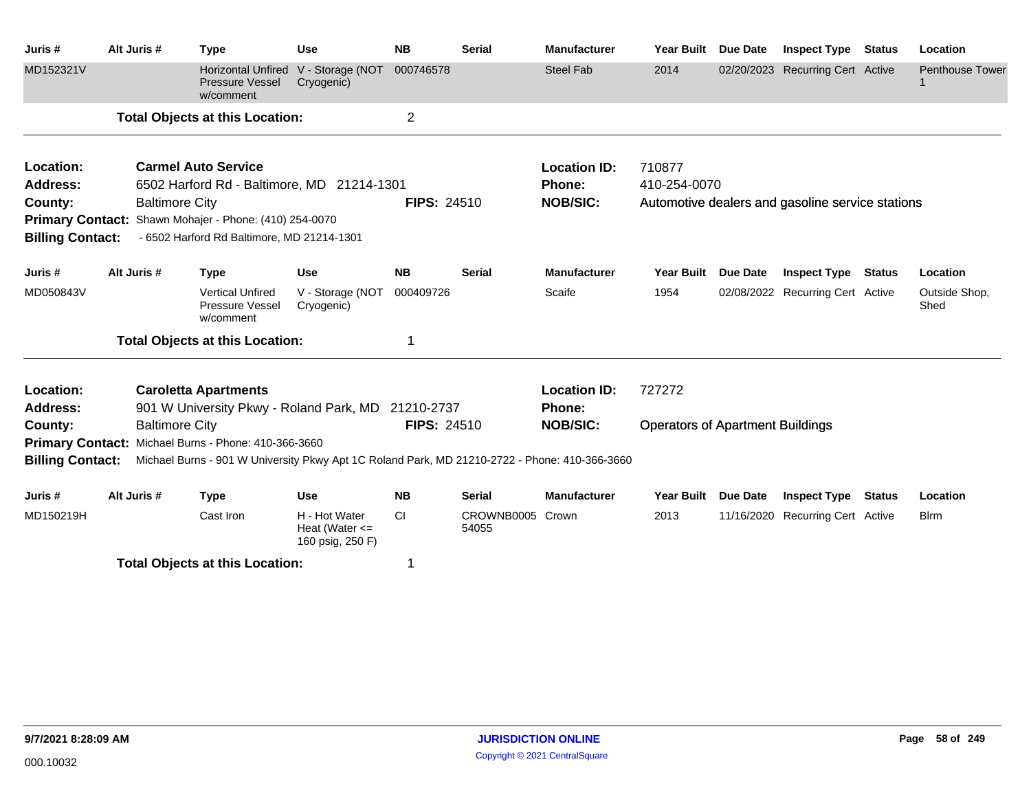| Juris #                 | Alt Juris #           | <b>Type</b>                                                                                          | <b>Use</b>                                              | <b>NB</b>          | <b>Serial</b>             | <b>Manufacturer</b> | <b>Year Built</b>                       | Due Date | <b>Inspect Type</b>                              | <b>Status</b> | Location               |
|-------------------------|-----------------------|------------------------------------------------------------------------------------------------------|---------------------------------------------------------|--------------------|---------------------------|---------------------|-----------------------------------------|----------|--------------------------------------------------|---------------|------------------------|
| MD152321V               |                       | <b>Horizontal Unfired</b><br><b>Pressure Vessel</b><br>w/comment                                     | V - Storage (NOT<br>Cryogenic)                          | 000746578          |                           | <b>Steel Fab</b>    | 2014                                    |          | 02/20/2023 Recurring Cert Active                 |               | <b>Penthouse Tower</b> |
|                         |                       | <b>Total Objects at this Location:</b>                                                               |                                                         | $\overline{2}$     |                           |                     |                                         |          |                                                  |               |                        |
| Location:               |                       | <b>Carmel Auto Service</b>                                                                           |                                                         |                    |                           | <b>Location ID:</b> | 710877                                  |          |                                                  |               |                        |
| <b>Address:</b>         |                       | 6502 Harford Rd - Baltimore, MD 21214-1301                                                           |                                                         |                    |                           | <b>Phone:</b>       | 410-254-0070                            |          |                                                  |               |                        |
| County:                 | <b>Baltimore City</b> |                                                                                                      |                                                         | <b>FIPS: 24510</b> |                           | <b>NOB/SIC:</b>     |                                         |          | Automotive dealers and gasoline service stations |               |                        |
| <b>Billing Contact:</b> |                       | Primary Contact: Shawn Mohajer - Phone: (410) 254-0070<br>- 6502 Harford Rd Baltimore, MD 21214-1301 |                                                         |                    |                           |                     |                                         |          |                                                  |               |                        |
| Juris #                 | Alt Juris #           | <b>Type</b>                                                                                          | <b>Use</b>                                              | <b>NB</b>          | <b>Serial</b>             | <b>Manufacturer</b> | <b>Year Built</b>                       | Due Date | <b>Inspect Type</b>                              | Status        | Location               |
| MD050843V               |                       | <b>Vertical Unfired</b><br>Pressure Vessel<br>w/comment                                              | V - Storage (NOT<br>Cryogenic)                          | 000409726          |                           | Scaife              | 1954                                    |          | 02/08/2022 Recurring Cert Active                 |               | Outside Shop,<br>Shed  |
|                         |                       | <b>Total Objects at this Location:</b>                                                               |                                                         |                    |                           |                     |                                         |          |                                                  |               |                        |
| Location:               |                       | <b>Caroletta Apartments</b>                                                                          |                                                         |                    |                           | <b>Location ID:</b> | 727272                                  |          |                                                  |               |                        |
| <b>Address:</b>         |                       | 901 W University Pkwy - Roland Park, MD 21210-2737                                                   |                                                         |                    |                           | Phone:              |                                         |          |                                                  |               |                        |
| County:                 | <b>Baltimore City</b> |                                                                                                      |                                                         | <b>FIPS: 24510</b> |                           | <b>NOB/SIC:</b>     | <b>Operators of Apartment Buildings</b> |          |                                                  |               |                        |
|                         |                       | Primary Contact: Michael Burns - Phone: 410-366-3660                                                 |                                                         |                    |                           |                     |                                         |          |                                                  |               |                        |
| <b>Billing Contact:</b> |                       | Michael Burns - 901 W University Pkwy Apt 1C Roland Park, MD 21210-2722 - Phone: 410-366-3660        |                                                         |                    |                           |                     |                                         |          |                                                  |               |                        |
| Juris #                 | Alt Juris #           | <b>Type</b>                                                                                          | <b>Use</b>                                              | <b>NB</b>          | <b>Serial</b>             | <b>Manufacturer</b> | <b>Year Built</b>                       | Due Date | <b>Inspect Type</b>                              | Status        | Location               |
| MD150219H               |                       | Cast Iron                                                                                            | H - Hot Water<br>Heat (Water $\leq$<br>160 psig, 250 F) | <b>CI</b>          | CROWNB0005 Crown<br>54055 |                     | 2013                                    |          | 11/16/2020 Recurring Cert Active                 |               | <b>Blrm</b>            |
|                         |                       | <b>Total Objects at this Location:</b>                                                               |                                                         | 1                  |                           |                     |                                         |          |                                                  |               |                        |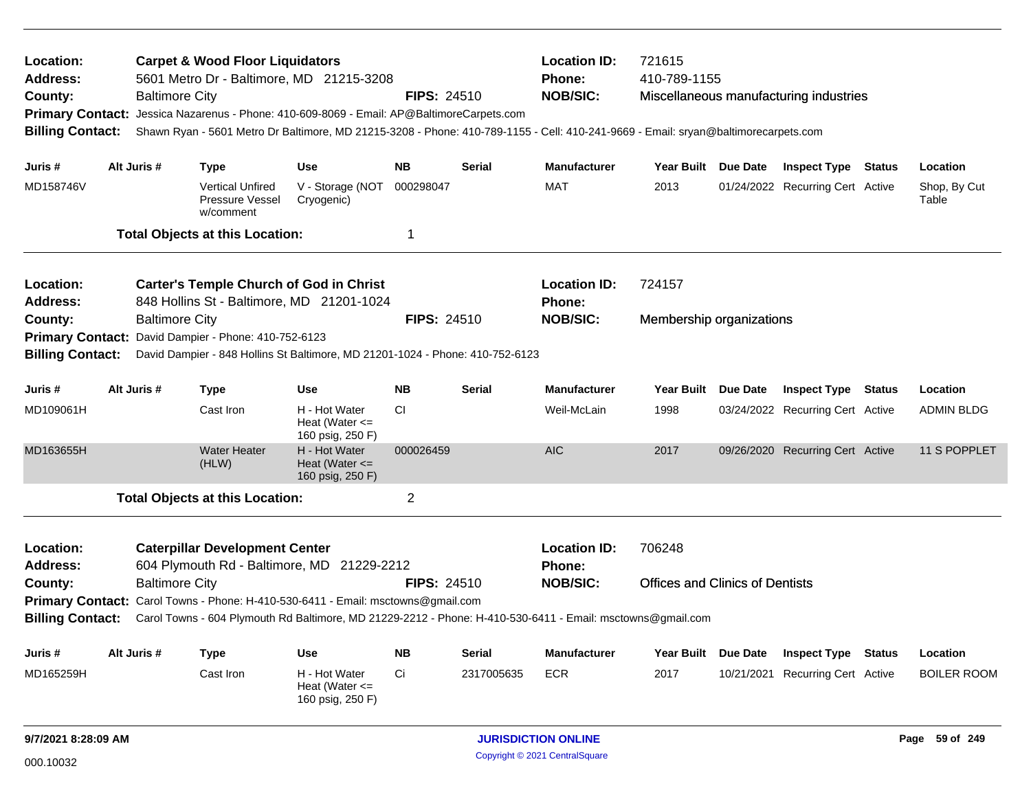| Location:<br>Address:<br>County:<br><b>Primary Contact:</b><br><b>Billing Contact:</b> | <b>Baltimore City</b> | <b>Carpet &amp; Wood Floor Liquidators</b>              | 5601 Metro Dr - Baltimore, MD 21215-3208<br>Jessica Nazarenus - Phone: 410-609-8069 - Email: AP@BaltimoreCarpets.com | FIPS: 24510        |               | <b>Location ID:</b><br><b>Phone:</b><br><b>NOB/SIC:</b> | 721615<br>410-789-1155                 | Miscellaneous manufacturing industries<br>Shawn Ryan - 5601 Metro Dr Baltimore, MD 21215-3208 - Phone: 410-789-1155 - Cell: 410-241-9669 - Email: sryan@baltimorecarpets.com<br>Year Built Due Date<br><b>Inspect Type Status</b><br>01/24/2022 Recurring Cert Active |                                  |               |                       |  |
|----------------------------------------------------------------------------------------|-----------------------|---------------------------------------------------------|----------------------------------------------------------------------------------------------------------------------|--------------------|---------------|---------------------------------------------------------|----------------------------------------|-----------------------------------------------------------------------------------------------------------------------------------------------------------------------------------------------------------------------------------------------------------------------|----------------------------------|---------------|-----------------------|--|
| Juris #                                                                                | Alt Juris #           | <b>Type</b>                                             | <b>Use</b>                                                                                                           | <b>NB</b>          | <b>Serial</b> | <b>Manufacturer</b>                                     |                                        |                                                                                                                                                                                                                                                                       |                                  |               | Location              |  |
| MD158746V                                                                              |                       | <b>Vertical Unfired</b><br>Pressure Vessel<br>w/comment | V - Storage (NOT<br>Cryogenic)                                                                                       | 000298047          |               | <b>MAT</b>                                              | 2013                                   |                                                                                                                                                                                                                                                                       |                                  |               | Shop, By Cut<br>Table |  |
|                                                                                        |                       | <b>Total Objects at this Location:</b>                  |                                                                                                                      | 1                  |               |                                                         |                                        |                                                                                                                                                                                                                                                                       |                                  |               |                       |  |
| Location:<br><b>Address:</b>                                                           |                       |                                                         | <b>Carter's Temple Church of God in Christ</b><br>848 Hollins St - Baltimore, MD 21201-1024                          |                    |               | <b>Location ID:</b><br><b>Phone:</b>                    | 724157                                 |                                                                                                                                                                                                                                                                       |                                  |               |                       |  |
| County:                                                                                | <b>Baltimore City</b> |                                                         |                                                                                                                      | <b>FIPS: 24510</b> |               | <b>NOB/SIC:</b>                                         | Membership organizations               |                                                                                                                                                                                                                                                                       |                                  |               |                       |  |
| <b>Primary Contact:</b>                                                                |                       | David Dampier - Phone: 410-752-6123                     |                                                                                                                      |                    |               |                                                         |                                        |                                                                                                                                                                                                                                                                       |                                  |               |                       |  |
| <b>Billing Contact:</b>                                                                |                       |                                                         | David Dampier - 848 Hollins St Baltimore, MD 21201-1024 - Phone: 410-752-6123                                        |                    |               |                                                         |                                        |                                                                                                                                                                                                                                                                       |                                  |               |                       |  |
| Juris #                                                                                | Alt Juris #           | <b>Type</b>                                             | <b>Use</b>                                                                                                           | <b>NB</b>          | <b>Serial</b> | <b>Manufacturer</b>                                     | <b>Year Built</b>                      | <b>Due Date</b>                                                                                                                                                                                                                                                       | <b>Inspect Type</b>              | <b>Status</b> | Location              |  |
| MD109061H                                                                              |                       | Cast Iron                                               | H - Hot Water<br>Heat (Water $\leq$<br>160 psig, 250 F)                                                              | <b>CI</b>          |               | Weil-McLain                                             | 1998                                   |                                                                                                                                                                                                                                                                       | 03/24/2022 Recurring Cert Active |               | <b>ADMIN BLDG</b>     |  |
| MD163655H                                                                              |                       | <b>Water Heater</b><br>(HLW)                            | H - Hot Water<br>Heat (Water $\leq$<br>160 psig, 250 F)                                                              | 000026459          |               | <b>AIC</b>                                              | 2017                                   |                                                                                                                                                                                                                                                                       | 09/26/2020 Recurring Cert Active |               | 11 S POPPLET          |  |
|                                                                                        |                       | <b>Total Objects at this Location:</b>                  |                                                                                                                      | $\overline{2}$     |               |                                                         |                                        |                                                                                                                                                                                                                                                                       |                                  |               |                       |  |
| Location:<br><b>Address:</b>                                                           |                       | <b>Caterpillar Development Center</b>                   | 604 Plymouth Rd - Baltimore, MD 21229-2212                                                                           |                    |               | <b>Location ID:</b><br><b>Phone:</b>                    | 706248                                 |                                                                                                                                                                                                                                                                       |                                  |               |                       |  |
| County:                                                                                | <b>Baltimore City</b> |                                                         |                                                                                                                      | <b>FIPS: 24510</b> |               | <b>NOB/SIC:</b>                                         | <b>Offices and Clinics of Dentists</b> |                                                                                                                                                                                                                                                                       |                                  |               |                       |  |
| <b>Primary Contact:</b>                                                                |                       |                                                         | Carol Towns - Phone: H-410-530-6411 - Email: msctowns@gmail.com                                                      |                    |               |                                                         |                                        |                                                                                                                                                                                                                                                                       |                                  |               |                       |  |
| <b>Billing Contact:</b>                                                                |                       |                                                         | Carol Towns - 604 Plymouth Rd Baltimore, MD 21229-2212 - Phone: H-410-530-6411 - Email: msctowns@gmail.com           |                    |               |                                                         |                                        |                                                                                                                                                                                                                                                                       |                                  |               |                       |  |
| Juris #                                                                                | Alt Juris #           | <b>Type</b>                                             | <b>Use</b>                                                                                                           | <b>NB</b>          | <b>Serial</b> | <b>Manufacturer</b>                                     | Year Built Due Date                    |                                                                                                                                                                                                                                                                       | <b>Inspect Type Status</b>       |               | Location              |  |
| MD165259H                                                                              |                       | Cast Iron                                               | H - Hot Water<br>Heat (Water $\leq$<br>160 psig, 250 F)                                                              | Ci                 | 2317005635    | <b>ECR</b>                                              | 2017                                   |                                                                                                                                                                                                                                                                       | 10/21/2021 Recurring Cert Active |               | <b>BOILER ROOM</b>    |  |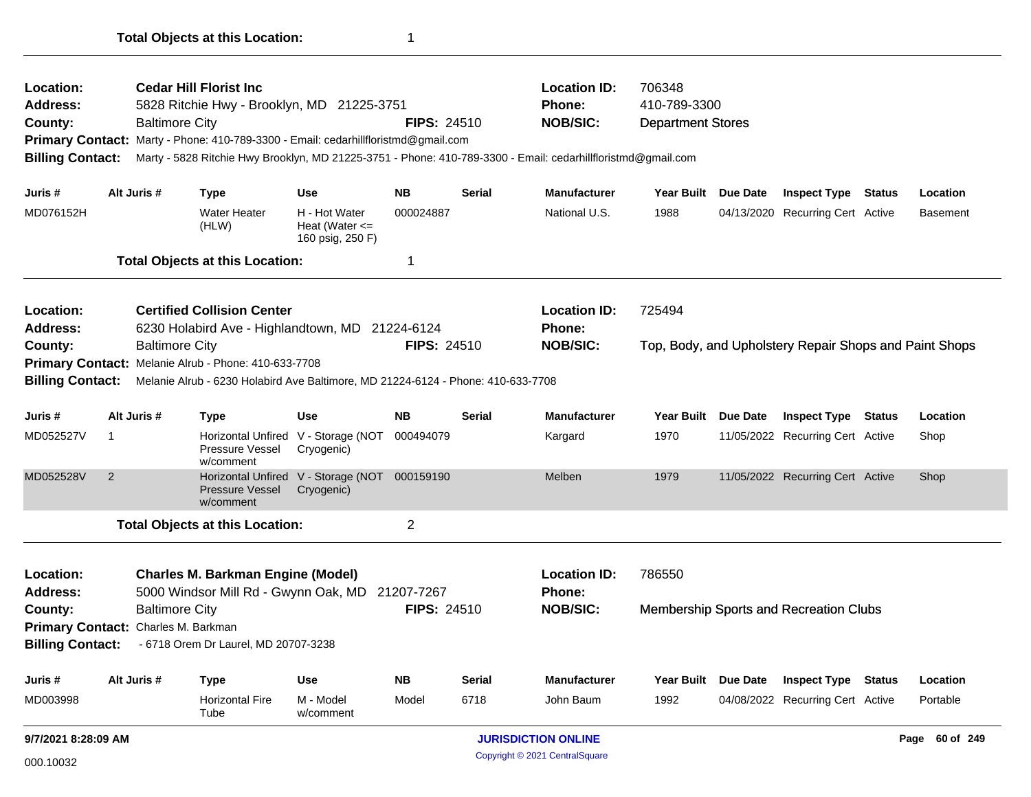| <b>Cedar Hill Florist Inc.</b><br>Location:<br>5828 Ritchie Hwy - Brooklyn, MD 21225-3751<br><b>Address:</b><br><b>FIPS: 24510</b><br>County:<br><b>Baltimore City</b><br>Primary Contact: Marty - Phone: 410-789-3300 - Email: cedarhillfloristmd@gmail.com<br><b>Billing Contact:</b><br>Marty - 5828 Ritchie Hwy Brooklyn, MD 21225-3751 - Phone: 410-789-3300 - Email: cedarhillfloristmd@gmail.com |                                                                                                                                                                     |                       |                                                                                      |                                                             |                    | <b>Location ID:</b><br>Phone:<br><b>NOB/SIC:</b> | 706348<br>410-789-3300<br><b>Department Stores</b> |                     |          |                                                        |               |                 |
|---------------------------------------------------------------------------------------------------------------------------------------------------------------------------------------------------------------------------------------------------------------------------------------------------------------------------------------------------------------------------------------------------------|---------------------------------------------------------------------------------------------------------------------------------------------------------------------|-----------------------|--------------------------------------------------------------------------------------|-------------------------------------------------------------|--------------------|--------------------------------------------------|----------------------------------------------------|---------------------|----------|--------------------------------------------------------|---------------|-----------------|
|                                                                                                                                                                                                                                                                                                                                                                                                         |                                                                                                                                                                     |                       |                                                                                      |                                                             |                    |                                                  |                                                    |                     |          |                                                        |               |                 |
| Juris #                                                                                                                                                                                                                                                                                                                                                                                                 |                                                                                                                                                                     | Alt Juris #           | <b>Type</b>                                                                          | <b>Use</b>                                                  | <b>NB</b>          | <b>Serial</b>                                    | <b>Manufacturer</b>                                | Year Built Due Date |          | <b>Inspect Type Status</b>                             |               | Location        |
| MD076152H                                                                                                                                                                                                                                                                                                                                                                                               |                                                                                                                                                                     |                       | <b>Water Heater</b><br>(HLW)                                                         | H - Hot Water<br>Heat (Water $\leq$<br>160 psig, 250 F)     | 000024887          |                                                  | National U.S.                                      | 1988                |          | 04/13/2020 Recurring Cert Active                       |               | <b>Basement</b> |
|                                                                                                                                                                                                                                                                                                                                                                                                         |                                                                                                                                                                     |                       | <b>Total Objects at this Location:</b>                                               |                                                             | 1                  |                                                  |                                                    |                     |          |                                                        |               |                 |
| Location:<br><b>Address:</b>                                                                                                                                                                                                                                                                                                                                                                            |                                                                                                                                                                     |                       | <b>Certified Collision Center</b><br>6230 Holabird Ave - Highlandtown, MD 21224-6124 |                                                             |                    |                                                  | <b>Location ID:</b><br><b>Phone:</b>               | 725494              |          |                                                        |               |                 |
| County:                                                                                                                                                                                                                                                                                                                                                                                                 |                                                                                                                                                                     | <b>Baltimore City</b> |                                                                                      |                                                             | <b>FIPS: 24510</b> |                                                  | <b>NOB/SIC:</b>                                    |                     |          | Top, Body, and Upholstery Repair Shops and Paint Shops |               |                 |
|                                                                                                                                                                                                                                                                                                                                                                                                         | Primary Contact: Melanie Alrub - Phone: 410-633-7708<br><b>Billing Contact:</b><br>Melanie Alrub - 6230 Holabird Ave Baltimore, MD 21224-6124 - Phone: 410-633-7708 |                       |                                                                                      |                                                             |                    |                                                  |                                                    |                     |          |                                                        |               |                 |
|                                                                                                                                                                                                                                                                                                                                                                                                         |                                                                                                                                                                     |                       |                                                                                      |                                                             |                    |                                                  |                                                    |                     |          |                                                        |               |                 |
| Juris #                                                                                                                                                                                                                                                                                                                                                                                                 |                                                                                                                                                                     | Alt Juris #           | <b>Type</b>                                                                          | <b>Use</b>                                                  | NΒ                 | Serial                                           | <b>Manufacturer</b>                                | <b>Year Built</b>   | Due Date | <b>Inspect Type</b>                                    | Status        | Location        |
| MD052527V                                                                                                                                                                                                                                                                                                                                                                                               | -1                                                                                                                                                                  |                       | Pressure Vessel<br>w/comment                                                         | Horizontal Unfired V - Storage (NOT<br>Cryogenic)           | 000494079          |                                                  | Kargard                                            | 1970                |          | 11/05/2022 Recurring Cert Active                       |               | Shop            |
| MD052528V                                                                                                                                                                                                                                                                                                                                                                                               | 2                                                                                                                                                                   |                       | <b>Pressure Vessel</b><br>w/comment                                                  | Horizontal Unfired V - Storage (NOT 000159190<br>Cryogenic) |                    |                                                  | Melben                                             | 1979                |          | 11/05/2022 Recurring Cert Active                       |               | Shop            |
|                                                                                                                                                                                                                                                                                                                                                                                                         |                                                                                                                                                                     |                       | <b>Total Objects at this Location:</b>                                               |                                                             | $\overline{2}$     |                                                  |                                                    |                     |          |                                                        |               |                 |
| <b>Location:</b><br><b>Address:</b>                                                                                                                                                                                                                                                                                                                                                                     |                                                                                                                                                                     |                       | <b>Charles M. Barkman Engine (Model)</b><br>5000 Windsor Mill Rd - Gwynn Oak, MD     |                                                             | 21207-7267         |                                                  | <b>Location ID:</b><br><b>Phone:</b>               | 786550              |          |                                                        |               |                 |
| County:                                                                                                                                                                                                                                                                                                                                                                                                 |                                                                                                                                                                     | <b>Baltimore City</b> |                                                                                      |                                                             | <b>FIPS: 24510</b> |                                                  | <b>NOB/SIC:</b>                                    |                     |          | Membership Sports and Recreation Clubs                 |               |                 |
| Primary Contact: Charles M. Barkman                                                                                                                                                                                                                                                                                                                                                                     |                                                                                                                                                                     |                       |                                                                                      |                                                             |                    |                                                  |                                                    |                     |          |                                                        |               |                 |
| <b>Billing Contact:</b>                                                                                                                                                                                                                                                                                                                                                                                 |                                                                                                                                                                     |                       | - 6718 Orem Dr Laurel, MD 20707-3238                                                 |                                                             |                    |                                                  |                                                    |                     |          |                                                        |               |                 |
| Juris #                                                                                                                                                                                                                                                                                                                                                                                                 |                                                                                                                                                                     | Alt Juris #           | <b>Type</b>                                                                          | <b>Use</b>                                                  | <b>NB</b>          | Serial                                           | <b>Manufacturer</b>                                | Year Built Due Date |          | <b>Inspect Type</b>                                    | <b>Status</b> | Location        |
| MD003998                                                                                                                                                                                                                                                                                                                                                                                                |                                                                                                                                                                     |                       | <b>Horizontal Fire</b><br>Tube                                                       | M - Model<br>w/comment                                      | Model              | 6718                                             | John Baum                                          | 1992                |          | 04/08/2022 Recurring Cert Active                       |               | Portable        |
| 9/7/2021 8:28:09 AM                                                                                                                                                                                                                                                                                                                                                                                     |                                                                                                                                                                     |                       |                                                                                      |                                                             |                    |                                                  | <b>JURISDICTION ONLINE</b>                         |                     |          |                                                        |               | Page 60 of 249  |

Copyright © 2021 CentralSquare 000.10032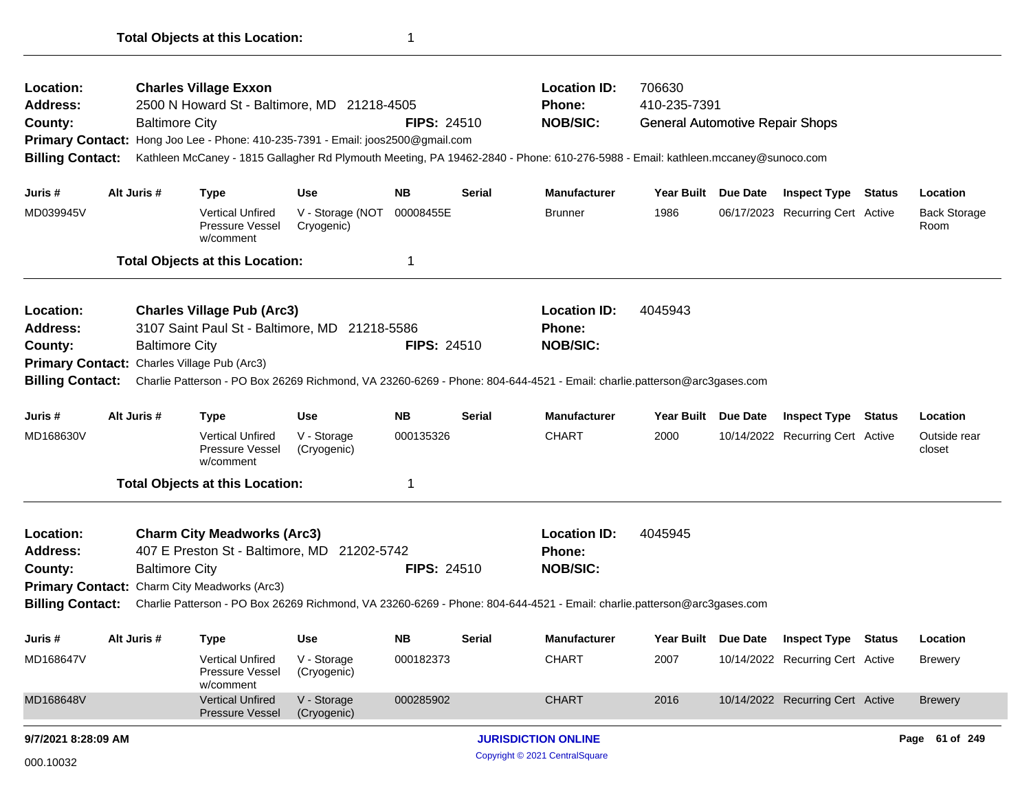| Location:                                                                                                                 |  |                       | <b>Charles Village Exxon</b>                                                    |                                |                    |               | <b>Location ID:</b>                                                                                                             | 706630                                 |                                         |                             |
|---------------------------------------------------------------------------------------------------------------------------|--|-----------------------|---------------------------------------------------------------------------------|--------------------------------|--------------------|---------------|---------------------------------------------------------------------------------------------------------------------------------|----------------------------------------|-----------------------------------------|-----------------------------|
| Address:                                                                                                                  |  |                       | 2500 N Howard St - Baltimore, MD 21218-4505                                     |                                |                    |               | <b>Phone:</b>                                                                                                                   | 410-235-7391                           |                                         |                             |
| County:                                                                                                                   |  | <b>Baltimore City</b> |                                                                                 |                                | <b>FIPS: 24510</b> |               | <b>NOB/SIC:</b>                                                                                                                 | <b>General Automotive Repair Shops</b> |                                         |                             |
|                                                                                                                           |  |                       | Primary Contact: Hong Joo Lee - Phone: 410-235-7391 - Email: joos2500@gmail.com |                                |                    |               |                                                                                                                                 |                                        |                                         |                             |
| <b>Billing Contact:</b>                                                                                                   |  |                       |                                                                                 |                                |                    |               | Kathleen McCaney - 1815 Gallagher Rd Plymouth Meeting, PA 19462-2840 - Phone: 610-276-5988 - Email: kathleen.mccaney@sunoco.com |                                        |                                         |                             |
| Juris #                                                                                                                   |  | Alt Juris #           | <b>Type</b>                                                                     | Use                            | NB.                | Serial        | <b>Manufacturer</b>                                                                                                             | Year Built Due Date                    | <b>Inspect Type Status</b>              | Location                    |
| MD039945V                                                                                                                 |  |                       | <b>Vertical Unfired</b><br>Pressure Vessel<br>w/comment                         | V - Storage (NOT<br>Cryogenic) | 00008455E          |               | <b>Brunner</b>                                                                                                                  | 1986                                   | 06/17/2023 Recurring Cert Active        | <b>Back Storage</b><br>Room |
|                                                                                                                           |  |                       | <b>Total Objects at this Location:</b>                                          |                                | 1                  |               |                                                                                                                                 |                                        |                                         |                             |
|                                                                                                                           |  |                       | <b>Charles Village Pub (Arc3)</b>                                               |                                |                    |               | <b>Location ID:</b>                                                                                                             | 4045943                                |                                         |                             |
| Location:<br>Address:<br>County:<br>Primary Contact: Charles Village Pub (Arc3)<br><b>Billing Contact:</b><br>Alt Juris # |  |                       | 3107 Saint Paul St - Baltimore, MD 21218-5586                                   |                                |                    |               | <b>Phone:</b>                                                                                                                   |                                        |                                         |                             |
|                                                                                                                           |  | <b>Baltimore City</b> |                                                                                 |                                | <b>FIPS: 24510</b> |               | <b>NOB/SIC:</b>                                                                                                                 |                                        |                                         |                             |
|                                                                                                                           |  |                       |                                                                                 |                                |                    |               |                                                                                                                                 |                                        |                                         |                             |
|                                                                                                                           |  |                       |                                                                                 |                                |                    |               | Charlie Patterson - PO Box 26269 Richmond, VA 23260-6269 - Phone: 804-644-4521 - Email: charlie.patterson@arc3gases.com         |                                        |                                         |                             |
| Juris #                                                                                                                   |  |                       | <b>Type</b>                                                                     | Use                            | <b>NB</b>          | Serial        | <b>Manufacturer</b>                                                                                                             | Year Built Due Date                    | <b>Inspect Type Status</b>              | Location                    |
| MD168630V                                                                                                                 |  |                       | <b>Vertical Unfired</b><br>Pressure Vessel<br>w/comment                         | V - Storage<br>(Cryogenic)     | 000135326          |               | <b>CHART</b>                                                                                                                    | 2000                                   | 10/14/2022 Recurring Cert Active        | Outside rear<br>closet      |
|                                                                                                                           |  |                       | <b>Total Objects at this Location:</b>                                          |                                | 1                  |               |                                                                                                                                 |                                        |                                         |                             |
| Location:                                                                                                                 |  |                       | <b>Charm City Meadworks (Arc3)</b>                                              |                                |                    |               | <b>Location ID:</b>                                                                                                             | 4045945                                |                                         |                             |
| Address:                                                                                                                  |  |                       | 407 E Preston St - Baltimore, MD 21202-5742                                     |                                |                    |               | <b>Phone:</b>                                                                                                                   |                                        |                                         |                             |
| County:                                                                                                                   |  | <b>Baltimore City</b> |                                                                                 |                                | <b>FIPS: 24510</b> |               | <b>NOB/SIC:</b>                                                                                                                 |                                        |                                         |                             |
|                                                                                                                           |  |                       | Primary Contact: Charm City Meadworks (Arc3)                                    |                                |                    |               |                                                                                                                                 |                                        |                                         |                             |
| <b>Billing Contact:</b>                                                                                                   |  |                       |                                                                                 |                                |                    |               | Charlie Patterson - PO Box 26269 Richmond, VA 23260-6269 - Phone: 804-644-4521 - Email: charlie.patterson@arc3gases.com         |                                        |                                         |                             |
| Juris #                                                                                                                   |  | Alt Juris #           | Type                                                                            | <b>Use</b>                     | <b>NB</b>          | <b>Serial</b> | <b>Manufacturer</b>                                                                                                             |                                        | Year Built Due Date Inspect Type Status | Location                    |
| MD168647V                                                                                                                 |  |                       | <b>Vertical Unfired</b><br>Pressure Vessel<br>w/comment                         | V - Storage<br>(Cryogenic)     | 000182373          |               | <b>CHART</b>                                                                                                                    | 2007                                   | 10/14/2022 Recurring Cert Active        | <b>Brewery</b>              |
| MD168648V                                                                                                                 |  |                       | <b>Vertical Unfired</b><br>Pressure Vessel                                      | V - Storage<br>(Cryogenic)     | 000285902          |               | <b>CHART</b>                                                                                                                    | 2016                                   | 10/14/2022 Recurring Cert Active        | <b>Brewery</b>              |
| 9/7/2021 8:28:09 AM                                                                                                       |  |                       |                                                                                 |                                |                    |               | <b>JURISDICTION ONLINE</b>                                                                                                      |                                        |                                         | Page 61 of 249              |
| 000.10032                                                                                                                 |  |                       |                                                                                 |                                |                    |               | Copyright © 2021 CentralSquare                                                                                                  |                                        |                                         |                             |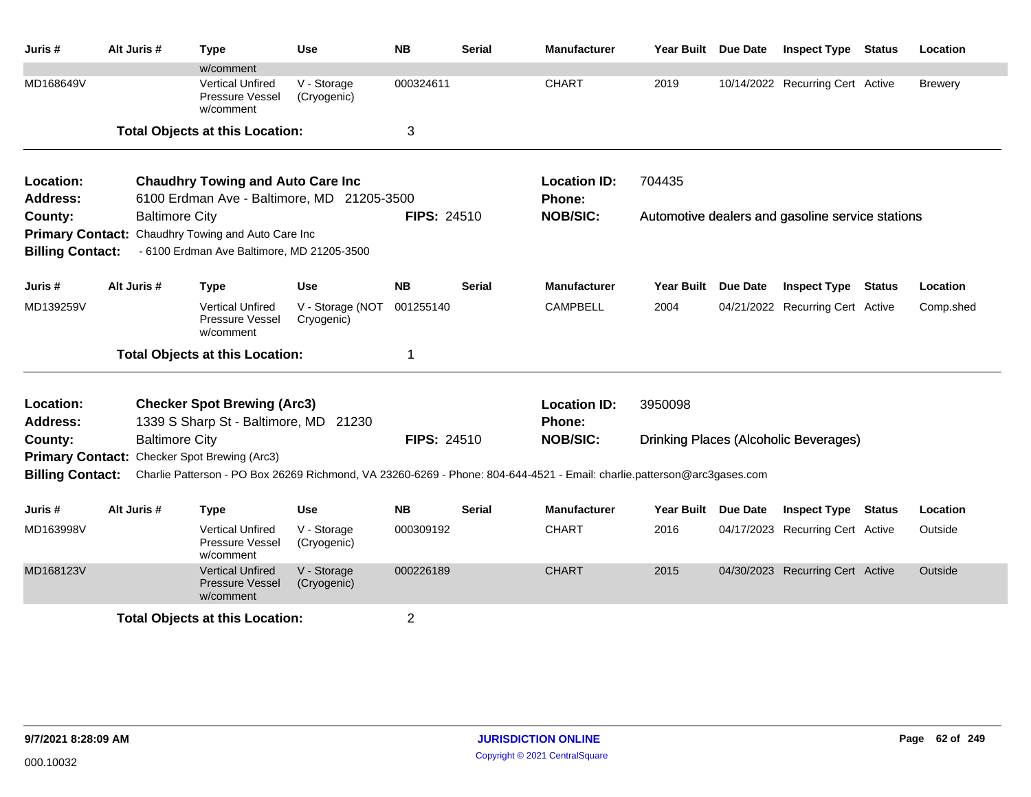| Juris #                 | Alt Juris #           | <b>Type</b>                                                    | Use                                        | <b>NB</b>          | Serial | <b>Manufacturer</b>                                                                                                     | Year Built Due Date |                 | <b>Inspect Type</b>                              | <b>Status</b> | Location       |
|-------------------------|-----------------------|----------------------------------------------------------------|--------------------------------------------|--------------------|--------|-------------------------------------------------------------------------------------------------------------------------|---------------------|-----------------|--------------------------------------------------|---------------|----------------|
|                         |                       | w/comment                                                      |                                            |                    |        |                                                                                                                         |                     |                 |                                                  |               |                |
| MD168649V               |                       | <b>Vertical Unfired</b><br><b>Pressure Vessel</b><br>w/comment | V - Storage<br>(Cryogenic)                 | 000324611          |        | <b>CHART</b>                                                                                                            | 2019                |                 | 10/14/2022 Recurring Cert Active                 |               | <b>Brewery</b> |
|                         |                       | <b>Total Objects at this Location:</b>                         |                                            | 3                  |        |                                                                                                                         |                     |                 |                                                  |               |                |
| Location:               |                       | <b>Chaudhry Towing and Auto Care Inc</b>                       |                                            |                    |        | <b>Location ID:</b>                                                                                                     | 704435              |                 |                                                  |               |                |
| <b>Address:</b>         |                       |                                                                | 6100 Erdman Ave - Baltimore, MD 21205-3500 |                    |        | Phone:                                                                                                                  |                     |                 |                                                  |               |                |
| County:                 | <b>Baltimore City</b> |                                                                |                                            | <b>FIPS: 24510</b> |        | <b>NOB/SIC:</b>                                                                                                         |                     |                 | Automotive dealers and gasoline service stations |               |                |
| <b>Primary Contact:</b> |                       | Chaudhry Towing and Auto Care Inc                              |                                            |                    |        |                                                                                                                         |                     |                 |                                                  |               |                |
| <b>Billing Contact:</b> |                       | - 6100 Erdman Ave Baltimore, MD 21205-3500                     |                                            |                    |        |                                                                                                                         |                     |                 |                                                  |               |                |
| Juris #                 | Alt Juris #           | <b>Type</b>                                                    | <b>Use</b>                                 | <b>NB</b>          | Serial | <b>Manufacturer</b>                                                                                                     | Year Built Due Date |                 | <b>Inspect Type Status</b>                       |               | Location       |
| MD139259V               |                       | <b>Vertical Unfired</b><br>Pressure Vessel<br>w/comment        | V - Storage (NOT<br>Cryogenic)             | 001255140          |        | <b>CAMPBELL</b>                                                                                                         | 2004                |                 | 04/21/2022 Recurring Cert Active                 |               | Comp.shed      |
|                         |                       | <b>Total Objects at this Location:</b>                         |                                            | 1                  |        |                                                                                                                         |                     |                 |                                                  |               |                |
| Location:               |                       | <b>Checker Spot Brewing (Arc3)</b>                             |                                            |                    |        | <b>Location ID:</b>                                                                                                     | 3950098             |                 |                                                  |               |                |
| <b>Address:</b>         |                       | 1339 S Sharp St - Baltimore, MD 21230                          |                                            |                    |        | <b>Phone:</b>                                                                                                           |                     |                 |                                                  |               |                |
| County:                 | <b>Baltimore City</b> |                                                                |                                            | <b>FIPS: 24510</b> |        | <b>NOB/SIC:</b>                                                                                                         |                     |                 | <b>Drinking Places (Alcoholic Beverages)</b>     |               |                |
| <b>Primary Contact:</b> |                       | Checker Spot Brewing (Arc3)                                    |                                            |                    |        | Charlie Patterson - PO Box 26269 Richmond, VA 23260-6269 - Phone: 804-644-4521 - Email: charlie.patterson@arc3gases.com |                     |                 |                                                  |               |                |
| <b>Billing Contact:</b> |                       |                                                                |                                            |                    |        |                                                                                                                         |                     |                 |                                                  |               |                |
| Juris #                 | Alt Juris #           | <b>Type</b>                                                    | Use                                        | <b>NB</b>          | Serial | <b>Manufacturer</b>                                                                                                     | <b>Year Built</b>   | <b>Due Date</b> | <b>Inspect Type</b>                              | <b>Status</b> | Location       |
| MD163998V               |                       | <b>Vertical Unfired</b><br><b>Pressure Vessel</b><br>w/comment | V - Storage<br>(Cryogenic)                 | 000309192          |        | <b>CHART</b>                                                                                                            | 2016                |                 | 04/17/2023 Recurring Cert Active                 |               | Outside        |
| MD168123V               |                       | <b>Vertical Unfired</b><br><b>Pressure Vessel</b><br>w/comment | V - Storage<br>(Cryogenic)                 | 000226189          |        | <b>CHART</b>                                                                                                            | 2015                |                 | 04/30/2023 Recurring Cert Active                 |               | Outside        |
|                         |                       | <b>Total Objects at this Location:</b>                         |                                            | $\overline{2}$     |        |                                                                                                                         |                     |                 |                                                  |               |                |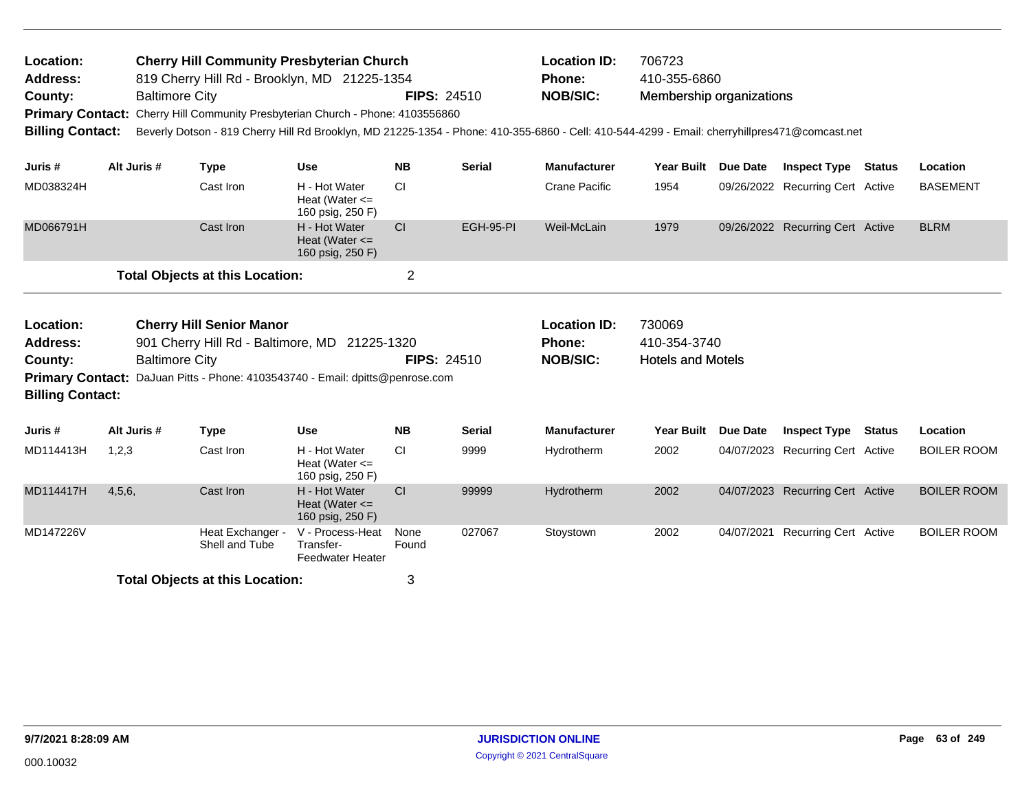| Location:<br><b>Address:</b><br>County:<br><b>Billing Contact:</b> |                                                                                                                                                                                                                                      | <b>Baltimore City</b> |                                        | <b>Cherry Hill Community Presbyterian Church</b><br>819 Cherry Hill Rd - Brooklyn, MD 21225-1354<br>Primary Contact: Cherry Hill Community Presbyterian Church - Phone: 4103556860<br>Beverly Dotson - 819 Cherry Hill Rd Brooklyn, MD 21225-1354 - Phone: 410-355-6860 - Cell: 410-544-4299 - Email: cherryhillpres471@comcast.net | <b>FIPS: 24510</b> |               | <b>Location ID:</b><br><b>Phone:</b><br><b>NOB/SIC:</b> | 706723<br>410-355-6860<br>Membership organizations |            |                                  |                    |
|--------------------------------------------------------------------|--------------------------------------------------------------------------------------------------------------------------------------------------------------------------------------------------------------------------------------|-----------------------|----------------------------------------|-------------------------------------------------------------------------------------------------------------------------------------------------------------------------------------------------------------------------------------------------------------------------------------------------------------------------------------|--------------------|---------------|---------------------------------------------------------|----------------------------------------------------|------------|----------------------------------|--------------------|
| Juris #                                                            | Alt Juris #                                                                                                                                                                                                                          |                       | <b>Type</b>                            | <b>Use</b>                                                                                                                                                                                                                                                                                                                          | <b>NB</b>          | <b>Serial</b> | <b>Manufacturer</b>                                     | <b>Year Built</b>                                  | Due Date   | <b>Inspect Type Status</b>       | Location           |
| MD038324H                                                          |                                                                                                                                                                                                                                      |                       | Cast Iron                              | H - Hot Water<br>Heat (Water $\leq$<br>160 psig, 250 F)                                                                                                                                                                                                                                                                             | СI                 |               | <b>Crane Pacific</b>                                    | 1954                                               |            | 09/26/2022 Recurring Cert Active | <b>BASEMENT</b>    |
| MD066791H                                                          |                                                                                                                                                                                                                                      |                       | Cast Iron                              | H - Hot Water<br>Heat (Water $\leq$<br>160 psig, 250 F)                                                                                                                                                                                                                                                                             | <b>CI</b>          | EGH-95-PI     | Weil-McLain                                             | 1979                                               |            | 09/26/2022 Recurring Cert Active | <b>BLRM</b>        |
|                                                                    |                                                                                                                                                                                                                                      |                       |                                        |                                                                                                                                                                                                                                                                                                                                     | 2                  |               |                                                         |                                                    |            |                                  |                    |
| Location:<br><b>Address:</b><br>County:<br><b>Billing Contact:</b> | <b>Total Objects at this Location:</b><br><b>Cherry Hill Senior Manor</b><br>901 Cherry Hill Rd - Baltimore, MD 21225-1320<br><b>Baltimore City</b><br>Primary Contact: DaJuan Pitts - Phone: 4103543740 - Email: dpitts@penrose.com |                       |                                        |                                                                                                                                                                                                                                                                                                                                     | <b>FIPS: 24510</b> |               | <b>Location ID:</b><br><b>Phone:</b><br><b>NOB/SIC:</b> | 730069<br>410-354-3740<br><b>Hotels and Motels</b> |            |                                  |                    |
| Juris #                                                            | Alt Juris #                                                                                                                                                                                                                          |                       | <b>Type</b>                            | <b>Use</b>                                                                                                                                                                                                                                                                                                                          | <b>NB</b>          | <b>Serial</b> | <b>Manufacturer</b>                                     | <b>Year Built</b>                                  | Due Date   | <b>Inspect Type Status</b>       | Location           |
| MD114413H                                                          | 1,2,3                                                                                                                                                                                                                                |                       | Cast Iron                              | H - Hot Water<br>Heat (Water $\leq$<br>160 psig, 250 F)                                                                                                                                                                                                                                                                             | <b>CI</b>          | 9999          | Hydrotherm                                              | 2002                                               |            | 04/07/2023 Recurring Cert Active | <b>BOILER ROOM</b> |
| MD114417H                                                          | 4,5,6,                                                                                                                                                                                                                               |                       | Cast Iron                              | H - Hot Water<br>Heat (Water $\leq$<br>160 psig, 250 F)                                                                                                                                                                                                                                                                             | CI                 | 99999         | Hydrotherm                                              | 2002                                               |            | 04/07/2023 Recurring Cert Active | <b>BOILER ROOM</b> |
| MD147226V                                                          |                                                                                                                                                                                                                                      |                       | Heat Exchanger -<br>Shell and Tube     | V - Process-Heat<br>Transfer-<br><b>Feedwater Heater</b>                                                                                                                                                                                                                                                                            | None<br>Found      | 027067        | Stoystown                                               | 2002                                               | 04/07/2021 | <b>Recurring Cert Active</b>     | <b>BOILER ROOM</b> |
|                                                                    |                                                                                                                                                                                                                                      |                       | <b>Total Objects at this Location:</b> |                                                                                                                                                                                                                                                                                                                                     | 3                  |               |                                                         |                                                    |            |                                  |                    |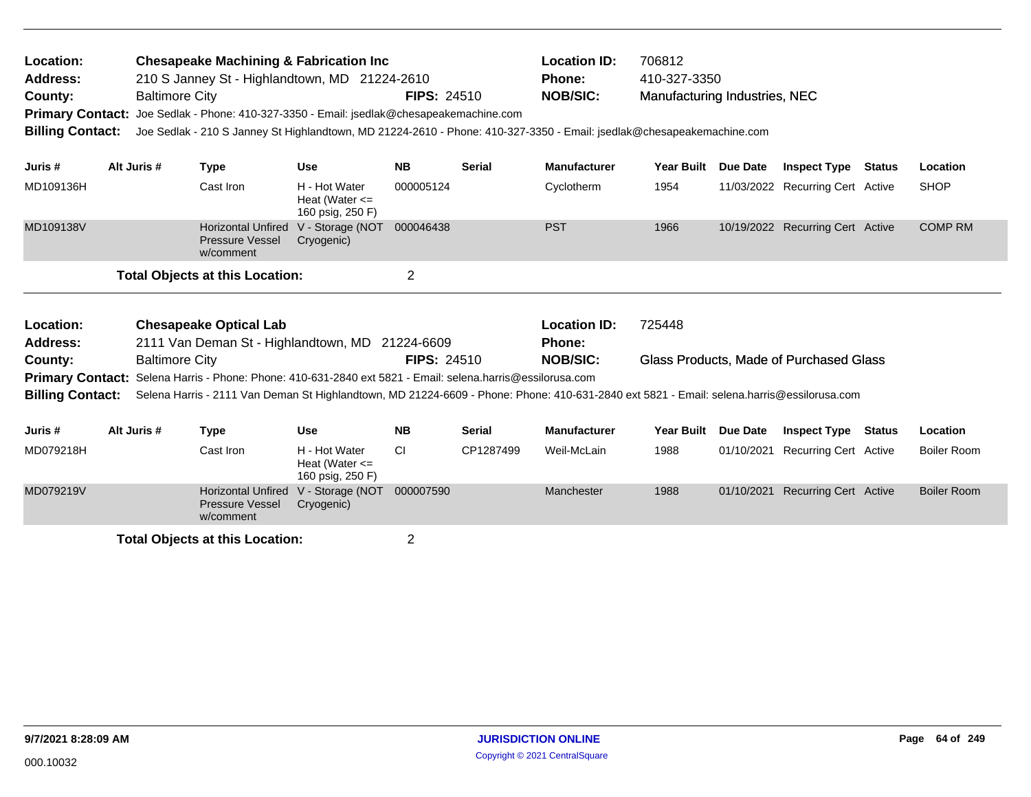| Location:<br><b>Address:</b><br>County:<br><b>Primary Contact:</b><br><b>Billing Contact:</b> |                                                                                                                                                                                                                                                                                                                                                                                                                                           | <b>Baltimore City</b> | <b>Chesapeake Machining &amp; Fabrication Inc.</b><br>210 S Janney St - Highlandtown, MD 21224-2610<br>Joe Sedlak - Phone: 410-327-3350 - Email: jsedlak@chesapeakemachine.com |                                                         | <b>FIPS: 24510</b> |                    | <b>Location ID:</b><br><b>Phone:</b><br><b>NOB/SIC:</b><br>Joe Sedlak - 210 S Janney St Highlandtown, MD 21224-2610 - Phone: 410-327-3350 - Email: jsedlak@chesapeakemachine.com | 706812<br>410-327-3350<br>Manufacturing Industries, NEC |                 |                                         |               |                    |
|-----------------------------------------------------------------------------------------------|-------------------------------------------------------------------------------------------------------------------------------------------------------------------------------------------------------------------------------------------------------------------------------------------------------------------------------------------------------------------------------------------------------------------------------------------|-----------------------|--------------------------------------------------------------------------------------------------------------------------------------------------------------------------------|---------------------------------------------------------|--------------------|--------------------|----------------------------------------------------------------------------------------------------------------------------------------------------------------------------------|---------------------------------------------------------|-----------------|-----------------------------------------|---------------|--------------------|
| Juris #                                                                                       |                                                                                                                                                                                                                                                                                                                                                                                                                                           | Alt Juris #           | <b>Type</b>                                                                                                                                                                    | <b>Use</b>                                              | <b>NB</b>          | <b>Serial</b>      | <b>Manufacturer</b>                                                                                                                                                              | <b>Year Built</b>                                       | Due Date        | <b>Inspect Type</b>                     | Status        | Location           |
| MD109136H                                                                                     |                                                                                                                                                                                                                                                                                                                                                                                                                                           |                       | Cast Iron                                                                                                                                                                      | H - Hot Water<br>Heat (Water $\leq$<br>160 psig, 250 F) | 000005124          |                    | Cyclotherm                                                                                                                                                                       | 1954                                                    |                 | 11/03/2022 Recurring Cert Active        |               | <b>SHOP</b>        |
| MD109138V                                                                                     |                                                                                                                                                                                                                                                                                                                                                                                                                                           |                       | <b>Horizontal Unfired</b><br><b>Pressure Vessel</b><br>w/comment                                                                                                               | V - Storage (NOT<br>Cryogenic)                          | 000046438          |                    | <b>PST</b>                                                                                                                                                                       | 1966                                                    |                 | 10/19/2022 Recurring Cert Active        |               | <b>COMP RM</b>     |
|                                                                                               |                                                                                                                                                                                                                                                                                                                                                                                                                                           |                       |                                                                                                                                                                                |                                                         | $\overline{2}$     |                    |                                                                                                                                                                                  |                                                         |                 |                                         |               |                    |
| Location:<br><b>Address:</b><br>County:                                                       | <b>Total Objects at this Location:</b><br><b>Chesapeake Optical Lab</b><br>2111 Van Deman St - Highlandtown, MD 21224-6609<br><b>Baltimore City</b><br>Primary Contact: Selena Harris - Phone: Phone: 410-631-2840 ext 5821 - Email: selena.harris@essilorusa.com<br><b>Billing Contact:</b><br>Selena Harris - 2111 Van Deman St Highlandtown, MD 21224-6609 - Phone: Phone: 410-631-2840 ext 5821 - Email: selena.harris@essilorusa.com |                       |                                                                                                                                                                                |                                                         |                    | <b>FIPS: 24510</b> | <b>Location ID:</b><br><b>Phone:</b><br><b>NOB/SIC:</b>                                                                                                                          | 725448                                                  |                 | Glass Products, Made of Purchased Glass |               |                    |
| Juris #                                                                                       |                                                                                                                                                                                                                                                                                                                                                                                                                                           | Alt Juris #           | <b>Type</b>                                                                                                                                                                    | <b>Use</b>                                              | <b>NB</b>          | <b>Serial</b>      | <b>Manufacturer</b>                                                                                                                                                              | <b>Year Built</b>                                       | <b>Due Date</b> | <b>Inspect Type</b>                     | <b>Status</b> | Location           |
| MD079218H                                                                                     |                                                                                                                                                                                                                                                                                                                                                                                                                                           |                       | Cast Iron                                                                                                                                                                      | H - Hot Water<br>Heat (Water $\leq$<br>160 psig, 250 F) | CI                 | CP1287499          | Weil-McLain                                                                                                                                                                      | 1988                                                    | 01/10/2021      | <b>Recurring Cert Active</b>            |               | <b>Boiler Room</b> |
| MD079219V                                                                                     |                                                                                                                                                                                                                                                                                                                                                                                                                                           |                       | <b>Horizontal Unfired</b><br><b>Pressure Vessel</b>                                                                                                                            | V - Storage (NOT<br>Cryogenic)                          | 000007590          |                    | Manchester                                                                                                                                                                       | 1988                                                    | 01/10/2021      | <b>Recurring Cert Active</b>            |               | <b>Boiler Room</b> |

w/comment **Total Objects at this Location:** 2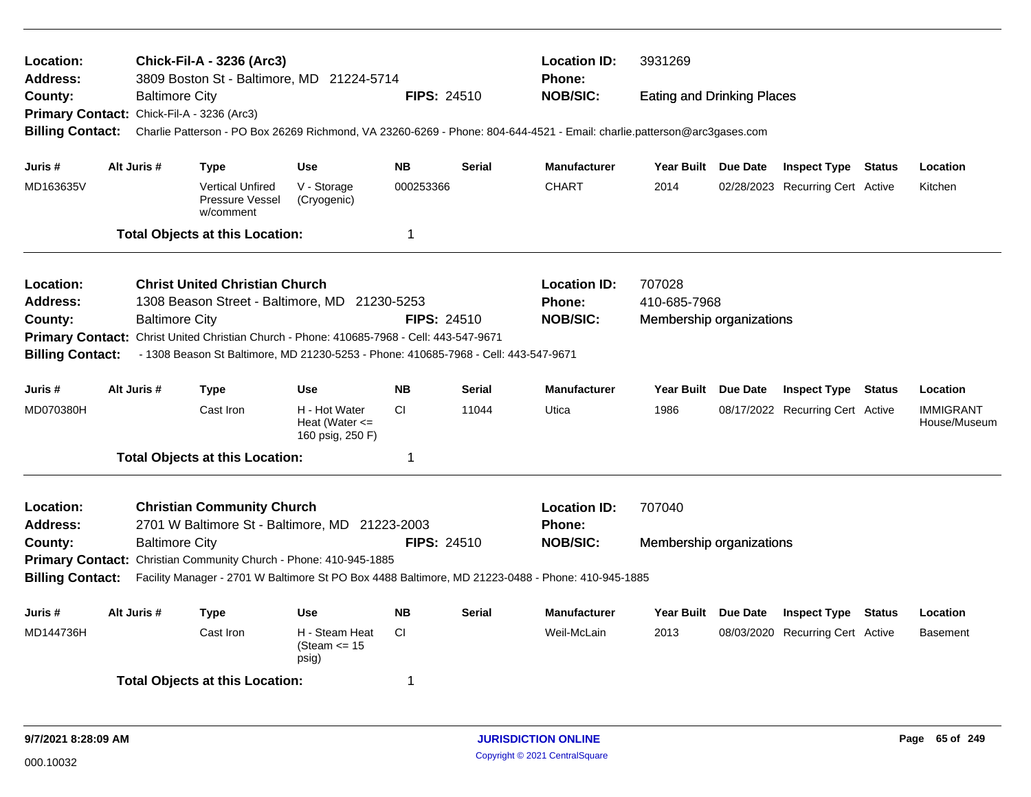| Location:<br><b>Address:</b><br>County: | <b>Baltimore City</b><br>Primary Contact: Chick-Fil-A - 3236 (Arc3) | <b>Chick-Fil-A - 3236 (Arc3)</b><br>3809 Boston St - Baltimore, MD 21224-5714                                                                                                    |                                                         | <b>FIPS: 24510</b> |               | <b>Location ID:</b><br><b>Phone:</b><br><b>NOB/SIC:</b>                                                                 | 3931269<br><b>Eating and Drinking Places</b> |                     |                                  |               |                                  |
|-----------------------------------------|---------------------------------------------------------------------|----------------------------------------------------------------------------------------------------------------------------------------------------------------------------------|---------------------------------------------------------|--------------------|---------------|-------------------------------------------------------------------------------------------------------------------------|----------------------------------------------|---------------------|----------------------------------|---------------|----------------------------------|
| <b>Billing Contact:</b>                 |                                                                     |                                                                                                                                                                                  |                                                         |                    |               | Charlie Patterson - PO Box 26269 Richmond, VA 23260-6269 - Phone: 804-644-4521 - Email: charlie.patterson@arc3gases.com |                                              |                     |                                  |               |                                  |
| Juris #                                 | Alt Juris #                                                         | <b>Type</b>                                                                                                                                                                      | <b>Use</b>                                              | <b>NB</b>          | <b>Serial</b> | <b>Manufacturer</b>                                                                                                     |                                              | Year Built Due Date | <b>Inspect Type Status</b>       |               | Location                         |
| MD163635V                               |                                                                     | <b>Vertical Unfired</b><br>Pressure Vessel<br>w/comment                                                                                                                          | V - Storage<br>(Cryogenic)                              | 000253366          |               | <b>CHART</b>                                                                                                            | 2014                                         |                     | 02/28/2023 Recurring Cert Active |               | Kitchen                          |
|                                         |                                                                     | <b>Total Objects at this Location:</b>                                                                                                                                           |                                                         | $\mathbf 1$        |               |                                                                                                                         |                                              |                     |                                  |               |                                  |
| Location:<br>Address:                   |                                                                     | <b>Christ United Christian Church</b><br>1308 Beason Street - Baltimore, MD 21230-5253                                                                                           |                                                         |                    |               | <b>Location ID:</b><br>Phone:                                                                                           | 707028<br>410-685-7968                       |                     |                                  |               |                                  |
| County:<br><b>Billing Contact:</b>      | <b>Baltimore City</b>                                               | Primary Contact: Christ United Christian Church - Phone: 410685-7968 - Cell: 443-547-9671<br>- 1308 Beason St Baltimore, MD 21230-5253 - Phone: 410685-7968 - Cell: 443-547-9671 |                                                         | <b>FIPS: 24510</b> |               | <b>NOB/SIC:</b>                                                                                                         | Membership organizations                     |                     |                                  |               |                                  |
| Juris #                                 | Alt Juris #                                                         | <b>Type</b>                                                                                                                                                                      | <b>Use</b>                                              | <b>NB</b>          | <b>Serial</b> | <b>Manufacturer</b>                                                                                                     | <b>Year Built</b>                            | <b>Due Date</b>     | <b>Inspect Type Status</b>       |               | Location                         |
| MD070380H                               |                                                                     | Cast Iron                                                                                                                                                                        | H - Hot Water<br>Heat (Water $\leq$<br>160 psig, 250 F) | <b>CI</b>          | 11044         | Utica                                                                                                                   | 1986                                         |                     | 08/17/2022 Recurring Cert Active |               | <b>IMMIGRANT</b><br>House/Museum |
|                                         |                                                                     | <b>Total Objects at this Location:</b>                                                                                                                                           |                                                         | $\mathbf 1$        |               |                                                                                                                         |                                              |                     |                                  |               |                                  |
| Location:<br><b>Address:</b>            |                                                                     | <b>Christian Community Church</b><br>2701 W Baltimore St - Baltimore, MD 21223-2003                                                                                              |                                                         |                    |               | <b>Location ID:</b><br>Phone:                                                                                           | 707040                                       |                     |                                  |               |                                  |
| County:<br><b>Billing Contact:</b>      | <b>Baltimore City</b>                                               | Primary Contact: Christian Community Church - Phone: 410-945-1885                                                                                                                |                                                         | <b>FIPS: 24510</b> |               | <b>NOB/SIC:</b><br>Facility Manager - 2701 W Baltimore St PO Box 4488 Baltimore, MD 21223-0488 - Phone: 410-945-1885    | Membership organizations                     |                     |                                  |               |                                  |
| Juris #                                 | Alt Juris #                                                         | <b>Type</b>                                                                                                                                                                      | <b>Use</b>                                              | <b>NB</b>          | <b>Serial</b> | <b>Manufacturer</b>                                                                                                     | <b>Year Built</b>                            | Due Date            | <b>Inspect Type</b>              | <b>Status</b> | Location                         |
| MD144736H                               |                                                                     | Cast Iron                                                                                                                                                                        | H - Steam Heat<br>(Steam $\leq$ 15<br>psig)             | <b>CI</b>          |               | Weil-McLain                                                                                                             | 2013                                         |                     | 08/03/2020 Recurring Cert Active |               | <b>Basement</b>                  |
|                                         |                                                                     | <b>Total Objects at this Location:</b>                                                                                                                                           |                                                         | -1                 |               |                                                                                                                         |                                              |                     |                                  |               |                                  |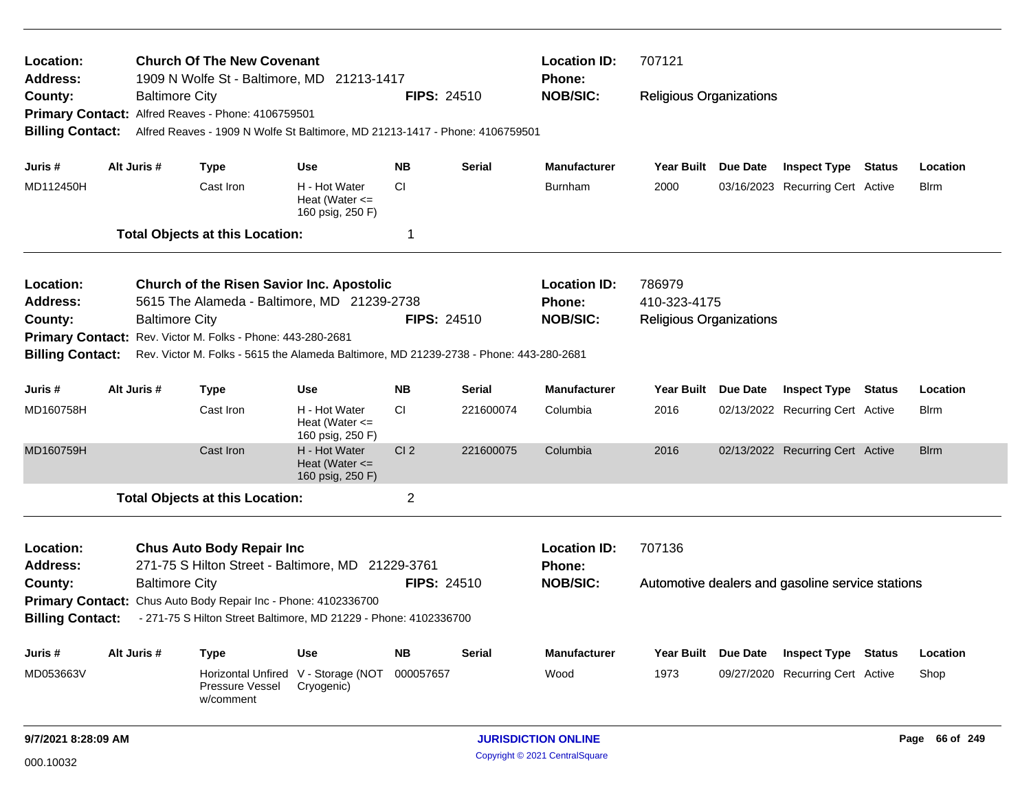| Location:<br>Address:                                          |                       | <b>Church Of The New Covenant</b><br>1909 N Wolfe St - Baltimore, MD                   | 21213-1417                                              |                    |           | <b>Location ID:</b><br>Phone: | 707121                         |          |                                                  |              |
|----------------------------------------------------------------|-----------------------|----------------------------------------------------------------------------------------|---------------------------------------------------------|--------------------|-----------|-------------------------------|--------------------------------|----------|--------------------------------------------------|--------------|
| County:                                                        | <b>Baltimore City</b> |                                                                                        |                                                         | <b>FIPS: 24510</b> |           | <b>NOB/SIC:</b>               | <b>Religious Organizations</b> |          |                                                  |              |
| Primary Contact: Alfred Reaves - Phone: 4106759501             |                       |                                                                                        |                                                         |                    |           |                               |                                |          |                                                  |              |
| <b>Billing Contact:</b>                                        |                       | Alfred Reaves - 1909 N Wolfe St Baltimore, MD 21213-1417 - Phone: 4106759501           |                                                         |                    |           |                               |                                |          |                                                  |              |
| Juris #                                                        | Alt Juris #           | <b>Type</b>                                                                            | Use                                                     | <b>NB</b>          | Serial    | <b>Manufacturer</b>           | Year Built                     | Due Date | <b>Inspect Type Status</b>                       | Location     |
| MD112450H                                                      |                       | Cast Iron                                                                              | H - Hot Water<br>Heat (Water $\leq$<br>160 psig, 250 F) | <b>CI</b>          |           | <b>Burnham</b>                | 2000                           |          | 03/16/2023 Recurring Cert Active                 | <b>B</b> irm |
|                                                                |                       | <b>Total Objects at this Location:</b>                                                 |                                                         | -1                 |           |                               |                                |          |                                                  |              |
| Location:                                                      |                       | <b>Church of the Risen Savior Inc. Apostolic</b>                                       |                                                         |                    |           | <b>Location ID:</b>           | 786979                         |          |                                                  |              |
| Address:                                                       |                       | 5615 The Alameda - Baltimore, MD 21239-2738                                            |                                                         |                    |           | Phone:                        | 410-323-4175                   |          |                                                  |              |
| County:                                                        | <b>Baltimore City</b> |                                                                                        |                                                         | <b>FIPS: 24510</b> |           | <b>NOB/SIC:</b>               | <b>Religious Organizations</b> |          |                                                  |              |
| Primary Contact: Rev. Victor M. Folks - Phone: 443-280-2681    |                       |                                                                                        |                                                         |                    |           |                               |                                |          |                                                  |              |
| <b>Billing Contact:</b>                                        |                       | Rev. Victor M. Folks - 5615 the Alameda Baltimore, MD 21239-2738 - Phone: 443-280-2681 |                                                         |                    |           |                               |                                |          |                                                  |              |
| Juris #                                                        | Alt Juris #           | <b>Type</b>                                                                            | Use                                                     | <b>NB</b>          | Serial    | <b>Manufacturer</b>           | Year Built Due Date            |          | <b>Inspect Type Status</b>                       | Location     |
| MD160758H                                                      |                       | Cast Iron                                                                              | H - Hot Water<br>Heat (Water $\leq$<br>160 psig, 250 F) | <b>CI</b>          | 221600074 | Columbia                      | 2016                           |          | 02/13/2022 Recurring Cert Active                 | <b>B</b> lrm |
| MD160759H                                                      |                       | Cast Iron                                                                              | H - Hot Water<br>Heat (Water $\leq$<br>160 psig, 250 F) | CI <sub>2</sub>    | 221600075 | Columbia                      | 2016                           |          | 02/13/2022 Recurring Cert Active                 | <b>Blrm</b>  |
|                                                                |                       | <b>Total Objects at this Location:</b>                                                 |                                                         | $\overline{2}$     |           |                               |                                |          |                                                  |              |
| Location:                                                      |                       | <b>Chus Auto Body Repair Inc</b>                                                       |                                                         |                    |           | <b>Location ID:</b>           | 707136                         |          |                                                  |              |
| Address:                                                       |                       | 271-75 S Hilton Street - Baltimore, MD 21229-3761                                      |                                                         |                    |           | <b>Phone:</b>                 |                                |          |                                                  |              |
| County:                                                        | <b>Baltimore City</b> |                                                                                        |                                                         | <b>FIPS: 24510</b> |           | <b>NOB/SIC:</b>               |                                |          | Automotive dealers and gasoline service stations |              |
| Primary Contact: Chus Auto Body Repair Inc - Phone: 4102336700 |                       |                                                                                        |                                                         |                    |           |                               |                                |          |                                                  |              |
| <b>Billing Contact:</b>                                        |                       | - 271-75 S Hilton Street Baltimore, MD 21229 - Phone: 4102336700                       |                                                         |                    |           |                               |                                |          |                                                  |              |
| Juris #                                                        | Alt Juris #           | <b>Type</b>                                                                            | <b>Use</b>                                              | <b>NB</b>          | Serial    | <b>Manufacturer</b>           | <b>Year Built</b>              | Due Date | <b>Inspect Type Status</b>                       | Location     |
| MD053663V                                                      |                       | Pressure Vessel<br>w/comment                                                           | Horizontal Unfired V - Storage (NOT<br>Cryogenic)       | 000057657          |           | Wood                          | 1973                           |          | 09/27/2020 Recurring Cert Active                 | Shop         |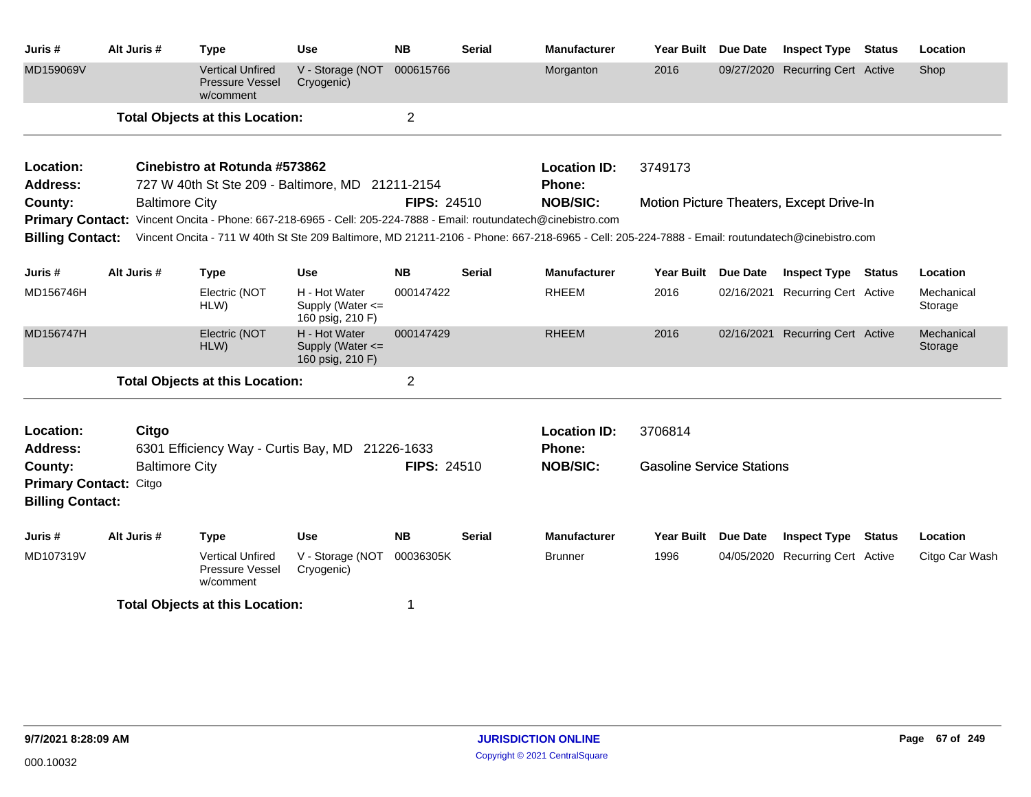| Juris #                       | Alt Juris #           | <b>Type</b>                                                                                                     | <b>Use</b>                                            | <b>NB</b>          | <b>Serial</b> | <b>Manufacturer</b>                                                                                                                             | <b>Year Built</b>                | <b>Due Date</b> | <b>Inspect Type</b>                      | <b>Status</b> | Location              |
|-------------------------------|-----------------------|-----------------------------------------------------------------------------------------------------------------|-------------------------------------------------------|--------------------|---------------|-------------------------------------------------------------------------------------------------------------------------------------------------|----------------------------------|-----------------|------------------------------------------|---------------|-----------------------|
| MD159069V                     |                       | <b>Vertical Unfired</b><br><b>Pressure Vessel</b><br>w/comment                                                  | V - Storage (NOT<br>Cryogenic)                        | 000615766          |               | Morganton                                                                                                                                       | 2016                             |                 | 09/27/2020 Recurring Cert Active         |               | Shop                  |
|                               |                       | <b>Total Objects at this Location:</b>                                                                          |                                                       | $\overline{2}$     |               |                                                                                                                                                 |                                  |                 |                                          |               |                       |
| Location:                     |                       | Cinebistro at Rotunda #573862                                                                                   |                                                       |                    |               | <b>Location ID:</b>                                                                                                                             | 3749173                          |                 |                                          |               |                       |
| Address:                      |                       | 727 W 40th St Ste 209 - Baltimore, MD                                                                           |                                                       | 21211-2154         |               | Phone:                                                                                                                                          |                                  |                 |                                          |               |                       |
| County:                       | <b>Baltimore City</b> |                                                                                                                 |                                                       | FIPS: 24510        |               | <b>NOB/SIC:</b>                                                                                                                                 |                                  |                 | Motion Picture Theaters, Except Drive-In |               |                       |
|                               |                       | Primary Contact: Vincent Oncita - Phone: 667-218-6965 - Cell: 205-224-7888 - Email: routundatech@cinebistro.com |                                                       |                    |               |                                                                                                                                                 |                                  |                 |                                          |               |                       |
| <b>Billing Contact:</b>       |                       |                                                                                                                 |                                                       |                    |               | Vincent Oncita - 711 W 40th St Ste 209 Baltimore, MD 21211-2106 - Phone: 667-218-6965 - Cell: 205-224-7888 - Email: routundatech@cinebistro.com |                                  |                 |                                          |               |                       |
| Juris #                       | Alt Juris #           | <b>Type</b>                                                                                                     | Use                                                   | <b>NB</b>          | <b>Serial</b> | <b>Manufacturer</b>                                                                                                                             | <b>Year Built</b>                | <b>Due Date</b> | <b>Inspect Type Status</b>               |               | Location              |
| MD156746H                     |                       | Electric (NOT<br>HLW)                                                                                           | H - Hot Water<br>Supply (Water <=<br>160 psig, 210 F) | 000147422          |               | <b>RHEEM</b>                                                                                                                                    | 2016                             | 02/16/2021      | Recurring Cert Active                    |               | Mechanical<br>Storage |
| MD156747H                     |                       | Electric (NOT<br>HLW)                                                                                           | H - Hot Water<br>Supply (Water <=<br>160 psig, 210 F) | 000147429          |               | <b>RHEEM</b>                                                                                                                                    | 2016                             |                 | 02/16/2021 Recurring Cert Active         |               | Mechanical<br>Storage |
|                               |                       | <b>Total Objects at this Location:</b>                                                                          |                                                       | $\overline{2}$     |               |                                                                                                                                                 |                                  |                 |                                          |               |                       |
| Location:                     | Citgo                 |                                                                                                                 |                                                       |                    |               | <b>Location ID:</b>                                                                                                                             | 3706814                          |                 |                                          |               |                       |
| Address:                      |                       | 6301 Efficiency Way - Curtis Bay, MD 21226-1633                                                                 |                                                       |                    |               | <b>Phone:</b>                                                                                                                                   |                                  |                 |                                          |               |                       |
| County:                       | <b>Baltimore City</b> |                                                                                                                 |                                                       | <b>FIPS: 24510</b> |               | <b>NOB/SIC:</b>                                                                                                                                 | <b>Gasoline Service Stations</b> |                 |                                          |               |                       |
| <b>Primary Contact: Citgo</b> |                       |                                                                                                                 |                                                       |                    |               |                                                                                                                                                 |                                  |                 |                                          |               |                       |
| <b>Billing Contact:</b>       |                       |                                                                                                                 |                                                       |                    |               |                                                                                                                                                 |                                  |                 |                                          |               |                       |
| Juris #                       | Alt Juris #           | <b>Type</b>                                                                                                     | <b>Use</b>                                            | <b>NB</b>          | <b>Serial</b> | <b>Manufacturer</b>                                                                                                                             | <b>Year Built</b>                | <b>Due Date</b> | <b>Inspect Type</b>                      | <b>Status</b> | Location              |
| MD107319V                     |                       | <b>Vertical Unfired</b><br>Pressure Vessel<br>w/comment                                                         | V - Storage (NOT<br>Cryogenic)                        | 00036305K          |               | <b>Brunner</b>                                                                                                                                  | 1996                             |                 | 04/05/2020 Recurring Cert Active         |               | Citgo Car Wash        |
|                               |                       | <b>Total Objects at this Location:</b>                                                                          |                                                       | 1                  |               |                                                                                                                                                 |                                  |                 |                                          |               |                       |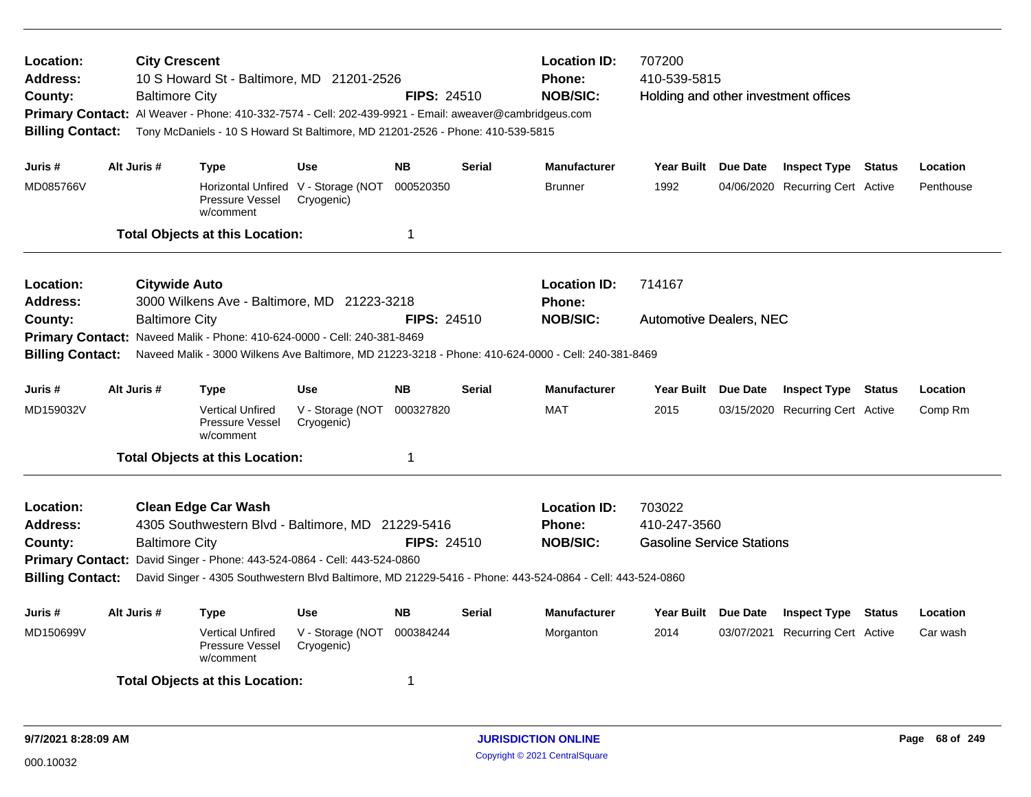| Location:<br>Address:<br>County:<br><b>Billing Contact:</b>                                                                                                                                                                                                                                                                                                                            |             | <b>City Crescent</b><br><b>Baltimore City</b> | 10 S Howard St - Baltimore, MD 21201-2526<br>Primary Contact: Al Weaver - Phone: 410-332-7574 - Cell: 202-439-9921 - Email: aweaver@cambridgeus.com<br>Tony McDaniels - 10 S Howard St Baltimore, MD 21201-2526 - Phone: 410-539-5815 |                                                   | <b>FIPS: 24510</b> |               | <b>Location ID:</b><br>Phone:<br><b>NOB/SIC:</b>                                                                       | 707200<br>410-539-5815<br>Holding and other investment offices |  |                                  |  |           |  |
|----------------------------------------------------------------------------------------------------------------------------------------------------------------------------------------------------------------------------------------------------------------------------------------------------------------------------------------------------------------------------------------|-------------|-----------------------------------------------|---------------------------------------------------------------------------------------------------------------------------------------------------------------------------------------------------------------------------------------|---------------------------------------------------|--------------------|---------------|------------------------------------------------------------------------------------------------------------------------|----------------------------------------------------------------|--|----------------------------------|--|-----------|--|
| Juris #                                                                                                                                                                                                                                                                                                                                                                                | Alt Juris # |                                               | <b>Type</b>                                                                                                                                                                                                                           | <b>Use</b>                                        | <b>NB</b>          | <b>Serial</b> | <b>Manufacturer</b>                                                                                                    | Year Built Due Date                                            |  | <b>Inspect Type Status</b>       |  | Location  |  |
| MD085766V                                                                                                                                                                                                                                                                                                                                                                              |             |                                               | Pressure Vessel<br>w/comment                                                                                                                                                                                                          | Horizontal Unfired V - Storage (NOT<br>Cryogenic) | 000520350          |               | <b>Brunner</b>                                                                                                         | 1992                                                           |  | 04/06/2020 Recurring Cert Active |  | Penthouse |  |
|                                                                                                                                                                                                                                                                                                                                                                                        |             |                                               | <b>Total Objects at this Location:</b>                                                                                                                                                                                                |                                                   | 1                  |               |                                                                                                                        |                                                                |  |                                  |  |           |  |
| Location:<br><b>Address:</b>                                                                                                                                                                                                                                                                                                                                                           |             | <b>Citywide Auto</b>                          | 3000 Wilkens Ave - Baltimore, MD 21223-3218                                                                                                                                                                                           |                                                   |                    |               | <b>Location ID:</b><br>Phone:                                                                                          | 714167                                                         |  |                                  |  |           |  |
| County:<br><b>Primary Contact:</b><br><b>Billing Contact:</b>                                                                                                                                                                                                                                                                                                                          |             | <b>Baltimore City</b>                         | Naveed Malik - Phone: 410-624-0000 - Cell: 240-381-8469                                                                                                                                                                               |                                                   | <b>FIPS: 24510</b> |               | <b>NOB/SIC:</b><br>Naveed Malik - 3000 Wilkens Ave Baltimore, MD 21223-3218 - Phone: 410-624-0000 - Cell: 240-381-8469 | <b>Automotive Dealers, NEC</b>                                 |  |                                  |  |           |  |
| Juris #                                                                                                                                                                                                                                                                                                                                                                                | Alt Juris # |                                               | <b>Type</b>                                                                                                                                                                                                                           | <b>Use</b>                                        | <b>NB</b>          | <b>Serial</b> | <b>Manufacturer</b>                                                                                                    | Year Built Due Date                                            |  | <b>Inspect Type Status</b>       |  | Location  |  |
| MD159032V                                                                                                                                                                                                                                                                                                                                                                              |             |                                               | <b>Vertical Unfired</b><br>Pressure Vessel<br>w/comment                                                                                                                                                                               | V - Storage (NOT<br>Cryogenic)                    | 000327820          |               | <b>MAT</b>                                                                                                             | 2015                                                           |  | 03/15/2020 Recurring Cert Active |  | Comp Rm   |  |
|                                                                                                                                                                                                                                                                                                                                                                                        |             |                                               | <b>Total Objects at this Location:</b>                                                                                                                                                                                                |                                                   | 1                  |               |                                                                                                                        |                                                                |  |                                  |  |           |  |
| Location:<br><b>Clean Edge Car Wash</b><br>4305 Southwestern Blvd - Baltimore, MD 21229-5416<br>Address:<br><b>FIPS: 24510</b><br><b>Baltimore City</b><br>County:<br>Primary Contact: David Singer - Phone: 443-524-0864 - Cell: 443-524-0860<br><b>Billing Contact:</b><br>David Singer - 4305 Southwestern Blvd Baltimore, MD 21229-5416 - Phone: 443-524-0864 - Cell: 443-524-0860 |             |                                               |                                                                                                                                                                                                                                       |                                                   |                    |               | <b>Location ID:</b><br>Phone:<br><b>NOB/SIC:</b>                                                                       | 703022<br>410-247-3560<br><b>Gasoline Service Stations</b>     |  |                                  |  |           |  |
| Juris #                                                                                                                                                                                                                                                                                                                                                                                | Alt Juris # |                                               | <b>Type</b>                                                                                                                                                                                                                           | <b>Use</b>                                        | <b>NB</b>          | <b>Serial</b> | <b>Manufacturer</b>                                                                                                    | Year Built Due Date                                            |  | <b>Inspect Type Status</b>       |  | Location  |  |
| MD150699V                                                                                                                                                                                                                                                                                                                                                                              |             |                                               | <b>Vertical Unfired</b><br>Pressure Vessel<br>w/comment                                                                                                                                                                               | V - Storage (NOT<br>Cryogenic)                    | 000384244          |               | Morganton                                                                                                              | 2014                                                           |  | 03/07/2021 Recurring Cert Active |  | Car wash  |  |
|                                                                                                                                                                                                                                                                                                                                                                                        |             |                                               | <b>Total Objects at this Location:</b>                                                                                                                                                                                                |                                                   | 1                  |               |                                                                                                                        |                                                                |  |                                  |  |           |  |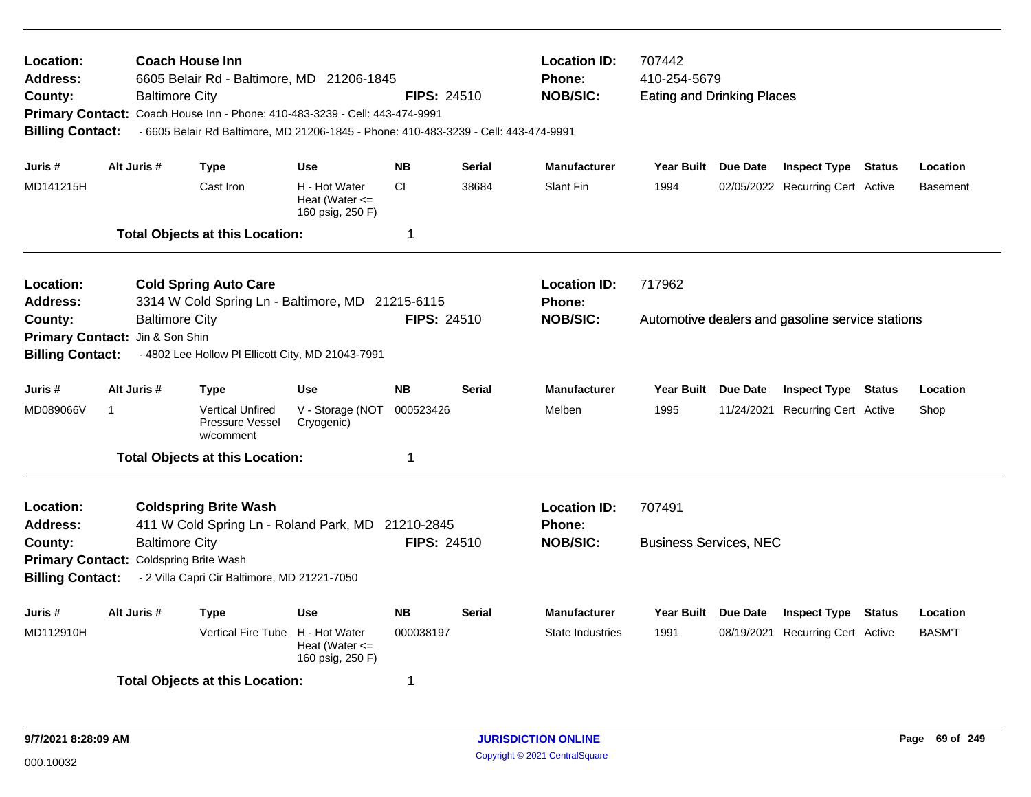| Location:<br><b>Address:</b><br>County:<br><b>Billing Contact:</b> |                                                                                  | <b>Coach House Inn</b><br><b>Baltimore City</b> | 6605 Belair Rd - Baltimore, MD 21206-1845<br>Primary Contact: Coach House Inn - Phone: 410-483-3239 - Cell: 443-474-9991<br>- 6605 Belair Rd Baltimore, MD 21206-1845 - Phone: 410-483-3239 - Cell: 443-474-9991 |                                                         | <b>FIPS: 24510</b>     |               | <b>Location ID:</b><br>Phone:<br><b>NOB/SIC:</b> | 707442<br>410-254-5679<br><b>Eating and Drinking Places</b> |          |                                                         |        |                           |  |
|--------------------------------------------------------------------|----------------------------------------------------------------------------------|-------------------------------------------------|------------------------------------------------------------------------------------------------------------------------------------------------------------------------------------------------------------------|---------------------------------------------------------|------------------------|---------------|--------------------------------------------------|-------------------------------------------------------------|----------|---------------------------------------------------------|--------|---------------------------|--|
| Juris #                                                            |                                                                                  | Alt Juris #                                     | <b>Type</b>                                                                                                                                                                                                      | <b>Use</b>                                              | <b>NB</b>              | <b>Serial</b> | <b>Manufacturer</b>                              | Year Built Due Date                                         |          | <b>Inspect Type Status</b>                              |        | Location                  |  |
| MD141215H                                                          |                                                                                  |                                                 | Cast Iron                                                                                                                                                                                                        | H - Hot Water<br>Heat (Water $\leq$<br>160 psig, 250 F) | CI                     | 38684         | Slant Fin                                        | 1994                                                        |          | 02/05/2022 Recurring Cert Active                        |        | <b>Basement</b>           |  |
|                                                                    |                                                                                  |                                                 | <b>Total Objects at this Location:</b>                                                                                                                                                                           |                                                         | 1                      |               |                                                  |                                                             |          |                                                         |        |                           |  |
| Location:<br><b>Address:</b>                                       | <b>Cold Spring Auto Care</b><br>3314 W Cold Spring Ln - Baltimore, MD 21215-6115 |                                                 |                                                                                                                                                                                                                  |                                                         |                        |               | <b>Location ID:</b><br>Phone:                    | 717962                                                      |          |                                                         |        |                           |  |
| County:<br><b>Primary Contact:</b><br><b>Billing Contact:</b>      |                                                                                  | <b>Baltimore City</b><br>Jin & Son Shin         | - 4802 Lee Hollow PI Ellicott City, MD 21043-7991                                                                                                                                                                |                                                         | <b>FIPS: 24510</b>     |               | <b>NOB/SIC:</b>                                  |                                                             |          | Automotive dealers and gasoline service stations        |        |                           |  |
| Juris #                                                            |                                                                                  | Alt Juris #                                     | <b>Type</b>                                                                                                                                                                                                      | <b>Use</b>                                              | <b>NB</b>              | Serial        | <b>Manufacturer</b>                              | Year Built Due Date                                         |          | <b>Inspect Type Status</b>                              |        | Location                  |  |
| MD089066V                                                          | $\mathbf{1}$                                                                     |                                                 | <b>Vertical Unfired</b><br>Pressure Vessel<br>w/comment                                                                                                                                                          | V - Storage (NOT<br>Cryogenic)                          | 000523426              |               | Melben                                           | 1995                                                        |          | 11/24/2021 Recurring Cert Active                        |        | Shop                      |  |
|                                                                    |                                                                                  |                                                 | <b>Total Objects at this Location:</b>                                                                                                                                                                           |                                                         | 1                      |               |                                                  |                                                             |          |                                                         |        |                           |  |
| Location:<br><b>Address:</b>                                       |                                                                                  |                                                 | <b>Coldspring Brite Wash</b><br>411 W Cold Spring Ln - Roland Park, MD 21210-2845                                                                                                                                |                                                         |                        |               | <b>Location ID:</b><br><b>Phone:</b>             | 707491                                                      |          |                                                         |        |                           |  |
| County:                                                            |                                                                                  | <b>Baltimore City</b>                           |                                                                                                                                                                                                                  |                                                         | <b>FIPS: 24510</b>     |               | <b>NOB/SIC:</b>                                  | <b>Business Services, NEC</b>                               |          |                                                         |        |                           |  |
| Primary Contact: Coldspring Brite Wash<br><b>Billing Contact:</b>  |                                                                                  |                                                 | - 2 Villa Capri Cir Baltimore, MD 21221-7050                                                                                                                                                                     |                                                         |                        |               |                                                  |                                                             |          |                                                         |        |                           |  |
|                                                                    |                                                                                  |                                                 |                                                                                                                                                                                                                  |                                                         |                        |               |                                                  |                                                             |          |                                                         |        |                           |  |
| Juris #<br>MD112910H                                               |                                                                                  | Alt Juris #                                     | <b>Type</b><br>Vertical Fire Tube H - Hot Water                                                                                                                                                                  | <b>Use</b><br>Heat (Water $\leq$<br>160 psig, 250 F)    | <b>NB</b><br>000038197 | <b>Serial</b> | <b>Manufacturer</b><br><b>State Industries</b>   | <b>Year Built</b><br>1991                                   | Due Date | <b>Inspect Type</b><br>08/19/2021 Recurring Cert Active | Status | Location<br><b>BASM'T</b> |  |
|                                                                    |                                                                                  |                                                 | <b>Total Objects at this Location:</b>                                                                                                                                                                           |                                                         | 1                      |               |                                                  |                                                             |          |                                                         |        |                           |  |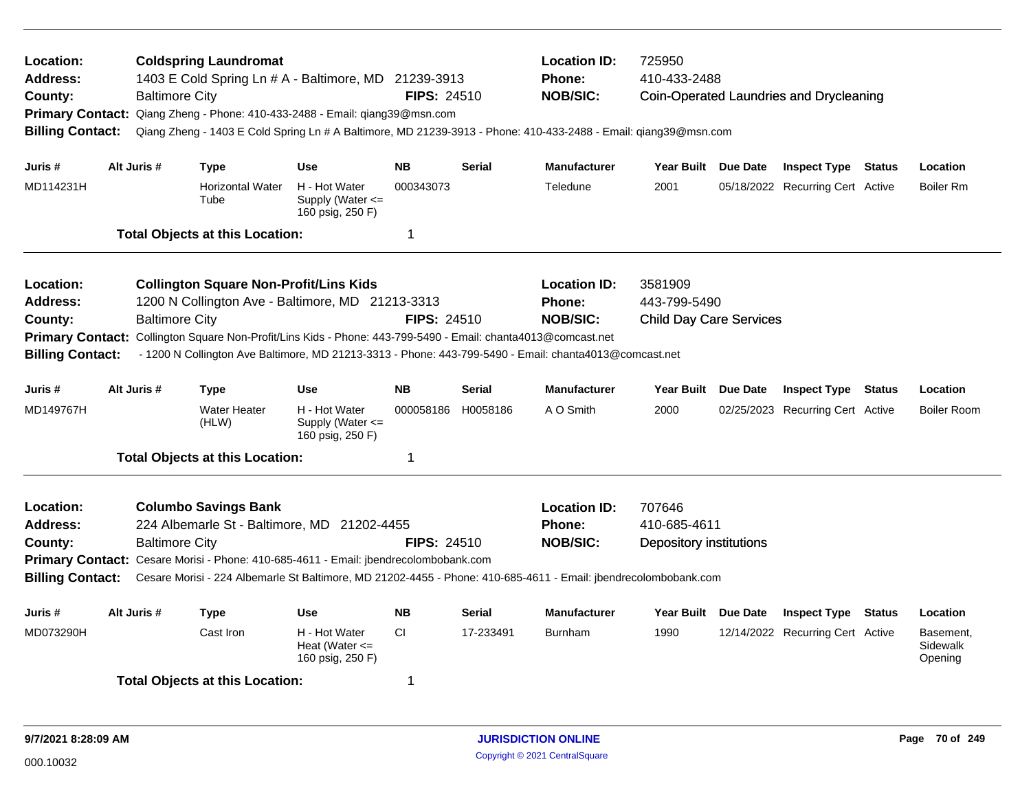| Location:<br>Address:<br>County:<br><b>Billing Contact:</b>        | <b>Baltimore City</b> | <b>Coldspring Laundromat</b><br>1403 E Cold Spring Ln # A - Baltimore, MD 21239-3913<br>Primary Contact: Qiang Zheng - Phone: 410-433-2488 - Email: qiang39@msn.com                                                |                                                           | <b>FIPS: 24510</b> |               | <b>Location ID:</b><br>Phone:<br><b>NOB/SIC:</b>                                                                                                                           | 725950<br>410-433-2488<br>Coin-Operated Laundries and Drycleaning<br>Qiang Zheng - 1403 E Cold Spring Ln # A Baltimore, MD 21239-3913 - Phone: 410-433-2488 - Email: qiang39@msn.com |  |                                  |               |                                  |  |
|--------------------------------------------------------------------|-----------------------|--------------------------------------------------------------------------------------------------------------------------------------------------------------------------------------------------------------------|-----------------------------------------------------------|--------------------|---------------|----------------------------------------------------------------------------------------------------------------------------------------------------------------------------|--------------------------------------------------------------------------------------------------------------------------------------------------------------------------------------|--|----------------------------------|---------------|----------------------------------|--|
| Juris #                                                            | Alt Juris #           | <b>Type</b>                                                                                                                                                                                                        | <b>Use</b>                                                | <b>NB</b>          | <b>Serial</b> | <b>Manufacturer</b>                                                                                                                                                        | Year Built Due Date                                                                                                                                                                  |  | <b>Inspect Type Status</b>       |               | Location                         |  |
| MD114231H                                                          |                       | <b>Horizontal Water</b><br>Tube                                                                                                                                                                                    | H - Hot Water<br>Supply (Water <=<br>160 psig, 250 F)     | 000343073          |               | Teledune                                                                                                                                                                   | 2001                                                                                                                                                                                 |  | 05/18/2022 Recurring Cert Active |               | <b>Boiler Rm</b>                 |  |
|                                                                    |                       | <b>Total Objects at this Location:</b>                                                                                                                                                                             |                                                           | 1                  |               |                                                                                                                                                                            |                                                                                                                                                                                      |  |                                  |               |                                  |  |
| Location:<br><b>Address:</b><br>County:<br><b>Billing Contact:</b> | <b>Baltimore City</b> | <b>Collington Square Non-Profit/Lins Kids</b><br>1200 N Collington Ave - Baltimore, MD 21213-3313<br>Primary Contact: Collington Square Non-Profit/Lins Kids - Phone: 443-799-5490 - Email: chanta4013@comcast.net |                                                           | <b>FIPS: 24510</b> |               | <b>Location ID:</b><br><b>Phone:</b><br><b>NOB/SIC:</b><br>- 1200 N Collington Ave Baltimore, MD 21213-3313 - Phone: 443-799-5490 - Email: chanta4013@comcast.net          | 3581909<br>443-799-5490<br><b>Child Day Care Services</b>                                                                                                                            |  |                                  |               |                                  |  |
| Juris #                                                            | Alt Juris #           | <b>Type</b>                                                                                                                                                                                                        | <b>Use</b>                                                | <b>NB</b>          | <b>Serial</b> | <b>Manufacturer</b>                                                                                                                                                        | Year Built Due Date                                                                                                                                                                  |  | <b>Inspect Type</b>              | <b>Status</b> | Location                         |  |
| MD149767H                                                          |                       | <b>Water Heater</b><br>(HLW)                                                                                                                                                                                       | H - Hot Water<br>Supply (Water $\leq$<br>160 psig, 250 F) | 000058186          | H0058186      | A O Smith                                                                                                                                                                  | 2000                                                                                                                                                                                 |  | 02/25/2023 Recurring Cert Active |               | <b>Boiler Room</b>               |  |
|                                                                    |                       | <b>Total Objects at this Location:</b>                                                                                                                                                                             |                                                           | 1                  |               |                                                                                                                                                                            |                                                                                                                                                                                      |  |                                  |               |                                  |  |
| Location:<br><b>Address:</b><br>County:<br><b>Billing Contact:</b> | <b>Baltimore City</b> | <b>Columbo Savings Bank</b><br>224 Albemarle St - Baltimore, MD 21202-4455<br>Primary Contact: Cesare Morisi - Phone: 410-685-4611 - Email: jbendrecolombobank.com                                                 |                                                           | <b>FIPS: 24510</b> |               | <b>Location ID:</b><br><b>Phone:</b><br><b>NOB/SIC:</b><br>Cesare Morisi - 224 Albemarle St Baltimore, MD 21202-4455 - Phone: 410-685-4611 - Email: jbendrecolombobank.com | 707646<br>410-685-4611<br><b>Depository institutions</b>                                                                                                                             |  |                                  |               |                                  |  |
| Juris #                                                            | Alt Juris #           | <b>Type</b>                                                                                                                                                                                                        | <b>Use</b>                                                | <b>NB</b>          | <b>Serial</b> | <b>Manufacturer</b>                                                                                                                                                        | Year Built Due Date                                                                                                                                                                  |  | <b>Inspect Type</b>              | <b>Status</b> | Location                         |  |
| MD073290H                                                          |                       | Cast Iron                                                                                                                                                                                                          | H - Hot Water<br>Heat (Water $\leq$<br>160 psig, 250 F)   | <b>CI</b>          | 17-233491     | <b>Burnham</b>                                                                                                                                                             | 1990                                                                                                                                                                                 |  | 12/14/2022 Recurring Cert Active |               | Basement,<br>Sidewalk<br>Opening |  |
|                                                                    |                       | <b>Total Objects at this Location:</b>                                                                                                                                                                             |                                                           | 1                  |               |                                                                                                                                                                            |                                                                                                                                                                                      |  |                                  |               |                                  |  |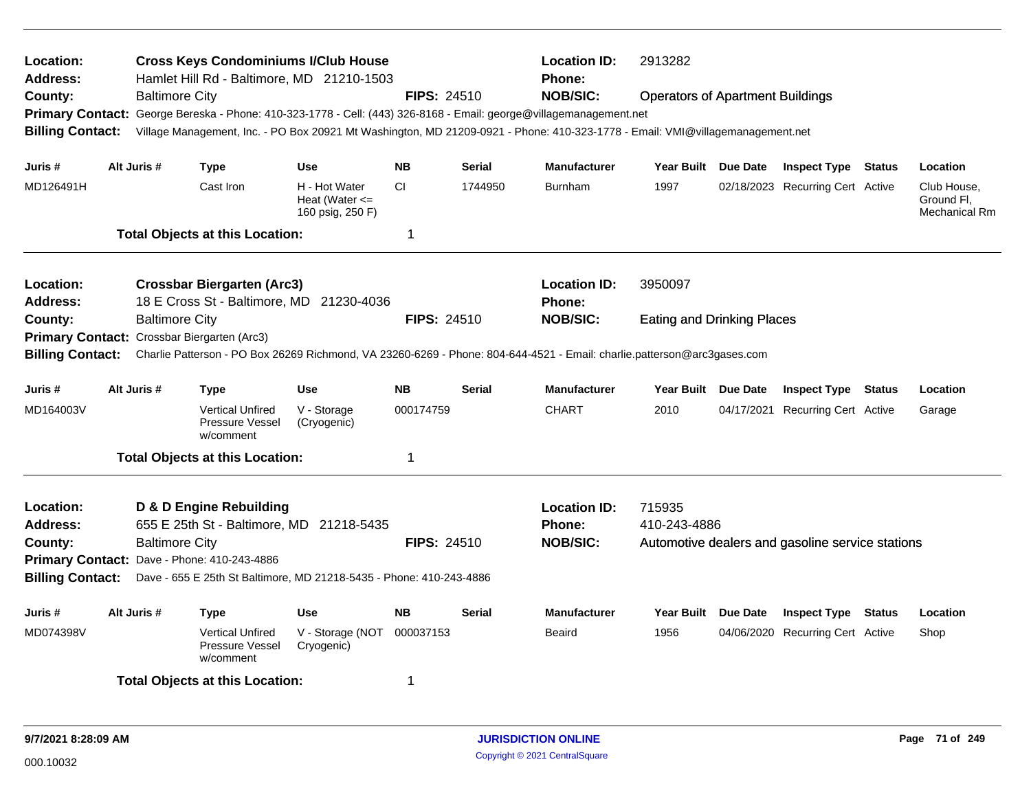| Location:<br><b>Address:</b> |                                                                               |                       | <b>Cross Keys Condominiums I/Club House</b><br>Hamlet Hill Rd - Baltimore, MD 21210-1503 |                                                         |                    |               | <b>Location ID:</b><br><b>Phone:</b>                                                                                          | 2913282                                 |                                                  |                                  |        |                                            |  |
|------------------------------|-------------------------------------------------------------------------------|-----------------------|------------------------------------------------------------------------------------------|---------------------------------------------------------|--------------------|---------------|-------------------------------------------------------------------------------------------------------------------------------|-----------------------------------------|--------------------------------------------------|----------------------------------|--------|--------------------------------------------|--|
| County:                      |                                                                               | <b>Baltimore City</b> |                                                                                          |                                                         | <b>FIPS: 24510</b> |               | <b>NOB/SIC:</b>                                                                                                               | <b>Operators of Apartment Buildings</b> |                                                  |                                  |        |                                            |  |
|                              |                                                                               |                       |                                                                                          |                                                         |                    |               | Primary Contact: George Bereska - Phone: 410-323-1778 - Cell: (443) 326-8168 - Email: george@villagemanagement.net            |                                         |                                                  |                                  |        |                                            |  |
| <b>Billing Contact:</b>      |                                                                               |                       |                                                                                          |                                                         |                    |               | Village Management, Inc. - PO Box 20921 Mt Washington, MD 21209-0921 - Phone: 410-323-1778 - Email: VMI@villagemanagement.net |                                         |                                                  |                                  |        |                                            |  |
| Juris #                      |                                                                               | Alt Juris #           | <b>Type</b>                                                                              | <b>Use</b>                                              | <b>NB</b>          | <b>Serial</b> | <b>Manufacturer</b>                                                                                                           | Year Built Due Date                     |                                                  | <b>Inspect Type Status</b>       |        | Location                                   |  |
| MD126491H                    |                                                                               |                       | Cast Iron                                                                                | H - Hot Water<br>Heat (Water $\leq$<br>160 psig, 250 F) | CI.                | 1744950       | <b>Burnham</b>                                                                                                                | 1997                                    |                                                  | 02/18/2023 Recurring Cert Active |        | Club House,<br>Ground FI,<br>Mechanical Rm |  |
|                              |                                                                               |                       | <b>Total Objects at this Location:</b>                                                   |                                                         | 1                  |               |                                                                                                                               |                                         |                                                  |                                  |        |                                            |  |
| Location:<br><b>Address:</b> | <b>Crossbar Biergarten (Arc3)</b><br>18 E Cross St - Baltimore, MD 21230-4036 |                       |                                                                                          |                                                         |                    |               | <b>Location ID:</b><br>Phone:                                                                                                 | 3950097                                 |                                                  |                                  |        |                                            |  |
| County:                      |                                                                               | <b>Baltimore City</b> |                                                                                          |                                                         | <b>FIPS: 24510</b> |               | <b>NOB/SIC:</b>                                                                                                               | <b>Eating and Drinking Places</b>       |                                                  |                                  |        |                                            |  |
|                              |                                                                               |                       | Primary Contact: Crossbar Biergarten (Arc3)                                              |                                                         |                    |               |                                                                                                                               |                                         |                                                  |                                  |        |                                            |  |
| <b>Billing Contact:</b>      |                                                                               |                       |                                                                                          |                                                         |                    |               | Charlie Patterson - PO Box 26269 Richmond, VA 23260-6269 - Phone: 804-644-4521 - Email: charlie.patterson@arc3gases.com       |                                         |                                                  |                                  |        |                                            |  |
| Juris #                      |                                                                               | Alt Juris #           | <b>Type</b>                                                                              | <b>Use</b>                                              | <b>NB</b>          | <b>Serial</b> | <b>Manufacturer</b>                                                                                                           | Year Built Due Date                     |                                                  | <b>Inspect Type Status</b>       |        | Location                                   |  |
| MD164003V                    |                                                                               |                       | <b>Vertical Unfired</b><br>Pressure Vessel<br>w/comment                                  | V - Storage<br>(Cryogenic)                              | 000174759          |               | <b>CHART</b>                                                                                                                  | 2010                                    | 04/17/2021                                       | <b>Recurring Cert Active</b>     |        | Garage                                     |  |
|                              |                                                                               |                       | <b>Total Objects at this Location:</b>                                                   |                                                         | 1                  |               |                                                                                                                               |                                         |                                                  |                                  |        |                                            |  |
| <b>Location:</b>             |                                                                               |                       | D & D Engine Rebuilding                                                                  |                                                         |                    |               | <b>Location ID:</b>                                                                                                           | 715935                                  |                                                  |                                  |        |                                            |  |
| <b>Address:</b>              |                                                                               |                       | 655 E 25th St - Baltimore, MD 21218-5435                                                 |                                                         |                    |               | <b>Phone:</b>                                                                                                                 | 410-243-4886                            |                                                  |                                  |        |                                            |  |
| County:                      |                                                                               | <b>Baltimore City</b> |                                                                                          |                                                         | <b>FIPS: 24510</b> |               | <b>NOB/SIC:</b>                                                                                                               |                                         | Automotive dealers and gasoline service stations |                                  |        |                                            |  |
|                              |                                                                               |                       | Primary Contact: Dave - Phone: 410-243-4886                                              |                                                         |                    |               |                                                                                                                               |                                         |                                                  |                                  |        |                                            |  |
| <b>Billing Contact:</b>      |                                                                               |                       | Dave - 655 E 25th St Baltimore, MD 21218-5435 - Phone: 410-243-4886                      |                                                         |                    |               |                                                                                                                               |                                         |                                                  |                                  |        |                                            |  |
| Juris #                      |                                                                               | Alt Juris #           | <b>Type</b>                                                                              | <b>Use</b>                                              | <b>NB</b>          | <b>Serial</b> | <b>Manufacturer</b>                                                                                                           | Year Built Due Date                     |                                                  | <b>Inspect Type</b>              | Status | Location                                   |  |
| MD074398V                    |                                                                               |                       | <b>Vertical Unfired</b><br>Pressure Vessel<br>w/comment                                  | V - Storage (NOT<br>Cryogenic)                          | 000037153          |               | Beaird                                                                                                                        | 1956                                    |                                                  | 04/06/2020 Recurring Cert Active |        | Shop                                       |  |
|                              |                                                                               |                       | <b>Total Objects at this Location:</b>                                                   |                                                         | 1                  |               |                                                                                                                               |                                         |                                                  |                                  |        |                                            |  |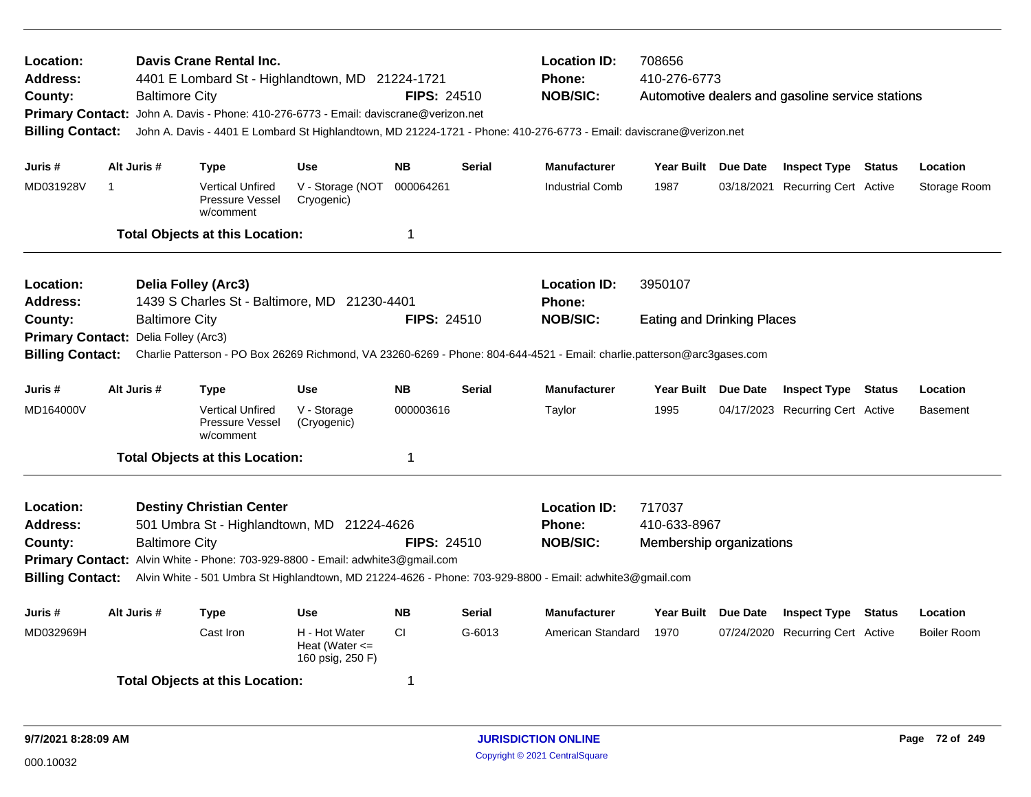| <b>Davis Crane Rental Inc.</b><br>Location:<br>4401 E Lombard St - Highlandtown, MD 21224-1721<br>Address:<br><b>FIPS: 24510</b><br><b>Baltimore City</b><br>County:<br>Primary Contact: John A. Davis - Phone: 410-276-6773 - Email: daviscrane@verizon.net<br><b>Billing Contact:</b><br>John A. Davis - 4401 E Lombard St Highlandtown, MD 21224-1721 - Phone: 410-276-6773 - Email: daviscrane@verizon.net |              |                                              |                                                         |                                                                                                                              |                    |               | <b>Location ID:</b><br><b>Phone:</b><br><b>NOB/SIC:</b>                                                                                                             | 708656<br>410-276-6773<br>Automotive dealers and gasoline service stations |                 |                                  |               |                    |  |
|----------------------------------------------------------------------------------------------------------------------------------------------------------------------------------------------------------------------------------------------------------------------------------------------------------------------------------------------------------------------------------------------------------------|--------------|----------------------------------------------|---------------------------------------------------------|------------------------------------------------------------------------------------------------------------------------------|--------------------|---------------|---------------------------------------------------------------------------------------------------------------------------------------------------------------------|----------------------------------------------------------------------------|-----------------|----------------------------------|---------------|--------------------|--|
| Juris #                                                                                                                                                                                                                                                                                                                                                                                                        | Alt Juris #  |                                              | Type                                                    | <b>Use</b>                                                                                                                   | <b>NB</b>          | <b>Serial</b> | <b>Manufacturer</b>                                                                                                                                                 | Year Built Due Date                                                        |                 | <b>Inspect Type Status</b>       |               | Location           |  |
| MD031928V                                                                                                                                                                                                                                                                                                                                                                                                      | $\mathbf{1}$ |                                              | <b>Vertical Unfired</b><br>Pressure Vessel<br>w/comment | V - Storage (NOT<br>Cryogenic)                                                                                               | 000064261          |               | <b>Industrial Comb</b>                                                                                                                                              | 1987                                                                       |                 | 03/18/2021 Recurring Cert Active |               | Storage Room       |  |
|                                                                                                                                                                                                                                                                                                                                                                                                                |              |                                              | <b>Total Objects at this Location:</b>                  |                                                                                                                              | -1                 |               |                                                                                                                                                                     |                                                                            |                 |                                  |               |                    |  |
| Location:<br><b>Address:</b>                                                                                                                                                                                                                                                                                                                                                                                   |              | <b>Delia Folley (Arc3)</b>                   |                                                         | 1439 S Charles St - Baltimore, MD 21230-4401                                                                                 |                    |               | <b>Location ID:</b><br>Phone:                                                                                                                                       | 3950107                                                                    |                 |                                  |               |                    |  |
| County:<br><b>Primary Contact:</b><br><b>Billing Contact:</b>                                                                                                                                                                                                                                                                                                                                                  |              | <b>Baltimore City</b><br>Delia Folley (Arc3) |                                                         |                                                                                                                              | <b>FIPS: 24510</b> |               | <b>NOB/SIC:</b><br>Charlie Patterson - PO Box 26269 Richmond, VA 23260-6269 - Phone: 804-644-4521 - Email: charlie.patterson@arc3gases.com                          | <b>Eating and Drinking Places</b>                                          |                 |                                  |               |                    |  |
| Juris #                                                                                                                                                                                                                                                                                                                                                                                                        | Alt Juris #  |                                              | <b>Type</b>                                             | <b>Use</b>                                                                                                                   | <b>NB</b>          | <b>Serial</b> | <b>Manufacturer</b>                                                                                                                                                 | Year Built Due Date                                                        |                 | <b>Inspect Type Status</b>       |               | Location           |  |
| MD164000V                                                                                                                                                                                                                                                                                                                                                                                                      |              |                                              | <b>Vertical Unfired</b><br>Pressure Vessel<br>w/comment | V - Storage<br>(Cryogenic)                                                                                                   | 000003616          |               | Taylor                                                                                                                                                              | 1995                                                                       |                 | 04/17/2023 Recurring Cert Active |               | <b>Basement</b>    |  |
|                                                                                                                                                                                                                                                                                                                                                                                                                |              |                                              | <b>Total Objects at this Location:</b>                  |                                                                                                                              | $\overline{1}$     |               |                                                                                                                                                                     |                                                                            |                 |                                  |               |                    |  |
| Location:<br><b>Address:</b><br>County:<br><b>Billing Contact:</b>                                                                                                                                                                                                                                                                                                                                             |              | <b>Baltimore City</b>                        | <b>Destiny Christian Center</b>                         | 501 Umbra St - Highlandtown, MD 21224-4626<br>Primary Contact: Alvin White - Phone: 703-929-8800 - Email: adwhite3@gmail.com | <b>FIPS: 24510</b> |               | <b>Location ID:</b><br><b>Phone:</b><br><b>NOB/SIC:</b><br>Alvin White - 501 Umbra St Highlandtown, MD 21224-4626 - Phone: 703-929-8800 - Email: adwhite3@gmail.com | 717037<br>410-633-8967<br>Membership organizations                         |                 |                                  |               |                    |  |
| Juris #                                                                                                                                                                                                                                                                                                                                                                                                        | Alt Juris #  |                                              | <b>Type</b>                                             | <b>Use</b>                                                                                                                   | <b>NB</b>          | <b>Serial</b> | <b>Manufacturer</b>                                                                                                                                                 | <b>Year Built</b>                                                          | <b>Due Date</b> | <b>Inspect Type</b>              | <b>Status</b> | Location           |  |
| MD032969H                                                                                                                                                                                                                                                                                                                                                                                                      |              |                                              | Cast Iron                                               | H - Hot Water<br>Heat (Water $\leq$<br>160 psig, 250 F)                                                                      | CI.                | G-6013        | American Standard                                                                                                                                                   | 1970                                                                       |                 | 07/24/2020 Recurring Cert Active |               | <b>Boiler Room</b> |  |
|                                                                                                                                                                                                                                                                                                                                                                                                                |              |                                              | <b>Total Objects at this Location:</b>                  |                                                                                                                              | -1                 |               |                                                                                                                                                                     |                                                                            |                 |                                  |               |                    |  |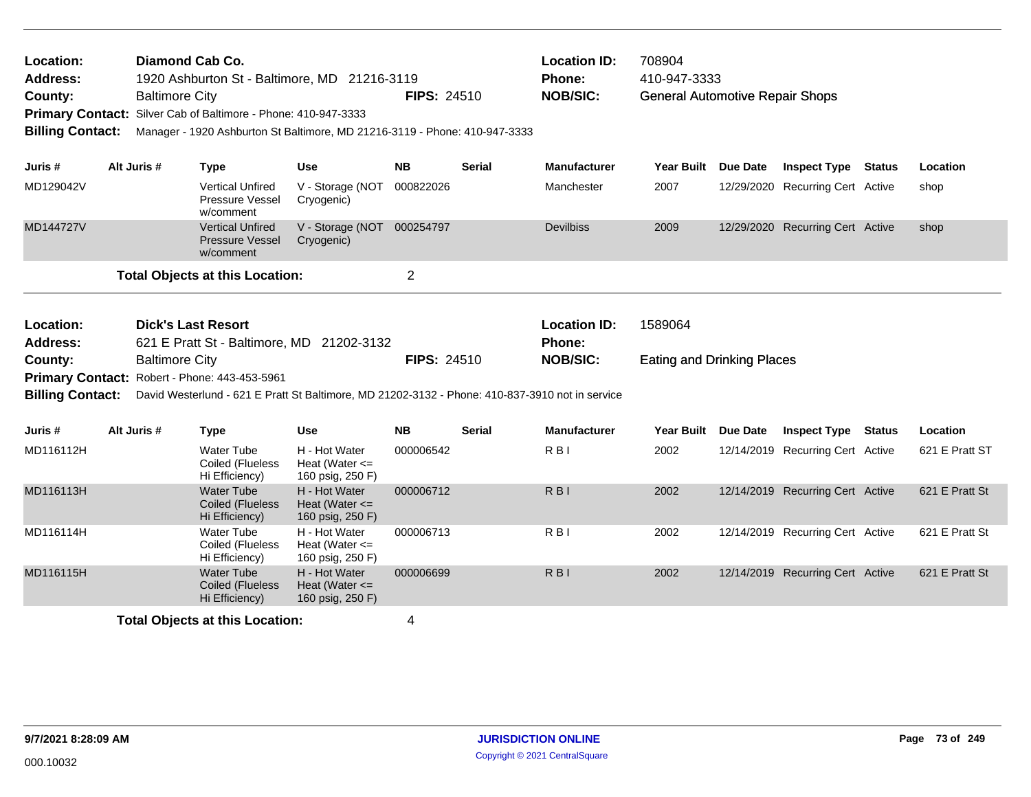| Location:<br><b>Address:</b><br>County:<br><b>Billing Contact:</b>                                                                                                                                                                                                                                                                                                                 |  | Diamond Cab Co.<br><b>Baltimore City</b> | Primary Contact: Silver Cab of Baltimore - Phone: 410-947-3333 | 1920 Ashburton St - Baltimore, MD 21216-3119<br>Manager - 1920 Ashburton St Baltimore, MD 21216-3119 - Phone: 410-947-3333 | <b>FIPS: 24510</b> |                                                  | <b>Location ID:</b><br>Phone:<br><b>NOB/SIC:</b> | 708904<br>410-947-3333<br><b>General Automotive Repair Shops</b> |                                  |                |
|------------------------------------------------------------------------------------------------------------------------------------------------------------------------------------------------------------------------------------------------------------------------------------------------------------------------------------------------------------------------------------|--|------------------------------------------|----------------------------------------------------------------|----------------------------------------------------------------------------------------------------------------------------|--------------------|--------------------------------------------------|--------------------------------------------------|------------------------------------------------------------------|----------------------------------|----------------|
| Juris #                                                                                                                                                                                                                                                                                                                                                                            |  | Alt Juris #                              | <b>Type</b>                                                    | <b>Use</b>                                                                                                                 | <b>NB</b>          | <b>Serial</b>                                    | <b>Manufacturer</b>                              | Year Built Due Date                                              | <b>Inspect Type Status</b>       | Location       |
| MD129042V                                                                                                                                                                                                                                                                                                                                                                          |  |                                          | <b>Vertical Unfired</b><br>Pressure Vessel<br>w/comment        | V - Storage (NOT<br>Cryogenic)                                                                                             | 000822026          |                                                  | Manchester                                       | 2007                                                             | 12/29/2020 Recurring Cert Active | shop           |
| MD144727V                                                                                                                                                                                                                                                                                                                                                                          |  |                                          | <b>Vertical Unfired</b><br><b>Pressure Vessel</b><br>w/comment | V - Storage (NOT 000254797<br>Cryogenic)                                                                                   |                    |                                                  | <b>Devilbiss</b>                                 | 2009                                                             | 12/29/2020 Recurring Cert Active | shop           |
|                                                                                                                                                                                                                                                                                                                                                                                    |  |                                          |                                                                |                                                                                                                            | $\overline{2}$     |                                                  |                                                  |                                                                  |                                  |                |
| <b>Total Objects at this Location:</b><br><b>Dick's Last Resort</b><br>Location:<br>621 E Pratt St - Baltimore, MD 21202-3132<br><b>Address:</b><br><b>Baltimore City</b><br>County:<br>Primary Contact: Robert - Phone: 443-453-5961<br><b>Billing Contact:</b><br>David Westerlund - 621 E Pratt St Baltimore, MD 21202-3132 - Phone: 410-837-3910 not in service<br>Alt Juris # |  |                                          |                                                                | <b>FIPS: 24510</b>                                                                                                         |                    | <b>Location ID:</b><br>Phone:<br><b>NOB/SIC:</b> | 1589064<br><b>Eating and Drinking Places</b>     |                                                                  |                                  |                |
| Juris #                                                                                                                                                                                                                                                                                                                                                                            |  |                                          | <b>Type</b>                                                    | <b>Use</b>                                                                                                                 | <b>NB</b>          | <b>Serial</b>                                    | <b>Manufacturer</b>                              | Year Built Due Date                                              | <b>Inspect Type Status</b>       | Location       |
| MD116112H                                                                                                                                                                                                                                                                                                                                                                          |  |                                          | <b>Water Tube</b><br>Coiled (Flueless<br>Hi Efficiency)        | H - Hot Water<br>Heat (Water $\leq$<br>160 psig, 250 F)                                                                    | 000006542          |                                                  | R <sub>B</sub>                                   | 2002                                                             | 12/14/2019 Recurring Cert Active | 621 E Pratt ST |
| MD116113H                                                                                                                                                                                                                                                                                                                                                                          |  |                                          | <b>Water Tube</b><br>Coiled (Flueless<br>Hi Efficiency)        | H - Hot Water<br>Heat (Water $\leq$<br>160 psig, 250 F)                                                                    | 000006712          |                                                  | R <sub>B</sub>                                   | 2002                                                             | 12/14/2019 Recurring Cert Active | 621 E Pratt St |
| MD116114H                                                                                                                                                                                                                                                                                                                                                                          |  |                                          | <b>Water Tube</b><br>Coiled (Flueless<br>Hi Efficiency)        | H - Hot Water<br>Heat (Water $\leq$<br>160 psig, 250 F)                                                                    | 000006713          |                                                  | R <sub>B</sub>                                   | 2002                                                             | 12/14/2019 Recurring Cert Active | 621 E Pratt St |
| MD116115H                                                                                                                                                                                                                                                                                                                                                                          |  |                                          | <b>Water Tube</b><br><b>Coiled (Flueless</b><br>Hi Efficiency) | H - Hot Water<br>Heat (Water $\leq$<br>160 psig, 250 F)                                                                    | 000006699          |                                                  | R <sub>BI</sub>                                  | 2002                                                             | 12/14/2019 Recurring Cert Active | 621 E Pratt St |
|                                                                                                                                                                                                                                                                                                                                                                                    |  |                                          |                                                                |                                                                                                                            |                    |                                                  |                                                  |                                                                  |                                  |                |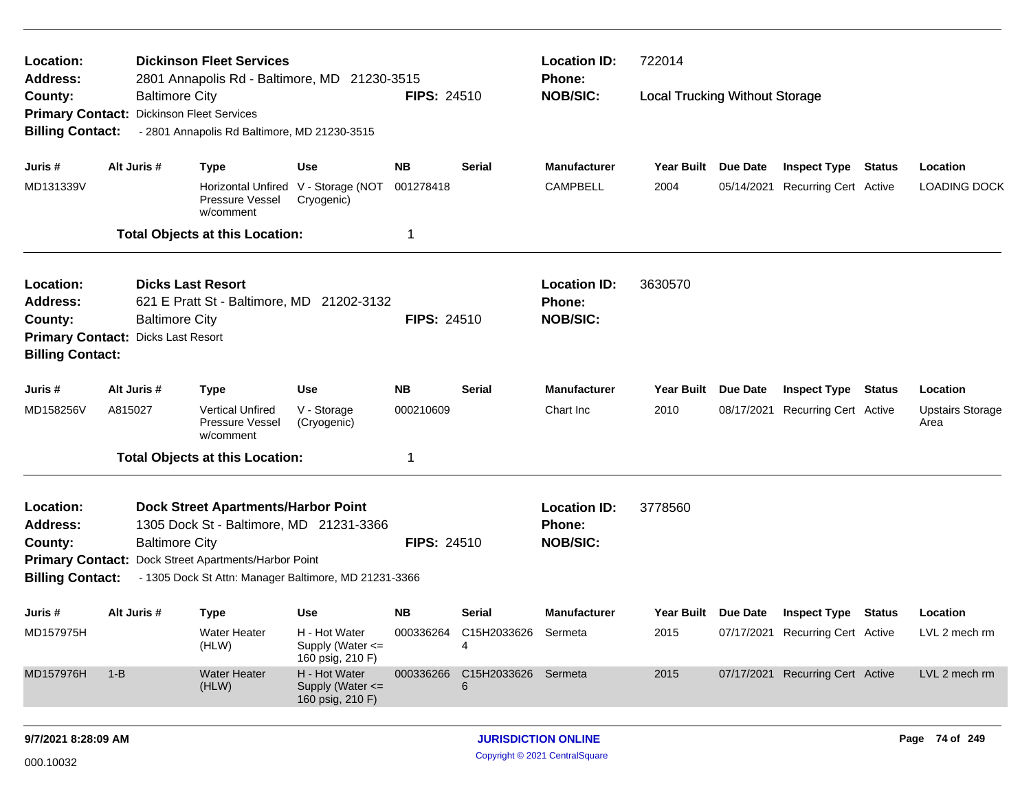| Location:<br>Address:                                         |         |                       | <b>Dickinson Fleet Services</b><br>2801 Annapolis Rd - Baltimore, MD 21230-3515                               |                                                       |                    |                          | <b>Location ID:</b><br>Phone:                    | 722014                                |                 |                                  |                                 |
|---------------------------------------------------------------|---------|-----------------------|---------------------------------------------------------------------------------------------------------------|-------------------------------------------------------|--------------------|--------------------------|--------------------------------------------------|---------------------------------------|-----------------|----------------------------------|---------------------------------|
| County:                                                       |         | <b>Baltimore City</b> |                                                                                                               |                                                       | <b>FIPS: 24510</b> |                          | <b>NOB/SIC:</b>                                  | <b>Local Trucking Without Storage</b> |                 |                                  |                                 |
| Primary Contact: Dickinson Fleet Services                     |         |                       |                                                                                                               |                                                       |                    |                          |                                                  |                                       |                 |                                  |                                 |
| <b>Billing Contact:</b>                                       |         |                       | - 2801 Annapolis Rd Baltimore, MD 21230-3515                                                                  |                                                       |                    |                          |                                                  |                                       |                 |                                  |                                 |
| Juris #                                                       |         | Alt Juris #           | <b>Type</b>                                                                                                   | <b>Use</b>                                            | <b>NB</b>          | <b>Serial</b>            | <b>Manufacturer</b>                              | <b>Year Built</b>                     | Due Date        | <b>Inspect Type Status</b>       | Location                        |
| MD131339V                                                     |         |                       | Pressure Vessel<br>w/comment                                                                                  | Horizontal Unfired V - Storage (NOT<br>Cryogenic)     | 001278418          |                          | <b>CAMPBELL</b>                                  | 2004                                  | 05/14/2021      | <b>Recurring Cert Active</b>     | <b>LOADING DOCK</b>             |
|                                                               |         |                       | <b>Total Objects at this Location:</b>                                                                        |                                                       | $\mathbf 1$        |                          |                                                  |                                       |                 |                                  |                                 |
| <b>Location:</b>                                              |         |                       | <b>Dicks Last Resort</b>                                                                                      |                                                       |                    |                          | <b>Location ID:</b>                              | 3630570                               |                 |                                  |                                 |
| <b>Address:</b>                                               |         |                       | 621 E Pratt St - Baltimore, MD 21202-3132                                                                     |                                                       |                    |                          | Phone:                                           |                                       |                 |                                  |                                 |
| County:                                                       |         | <b>Baltimore City</b> |                                                                                                               |                                                       | <b>FIPS: 24510</b> |                          | <b>NOB/SIC:</b>                                  |                                       |                 |                                  |                                 |
| Primary Contact: Dicks Last Resort<br><b>Billing Contact:</b> |         |                       |                                                                                                               |                                                       |                    |                          |                                                  |                                       |                 |                                  |                                 |
| Juris #                                                       |         | Alt Juris #           | <b>Type</b>                                                                                                   | <b>Use</b>                                            | <b>NB</b>          | <b>Serial</b>            | <b>Manufacturer</b>                              | <b>Year Built</b>                     | Due Date        | <b>Inspect Type Status</b>       | Location                        |
| MD158256V                                                     | A815027 |                       | <b>Vertical Unfired</b><br>Pressure Vessel<br>w/comment                                                       | V - Storage<br>(Cryogenic)                            | 000210609          |                          | Chart Inc                                        | 2010                                  |                 | 08/17/2021 Recurring Cert Active | <b>Upstairs Storage</b><br>Area |
|                                                               |         |                       | <b>Total Objects at this Location:</b>                                                                        |                                                       | 1                  |                          |                                                  |                                       |                 |                                  |                                 |
| Location:<br><b>Address:</b><br>County:                       |         | <b>Baltimore City</b> | <b>Dock Street Apartments/Harbor Point</b><br>1305 Dock St - Baltimore, MD 21231-3366                         |                                                       | <b>FIPS: 24510</b> |                          | <b>Location ID:</b><br>Phone:<br><b>NOB/SIC:</b> | 3778560                               |                 |                                  |                                 |
| <b>Billing Contact:</b>                                       |         |                       | Primary Contact: Dock Street Apartments/Harbor Point<br>- 1305 Dock St Attn: Manager Baltimore, MD 21231-3366 |                                                       |                    |                          |                                                  |                                       |                 |                                  |                                 |
| Juris #                                                       |         | Alt Juris #           | <b>Type</b>                                                                                                   | <b>Use</b>                                            | <b>NB</b>          | <b>Serial</b>            | <b>Manufacturer</b>                              | <b>Year Built</b>                     | <b>Due Date</b> | <b>Inspect Type Status</b>       | Location                        |
| MD157975H                                                     |         |                       | <b>Water Heater</b><br>(HLW)                                                                                  | H - Hot Water<br>Supply (Water <=<br>160 psig, 210 F) | 000336264          | C15H2033626<br>4         | Sermeta                                          | 2015                                  | 07/17/2021      | <b>Recurring Cert Active</b>     | LVL 2 mech rm                   |
| MD157976H                                                     | $1 - B$ |                       | <b>Water Heater</b><br>(HLW)                                                                                  | H - Hot Water<br>Supply (Water <=<br>160 psig, 210 F) | 000336266          | C15H2033626 Sermeta<br>6 |                                                  | 2015                                  |                 | 07/17/2021 Recurring Cert Active | LVL 2 mech rm                   |
|                                                               |         |                       |                                                                                                               |                                                       |                    |                          |                                                  |                                       |                 |                                  |                                 |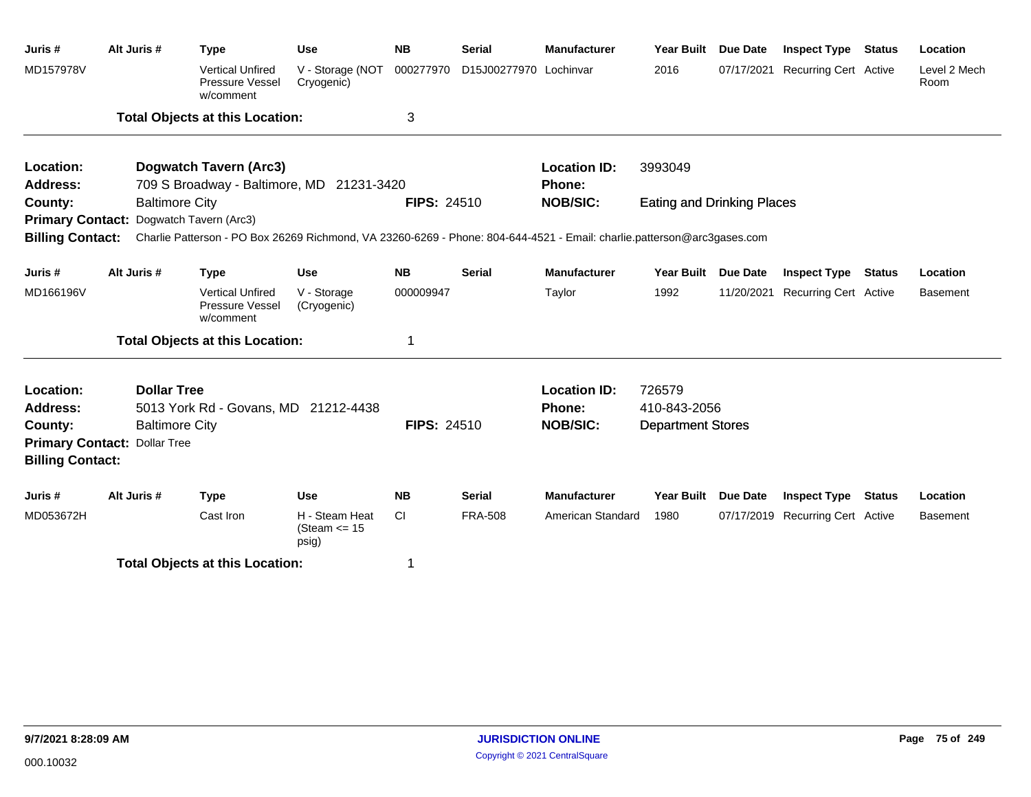| Juris #                 | Alt Juris #                             | <b>Type</b>                                                                                                             | <b>Use</b>                                 | <b>NB</b>          | <b>Serial</b>          | <b>Manufacturer</b> | <b>Year Built</b>                 | Due Date   | <b>Inspect Type</b>              | <b>Status</b> | Location             |
|-------------------------|-----------------------------------------|-------------------------------------------------------------------------------------------------------------------------|--------------------------------------------|--------------------|------------------------|---------------------|-----------------------------------|------------|----------------------------------|---------------|----------------------|
| MD157978V               |                                         | <b>Vertical Unfired</b><br>Pressure Vessel<br>w/comment                                                                 | V - Storage (NOT<br>Cryogenic)             | 000277970          | D15J00277970 Lochinvar |                     | 2016                              |            | 07/17/2021 Recurring Cert Active |               | Level 2 Mech<br>Room |
|                         |                                         | <b>Total Objects at this Location:</b>                                                                                  |                                            | 3                  |                        |                     |                                   |            |                                  |               |                      |
| Location:               |                                         | <b>Dogwatch Tavern (Arc3)</b>                                                                                           |                                            |                    |                        | <b>Location ID:</b> | 3993049                           |            |                                  |               |                      |
| <b>Address:</b>         |                                         | 709 S Broadway - Baltimore, MD 21231-3420                                                                               |                                            |                    |                        | <b>Phone:</b>       |                                   |            |                                  |               |                      |
| County:                 | <b>Baltimore City</b>                   |                                                                                                                         |                                            | <b>FIPS: 24510</b> |                        | <b>NOB/SIC:</b>     | <b>Eating and Drinking Places</b> |            |                                  |               |                      |
|                         | Primary Contact: Dogwatch Tavern (Arc3) |                                                                                                                         |                                            |                    |                        |                     |                                   |            |                                  |               |                      |
| <b>Billing Contact:</b> |                                         | Charlie Patterson - PO Box 26269 Richmond, VA 23260-6269 - Phone: 804-644-4521 - Email: charlie.patterson@arc3gases.com |                                            |                    |                        |                     |                                   |            |                                  |               |                      |
| Juris #                 | Alt Juris #                             | <b>Type</b>                                                                                                             | <b>Use</b>                                 | <b>NB</b>          | <b>Serial</b>          | <b>Manufacturer</b> | Year Built Due Date               |            | <b>Inspect Type</b>              | <b>Status</b> | Location             |
| MD166196V               |                                         | <b>Vertical Unfired</b><br>Pressure Vessel<br>w/comment                                                                 | V - Storage<br>(Cryogenic)                 | 000009947          |                        | Taylor              | 1992                              | 11/20/2021 | <b>Recurring Cert Active</b>     |               | <b>Basement</b>      |
|                         |                                         | <b>Total Objects at this Location:</b>                                                                                  |                                            | 1                  |                        |                     |                                   |            |                                  |               |                      |
| Location:               | <b>Dollar Tree</b>                      |                                                                                                                         |                                            |                    |                        | <b>Location ID:</b> | 726579                            |            |                                  |               |                      |
| <b>Address:</b>         |                                         | 5013 York Rd - Govans, MD 21212-4438                                                                                    |                                            |                    |                        | <b>Phone:</b>       | 410-843-2056                      |            |                                  |               |                      |
| County:                 | <b>Baltimore City</b>                   |                                                                                                                         |                                            | <b>FIPS: 24510</b> |                        | <b>NOB/SIC:</b>     | <b>Department Stores</b>          |            |                                  |               |                      |
|                         | <b>Primary Contact: Dollar Tree</b>     |                                                                                                                         |                                            |                    |                        |                     |                                   |            |                                  |               |                      |
| <b>Billing Contact:</b> |                                         |                                                                                                                         |                                            |                    |                        |                     |                                   |            |                                  |               |                      |
| Juris#                  | Alt Juris #                             | <b>Type</b>                                                                                                             | <b>Use</b>                                 | <b>NB</b>          | <b>Serial</b>          | <b>Manufacturer</b> | Year Built Due Date               |            | <b>Inspect Type</b>              | <b>Status</b> | Location             |
| MD053672H               |                                         | Cast Iron                                                                                                               | H - Steam Heat<br>(Steam $\le$ 15<br>psig) | CI.                | <b>FRA-508</b>         | American Standard   | 1980                              |            | 07/17/2019 Recurring Cert Active |               | <b>Basement</b>      |
|                         |                                         | <b>Total Objects at this Location:</b>                                                                                  |                                            | 1                  |                        |                     |                                   |            |                                  |               |                      |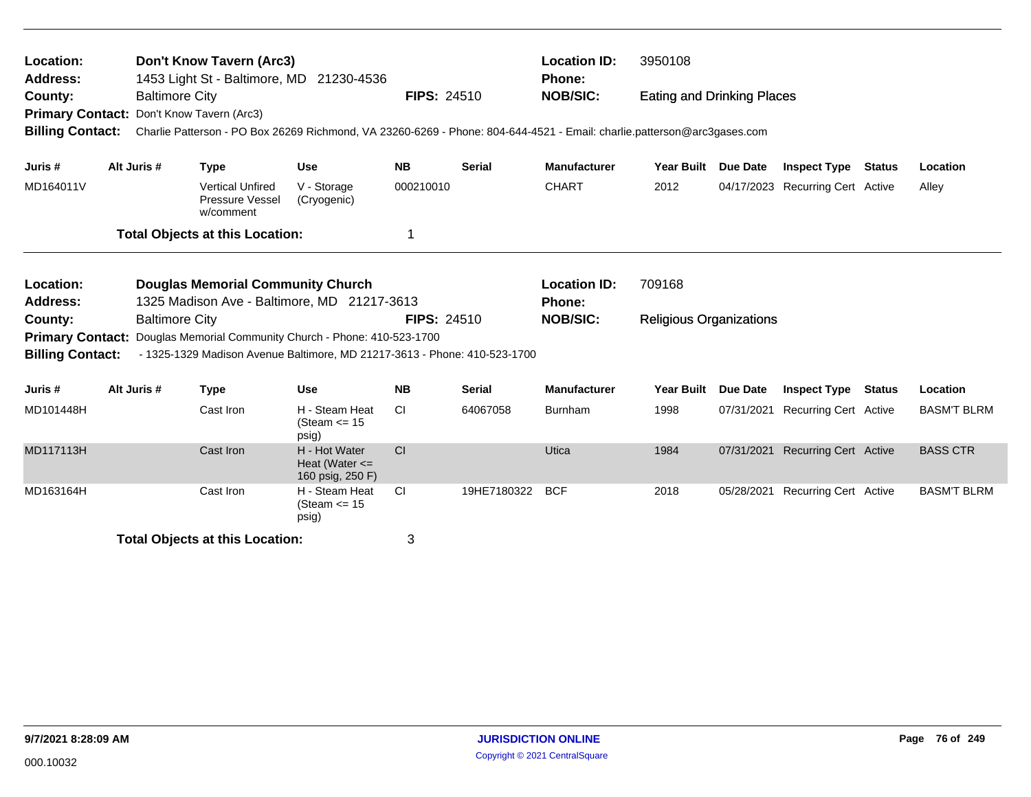| Location:<br>Address:<br>County:<br>Primary Contact: Don't Know Tavern (Arc3)<br><b>Billing Contact:</b> | <b>Baltimore City</b> | Don't Know Tavern (Arc3)                                | 1453 Light St - Baltimore, MD 21230-4536<br>Charlie Patterson - PO Box 26269 Richmond, VA 23260-6269 - Phone: 804-644-4521 - Email: charlie.patterson@arc3gases.com                 | <b>FIPS: 24510</b> |               | <b>Location ID:</b><br><b>Phone:</b><br><b>NOB/SIC:</b> | 3950108<br><b>Eating and Drinking Places</b> |                 |                                  |               |                    |
|----------------------------------------------------------------------------------------------------------|-----------------------|---------------------------------------------------------|-------------------------------------------------------------------------------------------------------------------------------------------------------------------------------------|--------------------|---------------|---------------------------------------------------------|----------------------------------------------|-----------------|----------------------------------|---------------|--------------------|
| Juris #                                                                                                  | Alt Juris #           | <b>Type</b>                                             | <b>Use</b>                                                                                                                                                                          | <b>NB</b>          | <b>Serial</b> | <b>Manufacturer</b>                                     | <b>Year Built</b>                            | <b>Due Date</b> | <b>Inspect Type</b>              | <b>Status</b> | Location           |
| MD164011V                                                                                                |                       | <b>Vertical Unfired</b><br>Pressure Vessel<br>w/comment | V - Storage<br>(Cryogenic)                                                                                                                                                          | 000210010          |               | <b>CHART</b>                                            | 2012                                         | 04/17/2023      | <b>Recurring Cert Active</b>     |               | Alley              |
|                                                                                                          |                       | <b>Total Objects at this Location:</b>                  |                                                                                                                                                                                     |                    |               |                                                         |                                              |                 |                                  |               |                    |
| Location:<br><b>Address:</b><br>County:<br><b>Primary Contact:</b><br><b>Billing Contact:</b>            | <b>Baltimore City</b> | <b>Douglas Memorial Community Church</b>                | 1325 Madison Ave - Baltimore, MD 21217-3613<br>Douglas Memorial Community Church - Phone: 410-523-1700<br>- 1325-1329 Madison Avenue Baltimore, MD 21217-3613 - Phone: 410-523-1700 | <b>FIPS: 24510</b> |               | <b>Location ID:</b><br>Phone:<br><b>NOB/SIC:</b>        | 709168<br><b>Religious Organizations</b>     |                 |                                  |               |                    |
| Juris #                                                                                                  | Alt Juris #           | <b>Type</b>                                             | <b>Use</b>                                                                                                                                                                          | <b>NB</b>          | <b>Serial</b> | <b>Manufacturer</b>                                     | <b>Year Built</b>                            | <b>Due Date</b> | <b>Inspect Type</b>              | <b>Status</b> | Location           |
| MD101448H                                                                                                |                       | Cast Iron                                               | H - Steam Heat<br>(Steam $\le$ 15<br>psig)                                                                                                                                          | <b>CI</b>          | 64067058      | <b>Burnham</b>                                          | 1998                                         |                 | 07/31/2021 Recurring Cert Active |               | <b>BASM'T BLRM</b> |
| MD117113H                                                                                                |                       | Cast Iron                                               | H - Hot Water<br>Heat (Water $\leq$<br>160 psig, 250 F)                                                                                                                             | CI                 |               | Utica                                                   | 1984                                         |                 | 07/31/2021 Recurring Cert Active |               | <b>BASS CTR</b>    |
| MD163164H                                                                                                |                       | Cast Iron                                               | H - Steam Heat<br>(Steam $\le$ 15<br>psig)                                                                                                                                          | <b>CI</b>          | 19HE7180322   | <b>BCF</b>                                              | 2018                                         |                 | 05/28/2021 Recurring Cert Active |               | <b>BASM'T BLRM</b> |
|                                                                                                          |                       | <b>Total Objects at this Location:</b>                  |                                                                                                                                                                                     | 3                  |               |                                                         |                                              |                 |                                  |               |                    |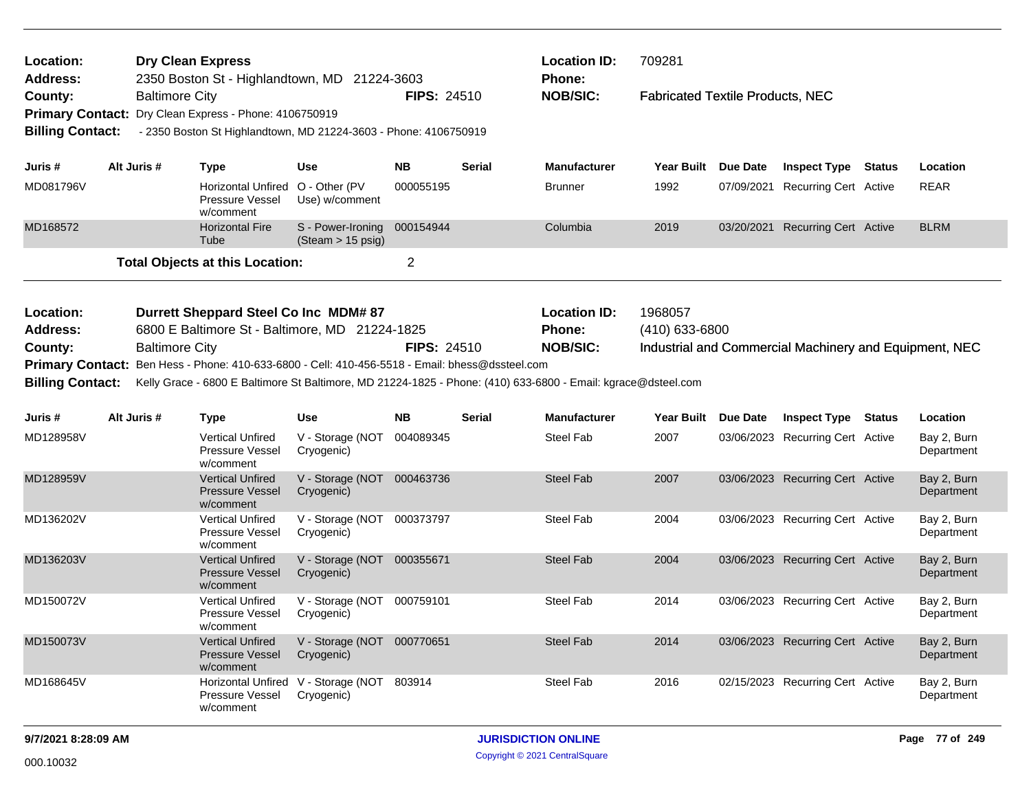| Location:<br>Address:   |                                                                                                                                                                                                                                                                                                                                                                                                                                                                                                                                                                                                                                                                                                                                                                                                    |                       | <b>Dry Clean Express</b><br>2350 Boston St - Highlandtown, MD 21224-3603 |                                                          |                    |               | <b>Location ID:</b><br>Phone: | 709281                                  |                                                        |               |                           |
|-------------------------|----------------------------------------------------------------------------------------------------------------------------------------------------------------------------------------------------------------------------------------------------------------------------------------------------------------------------------------------------------------------------------------------------------------------------------------------------------------------------------------------------------------------------------------------------------------------------------------------------------------------------------------------------------------------------------------------------------------------------------------------------------------------------------------------------|-----------------------|--------------------------------------------------------------------------|----------------------------------------------------------|--------------------|---------------|-------------------------------|-----------------------------------------|--------------------------------------------------------|---------------|---------------------------|
| County:                 |                                                                                                                                                                                                                                                                                                                                                                                                                                                                                                                                                                                                                                                                                                                                                                                                    | <b>Baltimore City</b> |                                                                          |                                                          | <b>FIPS: 24510</b> |               | <b>NOB/SIC:</b>               | <b>Fabricated Textile Products, NEC</b> |                                                        |               |                           |
|                         |                                                                                                                                                                                                                                                                                                                                                                                                                                                                                                                                                                                                                                                                                                                                                                                                    |                       | Primary Contact: Dry Clean Express - Phone: 4106750919                   |                                                          |                    |               |                               |                                         |                                                        |               |                           |
| <b>Billing Contact:</b> |                                                                                                                                                                                                                                                                                                                                                                                                                                                                                                                                                                                                                                                                                                                                                                                                    |                       | - 2350 Boston St Highlandtown, MD 21224-3603 - Phone: 4106750919         |                                                          |                    |               |                               |                                         |                                                        |               |                           |
|                         |                                                                                                                                                                                                                                                                                                                                                                                                                                                                                                                                                                                                                                                                                                                                                                                                    |                       |                                                                          |                                                          |                    |               |                               |                                         |                                                        |               |                           |
| Juris #                 |                                                                                                                                                                                                                                                                                                                                                                                                                                                                                                                                                                                                                                                                                                                                                                                                    |                       |                                                                          |                                                          | <b>NB</b>          | Serial        | <b>Manufacturer</b>           | Year Built Due Date                     | <b>Inspect Type Status</b>                             |               | Location                  |
| MD081796V               |                                                                                                                                                                                                                                                                                                                                                                                                                                                                                                                                                                                                                                                                                                                                                                                                    |                       | Pressure Vessel<br>w/comment                                             | Use) w/comment                                           | 000055195          |               | <b>Brunner</b>                | 1992                                    | 07/09/2021 Recurring Cert Active                       |               | <b>REAR</b>               |
| MD168572                |                                                                                                                                                                                                                                                                                                                                                                                                                                                                                                                                                                                                                                                                                                                                                                                                    |                       | <b>Horizontal Fire</b><br>Tube                                           | S - Power-Ironing<br>(Steam > 15 psig)                   | 000154944          |               | Columbia                      | 2019                                    | 03/20/2021 Recurring Cert Active                       |               | <b>BLRM</b>               |
|                         |                                                                                                                                                                                                                                                                                                                                                                                                                                                                                                                                                                                                                                                                                                                                                                                                    |                       |                                                                          |                                                          | $\overline{2}$     |               |                               |                                         |                                                        |               |                           |
|                         |                                                                                                                                                                                                                                                                                                                                                                                                                                                                                                                                                                                                                                                                                                                                                                                                    |                       |                                                                          |                                                          |                    |               |                               |                                         |                                                        |               |                           |
| <b>Location:</b>        |                                                                                                                                                                                                                                                                                                                                                                                                                                                                                                                                                                                                                                                                                                                                                                                                    |                       |                                                                          |                                                          |                    |               | <b>Location ID:</b>           | 1968057                                 |                                                        |               |                           |
| <b>Address:</b>         |                                                                                                                                                                                                                                                                                                                                                                                                                                                                                                                                                                                                                                                                                                                                                                                                    |                       |                                                                          |                                                          |                    |               | Phone:                        | (410) 633-6800                          |                                                        |               |                           |
| County:                 |                                                                                                                                                                                                                                                                                                                                                                                                                                                                                                                                                                                                                                                                                                                                                                                                    |                       |                                                                          |                                                          | <b>FIPS: 24510</b> |               | <b>NOB/SIC:</b>               |                                         | Industrial and Commercial Machinery and Equipment, NEC |               |                           |
|                         | Alt Juris #<br><b>Use</b><br><b>Type</b><br>Horizontal Unfired O - Other (PV<br><b>Total Objects at this Location:</b><br>Durrett Sheppard Steel Co Inc MDM# 87<br>6800 E Baltimore St - Baltimore, MD 21224-1825<br><b>Baltimore City</b><br>Primary Contact: Ben Hess - Phone: 410-633-6800 - Cell: 410-456-5518 - Email: bhess@dssteel.com<br><b>Billing Contact:</b><br>Kelly Grace - 6800 E Baltimore St Baltimore, MD 21224-1825 - Phone: (410) 633-6800 - Email: kgrace@dsteel.com<br>Alt Juris #<br><b>Use</b><br>Type<br><b>Vertical Unfired</b><br><b>Pressure Vessel</b><br>Cryogenic)<br>w/comment<br><b>Vertical Unfired</b><br><b>Pressure Vessel</b><br>Cryogenic)<br>w/comment<br><b>Vertical Unfired</b><br>Pressure Vessel<br>Cryogenic)<br>w/comment<br><b>Vertical Unfired</b> |                       |                                                                          |                                                          |                    |               |                               |                                         |                                                        |               |                           |
|                         |                                                                                                                                                                                                                                                                                                                                                                                                                                                                                                                                                                                                                                                                                                                                                                                                    |                       |                                                                          |                                                          |                    |               |                               |                                         |                                                        |               |                           |
| Juris #                 |                                                                                                                                                                                                                                                                                                                                                                                                                                                                                                                                                                                                                                                                                                                                                                                                    |                       |                                                                          |                                                          | <b>NB</b>          | <b>Serial</b> | <b>Manufacturer</b>           | Year Built Due Date                     | <b>Inspect Type</b>                                    | <b>Status</b> | Location                  |
| MD128958V               |                                                                                                                                                                                                                                                                                                                                                                                                                                                                                                                                                                                                                                                                                                                                                                                                    |                       |                                                                          | V - Storage (NOT                                         | 004089345          |               | <b>Steel Fab</b>              | 2007                                    | 03/06/2023 Recurring Cert Active                       |               | Bay 2, Burn<br>Department |
| MD128959V               |                                                                                                                                                                                                                                                                                                                                                                                                                                                                                                                                                                                                                                                                                                                                                                                                    |                       |                                                                          | V - Storage (NOT 000463736                               |                    |               | <b>Steel Fab</b>              | 2007                                    | 03/06/2023 Recurring Cert Active                       |               | Bay 2, Burn<br>Department |
| MD136202V               |                                                                                                                                                                                                                                                                                                                                                                                                                                                                                                                                                                                                                                                                                                                                                                                                    |                       |                                                                          | V - Storage (NOT 000373797                               |                    |               | <b>Steel Fab</b>              | 2004                                    | 03/06/2023 Recurring Cert Active                       |               | Bay 2, Burn<br>Department |
| MD136203V               |                                                                                                                                                                                                                                                                                                                                                                                                                                                                                                                                                                                                                                                                                                                                                                                                    |                       | <b>Pressure Vessel</b><br>w/comment                                      | V - Storage (NOT 000355671<br>Cryogenic)                 |                    |               | <b>Steel Fab</b>              | 2004                                    | 03/06/2023 Recurring Cert Active                       |               | Bay 2, Burn<br>Department |
| MD150072V               |                                                                                                                                                                                                                                                                                                                                                                                                                                                                                                                                                                                                                                                                                                                                                                                                    |                       | <b>Vertical Unfired</b><br>Pressure Vessel<br>w/comment                  | V - Storage (NOT 000759101<br>Cryogenic)                 |                    |               | <b>Steel Fab</b>              | 2014                                    | 03/06/2023 Recurring Cert Active                       |               | Bay 2, Burn<br>Department |
| MD150073V               |                                                                                                                                                                                                                                                                                                                                                                                                                                                                                                                                                                                                                                                                                                                                                                                                    |                       | <b>Vertical Unfired</b><br><b>Pressure Vessel</b><br>w/comment           | V - Storage (NOT 000770651<br>Cryogenic)                 |                    |               | <b>Steel Fab</b>              | 2014                                    | 03/06/2023 Recurring Cert Active                       |               | Bay 2, Burn<br>Department |
| MD168645V               |                                                                                                                                                                                                                                                                                                                                                                                                                                                                                                                                                                                                                                                                                                                                                                                                    |                       | Pressure Vessel                                                          | Horizontal Unfired V - Storage (NOT 803914<br>Cryogenic) |                    |               | <b>Steel Fab</b>              | 2016                                    | 02/15/2023 Recurring Cert Active                       |               | Bay 2, Burn<br>Department |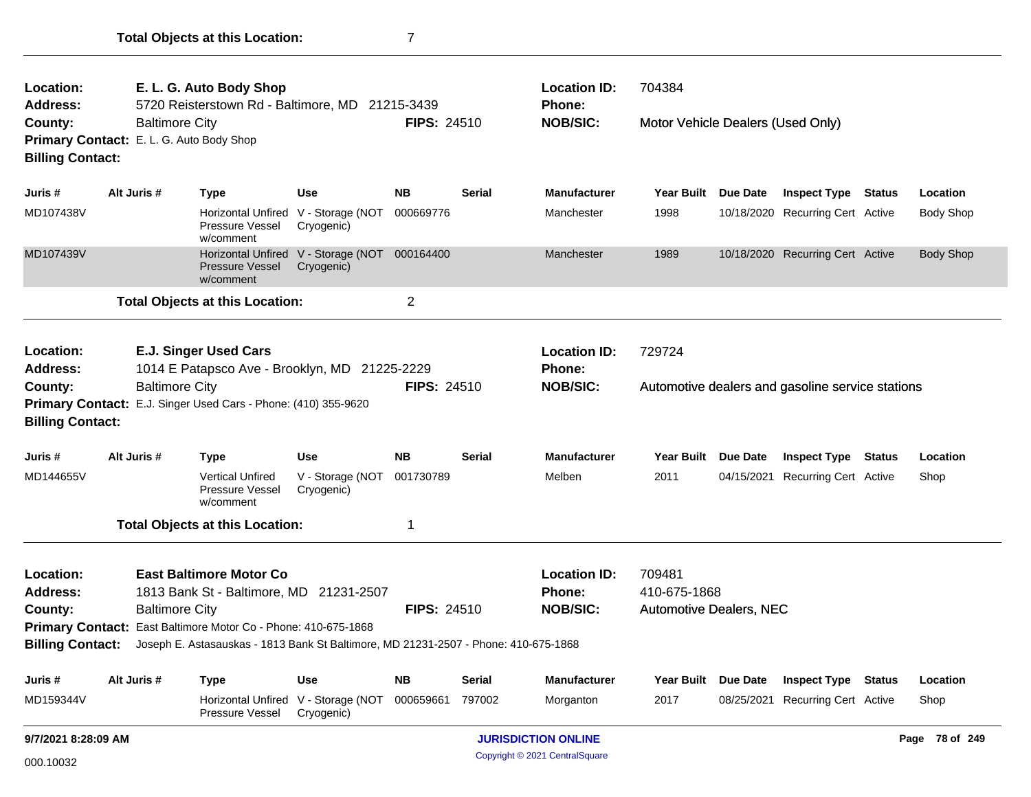| <b>Location:</b><br><b>Address:</b> |                                                                   | E. L. G. Auto Body Shop<br>5720 Reisterstown Rd - Baltimore, MD 21215-3439          |                                                   |                    |                            | <b>Location ID:</b><br><b>Phone:</b>                    | 704384                            |                     |                                                  |                  |
|-------------------------------------|-------------------------------------------------------------------|-------------------------------------------------------------------------------------|---------------------------------------------------|--------------------|----------------------------|---------------------------------------------------------|-----------------------------------|---------------------|--------------------------------------------------|------------------|
| County:<br><b>Billing Contact:</b>  | <b>Baltimore City</b><br>Primary Contact: E. L. G. Auto Body Shop |                                                                                     |                                                   | <b>FIPS: 24510</b> |                            | <b>NOB/SIC:</b>                                         | Motor Vehicle Dealers (Used Only) |                     |                                                  |                  |
| Juris #                             | Alt Juris #                                                       | <b>Type</b>                                                                         | <b>Use</b>                                        | <b>NB</b>          | <b>Serial</b>              | <b>Manufacturer</b>                                     | <b>Year Built</b>                 | <b>Due Date</b>     | <b>Inspect Type Status</b>                       | Location         |
| MD107438V                           |                                                                   | Pressure Vessel<br>w/comment                                                        | Horizontal Unfired V - Storage (NOT<br>Cryogenic) | 000669776          |                            | Manchester                                              | 1998                              |                     | 10/18/2020 Recurring Cert Active                 | Body Shop        |
| MD107439V                           |                                                                   | Pressure Vessel<br>w/comment                                                        | Horizontal Unfired V - Storage (NOT<br>Cryogenic) | 000164400          |                            | Manchester                                              | 1989                              |                     | 10/18/2020 Recurring Cert Active                 | <b>Body Shop</b> |
|                                     |                                                                   | <b>Total Objects at this Location:</b>                                              |                                                   | $\overline{2}$     |                            |                                                         |                                   |                     |                                                  |                  |
| <b>Location:</b><br>Address:        |                                                                   | <b>E.J. Singer Used Cars</b><br>1014 E Patapsco Ave - Brooklyn, MD 21225-2229       |                                                   |                    |                            | <b>Location ID:</b><br><b>Phone:</b>                    | 729724                            |                     |                                                  |                  |
| County:<br><b>Billing Contact:</b>  | <b>Baltimore City</b>                                             | Primary Contact: E.J. Singer Used Cars - Phone: (410) 355-9620                      |                                                   | <b>FIPS: 24510</b> |                            | <b>NOB/SIC:</b>                                         |                                   |                     | Automotive dealers and gasoline service stations |                  |
| Juris #                             | Alt Juris #                                                       | <b>Type</b>                                                                         | <b>Use</b>                                        | <b>NB</b>          | Serial                     | <b>Manufacturer</b>                                     |                                   | Year Built Due Date | <b>Inspect Type Status</b>                       | Location         |
| MD144655V                           |                                                                   | <b>Vertical Unfired</b><br>Pressure Vessel<br>w/comment                             | V - Storage (NOT<br>Cryogenic)                    | 001730789          |                            | Melben                                                  | 2011                              | 04/15/2021          | <b>Recurring Cert Active</b>                     | Shop             |
|                                     |                                                                   | <b>Total Objects at this Location:</b>                                              |                                                   | $\overline{1}$     |                            |                                                         |                                   |                     |                                                  |                  |
| <b>Location:</b><br>Address:        |                                                                   | <b>East Baltimore Motor Co</b><br>1813 Bank St - Baltimore, MD 21231-2507           |                                                   | <b>FIPS: 24510</b> |                            | <b>Location ID:</b><br><b>Phone:</b><br><b>NOB/SIC:</b> | 709481<br>410-675-1868            |                     |                                                  |                  |
| County:                             | <b>Baltimore City</b>                                             | Primary Contact: East Baltimore Motor Co - Phone: 410-675-1868                      |                                                   |                    |                            |                                                         | <b>Automotive Dealers, NEC</b>    |                     |                                                  |                  |
| <b>Billing Contact:</b>             |                                                                   | Joseph E. Astasauskas - 1813 Bank St Baltimore, MD 21231-2507 - Phone: 410-675-1868 |                                                   |                    |                            |                                                         |                                   |                     |                                                  |                  |
| Juris #                             | Alt Juris #                                                       | <b>Type</b>                                                                         | Use                                               | <b>NB</b>          | Serial                     | <b>Manufacturer</b>                                     | Year Built Due Date               |                     | <b>Inspect Type Status</b>                       | Location         |
| MD159344V                           |                                                                   | Pressure Vessel                                                                     | Horizontal Unfired V - Storage (NOT<br>Cryogenic) | 000659661          | 797002                     | Morganton                                               | 2017                              | 08/25/2021          | <b>Recurring Cert</b> Active                     | Shop             |
| 9/7/2021 8:28:09 AM                 |                                                                   |                                                                                     |                                                   |                    | <b>JURISDICTION ONLINE</b> |                                                         |                                   |                     | Page 78 of 249                                   |                  |

Copyright © 2021 CentralSquare 000.10032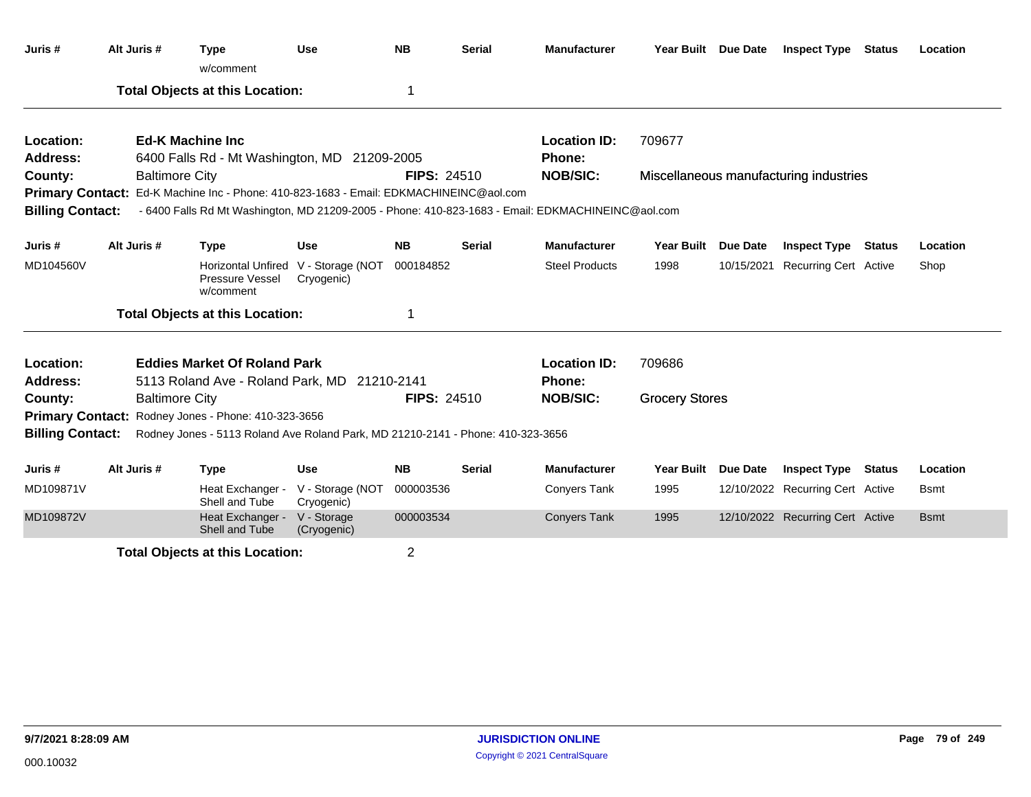| Juris #                 | Alt Juris # |                       | <b>Type</b><br>w/comment                                                               | <b>Use</b>                                        | <b>NB</b>          | <b>Serial</b> | <b>Manufacturer</b>                                                                               | Year Built Due Date   |                 | <b>Inspect Type Status</b>             |               | Location     |
|-------------------------|-------------|-----------------------|----------------------------------------------------------------------------------------|---------------------------------------------------|--------------------|---------------|---------------------------------------------------------------------------------------------------|-----------------------|-----------------|----------------------------------------|---------------|--------------|
|                         |             |                       | <b>Total Objects at this Location:</b>                                                 |                                                   | 1                  |               |                                                                                                   |                       |                 |                                        |               |              |
| Location:               |             |                       | <b>Ed-K Machine Inc</b>                                                                |                                                   |                    |               | <b>Location ID:</b>                                                                               | 709677                |                 |                                        |               |              |
| Address:                |             |                       | 6400 Falls Rd - Mt Washington, MD 21209-2005                                           |                                                   |                    |               | <b>Phone:</b>                                                                                     |                       |                 |                                        |               |              |
| County:                 |             | <b>Baltimore City</b> |                                                                                        |                                                   | <b>FIPS: 24510</b> |               | <b>NOB/SIC:</b>                                                                                   |                       |                 | Miscellaneous manufacturing industries |               |              |
|                         |             |                       | Primary Contact: Ed-K Machine Inc - Phone: 410-823-1683 - Email: EDKMACHINEINC@aol.com |                                                   |                    |               |                                                                                                   |                       |                 |                                        |               |              |
| <b>Billing Contact:</b> |             |                       |                                                                                        |                                                   |                    |               | - 6400 Falls Rd Mt Washington, MD 21209-2005 - Phone: 410-823-1683 - Email: EDKMACHINEINC@aol.com |                       |                 |                                        |               |              |
| Juris #                 | Alt Juris # |                       | <b>Type</b>                                                                            | <b>Use</b>                                        | <b>NB</b>          | <b>Serial</b> | <b>Manufacturer</b>                                                                               | <b>Year Built</b>     | <b>Due Date</b> | <b>Inspect Type</b>                    | <b>Status</b> | Location     |
| MD104560V               |             |                       | Pressure Vessel<br>w/comment                                                           | Horizontal Unfired V - Storage (NOT<br>Cryogenic) | 000184852          |               | <b>Steel Products</b>                                                                             | 1998                  | 10/15/2021      | <b>Recurring Cert Active</b>           |               | Shop         |
|                         |             |                       | <b>Total Objects at this Location:</b>                                                 |                                                   | 1                  |               |                                                                                                   |                       |                 |                                        |               |              |
| Location:               |             |                       | <b>Eddies Market Of Roland Park</b>                                                    |                                                   |                    |               | <b>Location ID:</b>                                                                               | 709686                |                 |                                        |               |              |
| <b>Address:</b>         |             |                       | 5113 Roland Ave - Roland Park, MD                                                      |                                                   | 21210-2141         |               | Phone:                                                                                            |                       |                 |                                        |               |              |
| County:                 |             | <b>Baltimore City</b> |                                                                                        |                                                   | <b>FIPS: 24510</b> |               | <b>NOB/SIC:</b>                                                                                   | <b>Grocery Stores</b> |                 |                                        |               |              |
| <b>Primary Contact:</b> |             |                       | Rodney Jones - Phone: 410-323-3656                                                     |                                                   |                    |               |                                                                                                   |                       |                 |                                        |               |              |
| <b>Billing Contact:</b> |             |                       | Rodney Jones - 5113 Roland Ave Roland Park, MD 21210-2141 - Phone: 410-323-3656        |                                                   |                    |               |                                                                                                   |                       |                 |                                        |               |              |
| Juris #                 | Alt Juris # |                       | <b>Type</b>                                                                            | <b>Use</b>                                        | <b>NB</b>          | <b>Serial</b> | <b>Manufacturer</b>                                                                               | <b>Year Built</b>     | Due Date        | <b>Inspect Type Status</b>             |               | Location     |
| MD109871V               |             |                       | Heat Exchanger -<br>Shell and Tube                                                     | V - Storage (NOT<br>Cryogenic)                    | 000003536          |               | <b>Conyers Tank</b>                                                                               | 1995                  |                 | 12/10/2022 Recurring Cert Active       |               | <b>B</b> smt |
| MD109872V               |             |                       | Heat Exchanger -<br>Shell and Tube                                                     | V - Storage<br>(Cryogenic)                        | 000003534          |               | <b>Conyers Tank</b>                                                                               | 1995                  |                 | 12/10/2022 Recurring Cert Active       |               | <b>Bsmt</b>  |
|                         |             |                       |                                                                                        |                                                   |                    |               |                                                                                                   |                       |                 |                                        |               |              |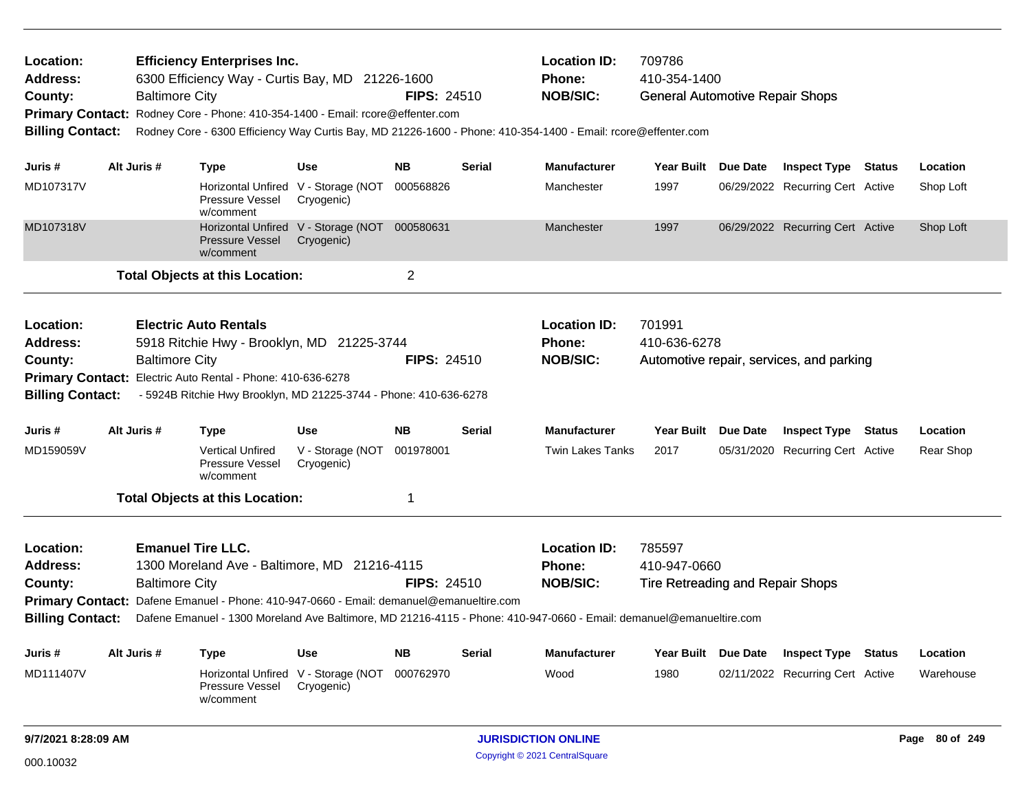| Location:<br>Address:<br>County:<br><b>Primary Contact:</b><br><b>Billing Contact:</b>                                                                                                                                                                                                                                                                                                                                              |             | <b>Baltimore City</b> | <b>Efficiency Enterprises Inc.</b><br>6300 Efficiency Way - Curtis Bay, MD 21226-1600<br>Rodney Core - Phone: 410-354-1400 - Email: rcore@effenter.com<br>Rodney Core - 6300 Efficiency Way Curtis Bay, MD 21226-1600 - Phone: 410-354-1400 - Email: rcore@effenter.com |                                                             | <b>FIPS: 24510</b> |               | <b>Location ID:</b><br><b>Phone:</b><br><b>NOB/SIC:</b> | 709786<br>410-354-1400<br><b>General Automotive Repair Shops</b> |                                          |               |                |
|-------------------------------------------------------------------------------------------------------------------------------------------------------------------------------------------------------------------------------------------------------------------------------------------------------------------------------------------------------------------------------------------------------------------------------------|-------------|-----------------------|-------------------------------------------------------------------------------------------------------------------------------------------------------------------------------------------------------------------------------------------------------------------------|-------------------------------------------------------------|--------------------|---------------|---------------------------------------------------------|------------------------------------------------------------------|------------------------------------------|---------------|----------------|
| Juris #                                                                                                                                                                                                                                                                                                                                                                                                                             | Alt Juris # |                       | <b>Type</b>                                                                                                                                                                                                                                                             | <b>Use</b>                                                  | <b>NB</b>          | <b>Serial</b> | <b>Manufacturer</b>                                     | Year Built Due Date                                              | <b>Inspect Type Status</b>               |               | Location       |
| MD107317V                                                                                                                                                                                                                                                                                                                                                                                                                           |             |                       | Pressure Vessel<br>w/comment                                                                                                                                                                                                                                            | Horizontal Unfired V - Storage (NOT<br>Cryogenic)           | 000568826          |               | Manchester                                              | 1997                                                             | 06/29/2022 Recurring Cert Active         |               | Shop Loft      |
| MD107318V                                                                                                                                                                                                                                                                                                                                                                                                                           |             |                       | Pressure Vessel<br>w/comment                                                                                                                                                                                                                                            | Horizontal Unfired V - Storage (NOT 000580631<br>Cryogenic) |                    |               | Manchester                                              | 1997                                                             | 06/29/2022 Recurring Cert Active         |               | Shop Loft      |
|                                                                                                                                                                                                                                                                                                                                                                                                                                     |             |                       | <b>Total Objects at this Location:</b>                                                                                                                                                                                                                                  |                                                             | $\overline{2}$     |               |                                                         |                                                                  |                                          |               |                |
| <b>Electric Auto Rentals</b><br>Location:<br><b>Address:</b><br>5918 Ritchie Hwy - Brooklyn, MD 21225-3744<br><b>Baltimore City</b><br>County:<br>Primary Contact: Electric Auto Rental - Phone: 410-636-6278<br><b>Billing Contact:</b><br>- 5924B Ritchie Hwy Brooklyn, MD 21225-3744 - Phone: 410-636-6278<br>Alt Juris #<br><b>Use</b><br>Juris #<br><b>Type</b>                                                                |             |                       |                                                                                                                                                                                                                                                                         |                                                             | <b>FIPS: 24510</b> |               | <b>Location ID:</b><br><b>Phone:</b><br><b>NOB/SIC:</b> | 701991<br>410-636-6278                                           | Automotive repair, services, and parking |               |                |
|                                                                                                                                                                                                                                                                                                                                                                                                                                     |             |                       |                                                                                                                                                                                                                                                                         |                                                             | <b>NB</b>          | <b>Serial</b> | <b>Manufacturer</b>                                     | Year Built Due Date                                              | <b>Inspect Type Status</b>               |               | Location       |
| MD159059V                                                                                                                                                                                                                                                                                                                                                                                                                           |             |                       | <b>Vertical Unfired</b><br><b>Pressure Vessel</b><br>w/comment                                                                                                                                                                                                          | V - Storage (NOT<br>Cryogenic)                              | 001978001          |               | <b>Twin Lakes Tanks</b>                                 | 2017                                                             | 05/31/2020 Recurring Cert Active         |               | Rear Shop      |
|                                                                                                                                                                                                                                                                                                                                                                                                                                     |             |                       |                                                                                                                                                                                                                                                                         |                                                             | 1                  |               |                                                         |                                                                  |                                          |               |                |
| <b>Total Objects at this Location:</b><br><b>Emanuel Tire LLC.</b><br>Location:<br><b>Address:</b><br>1300 Moreland Ave - Baltimore, MD 21216-4115<br><b>Baltimore City</b><br>County:<br>Primary Contact: Dafene Emanuel - Phone: 410-947-0660 - Email: demanuel@emanueltire.com<br><b>Billing Contact:</b><br>Dafene Emanuel - 1300 Moreland Ave Baltimore, MD 21216-4115 - Phone: 410-947-0660 - Email: demanuel@emanueltire.com |             |                       |                                                                                                                                                                                                                                                                         |                                                             | <b>FIPS: 24510</b> |               | <b>Location ID:</b><br>Phone:<br><b>NOB/SIC:</b>        | 785597<br>410-947-0660<br>Tire Retreading and Repair Shops       |                                          |               |                |
| Juris #                                                                                                                                                                                                                                                                                                                                                                                                                             | Alt Juris # |                       | <b>Type</b>                                                                                                                                                                                                                                                             | Use                                                         | <b>NB</b>          | Serial        | <b>Manufacturer</b>                                     | Year Built Due Date                                              | <b>Inspect Type</b>                      | <b>Status</b> | Location       |
| MD111407V                                                                                                                                                                                                                                                                                                                                                                                                                           |             |                       | Pressure Vessel<br>w/comment                                                                                                                                                                                                                                            | Horizontal Unfired V - Storage (NOT<br>Cryogenic)           | 000762970          |               | Wood                                                    | 1980                                                             | 02/11/2022 Recurring Cert Active         |               | Warehouse      |
| 9/7/2021 8:28:09 AM                                                                                                                                                                                                                                                                                                                                                                                                                 |             |                       |                                                                                                                                                                                                                                                                         |                                                             |                    |               | <b>JURISDICTION ONLINE</b>                              |                                                                  |                                          |               | Page 80 of 249 |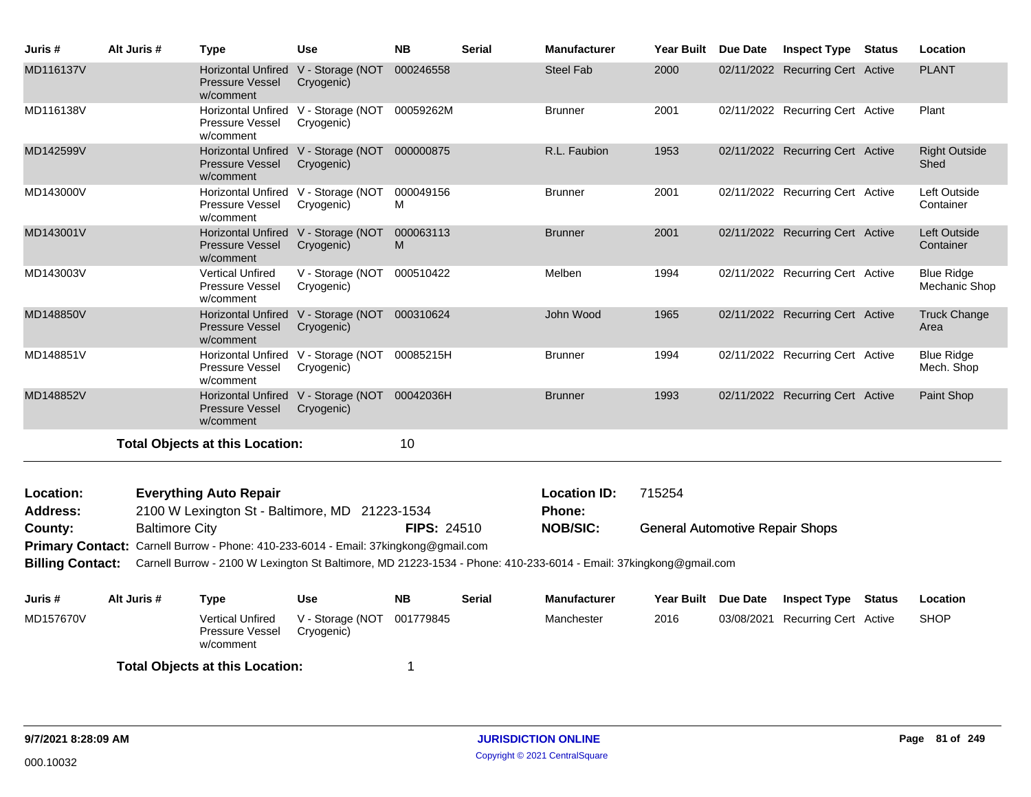| Juris #                 | Alt Juris #           | <b>Type</b>                                             | Use                                                                                 | <b>NB</b>          | <b>Serial</b> | <b>Manufacturer</b>                                                                                               | <b>Year Built</b>                      | <b>Due Date</b> | <b>Inspect Type Status</b>       | Location                           |
|-------------------------|-----------------------|---------------------------------------------------------|-------------------------------------------------------------------------------------|--------------------|---------------|-------------------------------------------------------------------------------------------------------------------|----------------------------------------|-----------------|----------------------------------|------------------------------------|
| MD116137V               |                       | <b>Pressure Vessel</b><br>w/comment                     | Horizontal Unfired V - Storage (NOT<br>Cryogenic)                                   | 000246558          |               | <b>Steel Fab</b>                                                                                                  | 2000                                   |                 | 02/11/2022 Recurring Cert Active | <b>PLANT</b>                       |
| MD116138V               |                       | Pressure Vessel<br>w/comment                            | Horizontal Unfired V - Storage (NOT 00059262M<br>Cryogenic)                         |                    |               | <b>Brunner</b>                                                                                                    | 2001                                   |                 | 02/11/2022 Recurring Cert Active | Plant                              |
| MD142599V               |                       | <b>Pressure Vessel</b><br>w/comment                     | Horizontal Unfired V - Storage (NOT 000000875<br>Cryogenic)                         |                    |               | R.L. Faubion                                                                                                      | 1953                                   |                 | 02/11/2022 Recurring Cert Active | <b>Right Outside</b><br>Shed       |
| MD143000V               |                       | Pressure Vessel<br>w/comment                            | Horizontal Unfired V - Storage (NOT<br>Cryogenic)                                   | 000049156<br>M     |               | <b>Brunner</b>                                                                                                    | 2001                                   |                 | 02/11/2022 Recurring Cert Active | Left Outside<br>Container          |
| MD143001V               |                       | <b>Pressure Vessel</b><br>w/comment                     | Horizontal Unfired V - Storage (NOT 000063113<br>Cryogenic)                         | M                  |               | <b>Brunner</b>                                                                                                    | 2001                                   |                 | 02/11/2022 Recurring Cert Active | Left Outside<br>Container          |
| MD143003V               |                       | <b>Vertical Unfired</b><br>Pressure Vessel<br>w/comment | V - Storage (NOT<br>Cryogenic)                                                      | 000510422          |               | Melben                                                                                                            | 1994                                   |                 | 02/11/2022 Recurring Cert Active | <b>Blue Ridge</b><br>Mechanic Shop |
| MD148850V               |                       | <b>Pressure Vessel</b><br>w/comment                     | Horizontal Unfired V - Storage (NOT 000310624<br>Cryogenic)                         |                    |               | John Wood                                                                                                         | 1965                                   |                 | 02/11/2022 Recurring Cert Active | <b>Truck Change</b><br>Area        |
| MD148851V               |                       | Pressure Vessel<br>w/comment                            | Horizontal Unfired V - Storage (NOT 00085215H<br>Cryogenic)                         |                    |               | <b>Brunner</b>                                                                                                    | 1994                                   |                 | 02/11/2022 Recurring Cert Active | <b>Blue Ridge</b><br>Mech. Shop    |
| MD148852V               |                       | <b>Pressure Vessel</b><br>w/comment                     | Horizontal Unfired V - Storage (NOT 00042036H<br>Cryogenic)                         |                    |               | <b>Brunner</b>                                                                                                    | 1993                                   |                 | 02/11/2022 Recurring Cert Active | Paint Shop                         |
|                         |                       | <b>Total Objects at this Location:</b>                  |                                                                                     | 10                 |               |                                                                                                                   |                                        |                 |                                  |                                    |
| Location:<br>Address:   |                       | <b>Everything Auto Repair</b>                           | 2100 W Lexington St - Baltimore, MD 21223-1534                                      |                    |               | <b>Location ID:</b><br><b>Phone:</b>                                                                              | 715254                                 |                 |                                  |                                    |
| County:                 | <b>Baltimore City</b> |                                                         |                                                                                     | <b>FIPS: 24510</b> |               | <b>NOB/SIC:</b>                                                                                                   | <b>General Automotive Repair Shops</b> |                 |                                  |                                    |
| <b>Billing Contact:</b> |                       |                                                         | Primary Contact: Carnell Burrow - Phone: 410-233-6014 - Email: 37kingkong@gmail.com |                    |               | Carnell Burrow - 2100 W Lexington St Baltimore, MD 21223-1534 - Phone: 410-233-6014 - Email: 37kingkong@gmail.com |                                        |                 |                                  |                                    |
| Juris #                 | Alt Juris #           | Type                                                    | <b>Use</b>                                                                          | <b>NB</b>          | <b>Serial</b> | <b>Manufacturer</b>                                                                                               | <b>Year Built</b>                      | Due Date        | <b>Inspect Type Status</b>       | Location                           |
| MD157670V               |                       | <b>Vertical Unfired</b><br>Pressure Vessel<br>w/comment | V - Storage (NOT 001779845<br>Cryogenic)                                            |                    |               | Manchester                                                                                                        | 2016                                   |                 | 03/08/2021 Recurring Cert Active | <b>SHOP</b>                        |
|                         |                       | <b>Total Objects at this Location:</b>                  |                                                                                     | 1                  |               |                                                                                                                   |                                        |                 |                                  |                                    |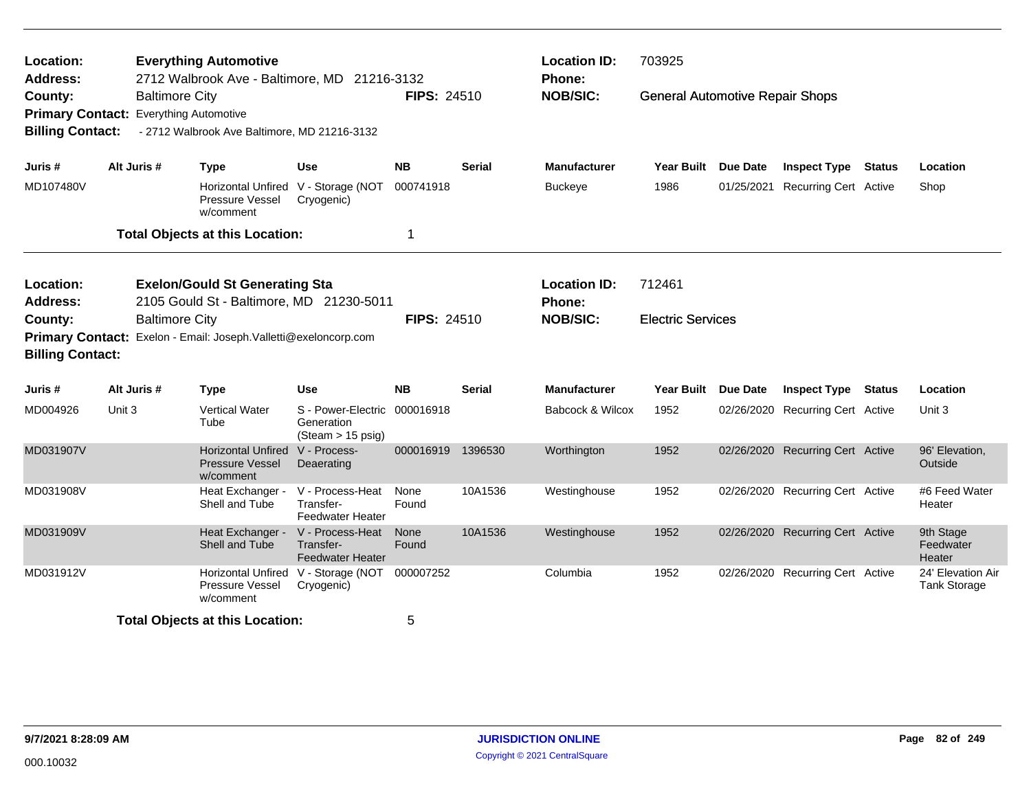| Location:<br><b>Address:</b>                                                                                                                                                                                                                       | <b>Everything Automotive</b><br>2712 Walbrook Ave - Baltimore, MD 21216-3132 |                                                                 |                    |               | <b>Location ID:</b><br>Phone:        | 703925                                 |                 |                                  |                                          |
|----------------------------------------------------------------------------------------------------------------------------------------------------------------------------------------------------------------------------------------------------|------------------------------------------------------------------------------|-----------------------------------------------------------------|--------------------|---------------|--------------------------------------|----------------------------------------|-----------------|----------------------------------|------------------------------------------|
| County:<br><b>Baltimore City</b><br>Primary Contact: Everything Automotive<br><b>Billing Contact:</b>                                                                                                                                              | - 2712 Walbrook Ave Baltimore, MD 21216-3132                                 |                                                                 | <b>FIPS: 24510</b> |               | <b>NOB/SIC:</b>                      | <b>General Automotive Repair Shops</b> |                 |                                  |                                          |
| Alt Juris #<br>Juris #                                                                                                                                                                                                                             | <b>Type</b>                                                                  | Use                                                             | <b>NB</b>          | <b>Serial</b> | <b>Manufacturer</b>                  | Year Built Due Date                    |                 | <b>Inspect Type Status</b>       | Location                                 |
| MD107480V                                                                                                                                                                                                                                          | Pressure Vessel<br>w/comment                                                 | Horizontal Unfired V - Storage (NOT<br>Cryogenic)               | 000741918          |               | <b>Buckeye</b>                       | 1986                                   |                 | 01/25/2021 Recurring Cert Active | Shop                                     |
| <b>Total Objects at this Location:</b><br><b>Exelon/Gould St Generating Sta</b><br>2105 Gould St - Baltimore, MD 21230-5011                                                                                                                        |                                                                              |                                                                 | 1                  |               |                                      |                                        |                 |                                  |                                          |
| Location:<br><b>Address:</b>                                                                                                                                                                                                                       |                                                                              |                                                                 |                    |               | <b>Location ID:</b><br><b>Phone:</b> | 712461                                 |                 |                                  |                                          |
| County:<br><b>Baltimore City</b><br>Primary Contact: Exelon - Email: Joseph.Valletti@exeloncorp.com<br><b>Billing Contact:</b><br>Alt Juris #<br><b>Use</b><br><b>Type</b><br>Unit 3<br><b>Vertical Water</b><br>Tube<br><b>Horizontal Unfired</b> |                                                                              |                                                                 | <b>FIPS: 24510</b> |               | <b>NOB/SIC:</b>                      | <b>Electric Services</b>               |                 |                                  |                                          |
| Juris #                                                                                                                                                                                                                                            |                                                                              |                                                                 | <b>NB</b>          | Serial        | <b>Manufacturer</b>                  | <b>Year Built</b>                      | <b>Due Date</b> | <b>Inspect Type Status</b>       | Location                                 |
| MD004926                                                                                                                                                                                                                                           |                                                                              | S - Power-Electric 000016918<br>Generation<br>(Steam > 15 psig) |                    |               | Babcock & Wilcox                     | 1952                                   |                 | 02/26/2020 Recurring Cert Active | Unit 3                                   |
| MD031907V                                                                                                                                                                                                                                          | <b>Pressure Vessel</b><br>w/comment                                          | V - Process-<br>Deaerating                                      | 000016919 1396530  |               | Worthington                          | 1952                                   |                 | 02/26/2020 Recurring Cert Active | 96' Elevation,<br>Outside                |
| MD031908V                                                                                                                                                                                                                                          | Heat Exchanger -<br>Shell and Tube                                           | V - Process-Heat<br>Transfer-<br><b>Feedwater Heater</b>        | None<br>Found      | 10A1536       | Westinghouse                         | 1952                                   |                 | 02/26/2020 Recurring Cert Active | #6 Feed Water<br>Heater                  |
| MD031909V                                                                                                                                                                                                                                          | Heat Exchanger -<br>Shell and Tube                                           | V - Process-Heat<br>Transfer-<br><b>Feedwater Heater</b>        | None<br>Found      | 10A1536       | Westinghouse                         | 1952                                   |                 | 02/26/2020 Recurring Cert Active | 9th Stage<br>Feedwater<br>Heater         |
| MD031912V                                                                                                                                                                                                                                          | Pressure Vessel<br>w/comment                                                 | Horizontal Unfired V - Storage (NOT 000007252<br>Cryogenic)     |                    |               | Columbia                             | 1952                                   |                 | 02/26/2020 Recurring Cert Active | 24' Elevation Air<br><b>Tank Storage</b> |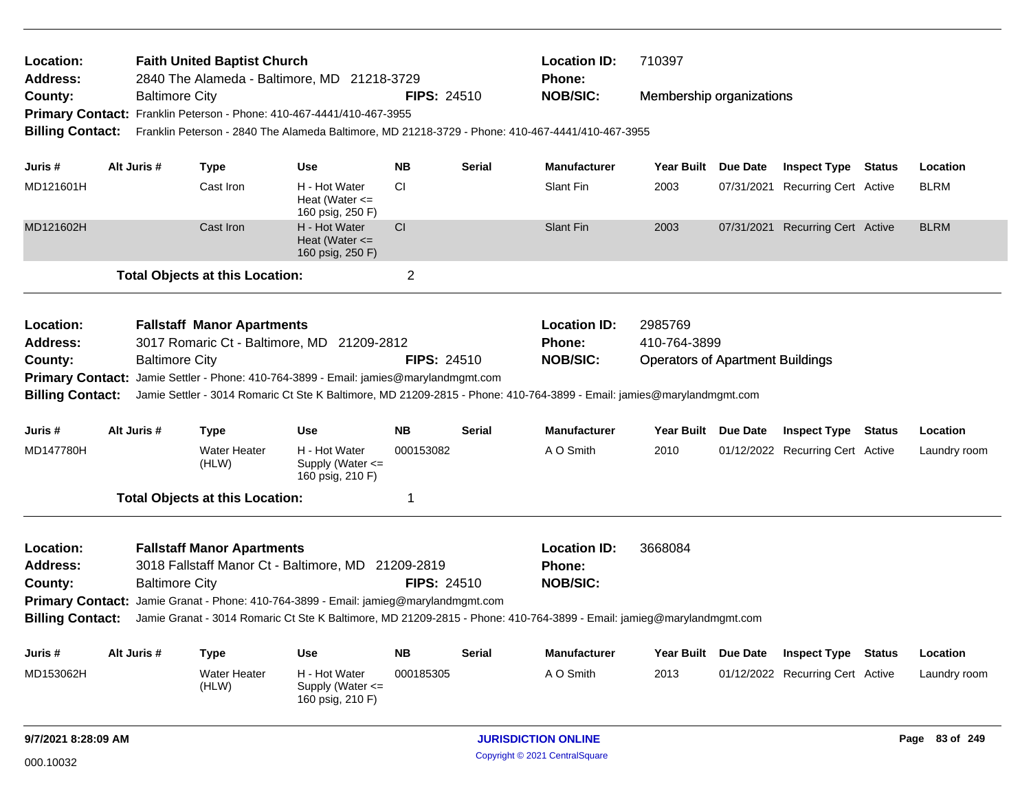| Location:<br><b>Address:</b>                                                                                                                                                                                                                                                                                                                                                                                                                                                                                                                                                                                                                                                                                                                                                                                                                                                                                                                                                                                                                                                                                                                                                                                                                                                                                                                                                                                                                                                                                                                                                                                                                                   |  |  |  |  | <b>Location ID:</b><br><b>Phone:</b> | 710397              |                 |                                  |               |              |
|----------------------------------------------------------------------------------------------------------------------------------------------------------------------------------------------------------------------------------------------------------------------------------------------------------------------------------------------------------------------------------------------------------------------------------------------------------------------------------------------------------------------------------------------------------------------------------------------------------------------------------------------------------------------------------------------------------------------------------------------------------------------------------------------------------------------------------------------------------------------------------------------------------------------------------------------------------------------------------------------------------------------------------------------------------------------------------------------------------------------------------------------------------------------------------------------------------------------------------------------------------------------------------------------------------------------------------------------------------------------------------------------------------------------------------------------------------------------------------------------------------------------------------------------------------------------------------------------------------------------------------------------------------------|--|--|--|--|--------------------------------------|---------------------|-----------------|----------------------------------|---------------|--------------|
| County:                                                                                                                                                                                                                                                                                                                                                                                                                                                                                                                                                                                                                                                                                                                                                                                                                                                                                                                                                                                                                                                                                                                                                                                                                                                                                                                                                                                                                                                                                                                                                                                                                                                        |  |  |  |  | <b>NOB/SIC:</b>                      |                     |                 |                                  |               |              |
| <b>Faith United Baptist Church</b><br>2840 The Alameda - Baltimore, MD 21218-3729<br><b>FIPS: 24510</b><br><b>Baltimore City</b><br>Primary Contact: Franklin Peterson - Phone: 410-467-4441/410-467-3955<br><b>Billing Contact:</b><br><b>NB</b><br>Alt Juris #<br><b>Serial</b><br>Juris #<br><b>Type</b><br>Use<br><b>CI</b><br>MD121601H<br>Cast Iron<br>H - Hot Water<br>Heat (Water $\leq$<br>160 psig, 250 F)<br>H - Hot Water<br><b>CI</b><br>MD121602H<br>Cast Iron<br>Heat (Water $\leq$<br>160 psig, 250 F)<br>$\overline{2}$<br><b>Total Objects at this Location:</b><br>Location:<br><b>Fallstaff Manor Apartments</b><br>Address:<br>3017 Romaric Ct - Baltimore, MD 21209-2812<br><b>Baltimore City</b><br><b>FIPS: 24510</b><br>County:<br><b>Primary Contact:</b> Jamie Settler - Phone: 410-764-3899 - Email: jamies@marylandmgmt.com<br><b>Billing Contact:</b><br>Alt Juris #<br><b>NB</b><br>Juris #<br><b>Use</b><br><b>Serial</b><br><b>Type</b><br>H - Hot Water<br>000153082<br>MD147780H<br><b>Water Heater</b><br>Supply (Water <=<br>(HLW)<br>160 psig, 210 F)<br><b>Total Objects at this Location:</b><br>1<br>Location:<br><b>Fallstaff Manor Apartments</b><br><b>Address:</b><br>3018 Fallstaff Manor Ct - Baltimore, MD 21209-2819<br><b>FIPS: 24510</b><br>County:<br><b>Baltimore City</b><br>Primary Contact: Jamie Granat - Phone: 410-764-3899 - Email: jamieg@marylandmgmt.com<br><b>Billing Contact:</b><br>Alt Juris #<br><b>NB</b><br><b>Use</b><br><b>Serial</b><br>Juris #<br><b>Type</b><br>H - Hot Water<br>MD153062H<br><b>Water Heater</b><br>000185305<br>(HLW)<br>Supply (Water $\leq$<br>160 psig, 210 F) |  |  |  |  |                                      |                     |                 |                                  |               |              |
|                                                                                                                                                                                                                                                                                                                                                                                                                                                                                                                                                                                                                                                                                                                                                                                                                                                                                                                                                                                                                                                                                                                                                                                                                                                                                                                                                                                                                                                                                                                                                                                                                                                                |  |  |  |  |                                      |                     |                 |                                  |               |              |
|                                                                                                                                                                                                                                                                                                                                                                                                                                                                                                                                                                                                                                                                                                                                                                                                                                                                                                                                                                                                                                                                                                                                                                                                                                                                                                                                                                                                                                                                                                                                                                                                                                                                |  |  |  |  | <b>Manufacturer</b>                  | <b>Year Built</b>   | <b>Due Date</b> |                                  | <b>Status</b> | Location     |
|                                                                                                                                                                                                                                                                                                                                                                                                                                                                                                                                                                                                                                                                                                                                                                                                                                                                                                                                                                                                                                                                                                                                                                                                                                                                                                                                                                                                                                                                                                                                                                                                                                                                |  |  |  |  | Slant Fin                            | 2003                |                 |                                  |               | <b>BLRM</b>  |
|                                                                                                                                                                                                                                                                                                                                                                                                                                                                                                                                                                                                                                                                                                                                                                                                                                                                                                                                                                                                                                                                                                                                                                                                                                                                                                                                                                                                                                                                                                                                                                                                                                                                |  |  |  |  | <b>Slant Fin</b>                     | 2003                |                 |                                  |               | <b>BLRM</b>  |
|                                                                                                                                                                                                                                                                                                                                                                                                                                                                                                                                                                                                                                                                                                                                                                                                                                                                                                                                                                                                                                                                                                                                                                                                                                                                                                                                                                                                                                                                                                                                                                                                                                                                |  |  |  |  |                                      |                     |                 |                                  |               |              |
|                                                                                                                                                                                                                                                                                                                                                                                                                                                                                                                                                                                                                                                                                                                                                                                                                                                                                                                                                                                                                                                                                                                                                                                                                                                                                                                                                                                                                                                                                                                                                                                                                                                                |  |  |  |  | <b>Location ID:</b>                  |                     |                 |                                  |               |              |
|                                                                                                                                                                                                                                                                                                                                                                                                                                                                                                                                                                                                                                                                                                                                                                                                                                                                                                                                                                                                                                                                                                                                                                                                                                                                                                                                                                                                                                                                                                                                                                                                                                                                |  |  |  |  | Phone:                               |                     |                 |                                  |               |              |
| Membership organizations<br>Franklin Peterson - 2840 The Alameda Baltimore, MD 21218-3729 - Phone: 410-467-4441/410-467-3955<br><b>Inspect Type</b><br>07/31/2021<br><b>Recurring Cert Active</b><br>07/31/2021 Recurring Cert Active<br>2985769<br>410-764-3899<br><b>NOB/SIC:</b><br><b>Operators of Apartment Buildings</b><br>Jamie Settler - 3014 Romaric Ct Ste K Baltimore, MD 21209-2815 - Phone: 410-764-3899 - Email: jamies@marylandmgmt.com<br><b>Manufacturer</b><br>Year Built Due Date<br><b>Inspect Type</b><br><b>Status</b><br>A O Smith<br>2010<br>01/12/2022 Recurring Cert Active<br><b>Location ID:</b><br>3668084<br>Phone:<br><b>NOB/SIC:</b><br>Jamie Granat - 3014 Romaric Ct Ste K Baltimore, MD 21209-2815 - Phone: 410-764-3899 - Email: jamieg@marylandmgmt.com                                                                                                                                                                                                                                                                                                                                                                                                                                                                                                                                                                                                                                                                                                                                                                                                                                                                  |  |  |  |  |                                      |                     |                 |                                  |               |              |
|                                                                                                                                                                                                                                                                                                                                                                                                                                                                                                                                                                                                                                                                                                                                                                                                                                                                                                                                                                                                                                                                                                                                                                                                                                                                                                                                                                                                                                                                                                                                                                                                                                                                |  |  |  |  |                                      |                     |                 |                                  |               |              |
|                                                                                                                                                                                                                                                                                                                                                                                                                                                                                                                                                                                                                                                                                                                                                                                                                                                                                                                                                                                                                                                                                                                                                                                                                                                                                                                                                                                                                                                                                                                                                                                                                                                                |  |  |  |  |                                      |                     |                 |                                  |               |              |
|                                                                                                                                                                                                                                                                                                                                                                                                                                                                                                                                                                                                                                                                                                                                                                                                                                                                                                                                                                                                                                                                                                                                                                                                                                                                                                                                                                                                                                                                                                                                                                                                                                                                |  |  |  |  |                                      |                     |                 |                                  |               | Location     |
|                                                                                                                                                                                                                                                                                                                                                                                                                                                                                                                                                                                                                                                                                                                                                                                                                                                                                                                                                                                                                                                                                                                                                                                                                                                                                                                                                                                                                                                                                                                                                                                                                                                                |  |  |  |  |                                      |                     |                 |                                  |               | Laundry room |
|                                                                                                                                                                                                                                                                                                                                                                                                                                                                                                                                                                                                                                                                                                                                                                                                                                                                                                                                                                                                                                                                                                                                                                                                                                                                                                                                                                                                                                                                                                                                                                                                                                                                |  |  |  |  |                                      |                     |                 |                                  |               |              |
|                                                                                                                                                                                                                                                                                                                                                                                                                                                                                                                                                                                                                                                                                                                                                                                                                                                                                                                                                                                                                                                                                                                                                                                                                                                                                                                                                                                                                                                                                                                                                                                                                                                                |  |  |  |  |                                      |                     |                 |                                  |               |              |
|                                                                                                                                                                                                                                                                                                                                                                                                                                                                                                                                                                                                                                                                                                                                                                                                                                                                                                                                                                                                                                                                                                                                                                                                                                                                                                                                                                                                                                                                                                                                                                                                                                                                |  |  |  |  |                                      |                     |                 |                                  |               |              |
|                                                                                                                                                                                                                                                                                                                                                                                                                                                                                                                                                                                                                                                                                                                                                                                                                                                                                                                                                                                                                                                                                                                                                                                                                                                                                                                                                                                                                                                                                                                                                                                                                                                                |  |  |  |  |                                      |                     |                 |                                  |               |              |
|                                                                                                                                                                                                                                                                                                                                                                                                                                                                                                                                                                                                                                                                                                                                                                                                                                                                                                                                                                                                                                                                                                                                                                                                                                                                                                                                                                                                                                                                                                                                                                                                                                                                |  |  |  |  |                                      |                     |                 |                                  |               |              |
|                                                                                                                                                                                                                                                                                                                                                                                                                                                                                                                                                                                                                                                                                                                                                                                                                                                                                                                                                                                                                                                                                                                                                                                                                                                                                                                                                                                                                                                                                                                                                                                                                                                                |  |  |  |  |                                      |                     |                 |                                  |               |              |
|                                                                                                                                                                                                                                                                                                                                                                                                                                                                                                                                                                                                                                                                                                                                                                                                                                                                                                                                                                                                                                                                                                                                                                                                                                                                                                                                                                                                                                                                                                                                                                                                                                                                |  |  |  |  | <b>Manufacturer</b>                  | Year Built Due Date |                 | <b>Inspect Type</b>              | <b>Status</b> | Location     |
|                                                                                                                                                                                                                                                                                                                                                                                                                                                                                                                                                                                                                                                                                                                                                                                                                                                                                                                                                                                                                                                                                                                                                                                                                                                                                                                                                                                                                                                                                                                                                                                                                                                                |  |  |  |  | A O Smith                            | 2013                |                 | 01/12/2022 Recurring Cert Active |               | Laundry room |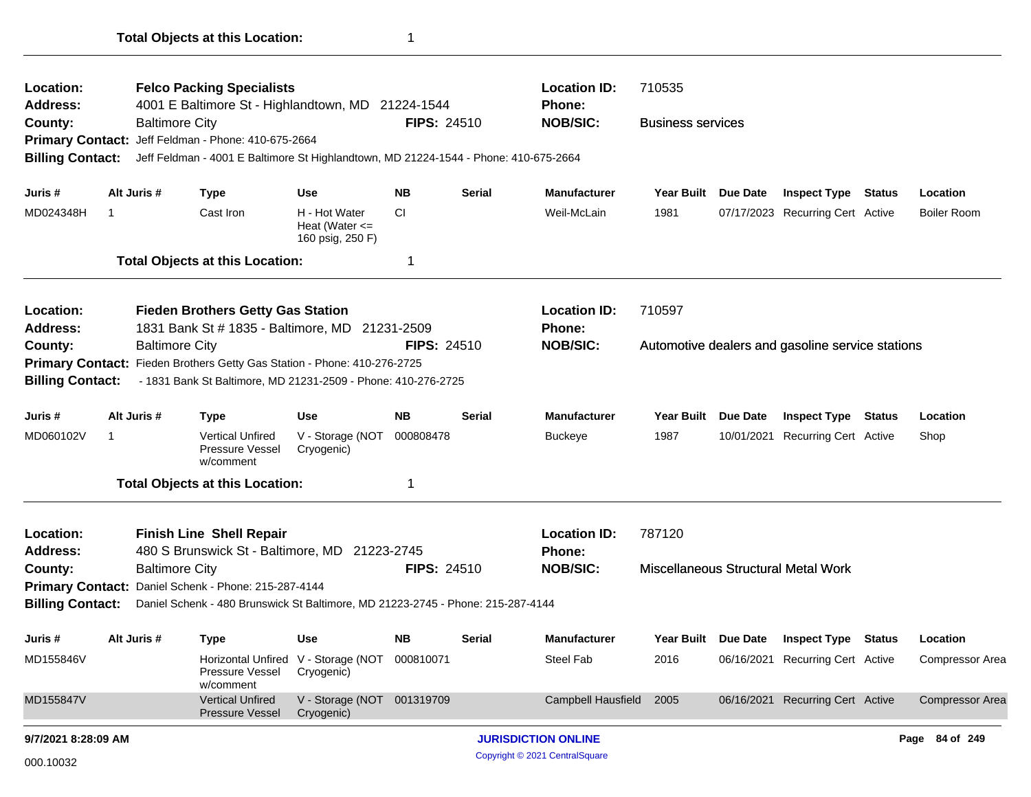| Location:               |   |                       | <b>Felco Packing Specialists</b>                                                     |                                                             |                    |               | <b>Location ID:</b>            | 710535                   |                 |                                                  |        |                        |
|-------------------------|---|-----------------------|--------------------------------------------------------------------------------------|-------------------------------------------------------------|--------------------|---------------|--------------------------------|--------------------------|-----------------|--------------------------------------------------|--------|------------------------|
| Address:                |   |                       | 4001 E Baltimore St - Highlandtown, MD 21224-1544                                    |                                                             |                    |               | <b>Phone:</b>                  |                          |                 |                                                  |        |                        |
| County:                 |   | <b>Baltimore City</b> | Primary Contact: Jeff Feldman - Phone: 410-675-2664                                  |                                                             | <b>FIPS: 24510</b> |               | <b>NOB/SIC:</b>                | <b>Business services</b> |                 |                                                  |        |                        |
| <b>Billing Contact:</b> |   |                       | Jeff Feldman - 4001 E Baltimore St Highlandtown, MD 21224-1544 - Phone: 410-675-2664 |                                                             |                    |               |                                |                          |                 |                                                  |        |                        |
|                         |   |                       |                                                                                      |                                                             |                    |               |                                |                          |                 |                                                  |        |                        |
| Juris #                 |   | Alt Juris #           | <b>Type</b>                                                                          | <b>Use</b>                                                  | <b>NB</b>          | <b>Serial</b> | <b>Manufacturer</b>            | <b>Year Built</b>        | Due Date        | <b>Inspect Type</b>                              | Status | Location               |
| MD024348H               | 1 |                       | Cast Iron                                                                            | H - Hot Water<br>Heat (Water $\leq$<br>160 psig, 250 F)     | СI                 |               | Weil-McLain                    | 1981                     |                 | 07/17/2023 Recurring Cert Active                 |        | <b>Boiler Room</b>     |
|                         |   |                       | <b>Total Objects at this Location:</b>                                               |                                                             | 1                  |               |                                |                          |                 |                                                  |        |                        |
| Location:               |   |                       | <b>Fieden Brothers Getty Gas Station</b>                                             |                                                             |                    |               | <b>Location ID:</b>            | 710597                   |                 |                                                  |        |                        |
| <b>Address:</b>         |   |                       | 1831 Bank St # 1835 - Baltimore, MD 21231-2509                                       |                                                             |                    |               | <b>Phone:</b>                  |                          |                 |                                                  |        |                        |
| County:                 |   | <b>Baltimore City</b> |                                                                                      |                                                             | <b>FIPS: 24510</b> |               | <b>NOB/SIC:</b>                |                          |                 | Automotive dealers and gasoline service stations |        |                        |
|                         |   |                       | Primary Contact: Fieden Brothers Getty Gas Station - Phone: 410-276-2725             |                                                             |                    |               |                                |                          |                 |                                                  |        |                        |
| <b>Billing Contact:</b> |   |                       | - 1831 Bank St Baltimore, MD 21231-2509 - Phone: 410-276-2725                        |                                                             |                    |               |                                |                          |                 |                                                  |        |                        |
| Juris #                 |   | Alt Juris #           | <b>Type</b>                                                                          | <b>Use</b>                                                  | <b>NB</b>          | <b>Serial</b> | <b>Manufacturer</b>            | <b>Year Built</b>        | <b>Due Date</b> | <b>Inspect Type Status</b>                       |        | Location               |
| MD060102V               | 1 |                       | <b>Vertical Unfired</b><br>Pressure Vessel<br>w/comment                              | V - Storage (NOT 000808478<br>Cryogenic)                    |                    |               | <b>Buckeye</b>                 | 1987                     | 10/01/2021      | <b>Recurring Cert Active</b>                     |        | Shop                   |
|                         |   |                       | <b>Total Objects at this Location:</b>                                               |                                                             | 1                  |               |                                |                          |                 |                                                  |        |                        |
| Location:               |   |                       | <b>Finish Line Shell Repair</b>                                                      |                                                             |                    |               | <b>Location ID:</b>            | 787120                   |                 |                                                  |        |                        |
| <b>Address:</b>         |   |                       | 480 S Brunswick St - Baltimore, MD 21223-2745                                        |                                                             |                    |               | <b>Phone:</b>                  |                          |                 |                                                  |        |                        |
| County:                 |   | <b>Baltimore City</b> |                                                                                      |                                                             | <b>FIPS: 24510</b> |               | <b>NOB/SIC:</b>                |                          |                 | Miscellaneous Structural Metal Work              |        |                        |
|                         |   |                       | Primary Contact: Daniel Schenk - Phone: 215-287-4144                                 |                                                             |                    |               |                                |                          |                 |                                                  |        |                        |
| <b>Billing Contact:</b> |   |                       | Daniel Schenk - 480 Brunswick St Baltimore, MD 21223-2745 - Phone: 215-287-4144      |                                                             |                    |               |                                |                          |                 |                                                  |        |                        |
| Juris #                 |   | Alt Juris #           | Type                                                                                 | <b>Use</b>                                                  | <b>NB</b>          | <b>Serial</b> | Manufacturer                   | Year Built               | Due Date        | <b>Inspect Type Status</b>                       |        | Location               |
| MD155846V               |   |                       | Pressure Vessel<br>w/comment                                                         | Horizontal Unfired V - Storage (NOT 000810071<br>Cryogenic) |                    |               | <b>Steel Fab</b>               | 2016                     |                 | 06/16/2021 Recurring Cert Active                 |        | <b>Compressor Area</b> |
| MD155847V               |   |                       | <b>Vertical Unfired</b><br><b>Pressure Vessel</b>                                    | V - Storage (NOT 001319709<br>Cryogenic)                    |                    |               | Campbell Hausfield             | 2005                     |                 | 06/16/2021 Recurring Cert Active                 |        | <b>Compressor Area</b> |
| 9/7/2021 8:28:09 AM     |   |                       |                                                                                      |                                                             |                    |               | <b>JURISDICTION ONLINE</b>     |                          |                 |                                                  |        | Page 84 of 249         |
| 000.10032               |   |                       |                                                                                      |                                                             |                    |               | Copyright © 2021 CentralSquare |                          |                 |                                                  |        |                        |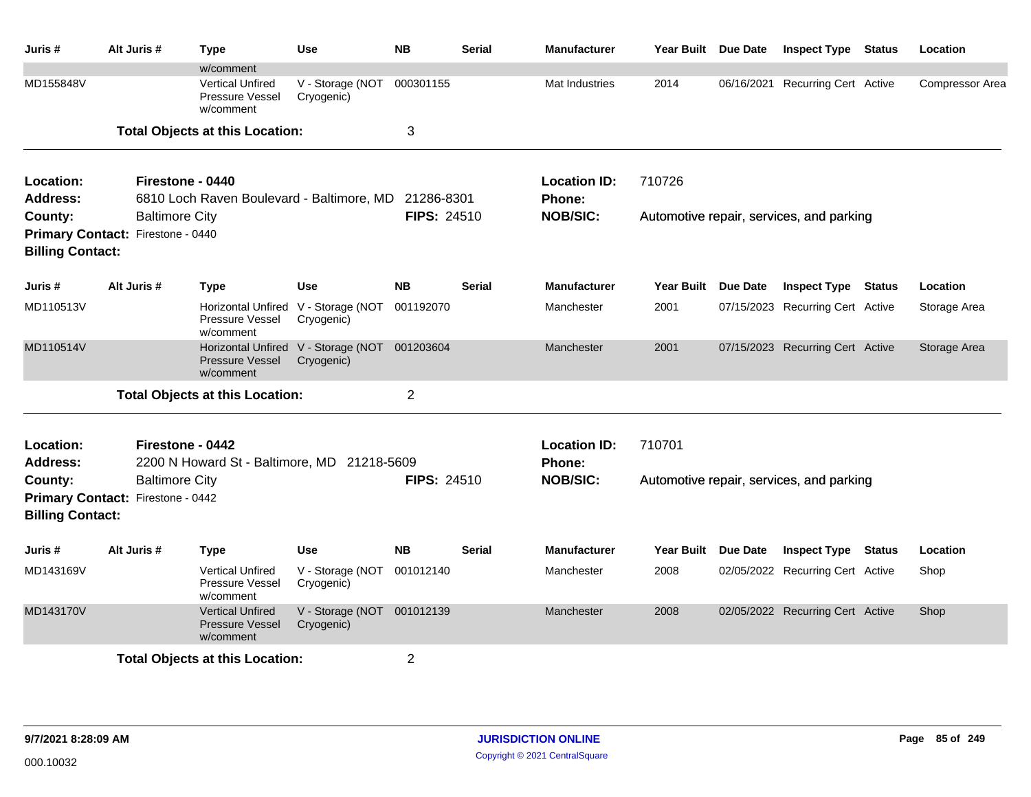| Juris #                 | Alt Juris #                       | <b>Type</b>                                                    | <b>Use</b>                                        | <b>NB</b>          | <b>Serial</b> | <b>Manufacturer</b> | Year Built Due Date |          | <b>Inspect Type</b>                      | <b>Status</b> | Location               |
|-------------------------|-----------------------------------|----------------------------------------------------------------|---------------------------------------------------|--------------------|---------------|---------------------|---------------------|----------|------------------------------------------|---------------|------------------------|
|                         |                                   | w/comment                                                      |                                                   |                    |               |                     |                     |          |                                          |               |                        |
| MD155848V               |                                   | <b>Vertical Unfired</b><br>Pressure Vessel<br>w/comment        | V - Storage (NOT<br>Cryogenic)                    | 000301155          |               | Mat Industries      | 2014                |          | 06/16/2021 Recurring Cert Active         |               | <b>Compressor Area</b> |
|                         |                                   | <b>Total Objects at this Location:</b>                         |                                                   | 3                  |               |                     |                     |          |                                          |               |                        |
| Location:               |                                   | Firestone - 0440                                               |                                                   |                    |               | <b>Location ID:</b> | 710726              |          |                                          |               |                        |
| Address:                |                                   | 6810 Loch Raven Boulevard - Baltimore, MD                      |                                                   | 21286-8301         |               | <b>Phone:</b>       |                     |          |                                          |               |                        |
| County:                 | <b>Baltimore City</b>             |                                                                |                                                   | FIPS: 24510        |               | <b>NOB/SIC:</b>     |                     |          | Automotive repair, services, and parking |               |                        |
|                         | Primary Contact: Firestone - 0440 |                                                                |                                                   |                    |               |                     |                     |          |                                          |               |                        |
| <b>Billing Contact:</b> |                                   |                                                                |                                                   |                    |               |                     |                     |          |                                          |               |                        |
| Juris #                 | Alt Juris #                       | <b>Type</b>                                                    | <b>Use</b>                                        | <b>NB</b>          | <b>Serial</b> | Manufacturer        | Year Built          | Due Date | <b>Inspect Type</b>                      | <b>Status</b> | Location               |
| MD110513V               |                                   | <b>Pressure Vessel</b><br>w/comment                            | Horizontal Unfired V - Storage (NOT<br>Cryogenic) | 001192070          |               | Manchester          | 2001                |          | 07/15/2023 Recurring Cert Active         |               | Storage Area           |
| MD110514V               |                                   | Pressure Vessel<br>w/comment                                   | Horizontal Unfired V - Storage (NOT<br>Cryogenic) | 001203604          |               | Manchester          | 2001                |          | 07/15/2023 Recurring Cert Active         |               | Storage Area           |
|                         |                                   | <b>Total Objects at this Location:</b>                         |                                                   | $\overline{2}$     |               |                     |                     |          |                                          |               |                        |
| Location:               |                                   | Firestone - 0442                                               |                                                   |                    |               | <b>Location ID:</b> | 710701              |          |                                          |               |                        |
| <b>Address:</b>         |                                   | 2200 N Howard St - Baltimore, MD 21218-5609                    |                                                   |                    |               | <b>Phone:</b>       |                     |          |                                          |               |                        |
| County:                 | <b>Baltimore City</b>             |                                                                |                                                   | <b>FIPS: 24510</b> |               | <b>NOB/SIC:</b>     |                     |          | Automotive repair, services, and parking |               |                        |
|                         | Primary Contact: Firestone - 0442 |                                                                |                                                   |                    |               |                     |                     |          |                                          |               |                        |
| <b>Billing Contact:</b> |                                   |                                                                |                                                   |                    |               |                     |                     |          |                                          |               |                        |
| Juris #                 | Alt Juris #                       | <b>Type</b>                                                    | <b>Use</b>                                        | <b>NB</b>          | <b>Serial</b> | <b>Manufacturer</b> | <b>Year Built</b>   | Due Date | <b>Inspect Type</b>                      | <b>Status</b> | Location               |
| MD143169V               |                                   | <b>Vertical Unfired</b><br><b>Pressure Vessel</b><br>w/comment | V - Storage (NOT<br>Cryogenic)                    | 001012140          |               | Manchester          | 2008                |          | 02/05/2022 Recurring Cert Active         |               | Shop                   |
| MD143170V               |                                   | <b>Vertical Unfired</b><br><b>Pressure Vessel</b><br>w/comment | V - Storage (NOT<br>Cryogenic)                    | 001012139          |               | Manchester          | 2008                |          | 02/05/2022 Recurring Cert Active         |               | Shop                   |
|                         |                                   | <b>Total Objects at this Location:</b>                         |                                                   | 2                  |               |                     |                     |          |                                          |               |                        |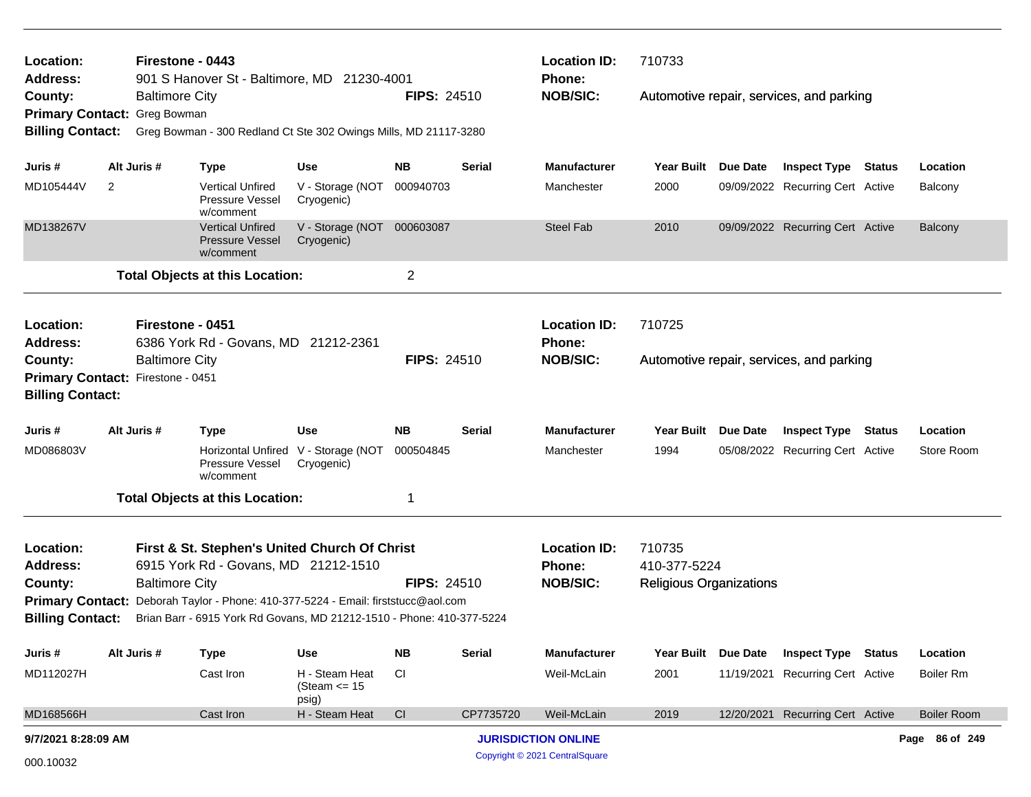| Location:<br><b>Address:</b>                                       |                                                                                                                                                                                       | Firestone - 0443      | 901 S Hanover St - Baltimore, MD 21230-4001                                           |                                            |                    |               | <b>Location ID:</b><br>710733<br><b>Phone:</b> |                                |          |                                          |               |                    |
|--------------------------------------------------------------------|---------------------------------------------------------------------------------------------------------------------------------------------------------------------------------------|-----------------------|---------------------------------------------------------------------------------------|--------------------------------------------|--------------------|---------------|------------------------------------------------|--------------------------------|----------|------------------------------------------|---------------|--------------------|
| County:<br>Primary Contact: Greg Bowman<br><b>Billing Contact:</b> |                                                                                                                                                                                       | <b>Baltimore City</b> | Greg Bowman - 300 Redland Ct Ste 302 Owings Mills, MD 21117-3280                      |                                            | <b>FIPS: 24510</b> |               | <b>NOB/SIC:</b>                                |                                |          | Automotive repair, services, and parking |               |                    |
|                                                                    |                                                                                                                                                                                       |                       |                                                                                       |                                            |                    |               |                                                |                                |          |                                          |               |                    |
| Juris #                                                            |                                                                                                                                                                                       | Alt Juris #           | <b>Type</b>                                                                           | Use                                        | NΒ                 | <b>Serial</b> | <b>Manufacturer</b>                            | Year Built                     | Due Date | <b>Inspect Type</b>                      | Status        | Location           |
| MD105444V                                                          | 2                                                                                                                                                                                     |                       | <b>Vertical Unfired</b><br><b>Pressure Vessel</b><br>w/comment                        | V - Storage (NOT<br>Cryogenic)             | 000940703          |               | Manchester                                     | 2000                           |          | 09/09/2022 Recurring Cert Active         |               | Balcony            |
| MD138267V                                                          |                                                                                                                                                                                       |                       | <b>Vertical Unfired</b><br><b>Pressure Vessel</b><br>w/comment                        | V - Storage (NOT 000603087<br>Cryogenic)   |                    |               | <b>Steel Fab</b>                               | 2010                           |          | 09/09/2022 Recurring Cert Active         |               | Balcony            |
|                                                                    |                                                                                                                                                                                       |                       | <b>Total Objects at this Location:</b>                                                |                                            | $\overline{c}$     |               |                                                |                                |          |                                          |               |                    |
| Location:                                                          |                                                                                                                                                                                       | Firestone - 0451      |                                                                                       |                                            |                    |               | <b>Location ID:</b>                            | 710725                         |          |                                          |               |                    |
| <b>Address:</b>                                                    |                                                                                                                                                                                       |                       | 6386 York Rd - Govans, MD 21212-2361                                                  |                                            |                    |               | <b>Phone:</b>                                  |                                |          |                                          |               |                    |
| County:                                                            |                                                                                                                                                                                       | <b>Baltimore City</b> |                                                                                       |                                            | <b>FIPS: 24510</b> |               | <b>NOB/SIC:</b>                                |                                |          | Automotive repair, services, and parking |               |                    |
| Primary Contact: Firestone - 0451                                  |                                                                                                                                                                                       |                       |                                                                                       |                                            |                    |               |                                                |                                |          |                                          |               |                    |
|                                                                    | <b>Billing Contact:</b>                                                                                                                                                               |                       |                                                                                       |                                            |                    |               |                                                |                                |          |                                          |               |                    |
| Juris #                                                            |                                                                                                                                                                                       | Alt Juris #           | <b>Type</b>                                                                           | <b>Use</b>                                 | <b>NB</b>          | <b>Serial</b> | <b>Manufacturer</b>                            | Year Built                     | Due Date | <b>Inspect Type</b>                      | <b>Status</b> | Location           |
| MD086803V                                                          |                                                                                                                                                                                       |                       | <b>Horizontal Unfired</b><br><b>Pressure Vessel</b><br>w/comment                      | V - Storage (NOT<br>Cryogenic)             | 000504845          |               | Manchester                                     | 1994                           |          | 05/08/2022 Recurring Cert Active         |               | Store Room         |
|                                                                    |                                                                                                                                                                                       |                       | <b>Total Objects at this Location:</b>                                                |                                            | 1                  |               |                                                |                                |          |                                          |               |                    |
| Location:<br><b>Address:</b>                                       |                                                                                                                                                                                       |                       | First & St. Stephen's United Church Of Christ<br>6915 York Rd - Govans, MD 21212-1510 |                                            |                    |               | <b>Location ID:</b><br><b>Phone:</b>           | 710735<br>410-377-5224         |          |                                          |               |                    |
| County:                                                            |                                                                                                                                                                                       | <b>Baltimore City</b> |                                                                                       |                                            | <b>FIPS: 24510</b> |               | <b>NOB/SIC:</b>                                | <b>Religious Organizations</b> |          |                                          |               |                    |
|                                                                    |                                                                                                                                                                                       |                       |                                                                                       |                                            |                    |               |                                                |                                |          |                                          |               |                    |
|                                                                    | Primary Contact: Deborah Taylor - Phone: 410-377-5224 - Email: firststucc@aol.com<br><b>Billing Contact:</b><br>Brian Barr - 6915 York Rd Govans, MD 21212-1510 - Phone: 410-377-5224 |                       |                                                                                       |                                            |                    |               |                                                |                                |          |                                          |               |                    |
| Juris #                                                            |                                                                                                                                                                                       | Alt Juris #           | <b>Type</b>                                                                           | Use                                        | <b>NB</b>          | <b>Serial</b> | <b>Manufacturer</b>                            | <b>Year Built</b>              | Due Date | <b>Inspect Type Status</b>               |               | Location           |
| MD112027H                                                          |                                                                                                                                                                                       |                       | Cast Iron                                                                             | H - Steam Heat<br>(Steam $\le$ 15<br>psig) | <b>CI</b>          |               | Weil-McLain                                    | 2001                           |          | 11/19/2021 Recurring Cert Active         |               | <b>Boiler Rm</b>   |
| MD168566H                                                          |                                                                                                                                                                                       |                       | Cast Iron                                                                             | H - Steam Heat                             | CI                 | CP7735720     | Weil-McLain                                    | 2019                           |          | 12/20/2021 Recurring Cert Active         |               | <b>Boiler Room</b> |
| 9/7/2021 8:28:09 AM                                                |                                                                                                                                                                                       |                       |                                                                                       |                                            |                    |               | <b>JURISDICTION ONLINE</b>                     |                                |          |                                          |               | Page 86 of 249     |
| 000.10032                                                          |                                                                                                                                                                                       |                       |                                                                                       |                                            |                    |               | Copyright © 2021 CentralSquare                 |                                |          |                                          |               |                    |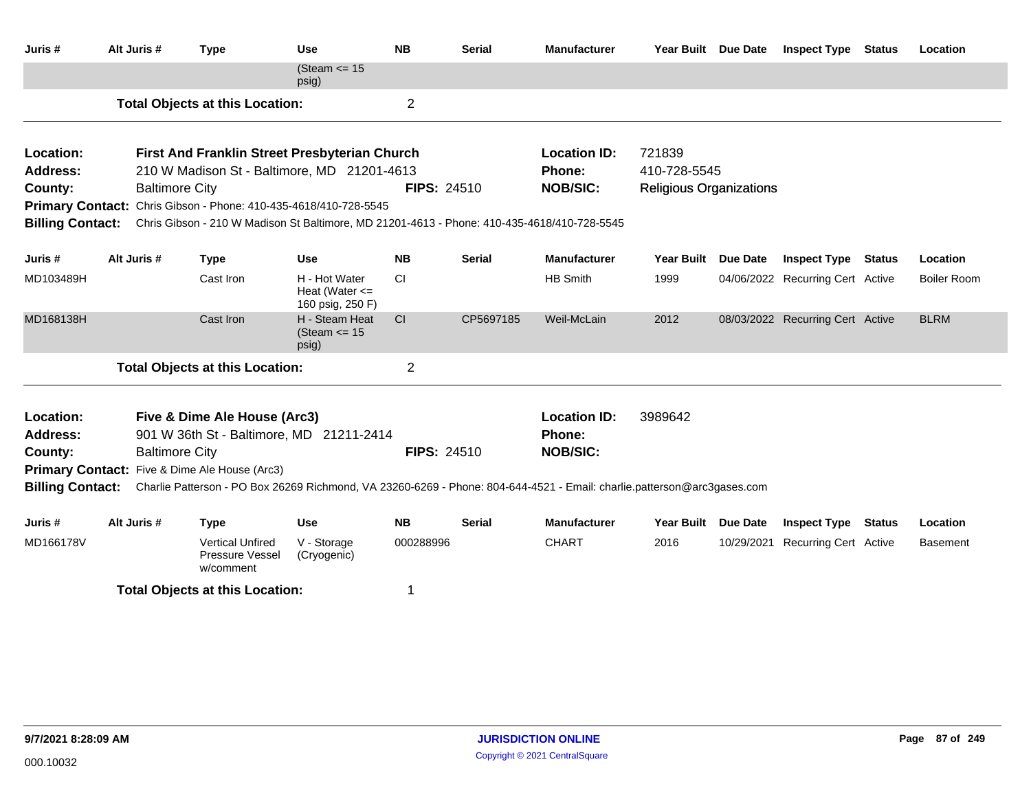| Juris #                                                                                                                                                                                             | Alt Juris # |                       | <b>Type</b>                                                                                 | <b>Use</b>                                              | <b>NB</b>          | <b>Serial</b> | <b>Manufacturer</b>           | Year Built Due Date            | <b>Inspect Type</b>              | <b>Status</b> | Location           |
|-----------------------------------------------------------------------------------------------------------------------------------------------------------------------------------------------------|-------------|-----------------------|---------------------------------------------------------------------------------------------|---------------------------------------------------------|--------------------|---------------|-------------------------------|--------------------------------|----------------------------------|---------------|--------------------|
|                                                                                                                                                                                                     |             |                       |                                                                                             | (Steam $\leq$ 15<br>psig)                               |                    |               |                               |                                |                                  |               |                    |
|                                                                                                                                                                                                     |             |                       | <b>Total Objects at this Location:</b>                                                      |                                                         | 2                  |               |                               |                                |                                  |               |                    |
| Location:                                                                                                                                                                                           |             |                       | First And Franklin Street Presbyterian Church                                               |                                                         |                    |               | <b>Location ID:</b>           | 721839                         |                                  |               |                    |
| <b>Address:</b>                                                                                                                                                                                     |             |                       | 210 W Madison St - Baltimore, MD 21201-4613                                                 |                                                         |                    |               | Phone:                        | 410-728-5545                   |                                  |               |                    |
| County:                                                                                                                                                                                             |             | <b>Baltimore City</b> | Primary Contact: Chris Gibson - Phone: 410-435-4618/410-728-5545                            |                                                         | <b>FIPS: 24510</b> |               | <b>NOB/SIC:</b>               | <b>Religious Organizations</b> |                                  |               |                    |
| <b>Billing Contact:</b>                                                                                                                                                                             |             |                       | Chris Gibson - 210 W Madison St Baltimore, MD 21201-4613 - Phone: 410-435-4618/410-728-5545 |                                                         |                    |               |                               |                                |                                  |               |                    |
| Juris #                                                                                                                                                                                             | Alt Juris # |                       | <b>Type</b>                                                                                 | <b>Use</b>                                              | <b>NB</b>          | <b>Serial</b> | <b>Manufacturer</b>           | Year Built Due Date            | <b>Inspect Type Status</b>       |               | Location           |
| MD103489H                                                                                                                                                                                           |             |                       | Cast Iron                                                                                   | H - Hot Water<br>Heat (Water $\leq$<br>160 psig, 250 F) | <b>CI</b>          |               | <b>HB Smith</b>               | 1999                           | 04/06/2022 Recurring Cert Active |               | <b>Boiler Room</b> |
| MD168138H                                                                                                                                                                                           |             |                       | Cast Iron                                                                                   | H - Steam Heat<br>(Steam $\leq$ 15<br>psig)             | CI                 | CP5697185     | Weil-McLain                   | 2012                           | 08/03/2022 Recurring Cert Active |               | <b>BLRM</b>        |
|                                                                                                                                                                                                     |             |                       | <b>Total Objects at this Location:</b>                                                      |                                                         | $\overline{2}$     |               |                               |                                |                                  |               |                    |
| Location:<br><b>Address:</b>                                                                                                                                                                        |             |                       | Five & Dime Ale House (Arc3)<br>901 W 36th St - Baltimore, MD 21211-2414                    |                                                         |                    |               | <b>Location ID:</b><br>Phone: | 3989642                        |                                  |               |                    |
| County:                                                                                                                                                                                             |             | <b>Baltimore City</b> |                                                                                             |                                                         | <b>FIPS: 24510</b> |               | <b>NOB/SIC:</b>               |                                |                                  |               |                    |
| Primary Contact: Five & Dime Ale House (Arc3)<br>Charlie Patterson - PO Box 26269 Richmond, VA 23260-6269 - Phone: 804-644-4521 - Email: charlie.patterson@arc3gases.com<br><b>Billing Contact:</b> |             |                       |                                                                                             |                                                         |                    |               |                               |                                |                                  |               |                    |
| Juris #                                                                                                                                                                                             | Alt Juris # |                       | <b>Type</b>                                                                                 | <b>Use</b>                                              | <b>NB</b>          | <b>Serial</b> | <b>Manufacturer</b>           | Year Built Due Date            | <b>Inspect Type</b>              | <b>Status</b> | Location           |
| MD166178V                                                                                                                                                                                           |             |                       | <b>Vertical Unfired</b><br>Pressure Vessel<br>w/comment                                     | V - Storage<br>(Cryogenic)                              | 000288996          |               | <b>CHART</b>                  | 2016                           | 10/29/2021 Recurring Cert Active |               | <b>Basement</b>    |
| <b>Total Objects at this Location:</b><br>1                                                                                                                                                         |             |                       |                                                                                             |                                                         |                    |               |                               |                                |                                  |               |                    |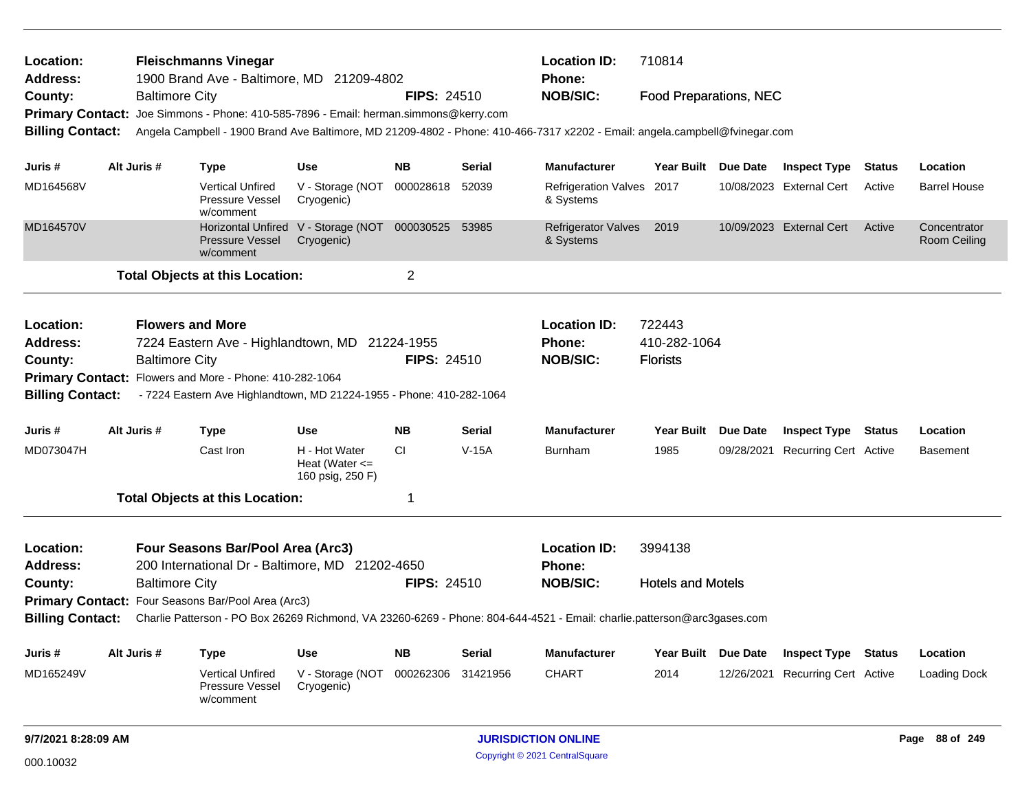| Location:<br><b>Address:</b> |                                                                                                                                          |                         | <b>Fleischmanns Vinegar</b><br>1900 Brand Ave - Baltimore, MD 21209-4802 |                                                             |                    |               | <b>Location ID:</b><br><b>Phone:</b>                                                                                        | 710814                   |                     |                                  |               |                                     |
|------------------------------|------------------------------------------------------------------------------------------------------------------------------------------|-------------------------|--------------------------------------------------------------------------|-------------------------------------------------------------|--------------------|---------------|-----------------------------------------------------------------------------------------------------------------------------|--------------------------|---------------------|----------------------------------|---------------|-------------------------------------|
| County:                      |                                                                                                                                          | <b>Baltimore City</b>   |                                                                          |                                                             | <b>FIPS: 24510</b> |               | <b>NOB/SIC:</b>                                                                                                             | Food Preparations, NEC   |                     |                                  |               |                                     |
| <b>Primary Contact:</b>      |                                                                                                                                          |                         | Joe Simmons - Phone: 410-585-7896 - Email: herman.simmons@kerry.com      |                                                             |                    |               |                                                                                                                             |                          |                     |                                  |               |                                     |
| <b>Billing Contact:</b>      |                                                                                                                                          |                         |                                                                          |                                                             |                    |               | Angela Campbell - 1900 Brand Ave Baltimore, MD 21209-4802 - Phone: 410-466-7317 x2202 - Email: angela.campbell@fvinegar.com |                          |                     |                                  |               |                                     |
| Juris #                      |                                                                                                                                          | Alt Juris #             | <b>Type</b>                                                              | Use                                                         | <b>NB</b>          | Serial        | <b>Manufacturer</b>                                                                                                         | <b>Year Built</b>        | Due Date            | <b>Inspect Type</b>              | <b>Status</b> | Location                            |
| MD164568V                    |                                                                                                                                          |                         | <b>Vertical Unfired</b><br>Pressure Vessel<br>w/comment                  | V - Storage (NOT 000028618<br>Cryogenic)                    |                    | 52039         | Refrigeration Valves 2017<br>& Systems                                                                                      |                          |                     | 10/08/2023 External Cert         | Active        | <b>Barrel House</b>                 |
| MD164570V                    |                                                                                                                                          |                         | <b>Pressure Vessel</b><br>w/comment                                      | Horizontal Unfired V - Storage (NOT 000030525<br>Cryogenic) |                    | 53985         | <b>Refrigerator Valves</b><br>& Systems                                                                                     | 2019                     |                     | 10/09/2023 External Cert         | Active        | Concentrator<br><b>Room Ceiling</b> |
|                              |                                                                                                                                          |                         | <b>Total Objects at this Location:</b>                                   |                                                             | $\overline{c}$     |               |                                                                                                                             |                          |                     |                                  |               |                                     |
| Location:                    |                                                                                                                                          | <b>Flowers and More</b> |                                                                          |                                                             |                    |               | <b>Location ID:</b>                                                                                                         | 722443                   |                     |                                  |               |                                     |
| <b>Address:</b>              |                                                                                                                                          |                         | 7224 Eastern Ave - Highlandtown, MD 21224-1955                           |                                                             |                    |               | Phone:                                                                                                                      | 410-282-1064             |                     |                                  |               |                                     |
| County:                      |                                                                                                                                          | <b>Baltimore City</b>   |                                                                          |                                                             | <b>FIPS: 24510</b> |               | <b>NOB/SIC:</b>                                                                                                             | <b>Florists</b>          |                     |                                  |               |                                     |
|                              | Primary Contact: Flowers and More - Phone: 410-282-1064                                                                                  |                         |                                                                          |                                                             |                    |               |                                                                                                                             |                          |                     |                                  |               |                                     |
| <b>Billing Contact:</b>      | - 7224 Eastern Ave Highlandtown, MD 21224-1955 - Phone: 410-282-1064                                                                     |                         |                                                                          |                                                             |                    |               |                                                                                                                             |                          |                     |                                  |               |                                     |
| Juris #                      |                                                                                                                                          | Alt Juris #             | <b>Type</b>                                                              | Use                                                         | <b>NB</b>          | Serial        | <b>Manufacturer</b>                                                                                                         | Year Built               | Due Date            | <b>Inspect Type</b>              | Status        | Location                            |
| MD073047H                    |                                                                                                                                          |                         | Cast Iron                                                                | H - Hot Water<br>Heat (Water $\leq$<br>160 psig, 250 F)     | CI.                | $V-15A$       | <b>Burnham</b>                                                                                                              | 1985                     |                     | 09/28/2021 Recurring Cert Active |               | Basement                            |
|                              |                                                                                                                                          |                         | <b>Total Objects at this Location:</b>                                   |                                                             | 1                  |               |                                                                                                                             |                          |                     |                                  |               |                                     |
| Location:                    |                                                                                                                                          |                         | Four Seasons Bar/Pool Area (Arc3)                                        |                                                             |                    |               | <b>Location ID:</b>                                                                                                         | 3994138                  |                     |                                  |               |                                     |
| Address:                     |                                                                                                                                          |                         | 200 International Dr - Baltimore, MD 21202-4650                          |                                                             |                    |               | <b>Phone:</b>                                                                                                               |                          |                     |                                  |               |                                     |
| County:                      |                                                                                                                                          | <b>Baltimore City</b>   |                                                                          |                                                             | <b>FIPS: 24510</b> |               | <b>NOB/SIC:</b>                                                                                                             | <b>Hotels and Motels</b> |                     |                                  |               |                                     |
|                              |                                                                                                                                          |                         | Primary Contact: Four Seasons Bar/Pool Area (Arc3)                       |                                                             |                    |               |                                                                                                                             |                          |                     |                                  |               |                                     |
|                              | Billing Contact: Charlie Patterson - PO Box 26269 Richmond, VA 23260-6269 - Phone: 804-644-4521 - Email: charlie.patterson@arc3gases.com |                         |                                                                          |                                                             |                    |               |                                                                                                                             |                          |                     |                                  |               |                                     |
| Juris #                      |                                                                                                                                          | Alt Juris #             | <b>Type</b>                                                              | <b>Use</b>                                                  | <b>NB</b>          | <b>Serial</b> | <b>Manufacturer</b>                                                                                                         |                          | Year Built Due Date | <b>Inspect Type Status</b>       |               | Location                            |
| MD165249V                    |                                                                                                                                          |                         | Vertical Unfired<br>Pressure Vessel<br>w/comment                         | V - Storage (NOT 000262306<br>Cryogenic)                    |                    | 31421956      | <b>CHART</b>                                                                                                                | 2014                     |                     | 12/26/2021 Recurring Cert Active |               | Loading Dock                        |
| 9/7/2021 8:28:09 AM          |                                                                                                                                          |                         |                                                                          |                                                             |                    |               | <b>JURISDICTION ONLINE</b>                                                                                                  |                          |                     |                                  |               | Page 88 of 249                      |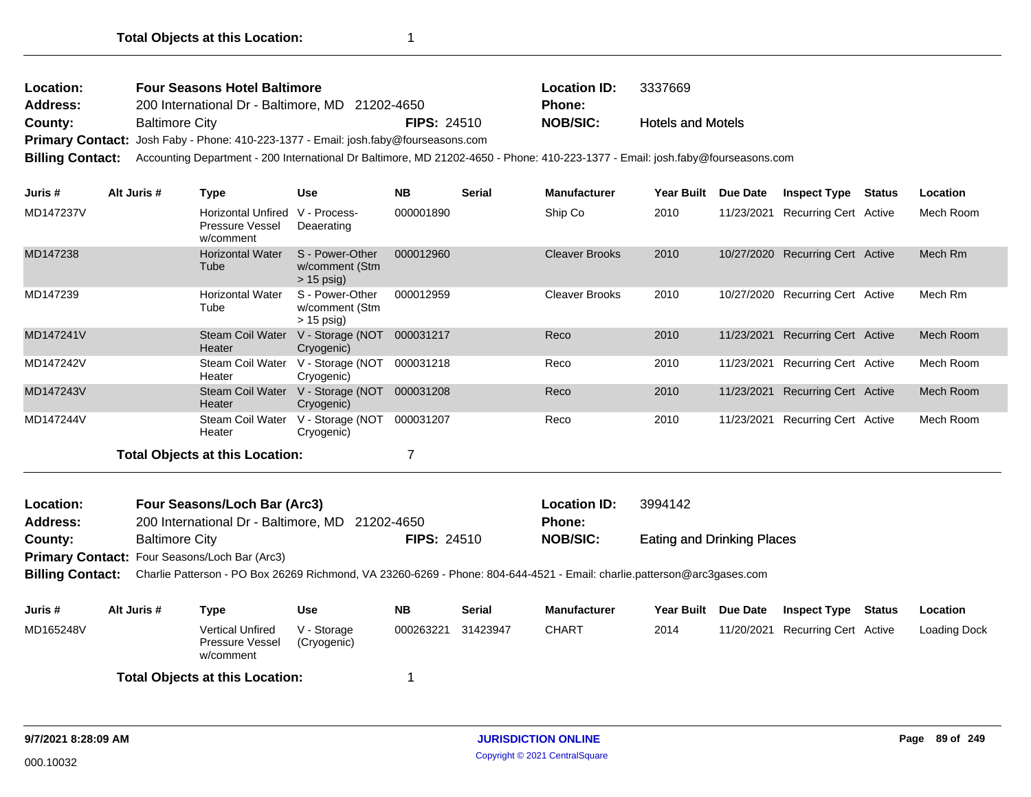| Location:               | <b>Four Seasons Hotel Baltimore</b>                                                                                            |                    | <b>Location ID:</b> | 3337669                  |
|-------------------------|--------------------------------------------------------------------------------------------------------------------------------|--------------------|---------------------|--------------------------|
| Address:                | 200 International Dr - Baltimore, MD 21202-4650                                                                                |                    | <b>Phone:</b>       |                          |
| County:                 | <b>Baltimore City</b>                                                                                                          | <b>FIPS: 24510</b> | NOB/SIC:            | <b>Hotels and Motels</b> |
|                         | <b>Primary Contact:</b> Josh Faby - Phone: 410-223-1377 - Email: josh.faby@fourseasons.com                                     |                    |                     |                          |
| <b>Billing Contact:</b> | Accounting Department - 200 International Dr Baltimore, MD 21202-4650 - Phone: 410-223-1377 - Email: josh.faby@fourseasons.com |                    |                     |                          |

| Juris #   | Alt Juris # | Type                                                      | <b>Use</b>                                        | <b>NB</b> | <b>Serial</b> | <b>Manufacturer</b>   | <b>Year Built</b> | <b>Due Date</b> | <b>Inspect Type</b>          | Status | Location  |
|-----------|-------------|-----------------------------------------------------------|---------------------------------------------------|-----------|---------------|-----------------------|-------------------|-----------------|------------------------------|--------|-----------|
| MD147237V |             | Horizontal Unfired<br><b>Pressure Vessel</b><br>w/comment | V - Process-<br>Deaerating                        | 000001890 |               | Ship Co               | 2010              | 11/23/2021      | Recurring Cert Active        |        | Mech Room |
| MD147238  |             | <b>Horizontal Water</b><br>Tube                           | S - Power-Other<br>w/comment (Stm<br>$> 15$ psig) | 000012960 |               | <b>Cleaver Brooks</b> | 2010              | 10/27/2020      | <b>Recurring Cert Active</b> |        | Mech Rm   |
| MD147239  |             | <b>Horizontal Water</b><br>Tube                           | S - Power-Other<br>w/comment (Stm<br>$> 15$ psig) | 000012959 |               | <b>Cleaver Brooks</b> | 2010              | 10/27/2020      | Recurring Cert Active        |        | Mech Rm   |
| MD147241V |             | <b>Steam Coil Water</b><br>Heater                         | V - Storage (NOT<br>Cryogenic)                    | 000031217 |               | Reco                  | 2010              | 11/23/2021      | <b>Recurring Cert Active</b> |        | Mech Room |
| MD147242V |             | <b>Steam Coil Water</b><br>Heater                         | V - Storage (NOT<br>Cryogenic)                    | 000031218 |               | Reco                  | 2010              | 11/23/2021      | Recurring Cert Active        |        | Mech Room |
| MD147243V |             | <b>Steam Coil Water</b><br>Heater                         | V - Storage (NOT<br>Cryogenic)                    | 000031208 |               | Reco                  | 2010              | 11/23/2021      | <b>Recurring Cert Active</b> |        | Mech Room |
| MD147244V |             | <b>Steam Coil Water</b><br>Heater                         | V - Storage (NOT<br>Cryogenic)                    | 000031207 |               | Reco                  | 2010              | 11/23/2021      | Recurring Cert Active        |        | Mech Room |
|           |             | <b>Total Objects at this Location:</b>                    |                                                   | ⇁         |               |                       |                   |                 |                              |        |           |

| <b>Location:</b><br>Address: |                       | Four Seasons/Loch Bar (Arc3)<br>200 International Dr - Baltimore, MD 21202-4650                                         |                            |                    |               | <b>Location ID:</b><br><b>Phone:</b> | 3994142                           |            |                       |               |              |
|------------------------------|-----------------------|-------------------------------------------------------------------------------------------------------------------------|----------------------------|--------------------|---------------|--------------------------------------|-----------------------------------|------------|-----------------------|---------------|--------------|
| County:                      | <b>Baltimore City</b> |                                                                                                                         |                            | <b>FIPS: 24510</b> |               | <b>NOB/SIC:</b>                      | <b>Eating and Drinking Places</b> |            |                       |               |              |
|                              |                       | Primary Contact: Four Seasons/Loch Bar (Arc3)                                                                           |                            |                    |               |                                      |                                   |            |                       |               |              |
| <b>Billing Contact:</b>      |                       | Charlie Patterson - PO Box 26269 Richmond, VA 23260-6269 - Phone: 804-644-4521 - Email: charlie.patterson@arc3gases.com |                            |                    |               |                                      |                                   |            |                       |               |              |
| Juris #                      | Alt Juris #           | Type                                                                                                                    | Use                        | <b>NB</b>          | <b>Serial</b> | <b>Manufacturer</b>                  | <b>Year Built</b>                 | Due Date   | <b>Inspect Type</b>   | <b>Status</b> | Location     |
| MD165248V                    |                       | <b>Vertical Unfired</b><br><b>Pressure Vessel</b><br>w/comment                                                          | V - Storage<br>(Cryogenic) | 000263221          | 31423947      | <b>CHART</b>                         | 2014                              | 11/20/2021 | Recurring Cert Active |               | Loading Dock |
|                              |                       | <b>Total Objects at this Location:</b>                                                                                  |                            |                    |               |                                      |                                   |            |                       |               |              |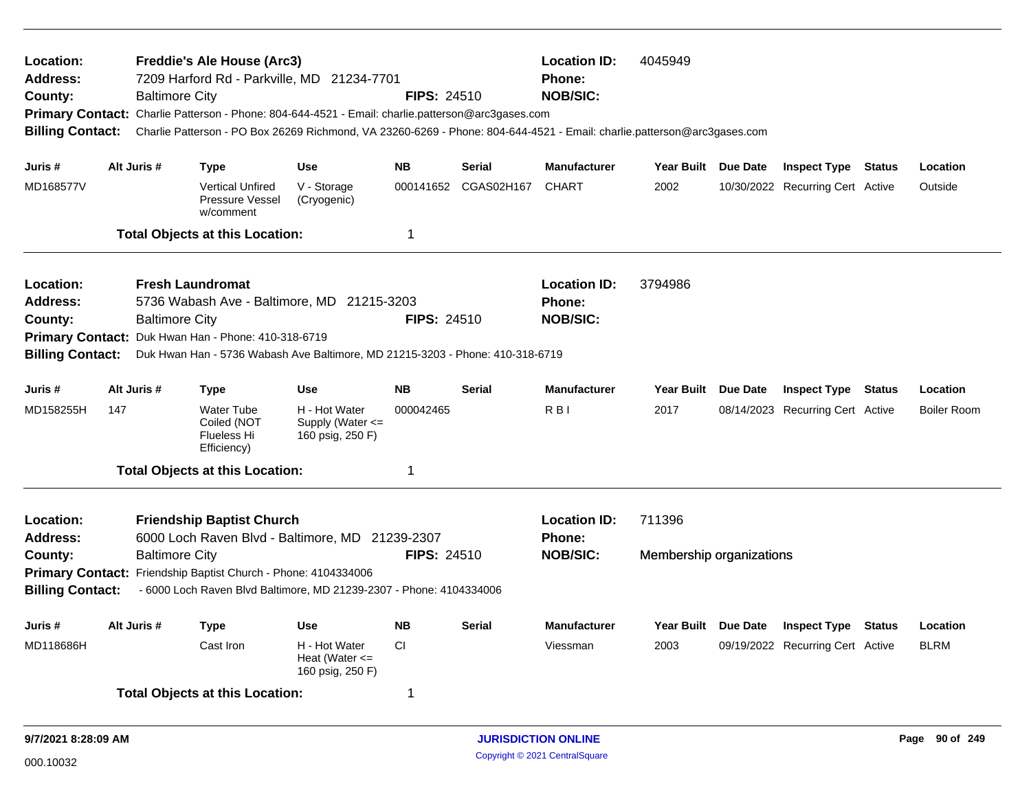| Location:<br>Address:<br>County:<br><b>Billing Contact:</b>                                                                                                     |             | <b>Baltimore City</b> | <b>Freddie's Ale House (Arc3)</b>                                     | 7209 Harford Rd - Parkville, MD 21234-7701<br>Primary Contact: Charlie Patterson - Phone: 804-644-4521 - Email: charlie.patterson@arc3gases.com | <b>FIPS: 24510</b> |               | <b>Location ID:</b><br>4045949<br><b>Phone:</b><br><b>NOB/SIC:</b><br>Charlie Patterson - PO Box 26269 Richmond, VA 23260-6269 - Phone: 804-644-4521 - Email: charlie.patterson@arc3gases.com |                          |                 |                                  |  |                    |
|-----------------------------------------------------------------------------------------------------------------------------------------------------------------|-------------|-----------------------|-----------------------------------------------------------------------|-------------------------------------------------------------------------------------------------------------------------------------------------|--------------------|---------------|-----------------------------------------------------------------------------------------------------------------------------------------------------------------------------------------------|--------------------------|-----------------|----------------------------------|--|--------------------|
| Juris #                                                                                                                                                         |             | Alt Juris #           | Type                                                                  | <b>Use</b>                                                                                                                                      | <b>NB</b>          | <b>Serial</b> | <b>Manufacturer</b>                                                                                                                                                                           | Year Built Due Date      |                 | <b>Inspect Type Status</b>       |  | Location           |
| MD168577V                                                                                                                                                       |             |                       | <b>Vertical Unfired</b><br>Pressure Vessel<br>w/comment               | V - Storage<br>(Cryogenic)                                                                                                                      | 000141652          | CGAS02H167    | <b>CHART</b>                                                                                                                                                                                  | 2002                     |                 | 10/30/2022 Recurring Cert Active |  | Outside            |
|                                                                                                                                                                 |             |                       | <b>Total Objects at this Location:</b>                                |                                                                                                                                                 | 1                  |               |                                                                                                                                                                                               |                          |                 |                                  |  |                    |
| Location:<br><b>Address:</b>                                                                                                                                    |             |                       | <b>Fresh Laundromat</b>                                               | 5736 Wabash Ave - Baltimore, MD 21215-3203                                                                                                      |                    |               | <b>Location ID:</b><br>Phone:                                                                                                                                                                 | 3794986                  |                 |                                  |  |                    |
| County:                                                                                                                                                         |             | <b>Baltimore City</b> |                                                                       |                                                                                                                                                 | <b>FIPS: 24510</b> |               | <b>NOB/SIC:</b>                                                                                                                                                                               |                          |                 |                                  |  |                    |
|                                                                                                                                                                 |             |                       |                                                                       |                                                                                                                                                 |                    |               |                                                                                                                                                                                               |                          |                 |                                  |  |                    |
| Primary Contact: Duk Hwan Han - Phone: 410-318-6719<br><b>Billing Contact:</b><br>Duk Hwan Han - 5736 Wabash Ave Baltimore, MD 21215-3203 - Phone: 410-318-6719 |             |                       |                                                                       |                                                                                                                                                 |                    |               |                                                                                                                                                                                               |                          |                 |                                  |  |                    |
| Juris #                                                                                                                                                         | Alt Juris # |                       | Type                                                                  | <b>Use</b>                                                                                                                                      | <b>NB</b>          | <b>Serial</b> | <b>Manufacturer</b>                                                                                                                                                                           | <b>Year Built</b>        | Due Date        | <b>Inspect Type Status</b>       |  | Location           |
| MD158255H                                                                                                                                                       | 147         |                       | <b>Water Tube</b><br>Coiled (NOT<br><b>Flueless Hi</b><br>Efficiency) | H - Hot Water<br>Supply (Water <=<br>160 psig, 250 F)                                                                                           | 000042465          |               | R <sub>BI</sub>                                                                                                                                                                               | 2017                     |                 | 08/14/2023 Recurring Cert Active |  | <b>Boiler Room</b> |
|                                                                                                                                                                 |             |                       | <b>Total Objects at this Location:</b>                                |                                                                                                                                                 | -1                 |               |                                                                                                                                                                                               |                          |                 |                                  |  |                    |
| Location:<br><b>Address:</b>                                                                                                                                    |             |                       | <b>Friendship Baptist Church</b>                                      | 6000 Loch Raven Blvd - Baltimore, MD 21239-2307                                                                                                 |                    |               | <b>Location ID:</b><br><b>Phone:</b>                                                                                                                                                          | 711396                   |                 |                                  |  |                    |
| County:                                                                                                                                                         |             | <b>Baltimore City</b> |                                                                       |                                                                                                                                                 | <b>FIPS: 24510</b> |               | <b>NOB/SIC:</b>                                                                                                                                                                               | Membership organizations |                 |                                  |  |                    |
|                                                                                                                                                                 |             |                       | Primary Contact: Friendship Baptist Church - Phone: 4104334006        |                                                                                                                                                 |                    |               |                                                                                                                                                                                               |                          |                 |                                  |  |                    |
| <b>Billing Contact:</b><br>- 6000 Loch Raven Blvd Baltimore, MD 21239-2307 - Phone: 4104334006                                                                  |             |                       |                                                                       |                                                                                                                                                 |                    |               |                                                                                                                                                                                               |                          |                 |                                  |  |                    |
| Juris #                                                                                                                                                         |             | Alt Juris #           | <b>Type</b>                                                           | <b>Use</b>                                                                                                                                      | <b>NB</b>          | <b>Serial</b> | <b>Manufacturer</b>                                                                                                                                                                           | <b>Year Built</b>        | <b>Due Date</b> | <b>Inspect Type Status</b>       |  | Location           |
| MD118686H                                                                                                                                                       |             |                       | Cast Iron                                                             | H - Hot Water<br>Heat (Water <=<br>160 psig, 250 F)                                                                                             | <b>CI</b>          |               | Viessman                                                                                                                                                                                      | 2003                     |                 | 09/19/2022 Recurring Cert Active |  | <b>BLRM</b>        |
| <b>Total Objects at this Location:</b><br>-1                                                                                                                    |             |                       |                                                                       |                                                                                                                                                 |                    |               |                                                                                                                                                                                               |                          |                 |                                  |  |                    |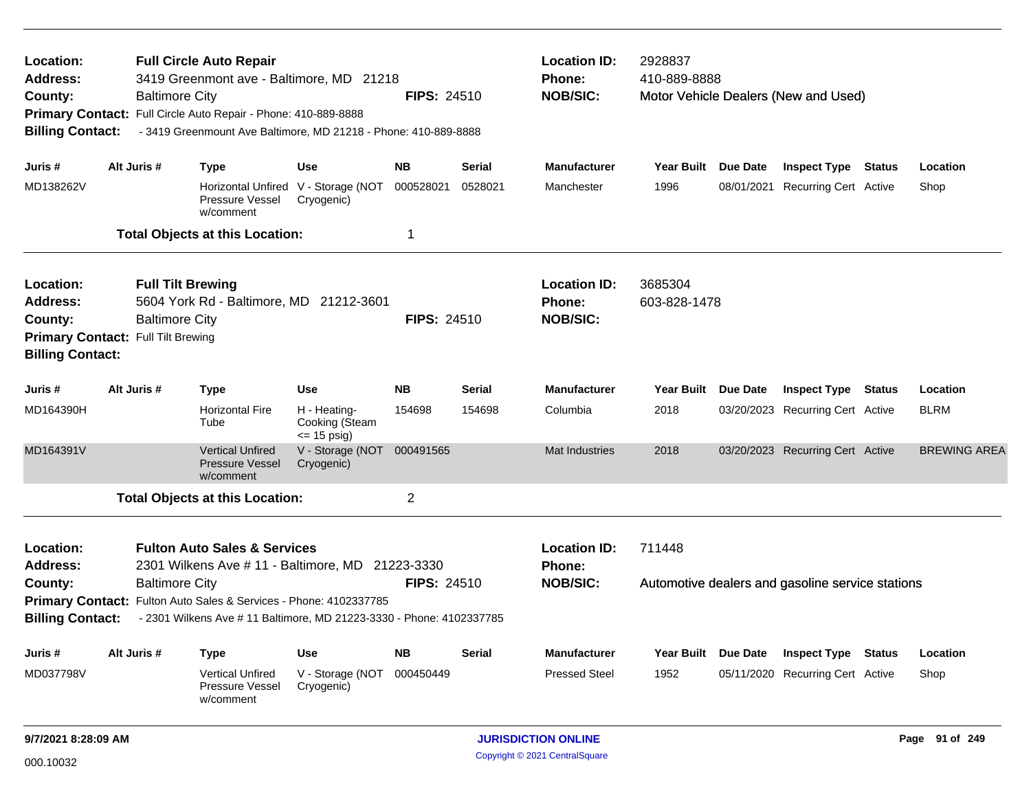| Location:<br><b>Address:</b><br>County:<br><b>Billing Contact:</b>                                       |             | <b>Baltimore City</b> | <b>Full Circle Auto Repair</b><br>3419 Greenmont ave - Baltimore, MD 21218<br>Primary Contact: Full Circle Auto Repair - Phone: 410-889-8888<br>- 3419 Greenmount Ave Baltimore, MD 21218 - Phone: 410-889-8888 |                                                   | <b>FIPS: 24510</b> |               | <b>Location ID:</b><br><b>Phone:</b><br><b>NOB/SIC:</b> | 2928837<br>410-889-8888<br>Motor Vehicle Dealers (New and Used) |                 |                                                  |               |                     |
|----------------------------------------------------------------------------------------------------------|-------------|-----------------------|-----------------------------------------------------------------------------------------------------------------------------------------------------------------------------------------------------------------|---------------------------------------------------|--------------------|---------------|---------------------------------------------------------|-----------------------------------------------------------------|-----------------|--------------------------------------------------|---------------|---------------------|
| Juris #                                                                                                  |             | Alt Juris #           | Type                                                                                                                                                                                                            | <b>Use</b>                                        | <b>NB</b>          | Serial        | <b>Manufacturer</b>                                     | <b>Year Built</b>                                               | Due Date        | <b>Inspect Type Status</b>                       |               | Location            |
| MD138262V                                                                                                |             |                       | Pressure Vessel<br>w/comment                                                                                                                                                                                    | Horizontal Unfired V - Storage (NOT<br>Cryogenic) | 000528021          | 0528021       | Manchester                                              | 1996                                                            |                 | 08/01/2021 Recurring Cert Active                 |               | Shop                |
|                                                                                                          |             |                       | <b>Total Objects at this Location:</b>                                                                                                                                                                          |                                                   | 1                  |               |                                                         |                                                                 |                 |                                                  |               |                     |
| Location:<br><b>Address:</b><br>County:<br>Primary Contact: Full Tilt Brewing<br><b>Billing Contact:</b> |             | <b>Baltimore City</b> | <b>Full Tilt Brewing</b><br>5604 York Rd - Baltimore, MD 21212-3601                                                                                                                                             |                                                   | <b>FIPS: 24510</b> |               | <b>Location ID:</b><br><b>Phone:</b><br><b>NOB/SIC:</b> | 3685304<br>603-828-1478                                         |                 |                                                  |               |                     |
| Juris #                                                                                                  | Alt Juris # |                       | <b>Type</b>                                                                                                                                                                                                     | Use                                               | <b>NB</b>          | <b>Serial</b> | <b>Manufacturer</b>                                     | Year Built                                                      | Due Date        | <b>Inspect Type</b>                              | <b>Status</b> | Location            |
| MD164390H                                                                                                |             |                       | <b>Horizontal Fire</b><br>Tube                                                                                                                                                                                  | H - Heating-<br>Cooking (Steam<br>$\le$ 15 psig)  | 154698             | 154698        | Columbia                                                | 2018                                                            |                 | 03/20/2023 Recurring Cert Active                 |               | <b>BLRM</b>         |
| MD164391V                                                                                                |             |                       | <b>Vertical Unfired</b><br>Pressure Vessel<br>w/comment                                                                                                                                                         | V - Storage (NOT<br>Cryogenic)                    | 000491565          |               | Mat Industries                                          | 2018                                                            |                 | 03/20/2023 Recurring Cert Active                 |               | <b>BREWING AREA</b> |
|                                                                                                          |             |                       | <b>Total Objects at this Location:</b>                                                                                                                                                                          |                                                   | $\overline{c}$     |               |                                                         |                                                                 |                 |                                                  |               |                     |
| Location:<br><b>Address:</b>                                                                             |             |                       | <b>Fulton Auto Sales &amp; Services</b><br>2301 Wilkens Ave # 11 - Baltimore, MD 21223-3330                                                                                                                     |                                                   |                    |               | <b>Location ID:</b><br><b>Phone:</b>                    | 711448                                                          |                 |                                                  |               |                     |
| County:                                                                                                  |             | <b>Baltimore City</b> |                                                                                                                                                                                                                 |                                                   | <b>FIPS: 24510</b> |               | <b>NOB/SIC:</b>                                         |                                                                 |                 | Automotive dealers and gasoline service stations |               |                     |
| <b>Billing Contact:</b>                                                                                  |             |                       | Primary Contact: Fulton Auto Sales & Services - Phone: 4102337785<br>- 2301 Wilkens Ave # 11 Baltimore, MD 21223-3330 - Phone: 4102337785                                                                       |                                                   |                    |               |                                                         |                                                                 |                 |                                                  |               |                     |
| Juris #                                                                                                  |             | Alt Juris #           | <b>Type</b>                                                                                                                                                                                                     | <b>Use</b>                                        | <b>NB</b>          | <b>Serial</b> | <b>Manufacturer</b>                                     | <b>Year Built</b>                                               | <b>Due Date</b> | <b>Inspect Type Status</b>                       |               | Location            |
| MD037798V                                                                                                |             |                       | <b>Vertical Unfired</b><br><b>Pressure Vessel</b><br>w/comment                                                                                                                                                  | V - Storage (NOT<br>Cryogenic)                    | 000450449          |               | <b>Pressed Steel</b>                                    | 1952                                                            |                 | 05/11/2020 Recurring Cert Active                 |               | Shop                |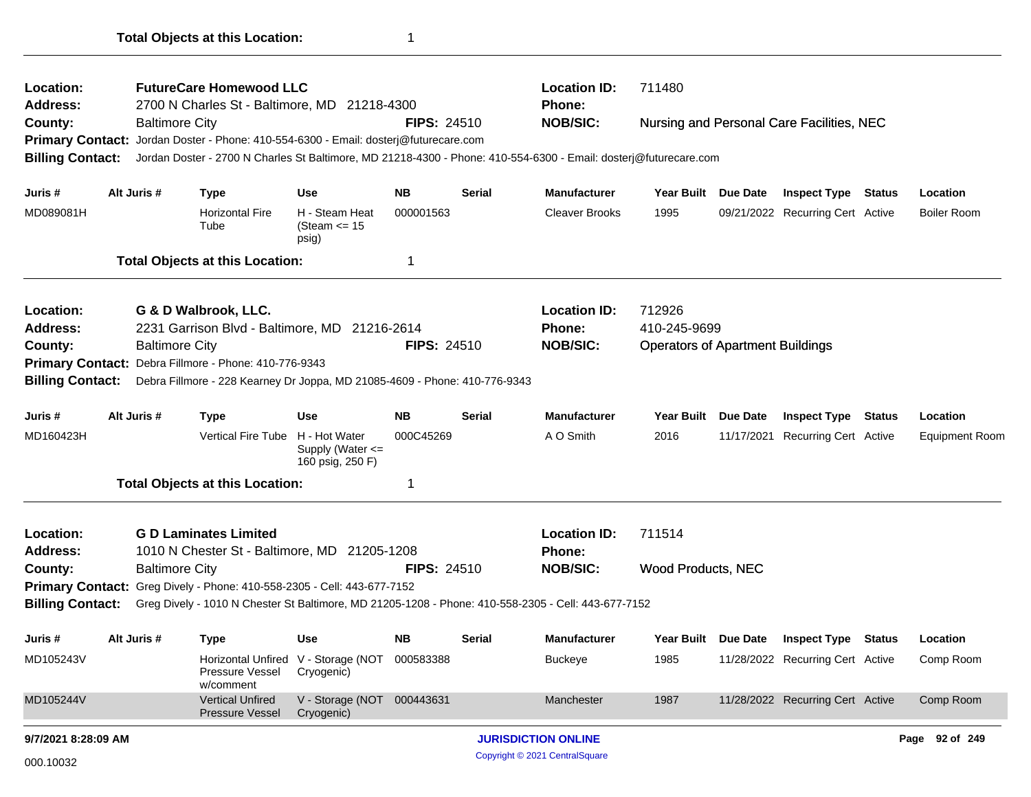| Location:                                             |                                                                                              |                       | <b>FutureCare Homewood LLC</b>                                                                                       |                                                   |                    |               | <b>Location ID:</b>            | 711480                                  |                     |                                           |                       |
|-------------------------------------------------------|----------------------------------------------------------------------------------------------|-----------------------|----------------------------------------------------------------------------------------------------------------------|---------------------------------------------------|--------------------|---------------|--------------------------------|-----------------------------------------|---------------------|-------------------------------------------|-----------------------|
| Address:                                              |                                                                                              |                       | 2700 N Charles St - Baltimore, MD 21218-4300                                                                         |                                                   |                    |               | <b>Phone:</b>                  |                                         |                     |                                           |                       |
| County:                                               |                                                                                              | <b>Baltimore City</b> |                                                                                                                      |                                                   | <b>FIPS: 24510</b> |               | <b>NOB/SIC:</b>                |                                         |                     | Nursing and Personal Care Facilities, NEC |                       |
|                                                       |                                                                                              |                       | Primary Contact: Jordan Doster - Phone: 410-554-6300 - Email: dosterj@futurecare.com                                 |                                                   |                    |               |                                |                                         |                     |                                           |                       |
| <b>Billing Contact:</b>                               |                                                                                              |                       | Jordan Doster - 2700 N Charles St Baltimore, MD 21218-4300 - Phone: 410-554-6300 - Email: dosterj@futurecare.com     |                                                   |                    |               |                                |                                         |                     |                                           |                       |
| Juris #                                               |                                                                                              | Alt Juris #           | <b>Type</b>                                                                                                          | <b>Use</b>                                        | <b>NB</b>          | <b>Serial</b> | <b>Manufacturer</b>            |                                         | Year Built Due Date | <b>Inspect Type Status</b>                | Location              |
| MD089081H                                             |                                                                                              |                       | <b>Horizontal Fire</b><br>Tube                                                                                       | H - Steam Heat<br>(Steam $\le$ 15<br>psig)        | 000001563          |               | <b>Cleaver Brooks</b>          | 1995                                    |                     | 09/21/2022 Recurring Cert Active          | <b>Boiler Room</b>    |
|                                                       |                                                                                              |                       | <b>Total Objects at this Location:</b>                                                                               |                                                   | 1                  |               |                                |                                         |                     |                                           |                       |
| Location:                                             |                                                                                              |                       | G & D Walbrook, LLC.                                                                                                 |                                                   |                    |               | <b>Location ID:</b>            | 712926                                  |                     |                                           |                       |
| Address:                                              | 2231 Garrison Blvd - Baltimore, MD 21216-2614<br><b>Baltimore City</b><br><b>FIPS: 24510</b> |                       |                                                                                                                      |                                                   |                    |               | Phone:                         | 410-245-9699                            |                     |                                           |                       |
| County:                                               |                                                                                              |                       |                                                                                                                      |                                                   |                    |               | <b>NOB/SIC:</b>                | <b>Operators of Apartment Buildings</b> |                     |                                           |                       |
| Primary Contact: Debra Fillmore - Phone: 410-776-9343 |                                                                                              |                       |                                                                                                                      |                                                   |                    |               |                                |                                         |                     |                                           |                       |
| <b>Billing Contact:</b>                               | Debra Fillmore - 228 Kearney Dr Joppa, MD 21085-4609 - Phone: 410-776-9343                   |                       |                                                                                                                      |                                                   |                    |               |                                |                                         |                     |                                           |                       |
| Juris #                                               |                                                                                              | Alt Juris #           | <b>Type</b>                                                                                                          | <b>Use</b>                                        | <b>NB</b>          | <b>Serial</b> | <b>Manufacturer</b>            |                                         | Year Built Due Date | <b>Inspect Type Status</b>                | Location              |
| MD160423H                                             |                                                                                              |                       | Vertical Fire Tube H - Hot Water                                                                                     | Supply (Water $\leq$<br>160 psig, 250 F)          | 000C45269          |               | A O Smith                      | 2016                                    |                     | 11/17/2021 Recurring Cert Active          | <b>Equipment Room</b> |
|                                                       |                                                                                              |                       | <b>Total Objects at this Location:</b>                                                                               |                                                   | 1                  |               |                                |                                         |                     |                                           |                       |
| Location:                                             |                                                                                              |                       | <b>G D Laminates Limited</b>                                                                                         |                                                   |                    |               | <b>Location ID:</b>            | 711514                                  |                     |                                           |                       |
| Address:                                              |                                                                                              |                       | 1010 N Chester St - Baltimore, MD 21205-1208                                                                         |                                                   |                    |               | <b>Phone:</b>                  |                                         |                     |                                           |                       |
| County:                                               |                                                                                              | <b>Baltimore City</b> |                                                                                                                      |                                                   | <b>FIPS: 24510</b> |               | <b>NOB/SIC:</b>                | <b>Wood Products, NEC</b>               |                     |                                           |                       |
|                                                       |                                                                                              |                       | Primary Contact: Greg Dively - Phone: 410-558-2305 - Cell: 443-677-7152                                              |                                                   |                    |               |                                |                                         |                     |                                           |                       |
|                                                       |                                                                                              |                       | Billing Contact: Greg Dively - 1010 N Chester St Baltimore, MD 21205-1208 - Phone: 410-558-2305 - Cell: 443-677-7152 |                                                   |                    |               |                                |                                         |                     |                                           |                       |
| Juris #                                               |                                                                                              | Alt Juris #           | Type                                                                                                                 | <b>Use</b>                                        | <b>NB</b>          | <b>Serial</b> | Manufacturer                   | <b>Year Built</b>                       | <b>Due Date</b>     | <b>Inspect Type Status</b>                | Location              |
| MD105243V                                             |                                                                                              |                       | Pressure Vessel<br>w/comment                                                                                         | Horizontal Unfired V - Storage (NOT<br>Cryogenic) | 000583388          |               | <b>Buckeye</b>                 | 1985                                    |                     | 11/28/2022 Recurring Cert Active          | Comp Room             |
| MD105244V                                             |                                                                                              |                       | <b>Vertical Unfired</b><br>Pressure Vessel                                                                           | V - Storage (NOT 000443631<br>Cryogenic)          |                    |               | Manchester                     | 1987                                    |                     | 11/28/2022 Recurring Cert Active          | Comp Room             |
| 9/7/2021 8:28:09 AM                                   |                                                                                              |                       |                                                                                                                      |                                                   |                    |               | <b>JURISDICTION ONLINE</b>     |                                         |                     |                                           | Page 92 of 249        |
| 000.10032                                             |                                                                                              |                       |                                                                                                                      |                                                   |                    |               | Copyright © 2021 CentralSquare |                                         |                     |                                           |                       |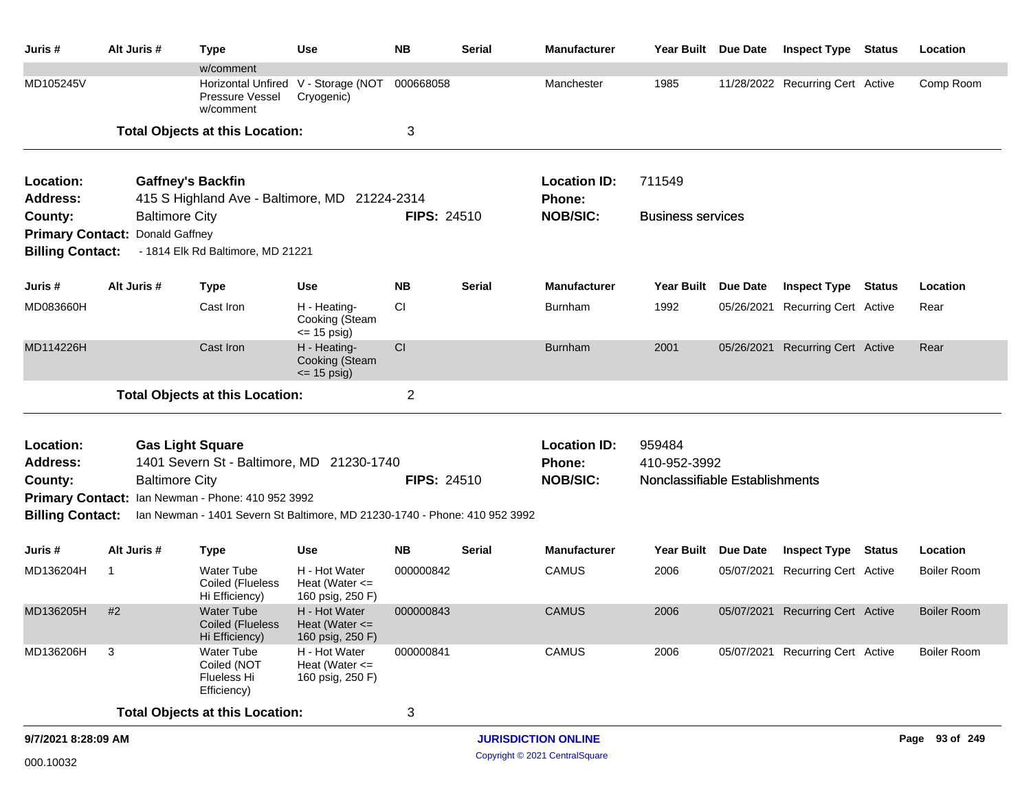| Juris #                                 | Alt Juris #                                                                                                                                        | <b>Type</b>                                                                | Use                                                     | <b>NB</b>          | <b>Serial</b> | <b>Manufacturer</b>                              | Year Built Due Date                                      |                 | <b>Inspect Type</b>              | Status | Location           |
|-----------------------------------------|----------------------------------------------------------------------------------------------------------------------------------------------------|----------------------------------------------------------------------------|---------------------------------------------------------|--------------------|---------------|--------------------------------------------------|----------------------------------------------------------|-----------------|----------------------------------|--------|--------------------|
| MD105245V                               |                                                                                                                                                    | w/comment<br>Pressure Vessel<br>w/comment                                  | Horizontal Unfired V - Storage (NOT<br>Cryogenic)       | 000668058          |               | Manchester                                       | 1985                                                     |                 | 11/28/2022 Recurring Cert Active |        | Comp Room          |
|                                         |                                                                                                                                                    | <b>Total Objects at this Location:</b>                                     |                                                         | 3                  |               |                                                  |                                                          |                 |                                  |        |                    |
| Location:<br><b>Address:</b>            |                                                                                                                                                    | <b>Gaffney's Backfin</b><br>415 S Highland Ave - Baltimore, MD 21224-2314  |                                                         |                    |               | <b>Location ID:</b><br><b>Phone:</b>             | 711549                                                   |                 |                                  |        |                    |
| County:                                 | <b>Baltimore City</b><br>Primary Contact: Donald Gaffney                                                                                           |                                                                            |                                                         | <b>FIPS: 24510</b> |               | <b>NOB/SIC:</b>                                  | <b>Business services</b>                                 |                 |                                  |        |                    |
| <b>Billing Contact:</b>                 |                                                                                                                                                    | - 1814 Elk Rd Baltimore, MD 21221                                          |                                                         |                    |               |                                                  |                                                          |                 |                                  |        |                    |
| Juris #                                 | Alt Juris #                                                                                                                                        | <b>Type</b>                                                                | <b>Use</b>                                              | <b>NB</b>          | Serial        | <b>Manufacturer</b>                              | <b>Year Built</b>                                        | Due Date        | <b>Inspect Type Status</b>       |        | Location           |
| MD083660H                               |                                                                                                                                                    | Cast Iron                                                                  | H - Heating-<br>Cooking (Steam<br>$\leq$ 15 psig)       | СI                 |               | Burnham                                          | 1992                                                     | 05/26/2021      | <b>Recurring Cert Active</b>     |        | Rear               |
| MD114226H                               |                                                                                                                                                    | Cast Iron                                                                  | H - Heating-<br>Cooking (Steam<br>$\le$ 15 psig)        | CI                 |               | <b>Burnham</b>                                   | 2001                                                     | 05/26/2021      | <b>Recurring Cert Active</b>     |        | Rear               |
|                                         |                                                                                                                                                    | <b>Total Objects at this Location:</b>                                     |                                                         | $\overline{c}$     |               |                                                  |                                                          |                 |                                  |        |                    |
| Location:<br><b>Address:</b><br>County: | <b>Gas Light Square</b><br>1401 Severn St - Baltimore, MD 21230-1740<br><b>Baltimore City</b><br>Primary Contact: Ian Newman - Phone: 410 952 3992 |                                                                            |                                                         | <b>FIPS: 24510</b> |               | <b>Location ID:</b><br>Phone:<br><b>NOB/SIC:</b> | 959484<br>410-952-3992<br>Nonclassifiable Establishments |                 |                                  |        |                    |
| <b>Billing Contact:</b>                 |                                                                                                                                                    | Ian Newman - 1401 Severn St Baltimore, MD 21230-1740 - Phone: 410 952 3992 |                                                         |                    |               |                                                  |                                                          |                 |                                  |        |                    |
| Juris #                                 | Alt Juris #                                                                                                                                        | <b>Type</b>                                                                | <b>Use</b>                                              | NΒ                 | <b>Serial</b> | <b>Manufacturer</b>                              | <b>Year Built</b>                                        | <b>Due Date</b> | <b>Inspect Type Status</b>       |        | Location           |
| MD136204H                               | 1                                                                                                                                                  | <b>Water Tube</b><br>Coiled (Flueless<br>Hi Efficiency)                    | H - Hot Water<br>Heat (Water $\leq$<br>160 psig, 250 F) | 000000842          |               | <b>CAMUS</b>                                     | 2006                                                     |                 | 05/07/2021 Recurring Cert Active |        | <b>Boiler Room</b> |
| MD136205H                               | #2                                                                                                                                                 | <b>Water Tube</b><br>Coiled (Flueless<br>Hi Efficiency)                    | H - Hot Water<br>Heat (Water $\leq$<br>160 psig, 250 F) | 000000843          |               | <b>CAMUS</b>                                     | 2006                                                     |                 | 05/07/2021 Recurring Cert Active |        | <b>Boiler Room</b> |
| MD136206H                               | 3                                                                                                                                                  | <b>Water Tube</b><br>Coiled (NOT<br>Flueless Hi<br>Efficiency)             | H - Hot Water<br>Heat (Water $\leq$<br>160 psig, 250 F) | 000000841          |               | <b>CAMUS</b>                                     | 2006                                                     |                 | 05/07/2021 Recurring Cert Active |        | <b>Boiler Room</b> |
|                                         |                                                                                                                                                    | <b>Total Objects at this Location:</b>                                     |                                                         | 3                  |               |                                                  |                                                          |                 |                                  |        |                    |
| 9/7/2021 8:28:09 AM                     |                                                                                                                                                    |                                                                            |                                                         |                    |               | <b>JURISDICTION ONLINE</b>                       |                                                          |                 |                                  |        | Page 93 of 249     |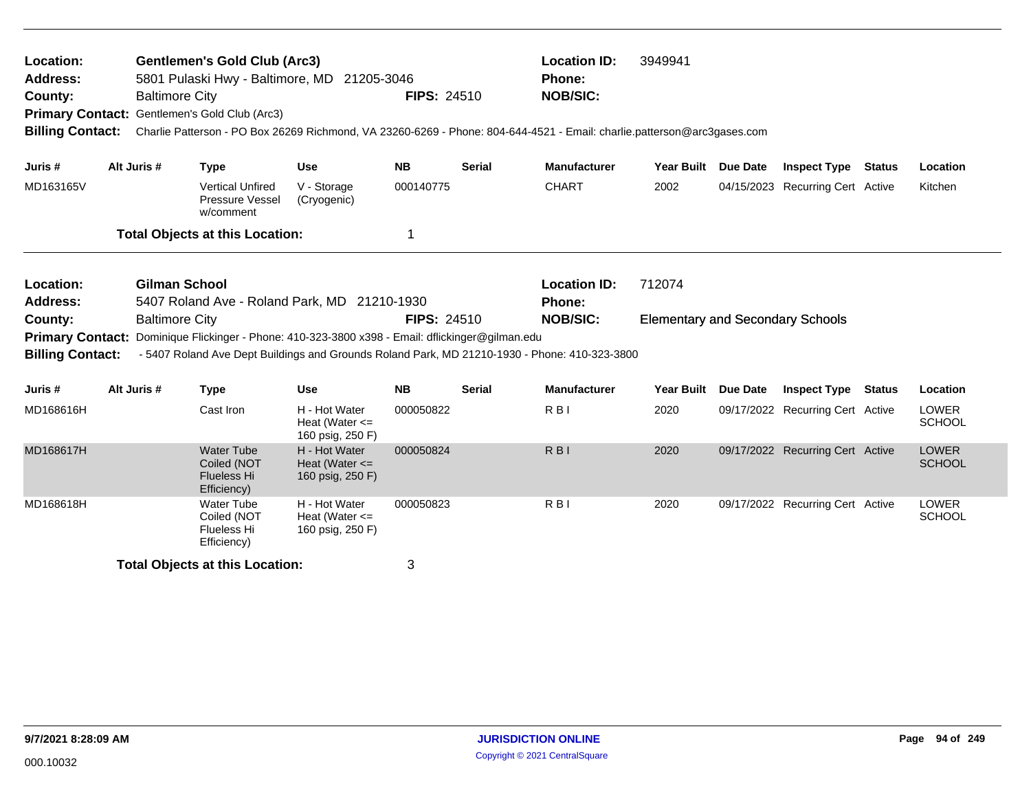| Location:<br><b>Address:</b><br>County:<br><b>Primary Contact:</b><br><b>Billing Contact:</b> |             | <b>Baltimore City</b>                         | <b>Gentlemen's Gold Club (Arc3)</b><br>5801 Pulaski Hwy - Baltimore, MD 21205-3046<br>Gentlemen's Gold Club (Arc3)              |                                                         | <b>FIPS: 24510</b> |               | <b>Location ID:</b><br>Phone:<br><b>NOB/SIC:</b>                                                                                                  | 3949941<br>Charlie Patterson - PO Box 26269 Richmond, VA 23260-6269 - Phone: 804-644-4521 - Email: charlie.patterson@arc3gases.com |                 |                                  |        |                               |  |
|-----------------------------------------------------------------------------------------------|-------------|-----------------------------------------------|---------------------------------------------------------------------------------------------------------------------------------|---------------------------------------------------------|--------------------|---------------|---------------------------------------------------------------------------------------------------------------------------------------------------|------------------------------------------------------------------------------------------------------------------------------------|-----------------|----------------------------------|--------|-------------------------------|--|
| Juris #                                                                                       | Alt Juris # |                                               | <b>Type</b>                                                                                                                     | <b>Use</b>                                              | <b>NB</b>          | <b>Serial</b> | <b>Manufacturer</b>                                                                                                                               | Year Built                                                                                                                         | <b>Due Date</b> | <b>Inspect Type</b>              | Status | Location                      |  |
| MD163165V                                                                                     |             |                                               | <b>Vertical Unfired</b><br>Pressure Vessel<br>w/comment                                                                         | V - Storage<br>(Cryogenic)                              | 000140775          |               | <b>CHART</b>                                                                                                                                      | 2002                                                                                                                               |                 | 04/15/2023 Recurring Cert Active |        | Kitchen                       |  |
|                                                                                               |             |                                               | <b>Total Objects at this Location:</b>                                                                                          |                                                         | 1                  |               |                                                                                                                                                   |                                                                                                                                    |                 |                                  |        |                               |  |
| Location:<br><b>Address:</b><br>County:<br><b>Primary Contact:</b><br><b>Billing Contact:</b> |             | <b>Gilman School</b><br><b>Baltimore City</b> | 5407 Roland Ave - Roland Park, MD 21210-1930<br>Dominique Flickinger - Phone: 410-323-3800 x398 - Email: dflickinger@gilman.edu |                                                         | <b>FIPS: 24510</b> |               | <b>Location ID:</b><br>Phone:<br><b>NOB/SIC:</b><br>- 5407 Roland Ave Dept Buildings and Grounds Roland Park, MD 21210-1930 - Phone: 410-323-3800 | 712074<br><b>Elementary and Secondary Schools</b>                                                                                  |                 |                                  |        |                               |  |
| Juris #                                                                                       | Alt Juris # |                                               | <b>Type</b>                                                                                                                     | <b>Use</b>                                              | <b>NB</b>          | <b>Serial</b> | <b>Manufacturer</b>                                                                                                                               | <b>Year Built</b>                                                                                                                  | Due Date        | <b>Inspect Type</b>              | Status | Location                      |  |
| MD168616H                                                                                     |             |                                               | Cast Iron                                                                                                                       | H - Hot Water<br>Heat (Water $\leq$<br>160 psig, 250 F) | 000050822          |               | R <sub>BI</sub>                                                                                                                                   | 2020                                                                                                                               |                 | 09/17/2022 Recurring Cert Active |        | <b>LOWER</b><br><b>SCHOOL</b> |  |
| MD168617H                                                                                     |             |                                               | <b>Water Tube</b><br>Coiled (NOT<br><b>Flueless Hi</b><br>Efficiency)                                                           | H - Hot Water<br>Heat (Water $\leq$<br>160 psig, 250 F) | 000050824          |               | <b>RBI</b>                                                                                                                                        | 2020                                                                                                                               |                 | 09/17/2022 Recurring Cert Active |        | <b>LOWER</b><br><b>SCHOOL</b> |  |
| MD168618H                                                                                     |             |                                               | <b>Water Tube</b><br>Coiled (NOT<br><b>Flueless Hi</b><br>Efficiency)                                                           | H - Hot Water<br>Heat (Water $\leq$<br>160 psig, 250 F) | 000050823          |               | $R$ <sub>B</sub>                                                                                                                                  | 2020                                                                                                                               |                 | 09/17/2022 Recurring Cert Active |        | <b>LOWER</b><br><b>SCHOOL</b> |  |
|                                                                                               |             |                                               | <b>Total Objects at this Location:</b>                                                                                          |                                                         | 3                  |               |                                                                                                                                                   |                                                                                                                                    |                 |                                  |        |                               |  |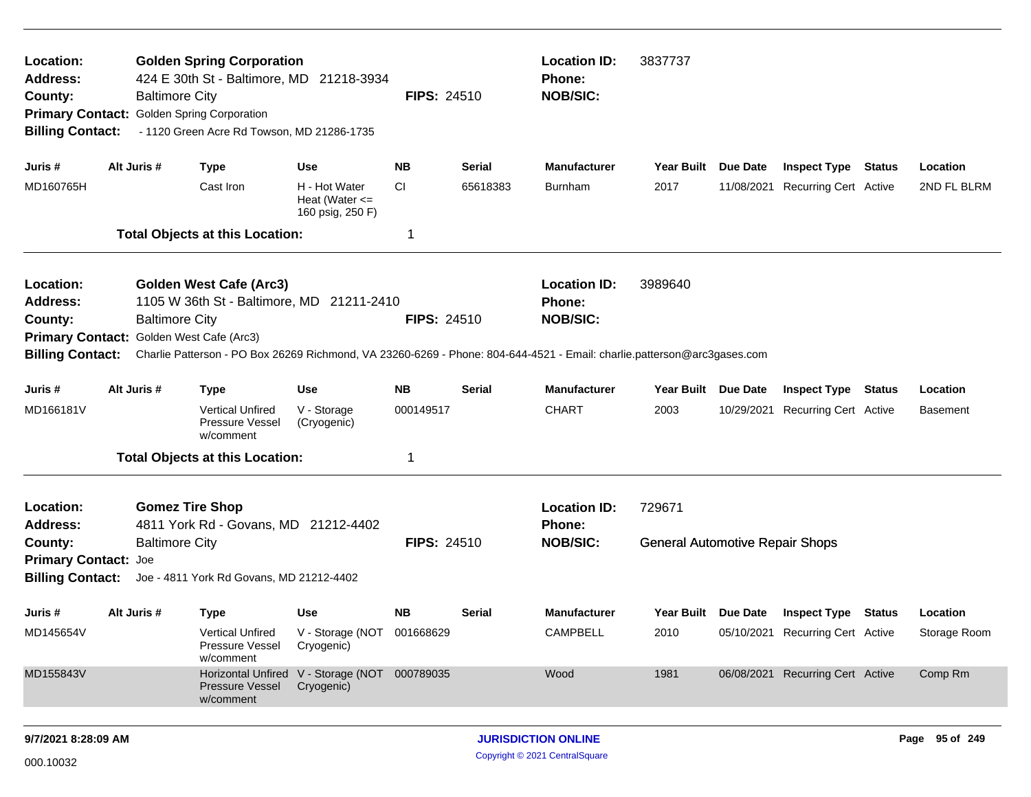| Location:<br><b>Address:</b><br>County:<br><b>Billing Contact:</b>                            | <b>Baltimore City</b>                           | <b>Golden Spring Corporation</b><br>424 E 30th St - Baltimore, MD 21218-3934<br>Primary Contact: Golden Spring Corporation<br>- 1120 Green Acre Rd Towson, MD 21286-1735 |                                                         | <b>FIPS: 24510</b> |               | <b>Location ID:</b><br><b>Phone:</b><br><b>NOB/SIC:</b>                                                                                                                     | 3837737                                          |                 |                                  |               |                 |
|-----------------------------------------------------------------------------------------------|-------------------------------------------------|--------------------------------------------------------------------------------------------------------------------------------------------------------------------------|---------------------------------------------------------|--------------------|---------------|-----------------------------------------------------------------------------------------------------------------------------------------------------------------------------|--------------------------------------------------|-----------------|----------------------------------|---------------|-----------------|
| Juris #                                                                                       | Alt Juris #                                     | <b>Type</b>                                                                                                                                                              | <b>Use</b>                                              | <b>NB</b>          | <b>Serial</b> | <b>Manufacturer</b>                                                                                                                                                         | Year Built Due Date                              |                 | <b>Inspect Type Status</b>       |               | Location        |
| MD160765H                                                                                     |                                                 | Cast Iron                                                                                                                                                                | H - Hot Water<br>Heat (Water $\leq$<br>160 psig, 250 F) | <b>CI</b>          | 65618383      | Burnham                                                                                                                                                                     | 2017                                             |                 | 11/08/2021 Recurring Cert Active |               | 2ND FL BLRM     |
|                                                                                               |                                                 | <b>Total Objects at this Location:</b>                                                                                                                                   |                                                         | -1                 |               |                                                                                                                                                                             |                                                  |                 |                                  |               |                 |
| Location:<br><b>Address:</b><br>County:<br><b>Primary Contact:</b><br><b>Billing Contact:</b> | <b>Baltimore City</b>                           | <b>Golden West Cafe (Arc3)</b><br>1105 W 36th St - Baltimore, MD 21211-2410<br>Golden West Cafe (Arc3)                                                                   |                                                         | <b>FIPS: 24510</b> |               | <b>Location ID:</b><br>Phone:<br><b>NOB/SIC:</b><br>Charlie Patterson - PO Box 26269 Richmond, VA 23260-6269 - Phone: 804-644-4521 - Email: charlie.patterson@arc3gases.com | 3989640                                          |                 |                                  |               |                 |
| Juris #                                                                                       | Alt Juris #                                     | <b>Type</b>                                                                                                                                                              | <b>Use</b>                                              | <b>NB</b>          | <b>Serial</b> | <b>Manufacturer</b>                                                                                                                                                         | <b>Year Built</b>                                | <b>Due Date</b> | <b>Inspect Type</b>              | <b>Status</b> | Location        |
| MD166181V                                                                                     |                                                 | <b>Vertical Unfired</b><br>Pressure Vessel<br>w/comment                                                                                                                  | V - Storage<br>(Cryogenic)                              | 000149517          |               | <b>CHART</b>                                                                                                                                                                | 2003                                             |                 | 10/29/2021 Recurring Cert Active |               | <b>Basement</b> |
|                                                                                               |                                                 | <b>Total Objects at this Location:</b>                                                                                                                                   |                                                         | -1                 |               |                                                                                                                                                                             |                                                  |                 |                                  |               |                 |
| Location:<br>Address:<br>County:<br><b>Primary Contact: Joe</b><br><b>Billing Contact:</b>    | <b>Gomez Tire Shop</b><br><b>Baltimore City</b> | 4811 York Rd - Govans, MD 21212-4402<br>Joe - 4811 York Rd Govans, MD 21212-4402                                                                                         |                                                         | <b>FIPS: 24510</b> |               | <b>Location ID:</b><br>Phone:<br><b>NOB/SIC:</b>                                                                                                                            | 729671<br><b>General Automotive Repair Shops</b> |                 |                                  |               |                 |
| Juris #                                                                                       | Alt Juris #                                     | <b>Type</b>                                                                                                                                                              | <b>Use</b>                                              | <b>NB</b>          | <b>Serial</b> | <b>Manufacturer</b>                                                                                                                                                         | Year Built Due Date                              |                 | <b>Inspect Type</b>              | Status        | Location        |
| MD145654V                                                                                     |                                                 | <b>Vertical Unfired</b><br>Pressure Vessel<br>w/comment                                                                                                                  | V - Storage (NOT 001668629<br>Cryogenic)                |                    |               | CAMPBELL                                                                                                                                                                    | 2010                                             |                 | 05/10/2021 Recurring Cert Active |               | Storage Room    |
| MD155843V                                                                                     |                                                 | <b>Pressure Vessel</b><br>w/comment                                                                                                                                      | Horizontal Unfired V - Storage (NOT<br>Cryogenic)       | 000789035          |               | Wood                                                                                                                                                                        | 1981                                             |                 | 06/08/2021 Recurring Cert Active |               | Comp Rm         |
|                                                                                               |                                                 |                                                                                                                                                                          |                                                         |                    |               |                                                                                                                                                                             |                                                  |                 |                                  |               |                 |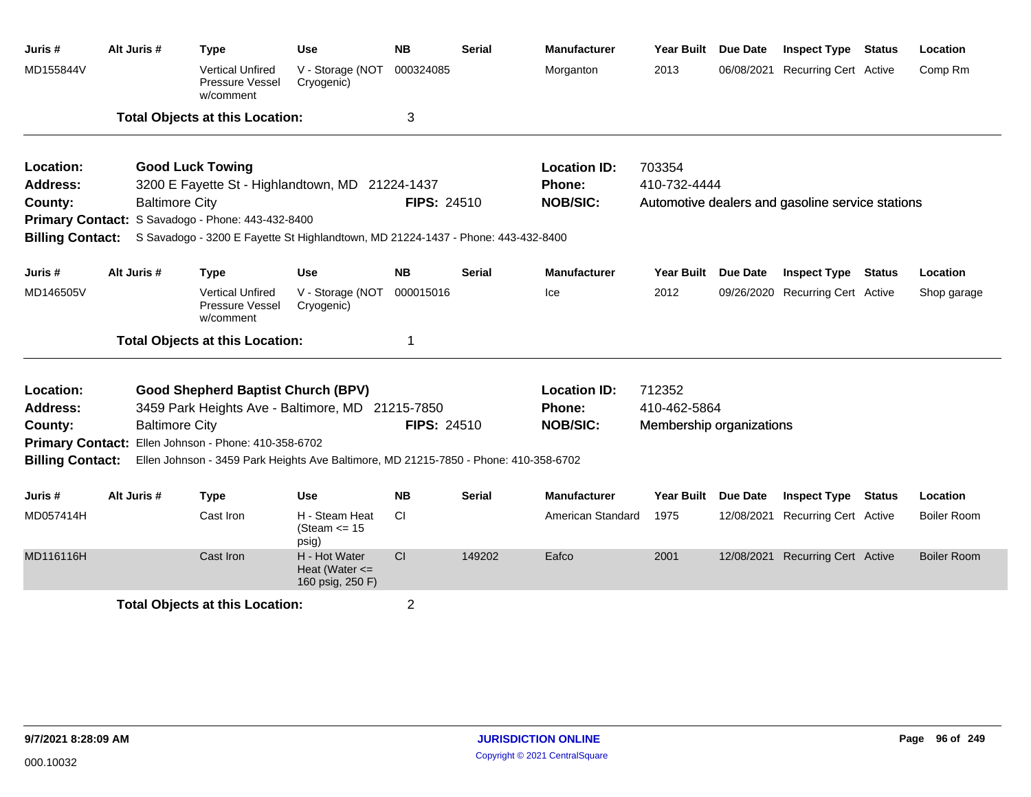| Juris #                 | Alt Juris # | <b>Type</b>                                                                                       | <b>Use</b>                                              | <b>NB</b>          | <b>Serial</b> | <b>Manufacturer</b> | Year Built               | <b>Due Date</b> | <b>Inspect Type</b>                              | Status | Location           |
|-------------------------|-------------|---------------------------------------------------------------------------------------------------|---------------------------------------------------------|--------------------|---------------|---------------------|--------------------------|-----------------|--------------------------------------------------|--------|--------------------|
| MD155844V               |             | <b>Vertical Unfired</b><br>Pressure Vessel<br>w/comment                                           | V - Storage (NOT<br>Cryogenic)                          | 000324085          |               | Morganton           | 2013                     | 06/08/2021      | <b>Recurring Cert Active</b>                     |        | Comp Rm            |
|                         |             | <b>Total Objects at this Location:</b>                                                            |                                                         | 3                  |               |                     |                          |                 |                                                  |        |                    |
| Location:               |             | <b>Good Luck Towing</b>                                                                           |                                                         |                    |               | <b>Location ID:</b> | 703354                   |                 |                                                  |        |                    |
| Address:                |             | 3200 E Fayette St - Highlandtown, MD 21224-1437                                                   |                                                         |                    |               | Phone:              | 410-732-4444             |                 |                                                  |        |                    |
| County:                 |             | <b>Baltimore City</b>                                                                             |                                                         | <b>FIPS: 24510</b> |               | <b>NOB/SIC:</b>     |                          |                 | Automotive dealers and gasoline service stations |        |                    |
|                         |             | Primary Contact: S Savadogo - Phone: 443-432-8400                                                 |                                                         |                    |               |                     |                          |                 |                                                  |        |                    |
|                         |             | Billing Contact: S Savadogo - 3200 E Fayette St Highlandtown, MD 21224-1437 - Phone: 443-432-8400 |                                                         |                    |               |                     |                          |                 |                                                  |        |                    |
| Juris #                 | Alt Juris # | <b>Type</b>                                                                                       | Use                                                     | <b>NB</b>          | <b>Serial</b> | <b>Manufacturer</b> | <b>Year Built</b>        | <b>Due Date</b> | <b>Inspect Type Status</b>                       |        | Location           |
| MD146505V               |             | <b>Vertical Unfired</b><br>Pressure Vessel<br>w/comment                                           | V - Storage (NOT<br>Cryogenic)                          | 000015016          |               | Ice                 | 2012                     |                 | 09/26/2020 Recurring Cert Active                 |        | Shop garage        |
|                         |             | <b>Total Objects at this Location:</b>                                                            |                                                         | 1                  |               |                     |                          |                 |                                                  |        |                    |
| Location:               |             | <b>Good Shepherd Baptist Church (BPV)</b>                                                         |                                                         |                    |               | <b>Location ID:</b> | 712352                   |                 |                                                  |        |                    |
| <b>Address:</b>         |             | 3459 Park Heights Ave - Baltimore, MD 21215-7850                                                  |                                                         |                    |               | Phone:              | 410-462-5864             |                 |                                                  |        |                    |
| County:                 |             | <b>Baltimore City</b>                                                                             |                                                         | <b>FIPS: 24510</b> |               | <b>NOB/SIC:</b>     | Membership organizations |                 |                                                  |        |                    |
|                         |             | Primary Contact: Ellen Johnson - Phone: 410-358-6702                                              |                                                         |                    |               |                     |                          |                 |                                                  |        |                    |
| <b>Billing Contact:</b> |             | Ellen Johnson - 3459 Park Heights Ave Baltimore, MD 21215-7850 - Phone: 410-358-6702              |                                                         |                    |               |                     |                          |                 |                                                  |        |                    |
| Juris #                 | Alt Juris # | <b>Type</b>                                                                                       | <b>Use</b>                                              | <b>NB</b>          | <b>Serial</b> | <b>Manufacturer</b> | <b>Year Built</b>        | <b>Due Date</b> | <b>Inspect Type Status</b>                       |        | Location           |
| MD057414H               |             | Cast Iron                                                                                         | H - Steam Heat<br>(Steam $\leq$ 15<br>psig)             | <b>CI</b>          |               | American Standard   | 1975                     | 12/08/2021      | <b>Recurring Cert Active</b>                     |        | <b>Boiler Room</b> |
| MD116116H               |             | Cast Iron                                                                                         | H - Hot Water<br>Heat (Water $\leq$<br>160 psig, 250 F) | <b>CI</b>          | 149202        | Eafco               | 2001                     | 12/08/2021      | <b>Recurring Cert Active</b>                     |        | <b>Boiler Room</b> |
|                         |             | <b>Total Objects at this Location:</b>                                                            |                                                         | $\overline{c}$     |               |                     |                          |                 |                                                  |        |                    |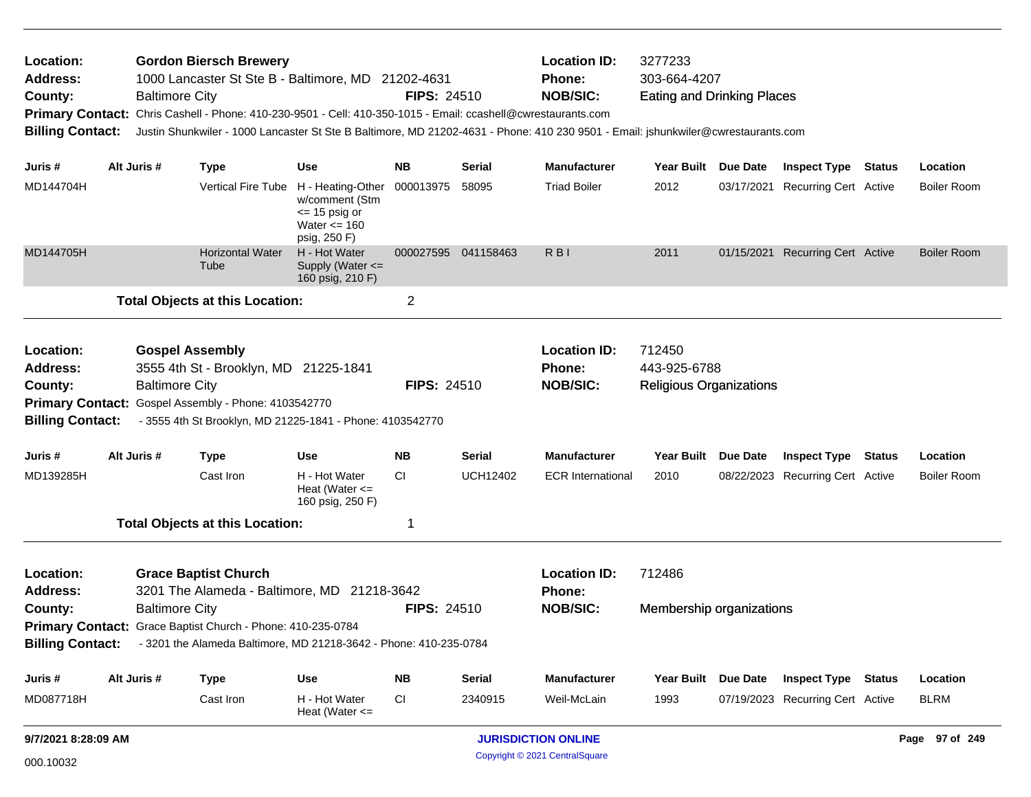| Location:<br><b>Address:</b><br>County:<br><b>Primary Contact:</b><br><b>Billing Contact:</b> |                                                                                                                                                                                                               | <b>Gordon Biersch Brewery</b><br>1000 Lancaster St Ste B - Baltimore, MD 21202-4631<br><b>Baltimore City</b>                                                       |                                                                                                            | <b>Location ID:</b><br>3277233<br>303-664-4207<br><b>Phone:</b><br><b>NOB/SIC:</b><br><b>FIPS: 24510</b><br><b>Eating and Drinking Places</b><br>Chris Cashell - Phone: 410-230-9501 - Cell: 410-350-1015 - Email: ccashell@cwrestaurants.com<br>Justin Shunkwiler - 1000 Lancaster St Ste B Baltimore, MD 21202-4631 - Phone: 410 230 9501 - Email: jshunkwiler@cwrestaurants.com<br>Year Built Due Date |                     |                                                         |                                                          |                 |                                  |        |                    |
|-----------------------------------------------------------------------------------------------|---------------------------------------------------------------------------------------------------------------------------------------------------------------------------------------------------------------|--------------------------------------------------------------------------------------------------------------------------------------------------------------------|------------------------------------------------------------------------------------------------------------|-----------------------------------------------------------------------------------------------------------------------------------------------------------------------------------------------------------------------------------------------------------------------------------------------------------------------------------------------------------------------------------------------------------|---------------------|---------------------------------------------------------|----------------------------------------------------------|-----------------|----------------------------------|--------|--------------------|
| Juris #                                                                                       | Alt Juris #                                                                                                                                                                                                   | <b>Type</b>                                                                                                                                                        | <b>Use</b>                                                                                                 | <b>NB</b>                                                                                                                                                                                                                                                                                                                                                                                                 | Serial              | <b>Manufacturer</b>                                     |                                                          |                 | <b>Inspect Type Status</b>       |        | Location           |
| MD144704H                                                                                     |                                                                                                                                                                                                               |                                                                                                                                                                    | Vertical Fire Tube H - Heating-Other<br>w/comment (Stm<br>$\le$ 15 psig or<br>Water <= 160<br>psig, 250 F) | 000013975                                                                                                                                                                                                                                                                                                                                                                                                 | 58095               | <b>Triad Boiler</b>                                     | 2012                                                     |                 | 03/17/2021 Recurring Cert Active |        | <b>Boiler Room</b> |
| MD144705H                                                                                     |                                                                                                                                                                                                               | <b>Horizontal Water</b><br>Tube                                                                                                                                    | H - Hot Water<br>Supply (Water <=<br>160 psig, 210 F)                                                      |                                                                                                                                                                                                                                                                                                                                                                                                           | 000027595 041158463 | R <sub>B</sub> I                                        | 2011                                                     |                 | 01/15/2021 Recurring Cert Active |        | <b>Boiler Room</b> |
|                                                                                               |                                                                                                                                                                                                               | <b>Total Objects at this Location:</b>                                                                                                                             |                                                                                                            | $\overline{2}$                                                                                                                                                                                                                                                                                                                                                                                            |                     |                                                         |                                                          |                 |                                  |        |                    |
| Location:<br><b>Address:</b><br>County:<br><b>Billing Contact:</b>                            | <b>Gospel Assembly</b><br>3555 4th St - Brooklyn, MD 21225-1841<br><b>Baltimore City</b><br>Primary Contact: Gospel Assembly - Phone: 4103542770<br>- 3555 4th St Brooklyn, MD 21225-1841 - Phone: 4103542770 |                                                                                                                                                                    |                                                                                                            | <b>FIPS: 24510</b>                                                                                                                                                                                                                                                                                                                                                                                        |                     | <b>Location ID:</b><br>Phone:<br><b>NOB/SIC:</b>        | 712450<br>443-925-6788<br><b>Religious Organizations</b> |                 |                                  |        |                    |
| Juris #                                                                                       | Alt Juris #                                                                                                                                                                                                   | <b>Type</b>                                                                                                                                                        | <b>Use</b>                                                                                                 | <b>NB</b>                                                                                                                                                                                                                                                                                                                                                                                                 | Serial              | <b>Manufacturer</b>                                     | Year Built                                               | <b>Due Date</b> | <b>Inspect Type</b>              | Status | Location           |
| MD139285H                                                                                     |                                                                                                                                                                                                               | Cast Iron                                                                                                                                                          | H - Hot Water<br>Heat (Water $\leq$<br>160 psig, 250 F)                                                    | CI.                                                                                                                                                                                                                                                                                                                                                                                                       | <b>UCH12402</b>     | <b>ECR International</b>                                | 2010                                                     |                 | 08/22/2023 Recurring Cert Active |        | <b>Boiler Room</b> |
|                                                                                               |                                                                                                                                                                                                               | <b>Total Objects at this Location:</b>                                                                                                                             |                                                                                                            | 1                                                                                                                                                                                                                                                                                                                                                                                                         |                     |                                                         |                                                          |                 |                                  |        |                    |
| Location:<br><b>Address:</b><br>County:                                                       |                                                                                                                                                                                                               | <b>Grace Baptist Church</b><br>3201 The Alameda - Baltimore, MD 21218-3642<br><b>Baltimore City</b><br>Primary Contact: Grace Baptist Church - Phone: 410-235-0784 |                                                                                                            | <b>FIPS: 24510</b>                                                                                                                                                                                                                                                                                                                                                                                        |                     | <b>Location ID:</b><br><b>Phone:</b><br><b>NOB/SIC:</b> | 712486<br>Membership organizations                       |                 |                                  |        |                    |
| <b>Billing Contact:</b>                                                                       |                                                                                                                                                                                                               | - 3201 the Alameda Baltimore, MD 21218-3642 - Phone: 410-235-0784                                                                                                  |                                                                                                            |                                                                                                                                                                                                                                                                                                                                                                                                           |                     |                                                         |                                                          |                 |                                  |        |                    |
| Juris#                                                                                        | Alt Juris #                                                                                                                                                                                                   | <b>Type</b>                                                                                                                                                        | <b>Use</b>                                                                                                 | <b>NB</b>                                                                                                                                                                                                                                                                                                                                                                                                 | <b>Serial</b>       | <b>Manufacturer</b>                                     | Year Built Due Date                                      |                 | <b>Inspect Type Status</b>       |        | Location           |
| MD087718H                                                                                     |                                                                                                                                                                                                               | Cast Iron                                                                                                                                                          | H - Hot Water<br>Heat (Water $\leq$                                                                        | <b>CI</b>                                                                                                                                                                                                                                                                                                                                                                                                 | 2340915             | Weil-McLain                                             | 1993                                                     |                 | 07/19/2023 Recurring Cert Active |        | <b>BLRM</b>        |
| 9/7/2021 8:28:09 AM                                                                           |                                                                                                                                                                                                               |                                                                                                                                                                    |                                                                                                            |                                                                                                                                                                                                                                                                                                                                                                                                           |                     | <b>JURISDICTION ONLINE</b>                              |                                                          |                 |                                  |        | Page 97 of 249     |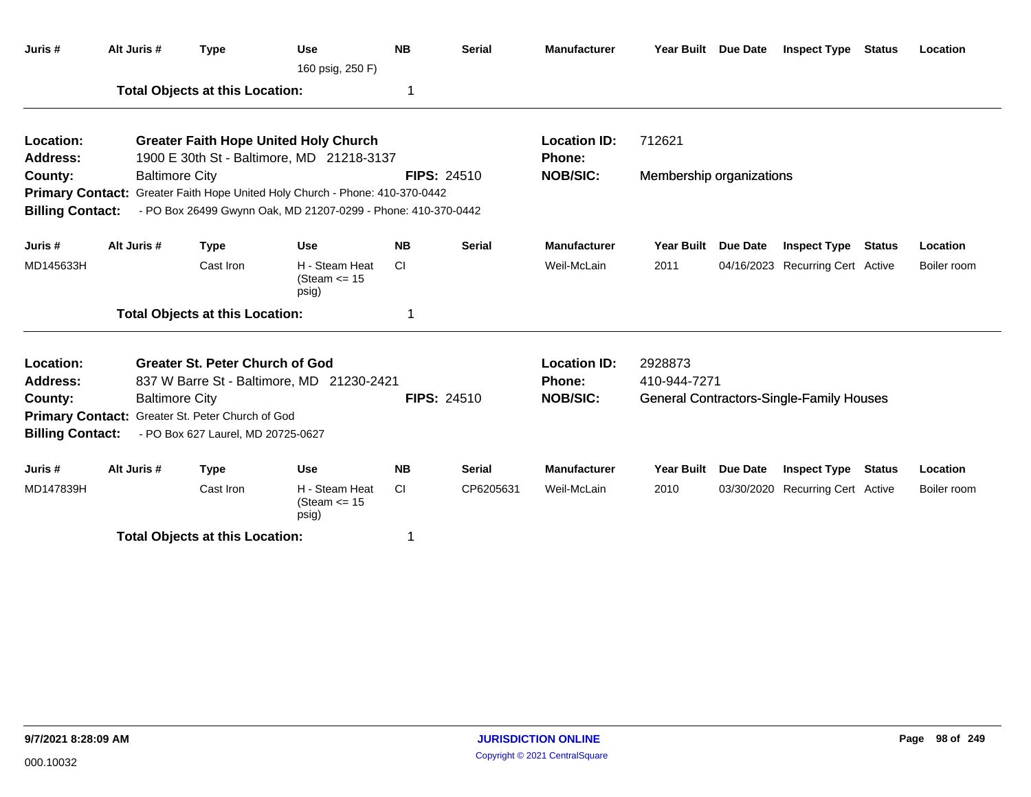| Juris #                                      | Alt Juris #                                                                                                       | <b>Type</b>                            | <b>Use</b><br>160 psig, 250 F)                                               | <b>NB</b> | <b>Serial</b>      | <b>Manufacturer</b>           | Year Built Due Date      |          | <b>Inspect Type</b>                             | Status        | Location    |
|----------------------------------------------|-------------------------------------------------------------------------------------------------------------------|----------------------------------------|------------------------------------------------------------------------------|-----------|--------------------|-------------------------------|--------------------------|----------|-------------------------------------------------|---------------|-------------|
|                                              |                                                                                                                   | <b>Total Objects at this Location:</b> |                                                                              | -1        |                    |                               |                          |          |                                                 |               |             |
| Location:                                    |                                                                                                                   |                                        | <b>Greater Faith Hope United Holy Church</b>                                 |           |                    | <b>Location ID:</b>           | 712621                   |          |                                                 |               |             |
| <b>Address:</b>                              |                                                                                                                   |                                        | 1900 E 30th St - Baltimore, MD 21218-3137                                    |           |                    | <b>Phone:</b>                 |                          |          |                                                 |               |             |
| County:                                      | <b>Baltimore City</b>                                                                                             |                                        |                                                                              |           | <b>FIPS: 24510</b> | <b>NOB/SIC:</b>               | Membership organizations |          |                                                 |               |             |
|                                              |                                                                                                                   |                                        | Primary Contact: Greater Faith Hope United Holy Church - Phone: 410-370-0442 |           |                    |                               |                          |          |                                                 |               |             |
| <b>Billing Contact:</b>                      |                                                                                                                   |                                        | - PO Box 26499 Gwynn Oak, MD 21207-0299 - Phone: 410-370-0442                |           |                    |                               |                          |          |                                                 |               |             |
| Juris #                                      | Alt Juris #                                                                                                       | <b>Type</b>                            | <b>Use</b>                                                                   | <b>NB</b> | <b>Serial</b>      | <b>Manufacturer</b>           | <b>Year Built</b>        | Due Date | <b>Inspect Type</b>                             | <b>Status</b> | Location    |
| MD145633H                                    |                                                                                                                   | Cast Iron                              | H - Steam Heat<br>(Steam $\le$ 15<br>psig)                                   | CI        |                    | Weil-McLain                   | 2011                     |          | 04/16/2023 Recurring Cert Active                |               | Boiler room |
|                                              |                                                                                                                   | <b>Total Objects at this Location:</b> |                                                                              |           |                    |                               |                          |          |                                                 |               |             |
| Location:<br><b>Address:</b>                 |                                                                                                                   | <b>Greater St. Peter Church of God</b> | 837 W Barre St - Baltimore, MD 21230-2421                                    |           |                    | <b>Location ID:</b><br>Phone: | 2928873<br>410-944-7271  |          |                                                 |               |             |
| County:                                      | <b>Baltimore City</b>                                                                                             |                                        |                                                                              |           | <b>FIPS: 24510</b> | <b>NOB/SIC:</b>               |                          |          | <b>General Contractors-Single-Family Houses</b> |               |             |
|                                              |                                                                                                                   |                                        |                                                                              |           |                    |                               |                          |          |                                                 |               |             |
|                                              | Primary Contact: Greater St. Peter Church of God<br><b>Billing Contact:</b><br>- PO Box 627 Laurel, MD 20725-0627 |                                        |                                                                              |           |                    |                               |                          |          |                                                 |               |             |
| Juris #                                      | Alt Juris #                                                                                                       | <b>Type</b>                            | <b>Use</b>                                                                   | <b>NB</b> | <b>Serial</b>      | Manufacturer                  | Year Built               | Due Date | <b>Inspect Type</b>                             | Status        | Location    |
| MD147839H                                    |                                                                                                                   | Cast Iron                              | H - Steam Heat<br>(Steam $\le$ 15<br>psig)                                   | <b>CI</b> | CP6205631          | Weil-McLain                   | 2010                     |          | 03/30/2020 Recurring Cert Active                |               | Boiler room |
| <b>Total Objects at this Location:</b><br>-1 |                                                                                                                   |                                        |                                                                              |           |                    |                               |                          |          |                                                 |               |             |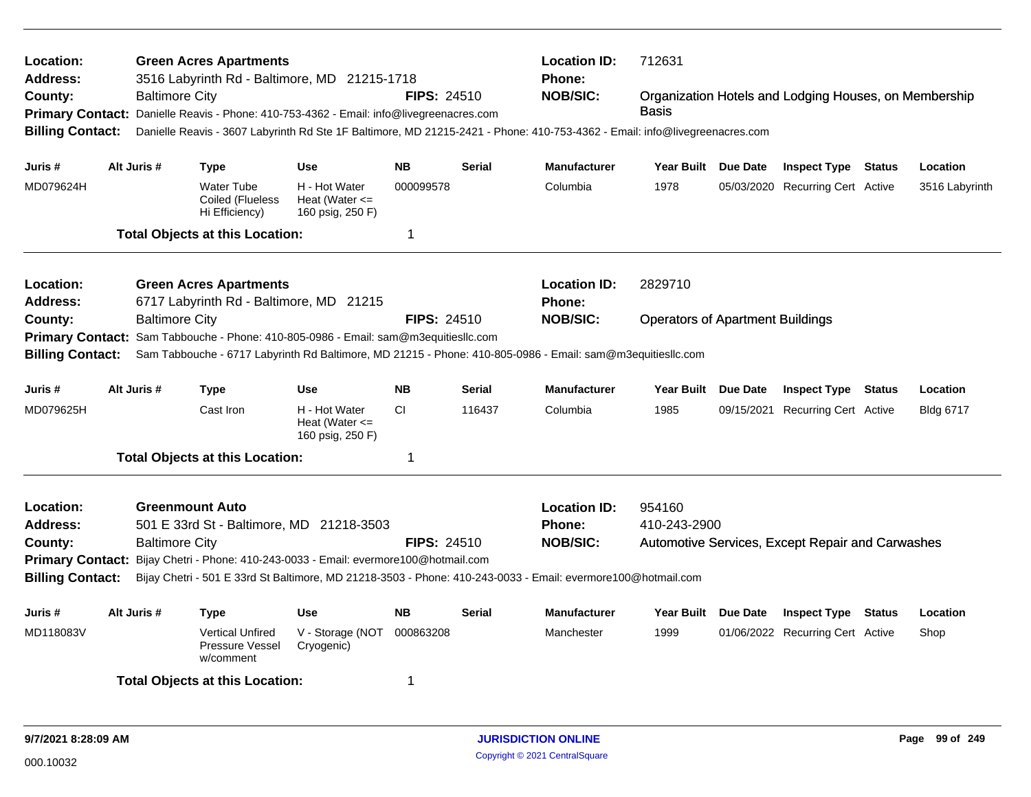| Location:<br>Address:<br>County:<br><b>Billing Contact:</b>                                                                                                                                                                                                                |             | <b>Baltimore City</b>                           | <b>Green Acres Apartments</b>                                  | 3516 Labyrinth Rd - Baltimore, MD 21215-1718<br>Primary Contact: Danielle Reavis - Phone: 410-753-4362 - Email: info@livegreenacres.com | <b>FIPS: 24510</b> |               | <b>Location ID:</b><br><b>Phone:</b><br><b>NOB/SIC:</b><br>Danielle Reavis - 3607 Labyrinth Rd Ste 1F Baltimore, MD 21215-2421 - Phone: 410-753-4362 - Email: info@livegreenacres.com | 712631<br><b>Basis</b>                  | Organization Hotels and Lodging Houses, on Membership |               |                  |
|----------------------------------------------------------------------------------------------------------------------------------------------------------------------------------------------------------------------------------------------------------------------------|-------------|-------------------------------------------------|----------------------------------------------------------------|-----------------------------------------------------------------------------------------------------------------------------------------|--------------------|---------------|---------------------------------------------------------------------------------------------------------------------------------------------------------------------------------------|-----------------------------------------|-------------------------------------------------------|---------------|------------------|
| Juris #                                                                                                                                                                                                                                                                    | Alt Juris # | <b>Type</b>                                     |                                                                | <b>Use</b>                                                                                                                              | <b>NB</b>          | <b>Serial</b> | <b>Manufacturer</b>                                                                                                                                                                   | Year Built Due Date                     | <b>Inspect Type Status</b>                            |               | Location         |
| MD079624H                                                                                                                                                                                                                                                                  |             |                                                 | <b>Water Tube</b><br>Coiled (Flueless<br>Hi Efficiency)        | H - Hot Water<br>Heat (Water $\leq$<br>160 psig, 250 F)                                                                                 | 000099578          |               | Columbia                                                                                                                                                                              | 1978                                    | 05/03/2020 Recurring Cert Active                      |               | 3516 Labyrinth   |
|                                                                                                                                                                                                                                                                            |             |                                                 | <b>Total Objects at this Location:</b>                         |                                                                                                                                         | 1                  |               |                                                                                                                                                                                       |                                         |                                                       |               |                  |
| Location:<br><b>Address:</b>                                                                                                                                                                                                                                               |             |                                                 | <b>Green Acres Apartments</b>                                  | 6717 Labyrinth Rd - Baltimore, MD 21215                                                                                                 |                    |               | <b>Location ID:</b><br><b>Phone:</b>                                                                                                                                                  | 2829710                                 |                                                       |               |                  |
| <b>Baltimore City</b><br>County:<br><b>Primary Contact:</b><br>Sam Tabbouche - Phone: 410-805-0986 - Email: sam@m3equitiesllc.com<br>Sam Tabbouche - 6717 Labyrinth Rd Baltimore, MD 21215 - Phone: 410-805-0986 - Email: sam@m3equitiesllc.com<br><b>Billing Contact:</b> |             |                                                 |                                                                |                                                                                                                                         | <b>FIPS: 24510</b> |               | <b>NOB/SIC:</b>                                                                                                                                                                       | <b>Operators of Apartment Buildings</b> |                                                       |               |                  |
| Juris #                                                                                                                                                                                                                                                                    | Alt Juris # | Type                                            |                                                                | <b>Use</b>                                                                                                                              | <b>NB</b>          | <b>Serial</b> | <b>Manufacturer</b>                                                                                                                                                                   | Year Built Due Date                     | <b>Inspect Type Status</b>                            |               | Location         |
| MD079625H                                                                                                                                                                                                                                                                  |             |                                                 | Cast Iron                                                      | H - Hot Water<br>Heat (Water $\leq$<br>160 psig, 250 F)                                                                                 | <b>CI</b>          | 116437        | Columbia                                                                                                                                                                              | 1985                                    | 09/15/2021 Recurring Cert Active                      |               | <b>Bldg 6717</b> |
|                                                                                                                                                                                                                                                                            |             |                                                 | <b>Total Objects at this Location:</b>                         |                                                                                                                                         | 1                  |               |                                                                                                                                                                                       |                                         |                                                       |               |                  |
| Location:<br><b>Address:</b><br>County:<br><b>Primary Contact:</b><br><b>Billing Contact:</b>                                                                                                                                                                              |             | <b>Greenmount Auto</b><br><b>Baltimore City</b> |                                                                | 501 E 33rd St - Baltimore, MD 21218-3503<br>Bijay Chetri - Phone: 410-243-0033 - Email: evermore100@hotmail.com                         | <b>FIPS: 24510</b> |               | <b>Location ID:</b><br><b>Phone:</b><br><b>NOB/SIC:</b><br>Bijay Chetri - 501 E 33rd St Baltimore, MD 21218-3503 - Phone: 410-243-0033 - Email: evermore100@hotmail.com               | 954160<br>410-243-2900                  | Automotive Services, Except Repair and Carwashes      |               |                  |
| Juris #                                                                                                                                                                                                                                                                    | Alt Juris # | <b>Type</b>                                     |                                                                | <b>Use</b>                                                                                                                              | <b>NB</b>          | <b>Serial</b> | <b>Manufacturer</b>                                                                                                                                                                   | Year Built Due Date                     | <b>Inspect Type</b>                                   | <b>Status</b> | Location         |
| MD118083V                                                                                                                                                                                                                                                                  |             |                                                 | <b>Vertical Unfired</b><br><b>Pressure Vessel</b><br>w/comment | V - Storage (NOT<br>Cryogenic)                                                                                                          | 000863208          |               | Manchester                                                                                                                                                                            | 1999                                    | 01/06/2022 Recurring Cert Active                      |               | Shop             |
| <b>Total Objects at this Location:</b><br>1                                                                                                                                                                                                                                |             |                                                 |                                                                |                                                                                                                                         |                    |               |                                                                                                                                                                                       |                                         |                                                       |               |                  |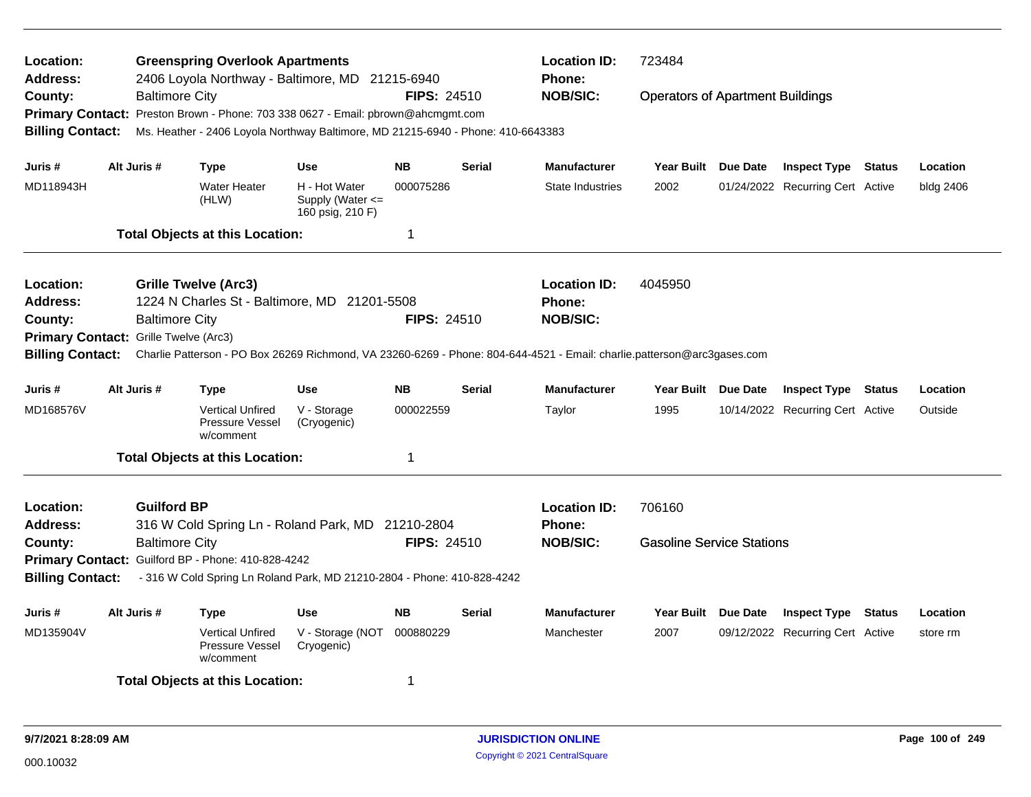| Location:<br>Address:   |                                                                                                                                                                            | <b>Greenspring Overlook Apartments</b><br><b>Location ID:</b><br>723484<br>2406 Loyola Northway - Baltimore, MD 21215-6940<br><b>Phone:</b><br><b>NOB/SIC:</b><br><b>Baltimore City</b><br><b>FIPS: 24510</b><br><b>Operators of Apartment Buildings</b> |                                                                 |                                                       |                    |                                                                                                                                                                                                                                                                                                                                   |                     |      |                                                                                                                                                                                                                                                                                                                                                 |  |  |  |
|-------------------------|----------------------------------------------------------------------------------------------------------------------------------------------------------------------------|----------------------------------------------------------------------------------------------------------------------------------------------------------------------------------------------------------------------------------------------------------|-----------------------------------------------------------------|-------------------------------------------------------|--------------------|-----------------------------------------------------------------------------------------------------------------------------------------------------------------------------------------------------------------------------------------------------------------------------------------------------------------------------------|---------------------|------|-------------------------------------------------------------------------------------------------------------------------------------------------------------------------------------------------------------------------------------------------------------------------------------------------------------------------------------------------|--|--|--|
| County:                 |                                                                                                                                                                            |                                                                                                                                                                                                                                                          |                                                                 |                                                       |                    |                                                                                                                                                                                                                                                                                                                                   |                     |      | <b>Inspect Type Status</b><br>Location<br>01/24/2022 Recurring Cert Active<br>bldg 2406<br><b>Inspect Type Status</b><br>Location<br>10/14/2022 Recurring Cert Active<br>Outside<br><b>Gasoline Service Stations</b><br>Year Built Due Date<br><b>Inspect Type</b><br><b>Status</b><br>Location<br>09/12/2022 Recurring Cert Active<br>store rm |  |  |  |
| <b>Primary Contact:</b> |                                                                                                                                                                            |                                                                                                                                                                                                                                                          | Preston Brown - Phone: 703 338 0627 - Email: pbrown@ahcmgmt.com |                                                       |                    | Ms. Heather - 2406 Loyola Northway Baltimore, MD 21215-6940 - Phone: 410-6643383<br><b>Manufacturer</b><br>Year Built Due Date<br>2002<br>State Industries<br><b>Location ID:</b><br>4045950<br><b>Phone:</b><br><b>NOB/SIC:</b><br>Year Built Due Date<br><b>Manufacturer</b><br>1995<br>Taylor<br><b>Location ID:</b><br>706160 |                     |      |                                                                                                                                                                                                                                                                                                                                                 |  |  |  |
| <b>Billing Contact:</b> |                                                                                                                                                                            |                                                                                                                                                                                                                                                          |                                                                 |                                                       |                    |                                                                                                                                                                                                                                                                                                                                   |                     |      |                                                                                                                                                                                                                                                                                                                                                 |  |  |  |
|                         |                                                                                                                                                                            |                                                                                                                                                                                                                                                          |                                                                 |                                                       |                    |                                                                                                                                                                                                                                                                                                                                   |                     |      |                                                                                                                                                                                                                                                                                                                                                 |  |  |  |
| Juris #                 |                                                                                                                                                                            | Alt Juris #                                                                                                                                                                                                                                              | <b>Type</b>                                                     | <b>Use</b>                                            | <b>NB</b>          | <b>Serial</b>                                                                                                                                                                                                                                                                                                                     |                     |      |                                                                                                                                                                                                                                                                                                                                                 |  |  |  |
| MD118943H               |                                                                                                                                                                            |                                                                                                                                                                                                                                                          | <b>Water Heater</b><br>(HLW)                                    | H - Hot Water<br>Supply (Water <=<br>160 psig, 210 F) | 000075286          |                                                                                                                                                                                                                                                                                                                                   |                     |      |                                                                                                                                                                                                                                                                                                                                                 |  |  |  |
|                         |                                                                                                                                                                            |                                                                                                                                                                                                                                                          | <b>Total Objects at this Location:</b>                          |                                                       | 1                  |                                                                                                                                                                                                                                                                                                                                   |                     |      |                                                                                                                                                                                                                                                                                                                                                 |  |  |  |
| Location:               |                                                                                                                                                                            |                                                                                                                                                                                                                                                          | <b>Grille Twelve (Arc3)</b>                                     |                                                       |                    |                                                                                                                                                                                                                                                                                                                                   |                     |      |                                                                                                                                                                                                                                                                                                                                                 |  |  |  |
| <b>Address:</b>         |                                                                                                                                                                            |                                                                                                                                                                                                                                                          | 1224 N Charles St - Baltimore, MD 21201-5508                    |                                                       |                    |                                                                                                                                                                                                                                                                                                                                   |                     |      |                                                                                                                                                                                                                                                                                                                                                 |  |  |  |
| County:                 |                                                                                                                                                                            | <b>Baltimore City</b>                                                                                                                                                                                                                                    |                                                                 |                                                       | <b>FIPS: 24510</b> |                                                                                                                                                                                                                                                                                                                                   |                     |      |                                                                                                                                                                                                                                                                                                                                                 |  |  |  |
| <b>Primary Contact:</b> |                                                                                                                                                                            |                                                                                                                                                                                                                                                          |                                                                 |                                                       |                    |                                                                                                                                                                                                                                                                                                                                   |                     |      |                                                                                                                                                                                                                                                                                                                                                 |  |  |  |
|                         | Grille Twelve (Arc3)<br><b>Billing Contact:</b><br>Charlie Patterson - PO Box 26269 Richmond, VA 23260-6269 - Phone: 804-644-4521 - Email: charlie.patterson@arc3gases.com |                                                                                                                                                                                                                                                          |                                                                 |                                                       |                    |                                                                                                                                                                                                                                                                                                                                   |                     |      |                                                                                                                                                                                                                                                                                                                                                 |  |  |  |
| Juris #                 |                                                                                                                                                                            | Alt Juris #                                                                                                                                                                                                                                              | <b>Type</b>                                                     | <b>Use</b>                                            | <b>NB</b>          | <b>Serial</b>                                                                                                                                                                                                                                                                                                                     |                     |      |                                                                                                                                                                                                                                                                                                                                                 |  |  |  |
| MD168576V               |                                                                                                                                                                            |                                                                                                                                                                                                                                                          | <b>Vertical Unfired</b><br>Pressure Vessel<br>w/comment         | V - Storage<br>(Cryogenic)                            | 000022559          |                                                                                                                                                                                                                                                                                                                                   |                     |      |                                                                                                                                                                                                                                                                                                                                                 |  |  |  |
|                         |                                                                                                                                                                            |                                                                                                                                                                                                                                                          | <b>Total Objects at this Location:</b>                          |                                                       | 1                  |                                                                                                                                                                                                                                                                                                                                   |                     |      |                                                                                                                                                                                                                                                                                                                                                 |  |  |  |
| Location:               |                                                                                                                                                                            | <b>Guilford BP</b>                                                                                                                                                                                                                                       |                                                                 |                                                       |                    |                                                                                                                                                                                                                                                                                                                                   |                     |      |                                                                                                                                                                                                                                                                                                                                                 |  |  |  |
| Address:                |                                                                                                                                                                            |                                                                                                                                                                                                                                                          | 316 W Cold Spring Ln - Roland Park, MD 21210-2804               |                                                       |                    |                                                                                                                                                                                                                                                                                                                                   | <b>Phone:</b>       |      |                                                                                                                                                                                                                                                                                                                                                 |  |  |  |
| County:                 |                                                                                                                                                                            | <b>Baltimore City</b>                                                                                                                                                                                                                                    |                                                                 |                                                       | <b>FIPS: 24510</b> |                                                                                                                                                                                                                                                                                                                                   | <b>NOB/SIC:</b>     |      |                                                                                                                                                                                                                                                                                                                                                 |  |  |  |
|                         |                                                                                                                                                                            |                                                                                                                                                                                                                                                          |                                                                 |                                                       |                    |                                                                                                                                                                                                                                                                                                                                   |                     |      |                                                                                                                                                                                                                                                                                                                                                 |  |  |  |
|                         | Primary Contact: Guilford BP - Phone: 410-828-4242<br><b>Billing Contact:</b><br>- 316 W Cold Spring Ln Roland Park, MD 21210-2804 - Phone: 410-828-4242                   |                                                                                                                                                                                                                                                          |                                                                 |                                                       |                    |                                                                                                                                                                                                                                                                                                                                   |                     |      |                                                                                                                                                                                                                                                                                                                                                 |  |  |  |
| Juris #                 |                                                                                                                                                                            | Alt Juris #                                                                                                                                                                                                                                              | <b>Type</b>                                                     | Use                                                   | <b>NB</b>          | <b>Serial</b>                                                                                                                                                                                                                                                                                                                     | <b>Manufacturer</b> |      |                                                                                                                                                                                                                                                                                                                                                 |  |  |  |
| MD135904V               |                                                                                                                                                                            |                                                                                                                                                                                                                                                          | <b>Vertical Unfired</b><br>Pressure Vessel<br>w/comment         | V - Storage (NOT<br>Cryogenic)                        | 000880229          |                                                                                                                                                                                                                                                                                                                                   | Manchester          | 2007 |                                                                                                                                                                                                                                                                                                                                                 |  |  |  |
|                         |                                                                                                                                                                            |                                                                                                                                                                                                                                                          | <b>Total Objects at this Location:</b>                          |                                                       | 1                  |                                                                                                                                                                                                                                                                                                                                   |                     |      |                                                                                                                                                                                                                                                                                                                                                 |  |  |  |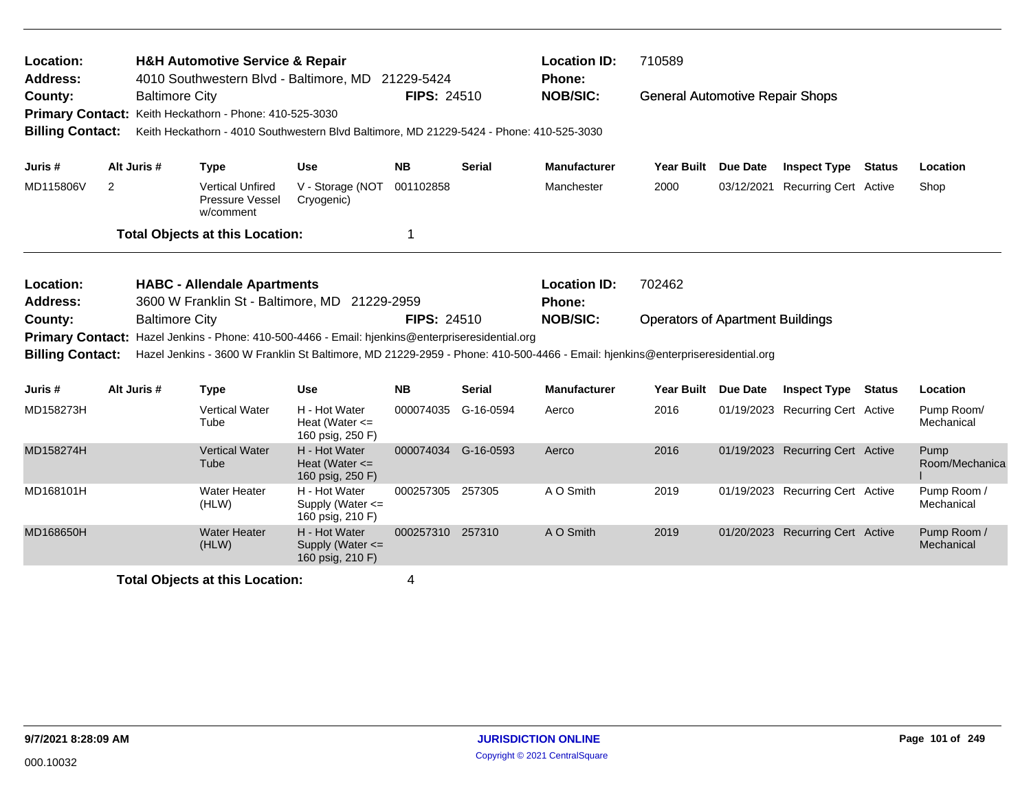| Location:<br>Address:        |                                                                                                                                                                                                                                                                                                                                                                                                                                                                                                                                             |                       | <b>H&amp;H Automotive Service &amp; Repair</b><br>4010 Southwestern Blvd - Baltimore, MD |                                                           | 21229-5424          |               | <b>Location ID:</b><br><b>Phone:</b>                                                                                          | 710589                                  |          |                                  |               |                           |
|------------------------------|---------------------------------------------------------------------------------------------------------------------------------------------------------------------------------------------------------------------------------------------------------------------------------------------------------------------------------------------------------------------------------------------------------------------------------------------------------------------------------------------------------------------------------------------|-----------------------|------------------------------------------------------------------------------------------|-----------------------------------------------------------|---------------------|---------------|-------------------------------------------------------------------------------------------------------------------------------|-----------------------------------------|----------|----------------------------------|---------------|---------------------------|
| County:                      |                                                                                                                                                                                                                                                                                                                                                                                                                                                                                                                                             | <b>Baltimore City</b> |                                                                                          |                                                           | <b>FIPS: 24510</b>  |               | <b>NOB/SIC:</b>                                                                                                               | <b>General Automotive Repair Shops</b>  |          |                                  |               |                           |
|                              | Keith Heckathorn - Phone: 410-525-3030<br><b>Primary Contact:</b><br><b>Billing Contact:</b><br>Keith Heckathorn - 4010 Southwestern Blvd Baltimore, MD 21229-5424 - Phone: 410-525-3030<br>Alt Juris #<br><b>Use</b><br><b>NB</b><br><b>Serial</b><br><b>Manufacturer</b><br><b>Year Built</b><br><b>Due Date</b><br><b>Inspect Type</b><br><b>Type</b><br>2<br><b>Vertical Unfired</b><br>V - Storage (NOT<br>001102858<br>Manchester<br>2000<br>03/12/2021<br><b>Recurring Cert Active</b><br>Pressure Vessel<br>Cryogenic)<br>w/comment |                       |                                                                                          |                                                           |                     |               |                                                                                                                               |                                         |          |                                  |               |                           |
| Juris #                      |                                                                                                                                                                                                                                                                                                                                                                                                                                                                                                                                             |                       |                                                                                          |                                                           |                     |               |                                                                                                                               |                                         |          |                                  | <b>Status</b> | Location                  |
| MD115806V                    |                                                                                                                                                                                                                                                                                                                                                                                                                                                                                                                                             |                       |                                                                                          |                                                           |                     |               |                                                                                                                               |                                         |          |                                  |               | Shop                      |
|                              |                                                                                                                                                                                                                                                                                                                                                                                                                                                                                                                                             |                       | <b>Total Objects at this Location:</b>                                                   |                                                           |                     |               |                                                                                                                               |                                         |          |                                  |               |                           |
| Location:<br><b>Address:</b> |                                                                                                                                                                                                                                                                                                                                                                                                                                                                                                                                             |                       | <b>HABC - Allendale Apartments</b>                                                       | 3600 W Franklin St - Baltimore, MD 21229-2959             |                     |               | <b>Location ID:</b><br><b>Phone:</b>                                                                                          | 702462                                  |          |                                  |               |                           |
| County:                      |                                                                                                                                                                                                                                                                                                                                                                                                                                                                                                                                             | <b>Baltimore City</b> |                                                                                          |                                                           | <b>FIPS: 24510</b>  |               | <b>NOB/SIC:</b>                                                                                                               | <b>Operators of Apartment Buildings</b> |          |                                  |               |                           |
| <b>Primary Contact:</b>      | Hazel Jenkins - Phone: 410-500-4466 - Email: hjenkins@enterpriseresidential.org                                                                                                                                                                                                                                                                                                                                                                                                                                                             |                       |                                                                                          |                                                           |                     |               |                                                                                                                               |                                         |          |                                  |               |                           |
| <b>Billing Contact:</b>      |                                                                                                                                                                                                                                                                                                                                                                                                                                                                                                                                             |                       |                                                                                          |                                                           |                     |               | Hazel Jenkins - 3600 W Franklin St Baltimore, MD 21229-2959 - Phone: 410-500-4466 - Email: hjenkins@enterpriseresidential.org |                                         |          |                                  |               |                           |
| Juris #                      | Alt Juris #                                                                                                                                                                                                                                                                                                                                                                                                                                                                                                                                 |                       | <b>Type</b>                                                                              | Use                                                       | <b>NB</b>           | <b>Serial</b> | <b>Manufacturer</b>                                                                                                           | <b>Year Built</b>                       | Due Date | <b>Inspect Type</b>              | <b>Status</b> | Location                  |
| MD158273H                    |                                                                                                                                                                                                                                                                                                                                                                                                                                                                                                                                             |                       | <b>Vertical Water</b><br>Tube                                                            | H - Hot Water<br>Heat (Water $\leq$<br>160 psig, 250 F)   | 000074035           | G-16-0594     | Aerco                                                                                                                         | 2016                                    |          | 01/19/2023 Recurring Cert Active |               | Pump Room/<br>Mechanical  |
| MD158274H                    |                                                                                                                                                                                                                                                                                                                                                                                                                                                                                                                                             |                       | <b>Vertical Water</b><br>Tube                                                            | H - Hot Water<br>Heat (Water $\leq$<br>160 psig, 250 F)   | 000074034 G-16-0593 |               | Aerco                                                                                                                         | 2016                                    |          | 01/19/2023 Recurring Cert Active |               | Pump<br>Room/Mechanica    |
| MD168101H                    |                                                                                                                                                                                                                                                                                                                                                                                                                                                                                                                                             |                       | <b>Water Heater</b><br>(HLW)                                                             | H - Hot Water<br>Supply (Water $\leq$<br>160 psig, 210 F) | 000257305 257305    |               | A O Smith                                                                                                                     | 2019                                    |          | 01/19/2023 Recurring Cert Active |               | Pump Room /<br>Mechanical |
| MD168650H                    |                                                                                                                                                                                                                                                                                                                                                                                                                                                                                                                                             |                       | <b>Water Heater</b><br>(HLW)                                                             | H - Hot Water<br>Supply (Water <=<br>160 psig, 210 F)     | 000257310 257310    |               | A O Smith                                                                                                                     | 2019                                    |          | 01/20/2023 Recurring Cert Active |               | Pump Room /<br>Mechanical |
|                              |                                                                                                                                                                                                                                                                                                                                                                                                                                                                                                                                             |                       | <b>Total Objects at this Location:</b>                                                   |                                                           | 4                   |               |                                                                                                                               |                                         |          |                                  |               |                           |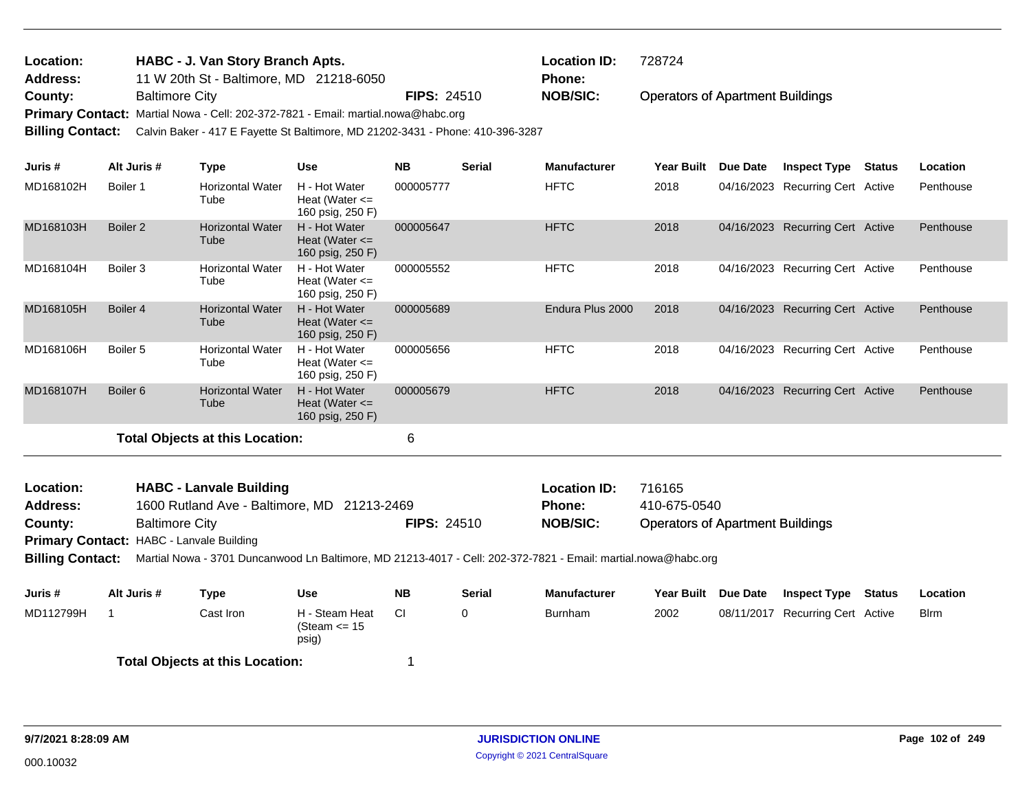| Location: | HABC - J. Van Story Branch Apts.                                                                |                    | <b>Location ID:</b> | 728724                                  |
|-----------|-------------------------------------------------------------------------------------------------|--------------------|---------------------|-----------------------------------------|
| Address:  | 11 W 20th St - Baltimore, MD 21218-6050                                                         |                    | Phone:              |                                         |
| County:   | <b>Baltimore City</b>                                                                           | <b>FIPS: 24510</b> | NOB/SIC:            | <b>Operators of Apartment Buildings</b> |
|           | Primary Contact: Martial Nowa - Cell: 202-372-7821 - Email: martial.nowa@habc.org               |                    |                     |                                         |
|           | Billing Contact: Calvin Baker - 417 E Fayette St Baltimore, MD 21202-3431 - Phone: 410-396-3287 |                    |                     |                                         |

| Juris #   | Alt Juris #         | <b>Type</b>                            | <b>Use</b>                                              | <b>NB</b> | <b>Serial</b> | <b>Manufacturer</b> | <b>Year Built</b> | Due Date   | <b>Inspect Type</b>              | <b>Status</b> | Location  |
|-----------|---------------------|----------------------------------------|---------------------------------------------------------|-----------|---------------|---------------------|-------------------|------------|----------------------------------|---------------|-----------|
| MD168102H | Boiler 1            | <b>Horizontal Water</b><br>Tube        | H - Hot Water<br>Heat (Water $\leq$<br>160 psig, 250 F) | 000005777 |               | <b>HFTC</b>         | 2018              |            | 04/16/2023 Recurring Cert Active |               | Penthouse |
| MD168103H | Boiler <sub>2</sub> | <b>Horizontal Water</b><br>Tube        | H - Hot Water<br>Heat (Water $\leq$<br>160 psig, 250 F) | 000005647 |               | <b>HFTC</b>         | 2018              | 04/16/2023 | <b>Recurring Cert Active</b>     |               | Penthouse |
| MD168104H | Boiler 3            | <b>Horizontal Water</b><br>Tube        | H - Hot Water<br>Heat (Water $\leq$<br>160 psig, 250 F) | 000005552 |               | <b>HFTC</b>         | 2018              |            | 04/16/2023 Recurring Cert Active |               | Penthouse |
| MD168105H | Boiler 4            | <b>Horizontal Water</b><br>Tube        | H - Hot Water<br>Heat (Water $\leq$<br>160 psig, 250 F) | 000005689 |               | Endura Plus 2000    | 2018              | 04/16/2023 | Recurring Cert Active            |               | Penthouse |
| MD168106H | Boiler 5            | <b>Horizontal Water</b><br>Tube        | H - Hot Water<br>Heat (Water $\leq$<br>160 psig, 250 F) | 000005656 |               | <b>HFTC</b>         | 2018              | 04/16/2023 | <b>Recurring Cert Active</b>     |               | Penthouse |
| MD168107H | Boiler <sub>6</sub> | <b>Horizontal Water</b><br>Tube        | H - Hot Water<br>Heat (Water $\leq$<br>160 psig, 250 F) | 000005679 |               | <b>HFTC</b>         | 2018              | 04/16/2023 | <b>Recurring Cert Active</b>     |               | Penthouse |
|           |                     | <b>Total Objects at this Location:</b> |                                                         | 6         |               |                     |                   |            |                                  |               |           |
|           |                     |                                        |                                                         |           |               |                     |                   |            |                                  |               |           |
| Location: |                     | <b>HABC - Lanvale Building</b>         |                                                         |           |               | <b>Location ID:</b> | 716165            |            |                                  |               |           |

| LUUQUUI.        | <b>TIADU - Lativale Dulluilly</b>                                                                                               |                    | LUCQUUII ID.  | 7.10.100                                |
|-----------------|---------------------------------------------------------------------------------------------------------------------------------|--------------------|---------------|-----------------------------------------|
| <b>Address:</b> | 1600 Rutland Ave - Baltimore, MD 21213-2469                                                                                     |                    | <b>Phone:</b> | 410-675-0540                            |
| County:         | <b>Baltimore City</b>                                                                                                           | <b>FIPS: 24510</b> | NOB/SIC:      | <b>Operators of Apartment Buildings</b> |
|                 | <b>Primary Contact: HABC - Lanvale Building</b>                                                                                 |                    |               |                                         |
|                 | Billing Contact: Martial Nowa - 3701 Duncanwood Ln Baltimore, MD 21213-4017 - Cell: 202-372-7821 - Email: martial.nowa@habc.org |                    |               |                                         |

| Juris #   | Alt Juris # | Type                                   | Use                                         | <b>NB</b> | <b>Serial</b> | <b>Manufacturer</b> | Year Built Due Date | <b>Inspect Type</b>              | <b>Status</b> | Location     |
|-----------|-------------|----------------------------------------|---------------------------------------------|-----------|---------------|---------------------|---------------------|----------------------------------|---------------|--------------|
| MD112799H |             | Cast Iron                              | H - Steam Heat<br>(Steam $\leq$ 15<br>psig) |           |               | <b>Burnham</b>      | 2002                | 08/11/2017 Recurring Cert Active |               | <b>B</b> lrm |
|           |             | <b>Total Objects at this Location:</b> |                                             |           |               |                     |                     |                                  |               |              |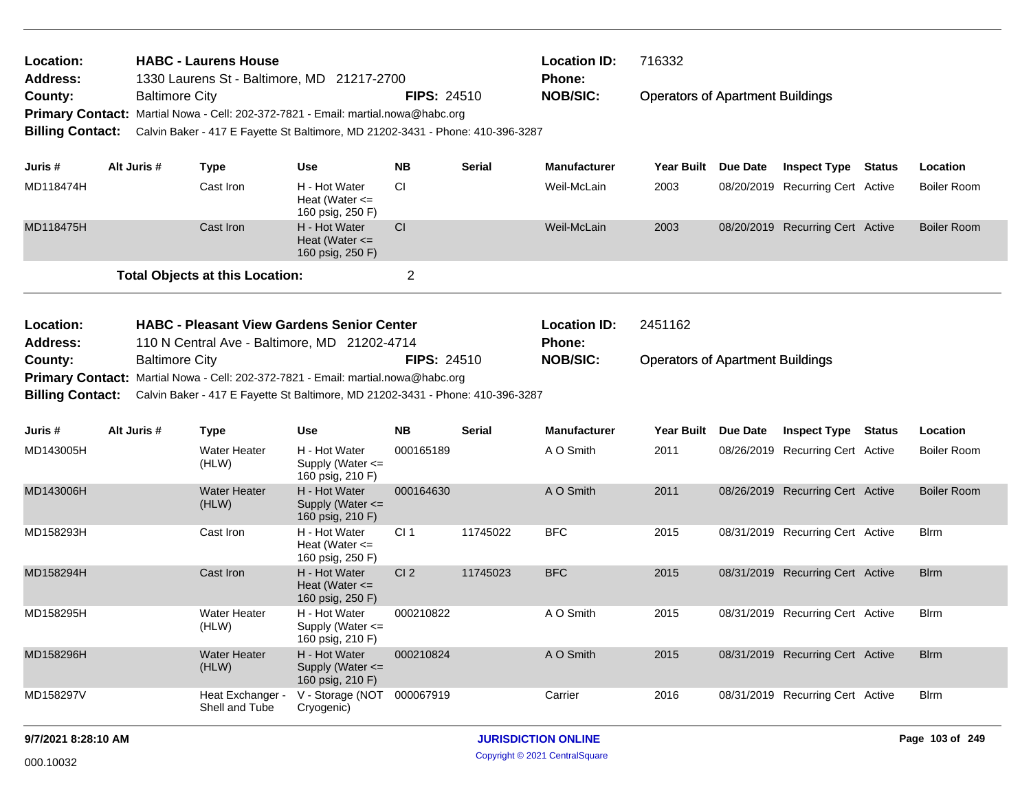| Location:               |                                                             |                       |                                                                                                                                                                                                                                                                                                                                                                                                                                                                                                                                                                                                                                                                                                                          |                                                                                   |                    |               | <b>Location ID:</b> | 716332                                  |                 |                                  |                    |
|-------------------------|-------------------------------------------------------------|-----------------------|--------------------------------------------------------------------------------------------------------------------------------------------------------------------------------------------------------------------------------------------------------------------------------------------------------------------------------------------------------------------------------------------------------------------------------------------------------------------------------------------------------------------------------------------------------------------------------------------------------------------------------------------------------------------------------------------------------------------------|-----------------------------------------------------------------------------------|--------------------|---------------|---------------------|-----------------------------------------|-----------------|----------------------------------|--------------------|
| Address:                |                                                             |                       |                                                                                                                                                                                                                                                                                                                                                                                                                                                                                                                                                                                                                                                                                                                          |                                                                                   |                    |               | Phone:              |                                         |                 |                                  |                    |
| County:                 |                                                             |                       |                                                                                                                                                                                                                                                                                                                                                                                                                                                                                                                                                                                                                                                                                                                          |                                                                                   |                    |               | <b>NOB/SIC:</b>     | <b>Operators of Apartment Buildings</b> |                 |                                  |                    |
|                         | Alt Juris #<br><b>Use</b><br>Type<br>Cast Iron<br>Cast Iron |                       |                                                                                                                                                                                                                                                                                                                                                                                                                                                                                                                                                                                                                                                                                                                          |                                                                                   |                    |               |                     |                                         |                 |                                  |                    |
| <b>Billing Contact:</b> |                                                             |                       | <b>HABC - Laurens House</b><br>1330 Laurens St - Baltimore, MD 21217-2700<br><b>Baltimore City</b><br><b>FIPS: 24510</b><br>Primary Contact: Martial Nowa - Cell: 202-372-7821 - Email: martial.nowa@habc.org<br>Calvin Baker - 417 E Fayette St Baltimore, MD 21202-3431 - Phone: 410-396-3287<br><b>NB</b><br><b>Serial</b><br><b>Manufacturer</b><br>H - Hot Water<br>CI.<br>Weil-McLain<br>Heat (Water $\leq$<br>160 psig, 250 F)<br>H - Hot Water<br>CI.<br>Weil-McLain<br>Heat (Water $\leq$<br>160 psig, 250 F)<br>$\overline{2}$<br><b>Total Objects at this Location:</b><br><b>HABC - Pleasant View Gardens Senior Center</b><br><b>Location ID:</b><br>110 N Central Ave - Baltimore, MD 21202-4714<br>Phone: |                                                                                   |                    |               |                     |                                         |                 |                                  |                    |
| Juris #                 |                                                             |                       |                                                                                                                                                                                                                                                                                                                                                                                                                                                                                                                                                                                                                                                                                                                          |                                                                                   |                    |               |                     | Year Built Due Date                     |                 | <b>Inspect Type Status</b>       | Location           |
|                         |                                                             |                       |                                                                                                                                                                                                                                                                                                                                                                                                                                                                                                                                                                                                                                                                                                                          |                                                                                   |                    |               |                     |                                         |                 |                                  |                    |
| MD118474H               |                                                             |                       |                                                                                                                                                                                                                                                                                                                                                                                                                                                                                                                                                                                                                                                                                                                          |                                                                                   |                    |               |                     | 2003                                    |                 | 08/20/2019 Recurring Cert Active | <b>Boiler Room</b> |
| MD118475H               |                                                             |                       |                                                                                                                                                                                                                                                                                                                                                                                                                                                                                                                                                                                                                                                                                                                          |                                                                                   |                    |               |                     | 2003                                    |                 | 08/20/2019 Recurring Cert Active | <b>Boiler Room</b> |
|                         |                                                             |                       |                                                                                                                                                                                                                                                                                                                                                                                                                                                                                                                                                                                                                                                                                                                          |                                                                                   |                    |               |                     |                                         |                 |                                  |                    |
| Location:               |                                                             |                       |                                                                                                                                                                                                                                                                                                                                                                                                                                                                                                                                                                                                                                                                                                                          |                                                                                   |                    |               |                     | 2451162                                 |                 |                                  |                    |
| <b>Address:</b>         |                                                             |                       |                                                                                                                                                                                                                                                                                                                                                                                                                                                                                                                                                                                                                                                                                                                          |                                                                                   |                    |               |                     |                                         |                 |                                  |                    |
| County:                 |                                                             | <b>Baltimore City</b> |                                                                                                                                                                                                                                                                                                                                                                                                                                                                                                                                                                                                                                                                                                                          |                                                                                   | <b>FIPS: 24510</b> |               | <b>NOB/SIC:</b>     | <b>Operators of Apartment Buildings</b> |                 |                                  |                    |
|                         |                                                             |                       |                                                                                                                                                                                                                                                                                                                                                                                                                                                                                                                                                                                                                                                                                                                          | Primary Contact: Martial Nowa - Cell: 202-372-7821 - Email: martial.nowa@habc.org |                    |               |                     |                                         |                 |                                  |                    |
| <b>Billing Contact:</b> |                                                             |                       |                                                                                                                                                                                                                                                                                                                                                                                                                                                                                                                                                                                                                                                                                                                          | Calvin Baker - 417 E Fayette St Baltimore, MD 21202-3431 - Phone: 410-396-3287    |                    |               |                     |                                         |                 |                                  |                    |
|                         |                                                             |                       |                                                                                                                                                                                                                                                                                                                                                                                                                                                                                                                                                                                                                                                                                                                          |                                                                                   |                    |               |                     |                                         |                 |                                  |                    |
| Juris #                 | Alt Juris #                                                 |                       | <b>Type</b>                                                                                                                                                                                                                                                                                                                                                                                                                                                                                                                                                                                                                                                                                                              | Use                                                                               | <b>NB</b>          | <b>Serial</b> | <b>Manufacturer</b> | Year Built                              | <b>Due Date</b> | <b>Inspect Type Status</b>       | Location           |
| MD143005H               |                                                             |                       | <b>Water Heater</b><br>(HLW)                                                                                                                                                                                                                                                                                                                                                                                                                                                                                                                                                                                                                                                                                             | H - Hot Water<br>Supply (Water $\leq$<br>160 psig, 210 F)                         | 000165189          |               | A O Smith           | 2011                                    |                 | 08/26/2019 Recurring Cert Active | <b>Boiler Room</b> |
| MD143006H               |                                                             |                       | <b>Water Heater</b>                                                                                                                                                                                                                                                                                                                                                                                                                                                                                                                                                                                                                                                                                                      | H - Hot Water                                                                     | 000164630          |               | A O Smith           | 2011                                    |                 | 08/26/2019 Recurring Cert Active | <b>Boiler Room</b> |
|                         |                                                             |                       | (HLW)                                                                                                                                                                                                                                                                                                                                                                                                                                                                                                                                                                                                                                                                                                                    | Supply (Water $\leq$<br>160 psig, 210 F)                                          |                    |               |                     |                                         |                 |                                  |                    |
| MD158293H               |                                                             |                       | Cast Iron                                                                                                                                                                                                                                                                                                                                                                                                                                                                                                                                                                                                                                                                                                                | H - Hot Water<br>Heat (Water $\leq$<br>160 psig, 250 F)                           | CI <sub>1</sub>    | 11745022      | <b>BFC</b>          | 2015                                    |                 | 08/31/2019 Recurring Cert Active | <b>Blrm</b>        |
| MD158294H               |                                                             |                       | Cast Iron                                                                                                                                                                                                                                                                                                                                                                                                                                                                                                                                                                                                                                                                                                                | H - Hot Water<br>Heat (Water $\leq$<br>160 psig, 250 F)                           | CI <sub>2</sub>    | 11745023      | <b>BFC</b>          | 2015                                    |                 | 08/31/2019 Recurring Cert Active | <b>Blrm</b>        |
| MD158295H               |                                                             |                       | Water Heater<br>(HLW)                                                                                                                                                                                                                                                                                                                                                                                                                                                                                                                                                                                                                                                                                                    | H - Hot Water<br>Supply (Water $\leq$<br>160 psig, 210 F)                         | 000210822          |               | A O Smith           | 2015                                    |                 | 08/31/2019 Recurring Cert Active | Blrm               |
| MD158296H               |                                                             |                       | <b>Water Heater</b><br>(HLW)                                                                                                                                                                                                                                                                                                                                                                                                                                                                                                                                                                                                                                                                                             | H - Hot Water<br>Supply (Water $\leq$<br>160 psig, 210 F)                         | 000210824          |               | A O Smith           | 2015                                    |                 | 08/31/2019 Recurring Cert Active | <b>Blrm</b>        |
| MD158297V               |                                                             |                       | Heat Exchanger -<br>Shell and Tube                                                                                                                                                                                                                                                                                                                                                                                                                                                                                                                                                                                                                                                                                       | V - Storage (NOT 000067919<br>Cryogenic)                                          |                    |               | Carrier             | 2016                                    |                 | 08/31/2019 Recurring Cert Active | <b>Blrm</b>        |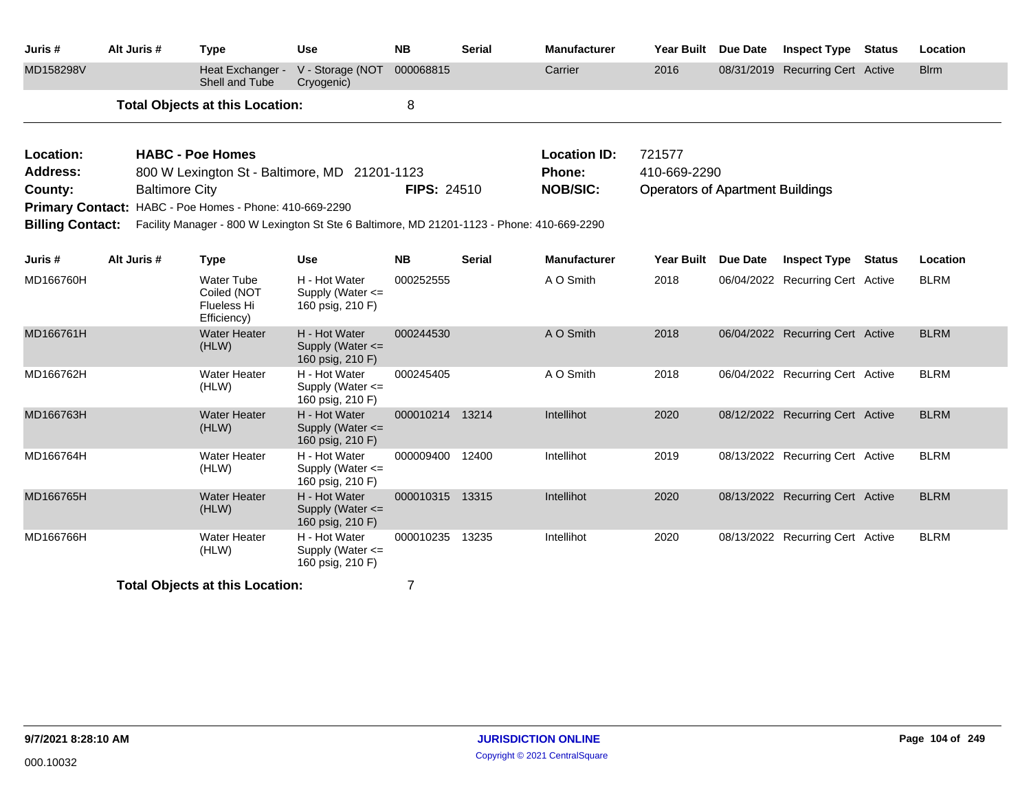| Juris #                                                            | Alt Juris #                                                                                                                                                  | <b>Type</b>                                             | <b>Use</b>                                                                                                                                                                                                                                | <b>NB</b>       | <b>Serial</b> | <b>Manufacturer</b> | Year Built Due Date |  | <b>Inspect Type</b>              | <b>Status</b> | Location    |
|--------------------------------------------------------------------|--------------------------------------------------------------------------------------------------------------------------------------------------------------|---------------------------------------------------------|-------------------------------------------------------------------------------------------------------------------------------------------------------------------------------------------------------------------------------------------|-----------------|---------------|---------------------|---------------------|--|----------------------------------|---------------|-------------|
| MD158298V                                                          |                                                                                                                                                              | Heat Exchanger -<br>Shell and Tube                      | V - Storage (NOT<br>Cryogenic)                                                                                                                                                                                                            | 000068815       |               | Carrier             | 2016                |  | 08/31/2019 Recurring Cert Active |               | <b>Blrm</b> |
|                                                                    |                                                                                                                                                              | <b>Total Objects at this Location:</b>                  |                                                                                                                                                                                                                                           | 8               |               |                     |                     |  |                                  |               |             |
| Location:<br><b>Address:</b><br>County:<br><b>Billing Contact:</b> | <b>HABC - Poe Homes</b><br>800 W Lexington St - Baltimore, MD 21201-1123<br><b>Baltimore City</b><br>Primary Contact: HABC - Poe Homes - Phone: 410-669-2290 |                                                         | <b>Location ID:</b><br>721577<br>Phone:<br>410-669-2290<br><b>NOB/SIC:</b><br><b>FIPS: 24510</b><br><b>Operators of Apartment Buildings</b><br>Facility Manager - 800 W Lexington St Ste 6 Baltimore, MD 21201-1123 - Phone: 410-669-2290 |                 |               |                     |                     |  |                                  |               |             |
| Juris #                                                            | Alt Juris #                                                                                                                                                  | <b>Type</b>                                             | Use                                                                                                                                                                                                                                       | <b>NB</b>       | <b>Serial</b> | <b>Manufacturer</b> | Year Built Due Date |  | <b>Inspect Type Status</b>       |               | Location    |
| MD166760H                                                          |                                                                                                                                                              | Water Tube<br>Coiled (NOT<br>Flueless Hi<br>Efficiency) | H - Hot Water<br>Supply (Water <=<br>160 psig, 210 F)                                                                                                                                                                                     | 000252555       |               | A O Smith           | 2018                |  | 06/04/2022 Recurring Cert Active |               | <b>BLRM</b> |
| MD166761H                                                          |                                                                                                                                                              | <b>Water Heater</b><br>(HLW)                            | H - Hot Water<br>Supply (Water <=<br>160 psig, 210 F)                                                                                                                                                                                     | 000244530       |               | A O Smith           | 2018                |  | 06/04/2022 Recurring Cert Active |               | <b>BLRM</b> |
| MD166762H                                                          |                                                                                                                                                              | <b>Water Heater</b><br>(HLW)                            | H - Hot Water<br>Supply (Water <=<br>160 psig, 210 F)                                                                                                                                                                                     | 000245405       |               | A O Smith           | 2018                |  | 06/04/2022 Recurring Cert Active |               | <b>BLRM</b> |
| MD166763H                                                          |                                                                                                                                                              | <b>Water Heater</b><br>(HLW)                            | H - Hot Water<br>Supply (Water <=<br>160 psig, 210 F)                                                                                                                                                                                     | 000010214 13214 |               | Intellihot          | 2020                |  | 08/12/2022 Recurring Cert Active |               | <b>BLRM</b> |
| MD166764H                                                          |                                                                                                                                                              | <b>Water Heater</b><br>(HLW)                            | H - Hot Water<br>Supply (Water <=<br>160 psig, 210 F)                                                                                                                                                                                     | 000009400 12400 |               | Intellihot          | 2019                |  | 08/13/2022 Recurring Cert Active |               | <b>BLRM</b> |
| MD166765H                                                          |                                                                                                                                                              | <b>Water Heater</b><br>(HLW)                            | H - Hot Water<br>Supply (Water <=<br>160 psig, 210 F)                                                                                                                                                                                     | 000010315 13315 |               | Intellihot          | 2020                |  | 08/13/2022 Recurring Cert Active |               | <b>BLRM</b> |
| MD166766H                                                          |                                                                                                                                                              | <b>Water Heater</b><br>(HLW)                            | H - Hot Water<br>Supply (Water <=<br>160 psig, 210 F)                                                                                                                                                                                     | 000010235 13235 |               | Intellihot          | 2020                |  | 08/13/2022 Recurring Cert Active |               | <b>BLRM</b> |
|                                                                    |                                                                                                                                                              | <b>Total Objects at this Location:</b>                  |                                                                                                                                                                                                                                           | $\overline{7}$  |               |                     |                     |  |                                  |               |             |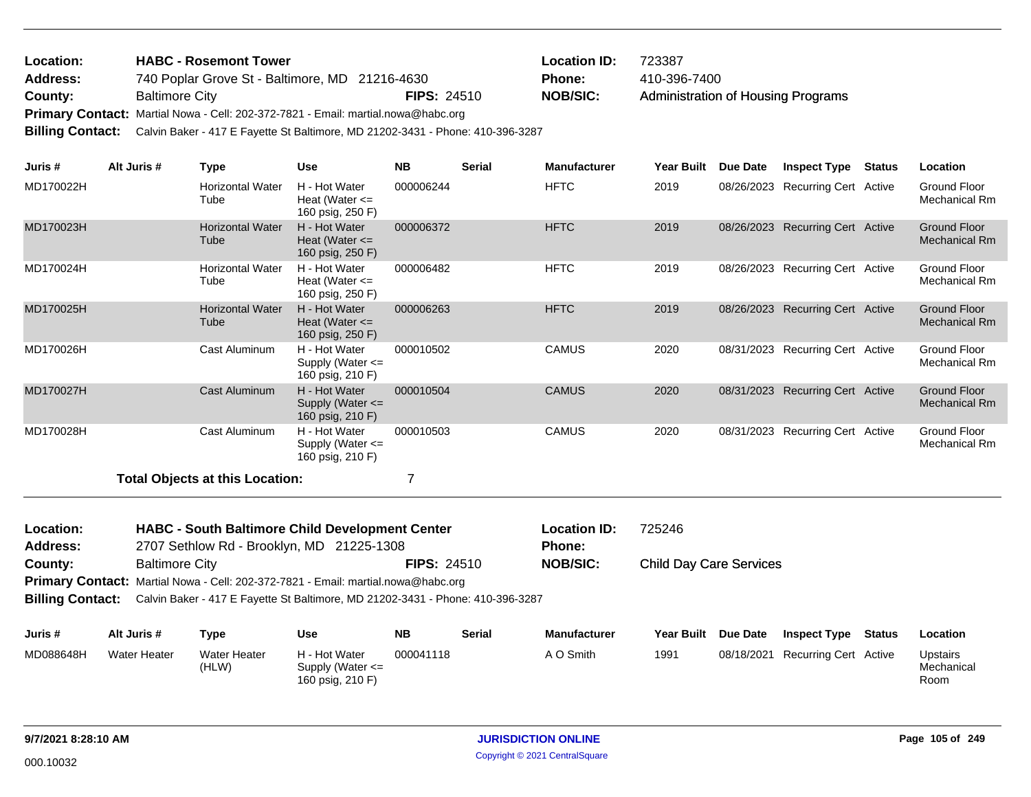| Location:               | <b>HABC - Rosemont Tower</b>                                                      |                    | <b>Location ID:</b> | 723387                                    |  |  |  |  |  |  |  |
|-------------------------|-----------------------------------------------------------------------------------|--------------------|---------------------|-------------------------------------------|--|--|--|--|--|--|--|
| Address:                | 740 Poplar Grove St - Baltimore, MD 21216-4630                                    |                    | <b>Phone:</b>       | 410-396-7400                              |  |  |  |  |  |  |  |
| County:                 | <b>Baltimore City</b>                                                             | <b>FIPS: 24510</b> | <b>NOB/SIC:</b>     | <b>Administration of Housing Programs</b> |  |  |  |  |  |  |  |
|                         | Primary Contact: Martial Nowa - Cell: 202-372-7821 - Email: martial.nowa@habc.org |                    |                     |                                           |  |  |  |  |  |  |  |
| <b>Billing Contact:</b> | Calvin Baker - 417 E Fayette St Baltimore, MD 21202-3431 - Phone: 410-396-3287    |                    |                     |                                           |  |  |  |  |  |  |  |

| Juris #   | Alt Juris # | Type                                   | <b>Use</b>                                                | <b>NB</b> | <b>Serial</b> | <b>Manufacturer</b> | <b>Year Built</b> | Due Date | <b>Inspect Type</b>              | <b>Status</b> | Location                             |
|-----------|-------------|----------------------------------------|-----------------------------------------------------------|-----------|---------------|---------------------|-------------------|----------|----------------------------------|---------------|--------------------------------------|
| MD170022H |             | <b>Horizontal Water</b><br>Tube        | H - Hot Water<br>Heat (Water $\leq$<br>160 psig, 250 F)   | 000006244 |               | <b>HFTC</b>         | 2019              |          | 08/26/2023 Recurring Cert Active |               | Ground Floor<br>Mechanical Rm        |
| MD170023H |             | <b>Horizontal Water</b><br>Tube        | H - Hot Water<br>Heat (Water $\leq$<br>160 psig, 250 F)   | 000006372 |               | <b>HFTC</b>         | 2019              |          | 08/26/2023 Recurring Cert Active |               | Ground Floor<br>Mechanical Rm        |
| MD170024H |             | <b>Horizontal Water</b><br>Tube        | H - Hot Water<br>Heat (Water $\leq$<br>160 psig, 250 F)   | 000006482 |               | <b>HFTC</b>         | 2019              |          | 08/26/2023 Recurring Cert Active |               | Ground Floor<br>Mechanical Rm        |
| MD170025H |             | <b>Horizontal Water</b><br>Tube        | H - Hot Water<br>Heat (Water $\leq$<br>160 psig, 250 F)   | 000006263 |               | <b>HFTC</b>         | 2019              |          | 08/26/2023 Recurring Cert Active |               | Ground Floor<br><b>Mechanical Rm</b> |
| MD170026H |             | Cast Aluminum                          | H - Hot Water<br>Supply (Water $\leq$<br>160 psig, 210 F) | 000010502 |               | <b>CAMUS</b>        | 2020              |          | 08/31/2023 Recurring Cert Active |               | Ground Floor<br>Mechanical Rm        |
| MD170027H |             | Cast Aluminum                          | H - Hot Water<br>Supply (Water $\leq$<br>160 psig, 210 F) | 000010504 |               | <b>CAMUS</b>        | 2020              |          | 08/31/2023 Recurring Cert Active |               | <b>Ground Floor</b><br>Mechanical Rm |
| MD170028H |             | Cast Aluminum                          | H - Hot Water<br>Supply (Water $\leq$<br>160 psig, 210 F) | 000010503 |               | <b>CAMUS</b>        | 2020              |          | 08/31/2023 Recurring Cert Active |               | Ground Floor<br>Mechanical Rm        |
|           |             | <b>Total Objects at this Location:</b> |                                                           |           |               |                     |                   |          |                                  |               |                                      |

| Location:       | <b>HABC - South Baltimore Child Development Center</b>                                          |                    | <b>Location ID:</b> | 725246                         |  |  |  |  |  |  |
|-----------------|-------------------------------------------------------------------------------------------------|--------------------|---------------------|--------------------------------|--|--|--|--|--|--|
| <b>Address:</b> | 2707 Sethlow Rd - Brooklyn, MD 21225-1308                                                       |                    | <b>Phone:</b>       |                                |  |  |  |  |  |  |
| County:         | <b>Baltimore City</b>                                                                           | <b>FIPS: 24510</b> | NOB/SIC:            | <b>Child Day Care Services</b> |  |  |  |  |  |  |
|                 | <b>Primary Contact:</b> Martial Nowa - Cell: 202-372-7821 - Email: martial.nowa@habc.org        |                    |                     |                                |  |  |  |  |  |  |
|                 | Billing Contact: Calvin Baker - 417 E Fayette St Baltimore, MD 21202-3431 - Phone: 410-396-3287 |                    |                     |                                |  |  |  |  |  |  |

| Juris #   | Alt Juris #  | Type                  | Use                                                       | <b>NB</b> | <b>Serial</b> | <b>Manufacturer</b> | Year Built Due Date | <b>Inspect Type</b>              | Status | Location                              |
|-----------|--------------|-----------------------|-----------------------------------------------------------|-----------|---------------|---------------------|---------------------|----------------------------------|--------|---------------------------------------|
| MD088648H | Water Heater | Water Heater<br>(HLW) | H - Hot Water<br>Supply (Water $\leq$<br>160 psig, 210 F) | 000041118 |               | A O Smith           | 1991                | 08/18/2021 Recurring Cert Active |        | <b>Upstairs</b><br>Mechanical<br>Room |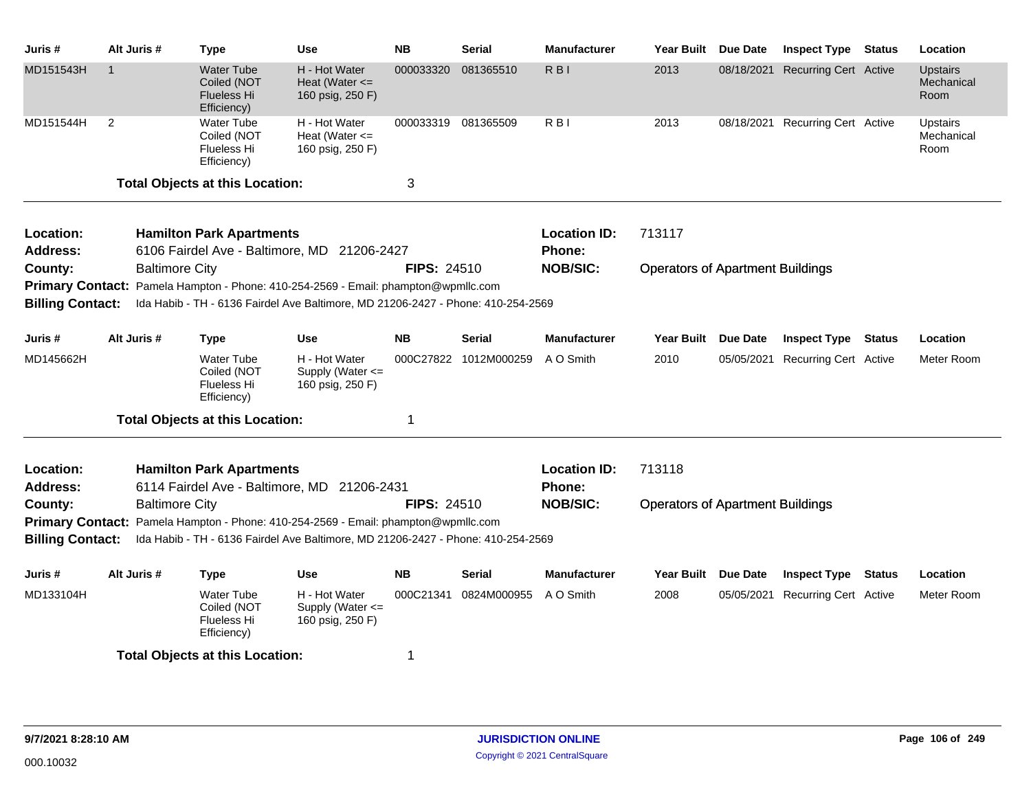| Juris #                            | Alt Juris #           | <b>Type</b>                                                                    | <b>Use</b>                                                                                                                                                             | <b>NB</b>                     | <b>Serial</b>         | <b>Manufacturer</b>                     | Year Built Due Date                     |                 | <b>Inspect Type</b>              | Status | Location                              |
|------------------------------------|-----------------------|--------------------------------------------------------------------------------|------------------------------------------------------------------------------------------------------------------------------------------------------------------------|-------------------------------|-----------------------|-----------------------------------------|-----------------------------------------|-----------------|----------------------------------|--------|---------------------------------------|
| MD151543H                          |                       | <b>Water Tube</b><br>Coiled (NOT<br><b>Flueless Hi</b><br>Efficiency)          | H - Hot Water<br>Heat (Water $\leq$<br>160 psig, 250 F)                                                                                                                | 000033320                     | 081365510             | R B I                                   | 2013                                    |                 | 08/18/2021 Recurring Cert Active |        | <b>Upstairs</b><br>Mechanical<br>Room |
| MD151544H                          | $\overline{2}$        | <b>Water Tube</b><br>Coiled (NOT<br>Flueless Hi<br>Efficiency)                 | H - Hot Water<br>Heat (Water $\leq$<br>160 psig, 250 F)                                                                                                                |                               | 000033319 081365509   | R <sub>B</sub>                          | 2013                                    |                 | 08/18/2021 Recurring Cert Active |        | Upstairs<br>Mechanical<br>Room        |
|                                    |                       | <b>Total Objects at this Location:</b>                                         |                                                                                                                                                                        | 3                             |                       |                                         |                                         |                 |                                  |        |                                       |
| Location:<br><b>Address:</b>       |                       | <b>Hamilton Park Apartments</b><br>6106 Fairdel Ave - Baltimore, MD 21206-2427 |                                                                                                                                                                        | <b>Location ID:</b><br>Phone: | 713117                |                                         |                                         |                 |                                  |        |                                       |
| County:<br><b>Billing Contact:</b> | <b>Baltimore City</b> |                                                                                | Primary Contact: Pamela Hampton - Phone: 410-254-2569 - Email: phampton@wpmllc.com<br>Ida Habib - TH - 6136 Fairdel Ave Baltimore, MD 21206-2427 - Phone: 410-254-2569 | <b>FIPS: 24510</b>            | <b>NOB/SIC:</b>       | <b>Operators of Apartment Buildings</b> |                                         |                 |                                  |        |                                       |
| Juris #                            | Alt Juris #           | Type                                                                           | <b>Use</b>                                                                                                                                                             | <b>NB</b>                     | <b>Serial</b>         | <b>Manufacturer</b>                     | Year Built Due Date                     |                 | <b>Inspect Type Status</b>       |        | Location                              |
| MD145662H                          |                       | <b>Water Tube</b><br>Coiled (NOT<br><b>Flueless Hi</b><br>Efficiency)          | H - Hot Water<br>Supply (Water $\leq$<br>160 psig, 250 F)                                                                                                              |                               | 000C27822 1012M000259 | A O Smith                               | 2010                                    |                 | 05/05/2021 Recurring Cert Active |        | Meter Room                            |
|                                    |                       | <b>Total Objects at this Location:</b>                                         |                                                                                                                                                                        | $\mathbf 1$                   |                       |                                         |                                         |                 |                                  |        |                                       |
| Location:<br><b>Address:</b>       |                       | <b>Hamilton Park Apartments</b>                                                | 6114 Fairdel Ave - Baltimore, MD 21206-2431                                                                                                                            |                               |                       | <b>Location ID:</b><br>Phone:           | 713118                                  |                 |                                  |        |                                       |
| County:                            | <b>Baltimore City</b> |                                                                                |                                                                                                                                                                        | <b>FIPS: 24510</b>            |                       | <b>NOB/SIC:</b>                         | <b>Operators of Apartment Buildings</b> |                 |                                  |        |                                       |
| <b>Billing Contact:</b>            |                       |                                                                                | Primary Contact: Pamela Hampton - Phone: 410-254-2569 - Email: phampton@wpmllc.com<br>Ida Habib - TH - 6136 Fairdel Ave Baltimore, MD 21206-2427 - Phone: 410-254-2569 |                               |                       |                                         |                                         |                 |                                  |        |                                       |
| Juris #                            | Alt Juris #           | Type                                                                           | <b>Use</b>                                                                                                                                                             | <b>NB</b>                     | <b>Serial</b>         | <b>Manufacturer</b>                     | Year Built                              | <b>Due Date</b> | <b>Inspect Type Status</b>       |        | Location                              |
| MD133104H                          |                       | <b>Water Tube</b><br>Coiled (NOT<br><b>Flueless Hi</b><br>Efficiency)          | H - Hot Water<br>Supply (Water <=<br>160 psig, 250 F)                                                                                                                  | 000C21341                     | 0824M000955           | A O Smith                               | 2008                                    | 05/05/2021      | <b>Recurring Cert Active</b>     |        | Meter Room                            |
|                                    |                       | <b>Total Objects at this Location:</b>                                         |                                                                                                                                                                        | -1                            |                       |                                         |                                         |                 |                                  |        |                                       |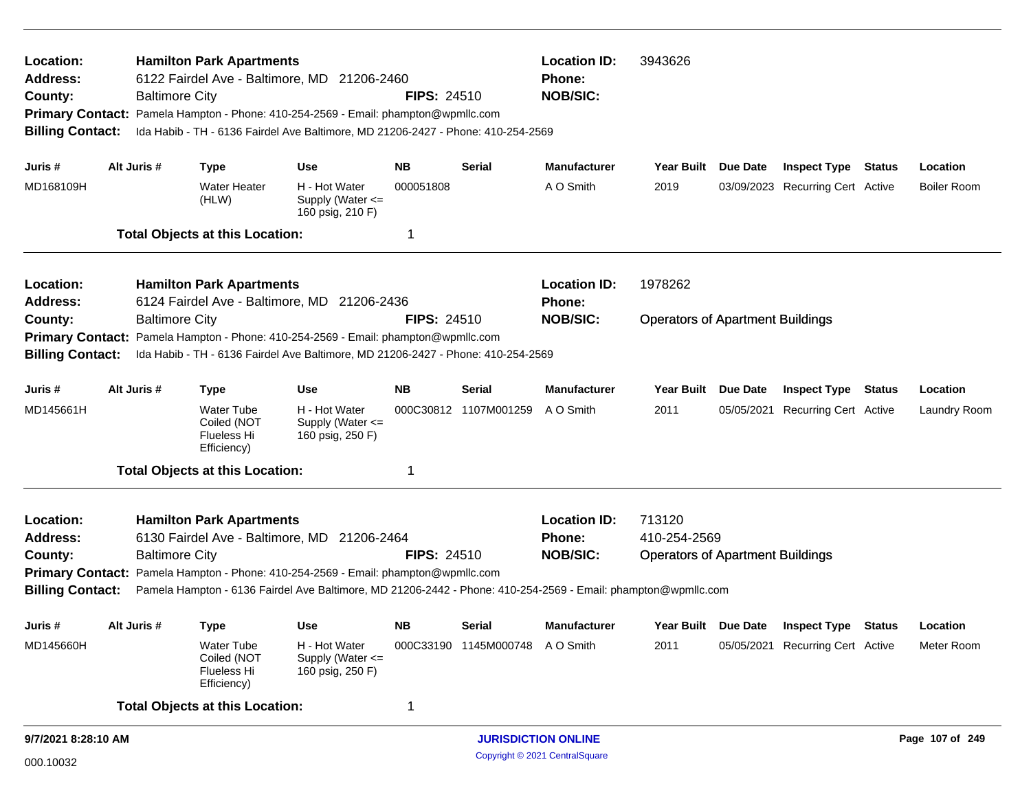| Location:<br>Address:<br>County:<br><b>Primary Contact:</b><br><b>Billing Contact:</b>                                        |             | <b>Baltimore City</b> | <b>Hamilton Park Apartments</b>                                | 6122 Fairdel Ave - Baltimore, MD 21206-2460<br>Pamela Hampton - Phone: 410-254-2569 - Email: phampton@wpmllc.com<br>Ida Habib - TH - 6136 Fairdel Ave Baltimore, MD 21206-2427 - Phone: 410-254-2569 | <b>FIPS: 24510</b> |                                 | <b>Location ID:</b><br>Phone:<br><b>NOB/SIC:</b> | 3943626                                 |  |                                                  |               |                    |
|-------------------------------------------------------------------------------------------------------------------------------|-------------|-----------------------|----------------------------------------------------------------|------------------------------------------------------------------------------------------------------------------------------------------------------------------------------------------------------|--------------------|---------------------------------|--------------------------------------------------|-----------------------------------------|--|--------------------------------------------------|---------------|--------------------|
| Juris #                                                                                                                       | Alt Juris # |                       | <b>Type</b>                                                    | <b>Use</b>                                                                                                                                                                                           | <b>NB</b>          | Serial                          | <b>Manufacturer</b>                              | Year Built Due Date                     |  | <b>Inspect Type Status</b>                       |               | Location           |
| MD168109H                                                                                                                     |             |                       | <b>Water Heater</b><br>(HLW)                                   | H - Hot Water<br>Supply (Water <=<br>160 psig, 210 F)                                                                                                                                                | 000051808          |                                 | A O Smith                                        | 2019                                    |  | 03/09/2023 Recurring Cert Active                 |               | <b>Boiler Room</b> |
|                                                                                                                               |             |                       | <b>Total Objects at this Location:</b>                         |                                                                                                                                                                                                      | 1                  |                                 |                                                  |                                         |  |                                                  |               |                    |
| Location:                                                                                                                     |             |                       | <b>Hamilton Park Apartments</b>                                |                                                                                                                                                                                                      |                    |                                 | <b>Location ID:</b>                              | 1978262                                 |  |                                                  |               |                    |
| <b>Address:</b><br>County:                                                                                                    |             | <b>Baltimore City</b> |                                                                | 6124 Fairdel Ave - Baltimore, MD 21206-2436                                                                                                                                                          | <b>FIPS: 24510</b> |                                 | <b>Phone:</b><br><b>NOB/SIC:</b>                 |                                         |  |                                                  |               |                    |
| <b>Operators of Apartment Buildings</b><br>Primary Contact: Pamela Hampton - Phone: 410-254-2569 - Email: phampton@wpmllc.com |             |                       |                                                                |                                                                                                                                                                                                      |                    |                                 |                                                  |                                         |  |                                                  |               |                    |
| <b>Billing Contact:</b>                                                                                                       |             |                       |                                                                | Ida Habib - TH - 6136 Fairdel Ave Baltimore, MD 21206-2427 - Phone: 410-254-2569                                                                                                                     |                    |                                 |                                                  |                                         |  |                                                  |               |                    |
| Juris #                                                                                                                       | Alt Juris # |                       | <b>Type</b>                                                    | <b>Use</b>                                                                                                                                                                                           | <b>NB</b>          | Serial                          | <b>Manufacturer</b>                              | Year Built Due Date                     |  | <b>Inspect Type</b>                              | <b>Status</b> | Location           |
| MD145661H                                                                                                                     |             |                       | <b>Water Tube</b><br>Coiled (NOT<br>Flueless Hi<br>Efficiency) | H - Hot Water<br>Supply (Water <=<br>160 psig, 250 F)                                                                                                                                                |                    | 000C30812 1107M001259           | A O Smith                                        | 2011                                    |  | 05/05/2021 Recurring Cert Active                 |               | Laundry Room       |
|                                                                                                                               |             |                       | <b>Total Objects at this Location:</b>                         |                                                                                                                                                                                                      | -1                 |                                 |                                                  |                                         |  |                                                  |               |                    |
| Location:                                                                                                                     |             |                       | <b>Hamilton Park Apartments</b>                                |                                                                                                                                                                                                      |                    |                                 | <b>Location ID:</b>                              | 713120                                  |  |                                                  |               |                    |
| <b>Address:</b>                                                                                                               |             |                       |                                                                | 6130 Fairdel Ave - Baltimore, MD 21206-2464                                                                                                                                                          | <b>FIPS: 24510</b> |                                 | <b>Phone:</b><br><b>NOB/SIC:</b>                 | 410-254-2569                            |  |                                                  |               |                    |
| County:<br><b>Primary Contact:</b>                                                                                            |             | <b>Baltimore City</b> |                                                                | Pamela Hampton - Phone: 410-254-2569 - Email: phampton@wpmllc.com                                                                                                                                    |                    |                                 |                                                  | <b>Operators of Apartment Buildings</b> |  |                                                  |               |                    |
| <b>Billing Contact:</b>                                                                                                       |             |                       |                                                                | Pamela Hampton - 6136 Fairdel Ave Baltimore, MD 21206-2442 - Phone: 410-254-2569 - Email: phampton@wpmllc.com                                                                                        |                    |                                 |                                                  |                                         |  |                                                  |               |                    |
| Juris #                                                                                                                       | Alt Juris # |                       | <b>Type</b>                                                    | Use                                                                                                                                                                                                  | <b>NB</b>          | <b>Serial</b>                   | <b>Manufacturer</b>                              |                                         |  | Year Built Due Date Inspect Type Status Location |               |                    |
| MD145660H                                                                                                                     |             |                       | <b>Water Tube</b><br>Coiled (NOT<br>Flueless Hi<br>Efficiency) | H - Hot Water<br>Supply (Water <=<br>160 psig, 250 F)                                                                                                                                                |                    | 000C33190 1145M000748 A O Smith |                                                  | 2011                                    |  | 05/05/2021 Recurring Cert Active                 |               | Meter Room         |
|                                                                                                                               |             |                       | <b>Total Objects at this Location:</b>                         |                                                                                                                                                                                                      | 1                  |                                 |                                                  |                                         |  |                                                  |               |                    |
| 9/7/2021 8:28:10 AM                                                                                                           |             |                       |                                                                |                                                                                                                                                                                                      |                    |                                 | <b>JURISDICTION ONLINE</b>                       |                                         |  |                                                  |               | Page 107 of 249    |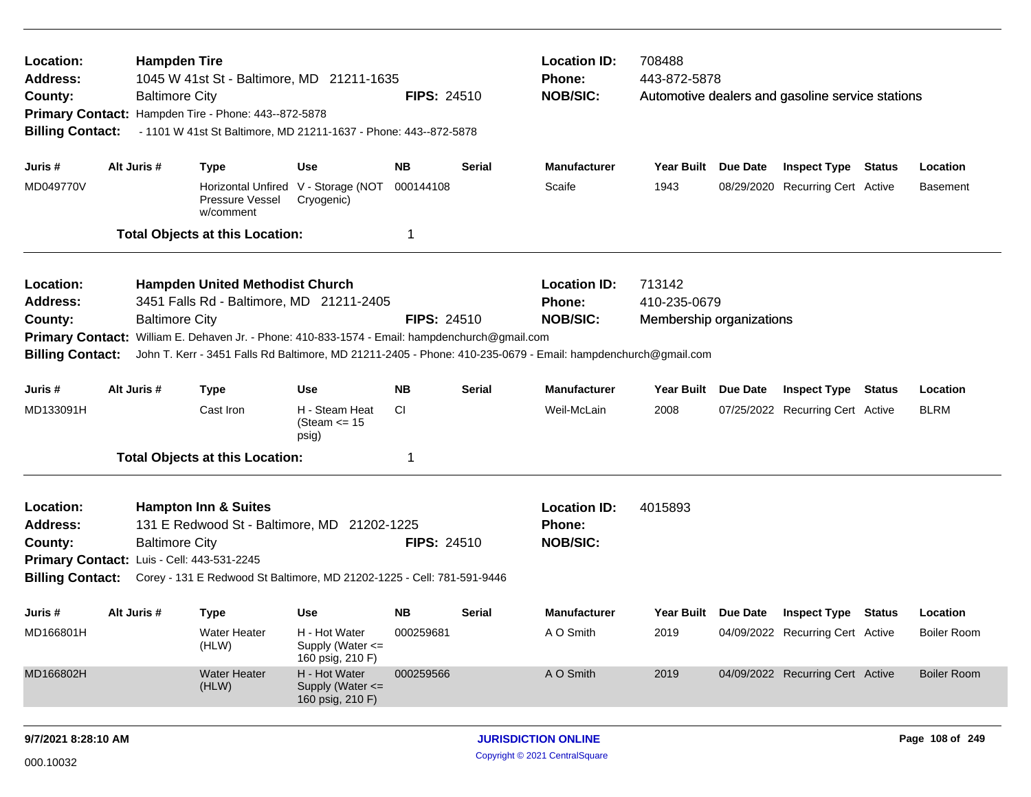| Location:<br><b>Address:</b><br>County:<br><b>Billing Contact:</b>                                                                                                                                                                                                             |  | <b>Hampden Tire</b><br><b>Baltimore City</b> | 1045 W 41st St - Baltimore, MD 21211-1635<br>Primary Contact: Hampden Tire - Phone: 443--872-5878<br>- 1101 W 41st St Baltimore, MD 21211-1637 - Phone: 443--872-5878                                  |                                                       | <b>FIPS: 24510</b> |               | <b>Location ID:</b><br>Phone:<br><b>NOB/SIC:</b>                                                             | 708488<br>443-872-5878                             | Automotive dealers and gasoline service stations |  |                    |
|--------------------------------------------------------------------------------------------------------------------------------------------------------------------------------------------------------------------------------------------------------------------------------|--|----------------------------------------------|--------------------------------------------------------------------------------------------------------------------------------------------------------------------------------------------------------|-------------------------------------------------------|--------------------|---------------|--------------------------------------------------------------------------------------------------------------|----------------------------------------------------|--------------------------------------------------|--|--------------------|
| Juris #                                                                                                                                                                                                                                                                        |  | Alt Juris #                                  | <b>Type</b>                                                                                                                                                                                            | <b>Use</b>                                            | NΒ                 | <b>Serial</b> | <b>Manufacturer</b>                                                                                          | Year Built Due Date                                | <b>Inspect Type Status</b>                       |  | Location           |
| MD049770V                                                                                                                                                                                                                                                                      |  |                                              | Pressure Vessel<br>w/comment                                                                                                                                                                           | Horizontal Unfired V - Storage (NOT<br>Cryogenic)     | 000144108          |               | Scaife                                                                                                       | 1943                                               | 08/29/2020 Recurring Cert Active                 |  | <b>Basement</b>    |
|                                                                                                                                                                                                                                                                                |  |                                              | <b>Total Objects at this Location:</b>                                                                                                                                                                 |                                                       | 1                  |               |                                                                                                              |                                                    |                                                  |  |                    |
| <b>Hampden United Methodist Church</b><br>Location:<br>3451 Falls Rd - Baltimore, MD 21211-2405<br><b>Address:</b><br><b>Baltimore City</b><br><b>FIPS: 24510</b><br>County:<br>Primary Contact: William E. Dehaven Jr. - Phone: 410-833-1574 - Email: hampdenchurch@gmail.com |  |                                              |                                                                                                                                                                                                        |                                                       |                    |               | <b>Location ID:</b><br><b>Phone:</b><br><b>NOB/SIC:</b>                                                      | 713142<br>410-235-0679<br>Membership organizations |                                                  |  |                    |
| <b>Billing Contact:</b>                                                                                                                                                                                                                                                        |  |                                              |                                                                                                                                                                                                        |                                                       |                    |               | John T. Kerr - 3451 Falls Rd Baltimore, MD 21211-2405 - Phone: 410-235-0679 - Email: hampdenchurch@gmail.com |                                                    |                                                  |  |                    |
| Juris #                                                                                                                                                                                                                                                                        |  | Alt Juris #                                  | <b>Type</b>                                                                                                                                                                                            | <b>Use</b>                                            | <b>NB</b>          | <b>Serial</b> | <b>Manufacturer</b>                                                                                          | Year Built Due Date                                | <b>Inspect Type Status</b>                       |  | Location           |
| MD133091H                                                                                                                                                                                                                                                                      |  |                                              | Cast Iron                                                                                                                                                                                              | H - Steam Heat<br>(Steam $\le$ 15<br>psig)            | <b>CI</b>          |               | Weil-McLain                                                                                                  | 2008                                               | 07/25/2022 Recurring Cert Active                 |  | <b>BLRM</b>        |
|                                                                                                                                                                                                                                                                                |  |                                              | <b>Total Objects at this Location:</b>                                                                                                                                                                 |                                                       | 1                  |               |                                                                                                              |                                                    |                                                  |  |                    |
| Location:<br><b>Address:</b><br>County:<br><b>Billing Contact:</b>                                                                                                                                                                                                             |  | <b>Baltimore City</b>                        | <b>Hampton Inn &amp; Suites</b><br>131 E Redwood St - Baltimore, MD 21202-1225<br>Primary Contact: Luis - Cell: 443-531-2245<br>Corey - 131 E Redwood St Baltimore, MD 21202-1225 - Cell: 781-591-9446 |                                                       | <b>FIPS: 24510</b> |               | <b>Location ID:</b><br><b>Phone:</b><br><b>NOB/SIC:</b>                                                      | 4015893                                            |                                                  |  |                    |
| Juris #                                                                                                                                                                                                                                                                        |  | Alt Juris #                                  | <b>Type</b>                                                                                                                                                                                            | Use                                                   | <b>NB</b>          | Serial        | <b>Manufacturer</b>                                                                                          | Year Built Due Date                                | <b>Inspect Type Status</b>                       |  | Location           |
| MD166801H                                                                                                                                                                                                                                                                      |  |                                              | Water Heater<br>(HLW)                                                                                                                                                                                  | H - Hot Water<br>Supply (Water <=<br>160 psig, 210 F) | 000259681          |               | A O Smith                                                                                                    | 2019                                               | 04/09/2022 Recurring Cert Active                 |  | Boiler Room        |
| MD166802H                                                                                                                                                                                                                                                                      |  |                                              | <b>Water Heater</b><br>(HLW)                                                                                                                                                                           | H - Hot Water<br>Supply (Water <=<br>160 psig, 210 F) | 000259566          |               | A O Smith                                                                                                    | 2019                                               | 04/09/2022 Recurring Cert Active                 |  | <b>Boiler Room</b> |
| 9/7/2021 8:28:10 AM                                                                                                                                                                                                                                                            |  |                                              |                                                                                                                                                                                                        |                                                       |                    |               | <b>JURISDICTION ONLINE</b>                                                                                   |                                                    |                                                  |  | Page 108 of 249    |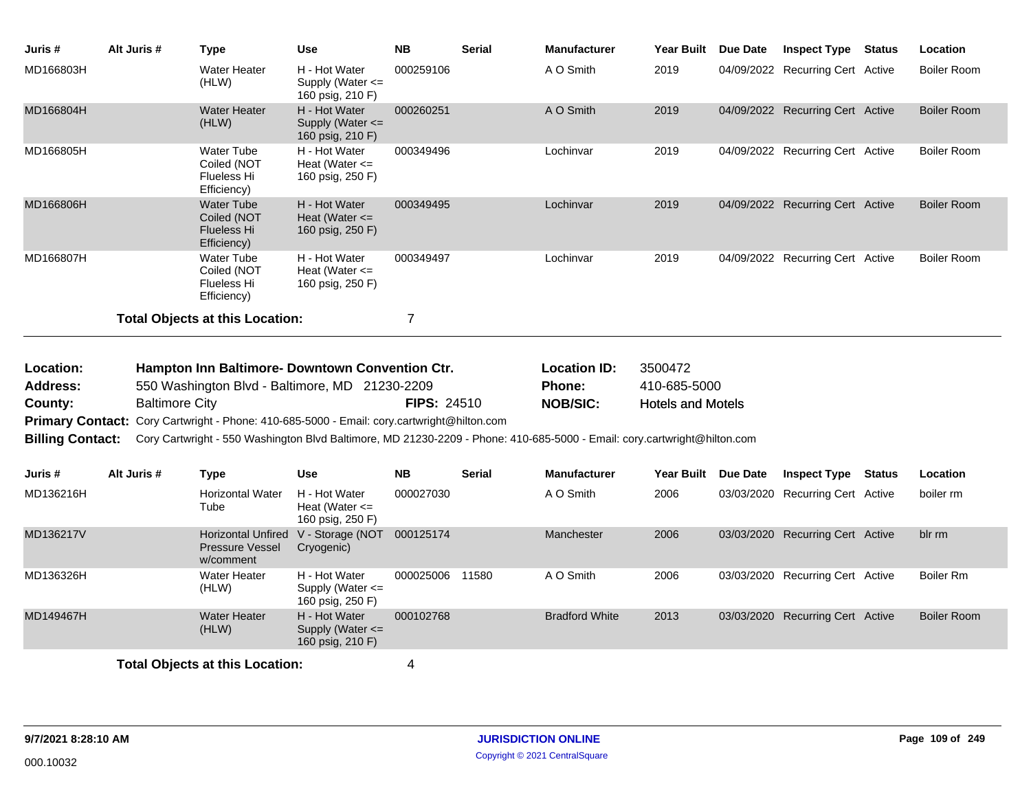| Juris #   | Alt Juris # | Type                                                                  | <b>Use</b>                                                | <b>NB</b> | <b>Serial</b> | <b>Manufacturer</b> | <b>Year Built</b> | Due Date | <b>Inspect Type</b>              | Status | Location           |
|-----------|-------------|-----------------------------------------------------------------------|-----------------------------------------------------------|-----------|---------------|---------------------|-------------------|----------|----------------------------------|--------|--------------------|
| MD166803H |             | Water Heater<br>(HLW)                                                 | H - Hot Water<br>Supply (Water $\leq$<br>160 psig, 210 F) | 000259106 |               | A O Smith           | 2019              |          | 04/09/2022 Recurring Cert Active |        | Boiler Room        |
| MD166804H |             | <b>Water Heater</b><br>(HLW)                                          | H - Hot Water<br>Supply (Water $\leq$<br>160 psig, 210 F) | 000260251 |               | A O Smith           | 2019              |          | 04/09/2022 Recurring Cert Active |        | <b>Boiler Room</b> |
| MD166805H |             | Water Tube<br>Coiled (NOT<br>Flueless Hi<br>Efficiency)               | H - Hot Water<br>Heat (Water $\leq$<br>160 psig, 250 F)   | 000349496 |               | Lochinvar           | 2019              |          | 04/09/2022 Recurring Cert Active |        | <b>Boiler Room</b> |
| MD166806H |             | <b>Water Tube</b><br>Coiled (NOT<br><b>Flueless Hi</b><br>Efficiency) | H - Hot Water<br>Heat (Water $\leq$<br>160 psig, 250 F)   | 000349495 |               | Lochinvar           | 2019              |          | 04/09/2022 Recurring Cert Active |        | <b>Boiler Room</b> |
| MD166807H |             | Water Tube<br>Coiled (NOT<br>Flueless Hi<br>Efficiency)               | H - Hot Water<br>Heat (Water $\leq$<br>160 psig, 250 F)   | 000349497 |               | Lochinvar           | 2019              |          | 04/09/2022 Recurring Cert Active |        | <b>Boiler Room</b> |
|           |             | <b>Total Objects at this Location:</b>                                |                                                           | 7         |               |                     |                   |          |                                  |        |                    |

| <b>Location:</b> | Hampton Inn Baltimore- Downtown Convention Ctr.                                                                       |                    | <b>Location ID:</b> | 3500472                  |
|------------------|-----------------------------------------------------------------------------------------------------------------------|--------------------|---------------------|--------------------------|
| Address:         | 550 Washington Blvd - Baltimore, MD 21230-2209                                                                        |                    | <b>Phone:</b>       | 410-685-5000             |
| County:          | <b>Baltimore City</b>                                                                                                 | <b>FIPS: 24510</b> | NOB/SIC:            | <b>Hotels and Motels</b> |
|                  | Primary Contact: Cory Cartwright - Phone: 410-685-5000 - Email: cory.cartwright@hilton.com                            |                    |                     |                          |
|                  | <b>PULLER AND ARRAIGNMENT CONTRACT AND ARRAIGNMENT CONTRACT OF A SECOND CONTRACT OF A SECOND ACTION CONTRACT OF A</b> |                    |                     |                          |

**Billing Contact:** Cory Cartwright - 550 Washington Blvd Baltimore, MD 21230-2209 - Phone: 410-685-5000 - Email: cory.cartwright@hilton.com

| Juris #   | Alt Juris # | Type                                                             | <b>Use</b>                                                | <b>NB</b> | <b>Serial</b> | <b>Manufacturer</b>   | <b>Year Built</b> | Due Date | <b>Inspect Type</b>              | Status | <b>Location</b> |
|-----------|-------------|------------------------------------------------------------------|-----------------------------------------------------------|-----------|---------------|-----------------------|-------------------|----------|----------------------------------|--------|-----------------|
| MD136216H |             | <b>Horizontal Water</b><br>Tube                                  | H - Hot Water<br>Heat (Water $\leq$<br>160 psig, 250 F)   | 000027030 |               | A O Smith             | 2006              |          | 03/03/2020 Recurring Cert Active |        | boiler rm       |
| MD136217V |             | <b>Horizontal Unfired</b><br><b>Pressure Vessel</b><br>w/comment | V - Storage (NOT<br>Cryogenic)                            | 000125174 |               | Manchester            | 2006              |          | 03/03/2020 Recurring Cert Active |        | blr rm          |
| MD136326H |             | Water Heater<br>(HLW)                                            | H - Hot Water<br>Supply (Water $\leq$<br>160 psig, 250 F) | 000025006 | 11580         | A O Smith             | 2006              |          | 03/03/2020 Recurring Cert Active |        | Boiler Rm       |
| MD149467H |             | <b>Water Heater</b><br>(HLW)                                     | H - Hot Water<br>Supply (Water $\leq$<br>160 psig, 210 F) | 000102768 |               | <b>Bradford White</b> | 2013              |          | 03/03/2020 Recurring Cert Active |        | Boiler Room     |
|           |             |                                                                  |                                                           |           |               |                       |                   |          |                                  |        |                 |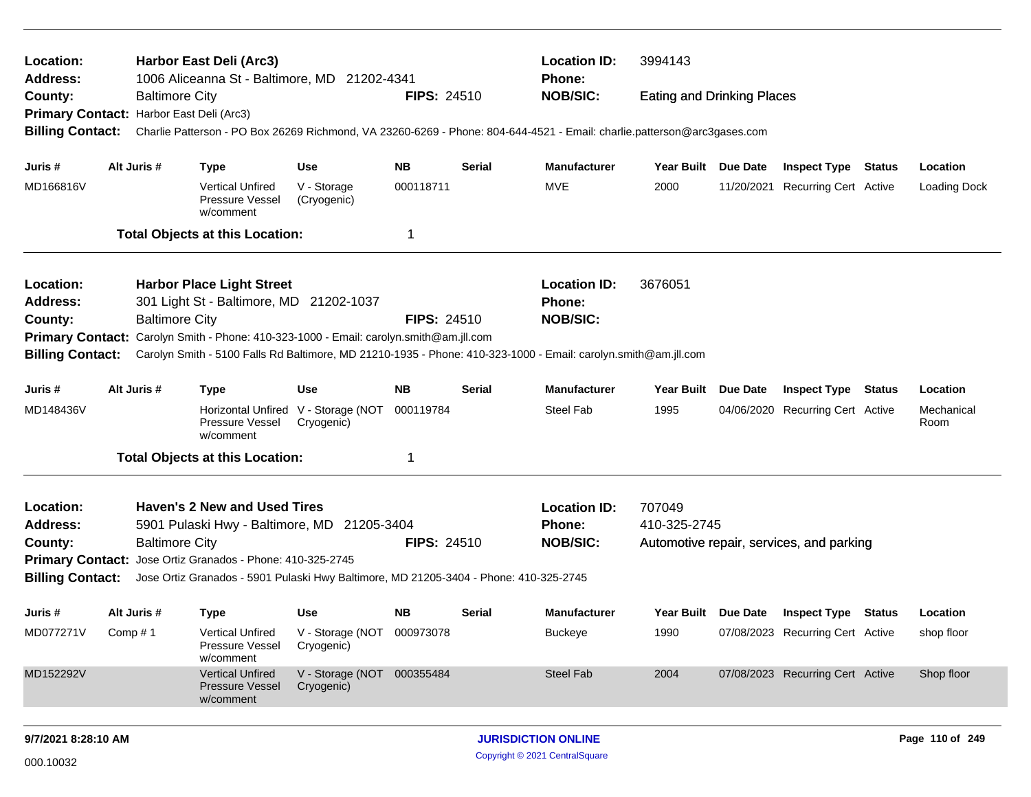| Location:<br><b>Address:</b>                                                           | <b>Location ID:</b><br>Harbor East Deli (Arc3)<br>3994143<br>1006 Aliceanna St - Baltimore, MD 21202-4341<br>Phone: |                       |                                                                                                        |                                                           |                    |               |                                                                                                                         |                                   |  |                                          |                     |
|----------------------------------------------------------------------------------------|---------------------------------------------------------------------------------------------------------------------|-----------------------|--------------------------------------------------------------------------------------------------------|-----------------------------------------------------------|--------------------|---------------|-------------------------------------------------------------------------------------------------------------------------|-----------------------------------|--|------------------------------------------|---------------------|
| County:                                                                                |                                                                                                                     | <b>Baltimore City</b> |                                                                                                        |                                                           | <b>FIPS: 24510</b> |               | <b>NOB/SIC:</b>                                                                                                         | <b>Eating and Drinking Places</b> |  |                                          |                     |
| Primary Contact: Harbor East Deli (Arc3)                                               |                                                                                                                     |                       |                                                                                                        |                                                           |                    |               |                                                                                                                         |                                   |  |                                          |                     |
| <b>Billing Contact:</b>                                                                |                                                                                                                     |                       |                                                                                                        |                                                           |                    |               | Charlie Patterson - PO Box 26269 Richmond, VA 23260-6269 - Phone: 804-644-4521 - Email: charlie.patterson@arc3gases.com |                                   |  |                                          |                     |
| Juris #                                                                                | Alt Juris #                                                                                                         |                       | <b>Type</b>                                                                                            | <b>Use</b>                                                | <b>NB</b>          | <b>Serial</b> | <b>Manufacturer</b>                                                                                                     | Year Built Due Date               |  | <b>Inspect Type Status</b>               | Location            |
| MD166816V                                                                              |                                                                                                                     |                       | <b>Vertical Unfired</b><br><b>Pressure Vessel</b><br>w/comment                                         | V - Storage<br>(Cryogenic)                                | 000118711          |               | <b>MVE</b>                                                                                                              | 2000                              |  | 11/20/2021 Recurring Cert Active         | <b>Loading Dock</b> |
|                                                                                        |                                                                                                                     |                       | <b>Total Objects at this Location:</b>                                                                 |                                                           | 1                  |               |                                                                                                                         |                                   |  |                                          |                     |
| Location:                                                                              |                                                                                                                     |                       | <b>Harbor Place Light Street</b>                                                                       |                                                           |                    |               | <b>Location ID:</b>                                                                                                     | 3676051                           |  |                                          |                     |
| <b>Address:</b>                                                                        |                                                                                                                     |                       | 301 Light St - Baltimore, MD 21202-1037                                                                |                                                           |                    |               | Phone:                                                                                                                  |                                   |  |                                          |                     |
| <b>Baltimore City</b><br><b>FIPS: 24510</b><br>County:                                 |                                                                                                                     |                       |                                                                                                        |                                                           |                    |               | <b>NOB/SIC:</b>                                                                                                         |                                   |  |                                          |                     |
| Primary Contact: Carolyn Smith - Phone: 410-323-1000 - Email: carolyn.smith@am.jll.com |                                                                                                                     |                       |                                                                                                        |                                                           |                    |               |                                                                                                                         |                                   |  |                                          |                     |
| <b>Billing Contact:</b>                                                                |                                                                                                                     |                       |                                                                                                        |                                                           |                    |               | Carolyn Smith - 5100 Falls Rd Baltimore, MD 21210-1935 - Phone: 410-323-1000 - Email: carolyn.smith@am.jll.com          |                                   |  |                                          |                     |
| Juris #                                                                                | Alt Juris #                                                                                                         |                       | <b>Type</b>                                                                                            | <b>Use</b>                                                | ΝB                 | <b>Serial</b> | Manufacturer                                                                                                            | Year Built Due Date               |  | <b>Inspect Type Status</b>               | Location            |
| MD148436V                                                                              |                                                                                                                     |                       | Pressure Vessel<br>w/comment                                                                           | Horizontal Unfired V - Storage (NOT<br>Cryogenic)         | 000119784          |               | <b>Steel Fab</b>                                                                                                        | 1995                              |  | 04/06/2020 Recurring Cert Active         | Mechanical<br>Room  |
|                                                                                        |                                                                                                                     |                       | <b>Total Objects at this Location:</b>                                                                 |                                                           | -1                 |               |                                                                                                                         |                                   |  |                                          |                     |
| Location:                                                                              |                                                                                                                     |                       | <b>Haven's 2 New and Used Tires</b>                                                                    |                                                           |                    |               | <b>Location ID:</b>                                                                                                     | 707049                            |  |                                          |                     |
| Address:                                                                               |                                                                                                                     |                       | 5901 Pulaski Hwy - Baltimore, MD 21205-3404                                                            |                                                           |                    |               | Phone:                                                                                                                  | 410-325-2745                      |  |                                          |                     |
| County:                                                                                |                                                                                                                     | <b>Baltimore City</b> |                                                                                                        |                                                           | <b>FIPS: 24510</b> |               | <b>NOB/SIC:</b>                                                                                                         |                                   |  | Automotive repair, services, and parking |                     |
|                                                                                        |                                                                                                                     |                       | Primary Contact: Jose Ortiz Granados - Phone: 410-325-2745                                             |                                                           |                    |               |                                                                                                                         |                                   |  |                                          |                     |
|                                                                                        |                                                                                                                     |                       | Billing Contact: Jose Ortiz Granados - 5901 Pulaski Hwy Baltimore, MD 21205-3404 - Phone: 410-325-2745 |                                                           |                    |               |                                                                                                                         |                                   |  |                                          |                     |
| Juris #                                                                                | Alt Juris #                                                                                                         |                       | Type                                                                                                   | Use                                                       | NB.                | <b>Serial</b> | Manufacturer                                                                                                            |                                   |  | Year Built Due Date Inspect Type Status  | Location            |
| MD077271V                                                                              | Comp $# 1$                                                                                                          |                       | Pressure Vessel<br>w/comment                                                                           | Vertical Unfired V - Storage (NOT 000973078<br>Cryogenic) |                    |               | <b>Buckeye</b>                                                                                                          | 1990                              |  | 07/08/2023 Recurring Cert Active         | shop floor          |
| MD152292V                                                                              |                                                                                                                     |                       | <b>Vertical Unfired</b><br><b>Pressure Vessel</b><br>w/comment                                         | V - Storage (NOT<br>Cryogenic)                            | 000355484          |               | Steel Fab                                                                                                               | 2004                              |  | 07/08/2023 Recurring Cert Active         | Shop floor          |
| 9/7/2021 8:28:10 AM                                                                    |                                                                                                                     |                       |                                                                                                        |                                                           |                    |               | <b>JURISDICTION ONLINE</b>                                                                                              |                                   |  |                                          | Page 110 of 249     |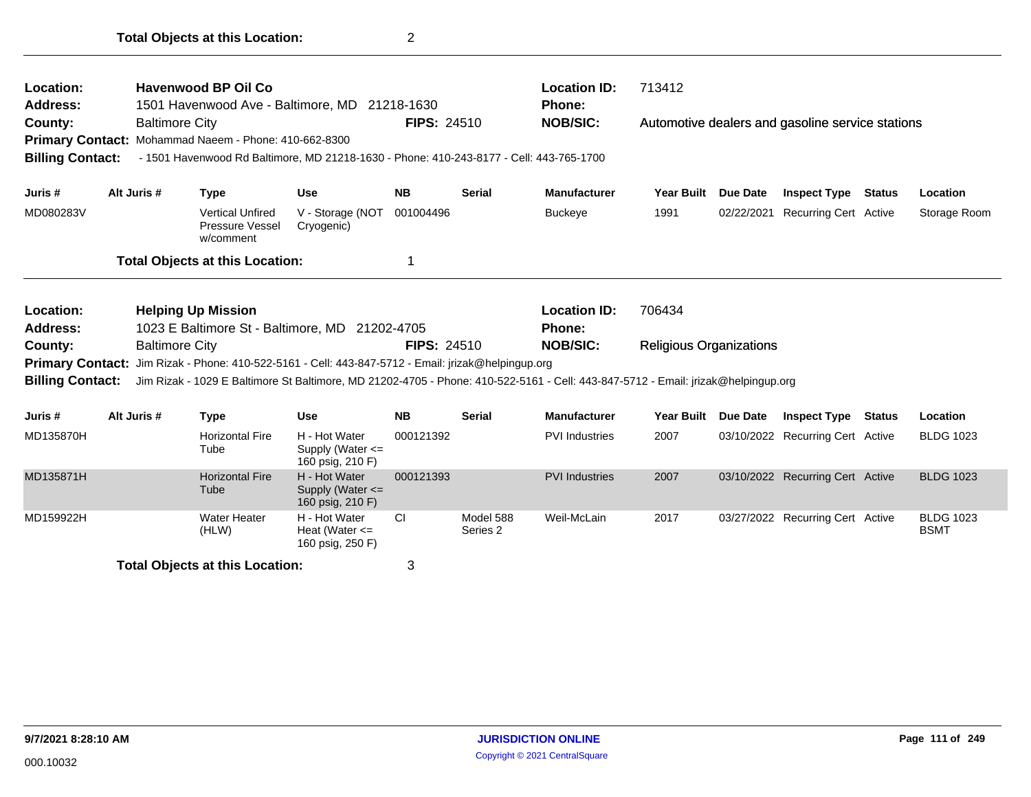| <b>Location:</b>                    |                       | <b>Havenwood BP Oil Co</b>                                                                                                                         |                                                           |                    |                       | <b>Location ID:</b>   | 713412                         |                 |                                                  |                                 |
|-------------------------------------|-----------------------|----------------------------------------------------------------------------------------------------------------------------------------------------|-----------------------------------------------------------|--------------------|-----------------------|-----------------------|--------------------------------|-----------------|--------------------------------------------------|---------------------------------|
| <b>Address:</b>                     |                       | 1501 Havenwood Ave - Baltimore, MD 21218-1630                                                                                                      |                                                           |                    |                       | Phone:                |                                |                 |                                                  |                                 |
| County:                             | <b>Baltimore City</b> |                                                                                                                                                    |                                                           | <b>FIPS: 24510</b> |                       | <b>NOB/SIC:</b>       |                                |                 | Automotive dealers and gasoline service stations |                                 |
| <b>Billing Contact:</b>             |                       | Primary Contact: Mohammad Naeem - Phone: 410-662-8300<br>- 1501 Havenwood Rd Baltimore, MD 21218-1630 - Phone: 410-243-8177 - Cell: 443-765-1700   |                                                           |                    |                       |                       |                                |                 |                                                  |                                 |
| Juris #                             | Alt Juris #           | <b>Type</b>                                                                                                                                        | Use                                                       | <b>NB</b>          | <b>Serial</b>         | <b>Manufacturer</b>   | <b>Year Built</b>              | <b>Due Date</b> | <b>Inspect Type Status</b>                       | Location                        |
| MD080283V                           |                       | <b>Vertical Unfired</b><br>Pressure Vessel<br>w/comment                                                                                            | V - Storage (NOT<br>Cryogenic)                            | 001004496          |                       | <b>Buckeye</b>        | 1991                           |                 | 02/22/2021 Recurring Cert Active                 | Storage Room                    |
|                                     |                       | <b>Total Objects at this Location:</b>                                                                                                             |                                                           | 1                  |                       |                       |                                |                 |                                                  |                                 |
| <b>Location:</b>                    |                       | <b>Helping Up Mission</b>                                                                                                                          |                                                           |                    |                       | <b>Location ID:</b>   | 706434                         |                 |                                                  |                                 |
| <b>Address:</b>                     |                       | 1023 E Baltimore St - Baltimore, MD 21202-4705                                                                                                     |                                                           |                    |                       | Phone:                |                                |                 |                                                  |                                 |
| County:                             | <b>Baltimore City</b> |                                                                                                                                                    |                                                           | <b>FIPS: 24510</b> |                       | <b>NOB/SIC:</b>       | <b>Religious Organizations</b> |                 |                                                  |                                 |
|                                     |                       | Primary Contact: Jim Rizak - Phone: 410-522-5161 - Cell: 443-847-5712 - Email: jrizak@helpingup.org                                                |                                                           |                    |                       |                       |                                |                 |                                                  |                                 |
|                                     |                       | Billing Contact: Jim Rizak - 1029 E Baltimore St Baltimore, MD 21202-4705 - Phone: 410-522-5161 - Cell: 443-847-5712 - Email: jrizak@helpingup.org |                                                           |                    |                       |                       |                                |                 |                                                  |                                 |
| Juris #                             | Alt Juris #           |                                                                                                                                                    |                                                           |                    |                       |                       |                                |                 |                                                  |                                 |
|                                     |                       | <b>Type</b>                                                                                                                                        | <b>Use</b>                                                | <b>NB</b>          | <b>Serial</b>         | <b>Manufacturer</b>   | <b>Year Built</b>              | <b>Due Date</b> | <b>Inspect Type Status</b>                       | Location                        |
|                                     |                       | <b>Horizontal Fire</b><br>Tube                                                                                                                     | H - Hot Water<br>Supply (Water $\leq$<br>160 psig, 210 F) | 000121392          |                       | <b>PVI</b> Industries | 2007                           |                 | 03/10/2022 Recurring Cert Active                 | <b>BLDG 1023</b>                |
|                                     |                       | <b>Horizontal Fire</b><br>Tube                                                                                                                     | H - Hot Water<br>Supply (Water <=<br>160 psig, 210 F)     | 000121393          |                       | <b>PVI</b> Industries | 2007                           |                 | 03/10/2022 Recurring Cert Active                 | <b>BLDG 1023</b>                |
| MD135870H<br>MD135871H<br>MD159922H |                       | <b>Water Heater</b><br>(HLW)                                                                                                                       | H - Hot Water<br>Heat (Water $\leq$<br>160 psig, 250 F)   | <b>CI</b>          | Model 588<br>Series 2 | Weil-McLain           | 2017                           |                 | 03/27/2022 Recurring Cert Active                 | <b>BLDG 1023</b><br><b>BSMT</b> |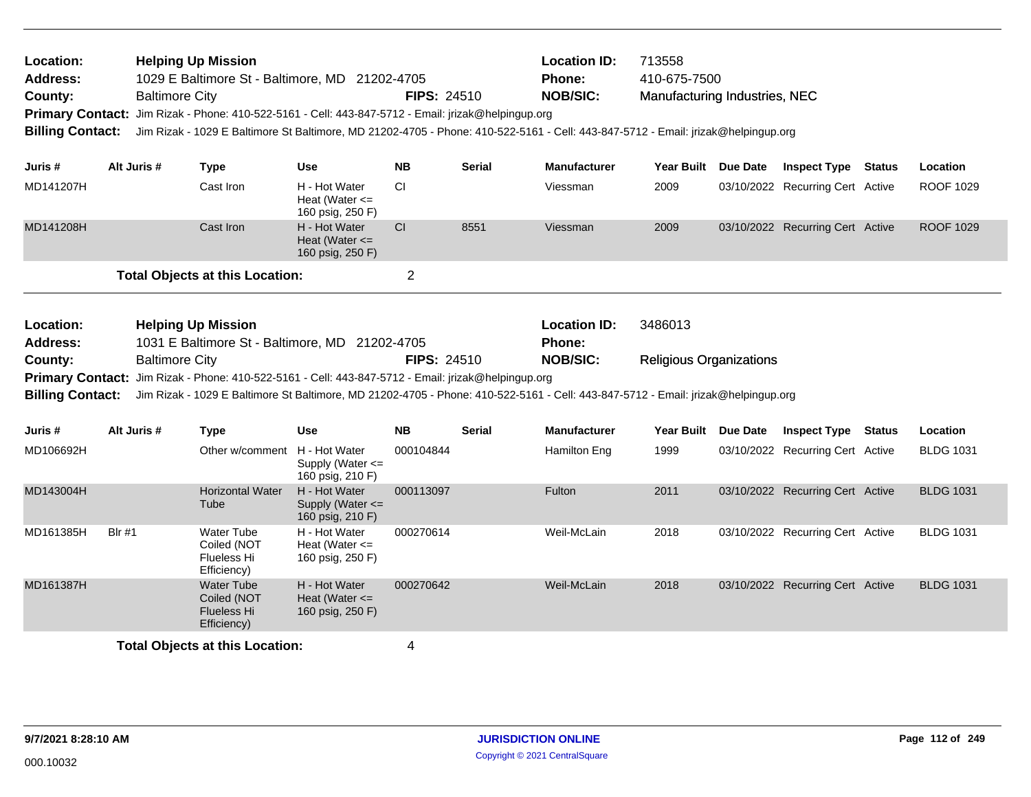|                              |                       | <b>Helping Up Mission</b>                                                                                                                          |                                                           |                    |               | <b>Location ID:</b>           | 713558                         |                                  |                  |
|------------------------------|-----------------------|----------------------------------------------------------------------------------------------------------------------------------------------------|-----------------------------------------------------------|--------------------|---------------|-------------------------------|--------------------------------|----------------------------------|------------------|
| <b>Address:</b>              |                       | 1029 E Baltimore St - Baltimore, MD 21202-4705                                                                                                     |                                                           |                    |               | Phone:                        | 410-675-7500                   |                                  |                  |
| County:                      | <b>Baltimore City</b> |                                                                                                                                                    |                                                           | <b>FIPS: 24510</b> |               | <b>NOB/SIC:</b>               | Manufacturing Industries, NEC  |                                  |                  |
|                              |                       | Primary Contact: Jim Rizak - Phone: 410-522-5161 - Cell: 443-847-5712 - Email: jrizak@helpingup.org                                                |                                                           |                    |               |                               |                                |                                  |                  |
| <b>Billing Contact:</b>      |                       | Jim Rizak - 1029 E Baltimore St Baltimore, MD 21202-4705 - Phone: 410-522-5161 - Cell: 443-847-5712 - Email: jrizak@helpingup.org                  |                                                           |                    |               |                               |                                |                                  |                  |
| Juris #                      | Alt Juris #           | <b>Type</b>                                                                                                                                        | <b>Use</b>                                                | <b>NB</b>          | <b>Serial</b> | <b>Manufacturer</b>           | Year Built Due Date            | <b>Inspect Type Status</b>       | Location         |
| MD141207H                    |                       | Cast Iron                                                                                                                                          | H - Hot Water<br>Heat (Water $\leq$<br>160 psig, 250 F)   | <b>CI</b>          |               | Viessman                      | 2009                           | 03/10/2022 Recurring Cert Active | <b>ROOF 1029</b> |
| MD141208H                    |                       | Cast Iron                                                                                                                                          | H - Hot Water<br>Heat (Water $\leq$<br>160 psig, 250 F)   | CI                 | 8551          | Viessman                      | 2009                           | 03/10/2022 Recurring Cert Active | <b>ROOF 1029</b> |
|                              |                       | <b>Total Objects at this Location:</b>                                                                                                             |                                                           | $\overline{2}$     |               |                               |                                |                                  |                  |
| Location:<br><b>Address:</b> |                       | <b>Helping Up Mission</b><br>1031 E Baltimore St - Baltimore, MD 21202-4705                                                                        |                                                           |                    |               | <b>Location ID:</b><br>Phone: | 3486013                        |                                  |                  |
| County:                      | <b>Baltimore City</b> | Primary Contact: Jim Rizak - Phone: 410-522-5161 - Cell: 443-847-5712 - Email: jrizak@helpingup.org                                                |                                                           | <b>FIPS: 24510</b> |               | <b>NOB/SIC:</b>               | <b>Religious Organizations</b> |                                  |                  |
|                              |                       | Billing Contact: Jim Rizak - 1029 E Baltimore St Baltimore, MD 21202-4705 - Phone: 410-522-5161 - Cell: 443-847-5712 - Email: jrizak@helpingup.org |                                                           |                    |               |                               |                                |                                  |                  |
| Juris #                      | Alt Juris #           | <b>Type</b>                                                                                                                                        | <b>Use</b>                                                | <b>NB</b>          | <b>Serial</b> | <b>Manufacturer</b>           | Year Built Due Date            | <b>Inspect Type Status</b>       | Location         |
| MD106692H                    |                       | Other w/comment H - Hot Water                                                                                                                      | Supply (Water <=<br>160 psig, 210 F)                      | 000104844          |               | Hamilton Eng                  | 1999                           | 03/10/2022 Recurring Cert Active | <b>BLDG 1031</b> |
| MD143004H                    |                       | <b>Horizontal Water</b><br>Tube                                                                                                                    | H - Hot Water<br>Supply (Water $\leq$<br>160 psig, 210 F) | 000113097          |               | Fulton                        | 2011                           | 03/10/2022 Recurring Cert Active | <b>BLDG 1031</b> |
| MD161385H                    | <b>BIr #1</b>         | <b>Water Tube</b><br>Coiled (NOT<br>Flueless Hi<br>Efficiency)                                                                                     | H - Hot Water<br>Heat (Water $\leq$<br>160 psig, 250 F)   | 000270614          |               | Weil-McLain                   | 2018                           | 03/10/2022 Recurring Cert Active | <b>BLDG 1031</b> |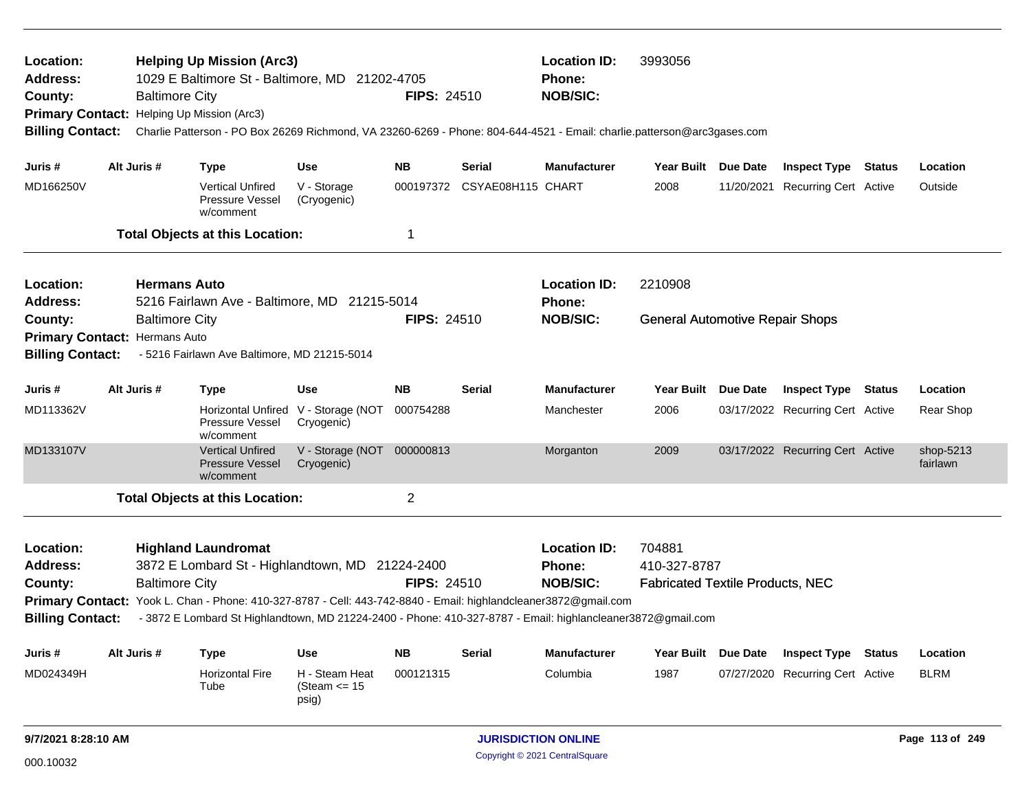| Location:<br><b>Address:</b><br>County:<br>Primary Contact: Helping Up Mission (Arc3)<br><b>Billing Contact:</b> |                                                                                             | <b>Baltimore City</b> | <b>Helping Up Mission (Arc3)</b>                                                                                                                                                                 | <b>Location ID:</b><br>3993056<br>1029 E Baltimore St - Baltimore, MD 21202-4705<br>Phone:<br><b>NOB/SIC:</b><br><b>FIPS: 24510</b><br>Charlie Patterson - PO Box 26269 Richmond, VA 23260-6269 - Phone: 804-644-4521 - Email: charlie.patterson@arc3gases.com |                    |                             |                                                         |                                                                   |            |                                  |               |                       |
|------------------------------------------------------------------------------------------------------------------|---------------------------------------------------------------------------------------------|-----------------------|--------------------------------------------------------------------------------------------------------------------------------------------------------------------------------------------------|----------------------------------------------------------------------------------------------------------------------------------------------------------------------------------------------------------------------------------------------------------------|--------------------|-----------------------------|---------------------------------------------------------|-------------------------------------------------------------------|------------|----------------------------------|---------------|-----------------------|
| Juris #                                                                                                          | Alt Juris #                                                                                 |                       | <b>Type</b>                                                                                                                                                                                      | <b>Use</b>                                                                                                                                                                                                                                                     | <b>NB</b>          | <b>Serial</b>               | <b>Manufacturer</b>                                     | Year Built Due Date                                               |            | <b>Inspect Type Status</b>       |               | Location              |
| MD166250V                                                                                                        |                                                                                             |                       | <b>Vertical Unfired</b><br>Pressure Vessel<br>w/comment                                                                                                                                          | V - Storage<br>(Cryogenic)                                                                                                                                                                                                                                     |                    | 000197372 CSYAE08H115 CHART |                                                         | 2008                                                              | 11/20/2021 | Recurring Cert Active            |               | Outside               |
|                                                                                                                  |                                                                                             |                       | <b>Total Objects at this Location:</b>                                                                                                                                                           |                                                                                                                                                                                                                                                                | $\mathbf{1}$       |                             |                                                         |                                                                   |            |                                  |               |                       |
| Location:<br><b>Address:</b>                                                                                     |                                                                                             | <b>Hermans Auto</b>   |                                                                                                                                                                                                  |                                                                                                                                                                                                                                                                |                    |                             | <b>Location ID:</b><br><b>Phone:</b>                    | 2210908                                                           |            |                                  |               |                       |
| County:                                                                                                          | 5216 Fairlawn Ave - Baltimore, MD 21215-5014<br><b>FIPS: 24510</b><br><b>Baltimore City</b> |                       |                                                                                                                                                                                                  |                                                                                                                                                                                                                                                                |                    |                             |                                                         | <b>General Automotive Repair Shops</b>                            |            |                                  |               |                       |
| Primary Contact: Hermans Auto                                                                                    |                                                                                             |                       |                                                                                                                                                                                                  |                                                                                                                                                                                                                                                                |                    |                             |                                                         |                                                                   |            |                                  |               |                       |
| <b>Billing Contact:</b>                                                                                          |                                                                                             |                       | - 5216 Fairlawn Ave Baltimore, MD 21215-5014                                                                                                                                                     |                                                                                                                                                                                                                                                                |                    |                             |                                                         |                                                                   |            |                                  |               |                       |
| Juris #                                                                                                          | Alt Juris #                                                                                 |                       | <b>Type</b>                                                                                                                                                                                      | <b>Use</b>                                                                                                                                                                                                                                                     | <b>NB</b>          | <b>Serial</b>               | <b>Manufacturer</b>                                     | Year Built Due Date                                               |            | <b>Inspect Type Status</b>       |               | Location              |
| MD113362V                                                                                                        |                                                                                             |                       | Horizontal Unfired<br><b>Pressure Vessel</b><br>w/comment                                                                                                                                        | V - Storage (NOT<br>Cryogenic)                                                                                                                                                                                                                                 | 000754288          |                             | Manchester                                              | 2006                                                              |            | 03/17/2022 Recurring Cert Active |               | Rear Shop             |
| MD133107V                                                                                                        |                                                                                             |                       | <b>Vertical Unfired</b><br><b>Pressure Vessel</b><br>w/comment                                                                                                                                   | V - Storage (NOT 000000813<br>Cryogenic)                                                                                                                                                                                                                       |                    |                             | Morganton                                               | 2009                                                              |            | 03/17/2022 Recurring Cert Active |               | shop-5213<br>fairlawn |
|                                                                                                                  |                                                                                             |                       | <b>Total Objects at this Location:</b>                                                                                                                                                           |                                                                                                                                                                                                                                                                | $\mathbf 2$        |                             |                                                         |                                                                   |            |                                  |               |                       |
| Location:<br>Address:<br>County:                                                                                 |                                                                                             | <b>Baltimore City</b> | <b>Highland Laundromat</b><br>3872 E Lombard St - Highlandtown, MD 21224-2400<br>Primary Contact: Yook L. Chan - Phone: 410-327-8787 - Cell: 443-742-8840 - Email: highlandcleaner3872@gmail.com |                                                                                                                                                                                                                                                                | <b>FIPS: 24510</b> |                             | <b>Location ID:</b><br><b>Phone:</b><br><b>NOB/SIC:</b> | 704881<br>410-327-8787<br><b>Fabricated Textile Products, NEC</b> |            |                                  |               |                       |
| <b>Billing Contact:</b>                                                                                          |                                                                                             |                       | - 3872 E Lombard St Highlandtown, MD 21224-2400 - Phone: 410-327-8787 - Email: highlancleaner3872@gmail.com                                                                                      |                                                                                                                                                                                                                                                                |                    |                             |                                                         |                                                                   |            |                                  |               |                       |
| Juris #                                                                                                          | Alt Juris #                                                                                 |                       | <b>Type</b>                                                                                                                                                                                      | <b>Use</b>                                                                                                                                                                                                                                                     | <b>NB</b>          | <b>Serial</b>               | <b>Manufacturer</b>                                     | Year Built Due Date                                               |            | <b>Inspect Type</b>              | <b>Status</b> | Location              |
| MD024349H                                                                                                        |                                                                                             |                       | <b>Horizontal Fire</b><br>Tube                                                                                                                                                                   | H - Steam Heat<br>(Steam $\le$ 15<br>psig)                                                                                                                                                                                                                     | 000121315          |                             | Columbia                                                | 1987                                                              |            | 07/27/2020 Recurring Cert Active |               | <b>BLRM</b>           |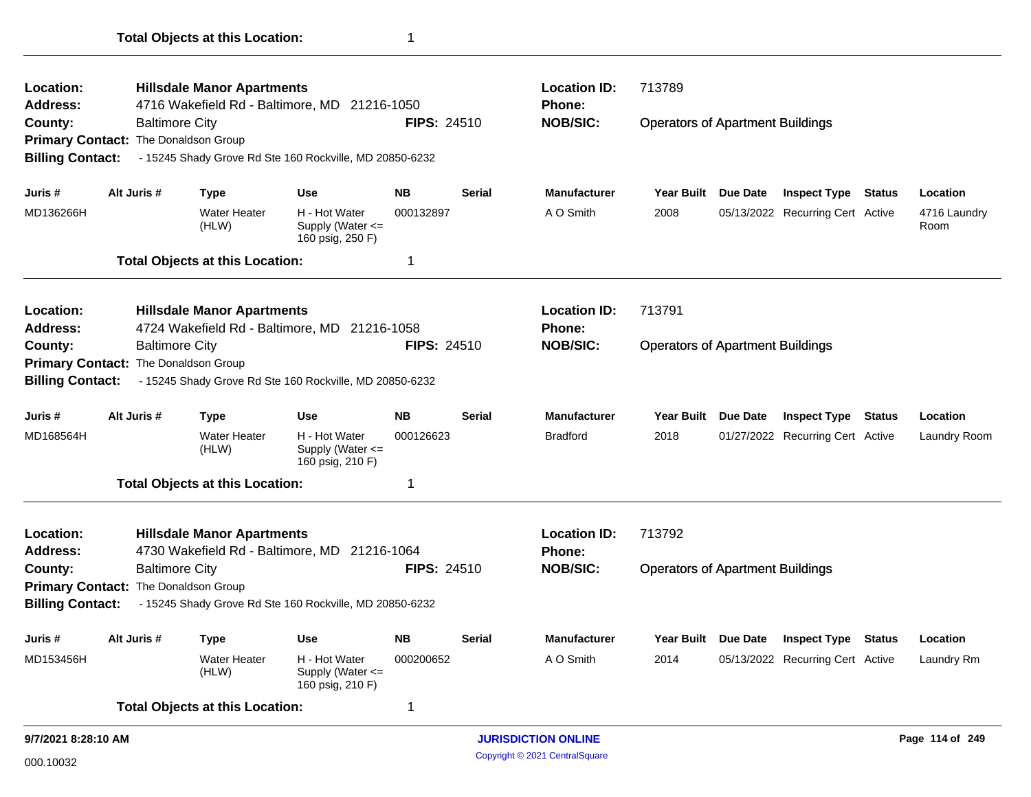| Location:                                                                                                                  |                                                                                    | <b>Location ID:</b><br><b>Hillsdale Manor Apartments</b><br>713789<br>4716 Wakefield Rd - Baltimore, MD 21216-1050<br><b>Phone:</b> |                                        |                                                           |                    |               |                            |                                         |          |                                  |               |                      |
|----------------------------------------------------------------------------------------------------------------------------|------------------------------------------------------------------------------------|-------------------------------------------------------------------------------------------------------------------------------------|----------------------------------------|-----------------------------------------------------------|--------------------|---------------|----------------------------|-----------------------------------------|----------|----------------------------------|---------------|----------------------|
| <b>Address:</b><br>County:                                                                                                 |                                                                                    | <b>Baltimore City</b>                                                                                                               |                                        |                                                           | <b>FIPS: 24510</b> |               | <b>NOB/SIC:</b>            | <b>Operators of Apartment Buildings</b> |          |                                  |               |                      |
| <b>Primary Contact:</b>                                                                                                    |                                                                                    |                                                                                                                                     | The Donaldson Group                    |                                                           |                    |               |                            |                                         |          |                                  |               |                      |
| <b>Billing Contact:</b>                                                                                                    |                                                                                    |                                                                                                                                     |                                        | - 15245 Shady Grove Rd Ste 160 Rockville, MD 20850-6232   |                    |               |                            |                                         |          |                                  |               |                      |
| Juris #                                                                                                                    |                                                                                    | Alt Juris #                                                                                                                         | <b>Type</b>                            | Use                                                       | NΒ                 | <b>Serial</b> | <b>Manufacturer</b>        | Year Built Due Date                     |          | <b>Inspect Type Status</b>       |               | Location             |
| MD136266H                                                                                                                  |                                                                                    |                                                                                                                                     | <b>Water Heater</b><br>(HLW)           | H - Hot Water<br>Supply (Water $\leq$<br>160 psig, 250 F) | 000132897          |               | A O Smith                  | 2008                                    |          | 05/13/2022 Recurring Cert Active |               | 4716 Laundry<br>Room |
|                                                                                                                            |                                                                                    |                                                                                                                                     | <b>Total Objects at this Location:</b> |                                                           | 1                  |               |                            |                                         |          |                                  |               |                      |
| Location:                                                                                                                  |                                                                                    |                                                                                                                                     | <b>Hillsdale Manor Apartments</b>      |                                                           |                    |               | <b>Location ID:</b>        | 713791                                  |          |                                  |               |                      |
| <b>Address:</b>                                                                                                            |                                                                                    |                                                                                                                                     |                                        | 4724 Wakefield Rd - Baltimore, MD 21216-1058              |                    |               | Phone:                     |                                         |          |                                  |               |                      |
| County:                                                                                                                    |                                                                                    | <b>Baltimore City</b>                                                                                                               |                                        |                                                           | <b>FIPS: 24510</b> |               | <b>NOB/SIC:</b>            | <b>Operators of Apartment Buildings</b> |          |                                  |               |                      |
| Primary Contact: The Donaldson Group                                                                                       |                                                                                    |                                                                                                                                     |                                        |                                                           |                    |               |                            |                                         |          |                                  |               |                      |
|                                                                                                                            | <b>Billing Contact:</b><br>- 15245 Shady Grove Rd Ste 160 Rockville, MD 20850-6232 |                                                                                                                                     |                                        |                                                           |                    |               |                            |                                         |          |                                  |               |                      |
| Juris#                                                                                                                     |                                                                                    | Alt Juris #                                                                                                                         | <b>Type</b>                            | <b>Use</b>                                                | <b>NB</b>          | Serial        | <b>Manufacturer</b>        | <b>Year Built</b>                       | Due Date | <b>Inspect Type</b>              | <b>Status</b> | Location             |
| MD168564H                                                                                                                  |                                                                                    |                                                                                                                                     | <b>Water Heater</b><br>(HLW)           | H - Hot Water<br>Supply (Water $\leq$<br>160 psig, 210 F) | 000126623          |               | <b>Bradford</b>            | 2018                                    |          | 01/27/2022 Recurring Cert Active |               | Laundry Room         |
|                                                                                                                            |                                                                                    |                                                                                                                                     | <b>Total Objects at this Location:</b> |                                                           | 1                  |               |                            |                                         |          |                                  |               |                      |
| Location:                                                                                                                  |                                                                                    |                                                                                                                                     | <b>Hillsdale Manor Apartments</b>      |                                                           |                    |               | <b>Location ID:</b>        | 713792                                  |          |                                  |               |                      |
| Address:                                                                                                                   |                                                                                    |                                                                                                                                     |                                        | 4730 Wakefield Rd - Baltimore, MD 21216-1064              |                    |               | <b>Phone:</b>              |                                         |          |                                  |               |                      |
| County:                                                                                                                    |                                                                                    | <b>Baltimore City</b>                                                                                                               |                                        |                                                           | <b>FIPS: 24510</b> |               | <b>NOB/SIC:</b>            | <b>Operators of Apartment Buildings</b> |          |                                  |               |                      |
|                                                                                                                            |                                                                                    |                                                                                                                                     |                                        |                                                           |                    |               |                            |                                         |          |                                  |               |                      |
| Primary Contact: The Donaldson Group<br><b>Billing Contact:</b><br>- 15245 Shady Grove Rd Ste 160 Rockville, MD 20850-6232 |                                                                                    |                                                                                                                                     |                                        |                                                           |                    |               |                            |                                         |          |                                  |               |                      |
| Juris #                                                                                                                    |                                                                                    | Alt Juris #                                                                                                                         | <b>Type</b>                            | Use                                                       | <b>NB</b>          | <b>Serial</b> | <b>Manufacturer</b>        | <b>Year Built</b>                       | Due Date | <b>Inspect Type</b>              | <b>Status</b> | Location             |
| MD153456H                                                                                                                  |                                                                                    |                                                                                                                                     | <b>Water Heater</b><br>(HLW)           | H - Hot Water<br>Supply (Water $\leq$<br>160 psig, 210 F) | 000200652          |               | A O Smith                  | 2014                                    |          | 05/13/2022 Recurring Cert Active |               | Laundry Rm           |
|                                                                                                                            |                                                                                    |                                                                                                                                     | <b>Total Objects at this Location:</b> |                                                           | 1                  |               |                            |                                         |          |                                  |               |                      |
| 9/7/2021 8:28:10 AM                                                                                                        |                                                                                    |                                                                                                                                     |                                        |                                                           |                    |               | <b>JURISDICTION ONLINE</b> |                                         |          |                                  |               | Page 114 of 249      |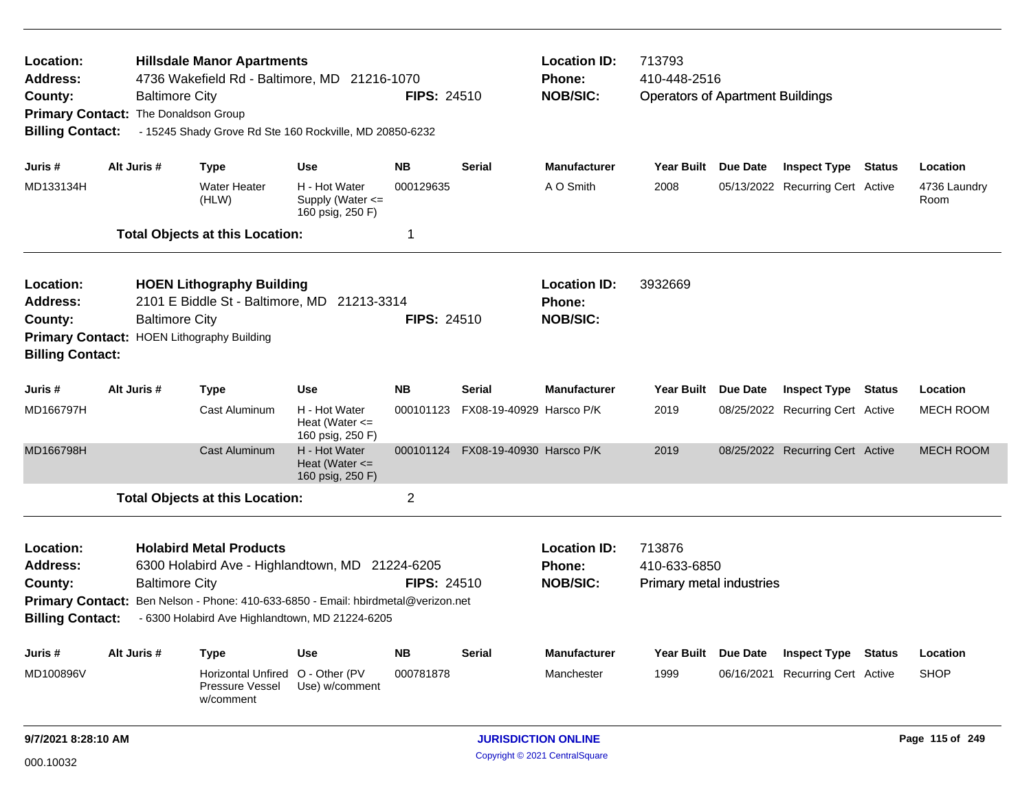| Location:<br><b>Address:</b><br>County:<br><b>Primary Contact:</b><br><b>Billing Contact:</b>                                                                                                                                                                                                                                                            |             | <b>Baltimore City</b> | <b>Hillsdale Manor Apartments</b><br>4736 Wakefield Rd - Baltimore, MD 21216-1070<br>The Donaldson Group<br>- 15245 Shady Grove Rd Ste 160 Rockville, MD 20850-6232 |                                                         | <b>FIPS: 24510</b>                                      |                                                    | <b>Location ID:</b><br><b>Phone:</b><br><b>NOB/SIC:</b> | 713793<br>410-448-2516 | <b>Operators of Apartment Buildings</b> |                                  |               |                      |
|----------------------------------------------------------------------------------------------------------------------------------------------------------------------------------------------------------------------------------------------------------------------------------------------------------------------------------------------------------|-------------|-----------------------|---------------------------------------------------------------------------------------------------------------------------------------------------------------------|---------------------------------------------------------|---------------------------------------------------------|----------------------------------------------------|---------------------------------------------------------|------------------------|-----------------------------------------|----------------------------------|---------------|----------------------|
| Juris #                                                                                                                                                                                                                                                                                                                                                  | Alt Juris # |                       | <b>Type</b>                                                                                                                                                         | <b>Use</b>                                              | <b>NB</b>                                               | <b>Serial</b>                                      | <b>Manufacturer</b>                                     | <b>Year Built</b>      | <b>Due Date</b>                         | <b>Inspect Type</b>              | <b>Status</b> | Location             |
| MD133134H                                                                                                                                                                                                                                                                                                                                                |             |                       | <b>Water Heater</b><br>(HLW)                                                                                                                                        | H - Hot Water<br>Supply (Water <=<br>160 psig, 250 F)   | 000129635                                               |                                                    | A O Smith                                               | 2008                   |                                         | 05/13/2022 Recurring Cert Active |               | 4736 Laundry<br>Room |
|                                                                                                                                                                                                                                                                                                                                                          |             |                       | <b>Total Objects at this Location:</b>                                                                                                                              |                                                         | 1                                                       |                                                    |                                                         |                        |                                         |                                  |               |                      |
| Location:<br><b>Address:</b><br>County:<br><b>Billing Contact:</b>                                                                                                                                                                                                                                                                                       |             | <b>Baltimore City</b> | <b>HOEN Lithography Building</b><br>2101 E Biddle St - Baltimore, MD 21213-3314<br>Primary Contact: HOEN Lithography Building                                       |                                                         | <b>FIPS: 24510</b>                                      |                                                    | <b>Location ID:</b><br><b>Phone:</b><br><b>NOB/SIC:</b> | 3932669                |                                         |                                  |               |                      |
| Juris #                                                                                                                                                                                                                                                                                                                                                  | Alt Juris # |                       | <b>Type</b>                                                                                                                                                         | Use                                                     | <b>NB</b>                                               | <b>Serial</b>                                      | <b>Manufacturer</b>                                     | <b>Year Built</b>      | Due Date                                | <b>Inspect Type</b>              | Status        | Location             |
| MD166797H                                                                                                                                                                                                                                                                                                                                                |             |                       | Cast Aluminum                                                                                                                                                       | H - Hot Water<br>Heat (Water $\leq$<br>160 psig, 250 F) | 000101123                                               | FX08-19-40929 Harsco P/K                           |                                                         | 2019                   |                                         | 08/25/2022 Recurring Cert Active |               | <b>MECH ROOM</b>     |
| MD166798H                                                                                                                                                                                                                                                                                                                                                |             |                       | <b>Cast Aluminum</b>                                                                                                                                                | H - Hot Water<br>Heat (Water $\leq$<br>160 psig, 250 F) | 000101124                                               | FX08-19-40930 Harsco P/K                           |                                                         | 2019                   |                                         | 08/25/2022 Recurring Cert Active |               | <b>MECH ROOM</b>     |
|                                                                                                                                                                                                                                                                                                                                                          |             |                       | <b>Total Objects at this Location:</b>                                                                                                                              |                                                         | $\overline{2}$                                          |                                                    |                                                         |                        |                                         |                                  |               |                      |
| Location:<br><b>Holabird Metal Products</b><br><b>Address:</b><br>6300 Holabird Ave - Highlandtown, MD 21224-6205<br><b>Baltimore City</b><br><b>FIPS: 24510</b><br>County:<br><b>Primary Contact:</b><br>Ben Nelson - Phone: 410-633-6850 - Email: hbirdmetal@verizon.net<br><b>Billing Contact:</b><br>- 6300 Holabird Ave Highlandtown, MD 21224-6205 |             |                       |                                                                                                                                                                     |                                                         | <b>Location ID:</b><br><b>Phone:</b><br><b>NOB/SIC:</b> | 713876<br>410-633-6850<br>Primary metal industries |                                                         |                        |                                         |                                  |               |                      |
| Juris #                                                                                                                                                                                                                                                                                                                                                  | Alt Juris # |                       | <b>Type</b>                                                                                                                                                         | <b>Use</b>                                              | <b>NB</b>                                               | <b>Serial</b>                                      | <b>Manufacturer</b>                                     | <b>Year Built</b>      | Due Date                                | <b>Inspect Type</b>              | <b>Status</b> | Location             |
| MD100896V                                                                                                                                                                                                                                                                                                                                                |             |                       | Horizontal Unfired O - Other (PV<br>Pressure Vessel<br>w/comment                                                                                                    | Use) w/comment                                          | 000781878                                               |                                                    | Manchester                                              | 1999                   | 06/16/2021                              | <b>Recurring Cert Active</b>     |               | <b>SHOP</b>          |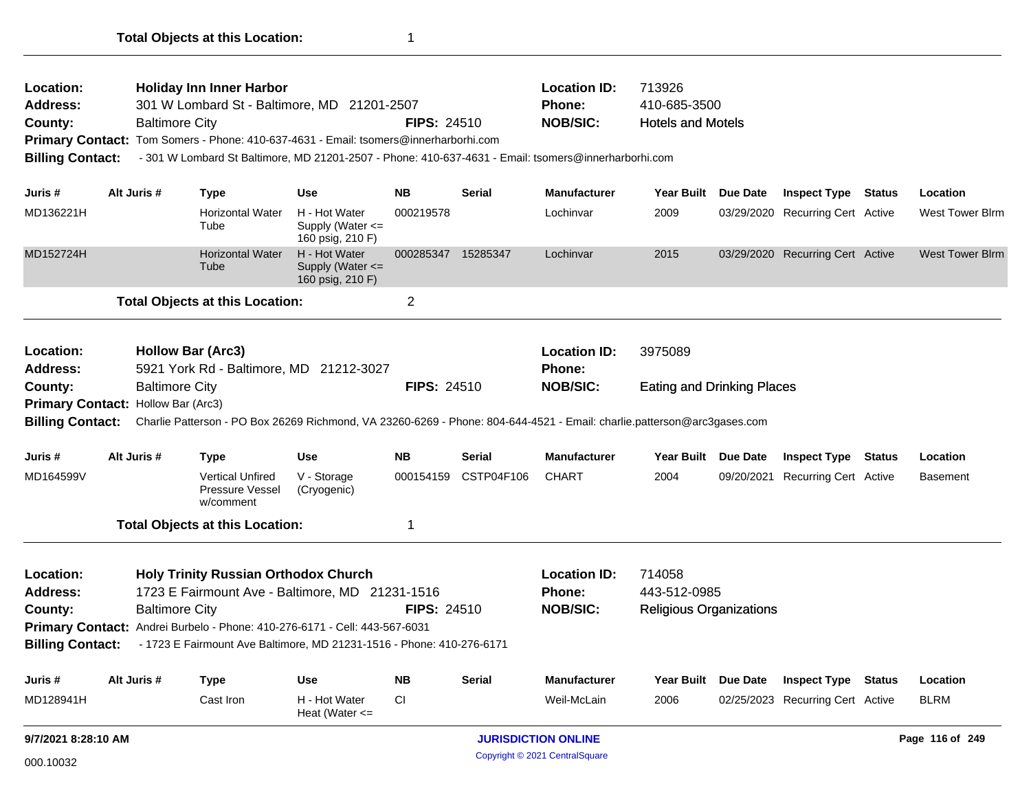| Location:<br><b>Holiday Inn Inner Harbor</b> |  |                       |                                                                                                                                          |                                                       |                    |                      | <b>Location ID:</b>            | 713926                            |          |                                  |        |                        |
|----------------------------------------------|--|-----------------------|------------------------------------------------------------------------------------------------------------------------------------------|-------------------------------------------------------|--------------------|----------------------|--------------------------------|-----------------------------------|----------|----------------------------------|--------|------------------------|
| Address:                                     |  |                       | 301 W Lombard St - Baltimore, MD 21201-2507                                                                                              |                                                       |                    |                      | <b>Phone:</b>                  | 410-685-3500                      |          |                                  |        |                        |
| County:                                      |  | <b>Baltimore City</b> |                                                                                                                                          |                                                       | <b>FIPS: 24510</b> |                      | <b>NOB/SIC:</b>                | <b>Hotels and Motels</b>          |          |                                  |        |                        |
|                                              |  |                       | Primary Contact: Tom Somers - Phone: 410-637-4631 - Email: tsomers@innerharborhi.com                                                     |                                                       |                    |                      |                                |                                   |          |                                  |        |                        |
| <b>Billing Contact:</b>                      |  |                       | - 301 W Lombard St Baltimore, MD 21201-2507 - Phone: 410-637-4631 - Email: tsomers@innerharborhi.com                                     |                                                       |                    |                      |                                |                                   |          |                                  |        |                        |
| Juris #                                      |  | Alt Juris #           | <b>Type</b>                                                                                                                              | <b>Use</b>                                            | <b>NB</b>          | <b>Serial</b>        | <b>Manufacturer</b>            | <b>Year Built</b>                 | Due Date | <b>Inspect Type</b>              | Status | Location               |
| MD136221H                                    |  |                       | <b>Horizontal Water</b><br>Tube                                                                                                          | H - Hot Water<br>Supply (Water <=<br>160 psig, 210 F) | 000219578          |                      | Lochinvar                      | 2009                              |          | 03/29/2020 Recurring Cert Active |        | <b>West Tower Blrm</b> |
| MD152724H                                    |  |                       | <b>Horizontal Water</b><br>Tube                                                                                                          | H - Hot Water<br>Supply (Water <=<br>160 psig, 210 F) | 000285347 15285347 |                      | Lochinvar                      | 2015                              |          | 03/29/2020 Recurring Cert Active |        | <b>West Tower Blrm</b> |
|                                              |  |                       | <b>Total Objects at this Location:</b>                                                                                                   |                                                       | $\overline{2}$     |                      |                                |                                   |          |                                  |        |                        |
| Location:<br>Address:                        |  |                       | <b>Hollow Bar (Arc3)</b><br>5921 York Rd - Baltimore, MD 21212-3027                                                                      |                                                       |                    |                      | <b>Location ID:</b><br>Phone:  | 3975089                           |          |                                  |        |                        |
| County:                                      |  | <b>Baltimore City</b> |                                                                                                                                          |                                                       | <b>FIPS: 24510</b> |                      | <b>NOB/SIC:</b>                | <b>Eating and Drinking Places</b> |          |                                  |        |                        |
| Primary Contact: Hollow Bar (Arc3)           |  |                       |                                                                                                                                          |                                                       |                    |                      |                                |                                   |          |                                  |        |                        |
|                                              |  |                       | Billing Contact: Charlie Patterson - PO Box 26269 Richmond, VA 23260-6269 - Phone: 804-644-4521 - Email: charlie.patterson@arc3gases.com |                                                       |                    |                      |                                |                                   |          |                                  |        |                        |
| Juris #                                      |  | Alt Juris #           | <b>Type</b>                                                                                                                              | <b>Use</b>                                            | <b>NB</b>          | <b>Serial</b>        | <b>Manufacturer</b>            | <b>Year Built</b>                 | Due Date | <b>Inspect Type</b>              | Status | Location               |
| MD164599V                                    |  |                       | <b>Vertical Unfired</b><br>Pressure Vessel<br>w/comment                                                                                  | V - Storage<br>(Cryogenic)                            |                    | 000154159 CSTP04F106 | <b>CHART</b>                   | 2004                              |          | 09/20/2021 Recurring Cert Active |        | <b>Basement</b>        |
|                                              |  |                       | <b>Total Objects at this Location:</b>                                                                                                   |                                                       | 1                  |                      |                                |                                   |          |                                  |        |                        |
| Location:                                    |  |                       | <b>Holy Trinity Russian Orthodox Church</b>                                                                                              |                                                       |                    |                      | <b>Location ID:</b>            | 714058                            |          |                                  |        |                        |
| <b>Address:</b>                              |  |                       | 1723 E Fairmount Ave - Baltimore, MD 21231-1516                                                                                          |                                                       |                    |                      | Phone:                         | 443-512-0985                      |          |                                  |        |                        |
| County:                                      |  | <b>Baltimore City</b> |                                                                                                                                          |                                                       | <b>FIPS: 24510</b> |                      | <b>NOB/SIC:</b>                | <b>Religious Organizations</b>    |          |                                  |        |                        |
|                                              |  |                       | Primary Contact: Andrei Burbelo - Phone: 410-276-6171 - Cell: 443-567-6031                                                               |                                                       |                    |                      |                                |                                   |          |                                  |        |                        |
| <b>Billing Contact:</b>                      |  |                       | - 1723 E Fairmount Ave Baltimore, MD 21231-1516 - Phone: 410-276-6171                                                                    |                                                       |                    |                      |                                |                                   |          |                                  |        |                        |
| Juris #                                      |  | Alt Juris #           | <b>Type</b>                                                                                                                              | <b>Use</b>                                            | <b>NB</b>          | <b>Serial</b>        | <b>Manufacturer</b>            | <b>Year Built</b>                 |          | Due Date Inspect Type Status     |        | Location               |
| MD128941H                                    |  |                       | Cast Iron                                                                                                                                | H - Hot Water<br>Heat (Water $\leq$                   | <b>CI</b>          |                      | Weil-McLain                    | 2006                              |          | 02/25/2023 Recurring Cert Active |        | <b>BLRM</b>            |
| 9/7/2021 8:28:10 AM                          |  |                       |                                                                                                                                          |                                                       |                    |                      | <b>JURISDICTION ONLINE</b>     |                                   |          |                                  |        | Page 116 of 249        |
| 000.10032                                    |  |                       |                                                                                                                                          |                                                       |                    |                      | Copyright © 2021 CentralSquare |                                   |          |                                  |        |                        |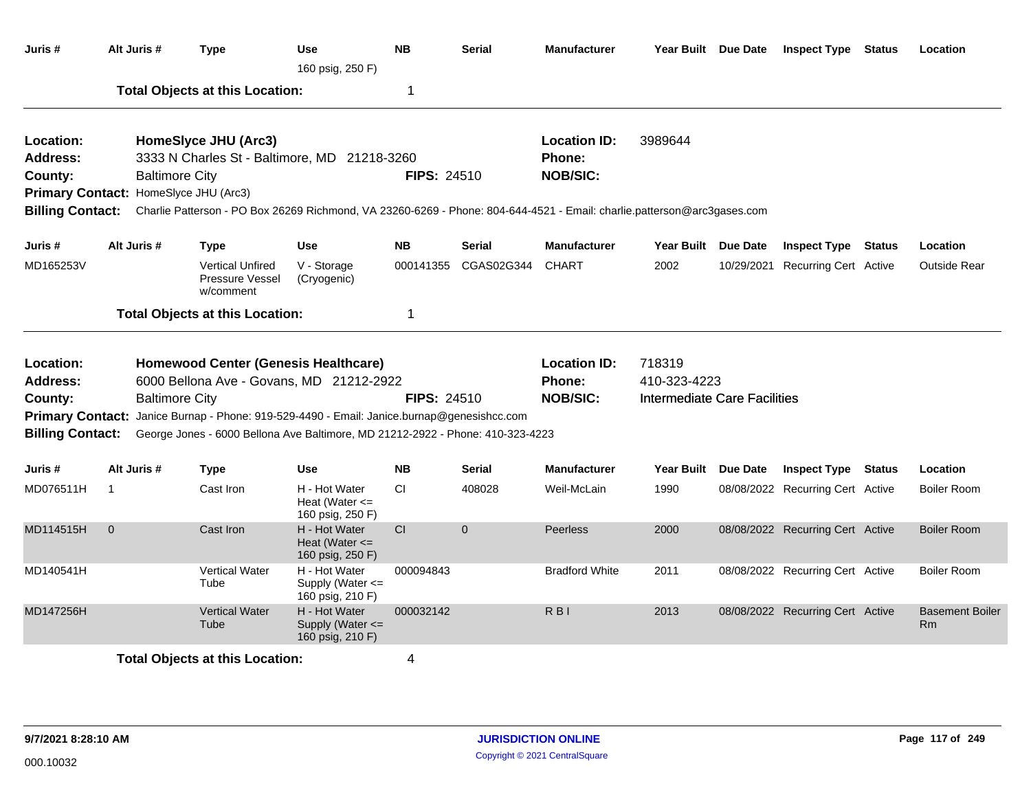| Juris #                 | Alt Juris #                           | <b>Type</b>                                                                                                             | <b>Use</b><br>160 psig, 250 F)                          | <b>NB</b>          | <b>Serial</b> | <b>Manufacturer</b>   |                                     | Year Built Due Date | <b>Inspect Type Status</b>       |        | Location                     |
|-------------------------|---------------------------------------|-------------------------------------------------------------------------------------------------------------------------|---------------------------------------------------------|--------------------|---------------|-----------------------|-------------------------------------|---------------------|----------------------------------|--------|------------------------------|
|                         |                                       | <b>Total Objects at this Location:</b>                                                                                  |                                                         | 1                  |               |                       |                                     |                     |                                  |        |                              |
| Location:               |                                       | HomeSlyce JHU (Arc3)                                                                                                    |                                                         |                    |               | <b>Location ID:</b>   | 3989644                             |                     |                                  |        |                              |
| <b>Address:</b>         |                                       | 3333 N Charles St - Baltimore, MD 21218-3260                                                                            |                                                         |                    |               | <b>Phone:</b>         |                                     |                     |                                  |        |                              |
| County:                 | <b>Baltimore City</b>                 |                                                                                                                         |                                                         | <b>FIPS: 24510</b> |               | <b>NOB/SIC:</b>       |                                     |                     |                                  |        |                              |
|                         | Primary Contact: HomeSlyce JHU (Arc3) |                                                                                                                         |                                                         |                    |               |                       |                                     |                     |                                  |        |                              |
| <b>Billing Contact:</b> |                                       | Charlie Patterson - PO Box 26269 Richmond, VA 23260-6269 - Phone: 804-644-4521 - Email: charlie.patterson@arc3gases.com |                                                         |                    |               |                       |                                     |                     |                                  |        |                              |
| Juris #                 | Alt Juris #                           | <b>Type</b>                                                                                                             | <b>Use</b>                                              | <b>NB</b>          | <b>Serial</b> | <b>Manufacturer</b>   | Year Built Due Date                 |                     | <b>Inspect Type</b>              | Status | Location                     |
| MD165253V               |                                       | <b>Vertical Unfired</b><br>Pressure Vessel<br>w/comment                                                                 | V - Storage<br>(Cryogenic)                              | 000141355          | CGAS02G344    | <b>CHART</b>          | 2002                                |                     | 10/29/2021 Recurring Cert Active |        | <b>Outside Rear</b>          |
|                         |                                       | <b>Total Objects at this Location:</b>                                                                                  |                                                         | $\mathbf 1$        |               |                       |                                     |                     |                                  |        |                              |
|                         |                                       |                                                                                                                         |                                                         |                    |               |                       |                                     |                     |                                  |        |                              |
| Location:               |                                       | Homewood Center (Genesis Healthcare)                                                                                    |                                                         |                    |               | <b>Location ID:</b>   | 718319                              |                     |                                  |        |                              |
| <b>Address:</b>         |                                       | 6000 Bellona Ave - Govans, MD 21212-2922                                                                                |                                                         |                    |               | Phone:                | 410-323-4223                        |                     |                                  |        |                              |
| County:                 | <b>Baltimore City</b>                 |                                                                                                                         |                                                         | <b>FIPS: 24510</b> |               | <b>NOB/SIC:</b>       | <b>Intermediate Care Facilities</b> |                     |                                  |        |                              |
|                         |                                       | Primary Contact: Janice Burnap - Phone: 919-529-4490 - Email: Janice.burnap@genesishcc.com                              |                                                         |                    |               |                       |                                     |                     |                                  |        |                              |
| <b>Billing Contact:</b> |                                       | George Jones - 6000 Bellona Ave Baltimore, MD 21212-2922 - Phone: 410-323-4223                                          |                                                         |                    |               |                       |                                     |                     |                                  |        |                              |
| Juris #                 | Alt Juris #                           | <b>Type</b>                                                                                                             | <b>Use</b>                                              | <b>NB</b>          | <b>Serial</b> | <b>Manufacturer</b>   | <b>Year Built</b>                   | Due Date            | <b>Inspect Type</b>              | Status | Location                     |
| MD076511H               | 1                                     | Cast Iron                                                                                                               | H - Hot Water<br>Heat (Water $\leq$<br>160 psig, 250 F) | <b>CI</b>          | 408028        | Weil-McLain           | 1990                                |                     | 08/08/2022 Recurring Cert Active |        | <b>Boiler Room</b>           |
| MD114515H               | $\mathbf 0$                           | Cast Iron                                                                                                               | H - Hot Water<br>Heat (Water $\leq$<br>160 psig, 250 F) | CI                 | $\mathbf{0}$  | <b>Peerless</b>       | 2000                                |                     | 08/08/2022 Recurring Cert Active |        | <b>Boiler Room</b>           |
| MD140541H               |                                       | <b>Vertical Water</b><br>Tube                                                                                           | H - Hot Water<br>Supply (Water <=<br>160 psig, 210 F)   | 000094843          |               | <b>Bradford White</b> | 2011                                |                     | 08/08/2022 Recurring Cert Active |        | <b>Boiler Room</b>           |
| MD147256H               |                                       | <b>Vertical Water</b><br>Tube                                                                                           | H - Hot Water<br>Supply (Water <=<br>160 psig, 210 F)   | 000032142          |               | R <sub>BI</sub>       | 2013                                |                     | 08/08/2022 Recurring Cert Active |        | <b>Basement Boiler</b><br>Rm |
|                         |                                       | <b>Total Objects at this Location:</b>                                                                                  |                                                         | 4                  |               |                       |                                     |                     |                                  |        |                              |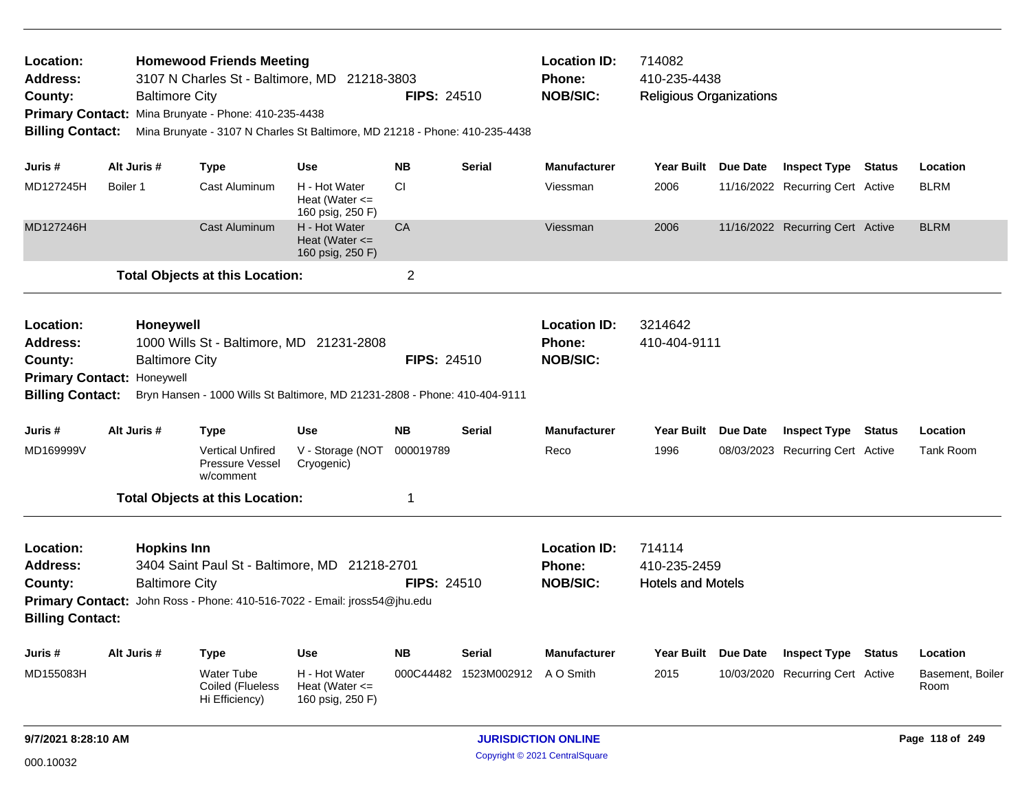| Location:<br><b>Address:</b><br>County:<br><b>Billing Contact:</b>                                                                                                                                                                                                      |                                                                                                                                                                           | <b>Homewood Friends Meeting</b><br>3107 N Charles St - Baltimore, MD 21218-3803<br><b>FIPS: 24510</b><br><b>Baltimore City</b><br>Primary Contact: Mina Brunyate - Phone: 410-235-4438<br>Mina Brunyate - 3107 N Charles St Baltimore, MD 21218 - Phone: 410-235-4438 |                                                         |                                                         |                                                         |                                                    | <b>Location ID:</b><br><b>Phone:</b><br><b>NOB/SIC:</b> | 714082<br>410-235-4438<br><b>Religious Organizations</b> |                                  |               |                          |
|-------------------------------------------------------------------------------------------------------------------------------------------------------------------------------------------------------------------------------------------------------------------------|---------------------------------------------------------------------------------------------------------------------------------------------------------------------------|-----------------------------------------------------------------------------------------------------------------------------------------------------------------------------------------------------------------------------------------------------------------------|---------------------------------------------------------|---------------------------------------------------------|---------------------------------------------------------|----------------------------------------------------|---------------------------------------------------------|----------------------------------------------------------|----------------------------------|---------------|--------------------------|
| Juris #                                                                                                                                                                                                                                                                 | Alt Juris #                                                                                                                                                               |                                                                                                                                                                                                                                                                       | <b>Type</b>                                             | <b>Use</b>                                              | <b>NB</b>                                               | <b>Serial</b>                                      | <b>Manufacturer</b>                                     | Year Built Due Date                                      | <b>Inspect Type Status</b>       |               | Location                 |
| MD127245H                                                                                                                                                                                                                                                               | Boiler 1                                                                                                                                                                  |                                                                                                                                                                                                                                                                       | Cast Aluminum                                           | H - Hot Water<br>Heat (Water $\leq$<br>160 psig, 250 F) | CI.                                                     |                                                    | Viessman                                                | 2006                                                     | 11/16/2022 Recurring Cert Active |               | <b>BLRM</b>              |
| MD127246H                                                                                                                                                                                                                                                               |                                                                                                                                                                           |                                                                                                                                                                                                                                                                       | <b>Cast Aluminum</b>                                    | H - Hot Water<br>Heat (Water $\leq$<br>160 psig, 250 F) | CA                                                      |                                                    | Viessman                                                | 2006                                                     | 11/16/2022 Recurring Cert Active |               | <b>BLRM</b>              |
|                                                                                                                                                                                                                                                                         |                                                                                                                                                                           |                                                                                                                                                                                                                                                                       | <b>Total Objects at this Location:</b>                  |                                                         | $\overline{2}$                                          |                                                    |                                                         |                                                          |                                  |               |                          |
| Location:<br>Honeywell<br><b>Address:</b><br>1000 Wills St - Baltimore, MD 21231-2808<br><b>Baltimore City</b><br>County:<br><b>Primary Contact: Honeywell</b><br><b>Billing Contact:</b><br>Bryn Hansen - 1000 Wills St Baltimore, MD 21231-2808 - Phone: 410-404-9111 |                                                                                                                                                                           |                                                                                                                                                                                                                                                                       |                                                         |                                                         | <b>FIPS: 24510</b>                                      |                                                    | <b>Location ID:</b><br><b>Phone:</b><br><b>NOB/SIC:</b> | 3214642<br>410-404-9111                                  |                                  |               |                          |
| Juris #                                                                                                                                                                                                                                                                 | Alt Juris #                                                                                                                                                               |                                                                                                                                                                                                                                                                       | Type                                                    | <b>Use</b>                                              | <b>NB</b><br><b>Serial</b>                              |                                                    | <b>Manufacturer</b>                                     | Year Built Due Date                                      | <b>Inspect Type</b>              | <b>Status</b> | Location                 |
| MD169999V                                                                                                                                                                                                                                                               |                                                                                                                                                                           |                                                                                                                                                                                                                                                                       | <b>Vertical Unfired</b><br>Pressure Vessel<br>w/comment | V - Storage (NOT 000019789<br>Cryogenic)                |                                                         |                                                    | Reco                                                    | 1996                                                     | 08/03/2023 Recurring Cert Active |               | Tank Room                |
|                                                                                                                                                                                                                                                                         |                                                                                                                                                                           |                                                                                                                                                                                                                                                                       | <b>Total Objects at this Location:</b>                  |                                                         | 1                                                       |                                                    |                                                         |                                                          |                                  |               |                          |
| Location:<br><b>Address:</b><br>County:<br><b>Billing Contact:</b>                                                                                                                                                                                                      | <b>Hopkins Inn</b><br>3404 Saint Paul St - Baltimore, MD 21218-2701<br><b>Baltimore City</b><br>Primary Contact: John Ross - Phone: 410-516-7022 - Email: jross54@jhu.edu |                                                                                                                                                                                                                                                                       | <b>FIPS: 24510</b>                                      |                                                         | <b>Location ID:</b><br><b>Phone:</b><br><b>NOB/SIC:</b> | 714114<br>410-235-2459<br><b>Hotels and Motels</b> |                                                         |                                                          |                                  |               |                          |
| Juris #                                                                                                                                                                                                                                                                 | Alt Juris #                                                                                                                                                               |                                                                                                                                                                                                                                                                       | <b>Type</b>                                             | <b>Use</b>                                              | <b>NB</b>                                               | Serial                                             | <b>Manufacturer</b>                                     | Year Built Due Date                                      | <b>Inspect Type</b>              | <b>Status</b> | Location                 |
| MD155083H                                                                                                                                                                                                                                                               |                                                                                                                                                                           |                                                                                                                                                                                                                                                                       | <b>Water Tube</b><br>Coiled (Flueless<br>Hi Efficiency) | H - Hot Water<br>Heat (Water $\leq$<br>160 psig, 250 F) |                                                         | 000C44482 1523M002912                              | A O Smith                                               | 2015                                                     | 10/03/2020 Recurring Cert Active |               | Basement, Boiler<br>Room |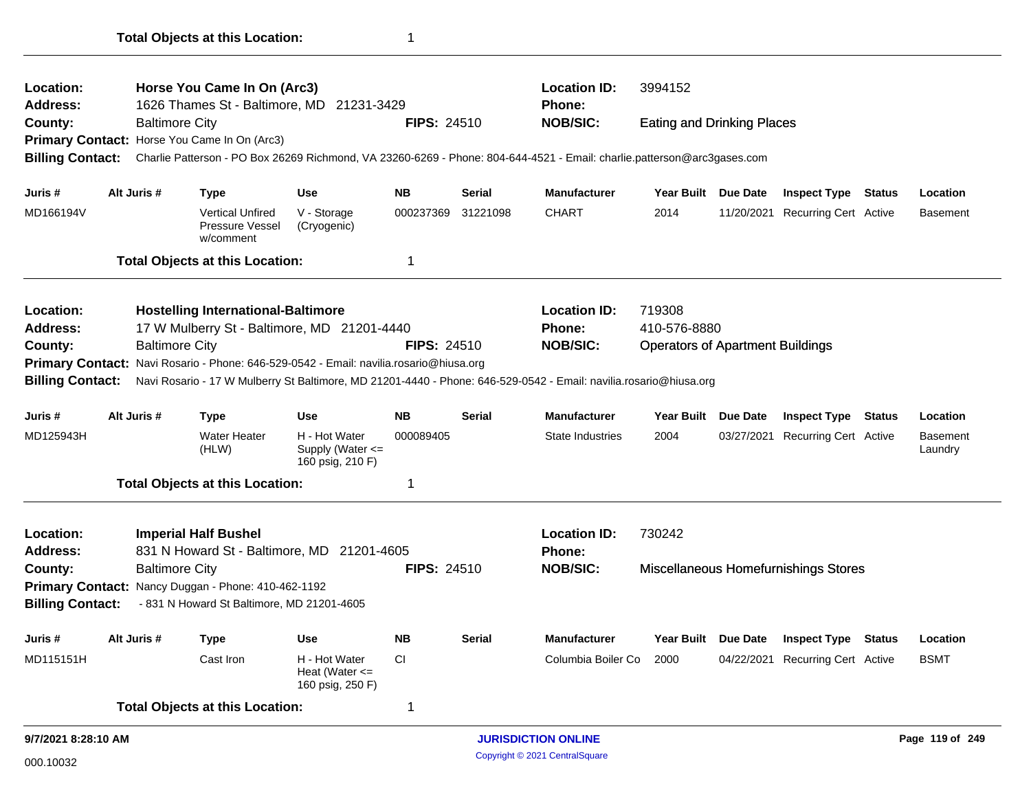| 9/7/2021 8:28:10 AM |                                                                               |                                           |                                                                                                                                                                                   |                                                                                                                                                                                                                                                                                                                 |                                                                                                                                                          |                                                                                                                                                                      |                                            |                                                |                                                                                                                                                                                                                                                                                                                                                 |                                                                                            | Page 119 of 249                                                                                                                                                                                                                    |
|---------------------|-------------------------------------------------------------------------------|-------------------------------------------|-----------------------------------------------------------------------------------------------------------------------------------------------------------------------------------|-----------------------------------------------------------------------------------------------------------------------------------------------------------------------------------------------------------------------------------------------------------------------------------------------------------------|----------------------------------------------------------------------------------------------------------------------------------------------------------|----------------------------------------------------------------------------------------------------------------------------------------------------------------------|--------------------------------------------|------------------------------------------------|-------------------------------------------------------------------------------------------------------------------------------------------------------------------------------------------------------------------------------------------------------------------------------------------------------------------------------------------------|--------------------------------------------------------------------------------------------|------------------------------------------------------------------------------------------------------------------------------------------------------------------------------------------------------------------------------------|
|                     |                                                                               |                                           |                                                                                                                                                                                   | 1                                                                                                                                                                                                                                                                                                               |                                                                                                                                                          |                                                                                                                                                                      |                                            |                                                |                                                                                                                                                                                                                                                                                                                                                 |                                                                                            |                                                                                                                                                                                                                                    |
|                     |                                                                               | Cast Iron                                 | H - Hot Water<br>Heat (Water $\leq$<br>160 psig, 250 F)                                                                                                                           | CI                                                                                                                                                                                                                                                                                                              |                                                                                                                                                          |                                                                                                                                                                      | 2000                                       |                                                |                                                                                                                                                                                                                                                                                                                                                 |                                                                                            | <b>BSMT</b>                                                                                                                                                                                                                        |
|                     |                                                                               | <b>Type</b>                               | <b>Use</b>                                                                                                                                                                        | <b>NB</b>                                                                                                                                                                                                                                                                                                       | <b>Serial</b>                                                                                                                                            | <b>Manufacturer</b>                                                                                                                                                  |                                            |                                                |                                                                                                                                                                                                                                                                                                                                                 |                                                                                            | Location                                                                                                                                                                                                                           |
|                     |                                                                               |                                           |                                                                                                                                                                                   |                                                                                                                                                                                                                                                                                                                 |                                                                                                                                                          |                                                                                                                                                                      |                                            |                                                |                                                                                                                                                                                                                                                                                                                                                 |                                                                                            |                                                                                                                                                                                                                                    |
|                     |                                                                               |                                           |                                                                                                                                                                                   |                                                                                                                                                                                                                                                                                                                 |                                                                                                                                                          |                                                                                                                                                                      |                                            |                                                |                                                                                                                                                                                                                                                                                                                                                 |                                                                                            |                                                                                                                                                                                                                                    |
|                     |                                                                               |                                           |                                                                                                                                                                                   |                                                                                                                                                                                                                                                                                                                 |                                                                                                                                                          | <b>NOB/SIC:</b>                                                                                                                                                      |                                            |                                                |                                                                                                                                                                                                                                                                                                                                                 |                                                                                            |                                                                                                                                                                                                                                    |
|                     |                                                                               |                                           |                                                                                                                                                                                   |                                                                                                                                                                                                                                                                                                                 |                                                                                                                                                          | <b>Location ID:</b><br><b>Phone:</b>                                                                                                                                 |                                            |                                                |                                                                                                                                                                                                                                                                                                                                                 |                                                                                            |                                                                                                                                                                                                                                    |
|                     |                                                                               |                                           |                                                                                                                                                                                   |                                                                                                                                                                                                                                                                                                                 |                                                                                                                                                          |                                                                                                                                                                      |                                            |                                                |                                                                                                                                                                                                                                                                                                                                                 |                                                                                            |                                                                                                                                                                                                                                    |
|                     |                                                                               |                                           |                                                                                                                                                                                   |                                                                                                                                                                                                                                                                                                                 |                                                                                                                                                          |                                                                                                                                                                      |                                            |                                                |                                                                                                                                                                                                                                                                                                                                                 |                                                                                            |                                                                                                                                                                                                                                    |
|                     |                                                                               | <b>Water Heater</b><br>(HLW)              | H - Hot Water<br>Supply (Water <=                                                                                                                                                 | 000089405                                                                                                                                                                                                                                                                                                       |                                                                                                                                                          | State Industries                                                                                                                                                     | 2004                                       |                                                |                                                                                                                                                                                                                                                                                                                                                 |                                                                                            | <b>Basement</b><br>Laundry                                                                                                                                                                                                         |
|                     |                                                                               | <b>Type</b>                               | Use                                                                                                                                                                               | <b>NB</b>                                                                                                                                                                                                                                                                                                       | <b>Serial</b>                                                                                                                                            | <b>Manufacturer</b>                                                                                                                                                  |                                            |                                                |                                                                                                                                                                                                                                                                                                                                                 |                                                                                            | Location                                                                                                                                                                                                                           |
|                     |                                                                               |                                           |                                                                                                                                                                                   |                                                                                                                                                                                                                                                                                                                 |                                                                                                                                                          |                                                                                                                                                                      |                                            |                                                |                                                                                                                                                                                                                                                                                                                                                 |                                                                                            |                                                                                                                                                                                                                                    |
|                     |                                                                               |                                           |                                                                                                                                                                                   |                                                                                                                                                                                                                                                                                                                 |                                                                                                                                                          |                                                                                                                                                                      |                                            |                                                |                                                                                                                                                                                                                                                                                                                                                 |                                                                                            |                                                                                                                                                                                                                                    |
|                     |                                                                               |                                           |                                                                                                                                                                                   |                                                                                                                                                                                                                                                                                                                 |                                                                                                                                                          | <b>NOB/SIC:</b>                                                                                                                                                      |                                            |                                                |                                                                                                                                                                                                                                                                                                                                                 |                                                                                            |                                                                                                                                                                                                                                    |
|                     |                                                                               |                                           |                                                                                                                                                                                   |                                                                                                                                                                                                                                                                                                                 |                                                                                                                                                          | Phone:                                                                                                                                                               |                                            |                                                |                                                                                                                                                                                                                                                                                                                                                 |                                                                                            |                                                                                                                                                                                                                                    |
|                     |                                                                               |                                           |                                                                                                                                                                                   |                                                                                                                                                                                                                                                                                                                 |                                                                                                                                                          | <b>Location ID:</b>                                                                                                                                                  |                                            |                                                |                                                                                                                                                                                                                                                                                                                                                 |                                                                                            |                                                                                                                                                                                                                                    |
|                     |                                                                               |                                           |                                                                                                                                                                                   | 1                                                                                                                                                                                                                                                                                                               |                                                                                                                                                          |                                                                                                                                                                      |                                            |                                                |                                                                                                                                                                                                                                                                                                                                                 |                                                                                            |                                                                                                                                                                                                                                    |
|                     |                                                                               | Pressure Vessel<br>w/comment              | (Cryogenic)                                                                                                                                                                       |                                                                                                                                                                                                                                                                                                                 |                                                                                                                                                          |                                                                                                                                                                      |                                            |                                                |                                                                                                                                                                                                                                                                                                                                                 |                                                                                            | <b>Basement</b>                                                                                                                                                                                                                    |
|                     |                                                                               | <b>Type</b>                               | <b>Use</b>                                                                                                                                                                        | <b>NB</b>                                                                                                                                                                                                                                                                                                       | Serial                                                                                                                                                   | <b>Manufacturer</b>                                                                                                                                                  |                                            |                                                |                                                                                                                                                                                                                                                                                                                                                 |                                                                                            | Location                                                                                                                                                                                                                           |
|                     |                                                                               |                                           |                                                                                                                                                                                   |                                                                                                                                                                                                                                                                                                                 |                                                                                                                                                          |                                                                                                                                                                      |                                            |                                                |                                                                                                                                                                                                                                                                                                                                                 |                                                                                            |                                                                                                                                                                                                                                    |
|                     |                                                                               |                                           |                                                                                                                                                                                   |                                                                                                                                                                                                                                                                                                                 |                                                                                                                                                          |                                                                                                                                                                      |                                            |                                                |                                                                                                                                                                                                                                                                                                                                                 |                                                                                            |                                                                                                                                                                                                                                    |
|                     |                                                                               |                                           |                                                                                                                                                                                   |                                                                                                                                                                                                                                                                                                                 |                                                                                                                                                          | <b>NOB/SIC:</b>                                                                                                                                                      |                                            |                                                |                                                                                                                                                                                                                                                                                                                                                 |                                                                                            |                                                                                                                                                                                                                                    |
|                     |                                                                               | Horse You Came In On (Arc3)               |                                                                                                                                                                                   |                                                                                                                                                                                                                                                                                                                 |                                                                                                                                                          | <b>Location ID:</b><br><b>Phone:</b>                                                                                                                                 | 3994152                                    |                                                |                                                                                                                                                                                                                                                                                                                                                 |                                                                                            |                                                                                                                                                                                                                                    |
|                     | <b>Billing Contact:</b><br><b>Billing Contact:</b><br><b>Billing Contact:</b> | Alt Juris #<br>Alt Juris #<br>Alt Juris # | <b>Baltimore City</b><br>Primary Contact: Horse You Came In On (Arc3)<br><b>Vertical Unfired</b><br><b>Baltimore City</b><br><b>Imperial Half Bushel</b><br><b>Baltimore City</b> | V - Storage<br><b>Total Objects at this Location:</b><br><b>Hostelling International-Baltimore</b><br>160 psig, 210 F)<br><b>Total Objects at this Location:</b><br>Primary Contact: Nancy Duggan - Phone: 410-462-1192<br>- 831 N Howard St Baltimore, MD 21201-4605<br><b>Total Objects at this Location:</b> | 1626 Thames St - Baltimore, MD 21231-3429<br>000237369<br>17 W Mulberry St - Baltimore, MD 21201-4440<br>1<br>831 N Howard St - Baltimore, MD 21201-4605 | <b>FIPS: 24510</b><br>31221098<br><b>FIPS: 24510</b><br>Primary Contact: Navi Rosario - Phone: 646-529-0542 - Email: navilia.rosario@hiusa.org<br><b>FIPS: 24510</b> | <b>CHART</b><br><b>JURISDICTION ONLINE</b> | 2014<br>719308<br>730242<br>Columbia Boiler Co | Charlie Patterson - PO Box 26269 Richmond, VA 23260-6269 - Phone: 804-644-4521 - Email: charlie.patterson@arc3gases.com<br>Year Built Due Date<br>11/20/2021<br>410-576-8880<br>Navi Rosario - 17 W Mulberry St Baltimore, MD 21201-4440 - Phone: 646-529-0542 - Email: navilia.rosario@hiusa.org<br>Year Built Due Date<br>Year Built Due Date | <b>Eating and Drinking Places</b><br><b>Operators of Apartment Buildings</b><br>03/27/2021 | <b>Inspect Type Status</b><br><b>Recurring Cert Active</b><br><b>Inspect Type Status</b><br><b>Recurring Cert Active</b><br>Miscellaneous Homefurnishings Stores<br><b>Inspect Type Status</b><br>04/22/2021 Recurring Cert Active |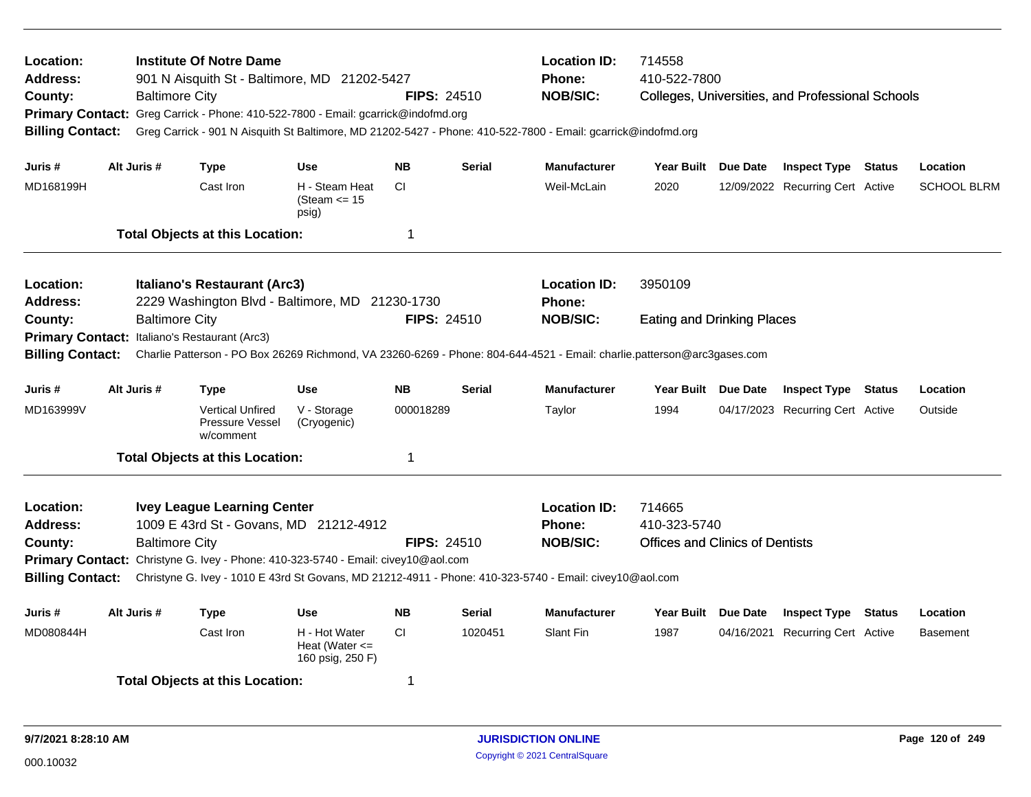| Location:<br>Address:<br>County:<br><b>Billing Contact:</b> |                                                                                                                                                                                                                                                                                                                                                        | <b>Baltimore City</b> | <b>Institute Of Notre Dame</b><br>901 N Aisquith St - Baltimore, MD 21202-5427<br>Primary Contact: Greg Carrick - Phone: 410-522-7800 - Email: gcarrick@indofmd.org |                                                         | <b>FIPS: 24510</b> |               | <b>Location ID:</b><br>Phone:<br><b>NOB/SIC:</b><br>Greg Carrick - 901 N Aisquith St Baltimore, MD 21202-5427 - Phone: 410-522-7800 - Email: gcarrick@indofmd.org | 714558<br>410-522-7800                                           | Colleges, Universities, and Professional Schools |        |                    |
|-------------------------------------------------------------|--------------------------------------------------------------------------------------------------------------------------------------------------------------------------------------------------------------------------------------------------------------------------------------------------------------------------------------------------------|-----------------------|---------------------------------------------------------------------------------------------------------------------------------------------------------------------|---------------------------------------------------------|--------------------|---------------|-------------------------------------------------------------------------------------------------------------------------------------------------------------------|------------------------------------------------------------------|--------------------------------------------------|--------|--------------------|
| Juris #                                                     |                                                                                                                                                                                                                                                                                                                                                        | Alt Juris #           | Type                                                                                                                                                                | <b>Use</b>                                              | <b>NB</b>          | <b>Serial</b> | <b>Manufacturer</b>                                                                                                                                               | Year Built Due Date                                              | <b>Inspect Type Status</b>                       |        | Location           |
| MD168199H                                                   |                                                                                                                                                                                                                                                                                                                                                        |                       | Cast Iron                                                                                                                                                           | H - Steam Heat<br>(Steam $\le$ 15<br>psig)              | <b>CI</b>          |               | Weil-McLain                                                                                                                                                       | 2020                                                             | 12/09/2022 Recurring Cert Active                 |        | <b>SCHOOL BLRM</b> |
|                                                             |                                                                                                                                                                                                                                                                                                                                                        |                       | <b>Total Objects at this Location:</b>                                                                                                                              |                                                         | 1                  |               |                                                                                                                                                                   |                                                                  |                                                  |        |                    |
| Location:<br>Address:                                       |                                                                                                                                                                                                                                                                                                                                                        |                       | Italiano's Restaurant (Arc3)<br>2229 Washington Blvd - Baltimore, MD 21230-1730                                                                                     |                                                         |                    |               | <b>Location ID:</b><br><b>Phone:</b>                                                                                                                              | 3950109                                                          |                                                  |        |                    |
| County:<br><b>Billing Contact:</b>                          |                                                                                                                                                                                                                                                                                                                                                        | <b>Baltimore City</b> | Primary Contact: Italiano's Restaurant (Arc3)                                                                                                                       |                                                         | <b>FIPS: 24510</b> |               | <b>NOB/SIC:</b><br>Charlie Patterson - PO Box 26269 Richmond, VA 23260-6269 - Phone: 804-644-4521 - Email: charlie.patterson@arc3gases.com                        | <b>Eating and Drinking Places</b>                                |                                                  |        |                    |
| Juris #                                                     |                                                                                                                                                                                                                                                                                                                                                        | Alt Juris #           | <b>Type</b>                                                                                                                                                         | <b>Use</b>                                              | <b>NB</b>          | <b>Serial</b> | <b>Manufacturer</b>                                                                                                                                               | Year Built Due Date                                              | <b>Inspect Type Status</b>                       |        | Location           |
| MD163999V                                                   |                                                                                                                                                                                                                                                                                                                                                        |                       | <b>Vertical Unfired</b><br>Pressure Vessel<br>w/comment                                                                                                             | V - Storage<br>(Cryogenic)                              | 000018289          |               | Taylor                                                                                                                                                            | 1994                                                             | 04/17/2023 Recurring Cert Active                 |        | Outside            |
|                                                             |                                                                                                                                                                                                                                                                                                                                                        |                       | <b>Total Objects at this Location:</b>                                                                                                                              |                                                         | 1                  |               |                                                                                                                                                                   |                                                                  |                                                  |        |                    |
| Location:<br>Address:<br>County:                            | <b>Ivey League Learning Center</b><br>1009 E 43rd St - Govans, MD 21212-4912<br><b>FIPS: 24510</b><br><b>Baltimore City</b><br>Primary Contact: Christyne G. Ivey - Phone: 410-323-5740 - Email: civey10@aol.com<br>Christyne G. Ivey - 1010 E 43rd St Govans, MD 21212-4911 - Phone: 410-323-5740 - Email: civey10@aol.com<br><b>Billing Contact:</b> |                       |                                                                                                                                                                     |                                                         |                    |               |                                                                                                                                                                   | 714665<br>410-323-5740<br><b>Offices and Clinics of Dentists</b> |                                                  |        |                    |
| Juris #                                                     |                                                                                                                                                                                                                                                                                                                                                        | Alt Juris #           | Type                                                                                                                                                                | Use                                                     | <b>NB</b>          | Serial        | <b>Manufacturer</b>                                                                                                                                               | Year Built Due Date                                              | <b>Inspect Type</b>                              | Status | Location           |
| MD080844H                                                   |                                                                                                                                                                                                                                                                                                                                                        |                       | Cast Iron                                                                                                                                                           | H - Hot Water<br>Heat (Water $\leq$<br>160 psig, 250 F) | <b>CI</b>          | 1020451       | Slant Fin                                                                                                                                                         | 1987                                                             | 04/16/2021 Recurring Cert Active                 |        | <b>Basement</b>    |
|                                                             |                                                                                                                                                                                                                                                                                                                                                        |                       | <b>Total Objects at this Location:</b>                                                                                                                              |                                                         | 1                  |               |                                                                                                                                                                   |                                                                  |                                                  |        |                    |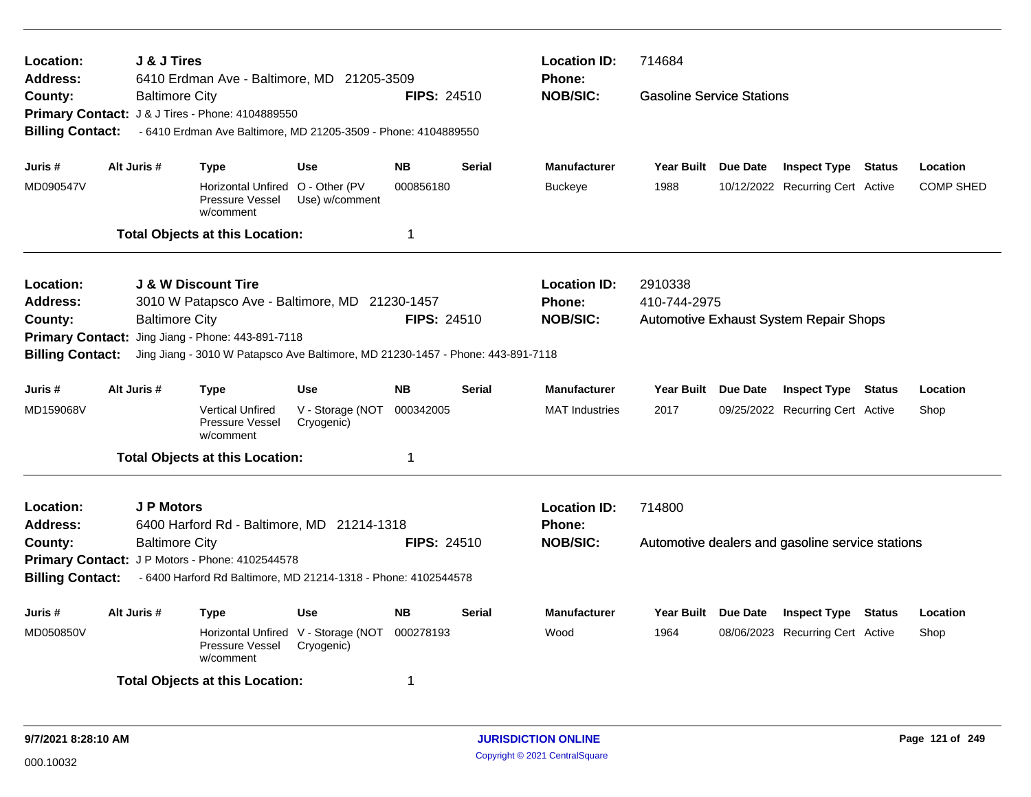| Location:<br><b>Address:</b><br>County: | J & J Tires<br><b>Baltimore City</b>                                                           | 6410 Erdman Ave - Baltimore, MD 21205-3509                                                                                           |                                | <b>FIPS: 24510</b> |               | <b>Location ID:</b><br><b>Phone:</b><br><b>NOB/SIC:</b> | 714684<br><b>Gasoline Service Stations</b> |                                                  |                  |
|-----------------------------------------|------------------------------------------------------------------------------------------------|--------------------------------------------------------------------------------------------------------------------------------------|--------------------------------|--------------------|---------------|---------------------------------------------------------|--------------------------------------------|--------------------------------------------------|------------------|
| <b>Billing Contact:</b>                 |                                                                                                | Primary Contact: J & J Tires - Phone: 4104889550<br>- 6410 Erdman Ave Baltimore, MD 21205-3509 - Phone: 4104889550                   |                                |                    |               |                                                         |                                            |                                                  |                  |
| Juris #                                 | Alt Juris #                                                                                    | Type                                                                                                                                 | <b>Use</b>                     | <b>NB</b>          | <b>Serial</b> | <b>Manufacturer</b>                                     | Year Built Due Date                        | <b>Inspect Type Status</b>                       | Location         |
| MD090547V                               |                                                                                                | Horizontal Unfired O - Other (PV<br>Pressure Vessel<br>w/comment                                                                     | Use) w/comment                 | 000856180          |               | Buckeye                                                 | 1988                                       | 10/12/2022 Recurring Cert Active                 | <b>COMP SHED</b> |
|                                         |                                                                                                | <b>Total Objects at this Location:</b>                                                                                               |                                | $\mathbf 1$        |               |                                                         |                                            |                                                  |                  |
| Location:<br><b>Address:</b>            |                                                                                                | <b>J &amp; W Discount Tire</b><br>3010 W Patapsco Ave - Baltimore, MD 21230-1457                                                     |                                |                    |               | <b>Location ID:</b><br>Phone:                           | 2910338<br>410-744-2975                    |                                                  |                  |
| County:                                 | <b>Baltimore City</b>                                                                          |                                                                                                                                      |                                | <b>FIPS: 24510</b> |               | <b>NOB/SIC:</b>                                         |                                            | <b>Automotive Exhaust System Repair Shops</b>    |                  |
| <b>Billing Contact:</b>                 |                                                                                                | Primary Contact: Jing Jiang - Phone: 443-891-7118<br>Jing Jiang - 3010 W Patapsco Ave Baltimore, MD 21230-1457 - Phone: 443-891-7118 |                                |                    |               |                                                         |                                            |                                                  |                  |
| Juris #                                 | Alt Juris #                                                                                    | Type                                                                                                                                 | <b>Use</b>                     | <b>NB</b>          | <b>Serial</b> | <b>Manufacturer</b>                                     | Year Built Due Date                        | <b>Inspect Type Status</b>                       | Location         |
| MD159068V                               |                                                                                                | <b>Vertical Unfired</b><br>Pressure Vessel<br>w/comment                                                                              | V - Storage (NOT<br>Cryogenic) | 000342005          |               | <b>MAT</b> Industries                                   | 2017                                       | 09/25/2022 Recurring Cert Active                 | Shop             |
|                                         |                                                                                                | <b>Total Objects at this Location:</b>                                                                                               |                                | $\mathbf 1$        |               |                                                         |                                            |                                                  |                  |
| Location:<br>Address:                   | J P Motors                                                                                     | 6400 Harford Rd - Baltimore, MD 21214-1318                                                                                           |                                |                    |               | <b>Location ID:</b><br><b>Phone:</b>                    | 714800                                     |                                                  |                  |
| County:                                 | <b>Baltimore City</b>                                                                          |                                                                                                                                      |                                | <b>FIPS: 24510</b> |               | <b>NOB/SIC:</b>                                         |                                            | Automotive dealers and gasoline service stations |                  |
|                                         |                                                                                                | Primary Contact: J P Motors - Phone: 4102544578                                                                                      |                                |                    |               |                                                         |                                            |                                                  |                  |
| <b>Billing Contact:</b>                 |                                                                                                | - 6400 Harford Rd Baltimore, MD 21214-1318 - Phone: 4102544578                                                                       |                                |                    |               |                                                         |                                            |                                                  |                  |
| Juris #                                 | Alt Juris #                                                                                    | Type                                                                                                                                 | <b>Use</b>                     | <b>NB</b>          | <b>Serial</b> | <b>Manufacturer</b>                                     | Year Built Due Date                        | <b>Inspect Type Status</b>                       | Location         |
| MD050850V                               | Horizontal Unfired V - Storage (NOT<br>000278193<br>Pressure Vessel<br>Cryogenic)<br>w/comment |                                                                                                                                      |                                |                    |               | Wood                                                    | 1964                                       | 08/06/2023 Recurring Cert Active                 | Shop             |
|                                         |                                                                                                | <b>Total Objects at this Location:</b>                                                                                               |                                | 1                  |               |                                                         |                                            |                                                  |                  |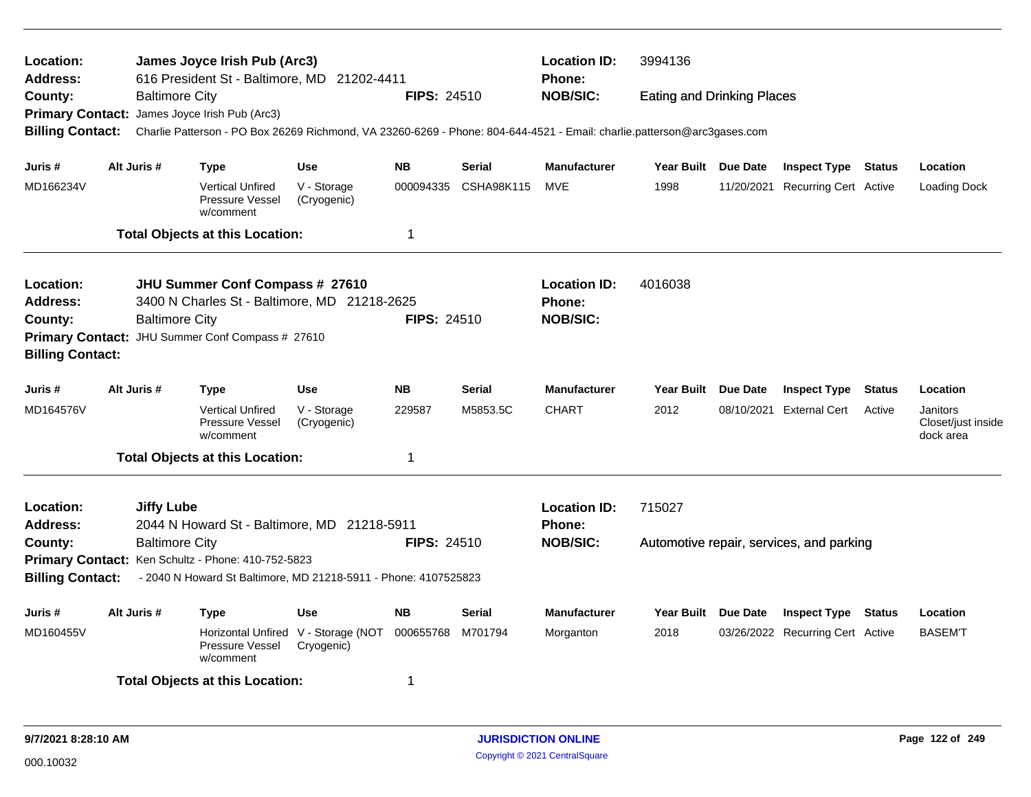| Location:<br>Address:        |                       | James Joyce Irish Pub (Arc3)<br>616 President St - Baltimore, MD 21202-4411                                             |                                                   |                    |                   | <b>Location ID:</b><br><b>Phone:</b> | 3994136                           |            |                                          |               |                                             |
|------------------------------|-----------------------|-------------------------------------------------------------------------------------------------------------------------|---------------------------------------------------|--------------------|-------------------|--------------------------------------|-----------------------------------|------------|------------------------------------------|---------------|---------------------------------------------|
| County:                      | <b>Baltimore City</b> |                                                                                                                         |                                                   | <b>FIPS: 24510</b> |                   | <b>NOB/SIC:</b>                      | <b>Eating and Drinking Places</b> |            |                                          |               |                                             |
|                              |                       | Primary Contact: James Joyce Irish Pub (Arc3)                                                                           |                                                   |                    |                   |                                      |                                   |            |                                          |               |                                             |
| <b>Billing Contact:</b>      |                       | Charlie Patterson - PO Box 26269 Richmond, VA 23260-6269 - Phone: 804-644-4521 - Email: charlie.patterson@arc3gases.com |                                                   |                    |                   |                                      |                                   |            |                                          |               |                                             |
| Juris #                      | Alt Juris #           | <b>Type</b>                                                                                                             | <b>Use</b>                                        | <b>NB</b>          | <b>Serial</b>     | <b>Manufacturer</b>                  | Year Built Due Date               |            | <b>Inspect Type Status</b>               |               | Location                                    |
| MD166234V                    |                       | <b>Vertical Unfired</b><br>Pressure Vessel<br>w/comment                                                                 | V - Storage<br>(Cryogenic)                        | 000094335          | <b>CSHA98K115</b> | <b>MVE</b>                           | 1998                              |            | 11/20/2021 Recurring Cert Active         |               | Loading Dock                                |
|                              |                       | <b>Total Objects at this Location:</b>                                                                                  |                                                   | 1                  |                   |                                      |                                   |            |                                          |               |                                             |
| Location:<br><b>Address:</b> |                       | JHU Summer Conf Compass # 27610<br>3400 N Charles St - Baltimore, MD 21218-2625                                         |                                                   |                    |                   | <b>Location ID:</b><br><b>Phone:</b> | 4016038                           |            |                                          |               |                                             |
| County:                      | <b>Baltimore City</b> |                                                                                                                         |                                                   | <b>FIPS: 24510</b> |                   | <b>NOB/SIC:</b>                      |                                   |            |                                          |               |                                             |
| <b>Primary Contact:</b>      |                       | JHU Summer Conf Compass # 27610                                                                                         |                                                   |                    |                   |                                      |                                   |            |                                          |               |                                             |
| <b>Billing Contact:</b>      |                       |                                                                                                                         |                                                   |                    |                   |                                      |                                   |            |                                          |               |                                             |
| Juris #                      | Alt Juris #           | <b>Type</b>                                                                                                             | <b>Use</b>                                        | <b>NB</b>          | <b>Serial</b>     | <b>Manufacturer</b>                  | Year Built Due Date               |            | <b>Inspect Type</b>                      | <b>Status</b> | Location                                    |
| MD164576V                    |                       | <b>Vertical Unfired</b><br>Pressure Vessel<br>w/comment                                                                 | V - Storage<br>(Cryogenic)                        | 229587             | M5853.5C          | <b>CHART</b>                         | 2012                              | 08/10/2021 | <b>External Cert</b>                     | Active        | Janitors<br>Closet/just inside<br>dock area |
|                              |                       | <b>Total Objects at this Location:</b>                                                                                  |                                                   | 1                  |                   |                                      |                                   |            |                                          |               |                                             |
| Location:                    | <b>Jiffy Lube</b>     |                                                                                                                         |                                                   |                    |                   | <b>Location ID:</b>                  | 715027                            |            |                                          |               |                                             |
| <b>Address:</b>              |                       | 2044 N Howard St - Baltimore, MD 21218-5911                                                                             |                                                   |                    |                   | <b>Phone:</b>                        |                                   |            |                                          |               |                                             |
| County:                      | <b>Baltimore City</b> |                                                                                                                         |                                                   | <b>FIPS: 24510</b> |                   | <b>NOB/SIC:</b>                      |                                   |            | Automotive repair, services, and parking |               |                                             |
|                              |                       | Primary Contact: Ken Schultz - Phone: 410-752-5823                                                                      |                                                   |                    |                   |                                      |                                   |            |                                          |               |                                             |
| <b>Billing Contact:</b>      |                       | - 2040 N Howard St Baltimore, MD 21218-5911 - Phone: 4107525823                                                         |                                                   |                    |                   |                                      |                                   |            |                                          |               |                                             |
| Juris #                      | Alt Juris #           | <b>Type</b>                                                                                                             | Use                                               | <b>NB</b>          | <b>Serial</b>     | <b>Manufacturer</b>                  | <b>Year Built</b>                 | Due Date   | <b>Inspect Type Status</b>               |               | Location                                    |
| MD160455V                    |                       | Pressure Vessel<br>w/comment                                                                                            | Horizontal Unfired V - Storage (NOT<br>Cryogenic) | 000655768          | M701794           | Morganton                            | 2018                              |            | 03/26/2022 Recurring Cert Active         |               | <b>BASEMT</b>                               |
|                              |                       | <b>Total Objects at this Location:</b>                                                                                  |                                                   | 1                  |                   |                                      |                                   |            |                                          |               |                                             |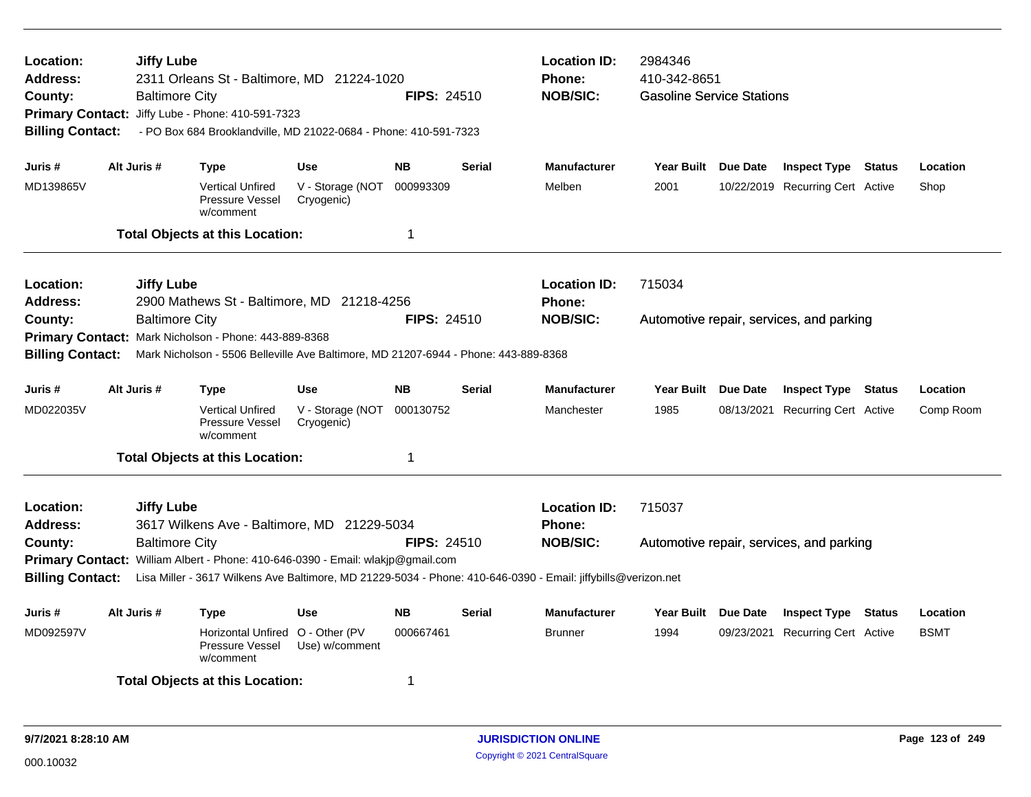| Location:<br><b>Address:</b><br>County:<br><b>Billing Contact:</b>                              | <b>Jiffy Lube</b><br><b>Baltimore City</b> | 2311 Orleans St - Baltimore, MD 21224-1020<br>Primary Contact: Jiffy Lube - Phone: 410-591-7323<br>- PO Box 684 Brooklandville, MD 21022-0684 - Phone: 410-591-7323                              |                                | <b>FIPS: 24510</b> |               | <b>Location ID:</b><br><b>Phone:</b><br><b>NOB/SIC:</b> | 2984346<br>410-342-8651<br><b>Gasoline Service Stations</b> |                 |                                          |               |             |
|-------------------------------------------------------------------------------------------------|--------------------------------------------|--------------------------------------------------------------------------------------------------------------------------------------------------------------------------------------------------|--------------------------------|--------------------|---------------|---------------------------------------------------------|-------------------------------------------------------------|-----------------|------------------------------------------|---------------|-------------|
| Juris #                                                                                         | Alt Juris #                                | Type                                                                                                                                                                                             | <b>Use</b>                     | <b>NB</b>          | <b>Serial</b> | <b>Manufacturer</b>                                     | Year Built                                                  | Due Date        | <b>Inspect Type Status</b>               |               | Location    |
| MD139865V                                                                                       |                                            | <b>Vertical Unfired</b><br>Pressure Vessel<br>w/comment                                                                                                                                          | V - Storage (NOT<br>Cryogenic) | 000993309          |               | Melben                                                  | 2001                                                        |                 | 10/22/2019 Recurring Cert Active         |               | Shop        |
|                                                                                                 |                                            | <b>Total Objects at this Location:</b>                                                                                                                                                           |                                | $\mathbf 1$        |               |                                                         |                                                             |                 |                                          |               |             |
| Location:<br><b>Address:</b>                                                                    | <b>Jiffy Lube</b>                          | 2900 Mathews St - Baltimore, MD 21218-4256                                                                                                                                                       |                                |                    |               | <b>Location ID:</b><br><b>Phone:</b>                    | 715034                                                      |                 |                                          |               |             |
| County:                                                                                         | <b>Baltimore City</b>                      | Primary Contact: Mark Nicholson - Phone: 443-889-8368                                                                                                                                            |                                | <b>FIPS: 24510</b> |               | <b>NOB/SIC:</b>                                         |                                                             |                 | Automotive repair, services, and parking |               |             |
| <b>Billing Contact:</b>                                                                         |                                            | Mark Nicholson - 5506 Belleville Ave Baltimore, MD 21207-6944 - Phone: 443-889-8368                                                                                                              |                                |                    |               |                                                         |                                                             |                 |                                          |               |             |
| Juris #                                                                                         | Alt Juris #                                | <b>Type</b>                                                                                                                                                                                      | <b>Use</b>                     | <b>NB</b>          | <b>Serial</b> | <b>Manufacturer</b>                                     | <b>Year Built</b>                                           | <b>Due Date</b> | <b>Inspect Type Status</b>               |               | Location    |
| MD022035V                                                                                       |                                            | <b>Vertical Unfired</b><br>Pressure Vessel<br>w/comment                                                                                                                                          | V - Storage (NOT<br>Cryogenic) | 000130752          |               | Manchester                                              | 1985                                                        |                 | 08/13/2021 Recurring Cert Active         |               | Comp Room   |
|                                                                                                 |                                            | <b>Total Objects at this Location:</b>                                                                                                                                                           |                                | $\mathbf 1$        |               |                                                         |                                                             |                 |                                          |               |             |
| Location:<br><b>Address:</b>                                                                    | <b>Jiffy Lube</b>                          | 3617 Wilkens Ave - Baltimore, MD 21229-5034                                                                                                                                                      |                                |                    |               | <b>Location ID:</b><br><b>Phone:</b>                    | 715037                                                      |                 |                                          |               |             |
| County:                                                                                         | <b>Baltimore City</b>                      |                                                                                                                                                                                                  |                                | <b>FIPS: 24510</b> |               | <b>NOB/SIC:</b>                                         |                                                             |                 | Automotive repair, services, and parking |               |             |
| <b>Billing Contact:</b>                                                                         |                                            | Primary Contact: William Albert - Phone: 410-646-0390 - Email: wlakjp@gmail.com<br>Lisa Miller - 3617 Wilkens Ave Baltimore, MD 21229-5034 - Phone: 410-646-0390 - Email: jiffybills@verizon.net |                                |                    |               |                                                         |                                                             |                 |                                          |               |             |
|                                                                                                 |                                            |                                                                                                                                                                                                  |                                |                    |               |                                                         |                                                             |                 |                                          |               |             |
| Juris #                                                                                         | Alt Juris #                                | <b>Type</b>                                                                                                                                                                                      | <b>Use</b>                     | <b>NB</b>          | <b>Serial</b> | <b>Manufacturer</b>                                     | <b>Year Built</b>                                           | Due Date        | <b>Inspect Type</b>                      | <b>Status</b> | Location    |
| MD092597V<br>Horizontal Unfired O - Other (PV<br>Pressure Vessel<br>Use) w/comment<br>w/comment |                                            |                                                                                                                                                                                                  |                                | 000667461          |               | <b>Brunner</b>                                          | 1994                                                        |                 | 09/23/2021 Recurring Cert Active         |               | <b>BSMT</b> |
|                                                                                                 |                                            | <b>Total Objects at this Location:</b>                                                                                                                                                           |                                | 1                  |               |                                                         |                                                             |                 |                                          |               |             |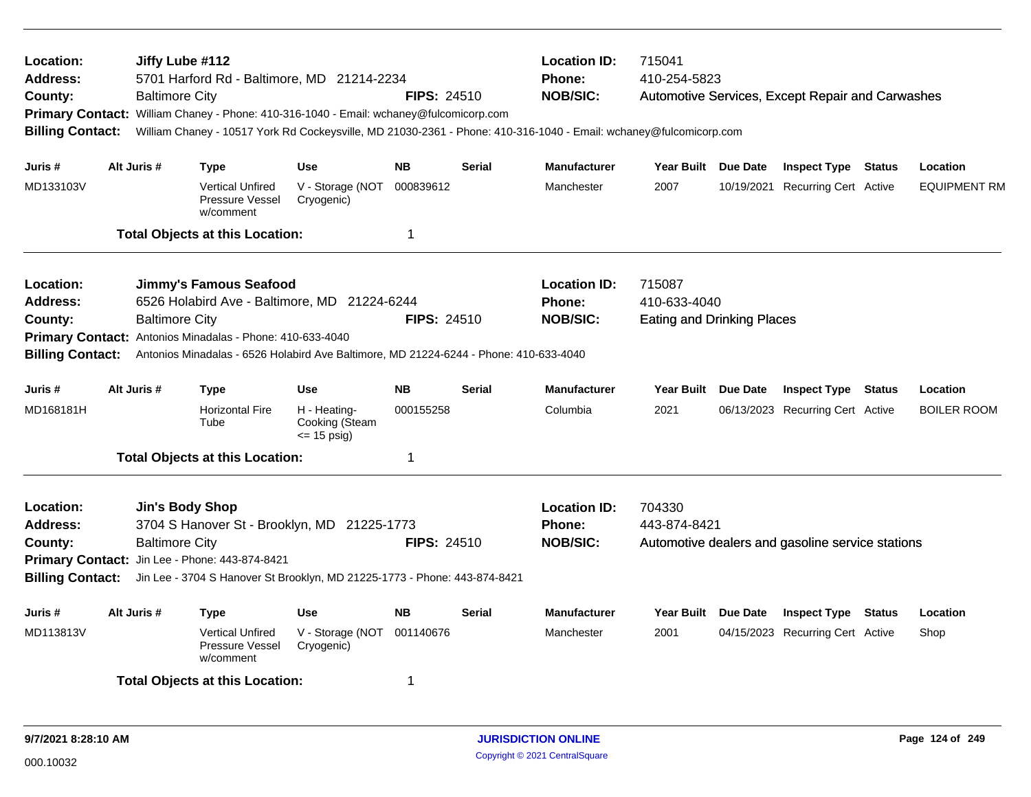| Location:<br>Address:<br>County:<br><b>Primary Contact:</b><br><b>Billing Contact:</b> |             | Jiffy Lube #112<br>5701 Harford Rd - Baltimore, MD 21214-2234<br><b>Baltimore City</b><br>William Chaney - Phone: 410-316-1040 - Email: wchaney@fulcomicorp.com<br>William Chaney - 10517 York Rd Cockeysville, MD 21030-2361 - Phone: 410-316-1040 - Email: wchaney@fulcomicorp.com |                                                  | <b>FIPS: 24510</b> |               | <b>Location ID:</b><br>Phone:<br><b>NOB/SIC:</b> | 715041<br>410-254-5823                            |                 | Automotive Services, Except Repair and Carwashes |               |                     |
|----------------------------------------------------------------------------------------|-------------|--------------------------------------------------------------------------------------------------------------------------------------------------------------------------------------------------------------------------------------------------------------------------------------|--------------------------------------------------|--------------------|---------------|--------------------------------------------------|---------------------------------------------------|-----------------|--------------------------------------------------|---------------|---------------------|
| Juris #                                                                                | Alt Juris # | <b>Type</b>                                                                                                                                                                                                                                                                          | <b>Use</b>                                       | <b>NB</b>          | <b>Serial</b> | <b>Manufacturer</b>                              | Year Built Due Date                               |                 | <b>Inspect Type Status</b>                       |               | Location            |
| MD133103V                                                                              |             | <b>Vertical Unfired</b><br>Pressure Vessel<br>w/comment                                                                                                                                                                                                                              | V - Storage (NOT<br>Cryogenic)                   | 000839612          |               | Manchester                                       | 2007                                              | 10/19/2021      | <b>Recurring Cert Active</b>                     |               | <b>EQUIPMENT RM</b> |
|                                                                                        |             | <b>Total Objects at this Location:</b>                                                                                                                                                                                                                                               |                                                  | 1                  |               |                                                  |                                                   |                 |                                                  |               |                     |
| Location:                                                                              |             | Jimmy's Famous Seafood                                                                                                                                                                                                                                                               |                                                  |                    |               | <b>Location ID:</b>                              | 715087                                            |                 |                                                  |               |                     |
| Address:<br>County:                                                                    |             | 6526 Holabird Ave - Baltimore, MD 21224-6244<br><b>Baltimore City</b>                                                                                                                                                                                                                |                                                  | <b>FIPS: 24510</b> |               | <b>Phone:</b><br><b>NOB/SIC:</b>                 | 410-633-4040<br><b>Eating and Drinking Places</b> |                 |                                                  |               |                     |
| <b>Billing Contact:</b>                                                                |             | Primary Contact: Antonios Minadalas - Phone: 410-633-4040<br>Antonios Minadalas - 6526 Holabird Ave Baltimore, MD 21224-6244 - Phone: 410-633-4040                                                                                                                                   |                                                  |                    |               |                                                  |                                                   |                 |                                                  |               |                     |
| Juris #                                                                                | Alt Juris # | <b>Type</b>                                                                                                                                                                                                                                                                          | <b>Use</b>                                       | <b>NB</b>          | <b>Serial</b> | <b>Manufacturer</b>                              | <b>Year Built</b>                                 | Due Date        | <b>Inspect Type Status</b>                       |               | Location            |
| MD168181H                                                                              |             | <b>Horizontal Fire</b><br>Tube                                                                                                                                                                                                                                                       | H - Heating-<br>Cooking (Steam<br>$\le$ 15 psig) | 000155258          |               | Columbia                                         | 2021                                              |                 | 06/13/2023 Recurring Cert Active                 |               | <b>BOILER ROOM</b>  |
|                                                                                        |             | <b>Total Objects at this Location:</b>                                                                                                                                                                                                                                               |                                                  | 1                  |               |                                                  |                                                   |                 |                                                  |               |                     |
| Location:                                                                              |             | <b>Jin's Body Shop</b>                                                                                                                                                                                                                                                               |                                                  |                    |               | <b>Location ID:</b>                              | 704330                                            |                 |                                                  |               |                     |
| <b>Address:</b>                                                                        |             | 3704 S Hanover St - Brooklyn, MD 21225-1773                                                                                                                                                                                                                                          |                                                  |                    |               | <b>Phone:</b>                                    | 443-874-8421                                      |                 |                                                  |               |                     |
| County:                                                                                |             | <b>Baltimore City</b>                                                                                                                                                                                                                                                                |                                                  | <b>FIPS: 24510</b> |               | <b>NOB/SIC:</b>                                  |                                                   |                 | Automotive dealers and gasoline service stations |               |                     |
| <b>Billing Contact:</b>                                                                |             | Primary Contact: Jin Lee - Phone: 443-874-8421<br>Jin Lee - 3704 S Hanover St Brooklyn, MD 21225-1773 - Phone: 443-874-8421                                                                                                                                                          |                                                  |                    |               |                                                  |                                                   |                 |                                                  |               |                     |
| Juris #                                                                                | Alt Juris # | <b>Type</b>                                                                                                                                                                                                                                                                          | <b>Use</b>                                       | <b>NB</b>          | Serial        | <b>Manufacturer</b>                              | <b>Year Built</b>                                 | <b>Due Date</b> | <b>Inspect Type</b>                              | <b>Status</b> | Location            |
| MD113813V                                                                              |             | <b>Vertical Unfired</b><br>Pressure Vessel<br>w/comment                                                                                                                                                                                                                              | V - Storage (NOT<br>Cryogenic)                   | 001140676          |               | Manchester                                       | 2001                                              |                 | 04/15/2023 Recurring Cert Active                 |               | Shop                |
|                                                                                        |             | <b>Total Objects at this Location:</b>                                                                                                                                                                                                                                               |                                                  | 1                  |               |                                                  |                                                   |                 |                                                  |               |                     |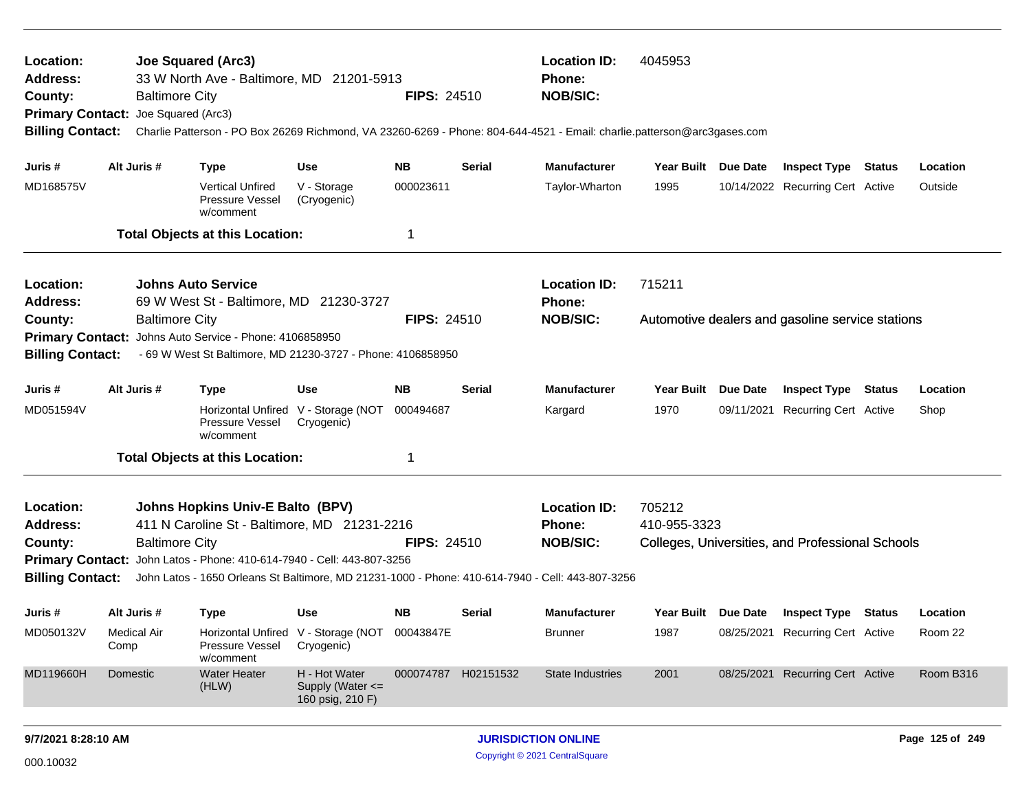| Location:<br>Address:<br>County:<br><b>Primary Contact:</b><br><b>Billing Contact:</b> | <b>Baltimore City</b>                                                                                                                  | <b>Joe Squared (Arc3)</b><br>33 W North Ave - Baltimore, MD 21201-5913<br>Joe Squared (Arc3)<br>Charlie Patterson - PO Box 26269 Richmond, VA 23260-6269 - Phone: 804-644-4521 - Email: charlie.patterson@arc3gases.com |                                                       | <b>FIPS: 24510</b> |                     | <b>Location ID:</b><br><b>Phone:</b><br><b>NOB/SIC:</b> | 4045953                |            |                                                  |               |           |  |
|----------------------------------------------------------------------------------------|----------------------------------------------------------------------------------------------------------------------------------------|-------------------------------------------------------------------------------------------------------------------------------------------------------------------------------------------------------------------------|-------------------------------------------------------|--------------------|---------------------|---------------------------------------------------------|------------------------|------------|--------------------------------------------------|---------------|-----------|--|
| Juris #                                                                                | Alt Juris #                                                                                                                            | <b>Type</b>                                                                                                                                                                                                             | <b>Use</b>                                            | <b>NB</b>          | <b>Serial</b>       | <b>Manufacturer</b>                                     | Year Built Due Date    |            | <b>Inspect Type Status</b>                       |               | Location  |  |
| MD168575V                                                                              |                                                                                                                                        | <b>Vertical Unfired</b><br>Pressure Vessel<br>w/comment                                                                                                                                                                 | V - Storage<br>(Cryogenic)                            | 000023611          |                     | Taylor-Wharton                                          | 1995                   |            | 10/14/2022 Recurring Cert Active                 |               | Outside   |  |
|                                                                                        |                                                                                                                                        | <b>Total Objects at this Location:</b>                                                                                                                                                                                  |                                                       | 1                  |                     |                                                         |                        |            |                                                  |               |           |  |
| Location:<br><b>Address:</b>                                                           |                                                                                                                                        | <b>Johns Auto Service</b><br>69 W West St - Baltimore, MD 21230-3727                                                                                                                                                    |                                                       |                    |                     | <b>Location ID:</b><br>Phone:                           | 715211                 |            |                                                  |               |           |  |
| County:                                                                                | <b>Baltimore City</b>                                                                                                                  |                                                                                                                                                                                                                         |                                                       | <b>FIPS: 24510</b> |                     | <b>NOB/SIC:</b>                                         |                        |            | Automotive dealers and gasoline service stations |               |           |  |
| Johns Auto Service - Phone: 4106858950<br><b>Primary Contact:</b>                      |                                                                                                                                        |                                                                                                                                                                                                                         |                                                       |                    |                     |                                                         |                        |            |                                                  |               |           |  |
| <b>Billing Contact:</b>                                                                |                                                                                                                                        | - 69 W West St Baltimore, MD 21230-3727 - Phone: 4106858950                                                                                                                                                             |                                                       |                    |                     |                                                         |                        |            |                                                  |               |           |  |
| Juris #                                                                                | Alt Juris #                                                                                                                            | <b>Type</b>                                                                                                                                                                                                             | Use                                                   | <b>NB</b>          | <b>Serial</b>       | <b>Manufacturer</b>                                     | <b>Year Built</b>      | Due Date   | <b>Inspect Type</b>                              | <b>Status</b> | Location  |  |
| MD051594V                                                                              |                                                                                                                                        | Pressure Vessel<br>w/comment                                                                                                                                                                                            | Horizontal Unfired V - Storage (NOT<br>Cryogenic)     | 000494687          |                     | Kargard                                                 | 1970                   | 09/11/2021 | <b>Recurring Cert Active</b>                     |               | Shop      |  |
|                                                                                        |                                                                                                                                        | <b>Total Objects at this Location:</b>                                                                                                                                                                                  |                                                       | 1                  |                     |                                                         |                        |            |                                                  |               |           |  |
| Location:<br>Address:<br>County:                                                       | <b>Johns Hopkins Univ-E Balto (BPV)</b><br>411 N Caroline St - Baltimore, MD 21231-2216<br><b>Baltimore City</b><br><b>FIPS: 24510</b> |                                                                                                                                                                                                                         |                                                       |                    |                     |                                                         | 705212<br>410-955-3323 |            | Colleges, Universities, and Professional Schools |               |           |  |
| <b>Primary Contact:</b>                                                                |                                                                                                                                        | John Latos - Phone: 410-614-7940 - Cell: 443-807-3256                                                                                                                                                                   |                                                       |                    |                     |                                                         |                        |            |                                                  |               |           |  |
| <b>Billing Contact:</b>                                                                |                                                                                                                                        | John Latos - 1650 Orleans St Baltimore, MD 21231-1000 - Phone: 410-614-7940 - Cell: 443-807-3256                                                                                                                        |                                                       |                    |                     |                                                         |                        |            |                                                  |               |           |  |
| Juris #                                                                                | Alt Juris #                                                                                                                            | Type                                                                                                                                                                                                                    | <b>Use</b>                                            | <b>NB</b>          | <b>Serial</b>       | <b>Manufacturer</b>                                     | Year Built Due Date    |            | <b>Inspect Type</b>                              | Status        | Location  |  |
| MD050132V                                                                              | <b>Medical Air</b><br>Comp                                                                                                             | <b>Horizontal Unfired</b><br>Pressure Vessel<br>w/comment                                                                                                                                                               | V - Storage (NOT<br>Cryogenic)                        | 00043847E          |                     | <b>Brunner</b>                                          | 1987                   |            | 08/25/2021 Recurring Cert Active                 |               | Room 22   |  |
| MD119660H                                                                              | Domestic                                                                                                                               | <b>Water Heater</b><br>(HLW)                                                                                                                                                                                            | H - Hot Water<br>Supply (Water <=<br>160 psig, 210 F) |                    | 000074787 H02151532 | <b>State Industries</b>                                 | 2001                   |            | 08/25/2021 Recurring Cert Active                 |               | Room B316 |  |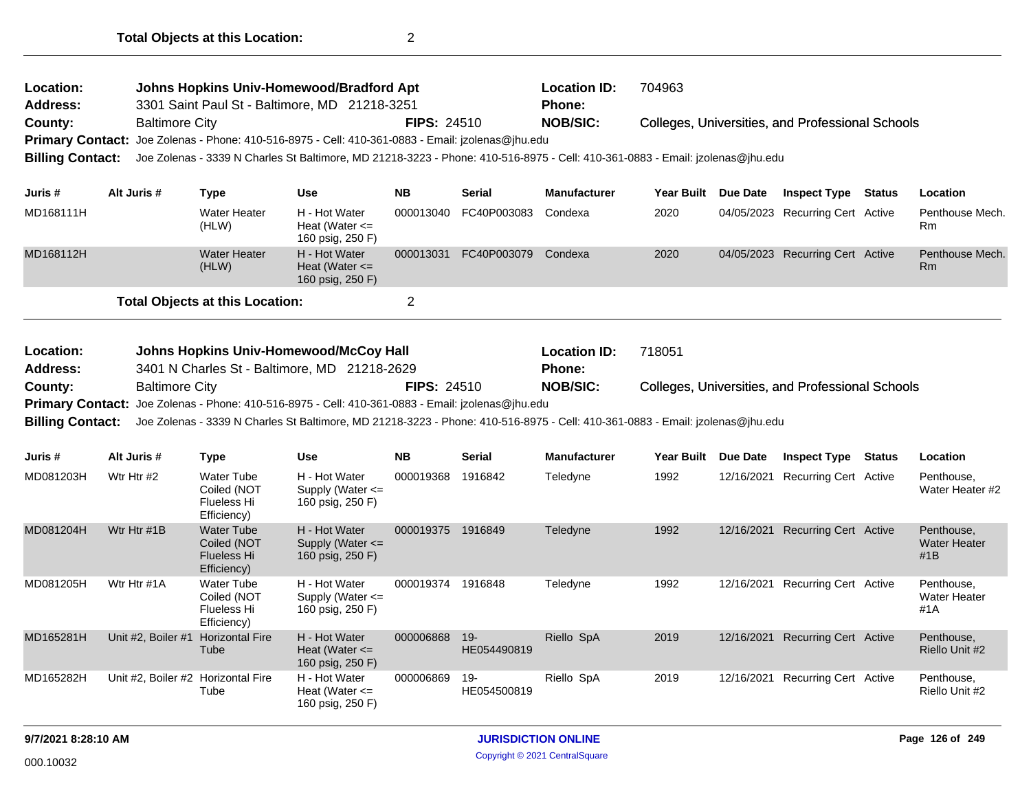| Location:<br>Address:        |                                    |                                                                       | Johns Hopkins Univ-Homewood/Bradford Apt<br>3301 Saint Paul St - Baltimore, MD 21218-3251                                     |                    |                       | <b>Location ID:</b><br><b>Phone:</b> | 704963            |            |                                                  |        |                                          |
|------------------------------|------------------------------------|-----------------------------------------------------------------------|-------------------------------------------------------------------------------------------------------------------------------|--------------------|-----------------------|--------------------------------------|-------------------|------------|--------------------------------------------------|--------|------------------------------------------|
| County:                      | <b>Baltimore City</b>              |                                                                       |                                                                                                                               | FIPS: 24510        |                       | <b>NOB/SIC:</b>                      |                   |            | Colleges, Universities, and Professional Schools |        |                                          |
|                              |                                    |                                                                       | Primary Contact: Joe Zolenas - Phone: 410-516-8975 - Cell: 410-361-0883 - Email: jzolenas@jhu.edu                             |                    |                       |                                      |                   |            |                                                  |        |                                          |
| <b>Billing Contact:</b>      |                                    |                                                                       | Joe Zolenas - 3339 N Charles St Baltimore, MD 21218-3223 - Phone: 410-516-8975 - Cell: 410-361-0883 - Email: jzolenas@jhu.edu |                    |                       |                                      |                   |            |                                                  |        |                                          |
|                              |                                    |                                                                       |                                                                                                                               |                    |                       |                                      |                   |            |                                                  |        |                                          |
| Juris #                      | Alt Juris #                        | Type                                                                  | <b>Use</b>                                                                                                                    | <b>NB</b>          | <b>Serial</b>         | <b>Manufacturer</b>                  | Year Built        | Due Date   | <b>Inspect Type Status</b>                       |        | Location                                 |
| MD168111H                    |                                    | <b>Water Heater</b><br>(HLW)                                          | H - Hot Water<br>Heat (Water $\leq$<br>160 psig, 250 F)                                                                       |                    | 000013040 FC40P003083 | Condexa                              | 2020              |            | 04/05/2023 Recurring Cert Active                 |        | Penthouse Mech.<br>Rm                    |
| MD168112H                    |                                    | <b>Water Heater</b><br>(HLW)                                          | H - Hot Water<br>Heat (Water $\leq$<br>160 psig, 250 F)                                                                       | 000013031          | FC40P003079           | Condexa                              | 2020              |            | 04/05/2023 Recurring Cert Active                 |        | Penthouse Mech.<br>Rm                    |
|                              |                                    | <b>Total Objects at this Location:</b>                                |                                                                                                                               | 2                  |                       |                                      |                   |            |                                                  |        |                                          |
| Location:<br><b>Address:</b> |                                    |                                                                       | <b>Johns Hopkins Univ-Homewood/McCoy Hall</b><br>3401 N Charles St - Baltimore, MD 21218-2629                                 |                    |                       | <b>Location ID:</b><br>Phone:        | 718051            |            |                                                  |        |                                          |
| County:                      | <b>Baltimore City</b>              |                                                                       |                                                                                                                               | <b>FIPS: 24510</b> |                       | <b>NOB/SIC:</b>                      |                   |            | Colleges, Universities, and Professional Schools |        |                                          |
|                              |                                    |                                                                       | Primary Contact: Joe Zolenas - Phone: 410-516-8975 - Cell: 410-361-0883 - Email: jzolenas@jhu.edu                             |                    |                       |                                      |                   |            |                                                  |        |                                          |
| <b>Billing Contact:</b>      |                                    |                                                                       | Joe Zolenas - 3339 N Charles St Baltimore, MD 21218-3223 - Phone: 410-516-8975 - Cell: 410-361-0883 - Email: jzolenas@jhu.edu |                    |                       |                                      |                   |            |                                                  |        |                                          |
|                              |                                    |                                                                       |                                                                                                                               |                    |                       |                                      |                   |            |                                                  |        |                                          |
| Juris #                      | Alt Juris #                        | <b>Type</b>                                                           | <b>Use</b>                                                                                                                    | <b>NB</b>          | <b>Serial</b>         | <b>Manufacturer</b>                  | <b>Year Built</b> | Due Date   | <b>Inspect Type</b>                              | Status | Location                                 |
| MD081203H                    | Wtr Htr #2                         | Water Tube<br>Coiled (NOT<br>Flueless Hi<br>Efficiency)               | H - Hot Water<br>Supply (Water <=<br>160 psig, 250 F)                                                                         | 000019368 1916842  |                       | Teledyne                             | 1992              | 12/16/2021 | Recurring Cert Active                            |        | Penthouse.<br>Water Heater #2            |
| MD081204H                    | Wtr Htr #1B                        | <b>Water Tube</b><br>Coiled (NOT<br><b>Flueless Hi</b><br>Efficiency) | H - Hot Water<br>Supply (Water <=<br>160 psig, 250 F)                                                                         | 000019375 1916849  |                       | Teledyne                             | 1992              | 12/16/2021 | <b>Recurring Cert Active</b>                     |        | Penthouse,<br><b>Water Heater</b><br>#1B |
| MD081205H                    | Wtr Htr #1A                        | <b>Water Tube</b><br>Coiled (NOT<br>Flueless Hi<br>Efficiency)        | H - Hot Water<br>Supply (Water <=<br>160 psig, 250 F)                                                                         | 000019374 1916848  |                       | Teledyne                             | 1992              |            | 12/16/2021 Recurring Cert Active                 |        | Penthouse,<br><b>Water Heater</b><br>#1A |
| MD165281H                    | Unit #2, Boiler #1                 | <b>Horizontal Fire</b><br>Tube                                        | H - Hot Water<br>Heat (Water $\leq$<br>160 psig, 250 F)                                                                       | 000006868          | $19-$<br>HE054490819  | Riello SpA                           | 2019              |            | 12/16/2021 Recurring Cert Active                 |        | Penthouse,<br>Riello Unit #2             |
| MD165282H                    | Unit #2, Boiler #2 Horizontal Fire | Tube                                                                  | H - Hot Water<br>Heat (Water $\leq$<br>160 psig, 250 F)                                                                       | 000006869 19-      | HE054500819           | Riello SpA                           | 2019              |            | 12/16/2021 Recurring Cert Active                 |        | Penthouse,<br>Riello Unit #2             |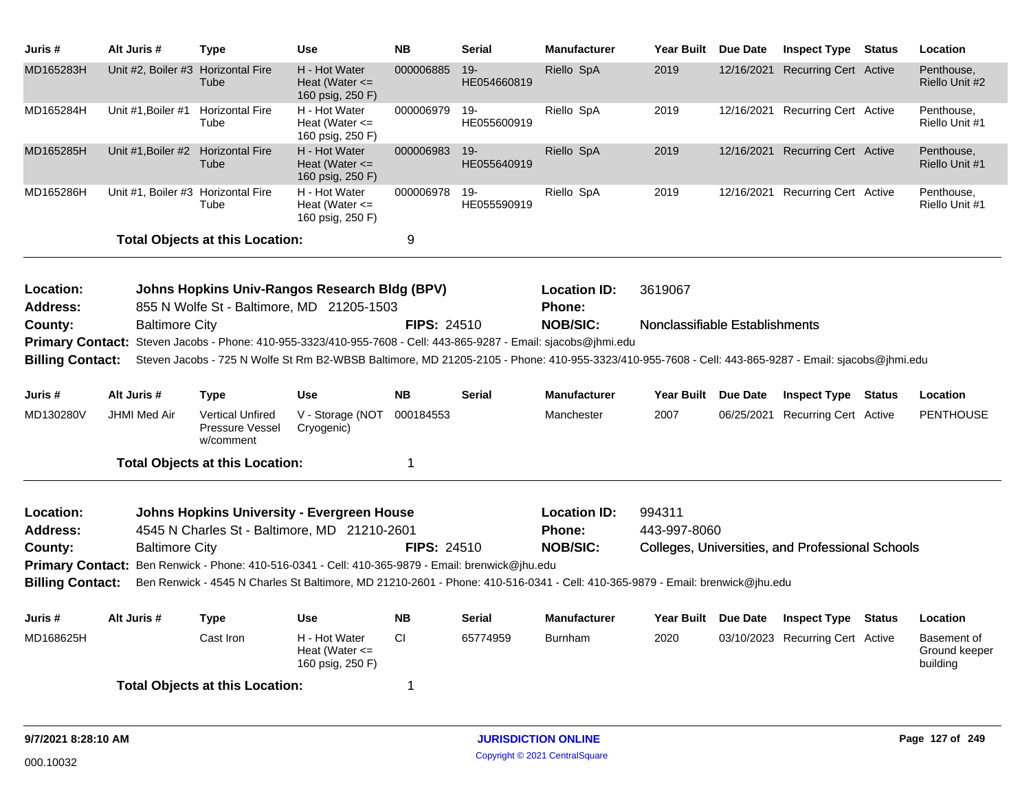| Juris#                  | Alt Juris #                                                                                                      | <b>Type</b>                                                    | <b>Use</b>                                                                                                                                           | <b>NB</b>          | <b>Serial</b>         | Manufacturer                         | Year Built                     | <b>Due Date</b> | <b>Inspect Type Status</b>                       |        | Location                                 |  |  |  |
|-------------------------|------------------------------------------------------------------------------------------------------------------|----------------------------------------------------------------|------------------------------------------------------------------------------------------------------------------------------------------------------|--------------------|-----------------------|--------------------------------------|--------------------------------|-----------------|--------------------------------------------------|--------|------------------------------------------|--|--|--|
| MD165283H               | Unit #2, Boiler #3 Horizontal Fire                                                                               | Tube                                                           | H - Hot Water<br>Heat (Water $\leq$<br>160 psig, 250 F)                                                                                              | 000006885          | $19 -$<br>HE054660819 | Riello SpA                           | 2019                           |                 | 12/16/2021 Recurring Cert Active                 |        | Penthouse,<br>Riello Unit #2             |  |  |  |
| MD165284H               | Unit #1, Boiler #1                                                                                               | <b>Horizontal Fire</b><br>Tube                                 | H - Hot Water<br>Heat (Water $\leq$<br>160 psig, 250 F)                                                                                              | 000006979          | 19-<br>HE055600919    | Riello SpA                           | 2019                           |                 | 12/16/2021 Recurring Cert Active                 |        | Penthouse,<br>Riello Unit #1             |  |  |  |
| MD165285H               | Unit #1, Boiler #2 Horizontal Fire                                                                               | Tube                                                           | H - Hot Water<br>Heat (Water $\leq$<br>160 psig, 250 F)                                                                                              | 000006983          | $19 -$<br>HE055640919 | Riello SpA                           | 2019                           |                 | 12/16/2021 Recurring Cert Active                 |        | Penthouse,<br>Riello Unit #1             |  |  |  |
| MD165286H               | Unit #1, Boiler #3 Horizontal Fire                                                                               | Tube                                                           | H - Hot Water<br>Heat (Water $\leq$<br>160 psig, 250 F)                                                                                              | 000006978          | $19-$<br>HE055590919  | Riello SpA                           | 2019                           |                 | 12/16/2021 Recurring Cert Active                 |        | Penthouse,<br>Riello Unit #1             |  |  |  |
|                         |                                                                                                                  | <b>Total Objects at this Location:</b>                         |                                                                                                                                                      | 9                  |                       |                                      |                                |                 |                                                  |        |                                          |  |  |  |
| Location:<br>Address:   |                                                                                                                  |                                                                | Johns Hopkins Univ-Rangos Research Bldg (BPV)<br>855 N Wolfe St - Baltimore, MD 21205-1503                                                           |                    |                       | <b>Location ID:</b><br><b>Phone:</b> | 3619067                        |                 |                                                  |        |                                          |  |  |  |
| County:                 | <b>Baltimore City</b>                                                                                            |                                                                |                                                                                                                                                      | FIPS: 24510        |                       | <b>NOB/SIC:</b>                      | Nonclassifiable Establishments |                 |                                                  |        |                                          |  |  |  |
|                         | Primary Contact: Steven Jacobs - Phone: 410-955-3323/410-955-7608 - Cell: 443-865-9287 - Email: sjacobs@jhmi.edu |                                                                |                                                                                                                                                      |                    |                       |                                      |                                |                 |                                                  |        |                                          |  |  |  |
| <b>Billing Contact:</b> |                                                                                                                  |                                                                | Steven Jacobs - 725 N Wolfe St Rm B2-WBSB Baltimore, MD 21205-2105 - Phone: 410-955-3323/410-955-7608 - Cell: 443-865-9287 - Email: sjacobs@jhmi.edu |                    |                       |                                      |                                |                 |                                                  |        |                                          |  |  |  |
| Juris #                 | Alt Juris #                                                                                                      | <b>Type</b>                                                    | <b>Use</b>                                                                                                                                           | <b>NB</b>          | <b>Serial</b>         | <b>Manufacturer</b>                  | Year Built Due Date            |                 | <b>Inspect Type</b>                              | Status | Location                                 |  |  |  |
| MD130280V               | <b>JHMI Med Air</b>                                                                                              | <b>Vertical Unfired</b><br><b>Pressure Vessel</b><br>w/comment | V - Storage (NOT<br>Cryogenic)                                                                                                                       | 000184553          |                       | Manchester                           | 2007                           |                 | 06/25/2021 Recurring Cert Active                 |        | <b>PENTHOUSE</b>                         |  |  |  |
|                         |                                                                                                                  | <b>Total Objects at this Location:</b>                         |                                                                                                                                                      | -1                 |                       |                                      |                                |                 |                                                  |        |                                          |  |  |  |
| Location:               |                                                                                                                  |                                                                | <b>Johns Hopkins University - Evergreen House</b>                                                                                                    |                    |                       | <b>Location ID:</b>                  | 994311                         |                 |                                                  |        |                                          |  |  |  |
| <b>Address:</b>         |                                                                                                                  |                                                                | 4545 N Charles St - Baltimore, MD 21210-2601                                                                                                         |                    |                       | Phone:                               | 443-997-8060                   |                 |                                                  |        |                                          |  |  |  |
| County:                 | <b>Baltimore City</b>                                                                                            |                                                                |                                                                                                                                                      | <b>FIPS: 24510</b> |                       | <b>NOB/SIC:</b>                      |                                |                 | Colleges, Universities, and Professional Schools |        |                                          |  |  |  |
|                         |                                                                                                                  |                                                                | Primary Contact: Ben Renwick - Phone: 410-516-0341 - Cell: 410-365-9879 - Email: brenwick@jhu.edu                                                    |                    |                       |                                      |                                |                 |                                                  |        |                                          |  |  |  |
| <b>Billing Contact:</b> |                                                                                                                  |                                                                | Ben Renwick - 4545 N Charles St Baltimore, MD 21210-2601 - Phone: 410-516-0341 - Cell: 410-365-9879 - Email: brenwick@jhu.edu                        |                    |                       |                                      |                                |                 |                                                  |        |                                          |  |  |  |
| Juris #                 | Alt Juris #                                                                                                      | <b>Type</b>                                                    | <b>Use</b>                                                                                                                                           | <b>NB</b>          | <b>Serial</b>         | <b>Manufacturer</b>                  | Year Built Due Date            |                 | <b>Inspect Type</b>                              | Status | Location                                 |  |  |  |
| MD168625H               |                                                                                                                  | Cast Iron                                                      | H - Hot Water<br>Heat (Water $\leq$<br>160 psig, 250 F)                                                                                              | <b>CI</b>          | 65774959              | Burnham                              | 2020                           |                 | 03/10/2023 Recurring Cert Active                 |        | Basement of<br>Ground keeper<br>building |  |  |  |
|                         |                                                                                                                  | <b>Total Objects at this Location:</b>                         |                                                                                                                                                      | $\mathbf 1$        |                       |                                      |                                |                 |                                                  |        |                                          |  |  |  |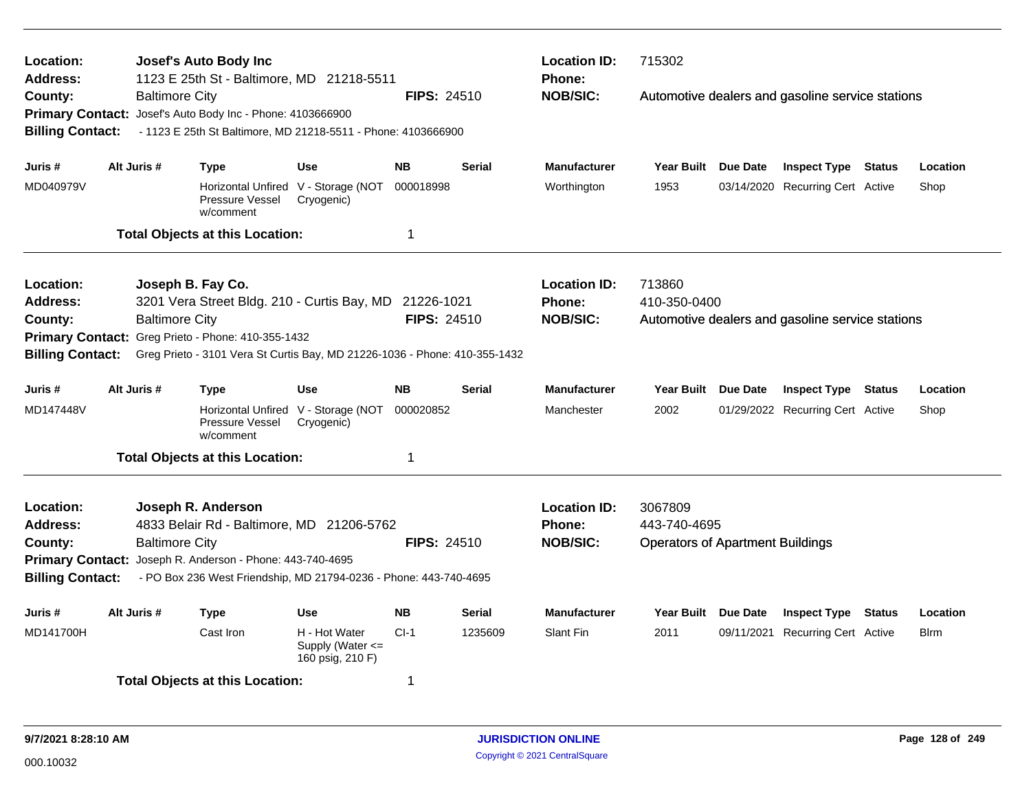| Location:<br><b>Address:</b><br>County: |             | <b>Baltimore City</b> | Josef's Auto Body Inc<br>1123 E 25th St - Baltimore, MD 21218-5511                                                          |                                                       | <b>FIPS: 24510</b> |               | <b>Location ID:</b><br><b>Phone:</b><br><b>NOB/SIC:</b> | 715302                                  |                 | Automotive dealers and gasoline service stations |               |              |
|-----------------------------------------|-------------|-----------------------|-----------------------------------------------------------------------------------------------------------------------------|-------------------------------------------------------|--------------------|---------------|---------------------------------------------------------|-----------------------------------------|-----------------|--------------------------------------------------|---------------|--------------|
| <b>Billing Contact:</b>                 |             |                       | Primary Contact: Josef's Auto Body Inc - Phone: 4103666900<br>- 1123 E 25th St Baltimore, MD 21218-5511 - Phone: 4103666900 |                                                       |                    |               |                                                         |                                         |                 |                                                  |               |              |
| Juris #                                 | Alt Juris # |                       | Type                                                                                                                        | <b>Use</b>                                            | <b>NB</b>          | <b>Serial</b> | <b>Manufacturer</b>                                     | Year Built Due Date                     |                 | <b>Inspect Type Status</b>                       |               | Location     |
| MD040979V                               |             |                       | Horizontal Unfired V - Storage (NOT<br>Pressure Vessel<br>w/comment                                                         | Cryogenic)                                            | 000018998          |               | Worthington                                             | 1953                                    |                 | 03/14/2020 Recurring Cert Active                 |               | Shop         |
|                                         |             |                       | <b>Total Objects at this Location:</b>                                                                                      |                                                       | $\mathbf 1$        |               |                                                         |                                         |                 |                                                  |               |              |
| <b>Location:</b>                        |             | Joseph B. Fay Co.     |                                                                                                                             |                                                       |                    |               | <b>Location ID:</b>                                     | 713860                                  |                 |                                                  |               |              |
| <b>Address:</b>                         |             |                       | 3201 Vera Street Bldg. 210 - Curtis Bay, MD 21226-1021                                                                      |                                                       |                    |               | <b>Phone:</b><br><b>NOB/SIC:</b>                        | 410-350-0400                            |                 |                                                  |               |              |
| County:<br><b>Primary Contact:</b>      |             | <b>Baltimore City</b> | Greg Prieto - Phone: 410-355-1432                                                                                           |                                                       | <b>FIPS: 24510</b> |               |                                                         |                                         |                 | Automotive dealers and gasoline service stations |               |              |
| <b>Billing Contact:</b>                 |             |                       | Greg Prieto - 3101 Vera St Curtis Bay, MD 21226-1036 - Phone: 410-355-1432                                                  |                                                       |                    |               |                                                         |                                         |                 |                                                  |               |              |
| Juris #                                 | Alt Juris # |                       | Type                                                                                                                        | <b>Use</b>                                            | <b>NB</b>          | Serial        | <b>Manufacturer</b>                                     | Year Built Due Date                     |                 | <b>Inspect Type Status</b>                       |               | Location     |
| MD147448V                               |             |                       | Pressure Vessel<br>w/comment                                                                                                | Horizontal Unfired V - Storage (NOT<br>Cryogenic)     | 000020852          |               | Manchester                                              | 2002                                    |                 | 01/29/2022 Recurring Cert Active                 |               | Shop         |
|                                         |             |                       | <b>Total Objects at this Location:</b>                                                                                      |                                                       | $\mathbf 1$        |               |                                                         |                                         |                 |                                                  |               |              |
| Location:<br><b>Address:</b>            |             |                       | Joseph R. Anderson<br>4833 Belair Rd - Baltimore, MD 21206-5762                                                             |                                                       |                    |               | <b>Location ID:</b><br>Phone:                           | 3067809<br>443-740-4695                 |                 |                                                  |               |              |
| County:                                 |             | <b>Baltimore City</b> |                                                                                                                             |                                                       | <b>FIPS: 24510</b> |               | <b>NOB/SIC:</b>                                         | <b>Operators of Apartment Buildings</b> |                 |                                                  |               |              |
| <b>Primary Contact:</b>                 |             |                       | Joseph R. Anderson - Phone: 443-740-4695                                                                                    |                                                       |                    |               |                                                         |                                         |                 |                                                  |               |              |
| <b>Billing Contact:</b>                 |             |                       | - PO Box 236 West Friendship, MD 21794-0236 - Phone: 443-740-4695                                                           |                                                       |                    |               |                                                         |                                         |                 |                                                  |               |              |
| Juris #                                 | Alt Juris # |                       | <b>Type</b>                                                                                                                 | <b>Use</b>                                            | <b>NB</b>          | <b>Serial</b> | <b>Manufacturer</b>                                     | <b>Year Built</b>                       | <b>Due Date</b> | <b>Inspect Type</b>                              | <b>Status</b> | Location     |
| MD141700H                               |             |                       | Cast Iron                                                                                                                   | H - Hot Water<br>Supply (Water <=<br>160 psig, 210 F) | $CI-1$             | 1235609       | Slant Fin                                               | 2011                                    | 09/11/2021      | <b>Recurring Cert Active</b>                     |               | <b>B</b> lrm |
|                                         |             |                       | <b>Total Objects at this Location:</b>                                                                                      |                                                       | -1                 |               |                                                         |                                         |                 |                                                  |               |              |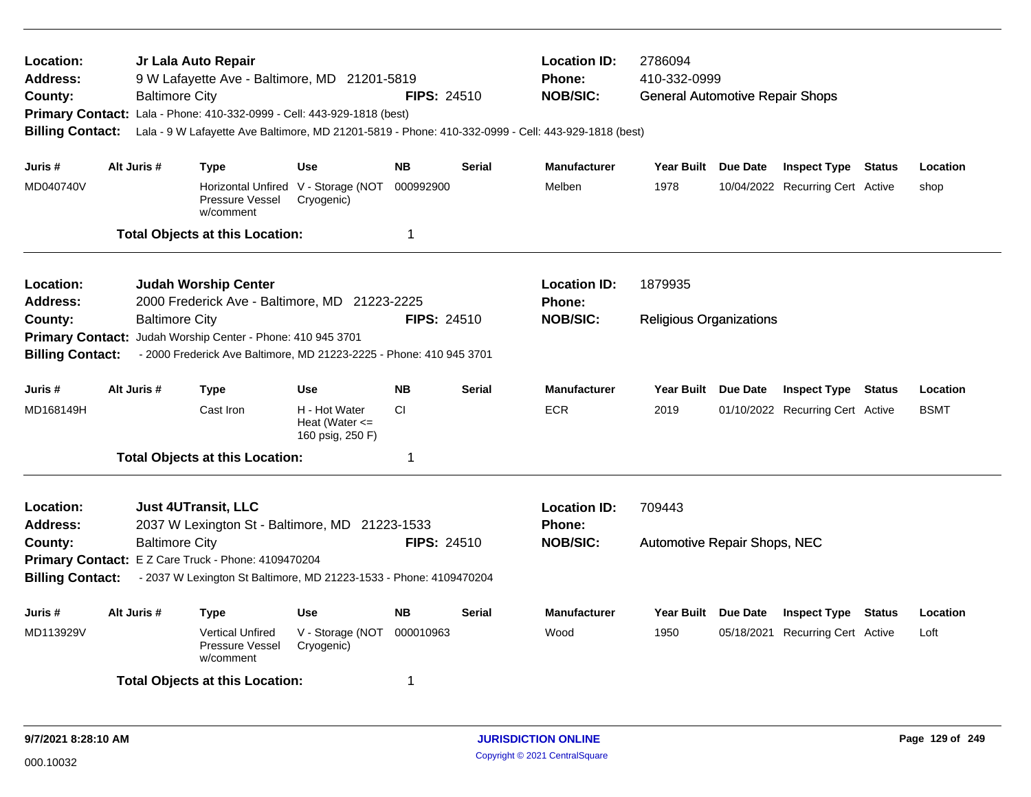| Location:<br><b>Address:</b><br>County:<br><b>Billing Contact:</b> |                                        | <b>Baltimore City</b> | Jr Lala Auto Repair<br>9 W Lafayette Ave - Baltimore, MD 21201-5819<br>Primary Contact: Lala - Phone: 410-332-0999 - Cell: 443-929-1818 (best) |                                                         | <b>FIPS: 24510</b> |               | <b>Location ID:</b><br><b>Phone:</b><br><b>NOB/SIC:</b><br>Lala - 9 W Lafayette Ave Baltimore, MD 21201-5819 - Phone: 410-332-0999 - Cell: 443-929-1818 (best) | 2786094<br>410-332-0999<br><b>General Automotive Repair Shops</b> |                                  |             |
|--------------------------------------------------------------------|----------------------------------------|-----------------------|------------------------------------------------------------------------------------------------------------------------------------------------|---------------------------------------------------------|--------------------|---------------|----------------------------------------------------------------------------------------------------------------------------------------------------------------|-------------------------------------------------------------------|----------------------------------|-------------|
| Juris #                                                            | Alt Juris #                            |                       | Type                                                                                                                                           | <b>Use</b>                                              | <b>NB</b>          | <b>Serial</b> | <b>Manufacturer</b>                                                                                                                                            | Year Built Due Date                                               | <b>Inspect Type Status</b>       | Location    |
| MD040740V                                                          |                                        |                       | Pressure Vessel<br>w/comment                                                                                                                   | Horizontal Unfired V - Storage (NOT<br>Cryogenic)       | 000992900          |               | Melben                                                                                                                                                         | 1978                                                              | 10/04/2022 Recurring Cert Active | shop        |
|                                                                    |                                        |                       | <b>Total Objects at this Location:</b>                                                                                                         |                                                         | 1                  |               |                                                                                                                                                                |                                                                   |                                  |             |
| <b>Location:</b><br><b>Address:</b>                                |                                        |                       | <b>Judah Worship Center</b><br>2000 Frederick Ave - Baltimore, MD 21223-2225                                                                   |                                                         |                    |               | <b>Location ID:</b><br><b>Phone:</b>                                                                                                                           | 1879935                                                           |                                  |             |
| County:<br><b>Billing Contact:</b>                                 |                                        | <b>Baltimore City</b> | Primary Contact: Judah Worship Center - Phone: 410 945 3701<br>- 2000 Frederick Ave Baltimore, MD 21223-2225 - Phone: 410 945 3701             |                                                         | <b>FIPS: 24510</b> |               | <b>NOB/SIC:</b>                                                                                                                                                | <b>Religious Organizations</b>                                    |                                  |             |
| Juris #                                                            | Alt Juris #                            |                       | Type                                                                                                                                           | Use                                                     | <b>NB</b>          | <b>Serial</b> | <b>Manufacturer</b>                                                                                                                                            | Year Built Due Date                                               | <b>Inspect Type Status</b>       | Location    |
| MD168149H                                                          |                                        |                       | Cast Iron                                                                                                                                      | H - Hot Water<br>Heat (Water $\leq$<br>160 psig, 250 F) | <b>CI</b>          |               | <b>ECR</b>                                                                                                                                                     | 2019                                                              | 01/10/2022 Recurring Cert Active | <b>BSMT</b> |
|                                                                    |                                        |                       | <b>Total Objects at this Location:</b>                                                                                                         |                                                         | -1                 |               |                                                                                                                                                                |                                                                   |                                  |             |
| <b>Location:</b><br><b>Address:</b>                                |                                        |                       | <b>Just 4UTransit, LLC</b><br>2037 W Lexington St - Baltimore, MD 21223-1533                                                                   |                                                         |                    |               | <b>Location ID:</b><br><b>Phone:</b>                                                                                                                           | 709443                                                            |                                  |             |
| County:                                                            |                                        | <b>Baltimore City</b> | Primary Contact: E Z Care Truck - Phone: 4109470204                                                                                            |                                                         | FIPS: 24510        |               | <b>NOB/SIC:</b>                                                                                                                                                | Automotive Repair Shops, NEC                                      |                                  |             |
| <b>Billing Contact:</b>                                            |                                        |                       | - 2037 W Lexington St Baltimore, MD 21223-1533 - Phone: 4109470204                                                                             |                                                         |                    |               |                                                                                                                                                                |                                                                   |                                  |             |
| Juris #                                                            | Alt Juris #                            |                       | <b>Type</b>                                                                                                                                    | <b>Use</b>                                              | <b>NB</b>          | <b>Serial</b> | <b>Manufacturer</b>                                                                                                                                            | Year Built Due Date                                               | <b>Inspect Type Status</b>       | Location    |
| MD113929V                                                          |                                        |                       | <b>Vertical Unfired</b><br>Pressure Vessel<br>w/comment                                                                                        | V - Storage (NOT<br>Cryogenic)                          | 000010963          |               | Wood                                                                                                                                                           | 1950                                                              | 05/18/2021 Recurring Cert Active | Loft        |
|                                                                    | <b>Total Objects at this Location:</b> |                       |                                                                                                                                                |                                                         |                    |               |                                                                                                                                                                |                                                                   |                                  |             |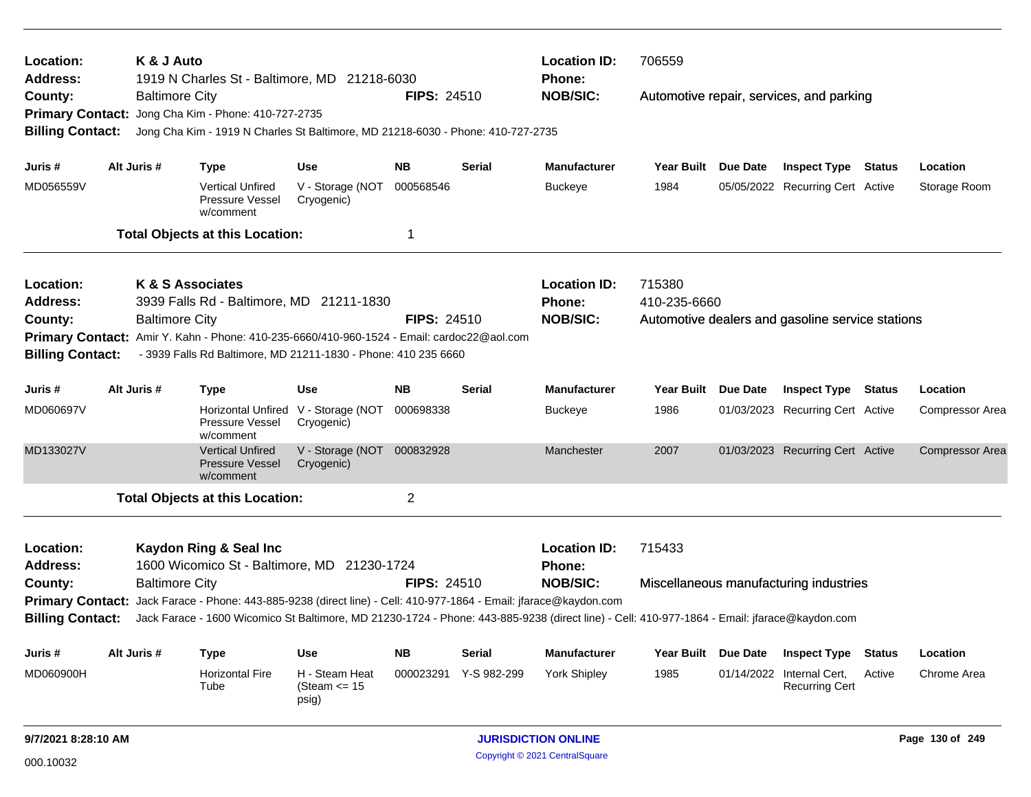| Location:<br><b>Address:</b>                                  |                                                                 | K & J Auto            | 1919 N Charles St - Baltimore, MD 21218-6030                                                                                                 |                                            |                    |                       | <b>Location ID:</b><br><b>Phone:</b> | 706559            |                 |                                                  |               |                        |
|---------------------------------------------------------------|-----------------------------------------------------------------|-----------------------|----------------------------------------------------------------------------------------------------------------------------------------------|--------------------------------------------|--------------------|-----------------------|--------------------------------------|-------------------|-----------------|--------------------------------------------------|---------------|------------------------|
| County:<br><b>Primary Contact:</b><br><b>Billing Contact:</b> |                                                                 | <b>Baltimore City</b> | Jong Cha Kim - Phone: 410-727-2735<br>Jong Cha Kim - 1919 N Charles St Baltimore, MD 21218-6030 - Phone: 410-727-2735                        |                                            | <b>FIPS: 24510</b> |                       | <b>NOB/SIC:</b>                      |                   |                 | Automotive repair, services, and parking         |               |                        |
|                                                               |                                                                 |                       |                                                                                                                                              |                                            |                    |                       |                                      |                   |                 |                                                  |               |                        |
| Juris #                                                       | Alt Juris #                                                     |                       | <b>Type</b>                                                                                                                                  | Use                                        | <b>NB</b>          | Serial                | <b>Manufacturer</b>                  | <b>Year Built</b> | Due Date        | <b>Inspect Type Status</b>                       |               | Location               |
| MD056559V                                                     |                                                                 |                       | <b>Vertical Unfired</b><br>Pressure Vessel<br>w/comment                                                                                      | V - Storage (NOT<br>Cryogenic)             | 000568546          |                       | <b>Buckeye</b>                       | 1984              |                 | 05/05/2022 Recurring Cert Active                 |               | Storage Room           |
|                                                               |                                                                 |                       | <b>Total Objects at this Location:</b>                                                                                                       |                                            | 1                  |                       |                                      |                   |                 |                                                  |               |                        |
| Location:                                                     |                                                                 |                       | K & S Associates                                                                                                                             |                                            |                    |                       | <b>Location ID:</b>                  | 715380            |                 |                                                  |               |                        |
| <b>Address:</b>                                               |                                                                 |                       | 3939 Falls Rd - Baltimore, MD 21211-1830                                                                                                     |                                            |                    |                       | <b>Phone:</b>                        | 410-235-6660      |                 |                                                  |               |                        |
| County:                                                       |                                                                 | <b>Baltimore City</b> |                                                                                                                                              |                                            | <b>FIPS: 24510</b> |                       | <b>NOB/SIC:</b>                      |                   |                 | Automotive dealers and gasoline service stations |               |                        |
|                                                               |                                                                 |                       | Primary Contact: Amir Y. Kahn - Phone: 410-235-6660/410-960-1524 - Email: cardoc22@aol.com                                                   |                                            |                    |                       |                                      |                   |                 |                                                  |               |                        |
| <b>Billing Contact:</b>                                       |                                                                 |                       | - 3939 Falls Rd Baltimore, MD 21211-1830 - Phone: 410 235 6660                                                                               |                                            |                    |                       |                                      |                   |                 |                                                  |               |                        |
| Juris #                                                       | Alt Juris #<br><b>NB</b><br><b>Serial</b><br>Use<br><b>Type</b> |                       |                                                                                                                                              |                                            |                    |                       | <b>Manufacturer</b>                  | <b>Year Built</b> | Due Date        | <b>Inspect Type Status</b>                       |               | Location               |
| MD060697V                                                     |                                                                 |                       | Horizontal Unfired<br>Pressure Vessel<br>w/comment                                                                                           | V - Storage (NOT<br>Cryogenic)             | 000698338          |                       | <b>Buckeye</b>                       | 1986              |                 | 01/03/2023 Recurring Cert Active                 |               | <b>Compressor Area</b> |
| MD133027V                                                     |                                                                 |                       | <b>Vertical Unfired</b><br>Pressure Vessel<br>w/comment                                                                                      | V - Storage (NOT<br>Cryogenic)             | 000832928          |                       | Manchester                           | 2007              |                 | 01/03/2023 Recurring Cert Active                 |               | Compressor Area        |
|                                                               |                                                                 |                       | <b>Total Objects at this Location:</b>                                                                                                       |                                            | $\overline{2}$     |                       |                                      |                   |                 |                                                  |               |                        |
| Location:                                                     |                                                                 |                       | Kaydon Ring & Seal Inc                                                                                                                       |                                            |                    |                       | <b>Location ID:</b>                  | 715433            |                 |                                                  |               |                        |
| <b>Address:</b>                                               |                                                                 |                       | 1600 Wicomico St - Baltimore, MD 21230-1724                                                                                                  |                                            |                    |                       | <b>Phone:</b>                        |                   |                 |                                                  |               |                        |
| County:                                                       |                                                                 | <b>Baltimore City</b> |                                                                                                                                              |                                            | <b>FIPS: 24510</b> |                       | <b>NOB/SIC:</b>                      |                   |                 | Miscellaneous manufacturing industries           |               |                        |
|                                                               |                                                                 |                       | Primary Contact: Jack Farace - Phone: 443-885-9238 (direct line) - Cell: 410-977-1864 - Email: jfarace@kaydon.com                            |                                            |                    |                       |                                      |                   |                 |                                                  |               |                        |
| <b>Billing Contact:</b>                                       |                                                                 |                       | Jack Farace - 1600 Wicomico St Baltimore, MD 21230-1724 - Phone: 443-885-9238 (direct line) - Cell: 410-977-1864 - Email: jfarace@kaydon.com |                                            |                    |                       |                                      |                   |                 |                                                  |               |                        |
| Juris #                                                       | Alt Juris #                                                     |                       | <b>Type</b>                                                                                                                                  | <b>Use</b>                                 | <b>NB</b>          | Serial                | <b>Manufacturer</b>                  | <b>Year Built</b> | <b>Due Date</b> | <b>Inspect Type</b>                              | <b>Status</b> | Location               |
| MD060900H                                                     |                                                                 |                       | <b>Horizontal Fire</b><br>Tube                                                                                                               | H - Steam Heat<br>(Steam $\le$ 15<br>psig) |                    | 000023291 Y-S 982-299 | <b>York Shipley</b>                  | 1985              | 01/14/2022      | Internal Cert,<br><b>Recurring Cert</b>          | Active        | Chrome Area            |
| 9/7/2021 8:28:10 AM                                           |                                                                 |                       |                                                                                                                                              |                                            |                    |                       | <b>JURISDICTION ONLINE</b>           |                   |                 |                                                  |               | Page 130 of 249        |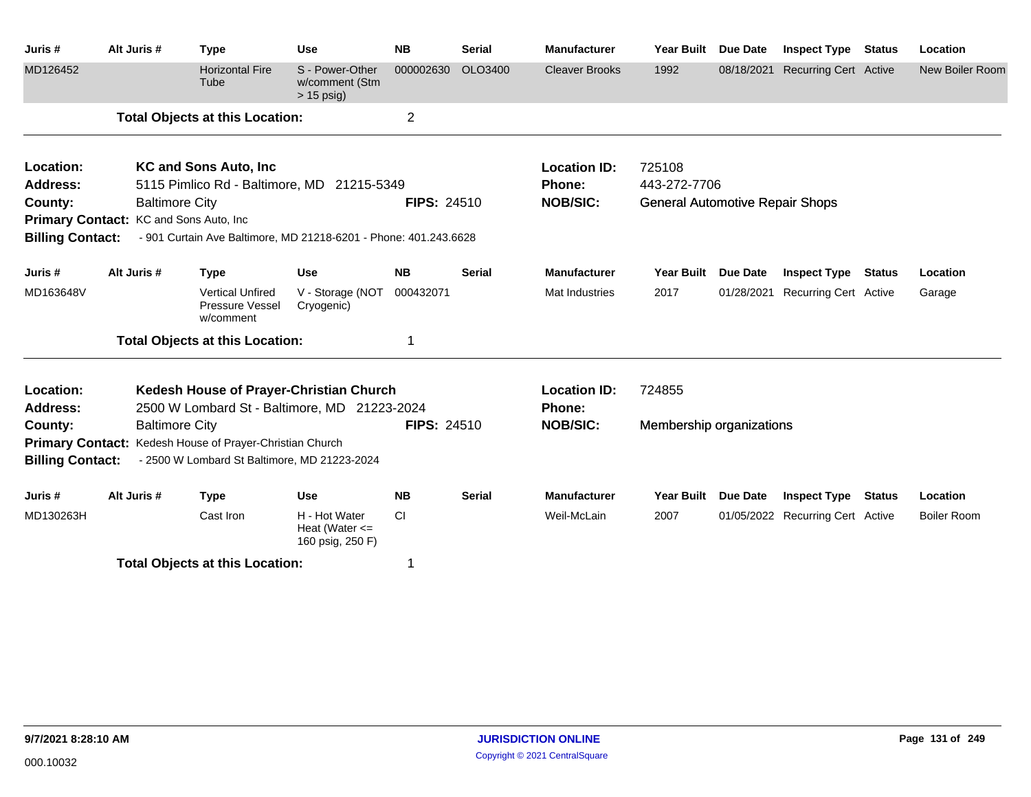| Juris #                      | Alt Juris #                            | <b>Type</b>                                                                             | <b>Use</b>                                              | <b>NB</b>          | <b>Serial</b> | <b>Manufacturer</b>                  | <b>Year Built</b>                      | <b>Due Date</b> | <b>Inspect Type</b>              | <b>Status</b> | Location        |
|------------------------------|----------------------------------------|-----------------------------------------------------------------------------------------|---------------------------------------------------------|--------------------|---------------|--------------------------------------|----------------------------------------|-----------------|----------------------------------|---------------|-----------------|
| MD126452                     |                                        | <b>Horizontal Fire</b><br>Tube                                                          | S - Power-Other<br>w/comment (Stm<br>$> 15$ psig)       | 000002630          | OLO3400       | <b>Cleaver Brooks</b>                | 1992                                   | 08/18/2021      | Recurring Cert Active            |               | New Boiler Room |
|                              |                                        | <b>Total Objects at this Location:</b>                                                  |                                                         | $\overline{2}$     |               |                                      |                                        |                 |                                  |               |                 |
| Location:                    |                                        | <b>KC and Sons Auto, Inc.</b>                                                           |                                                         |                    |               | <b>Location ID:</b>                  | 725108                                 |                 |                                  |               |                 |
| <b>Address:</b>              |                                        | 5115 Pimlico Rd - Baltimore, MD 21215-5349                                              |                                                         |                    |               | Phone:                               | 443-272-7706                           |                 |                                  |               |                 |
| County:                      | <b>Baltimore City</b>                  |                                                                                         |                                                         | <b>FIPS: 24510</b> |               | <b>NOB/SIC:</b>                      | <b>General Automotive Repair Shops</b> |                 |                                  |               |                 |
|                              | Primary Contact: KC and Sons Auto, Inc |                                                                                         |                                                         |                    |               |                                      |                                        |                 |                                  |               |                 |
| <b>Billing Contact:</b>      |                                        | - 901 Curtain Ave Baltimore, MD 21218-6201 - Phone: 401.243.6628                        |                                                         |                    |               |                                      |                                        |                 |                                  |               |                 |
| Juris #                      | Alt Juris #                            | <b>Type</b>                                                                             | <b>Use</b>                                              | <b>NB</b>          | <b>Serial</b> | <b>Manufacturer</b>                  | <b>Year Built</b>                      | <b>Due Date</b> | <b>Inspect Type</b>              | <b>Status</b> | Location        |
| MD163648V                    |                                        | <b>Vertical Unfired</b><br>Pressure Vessel<br>w/comment                                 | V - Storage (NOT<br>Cryogenic)                          | 000432071          |               | Mat Industries                       | 2017                                   | 01/28/2021      | <b>Recurring Cert Active</b>     |               | Garage          |
|                              |                                        | <b>Total Objects at this Location:</b>                                                  |                                                         | 1                  |               |                                      |                                        |                 |                                  |               |                 |
| Location:<br><b>Address:</b> |                                        | Kedesh House of Prayer-Christian Church<br>2500 W Lombard St - Baltimore, MD 21223-2024 |                                                         |                    |               | <b>Location ID:</b><br><b>Phone:</b> | 724855                                 |                 |                                  |               |                 |
| County:                      | <b>Baltimore City</b>                  |                                                                                         |                                                         | <b>FIPS: 24510</b> |               | <b>NOB/SIC:</b>                      | Membership organizations               |                 |                                  |               |                 |
|                              |                                        | Primary Contact: Kedesh House of Prayer-Christian Church                                |                                                         |                    |               |                                      |                                        |                 |                                  |               |                 |
| <b>Billing Contact:</b>      |                                        | - 2500 W Lombard St Baltimore, MD 21223-2024                                            |                                                         |                    |               |                                      |                                        |                 |                                  |               |                 |
| Juris #                      | Alt Juris #                            | <b>Type</b>                                                                             | <b>Use</b>                                              | <b>NB</b>          | <b>Serial</b> | <b>Manufacturer</b>                  | <b>Year Built</b>                      | <b>Due Date</b> | <b>Inspect Type</b>              | <b>Status</b> | Location        |
| MD130263H                    |                                        | Cast Iron                                                                               | H - Hot Water<br>Heat (Water $\leq$<br>160 psig, 250 F) | CI                 |               | Weil-McLain                          | 2007                                   |                 | 01/05/2022 Recurring Cert Active |               | Boiler Room     |
|                              |                                        | <b>Total Objects at this Location:</b>                                                  |                                                         |                    |               |                                      |                                        |                 |                                  |               |                 |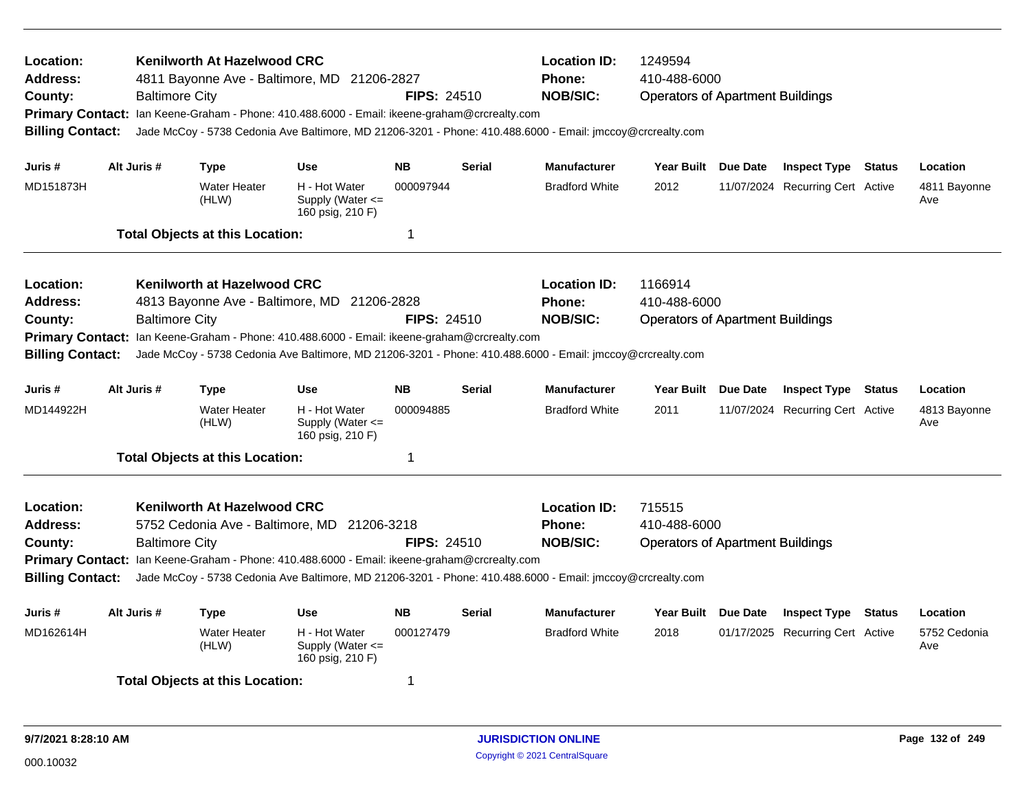| <b>Location:</b><br><b>Address:</b><br>County:<br><b>Billing Contact:</b> |                                                                                                                                                                                                                                                                                                                                                             | <b>Baltimore City</b> | Kenilworth At Hazelwood CRC            | 4811 Bayonne Ave - Baltimore, MD 21206-2827<br>Primary Contact: Ian Keene-Graham - Phone: 410.488.6000 - Email: ikeene-graham@crcrealty.com | <b>FIPS: 24510</b> |               | <b>Location ID:</b><br>1249594<br>410-488-6000<br><b>Phone:</b><br><b>NOB/SIC:</b><br><b>Operators of Apartment Buildings</b><br>Jade McCoy - 5738 Cedonia Ave Baltimore, MD 21206-3201 - Phone: 410.488.6000 - Email: jmccoy@crcrealty.com |                                                                    |          |                                  |               |                     |
|---------------------------------------------------------------------------|-------------------------------------------------------------------------------------------------------------------------------------------------------------------------------------------------------------------------------------------------------------------------------------------------------------------------------------------------------------|-----------------------|----------------------------------------|---------------------------------------------------------------------------------------------------------------------------------------------|--------------------|---------------|---------------------------------------------------------------------------------------------------------------------------------------------------------------------------------------------------------------------------------------------|--------------------------------------------------------------------|----------|----------------------------------|---------------|---------------------|
| Juris #                                                                   | Alt Juris #                                                                                                                                                                                                                                                                                                                                                 |                       | Type                                   | <b>Use</b>                                                                                                                                  | <b>NB</b>          | <b>Serial</b> | <b>Manufacturer</b>                                                                                                                                                                                                                         | <b>Year Built</b>                                                  | Due Date | <b>Inspect Type Status</b>       |               | Location            |
| MD151873H                                                                 |                                                                                                                                                                                                                                                                                                                                                             |                       | <b>Water Heater</b><br>(HLW)           | H - Hot Water<br>Supply (Water $\leq$<br>160 psig, 210 F)                                                                                   | 000097944          |               | <b>Bradford White</b>                                                                                                                                                                                                                       | 2012                                                               |          | 11/07/2024 Recurring Cert Active |               | 4811 Bayonne<br>Ave |
|                                                                           |                                                                                                                                                                                                                                                                                                                                                             |                       | <b>Total Objects at this Location:</b> |                                                                                                                                             | -1                 |               |                                                                                                                                                                                                                                             |                                                                    |          |                                  |               |                     |
| Location:<br><b>Address:</b><br>County:                                   |                                                                                                                                                                                                                                                                                                                                                             | <b>Baltimore City</b> | <b>Kenilworth at Hazelwood CRC</b>     | 4813 Bayonne Ave - Baltimore, MD 21206-2828                                                                                                 | <b>FIPS: 24510</b> |               | <b>Location ID:</b><br><b>Phone:</b><br><b>NOB/SIC:</b>                                                                                                                                                                                     | 1166914<br>410-488-6000<br><b>Operators of Apartment Buildings</b> |          |                                  |               |                     |
| <b>Primary Contact:</b><br><b>Billing Contact:</b>                        |                                                                                                                                                                                                                                                                                                                                                             |                       |                                        | lan Keene-Graham - Phone: 410.488.6000 - Email: ikeene-graham@crcrealty.com                                                                 |                    |               | Jade McCoy - 5738 Cedonia Ave Baltimore, MD 21206-3201 - Phone: 410.488.6000 - Email: jmccoy@crcrealty.com                                                                                                                                  |                                                                    |          |                                  |               |                     |
| Juris #                                                                   | Alt Juris #                                                                                                                                                                                                                                                                                                                                                 |                       | <b>Type</b>                            | <b>Use</b>                                                                                                                                  | <b>NB</b>          | <b>Serial</b> | <b>Manufacturer</b>                                                                                                                                                                                                                         | Year Built Due Date                                                |          | <b>Inspect Type Status</b>       |               | Location            |
| MD144922H                                                                 |                                                                                                                                                                                                                                                                                                                                                             |                       | <b>Water Heater</b><br>(HLW)           | H - Hot Water<br>Supply (Water <=<br>160 psig, 210 F)                                                                                       | 000094885          |               | <b>Bradford White</b>                                                                                                                                                                                                                       | 2011                                                               |          | 11/07/2024 Recurring Cert Active |               | 4813 Bayonne<br>Ave |
|                                                                           |                                                                                                                                                                                                                                                                                                                                                             |                       | <b>Total Objects at this Location:</b> |                                                                                                                                             | -1                 |               |                                                                                                                                                                                                                                             |                                                                    |          |                                  |               |                     |
| Location:<br><b>Address:</b><br>County:                                   | Kenilworth At Hazelwood CRC<br>5752 Cedonia Ave - Baltimore, MD 21206-3218<br>FIPS: 24510<br><b>Baltimore City</b><br>Primary Contact: Ian Keene-Graham - Phone: 410.488.6000 - Email: ikeene-graham@crcrealty.com<br>Jade McCoy - 5738 Cedonia Ave Baltimore, MD 21206-3201 - Phone: 410.488.6000 - Email: jmccoy@crcrealty.com<br><b>Billing Contact:</b> |                       |                                        |                                                                                                                                             |                    |               |                                                                                                                                                                                                                                             | 715515<br>410-488-6000<br><b>Operators of Apartment Buildings</b>  |          |                                  |               |                     |
| Juris #                                                                   | Alt Juris #                                                                                                                                                                                                                                                                                                                                                 |                       | Type                                   | Use                                                                                                                                         | <b>NB</b>          | <b>Serial</b> | <b>Manufacturer</b>                                                                                                                                                                                                                         | Year Built Due Date                                                |          | <b>Inspect Type</b>              | <b>Status</b> | Location            |
| MD162614H                                                                 |                                                                                                                                                                                                                                                                                                                                                             |                       | <b>Water Heater</b><br>(HLW)           | H - Hot Water<br>Supply (Water $\leq$<br>160 psig, 210 F)                                                                                   | 000127479          |               | <b>Bradford White</b>                                                                                                                                                                                                                       | 2018                                                               |          | 01/17/2025 Recurring Cert Active |               | 5752 Cedonia<br>Ave |
|                                                                           |                                                                                                                                                                                                                                                                                                                                                             |                       | <b>Total Objects at this Location:</b> |                                                                                                                                             | -1                 |               |                                                                                                                                                                                                                                             |                                                                    |          |                                  |               |                     |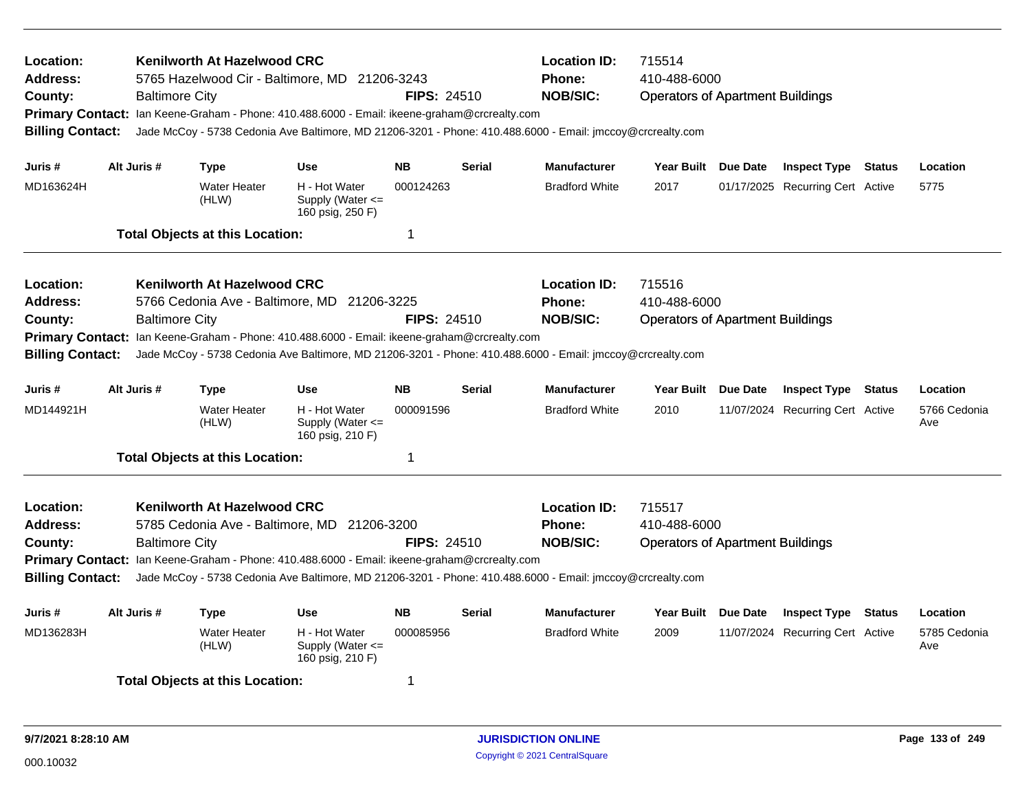| Location:<br><b>Address:</b><br>County:<br><b>Billing Contact:</b> | <b>Baltimore City</b> | <b>Kenilworth At Hazelwood CRC</b>     | 5765 Hazelwood Cir - Baltimore, MD 21206-3243<br>Primary Contact: Ian Keene-Graham - Phone: 410.488.6000 - Email: ikeene-graham@crcrealty.com<br>Jade McCoy - 5738 Cedonia Ave Baltimore, MD 21206-3201 - Phone: 410.488.6000 - Email: jmccoy@crcrealty.com | <b>FIPS: 24510</b> |               | <b>Location ID:</b><br><b>Phone:</b><br><b>NOB/SIC:</b> | 715514<br>410-488-6000<br><b>Operators of Apartment Buildings</b> |          |                                  |                     |
|--------------------------------------------------------------------|-----------------------|----------------------------------------|-------------------------------------------------------------------------------------------------------------------------------------------------------------------------------------------------------------------------------------------------------------|--------------------|---------------|---------------------------------------------------------|-------------------------------------------------------------------|----------|----------------------------------|---------------------|
| Juris #                                                            | Alt Juris #           | <b>Type</b>                            | <b>Use</b>                                                                                                                                                                                                                                                  | <b>NB</b>          | Serial        | <b>Manufacturer</b>                                     | Year Built Due Date                                               |          | <b>Inspect Type Status</b>       | Location            |
| MD163624H                                                          |                       | <b>Water Heater</b><br>(HLW)           | H - Hot Water<br>Supply (Water $\leq$<br>160 psig, 250 F)                                                                                                                                                                                                   | 000124263          |               | <b>Bradford White</b>                                   | 2017                                                              |          | 01/17/2025 Recurring Cert Active | 5775                |
|                                                                    |                       | <b>Total Objects at this Location:</b> |                                                                                                                                                                                                                                                             | 1                  |               |                                                         |                                                                   |          |                                  |                     |
| Location:<br><b>Address:</b><br>County:<br><b>Billing Contact:</b> | <b>Baltimore City</b> | <b>Kenilworth At Hazelwood CRC</b>     | 5766 Cedonia Ave - Baltimore, MD 21206-3225<br>Primary Contact: Ian Keene-Graham - Phone: 410.488.6000 - Email: ikeene-graham@crcrealty.com<br>Jade McCoy - 5738 Cedonia Ave Baltimore, MD 21206-3201 - Phone: 410.488.6000 - Email: jmccoy@crcrealty.com   | <b>FIPS: 24510</b> |               | <b>Location ID:</b><br>Phone:<br><b>NOB/SIC:</b>        | 715516<br>410-488-6000<br><b>Operators of Apartment Buildings</b> |          |                                  |                     |
| Juris #                                                            | Alt Juris #           | <b>Type</b>                            | <b>Use</b>                                                                                                                                                                                                                                                  | <b>NB</b>          | <b>Serial</b> | <b>Manufacturer</b>                                     | <b>Year Built</b>                                                 | Due Date | <b>Inspect Type Status</b>       | Location            |
| MD144921H                                                          |                       | <b>Water Heater</b><br>(HLW)           | H - Hot Water<br>Supply (Water <=<br>160 psig, 210 F)                                                                                                                                                                                                       | 000091596          |               | <b>Bradford White</b>                                   | 2010                                                              |          | 11/07/2024 Recurring Cert Active | 5766 Cedonia<br>Ave |
|                                                                    |                       | <b>Total Objects at this Location:</b> |                                                                                                                                                                                                                                                             | -1                 |               |                                                         |                                                                   |          |                                  |                     |
| Location:<br><b>Address:</b><br>County:<br><b>Billing Contact:</b> | <b>Baltimore City</b> | Kenilworth At Hazelwood CRC            | 5785 Cedonia Ave - Baltimore, MD 21206-3200<br>Primary Contact: Ian Keene-Graham - Phone: 410.488.6000 - Email: ikeene-graham@crcrealty.com<br>Jade McCoy - 5738 Cedonia Ave Baltimore, MD 21206-3201 - Phone: 410.488.6000 - Email: jmccoy@crcrealty.com   | <b>FIPS: 24510</b> |               | <b>Location ID:</b><br>Phone:<br><b>NOB/SIC:</b>        | 715517<br>410-488-6000<br><b>Operators of Apartment Buildings</b> |          |                                  |                     |
| Juris #                                                            | Alt Juris #           | <b>Type</b>                            | <b>Use</b>                                                                                                                                                                                                                                                  | <b>NB</b>          | <b>Serial</b> | <b>Manufacturer</b>                                     | Year Built Due Date                                               |          | <b>Inspect Type Status</b>       | Location            |
| MD136283H                                                          |                       | <b>Water Heater</b><br>(HLW)           | H - Hot Water<br>Supply (Water <=<br>160 psig, 210 F)                                                                                                                                                                                                       | 000085956          |               | <b>Bradford White</b>                                   | 2009                                                              |          | 11/07/2024 Recurring Cert Active | 5785 Cedonia<br>Ave |
|                                                                    |                       | <b>Total Objects at this Location:</b> |                                                                                                                                                                                                                                                             | 1                  |               |                                                         |                                                                   |          |                                  |                     |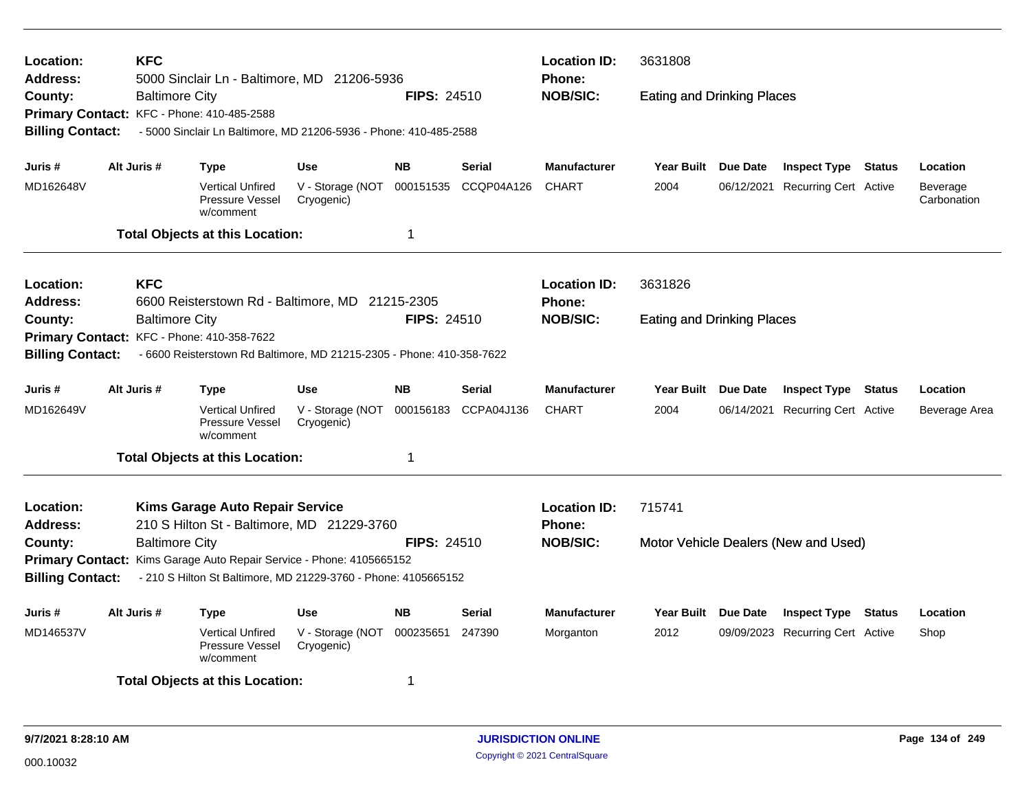| Location:<br>Address:   | <b>KFC</b>            | 5000 Sinclair Ln - Baltimore, MD 21206-5936                                          |                                | <b>Location ID:</b><br><b>Phone:</b> | 3631808<br><b>Eating and Drinking Places</b> |                                      |                                   |          |                                      |        |                         |
|-------------------------|-----------------------|--------------------------------------------------------------------------------------|--------------------------------|--------------------------------------|----------------------------------------------|--------------------------------------|-----------------------------------|----------|--------------------------------------|--------|-------------------------|
| County:                 | <b>Baltimore City</b> |                                                                                      |                                | <b>FIPS: 24510</b>                   |                                              | <b>NOB/SIC:</b>                      |                                   |          |                                      |        |                         |
|                         |                       | Primary Contact: KFC - Phone: 410-485-2588                                           |                                |                                      |                                              |                                      |                                   |          |                                      |        |                         |
| <b>Billing Contact:</b> |                       | - 5000 Sinclair Ln Baltimore, MD 21206-5936 - Phone: 410-485-2588                    |                                |                                      |                                              |                                      |                                   |          |                                      |        |                         |
| Juris #                 | Alt Juris #           | <b>Type</b>                                                                          | <b>Use</b>                     | <b>NB</b>                            | <b>Serial</b>                                | <b>Manufacturer</b>                  | Year Built Due Date               |          | <b>Inspect Type Status</b>           |        | Location                |
| MD162648V               |                       | <b>Vertical Unfired</b><br><b>Pressure Vessel</b><br>w/comment                       | V - Storage (NOT<br>Cryogenic) | 000151535                            | CCQP04A126                                   | <b>CHART</b>                         | 2004                              |          | 06/12/2021 Recurring Cert Active     |        | Beverage<br>Carbonation |
|                         |                       | <b>Total Objects at this Location:</b>                                               |                                | $\mathbf 1$                          |                                              |                                      |                                   |          |                                      |        |                         |
| Location:<br>Address:   | <b>KFC</b>            | 6600 Reisterstown Rd - Baltimore, MD 21215-2305                                      |                                |                                      |                                              | <b>Location ID:</b><br><b>Phone:</b> | 3631826                           |          |                                      |        |                         |
| County:                 | <b>Baltimore City</b> |                                                                                      |                                | <b>FIPS: 24510</b>                   |                                              | <b>NOB/SIC:</b>                      | <b>Eating and Drinking Places</b> |          |                                      |        |                         |
|                         |                       | Primary Contact: KFC - Phone: 410-358-7622                                           |                                |                                      |                                              |                                      |                                   |          |                                      |        |                         |
| <b>Billing Contact:</b> |                       | - 6600 Reisterstown Rd Baltimore, MD 21215-2305 - Phone: 410-358-7622                |                                |                                      |                                              |                                      |                                   |          |                                      |        |                         |
|                         |                       |                                                                                      |                                |                                      |                                              |                                      |                                   |          |                                      |        |                         |
| Juris #                 | Alt Juris #           | <b>Type</b>                                                                          | <b>Use</b>                     | <b>NB</b>                            | <b>Serial</b>                                | <b>Manufacturer</b>                  | Year Built Due Date               |          | <b>Inspect Type Status</b>           |        | Location                |
| MD162649V               |                       | <b>Vertical Unfired</b><br>Pressure Vessel<br>w/comment                              | V - Storage (NOT<br>Cryogenic) |                                      | 000156183 CCPA04J136                         | <b>CHART</b>                         | 2004                              |          | 06/14/2021 Recurring Cert Active     |        | Beverage Area           |
|                         |                       | <b>Total Objects at this Location:</b>                                               |                                | $\mathbf 1$                          |                                              |                                      |                                   |          |                                      |        |                         |
| Location:<br>Address:   |                       | <b>Kims Garage Auto Repair Service</b><br>210 S Hilton St - Baltimore, MD 21229-3760 |                                |                                      |                                              | <b>Location ID:</b><br>Phone:        | 715741                            |          |                                      |        |                         |
| County:                 | <b>Baltimore City</b> |                                                                                      |                                | <b>FIPS: 24510</b>                   |                                              | <b>NOB/SIC:</b>                      |                                   |          | Motor Vehicle Dealers (New and Used) |        |                         |
|                         |                       | Primary Contact: Kims Garage Auto Repair Service - Phone: 4105665152                 |                                |                                      |                                              |                                      |                                   |          |                                      |        |                         |
| <b>Billing Contact:</b> |                       | - 210 S Hilton St Baltimore, MD 21229-3760 - Phone: 4105665152                       |                                |                                      |                                              |                                      |                                   |          |                                      |        |                         |
| Juris #                 | Alt Juris #           | <b>Type</b>                                                                          | <b>Use</b>                     | <b>NB</b>                            | <b>Serial</b>                                | Manufacturer                         | <b>Year Built</b>                 | Due Date | <b>Inspect Type</b>                  | Status | Location                |
| MD146537V               |                       | <b>Vertical Unfired</b><br>Pressure Vessel<br>w/comment                              | V - Storage (NOT<br>Cryogenic) | 000235651                            | 247390                                       | Morganton                            | 2012                              |          | 09/09/2023 Recurring Cert Active     |        | Shop                    |
|                         |                       | <b>Total Objects at this Location:</b>                                               |                                | 1                                    |                                              |                                      |                                   |          |                                      |        |                         |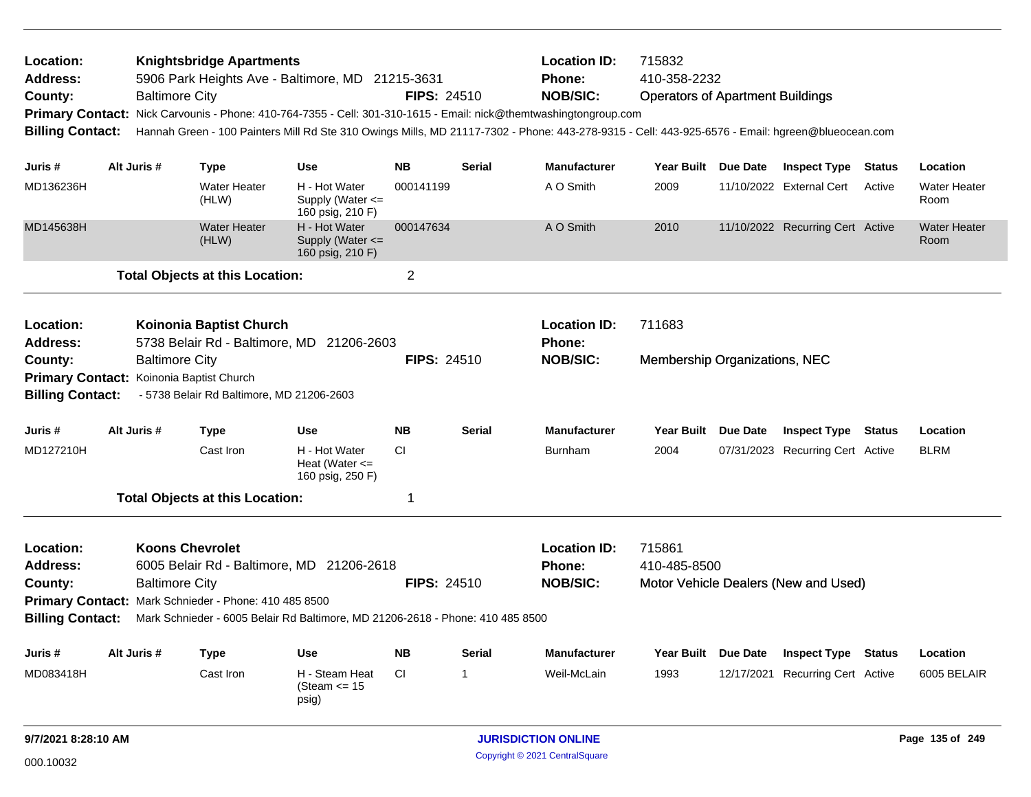| Location:<br><b>Address:</b>                                                   |  |                        | <b>Knightsbridge Apartments</b>                       | 5906 Park Heights Ave - Baltimore, MD 21215-3631                               |                    |               | <b>Location ID:</b><br><b>Phone:</b>                                                                                                                                                                                                                                    | 715832<br>410-358-2232<br><b>Operators of Apartment Buildings</b> |          |                                      |               |                             |  |
|--------------------------------------------------------------------------------|--|------------------------|-------------------------------------------------------|--------------------------------------------------------------------------------|--------------------|---------------|-------------------------------------------------------------------------------------------------------------------------------------------------------------------------------------------------------------------------------------------------------------------------|-------------------------------------------------------------------|----------|--------------------------------------|---------------|-----------------------------|--|
| County:<br><b>Primary Contact:</b><br><b>Billing Contact:</b>                  |  | <b>Baltimore City</b>  |                                                       |                                                                                | <b>FIPS: 24510</b> |               | <b>NOB/SIC:</b><br>Nick Carvounis - Phone: 410-764-7355 - Cell: 301-310-1615 - Email: nick@themtwashingtongroup.com<br>Hannah Green - 100 Painters Mill Rd Ste 310 Owings Mills, MD 21117-7302 - Phone: 443-278-9315 - Cell: 443-925-6576 - Email: hgreen@blueocean.com |                                                                   |          |                                      |               |                             |  |
| Juris #                                                                        |  | Alt Juris #            | <b>Type</b>                                           | Use                                                                            | <b>NB</b>          | <b>Serial</b> | <b>Manufacturer</b>                                                                                                                                                                                                                                                     | <b>Year Built</b>                                                 | Due Date | <b>Inspect Type</b>                  | <b>Status</b> | Location                    |  |
| MD136236H                                                                      |  |                        | <b>Water Heater</b><br>(HLW)                          | H - Hot Water<br>Supply (Water <=<br>160 psig, 210 F)                          | 000141199          |               | A O Smith                                                                                                                                                                                                                                                               | 2009                                                              |          | 11/10/2022 External Cert             | Active        | <b>Water Heater</b><br>Room |  |
| MD145638H                                                                      |  |                        | <b>Water Heater</b><br>(HLW)                          | H - Hot Water<br>Supply (Water $\leq$<br>160 psig, 210 F)                      | 000147634          |               | A O Smith                                                                                                                                                                                                                                                               | 2010                                                              |          | 11/10/2022 Recurring Cert Active     |               | <b>Water Heater</b><br>Room |  |
|                                                                                |  |                        | <b>Total Objects at this Location:</b>                |                                                                                | $\overline{2}$     |               |                                                                                                                                                                                                                                                                         |                                                                   |          |                                      |               |                             |  |
| Location:<br><b>Address:</b>                                                   |  |                        | Koinonia Baptist Church                               | 5738 Belair Rd - Baltimore, MD 21206-2603                                      |                    |               | <b>Location ID:</b><br>Phone:                                                                                                                                                                                                                                           | 711683                                                            |          |                                      |               |                             |  |
| County:<br>Primary Contact: Koinonia Baptist Church<br><b>Billing Contact:</b> |  | <b>Baltimore City</b>  | - 5738 Belair Rd Baltimore, MD 21206-2603             |                                                                                | <b>FIPS: 24510</b> |               | <b>NOB/SIC:</b>                                                                                                                                                                                                                                                         | Membership Organizations, NEC                                     |          |                                      |               |                             |  |
| Juris #                                                                        |  | Alt Juris #            | <b>Type</b>                                           | Use                                                                            | <b>NB</b>          | <b>Serial</b> | <b>Manufacturer</b>                                                                                                                                                                                                                                                     | Year Built Due Date                                               |          | <b>Inspect Type</b>                  | Status        | Location                    |  |
| MD127210H                                                                      |  |                        | Cast Iron                                             | H - Hot Water<br>Heat (Water $\leq$<br>160 psig, 250 F)                        | <b>CI</b>          |               | <b>Burnham</b>                                                                                                                                                                                                                                                          | 2004                                                              |          | 07/31/2023 Recurring Cert Active     |               | <b>BLRM</b>                 |  |
|                                                                                |  |                        | <b>Total Objects at this Location:</b>                |                                                                                | 1                  |               |                                                                                                                                                                                                                                                                         |                                                                   |          |                                      |               |                             |  |
| Location:                                                                      |  | <b>Koons Chevrolet</b> |                                                       |                                                                                |                    |               | <b>Location ID:</b>                                                                                                                                                                                                                                                     | 715861                                                            |          |                                      |               |                             |  |
| <b>Address:</b>                                                                |  |                        |                                                       | 6005 Belair Rd - Baltimore, MD 21206-2618                                      |                    |               | <b>Phone:</b>                                                                                                                                                                                                                                                           | 410-485-8500                                                      |          |                                      |               |                             |  |
| County:                                                                        |  | <b>Baltimore City</b>  |                                                       |                                                                                | <b>FIPS: 24510</b> |               | <b>NOB/SIC:</b>                                                                                                                                                                                                                                                         |                                                                   |          | Motor Vehicle Dealers (New and Used) |               |                             |  |
|                                                                                |  |                        | Primary Contact: Mark Schnieder - Phone: 410 485 8500 |                                                                                |                    |               |                                                                                                                                                                                                                                                                         |                                                                   |          |                                      |               |                             |  |
| <b>Billing Contact:</b>                                                        |  |                        |                                                       | Mark Schnieder - 6005 Belair Rd Baltimore, MD 21206-2618 - Phone: 410 485 8500 |                    |               |                                                                                                                                                                                                                                                                         |                                                                   |          |                                      |               |                             |  |
| Juris #                                                                        |  | Alt Juris #            | <b>Type</b>                                           | Use                                                                            | NΒ                 | Serial        | <b>Manufacturer</b>                                                                                                                                                                                                                                                     | Year Built Due Date                                               |          | <b>Inspect Type Status</b>           |               | Location                    |  |
| MD083418H                                                                      |  |                        | Cast Iron                                             | H - Steam Heat<br>(Steam $\leq$ 15<br>psig)                                    | CI.                | -1            | Weil-McLain                                                                                                                                                                                                                                                             | 1993                                                              |          | 12/17/2021 Recurring Cert Active     |               | 6005 BELAIR                 |  |
| 9/7/2021 8:28:10 AM                                                            |  |                        |                                                       |                                                                                |                    |               | <b>JURISDICTION ONLINE</b><br>Page 135 of 249                                                                                                                                                                                                                           |                                                                   |          |                                      |               |                             |  |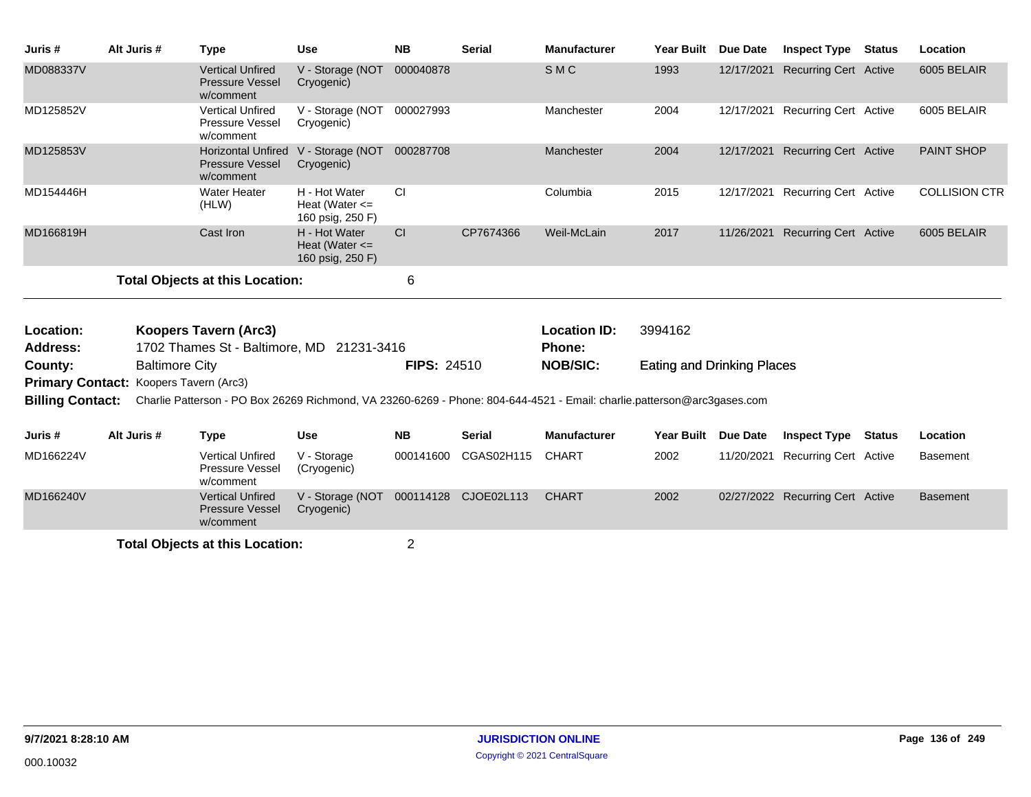| Juris #                 | Alt Juris #                            | <b>Type</b>                                                                                                             | <b>Use</b>                                              | <b>NB</b>          | <b>Serial</b>        | <b>Manufacturer</b> | Year Built                        | Due Date   | <b>Inspect Type</b>              | <b>Status</b> | Location             |
|-------------------------|----------------------------------------|-------------------------------------------------------------------------------------------------------------------------|---------------------------------------------------------|--------------------|----------------------|---------------------|-----------------------------------|------------|----------------------------------|---------------|----------------------|
| MD088337V               |                                        | <b>Vertical Unfired</b><br><b>Pressure Vessel</b><br>w/comment                                                          | V - Storage (NOT<br>Cryogenic)                          | 000040878          |                      | SMC                 | 1993                              | 12/17/2021 | <b>Recurring Cert Active</b>     |               | 6005 BELAIR          |
| MD125852V               |                                        | <b>Vertical Unfired</b><br><b>Pressure Vessel</b><br>w/comment                                                          | V - Storage (NOT<br>Cryogenic)                          | 000027993          |                      | Manchester          | 2004                              |            | 12/17/2021 Recurring Cert Active |               | 6005 BELAIR          |
| MD125853V               |                                        | <b>Horizontal Unfired</b><br><b>Pressure Vessel</b><br>w/comment                                                        | V - Storage (NOT 000287708<br>Cryogenic)                |                    |                      | Manchester          | 2004                              | 12/17/2021 | <b>Recurring Cert Active</b>     |               | <b>PAINT SHOP</b>    |
| MD154446H               |                                        | <b>Water Heater</b><br>(HLW)                                                                                            | H - Hot Water<br>Heat (Water $\leq$<br>160 psig, 250 F) | <b>CI</b>          |                      | Columbia            | 2015                              |            | 12/17/2021 Recurring Cert Active |               | <b>COLLISION CTR</b> |
| MD166819H               |                                        | Cast Iron                                                                                                               | H - Hot Water<br>Heat (Water $\leq$<br>160 psig, 250 F) | C <sub>I</sub>     | CP7674366            | Weil-McLain         | 2017                              |            | 11/26/2021 Recurring Cert Active |               | 6005 BELAIR          |
|                         |                                        | <b>Total Objects at this Location:</b>                                                                                  |                                                         | 6                  |                      |                     |                                   |            |                                  |               |                      |
| Location:               |                                        | Koopers Tavern (Arc3)                                                                                                   |                                                         |                    |                      | <b>Location ID:</b> | 3994162                           |            |                                  |               |                      |
| <b>Address:</b>         |                                        | 1702 Thames St - Baltimore, MD 21231-3416                                                                               |                                                         |                    |                      | <b>Phone:</b>       |                                   |            |                                  |               |                      |
| County:                 | <b>Baltimore City</b>                  |                                                                                                                         |                                                         | <b>FIPS: 24510</b> |                      | <b>NOB/SIC:</b>     | <b>Eating and Drinking Places</b> |            |                                  |               |                      |
|                         | Primary Contact: Koopers Tavern (Arc3) |                                                                                                                         |                                                         |                    |                      |                     |                                   |            |                                  |               |                      |
| <b>Billing Contact:</b> |                                        | Charlie Patterson - PO Box 26269 Richmond, VA 23260-6269 - Phone: 804-644-4521 - Email: charlie.patterson@arc3gases.com |                                                         |                    |                      |                     |                                   |            |                                  |               |                      |
| Juris #                 | Alt Juris #                            | <b>Type</b>                                                                                                             | <b>Use</b>                                              | <b>NB</b>          | <b>Serial</b>        | <b>Manufacturer</b> | <b>Year Built</b>                 | Due Date   | <b>Inspect Type Status</b>       |               | Location             |
| MD166224V               |                                        | <b>Vertical Unfired</b><br>Pressure Vessel<br>w/comment                                                                 | V - Storage<br>(Cryogenic)                              |                    | 000141600 CGAS02H115 | <b>CHART</b>        | 2002                              | 11/20/2021 | <b>Recurring Cert Active</b>     |               | <b>Basement</b>      |
| MD166240V               |                                        | <b>Vertical Unfired</b><br><b>Pressure Vessel</b><br>w/comment                                                          | V - Storage (NOT<br>Cryogenic)                          |                    | 000114128 CJOE02L113 | <b>CHART</b>        | 2002                              |            | 02/27/2022 Recurring Cert Active |               | <b>Basement</b>      |
|                         |                                        | すっかいしめし しょうかいしゅうしき いしょうしゅうしゅ                                                                                            |                                                         |                    |                      |                     |                                   |            |                                  |               |                      |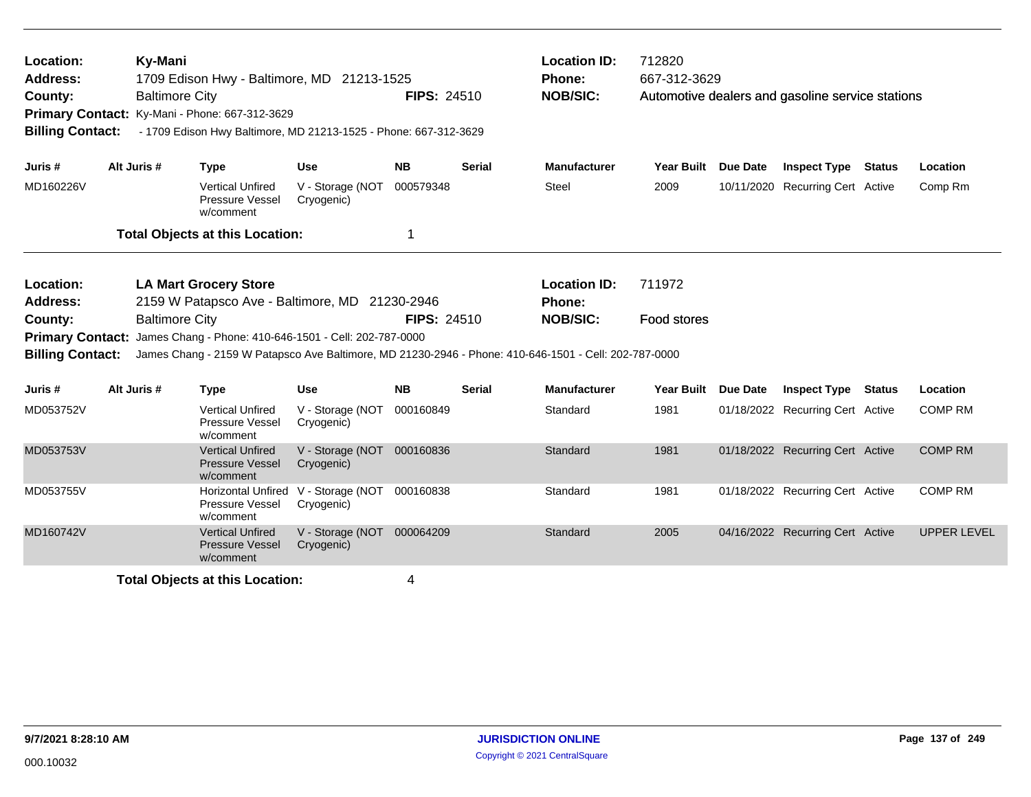| Location:<br><b>Address:</b><br>County:<br><b>Billing Contact:</b>                            | Ky-Mani<br><b>Baltimore City</b>                                                                                                                                  | 1709 Edison Hwy - Baltimore, MD 21213-1525<br>Primary Contact: Ky-Mani - Phone: 667-312-3629<br>- 1709 Edison Hwy Baltimore, MD 21213-1525 - Phone: 667-312-3629 |                                          | <b>FIPS: 24510</b>                                                                                                                                        |                       | <b>Location ID:</b><br>Phone:<br><b>NOB/SIC:</b> | 712820<br>667-312-3629<br>Automotive dealers and gasoline service stations |  |                                  |               |                    |  |
|-----------------------------------------------------------------------------------------------|-------------------------------------------------------------------------------------------------------------------------------------------------------------------|------------------------------------------------------------------------------------------------------------------------------------------------------------------|------------------------------------------|-----------------------------------------------------------------------------------------------------------------------------------------------------------|-----------------------|--------------------------------------------------|----------------------------------------------------------------------------|--|----------------------------------|---------------|--------------------|--|
| Juris #                                                                                       | Alt Juris #                                                                                                                                                       | <b>Type</b>                                                                                                                                                      | <b>Use</b>                               | <b>NB</b>                                                                                                                                                 | Serial                | <b>Manufacturer</b>                              | Year Built Due Date                                                        |  | <b>Inspect Type</b>              | <b>Status</b> | Location           |  |
| MD160226V                                                                                     |                                                                                                                                                                   | <b>Vertical Unfired</b><br><b>Pressure Vessel</b><br>w/comment                                                                                                   | V - Storage (NOT<br>Cryogenic)           | 000579348                                                                                                                                                 |                       | Steel                                            | 2009                                                                       |  | 10/11/2020 Recurring Cert Active |               | Comp Rm            |  |
|                                                                                               |                                                                                                                                                                   | <b>Total Objects at this Location:</b>                                                                                                                           |                                          | 1                                                                                                                                                         |                       |                                                  |                                                                            |  |                                  |               |                    |  |
| Location:<br><b>Address:</b><br>County:<br><b>Primary Contact:</b><br><b>Billing Contact:</b> | <b>LA Mart Grocery Store</b><br>2159 W Patapsco Ave - Baltimore, MD 21230-2946<br><b>Baltimore City</b><br>James Chang - Phone: 410-646-1501 - Cell: 202-787-0000 | <b>FIPS: 24510</b>                                                                                                                                               |                                          | <b>Location ID:</b><br>Phone:<br><b>NOB/SIC:</b><br>James Chang - 2159 W Patapsco Ave Baltimore, MD 21230-2946 - Phone: 410-646-1501 - Cell: 202-787-0000 | 711972<br>Food stores |                                                  |                                                                            |  |                                  |               |                    |  |
| Juris #                                                                                       | Alt Juris #                                                                                                                                                       | <b>Type</b>                                                                                                                                                      | <b>Use</b>                               | <b>NB</b>                                                                                                                                                 | <b>Serial</b>         | <b>Manufacturer</b>                              | Year Built Due Date                                                        |  | <b>Inspect Type Status</b>       |               | Location           |  |
| MD053752V                                                                                     |                                                                                                                                                                   | <b>Vertical Unfired</b><br>Pressure Vessel<br>w/comment                                                                                                          | V - Storage (NOT<br>Cryogenic)           | 000160849                                                                                                                                                 |                       | Standard                                         | 1981                                                                       |  | 01/18/2022 Recurring Cert Active |               | <b>COMP RM</b>     |  |
| MD053753V                                                                                     |                                                                                                                                                                   | <b>Vertical Unfired</b><br><b>Pressure Vessel</b><br>w/comment                                                                                                   | V - Storage (NOT<br>Cryogenic)           | 000160836                                                                                                                                                 |                       | Standard                                         | 1981                                                                       |  | 01/18/2022 Recurring Cert Active |               | <b>COMP RM</b>     |  |
| MD053755V                                                                                     |                                                                                                                                                                   | <b>Horizontal Unfired</b><br>Pressure Vessel<br>w/comment                                                                                                        | V - Storage (NOT 000160838<br>Cryogenic) |                                                                                                                                                           |                       | Standard                                         | 1981                                                                       |  | 01/18/2022 Recurring Cert Active |               | <b>COMP RM</b>     |  |
| MD160742V                                                                                     |                                                                                                                                                                   | <b>Vertical Unfired</b><br><b>Pressure Vessel</b><br>w/comment                                                                                                   | V - Storage (NOT 000064209<br>Cryogenic) |                                                                                                                                                           |                       | Standard                                         | 2005                                                                       |  | 04/16/2022 Recurring Cert Active |               | <b>UPPER LEVEL</b> |  |
|                                                                                               |                                                                                                                                                                   | <b>Total Objects at this Location:</b>                                                                                                                           |                                          | 4                                                                                                                                                         |                       |                                                  |                                                                            |  |                                  |               |                    |  |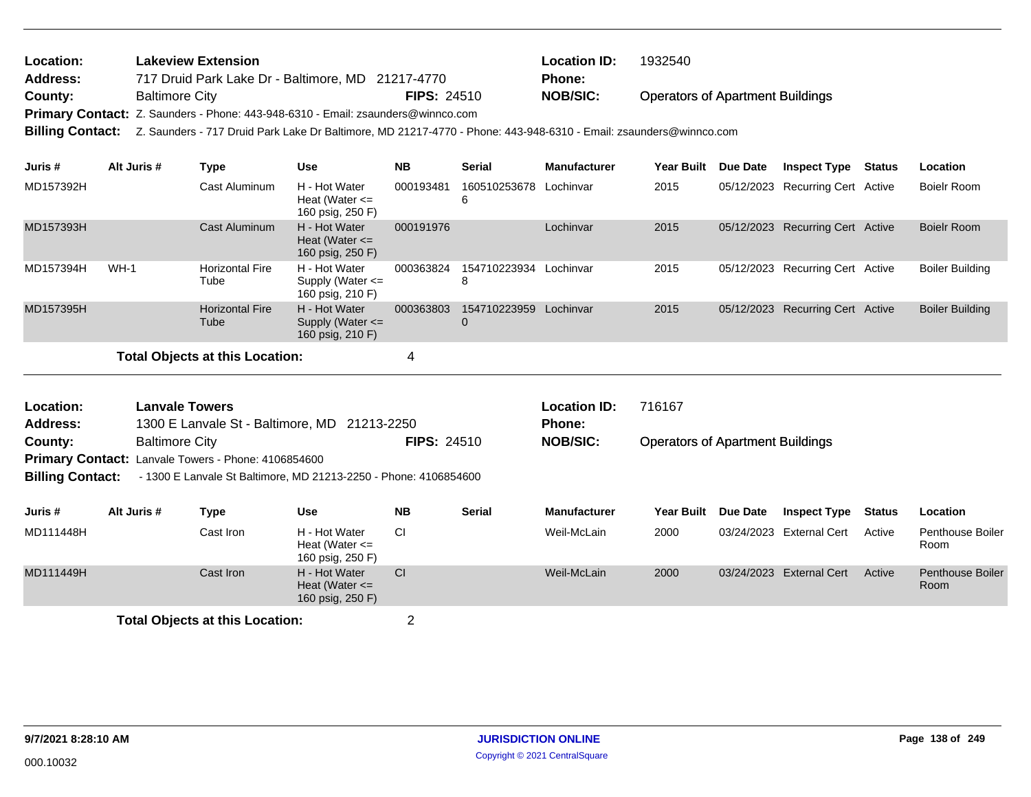## Operators of Apartment Buildings 717 Druid Park Lake Dr - Baltimore, MD 21217-4770 **County:** Baltimore City **NOB/SIC: PIPS:** 24510 **NOB/SIC:** Primary Contact: Z. Saunders - Phone: 443-948-6310 - Email: zsaunders@winnco.com **Lakeview Extension Location ID:** 1932540 **Address: Location: FIPS:** 24510 **Phone:**

**Billing Contact:** Z. Saunders - 717 Druid Park Lake Dr Baltimore, MD 21217-4770 - Phone: 443-948-6310 - Email: zsaunders@winnco.com

| Juris #                                | Alt Juris # | Type                           | <b>Use</b>                                                | <b>NB</b> | <b>Serial</b>     | <b>Manufacturer</b> | <b>Year Built</b> | Due Date | <b>Inspect Type</b>              | Status | <b>Location</b>        |
|----------------------------------------|-------------|--------------------------------|-----------------------------------------------------------|-----------|-------------------|---------------------|-------------------|----------|----------------------------------|--------|------------------------|
| MD157392H                              |             | Cast Aluminum                  | H - Hot Water<br>Heat (Water $\leq$<br>160 psig, 250 F)   | 000193481 | 160510253678<br>6 | Lochinvar           | 2015              |          | 05/12/2023 Recurring Cert Active |        | Boielr Room            |
| MD157393H                              |             | Cast Aluminum                  | H - Hot Water<br>Heat (Water $\leq$<br>160 psig, 250 F)   | 000191976 |                   | Lochinvar           | 2015              |          | 05/12/2023 Recurring Cert Active |        | Boielr Room            |
| MD157394H                              | $WH-1$      | <b>Horizontal Fire</b><br>Tube | H - Hot Water<br>Supply (Water $\leq$<br>160 psig, 210 F) | 000363824 | 154710223934<br>8 | Lochinvar           | 2015              |          | 05/12/2023 Recurring Cert Active |        | <b>Boiler Building</b> |
| MD157395H                              |             | <b>Horizontal Fire</b><br>Tube | H - Hot Water<br>Supply (Water $\leq$<br>160 psig, 210 F) | 000363803 | 154710223959<br>0 | Lochinvar           | 2015              |          | 05/12/2023 Recurring Cert Active |        | <b>Boiler Building</b> |
| <b>Total Objects at this Location:</b> |             |                                |                                                           |           |                   |                     |                   |          |                                  |        |                        |

| Location:               | <b>Lanvale Towers</b>                                            |                    | Location ID:    | 716167                                  |
|-------------------------|------------------------------------------------------------------|--------------------|-----------------|-----------------------------------------|
| Address:                | 1300 E Lanvale St - Baltimore, MD 21213-2250                     |                    | <b>Phone:</b>   |                                         |
| County:                 | <b>Baltimore City</b>                                            | <b>FIPS: 24510</b> | <b>NOB/SIC:</b> | <b>Operators of Apartment Buildings</b> |
|                         | <b>Primary Contact:</b> Lanvale Towers - Phone: 4106854600       |                    |                 |                                         |
| <b>Billing Contact:</b> | - 1300 E Lanvale St Baltimore, MD 21213-2250 - Phone: 4106854600 |                    |                 |                                         |
|                         |                                                                  |                    |                 |                                         |

| Juris #   | Alt Juris # | Type      | Use                                                     | <b>NB</b> | <b>Serial</b> | <b>Manufacturer</b> | <b>Year Built</b> | Due Date | <b>Inspect Type</b>      | <b>Status</b> | Location                 |
|-----------|-------------|-----------|---------------------------------------------------------|-----------|---------------|---------------------|-------------------|----------|--------------------------|---------------|--------------------------|
| MD111448H |             | Cast Iron | H - Hot Water<br>Heat (Water $\leq$<br>160 psig, 250 F) | СI        |               | Weil-McLain         | 2000              |          | 03/24/2023 External Cert | Active        | Penthouse Boiler<br>Room |
| MD111449H |             | Cast Iron | H - Hot Water<br>Heat (Water $\leq$<br>160 psig, 250 F) | <b>CI</b> |               | Weil-McLain         | 2000              |          | 03/24/2023 External Cert | Active        | Penthouse Boiler<br>Room |
|           |             |           |                                                         |           |               |                     |                   |          |                          |               |                          |

**Total Objects at this Location:** 2

**9/7/2021 8:28:10 AM JURISDICTION ONLINE Page 138 of 249**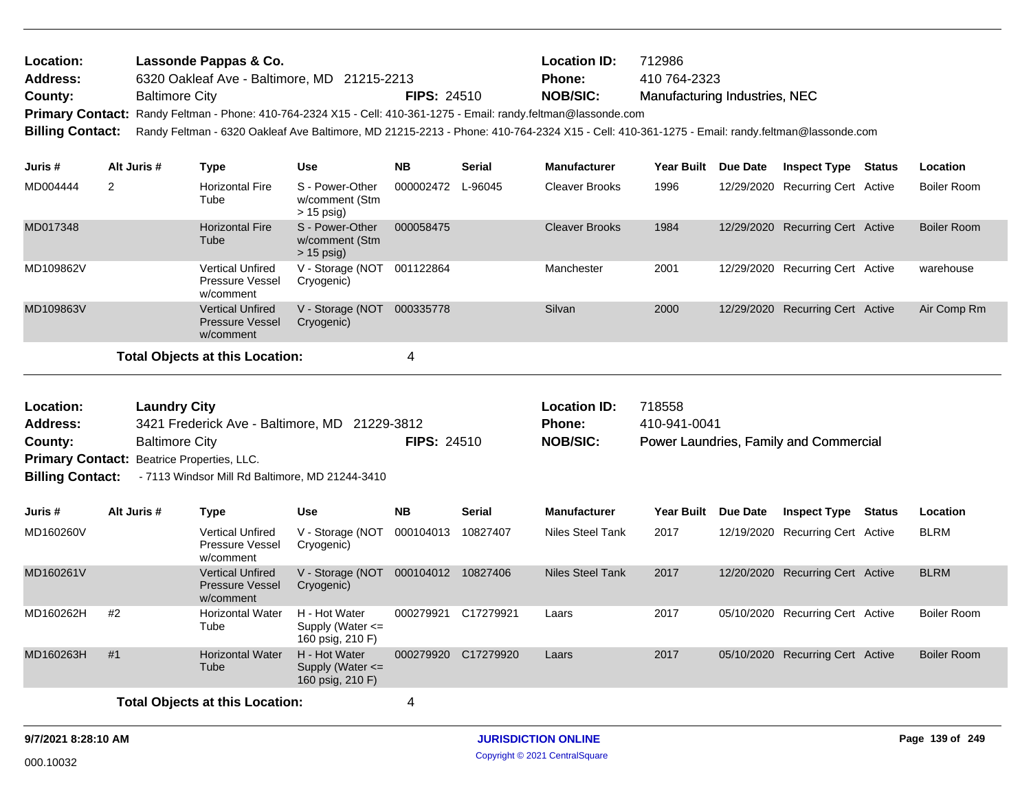| <b>Location:</b><br>Address:               |    |                       | Lassonde Pappas & Co.<br>6320 Oakleaf Ave - Baltimore, MD 21215-2213 |                                                           |                     | <b>Location ID:</b><br><b>Phone:</b> | 712986<br>410 764-2323                                                                                                                       |                               |  |                                        |        |                    |
|--------------------------------------------|----|-----------------------|----------------------------------------------------------------------|-----------------------------------------------------------|---------------------|--------------------------------------|----------------------------------------------------------------------------------------------------------------------------------------------|-------------------------------|--|----------------------------------------|--------|--------------------|
| County:                                    |    | <b>Baltimore City</b> |                                                                      |                                                           | <b>FIPS: 24510</b>  |                                      | <b>NOB/SIC:</b>                                                                                                                              | Manufacturing Industries, NEC |  |                                        |        |                    |
|                                            |    |                       |                                                                      |                                                           |                     |                                      | Primary Contact: Randy Feltman - Phone: 410-764-2324 X15 - Cell: 410-361-1275 - Email: randy.feltman@lassonde.com                            |                               |  |                                        |        |                    |
| <b>Billing Contact:</b>                    |    |                       |                                                                      |                                                           |                     |                                      | Randy Feltman - 6320 Oakleaf Ave Baltimore, MD 21215-2213 - Phone: 410-764-2324 X15 - Cell: 410-361-1275 - Email: randy.feltman@lassonde.com |                               |  |                                        |        |                    |
|                                            |    |                       |                                                                      |                                                           |                     |                                      |                                                                                                                                              |                               |  |                                        |        |                    |
| Juris #                                    |    | Alt Juris #           | Type                                                                 | <b>Use</b>                                                | <b>NB</b>           | <b>Serial</b>                        | <b>Manufacturer</b>                                                                                                                          | Year Built Due Date           |  | <b>Inspect Type</b>                    | Status | Location           |
| MD004444                                   | 2  |                       | <b>Horizontal Fire</b><br>Tube                                       | S - Power-Other<br>w/comment (Stm<br>$> 15$ psig)         | 000002472 L-96045   |                                      | <b>Cleaver Brooks</b>                                                                                                                        | 1996                          |  | 12/29/2020 Recurring Cert Active       |        | <b>Boiler Room</b> |
| MD017348                                   |    |                       | <b>Horizontal Fire</b><br>Tube                                       | S - Power-Other<br>w/comment (Stm<br>$> 15$ psig)         | 000058475           |                                      | <b>Cleaver Brooks</b>                                                                                                                        | 1984                          |  | 12/29/2020 Recurring Cert Active       |        | <b>Boiler Room</b> |
| MD109862V                                  |    |                       | <b>Vertical Unfired</b><br><b>Pressure Vessel</b><br>w/comment       | V - Storage (NOT<br>Cryogenic)                            | 001122864           |                                      | Manchester                                                                                                                                   | 2001                          |  | 12/29/2020 Recurring Cert Active       |        | warehouse          |
| MD109863V                                  |    |                       | <b>Vertical Unfired</b><br><b>Pressure Vessel</b><br>w/comment       | V - Storage (NOT<br>Cryogenic)                            | 000335778           |                                      | Silvan                                                                                                                                       | 2000                          |  | 12/29/2020 Recurring Cert Active       |        | Air Comp Rm        |
|                                            |    |                       | <b>Total Objects at this Location:</b>                               |                                                           | 4                   |                                      |                                                                                                                                              |                               |  |                                        |        |                    |
| <b>Location:</b>                           |    | <b>Laundry City</b>   |                                                                      |                                                           |                     |                                      | <b>Location ID:</b>                                                                                                                          | 718558                        |  |                                        |        |                    |
| <b>Address:</b>                            |    |                       | 3421 Frederick Ave - Baltimore, MD 21229-3812                        |                                                           |                     |                                      | Phone:                                                                                                                                       | 410-941-0041                  |  |                                        |        |                    |
| County:                                    |    | <b>Baltimore City</b> |                                                                      |                                                           | <b>FIPS: 24510</b>  |                                      | <b>NOB/SIC:</b>                                                                                                                              |                               |  | Power Laundries, Family and Commercial |        |                    |
| Primary Contact: Beatrice Properties, LLC. |    |                       |                                                                      |                                                           |                     |                                      |                                                                                                                                              |                               |  |                                        |        |                    |
| <b>Billing Contact:</b>                    |    |                       | - 7113 Windsor Mill Rd Baltimore, MD 21244-3410                      |                                                           |                     |                                      |                                                                                                                                              |                               |  |                                        |        |                    |
| Juris #                                    |    | Alt Juris #           | <b>Type</b>                                                          | <b>Use</b>                                                | <b>NB</b>           | <b>Serial</b>                        | <b>Manufacturer</b>                                                                                                                          | Year Built Due Date           |  | <b>Inspect Type Status</b>             |        | Location           |
| MD160260V                                  |    |                       | <b>Vertical Unfired</b><br>Pressure Vessel<br>w/comment              | V - Storage (NOT<br>Cryogenic)                            | 000104013 10827407  |                                      | <b>Niles Steel Tank</b>                                                                                                                      | 2017                          |  | 12/19/2020 Recurring Cert Active       |        | <b>BLRM</b>        |
| MD160261V                                  |    |                       | <b>Vertical Unfired</b><br><b>Pressure Vessel</b><br>w/comment       | V - Storage (NOT<br>Cryogenic)                            | 000104012 10827406  |                                      | <b>Niles Steel Tank</b>                                                                                                                      | 2017                          |  | 12/20/2020 Recurring Cert Active       |        | <b>BLRM</b>        |
| MD160262H                                  | #2 |                       | <b>Horizontal Water</b><br>Tube                                      | H - Hot Water<br>Supply (Water <=<br>160 psig, 210 F)     | 000279921 C17279921 |                                      | Laars                                                                                                                                        | 2017                          |  | 05/10/2020 Recurring Cert Active       |        | <b>Boiler Room</b> |
| MD160263H                                  |    |                       |                                                                      |                                                           |                     | 000279920 C17279920                  | Laars                                                                                                                                        | 2017                          |  | 05/10/2020 Recurring Cert Active       |        |                    |
|                                            | #1 |                       | <b>Horizontal Water</b><br>Tube                                      | H - Hot Water<br>Supply (Water $\leq$<br>160 psig, 210 F) |                     |                                      |                                                                                                                                              |                               |  |                                        |        | <b>Boiler Room</b> |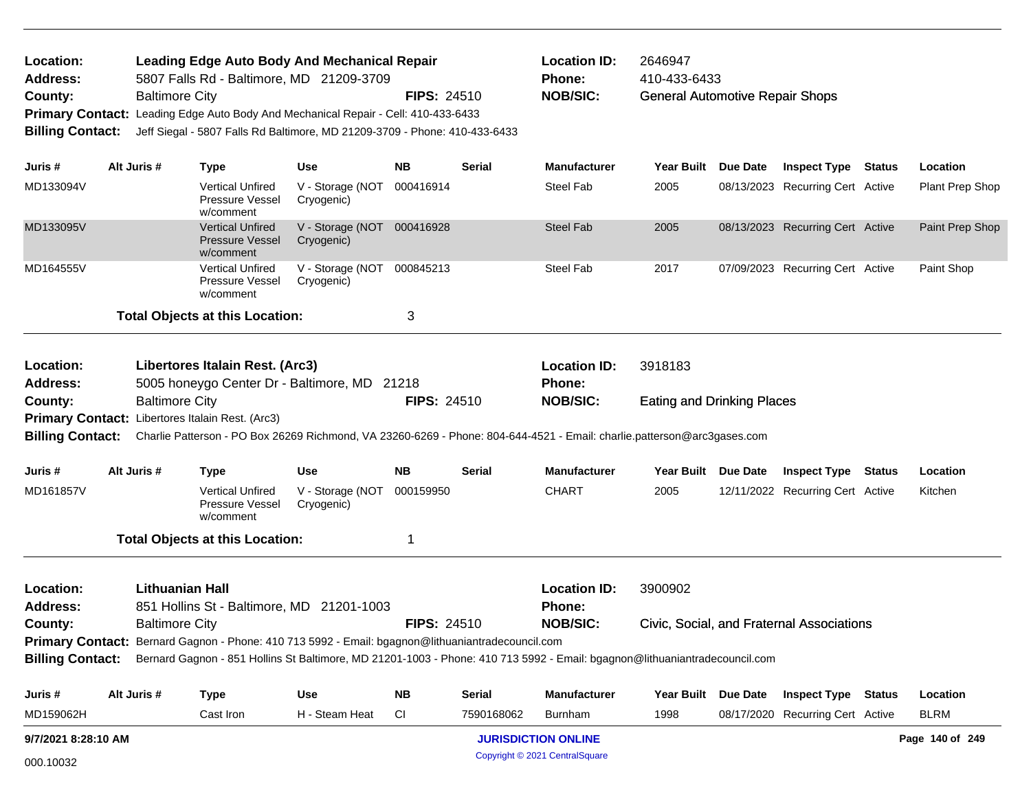| Location:                  |                        | <b>Leading Edge Auto Body And Mechanical Repair</b>                                                                                         |                                          |                    |               | <b>Location ID:</b>        | 2646947<br>410-433-6433                |                     |                                           |  |                 |  |
|----------------------------|------------------------|---------------------------------------------------------------------------------------------------------------------------------------------|------------------------------------------|--------------------|---------------|----------------------------|----------------------------------------|---------------------|-------------------------------------------|--|-----------------|--|
| <b>Address:</b><br>County: | <b>Baltimore City</b>  | 5807 Falls Rd - Baltimore, MD 21209-3709                                                                                                    |                                          | <b>FIPS: 24510</b> |               | Phone:<br><b>NOB/SIC:</b>  | <b>General Automotive Repair Shops</b> |                     |                                           |  |                 |  |
|                            |                        | Primary Contact: Leading Edge Auto Body And Mechanical Repair - Cell: 410-433-6433                                                          |                                          |                    |               |                            |                                        |                     |                                           |  |                 |  |
| <b>Billing Contact:</b>    |                        | Jeff Siegal - 5807 Falls Rd Baltimore, MD 21209-3709 - Phone: 410-433-6433                                                                  |                                          |                    |               |                            |                                        |                     |                                           |  |                 |  |
| Juris #                    | Alt Juris #            | <b>Type</b>                                                                                                                                 | <b>Use</b>                               | <b>NB</b>          | <b>Serial</b> | <b>Manufacturer</b>        | <b>Year Built</b>                      | <b>Due Date</b>     | <b>Inspect Type Status</b>                |  | Location        |  |
| MD133094V                  |                        | <b>Vertical Unfired</b><br>Pressure Vessel<br>w/comment                                                                                     | V - Storage (NOT 000416914<br>Cryogenic) |                    |               | <b>Steel Fab</b>           | 2005                                   |                     | 08/13/2023 Recurring Cert Active          |  | Plant Prep Shop |  |
| MD133095V                  |                        | <b>Vertical Unfired</b><br><b>Pressure Vessel</b><br>w/comment                                                                              | V - Storage (NOT 000416928<br>Cryogenic) |                    |               | <b>Steel Fab</b>           | 2005                                   |                     | 08/13/2023 Recurring Cert Active          |  | Paint Prep Shop |  |
| MD164555V                  |                        | <b>Vertical Unfired</b><br>Pressure Vessel<br>w/comment                                                                                     | V - Storage (NOT 000845213<br>Cryogenic) |                    |               | <b>Steel Fab</b>           | 2017                                   |                     | 07/09/2023 Recurring Cert Active          |  | Paint Shop      |  |
|                            |                        | <b>Total Objects at this Location:</b>                                                                                                      |                                          | 3                  |               |                            |                                        |                     |                                           |  |                 |  |
| Location:                  |                        | Libertores Italain Rest. (Arc3)                                                                                                             |                                          |                    |               | <b>Location ID:</b>        | 3918183                                |                     |                                           |  |                 |  |
| <b>Address:</b>            |                        | 5005 honeygo Center Dr - Baltimore, MD 21218                                                                                                |                                          |                    |               | <b>Phone:</b>              |                                        |                     |                                           |  |                 |  |
| County:                    | <b>Baltimore City</b>  |                                                                                                                                             |                                          | <b>FIPS: 24510</b> |               | <b>NOB/SIC:</b>            | <b>Eating and Drinking Places</b>      |                     |                                           |  |                 |  |
|                            |                        | Primary Contact: Libertores Italain Rest. (Arc3)                                                                                            |                                          |                    |               |                            |                                        |                     |                                           |  |                 |  |
|                            |                        | Billing Contact: Charlie Patterson - PO Box 26269 Richmond, VA 23260-6269 - Phone: 804-644-4521 - Email: charlie.patterson@arc3gases.com    |                                          |                    |               |                            |                                        |                     |                                           |  |                 |  |
| Juris #                    | Alt Juris #            | <b>Type</b>                                                                                                                                 | <b>Use</b>                               | <b>NB</b>          | Serial        | <b>Manufacturer</b>        | Year Built Due Date                    |                     | <b>Inspect Type Status</b>                |  | Location        |  |
| MD161857V                  |                        | <b>Vertical Unfired</b><br>Pressure Vessel<br>w/comment                                                                                     | V - Storage (NOT<br>Cryogenic)           | 000159950          |               | <b>CHART</b>               | 2005                                   |                     | 12/11/2022 Recurring Cert Active          |  | Kitchen         |  |
|                            |                        | <b>Total Objects at this Location:</b>                                                                                                      |                                          | 1                  |               |                            |                                        |                     |                                           |  |                 |  |
| Location:                  | <b>Lithuanian Hall</b> |                                                                                                                                             |                                          |                    |               | <b>Location ID:</b>        | 3900902                                |                     |                                           |  |                 |  |
| Address:                   |                        | 851 Hollins St - Baltimore, MD 21201-1003                                                                                                   |                                          |                    |               | Phone:                     |                                        |                     |                                           |  |                 |  |
| County:                    | <b>Baltimore City</b>  |                                                                                                                                             |                                          | <b>FIPS: 24510</b> |               | <b>NOB/SIC:</b>            |                                        |                     | Civic, Social, and Fraternal Associations |  |                 |  |
|                            |                        | Primary Contact: Bernard Gagnon - Phone: 410 713 5992 - Email: bgagnon@lithuaniantradecouncil.com                                           |                                          |                    |               |                            |                                        |                     |                                           |  |                 |  |
|                            |                        | Billing Contact: Bernard Gagnon - 851 Hollins St Baltimore, MD 21201-1003 - Phone: 410 713 5992 - Email: bgagnon@lithuaniantradecouncil.com |                                          |                    |               |                            |                                        |                     |                                           |  |                 |  |
| Juris #                    | Alt Juris #            | <b>Type</b>                                                                                                                                 | <b>Use</b>                               | <b>NB</b>          | <b>Serial</b> | Manufacturer               |                                        | Year Built Due Date | <b>Inspect Type Status</b>                |  | Location        |  |
| MD159062H                  |                        | Cast Iron                                                                                                                                   | H - Steam Heat                           | <b>CI</b>          | 7590168062    | Burnham                    | 1998                                   |                     | 08/17/2020 Recurring Cert Active          |  | <b>BLRM</b>     |  |
| 9/7/2021 8:28:10 AM        |                        |                                                                                                                                             |                                          |                    |               | <b>JURISDICTION ONLINE</b> |                                        |                     |                                           |  | Page 140 of 249 |  |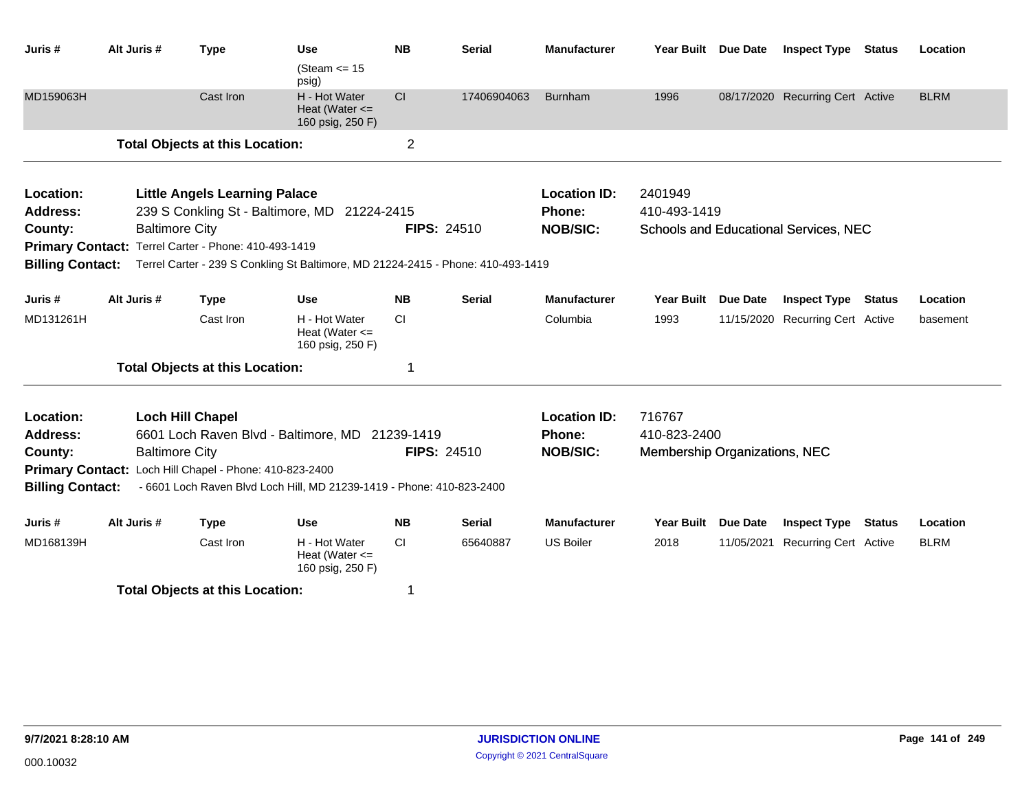| Juris #                 | Alt Juris #           | <b>Type</b>                                             | <b>Use</b>                                                                       | <b>NB</b>  | <b>Serial</b> | <b>Manufacturer</b>    | Year Built Due Date           |                 | <b>Inspect Type</b>                   | <b>Status</b> | Location    |  |  |
|-------------------------|-----------------------|---------------------------------------------------------|----------------------------------------------------------------------------------|------------|---------------|------------------------|-------------------------------|-----------------|---------------------------------------|---------------|-------------|--|--|
|                         |                       |                                                         | (Steam $\le$ 15<br>psig)                                                         |            |               |                        |                               |                 |                                       |               |             |  |  |
| MD159063H               |                       | Cast Iron                                               | H - Hot Water<br>Heat (Water $\leq$<br>160 psig, 250 F)                          | CI         | 17406904063   | <b>Burnham</b>         | 1996                          |                 | 08/17/2020 Recurring Cert Active      |               | <b>BLRM</b> |  |  |
|                         |                       | <b>Total Objects at this Location:</b>                  |                                                                                  | 2          |               |                        |                               |                 |                                       |               |             |  |  |
| Location:               |                       | <b>Little Angels Learning Palace</b>                    |                                                                                  |            |               | <b>Location ID:</b>    | 2401949                       |                 |                                       |               |             |  |  |
| <b>Address:</b>         |                       |                                                         | 239 S Conkling St - Baltimore, MD 21224-2415                                     |            |               | 410-493-1419<br>Phone: |                               |                 |                                       |               |             |  |  |
| County:                 | <b>Baltimore City</b> |                                                         |                                                                                  |            | FIPS: 24510   | <b>NOB/SIC:</b>        |                               |                 | Schools and Educational Services, NEC |               |             |  |  |
|                         |                       | Primary Contact: Terrel Carter - Phone: 410-493-1419    |                                                                                  |            |               |                        |                               |                 |                                       |               |             |  |  |
| <b>Billing Contact:</b> |                       |                                                         | Terrel Carter - 239 S Conkling St Baltimore, MD 21224-2415 - Phone: 410-493-1419 |            |               |                        |                               |                 |                                       |               |             |  |  |
| Juris #                 | Alt Juris #           | <b>Type</b>                                             | <b>Use</b>                                                                       | <b>NB</b>  | <b>Serial</b> | <b>Manufacturer</b>    | <b>Year Built</b>             | <b>Due Date</b> | <b>Inspect Type</b>                   | <b>Status</b> | Location    |  |  |
| MD131261H               |                       | Cast Iron                                               | H - Hot Water<br>Heat (Water $\leq$<br>160 psig, 250 F)                          | CI         |               | Columbia               | 1993                          |                 | 11/15/2020 Recurring Cert Active      |               | basement    |  |  |
|                         |                       | <b>Total Objects at this Location:</b>                  |                                                                                  | 1          |               |                        |                               |                 |                                       |               |             |  |  |
| Location:               |                       | <b>Loch Hill Chapel</b>                                 |                                                                                  |            |               | <b>Location ID:</b>    | 716767                        |                 |                                       |               |             |  |  |
| <b>Address:</b>         |                       |                                                         | 6601 Loch Raven Blvd - Baltimore, MD                                             | 21239-1419 |               | 410-823-2400<br>Phone: |                               |                 |                                       |               |             |  |  |
| County:                 | <b>Baltimore City</b> |                                                         |                                                                                  |            | FIPS: 24510   | <b>NOB/SIC:</b>        | Membership Organizations, NEC |                 |                                       |               |             |  |  |
|                         |                       | Primary Contact: Loch Hill Chapel - Phone: 410-823-2400 |                                                                                  |            |               |                        |                               |                 |                                       |               |             |  |  |
| <b>Billing Contact:</b> |                       |                                                         | - 6601 Loch Raven Blvd Loch Hill, MD 21239-1419 - Phone: 410-823-2400            |            |               |                        |                               |                 |                                       |               |             |  |  |
| Juris #                 | Alt Juris #           | <b>Type</b>                                             | <b>Use</b>                                                                       | <b>NB</b>  | <b>Serial</b> | <b>Manufacturer</b>    | <b>Year Built</b>             | <b>Due Date</b> | <b>Inspect Type</b>                   | <b>Status</b> | Location    |  |  |
| MD168139H               |                       | Cast Iron                                               | H - Hot Water<br>Heat (Water $\leq$<br>160 psig, 250 F)                          | <b>CI</b>  | 65640887      | <b>US Boiler</b>       | 2018                          | 11/05/2021      | <b>Recurring Cert Active</b>          |               | <b>BLRM</b> |  |  |
|                         |                       | <b>Total Objects at this Location:</b>                  |                                                                                  | 1          |               |                        |                               |                 |                                       |               |             |  |  |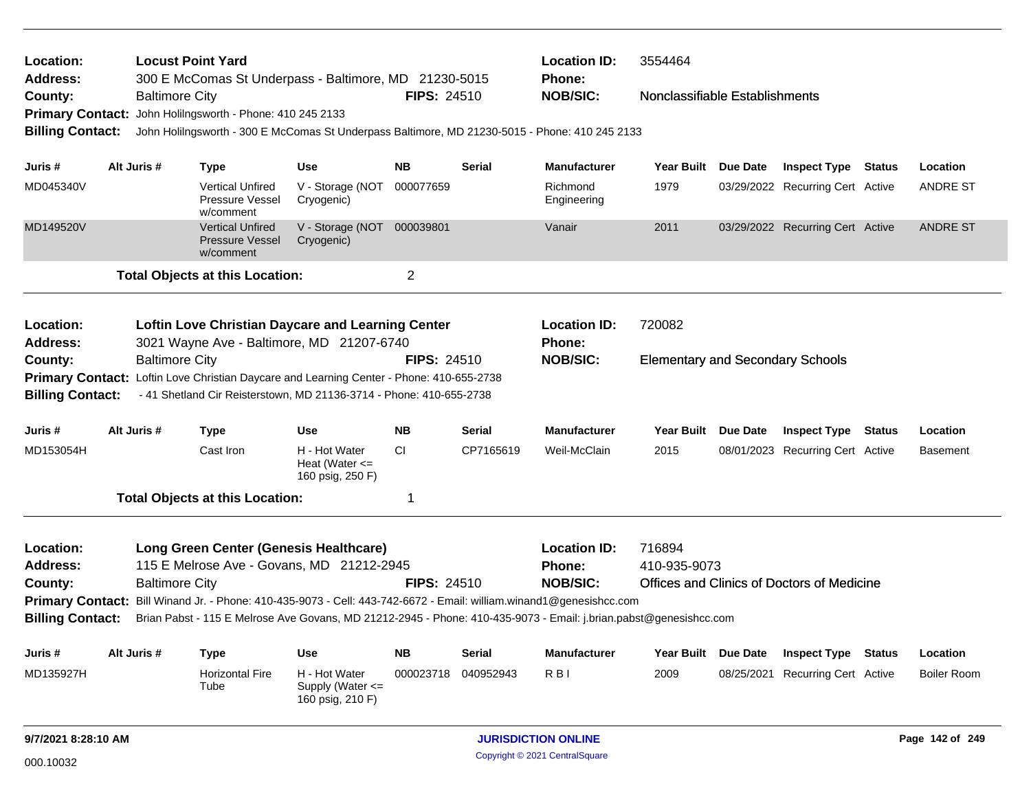| Location:<br>Address:   |                                             | <b>Locust Point Yard</b>                                                                       |                                                                | 300 E McComas St Underpass - Baltimore, MD 21230-5015                                                               |                    |                                | <b>Location ID:</b><br><b>Phone:</b> | 3554464                                    |  |                                  |  |                    |  |
|-------------------------|---------------------------------------------|------------------------------------------------------------------------------------------------|----------------------------------------------------------------|---------------------------------------------------------------------------------------------------------------------|--------------------|--------------------------------|--------------------------------------|--------------------------------------------|--|----------------------------------|--|--------------------|--|
| County:                 |                                             | <b>Baltimore City</b>                                                                          |                                                                |                                                                                                                     | <b>NOB/SIC:</b>    | Nonclassifiable Establishments |                                      |                                            |  |                                  |  |                    |  |
|                         |                                             |                                                                                                | Primary Contact: John Holilngsworth - Phone: 410 245 2133      |                                                                                                                     | <b>FIPS: 24510</b> |                                |                                      |                                            |  |                                  |  |                    |  |
| <b>Billing Contact:</b> |                                             | John HoliIngsworth - 300 E McComas St Underpass Baltimore, MD 21230-5015 - Phone: 410 245 2133 |                                                                |                                                                                                                     |                    |                                |                                      |                                            |  |                                  |  |                    |  |
| Juris #                 |                                             | Alt Juris #                                                                                    | <b>Type</b>                                                    | <b>Use</b>                                                                                                          | <b>NB</b>          | Serial                         | <b>Manufacturer</b>                  | Year Built Due Date                        |  | <b>Inspect Type Status</b>       |  | Location           |  |
| MD045340V               |                                             |                                                                                                | <b>Vertical Unfired</b><br><b>Pressure Vessel</b><br>w/comment | V - Storage (NOT<br>Cryogenic)                                                                                      | 000077659          |                                | Richmond<br>Engineering              | 1979                                       |  | 03/29/2022 Recurring Cert Active |  | <b>ANDRE ST</b>    |  |
| MD149520V               |                                             |                                                                                                | <b>Vertical Unfired</b><br><b>Pressure Vessel</b><br>w/comment | V - Storage (NOT<br>Cryogenic)                                                                                      | 000039801          |                                | Vanair                               | 2011                                       |  | 03/29/2022 Recurring Cert Active |  | <b>ANDRE ST</b>    |  |
|                         |                                             |                                                                                                | <b>Total Objects at this Location:</b>                         |                                                                                                                     | $\overline{2}$     |                                |                                      |                                            |  |                                  |  |                    |  |
| Location:               |                                             |                                                                                                |                                                                | <b>Loftin Love Christian Daycare and Learning Center</b>                                                            |                    |                                | <b>Location ID:</b>                  | 720082                                     |  |                                  |  |                    |  |
| Address:                |                                             |                                                                                                |                                                                | 3021 Wayne Ave - Baltimore, MD 21207-6740                                                                           |                    |                                | <b>Phone:</b>                        |                                            |  |                                  |  |                    |  |
| County:                 |                                             | <b>Baltimore City</b>                                                                          |                                                                |                                                                                                                     | <b>FIPS: 24510</b> |                                | <b>NOB/SIC:</b>                      | <b>Elementary and Secondary Schools</b>    |  |                                  |  |                    |  |
|                         |                                             |                                                                                                |                                                                | Primary Contact: Loftin Love Christian Daycare and Learning Center - Phone: 410-655-2738                            |                    |                                |                                      |                                            |  |                                  |  |                    |  |
| <b>Billing Contact:</b> |                                             |                                                                                                |                                                                | - 41 Shetland Cir Reisterstown, MD 21136-3714 - Phone: 410-655-2738                                                 |                    |                                |                                      |                                            |  |                                  |  |                    |  |
| Juris #                 |                                             | Alt Juris #                                                                                    | <b>Type</b>                                                    | <b>Use</b>                                                                                                          | <b>NB</b>          | <b>Serial</b>                  | <b>Manufacturer</b>                  | Year Built Due Date                        |  | <b>Inspect Type Status</b>       |  | Location           |  |
| MD153054H               |                                             |                                                                                                | Cast Iron                                                      | H - Hot Water<br>Heat (Water $\leq$<br>160 psig, 250 F)                                                             | CI.                | CP7165619                      | Weil-McClain                         | 2015                                       |  | 08/01/2023 Recurring Cert Active |  | <b>Basement</b>    |  |
|                         |                                             |                                                                                                | <b>Total Objects at this Location:</b>                         |                                                                                                                     | 1                  |                                |                                      |                                            |  |                                  |  |                    |  |
| Location:               |                                             |                                                                                                |                                                                | Long Green Center (Genesis Healthcare)                                                                              |                    |                                | <b>Location ID:</b>                  | 716894                                     |  |                                  |  |                    |  |
| <b>Address:</b>         |                                             |                                                                                                |                                                                | 115 E Melrose Ave - Govans, MD 21212-2945                                                                           |                    |                                | <b>Phone:</b>                        | 410-935-9073                               |  |                                  |  |                    |  |
| County:                 | <b>FIPS: 24510</b><br><b>Baltimore City</b> |                                                                                                |                                                                |                                                                                                                     |                    |                                | <b>NOB/SIC:</b>                      | Offices and Clinics of Doctors of Medicine |  |                                  |  |                    |  |
|                         |                                             |                                                                                                |                                                                | Primary Contact: Bill Winand Jr. - Phone: 410-435-9073 - Cell: 443-742-6672 - Email: william.winand1@genesishcc.com |                    |                                |                                      |                                            |  |                                  |  |                    |  |
| <b>Billing Contact:</b> |                                             |                                                                                                |                                                                | Brian Pabst - 115 E Melrose Ave Govans, MD 21212-2945 - Phone: 410-435-9073 - Email: j.brian.pabst@genesishcc.com   |                    |                                |                                      |                                            |  |                                  |  |                    |  |
| Juris #                 |                                             | Alt Juris #                                                                                    | <b>Type</b>                                                    | <b>Use</b>                                                                                                          | <b>NB</b>          | <b>Serial</b>                  | <b>Manufacturer</b>                  | Year Built Due Date                        |  | <b>Inspect Type Status</b>       |  | Location           |  |
| MD135927H               |                                             |                                                                                                | <b>Horizontal Fire</b><br>Tube                                 | H - Hot Water<br>Supply (Water $\leq$<br>160 psig, 210 F)                                                           | 000023718          | 040952943                      | R <sub>BI</sub>                      | 2009                                       |  | 08/25/2021 Recurring Cert Active |  | <b>Boiler Room</b> |  |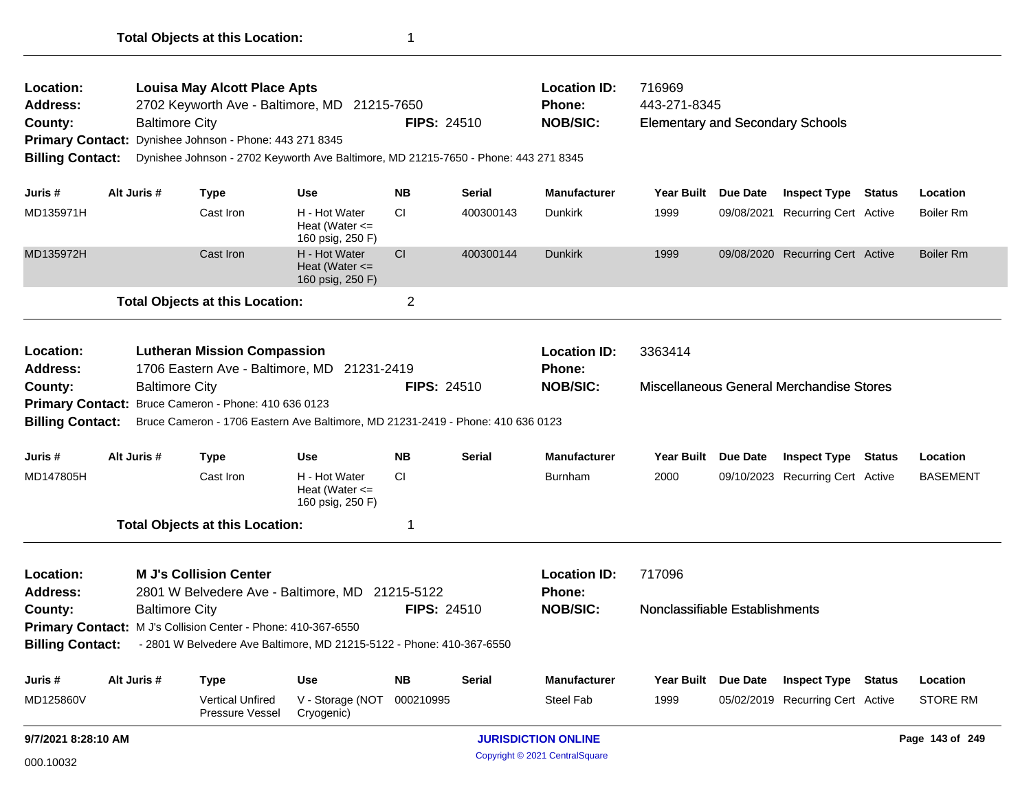| Location:<br>Address:<br>County:                                                                                                                                                                                             |                                                                                   | <b>Baltimore City</b> | <b>Louisa May Alcott Place Apts</b>                           | 2702 Keyworth Ave - Baltimore, MD 21215-7650                                        | <b>FIPS: 24510</b> |               | <b>Location ID:</b><br>Phone:<br><b>NOB/SIC:</b> | 716969<br>443-271-8345<br><b>Elementary and Secondary Schools</b> |                     |                                  |        |                  |  |
|------------------------------------------------------------------------------------------------------------------------------------------------------------------------------------------------------------------------------|-----------------------------------------------------------------------------------|-----------------------|---------------------------------------------------------------|-------------------------------------------------------------------------------------|--------------------|---------------|--------------------------------------------------|-------------------------------------------------------------------|---------------------|----------------------------------|--------|------------------|--|
| Primary Contact: Dynishee Johnson - Phone: 443 271 8345<br><b>Billing Contact:</b>                                                                                                                                           |                                                                                   |                       |                                                               | Dynishee Johnson - 2702 Keyworth Ave Baltimore, MD 21215-7650 - Phone: 443 271 8345 |                    |               |                                                  |                                                                   |                     |                                  |        |                  |  |
| Juris #                                                                                                                                                                                                                      |                                                                                   | Alt Juris #           | <b>Type</b>                                                   | <b>Use</b>                                                                          | <b>NB</b>          | Serial        | <b>Manufacturer</b>                              | <b>Year Built</b>                                                 | Due Date            | <b>Inspect Type Status</b>       |        | Location         |  |
| MD135971H                                                                                                                                                                                                                    |                                                                                   |                       | Cast Iron                                                     | H - Hot Water<br>Heat (Water $\leq$<br>160 psig, 250 F)                             | CI.                | 400300143     | <b>Dunkirk</b>                                   | 1999                                                              | 09/08/2021          | <b>Recurring Cert Active</b>     |        | Boiler Rm        |  |
| MD135972H                                                                                                                                                                                                                    |                                                                                   |                       | Cast Iron                                                     | H - Hot Water<br>Heat (Water $\leq$<br>160 psig, 250 F)                             | CI                 | 400300144     | <b>Dunkirk</b>                                   | 1999                                                              |                     | 09/08/2020 Recurring Cert Active |        | <b>Boiler Rm</b> |  |
|                                                                                                                                                                                                                              |                                                                                   |                       | <b>Total Objects at this Location:</b>                        |                                                                                     | 2                  |               |                                                  |                                                                   |                     |                                  |        |                  |  |
| Location:<br><b>Address:</b>                                                                                                                                                                                                 | <b>Lutheran Mission Compassion</b><br>1706 Eastern Ave - Baltimore, MD 21231-2419 |                       |                                                               |                                                                                     |                    |               | <b>Location ID:</b><br><b>Phone:</b>             | 3363414                                                           |                     |                                  |        |                  |  |
| <b>Baltimore City</b><br><b>FIPS: 24510</b><br>County:<br>Primary Contact: Bruce Cameron - Phone: 410 636 0123<br><b>Billing Contact:</b><br>Bruce Cameron - 1706 Eastern Ave Baltimore, MD 21231-2419 - Phone: 410 636 0123 |                                                                                   |                       |                                                               |                                                                                     |                    |               | <b>NOB/SIC:</b>                                  | Miscellaneous General Merchandise Stores                          |                     |                                  |        |                  |  |
| Juris #                                                                                                                                                                                                                      |                                                                                   | Alt Juris #           | <b>Type</b>                                                   | Use                                                                                 | <b>NB</b>          | <b>Serial</b> | <b>Manufacturer</b>                              | Year Built                                                        | <b>Due Date</b>     | <b>Inspect Type</b>              | Status | Location         |  |
| MD147805H                                                                                                                                                                                                                    |                                                                                   |                       | Cast Iron                                                     | H - Hot Water<br>Heat (Water $\leq$<br>160 psig, 250 F)                             | CI                 |               | <b>Burnham</b>                                   | 2000                                                              |                     | 09/10/2023 Recurring Cert Active |        | <b>BASEMENT</b>  |  |
|                                                                                                                                                                                                                              |                                                                                   |                       | <b>Total Objects at this Location:</b>                        |                                                                                     | 1                  |               |                                                  |                                                                   |                     |                                  |        |                  |  |
| Location:<br><b>Address:</b>                                                                                                                                                                                                 | <b>M J's Collision Center</b><br>2801 W Belvedere Ave - Baltimore, MD 21215-5122  |                       |                                                               |                                                                                     |                    |               | <b>Location ID:</b><br>717096<br>Phone:          |                                                                   |                     |                                  |        |                  |  |
| County:<br><b>Billing Contact:</b>                                                                                                                                                                                           |                                                                                   | <b>Baltimore City</b> | Primary Contact: M J's Collision Center - Phone: 410-367-6550 | - 2801 W Belvedere Ave Baltimore, MD 21215-5122 - Phone: 410-367-6550               | <b>FIPS: 24510</b> |               | <b>NOB/SIC:</b>                                  | Nonclassifiable Establishments                                    |                     |                                  |        |                  |  |
| Juris #                                                                                                                                                                                                                      |                                                                                   | Alt Juris #           | Type                                                          | <b>Use</b>                                                                          | <b>NB</b>          | <b>Serial</b> | <b>Manufacturer</b>                              |                                                                   | Year Built Due Date | <b>Inspect Type Status</b>       |        | Location         |  |
| MD125860V                                                                                                                                                                                                                    |                                                                                   |                       | <b>Vertical Unfired</b><br>Pressure Vessel                    | V - Storage (NOT<br>Cryogenic)                                                      | 000210995          |               | Steel Fab                                        | 1999                                                              |                     | 05/02/2019 Recurring Cert Active |        | <b>STORE RM</b>  |  |
| 9/7/2021 8:28:10 AM                                                                                                                                                                                                          |                                                                                   |                       |                                                               |                                                                                     |                    |               | <b>JURISDICTION ONLINE</b>                       |                                                                   |                     |                                  |        | Page 143 of 249  |  |
| 000.10032                                                                                                                                                                                                                    |                                                                                   |                       |                                                               |                                                                                     |                    |               | Copyright © 2021 CentralSquare                   |                                                                   |                     |                                  |        |                  |  |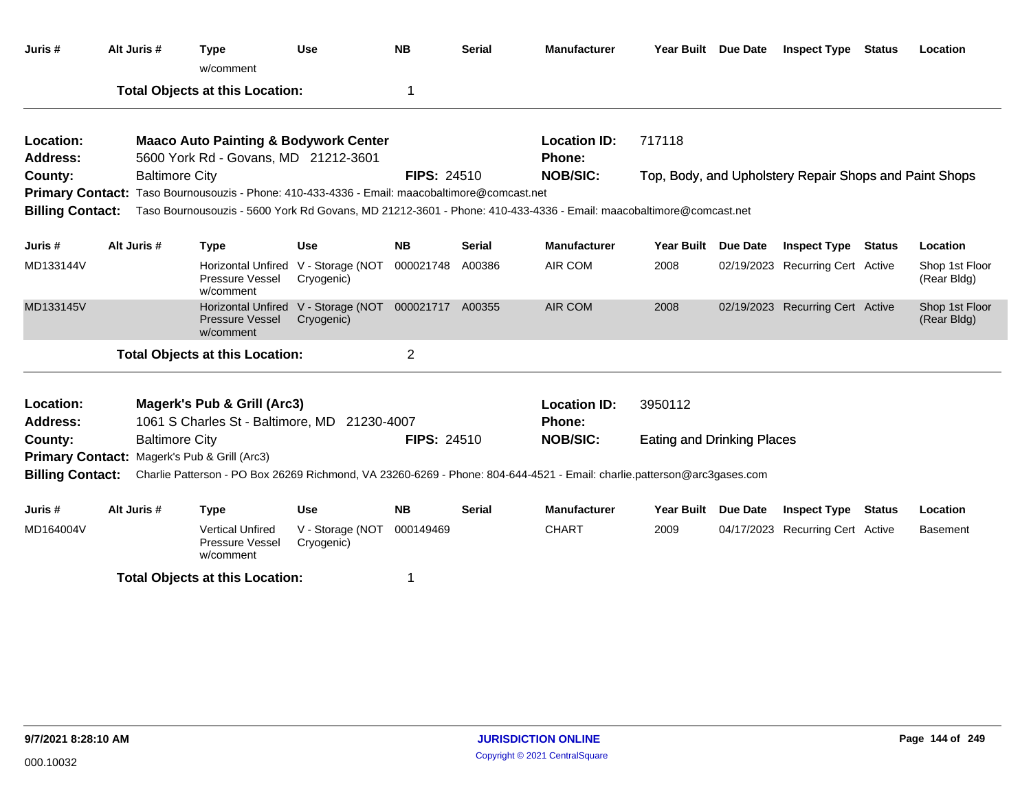| Juris #                      | Alt Juris # |                       | <b>Type</b><br>w/comment                                                                      | <b>Use</b>                                        | <b>NB</b>          | <b>Serial</b> | <b>Manufacturer</b>                                                                                                     | Year Built Due Date               |  | <b>Inspect Type Status</b>                             |        | Location                      |  |
|------------------------------|-------------|-----------------------|-----------------------------------------------------------------------------------------------|---------------------------------------------------|--------------------|---------------|-------------------------------------------------------------------------------------------------------------------------|-----------------------------------|--|--------------------------------------------------------|--------|-------------------------------|--|
|                              |             |                       | <b>Total Objects at this Location:</b>                                                        |                                                   | 1                  |               |                                                                                                                         |                                   |  |                                                        |        |                               |  |
| Location:<br><b>Address:</b> |             |                       | <b>Maaco Auto Painting &amp; Bodywork Center</b><br>5600 York Rd - Govans, MD 21212-3601      |                                                   |                    |               | <b>Location ID:</b><br>Phone:                                                                                           | 717118                            |  |                                                        |        |                               |  |
| County:                      |             | <b>Baltimore City</b> |                                                                                               |                                                   | <b>FIPS: 24510</b> |               | <b>NOB/SIC:</b>                                                                                                         |                                   |  | Top, Body, and Upholstery Repair Shops and Paint Shops |        |                               |  |
|                              |             |                       | Primary Contact: Taso Bournousouzis - Phone: 410-433-4336 - Email: maacobaltimore@comcast.net |                                                   |                    |               |                                                                                                                         |                                   |  |                                                        |        |                               |  |
| <b>Billing Contact:</b>      |             |                       |                                                                                               |                                                   |                    |               | Taso Bournousouzis - 5600 York Rd Govans, MD 21212-3601 - Phone: 410-433-4336 - Email: maacobaltimore@comcast.net       |                                   |  |                                                        |        |                               |  |
| Juris #                      | Alt Juris # |                       | <b>Type</b>                                                                                   | <b>Use</b>                                        | <b>NB</b>          | <b>Serial</b> | <b>Manufacturer</b>                                                                                                     | Year Built Due Date               |  | <b>Inspect Type Status</b>                             |        | Location                      |  |
| MD133144V                    |             |                       | Pressure Vessel<br>w/comment                                                                  | Horizontal Unfired V - Storage (NOT<br>Cryogenic) | 000021748          | A00386        | AIR COM                                                                                                                 | 2008                              |  | 02/19/2023 Recurring Cert Active                       |        | Shop 1st Floor<br>(Rear Bldg) |  |
| MD133145V                    |             |                       | <b>Horizontal Unfired</b><br><b>Pressure Vessel</b><br>w/comment                              | V - Storage (NOT<br>Cryogenic)                    | 000021717 A00355   |               | AIR COM                                                                                                                 | 2008                              |  | 02/19/2023 Recurring Cert Active                       |        | Shop 1st Floor<br>(Rear Bldg) |  |
|                              |             |                       | <b>Total Objects at this Location:</b>                                                        |                                                   | $\overline{2}$     |               |                                                                                                                         |                                   |  |                                                        |        |                               |  |
| Location:<br><b>Address:</b> |             |                       | Magerk's Pub & Grill (Arc3)<br>1061 S Charles St - Baltimore, MD 21230-4007                   |                                                   |                    |               | <b>Location ID:</b><br>Phone:                                                                                           | 3950112                           |  |                                                        |        |                               |  |
| County:                      |             | <b>Baltimore City</b> |                                                                                               |                                                   | <b>FIPS: 24510</b> |               | <b>NOB/SIC:</b>                                                                                                         | <b>Eating and Drinking Places</b> |  |                                                        |        |                               |  |
| <b>Primary Contact:</b>      |             |                       | Magerk's Pub & Grill (Arc3)                                                                   |                                                   |                    |               |                                                                                                                         |                                   |  |                                                        |        |                               |  |
| <b>Billing Contact:</b>      |             |                       |                                                                                               |                                                   |                    |               | Charlie Patterson - PO Box 26269 Richmond, VA 23260-6269 - Phone: 804-644-4521 - Email: charlie.patterson@arc3gases.com |                                   |  |                                                        |        |                               |  |
| Juris #                      | Alt Juris # |                       | <b>Type</b>                                                                                   | <b>Use</b>                                        | <b>NB</b>          | <b>Serial</b> | <b>Manufacturer</b>                                                                                                     | Year Built Due Date               |  | <b>Inspect Type</b>                                    | Status | Location                      |  |
| MD164004V                    |             |                       | <b>Vertical Unfired</b><br>Pressure Vessel<br>w/comment                                       | V - Storage (NOT<br>Cryogenic)                    | 000149469          |               | <b>CHART</b>                                                                                                            | 2009                              |  | 04/17/2023 Recurring Cert Active                       |        | <b>Basement</b>               |  |
|                              |             |                       | <b>Total Objects at this Location:</b>                                                        |                                                   | 1                  |               |                                                                                                                         |                                   |  |                                                        |        |                               |  |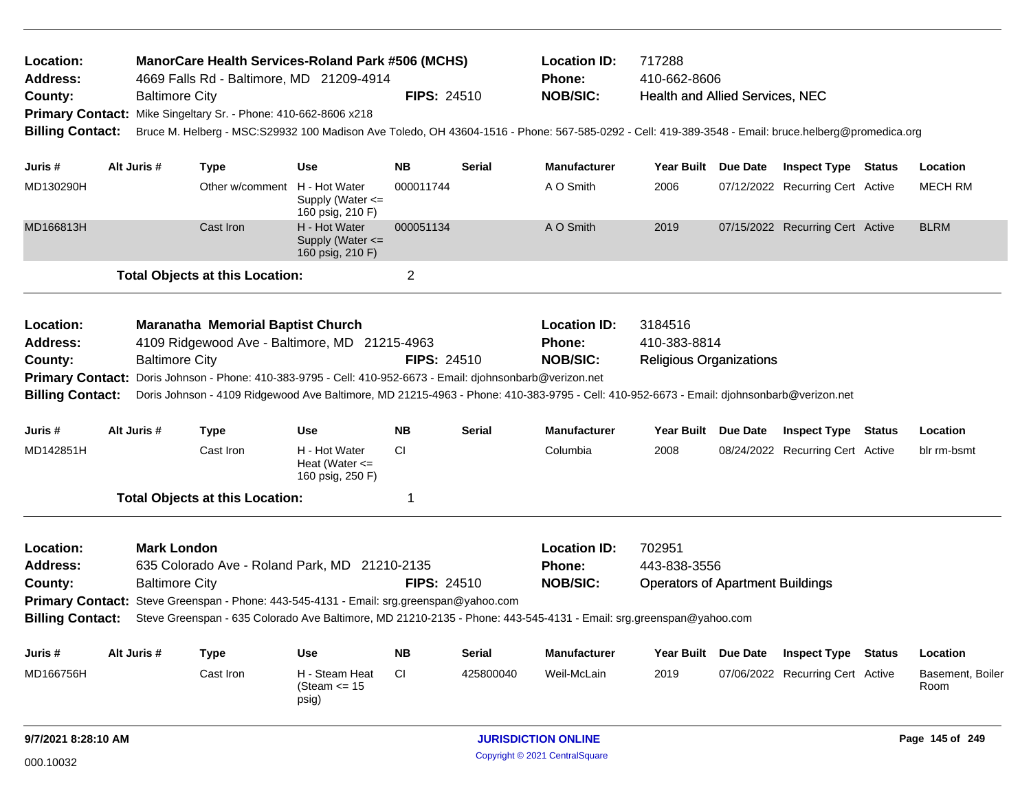| Location:<br><b>Address:</b> |  |                       | <b>ManorCare Health Services-Roland Park #506 (MCHS)</b><br>4669 Falls Rd - Baltimore, MD 21209-4914        |                                                           |                            |               | <b>Location ID:</b><br>717288<br>410-662-8606<br>Phone:                                                                                             |                                         |                 |                                  |  |                          |
|------------------------------|--|-----------------------|-------------------------------------------------------------------------------------------------------------|-----------------------------------------------------------|----------------------------|---------------|-----------------------------------------------------------------------------------------------------------------------------------------------------|-----------------------------------------|-----------------|----------------------------------|--|--------------------------|
| County:                      |  | <b>Baltimore City</b> |                                                                                                             |                                                           | <b>FIPS: 24510</b>         |               | <b>NOB/SIC:</b>                                                                                                                                     | Health and Allied Services, NEC         |                 |                                  |  |                          |
|                              |  |                       | Primary Contact: Mike Singeltary Sr. - Phone: 410-662-8606 x218                                             |                                                           |                            |               |                                                                                                                                                     |                                         |                 |                                  |  |                          |
| <b>Billing Contact:</b>      |  |                       |                                                                                                             |                                                           |                            |               | Bruce M. Helberg - MSC:S29932 100 Madison Ave Toledo, OH 43604-1516 - Phone: 567-585-0292 - Cell: 419-389-3548 - Email: bruce.helberg@promedica.org |                                         |                 |                                  |  |                          |
| Juris #                      |  | Alt Juris #           | <b>Type</b>                                                                                                 | <b>Use</b>                                                | <b>NB</b>                  | Serial        | <b>Manufacturer</b>                                                                                                                                 | Year Built Due Date                     |                 | <b>Inspect Type Status</b>       |  | Location                 |
| MD130290H                    |  |                       | Other w/comment H - Hot Water                                                                               | Supply (Water $\leq$<br>160 psig, 210 F)                  | 000011744                  |               | A O Smith                                                                                                                                           | 2006                                    |                 | 07/12/2022 Recurring Cert Active |  | <b>MECH RM</b>           |
| MD166813H                    |  |                       | Cast Iron                                                                                                   | H - Hot Water<br>Supply (Water $\leq$<br>160 psig, 210 F) | 000051134                  |               | A O Smith                                                                                                                                           | 2019                                    |                 | 07/15/2022 Recurring Cert Active |  | <b>BLRM</b>              |
|                              |  |                       | <b>Total Objects at this Location:</b>                                                                      |                                                           | $\overline{2}$             |               |                                                                                                                                                     |                                         |                 |                                  |  |                          |
| Location:                    |  |                       | <b>Maranatha Memorial Baptist Church</b>                                                                    |                                                           |                            |               | <b>Location ID:</b>                                                                                                                                 | 3184516                                 |                 |                                  |  |                          |
| <b>Address:</b>              |  |                       | 4109 Ridgewood Ave - Baltimore, MD 21215-4963                                                               |                                                           |                            |               | <b>Phone:</b>                                                                                                                                       | 410-383-8814                            |                 |                                  |  |                          |
| County:                      |  | <b>Baltimore City</b> |                                                                                                             |                                                           | <b>FIPS: 24510</b>         |               | <b>NOB/SIC:</b>                                                                                                                                     | <b>Religious Organizations</b>          |                 |                                  |  |                          |
|                              |  |                       | Primary Contact: Doris Johnson - Phone: 410-383-9795 - Cell: 410-952-6673 - Email: djohnsonbarb@verizon.net |                                                           |                            |               |                                                                                                                                                     |                                         |                 |                                  |  |                          |
| <b>Billing Contact:</b>      |  |                       |                                                                                                             |                                                           |                            |               | Doris Johnson - 4109 Ridgewood Ave Baltimore, MD 21215-4963 - Phone: 410-383-9795 - Cell: 410-952-6673 - Email: djohnsonbarb@verizon.net            |                                         |                 |                                  |  |                          |
| Juris #                      |  | Alt Juris #           | <b>Type</b>                                                                                                 | Use                                                       | <b>NB</b>                  | <b>Serial</b> | <b>Manufacturer</b>                                                                                                                                 | Year Built Due Date                     |                 | <b>Inspect Type Status</b>       |  | Location                 |
| MD142851H                    |  |                       | Cast Iron                                                                                                   | H - Hot Water<br>Heat (Water $\leq$<br>160 psig, 250 F)   | CI.                        |               | Columbia                                                                                                                                            | 2008                                    |                 | 08/24/2022 Recurring Cert Active |  | blr rm-bsmt              |
|                              |  |                       | <b>Total Objects at this Location:</b>                                                                      |                                                           | 1                          |               |                                                                                                                                                     |                                         |                 |                                  |  |                          |
| Location:                    |  | <b>Mark London</b>    |                                                                                                             |                                                           |                            |               | <b>Location ID:</b>                                                                                                                                 | 702951                                  |                 |                                  |  |                          |
| <b>Address:</b>              |  |                       | 635 Colorado Ave - Roland Park, MD 21210-2135                                                               |                                                           |                            |               | <b>Phone:</b>                                                                                                                                       | 443-838-3556                            |                 |                                  |  |                          |
| County:                      |  | <b>Baltimore City</b> |                                                                                                             |                                                           | <b>FIPS: 24510</b>         |               | <b>NOB/SIC:</b>                                                                                                                                     | <b>Operators of Apartment Buildings</b> |                 |                                  |  |                          |
|                              |  |                       | Primary Contact: Steve Greenspan - Phone: 443-545-4131 - Email: srg.greenspan@yahoo.com                     |                                                           |                            |               |                                                                                                                                                     |                                         |                 |                                  |  |                          |
| <b>Billing Contact:</b>      |  |                       |                                                                                                             |                                                           |                            |               | Steve Greenspan - 635 Colorado Ave Baltimore, MD 21210-2135 - Phone: 443-545-4131 - Email: srg.greenspan@yahoo.com                                  |                                         |                 |                                  |  |                          |
| Juris #                      |  | Alt Juris #           | <b>Type</b>                                                                                                 | <b>Use</b>                                                | <b>NB</b>                  | <b>Serial</b> | <b>Manufacturer</b>                                                                                                                                 | Year Built                              | <b>Due Date</b> | <b>Inspect Type Status</b>       |  | Location                 |
| MD166756H                    |  |                       | Cast Iron                                                                                                   | H - Steam Heat<br>(Steam $\le$ 15<br>psig)                | <b>CI</b>                  | 425800040     | Weil-McLain                                                                                                                                         | 2019                                    |                 | 07/06/2022 Recurring Cert Active |  | Basement, Boiler<br>Room |
| 9/7/2021 8:28:10 AM          |  |                       |                                                                                                             |                                                           | <b>JURISDICTION ONLINE</b> |               |                                                                                                                                                     |                                         |                 |                                  |  | Page 145 of 249          |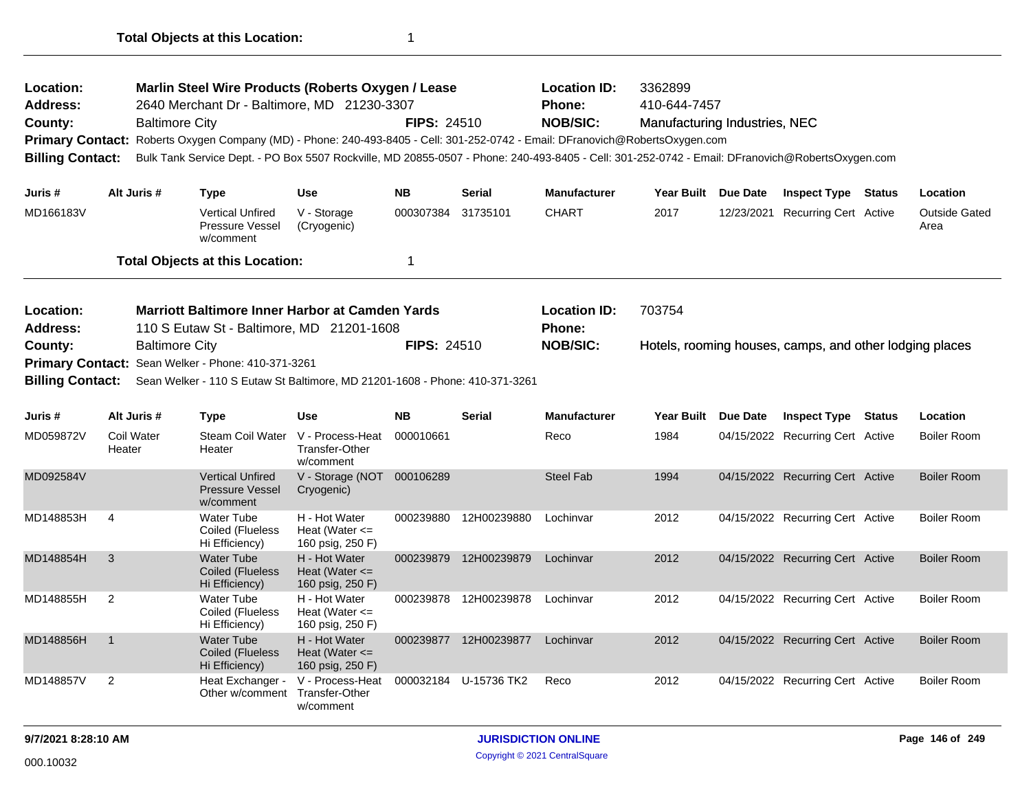| Location:<br><b>Address:</b><br>County:<br><b>Primary Contact:</b><br><b>Billing Contact:</b> |                | <b>Baltimore City</b> | Marlin Steel Wire Products (Roberts Oxygen / Lease<br>2640 Merchant Dr - Baltimore, MD 21230-3307<br>Roberts Oxygen Company (MD) - Phone: 240-493-8405 - Cell: 301-252-0742 - Email: DFranovich@RobertsOxygen.com |                                                         | <b>FIPS: 24510</b> |                       | <b>Location ID:</b><br>Phone:<br><b>NOB/SIC:</b> | 3362899<br>410-644-7457 |                 | Manufacturing Industries, NEC<br>Bulk Tank Service Dept. - PO Box 5507 Rockville, MD 20855-0507 - Phone: 240-493-8405 - Cell: 301-252-0742 - Email: DFranovich@RobertsOxygen.com |        |                              |  |
|-----------------------------------------------------------------------------------------------|----------------|-----------------------|-------------------------------------------------------------------------------------------------------------------------------------------------------------------------------------------------------------------|---------------------------------------------------------|--------------------|-----------------------|--------------------------------------------------|-------------------------|-----------------|----------------------------------------------------------------------------------------------------------------------------------------------------------------------------------|--------|------------------------------|--|
| Juris #                                                                                       |                | Alt Juris #           | Type                                                                                                                                                                                                              | <b>Use</b>                                              | <b>NB</b>          | <b>Serial</b>         | <b>Manufacturer</b>                              | <b>Year Built</b>       | <b>Due Date</b> | <b>Inspect Type Status</b>                                                                                                                                                       |        | Location                     |  |
| MD166183V                                                                                     |                |                       | <b>Vertical Unfired</b><br>Pressure Vessel<br>w/comment                                                                                                                                                           | V - Storage<br>(Cryogenic)                              | 000307384          | 31735101              | <b>CHART</b>                                     | 2017                    | 12/23/2021      | <b>Recurring Cert Active</b>                                                                                                                                                     |        | <b>Outside Gated</b><br>Area |  |
|                                                                                               |                |                       | <b>Total Objects at this Location:</b>                                                                                                                                                                            |                                                         | 1                  |                       |                                                  |                         |                 |                                                                                                                                                                                  |        |                              |  |
| Location:<br><b>Address:</b>                                                                  |                |                       | Marriott Baltimore Inner Harbor at Camden Yards<br>110 S Eutaw St - Baltimore, MD 21201-1608                                                                                                                      |                                                         |                    |                       | <b>Location ID:</b><br>Phone:                    | 703754                  |                 |                                                                                                                                                                                  |        |                              |  |
| County:<br><b>Billing Contact:</b>                                                            |                | <b>Baltimore City</b> | Primary Contact: Sean Welker - Phone: 410-371-3261<br>Sean Welker - 110 S Eutaw St Baltimore, MD 21201-1608 - Phone: 410-371-3261                                                                                 |                                                         | <b>FIPS: 24510</b> |                       | <b>NOB/SIC:</b>                                  |                         |                 | Hotels, rooming houses, camps, and other lodging places                                                                                                                          |        |                              |  |
| Juris #                                                                                       |                | Alt Juris #           | <b>Type</b>                                                                                                                                                                                                       | <b>Use</b>                                              | <b>NB</b>          | <b>Serial</b>         | <b>Manufacturer</b>                              | <b>Year Built</b>       | Due Date        | <b>Inspect Type</b>                                                                                                                                                              | Status | Location                     |  |
| MD059872V                                                                                     | Heater         | Coil Water            | <b>Steam Coil Water</b><br>Heater                                                                                                                                                                                 | V - Process-Heat<br>Transfer-Other<br>w/comment         | 000010661          |                       | Reco                                             | 1984                    |                 | 04/15/2022 Recurring Cert Active                                                                                                                                                 |        | Boiler Room                  |  |
| MD092584V                                                                                     |                |                       | <b>Vertical Unfired</b><br>Pressure Vessel<br>w/comment                                                                                                                                                           | V - Storage (NOT 000106289<br>Cryogenic)                |                    |                       | Steel Fab                                        | 1994                    |                 | 04/15/2022 Recurring Cert Active                                                                                                                                                 |        | <b>Boiler Room</b>           |  |
| MD148853H                                                                                     | 4              |                       | <b>Water Tube</b><br>Coiled (Flueless<br>Hi Efficiency)                                                                                                                                                           | H - Hot Water<br>Heat (Water $\leq$<br>160 psig, 250 F) |                    | 000239880 12H00239880 | Lochinvar                                        | 2012                    |                 | 04/15/2022 Recurring Cert Active                                                                                                                                                 |        | <b>Boiler Room</b>           |  |
| MD148854H                                                                                     | 3              |                       | <b>Water Tube</b><br><b>Coiled (Flueless</b><br>Hi Efficiency)                                                                                                                                                    | H - Hot Water<br>Heat (Water $\leq$<br>160 psig, 250 F) |                    | 000239879 12H00239879 | Lochinvar                                        | 2012                    |                 | 04/15/2022 Recurring Cert Active                                                                                                                                                 |        | <b>Boiler Room</b>           |  |
| MD148855H                                                                                     | $\overline{2}$ |                       | <b>Water Tube</b><br>Coiled (Flueless<br>Hi Efficiency)                                                                                                                                                           | H - Hot Water<br>Heat (Water $\leq$<br>160 psig, 250 F) |                    | 000239878 12H00239878 | Lochinvar                                        | 2012                    |                 | 04/15/2022 Recurring Cert Active                                                                                                                                                 |        | Boiler Room                  |  |
| MD148856H                                                                                     | $\mathbf{1}$   |                       | <b>Water Tube</b><br>Coiled (Flueless<br>Hi Efficiency)                                                                                                                                                           | H - Hot Water<br>Heat (Water $\leq$<br>160 psig, 250 F) |                    | 000239877 12H00239877 | Lochinvar                                        | 2012                    |                 | 04/15/2022 Recurring Cert Active                                                                                                                                                 |        | <b>Boiler Room</b>           |  |
| MD148857V                                                                                     | $\overline{2}$ |                       | Heat Exchanger -<br>Other w/comment                                                                                                                                                                               | V - Process-Heat<br>Transfer-Other<br>w/comment         |                    | 000032184 U-15736 TK2 | Reco                                             | 2012                    |                 | 04/15/2022 Recurring Cert Active                                                                                                                                                 |        | <b>Boiler Room</b>           |  |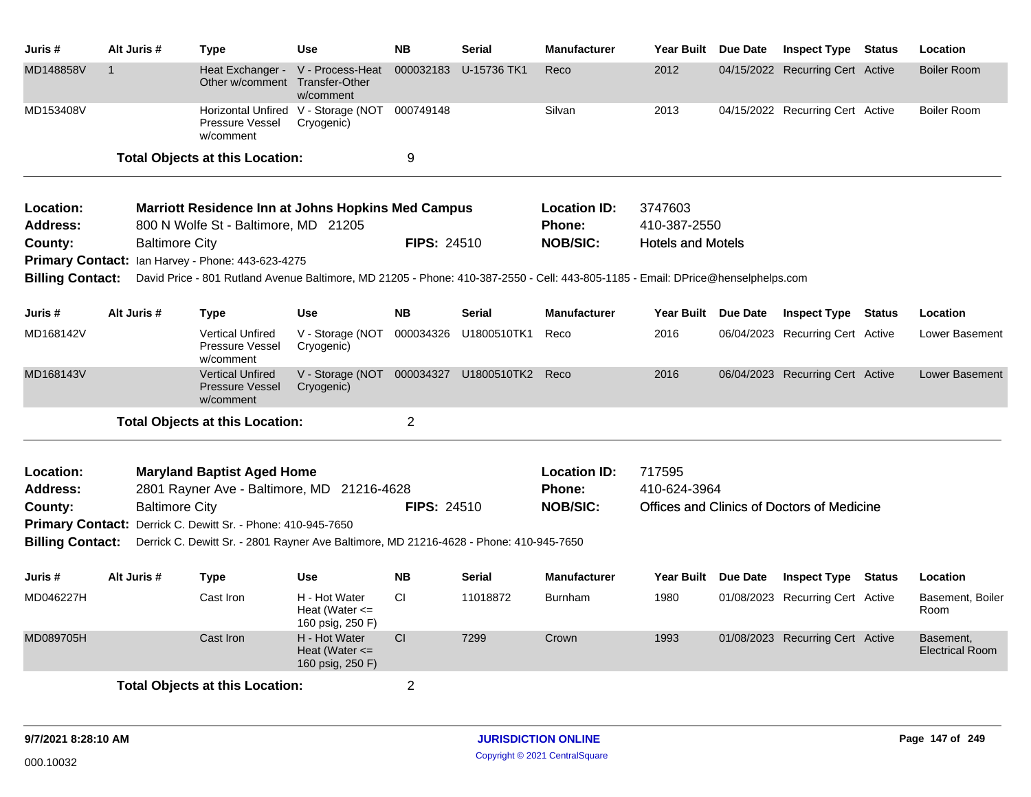| Juris #                             | Alt Juris #           | <b>Type</b>                                                                                                                      | <b>Use</b>                                                  | <b>NB</b>          | <b>Serial</b> | Manufacturer                  | <b>Year Built</b>        | <b>Due Date</b> | <b>Inspect Type</b>                        | Status | Location                            |
|-------------------------------------|-----------------------|----------------------------------------------------------------------------------------------------------------------------------|-------------------------------------------------------------|--------------------|---------------|-------------------------------|--------------------------|-----------------|--------------------------------------------|--------|-------------------------------------|
| MD148858V                           | 1                     | Heat Exchanger -<br>Other w/comment Transfer-Other                                                                               | V - Process-Heat<br>w/comment                               | 000032183          | U-15736 TK1   | Reco                          | 2012                     |                 | 04/15/2022 Recurring Cert Active           |        | <b>Boiler Room</b>                  |
| MD153408V                           |                       | Pressure Vessel<br>w/comment                                                                                                     | Horizontal Unfired V - Storage (NOT 000749148<br>Cryogenic) |                    |               | Silvan                        | 2013                     |                 | 04/15/2022 Recurring Cert Active           |        | <b>Boiler Room</b>                  |
|                                     |                       | <b>Total Objects at this Location:</b>                                                                                           |                                                             | 9                  |               |                               |                          |                 |                                            |        |                                     |
| <b>Location:</b>                    |                       | Marriott Residence Inn at Johns Hopkins Med Campus                                                                               |                                                             |                    |               | <b>Location ID:</b>           | 3747603                  |                 |                                            |        |                                     |
| <b>Address:</b>                     |                       | 800 N Wolfe St - Baltimore, MD 21205                                                                                             |                                                             |                    |               | Phone:                        | 410-387-2550             |                 |                                            |        |                                     |
| County:                             | <b>Baltimore City</b> |                                                                                                                                  |                                                             | <b>FIPS: 24510</b> |               | <b>NOB/SIC:</b>               | <b>Hotels and Motels</b> |                 |                                            |        |                                     |
|                                     |                       | Primary Contact: Ian Harvey - Phone: 443-623-4275                                                                                |                                                             |                    |               |                               |                          |                 |                                            |        |                                     |
| <b>Billing Contact:</b>             |                       | David Price - 801 Rutland Avenue Baltimore, MD 21205 - Phone: 410-387-2550 - Cell: 443-805-1185 - Email: DPrice@henselphelps.com |                                                             |                    |               |                               |                          |                 |                                            |        |                                     |
| Juris #                             | Alt Juris #           | <b>Type</b>                                                                                                                      | <b>Use</b>                                                  | <b>NB</b>          | <b>Serial</b> | <b>Manufacturer</b>           | <b>Year Built</b>        | Due Date        | <b>Inspect Type</b>                        | Status | Location                            |
| MD168142V                           |                       | <b>Vertical Unfired</b><br>Pressure Vessel<br>w/comment                                                                          | V - Storage (NOT<br>Cryogenic)                              | 000034326          | U1800510TK1   | Reco                          | 2016                     |                 | 06/04/2023 Recurring Cert Active           |        | Lower Basement                      |
| MD168143V                           |                       | <b>Vertical Unfired</b><br><b>Pressure Vessel</b><br>w/comment                                                                   | V - Storage (NOT 000034327 U1800510TK2 Reco<br>Cryogenic)   |                    |               |                               | 2016                     |                 | 06/04/2023 Recurring Cert Active           |        | Lower Basement                      |
|                                     |                       | <b>Total Objects at this Location:</b>                                                                                           |                                                             | $\overline{2}$     |               |                               |                          |                 |                                            |        |                                     |
| <b>Location:</b><br><b>Address:</b> |                       | <b>Maryland Baptist Aged Home</b><br>2801 Rayner Ave - Baltimore, MD 21216-4628                                                  |                                                             |                    |               | <b>Location ID:</b><br>Phone: | 717595<br>410-624-3964   |                 |                                            |        |                                     |
| County:                             | <b>Baltimore City</b> |                                                                                                                                  |                                                             | <b>FIPS: 24510</b> |               | <b>NOB/SIC:</b>               |                          |                 | Offices and Clinics of Doctors of Medicine |        |                                     |
|                                     |                       | Primary Contact: Derrick C. Dewitt Sr. - Phone: 410-945-7650                                                                     |                                                             |                    |               |                               |                          |                 |                                            |        |                                     |
| <b>Billing Contact:</b>             |                       | Derrick C. Dewitt Sr. - 2801 Rayner Ave Baltimore, MD 21216-4628 - Phone: 410-945-7650                                           |                                                             |                    |               |                               |                          |                 |                                            |        |                                     |
| Juris #                             | Alt Juris #           | <b>Type</b>                                                                                                                      | <b>Use</b>                                                  | <b>NB</b>          | <b>Serial</b> | <b>Manufacturer</b>           | Year Built               | <b>Due Date</b> | <b>Inspect Type Status</b>                 |        | Location                            |
| MD046227H                           |                       | Cast Iron                                                                                                                        | H - Hot Water<br>Heat (Water $\leq$<br>160 psig, 250 F)     | CI.                | 11018872      | <b>Burnham</b>                | 1980                     |                 | 01/08/2023 Recurring Cert Active           |        | Basement, Boiler<br>Room            |
| MD089705H                           |                       | Cast Iron                                                                                                                        | H - Hot Water<br>Heat (Water $\leq$<br>160 psig, 250 F)     | <b>CI</b>          | 7299          | Crown                         | 1993                     |                 | 01/08/2023 Recurring Cert Active           |        | Basement,<br><b>Electrical Room</b> |
|                                     |                       | <b>Total Objects at this Location:</b>                                                                                           |                                                             | $\overline{2}$     |               |                               |                          |                 |                                            |        |                                     |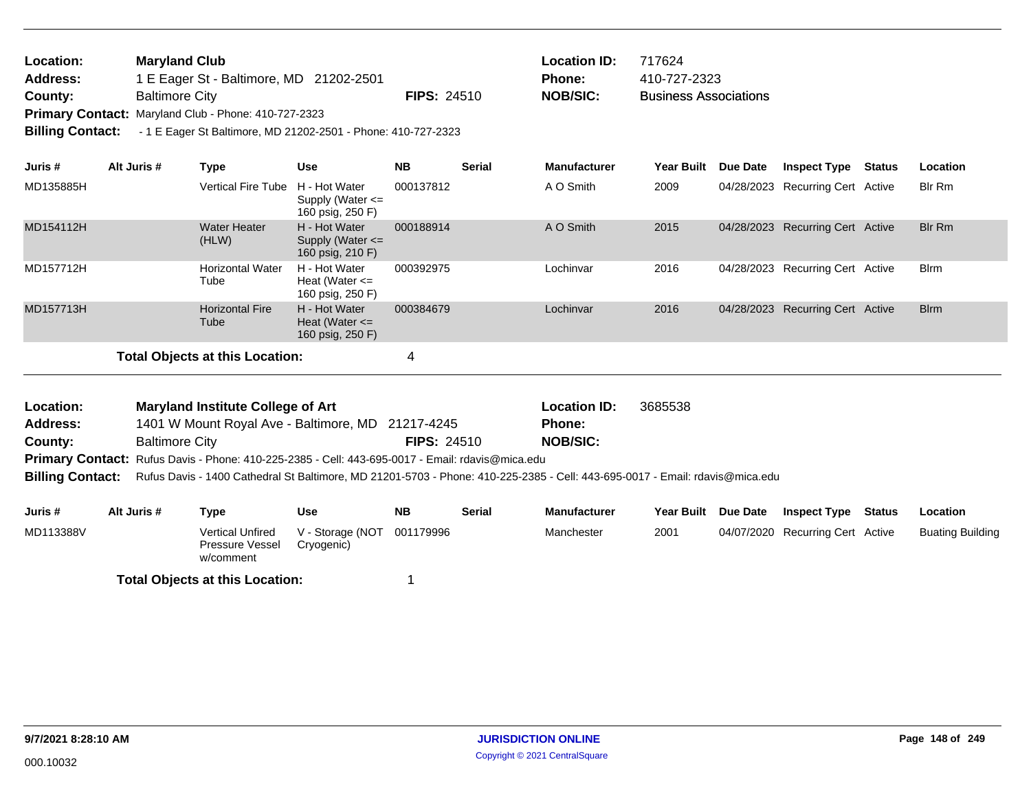| <b>Location:</b>        | <b>Maryland Club</b>                                          |                    | Location        |
|-------------------------|---------------------------------------------------------------|--------------------|-----------------|
| <b>Address:</b>         | 1 E Eager St - Baltimore, MD 21202-2501                       |                    | <b>Phone:</b>   |
| County:                 | <b>Baltimore City</b>                                         | <b>FIPS: 24510</b> | <b>NOB/SIC:</b> |
|                         | <b>Primary Contact:</b> Maryland Club - Phone: 410-727-2323   |                    |                 |
| <b>Billing Contact:</b> | - 1 E Eager St Baltimore, MD 21202-2501 - Phone: 410-727-2323 |                    |                 |

Business Associations **Location ID:** 717624 **Phone:** 410-727-2323

| Juris #   | Alt Juris # | Type                                   | <b>Use</b>                                                | <b>NB</b> | <b>Serial</b> | <b>Manufacturer</b> | <b>Year Built</b> | <b>Due Date</b> | <b>Inspect Type Status</b>       | Location    |
|-----------|-------------|----------------------------------------|-----------------------------------------------------------|-----------|---------------|---------------------|-------------------|-----------------|----------------------------------|-------------|
| MD135885H |             | <b>Vertical Fire Tube</b>              | H - Hot Water<br>Supply (Water $\leq$<br>160 psig, 250 F) | 000137812 |               | A O Smith           | 2009              |                 | 04/28/2023 Recurring Cert Active | Blr Rm      |
| MD154112H |             | <b>Water Heater</b><br>(HLW)           | H - Hot Water<br>Supply (Water $\leq$<br>160 psig, 210 F) | 000188914 |               | A O Smith           | 2015              |                 | 04/28/2023 Recurring Cert Active | Blr Rm      |
| MD157712H |             | <b>Horizontal Water</b><br>Tube        | H - Hot Water<br>Heat (Water $\leq$<br>160 psig, 250 F)   | 000392975 |               | Lochinvar           | 2016              |                 | 04/28/2023 Recurring Cert Active | <b>Blrm</b> |
| MD157713H |             | <b>Horizontal Fire</b><br>Tube         | H - Hot Water<br>Heat (Water $\leq$<br>160 psig, 250 F)   | 000384679 |               | Lochinvar           | 2016              |                 | 04/28/2023 Recurring Cert Active | <b>Blrm</b> |
|           |             | <b>Total Objects at this Location:</b> |                                                           | 4         |               |                     |                   |                 |                                  |             |

| Location:       | <b>Maryland Institute College of Art</b>                                                                                                      |                    | <b>Location ID:</b> | 3685538 |
|-----------------|-----------------------------------------------------------------------------------------------------------------------------------------------|--------------------|---------------------|---------|
| <b>Address:</b> | 1401 W Mount Royal Ave - Baltimore, MD 21217-4245                                                                                             |                    | <b>Phone:</b>       |         |
| County:         | <b>Baltimore City</b>                                                                                                                         | <b>FIPS: 24510</b> | NOB/SIC:            |         |
|                 | Primary Contact: Rufus Davis - Phone: 410-225-2385 - Cell: 443-695-0017 - Email: rdavis@mica.edu                                              |                    |                     |         |
|                 | Billing Contact: Rufus Davis - 1400 Cathedral St Baltimore, MD 21201-5703 - Phone: 410-225-2385 - Cell: 443-695-0017 - Email: rdavis@mica.edu |                    |                     |         |
|                 |                                                                                                                                               |                    |                     |         |

| Juris #   | Alt Juris # | ™уре                                             | Use                                      | <b>NB</b> | <b>Serial</b> | <b>Manufacturer</b> | Year Built | <b>Due Date</b> | <b>Inspect Type</b>              | Status | Location                |
|-----------|-------------|--------------------------------------------------|------------------------------------------|-----------|---------------|---------------------|------------|-----------------|----------------------------------|--------|-------------------------|
| MD113388V |             | Vertical Unfired<br>Pressure Vessel<br>w/comment | V - Storage (NOT 001179996<br>Cryogenic) |           |               | Manchester          | 2001       |                 | 04/07/2020 Recurring Cert Active |        | <b>Buating Building</b> |
|           |             | <b>Total Objects at this Location:</b>           |                                          |           |               |                     |            |                 |                                  |        |                         |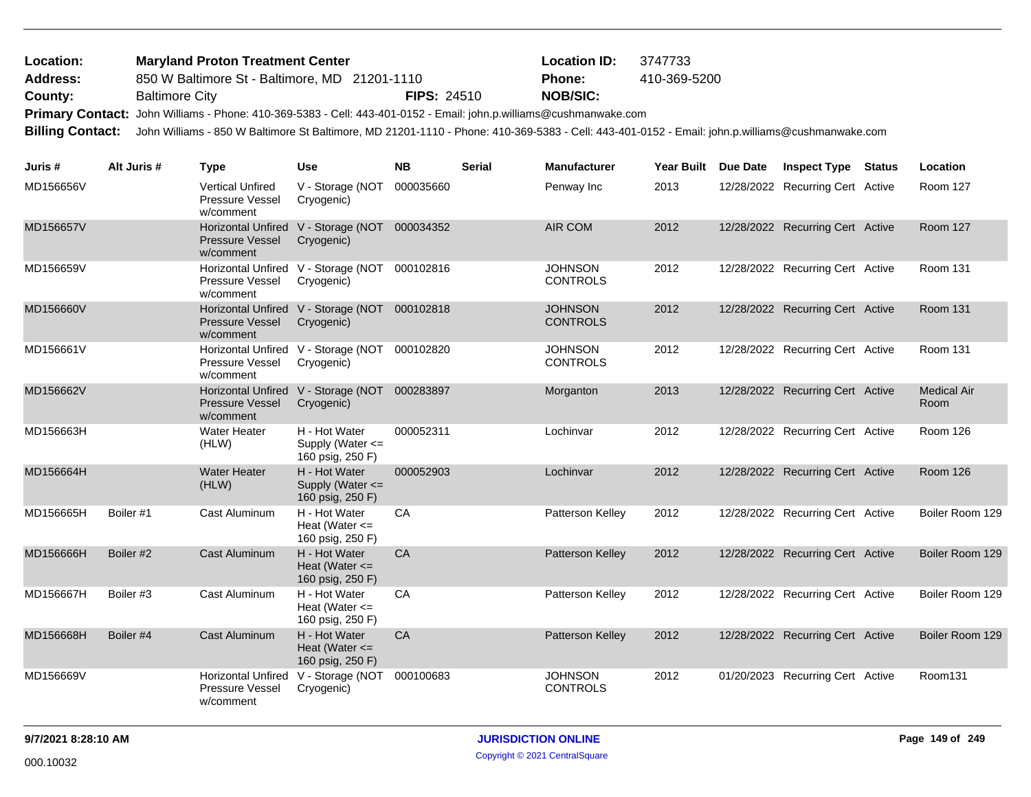| Location: | <b>Maryland Proton Treatment Center</b>                                                                            |                    | <b>Location ID:</b> | 3747733      |
|-----------|--------------------------------------------------------------------------------------------------------------------|--------------------|---------------------|--------------|
| Address:  | 850 W Baltimore St - Baltimore, MD 21201-1110                                                                      |                    | <b>Phone:</b>       | 410-369-5200 |
| County:   | <b>Baltimore City</b>                                                                                              | <b>FIPS: 24510</b> | NOB/SIC:            |              |
|           | Primary Contact: John Williams - Phone: 410-369-5383 - Cell: 443-401-0152 - Email: john.p.williams@cushmanwake.com |                    |                     |              |

**Billing Contact:** John Williams - 850 W Baltimore St Baltimore, MD 21201-1110 - Phone: 410-369-5383 - Cell: 443-401-0152 - Email: john.p.williams@cushmanwake.com

| Juris #   | Alt Juris # | <b>Type</b>                                               | <b>Use</b>                                                  | <b>NB</b> | <b>Serial</b> | <b>Manufacturer</b>               | <b>Year Built</b> | <b>Due Date</b> | <b>Inspect Type</b>              | <b>Status</b> | Location                   |
|-----------|-------------|-----------------------------------------------------------|-------------------------------------------------------------|-----------|---------------|-----------------------------------|-------------------|-----------------|----------------------------------|---------------|----------------------------|
| MD156656V |             | <b>Vertical Unfired</b><br>Pressure Vessel<br>w/comment   | V - Storage (NOT<br>Cryogenic)                              | 000035660 |               | Penway Inc                        | 2013              |                 | 12/28/2022 Recurring Cert Active |               | <b>Room 127</b>            |
| MD156657V |             | <b>Pressure Vessel</b><br>w/comment                       | Horizontal Unfired V - Storage (NOT 000034352<br>Cryogenic) |           |               | AIR COM                           | 2012              |                 | 12/28/2022 Recurring Cert Active |               | <b>Room 127</b>            |
| MD156659V |             | Pressure Vessel<br>w/comment                              | Horizontal Unfired V - Storage (NOT<br>Cryogenic)           | 000102816 |               | <b>JOHNSON</b><br><b>CONTROLS</b> | 2012              |                 | 12/28/2022 Recurring Cert Active |               | Room 131                   |
| MD156660V |             | <b>Pressure Vessel</b><br>w/comment                       | Horizontal Unfired V - Storage (NOT 000102818<br>Cryogenic) |           |               | <b>JOHNSON</b><br><b>CONTROLS</b> | 2012              |                 | 12/28/2022 Recurring Cert Active |               | <b>Room 131</b>            |
| MD156661V |             | Pressure Vessel<br>w/comment                              | Horizontal Unfired V - Storage (NOT<br>Cryogenic)           | 000102820 |               | <b>JOHNSON</b><br><b>CONTROLS</b> | 2012              |                 | 12/28/2022 Recurring Cert Active |               | <b>Room 131</b>            |
| MD156662V |             | <b>Pressure Vessel</b><br>w/comment                       | Horizontal Unfired V - Storage (NOT<br>Cryogenic)           | 000283897 |               | Morganton                         | 2013              |                 | 12/28/2022 Recurring Cert Active |               | <b>Medical Air</b><br>Room |
| MD156663H |             | <b>Water Heater</b><br>(HLW)                              | H - Hot Water<br>Supply (Water <=<br>160 psig, 250 F)       | 000052311 |               | Lochinvar                         | 2012              |                 | 12/28/2022 Recurring Cert Active |               | Room 126                   |
| MD156664H |             | Water Heater<br>(HLW)                                     | H - Hot Water<br>Supply (Water <=<br>160 psig, 250 F)       | 000052903 |               | Lochinvar                         | 2012              |                 | 12/28/2022 Recurring Cert Active |               | <b>Room 126</b>            |
| MD156665H | Boiler #1   | Cast Aluminum                                             | H - Hot Water<br>Heat (Water $\leq$<br>160 psig, 250 F)     | CA        |               | Patterson Kelley                  | 2012              |                 | 12/28/2022 Recurring Cert Active |               | Boiler Room 129            |
| MD156666H | Boiler #2   | <b>Cast Aluminum</b>                                      | H - Hot Water<br>Heat (Water $\leq$<br>160 psig, 250 F)     | CA        |               | Patterson Kelley                  | 2012              |                 | 12/28/2022 Recurring Cert Active |               | Boiler Room 129            |
| MD156667H | Boiler #3   | Cast Aluminum                                             | H - Hot Water<br>Heat (Water $\leq$<br>160 psig, 250 F)     | CA        |               | Patterson Kelley                  | 2012              |                 | 12/28/2022 Recurring Cert Active |               | Boiler Room 129            |
| MD156668H | Boiler #4   | <b>Cast Aluminum</b>                                      | H - Hot Water<br>Heat (Water $\leq$<br>160 psig, 250 F)     | CA        |               | <b>Patterson Kelley</b>           | 2012              |                 | 12/28/2022 Recurring Cert Active |               | Boiler Room 129            |
| MD156669V |             | <b>Horizontal Unfired</b><br>Pressure Vessel<br>w/comment | V - Storage (NOT<br>Cryogenic)                              | 000100683 |               | <b>JOHNSON</b><br><b>CONTROLS</b> | 2012              |                 | 01/20/2023 Recurring Cert Active |               | Room131                    |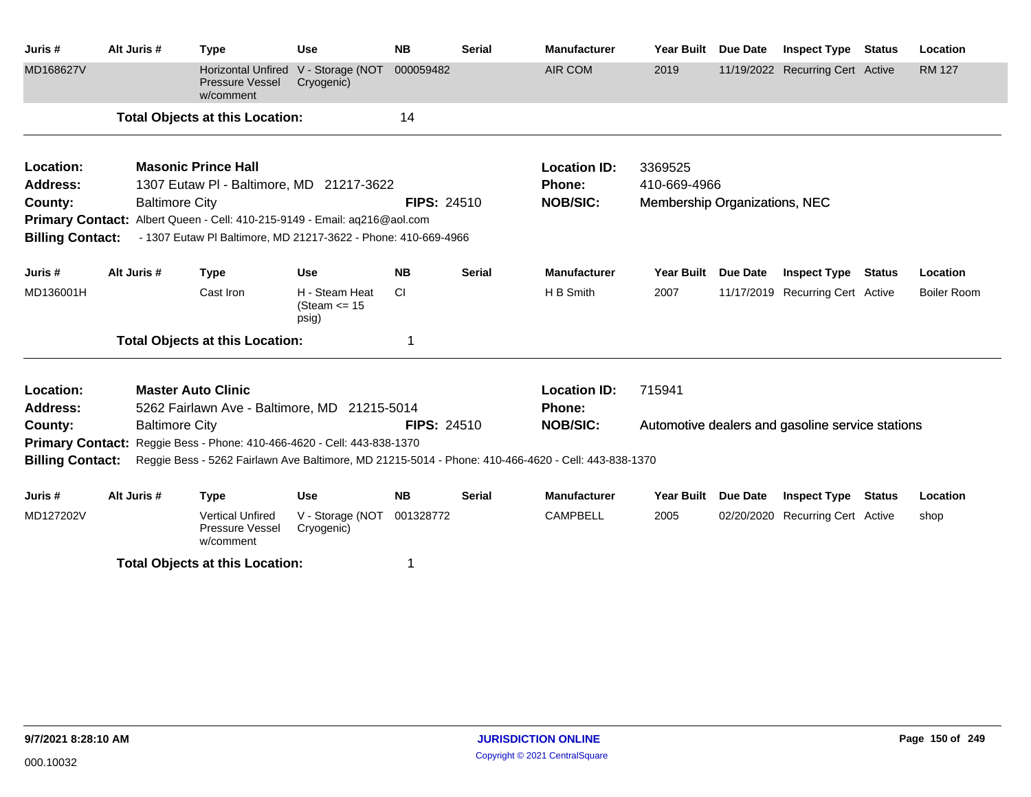| Juris #                                                                                   | Alt Juris # |                       | <b>Type</b>                                                               | <b>Use</b>                                 | <b>NB</b>          | <b>Serial</b> | <b>Manufacturer</b>                                                                                 | <b>Year Built</b>             | Due Date        | <b>Inspect Type</b>                              | <b>Status</b> | Location           |
|-------------------------------------------------------------------------------------------|-------------|-----------------------|---------------------------------------------------------------------------|--------------------------------------------|--------------------|---------------|-----------------------------------------------------------------------------------------------------|-------------------------------|-----------------|--------------------------------------------------|---------------|--------------------|
| MD168627V                                                                                 |             |                       | <b>Horizontal Unfired</b><br><b>Pressure Vessel</b><br>w/comment          | V - Storage (NOT<br>Cryogenic)             | 000059482          |               | AIR COM                                                                                             | 2019                          |                 | 11/19/2022 Recurring Cert Active                 |               | <b>RM 127</b>      |
|                                                                                           |             |                       | <b>Total Objects at this Location:</b>                                    |                                            | 14                 |               |                                                                                                     |                               |                 |                                                  |               |                    |
| Location:                                                                                 |             |                       | <b>Masonic Prince Hall</b>                                                |                                            |                    |               | <b>Location ID:</b>                                                                                 | 3369525                       |                 |                                                  |               |                    |
| <b>Address:</b>                                                                           |             |                       | 1307 Eutaw PI - Baltimore, MD 21217-3622                                  |                                            |                    |               | <b>Phone:</b>                                                                                       | 410-669-4966                  |                 |                                                  |               |                    |
| County:                                                                                   |             | <b>Baltimore City</b> |                                                                           |                                            | <b>FIPS: 24510</b> |               | <b>NOB/SIC:</b>                                                                                     | Membership Organizations, NEC |                 |                                                  |               |                    |
|                                                                                           |             |                       | Primary Contact: Albert Queen - Cell: 410-215-9149 - Email: aq216@aol.com |                                            |                    |               |                                                                                                     |                               |                 |                                                  |               |                    |
| <b>Billing Contact:</b><br>- 1307 Eutaw PI Baltimore, MD 21217-3622 - Phone: 410-669-4966 |             |                       |                                                                           |                                            |                    |               |                                                                                                     |                               |                 |                                                  |               |                    |
| Juris #                                                                                   | Alt Juris # |                       | <b>Type</b>                                                               | <b>Use</b>                                 | <b>NB</b>          | <b>Serial</b> | <b>Manufacturer</b>                                                                                 | Year Built                    | <b>Due Date</b> | <b>Inspect Type</b>                              | Status        | Location           |
| MD136001H                                                                                 |             |                       | Cast Iron                                                                 | H - Steam Heat<br>(Steam $\le$ 15<br>psig) | <b>CI</b>          |               | H B Smith                                                                                           | 2007                          |                 | 11/17/2019 Recurring Cert Active                 |               | <b>Boiler Room</b> |
|                                                                                           |             |                       | <b>Total Objects at this Location:</b>                                    |                                            | 1                  |               |                                                                                                     |                               |                 |                                                  |               |                    |
| Location:                                                                                 |             |                       | <b>Master Auto Clinic</b>                                                 |                                            |                    |               | <b>Location ID:</b>                                                                                 | 715941                        |                 |                                                  |               |                    |
| <b>Address:</b>                                                                           |             |                       | 5262 Fairlawn Ave - Baltimore, MD 21215-5014                              |                                            |                    |               | <b>Phone:</b>                                                                                       |                               |                 |                                                  |               |                    |
| County:                                                                                   |             | <b>Baltimore City</b> |                                                                           |                                            | <b>FIPS: 24510</b> |               | <b>NOB/SIC:</b>                                                                                     |                               |                 | Automotive dealers and gasoline service stations |               |                    |
|                                                                                           |             |                       | Primary Contact: Reggie Bess - Phone: 410-466-4620 - Cell: 443-838-1370   |                                            |                    |               |                                                                                                     |                               |                 |                                                  |               |                    |
| <b>Billing Contact:</b>                                                                   |             |                       |                                                                           |                                            |                    |               | Reggie Bess - 5262 Fairlawn Ave Baltimore, MD 21215-5014 - Phone: 410-466-4620 - Cell: 443-838-1370 |                               |                 |                                                  |               |                    |
| Juris #                                                                                   | Alt Juris # |                       | <b>Type</b>                                                               | <b>Use</b>                                 | <b>NB</b>          | <b>Serial</b> | <b>Manufacturer</b>                                                                                 | <b>Year Built</b>             | Due Date        | <b>Inspect Type</b>                              | Status        | Location           |
| MD127202V                                                                                 |             |                       | <b>Vertical Unfired</b><br>Pressure Vessel<br>w/comment                   | V - Storage (NOT<br>Cryogenic)             | 001328772          |               | <b>CAMPBELL</b>                                                                                     | 2005                          |                 | 02/20/2020 Recurring Cert Active                 |               | shop               |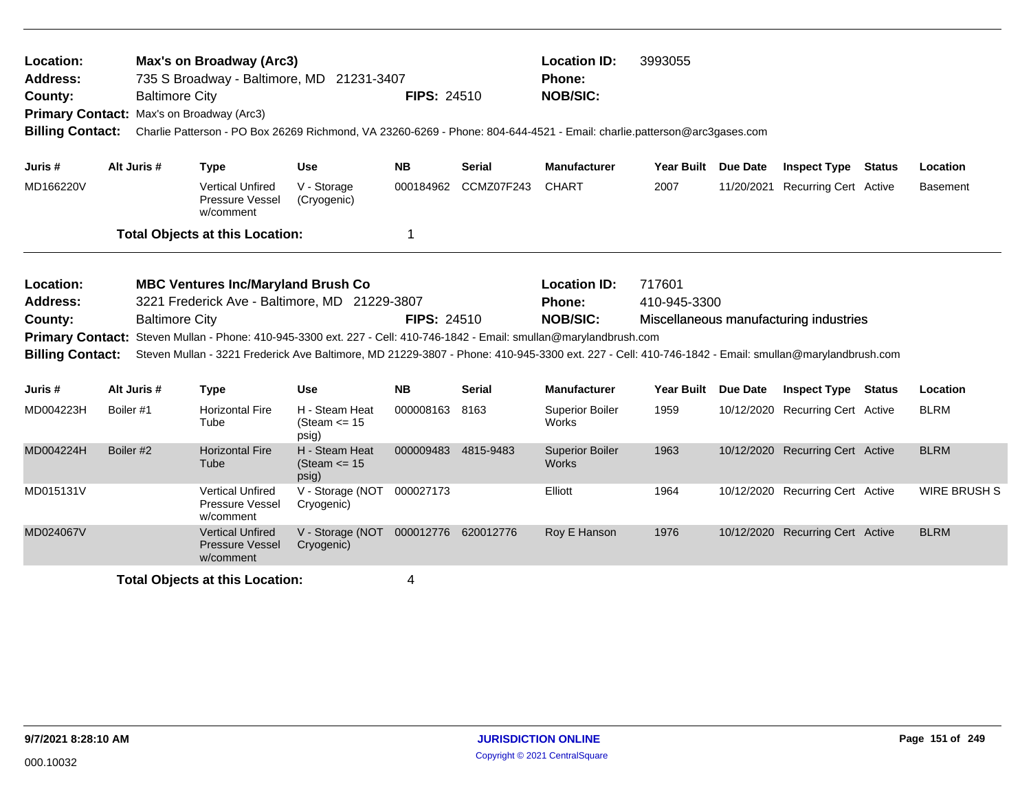| Location:<br><b>Address:</b><br>County:<br><b>Billing Contact:</b>                            |           | <b>Baltimore City</b> | Max's on Broadway (Arc3)<br>735 S Broadway - Baltimore, MD<br>Primary Contact: Max's on Broadway (Arc3) | 21231-3407<br>Charlie Patterson - PO Box 26269 Richmond, VA 23260-6269 - Phone: 804-644-4521 - Email: charlie.patterson@arc3gases.com                                                                                                                                                                       | <b>FIPS: 24510</b>  |               | <b>Location ID:</b><br>Phone:<br><b>NOB/SIC:</b> | 3993055                | <b>Due Date</b><br><b>Inspect Type Status</b> |                                        |  |                     |
|-----------------------------------------------------------------------------------------------|-----------|-----------------------|---------------------------------------------------------------------------------------------------------|-------------------------------------------------------------------------------------------------------------------------------------------------------------------------------------------------------------------------------------------------------------------------------------------------------------|---------------------|---------------|--------------------------------------------------|------------------------|-----------------------------------------------|----------------------------------------|--|---------------------|
| Juris #                                                                                       |           | Alt Juris #           | <b>Type</b>                                                                                             | <b>Use</b>                                                                                                                                                                                                                                                                                                  | <b>NB</b>           | Serial        | <b>Manufacturer</b>                              | <b>Year Built</b>      |                                               |                                        |  | Location            |
| MD166220V                                                                                     |           |                       | <b>Vertical Unfired</b><br><b>Pressure Vessel</b><br>w/comment                                          | V - Storage<br>(Cryogenic)                                                                                                                                                                                                                                                                                  | 000184962           | CCMZ07F243    | <b>CHART</b>                                     | 2007                   | 11/20/2021                                    | Recurring Cert Active                  |  | <b>Basement</b>     |
|                                                                                               |           |                       | <b>Total Objects at this Location:</b>                                                                  |                                                                                                                                                                                                                                                                                                             | 1                   |               |                                                  |                        |                                               |                                        |  |                     |
| Location:<br><b>Address:</b><br>County:<br><b>Primary Contact:</b><br><b>Billing Contact:</b> |           | <b>Baltimore City</b> | <b>MBC Ventures Inc/Maryland Brush Co</b>                                                               | 3221 Frederick Ave - Baltimore, MD 21229-3807<br>Steven Mullan - Phone: 410-945-3300 ext. 227 - Cell: 410-746-1842 - Email: smullan@marylandbrush.com<br>Steven Mullan - 3221 Frederick Ave Baltimore, MD 21229-3807 - Phone: 410-945-3300 ext. 227 - Cell: 410-746-1842 - Email: smullan@marylandbrush.com | <b>FIPS: 24510</b>  |               | <b>Location ID:</b><br>Phone:<br><b>NOB/SIC:</b> | 717601<br>410-945-3300 |                                               | Miscellaneous manufacturing industries |  |                     |
| Juris #                                                                                       |           | Alt Juris #           | <b>Type</b>                                                                                             | Use                                                                                                                                                                                                                                                                                                         | <b>NB</b>           | <b>Serial</b> | <b>Manufacturer</b>                              | Year Built Due Date    |                                               | <b>Inspect Type Status</b>             |  | Location            |
| MD004223H                                                                                     | Boiler #1 |                       | <b>Horizontal Fire</b><br>Tube                                                                          | H - Steam Heat<br>(Steam $\le$ 15<br>psig)                                                                                                                                                                                                                                                                  | 000008163           | 8163          | <b>Superior Boiler</b><br><b>Works</b>           | 1959                   |                                               | 10/12/2020 Recurring Cert Active       |  | <b>BLRM</b>         |
| MD004224H                                                                                     | Boiler #2 |                       | <b>Horizontal Fire</b><br>Tube                                                                          | H - Steam Heat<br>(Steam $\le$ 15<br>psig)                                                                                                                                                                                                                                                                  | 000009483           | 4815-9483     | <b>Superior Boiler</b><br><b>Works</b>           | 1963                   |                                               | 10/12/2020 Recurring Cert Active       |  | <b>BLRM</b>         |
| MD015131V                                                                                     |           |                       | <b>Vertical Unfired</b><br><b>Pressure Vessel</b><br>w/comment                                          | V - Storage (NOT<br>Cryogenic)                                                                                                                                                                                                                                                                              | 000027173           |               | Elliott                                          | 1964                   |                                               | 10/12/2020 Recurring Cert Active       |  | <b>WIRE BRUSH S</b> |
| MD024067V                                                                                     |           |                       | <b>Vertical Unfired</b><br><b>Pressure Vessel</b><br>w/comment                                          | V - Storage (NOT<br>Cryogenic)                                                                                                                                                                                                                                                                              | 000012776 620012776 |               | Roy E Hanson                                     | 1976                   |                                               | 10/12/2020 Recurring Cert Active       |  | <b>BLRM</b>         |
|                                                                                               |           |                       | <b>Total Objects at this Location:</b>                                                                  |                                                                                                                                                                                                                                                                                                             | 4                   |               |                                                  |                        |                                               |                                        |  |                     |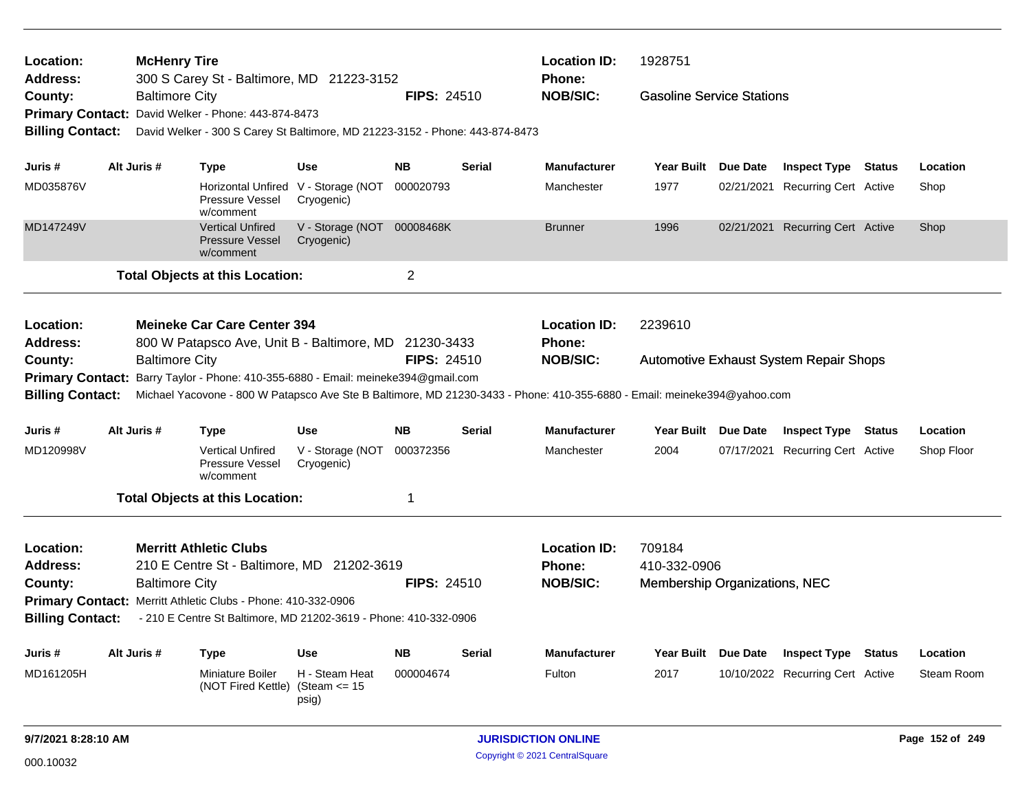| Location:<br>Address:<br>County:<br><b>Billing Contact:</b>        | <b>McHenry Tire</b><br><b>Baltimore City</b> | 300 S Carey St - Baltimore, MD 21223-3152<br>Primary Contact: David Welker - Phone: 443-874-8473<br>David Welker - 300 S Carey St Baltimore, MD 21223-3152 - Phone: 443-874-8473                                 |                                                                                                      | <b>FIPS: 24510</b>     |               | <b>Location ID:</b><br><b>Phone:</b><br><b>NOB/SIC:</b>                                                                                                                             | 1928751<br><b>Gasoline Service Stations</b>             |  |                                                                                                    |               |                          |  |
|--------------------------------------------------------------------|----------------------------------------------|------------------------------------------------------------------------------------------------------------------------------------------------------------------------------------------------------------------|------------------------------------------------------------------------------------------------------|------------------------|---------------|-------------------------------------------------------------------------------------------------------------------------------------------------------------------------------------|---------------------------------------------------------|--|----------------------------------------------------------------------------------------------------|---------------|--------------------------|--|
| Juris #<br>MD035876V<br>MD147249V                                  | Alt Juris #                                  | Type<br>Pressure Vessel<br>w/comment<br><b>Vertical Unfired</b><br><b>Pressure Vessel</b>                                                                                                                        | Use<br>Horizontal Unfired V - Storage (NOT<br>Cryogenic)<br>V - Storage (NOT 00008468K<br>Cryogenic) | <b>NB</b><br>000020793 | <b>Serial</b> | <b>Manufacturer</b><br>Manchester<br><b>Brunner</b>                                                                                                                                 | Year Built Due Date<br>1977<br>1996                     |  | <b>Inspect Type Status</b><br>02/21/2021 Recurring Cert Active<br>02/21/2021 Recurring Cert Active |               | Location<br>Shop<br>Shop |  |
|                                                                    |                                              | w/comment<br><b>Total Objects at this Location:</b>                                                                                                                                                              |                                                                                                      | $\overline{2}$         |               |                                                                                                                                                                                     |                                                         |  |                                                                                                    |               |                          |  |
| Location:<br><b>Address:</b><br>County:<br><b>Billing Contact:</b> | <b>Baltimore City</b>                        | <b>Meineke Car Care Center 394</b><br>800 W Patapsco Ave, Unit B - Baltimore, MD 21230-3433<br>Primary Contact: Barry Taylor - Phone: 410-355-6880 - Email: meineke394@gmail.com                                 |                                                                                                      | <b>FIPS: 24510</b>     |               | <b>Location ID:</b><br><b>Phone:</b><br><b>NOB/SIC:</b><br>Michael Yacovone - 800 W Patapsco Ave Ste B Baltimore, MD 21230-3433 - Phone: 410-355-6880 - Email: meineke394@yahoo.com | 2239610                                                 |  | <b>Automotive Exhaust System Repair Shops</b>                                                      |               |                          |  |
| Juris #<br>MD120998V                                               | Alt Juris #                                  | Type<br><b>Vertical Unfired</b><br>Pressure Vessel<br>w/comment                                                                                                                                                  | <b>Use</b><br>V - Storage (NOT<br>Cryogenic)                                                         | <b>NB</b><br>000372356 | <b>Serial</b> | <b>Manufacturer</b><br>Manchester                                                                                                                                                   | Year Built Due Date<br>2004                             |  | <b>Inspect Type</b><br>07/17/2021 Recurring Cert Active                                            | Status        | Location<br>Shop Floor   |  |
|                                                                    |                                              | <b>Total Objects at this Location:</b>                                                                                                                                                                           |                                                                                                      | 1                      |               |                                                                                                                                                                                     |                                                         |  |                                                                                                    |               |                          |  |
| Location:<br><b>Address:</b><br>County:<br><b>Billing Contact:</b> | <b>Baltimore City</b>                        | <b>Merritt Athletic Clubs</b><br>210 E Centre St - Baltimore, MD 21202-3619<br>Primary Contact: Merritt Athletic Clubs - Phone: 410-332-0906<br>- 210 E Centre St Baltimore, MD 21202-3619 - Phone: 410-332-0906 |                                                                                                      | FIPS: 24510            |               | <b>Location ID:</b><br><b>Phone:</b><br><b>NOB/SIC:</b>                                                                                                                             | 709184<br>410-332-0906<br>Membership Organizations, NEC |  |                                                                                                    |               |                          |  |
| Juris #<br>MD161205H                                               | Alt Juris #                                  | <b>Type</b><br>Miniature Boiler<br>(NOT Fired Kettle) (Steam $\leq$ 15                                                                                                                                           | <b>Use</b><br>H - Steam Heat<br>psig)                                                                | <b>NB</b><br>000004674 | <b>Serial</b> | <b>Manufacturer</b><br>Fulton                                                                                                                                                       | Year Built Due Date<br>2017                             |  | <b>Inspect Type</b><br>10/10/2022 Recurring Cert Active                                            | <b>Status</b> | Location<br>Steam Room   |  |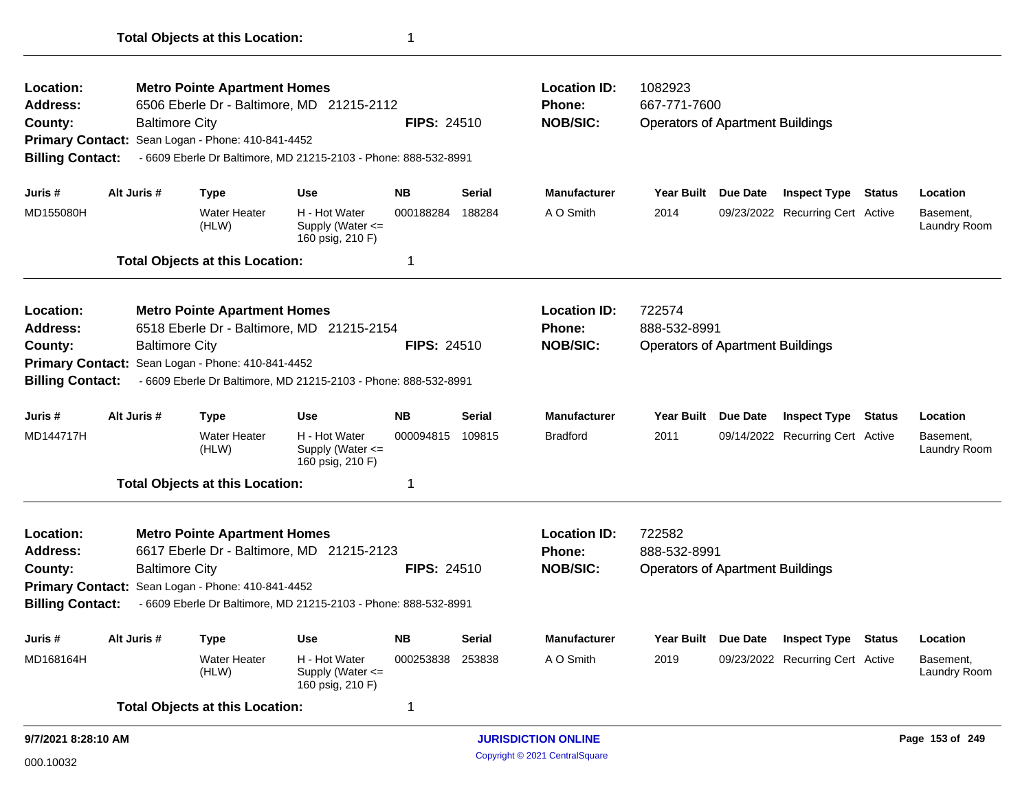| Location:<br><b>Address:</b><br>County:<br><b>Billing Contact:</b> |             | <b>Metro Pointe Apartment Homes</b><br>6506 Eberle Dr - Baltimore, MD 21215-2112<br><b>Baltimore City</b><br>Primary Contact: Sean Logan - Phone: 410-841-4452<br>- 6609 Eberle Dr Baltimore, MD 21215-2103 - Phone: 888-532-8991 |                                                           | <b>FIPS: 24510</b> |               | <b>Location ID:</b><br>Phone:<br><b>NOB/SIC:</b> | 1082923<br>667-771-7600<br><b>Operators of Apartment Buildings</b> |                 |                                  |               |                           |
|--------------------------------------------------------------------|-------------|-----------------------------------------------------------------------------------------------------------------------------------------------------------------------------------------------------------------------------------|-----------------------------------------------------------|--------------------|---------------|--------------------------------------------------|--------------------------------------------------------------------|-----------------|----------------------------------|---------------|---------------------------|
| Juris #                                                            | Alt Juris # | <b>Type</b>                                                                                                                                                                                                                       | <b>Use</b>                                                | <b>NB</b>          | <b>Serial</b> | <b>Manufacturer</b>                              | Year Built Due Date                                                |                 | <b>Inspect Type Status</b>       |               | Location                  |
| MD155080H                                                          |             | <b>Water Heater</b><br>(HLW)                                                                                                                                                                                                      | H - Hot Water<br>Supply (Water $\leq$<br>160 psig, 210 F) | 000188284          | 188284        | A O Smith                                        | 2014                                                               |                 | 09/23/2022 Recurring Cert Active |               | Basement,<br>Laundry Room |
|                                                                    |             | <b>Total Objects at this Location:</b>                                                                                                                                                                                            |                                                           | 1                  |               |                                                  |                                                                    |                 |                                  |               |                           |
| Location:<br><b>Address:</b>                                       |             | <b>Metro Pointe Apartment Homes</b><br>6518 Eberle Dr - Baltimore, MD 21215-2154                                                                                                                                                  |                                                           |                    |               | <b>Location ID:</b><br>Phone:                    | 722574<br>888-532-8991                                             |                 |                                  |               |                           |
| County:                                                            |             | <b>Baltimore City</b>                                                                                                                                                                                                             |                                                           | <b>FIPS: 24510</b> |               | <b>NOB/SIC:</b>                                  | <b>Operators of Apartment Buildings</b>                            |                 |                                  |               |                           |
|                                                                    |             | Primary Contact: Sean Logan - Phone: 410-841-4452                                                                                                                                                                                 |                                                           |                    |               |                                                  |                                                                    |                 |                                  |               |                           |
| <b>Billing Contact:</b>                                            |             | - 6609 Eberle Dr Baltimore, MD 21215-2103 - Phone: 888-532-8991                                                                                                                                                                   |                                                           |                    |               |                                                  |                                                                    |                 |                                  |               |                           |
| Juris #                                                            | Alt Juris # | <b>Type</b>                                                                                                                                                                                                                       | Use                                                       | <b>NB</b>          | <b>Serial</b> | <b>Manufacturer</b>                              | <b>Year Built</b>                                                  | Due Date        | <b>Inspect Type Status</b>       |               | Location                  |
| MD144717H                                                          |             | Water Heater<br>(HLW)                                                                                                                                                                                                             | H - Hot Water<br>Supply (Water <=<br>160 psig, 210 F)     | 000094815          | 109815        | <b>Bradford</b>                                  | 2011                                                               |                 | 09/14/2022 Recurring Cert Active |               | Basement,<br>Laundry Room |
|                                                                    |             | <b>Total Objects at this Location:</b>                                                                                                                                                                                            |                                                           | 1                  |               |                                                  |                                                                    |                 |                                  |               |                           |
| Location:                                                          |             | <b>Metro Pointe Apartment Homes</b>                                                                                                                                                                                               |                                                           |                    |               | <b>Location ID:</b><br><b>Phone:</b>             | 722582                                                             |                 |                                  |               |                           |
| <b>Address:</b><br>County:                                         |             | 6617 Eberle Dr - Baltimore, MD 21215-2123<br><b>Baltimore City</b>                                                                                                                                                                |                                                           | <b>FIPS: 24510</b> |               | <b>NOB/SIC:</b>                                  | 888-532-8991<br><b>Operators of Apartment Buildings</b>            |                 |                                  |               |                           |
|                                                                    |             | Primary Contact: Sean Logan - Phone: 410-841-4452                                                                                                                                                                                 |                                                           |                    |               |                                                  |                                                                    |                 |                                  |               |                           |
| <b>Billing Contact:</b>                                            |             | - 6609 Eberle Dr Baltimore, MD 21215-2103 - Phone: 888-532-8991                                                                                                                                                                   |                                                           |                    |               |                                                  |                                                                    |                 |                                  |               |                           |
| Juris #                                                            | Alt Juris # | <b>Type</b>                                                                                                                                                                                                                       | <b>Use</b>                                                | <b>NB</b>          | <b>Serial</b> | <b>Manufacturer</b>                              | <b>Year Built</b>                                                  | <b>Due Date</b> | <b>Inspect Type</b>              | <b>Status</b> | Location                  |
| MD168164H                                                          |             | <b>Water Heater</b><br>(HLW)                                                                                                                                                                                                      | H - Hot Water<br>Supply (Water $\leq$<br>160 psig, 210 F) | 000253838          | 253838        | A O Smith                                        | 2019                                                               |                 | 09/23/2022 Recurring Cert Active |               | Basement,<br>Laundry Room |
|                                                                    |             | <b>Total Objects at this Location:</b>                                                                                                                                                                                            |                                                           | 1                  |               |                                                  |                                                                    |                 |                                  |               |                           |
| 9/7/2021 8:28:10 AM                                                |             |                                                                                                                                                                                                                                   |                                                           |                    |               | <b>JURISDICTION ONLINE</b>                       |                                                                    |                 |                                  |               | Page 153 of 249           |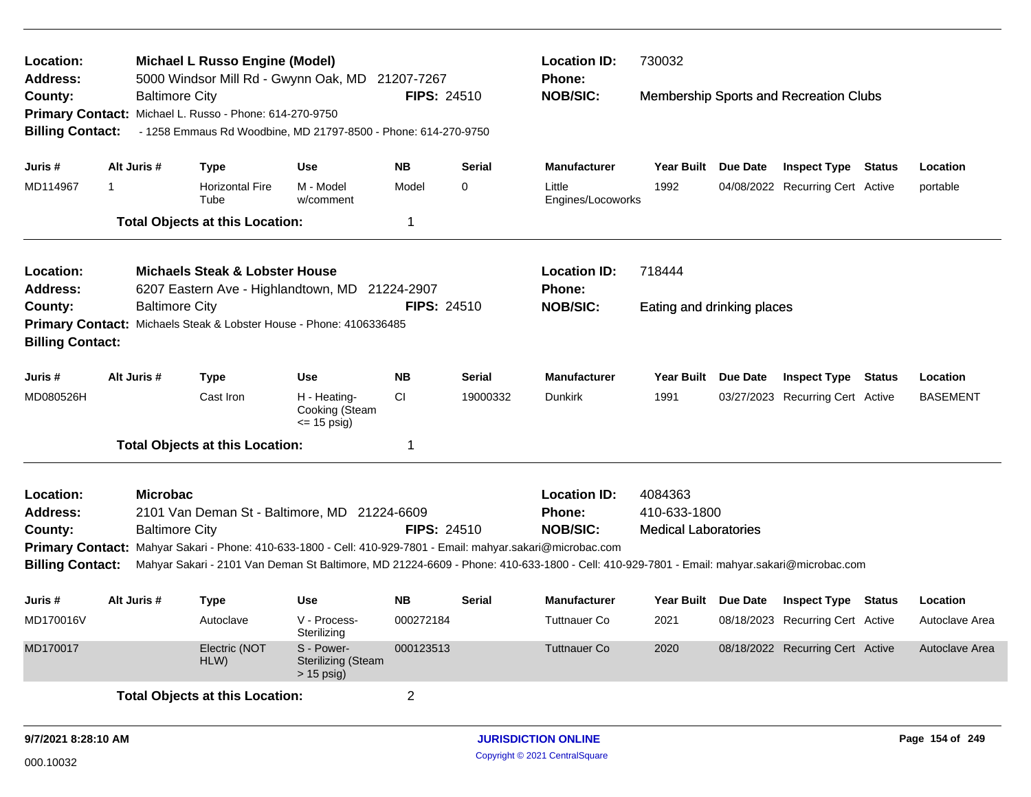| Location:<br>Michael L Russo Engine (Model)<br>5000 Windsor Mill Rd - Gwynn Oak, MD 21207-7267<br><b>Address:</b><br><b>Baltimore City</b><br>County:<br>Primary Contact: Michael L. Russo - Phone: 614-270-9750<br>- 1258 Emmaus Rd Woodbine, MD 21797-8500 - Phone: 614-270-9750 |             |                                          |                                                                                                               | <b>FIPS: 24510</b>                                      |                    | <b>Location ID:</b><br>Phone:<br><b>NOB/SIC:</b> | 730032<br><b>Membership Sports and Recreation Clubs</b>                                                                                   |                                                        |          |                                  |        |                 |  |
|------------------------------------------------------------------------------------------------------------------------------------------------------------------------------------------------------------------------------------------------------------------------------------|-------------|------------------------------------------|---------------------------------------------------------------------------------------------------------------|---------------------------------------------------------|--------------------|--------------------------------------------------|-------------------------------------------------------------------------------------------------------------------------------------------|--------------------------------------------------------|----------|----------------------------------|--------|-----------------|--|
| <b>Billing Contact:</b>                                                                                                                                                                                                                                                            |             |                                          |                                                                                                               |                                                         |                    |                                                  |                                                                                                                                           |                                                        |          |                                  |        |                 |  |
| Juris #                                                                                                                                                                                                                                                                            |             | Alt Juris #                              | <b>Type</b>                                                                                                   | <b>Use</b>                                              | <b>NB</b>          | <b>Serial</b>                                    | <b>Manufacturer</b>                                                                                                                       | Year Built                                             | Due Date | <b>Inspect Type Status</b>       |        | Location        |  |
| MD114967                                                                                                                                                                                                                                                                           | $\mathbf 1$ |                                          | <b>Horizontal Fire</b><br>Tube                                                                                | M - Model<br>w/comment                                  | Model              | 0                                                | Little<br>Engines/Locoworks                                                                                                               | 1992                                                   |          | 04/08/2022 Recurring Cert Active |        | portable        |  |
|                                                                                                                                                                                                                                                                                    |             |                                          | <b>Total Objects at this Location:</b>                                                                        |                                                         | 1                  |                                                  |                                                                                                                                           |                                                        |          |                                  |        |                 |  |
| Location:<br><b>Address:</b>                                                                                                                                                                                                                                                       |             |                                          | <b>Michaels Steak &amp; Lobster House</b><br>6207 Eastern Ave - Highlandtown, MD 21224-2907                   |                                                         |                    |                                                  | <b>Location ID:</b><br>Phone:                                                                                                             | 718444                                                 |          |                                  |        |                 |  |
| County:<br><b>Billing Contact:</b>                                                                                                                                                                                                                                                 |             | <b>Baltimore City</b>                    | Primary Contact: Michaels Steak & Lobster House - Phone: 4106336485                                           |                                                         | <b>FIPS: 24510</b> |                                                  | <b>NOB/SIC:</b>                                                                                                                           | Eating and drinking places                             |          |                                  |        |                 |  |
| Juris #                                                                                                                                                                                                                                                                            |             | Alt Juris #                              | <b>Type</b>                                                                                                   | <b>Use</b>                                              | <b>NB</b>          | Serial                                           | <b>Manufacturer</b>                                                                                                                       | <b>Year Built</b>                                      | Due Date | <b>Inspect Type</b>              | Status | Location        |  |
| MD080526H                                                                                                                                                                                                                                                                          |             |                                          | Cast Iron                                                                                                     | H - Heating-<br>Cooking (Steam<br>$\le$ 15 psig)        | <b>CI</b>          | 19000332                                         | <b>Dunkirk</b>                                                                                                                            | 1991                                                   |          | 03/27/2023 Recurring Cert Active |        | <b>BASEMENT</b> |  |
|                                                                                                                                                                                                                                                                                    |             |                                          | <b>Total Objects at this Location:</b>                                                                        |                                                         | -1                 |                                                  |                                                                                                                                           |                                                        |          |                                  |        |                 |  |
| Location:<br><b>Address:</b><br>County:                                                                                                                                                                                                                                            |             | <b>Microbac</b><br><b>Baltimore City</b> | 2101 Van Deman St - Baltimore, MD 21224-6609                                                                  |                                                         | <b>FIPS: 24510</b> |                                                  | <b>Location ID:</b><br><b>Phone:</b><br><b>NOB/SIC:</b>                                                                                   | 4084363<br>410-633-1800<br><b>Medical Laboratories</b> |          |                                  |        |                 |  |
| <b>Billing Contact:</b>                                                                                                                                                                                                                                                            |             |                                          | Primary Contact: Mahyar Sakari - Phone: 410-633-1800 - Cell: 410-929-7801 - Email: mahyar.sakari@microbac.com |                                                         |                    |                                                  | Mahyar Sakari - 2101 Van Deman St Baltimore, MD 21224-6609 - Phone: 410-633-1800 - Cell: 410-929-7801 - Email: mahyar.sakari@microbac.com |                                                        |          |                                  |        |                 |  |
| Juris #                                                                                                                                                                                                                                                                            |             | Alt Juris #                              | <b>Type</b>                                                                                                   | <b>Use</b>                                              | NB.                | <b>Serial</b>                                    | <b>Manufacturer</b>                                                                                                                       | <b>Year Built</b>                                      | Due Date | <b>Inspect Type</b>              | Status | Location        |  |
| MD170016V                                                                                                                                                                                                                                                                          |             |                                          | Autoclave                                                                                                     | V - Process-<br>Sterilizing                             | 000272184          |                                                  | <b>Tuttnauer Co</b>                                                                                                                       | 2021                                                   |          | 08/18/2023 Recurring Cert Active |        | Autoclave Area  |  |
| MD170017                                                                                                                                                                                                                                                                           |             |                                          | Electric (NOT<br>HLW)                                                                                         | S - Power-<br><b>Sterilizing (Steam</b><br>$> 15$ psig) | 000123513          |                                                  | <b>Tuttnauer Co</b>                                                                                                                       | 2020                                                   |          | 08/18/2022 Recurring Cert Active |        | Autoclave Area  |  |
|                                                                                                                                                                                                                                                                                    |             |                                          | <b>Total Objects at this Location:</b>                                                                        |                                                         | $\overline{2}$     |                                                  |                                                                                                                                           |                                                        |          |                                  |        |                 |  |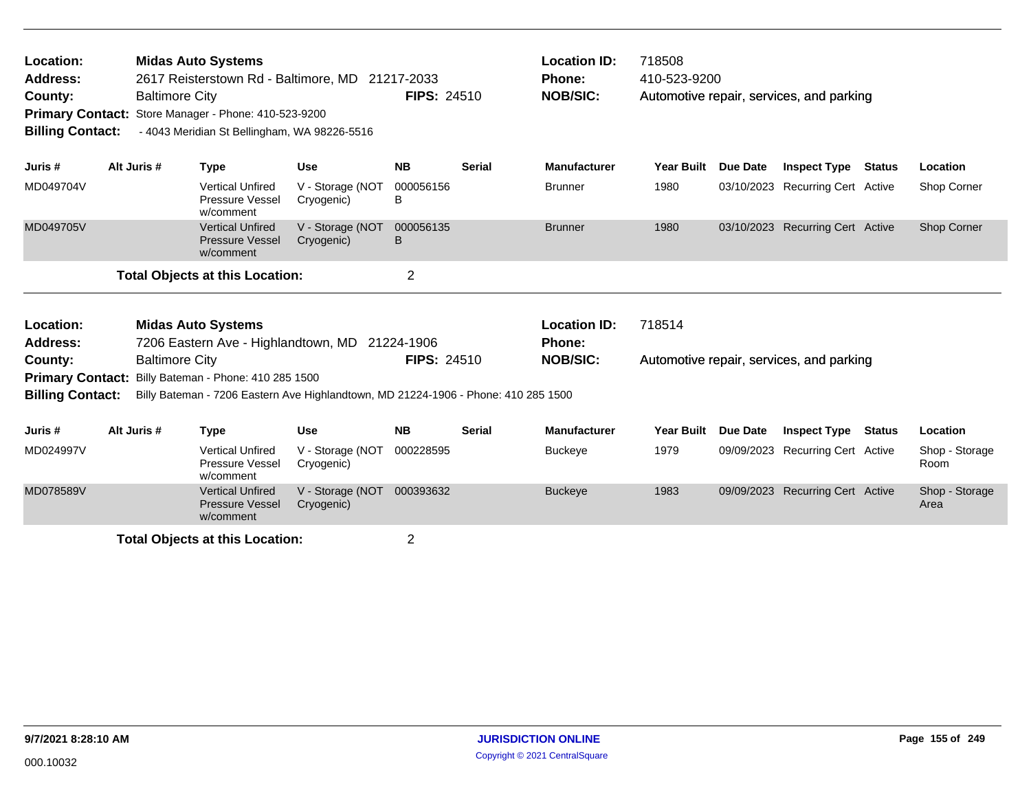| Location:<br><b>Midas Auto Systems</b><br>2617 Reisterstown Rd - Baltimore, MD 21217-2033<br><b>Address:</b><br>County:<br><b>Baltimore City</b><br><b>Primary Contact:</b><br>Store Manager - Phone: 410-523-9200<br><b>Billing Contact:</b><br>- 4043 Meridian St Bellingham, WA 98226-5516 |  |                                                                             |                                                                | <b>FIPS: 24510</b>                                                                 |                    | <b>Location ID:</b><br><b>Phone:</b><br><b>NOB/SIC:</b> | 718508<br>410-523-9200               |                                          | Automotive repair, services, and parking |                                  |               |                        |
|-----------------------------------------------------------------------------------------------------------------------------------------------------------------------------------------------------------------------------------------------------------------------------------------------|--|-----------------------------------------------------------------------------|----------------------------------------------------------------|------------------------------------------------------------------------------------|--------------------|---------------------------------------------------------|--------------------------------------|------------------------------------------|------------------------------------------|----------------------------------|---------------|------------------------|
| Juris #                                                                                                                                                                                                                                                                                       |  | Alt Juris #                                                                 | <b>Type</b>                                                    | <b>Use</b>                                                                         | <b>NB</b>          | <b>Serial</b>                                           | <b>Manufacturer</b>                  | <b>Year Built</b>                        | Due Date                                 | <b>Inspect Type</b>              | <b>Status</b> | Location               |
| MD049704V                                                                                                                                                                                                                                                                                     |  |                                                                             | <b>Vertical Unfired</b><br>Pressure Vessel<br>w/comment        | V - Storage (NOT<br>Cryogenic)                                                     | 000056156<br>в     |                                                         | <b>Brunner</b>                       | 1980                                     |                                          | 03/10/2023 Recurring Cert Active |               | Shop Corner            |
| MD049705V                                                                                                                                                                                                                                                                                     |  |                                                                             | <b>Vertical Unfired</b><br><b>Pressure Vessel</b><br>w/comment | V - Storage (NOT<br>Cryogenic)                                                     | 000056135<br>В     |                                                         | <b>Brunner</b>                       | 1980                                     |                                          | 03/10/2023 Recurring Cert Active |               | <b>Shop Corner</b>     |
|                                                                                                                                                                                                                                                                                               |  |                                                                             | <b>Total Objects at this Location:</b>                         |                                                                                    | $\overline{2}$     |                                                         |                                      |                                          |                                          |                                  |               |                        |
| Location:<br><b>Address:</b>                                                                                                                                                                                                                                                                  |  | <b>Midas Auto Systems</b><br>7206 Eastern Ave - Highlandtown, MD 21224-1906 |                                                                |                                                                                    |                    |                                                         | <b>Location ID:</b><br><b>Phone:</b> | 718514                                   |                                          |                                  |               |                        |
| County:                                                                                                                                                                                                                                                                                       |  | <b>Baltimore City</b>                                                       |                                                                |                                                                                    | <b>FIPS: 24510</b> |                                                         | <b>NOB/SIC:</b>                      | Automotive repair, services, and parking |                                          |                                  |               |                        |
| <b>Primary Contact:</b><br><b>Billing Contact:</b>                                                                                                                                                                                                                                            |  |                                                                             | Billy Bateman - Phone: 410 285 1500                            | Billy Bateman - 7206 Eastern Ave Highlandtown, MD 21224-1906 - Phone: 410 285 1500 |                    |                                                         |                                      |                                          |                                          |                                  |               |                        |
| Juris #                                                                                                                                                                                                                                                                                       |  | Alt Juris #                                                                 | <b>Type</b>                                                    | <b>Use</b>                                                                         | <b>NB</b>          | <b>Serial</b>                                           | <b>Manufacturer</b>                  | <b>Year Built</b>                        | <b>Due Date</b>                          | <b>Inspect Type</b>              | <b>Status</b> | Location               |
| MD024997V                                                                                                                                                                                                                                                                                     |  |                                                                             | <b>Vertical Unfired</b><br>Pressure Vessel<br>w/comment        | V - Storage (NOT<br>Cryogenic)                                                     | 000228595          |                                                         | <b>Buckeye</b>                       | 1979                                     |                                          | 09/09/2023 Recurring Cert Active |               | Shop - Storage<br>Room |
| MD078589V                                                                                                                                                                                                                                                                                     |  |                                                                             | <b>Vertical Unfired</b><br><b>Pressure Vessel</b><br>w/comment | V - Storage (NOT<br>Cryogenic)                                                     | 000393632          |                                                         | <b>Buckeye</b>                       | 1983                                     |                                          | 09/09/2023 Recurring Cert Active |               | Shop - Storage<br>Area |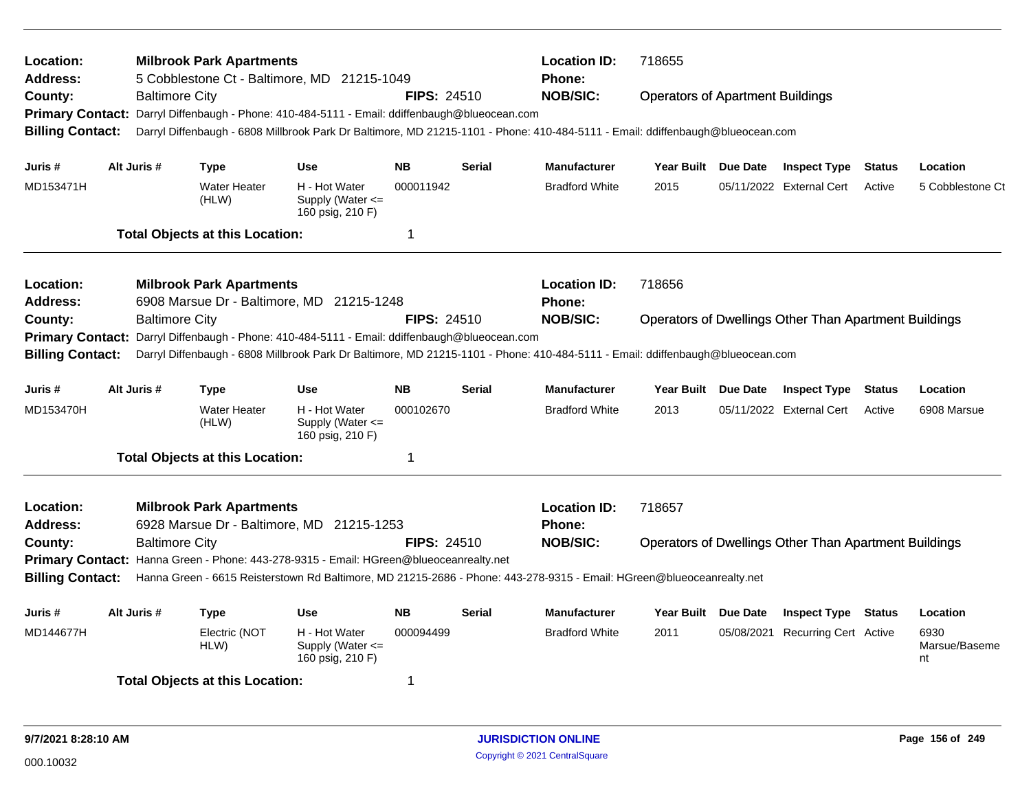| Location:<br>Address:<br>County:                              |             | <b>Milbrook Park Apartments</b><br>5 Cobblestone Ct - Baltimore, MD 21215-1049<br><b>Baltimore City</b>                                                                                                                                  |                                                           | <b>FIPS: 24510</b> |               | <b>Location ID:</b><br><b>Phone:</b><br><b>NOB/SIC:</b>                                                                        | 718655<br><b>Operators of Apartment Buildings</b> |                 |                                                              |               |                             |  |  |
|---------------------------------------------------------------|-------------|------------------------------------------------------------------------------------------------------------------------------------------------------------------------------------------------------------------------------------------|-----------------------------------------------------------|--------------------|---------------|--------------------------------------------------------------------------------------------------------------------------------|---------------------------------------------------|-----------------|--------------------------------------------------------------|---------------|-----------------------------|--|--|
| <b>Primary Contact:</b><br><b>Billing Contact:</b>            |             | Darryl Diffenbaugh - Phone: 410-484-5111 - Email: ddiffenbaugh@blueocean.com                                                                                                                                                             |                                                           |                    |               | Darryl Diffenbaugh - 6808 Millbrook Park Dr Baltimore, MD 21215-1101 - Phone: 410-484-5111 - Email: ddiffenbaugh@blueocean.com |                                                   |                 |                                                              |               |                             |  |  |
| Juris #                                                       | Alt Juris # | <b>Type</b>                                                                                                                                                                                                                              | <b>Use</b>                                                | <b>NB</b>          | <b>Serial</b> | <b>Manufacturer</b>                                                                                                            | Year Built Due Date                               |                 | <b>Inspect Type</b>                                          | <b>Status</b> | Location                    |  |  |
| MD153471H                                                     |             | <b>Water Heater</b><br>(HLW)                                                                                                                                                                                                             | H - Hot Water<br>Supply (Water $\leq$<br>160 psig, 210 F) | 000011942          |               | <b>Bradford White</b>                                                                                                          | 2015                                              |                 | 05/11/2022 External Cert                                     | Active        | 5 Cobblestone Ct            |  |  |
|                                                               |             | <b>Total Objects at this Location:</b>                                                                                                                                                                                                   |                                                           | 1                  |               |                                                                                                                                |                                                   |                 |                                                              |               |                             |  |  |
| Location:<br><b>Address:</b>                                  |             | <b>Milbrook Park Apartments</b><br>6908 Marsue Dr - Baltimore, MD 21215-1248                                                                                                                                                             |                                                           |                    |               | <b>Location ID:</b><br><b>Phone:</b>                                                                                           | 718656                                            |                 |                                                              |               |                             |  |  |
| County:<br><b>Primary Contact:</b><br><b>Billing Contact:</b> |             | <b>Baltimore City</b><br>Darryl Diffenbaugh - Phone: 410-484-5111 - Email: ddiffenbaugh@blueocean.com<br>Darryl Diffenbaugh - 6808 Millbrook Park Dr Baltimore, MD 21215-1101 - Phone: 410-484-5111 - Email: ddiffenbaugh@blueocean.com  |                                                           | <b>FIPS: 24510</b> |               | <b>NOB/SIC:</b>                                                                                                                |                                                   |                 | <b>Operators of Dwellings Other Than Apartment Buildings</b> |               |                             |  |  |
| Juris #                                                       | Alt Juris # | Type                                                                                                                                                                                                                                     | <b>Use</b>                                                | <b>NB</b>          | Serial        | <b>Manufacturer</b>                                                                                                            | Year Built Due Date                               |                 | <b>Inspect Type</b>                                          | <b>Status</b> | Location                    |  |  |
| MD153470H                                                     |             | <b>Water Heater</b><br>(HLW)                                                                                                                                                                                                             | H - Hot Water<br>Supply (Water <=<br>160 psig, 210 F)     | 000102670          |               | <b>Bradford White</b>                                                                                                          | 2013                                              |                 | 05/11/2022 External Cert                                     | Active        | 6908 Marsue                 |  |  |
|                                                               |             | <b>Total Objects at this Location:</b>                                                                                                                                                                                                   |                                                           | 1                  |               |                                                                                                                                |                                                   |                 |                                                              |               |                             |  |  |
| Location:<br><b>Address:</b>                                  |             | <b>Milbrook Park Apartments</b><br>6928 Marsue Dr - Baltimore, MD 21215-1253                                                                                                                                                             |                                                           |                    |               | <b>Location ID:</b><br>Phone:                                                                                                  | 718657                                            |                 |                                                              |               |                             |  |  |
| County:<br><b>Billing Contact:</b>                            |             | <b>Baltimore City</b><br>Primary Contact: Hanna Green - Phone: 443-278-9315 - Email: HGreen@blueoceanrealty.net<br>Hanna Green - 6615 Reisterstown Rd Baltimore, MD 21215-2686 - Phone: 443-278-9315 - Email: HGreen@blueoceanrealty.net |                                                           | <b>FIPS: 24510</b> |               | <b>NOB/SIC:</b>                                                                                                                |                                                   |                 | <b>Operators of Dwellings Other Than Apartment Buildings</b> |               |                             |  |  |
| Juris#                                                        | Alt Juris # | <b>Type</b>                                                                                                                                                                                                                              | <b>Use</b>                                                | <b>NB</b>          | Serial        | Manufacturer                                                                                                                   | Year Built                                        | <b>Due Date</b> | <b>Inspect Type Status</b>                                   |               | Location                    |  |  |
| MD144677H                                                     |             | Electric (NOT<br>HLW)                                                                                                                                                                                                                    | H - Hot Water<br>Supply (Water $\leq$<br>160 psig, 210 F) | 000094499          |               | <b>Bradford White</b>                                                                                                          | 2011                                              | 05/08/2021      | <b>Recurring Cert Active</b>                                 |               | 6930<br>Marsue/Baseme<br>nt |  |  |
|                                                               |             | <b>Total Objects at this Location:</b>                                                                                                                                                                                                   |                                                           | 1                  |               |                                                                                                                                |                                                   |                 |                                                              |               |                             |  |  |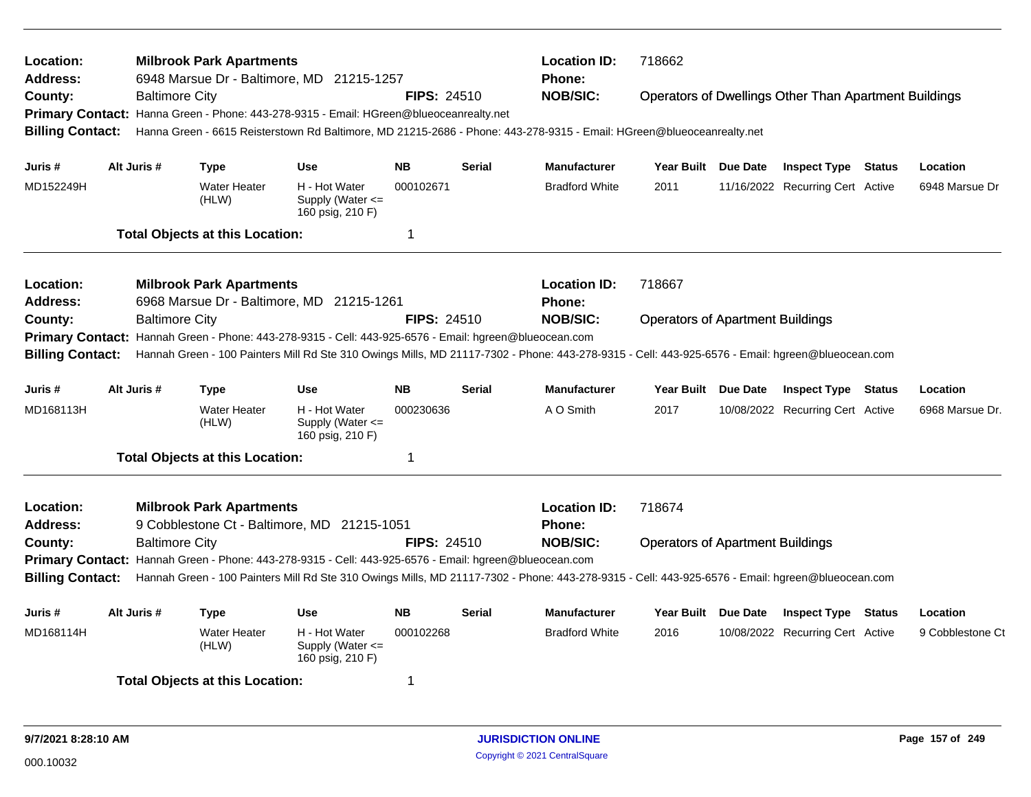| Location:<br>Address:        |                                                                                                                                                       |                       | <b>Milbrook Park Apartments</b>        | 6948 Marsue Dr - Baltimore, MD 21215-1257                                                              |                    |               | <b>Location ID:</b><br><b>Phone:</b>                                                                                                             | 718662<br>Operators of Dwellings Other Than Apartment Buildings |                 |                                  |  |                  |  |  |
|------------------------------|-------------------------------------------------------------------------------------------------------------------------------------------------------|-----------------------|----------------------------------------|--------------------------------------------------------------------------------------------------------|--------------------|---------------|--------------------------------------------------------------------------------------------------------------------------------------------------|-----------------------------------------------------------------|-----------------|----------------------------------|--|------------------|--|--|
| County:                      |                                                                                                                                                       | <b>Baltimore City</b> |                                        |                                                                                                        | <b>FIPS: 24510</b> |               | <b>NOB/SIC:</b>                                                                                                                                  |                                                                 |                 |                                  |  |                  |  |  |
|                              |                                                                                                                                                       |                       |                                        | Primary Contact: Hanna Green - Phone: 443-278-9315 - Email: HGreen@blueoceanrealty.net                 |                    |               |                                                                                                                                                  |                                                                 |                 |                                  |  |                  |  |  |
| <b>Billing Contact:</b>      |                                                                                                                                                       |                       |                                        |                                                                                                        |                    |               | Hanna Green - 6615 Reisterstown Rd Baltimore, MD 21215-2686 - Phone: 443-278-9315 - Email: HGreen@blueoceanrealty.net                            |                                                                 |                 |                                  |  |                  |  |  |
| Juris #                      |                                                                                                                                                       | Alt Juris #           | <b>Type</b>                            | <b>Use</b>                                                                                             | <b>NB</b>          | <b>Serial</b> | <b>Manufacturer</b>                                                                                                                              | Year Built Due Date                                             |                 | <b>Inspect Type Status</b>       |  | Location         |  |  |
| MD152249H                    |                                                                                                                                                       |                       | <b>Water Heater</b><br>(HLW)           | H - Hot Water<br>Supply (Water <=<br>160 psig, 210 F)                                                  | 000102671          |               | <b>Bradford White</b>                                                                                                                            | 2011                                                            |                 | 11/16/2022 Recurring Cert Active |  | 6948 Marsue Dr   |  |  |
|                              |                                                                                                                                                       |                       | <b>Total Objects at this Location:</b> |                                                                                                        | 1                  |               |                                                                                                                                                  |                                                                 |                 |                                  |  |                  |  |  |
| Location:                    |                                                                                                                                                       |                       | <b>Milbrook Park Apartments</b>        |                                                                                                        |                    |               | <b>Location ID:</b>                                                                                                                              | 718667                                                          |                 |                                  |  |                  |  |  |
| Address:                     |                                                                                                                                                       |                       |                                        | 6968 Marsue Dr - Baltimore, MD 21215-1261                                                              |                    |               | <b>Phone:</b>                                                                                                                                    |                                                                 |                 |                                  |  |                  |  |  |
| County:                      | <b>Baltimore City</b><br><b>FIPS: 24510</b><br>Primary Contact: Hannah Green - Phone: 443-278-9315 - Cell: 443-925-6576 - Email: hgreen@blueocean.com |                       |                                        |                                                                                                        |                    |               | <b>NOB/SIC:</b>                                                                                                                                  | <b>Operators of Apartment Buildings</b>                         |                 |                                  |  |                  |  |  |
| <b>Billing Contact:</b>      |                                                                                                                                                       |                       |                                        |                                                                                                        |                    |               | Hannah Green - 100 Painters Mill Rd Ste 310 Owings Mills, MD 21117-7302 - Phone: 443-278-9315 - Cell: 443-925-6576 - Email: hgreen@blueocean.com |                                                                 |                 |                                  |  |                  |  |  |
| Juris #                      |                                                                                                                                                       | Alt Juris #           | <b>Type</b>                            | <b>Use</b>                                                                                             | <b>NB</b>          | <b>Serial</b> | <b>Manufacturer</b>                                                                                                                              | Year Built Due Date                                             |                 | <b>Inspect Type Status</b>       |  | Location         |  |  |
| MD168113H                    |                                                                                                                                                       |                       | <b>Water Heater</b><br>(HLW)           | H - Hot Water<br>Supply (Water <=<br>160 psig, 210 F)                                                  | 000230636          |               | A O Smith                                                                                                                                        | 2017                                                            |                 | 10/08/2022 Recurring Cert Active |  | 6968 Marsue Dr.  |  |  |
|                              |                                                                                                                                                       |                       | <b>Total Objects at this Location:</b> |                                                                                                        | 1                  |               |                                                                                                                                                  |                                                                 |                 |                                  |  |                  |  |  |
| Location:<br><b>Address:</b> |                                                                                                                                                       |                       | <b>Milbrook Park Apartments</b>        | 9 Cobblestone Ct - Baltimore, MD 21215-1051                                                            |                    |               | <b>Location ID:</b><br>Phone:                                                                                                                    | 718674                                                          |                 |                                  |  |                  |  |  |
| County:                      |                                                                                                                                                       | <b>Baltimore City</b> |                                        |                                                                                                        | <b>FIPS: 24510</b> |               | <b>NOB/SIC:</b>                                                                                                                                  | <b>Operators of Apartment Buildings</b>                         |                 |                                  |  |                  |  |  |
|                              |                                                                                                                                                       |                       |                                        | Primary Contact: Hannah Green - Phone: 443-278-9315 - Cell: 443-925-6576 - Email: hgreen@blueocean.com |                    |               |                                                                                                                                                  |                                                                 |                 |                                  |  |                  |  |  |
| <b>Billing Contact:</b>      |                                                                                                                                                       |                       |                                        |                                                                                                        |                    |               | Hannah Green - 100 Painters Mill Rd Ste 310 Owings Mills, MD 21117-7302 - Phone: 443-278-9315 - Cell: 443-925-6576 - Email: hgreen@blueocean.com |                                                                 |                 |                                  |  |                  |  |  |
| Juris #                      |                                                                                                                                                       | Alt Juris #           | Type                                   | <b>Use</b>                                                                                             | <b>NB</b>          | <b>Serial</b> | <b>Manufacturer</b>                                                                                                                              | <b>Year Built</b>                                               | <b>Due Date</b> | <b>Inspect Type Status</b>       |  | Location         |  |  |
| MD168114H                    |                                                                                                                                                       |                       | <b>Water Heater</b><br>(HLW)           | H - Hot Water<br>Supply (Water <=<br>160 psig, 210 F)                                                  | 000102268          |               | <b>Bradford White</b>                                                                                                                            | 2016                                                            |                 | 10/08/2022 Recurring Cert Active |  | 9 Cobblestone Ct |  |  |
|                              |                                                                                                                                                       |                       | <b>Total Objects at this Location:</b> |                                                                                                        | 1                  |               |                                                                                                                                                  |                                                                 |                 |                                  |  |                  |  |  |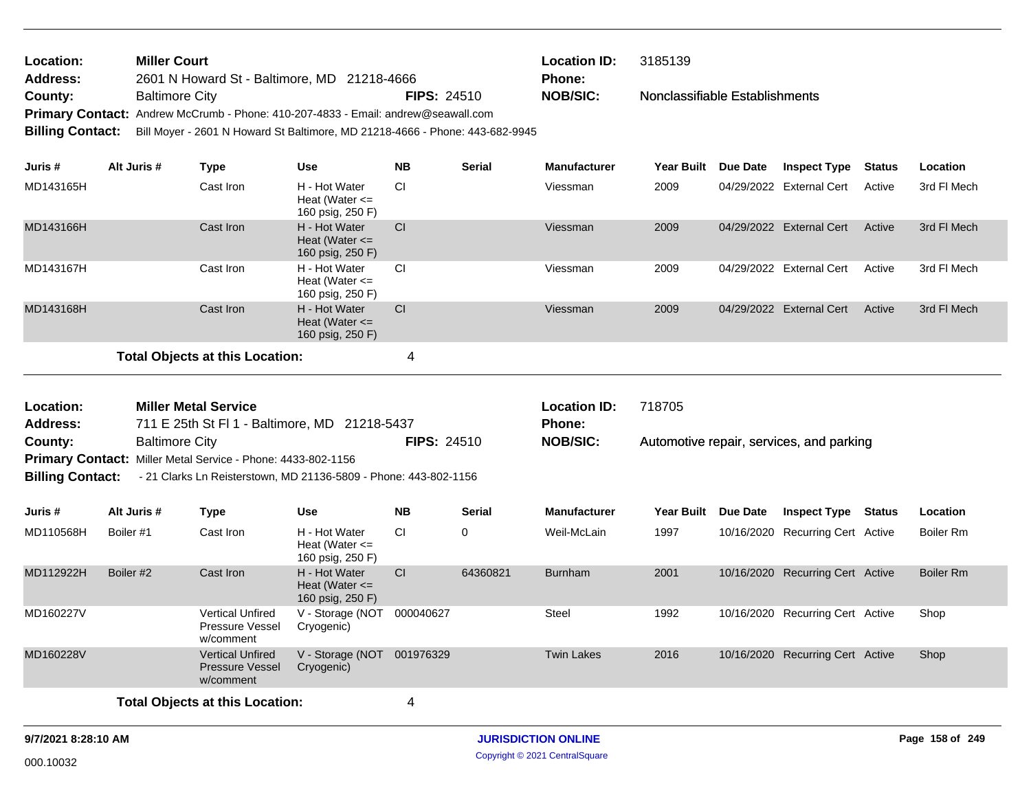| Location:               | <b>Miller Court</b>                                                                      |                    | <b>Location ID:</b> | 3185139                        |
|-------------------------|------------------------------------------------------------------------------------------|--------------------|---------------------|--------------------------------|
| Address:                | 2601 N Howard St - Baltimore, MD 21218-4666                                              |                    | <b>Phone:</b>       |                                |
| County:                 | <b>Baltimore City</b>                                                                    | <b>FIPS: 24510</b> | <b>NOB/SIC:</b>     | Nonclassifiable Establishments |
|                         | <b>Primary Contact:</b> Andrew McCrumb - Phone: 410-207-4833 - Email: andrew@seawall.com |                    |                     |                                |
| <b>Billing Contact:</b> | Bill Moyer - 2601 N Howard St Baltimore, MD 21218-4666 - Phone: 443-682-9945             |                    |                     |                                |

| Juris #                                | Alt Juris # | Type      | <b>Use</b>                                              | <b>NB</b> | <b>Serial</b> | <b>Manufacturer</b> | <b>Year Built</b> | <b>Due Date</b> | <b>Inspect Type</b>      | <b>Status</b> | Location    |
|----------------------------------------|-------------|-----------|---------------------------------------------------------|-----------|---------------|---------------------|-------------------|-----------------|--------------------------|---------------|-------------|
| MD143165H                              |             | Cast Iron | H - Hot Water<br>Heat (Water $\leq$<br>160 psig, 250 F) | <b>CI</b> |               | Viessman            | 2009              |                 | 04/29/2022 External Cert | Active        | 3rd FI Mech |
| MD143166H                              |             | Cast Iron | H - Hot Water<br>Heat (Water $\leq$<br>160 psig, 250 F) | <b>CI</b> |               | Viessman            | 2009              |                 | 04/29/2022 External Cert | Active        | 3rd FI Mech |
| MD143167H                              |             | Cast Iron | H - Hot Water<br>Heat (Water $\leq$<br>160 psig, 250 F) | <b>CI</b> |               | Viessman            | 2009              |                 | 04/29/2022 External Cert | Active        | 3rd FI Mech |
| MD143168H                              |             | Cast Iron | H - Hot Water<br>Heat (Water $\leq$<br>160 psig, 250 F) | <b>CI</b> |               | Viessman            | 2009              |                 | 04/29/2022 External Cert | Active        | 3rd FI Mech |
| <b>Total Objects at this Location:</b> |             |           |                                                         |           |               |                     |                   |                 |                          |               |             |

| Location:        | <b>Miller Metal Service</b>                                         |                    | <b>Location ID:</b> | 718705                                   |
|------------------|---------------------------------------------------------------------|--------------------|---------------------|------------------------------------------|
| Address:         | 711 E 25th St FI 1 - Baltimore, MD 21218-5437                       |                    | Phone:              |                                          |
| County:          | <b>Baltimore City</b>                                               | <b>FIPS: 24510</b> | NOB/SIC:            | Automotive repair, services, and parking |
|                  | <b>Primary Contact: Miller Metal Service - Phone: 4433-802-1156</b> |                    |                     |                                          |
| Dillian Cantanti | 04 Olaila La Daiata atacce MD 04400 F000 Disasar 440.000 44FC       |                    |                     |                                          |

| Juris #   | Alt Juris # | Type                                                           | <b>Use</b>                                              | <b>NB</b> | <b>Serial</b> | <b>Manufacturer</b> | <b>Year Built</b> | <b>Due Date</b> | <b>Inspect Type</b>              | Status | Location  |
|-----------|-------------|----------------------------------------------------------------|---------------------------------------------------------|-----------|---------------|---------------------|-------------------|-----------------|----------------------------------|--------|-----------|
| MD110568H | Boiler #1   | Cast Iron                                                      | H - Hot Water<br>Heat (Water $\leq$<br>160 psig, 250 F) | <b>CI</b> | $\mathbf 0$   | Weil-McLain         | 1997              |                 | 10/16/2020 Recurring Cert Active |        | Boiler Rm |
| MD112922H | Boiler #2   | Cast Iron                                                      | H - Hot Water<br>Heat (Water $\leq$<br>160 psig, 250 F) | <b>CI</b> | 64360821      | <b>Burnham</b>      | 2001              |                 | 10/16/2020 Recurring Cert Active |        | Boiler Rm |
| MD160227V |             | <b>Vertical Unfired</b><br><b>Pressure Vessel</b><br>w/comment | V - Storage (NOT<br>Cryogenic)                          | 000040627 |               | <b>Steel</b>        | 1992              |                 | 10/16/2020 Recurring Cert Active |        | Shop      |
| MD160228V |             | <b>Vertical Unfired</b><br><b>Pressure Vessel</b><br>w/comment | V - Storage (NOT<br>Cryogenic)                          | 001976329 |               | <b>Twin Lakes</b>   | 2016              |                 | 10/16/2020 Recurring Cert Active |        | Shop      |
|           |             | Total Objects at this Location:                                |                                                         | 4         |               |                     |                   |                 |                                  |        |           |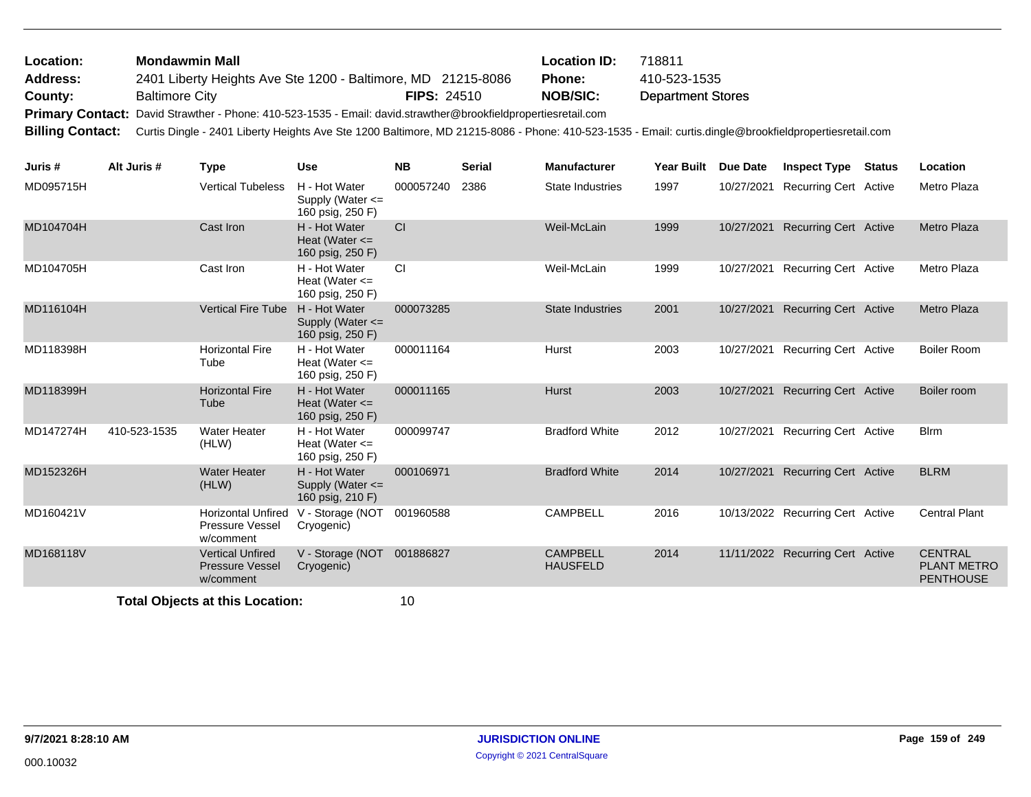| Location: | Mondawmin Mall                                                                                                                                                          |                    | <b>Location ID:</b> | 718811                   |
|-----------|-------------------------------------------------------------------------------------------------------------------------------------------------------------------------|--------------------|---------------------|--------------------------|
| Address:  | 2401 Liberty Heights Ave Ste 1200 - Baltimore, MD 21215-8086                                                                                                            |                    | <b>Phone:</b>       | 410-523-1535             |
| County:   | <b>Baltimore City</b>                                                                                                                                                   | <b>FIPS: 24510</b> | <b>NOB/SIC:</b>     | <b>Department Stores</b> |
|           | Primary Contact: David Strawther - Phone: 410-523-1535 - Email: david.strawther@brookfieldpropertiesretail.com                                                          |                    |                     |                          |
|           | Billing Contact: Curtis Dingle - 2401 Liberty Heights Ave Ste 1200 Baltimore, MD 21215-8086 - Phone: 410-523-1535 - Email: curtis.dingle@brookfieldpropertiesretail.com |                    |                     |                          |

| Juris #                         | Alt Juris #  | <b>Type</b>                                                      | <b>Use</b>                                                | <b>NB</b> | <b>Serial</b> | <b>Manufacturer</b>                | <b>Year Built</b> | <b>Due Date</b> | <b>Inspect Type</b>              | <b>Status</b> | Location                                                 |
|---------------------------------|--------------|------------------------------------------------------------------|-----------------------------------------------------------|-----------|---------------|------------------------------------|-------------------|-----------------|----------------------------------|---------------|----------------------------------------------------------|
| MD095715H                       |              | <b>Vertical Tubeless</b>                                         | H - Hot Water<br>Supply (Water <=<br>160 psig, 250 F)     | 000057240 | 2386          | <b>State Industries</b>            | 1997              | 10/27/2021      | <b>Recurring Cert Active</b>     |               | Metro Plaza                                              |
| MD104704H                       |              | Cast Iron                                                        | H - Hot Water<br>Heat (Water $\leq$<br>160 psig, 250 F)   | <b>CI</b> |               | Weil-McLain                        | 1999              | 10/27/2021      | <b>Recurring Cert Active</b>     |               | Metro Plaza                                              |
| MD104705H                       |              | Cast Iron                                                        | H - Hot Water<br>Heat (Water $\leq$<br>160 psig, 250 F)   | <b>CI</b> |               | Weil-McLain                        | 1999              |                 | 10/27/2021 Recurring Cert Active |               | Metro Plaza                                              |
| MD116104H                       |              | <b>Vertical Fire Tube</b>                                        | H - Hot Water<br>Supply (Water $\leq$<br>160 psig, 250 F) | 000073285 |               | <b>State Industries</b>            | 2001              | 10/27/2021      | <b>Recurring Cert Active</b>     |               | <b>Metro Plaza</b>                                       |
| MD118398H                       |              | <b>Horizontal Fire</b><br>Tube                                   | H - Hot Water<br>Heat (Water $\leq$<br>160 psig, 250 F)   | 000011164 |               | Hurst                              | 2003              |                 | 10/27/2021 Recurring Cert Active |               | <b>Boiler Room</b>                                       |
| MD118399H                       |              | <b>Horizontal Fire</b><br>Tube                                   | H - Hot Water<br>Heat (Water $\leq$<br>160 psig, 250 F)   | 000011165 |               | <b>Hurst</b>                       | 2003              | 10/27/2021      | <b>Recurring Cert Active</b>     |               | Boiler room                                              |
| MD147274H                       | 410-523-1535 | <b>Water Heater</b><br>(HLW)                                     | H - Hot Water<br>Heat (Water $\leq$<br>160 psig, 250 F)   | 000099747 |               | <b>Bradford White</b>              | 2012              |                 | 10/27/2021 Recurring Cert Active |               | <b>Blrm</b>                                              |
| MD152326H                       |              | <b>Water Heater</b><br>(HLW)                                     | H - Hot Water<br>Supply (Water $\leq$<br>160 psig, 210 F) | 000106971 |               | <b>Bradford White</b>              | 2014              | 10/27/2021      | <b>Recurring Cert Active</b>     |               | <b>BLRM</b>                                              |
| MD160421V                       |              | <b>Horizontal Unfired</b><br><b>Pressure Vessel</b><br>w/comment | V - Storage (NOT<br>Cryogenic)                            | 001960588 |               | <b>CAMPBELL</b>                    | 2016              |                 | 10/13/2022 Recurring Cert Active |               | <b>Central Plant</b>                                     |
| MD168118V                       |              | <b>Vertical Unfired</b><br><b>Pressure Vessel</b><br>w/comment   | V - Storage (NOT<br>Cryogenic)                            | 001886827 |               | <b>CAMPBELL</b><br><b>HAUSFELD</b> | 2014              |                 | 11/11/2022 Recurring Cert Active |               | <b>CENTRAL</b><br><b>PLANT METRO</b><br><b>PENTHOUSE</b> |
| Total Objects at this Location: |              |                                                                  |                                                           | 10        |               |                                    |                   |                 |                                  |               |                                                          |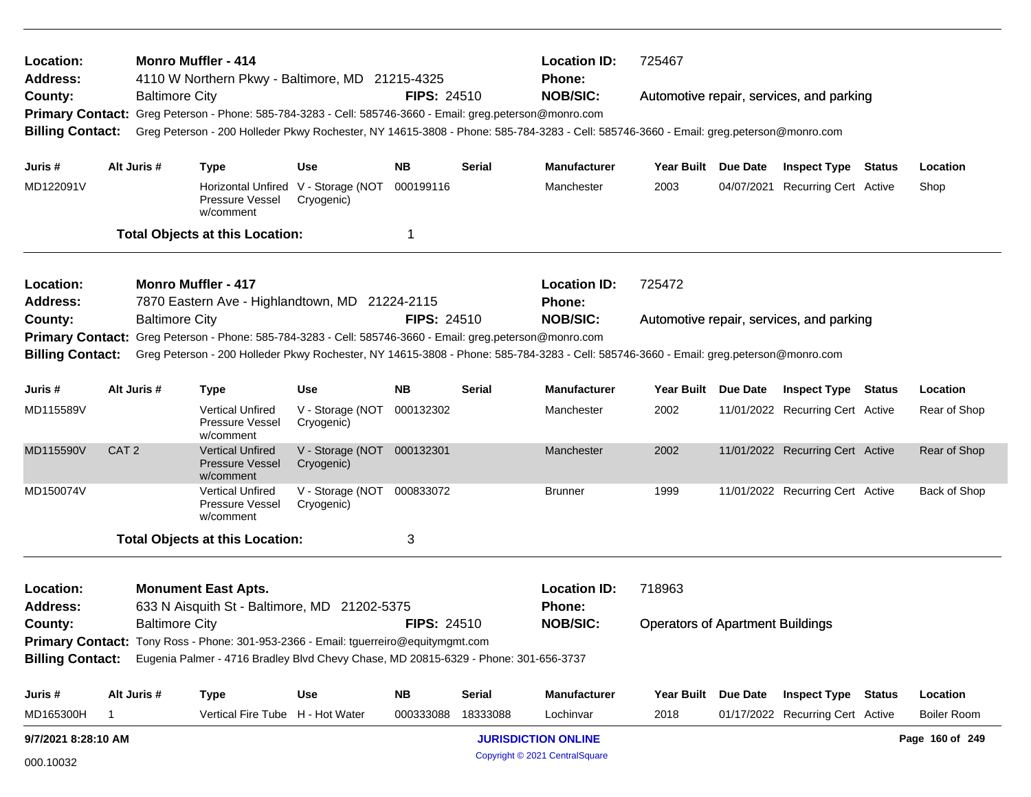| Location:<br><b>Address:</b>                                                                               |                                                                                                                     |                       | <b>Monro Muffler - 414</b><br>4110 W Northern Pkwy - Baltimore, MD 21215-4325                             |                                                   |                    |                     | <b>Location ID:</b><br><b>Phone:</b>                                                                                                  | 725467                                  |                                          |                    |
|------------------------------------------------------------------------------------------------------------|---------------------------------------------------------------------------------------------------------------------|-----------------------|-----------------------------------------------------------------------------------------------------------|---------------------------------------------------|--------------------|---------------------|---------------------------------------------------------------------------------------------------------------------------------------|-----------------------------------------|------------------------------------------|--------------------|
| County:                                                                                                    |                                                                                                                     | <b>Baltimore City</b> |                                                                                                           |                                                   | <b>FIPS: 24510</b> |                     | <b>NOB/SIC:</b>                                                                                                                       |                                         | Automotive repair, services, and parking |                    |
|                                                                                                            |                                                                                                                     |                       | Primary Contact: Greg Peterson - Phone: 585-784-3283 - Cell: 585746-3660 - Email: greg.peterson@monro.com |                                                   |                    |                     |                                                                                                                                       |                                         |                                          |                    |
| <b>Billing Contact:</b>                                                                                    |                                                                                                                     |                       |                                                                                                           |                                                   |                    |                     | Greg Peterson - 200 Holleder Pkwy Rochester, NY 14615-3808 - Phone: 585-784-3283 - Cell: 585746-3660 - Email: greg.peterson@monro.com |                                         |                                          |                    |
| Juris #                                                                                                    |                                                                                                                     | Alt Juris #           | <b>Type</b>                                                                                               | <b>Use</b>                                        | <b>NB</b>          | Serial              | <b>Manufacturer</b>                                                                                                                   | Year Built Due Date                     | <b>Inspect Type Status</b>               | Location           |
| MD122091V                                                                                                  |                                                                                                                     |                       | Pressure Vessel<br>w/comment                                                                              | Horizontal Unfired V - Storage (NOT<br>Cryogenic) | 000199116          |                     | Manchester                                                                                                                            | 2003                                    | 04/07/2021 Recurring Cert Active         | Shop               |
|                                                                                                            |                                                                                                                     |                       | <b>Total Objects at this Location:</b>                                                                    |                                                   | 1                  |                     |                                                                                                                                       |                                         |                                          |                    |
| Location:                                                                                                  |                                                                                                                     |                       | <b>Monro Muffler - 417</b>                                                                                |                                                   |                    |                     | <b>Location ID:</b>                                                                                                                   | 725472                                  |                                          |                    |
| <b>Address:</b>                                                                                            |                                                                                                                     |                       | 7870 Eastern Ave - Highlandtown, MD 21224-2115                                                            |                                                   |                    |                     | Phone:                                                                                                                                |                                         |                                          |                    |
| County:                                                                                                    | <b>Baltimore City</b>                                                                                               |                       |                                                                                                           |                                                   |                    | <b>FIPS: 24510</b>  | <b>NOB/SIC:</b>                                                                                                                       |                                         | Automotive repair, services, and parking |                    |
|                                                                                                            | Greg Peterson - Phone: 585-784-3283 - Cell: 585746-3660 - Email: greg.peterson@monro.com<br><b>Primary Contact:</b> |                       |                                                                                                           |                                                   |                    |                     |                                                                                                                                       |                                         |                                          |                    |
| <b>Billing Contact:</b>                                                                                    |                                                                                                                     |                       |                                                                                                           |                                                   |                    |                     | Greg Peterson - 200 Holleder Pkwy Rochester, NY 14615-3808 - Phone: 585-784-3283 - Cell: 585746-3660 - Email: greg.peterson@monro.com |                                         |                                          |                    |
| Juris #                                                                                                    | Alt Juris #<br><b>NB</b><br><b>Type</b><br>Use                                                                      |                       |                                                                                                           |                                                   | <b>Serial</b>      | <b>Manufacturer</b> | Year Built Due Date                                                                                                                   | <b>Inspect Type Status</b>              | Location                                 |                    |
| MD115589V                                                                                                  |                                                                                                                     |                       | <b>Vertical Unfired</b><br>Pressure Vessel<br>w/comment                                                   | V - Storage (NOT<br>Cryogenic)                    | 000132302          |                     | Manchester                                                                                                                            | 2002                                    | 11/01/2022 Recurring Cert Active         | Rear of Shop       |
| MD115590V                                                                                                  | CAT <sub>2</sub>                                                                                                    |                       | <b>Vertical Unfired</b><br><b>Pressure Vessel</b><br>w/comment                                            | V - Storage (NOT 000132301<br>Cryogenic)          |                    |                     | Manchester                                                                                                                            | 2002                                    | 11/01/2022 Recurring Cert Active         | Rear of Shop       |
| MD150074V                                                                                                  |                                                                                                                     |                       | <b>Vertical Unfired</b><br><b>Pressure Vessel</b><br>w/comment                                            | V - Storage (NOT 000833072<br>Cryogenic)          |                    |                     | <b>Brunner</b>                                                                                                                        | 1999                                    | 11/01/2022 Recurring Cert Active         | Back of Shop       |
|                                                                                                            |                                                                                                                     |                       | <b>Total Objects at this Location:</b>                                                                    |                                                   | 3                  |                     |                                                                                                                                       |                                         |                                          |                    |
|                                                                                                            |                                                                                                                     |                       |                                                                                                           |                                                   |                    |                     | <b>Location ID:</b>                                                                                                                   | 718963                                  |                                          |                    |
| Location:<br><b>Monument East Apts.</b><br><b>Address:</b><br>633 N Aisquith St - Baltimore, MD 21202-5375 |                                                                                                                     |                       |                                                                                                           |                                                   |                    |                     | <b>Phone:</b>                                                                                                                         |                                         |                                          |                    |
| County:                                                                                                    |                                                                                                                     | <b>Baltimore City</b> |                                                                                                           |                                                   | <b>FIPS: 24510</b> |                     | <b>NOB/SIC:</b>                                                                                                                       | <b>Operators of Apartment Buildings</b> |                                          |                    |
|                                                                                                            |                                                                                                                     |                       | Primary Contact: Tony Ross - Phone: 301-953-2366 - Email: tguerreiro@equitymgmt.com                       |                                                   |                    |                     |                                                                                                                                       |                                         |                                          |                    |
|                                                                                                            |                                                                                                                     |                       | Billing Contact: Eugenia Palmer - 4716 Bradley Blvd Chevy Chase, MD 20815-6329 - Phone: 301-656-3737      |                                                   |                    |                     |                                                                                                                                       |                                         |                                          |                    |
| Juris #                                                                                                    |                                                                                                                     | Alt Juris #           | <b>Type</b>                                                                                               | Use                                               | <b>NB</b>          | <b>Serial</b>       | <b>Manufacturer</b>                                                                                                                   | Year Built Due Date                     | <b>Inspect Type Status</b>               | Location           |
| MD165300H                                                                                                  | $\overline{1}$                                                                                                      |                       | Vertical Fire Tube H - Hot Water                                                                          |                                                   | 000333088          | 18333088            | Lochinvar                                                                                                                             | 2018                                    | 01/17/2022 Recurring Cert Active         | <b>Boiler Room</b> |
| 9/7/2021 8:28:10 AM                                                                                        |                                                                                                                     |                       |                                                                                                           |                                                   |                    |                     | <b>JURISDICTION ONLINE</b>                                                                                                            |                                         |                                          | Page 160 of 249    |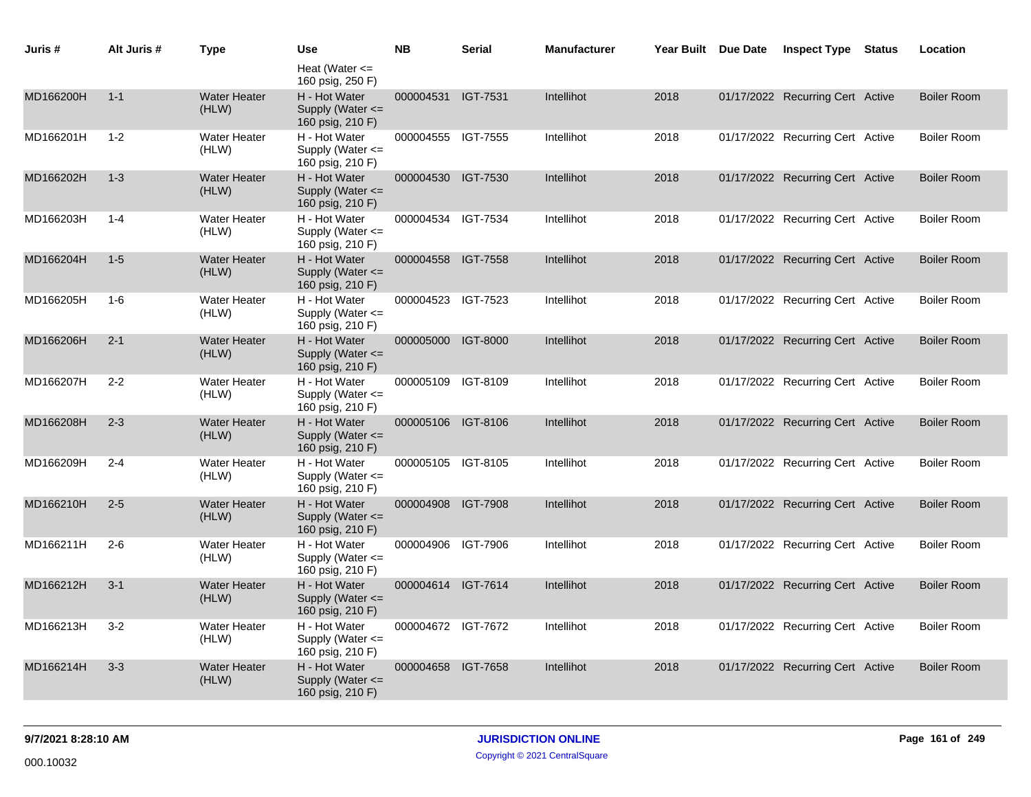| Juris #   | Alt Juris # | Type                         | <b>Use</b>                                                | <b>NB</b>          | <b>Serial</b> | <b>Manufacturer</b> | <b>Year Built</b> | <b>Due Date</b> | <b>Inspect Type</b>              | <b>Status</b> | Location           |
|-----------|-------------|------------------------------|-----------------------------------------------------------|--------------------|---------------|---------------------|-------------------|-----------------|----------------------------------|---------------|--------------------|
|           |             |                              | Heat (Water $\leq$<br>160 psig, 250 F)                    |                    |               |                     |                   |                 |                                  |               |                    |
| MD166200H | $1 - 1$     | <b>Water Heater</b><br>(HLW) | H - Hot Water<br>Supply (Water $\leq$<br>160 psig, 210 F) | 000004531 IGT-7531 |               | Intellihot          | 2018              |                 | 01/17/2022 Recurring Cert Active |               | <b>Boiler Room</b> |
| MD166201H | $1 - 2$     | <b>Water Heater</b><br>(HLW) | H - Hot Water<br>Supply (Water $\leq$<br>160 psig, 210 F) | 000004555          | IGT-7555      | Intellihot          | 2018              |                 | 01/17/2022 Recurring Cert Active |               | Boiler Room        |
| MD166202H | $1 - 3$     | <b>Water Heater</b><br>(HLW) | H - Hot Water<br>Supply (Water $\leq$<br>160 psig, 210 F) | 000004530          | IGT-7530      | Intellihot          | 2018              |                 | 01/17/2022 Recurring Cert Active |               | <b>Boiler Room</b> |
| MD166203H | $1 - 4$     | <b>Water Heater</b><br>(HLW) | H - Hot Water<br>Supply (Water $\leq$<br>160 psig, 210 F) | 000004534 IGT-7534 |               | Intellihot          | 2018              |                 | 01/17/2022 Recurring Cert Active |               | <b>Boiler Room</b> |
| MD166204H | $1 - 5$     | <b>Water Heater</b><br>(HLW) | H - Hot Water<br>Supply (Water $\leq$<br>160 psig, 210 F) | 000004558 IGT-7558 |               | Intellihot          | 2018              |                 | 01/17/2022 Recurring Cert Active |               | <b>Boiler Room</b> |
| MD166205H | $1 - 6$     | <b>Water Heater</b><br>(HLW) | H - Hot Water<br>Supply (Water $\leq$<br>160 psig, 210 F) | 000004523 IGT-7523 |               | Intellihot          | 2018              |                 | 01/17/2022 Recurring Cert Active |               | Boiler Room        |
| MD166206H | $2 - 1$     | <b>Water Heater</b><br>(HLW) | H - Hot Water<br>Supply (Water $\leq$<br>160 psig, 210 F) | 000005000 IGT-8000 |               | Intellihot          | 2018              |                 | 01/17/2022 Recurring Cert Active |               | <b>Boiler Room</b> |
| MD166207H | $2 - 2$     | <b>Water Heater</b><br>(HLW) | H - Hot Water<br>Supply (Water $\leq$<br>160 psig, 210 F) | 000005109 IGT-8109 |               | Intellihot          | 2018              |                 | 01/17/2022 Recurring Cert Active |               | <b>Boiler Room</b> |
| MD166208H | $2 - 3$     | <b>Water Heater</b><br>(HLW) | H - Hot Water<br>Supply (Water $\leq$<br>160 psig, 210 F) | 000005106 IGT-8106 |               | Intellihot          | 2018              |                 | 01/17/2022 Recurring Cert Active |               | <b>Boiler Room</b> |
| MD166209H | $2 - 4$     | <b>Water Heater</b><br>(HLW) | H - Hot Water<br>Supply (Water $\leq$<br>160 psig, 210 F) | 000005105 IGT-8105 |               | Intellihot          | 2018              |                 | 01/17/2022 Recurring Cert Active |               | <b>Boiler Room</b> |
| MD166210H | $2 - 5$     | <b>Water Heater</b><br>(HLW) | H - Hot Water<br>Supply (Water $\leq$<br>160 psig, 210 F) | 000004908 IGT-7908 |               | Intellihot          | 2018              |                 | 01/17/2022 Recurring Cert Active |               | <b>Boiler Room</b> |
| MD166211H | $2 - 6$     | <b>Water Heater</b><br>(HLW) | H - Hot Water<br>Supply (Water <=<br>160 psig, 210 F)     | 000004906          | IGT-7906      | Intellihot          | 2018              |                 | 01/17/2022 Recurring Cert Active |               | Boiler Room        |
| MD166212H | $3 - 1$     | <b>Water Heater</b><br>(HLW) | H - Hot Water<br>Supply (Water $\leq$<br>160 psig, 210 F) | 000004614 IGT-7614 |               | Intellihot          | 2018              |                 | 01/17/2022 Recurring Cert Active |               | <b>Boiler Room</b> |
| MD166213H | $3-2$       | <b>Water Heater</b><br>(HLW) | H - Hot Water<br>Supply (Water $\leq$<br>160 psig, 210 F) | 000004672 IGT-7672 |               | Intellihot          | 2018              |                 | 01/17/2022 Recurring Cert Active |               | <b>Boiler Room</b> |
| MD166214H | $3-3$       | <b>Water Heater</b><br>(HLW) | H - Hot Water<br>Supply (Water $\leq$<br>160 psig, 210 F) | 000004658 IGT-7658 |               | Intellihot          | 2018              |                 | 01/17/2022 Recurring Cert Active |               | <b>Boiler Room</b> |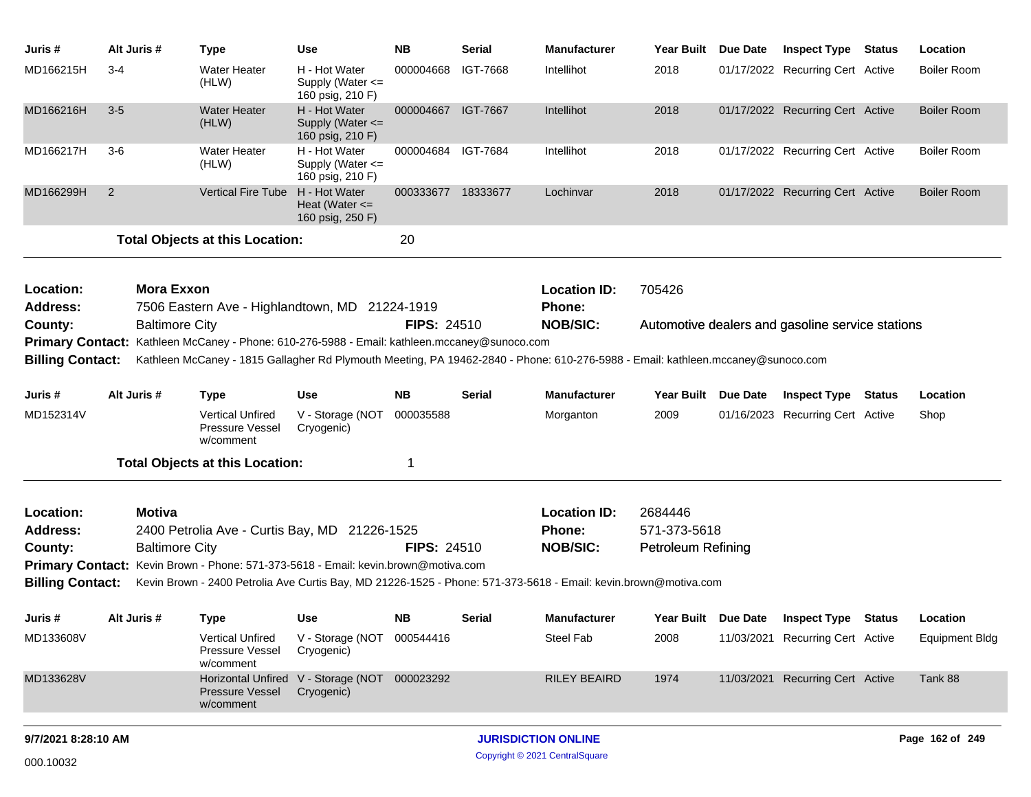| Juris #                      | Alt Juris #           | <b>Type</b>                                                                                  | Use                                                       | NB.                | Serial   | Manufacturer                                                                                                                    | Year Built                                       | Due Date            | <b>Inspect Type</b>              | Status | Location              |
|------------------------------|-----------------------|----------------------------------------------------------------------------------------------|-----------------------------------------------------------|--------------------|----------|---------------------------------------------------------------------------------------------------------------------------------|--------------------------------------------------|---------------------|----------------------------------|--------|-----------------------|
| MD166215H                    | $3 - 4$               | <b>Water Heater</b><br>(HLW)                                                                 | H - Hot Water<br>Supply (Water $\leq$<br>160 psig, 210 F) | 000004668          | IGT-7668 | Intellihot                                                                                                                      | 2018                                             |                     | 01/17/2022 Recurring Cert Active |        | <b>Boiler Room</b>    |
| MD166216H                    | $3 - 5$               | <b>Water Heater</b><br>(HLW)                                                                 | H - Hot Water<br>Supply (Water $\leq$<br>160 psig, 210 F) | 000004667 IGT-7667 |          | Intellihot                                                                                                                      | 2018                                             |                     | 01/17/2022 Recurring Cert Active |        | <b>Boiler Room</b>    |
| MD166217H                    | $3-6$                 | <b>Water Heater</b><br>(HLW)                                                                 | H - Hot Water<br>Supply (Water <=<br>160 psig, 210 F)     | 000004684          | IGT-7684 | Intellihot                                                                                                                      | 2018                                             |                     | 01/17/2022 Recurring Cert Active |        | <b>Boiler Room</b>    |
| MD166299H                    | $\overline{2}$        | <b>Vertical Fire Tube</b>                                                                    | H - Hot Water<br>Heat (Water $\leq$<br>160 psig, 250 F)   | 000333677 18333677 |          | Lochinvar                                                                                                                       | 2018                                             |                     | 01/17/2022 Recurring Cert Active |        | <b>Boiler Room</b>    |
|                              |                       | <b>Total Objects at this Location:</b>                                                       |                                                           | 20                 |          |                                                                                                                                 |                                                  |                     |                                  |        |                       |
|                              |                       |                                                                                              |                                                           |                    |          |                                                                                                                                 |                                                  |                     |                                  |        |                       |
| Location:<br><b>Address:</b> | <b>Mora Exxon</b>     | 7506 Eastern Ave - Highlandtown, MD 21224-1919                                               |                                                           |                    |          | <b>Location ID:</b><br><b>Phone:</b>                                                                                            | 705426                                           |                     |                                  |        |                       |
| County:                      | <b>Baltimore City</b> |                                                                                              | <b>FIPS: 24510</b>                                        | <b>NOB/SIC:</b>    |          |                                                                                                                                 | Automotive dealers and gasoline service stations |                     |                                  |        |                       |
|                              |                       | Primary Contact: Kathleen McCaney - Phone: 610-276-5988 - Email: kathleen.mccaney@sunoco.com |                                                           |                    |          |                                                                                                                                 |                                                  |                     |                                  |        |                       |
| <b>Billing Contact:</b>      |                       |                                                                                              |                                                           |                    |          | Kathleen McCaney - 1815 Gallagher Rd Plymouth Meeting, PA 19462-2840 - Phone: 610-276-5988 - Email: kathleen.mccaney@sunoco.com |                                                  |                     |                                  |        |                       |
| Juris #                      | Alt Juris #           | <b>Type</b>                                                                                  | <b>Use</b>                                                | NB.                | Serial   | Manufacturer                                                                                                                    | Year Built Due Date                              |                     | <b>Inspect Type Status</b>       |        | Location              |
| MD152314V                    |                       | <b>Vertical Unfired</b><br>Pressure Vessel<br>w/comment                                      | V - Storage (NOT<br>Cryogenic)                            | 000035588          |          | Morganton                                                                                                                       | 2009                                             |                     | 01/16/2023 Recurring Cert Active |        | Shop                  |
|                              |                       | <b>Total Objects at this Location:</b>                                                       |                                                           | 1                  |          |                                                                                                                                 |                                                  |                     |                                  |        |                       |
| Location:                    | <b>Motiva</b>         |                                                                                              |                                                           |                    |          | <b>Location ID:</b>                                                                                                             | 2684446                                          |                     |                                  |        |                       |
| <b>Address:</b>              |                       | 2400 Petrolia Ave - Curtis Bay, MD 21226-1525                                                |                                                           |                    |          | <b>Phone:</b>                                                                                                                   | 571-373-5618                                     |                     |                                  |        |                       |
| County:                      | <b>Baltimore City</b> |                                                                                              |                                                           | <b>FIPS: 24510</b> |          | <b>NOB/SIC:</b>                                                                                                                 | <b>Petroleum Refining</b>                        |                     |                                  |        |                       |
|                              |                       | Primary Contact: Kevin Brown - Phone: 571-373-5618 - Email: kevin.brown@motiva.com           |                                                           |                    |          |                                                                                                                                 |                                                  |                     |                                  |        |                       |
| <b>Billing Contact:</b>      |                       |                                                                                              |                                                           |                    |          | Kevin Brown - 2400 Petrolia Ave Curtis Bay, MD 21226-1525 - Phone: 571-373-5618 - Email: kevin.brown@motiva.com                 |                                                  |                     |                                  |        |                       |
| Juris #                      | Alt Juris #           | Type                                                                                         | <b>Use</b>                                                | NB.                | Serial   | Manufacturer                                                                                                                    |                                                  | Year Built Due Date | <b>Inspect Type Status</b>       |        | Location              |
| MD133608V                    |                       | Vertical Unfired<br>Pressure Vessel<br>w/comment                                             | V - Storage (NOT 000544416<br>Cryogenic)                  |                    |          | <b>Steel Fab</b>                                                                                                                | 2008                                             |                     | 11/03/2021 Recurring Cert Active |        | <b>Equipment Bldg</b> |
| MD133628V                    |                       | Pressure Vessel<br>w/comment                                                                 | Horizontal Unfired V - Storage (NOT<br>Cryogenic)         | 000023292          |          | <b>RILEY BEAIRD</b>                                                                                                             | 1974                                             |                     | 11/03/2021 Recurring Cert Active |        | Tank 88               |
| 9/7/2021 8:28:10 AM          |                       |                                                                                              |                                                           |                    |          | <b>JURISDICTION ONLINE</b>                                                                                                      |                                                  |                     |                                  |        | Page 162 of 249       |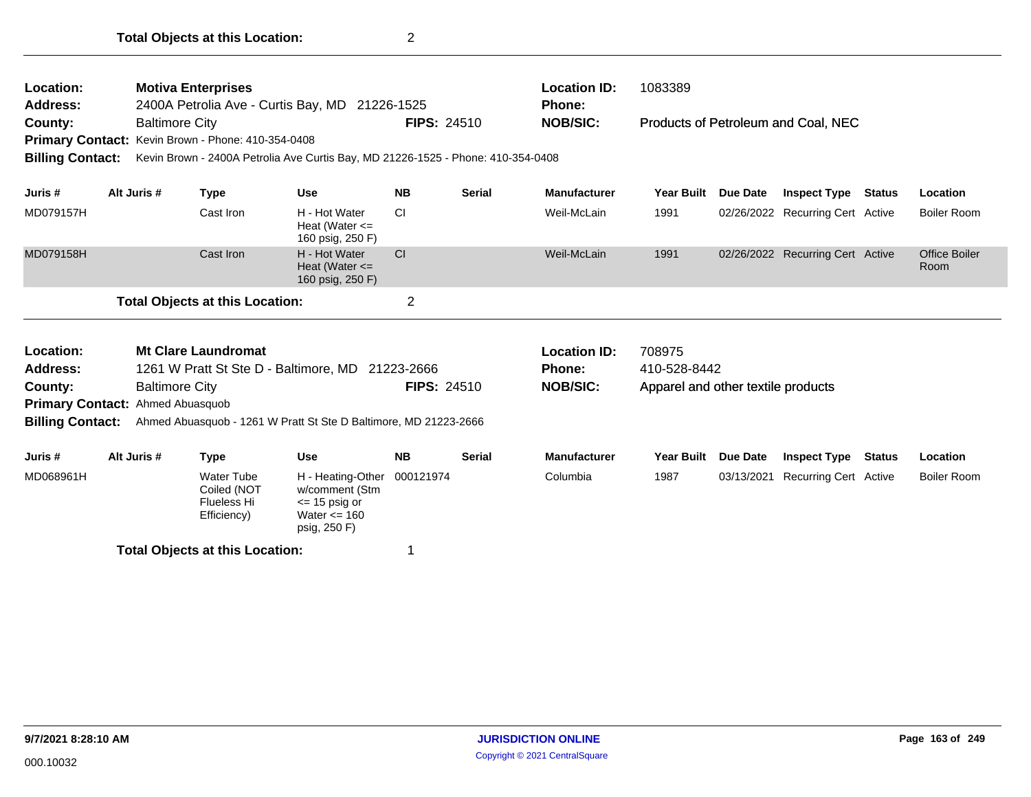|                                                                                                 |                       |                            | <b>Total Objects at this Location:</b>                                                                               |                                                                                                                                    | $\overline{2}$     |                                                         |                                                              |                   |                 |                                     |               |                              |
|-------------------------------------------------------------------------------------------------|-----------------------|----------------------------|----------------------------------------------------------------------------------------------------------------------|------------------------------------------------------------------------------------------------------------------------------------|--------------------|---------------------------------------------------------|--------------------------------------------------------------|-------------------|-----------------|-------------------------------------|---------------|------------------------------|
| Location:<br><b>Address:</b><br>County:<br><b>Billing Contact:</b>                              |                       | <b>Baltimore City</b>      | <b>Motiva Enterprises</b><br>Primary Contact: Kevin Brown - Phone: 410-354-0408                                      | 2400A Petrolia Ave - Curtis Bay, MD 21226-1525<br>Kevin Brown - 2400A Petrolia Ave Curtis Bay, MD 21226-1525 - Phone: 410-354-0408 | <b>FIPS: 24510</b> |                                                         | <b>Location ID:</b><br><b>Phone:</b><br><b>NOB/SIC:</b>      | 1083389           |                 | Products of Petroleum and Coal, NEC |               |                              |
| Juris #                                                                                         |                       | Alt Juris #                | <b>Type</b>                                                                                                          | <b>Use</b>                                                                                                                         | <b>NB</b>          | <b>Serial</b>                                           | <b>Manufacturer</b>                                          | <b>Year Built</b> | <b>Due Date</b> | <b>Inspect Type</b>                 | <b>Status</b> | Location                     |
| MD079157H                                                                                       |                       |                            | Cast Iron                                                                                                            | H - Hot Water<br>Heat (Water $\leq$<br>160 psig, 250 F)                                                                            | <b>CI</b>          |                                                         | Weil-McLain                                                  | 1991              |                 | 02/26/2022 Recurring Cert Active    |               | <b>Boiler Room</b>           |
| MD079158H                                                                                       |                       |                            | Cast Iron                                                                                                            | H - Hot Water<br>Heat (Water $\leq$<br>160 psig, 250 F)                                                                            | CI                 |                                                         | Weil-McLain                                                  | 1991              |                 | 02/26/2022 Recurring Cert Active    |               | <b>Office Boiler</b><br>Room |
|                                                                                                 |                       |                            | <b>Total Objects at this Location:</b>                                                                               |                                                                                                                                    | $\overline{2}$     |                                                         |                                                              |                   |                 |                                     |               |                              |
| Location:<br>Address:<br>County:<br>Primary Contact: Ahmed Abuasquob<br><b>Billing Contact:</b> | <b>Baltimore City</b> | <b>Mt Clare Laundromat</b> | 1261 W Pratt St Ste D - Baltimore, MD 21223-2666<br>Ahmed Abuasquob - 1261 W Pratt St Ste D Baltimore, MD 21223-2666 | <b>FIPS: 24510</b>                                                                                                                 |                    | <b>Location ID:</b><br><b>Phone:</b><br><b>NOB/SIC:</b> | 708975<br>410-528-8442<br>Apparel and other textile products |                   |                 |                                     |               |                              |
| Juris #                                                                                         |                       | Alt Juris #                | <b>Type</b>                                                                                                          | <b>Use</b>                                                                                                                         | <b>NB</b>          | <b>Serial</b>                                           | <b>Manufacturer</b>                                          | <b>Year Built</b> | <b>Due Date</b> | <b>Inspect Type Status</b>          |               | Location                     |
| MD068961H                                                                                       |                       |                            | <b>Water Tube</b><br>Coiled (NOT<br>Flueless Hi<br>Efficiency)                                                       | H - Heating-Other 000121974<br>w/comment (Stm<br>$\le$ 15 psig or<br>Water $<= 160$<br>psig, 250 F)                                |                    |                                                         | Columbia                                                     | 1987              |                 | 03/13/2021 Recurring Cert Active    |               | <b>Boiler Room</b>           |
|                                                                                                 |                       |                            | <b>Total Objects at this Location:</b>                                                                               |                                                                                                                                    | 1                  |                                                         |                                                              |                   |                 |                                     |               |                              |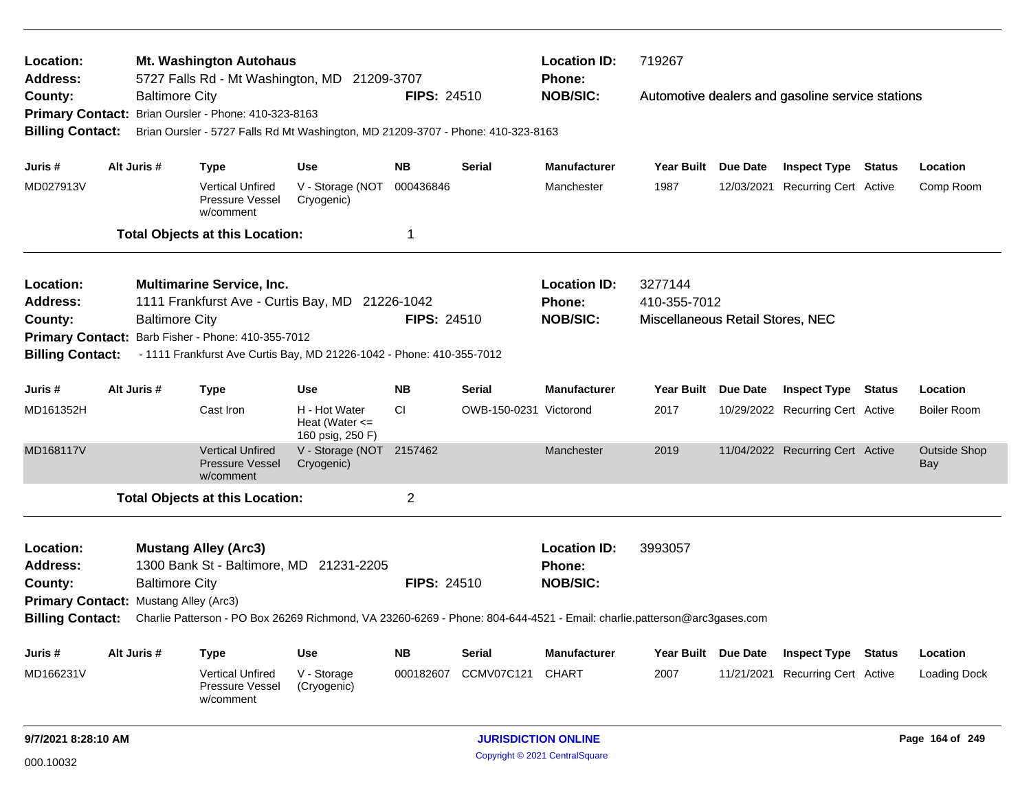| Location:<br>Address:                                                            |             |                       | <b>Mt. Washington Autohaus</b>                          | 5727 Falls Rd - Mt Washington, MD 21209-3707                                                                            |                    |                        | <b>Location ID:</b><br>Phone:                    | 719267                                           |                 |                                                  |               |                            |
|----------------------------------------------------------------------------------|-------------|-----------------------|---------------------------------------------------------|-------------------------------------------------------------------------------------------------------------------------|--------------------|------------------------|--------------------------------------------------|--------------------------------------------------|-----------------|--------------------------------------------------|---------------|----------------------------|
| County:<br><b>Primary Contact:</b>                                               |             | <b>Baltimore City</b> | Brian Oursler - Phone: 410-323-8163                     |                                                                                                                         | <b>FIPS: 24510</b> |                        | <b>NOB/SIC:</b>                                  |                                                  |                 | Automotive dealers and gasoline service stations |               |                            |
| <b>Billing Contact:</b>                                                          |             |                       |                                                         | Brian Oursler - 5727 Falls Rd Mt Washington, MD 21209-3707 - Phone: 410-323-8163                                        |                    |                        |                                                  |                                                  |                 |                                                  |               |                            |
| Juris #                                                                          | Alt Juris # |                       | <b>Type</b>                                             | <b>Use</b>                                                                                                              | NΒ                 | Serial                 | <b>Manufacturer</b>                              | <b>Year Built</b>                                | <b>Due Date</b> | <b>Inspect Type</b>                              | <b>Status</b> | Location                   |
| MD027913V                                                                        |             |                       | <b>Vertical Unfired</b><br>Pressure Vessel<br>w/comment | V - Storage (NOT<br>Cryogenic)                                                                                          | 000436846          |                        | Manchester                                       | 1987                                             |                 | 12/03/2021 Recurring Cert Active                 |               | Comp Room                  |
|                                                                                  |             |                       | <b>Total Objects at this Location:</b>                  |                                                                                                                         | -1                 |                        |                                                  |                                                  |                 |                                                  |               |                            |
| Location:                                                                        |             |                       | <b>Multimarine Service, Inc.</b>                        |                                                                                                                         |                    |                        | <b>Location ID:</b>                              | 3277144                                          |                 |                                                  |               |                            |
| <b>Address:</b>                                                                  |             | <b>Baltimore City</b> |                                                         | 1111 Frankfurst Ave - Curtis Bay, MD 21226-1042                                                                         | <b>FIPS: 24510</b> |                        | Phone:<br><b>NOB/SIC:</b>                        | 410-355-7012<br>Miscellaneous Retail Stores, NEC |                 |                                                  |               |                            |
| County:<br><b>Primary Contact:</b>                                               |             |                       | Barb Fisher - Phone: 410-355-7012                       |                                                                                                                         |                    |                        |                                                  |                                                  |                 |                                                  |               |                            |
| <b>Billing Contact:</b>                                                          |             |                       |                                                         | - 1111 Frankfurst Ave Curtis Bay, MD 21226-1042 - Phone: 410-355-7012                                                   |                    |                        |                                                  |                                                  |                 |                                                  |               |                            |
| Juris #                                                                          | Alt Juris # |                       | <b>Type</b>                                             | <b>Use</b>                                                                                                              | <b>NB</b>          | <b>Serial</b>          | <b>Manufacturer</b>                              | <b>Year Built</b>                                | Due Date        | <b>Inspect Type Status</b>                       |               | Location                   |
| MD161352H                                                                        |             |                       | Cast Iron                                               | H - Hot Water<br>Heat (Water $\leq$<br>160 psig, 250 F)                                                                 | CI.                | OWB-150-0231 Victorond |                                                  | 2017                                             |                 | 10/29/2022 Recurring Cert Active                 |               | <b>Boiler Room</b>         |
| MD168117V                                                                        |             |                       | <b>Vertical Unfired</b><br>Pressure Vessel<br>w/comment | V - Storage (NOT 2157462<br>Cryogenic)                                                                                  |                    |                        | Manchester                                       | 2019                                             |                 | 11/04/2022 Recurring Cert Active                 |               | <b>Outside Shop</b><br>Bay |
|                                                                                  |             |                       | <b>Total Objects at this Location:</b>                  |                                                                                                                         | $\overline{2}$     |                        |                                                  |                                                  |                 |                                                  |               |                            |
| Location:<br><b>Address:</b><br>County:<br>Primary Contact: Mustang Alley (Arc3) |             | <b>Baltimore City</b> | <b>Mustang Alley (Arc3)</b>                             | 1300 Bank St - Baltimore, MD 21231-2205                                                                                 | <b>FIPS: 24510</b> |                        | <b>Location ID:</b><br>Phone:<br><b>NOB/SIC:</b> | 3993057                                          |                 |                                                  |               |                            |
| <b>Billing Contact:</b>                                                          |             |                       |                                                         | Charlie Patterson - PO Box 26269 Richmond, VA 23260-6269 - Phone: 804-644-4521 - Email: charlie.patterson@arc3gases.com |                    |                        |                                                  |                                                  |                 |                                                  |               |                            |
| Juris #                                                                          | Alt Juris # |                       | <b>Type</b>                                             | <b>Use</b>                                                                                                              | <b>NB</b>          | <b>Serial</b>          | <b>Manufacturer</b>                              | Year Built Due Date                              |                 | <b>Inspect Type Status</b>                       |               | Location                   |
| MD166231V                                                                        |             |                       | <b>Vertical Unfired</b><br>Pressure Vessel<br>w/comment | V - Storage<br>(Cryogenic)                                                                                              | 000182607          | <b>CCMV07C121</b>      | <b>CHART</b>                                     | 2007                                             |                 | 11/21/2021 Recurring Cert Active                 |               | <b>Loading Dock</b>        |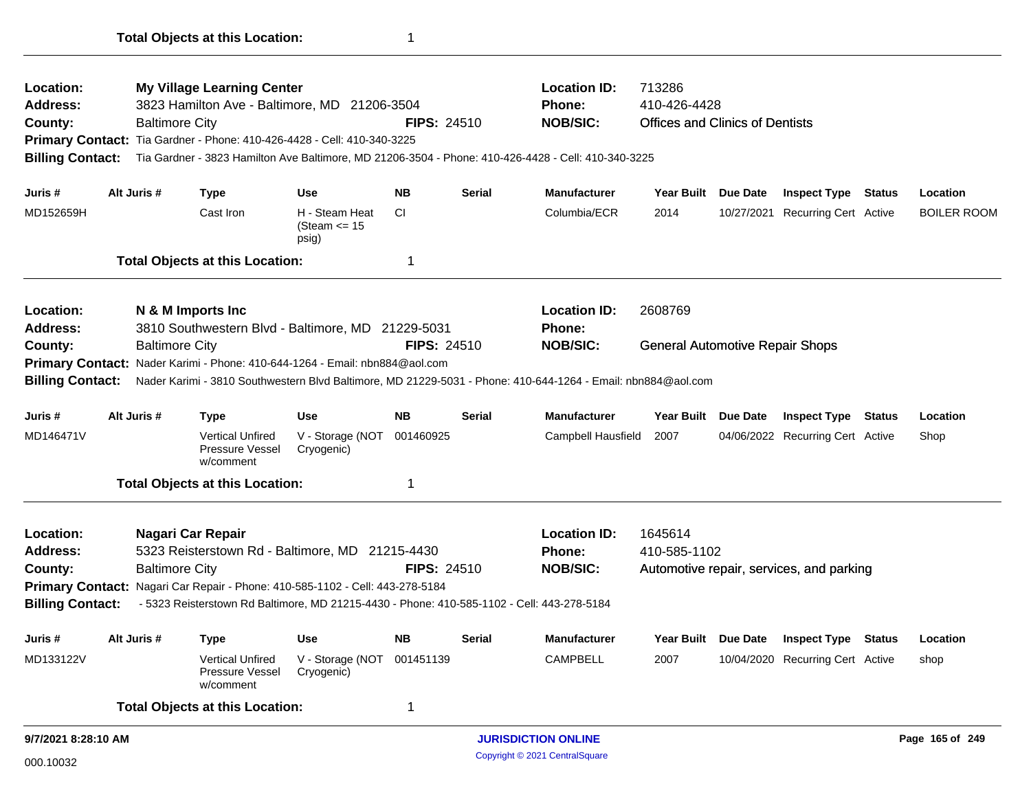| Location:               |                       | <b>My Village Learning Center</b>                                                          |                                            |                    |               | <b>Location ID:</b>                                                                                          | 713286                                 |                     |                                          |                    |
|-------------------------|-----------------------|--------------------------------------------------------------------------------------------|--------------------------------------------|--------------------|---------------|--------------------------------------------------------------------------------------------------------------|----------------------------------------|---------------------|------------------------------------------|--------------------|
| Address:                |                       | 3823 Hamilton Ave - Baltimore, MD 21206-3504                                               |                                            |                    |               | Phone:                                                                                                       | 410-426-4428                           |                     |                                          |                    |
| County:                 | <b>Baltimore City</b> |                                                                                            |                                            | <b>FIPS: 24510</b> |               | <b>NOB/SIC:</b>                                                                                              | <b>Offices and Clinics of Dentists</b> |                     |                                          |                    |
|                         |                       | Primary Contact: Tia Gardner - Phone: 410-426-4428 - Cell: 410-340-3225                    |                                            |                    |               |                                                                                                              |                                        |                     |                                          |                    |
| <b>Billing Contact:</b> |                       |                                                                                            |                                            |                    |               | Tia Gardner - 3823 Hamilton Ave Baltimore, MD 21206-3504 - Phone: 410-426-4428 - Cell: 410-340-3225          |                                        |                     |                                          |                    |
| Juris #                 | Alt Juris #           | <b>Type</b>                                                                                | <b>Use</b>                                 | <b>NB</b>          | Serial        | <b>Manufacturer</b>                                                                                          | <b>Year Built</b>                      | Due Date            | <b>Inspect Type Status</b>               | Location           |
| MD152659H               |                       | Cast Iron                                                                                  | H - Steam Heat<br>(Steam $\le$ 15<br>psig) | <b>CI</b>          |               | Columbia/ECR                                                                                                 | 2014                                   |                     | 10/27/2021 Recurring Cert Active         | <b>BOILER ROOM</b> |
|                         |                       | <b>Total Objects at this Location:</b>                                                     |                                            | 1                  |               |                                                                                                              |                                        |                     |                                          |                    |
| Location:               |                       | N & M Imports Inc                                                                          |                                            |                    |               | <b>Location ID:</b>                                                                                          | 2608769                                |                     |                                          |                    |
| Address:                |                       | 3810 Southwestern Blvd - Baltimore, MD 21229-5031                                          |                                            |                    |               | Phone:                                                                                                       |                                        |                     |                                          |                    |
| County:                 | <b>Baltimore City</b> |                                                                                            |                                            | <b>FIPS: 24510</b> |               | <b>NOB/SIC:</b>                                                                                              | <b>General Automotive Repair Shops</b> |                     |                                          |                    |
|                         |                       | Primary Contact: Nader Karimi - Phone: 410-644-1264 - Email: nbn884@aol.com                |                                            |                    |               |                                                                                                              |                                        |                     |                                          |                    |
| <b>Billing Contact:</b> |                       |                                                                                            |                                            |                    |               | Nader Karimi - 3810 Southwestern Blvd Baltimore, MD 21229-5031 - Phone: 410-644-1264 - Email: nbn884@aol.com |                                        |                     |                                          |                    |
| Juris #                 | Alt Juris #           | <b>Type</b>                                                                                | <b>Use</b>                                 | <b>NB</b>          | Serial        | <b>Manufacturer</b>                                                                                          |                                        | Year Built Due Date | <b>Inspect Type Status</b>               | Location           |
| MD146471V               |                       | Vertical Unfired<br>Pressure Vessel<br>w/comment                                           | V - Storage (NOT 001460925<br>Cryogenic)   |                    |               | <b>Campbell Hausfield</b>                                                                                    | 2007                                   |                     | 04/06/2022 Recurring Cert Active         | Shop               |
|                         |                       | <b>Total Objects at this Location:</b>                                                     |                                            |                    |               |                                                                                                              |                                        |                     |                                          |                    |
| Location:               |                       | Nagari Car Repair                                                                          |                                            |                    |               | <b>Location ID:</b>                                                                                          | 1645614                                |                     |                                          |                    |
| Address:                |                       | 5323 Reisterstown Rd - Baltimore, MD 21215-4430                                            |                                            |                    |               | Phone:                                                                                                       | 410-585-1102                           |                     |                                          |                    |
| County:                 | <b>Baltimore City</b> |                                                                                            |                                            | <b>FIPS: 24510</b> |               | <b>NOB/SIC:</b>                                                                                              |                                        |                     | Automotive repair, services, and parking |                    |
|                         |                       | Primary Contact: Nagari Car Repair - Phone: 410-585-1102 - Cell: 443-278-5184              |                                            |                    |               |                                                                                                              |                                        |                     |                                          |                    |
| <b>Billing Contact:</b> |                       | - 5323 Reisterstown Rd Baltimore, MD 21215-4430 - Phone: 410-585-1102 - Cell: 443-278-5184 |                                            |                    |               |                                                                                                              |                                        |                     |                                          |                    |
| Juris #                 | Alt Juris #           | <b>Type</b>                                                                                | <b>Use</b>                                 | <b>NB</b>          | <b>Serial</b> | <b>Manufacturer</b>                                                                                          |                                        |                     | Year Built Due Date Inspect Type Status  | Location           |
| MD133122V               |                       | <b>Vertical Unfired</b><br>Pressure Vessel<br>w/comment                                    | V - Storage (NOT 001451139<br>Cryogenic)   |                    |               | CAMPBELL                                                                                                     | 2007                                   |                     | 10/04/2020 Recurring Cert Active         | shop               |
|                         |                       | <b>Total Objects at this Location:</b>                                                     |                                            | 1                  |               |                                                                                                              |                                        |                     |                                          |                    |
| 9/7/2021 8:28:10 AM     |                       |                                                                                            |                                            |                    |               | <b>JURISDICTION ONLINE</b>                                                                                   |                                        |                     |                                          | Page 165 of 249    |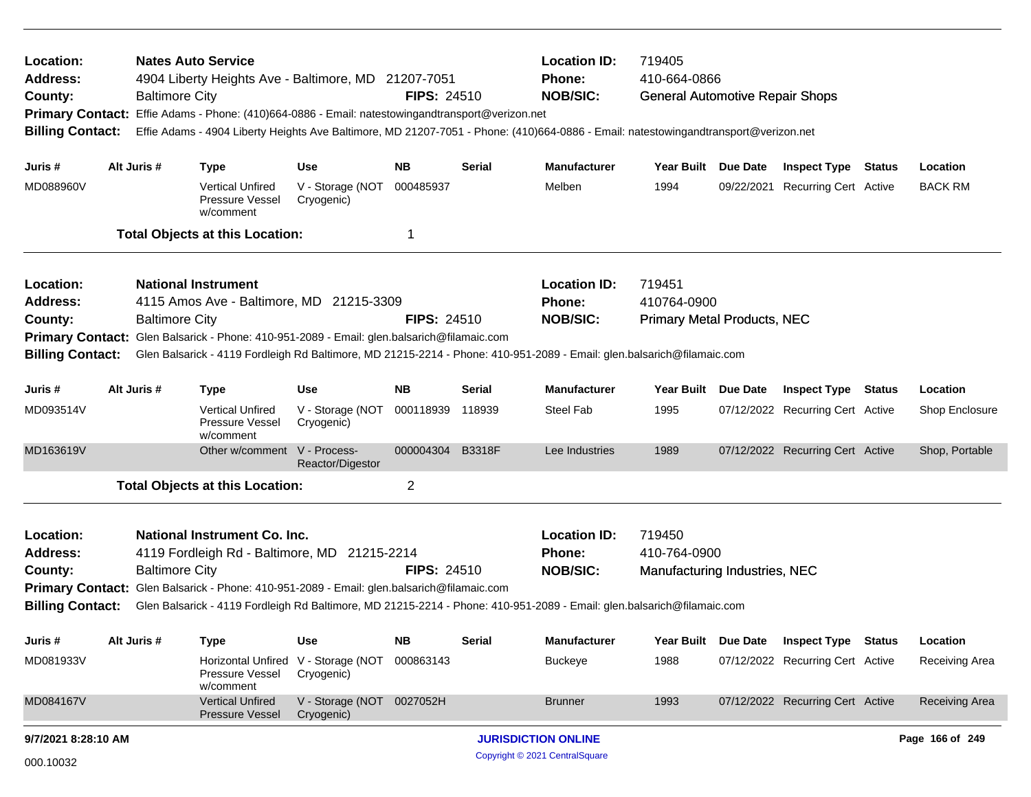| Location:<br><b>Address:</b><br>County:<br><b>Primary Contact:</b><br><b>Billing Contact:</b>                                                                                                                                                                                                                                                                                                                             |                                                       | <b>Baltimore City</b> | <b>Nates Auto Service</b><br>4904 Liberty Heights Ave - Baltimore, MD 21207-7051<br>Effie Adams - Phone: (410)664-0886 - Email: natestowingandtransport@verizon.net |                                         | <b>FIPS: 24510</b> |               | <b>Location ID:</b><br><b>Phone:</b><br><b>NOB/SIC:</b><br>Effie Adams - 4904 Liberty Heights Ave Baltimore, MD 21207-7051 - Phone: (410)664-0886 - Email: natestowingandtransport@verizon.net | 719405<br>410-664-0866<br><b>General Automotive Repair Shops</b> |          |                                  |                       |
|---------------------------------------------------------------------------------------------------------------------------------------------------------------------------------------------------------------------------------------------------------------------------------------------------------------------------------------------------------------------------------------------------------------------------|-------------------------------------------------------|-----------------------|---------------------------------------------------------------------------------------------------------------------------------------------------------------------|-----------------------------------------|--------------------|---------------|------------------------------------------------------------------------------------------------------------------------------------------------------------------------------------------------|------------------------------------------------------------------|----------|----------------------------------|-----------------------|
| Juris #                                                                                                                                                                                                                                                                                                                                                                                                                   |                                                       | Alt Juris #           | <b>Type</b>                                                                                                                                                         | Use                                     | <b>NB</b>          | Serial        | <b>Manufacturer</b>                                                                                                                                                                            | Year Built Due Date                                              |          | <b>Inspect Type Status</b>       | Location              |
| MD088960V                                                                                                                                                                                                                                                                                                                                                                                                                 |                                                       |                       | <b>Vertical Unfired</b><br>Pressure Vessel<br>w/comment                                                                                                             | V - Storage (NOT<br>Cryogenic)          | 000485937          |               | Melben                                                                                                                                                                                         | 1994                                                             |          | 09/22/2021 Recurring Cert Active | <b>BACK RM</b>        |
|                                                                                                                                                                                                                                                                                                                                                                                                                           |                                                       |                       | <b>Total Objects at this Location:</b>                                                                                                                              |                                         | -1                 |               |                                                                                                                                                                                                |                                                                  |          |                                  |                       |
| Location:<br><b>Address:</b><br>County:<br><b>Primary Contact:</b><br><b>Billing Contact:</b>                                                                                                                                                                                                                                                                                                                             |                                                       | <b>Baltimore City</b> | <b>National Instrument</b><br>4115 Amos Ave - Baltimore, MD 21215-3309<br>Glen Balsarick - Phone: 410-951-2089 - Email: glen.balsarich@filamaic.com                 |                                         | <b>FIPS: 24510</b> |               | <b>Location ID:</b><br><b>Phone:</b><br><b>NOB/SIC:</b><br>Glen Balsarick - 4119 Fordleigh Rd Baltimore, MD 21215-2214 - Phone: 410-951-2089 - Email: glen.balsarich@filamaic.com              | 719451<br>410764-0900<br><b>Primary Metal Products, NEC</b>      |          |                                  |                       |
| Juris #                                                                                                                                                                                                                                                                                                                                                                                                                   | Alt Juris #<br><b>Use</b><br><b>NB</b><br><b>Type</b> |                       |                                                                                                                                                                     |                                         |                    | Serial        | <b>Manufacturer</b>                                                                                                                                                                            | Year Built Due Date                                              |          | <b>Inspect Type Status</b>       | Location              |
| MD093514V                                                                                                                                                                                                                                                                                                                                                                                                                 |                                                       |                       | <b>Vertical Unfired</b><br>Pressure Vessel<br>w/comment                                                                                                             | V - Storage (NOT<br>Cryogenic)          | 000118939          | 118939        | <b>Steel Fab</b>                                                                                                                                                                               | 1995                                                             |          | 07/12/2022 Recurring Cert Active | Shop Enclosure        |
| MD163619V                                                                                                                                                                                                                                                                                                                                                                                                                 |                                                       |                       | Other w/comment                                                                                                                                                     | V - Process-<br>Reactor/Digestor        | 000004304 B3318F   |               | Lee Industries                                                                                                                                                                                 | 1989                                                             |          | 07/12/2022 Recurring Cert Active | Shop, Portable        |
|                                                                                                                                                                                                                                                                                                                                                                                                                           |                                                       |                       | <b>Total Objects at this Location:</b>                                                                                                                              |                                         | $\overline{2}$     |               |                                                                                                                                                                                                |                                                                  |          |                                  |                       |
| Location:<br><b>National Instrument Co. Inc.</b><br>4119 Fordleigh Rd - Baltimore, MD 21215-2214<br>Address:<br><b>Baltimore City</b><br><b>FIPS: 24510</b><br>County:<br>Primary Contact: Glen Balsarick - Phone: 410-951-2089 - Email: glen.balsarich@filamaic.com<br><b>Billing Contact:</b><br>Glen Balsarick - 4119 Fordleigh Rd Baltimore, MD 21215-2214 - Phone: 410-951-2089 - Email: glen.balsarich@filamaic.com |                                                       |                       |                                                                                                                                                                     |                                         |                    |               | <b>Location ID:</b><br>Phone:<br><b>NOB/SIC:</b>                                                                                                                                               | 719450<br>410-764-0900<br>Manufacturing Industries, NEC          |          |                                  |                       |
| Juris #                                                                                                                                                                                                                                                                                                                                                                                                                   |                                                       | Alt Juris #           | <b>Type</b>                                                                                                                                                         | Use                                     | <b>NB</b>          | <b>Serial</b> | Manufacturer                                                                                                                                                                                   | <b>Year Built</b>                                                | Due Date | <b>Inspect Type Status</b>       | Location              |
| MD081933V                                                                                                                                                                                                                                                                                                                                                                                                                 |                                                       |                       | Horizontal Unfired<br>Pressure Vessel<br>w/comment                                                                                                                  | V - Storage (NOT<br>Cryogenic)          | 000863143          |               | <b>Buckeye</b>                                                                                                                                                                                 | 1988                                                             |          | 07/12/2022 Recurring Cert Active | Receiving Area        |
| MD084167V                                                                                                                                                                                                                                                                                                                                                                                                                 |                                                       |                       | <b>Vertical Unfired</b><br><b>Pressure Vessel</b>                                                                                                                   | V - Storage (NOT 0027052H<br>Cryogenic) |                    |               | <b>Brunner</b>                                                                                                                                                                                 | 1993                                                             |          | 07/12/2022 Recurring Cert Active | <b>Receiving Area</b> |
| 9/7/2021 8:28:10 AM                                                                                                                                                                                                                                                                                                                                                                                                       |                                                       |                       |                                                                                                                                                                     |                                         |                    |               | <b>JURISDICTION ONLINE</b>                                                                                                                                                                     |                                                                  |          |                                  | Page 166 of 249       |
| 000.10032                                                                                                                                                                                                                                                                                                                                                                                                                 |                                                       |                       |                                                                                                                                                                     |                                         |                    |               | Copyright © 2021 CentralSquare                                                                                                                                                                 |                                                                  |          |                                  |                       |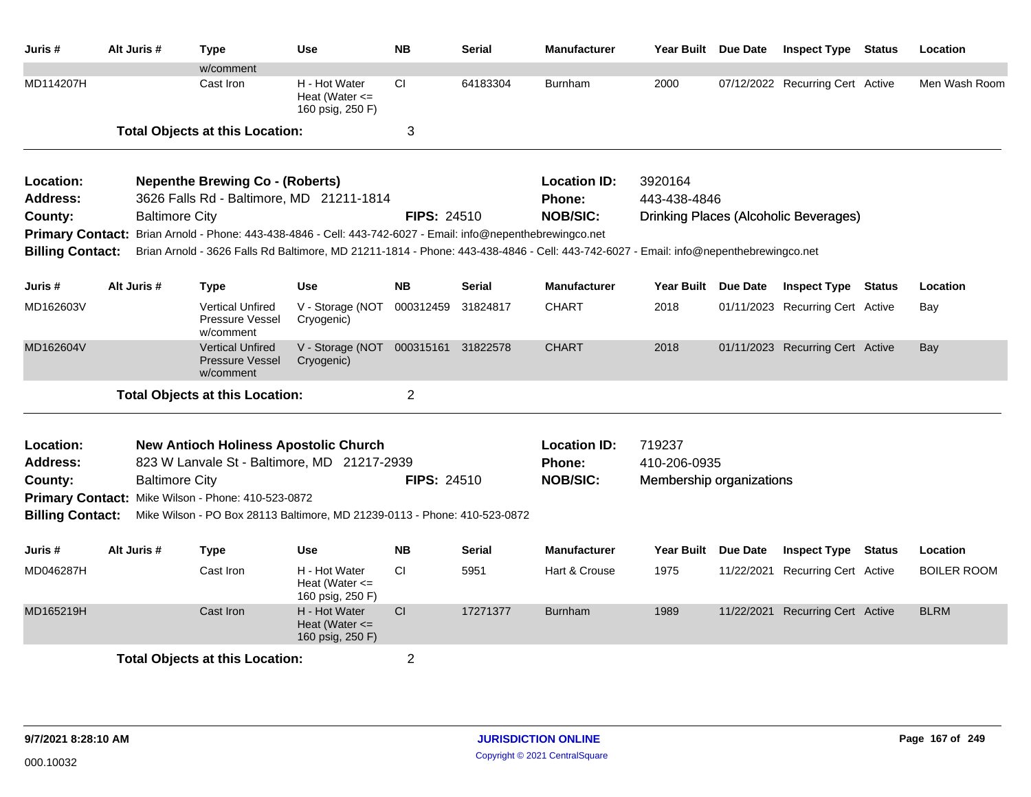| Juris #                 | Alt Juris #           | <b>Type</b>                                                                                                                          | Use                                                     | <b>NB</b>          | <b>Serial</b>      | <b>Manufacturer</b> |                          | Year Built Due Date | <b>Inspect Type Status</b>                   | Location           |
|-------------------------|-----------------------|--------------------------------------------------------------------------------------------------------------------------------------|---------------------------------------------------------|--------------------|--------------------|---------------------|--------------------------|---------------------|----------------------------------------------|--------------------|
|                         |                       | w/comment                                                                                                                            |                                                         |                    |                    |                     |                          |                     |                                              |                    |
| MD114207H               |                       | Cast Iron                                                                                                                            | H - Hot Water<br>Heat (Water $\leq$<br>160 psig, 250 F) | <b>CI</b>          | 64183304           | <b>Burnham</b>      | 2000                     |                     | 07/12/2022 Recurring Cert Active             | Men Wash Room      |
|                         |                       | <b>Total Objects at this Location:</b>                                                                                               |                                                         | 3                  |                    |                     |                          |                     |                                              |                    |
| Location:               |                       | <b>Nepenthe Brewing Co - (Roberts)</b>                                                                                               |                                                         |                    |                    | <b>Location ID:</b> | 3920164                  |                     |                                              |                    |
| <b>Address:</b>         |                       | 3626 Falls Rd - Baltimore, MD 21211-1814                                                                                             |                                                         |                    |                    | Phone:              | 443-438-4846             |                     |                                              |                    |
| County:                 | <b>Baltimore City</b> |                                                                                                                                      |                                                         | <b>FIPS: 24510</b> |                    | <b>NOB/SIC:</b>     |                          |                     | <b>Drinking Places (Alcoholic Beverages)</b> |                    |
|                         |                       | Primary Contact: Brian Arnold - Phone: 443-438-4846 - Cell: 443-742-6027 - Email: info@nepenthebrewingco.net                         |                                                         |                    |                    |                     |                          |                     |                                              |                    |
| <b>Billing Contact:</b> |                       | Brian Arnold - 3626 Falls Rd Baltimore, MD 21211-1814 - Phone: 443-438-4846 - Cell: 443-742-6027 - Email: info@nepenthebrewingco.net |                                                         |                    |                    |                     |                          |                     |                                              |                    |
| Juris #                 | Alt Juris #           | <b>Type</b>                                                                                                                          | <b>Use</b>                                              | <b>NB</b>          | <b>Serial</b>      | <b>Manufacturer</b> | Year Built Due Date      |                     | <b>Inspect Type Status</b>                   | Location           |
| MD162603V               |                       | <b>Vertical Unfired</b><br>Pressure Vessel<br>w/comment                                                                              | V - Storage (NOT<br>Cryogenic)                          | 000312459          | 31824817           | <b>CHART</b>        | 2018                     |                     | 01/11/2023 Recurring Cert Active             | Bay                |
| MD162604V               |                       | <b>Vertical Unfired</b><br><b>Pressure Vessel</b><br>w/comment                                                                       | V - Storage (NOT<br>Cryogenic)                          |                    | 000315161 31822578 | <b>CHART</b>        | 2018                     |                     | 01/11/2023 Recurring Cert Active             | Bay                |
|                         |                       | <b>Total Objects at this Location:</b>                                                                                               |                                                         | $\overline{2}$     |                    |                     |                          |                     |                                              |                    |
| Location:               |                       | <b>New Antioch Holiness Apostolic Church</b>                                                                                         |                                                         |                    |                    | <b>Location ID:</b> | 719237                   |                     |                                              |                    |
| Address:                |                       | 823 W Lanvale St - Baltimore, MD 21217-2939                                                                                          |                                                         |                    |                    | <b>Phone:</b>       | 410-206-0935             |                     |                                              |                    |
| County:                 | <b>Baltimore City</b> |                                                                                                                                      |                                                         | <b>FIPS: 24510</b> |                    | <b>NOB/SIC:</b>     | Membership organizations |                     |                                              |                    |
|                         |                       | Primary Contact: Mike Wilson - Phone: 410-523-0872                                                                                   |                                                         |                    |                    |                     |                          |                     |                                              |                    |
| <b>Billing Contact:</b> |                       | Mike Wilson - PO Box 28113 Baltimore, MD 21239-0113 - Phone: 410-523-0872                                                            |                                                         |                    |                    |                     |                          |                     |                                              |                    |
| Juris #                 | Alt Juris #           | <b>Type</b>                                                                                                                          | <b>Use</b>                                              | <b>NB</b>          | <b>Serial</b>      | <b>Manufacturer</b> | <b>Year Built</b>        | <b>Due Date</b>     | <b>Inspect Type Status</b>                   | Location           |
| MD046287H               |                       | Cast Iron                                                                                                                            | H - Hot Water<br>Heat (Water $\leq$<br>160 psig, 250 F) | <b>CI</b>          | 5951               | Hart & Crouse       | 1975                     | 11/22/2021          | <b>Recurring Cert Active</b>                 | <b>BOILER ROOM</b> |
| MD165219H               |                       | Cast Iron                                                                                                                            | H - Hot Water<br>Heat (Water $\leq$<br>160 psig, 250 F) | CI                 | 17271377           | <b>Burnham</b>      | 1989                     |                     | 11/22/2021 Recurring Cert Active             | <b>BLRM</b>        |
|                         |                       | <b>Total Objects at this Location:</b>                                                                                               |                                                         | $\overline{2}$     |                    |                     |                          |                     |                                              |                    |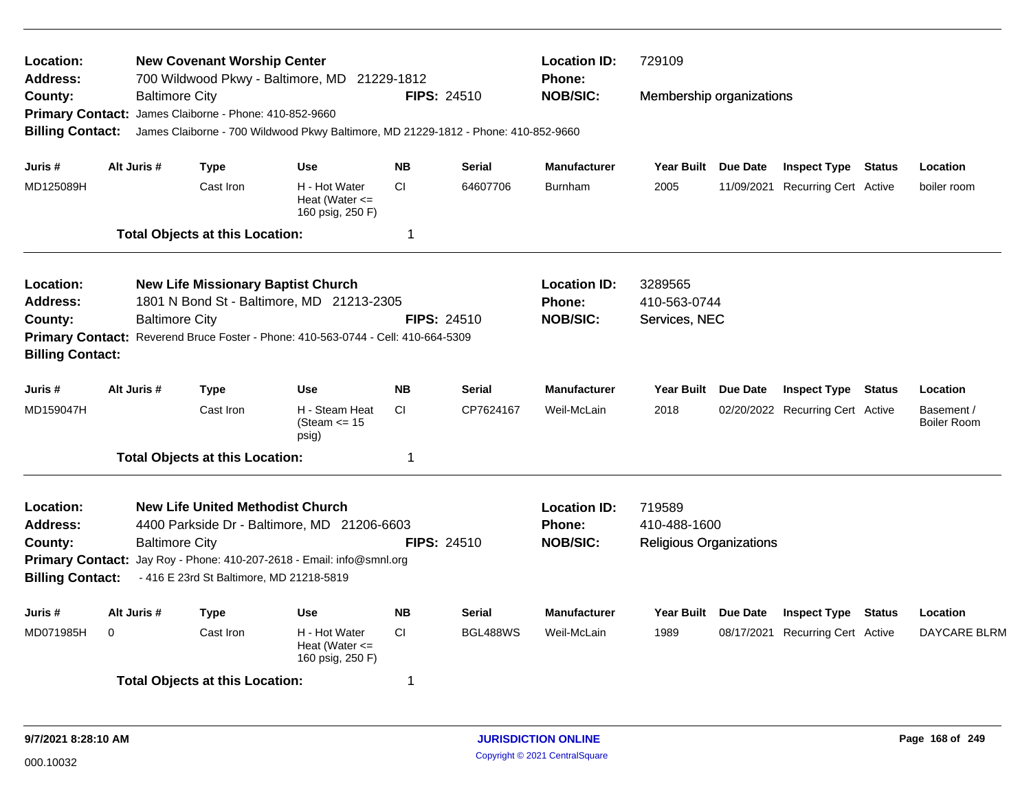| Location:<br><b>Address:</b> |                       | <b>New Covenant Worship Center</b>                     | 700 Wildwood Pkwy - Baltimore, MD 21229-1812                                       |             |                    | <b>Location ID:</b><br>Phone: | 729109                         |                 |                                  |        |                                  |
|------------------------------|-----------------------|--------------------------------------------------------|------------------------------------------------------------------------------------|-------------|--------------------|-------------------------------|--------------------------------|-----------------|----------------------------------|--------|----------------------------------|
| County:                      | <b>Baltimore City</b> |                                                        |                                                                                    |             | <b>FIPS: 24510</b> | <b>NOB/SIC:</b>               | Membership organizations       |                 |                                  |        |                                  |
|                              |                       | Primary Contact: James Claiborne - Phone: 410-852-9660 |                                                                                    |             |                    |                               |                                |                 |                                  |        |                                  |
| <b>Billing Contact:</b>      |                       |                                                        | James Claiborne - 700 Wildwood Pkwy Baltimore, MD 21229-1812 - Phone: 410-852-9660 |             |                    |                               |                                |                 |                                  |        |                                  |
| Juris #                      | Alt Juris #           | Type                                                   | <b>Use</b>                                                                         | <b>NB</b>   | <b>Serial</b>      | <b>Manufacturer</b>           | <b>Year Built</b>              | <b>Due Date</b> | <b>Inspect Type Status</b>       |        | Location                         |
| MD125089H                    |                       | Cast Iron                                              | H - Hot Water<br>Heat (Water $\leq$<br>160 psig, 250 F)                            | CI          | 64607706           | <b>Burnham</b>                | 2005                           |                 | 11/09/2021 Recurring Cert Active |        | boiler room                      |
|                              |                       | <b>Total Objects at this Location:</b>                 |                                                                                    | $\mathbf 1$ |                    |                               |                                |                 |                                  |        |                                  |
| <b>Location:</b>             |                       | <b>New Life Missionary Baptist Church</b>              |                                                                                    |             |                    | <b>Location ID:</b>           | 3289565                        |                 |                                  |        |                                  |
| <b>Address:</b>              |                       |                                                        | 1801 N Bond St - Baltimore, MD 21213-2305                                          |             |                    | Phone:                        | 410-563-0744                   |                 |                                  |        |                                  |
| County:                      | <b>Baltimore City</b> |                                                        |                                                                                    |             | <b>FIPS: 24510</b> | <b>NOB/SIC:</b>               | Services, NEC                  |                 |                                  |        |                                  |
|                              |                       |                                                        | Primary Contact: Reverend Bruce Foster - Phone: 410-563-0744 - Cell: 410-664-5309  |             |                    |                               |                                |                 |                                  |        |                                  |
| <b>Billing Contact:</b>      |                       |                                                        |                                                                                    |             |                    |                               |                                |                 |                                  |        |                                  |
| Juris #                      | Alt Juris #           | <b>Type</b>                                            | Use                                                                                | <b>NB</b>   | Serial             | <b>Manufacturer</b>           | Year Built                     | <b>Due Date</b> | <b>Inspect Type</b>              | Status | Location                         |
| MD159047H                    |                       | Cast Iron                                              | H - Steam Heat<br>(Steam $\le$ 15<br>psig)                                         | CI          | CP7624167          | Weil-McLain                   | 2018                           |                 | 02/20/2022 Recurring Cert Active |        | Basement /<br><b>Boiler Room</b> |
|                              |                       | <b>Total Objects at this Location:</b>                 |                                                                                    | 1           |                    |                               |                                |                 |                                  |        |                                  |
| Location:                    |                       | <b>New Life United Methodist Church</b>                |                                                                                    |             |                    | <b>Location ID:</b>           | 719589                         |                 |                                  |        |                                  |
| <b>Address:</b>              |                       |                                                        | 4400 Parkside Dr - Baltimore, MD 21206-6603                                        |             |                    | <b>Phone:</b>                 | 410-488-1600                   |                 |                                  |        |                                  |
| County:                      | <b>Baltimore City</b> |                                                        |                                                                                    |             | <b>FIPS: 24510</b> | <b>NOB/SIC:</b>               | <b>Religious Organizations</b> |                 |                                  |        |                                  |
|                              |                       |                                                        | Primary Contact: Jay Roy - Phone: 410-207-2618 - Email: info@smnl.org              |             |                    |                               |                                |                 |                                  |        |                                  |
| <b>Billing Contact:</b>      |                       | - 416 E 23rd St Baltimore, MD 21218-5819               |                                                                                    |             |                    |                               |                                |                 |                                  |        |                                  |
| Juris #                      | Alt Juris #           | Type                                                   | <b>Use</b>                                                                         | <b>NB</b>   | <b>Serial</b>      | <b>Manufacturer</b>           | <b>Year Built</b>              | <b>Due Date</b> | <b>Inspect Type</b>              | Status | Location                         |
| MD071985H                    | 0                     | Cast Iron                                              | H - Hot Water<br>Heat (Water $\leq$<br>160 psig, 250 F)                            | <b>CI</b>   | <b>BGL488WS</b>    | Weil-McLain                   | 1989                           |                 | 08/17/2021 Recurring Cert Active |        | DAYCARE BLRM                     |
|                              |                       | <b>Total Objects at this Location:</b>                 |                                                                                    | 1           |                    |                               |                                |                 |                                  |        |                                  |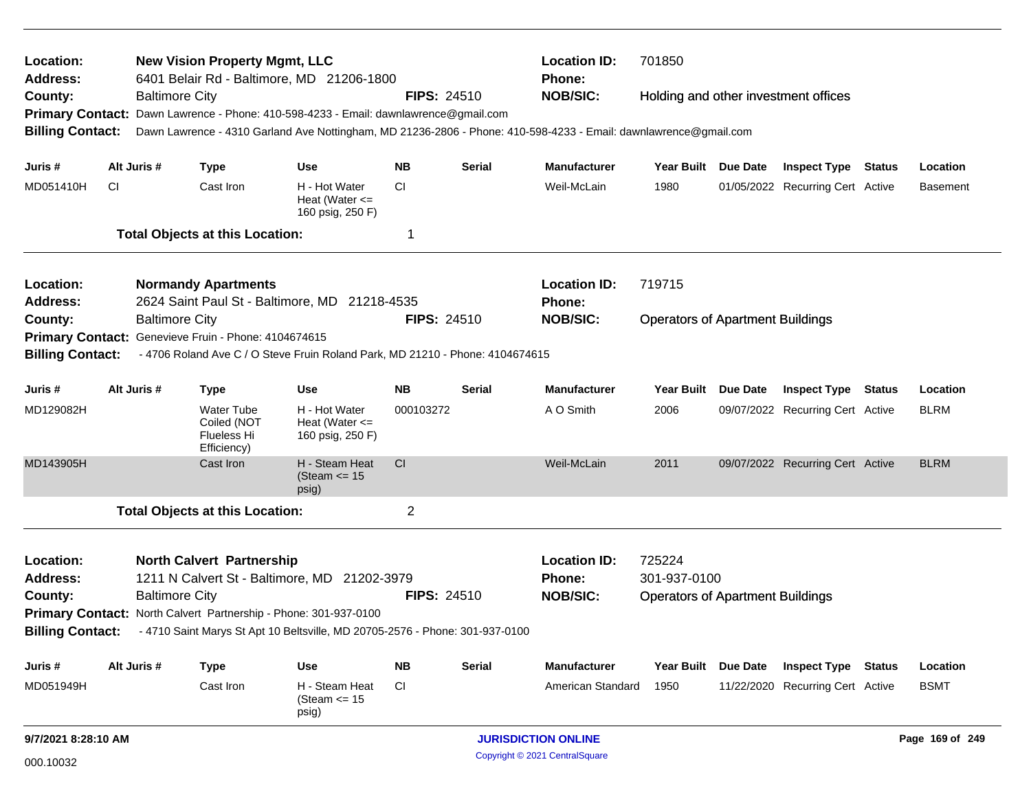| Location:                                                                                                                             |                       |                       | <b>New Vision Property Mgmt, LLC</b>                           |                                                                                                                                   |                      |               | <b>Location ID:</b>        | 701850                                  |                 |                                  |                 |
|---------------------------------------------------------------------------------------------------------------------------------------|-----------------------|-----------------------|----------------------------------------------------------------|-----------------------------------------------------------------------------------------------------------------------------------|----------------------|---------------|----------------------------|-----------------------------------------|-----------------|----------------------------------|-----------------|
| <b>Address:</b><br>County:                                                                                                            |                       | <b>Baltimore City</b> |                                                                | 6401 Belair Rd - Baltimore, MD 21206-1800<br>Primary Contact: Dawn Lawrence - Phone: 410-598-4233 - Email: dawnlawrence@gmail.com | <b>FIPS: 24510</b>   |               | Phone:<br><b>NOB/SIC:</b>  | Holding and other investment offices    |                 |                                  |                 |
| <b>Billing Contact:</b>                                                                                                               |                       |                       |                                                                | Dawn Lawrence - 4310 Garland Ave Nottingham, MD 21236-2806 - Phone: 410-598-4233 - Email: dawnlawrence@gmail.com                  |                      |               |                            |                                         |                 |                                  |                 |
| Juris #                                                                                                                               |                       | Alt Juris #           | <b>Type</b>                                                    | <b>Use</b>                                                                                                                        | <b>NB</b>            | Serial        | <b>Manufacturer</b>        | Year Built Due Date                     |                 | <b>Inspect Type Status</b>       | Location        |
| MD051410H                                                                                                                             | CI                    |                       | Cast Iron                                                      | H - Hot Water<br>Heat (Water $\leq$<br>160 psig, 250 F)                                                                           | СI                   |               | Weil-McLain                | 1980                                    |                 | 01/05/2022 Recurring Cert Active | <b>Basement</b> |
|                                                                                                                                       |                       |                       | <b>Total Objects at this Location:</b>                         |                                                                                                                                   | -1                   |               |                            |                                         |                 |                                  |                 |
| Location:                                                                                                                             |                       |                       | <b>Normandy Apartments</b>                                     |                                                                                                                                   |                      |               | <b>Location ID:</b>        | 719715                                  |                 |                                  |                 |
| <b>Address:</b>                                                                                                                       |                       |                       |                                                                | 2624 Saint Paul St - Baltimore, MD 21218-4535                                                                                     |                      |               | Phone:                     |                                         |                 |                                  |                 |
| County:                                                                                                                               | <b>Baltimore City</b> |                       |                                                                |                                                                                                                                   | <b>FIPS: 24510</b>   |               | <b>NOB/SIC:</b>            | <b>Operators of Apartment Buildings</b> |                 |                                  |                 |
| Primary Contact: Genevieve Fruin - Phone: 4104674615<br>- 4706 Roland Ave C / O Steve Fruin Roland Park, MD 21210 - Phone: 4104674615 |                       |                       |                                                                |                                                                                                                                   |                      |               |                            |                                         |                 |                                  |                 |
| <b>Billing Contact:</b>                                                                                                               |                       |                       |                                                                |                                                                                                                                   |                      |               |                            |                                         |                 |                                  |                 |
| Juris #                                                                                                                               |                       | Alt Juris #           | <b>Type</b>                                                    | <b>Use</b>                                                                                                                        | NB.<br><b>Serial</b> |               | <b>Manufacturer</b>        | Year Built                              | <b>Due Date</b> | <b>Inspect Type Status</b>       | Location        |
| MD129082H                                                                                                                             |                       |                       | <b>Water Tube</b><br>Coiled (NOT<br>Flueless Hi<br>Efficiency) | H - Hot Water<br>Heat (Water $\leq$<br>160 psig, 250 F)                                                                           | 000103272            |               | A O Smith                  | 2006                                    |                 | 09/07/2022 Recurring Cert Active | <b>BLRM</b>     |
| MD143905H                                                                                                                             |                       |                       | Cast Iron                                                      | H - Steam Heat<br>(Steam $\le$ 15<br>psig)                                                                                        | <b>CI</b>            |               | Weil-McLain                | 2011                                    |                 | 09/07/2022 Recurring Cert Active | <b>BLRM</b>     |
|                                                                                                                                       |                       |                       | <b>Total Objects at this Location:</b>                         |                                                                                                                                   | $\overline{2}$       |               |                            |                                         |                 |                                  |                 |
| Location:                                                                                                                             |                       |                       | <b>North Calvert Partnership</b>                               |                                                                                                                                   |                      |               | <b>Location ID:</b>        | 725224                                  |                 |                                  |                 |
| <b>Address:</b>                                                                                                                       |                       |                       |                                                                | 1211 N Calvert St - Baltimore, MD 21202-3979                                                                                      |                      |               | Phone:                     | 301-937-0100                            |                 |                                  |                 |
| County:                                                                                                                               |                       | <b>Baltimore City</b> |                                                                |                                                                                                                                   | <b>FIPS: 24510</b>   |               | <b>NOB/SIC:</b>            | <b>Operators of Apartment Buildings</b> |                 |                                  |                 |
| Primary Contact: North Calvert Partnership - Phone: 301-937-0100                                                                      |                       |                       |                                                                |                                                                                                                                   |                      |               |                            |                                         |                 |                                  |                 |
|                                                                                                                                       |                       |                       |                                                                | Billing Contact: - 4710 Saint Marys St Apt 10 Beltsville, MD 20705-2576 - Phone: 301-937-0100                                     |                      |               |                            |                                         |                 |                                  |                 |
| Juris #                                                                                                                               |                       | Alt Juris #           | <b>Type</b>                                                    | Use                                                                                                                               | <b>NB</b>            | <b>Serial</b> | <b>Manufacturer</b>        | <b>Year Built</b>                       | <b>Due Date</b> | <b>Inspect Type Status</b>       | Location        |
| MD051949H                                                                                                                             |                       |                       | Cast Iron                                                      | H - Steam Heat<br>(Steam $\le$ 15<br>psig)                                                                                        | <b>CI</b>            |               | American Standard          | 1950                                    |                 | 11/22/2020 Recurring Cert Active | <b>BSMT</b>     |
| 9/7/2021 8:28:10 AM                                                                                                                   |                       |                       |                                                                |                                                                                                                                   |                      |               | <b>JURISDICTION ONLINE</b> |                                         |                 |                                  | Page 169 of 249 |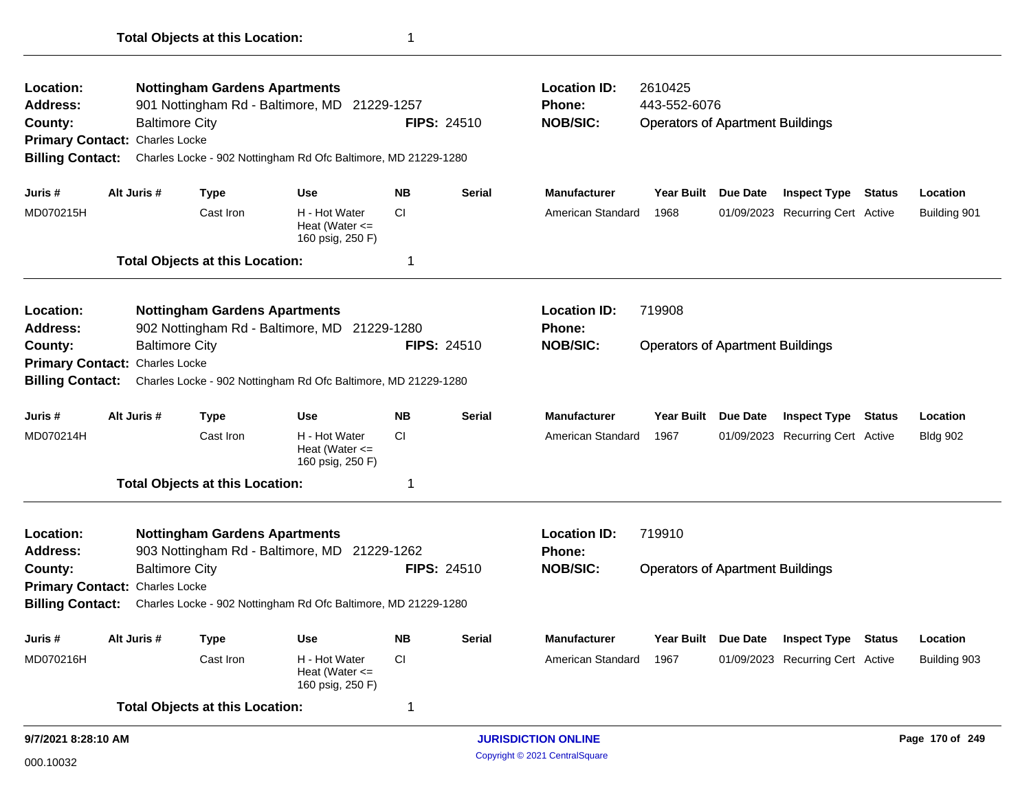| Location:<br><b>Address:</b><br>County:<br>Primary Contact: Charles Locke<br><b>Billing Contact:</b>                        |  | <b>Baltimore City</b> | <b>Nottingham Gardens Apartments</b>   | 901 Nottingham Rd - Baltimore, MD 21229-1257<br>Charles Locke - 902 Nottingham Rd Ofc Baltimore, MD 21229-1280 |             | <b>FIPS: 24510</b> | <b>Location ID:</b><br>Phone:<br><b>NOB/SIC:</b> | 2610425<br>443-552-6076<br><b>Operators of Apartment Buildings</b> |                 |                                                                |               |                          |
|-----------------------------------------------------------------------------------------------------------------------------|--|-----------------------|----------------------------------------|----------------------------------------------------------------------------------------------------------------|-------------|--------------------|--------------------------------------------------|--------------------------------------------------------------------|-----------------|----------------------------------------------------------------|---------------|--------------------------|
|                                                                                                                             |  |                       |                                        |                                                                                                                | <b>NB</b>   |                    | <b>Manufacturer</b>                              |                                                                    |                 |                                                                |               |                          |
| Juris #<br>MD070215H                                                                                                        |  | Alt Juris #           | <b>Type</b><br>Cast Iron               | <b>Use</b><br>H - Hot Water<br>Heat (Water $\leq$<br>160 psig, 250 F)                                          | <b>CI</b>   | Serial             | American Standard                                | Year Built Due Date<br>1968                                        |                 | <b>Inspect Type Status</b><br>01/09/2023 Recurring Cert Active |               | Location<br>Building 901 |
|                                                                                                                             |  |                       | <b>Total Objects at this Location:</b> |                                                                                                                | 1           |                    |                                                  |                                                                    |                 |                                                                |               |                          |
| Location:                                                                                                                   |  |                       | <b>Nottingham Gardens Apartments</b>   |                                                                                                                |             |                    | <b>Location ID:</b>                              | 719908                                                             |                 |                                                                |               |                          |
| <b>Address:</b>                                                                                                             |  |                       |                                        | 902 Nottingham Rd - Baltimore, MD 21229-1280                                                                   |             |                    | <b>Phone:</b>                                    |                                                                    |                 |                                                                |               |                          |
| County:                                                                                                                     |  | <b>Baltimore City</b> |                                        |                                                                                                                |             | <b>FIPS: 24510</b> | <b>NOB/SIC:</b>                                  | <b>Operators of Apartment Buildings</b>                            |                 |                                                                |               |                          |
| Primary Contact: Charles Locke<br><b>Billing Contact:</b>                                                                   |  |                       |                                        | Charles Locke - 902 Nottingham Rd Ofc Baltimore, MD 21229-1280                                                 |             |                    |                                                  |                                                                    |                 |                                                                |               |                          |
| Juris #                                                                                                                     |  | Alt Juris #           | <b>Type</b>                            | <b>Use</b>                                                                                                     | <b>NB</b>   | <b>Serial</b>      | <b>Manufacturer</b>                              | <b>Year Built</b>                                                  | <b>Due Date</b> | <b>Inspect Type</b>                                            | <b>Status</b> | Location                 |
| MD070214H                                                                                                                   |  |                       | Cast Iron                              | H - Hot Water<br>Heat (Water $\leq$<br>160 psig, 250 F)                                                        | CI          |                    | American Standard                                | 1967                                                               |                 | 01/09/2023 Recurring Cert Active                               |               | <b>Bldg 902</b>          |
|                                                                                                                             |  |                       | <b>Total Objects at this Location:</b> |                                                                                                                | $\mathbf 1$ |                    |                                                  |                                                                    |                 |                                                                |               |                          |
| Location:<br><b>Address:</b>                                                                                                |  |                       | <b>Nottingham Gardens Apartments</b>   | 903 Nottingham Rd - Baltimore, MD 21229-1262                                                                   |             |                    | <b>Location ID:</b><br>Phone:                    | 719910                                                             |                 |                                                                |               |                          |
| County:                                                                                                                     |  | <b>Baltimore City</b> |                                        |                                                                                                                |             | <b>FIPS: 24510</b> | <b>NOB/SIC:</b>                                  | <b>Operators of Apartment Buildings</b>                            |                 |                                                                |               |                          |
| Primary Contact: Charles Locke<br><b>Billing Contact:</b><br>Charles Locke - 902 Nottingham Rd Ofc Baltimore, MD 21229-1280 |  |                       |                                        |                                                                                                                |             |                    |                                                  |                                                                    |                 |                                                                |               |                          |
| Juris #                                                                                                                     |  | Alt Juris #           | <b>Type</b>                            | <b>Use</b>                                                                                                     | <b>NB</b>   | <b>Serial</b>      | <b>Manufacturer</b>                              | Year Built Due Date                                                |                 | <b>Inspect Type Status</b>                                     |               | Location                 |
| MD070216H                                                                                                                   |  |                       | Cast Iron                              | H - Hot Water<br>Heat (Water $\leq$<br>160 psig, 250 F)                                                        | СI          |                    | American Standard                                | 1967                                                               |                 | 01/09/2023 Recurring Cert Active                               |               | Building 903             |
|                                                                                                                             |  |                       | <b>Total Objects at this Location:</b> |                                                                                                                | 1           |                    |                                                  |                                                                    |                 |                                                                |               |                          |
| 9/7/2021 8:28:10 AM                                                                                                         |  |                       |                                        |                                                                                                                |             |                    | <b>JURISDICTION ONLINE</b>                       |                                                                    |                 |                                                                |               | Page 170 of 249          |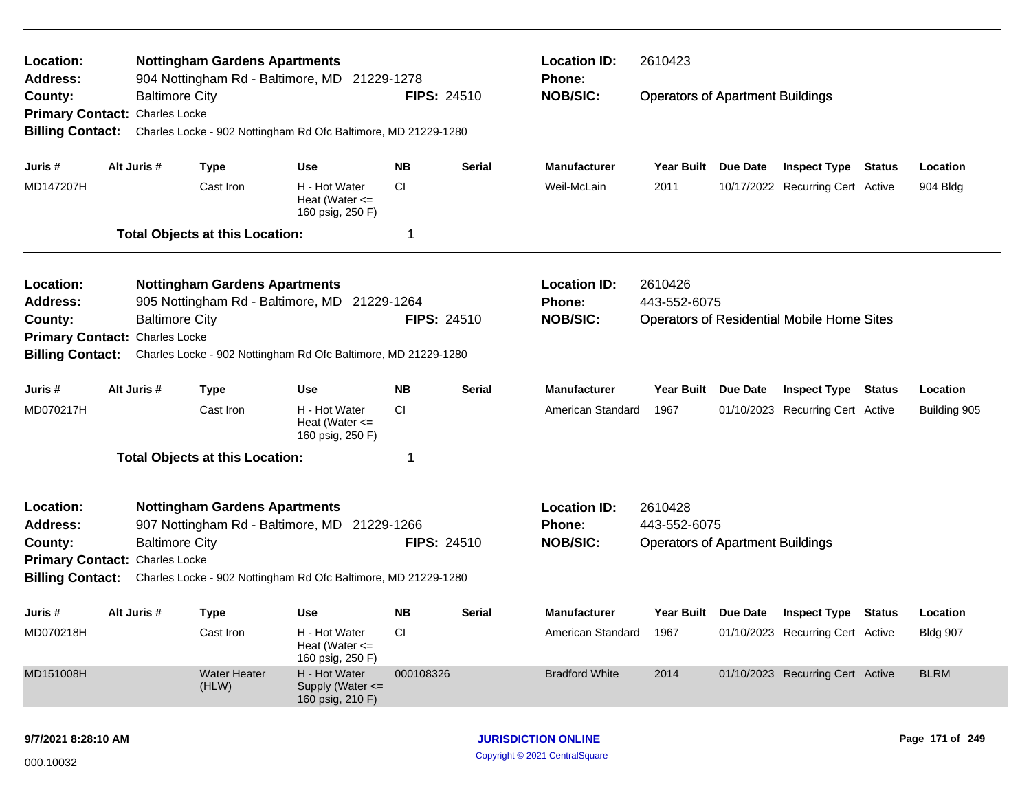| Location:<br>Address:                                                                     |  |                                               | <b>Nottingham Gardens Apartments</b>   | 904 Nottingham Rd - Baltimore, MD 21229-1278                   |                    |               | <b>Location ID:</b><br><b>Phone:</b> | 2610423                                 |                                                   |                 |
|-------------------------------------------------------------------------------------------|--|-----------------------------------------------|----------------------------------------|----------------------------------------------------------------|--------------------|---------------|--------------------------------------|-----------------------------------------|---------------------------------------------------|-----------------|
| County:<br><b>Primary Contact:</b>                                                        |  | <b>Baltimore City</b><br><b>Charles Locke</b> |                                        |                                                                | <b>FIPS: 24510</b> |               | <b>NOB/SIC:</b>                      | <b>Operators of Apartment Buildings</b> |                                                   |                 |
| <b>Billing Contact:</b>                                                                   |  |                                               |                                        | Charles Locke - 902 Nottingham Rd Ofc Baltimore, MD 21229-1280 |                    |               |                                      |                                         |                                                   |                 |
| Juris #                                                                                   |  | Alt Juris #                                   | <b>Type</b>                            | Use                                                            | ΝB                 | <b>Serial</b> | <b>Manufacturer</b>                  | Year Built Due Date                     | <b>Inspect Type Status</b>                        | Location        |
| MD147207H                                                                                 |  |                                               | Cast Iron                              | H - Hot Water<br>Heat (Water $\leq$<br>160 psig, 250 F)        | <b>CI</b>          |               | Weil-McLain                          | 2011                                    | 10/17/2022 Recurring Cert Active                  | 904 Bldg        |
|                                                                                           |  |                                               | <b>Total Objects at this Location:</b> |                                                                | -1                 |               |                                      |                                         |                                                   |                 |
| Location:                                                                                 |  |                                               | <b>Nottingham Gardens Apartments</b>   |                                                                |                    |               | <b>Location ID:</b>                  | 2610426                                 |                                                   |                 |
| <b>Address:</b>                                                                           |  |                                               |                                        | 905 Nottingham Rd - Baltimore, MD 21229-1264                   |                    |               | Phone:                               | 443-552-6075                            |                                                   |                 |
| County:                                                                                   |  | <b>Baltimore City</b>                         |                                        |                                                                | <b>FIPS: 24510</b> |               | <b>NOB/SIC:</b>                      |                                         | <b>Operators of Residential Mobile Home Sites</b> |                 |
| <b>Primary Contact:</b>                                                                   |  | <b>Charles Locke</b>                          |                                        |                                                                |                    |               |                                      |                                         |                                                   |                 |
| <b>Billing Contact:</b>                                                                   |  |                                               |                                        | Charles Locke - 902 Nottingham Rd Ofc Baltimore, MD 21229-1280 |                    |               |                                      |                                         |                                                   |                 |
| Juris #                                                                                   |  | Alt Juris #                                   | <b>Type</b>                            | Use                                                            | ΝB                 | Serial        | <b>Manufacturer</b>                  | Year Built Due Date                     | <b>Inspect Type Status</b>                        | Location        |
| MD070217H                                                                                 |  |                                               | Cast Iron                              | H - Hot Water<br>Heat (Water $\leq$<br>160 psig, 250 F)        | CI.                |               | American Standard                    | 1967                                    | 01/10/2023 Recurring Cert Active                  | Building 905    |
|                                                                                           |  |                                               | <b>Total Objects at this Location:</b> |                                                                | -1                 |               |                                      |                                         |                                                   |                 |
| Location:                                                                                 |  |                                               | <b>Nottingham Gardens Apartments</b>   |                                                                |                    |               | <b>Location ID:</b>                  | 2610428                                 |                                                   |                 |
| <b>Address:</b>                                                                           |  |                                               |                                        | 907 Nottingham Rd - Baltimore, MD 21229-1266                   |                    |               | Phone:                               | 443-552-6075                            |                                                   |                 |
| County:                                                                                   |  | <b>Baltimore City</b>                         |                                        |                                                                | <b>FIPS: 24510</b> |               | <b>NOB/SIC:</b>                      | <b>Operators of Apartment Buildings</b> |                                                   |                 |
| <b>Primary Contact: Charles Locke</b>                                                     |  |                                               |                                        |                                                                |                    |               |                                      |                                         |                                                   |                 |
| <b>Billing Contact:</b><br>Charles Locke - 902 Nottingham Rd Ofc Baltimore, MD 21229-1280 |  |                                               |                                        |                                                                |                    |               |                                      |                                         |                                                   |                 |
| Juris #                                                                                   |  | Alt Juris #                                   | Type                                   | Use                                                            | NB.                | Serial        | <b>Manufacturer</b>                  |                                         | Year Built Due Date Inspect Type Status           | Location        |
| MD070218H                                                                                 |  |                                               | Cast Iron                              | H - Hot Water<br>Heat (Water $\leq$<br>160 psig, 250 F)        | <b>CI</b>          |               | American Standard 1967               |                                         | 01/10/2023 Recurring Cert Active                  | Bldg 907        |
| MD151008H                                                                                 |  |                                               | <b>Water Heater</b><br>(HLW)           | H - Hot Water<br>Supply (Water <=<br>160 psig, 210 F)          | 000108326          |               | <b>Bradford White</b>                | 2014                                    | 01/10/2023 Recurring Cert Active                  | <b>BLRM</b>     |
| 9/7/2021 8:28:10 AM                                                                       |  |                                               |                                        |                                                                |                    |               | <b>JURISDICTION ONLINE</b>           |                                         |                                                   | Page 171 of 249 |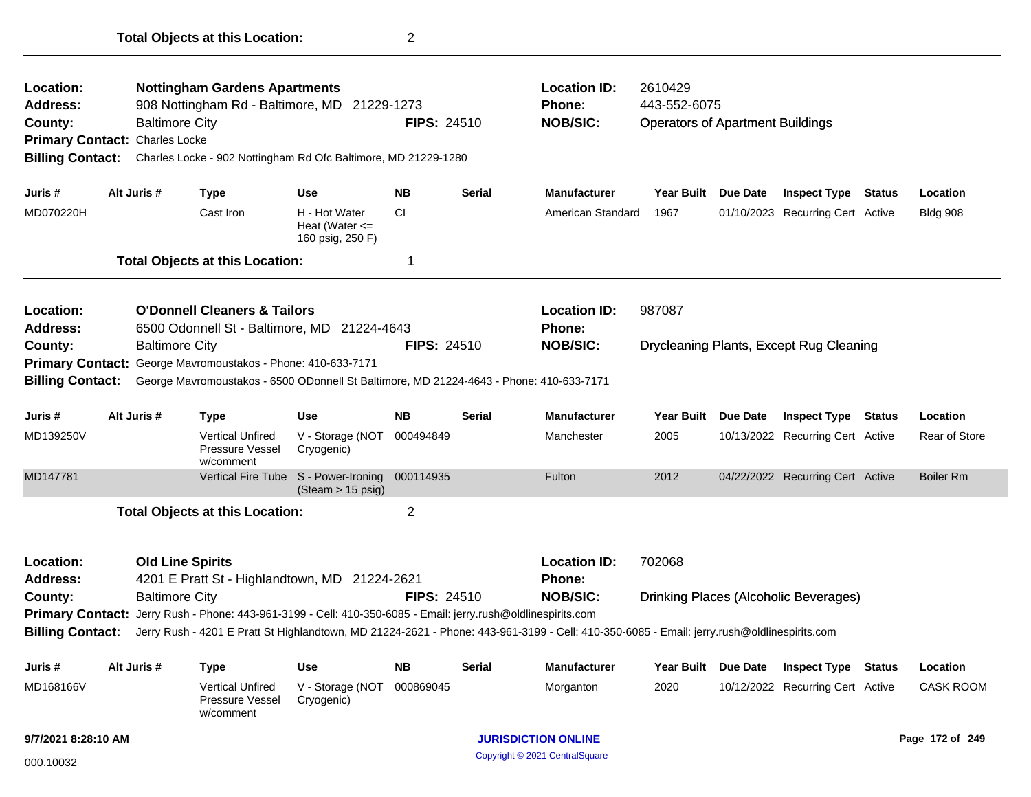| Location:<br><b>Nottingham Gardens Apartments</b><br>908 Nottingham Rd - Baltimore, MD 21229-1273<br><b>Address:</b><br>County:<br><b>Baltimore City</b><br>Primary Contact: Charles Locke<br>Charles Locke - 902 Nottingham Rd Ofc Baltimore, MD 21229-1280<br><b>Billing Contact:</b><br>Alt Juris #<br><b>Type</b><br>Juris # |             |                         |                                                                                                                                        |                                                           | <b>FIPS: 24510</b> |               | <b>Location ID:</b><br><b>Phone:</b><br><b>NOB/SIC:</b>                                                                                                       | 2610429<br>443-552-6075<br><b>Operators of Apartment Buildings</b> |          |                                         |               |                  |  |
|----------------------------------------------------------------------------------------------------------------------------------------------------------------------------------------------------------------------------------------------------------------------------------------------------------------------------------|-------------|-------------------------|----------------------------------------------------------------------------------------------------------------------------------------|-----------------------------------------------------------|--------------------|---------------|---------------------------------------------------------------------------------------------------------------------------------------------------------------|--------------------------------------------------------------------|----------|-----------------------------------------|---------------|------------------|--|
|                                                                                                                                                                                                                                                                                                                                  |             |                         |                                                                                                                                        | <b>Use</b>                                                | <b>NB</b>          | <b>Serial</b> | <b>Manufacturer</b>                                                                                                                                           | <b>Year Built</b>                                                  | Due Date | <b>Inspect Type</b>                     | <b>Status</b> | Location         |  |
| MD070220H                                                                                                                                                                                                                                                                                                                        |             |                         | Cast Iron                                                                                                                              | H - Hot Water<br>Heat (Water $\leq$<br>160 psig, 250 F)   | <b>CI</b>          |               | American Standard                                                                                                                                             | 1967                                                               |          | 01/10/2023 Recurring Cert Active        |               | <b>Bldg 908</b>  |  |
|                                                                                                                                                                                                                                                                                                                                  |             |                         | <b>Total Objects at this Location:</b>                                                                                                 |                                                           | 1                  |               |                                                                                                                                                               |                                                                    |          |                                         |               |                  |  |
| Location:<br><b>Address:</b>                                                                                                                                                                                                                                                                                                     |             |                         | <b>O'Donnell Cleaners &amp; Tailors</b><br>6500 Odonnell St - Baltimore, MD 21224-4643                                                 |                                                           |                    |               | <b>Location ID:</b><br>Phone:                                                                                                                                 | 987087                                                             |          |                                         |               |                  |  |
| County:<br><b>Primary Contact:</b><br><b>Billing Contact:</b>                                                                                                                                                                                                                                                                    |             | <b>Baltimore City</b>   | George Mavromoustakos - Phone: 410-633-7171<br>George Mavromoustakos - 6500 ODonnell St Baltimore, MD 21224-4643 - Phone: 410-633-7171 |                                                           | <b>FIPS: 24510</b> |               | <b>NOB/SIC:</b>                                                                                                                                               |                                                                    |          | Drycleaning Plants, Except Rug Cleaning |               |                  |  |
| Juris #                                                                                                                                                                                                                                                                                                                          | Alt Juris # |                         | <b>Type</b>                                                                                                                            | <b>Use</b>                                                | <b>NB</b>          | <b>Serial</b> | <b>Manufacturer</b>                                                                                                                                           | <b>Year Built</b>                                                  | Due Date | <b>Inspect Type</b>                     | <b>Status</b> | Location         |  |
| MD139250V                                                                                                                                                                                                                                                                                                                        |             |                         | <b>Vertical Unfired</b><br><b>Pressure Vessel</b><br>w/comment                                                                         | V - Storage (NOT<br>Cryogenic)                            | 000494849          |               | Manchester                                                                                                                                                    | 2005                                                               |          | 10/13/2022 Recurring Cert Active        |               | Rear of Store    |  |
| MD147781                                                                                                                                                                                                                                                                                                                         |             |                         |                                                                                                                                        | Vertical Fire Tube S - Power-Ironing<br>(Steam > 15 psig) | 000114935          |               | Fulton                                                                                                                                                        | 2012                                                               |          | 04/22/2022 Recurring Cert Active        |               | <b>Boiler Rm</b> |  |
|                                                                                                                                                                                                                                                                                                                                  |             |                         | <b>Total Objects at this Location:</b>                                                                                                 |                                                           | $\overline{c}$     |               |                                                                                                                                                               |                                                                    |          |                                         |               |                  |  |
| Location:<br><b>Address:</b>                                                                                                                                                                                                                                                                                                     |             | <b>Old Line Spirits</b> | 4201 E Pratt St - Highlandtown, MD 21224-2621                                                                                          |                                                           |                    |               | <b>Location ID:</b><br><b>Phone:</b>                                                                                                                          | 702068                                                             |          |                                         |               |                  |  |
| County:<br><b>Primary Contact:</b><br><b>Billing Contact:</b>                                                                                                                                                                                                                                                                    |             | <b>Baltimore City</b>   | Jerry Rush - Phone: 443-961-3199 - Cell: 410-350-6085 - Email: jerry.rush@oldlinespirits.com                                           |                                                           | <b>FIPS: 24510</b> |               | <b>NOB/SIC:</b><br>Jerry Rush - 4201 E Pratt St Highlandtown, MD 21224-2621 - Phone: 443-961-3199 - Cell: 410-350-6085 - Email: jerry.rush@oldlinespirits.com |                                                                    |          | Drinking Places (Alcoholic Beverages)   |               |                  |  |
| Juris #                                                                                                                                                                                                                                                                                                                          | Alt Juris # |                         | <b>Type</b>                                                                                                                            | <b>Use</b>                                                | <b>NB</b>          | <b>Serial</b> | <b>Manufacturer</b>                                                                                                                                           | <b>Year Built</b>                                                  | Due Date | Inspect Type                            | <b>Status</b> | Location         |  |
| MD168166V                                                                                                                                                                                                                                                                                                                        |             |                         | <b>Vertical Unfired</b><br>Pressure Vessel<br>w/comment                                                                                | V - Storage (NOT<br>Cryogenic)                            | 000869045          |               | Morganton                                                                                                                                                     | 2020                                                               |          | 10/12/2022 Recurring Cert Active        |               | <b>CASK ROOM</b> |  |
| 9/7/2021 8:28:10 AM                                                                                                                                                                                                                                                                                                              |             |                         |                                                                                                                                        |                                                           |                    |               | <b>JURISDICTION ONLINE</b>                                                                                                                                    |                                                                    |          |                                         |               | Page 172 of 249  |  |
| 000.10032                                                                                                                                                                                                                                                                                                                        |             |                         |                                                                                                                                        |                                                           |                    |               | Copyright © 2021 CentralSquare                                                                                                                                |                                                                    |          |                                         |               |                  |  |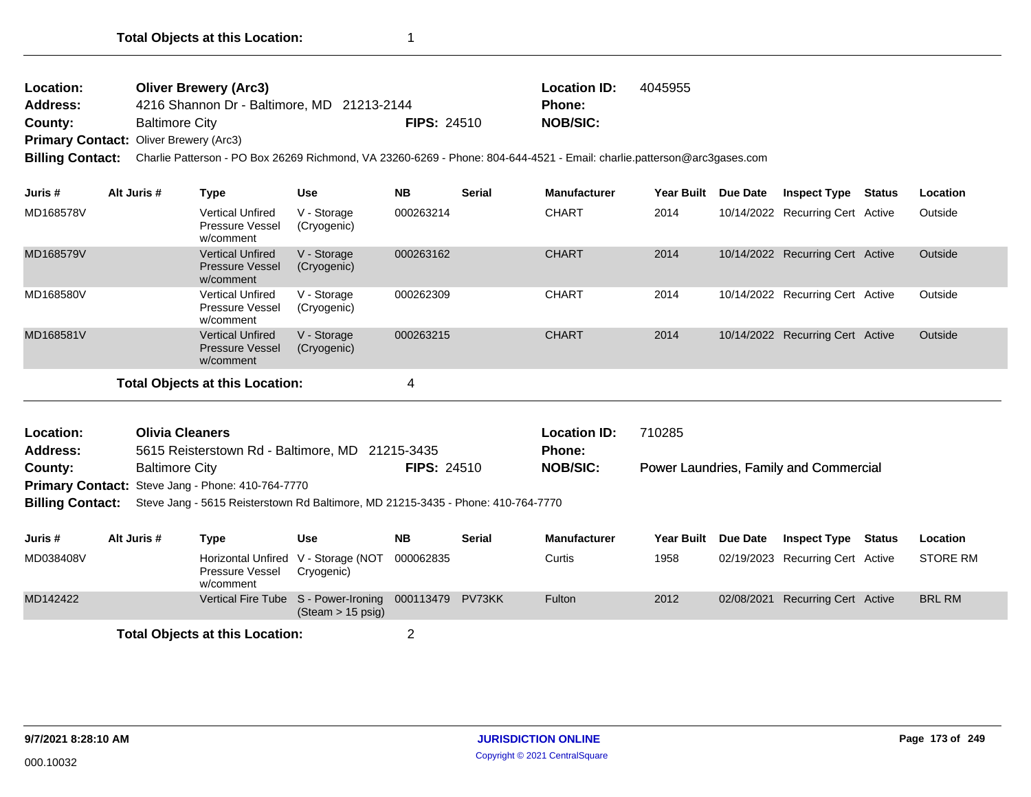| <b>Location:</b> | <b>Oliver Brewery (Arc3)</b>                  |                    | <b>Location ID:</b> | 4045955 |
|------------------|-----------------------------------------------|--------------------|---------------------|---------|
| <b>Address:</b>  | 4216 Shannon Dr - Baltimore, MD 21213-2144    |                    | <b>Phone:</b>       |         |
| County:          | <b>Baltimore City</b>                         | <b>FIPS: 24510</b> | NOB/SIC:            |         |
|                  | <b>Primary Contact: Oliver Brewery (Arc3)</b> |                    |                     |         |

**Billing Contact:** Charlie Patterson - PO Box 26269 Richmond, VA 23260-6269 - Phone: 804-644-4521 - Email: charlie.patterson@arc3gases.com

| Juris #   | Alt Juris # | Type                                                           | <b>Use</b>                 | <b>NB</b> | <b>Serial</b> | <b>Manufacturer</b> | Year Built | <b>Due Date</b> | <b>Inspect Type</b>              | <b>Status</b> | Location |
|-----------|-------------|----------------------------------------------------------------|----------------------------|-----------|---------------|---------------------|------------|-----------------|----------------------------------|---------------|----------|
| MD168578V |             | <b>Vertical Unfired</b><br><b>Pressure Vessel</b><br>w/comment | V - Storage<br>(Cryogenic) | 000263214 |               | <b>CHART</b>        | 2014       |                 | 10/14/2022 Recurring Cert Active |               | Outside  |
| MD168579V |             | <b>Vertical Unfired</b><br><b>Pressure Vessel</b><br>w/comment | V - Storage<br>(Cryogenic) | 000263162 |               | <b>CHART</b>        | 2014       |                 | 10/14/2022 Recurring Cert Active |               | Outside  |
| MD168580V |             | <b>Vertical Unfired</b><br><b>Pressure Vessel</b><br>w/comment | V - Storage<br>(Cryogenic) | 000262309 |               | <b>CHART</b>        | 2014       |                 | 10/14/2022 Recurring Cert Active |               | Outside  |
| MD168581V |             | <b>Vertical Unfired</b><br><b>Pressure Vessel</b><br>w/comment | V - Storage<br>(Cryogenic) | 000263215 |               | <b>CHART</b>        | 2014       |                 | 10/14/2022 Recurring Cert Active |               | Outside  |
|           |             | <b>Total Objects at this Location:</b>                         |                            | 4         |               |                     |            |                 |                                  |               |          |

| Location:       | <b>Olivia Cleaners</b>                                                                                                                                        |      |                                                 |                    |               | <b>Location ID:</b>                                       | 710285              |  |                     |               |          |
|-----------------|---------------------------------------------------------------------------------------------------------------------------------------------------------------|------|-------------------------------------------------|--------------------|---------------|-----------------------------------------------------------|---------------------|--|---------------------|---------------|----------|
| <b>Address:</b> |                                                                                                                                                               |      | 5615 Reisterstown Rd - Baltimore, MD 21215-3435 |                    |               | <b>Phone:</b>                                             |                     |  |                     |               |          |
| County:         | <b>Baltimore City</b>                                                                                                                                         |      |                                                 | <b>FIPS: 24510</b> |               | <b>NOB/SIC:</b><br>Power Laundries, Family and Commercial |                     |  |                     |               |          |
|                 | <b>Primary Contact:</b> Steve Jang - Phone: 410-764-7770<br>Billing Contact: Steve Jang - 5615 Reisterstown Rd Baltimore, MD 21215-3435 - Phone: 410-764-7770 |      |                                                 |                    |               |                                                           |                     |  |                     |               |          |
|                 |                                                                                                                                                               |      |                                                 |                    |               |                                                           |                     |  |                     |               |          |
| Juris #         | Alt Juris #                                                                                                                                                   | Type | Use                                             | <b>NB</b>          | <b>Serial</b> | <b>Manufacturer</b>                                       | Year Built Due Date |  | <b>Inspect Type</b> | <b>Status</b> | Location |

| 5.0113    | $\pi$ il vulio $\pi$ | .                                | vəc                                                                                  | .         | ישרוטט |               |      | <b>I can Built Duc Date Inspect Type Olding</b> | LUUUIVII      |
|-----------|----------------------|----------------------------------|--------------------------------------------------------------------------------------|-----------|--------|---------------|------|-------------------------------------------------|---------------|
| MD038408V |                      | Pressure Vessel<br>w/comment     | Horizontal Unfired V - Storage (NOT<br>Cryogenic)                                    | 000062835 |        | Curtis        | 1958 | 02/19/2023 Recurring Cert Active                | STORE RM      |
| MD142422  |                      |                                  | Vertical Fire Tube S - Power-Ironing 000113479 PV73KK<br>$(Steam > 15 \text{ psiq})$ |           |        | <b>Fulton</b> | 2012 | 02/08/2021 Recurring Cert Active                | <b>BRL RM</b> |
|           |                      | Tatal Okiasta at this Lagations. |                                                                                      |           |        |               |      |                                                 |               |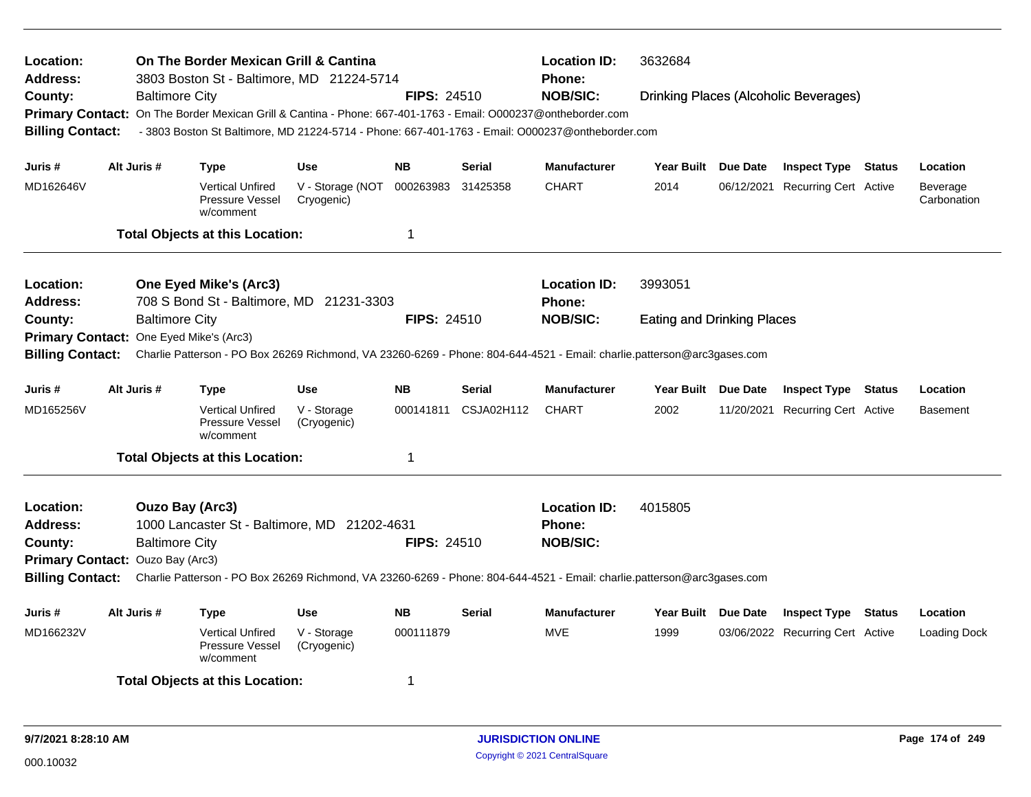| Location:<br><b>Address:</b><br>County:                                                                |             | <b>Baltimore City</b>                           | On The Border Mexican Grill & Cantina                          | 3803 Boston St - Baltimore, MD 21224-5714    | <b>FIPS: 24510</b> |               | <b>Location ID:</b><br>3632684<br>Phone:<br><b>NOB/SIC:</b><br>Drinking Places (Alcoholic Beverages)<br>Primary Contact: On The Border Mexican Grill & Cantina - Phone: 667-401-1763 - Email: O000237@ontheborder.com |                                   |  |                                  |  |                         |  |
|--------------------------------------------------------------------------------------------------------|-------------|-------------------------------------------------|----------------------------------------------------------------|----------------------------------------------|--------------------|---------------|-----------------------------------------------------------------------------------------------------------------------------------------------------------------------------------------------------------------------|-----------------------------------|--|----------------------------------|--|-------------------------|--|
| <b>Billing Contact:</b>                                                                                |             |                                                 |                                                                |                                              |                    |               | - 3803 Boston St Baltimore, MD 21224-5714 - Phone: 667-401-1763 - Email: O000237@ontheborder.com                                                                                                                      |                                   |  |                                  |  |                         |  |
| Juris #                                                                                                |             | Alt Juris #                                     | <b>Type</b>                                                    | Use                                          | <b>NB</b>          | <b>Serial</b> | <b>Manufacturer</b>                                                                                                                                                                                                   | Year Built Due Date               |  | <b>Inspect Type Status</b>       |  | Location                |  |
| MD162646V                                                                                              |             |                                                 | <b>Vertical Unfired</b><br>Pressure Vessel<br>w/comment        | V - Storage (NOT<br>Cryogenic)               | 000263983          | 31425358      | <b>CHART</b>                                                                                                                                                                                                          | 2014                              |  | 06/12/2021 Recurring Cert Active |  | Beverage<br>Carbonation |  |
|                                                                                                        |             |                                                 | <b>Total Objects at this Location:</b>                         |                                              | 1                  |               |                                                                                                                                                                                                                       |                                   |  |                                  |  |                         |  |
| Location:<br><b>Address:</b>                                                                           |             |                                                 | One Eyed Mike's (Arc3)                                         | 708 S Bond St - Baltimore, MD 21231-3303     |                    |               | <b>Location ID:</b><br><b>Phone:</b>                                                                                                                                                                                  | 3993051                           |  |                                  |  |                         |  |
| County:<br><b>Primary Contact:</b><br><b>Billing Contact:</b>                                          |             | <b>Baltimore City</b><br>One Eyed Mike's (Arc3) |                                                                |                                              | <b>FIPS: 24510</b> |               | <b>NOB/SIC:</b><br>Charlie Patterson - PO Box 26269 Richmond, VA 23260-6269 - Phone: 804-644-4521 - Email: charlie.patterson@arc3gases.com                                                                            | <b>Eating and Drinking Places</b> |  |                                  |  |                         |  |
| Juris #                                                                                                | Alt Juris # |                                                 | <b>Type</b>                                                    | Use                                          | <b>NB</b>          | <b>Serial</b> | <b>Manufacturer</b>                                                                                                                                                                                                   | Year Built Due Date               |  | <b>Inspect Type Status</b>       |  | Location                |  |
| MD165256V                                                                                              |             |                                                 | <b>Vertical Unfired</b><br>Pressure Vessel<br>w/comment        | V - Storage<br>(Cryogenic)                   | 000141811          | CSJA02H112    | <b>CHART</b>                                                                                                                                                                                                          | 2002                              |  | 11/20/2021 Recurring Cert Active |  | <b>Basement</b>         |  |
|                                                                                                        |             |                                                 | <b>Total Objects at this Location:</b>                         |                                              | 1                  |               |                                                                                                                                                                                                                       |                                   |  |                                  |  |                         |  |
| Location:<br><b>Address:</b><br>County:<br>Primary Contact: Ouzo Bay (Arc3)<br><b>Billing Contact:</b> |             | <b>Ouzo Bay (Arc3)</b><br><b>Baltimore City</b> |                                                                | 1000 Lancaster St - Baltimore, MD 21202-4631 | <b>FIPS: 24510</b> |               | <b>Location ID:</b><br>Phone:<br><b>NOB/SIC:</b><br>Charlie Patterson - PO Box 26269 Richmond, VA 23260-6269 - Phone: 804-644-4521 - Email: charlie.patterson@arc3gases.com                                           | 4015805                           |  |                                  |  |                         |  |
| Juris #                                                                                                | Alt Juris # |                                                 | <b>Type</b>                                                    | <b>Use</b>                                   | <b>NB</b>          | <b>Serial</b> | <b>Manufacturer</b>                                                                                                                                                                                                   | Year Built Due Date               |  | <b>Inspect Type Status</b>       |  | Location                |  |
| MD166232V                                                                                              |             |                                                 | <b>Vertical Unfired</b><br><b>Pressure Vessel</b><br>w/comment | V - Storage<br>(Cryogenic)                   | 000111879          |               | <b>MVE</b>                                                                                                                                                                                                            | 1999                              |  | 03/06/2022 Recurring Cert Active |  | Loading Dock            |  |
|                                                                                                        |             |                                                 | <b>Total Objects at this Location:</b>                         |                                              | 1                  |               |                                                                                                                                                                                                                       |                                   |  |                                  |  |                         |  |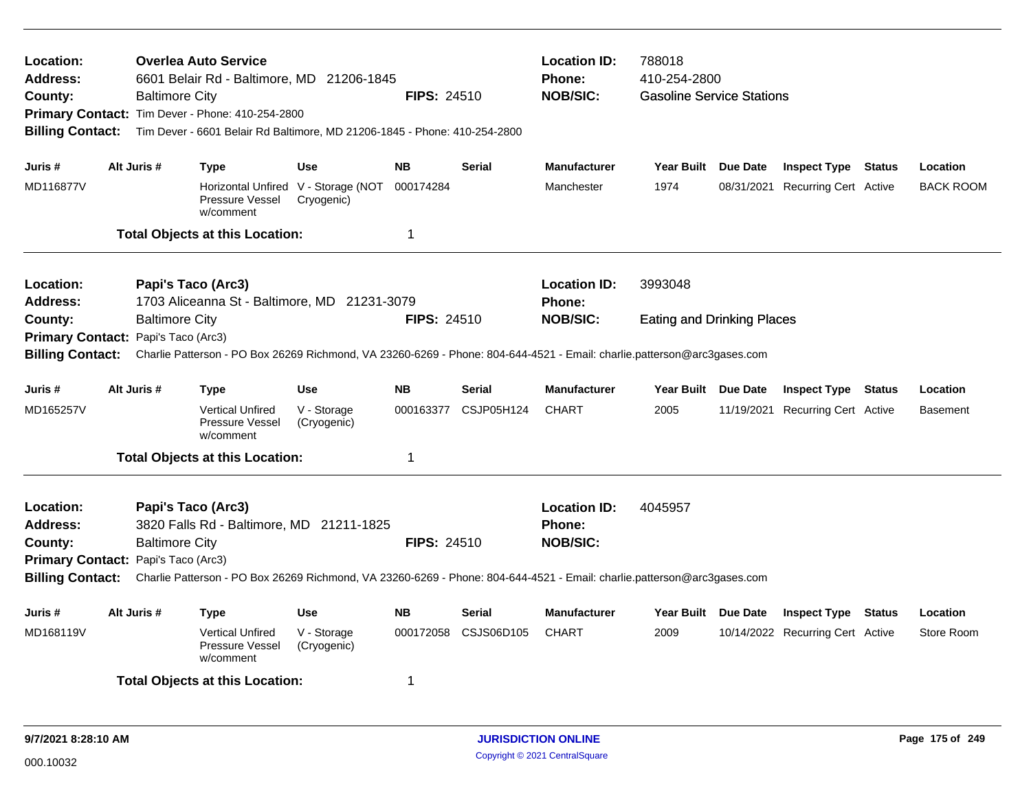| Location:<br><b>Address:</b><br>County:<br><b>Billing Contact:</b>                                                                                                                                                                                                                                                                                                        |             | <b>Overlea Auto Service</b><br>6601 Belair Rd - Baltimore, MD 21206-1845<br><b>Baltimore City</b><br>Primary Contact: Tim Dever - Phone: 410-254-2800<br>Tim Dever - 6601 Belair Rd Baltimore, MD 21206-1845 - Phone: 410-254-2800 |                                                                 | <b>FIPS: 24510</b>                       |                                       | <b>Location ID:</b><br>Phone:<br><b>NOB/SIC:</b>        | 788018<br>410-254-2800<br><b>Gasoline Service Stations</b> |            |                                                                |        |                              |
|---------------------------------------------------------------------------------------------------------------------------------------------------------------------------------------------------------------------------------------------------------------------------------------------------------------------------------------------------------------------------|-------------|------------------------------------------------------------------------------------------------------------------------------------------------------------------------------------------------------------------------------------|-----------------------------------------------------------------|------------------------------------------|---------------------------------------|---------------------------------------------------------|------------------------------------------------------------|------------|----------------------------------------------------------------|--------|------------------------------|
| Juris #<br>MD116877V                                                                                                                                                                                                                                                                                                                                                      | Alt Juris # | <b>Type</b><br>Pressure Vessel<br>w/comment<br><b>Total Objects at this Location:</b>                                                                                                                                              | <b>Use</b><br>Horizontal Unfired V - Storage (NOT<br>Cryogenic) | <b>NB</b><br>000174284<br>-1             | <b>Serial</b>                         | <b>Manufacturer</b><br>Manchester                       | Year Built Due Date<br>1974                                |            | <b>Inspect Type Status</b><br>08/31/2021 Recurring Cert Active |        | Location<br><b>BACK ROOM</b> |
| <b>Location:</b><br>Address:<br>County:<br>Primary Contact: Papi's Taco (Arc3)<br><b>Billing Contact:</b>                                                                                                                                                                                                                                                                 |             | Papi's Taco (Arc3)<br>1703 Aliceanna St - Baltimore, MD 21231-3079<br><b>Baltimore City</b><br>Charlie Patterson - PO Box 26269 Richmond, VA 23260-6269 - Phone: 804-644-4521 - Email: charlie.patterson@arc3gases.com             |                                                                 | FIPS: 24510                              |                                       | <b>Location ID:</b><br><b>Phone:</b><br><b>NOB/SIC:</b> | 3993048<br><b>Eating and Drinking Places</b>               |            |                                                                |        |                              |
| Juris #<br>MD165257V                                                                                                                                                                                                                                                                                                                                                      | Alt Juris # | Type<br><b>Vertical Unfired</b><br><b>Pressure Vessel</b><br>w/comment                                                                                                                                                             | Use<br>V - Storage<br>(Cryogenic)                               | <b>NB</b><br>000163377<br>$\overline{1}$ | <b>Serial</b><br>CSJP05H124           | Manufacturer<br><b>CHART</b>                            | Year Built Due Date<br>2005                                | 11/19/2021 | <b>Inspect Type</b><br><b>Recurring Cert Active</b>            | Status | Location<br><b>Basement</b>  |
| <b>Total Objects at this Location:</b><br>Location:<br>Papi's Taco (Arc3)<br><b>Address:</b><br>3820 Falls Rd - Baltimore, MD 21211-1825<br><b>Baltimore City</b><br>County:<br>Primary Contact: Papi's Taco (Arc3)<br><b>Billing Contact:</b><br>Charlie Patterson - PO Box 26269 Richmond, VA 23260-6269 - Phone: 804-644-4521 - Email: charlie.patterson@arc3gases.com |             |                                                                                                                                                                                                                                    |                                                                 | <b>FIPS: 24510</b>                       |                                       | <b>Location ID:</b><br><b>Phone:</b><br><b>NOB/SIC:</b> | 4045957                                                    |            |                                                                |        |                              |
| Juris #<br>MD168119V                                                                                                                                                                                                                                                                                                                                                      | Alt Juris # | <b>Type</b><br><b>Vertical Unfired</b><br>Pressure Vessel<br>w/comment<br><b>Total Objects at this Location:</b>                                                                                                                   | <b>Use</b><br>V - Storage<br>(Cryogenic)                        | <b>NB</b><br>-1                          | <b>Serial</b><br>000172058 CSJS06D105 | <b>Manufacturer</b><br><b>CHART</b>                     | Year Built Due Date<br>2009                                |            | <b>Inspect Type Status</b><br>10/14/2022 Recurring Cert Active |        | Location<br>Store Room       |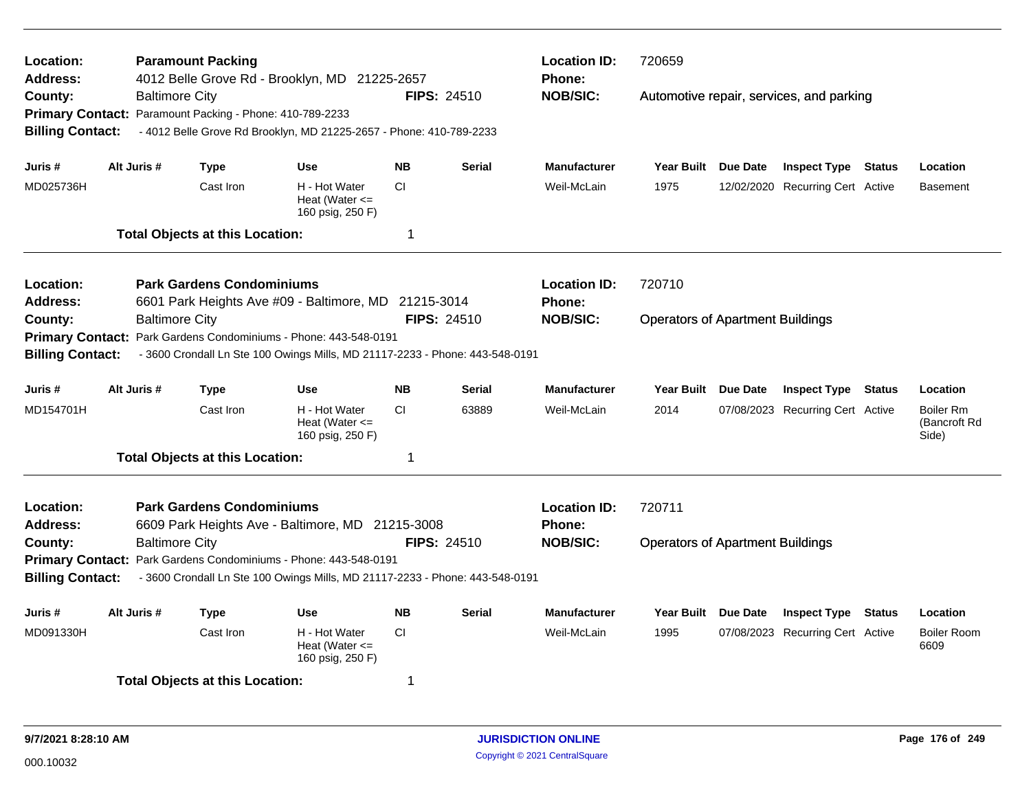| Location:<br><b>Address:</b>                                     |                                                          | <b>Location ID:</b><br>720659<br><b>Paramount Packing</b><br>4012 Belle Grove Rd - Brooklyn, MD 21225-2657<br><b>Phone:</b> |                                                                              |           |                    |                     |                                         |          |                                          |               |                                    |
|------------------------------------------------------------------|----------------------------------------------------------|-----------------------------------------------------------------------------------------------------------------------------|------------------------------------------------------------------------------|-----------|--------------------|---------------------|-----------------------------------------|----------|------------------------------------------|---------------|------------------------------------|
| County:                                                          | <b>Baltimore City</b>                                    |                                                                                                                             |                                                                              |           | <b>FIPS: 24510</b> | <b>NOB/SIC:</b>     |                                         |          | Automotive repair, services, and parking |               |                                    |
|                                                                  | Primary Contact: Paramount Packing - Phone: 410-789-2233 |                                                                                                                             |                                                                              |           |                    |                     |                                         |          |                                          |               |                                    |
| <b>Billing Contact:</b>                                          |                                                          |                                                                                                                             | - 4012 Belle Grove Rd Brooklyn, MD 21225-2657 - Phone: 410-789-2233          |           |                    |                     |                                         |          |                                          |               |                                    |
| Juris #                                                          | Alt Juris #                                              | Type                                                                                                                        | <b>Use</b>                                                                   | <b>NB</b> | <b>Serial</b>      | <b>Manufacturer</b> | <b>Year Built</b>                       | Due Date | <b>Inspect Type Status</b>               |               | Location                           |
| MD025736H                                                        |                                                          | Cast Iron                                                                                                                   | H - Hot Water<br>Heat (Water <=<br>160 psig, 250 F)                          | CI.       |                    | Weil-McLain         | 1975                                    |          | 12/02/2020 Recurring Cert Active         |               | <b>Basement</b>                    |
|                                                                  |                                                          | <b>Total Objects at this Location:</b>                                                                                      |                                                                              | -1        |                    |                     |                                         |          |                                          |               |                                    |
| Location:                                                        |                                                          | <b>Park Gardens Condominiums</b>                                                                                            |                                                                              |           |                    | <b>Location ID:</b> | 720710                                  |          |                                          |               |                                    |
| <b>Address:</b>                                                  |                                                          |                                                                                                                             | 6601 Park Heights Ave #09 - Baltimore, MD 21215-3014                         |           |                    | Phone:              |                                         |          |                                          |               |                                    |
| County:                                                          | <b>Baltimore City</b>                                    |                                                                                                                             |                                                                              |           | <b>FIPS: 24510</b> | <b>NOB/SIC:</b>     | <b>Operators of Apartment Buildings</b> |          |                                          |               |                                    |
|                                                                  |                                                          |                                                                                                                             | Primary Contact: Park Gardens Condominiums - Phone: 443-548-0191             |           |                    |                     |                                         |          |                                          |               |                                    |
| <b>Billing Contact:</b>                                          |                                                          |                                                                                                                             | - 3600 Crondall Ln Ste 100 Owings Mills, MD 21117-2233 - Phone: 443-548-0191 |           |                    |                     |                                         |          |                                          |               |                                    |
| Juris #                                                          | Alt Juris #                                              | <b>Type</b>                                                                                                                 | <b>Use</b>                                                                   | <b>NB</b> | <b>Serial</b>      | <b>Manufacturer</b> | Year Built Due Date                     |          | <b>Inspect Type Status</b>               |               | Location                           |
| MD154701H                                                        |                                                          | Cast Iron                                                                                                                   | H - Hot Water<br>Heat (Water $\leq$<br>160 psig, 250 F)                      | <b>CI</b> | 63889              | Weil-McLain         | 2014                                    |          | 07/08/2023 Recurring Cert Active         |               | Boiler Rm<br>(Bancroft Rd<br>Side) |
|                                                                  |                                                          | <b>Total Objects at this Location:</b>                                                                                      |                                                                              | -1        |                    |                     |                                         |          |                                          |               |                                    |
| <b>Location:</b>                                                 |                                                          | <b>Park Gardens Condominiums</b>                                                                                            |                                                                              |           |                    | <b>Location ID:</b> | 720711                                  |          |                                          |               |                                    |
| Address:                                                         |                                                          |                                                                                                                             | 6609 Park Heights Ave - Baltimore, MD 21215-3008                             |           |                    | Phone:              |                                         |          |                                          |               |                                    |
| County:                                                          | <b>Baltimore City</b>                                    |                                                                                                                             |                                                                              |           | <b>FIPS: 24510</b> | <b>NOB/SIC:</b>     | <b>Operators of Apartment Buildings</b> |          |                                          |               |                                    |
| Primary Contact: Park Gardens Condominiums - Phone: 443-548-0191 |                                                          |                                                                                                                             |                                                                              |           |                    |                     |                                         |          |                                          |               |                                    |
| <b>Billing Contact:</b>                                          |                                                          |                                                                                                                             | - 3600 Crondall Ln Ste 100 Owings Mills, MD 21117-2233 - Phone: 443-548-0191 |           |                    |                     |                                         |          |                                          |               |                                    |
| Juris #                                                          | Alt Juris #                                              | Type                                                                                                                        | <b>Use</b>                                                                   | <b>NB</b> | <b>Serial</b>      | <b>Manufacturer</b> | <b>Year Built</b>                       | Due Date | <b>Inspect Type</b>                      | <b>Status</b> | Location                           |
| MD091330H                                                        |                                                          | Cast Iron                                                                                                                   | H - Hot Water<br>Heat (Water <=<br>160 psig, 250 F)                          | <b>CI</b> |                    | Weil-McLain         | 1995                                    |          | 07/08/2023 Recurring Cert Active         |               | <b>Boiler Room</b><br>6609         |
|                                                                  |                                                          | <b>Total Objects at this Location:</b>                                                                                      |                                                                              | -1        |                    |                     |                                         |          |                                          |               |                                    |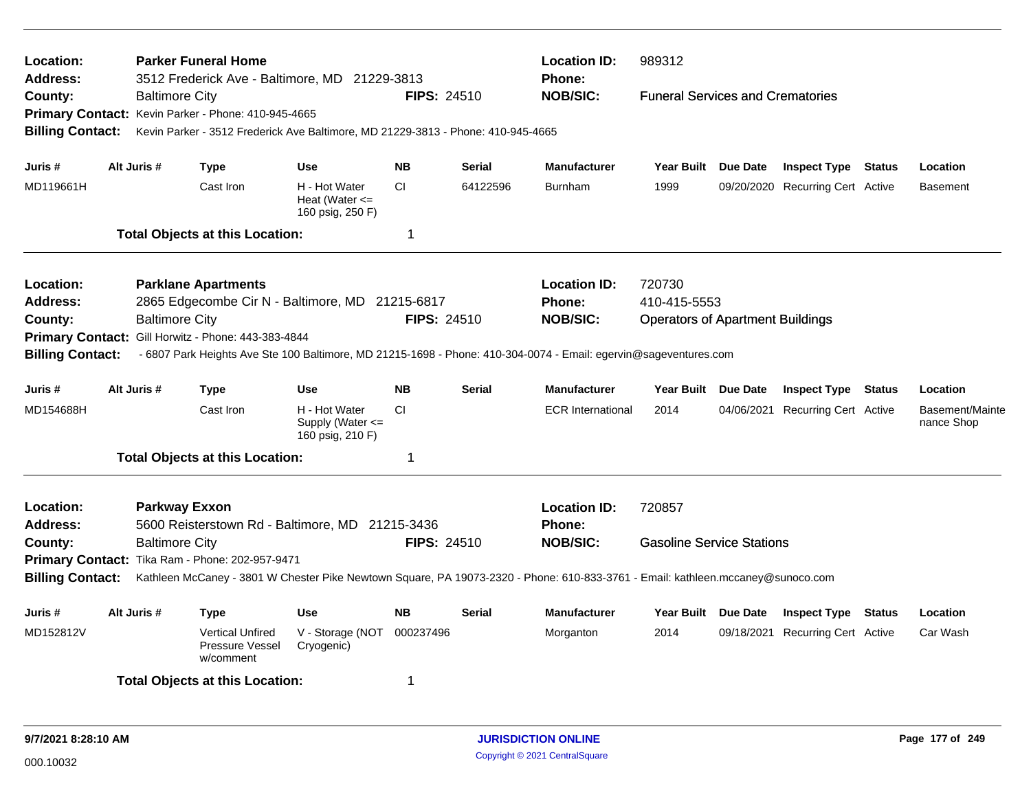| Location:<br><b>Address:</b> |  |                       | <b>Parker Funeral Home</b>                              | 3512 Frederick Ave - Baltimore, MD 21229-3813                                    |                    |               | <b>Location ID:</b><br><b>Phone:</b>                                                                                            | 989312                                  |            |                                  |               |                               |
|------------------------------|--|-----------------------|---------------------------------------------------------|----------------------------------------------------------------------------------|--------------------|---------------|---------------------------------------------------------------------------------------------------------------------------------|-----------------------------------------|------------|----------------------------------|---------------|-------------------------------|
| County:                      |  | <b>Baltimore City</b> |                                                         |                                                                                  | <b>FIPS: 24510</b> |               | <b>NOB/SIC:</b>                                                                                                                 | <b>Funeral Services and Crematories</b> |            |                                  |               |                               |
|                              |  |                       | Primary Contact: Kevin Parker - Phone: 410-945-4665     |                                                                                  |                    |               |                                                                                                                                 |                                         |            |                                  |               |                               |
| <b>Billing Contact:</b>      |  |                       |                                                         | Kevin Parker - 3512 Frederick Ave Baltimore, MD 21229-3813 - Phone: 410-945-4665 |                    |               |                                                                                                                                 |                                         |            |                                  |               |                               |
|                              |  |                       |                                                         |                                                                                  |                    |               |                                                                                                                                 |                                         |            |                                  |               |                               |
| Juris #                      |  | Alt Juris #           | <b>Type</b>                                             | <b>Use</b>                                                                       | <b>NB</b>          | <b>Serial</b> | <b>Manufacturer</b>                                                                                                             | Year Built Due Date                     |            | <b>Inspect Type Status</b>       |               | Location                      |
| MD119661H                    |  |                       | Cast Iron                                               | H - Hot Water<br>Heat (Water $\leq$<br>160 psig, 250 F)                          | CI.                | 64122596      | Burnham                                                                                                                         | 1999                                    |            | 09/20/2020 Recurring Cert Active |               | Basement                      |
|                              |  |                       | <b>Total Objects at this Location:</b>                  |                                                                                  | 1                  |               |                                                                                                                                 |                                         |            |                                  |               |                               |
| Location:                    |  |                       | <b>Parklane Apartments</b>                              |                                                                                  |                    |               | <b>Location ID:</b>                                                                                                             | 720730                                  |            |                                  |               |                               |
| Address:                     |  |                       |                                                         | 2865 Edgecombe Cir N - Baltimore, MD 21215-6817                                  |                    |               | <b>Phone:</b>                                                                                                                   | 410-415-5553                            |            |                                  |               |                               |
| County:                      |  | <b>Baltimore City</b> |                                                         |                                                                                  | FIPS: 24510        |               | <b>NOB/SIC:</b>                                                                                                                 | <b>Operators of Apartment Buildings</b> |            |                                  |               |                               |
|                              |  |                       | Primary Contact: Gill Horwitz - Phone: 443-383-4844     |                                                                                  |                    |               |                                                                                                                                 |                                         |            |                                  |               |                               |
| <b>Billing Contact:</b>      |  |                       |                                                         |                                                                                  |                    |               | - 6807 Park Heights Ave Ste 100 Baltimore, MD 21215-1698 - Phone: 410-304-0074 - Email: egervin@sageventures.com                |                                         |            |                                  |               |                               |
| Juris #                      |  | Alt Juris #           | <b>Type</b>                                             | <b>Use</b>                                                                       | <b>NB</b>          | <b>Serial</b> | <b>Manufacturer</b>                                                                                                             | Year Built Due Date                     |            | <b>Inspect Type Status</b>       |               | Location                      |
| MD154688H                    |  |                       | Cast Iron                                               | H - Hot Water<br>Supply (Water <=<br>160 psig, 210 F)                            | <b>CI</b>          |               | <b>ECR International</b>                                                                                                        | 2014                                    | 04/06/2021 | Recurring Cert Active            |               | Basement/Mainte<br>nance Shop |
|                              |  |                       | <b>Total Objects at this Location:</b>                  |                                                                                  | 1                  |               |                                                                                                                                 |                                         |            |                                  |               |                               |
| Location:                    |  | <b>Parkway Exxon</b>  |                                                         |                                                                                  |                    |               | <b>Location ID:</b>                                                                                                             | 720857                                  |            |                                  |               |                               |
| <b>Address:</b>              |  |                       |                                                         | 5600 Reisterstown Rd - Baltimore, MD 21215-3436                                  |                    |               | Phone:                                                                                                                          |                                         |            |                                  |               |                               |
| County:                      |  | <b>Baltimore City</b> |                                                         |                                                                                  | <b>FIPS: 24510</b> |               | <b>NOB/SIC:</b>                                                                                                                 | <b>Gasoline Service Stations</b>        |            |                                  |               |                               |
|                              |  |                       | Primary Contact: Tika Ram - Phone: 202-957-9471         |                                                                                  |                    |               |                                                                                                                                 |                                         |            |                                  |               |                               |
| <b>Billing Contact:</b>      |  |                       |                                                         |                                                                                  |                    |               | Kathleen McCaney - 3801 W Chester Pike Newtown Square, PA 19073-2320 - Phone: 610-833-3761 - Email: kathleen.mccaney@sunoco.com |                                         |            |                                  |               |                               |
| Juris #                      |  | Alt Juris #           | Type                                                    | Use                                                                              | <b>NB</b>          | Serial        | <b>Manufacturer</b>                                                                                                             | Year Built Due Date                     |            | <b>Inspect Type</b>              | <b>Status</b> | Location                      |
| MD152812V                    |  |                       | <b>Vertical Unfired</b><br>Pressure Vessel<br>w/comment | V - Storage (NOT<br>Cryogenic)                                                   | 000237496          |               | Morganton                                                                                                                       | 2014                                    |            | 09/18/2021 Recurring Cert Active |               | Car Wash                      |
|                              |  |                       | <b>Total Objects at this Location:</b>                  |                                                                                  | 1                  |               |                                                                                                                                 |                                         |            |                                  |               |                               |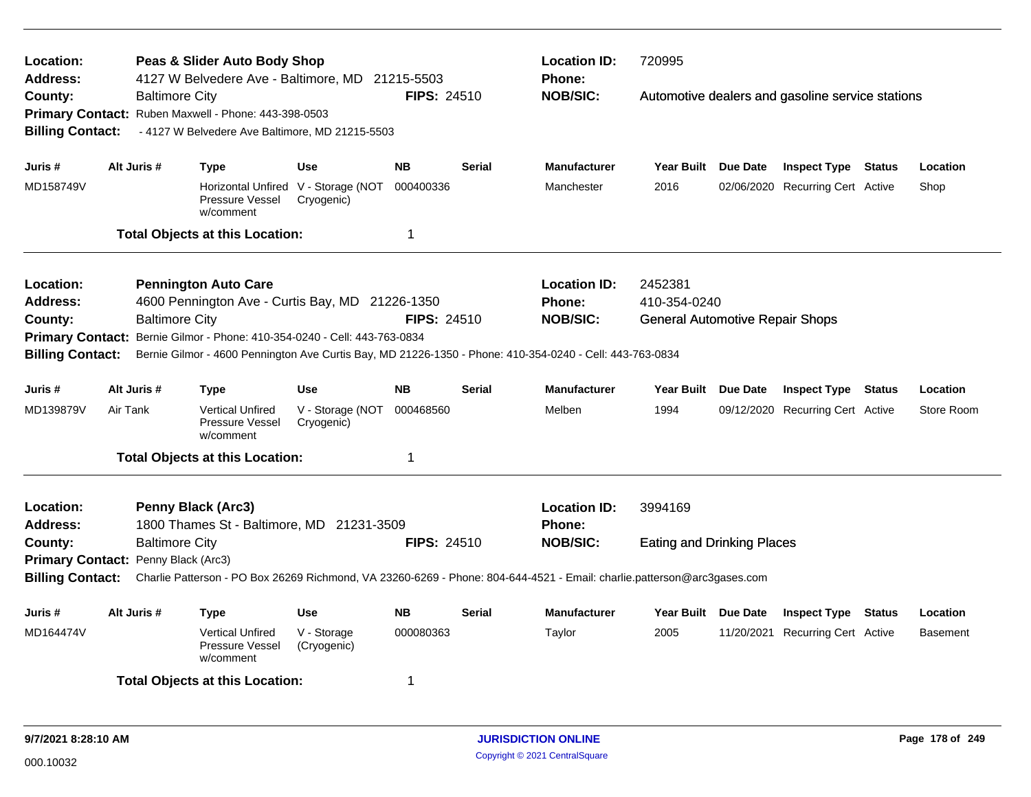| Location:<br>Address:                              |          |                       | Peas & Slider Auto Body Shop<br>4127 W Belvedere Ave - Baltimore, MD 21215-5503                        |                                                   |                    |               | <b>Location ID:</b><br>Phone:                                                                                           | 720995                                 |          |                                                  |                 |
|----------------------------------------------------|----------|-----------------------|--------------------------------------------------------------------------------------------------------|---------------------------------------------------|--------------------|---------------|-------------------------------------------------------------------------------------------------------------------------|----------------------------------------|----------|--------------------------------------------------|-----------------|
| County:<br><b>Billing Contact:</b>                 |          | <b>Baltimore City</b> | Primary Contact: Ruben Maxwell - Phone: 443-398-0503<br>-4127 W Belvedere Ave Baltimore, MD 21215-5503 |                                                   | <b>FIPS: 24510</b> |               | <b>NOB/SIC:</b>                                                                                                         |                                        |          | Automotive dealers and gasoline service stations |                 |
| Juris #                                            |          | Alt Juris #           | Type                                                                                                   | <b>Use</b>                                        | <b>NB</b>          | <b>Serial</b> | <b>Manufacturer</b>                                                                                                     | Year Built Due Date                    |          | <b>Inspect Type Status</b>                       | Location        |
| MD158749V                                          |          |                       | Pressure Vessel<br>w/comment                                                                           | Horizontal Unfired V - Storage (NOT<br>Cryogenic) | 000400336          |               | Manchester                                                                                                              | 2016                                   |          | 02/06/2020 Recurring Cert Active                 | Shop            |
|                                                    |          |                       | <b>Total Objects at this Location:</b>                                                                 |                                                   | 1                  |               |                                                                                                                         |                                        |          |                                                  |                 |
| <b>Location:</b>                                   |          |                       | <b>Pennington Auto Care</b>                                                                            |                                                   |                    |               | <b>Location ID:</b>                                                                                                     | 2452381                                |          |                                                  |                 |
| <b>Address:</b>                                    |          |                       | 4600 Pennington Ave - Curtis Bay, MD 21226-1350                                                        |                                                   |                    |               | <b>Phone:</b>                                                                                                           | 410-354-0240                           |          |                                                  |                 |
| County:                                            |          | <b>Baltimore City</b> | Bernie Gilmor - Phone: 410-354-0240 - Cell: 443-763-0834                                               |                                                   | FIPS: 24510        |               | <b>NOB/SIC:</b>                                                                                                         | <b>General Automotive Repair Shops</b> |          |                                                  |                 |
| <b>Primary Contact:</b><br><b>Billing Contact:</b> |          |                       |                                                                                                        |                                                   |                    |               | Bernie Gilmor - 4600 Pennington Ave Curtis Bay, MD 21226-1350 - Phone: 410-354-0240 - Cell: 443-763-0834                |                                        |          |                                                  |                 |
| Juris #                                            |          | Alt Juris #           | Type                                                                                                   | <b>Use</b>                                        |                    | <b>Serial</b> | <b>Manufacturer</b>                                                                                                     | <b>Year Built</b>                      | Due Date | <b>Inspect Type Status</b>                       | Location        |
| MD139879V                                          | Air Tank |                       | <b>Vertical Unfired</b><br>Pressure Vessel<br>w/comment                                                | V - Storage (NOT<br>Cryogenic)                    | 000468560          |               | Melben                                                                                                                  | 1994                                   |          | 09/12/2020 Recurring Cert Active                 | Store Room      |
|                                                    |          |                       | <b>Total Objects at this Location:</b>                                                                 |                                                   | -1                 |               |                                                                                                                         |                                        |          |                                                  |                 |
| Location:<br><b>Address:</b>                       |          |                       | <b>Penny Black (Arc3)</b><br>1800 Thames St - Baltimore, MD 21231-3509                                 |                                                   |                    |               | <b>Location ID:</b><br><b>Phone:</b>                                                                                    | 3994169                                |          |                                                  |                 |
| County:                                            |          | <b>Baltimore City</b> |                                                                                                        |                                                   | <b>FIPS: 24510</b> |               | <b>NOB/SIC:</b>                                                                                                         | <b>Eating and Drinking Places</b>      |          |                                                  |                 |
| Primary Contact: Penny Black (Arc3)                |          |                       |                                                                                                        |                                                   |                    |               |                                                                                                                         |                                        |          |                                                  |                 |
| <b>Billing Contact:</b>                            |          |                       |                                                                                                        |                                                   |                    |               | Charlie Patterson - PO Box 26269 Richmond, VA 23260-6269 - Phone: 804-644-4521 - Email: charlie.patterson@arc3gases.com |                                        |          |                                                  |                 |
| Juris #                                            |          | Alt Juris #           | Type                                                                                                   | Use                                               | <b>NB</b>          | Serial        | <b>Manufacturer</b>                                                                                                     | Year Built Due Date                    |          | <b>Inspect Type Status</b>                       | Location        |
| MD164474V                                          |          |                       | <b>Vertical Unfired</b><br>Pressure Vessel<br>w/comment                                                | V - Storage<br>(Cryogenic)                        | 000080363          |               | Taylor                                                                                                                  | 2005                                   |          | 11/20/2021 Recurring Cert Active                 | <b>Basement</b> |
|                                                    |          |                       | <b>Total Objects at this Location:</b>                                                                 |                                                   | -1                 |               |                                                                                                                         |                                        |          |                                                  |                 |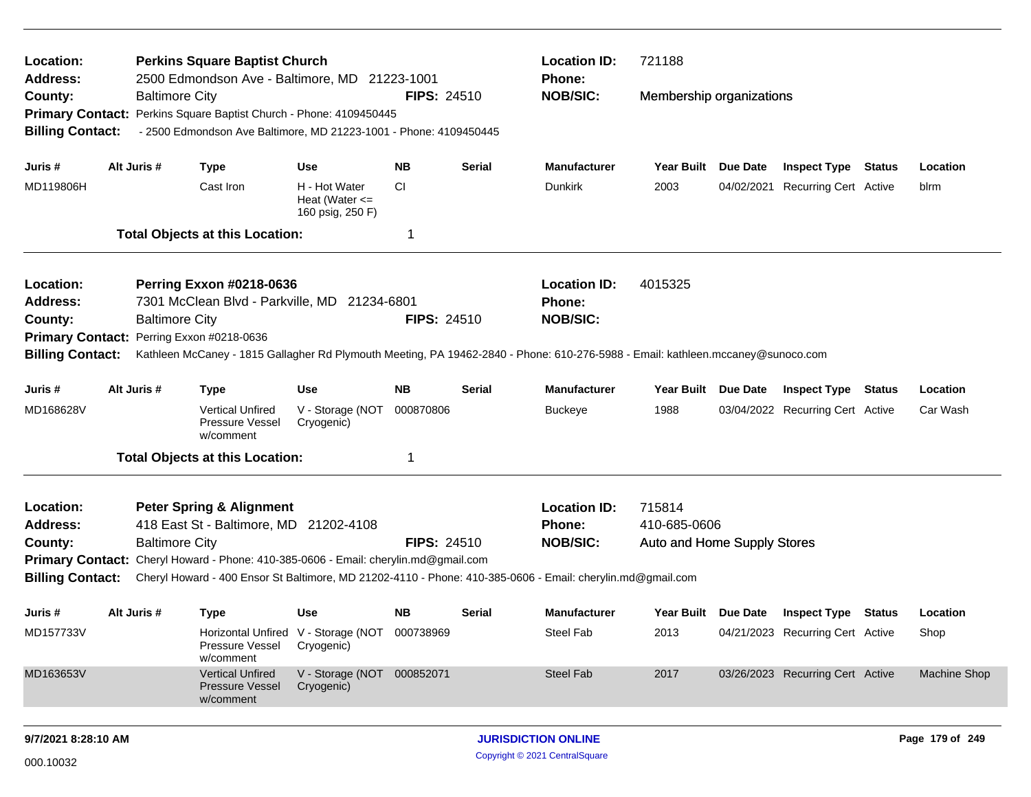| Location:<br>Address:              |             | <b>Perkins Square Baptist Church</b><br><b>Location ID:</b><br>2500 Edmondson Ave - Baltimore, MD 21223-1001<br><b>Phone:</b>                                    |                                                             |                    |               |                            |                             | 721188 |                                  |  |                 |  |
|------------------------------------|-------------|------------------------------------------------------------------------------------------------------------------------------------------------------------------|-------------------------------------------------------------|--------------------|---------------|----------------------------|-----------------------------|--------|----------------------------------|--|-----------------|--|
| County:<br><b>Billing Contact:</b> |             | <b>Baltimore City</b><br>Primary Contact: Perkins Square Baptist Church - Phone: 4109450445<br>- 2500 Edmondson Ave Baltimore, MD 21223-1001 - Phone: 4109450445 |                                                             | <b>FIPS: 24510</b> |               | <b>NOB/SIC:</b>            | Membership organizations    |        |                                  |  |                 |  |
|                                    |             |                                                                                                                                                                  |                                                             |                    |               |                            |                             |        |                                  |  |                 |  |
| Juris #                            | Alt Juris # | <b>Type</b>                                                                                                                                                      | <b>Use</b>                                                  | <b>NB</b>          | <b>Serial</b> | <b>Manufacturer</b>        | Year Built Due Date         |        | <b>Inspect Type Status</b>       |  | Location        |  |
| MD119806H                          |             | Cast Iron                                                                                                                                                        | H - Hot Water<br>Heat (Water $\leq$<br>160 psig, 250 F)     | <b>CI</b>          |               | <b>Dunkirk</b>             | 2003                        |        | 04/02/2021 Recurring Cert Active |  | blrm            |  |
|                                    |             | <b>Total Objects at this Location:</b>                                                                                                                           |                                                             | -1                 |               |                            |                             |        |                                  |  |                 |  |
| Location:                          |             | <b>Perring Exxon #0218-0636</b>                                                                                                                                  |                                                             |                    |               | <b>Location ID:</b>        | 4015325                     |        |                                  |  |                 |  |
| <b>Address:</b>                    |             | 7301 McClean Blvd - Parkville, MD 21234-6801                                                                                                                     |                                                             |                    |               | <b>Phone:</b>              |                             |        |                                  |  |                 |  |
| County:                            |             | <b>Baltimore City</b>                                                                                                                                            |                                                             | <b>FIPS: 24510</b> |               | <b>NOB/SIC:</b>            |                             |        |                                  |  |                 |  |
| <b>Primary Contact:</b>            |             | Perring Exxon #0218-0636                                                                                                                                         |                                                             |                    |               |                            |                             |        |                                  |  |                 |  |
| <b>Billing Contact:</b>            |             | Kathleen McCaney - 1815 Gallagher Rd Plymouth Meeting, PA 19462-2840 - Phone: 610-276-5988 - Email: kathleen.mccaney@sunoco.com                                  |                                                             |                    |               |                            |                             |        |                                  |  |                 |  |
| Juris #                            | Alt Juris # | <b>Type</b>                                                                                                                                                      | <b>Use</b>                                                  | <b>NB</b>          | <b>Serial</b> | <b>Manufacturer</b>        | Year Built Due Date         |        | <b>Inspect Type Status</b>       |  | Location        |  |
| MD168628V                          |             | <b>Vertical Unfired</b><br>Pressure Vessel<br>w/comment                                                                                                          | V - Storage (NOT<br>Cryogenic)                              | 000870806          |               | <b>Buckeye</b>             | 1988                        |        | 03/04/2022 Recurring Cert Active |  | Car Wash        |  |
|                                    |             | <b>Total Objects at this Location:</b>                                                                                                                           |                                                             | -1                 |               |                            |                             |        |                                  |  |                 |  |
| Location:                          |             | <b>Peter Spring &amp; Alignment</b>                                                                                                                              |                                                             |                    |               | <b>Location ID:</b>        | 715814                      |        |                                  |  |                 |  |
| <b>Address:</b>                    |             | 418 East St - Baltimore, MD 21202-4108                                                                                                                           |                                                             |                    |               | <b>Phone:</b>              | 410-685-0606                |        |                                  |  |                 |  |
| County:                            |             | <b>Baltimore City</b>                                                                                                                                            |                                                             | <b>FIPS: 24510</b> |               | <b>NOB/SIC:</b>            | Auto and Home Supply Stores |        |                                  |  |                 |  |
|                                    |             | Primary Contact: Cheryl Howard - Phone: 410-385-0606 - Email: cherylin.md@gmail.com                                                                              |                                                             |                    |               |                            |                             |        |                                  |  |                 |  |
| <b>Billing Contact:</b>            |             | Cheryl Howard - 400 Ensor St Baltimore, MD 21202-4110 - Phone: 410-385-0606 - Email: cherylin.md@gmail.com                                                       |                                                             |                    |               |                            |                             |        |                                  |  |                 |  |
| Juris #                            | Alt Juris # | <b>Type</b>                                                                                                                                                      | <b>Use</b>                                                  | NB.                | Serial        | <b>Manufacturer</b>        | Year Built Due Date         |        | <b>Inspect Type Status</b>       |  | Location        |  |
| MD157733V                          |             | Pressure Vessel<br>w/comment                                                                                                                                     | Horizontal Unfired V - Storage (NOT 000738969<br>Cryogenic) |                    |               | <b>Steel Fab</b>           | 2013                        |        | 04/21/2023 Recurring Cert Active |  | Shop            |  |
| MD163653V                          |             | <b>Vertical Unfired</b><br><b>Pressure Vessel</b><br>w/comment                                                                                                   | V - Storage (NOT 000852071<br>Cryogenic)                    |                    |               | Steel Fab                  | 2017                        |        | 03/26/2023 Recurring Cert Active |  | Machine Shop    |  |
| 9/7/2021 8:28:10 AM                |             |                                                                                                                                                                  |                                                             |                    |               | <b>JURISDICTION ONLINE</b> |                             |        |                                  |  | Page 179 of 249 |  |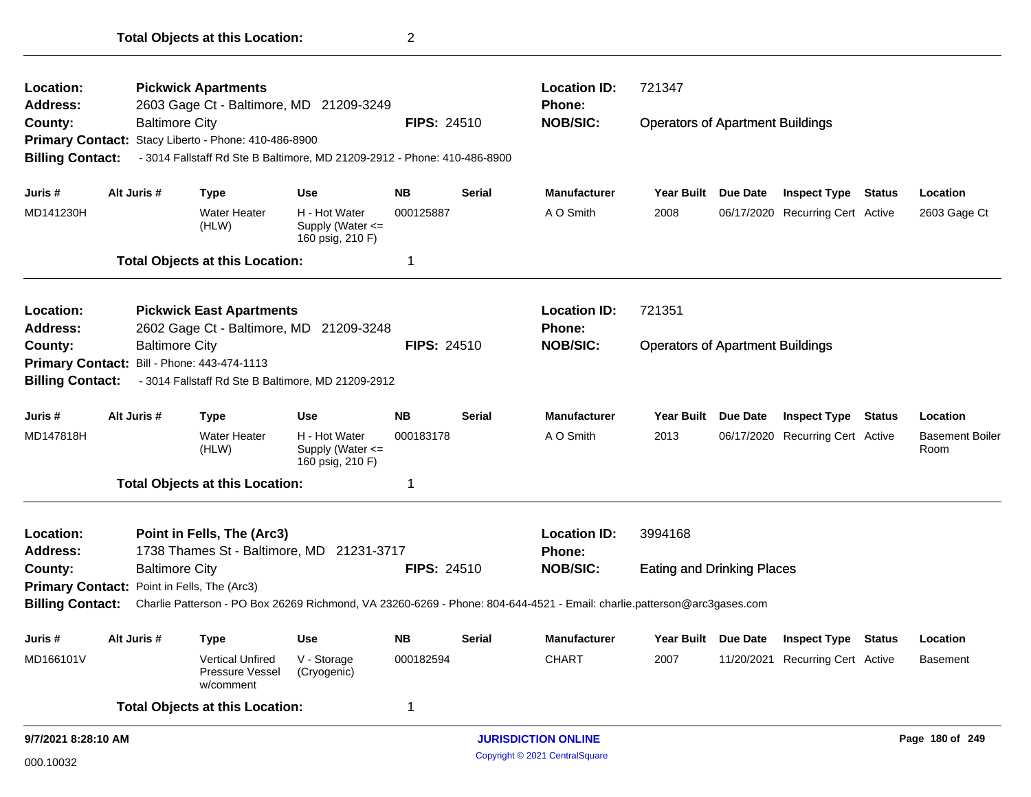| Location:                                   |             |                       | <b>Pickwick Apartments</b><br>2603 Gage Ct - Baltimore, MD 21209-3249    |                                                       |                    |               | <b>Location ID:</b>                                                                                                     | 721347                                  |                 |                                                  |                                |
|---------------------------------------------|-------------|-----------------------|--------------------------------------------------------------------------|-------------------------------------------------------|--------------------|---------------|-------------------------------------------------------------------------------------------------------------------------|-----------------------------------------|-----------------|--------------------------------------------------|--------------------------------|
| <b>Address:</b><br>County:                  |             | <b>Baltimore City</b> |                                                                          |                                                       | <b>FIPS: 24510</b> |               | Phone:<br><b>NOB/SIC:</b>                                                                                               | <b>Operators of Apartment Buildings</b> |                 |                                                  |                                |
|                                             |             |                       | Primary Contact: Stacy Liberto - Phone: 410-486-8900                     |                                                       |                    |               |                                                                                                                         |                                         |                 |                                                  |                                |
| <b>Billing Contact:</b>                     |             |                       | - 3014 Fallstaff Rd Ste B Baltimore, MD 21209-2912 - Phone: 410-486-8900 |                                                       |                    |               |                                                                                                                         |                                         |                 |                                                  |                                |
|                                             |             |                       |                                                                          |                                                       |                    |               |                                                                                                                         |                                         |                 |                                                  |                                |
| Juris #                                     | Alt Juris # |                       | <b>Type</b>                                                              | <b>Use</b>                                            | <b>NB</b>          | Serial        | <b>Manufacturer</b>                                                                                                     | Year Built Due Date                     |                 | <b>Inspect Type Status</b>                       | Location                       |
| MD141230H                                   |             |                       | <b>Water Heater</b><br>(HLW)                                             | H - Hot Water<br>Supply (Water <=<br>160 psig, 210 F) | 000125887          |               | A O Smith                                                                                                               | 2008                                    |                 | 06/17/2020 Recurring Cert Active                 | 2603 Gage Ct                   |
|                                             |             |                       | <b>Total Objects at this Location:</b>                                   |                                                       | 1                  |               |                                                                                                                         |                                         |                 |                                                  |                                |
| Location:                                   |             |                       | <b>Pickwick East Apartments</b>                                          |                                                       |                    |               | <b>Location ID:</b>                                                                                                     | 721351                                  |                 |                                                  |                                |
| <b>Address:</b>                             |             |                       | 2602 Gage Ct - Baltimore, MD 21209-3248                                  |                                                       |                    |               | Phone:                                                                                                                  |                                         |                 |                                                  |                                |
| County:                                     |             | <b>Baltimore City</b> |                                                                          |                                                       | <b>FIPS: 24510</b> |               | <b>NOB/SIC:</b>                                                                                                         | <b>Operators of Apartment Buildings</b> |                 |                                                  |                                |
|                                             |             |                       | Primary Contact: Bill - Phone: 443-474-1113                              |                                                       |                    |               |                                                                                                                         |                                         |                 |                                                  |                                |
| <b>Billing Contact:</b>                     |             |                       | - 3014 Fallstaff Rd Ste B Baltimore, MD 21209-2912                       |                                                       |                    |               |                                                                                                                         |                                         |                 |                                                  |                                |
| Juris #                                     | Alt Juris # |                       | <b>Type</b>                                                              | <b>Use</b>                                            | <b>NB</b>          | <b>Serial</b> | <b>Manufacturer</b>                                                                                                     | <b>Year Built</b>                       | <b>Due Date</b> | <b>Inspect Type Status</b>                       | Location                       |
| MD147818H                                   |             |                       | <b>Water Heater</b><br>(HLW)                                             | H - Hot Water<br>Supply (Water <=<br>160 psig, 210 F) | 000183178          |               | A O Smith                                                                                                               | 2013                                    |                 | 06/17/2020 Recurring Cert Active                 | <b>Basement Boiler</b><br>Room |
|                                             |             |                       | <b>Total Objects at this Location:</b>                                   |                                                       | 1                  |               |                                                                                                                         |                                         |                 |                                                  |                                |
| Location:                                   |             |                       | Point in Fells, The (Arc3)                                               |                                                       |                    |               | <b>Location ID:</b>                                                                                                     | 3994168                                 |                 |                                                  |                                |
| Address:                                    |             |                       | 1738 Thames St - Baltimore, MD 21231-3717                                |                                                       |                    |               | <b>Phone:</b>                                                                                                           |                                         |                 |                                                  |                                |
| County:                                     |             | <b>Baltimore City</b> |                                                                          |                                                       | <b>FIPS: 24510</b> |               | <b>NOB/SIC:</b>                                                                                                         | <b>Eating and Drinking Places</b>       |                 |                                                  |                                |
| Primary Contact: Point in Fells, The (Arc3) |             |                       |                                                                          |                                                       |                    |               |                                                                                                                         |                                         |                 |                                                  |                                |
| <b>Billing Contact:</b>                     |             |                       |                                                                          |                                                       |                    |               | Charlie Patterson - PO Box 26269 Richmond, VA 23260-6269 - Phone: 804-644-4521 - Email: charlie.patterson@arc3gases.com |                                         |                 |                                                  |                                |
| Juris #                                     | Alt Juris # |                       | <b>Type</b>                                                              | <b>Use</b>                                            | <b>NB</b>          | Serial        | Manufacturer                                                                                                            |                                         |                 | Year Built Due Date Inspect Type Status Location |                                |
| MD166101V                                   |             |                       | <b>Vertical Unfired</b><br>Pressure Vessel<br>w/comment                  | V - Storage<br>(Cryogenic)                            | 000182594          |               | CHART                                                                                                                   | 2007                                    |                 | 11/20/2021 Recurring Cert Active                 | <b>Basement</b>                |
|                                             |             |                       | <b>Total Objects at this Location:</b>                                   |                                                       | 1                  |               |                                                                                                                         |                                         |                 |                                                  |                                |
| 9/7/2021 8:28:10 AM                         |             |                       |                                                                          |                                                       |                    |               | <b>JURISDICTION ONLINE</b>                                                                                              |                                         |                 |                                                  | Page 180 of 249                |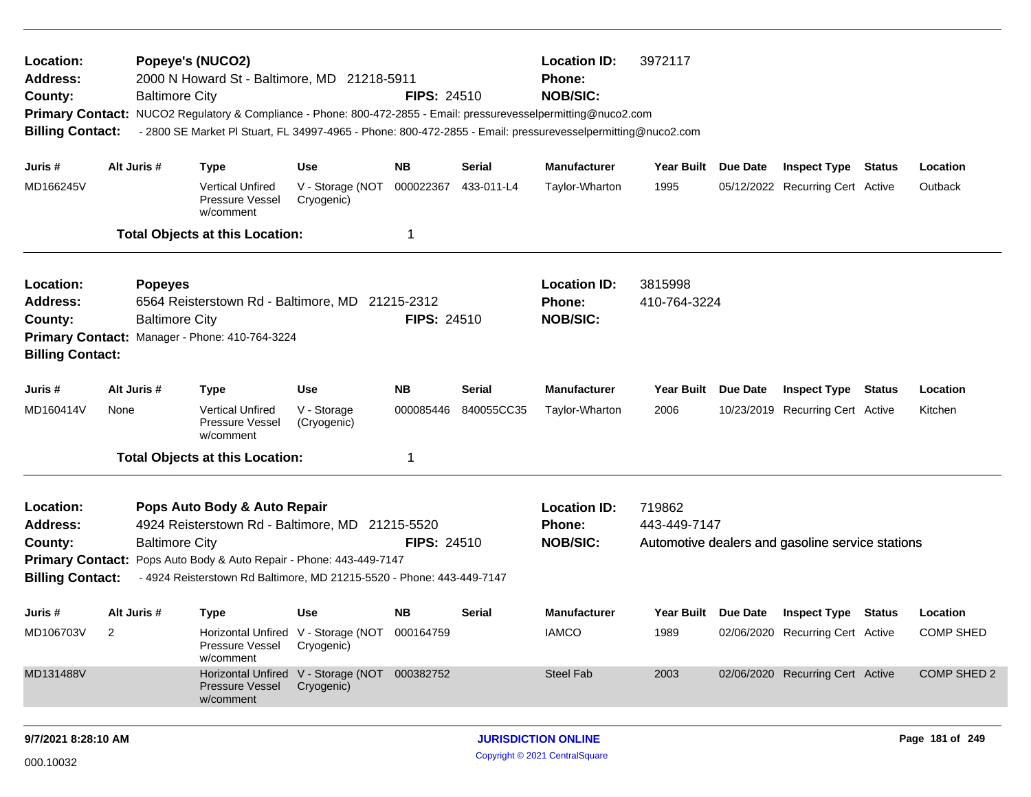| Location:<br><b>Address:</b><br>County:<br><b>Billing Contact:</b>                                                                                                                                                                                                                                                                                                                                                                                        | <b>Baltimore City</b>                   | Popeye's (NUCO2)<br>2000 N Howard St - Baltimore, MD 21218-5911<br>Primary Contact: NUCO2 Regulatory & Compliance - Phone: 800-472-2855 - Email: pressurevesselpermitting@nuco2.com<br>- 2800 SE Market PI Stuart, FL 34997-4965 - Phone: 800-472-2855 - Email: pressurevesselpermitting@nuco2.com |                                                             | <b>FIPS: 24510</b> |               | <b>Location ID:</b><br>Phone:<br><b>NOB/SIC:</b> | 3972117                 |                 |                                                  |               |                  |
|-----------------------------------------------------------------------------------------------------------------------------------------------------------------------------------------------------------------------------------------------------------------------------------------------------------------------------------------------------------------------------------------------------------------------------------------------------------|-----------------------------------------|----------------------------------------------------------------------------------------------------------------------------------------------------------------------------------------------------------------------------------------------------------------------------------------------------|-------------------------------------------------------------|--------------------|---------------|--------------------------------------------------|-------------------------|-----------------|--------------------------------------------------|---------------|------------------|
| Juris #                                                                                                                                                                                                                                                                                                                                                                                                                                                   | Alt Juris #                             | <b>Type</b>                                                                                                                                                                                                                                                                                        | Use                                                         | <b>NB</b>          | <b>Serial</b> | <b>Manufacturer</b>                              | Year Built Due Date     |                 | <b>Inspect Type</b>                              | <b>Status</b> | Location         |
| MD166245V                                                                                                                                                                                                                                                                                                                                                                                                                                                 |                                         | <b>Vertical Unfired</b><br>Pressure Vessel<br>w/comment                                                                                                                                                                                                                                            | V - Storage (NOT<br>Cryogenic)                              | 000022367          | 433-011-L4    | Taylor-Wharton                                   | 1995                    |                 | 05/12/2022 Recurring Cert Active                 |               | Outback          |
|                                                                                                                                                                                                                                                                                                                                                                                                                                                           |                                         | <b>Total Objects at this Location:</b>                                                                                                                                                                                                                                                             |                                                             | 1                  |               |                                                  |                         |                 |                                                  |               |                  |
| Location:<br>Address:<br>County:<br><b>Billing Contact:</b>                                                                                                                                                                                                                                                                                                                                                                                               | <b>Popeyes</b><br><b>Baltimore City</b> | 6564 Reisterstown Rd - Baltimore, MD 21215-2312<br>Primary Contact: Manager - Phone: 410-764-3224                                                                                                                                                                                                  |                                                             | <b>FIPS: 24510</b> |               | <b>Location ID:</b><br>Phone:<br><b>NOB/SIC:</b> | 3815998<br>410-764-3224 |                 |                                                  |               |                  |
| Juris #                                                                                                                                                                                                                                                                                                                                                                                                                                                   | Alt Juris #                             | <b>Type</b>                                                                                                                                                                                                                                                                                        | Use                                                         | <b>NB</b>          | <b>Serial</b> | <b>Manufacturer</b>                              | <b>Year Built</b>       | <b>Due Date</b> | <b>Inspect Type</b>                              | <b>Status</b> | Location         |
| MD160414V                                                                                                                                                                                                                                                                                                                                                                                                                                                 | None                                    | <b>Vertical Unfired</b><br>Pressure Vessel<br>w/comment                                                                                                                                                                                                                                            | V - Storage<br>(Cryogenic)                                  | 000085446          | 840055CC35    | Taylor-Wharton                                   | 2006                    |                 | 10/23/2019 Recurring Cert Active                 |               | Kitchen          |
|                                                                                                                                                                                                                                                                                                                                                                                                                                                           |                                         |                                                                                                                                                                                                                                                                                                    |                                                             | 1                  |               |                                                  |                         |                 |                                                  |               |                  |
| <b>Total Objects at this Location:</b><br><b>Location ID:</b><br>Location:<br>Pops Auto Body & Auto Repair<br>4924 Reisterstown Rd - Baltimore, MD 21215-5520<br><b>Address:</b><br><b>Phone:</b><br><b>FIPS: 24510</b><br><b>Baltimore City</b><br><b>NOB/SIC:</b><br>County:<br>Primary Contact: Pops Auto Body & Auto Repair - Phone: 443-449-7147<br><b>Billing Contact:</b><br>- 4924 Reisterstown Rd Baltimore, MD 21215-5520 - Phone: 443-449-7147 |                                         |                                                                                                                                                                                                                                                                                                    |                                                             |                    |               |                                                  | 719862<br>443-449-7147  |                 | Automotive dealers and gasoline service stations |               |                  |
| Juris #                                                                                                                                                                                                                                                                                                                                                                                                                                                   | Alt Juris #                             | <b>Type</b>                                                                                                                                                                                                                                                                                        | <b>Use</b>                                                  | NΒ                 | <b>Serial</b> | <b>Manufacturer</b>                              | Year Built Due Date     |                 | <b>Inspect Type Status</b>                       |               | Location         |
| MD106703V 2                                                                                                                                                                                                                                                                                                                                                                                                                                               |                                         | Pressure Vessel<br>w/comment                                                                                                                                                                                                                                                                       | Horizontal Unfired V - Storage (NOT 000164759<br>Cryogenic) |                    |               | <b>IAMCO</b>                                     | 1989                    |                 | 02/06/2020 Recurring Cert Active                 |               | <b>COMP SHED</b> |
| MD131488V                                                                                                                                                                                                                                                                                                                                                                                                                                                 |                                         | Pressure Vessel<br>w/comment                                                                                                                                                                                                                                                                       | Horizontal Unfired V - Storage (NOT 000382752<br>Cryogenic) |                    |               | <b>Steel Fab</b>                                 | 2003                    |                 | 02/06/2020 Recurring Cert Active                 |               | COMP SHED 2      |
| 9/7/2021 8:28:10 AM                                                                                                                                                                                                                                                                                                                                                                                                                                       |                                         |                                                                                                                                                                                                                                                                                                    |                                                             |                    |               | <b>JURISDICTION ONLINE</b>                       |                         |                 |                                                  |               | Page 181 of 249  |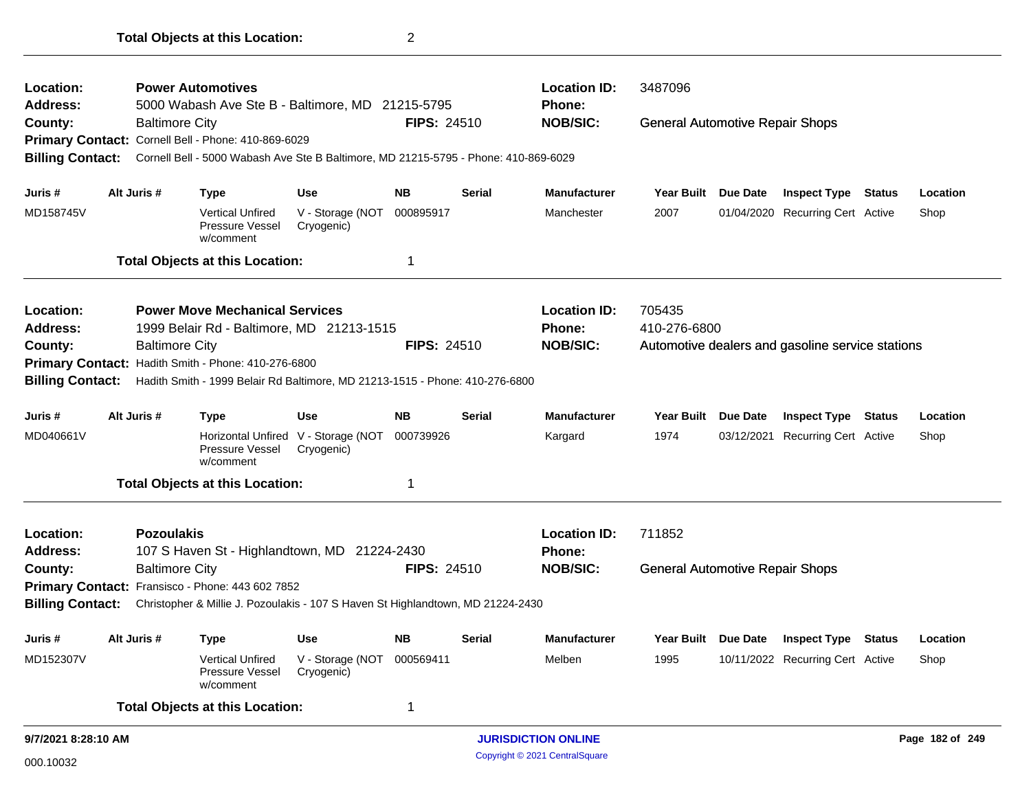| Location:<br>Address:                                                                                                                                          |  |                       | <b>Power Automotives</b><br>5000 Wabash Ave Ste B - Baltimore, MD 21215-5795        |                                                             |                    |               | <b>Location ID:</b><br><b>Phone:</b> | 3487096                                |                                                  |               |                 |
|----------------------------------------------------------------------------------------------------------------------------------------------------------------|--|-----------------------|-------------------------------------------------------------------------------------|-------------------------------------------------------------|--------------------|---------------|--------------------------------------|----------------------------------------|--------------------------------------------------|---------------|-----------------|
| County:                                                                                                                                                        |  | <b>Baltimore City</b> |                                                                                     |                                                             | <b>FIPS: 24510</b> |               | <b>NOB/SIC:</b>                      | <b>General Automotive Repair Shops</b> |                                                  |               |                 |
|                                                                                                                                                                |  |                       | Primary Contact: Cornell Bell - Phone: 410-869-6029                                 |                                                             |                    |               |                                      |                                        |                                                  |               |                 |
| <b>Billing Contact:</b>                                                                                                                                        |  |                       | Cornell Bell - 5000 Wabash Ave Ste B Baltimore, MD 21215-5795 - Phone: 410-869-6029 |                                                             |                    |               |                                      |                                        |                                                  |               |                 |
| Juris #                                                                                                                                                        |  | Alt Juris #           | <b>Type</b>                                                                         | <b>Use</b>                                                  | <b>NB</b>          | <b>Serial</b> | <b>Manufacturer</b>                  | Year Built Due Date                    | <b>Inspect Type Status</b>                       |               | Location        |
| MD158745V                                                                                                                                                      |  |                       | <b>Vertical Unfired</b><br>Pressure Vessel<br>w/comment                             | V - Storage (NOT 000895917<br>Cryogenic)                    |                    |               | Manchester                           | 2007                                   | 01/04/2020 Recurring Cert Active                 |               | Shop            |
|                                                                                                                                                                |  |                       | <b>Total Objects at this Location:</b>                                              |                                                             | $\mathbf{1}$       |               |                                      |                                        |                                                  |               |                 |
| Location:                                                                                                                                                      |  |                       | <b>Power Move Mechanical Services</b>                                               |                                                             |                    |               | <b>Location ID:</b>                  | 705435                                 |                                                  |               |                 |
| <b>Address:</b>                                                                                                                                                |  |                       | 1999 Belair Rd - Baltimore, MD 21213-1515                                           |                                                             |                    |               | <b>Phone:</b>                        | 410-276-6800                           |                                                  |               |                 |
| County:                                                                                                                                                        |  | <b>Baltimore City</b> |                                                                                     |                                                             | <b>FIPS: 24510</b> |               | <b>NOB/SIC:</b>                      |                                        | Automotive dealers and gasoline service stations |               |                 |
| Primary Contact: Hadith Smith - Phone: 410-276-6800<br>Hadith Smith - 1999 Belair Rd Baltimore, MD 21213-1515 - Phone: 410-276-6800<br><b>Billing Contact:</b> |  |                       |                                                                                     |                                                             |                    |               |                                      |                                        |                                                  |               |                 |
|                                                                                                                                                                |  |                       |                                                                                     |                                                             |                    |               |                                      |                                        |                                                  |               |                 |
| Juris #                                                                                                                                                        |  | Alt Juris #           | <b>Type</b>                                                                         | Use                                                         | <b>NB</b>          | <b>Serial</b> | <b>Manufacturer</b>                  | Year Built Due Date                    | <b>Inspect Type</b>                              | <b>Status</b> | Location        |
| MD040661V                                                                                                                                                      |  |                       | Pressure Vessel<br>w/comment                                                        | Horizontal Unfired V - Storage (NOT 000739926<br>Cryogenic) |                    |               | Kargard                              | 1974                                   | 03/12/2021 Recurring Cert Active                 |               | Shop            |
|                                                                                                                                                                |  |                       | <b>Total Objects at this Location:</b>                                              |                                                             | 1                  |               |                                      |                                        |                                                  |               |                 |
| Location:                                                                                                                                                      |  | <b>Pozoulakis</b>     |                                                                                     |                                                             |                    |               | <b>Location ID:</b>                  | 711852                                 |                                                  |               |                 |
| <b>Address:</b>                                                                                                                                                |  |                       | 107 S Haven St - Highlandtown, MD 21224-2430                                        |                                                             |                    |               | <b>Phone:</b>                        |                                        |                                                  |               |                 |
| County:                                                                                                                                                        |  | <b>Baltimore City</b> |                                                                                     |                                                             | <b>FIPS: 24510</b> |               | <b>NOB/SIC:</b>                      | <b>General Automotive Repair Shops</b> |                                                  |               |                 |
|                                                                                                                                                                |  |                       | Primary Contact: Fransisco - Phone: 443 602 7852                                    |                                                             |                    |               |                                      |                                        |                                                  |               |                 |
| <b>Billing Contact:</b><br>Christopher & Millie J. Pozoulakis - 107 S Haven St Highlandtown, MD 21224-2430                                                     |  |                       |                                                                                     |                                                             |                    |               |                                      |                                        |                                                  |               |                 |
| Juris #                                                                                                                                                        |  | Alt Juris #           | Type                                                                                | <b>Use</b>                                                  | <b>NB</b>          | <b>Serial</b> | <b>Manufacturer</b>                  | Year Built Due Date                    | <b>Inspect Type</b>                              | Status        | Location        |
| MD152307V                                                                                                                                                      |  |                       | <b>Vertical Unfired</b><br>Pressure Vessel<br>w/comment                             | V - Storage (NOT 000569411<br>Cryogenic)                    |                    |               | Melben                               | 1995                                   | 10/11/2022 Recurring Cert Active                 |               | Shop            |
|                                                                                                                                                                |  |                       | <b>Total Objects at this Location:</b>                                              |                                                             | 1                  |               |                                      |                                        |                                                  |               |                 |
| 9/7/2021 8:28:10 AM                                                                                                                                            |  |                       |                                                                                     |                                                             |                    |               | <b>JURISDICTION ONLINE</b>           |                                        |                                                  |               | Page 182 of 249 |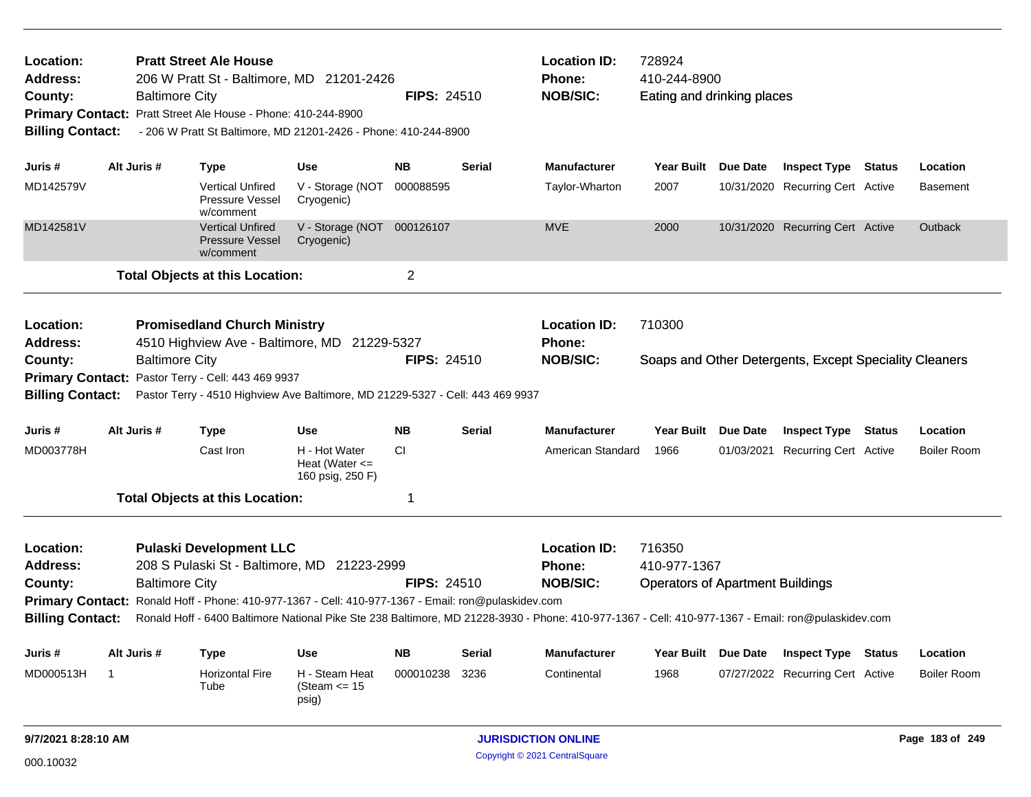| Location:<br><b>Pratt Street Ale House</b><br>206 W Pratt St - Baltimore, MD 21201-2426<br><b>Address:</b><br><b>Baltimore City</b><br>County:<br>Primary Contact: Pratt Street Ale House - Phone: 410-244-8900<br><b>Billing Contact:</b><br>- 206 W Pratt St Baltimore, MD 21201-2426 - Phone: 410-244-8900<br>Alt Juris #<br>Juris #<br><b>Type</b><br>MD142579V<br><b>Vertical Unfired</b> |    |                       |                                                                |                                                                                                     | <b>FIPS: 24510</b> |               | <b>Location ID:</b><br>Phone:<br><b>NOB/SIC:</b>                                                                                                   | 728924<br>410-244-8900<br>Eating and drinking places |          |                                                        |                    |
|------------------------------------------------------------------------------------------------------------------------------------------------------------------------------------------------------------------------------------------------------------------------------------------------------------------------------------------------------------------------------------------------|----|-----------------------|----------------------------------------------------------------|-----------------------------------------------------------------------------------------------------|--------------------|---------------|----------------------------------------------------------------------------------------------------------------------------------------------------|------------------------------------------------------|----------|--------------------------------------------------------|--------------------|
|                                                                                                                                                                                                                                                                                                                                                                                                |    |                       |                                                                | <b>Use</b>                                                                                          | <b>NB</b>          | <b>Serial</b> | <b>Manufacturer</b>                                                                                                                                | Year Built Due Date                                  |          | <b>Inspect Type Status</b>                             | Location           |
|                                                                                                                                                                                                                                                                                                                                                                                                |    |                       | Pressure Vessel<br>w/comment                                   | V - Storage (NOT<br>Cryogenic)                                                                      | 000088595          |               | Taylor-Wharton                                                                                                                                     | 2007                                                 |          | 10/31/2020 Recurring Cert Active                       | <b>Basement</b>    |
| MD142581V                                                                                                                                                                                                                                                                                                                                                                                      |    |                       | <b>Vertical Unfired</b><br><b>Pressure Vessel</b><br>w/comment | V - Storage (NOT 000126107<br>Cryogenic)                                                            |                    |               | <b>MVE</b>                                                                                                                                         | 2000                                                 |          | 10/31/2020 Recurring Cert Active                       | Outback            |
|                                                                                                                                                                                                                                                                                                                                                                                                |    |                       | <b>Total Objects at this Location:</b>                         |                                                                                                     | $\overline{2}$     |               |                                                                                                                                                    |                                                      |          |                                                        |                    |
| Location:<br><b>Address:</b>                                                                                                                                                                                                                                                                                                                                                                   |    |                       | <b>Promisedland Church Ministry</b>                            | 4510 Highview Ave - Baltimore, MD 21229-5327                                                        |                    |               | <b>Location ID:</b><br>Phone:                                                                                                                      | 710300                                               |          |                                                        |                    |
| <b>Baltimore City</b><br>County:<br>Primary Contact: Pastor Terry - Cell: 443 469 9937                                                                                                                                                                                                                                                                                                         |    |                       |                                                                |                                                                                                     | <b>FIPS: 24510</b> |               | <b>NOB/SIC:</b>                                                                                                                                    |                                                      |          | Soaps and Other Detergents, Except Speciality Cleaners |                    |
|                                                                                                                                                                                                                                                                                                                                                                                                |    |                       |                                                                |                                                                                                     |                    |               |                                                                                                                                                    |                                                      |          |                                                        |                    |
| <b>Billing Contact:</b>                                                                                                                                                                                                                                                                                                                                                                        |    |                       |                                                                | Pastor Terry - 4510 Highview Ave Baltimore, MD 21229-5327 - Cell: 443 469 9937                      |                    |               |                                                                                                                                                    |                                                      |          |                                                        |                    |
| Juris #                                                                                                                                                                                                                                                                                                                                                                                        |    | Alt Juris #           | <b>Type</b>                                                    | <b>Use</b>                                                                                          | <b>NB</b>          | <b>Serial</b> | <b>Manufacturer</b>                                                                                                                                | Year Built Due Date                                  |          | <b>Inspect Type Status</b>                             | Location           |
| MD003778H                                                                                                                                                                                                                                                                                                                                                                                      |    |                       | Cast Iron                                                      | H - Hot Water<br>Heat (Water $\leq$<br>160 psig, 250 F)                                             | <b>CI</b>          |               | American Standard                                                                                                                                  | 1966                                                 |          | 01/03/2021 Recurring Cert Active                       | <b>Boiler Room</b> |
|                                                                                                                                                                                                                                                                                                                                                                                                |    |                       | <b>Total Objects at this Location:</b>                         |                                                                                                     | 1                  |               |                                                                                                                                                    |                                                      |          |                                                        |                    |
| Location:                                                                                                                                                                                                                                                                                                                                                                                      |    |                       | <b>Pulaski Development LLC</b>                                 |                                                                                                     |                    |               | <b>Location ID:</b>                                                                                                                                | 716350                                               |          |                                                        |                    |
| <b>Address:</b>                                                                                                                                                                                                                                                                                                                                                                                |    |                       |                                                                | 208 S Pulaski St - Baltimore, MD 21223-2999                                                         |                    |               | Phone:                                                                                                                                             | 410-977-1367                                         |          |                                                        |                    |
| County:                                                                                                                                                                                                                                                                                                                                                                                        |    | <b>Baltimore City</b> |                                                                |                                                                                                     | <b>FIPS: 24510</b> |               | <b>NOB/SIC:</b>                                                                                                                                    | <b>Operators of Apartment Buildings</b>              |          |                                                        |                    |
|                                                                                                                                                                                                                                                                                                                                                                                                |    |                       |                                                                | Primary Contact: Ronald Hoff - Phone: 410-977-1367 - Cell: 410-977-1367 - Email: ron@pulaskidev.com |                    |               |                                                                                                                                                    |                                                      |          |                                                        |                    |
| <b>Billing Contact:</b>                                                                                                                                                                                                                                                                                                                                                                        |    |                       |                                                                |                                                                                                     |                    |               | Ronald Hoff - 6400 Baltimore National Pike Ste 238 Baltimore, MD 21228-3930 - Phone: 410-977-1367 - Cell: 410-977-1367 - Email: ron@pulaskidev.com |                                                      |          |                                                        |                    |
| Juris #                                                                                                                                                                                                                                                                                                                                                                                        |    | Alt Juris #           | Type                                                           | Use                                                                                                 | <b>NB</b>          | Serial        | <b>Manufacturer</b>                                                                                                                                | <b>Year Built</b>                                    | Due Date | <b>Inspect Type Status</b>                             | Location           |
| MD000513H                                                                                                                                                                                                                                                                                                                                                                                      | -1 |                       | <b>Horizontal Fire</b><br>Tube                                 | H - Steam Heat<br>(Steam $\le$ 15<br>psig)                                                          | 000010238          | 3236          | Continental                                                                                                                                        | 1968                                                 |          | 07/27/2022 Recurring Cert Active                       | <b>Boiler Room</b> |
| 9/7/2021 8:28:10 AM                                                                                                                                                                                                                                                                                                                                                                            |    |                       |                                                                |                                                                                                     |                    |               | <b>JURISDICTION ONLINE</b>                                                                                                                         |                                                      |          |                                                        | Page 183 of 249    |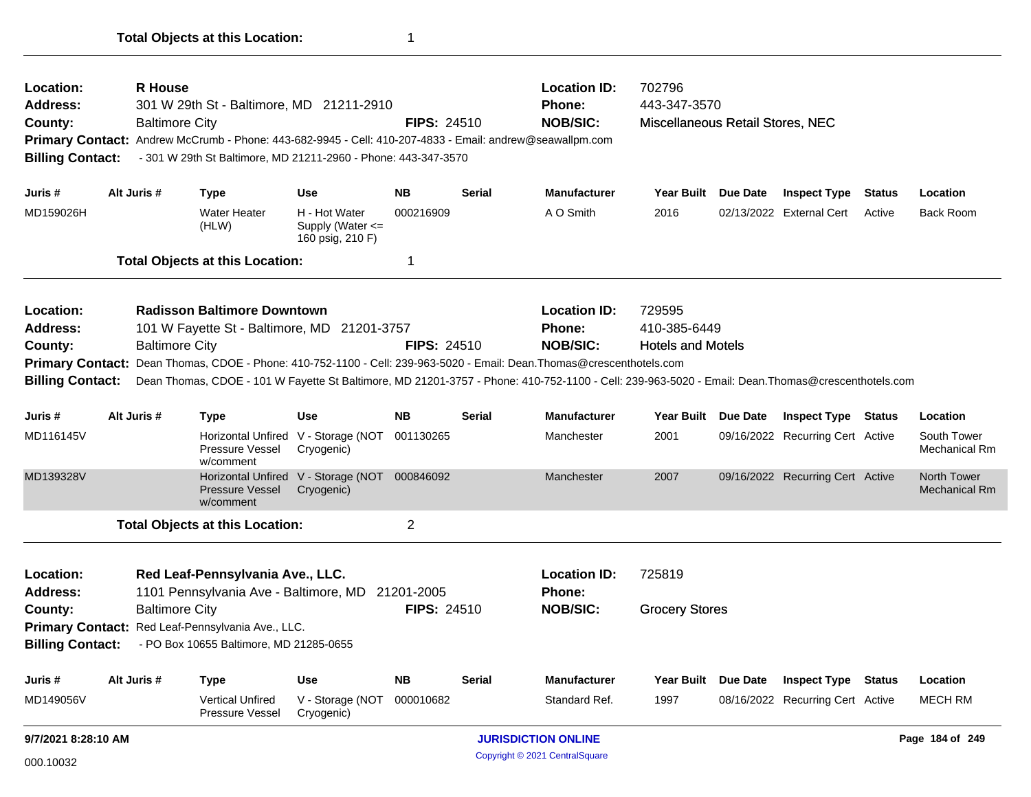| Location:<br>Address:<br>County:<br><b>Billing Contact:</b> | <b>R</b> House<br><b>Baltimore City</b>                                                                                                                                                                                                                                                                                                                                                         | 301 W 29th St - Baltimore, MD 21211-2910<br>Primary Contact: Andrew McCrumb - Phone: 443-682-9945 - Cell: 410-207-4833 - Email: andrew@seawallpm.com<br>- 301 W 29th St Baltimore, MD 21211-2960 - Phone: 443-347-3570                                                                                                                                         |                                                             | <b>FIPS: 24510</b> |               | <b>Location ID:</b><br>Phone:<br><b>NOB/SIC:</b>        | 702796<br>443-347-3570<br>Miscellaneous Retail Stores, NEC |  |                                  |               |                                     |
|-------------------------------------------------------------|-------------------------------------------------------------------------------------------------------------------------------------------------------------------------------------------------------------------------------------------------------------------------------------------------------------------------------------------------------------------------------------------------|----------------------------------------------------------------------------------------------------------------------------------------------------------------------------------------------------------------------------------------------------------------------------------------------------------------------------------------------------------------|-------------------------------------------------------------|--------------------|---------------|---------------------------------------------------------|------------------------------------------------------------|--|----------------------------------|---------------|-------------------------------------|
| Juris #                                                     | Alt Juris #                                                                                                                                                                                                                                                                                                                                                                                     | Type                                                                                                                                                                                                                                                                                                                                                           | <b>Use</b>                                                  | <b>NB</b>          | <b>Serial</b> | <b>Manufacturer</b>                                     | Year Built Due Date                                        |  | <b>Inspect Type</b>              | Status        | Location                            |
| MD159026H                                                   |                                                                                                                                                                                                                                                                                                                                                                                                 | <b>Water Heater</b><br>(HLW)                                                                                                                                                                                                                                                                                                                                   | H - Hot Water<br>Supply (Water $\leq$<br>160 psig, 210 F)   | 000216909          |               | A O Smith                                               | 2016                                                       |  | 02/13/2022 External Cert         | Active        | <b>Back Room</b>                    |
|                                                             |                                                                                                                                                                                                                                                                                                                                                                                                 | <b>Total Objects at this Location:</b>                                                                                                                                                                                                                                                                                                                         |                                                             | 1                  |               |                                                         |                                                            |  |                                  |               |                                     |
| Location:<br>Address:<br>County:<br><b>Billing Contact:</b> | <b>Baltimore City</b>                                                                                                                                                                                                                                                                                                                                                                           | <b>Radisson Baltimore Downtown</b><br>101 W Fayette St - Baltimore, MD 21201-3757<br>Primary Contact: Dean Thomas, CDOE - Phone: 410-752-1100 - Cell: 239-963-5020 - Email: Dean.Thomas@crescenthotels.com<br>Dean Thomas, CDOE - 101 W Fayette St Baltimore, MD 21201-3757 - Phone: 410-752-1100 - Cell: 239-963-5020 - Email: Dean.Thomas@crescenthotels.com |                                                             | <b>FIPS: 24510</b> |               | <b>Location ID:</b><br><b>Phone:</b><br><b>NOB/SIC:</b> | 729595<br>410-385-6449<br><b>Hotels and Motels</b>         |  |                                  |               |                                     |
| Juris #                                                     | Alt Juris #                                                                                                                                                                                                                                                                                                                                                                                     | <b>Type</b>                                                                                                                                                                                                                                                                                                                                                    | <b>Use</b>                                                  | <b>NB</b>          | <b>Serial</b> | <b>Manufacturer</b>                                     | Year Built Due Date                                        |  | <b>Inspect Type Status</b>       |               | Location                            |
| MD116145V                                                   |                                                                                                                                                                                                                                                                                                                                                                                                 | Pressure Vessel<br>w/comment                                                                                                                                                                                                                                                                                                                                   | Horizontal Unfired V - Storage (NOT<br>Cryogenic)           | 001130265          |               | Manchester                                              | 2001                                                       |  | 09/16/2022 Recurring Cert Active |               | South Tower<br><b>Mechanical Rm</b> |
| MD139328V                                                   |                                                                                                                                                                                                                                                                                                                                                                                                 | Pressure Vessel<br>w/comment                                                                                                                                                                                                                                                                                                                                   | Horizontal Unfired V - Storage (NOT 000846092<br>Cryogenic) |                    |               | Manchester                                              | 2007                                                       |  | 09/16/2022 Recurring Cert Active |               | North Tower<br><b>Mechanical Rm</b> |
|                                                             |                                                                                                                                                                                                                                                                                                                                                                                                 |                                                                                                                                                                                                                                                                                                                                                                |                                                             | $\overline{2}$     |               |                                                         |                                                            |  |                                  |               |                                     |
| Location:<br>Address:<br>County:                            | <b>Total Objects at this Location:</b><br>Red Leaf-Pennsylvania Ave., LLC.<br><b>Location ID:</b><br>725819<br>1101 Pennsylvania Ave - Baltimore, MD 21201-2005<br>Phone:<br><b>FIPS: 24510</b><br><b>NOB/SIC:</b><br><b>Baltimore City</b><br><b>Grocery Stores</b><br>Primary Contact: Red Leaf-Pennsylvania Ave., LLC.<br><b>Billing Contact:</b><br>- PO Box 10655 Baltimore, MD 21285-0655 |                                                                                                                                                                                                                                                                                                                                                                |                                                             |                    |               |                                                         |                                                            |  |                                  |               |                                     |
| Juris #                                                     | Alt Juris #                                                                                                                                                                                                                                                                                                                                                                                     | <b>Type</b>                                                                                                                                                                                                                                                                                                                                                    | <b>Use</b>                                                  | <b>NB</b>          | <b>Serial</b> | <b>Manufacturer</b>                                     | Year Built Due Date                                        |  | <b>Inspect Type</b>              | <b>Status</b> | Location                            |
| MD149056V                                                   |                                                                                                                                                                                                                                                                                                                                                                                                 | <b>Vertical Unfired</b><br><b>Pressure Vessel</b>                                                                                                                                                                                                                                                                                                              | V - Storage (NOT<br>Cryogenic)                              | 000010682          |               | Standard Ref.                                           | 1997                                                       |  | 08/16/2022 Recurring Cert Active |               | <b>MECH RM</b>                      |
| 9/7/2021 8:28:10 AM                                         |                                                                                                                                                                                                                                                                                                                                                                                                 |                                                                                                                                                                                                                                                                                                                                                                |                                                             |                    |               | <b>JURISDICTION ONLINE</b>                              |                                                            |  |                                  |               | Page 184 of 249                     |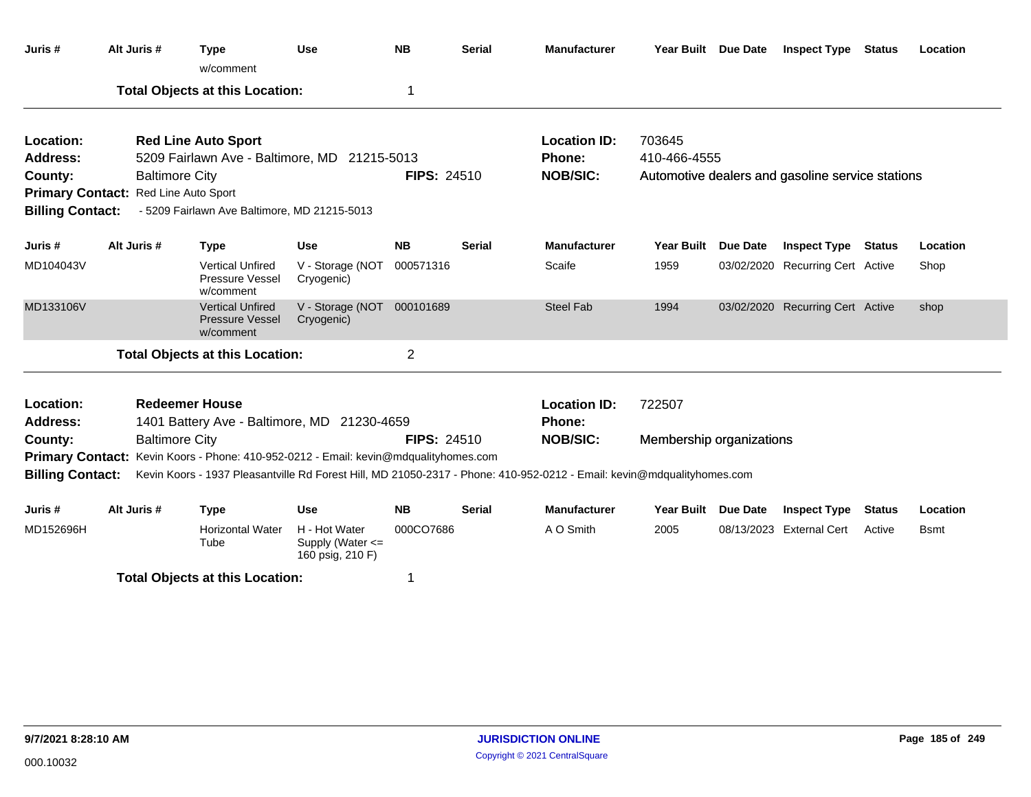| Juris #                                 | Alt Juris #                          | <b>Type</b><br>w/comment                                                   | <b>Use</b>                                            | <b>NB</b>          | <b>Serial</b> | <b>Manufacturer</b>                                                                                                    | Year Built Due Date      |                 | <b>Inspect Type Status</b>                       |               | Location |
|-----------------------------------------|--------------------------------------|----------------------------------------------------------------------------|-------------------------------------------------------|--------------------|---------------|------------------------------------------------------------------------------------------------------------------------|--------------------------|-----------------|--------------------------------------------------|---------------|----------|
|                                         |                                      | <b>Total Objects at this Location:</b>                                     |                                                       | 1                  |               |                                                                                                                        |                          |                 |                                                  |               |          |
| Location:<br><b>Address:</b><br>County: | <b>Baltimore City</b>                | <b>Red Line Auto Sport</b><br>5209 Fairlawn Ave - Baltimore, MD 21215-5013 |                                                       | <b>FIPS: 24510</b> |               | <b>Location ID:</b><br><b>Phone:</b><br><b>NOB/SIC:</b>                                                                | 703645<br>410-466-4555   |                 | Automotive dealers and gasoline service stations |               |          |
|                                         | Primary Contact: Red Line Auto Sport |                                                                            |                                                       |                    |               |                                                                                                                        |                          |                 |                                                  |               |          |
| <b>Billing Contact:</b>                 |                                      | - 5209 Fairlawn Ave Baltimore, MD 21215-5013                               |                                                       |                    |               |                                                                                                                        |                          |                 |                                                  |               |          |
| Juris #                                 | Alt Juris #                          | <b>Type</b>                                                                | <b>Use</b>                                            | <b>NB</b>          | <b>Serial</b> | <b>Manufacturer</b>                                                                                                    | <b>Year Built</b>        | <b>Due Date</b> | <b>Inspect Type</b>                              | <b>Status</b> | Location |
| MD104043V                               |                                      | <b>Vertical Unfired</b><br>Pressure Vessel<br>w/comment                    | V - Storage (NOT<br>Cryogenic)                        | 000571316          |               | Scaife                                                                                                                 | 1959                     |                 | 03/02/2020 Recurring Cert Active                 |               | Shop     |
| MD133106V                               |                                      | <b>Vertical Unfired</b><br><b>Pressure Vessel</b><br>w/comment             | V - Storage (NOT 000101689<br>Cryogenic)              |                    |               | <b>Steel Fab</b>                                                                                                       | 1994                     |                 | 03/02/2020 Recurring Cert Active                 |               | shop     |
|                                         |                                      | <b>Total Objects at this Location:</b>                                     |                                                       | 2                  |               |                                                                                                                        |                          |                 |                                                  |               |          |
| Location:<br><b>Address:</b>            |                                      | <b>Redeemer House</b><br>1401 Battery Ave - Baltimore, MD 21230-4659       |                                                       |                    |               | <b>Location ID:</b><br><b>Phone:</b>                                                                                   | 722507                   |                 |                                                  |               |          |
| County:                                 | <b>Baltimore City</b>                |                                                                            |                                                       | <b>FIPS: 24510</b> |               | <b>NOB/SIC:</b>                                                                                                        | Membership organizations |                 |                                                  |               |          |
| <b>Primary Contact:</b>                 |                                      | Kevin Koors - Phone: 410-952-0212 - Email: kevin@mdqualityhomes.com        |                                                       |                    |               |                                                                                                                        |                          |                 |                                                  |               |          |
| <b>Billing Contact:</b>                 |                                      |                                                                            |                                                       |                    |               | Kevin Koors - 1937 Pleasantville Rd Forest Hill, MD 21050-2317 - Phone: 410-952-0212 - Email: kevin@mdqualityhomes.com |                          |                 |                                                  |               |          |
| Juris #                                 | Alt Juris #                          | <b>Type</b>                                                                | <b>Use</b>                                            | <b>NB</b>          | <b>Serial</b> | <b>Manufacturer</b>                                                                                                    | <b>Year Built</b>        | <b>Due Date</b> | <b>Inspect Type</b>                              | <b>Status</b> | Location |
| MD152696H                               |                                      | <b>Horizontal Water</b><br>Tube                                            | H - Hot Water<br>Supply (Water <=<br>160 psig, 210 F) | 000CO7686          |               | A O Smith                                                                                                              | 2005                     |                 | 08/13/2023 External Cert                         | Active        | Bsmt     |
|                                         |                                      | <b>Total Objects at this Location:</b>                                     |                                                       | 1                  |               |                                                                                                                        |                          |                 |                                                  |               |          |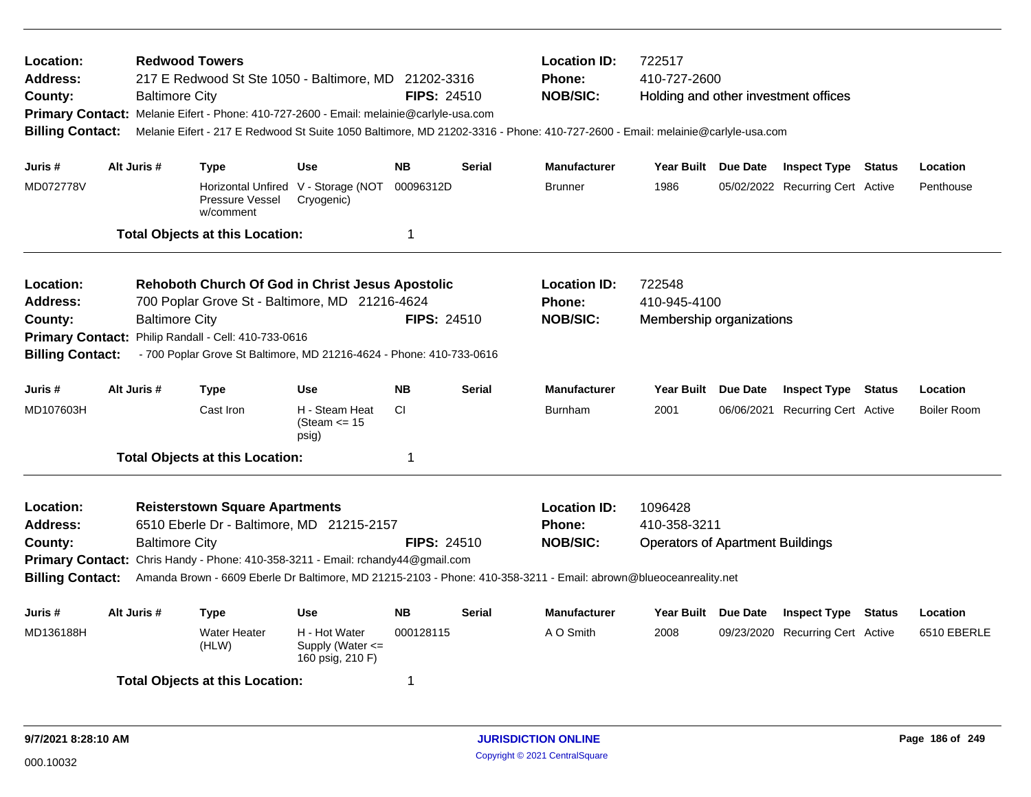| Location:<br><b>Address:</b><br>County:<br><b>Billing Contact:</b> |             | <b>Redwood Towers</b><br><b>Baltimore City</b> | 217 E Redwood St Ste 1050 - Baltimore, MD 21202-3316<br>Primary Contact: Melanie Eifert - Phone: 410-727-2600 - Email: melainie@carlyle-usa.com |                                                           | <b>FIPS: 24510</b> |               | <b>Location ID:</b><br>Phone:<br><b>NOB/SIC:</b><br>Melanie Eifert - 217 E Redwood St Suite 1050 Baltimore, MD 21202-3316 - Phone: 410-727-2600 - Email: melainie@carlyle-usa.com | 722517<br>410-727-2600<br>Holding and other investment offices |            |                                  |             |
|--------------------------------------------------------------------|-------------|------------------------------------------------|-------------------------------------------------------------------------------------------------------------------------------------------------|-----------------------------------------------------------|--------------------|---------------|-----------------------------------------------------------------------------------------------------------------------------------------------------------------------------------|----------------------------------------------------------------|------------|----------------------------------|-------------|
| Juris #                                                            | Alt Juris # |                                                | <b>Type</b>                                                                                                                                     | <b>Use</b>                                                | <b>NB</b>          | <b>Serial</b> | <b>Manufacturer</b>                                                                                                                                                               | Year Built Due Date                                            |            | <b>Inspect Type Status</b>       | Location    |
| MD072778V                                                          |             |                                                | Pressure Vessel<br>w/comment                                                                                                                    | Horizontal Unfired V - Storage (NOT<br>Cryogenic)         | 00096312D          |               | <b>Brunner</b>                                                                                                                                                                    | 1986                                                           |            | 05/02/2022 Recurring Cert Active | Penthouse   |
|                                                                    |             |                                                | <b>Total Objects at this Location:</b>                                                                                                          |                                                           | 1                  |               |                                                                                                                                                                                   |                                                                |            |                                  |             |
| Location:<br>Address:                                              |             |                                                | Rehoboth Church Of God in Christ Jesus Apostolic<br>700 Poplar Grove St - Baltimore, MD 21216-4624                                              |                                                           |                    |               | <b>Location ID:</b><br><b>Phone:</b>                                                                                                                                              | 722548<br>410-945-4100                                         |            |                                  |             |
| County:<br><b>Primary Contact:</b><br><b>Billing Contact:</b>      |             | <b>Baltimore City</b>                          | Philip Randall - Cell: 410-733-0616<br>- 700 Poplar Grove St Baltimore, MD 21216-4624 - Phone: 410-733-0616                                     |                                                           | <b>FIPS: 24510</b> |               | <b>NOB/SIC:</b>                                                                                                                                                                   | Membership organizations                                       |            |                                  |             |
| Juris #                                                            | Alt Juris # |                                                | <b>Type</b>                                                                                                                                     | <b>Use</b>                                                | <b>NB</b>          | <b>Serial</b> | <b>Manufacturer</b>                                                                                                                                                               | Year Built Due Date                                            |            | <b>Inspect Type Status</b>       | Location    |
| MD107603H                                                          |             |                                                | Cast Iron                                                                                                                                       | H - Steam Heat<br>(Steam $\le$ 15<br>psig)                | <b>CI</b>          |               | <b>Burnham</b>                                                                                                                                                                    | 2001                                                           | 06/06/2021 | <b>Recurring Cert Active</b>     | Boiler Room |
|                                                                    |             |                                                | <b>Total Objects at this Location:</b>                                                                                                          |                                                           | 1                  |               |                                                                                                                                                                                   |                                                                |            |                                  |             |
| <b>Location:</b><br><b>Address:</b>                                |             |                                                | <b>Reisterstown Square Apartments</b><br>6510 Eberle Dr - Baltimore, MD 21215-2157                                                              |                                                           |                    |               | <b>Location ID:</b><br><b>Phone:</b>                                                                                                                                              | 1096428<br>410-358-3211                                        |            |                                  |             |
| County:<br><b>Billing Contact:</b>                                 |             | <b>Baltimore City</b>                          | Primary Contact: Chris Handy - Phone: 410-358-3211 - Email: rchandy44@gmail.com                                                                 |                                                           | <b>FIPS: 24510</b> |               | <b>NOB/SIC:</b><br>Amanda Brown - 6609 Eberle Dr Baltimore, MD 21215-2103 - Phone: 410-358-3211 - Email: abrown@blueoceanreality.net                                              | <b>Operators of Apartment Buildings</b>                        |            |                                  |             |
| Juris #                                                            | Alt Juris # |                                                | <b>Type</b>                                                                                                                                     | <b>Use</b>                                                | <b>NB</b>          | <b>Serial</b> | <b>Manufacturer</b>                                                                                                                                                               | Year Built Due Date                                            |            | <b>Inspect Type Status</b>       | Location    |
| MD136188H                                                          |             |                                                | <b>Water Heater</b><br>(HLW)                                                                                                                    | H - Hot Water<br>Supply (Water $\leq$<br>160 psig, 210 F) | 000128115          |               | A O Smith                                                                                                                                                                         | 2008                                                           |            | 09/23/2020 Recurring Cert Active | 6510 EBERLE |
|                                                                    |             |                                                | <b>Total Objects at this Location:</b>                                                                                                          |                                                           | 1                  |               |                                                                                                                                                                                   |                                                                |            |                                  |             |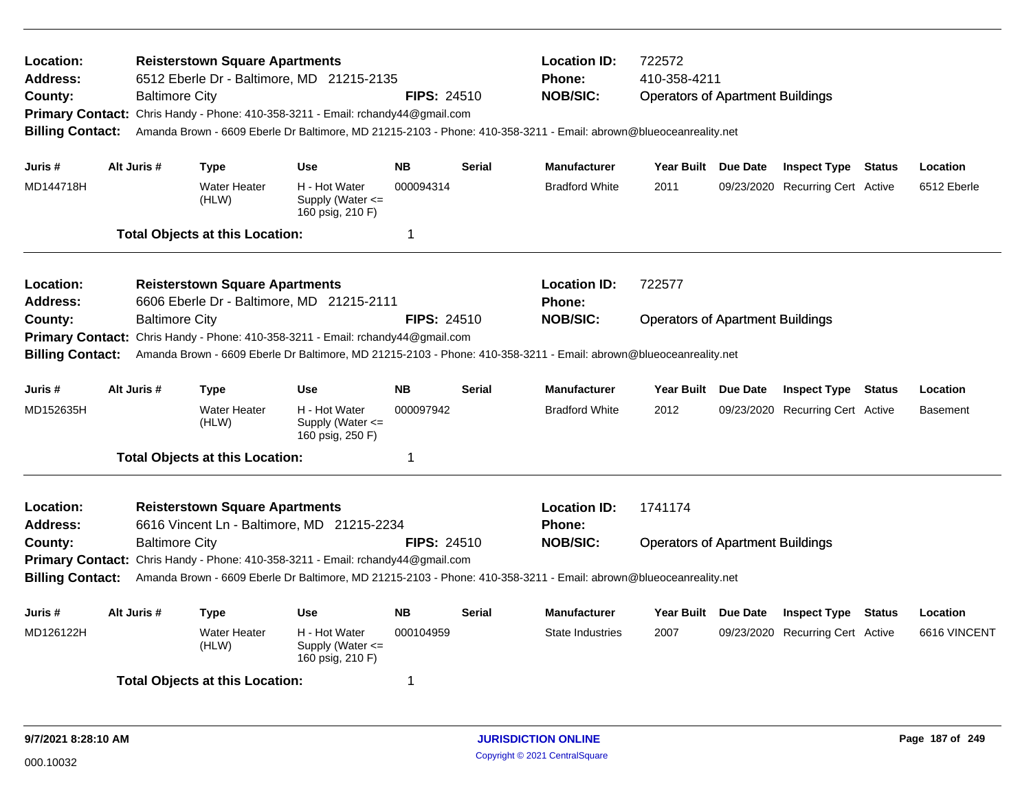| Location:<br><b>Address:</b><br>County:<br><b>Billing Contact:</b> | <b>Baltimore City</b> | <b>Reisterstown Square Apartments</b>  | 6512 Eberle Dr - Baltimore, MD 21215-2135<br>Primary Contact: Chris Handy - Phone: 410-358-3211 - Email: rchandy44@gmail.com | <b>FIPS: 24510</b> |               | <b>Location ID:</b><br>Phone:<br><b>NOB/SIC:</b><br>Amanda Brown - 6609 Eberle Dr Baltimore, MD 21215-2103 - Phone: 410-358-3211 - Email: abrown@blueoceanreality.net | 722572<br>410-358-4211<br><b>Operators of Apartment Buildings</b> |                 |                                  |        |                 |
|--------------------------------------------------------------------|-----------------------|----------------------------------------|------------------------------------------------------------------------------------------------------------------------------|--------------------|---------------|-----------------------------------------------------------------------------------------------------------------------------------------------------------------------|-------------------------------------------------------------------|-----------------|----------------------------------|--------|-----------------|
| Juris #                                                            | Alt Juris #           | <b>Type</b>                            | <b>Use</b>                                                                                                                   | <b>NB</b>          | <b>Serial</b> | Manufacturer                                                                                                                                                          | Year Built Due Date                                               |                 | <b>Inspect Type Status</b>       |        | Location        |
| MD144718H                                                          |                       | <b>Water Heater</b><br>(HLW)           | H - Hot Water<br>Supply (Water $\leq$<br>160 psig, 210 F)                                                                    | 000094314          |               | <b>Bradford White</b>                                                                                                                                                 | 2011                                                              |                 | 09/23/2020 Recurring Cert Active |        | 6512 Eberle     |
|                                                                    |                       | <b>Total Objects at this Location:</b> |                                                                                                                              | $\mathbf 1$        |               |                                                                                                                                                                       |                                                                   |                 |                                  |        |                 |
| Location:<br><b>Address:</b>                                       |                       | <b>Reisterstown Square Apartments</b>  | 6606 Eberle Dr - Baltimore, MD 21215-2111                                                                                    |                    |               | <b>Location ID:</b><br>Phone:                                                                                                                                         | 722577                                                            |                 |                                  |        |                 |
| County:                                                            | <b>Baltimore City</b> |                                        |                                                                                                                              | <b>FIPS: 24510</b> |               | <b>NOB/SIC:</b>                                                                                                                                                       | <b>Operators of Apartment Buildings</b>                           |                 |                                  |        |                 |
| <b>Billing Contact:</b>                                            |                       |                                        | Primary Contact: Chris Handy - Phone: 410-358-3211 - Email: rchandy44@gmail.com                                              |                    |               | Amanda Brown - 6609 Eberle Dr Baltimore, MD 21215-2103 - Phone: 410-358-3211 - Email: abrown@blueoceanreality.net                                                     |                                                                   |                 |                                  |        |                 |
| Juris #                                                            | Alt Juris #           | Type                                   | <b>Use</b>                                                                                                                   | <b>NB</b>          | <b>Serial</b> | <b>Manufacturer</b>                                                                                                                                                   | <b>Year Built</b>                                                 | <b>Due Date</b> | <b>Inspect Type</b>              | Status | Location        |
| MD152635H                                                          |                       | <b>Water Heater</b><br>(HLW)           | H - Hot Water<br>Supply (Water $\leq$<br>160 psig, 250 F)                                                                    | 000097942          |               | <b>Bradford White</b>                                                                                                                                                 | 2012                                                              |                 | 09/23/2020 Recurring Cert Active |        | <b>Basement</b> |
|                                                                    |                       | <b>Total Objects at this Location:</b> |                                                                                                                              | $\mathbf 1$        |               |                                                                                                                                                                       |                                                                   |                 |                                  |        |                 |
| Location:<br><b>Address:</b>                                       |                       | <b>Reisterstown Square Apartments</b>  | 6616 Vincent Ln - Baltimore, MD 21215-2234                                                                                   |                    |               | <b>Location ID:</b><br><b>Phone:</b>                                                                                                                                  | 1741174                                                           |                 |                                  |        |                 |
| County:                                                            | <b>Baltimore City</b> |                                        |                                                                                                                              | <b>FIPS: 24510</b> |               | <b>NOB/SIC:</b>                                                                                                                                                       | <b>Operators of Apartment Buildings</b>                           |                 |                                  |        |                 |
| <b>Billing Contact:</b>                                            |                       |                                        | Primary Contact: Chris Handy - Phone: 410-358-3211 - Email: rchandy44@gmail.com                                              |                    |               | Amanda Brown - 6609 Eberle Dr Baltimore, MD 21215-2103 - Phone: 410-358-3211 - Email: abrown@blueoceanreality.net                                                     |                                                                   |                 |                                  |        |                 |
| Juris #                                                            | Alt Juris #           | Type                                   | <b>Use</b>                                                                                                                   | <b>NB</b>          | <b>Serial</b> | <b>Manufacturer</b>                                                                                                                                                   | <b>Year Built</b>                                                 | Due Date        | <b>Inspect Type</b>              | Status | Location        |
| MD126122H                                                          |                       | <b>Water Heater</b><br>(HLW)           | H - Hot Water<br>Supply (Water $\leq$<br>160 psig, 210 F)                                                                    | 000104959          |               | State Industries                                                                                                                                                      | 2007                                                              |                 | 09/23/2020 Recurring Cert Active |        | 6616 VINCENT    |
|                                                                    |                       | <b>Total Objects at this Location:</b> |                                                                                                                              | 1                  |               |                                                                                                                                                                       |                                                                   |                 |                                  |        |                 |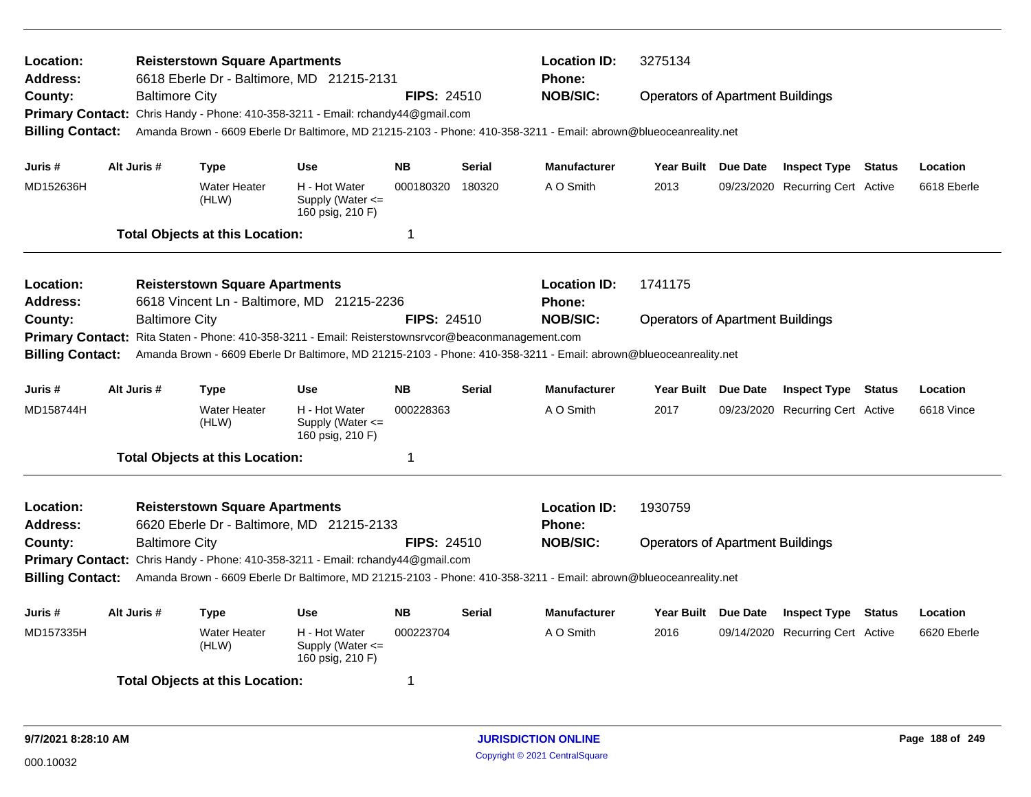| Location:<br>Address:<br>County:<br><b>Billing Contact:</b>                                                                                                                                                                                                                                                                                                                 |  | <b>Baltimore City</b> | <b>Reisterstown Square Apartments</b>  | 6618 Eberle Dr - Baltimore, MD 21215-2131<br>Primary Contact: Chris Handy - Phone: 410-358-3211 - Email: rchandy44@gmail.com | <b>FIPS: 24510</b> |               | <b>Location ID:</b><br><b>Phone:</b><br><b>NOB/SIC:</b><br>Amanda Brown - 6609 Eberle Dr Baltimore, MD 21215-2103 - Phone: 410-358-3211 - Email: abrown@blueoceanreality.net | 3275134<br><b>Operators of Apartment Buildings</b> |  |                                  |        |             |
|-----------------------------------------------------------------------------------------------------------------------------------------------------------------------------------------------------------------------------------------------------------------------------------------------------------------------------------------------------------------------------|--|-----------------------|----------------------------------------|------------------------------------------------------------------------------------------------------------------------------|--------------------|---------------|------------------------------------------------------------------------------------------------------------------------------------------------------------------------------|----------------------------------------------------|--|----------------------------------|--------|-------------|
| Juris #                                                                                                                                                                                                                                                                                                                                                                     |  | Alt Juris #           | Type                                   | <b>Use</b>                                                                                                                   | <b>NB</b>          | <b>Serial</b> | <b>Manufacturer</b>                                                                                                                                                          | Year Built Due Date                                |  | <b>Inspect Type Status</b>       |        | Location    |
| MD152636H                                                                                                                                                                                                                                                                                                                                                                   |  |                       | <b>Water Heater</b><br>(HLW)           | H - Hot Water<br>Supply (Water $\leq$<br>160 psig, 210 F)                                                                    | 000180320          | 180320        | A O Smith                                                                                                                                                                    | 2013                                               |  | 09/23/2020 Recurring Cert Active |        | 6618 Eberle |
|                                                                                                                                                                                                                                                                                                                                                                             |  |                       | <b>Total Objects at this Location:</b> |                                                                                                                              | -1                 |               |                                                                                                                                                                              |                                                    |  |                                  |        |             |
| Location:<br><b>Address:</b>                                                                                                                                                                                                                                                                                                                                                |  |                       | <b>Reisterstown Square Apartments</b>  | 6618 Vincent Ln - Baltimore, MD 21215-2236                                                                                   |                    |               | <b>Location ID:</b><br>Phone:                                                                                                                                                | 1741175                                            |  |                                  |        |             |
| <b>NOB/SIC:</b><br><b>Baltimore City</b><br><b>FIPS: 24510</b><br><b>Operators of Apartment Buildings</b><br>County:<br>Primary Contact: Rita Staten - Phone: 410-358-3211 - Email: Reisterstownsrvcor@beaconmanagement.com<br>Amanda Brown - 6609 Eberle Dr Baltimore, MD 21215-2103 - Phone: 410-358-3211 - Email: abrown@blueoceanreality.net<br><b>Billing Contact:</b> |  |                       |                                        |                                                                                                                              |                    |               |                                                                                                                                                                              |                                                    |  |                                  |        |             |
| Juris #                                                                                                                                                                                                                                                                                                                                                                     |  | Alt Juris #           | <b>Type</b>                            | <b>Use</b>                                                                                                                   | <b>NB</b>          | <b>Serial</b> | <b>Manufacturer</b>                                                                                                                                                          | Year Built Due Date                                |  | <b>Inspect Type</b>              | Status | Location    |
| MD158744H                                                                                                                                                                                                                                                                                                                                                                   |  |                       | Water Heater<br>(HLW)                  | H - Hot Water<br>Supply (Water $\leq$<br>160 psig, 210 F)                                                                    | 000228363          |               | A O Smith                                                                                                                                                                    | 2017                                               |  | 09/23/2020 Recurring Cert Active |        | 6618 Vince  |
|                                                                                                                                                                                                                                                                                                                                                                             |  |                       | <b>Total Objects at this Location:</b> |                                                                                                                              | $\mathbf 1$        |               |                                                                                                                                                                              |                                                    |  |                                  |        |             |
| Location:<br><b>Address:</b>                                                                                                                                                                                                                                                                                                                                                |  |                       | <b>Reisterstown Square Apartments</b>  | 6620 Eberle Dr - Baltimore, MD 21215-2133                                                                                    |                    |               | <b>Location ID:</b><br><b>Phone:</b>                                                                                                                                         | 1930759                                            |  |                                  |        |             |
| County:<br><b>Billing Contact:</b>                                                                                                                                                                                                                                                                                                                                          |  | <b>Baltimore City</b> |                                        | Primary Contact: Chris Handy - Phone: 410-358-3211 - Email: rchandy44@gmail.com                                              | <b>FIPS: 24510</b> |               | <b>NOB/SIC:</b><br>Amanda Brown - 6609 Eberle Dr Baltimore, MD 21215-2103 - Phone: 410-358-3211 - Email: abrown@blueoceanreality.net                                         | <b>Operators of Apartment Buildings</b>            |  |                                  |        |             |
| Juris #                                                                                                                                                                                                                                                                                                                                                                     |  | Alt Juris #           | <b>Type</b>                            | <b>Use</b>                                                                                                                   | <b>NB</b>          | <b>Serial</b> | <b>Manufacturer</b>                                                                                                                                                          | Year Built Due Date                                |  | <b>Inspect Type Status</b>       |        | Location    |
| MD157335H                                                                                                                                                                                                                                                                                                                                                                   |  |                       | <b>Water Heater</b><br>(HLW)           | H - Hot Water<br>Supply (Water <=<br>160 psig, 210 F)                                                                        | 000223704          |               | A O Smith                                                                                                                                                                    | 2016                                               |  | 09/14/2020 Recurring Cert Active |        | 6620 Eberle |
|                                                                                                                                                                                                                                                                                                                                                                             |  |                       | <b>Total Objects at this Location:</b> |                                                                                                                              | 1                  |               |                                                                                                                                                                              |                                                    |  |                                  |        |             |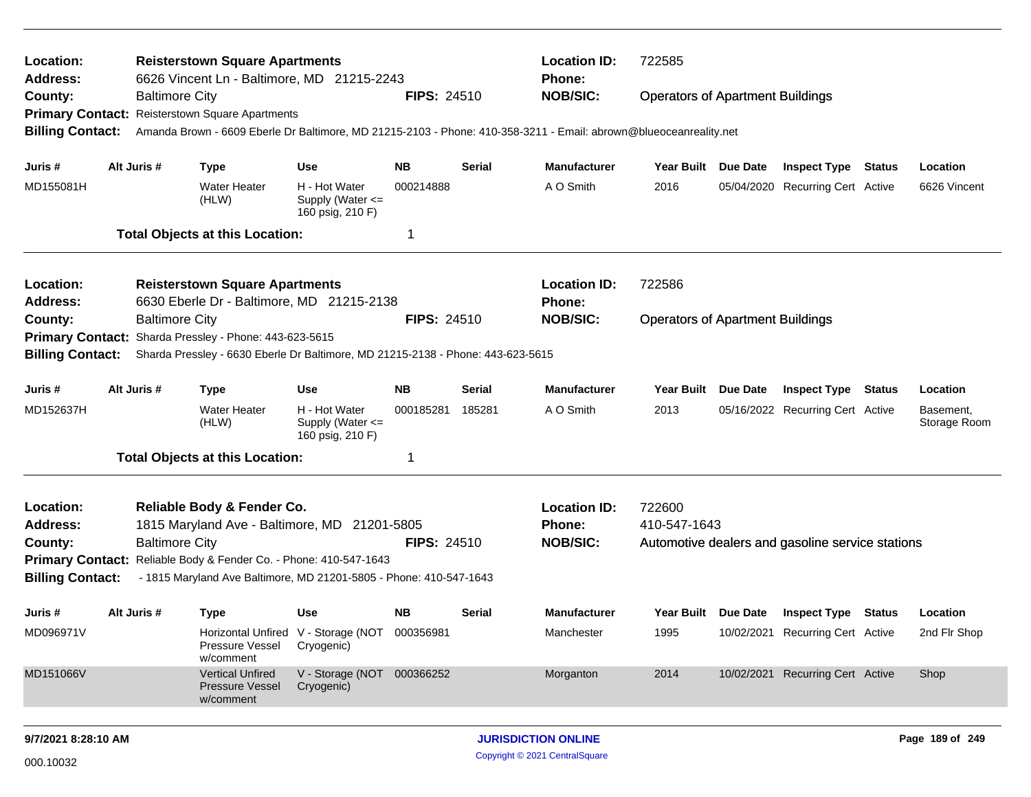| Location:<br>Address:<br>County: | <b>Baltimore City</b> | <b>Reisterstown Square Apartments</b><br>6626 Vincent Ln - Baltimore, MD 21215-2243                                                     |                                                       | <b>FIPS: 24510</b> |               | <b>Location ID:</b><br>Phone:<br><b>NOB/SIC:</b>                                                                  | 722585<br><b>Operators of Apartment Buildings</b>           |                 |                                                  |        |                           |
|----------------------------------|-----------------------|-----------------------------------------------------------------------------------------------------------------------------------------|-------------------------------------------------------|--------------------|---------------|-------------------------------------------------------------------------------------------------------------------|-------------------------------------------------------------|-----------------|--------------------------------------------------|--------|---------------------------|
| <b>Primary Contact:</b>          |                       | Reisterstown Square Apartments                                                                                                          |                                                       |                    |               |                                                                                                                   |                                                             |                 |                                                  |        |                           |
| <b>Billing Contact:</b>          |                       |                                                                                                                                         |                                                       |                    |               | Amanda Brown - 6609 Eberle Dr Baltimore, MD 21215-2103 - Phone: 410-358-3211 - Email: abrown@blueoceanreality.net |                                                             |                 |                                                  |        |                           |
| Juris #                          | Alt Juris #           | <b>Type</b>                                                                                                                             | <b>Use</b>                                            | <b>NB</b>          | <b>Serial</b> | <b>Manufacturer</b>                                                                                               | Year Built Due Date                                         |                 | <b>Inspect Type</b>                              | Status | Location                  |
| MD155081H                        |                       | <b>Water Heater</b><br>(HLW)                                                                                                            | H - Hot Water<br>Supply (Water <=<br>160 psig, 210 F) | 000214888          |               | A O Smith                                                                                                         | 2016                                                        |                 | 05/04/2020 Recurring Cert Active                 |        | 6626 Vincent              |
|                                  |                       | <b>Total Objects at this Location:</b>                                                                                                  |                                                       | $\mathbf 1$        |               |                                                                                                                   |                                                             |                 |                                                  |        |                           |
| Location:<br>Address:            |                       | <b>Reisterstown Square Apartments</b><br>6630 Eberle Dr - Baltimore, MD 21215-2138                                                      |                                                       |                    |               | <b>Location ID:</b><br>Phone:                                                                                     | 722586                                                      |                 |                                                  |        |                           |
| County:                          | <b>Baltimore City</b> |                                                                                                                                         |                                                       | <b>FIPS: 24510</b> |               | <b>NOB/SIC:</b>                                                                                                   | <b>Operators of Apartment Buildings</b>                     |                 |                                                  |        |                           |
| <b>Primary Contact:</b>          |                       | Sharda Pressley - Phone: 443-623-5615                                                                                                   |                                                       |                    |               |                                                                                                                   |                                                             |                 |                                                  |        |                           |
| <b>Billing Contact:</b>          |                       | Sharda Pressley - 6630 Eberle Dr Baltimore, MD 21215-2138 - Phone: 443-623-5615                                                         |                                                       |                    |               |                                                                                                                   |                                                             |                 |                                                  |        |                           |
| Juris #                          | Alt Juris #           | <b>Type</b>                                                                                                                             | <b>Use</b>                                            | <b>NB</b>          | <b>Serial</b> | Manufacturer                                                                                                      | <b>Year Built</b><br>Due Date<br><b>Inspect Type Status</b> |                 |                                                  |        | Location                  |
| MD152637H                        |                       | <b>Water Heater</b><br>(HLW)                                                                                                            | H - Hot Water<br>Supply (Water <=<br>160 psig, 210 F) | 000185281          | 185281        | A O Smith                                                                                                         | 2013                                                        |                 | 05/16/2022 Recurring Cert Active                 |        | Basement,<br>Storage Room |
|                                  |                       | <b>Total Objects at this Location:</b>                                                                                                  |                                                       | $\mathbf 1$        |               |                                                                                                                   |                                                             |                 |                                                  |        |                           |
| Location:                        |                       | Reliable Body & Fender Co.                                                                                                              |                                                       |                    |               | <b>Location ID:</b>                                                                                               | 722600                                                      |                 |                                                  |        |                           |
| Address:                         |                       | 1815 Maryland Ave - Baltimore, MD 21201-5805                                                                                            |                                                       |                    |               | <b>Phone:</b>                                                                                                     | 410-547-1643                                                |                 |                                                  |        |                           |
| County:                          | <b>Baltimore City</b> |                                                                                                                                         |                                                       | <b>FIPS: 24510</b> |               | <b>NOB/SIC:</b>                                                                                                   |                                                             |                 | Automotive dealers and gasoline service stations |        |                           |
| <b>Billing Contact:</b>          |                       | Primary Contact: Reliable Body & Fender Co. - Phone: 410-547-1643<br>- 1815 Maryland Ave Baltimore, MD 21201-5805 - Phone: 410-547-1643 |                                                       |                    |               |                                                                                                                   |                                                             |                 |                                                  |        |                           |
| Juris #                          | Alt Juris #           | <b>Type</b>                                                                                                                             | Use                                                   | <b>NB</b>          | <b>Serial</b> | <b>Manufacturer</b>                                                                                               | Year Built                                                  | <b>Due Date</b> | <b>Inspect Type</b>                              | Status | Location                  |
| MD096971V                        |                       | Pressure Vessel<br>w/comment                                                                                                            | Horizontal Unfired V - Storage (NOT<br>Cryogenic)     | 000356981          |               | Manchester                                                                                                        | 1995                                                        |                 | 10/02/2021 Recurring Cert Active                 |        | 2nd Fir Shop              |
| MD151066V                        |                       | <b>Vertical Unfired</b><br><b>Pressure Vessel</b><br>w/comment                                                                          | V - Storage (NOT 000366252<br>Cryogenic)              |                    |               | Morganton                                                                                                         | 2014                                                        |                 | 10/02/2021 Recurring Cert Active                 |        | Shop                      |
|                                  |                       |                                                                                                                                         |                                                       |                    |               |                                                                                                                   |                                                             |                 |                                                  |        |                           |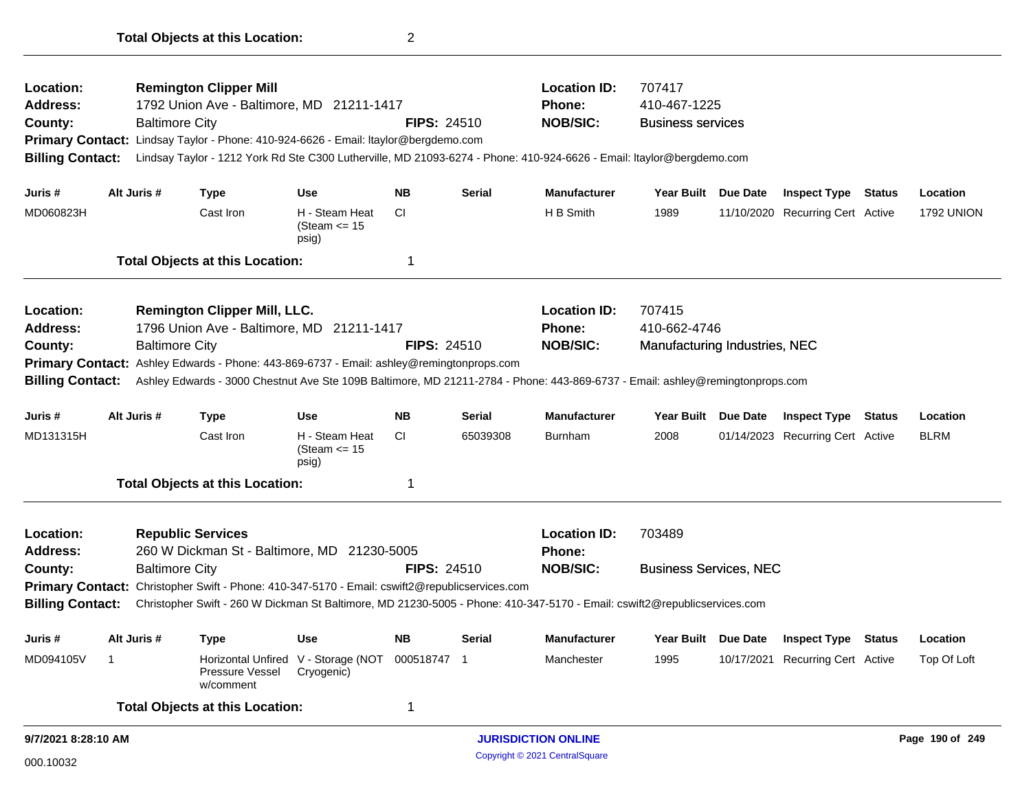| <b>Location:</b><br><b>Address:</b><br>County:<br><b>Billing Contact:</b> |    | <b>Baltimore City</b> | <b>Remington Clipper Mill</b><br>1792 Union Ave - Baltimore, MD 21211-1417<br>Primary Contact: Lindsay Taylor - Phone: 410-924-6626 - Email: Itaylor@bergdemo.com<br>Lindsay Taylor - 1212 York Rd Ste C300 Lutherville, MD 21093-6274 - Phone: 410-924-6626 - Email: Itaylor@bergdemo.com |                                                   | <b>FIPS: 24510</b> |               | <b>Location ID:</b><br><b>Phone:</b><br><b>NOB/SIC:</b> | 707417<br>410-467-1225<br><b>Business services</b>      |          |                                  |                   |
|---------------------------------------------------------------------------|----|-----------------------|--------------------------------------------------------------------------------------------------------------------------------------------------------------------------------------------------------------------------------------------------------------------------------------------|---------------------------------------------------|--------------------|---------------|---------------------------------------------------------|---------------------------------------------------------|----------|----------------------------------|-------------------|
| Juris #                                                                   |    | Alt Juris #           | <b>Type</b>                                                                                                                                                                                                                                                                                | <b>Use</b>                                        | <b>NB</b>          | <b>Serial</b> | <b>Manufacturer</b>                                     | Year Built Due Date                                     |          | <b>Inspect Type Status</b>       | Location          |
| MD060823H                                                                 |    |                       | Cast Iron                                                                                                                                                                                                                                                                                  | H - Steam Heat<br>(Steam $\le$ 15<br>psig)        | CI                 |               | H B Smith                                               | 1989                                                    |          | 11/10/2020 Recurring Cert Active | <b>1792 UNION</b> |
|                                                                           |    |                       | <b>Total Objects at this Location:</b>                                                                                                                                                                                                                                                     |                                                   | 1                  |               |                                                         |                                                         |          |                                  |                   |
| Location:<br><b>Address:</b><br>County:                                   |    | <b>Baltimore City</b> | <b>Remington Clipper Mill, LLC.</b><br>1796 Union Ave - Baltimore, MD 21211-1417                                                                                                                                                                                                           |                                                   | <b>FIPS: 24510</b> |               | <b>Location ID:</b><br><b>Phone:</b><br><b>NOB/SIC:</b> | 707415<br>410-662-4746<br>Manufacturing Industries, NEC |          |                                  |                   |
| <b>Billing Contact:</b>                                                   |    |                       | Primary Contact: Ashley Edwards - Phone: 443-869-6737 - Email: ashley@remingtonprops.com<br>Ashley Edwards - 3000 Chestnut Ave Ste 109B Baltimore, MD 21211-2784 - Phone: 443-869-6737 - Email: ashley@remingtonprops.com                                                                  |                                                   |                    |               |                                                         |                                                         |          |                                  |                   |
| Juris #                                                                   |    | Alt Juris #           | <b>Type</b>                                                                                                                                                                                                                                                                                | <b>Use</b>                                        | <b>NB</b>          | <b>Serial</b> | Manufacturer                                            | Year Built Due Date                                     |          | <b>Inspect Type Status</b>       | Location          |
| MD131315H                                                                 |    |                       | Cast Iron                                                                                                                                                                                                                                                                                  | H - Steam Heat<br>(Steam $\le$ 15<br>psig)        | CI                 | 65039308      | <b>Burnham</b>                                          | 2008                                                    |          | 01/14/2023 Recurring Cert Active | <b>BLRM</b>       |
|                                                                           |    |                       | <b>Total Objects at this Location:</b>                                                                                                                                                                                                                                                     |                                                   | 1                  |               |                                                         |                                                         |          |                                  |                   |
| Location:<br><b>Address:</b>                                              |    |                       | <b>Republic Services</b><br>260 W Dickman St - Baltimore, MD 21230-5005                                                                                                                                                                                                                    |                                                   |                    |               | <b>Location ID:</b><br><b>Phone:</b>                    | 703489                                                  |          |                                  |                   |
| County:<br><b>Billing Contact:</b>                                        |    | <b>Baltimore City</b> | Primary Contact: Christopher Swift - Phone: 410-347-5170 - Email: cswift2@republicservices.com<br>Christopher Swift - 260 W Dickman St Baltimore, MD 21230-5005 - Phone: 410-347-5170 - Email: cswift2@republicservices.com                                                                |                                                   | <b>FIPS: 24510</b> |               | <b>NOB/SIC:</b>                                         | <b>Business Services, NEC</b>                           |          |                                  |                   |
| Juris #                                                                   |    | Alt Juris #           | <b>Type</b>                                                                                                                                                                                                                                                                                | <b>Use</b>                                        | <b>NB</b>          | <b>Serial</b> | Manufacturer                                            | Year Built                                              | Due Date | <b>Inspect Type Status</b>       | Location          |
| MD094105V                                                                 | -1 |                       | Pressure Vessel<br>w/comment                                                                                                                                                                                                                                                               | Horizontal Unfired V - Storage (NOT<br>Cryogenic) | 000518747 1        |               | Manchester                                              | 1995                                                    |          | 10/17/2021 Recurring Cert Active | Top Of Loft       |
|                                                                           |    |                       | <b>Total Objects at this Location:</b>                                                                                                                                                                                                                                                     |                                                   | 1                  |               |                                                         |                                                         |          |                                  |                   |
| 9/7/2021 8:28:10 AM                                                       |    |                       |                                                                                                                                                                                                                                                                                            |                                                   |                    |               | <b>JURISDICTION ONLINE</b>                              |                                                         |          |                                  | Page 190 of 249   |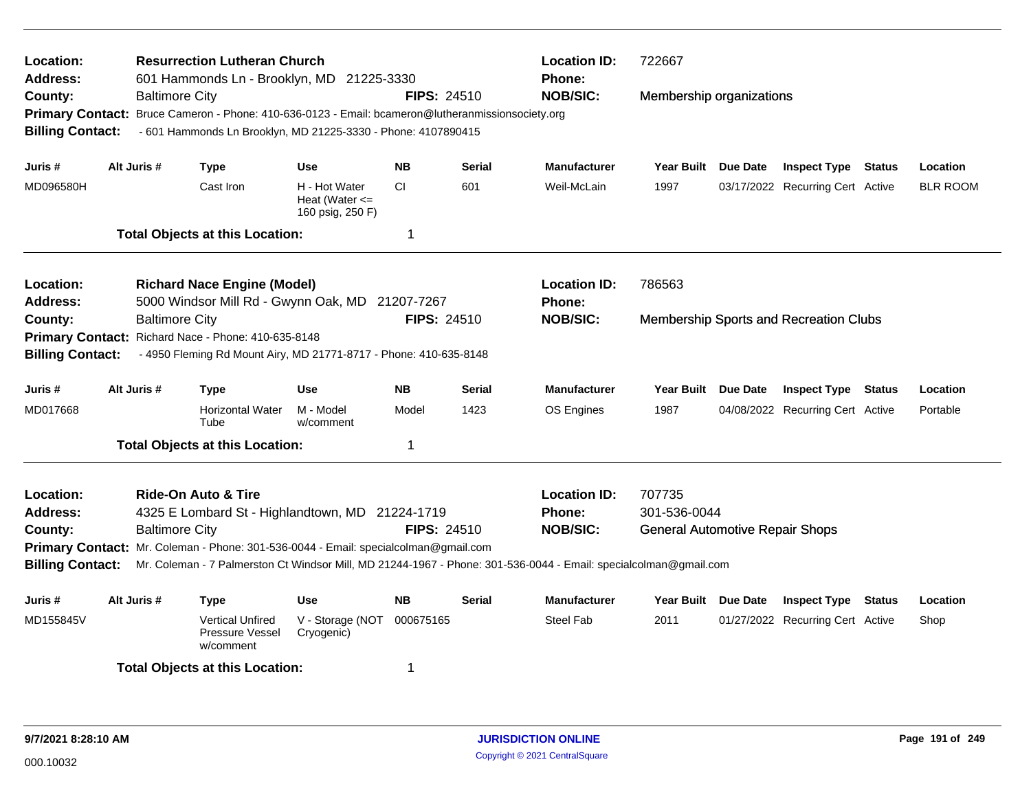| Location:<br><b>Address:</b> |                       | <b>Resurrection Lutheran Church</b><br>601 Hammonds Ln - Brooklyn, MD 21225-3330                                 |                                                         |                    |               | <b>Location ID:</b><br>Phone: | 722667                                 |          |                                        |        |                 |
|------------------------------|-----------------------|------------------------------------------------------------------------------------------------------------------|---------------------------------------------------------|--------------------|---------------|-------------------------------|----------------------------------------|----------|----------------------------------------|--------|-----------------|
| County:                      | <b>Baltimore City</b> |                                                                                                                  |                                                         | <b>FIPS: 24510</b> |               | <b>NOB/SIC:</b>               | Membership organizations               |          |                                        |        |                 |
|                              |                       | Primary Contact: Bruce Cameron - Phone: 410-636-0123 - Email: bcameron@lutheranmissionsociety.org                |                                                         |                    |               |                               |                                        |          |                                        |        |                 |
| <b>Billing Contact:</b>      |                       | - 601 Hammonds Ln Brooklyn, MD 21225-3330 - Phone: 4107890415                                                    |                                                         |                    |               |                               |                                        |          |                                        |        |                 |
|                              |                       |                                                                                                                  |                                                         |                    |               |                               |                                        |          |                                        |        |                 |
| Juris #                      | Alt Juris #           | <b>Type</b>                                                                                                      | <b>Use</b>                                              | <b>NB</b>          | <b>Serial</b> | <b>Manufacturer</b>           | Year Built Due Date                    |          | <b>Inspect Type Status</b>             |        | Location        |
| MD096580H                    |                       | Cast Iron                                                                                                        | H - Hot Water<br>Heat (Water $\leq$<br>160 psig, 250 F) | CI.                | 601           | Weil-McLain                   | 1997                                   |          | 03/17/2022 Recurring Cert Active       |        | <b>BLR ROOM</b> |
|                              |                       | <b>Total Objects at this Location:</b>                                                                           |                                                         | 1                  |               |                               |                                        |          |                                        |        |                 |
| Location:                    |                       | <b>Richard Nace Engine (Model)</b>                                                                               |                                                         |                    |               | <b>Location ID:</b>           | 786563                                 |          |                                        |        |                 |
| Address:                     |                       | 5000 Windsor Mill Rd - Gwynn Oak, MD 21207-7267                                                                  |                                                         |                    |               | <b>Phone:</b>                 |                                        |          |                                        |        |                 |
| County:                      | <b>Baltimore City</b> |                                                                                                                  |                                                         | <b>FIPS: 24510</b> |               | <b>NOB/SIC:</b>               |                                        |          | Membership Sports and Recreation Clubs |        |                 |
| <b>Primary Contact:</b>      |                       | Richard Nace - Phone: 410-635-8148                                                                               |                                                         |                    |               |                               |                                        |          |                                        |        |                 |
| <b>Billing Contact:</b>      |                       | - 4950 Fleming Rd Mount Airy, MD 21771-8717 - Phone: 410-635-8148                                                |                                                         |                    |               |                               |                                        |          |                                        |        |                 |
| Juris #                      | Alt Juris #           | <b>Type</b>                                                                                                      | <b>Use</b>                                              | <b>NB</b>          | Serial        | <b>Manufacturer</b>           | <b>Year Built</b>                      | Due Date | <b>Inspect Type</b>                    | Status | Location        |
| MD017668                     |                       | <b>Horizontal Water</b><br>Tube                                                                                  | M - Model<br>w/comment                                  | Model              | 1423          | <b>OS Engines</b>             | 1987                                   |          | 04/08/2022 Recurring Cert Active       |        | Portable        |
|                              |                       | <b>Total Objects at this Location:</b>                                                                           |                                                         | 1                  |               |                               |                                        |          |                                        |        |                 |
| Location:                    |                       | <b>Ride-On Auto &amp; Tire</b>                                                                                   |                                                         |                    |               | <b>Location ID:</b>           | 707735                                 |          |                                        |        |                 |
| <b>Address:</b>              |                       | 4325 E Lombard St - Highlandtown, MD 21224-1719                                                                  |                                                         |                    |               | <b>Phone:</b>                 | 301-536-0044                           |          |                                        |        |                 |
| County:                      | <b>Baltimore City</b> |                                                                                                                  |                                                         | <b>FIPS: 24510</b> |               | <b>NOB/SIC:</b>               | <b>General Automotive Repair Shops</b> |          |                                        |        |                 |
|                              |                       | Primary Contact: Mr. Coleman - Phone: 301-536-0044 - Email: specialcolman@gmail.com                              |                                                         |                    |               |                               |                                        |          |                                        |        |                 |
| <b>Billing Contact:</b>      |                       | Mr. Coleman - 7 Palmerston Ct Windsor Mill, MD 21244-1967 - Phone: 301-536-0044 - Email: specialcolman@gmail.com |                                                         |                    |               |                               |                                        |          |                                        |        |                 |
| Juris #                      | Alt Juris #           | Type                                                                                                             | <b>Use</b>                                              | <b>NB</b>          | <b>Serial</b> | <b>Manufacturer</b>           | Year Built Due Date                    |          | <b>Inspect Type</b>                    | Status | Location        |
| MD155845V                    |                       | <b>Vertical Unfired</b><br>Pressure Vessel<br>w/comment                                                          | V - Storage (NOT<br>Cryogenic)                          | 000675165          |               | <b>Steel Fab</b>              | 2011                                   |          | 01/27/2022 Recurring Cert Active       |        | Shop            |
|                              |                       | <b>Total Objects at this Location:</b>                                                                           |                                                         | 1                  |               |                               |                                        |          |                                        |        |                 |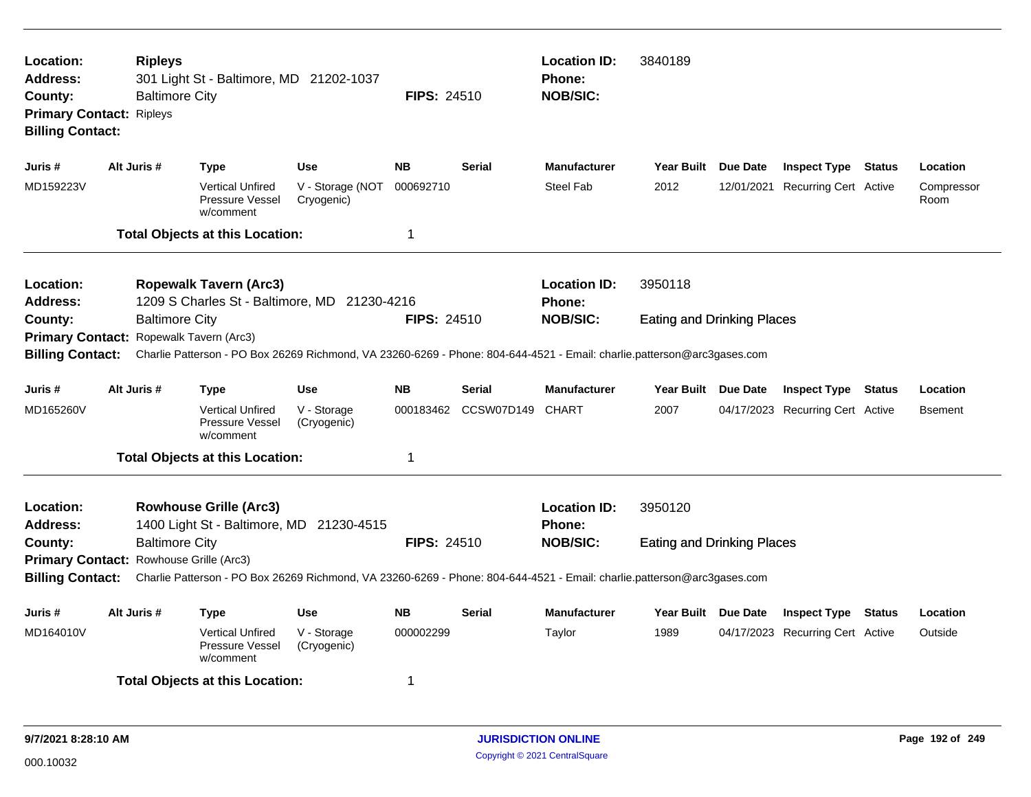| Location:<br>Address:<br>County:<br><b>Primary Contact: Ripleys</b><br><b>Billing Contact:</b>                                                                                                                                                                                    |             | <b>Ripleys</b><br><b>Baltimore City</b> | 301 Light St - Baltimore, MD 21202-1037                                                                                 |                                | <b>FIPS: 24510</b> |                    | <b>Location ID:</b><br>Phone:<br><b>NOB/SIC:</b> | 3840189                           |                                  |        |                    |
|-----------------------------------------------------------------------------------------------------------------------------------------------------------------------------------------------------------------------------------------------------------------------------------|-------------|-----------------------------------------|-------------------------------------------------------------------------------------------------------------------------|--------------------------------|--------------------|--------------------|--------------------------------------------------|-----------------------------------|----------------------------------|--------|--------------------|
| Juris #                                                                                                                                                                                                                                                                           | Alt Juris # |                                         | <b>Type</b>                                                                                                             | <b>Use</b>                     | <b>NB</b>          | <b>Serial</b>      | <b>Manufacturer</b>                              | Year Built Due Date               | <b>Inspect Type Status</b>       |        | Location           |
| MD159223V                                                                                                                                                                                                                                                                         |             |                                         | <b>Vertical Unfired</b><br><b>Pressure Vessel</b><br>w/comment                                                          | V - Storage (NOT<br>Cryogenic) | 000692710          |                    | <b>Steel Fab</b>                                 | 2012                              | 12/01/2021 Recurring Cert Active |        | Compressor<br>Room |
|                                                                                                                                                                                                                                                                                   |             |                                         | <b>Total Objects at this Location:</b>                                                                                  |                                | $\mathbf{1}$       |                    |                                                  |                                   |                                  |        |                    |
| Location:<br><b>Address:</b>                                                                                                                                                                                                                                                      |             |                                         | <b>Ropewalk Tavern (Arc3)</b>                                                                                           |                                |                    |                    | <b>Location ID:</b><br><b>Phone:</b>             | 3950118                           |                                  |        |                    |
| 1209 S Charles St - Baltimore, MD 21230-4216<br><b>Baltimore City</b><br>County:<br>Primary Contact: Ropewalk Tavern (Arc3)<br>Charlie Patterson - PO Box 26269 Richmond, VA 23260-6269 - Phone: 804-644-4521 - Email: charlie.patterson@arc3gases.com<br><b>Billing Contact:</b> |             |                                         |                                                                                                                         |                                |                    | <b>FIPS: 24510</b> | <b>NOB/SIC:</b>                                  | <b>Eating and Drinking Places</b> |                                  |        |                    |
| Juris #                                                                                                                                                                                                                                                                           | Alt Juris # |                                         | <b>Type</b>                                                                                                             | <b>Use</b>                     | <b>NB</b>          | <b>Serial</b>      | <b>Manufacturer</b>                              | Year Built Due Date               | <b>Inspect Type Status</b>       |        | Location           |
| MD165260V                                                                                                                                                                                                                                                                         |             |                                         | <b>Vertical Unfired</b><br>Pressure Vessel<br>w/comment                                                                 | V - Storage<br>(Cryogenic)     | 000183462          | CCSW07D149         | <b>CHART</b>                                     | 2007                              | 04/17/2023 Recurring Cert Active |        | <b>Bsement</b>     |
|                                                                                                                                                                                                                                                                                   |             |                                         | <b>Total Objects at this Location:</b>                                                                                  |                                | 1                  |                    |                                                  |                                   |                                  |        |                    |
| Location:<br><b>Address:</b>                                                                                                                                                                                                                                                      |             |                                         | <b>Rowhouse Grille (Arc3)</b><br>1400 Light St - Baltimore, MD 21230-4515                                               |                                |                    |                    | <b>Location ID:</b><br>Phone:                    | 3950120                           |                                  |        |                    |
| County:                                                                                                                                                                                                                                                                           |             | <b>Baltimore City</b>                   |                                                                                                                         |                                | <b>FIPS: 24510</b> |                    | <b>NOB/SIC:</b>                                  | <b>Eating and Drinking Places</b> |                                  |        |                    |
| Primary Contact: Rowhouse Grille (Arc3)<br><b>Billing Contact:</b>                                                                                                                                                                                                                |             |                                         | Charlie Patterson - PO Box 26269 Richmond, VA 23260-6269 - Phone: 804-644-4521 - Email: charlie.patterson@arc3gases.com |                                |                    |                    |                                                  |                                   |                                  |        |                    |
| Juris #                                                                                                                                                                                                                                                                           | Alt Juris # |                                         | Type                                                                                                                    | <b>Use</b>                     | <b>NB</b>          | Serial             | <b>Manufacturer</b>                              | Year Built Due Date               | <b>Inspect Type</b>              | Status | Location           |
| MD164010V                                                                                                                                                                                                                                                                         |             |                                         | Vertical Unfired<br>Pressure Vessel<br>w/comment                                                                        | V - Storage<br>(Cryogenic)     | 000002299          |                    | Taylor                                           | 1989                              | 04/17/2023 Recurring Cert Active |        | Outside            |
|                                                                                                                                                                                                                                                                                   |             |                                         | <b>Total Objects at this Location:</b>                                                                                  |                                | 1                  |                    |                                                  |                                   |                                  |        |                    |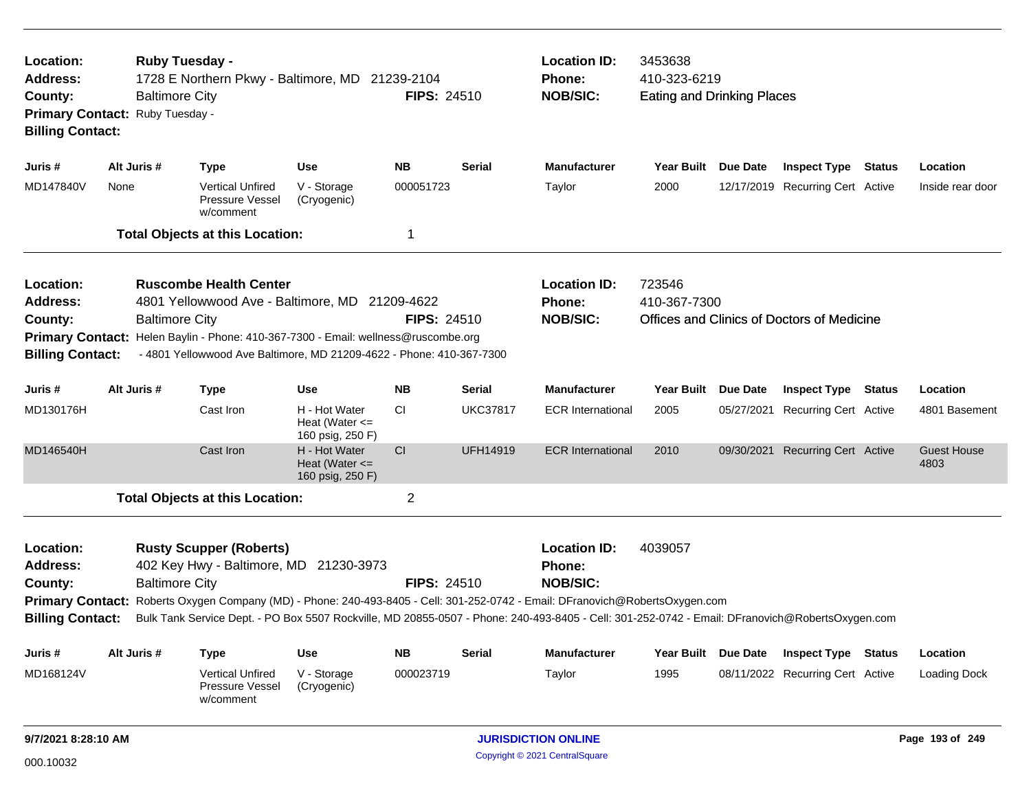| Location:<br><b>Address:</b><br>County:<br><b>Billing Contact:</b> | <b>Location ID:</b><br>3453638<br><b>Ruby Tuesday -</b><br>1728 E Northern Pkwy - Baltimore, MD 21239-2104<br>Phone:<br>410-323-6219<br><b>NOB/SIC:</b><br><b>Baltimore City</b><br><b>FIPS: 24510</b><br><b>Eating and Drinking Places</b><br>Ruby Tuesday -<br><b>Primary Contact:</b> |                                                                                                                                                                                                                                                                                                                                                                                       |                                                         |                    |                 |                                                         |                        |                     |                                            |                            |
|--------------------------------------------------------------------|------------------------------------------------------------------------------------------------------------------------------------------------------------------------------------------------------------------------------------------------------------------------------------------|---------------------------------------------------------------------------------------------------------------------------------------------------------------------------------------------------------------------------------------------------------------------------------------------------------------------------------------------------------------------------------------|---------------------------------------------------------|--------------------|-----------------|---------------------------------------------------------|------------------------|---------------------|--------------------------------------------|----------------------------|
| Juris #                                                            | Alt Juris #                                                                                                                                                                                                                                                                              | <b>Type</b>                                                                                                                                                                                                                                                                                                                                                                           | <b>Use</b>                                              | <b>NB</b>          | <b>Serial</b>   | <b>Manufacturer</b>                                     | Year Built Due Date    |                     | <b>Inspect Type Status</b>                 | Location                   |
| MD147840V                                                          | None                                                                                                                                                                                                                                                                                     | <b>Vertical Unfired</b><br>Pressure Vessel<br>w/comment                                                                                                                                                                                                                                                                                                                               | V - Storage<br>(Cryogenic)                              | 000051723          |                 | Taylor                                                  | 2000                   |                     | 12/17/2019 Recurring Cert Active           | Inside rear door           |
|                                                                    |                                                                                                                                                                                                                                                                                          | <b>Total Objects at this Location:</b>                                                                                                                                                                                                                                                                                                                                                |                                                         | 1                  |                 |                                                         |                        |                     |                                            |                            |
| Location:<br><b>Address:</b><br>County:<br><b>Billing Contact:</b> |                                                                                                                                                                                                                                                                                          | <b>Ruscombe Health Center</b><br>4801 Yellowwood Ave - Baltimore, MD 21209-4622<br><b>Baltimore City</b><br>Primary Contact: Helen Baylin - Phone: 410-367-7300 - Email: wellness@ruscombe.org<br>- 4801 Yellowwood Ave Baltimore, MD 21209-4622 - Phone: 410-367-7300                                                                                                                |                                                         | <b>FIPS: 24510</b> |                 | <b>Location ID:</b><br>Phone:<br><b>NOB/SIC:</b>        | 723546<br>410-367-7300 |                     | Offices and Clinics of Doctors of Medicine |                            |
| Juris #                                                            | Alt Juris #                                                                                                                                                                                                                                                                              | <b>Type</b>                                                                                                                                                                                                                                                                                                                                                                           | <b>Use</b>                                              | <b>NB</b>          | <b>Serial</b>   | <b>Manufacturer</b>                                     | Year Built Due Date    |                     | <b>Inspect Type Status</b>                 | Location                   |
| MD130176H                                                          |                                                                                                                                                                                                                                                                                          | Cast Iron                                                                                                                                                                                                                                                                                                                                                                             | H - Hot Water<br>Heat (Water $\leq$<br>160 psig, 250 F) | CI.                | <b>UKC37817</b> | <b>ECR</b> International                                | 2005                   |                     | 05/27/2021 Recurring Cert Active           | 4801 Basement              |
| MD146540H                                                          |                                                                                                                                                                                                                                                                                          | Cast Iron                                                                                                                                                                                                                                                                                                                                                                             | H - Hot Water<br>Heat (Water $\leq$<br>160 psig, 250 F) | CI                 | <b>UFH14919</b> | <b>ECR International</b>                                | 2010                   |                     | 09/30/2021 Recurring Cert Active           | <b>Guest House</b><br>4803 |
|                                                                    |                                                                                                                                                                                                                                                                                          | <b>Total Objects at this Location:</b>                                                                                                                                                                                                                                                                                                                                                |                                                         | $\overline{2}$     |                 |                                                         |                        |                     |                                            |                            |
| Location:<br><b>Address:</b><br>County:<br><b>Billing Contact:</b> |                                                                                                                                                                                                                                                                                          | <b>Rusty Scupper (Roberts)</b><br>402 Key Hwy - Baltimore, MD 21230-3973<br><b>Baltimore City</b><br>Primary Contact: Roberts Oxygen Company (MD) - Phone: 240-493-8405 - Cell: 301-252-0742 - Email: DFranovich@RobertsOxygen.com<br>Bulk Tank Service Dept. - PO Box 5507 Rockville, MD 20855-0507 - Phone: 240-493-8405 - Cell: 301-252-0742 - Email: DFranovich@RobertsOxygen.com |                                                         | <b>FIPS: 24510</b> |                 | <b>Location ID:</b><br><b>Phone:</b><br><b>NOB/SIC:</b> | 4039057                |                     |                                            |                            |
| Juris #                                                            | Alt Juris #                                                                                                                                                                                                                                                                              | <b>Type</b>                                                                                                                                                                                                                                                                                                                                                                           | Use                                                     | <b>NB</b>          | <b>Serial</b>   | <b>Manufacturer</b>                                     |                        | Year Built Due Date | <b>Inspect Type Status</b>                 | Location                   |
| MD168124V                                                          |                                                                                                                                                                                                                                                                                          | Vertical Unfired<br>Pressure Vessel<br>w/comment                                                                                                                                                                                                                                                                                                                                      | V - Storage<br>(Cryogenic)                              | 000023719          |                 | Taylor                                                  | 1995                   |                     | 08/11/2022 Recurring Cert Active           | Loading Dock               |
| 9/7/2021 8:28:10 AM                                                |                                                                                                                                                                                                                                                                                          |                                                                                                                                                                                                                                                                                                                                                                                       |                                                         |                    |                 | <b>JURISDICTION ONLINE</b>                              |                        |                     |                                            | Page 193 of 249            |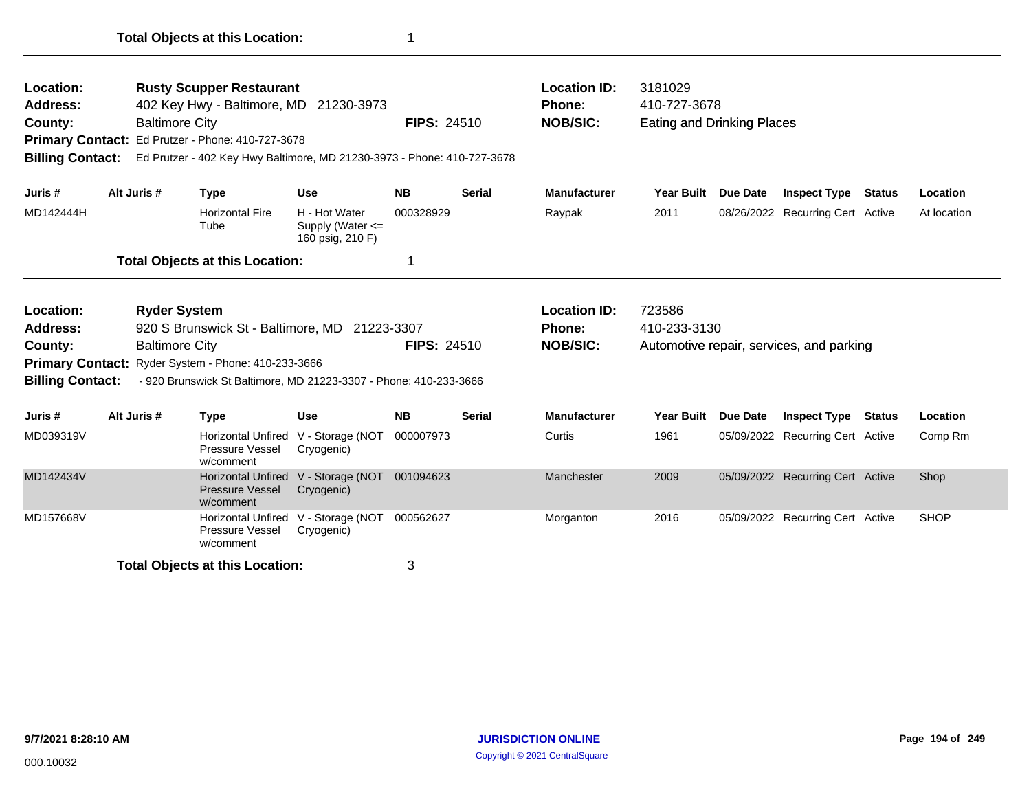| <b>FIPS: 24510</b><br>Billing Contact: Ed Prutzer - 402 Key Hwy Baltimore, MD 21230-3973 - Phone: 410-727-3678<br><b>Serial</b> | <b>Location ID:</b><br>Phone:<br><b>NOB/SIC:</b><br><b>Manufacturer</b><br>Raypak | 3181029<br>410-727-3678<br><b>Eating and Drinking Places</b><br><b>Year Built</b><br>2011 | Due Date | <b>Inspect Type</b><br>08/26/2022 Recurring Cert Active | Status | Location                                                                                                 |
|---------------------------------------------------------------------------------------------------------------------------------|-----------------------------------------------------------------------------------|-------------------------------------------------------------------------------------------|----------|---------------------------------------------------------|--------|----------------------------------------------------------------------------------------------------------|
|                                                                                                                                 |                                                                                   |                                                                                           |          |                                                         |        |                                                                                                          |
|                                                                                                                                 |                                                                                   |                                                                                           |          |                                                         |        |                                                                                                          |
|                                                                                                                                 |                                                                                   |                                                                                           |          |                                                         |        |                                                                                                          |
|                                                                                                                                 |                                                                                   |                                                                                           |          |                                                         |        |                                                                                                          |
|                                                                                                                                 |                                                                                   |                                                                                           |          |                                                         |        |                                                                                                          |
|                                                                                                                                 |                                                                                   |                                                                                           |          |                                                         |        | At location                                                                                              |
|                                                                                                                                 |                                                                                   |                                                                                           |          |                                                         |        |                                                                                                          |
|                                                                                                                                 |                                                                                   |                                                                                           |          |                                                         |        |                                                                                                          |
|                                                                                                                                 |                                                                                   |                                                                                           |          |                                                         |        |                                                                                                          |
|                                                                                                                                 | <b>Location ID:</b>                                                               | 723586                                                                                    |          |                                                         |        |                                                                                                          |
|                                                                                                                                 | Phone:                                                                            | 410-233-3130                                                                              |          |                                                         |        |                                                                                                          |
| <b>FIPS: 24510</b>                                                                                                              | <b>NOB/SIC:</b>                                                                   |                                                                                           |          | Automotive repair, services, and parking                |        |                                                                                                          |
|                                                                                                                                 |                                                                                   |                                                                                           |          |                                                         |        |                                                                                                          |
| - 920 Brunswick St Baltimore, MD 21223-3307 - Phone: 410-233-3666                                                               |                                                                                   |                                                                                           |          |                                                         |        |                                                                                                          |
|                                                                                                                                 |                                                                                   |                                                                                           |          |                                                         |        |                                                                                                          |
| <b>Serial</b>                                                                                                                   | <b>Manufacturer</b>                                                               | <b>Year Built</b>                                                                         | Due Date | <b>Inspect Type</b>                                     | Status | Location                                                                                                 |
|                                                                                                                                 | Curtis                                                                            | 1961                                                                                      |          |                                                         |        | Comp Rm                                                                                                  |
|                                                                                                                                 | Manchester                                                                        | 2009                                                                                      |          |                                                         |        | Shop                                                                                                     |
|                                                                                                                                 | Morganton                                                                         | 2016                                                                                      |          |                                                         |        | <b>SHOP</b>                                                                                              |
|                                                                                                                                 |                                                                                   |                                                                                           |          |                                                         |        |                                                                                                          |
| 000007973<br>001094623<br>000562627                                                                                             |                                                                                   |                                                                                           |          |                                                         |        | 05/09/2022 Recurring Cert Active<br>05/09/2022 Recurring Cert Active<br>05/09/2022 Recurring Cert Active |

**Total Objects at this Location:** 1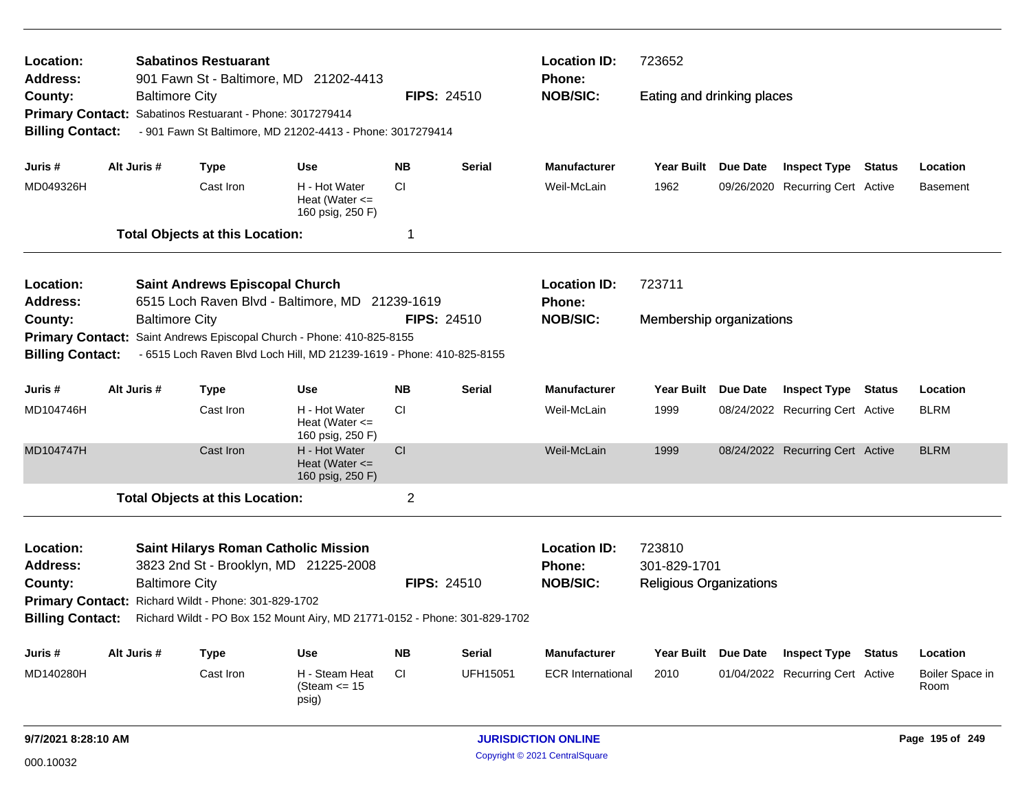| <b>Sabatinos Restuarant</b><br>Location:<br>901 Fawn St - Baltimore, MD 21202-4413<br><b>Address:</b> |             |                       |                                                      |                                                                            |                |                    | <b>Location ID:</b><br>Phone: | 723652                         |                 |                                  |                         |
|-------------------------------------------------------------------------------------------------------|-------------|-----------------------|------------------------------------------------------|----------------------------------------------------------------------------|----------------|--------------------|-------------------------------|--------------------------------|-----------------|----------------------------------|-------------------------|
| County:<br><b>Primary Contact:</b><br><b>Billing Contact:</b>                                         |             | <b>Baltimore City</b> | Sabatinos Restuarant - Phone: 3017279414             | - 901 Fawn St Baltimore, MD 21202-4413 - Phone: 3017279414                 |                | <b>FIPS: 24510</b> | <b>NOB/SIC:</b>               | Eating and drinking places     |                 |                                  |                         |
| Juris #                                                                                               | Alt Juris # |                       | <b>Type</b>                                          | Use                                                                        | <b>NB</b>      | <b>Serial</b>      | <b>Manufacturer</b>           | Year Built                     | Due Date        | <b>Inspect Type Status</b>       | Location                |
| MD049326H                                                                                             |             |                       | Cast Iron                                            | H - Hot Water<br>Heat (Water $\leq$<br>160 psig, 250 F)                    | <b>CI</b>      |                    | Weil-McLain                   | 1962                           |                 | 09/26/2020 Recurring Cert Active | <b>Basement</b>         |
|                                                                                                       |             |                       | <b>Total Objects at this Location:</b>               |                                                                            | $\mathbf 1$    |                    |                               |                                |                 |                                  |                         |
| Location:                                                                                             |             |                       | <b>Saint Andrews Episcopal Church</b>                |                                                                            |                |                    | <b>Location ID:</b>           | 723711                         |                 |                                  |                         |
| <b>Address:</b>                                                                                       |             |                       |                                                      | 6515 Loch Raven Blvd - Baltimore, MD 21239-1619                            |                |                    | Phone:                        |                                |                 |                                  |                         |
| County:                                                                                               |             | <b>Baltimore City</b> |                                                      |                                                                            |                | <b>FIPS: 24510</b> | <b>NOB/SIC:</b>               | Membership organizations       |                 |                                  |                         |
| <b>Primary Contact:</b>                                                                               |             |                       |                                                      | Saint Andrews Episcopal Church - Phone: 410-825-8155                       |                |                    |                               |                                |                 |                                  |                         |
| <b>Billing Contact:</b>                                                                               |             |                       |                                                      | - 6515 Loch Raven Blvd Loch Hill, MD 21239-1619 - Phone: 410-825-8155      |                |                    |                               |                                |                 |                                  |                         |
| Juris #                                                                                               | Alt Juris # |                       | <b>Type</b>                                          | Use                                                                        | <b>NB</b>      | <b>Serial</b>      | <b>Manufacturer</b>           | <b>Year Built</b>              | <b>Due Date</b> | <b>Inspect Type Status</b>       | Location                |
| MD104746H                                                                                             |             |                       | Cast Iron                                            | H - Hot Water<br>Heat (Water $\leq$<br>160 psig, 250 F)                    | <b>CI</b>      |                    | Weil-McLain                   | 1999                           |                 | 08/24/2022 Recurring Cert Active | <b>BLRM</b>             |
| MD104747H                                                                                             |             |                       | Cast Iron                                            | H - Hot Water<br>Heat (Water $\leq$<br>160 psig, 250 F)                    | CI             |                    | Weil-McLain                   | 1999                           |                 | 08/24/2022 Recurring Cert Active | <b>BLRM</b>             |
|                                                                                                       |             |                       | <b>Total Objects at this Location:</b>               |                                                                            | $\overline{2}$ |                    |                               |                                |                 |                                  |                         |
| Location:                                                                                             |             |                       |                                                      | <b>Saint Hilarys Roman Catholic Mission</b>                                |                |                    | <b>Location ID:</b>           | 723810                         |                 |                                  |                         |
| <b>Address:</b>                                                                                       |             |                       |                                                      | 3823 2nd St - Brooklyn, MD 21225-2008                                      |                |                    | Phone:                        | 301-829-1701                   |                 |                                  |                         |
| County:                                                                                               |             | <b>Baltimore City</b> |                                                      |                                                                            |                | <b>FIPS: 24510</b> | <b>NOB/SIC:</b>               | <b>Religious Organizations</b> |                 |                                  |                         |
|                                                                                                       |             |                       | Primary Contact: Richard Wildt - Phone: 301-829-1702 |                                                                            |                |                    |                               |                                |                 |                                  |                         |
| <b>Billing Contact:</b>                                                                               |             |                       |                                                      | Richard Wildt - PO Box 152 Mount Airy, MD 21771-0152 - Phone: 301-829-1702 |                |                    |                               |                                |                 |                                  |                         |
| Juris#                                                                                                | Alt Juris # |                       | <b>Type</b>                                          | Use                                                                        | <b>NB</b>      | <b>Serial</b>      | <b>Manufacturer</b>           | <b>Year Built</b>              | <b>Due Date</b> | <b>Inspect Type Status</b>       | Location                |
| MD140280H                                                                                             |             |                       | Cast Iron                                            | H - Steam Heat<br>(Steam $\le$ 15<br>psig)                                 | CI.            | <b>UFH15051</b>    | <b>ECR</b> International      | 2010                           |                 | 01/04/2022 Recurring Cert Active | Boiler Space in<br>Room |
| 9/7/2021 8:28:10 AM                                                                                   |             |                       |                                                      |                                                                            |                |                    | <b>JURISDICTION ONLINE</b>    |                                |                 |                                  | Page 195 of 249         |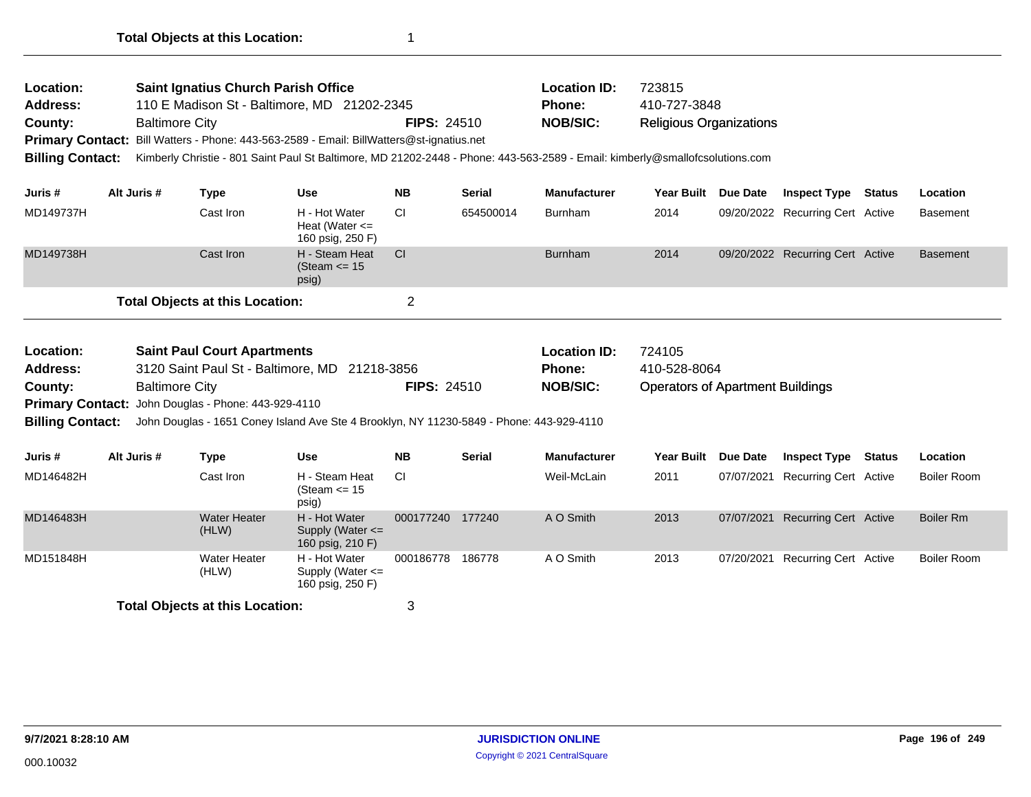| Location:<br>Address:<br>County:<br><b>Primary Contact:</b><br><b>Billing Contact:</b> | <b>Baltimore City</b>                                                                                                                                                                                                                                                                                                                                                                                             | <b>Saint Ignatius Church Parish Office</b> | 110 E Madison St - Baltimore, MD 21202-2345<br>Bill Watters - Phone: 443-563-2589 - Email: BillWatters@st-ignatius.net<br>Kimberly Christie - 801 Saint Paul St Baltimore, MD 21202-2448 - Phone: 443-563-2589 - Email: kimberly@smallofcsolutions.com | <b>FIPS: 24510</b> |               | <b>Location ID:</b><br>Phone:<br><b>NOB/SIC:</b> | 723815<br>410-727-3848<br><b>Religious Organizations</b> |                 |                                  |               |                    |
|----------------------------------------------------------------------------------------|-------------------------------------------------------------------------------------------------------------------------------------------------------------------------------------------------------------------------------------------------------------------------------------------------------------------------------------------------------------------------------------------------------------------|--------------------------------------------|--------------------------------------------------------------------------------------------------------------------------------------------------------------------------------------------------------------------------------------------------------|--------------------|---------------|--------------------------------------------------|----------------------------------------------------------|-----------------|----------------------------------|---------------|--------------------|
| Juris #                                                                                | Alt Juris #                                                                                                                                                                                                                                                                                                                                                                                                       | <b>Type</b>                                | Use                                                                                                                                                                                                                                                    | <b>NB</b>          | <b>Serial</b> | <b>Manufacturer</b>                              | <b>Year Built</b>                                        | <b>Due Date</b> | <b>Inspect Type</b>              | <b>Status</b> | Location           |
| MD149737H                                                                              |                                                                                                                                                                                                                                                                                                                                                                                                                   | Cast Iron                                  | H - Hot Water<br>Heat (Water $\leq$<br>160 psig, 250 F)                                                                                                                                                                                                | <b>CI</b>          | 654500014     | <b>Burnham</b>                                   | 2014                                                     |                 | 09/20/2022 Recurring Cert Active |               | <b>Basement</b>    |
| MD149738H                                                                              |                                                                                                                                                                                                                                                                                                                                                                                                                   | Cast Iron                                  | H - Steam Heat<br>(Steam $\le$ 15<br>psig)                                                                                                                                                                                                             | <b>CI</b>          |               | <b>Burnham</b>                                   | 2014                                                     |                 | 09/20/2022 Recurring Cert Active |               | <b>Basement</b>    |
|                                                                                        |                                                                                                                                                                                                                                                                                                                                                                                                                   | <b>Total Objects at this Location:</b>     |                                                                                                                                                                                                                                                        | $\overline{2}$     |               |                                                  |                                                          |                 |                                  |               |                    |
| Location:<br>Address:<br>County:<br><b>Billing Contact:</b>                            | <b>Saint Paul Court Apartments</b><br><b>Location ID:</b><br>724105<br>3120 Saint Paul St - Baltimore, MD<br>410-528-8064<br>21218-3856<br>Phone:<br><b>FIPS: 24510</b><br><b>NOB/SIC:</b><br><b>Baltimore City</b><br><b>Operators of Apartment Buildings</b><br>Primary Contact: John Douglas - Phone: 443-929-4110<br>John Douglas - 1651 Coney Island Ave Ste 4 Brooklyn, NY 11230-5849 - Phone: 443-929-4110 |                                            |                                                                                                                                                                                                                                                        |                    |               |                                                  |                                                          |                 |                                  |               |                    |
|                                                                                        |                                                                                                                                                                                                                                                                                                                                                                                                                   |                                            |                                                                                                                                                                                                                                                        |                    |               |                                                  |                                                          |                 |                                  |               |                    |
| Juris #                                                                                | Alt Juris #                                                                                                                                                                                                                                                                                                                                                                                                       | <b>Type</b>                                | <b>Use</b>                                                                                                                                                                                                                                             | <b>NB</b>          | <b>Serial</b> | <b>Manufacturer</b>                              | <b>Year Built</b>                                        | <b>Due Date</b> | <b>Inspect Type</b>              | Status        | Location           |
| MD146482H                                                                              |                                                                                                                                                                                                                                                                                                                                                                                                                   | Cast Iron                                  | H - Steam Heat<br>(Steam $\le$ 15<br>psig)                                                                                                                                                                                                             | <b>CI</b>          |               | Weil-McLain                                      | 2011                                                     |                 | 07/07/2021 Recurring Cert Active |               | <b>Boiler Room</b> |
| MD146483H                                                                              |                                                                                                                                                                                                                                                                                                                                                                                                                   | <b>Water Heater</b><br>(HLW)               | H - Hot Water<br>Supply (Water <=<br>160 psig, 210 F)                                                                                                                                                                                                  | 000177240 177240   |               | A O Smith                                        | 2013                                                     |                 | 07/07/2021 Recurring Cert Active |               | <b>Boiler Rm</b>   |
| MD151848H                                                                              |                                                                                                                                                                                                                                                                                                                                                                                                                   | <b>Water Heater</b><br>(HLW)               | H - Hot Water<br>Supply (Water <=                                                                                                                                                                                                                      | 000186778 186778   |               | A O Smith                                        | 2013                                                     |                 | 07/20/2021 Recurring Cert Active |               | <b>Boiler Room</b> |
|                                                                                        |                                                                                                                                                                                                                                                                                                                                                                                                                   |                                            | 160 psig, 250 F)                                                                                                                                                                                                                                       |                    |               |                                                  |                                                          |                 |                                  |               |                    |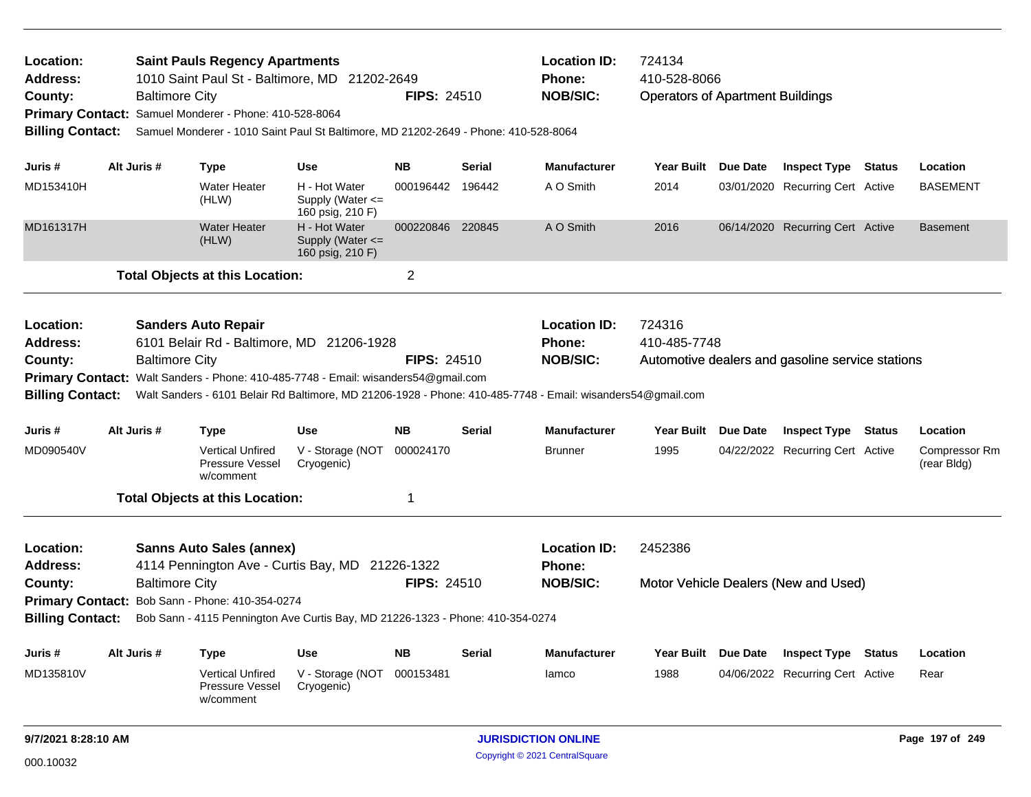| Location:<br><b>Address:</b>            |                       | <b>Saint Pauls Regency Apartments</b>                          | 1010 Saint Paul St - Baltimore, MD 21202-2649                                                                                   |                    |               | <b>Location ID:</b><br>Phone:                                                                               | 724134<br>410-528-8066                  |          |                                                  |               |                              |
|-----------------------------------------|-----------------------|----------------------------------------------------------------|---------------------------------------------------------------------------------------------------------------------------------|--------------------|---------------|-------------------------------------------------------------------------------------------------------------|-----------------------------------------|----------|--------------------------------------------------|---------------|------------------------------|
| County:                                 | <b>Baltimore City</b> |                                                                |                                                                                                                                 | <b>FIPS: 24510</b> |               | <b>NOB/SIC:</b>                                                                                             | <b>Operators of Apartment Buildings</b> |          |                                                  |               |                              |
|                                         |                       | Primary Contact: Samuel Monderer - Phone: 410-528-8064         |                                                                                                                                 |                    |               |                                                                                                             |                                         |          |                                                  |               |                              |
| <b>Billing Contact:</b>                 |                       |                                                                | Samuel Monderer - 1010 Saint Paul St Baltimore, MD 21202-2649 - Phone: 410-528-8064                                             |                    |               |                                                                                                             |                                         |          |                                                  |               |                              |
| Juris #                                 | Alt Juris #           | Type                                                           | <b>Use</b>                                                                                                                      | NB.                | Serial        | <b>Manufacturer</b>                                                                                         | Year Built Due Date                     |          | <b>Inspect Type Status</b>                       |               | Location                     |
| MD153410H                               |                       | <b>Water Heater</b><br>(HLW)                                   | H - Hot Water<br>Supply (Water <=<br>160 psig, 210 F)                                                                           | 000196442          | 196442        | A O Smith                                                                                                   | 2014                                    |          | 03/01/2020 Recurring Cert Active                 |               | <b>BASEMENT</b>              |
| MD161317H                               |                       | <b>Water Heater</b><br>(HLW)                                   | H - Hot Water<br>Supply (Water $\leq$<br>160 psig, 210 F)                                                                       | 000220846 220845   |               | A O Smith                                                                                                   | 2016                                    |          | 06/14/2020 Recurring Cert Active                 |               | Basement                     |
|                                         |                       | <b>Total Objects at this Location:</b>                         |                                                                                                                                 | $\overline{2}$     |               |                                                                                                             |                                         |          |                                                  |               |                              |
| Location:<br><b>Address:</b><br>County: | <b>Baltimore City</b> | <b>Sanders Auto Repair</b>                                     | 6101 Belair Rd - Baltimore, MD 21206-1928<br>Primary Contact: Walt Sanders - Phone: 410-485-7748 - Email: wisanders54@gmail.com | <b>FIPS: 24510</b> |               | <b>Location ID:</b><br>Phone:<br><b>NOB/SIC:</b>                                                            | 724316<br>410-485-7748                  |          | Automotive dealers and gasoline service stations |               |                              |
| <b>Billing Contact:</b>                 |                       |                                                                |                                                                                                                                 |                    |               | Walt Sanders - 6101 Belair Rd Baltimore, MD 21206-1928 - Phone: 410-485-7748 - Email: wisanders54@gmail.com |                                         |          |                                                  |               |                              |
| Juris #                                 | Alt Juris #           | Type                                                           | <b>Use</b>                                                                                                                      | <b>NB</b>          | <b>Serial</b> | <b>Manufacturer</b>                                                                                         | Year Built Due Date                     |          | <b>Inspect Type</b>                              | Status        | Location                     |
| MD090540V                               |                       | <b>Vertical Unfired</b><br>Pressure Vessel<br>w/comment        | V - Storage (NOT<br>Cryogenic)                                                                                                  | 000024170          |               | <b>Brunner</b>                                                                                              | 1995                                    |          | 04/22/2022 Recurring Cert Active                 |               | Compressor Rm<br>(rear Bldg) |
|                                         |                       | <b>Total Objects at this Location:</b>                         |                                                                                                                                 | 1                  |               |                                                                                                             |                                         |          |                                                  |               |                              |
| Location:<br><b>Address:</b>            |                       | <b>Sanns Auto Sales (annex)</b>                                | 4114 Pennington Ave - Curtis Bay, MD 21226-1322                                                                                 |                    |               | <b>Location ID:</b><br><b>Phone:</b>                                                                        | 2452386                                 |          |                                                  |               |                              |
| County:                                 | <b>Baltimore City</b> |                                                                |                                                                                                                                 | <b>FIPS: 24510</b> |               | <b>NOB/SIC:</b>                                                                                             |                                         |          | Motor Vehicle Dealers (New and Used)             |               |                              |
|                                         |                       | Primary Contact: Bob Sann - Phone: 410-354-0274                |                                                                                                                                 |                    |               |                                                                                                             |                                         |          |                                                  |               |                              |
| <b>Billing Contact:</b>                 |                       |                                                                | Bob Sann - 4115 Pennington Ave Curtis Bay, MD 21226-1323 - Phone: 410-354-0274                                                  |                    |               |                                                                                                             |                                         |          |                                                  |               |                              |
| Juris #                                 | Alt Juris #           | <b>Type</b>                                                    | <b>Use</b>                                                                                                                      | <b>NB</b>          | Serial        | <b>Manufacturer</b>                                                                                         | Year Built                              | Due Date | <b>Inspect Type</b>                              | <b>Status</b> | Location                     |
| MD135810V                               |                       | <b>Vertical Unfired</b><br><b>Pressure Vessel</b><br>w/comment | V - Storage (NOT<br>Cryogenic)                                                                                                  | 000153481          |               | lamco                                                                                                       | 1988                                    |          | 04/06/2022 Recurring Cert Active                 |               | Rear                         |
| 9/7/2021 8:28:10 AM                     |                       |                                                                |                                                                                                                                 |                    |               | <b>JURISDICTION ONLINE</b>                                                                                  |                                         |          |                                                  |               | Page 197 of 249              |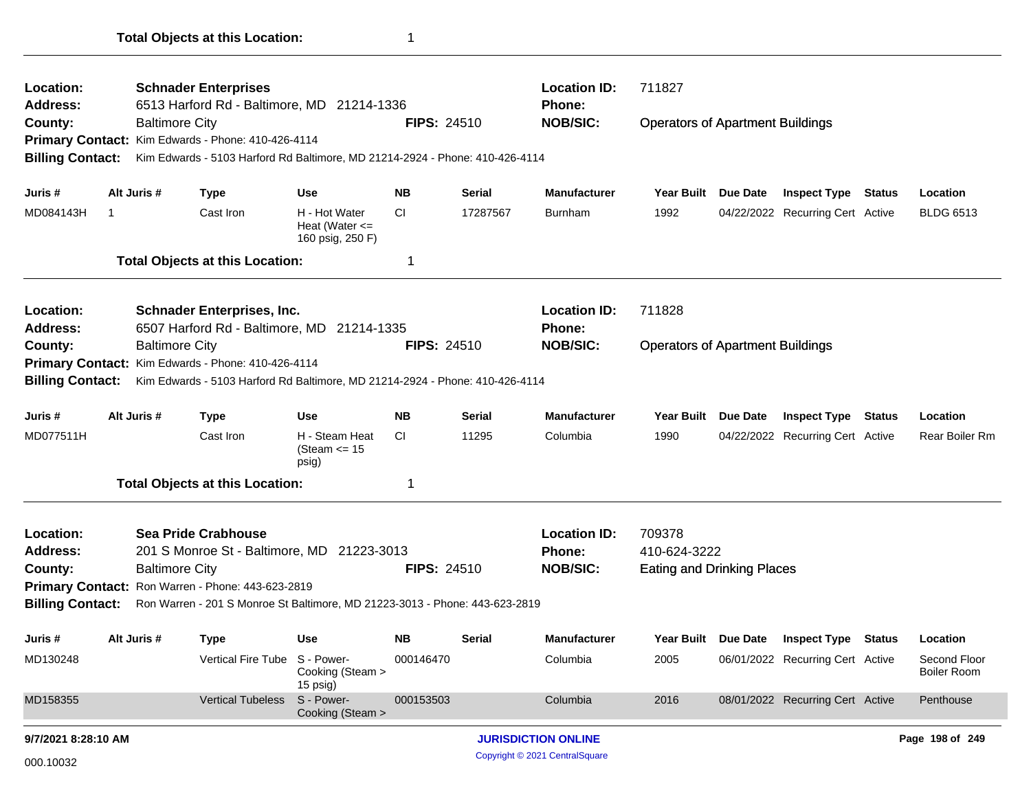| Location:                    |    |                       | <b>Schnader Enterprises</b>                                                                  |                                                         |                    |               | <b>Location ID:</b>                  | 711827                                  |                 |                                  |                                    |
|------------------------------|----|-----------------------|----------------------------------------------------------------------------------------------|---------------------------------------------------------|--------------------|---------------|--------------------------------------|-----------------------------------------|-----------------|----------------------------------|------------------------------------|
| <b>Address:</b>              |    |                       | 6513 Harford Rd - Baltimore, MD 21214-1336                                                   |                                                         |                    |               | <b>Phone:</b>                        |                                         |                 |                                  |                                    |
| County:                      |    | <b>Baltimore City</b> |                                                                                              |                                                         | <b>FIPS: 24510</b> |               | <b>NOB/SIC:</b>                      | <b>Operators of Apartment Buildings</b> |                 |                                  |                                    |
|                              |    |                       | Primary Contact: Kim Edwards - Phone: 410-426-4114                                           |                                                         |                    |               |                                      |                                         |                 |                                  |                                    |
| <b>Billing Contact:</b>      |    |                       | Kim Edwards - 5103 Harford Rd Baltimore, MD 21214-2924 - Phone: 410-426-4114                 |                                                         |                    |               |                                      |                                         |                 |                                  |                                    |
| Juris #                      |    | Alt Juris #           | <b>Type</b>                                                                                  | <b>Use</b>                                              | <b>NB</b>          | <b>Serial</b> | <b>Manufacturer</b>                  | Year Built Due Date                     |                 | <b>Inspect Type Status</b>       | Location                           |
| MD084143H                    | -1 |                       | Cast Iron                                                                                    | H - Hot Water<br>Heat (Water $\leq$<br>160 psig, 250 F) | <b>CI</b>          | 17287567      | <b>Burnham</b>                       | 1992                                    |                 | 04/22/2022 Recurring Cert Active | <b>BLDG 6513</b>                   |
|                              |    |                       | <b>Total Objects at this Location:</b>                                                       |                                                         | -1                 |               |                                      |                                         |                 |                                  |                                    |
| Location:<br><b>Address:</b> |    |                       | <b>Schnader Enterprises, Inc.</b><br>6507 Harford Rd - Baltimore, MD 21214-1335              |                                                         |                    |               | <b>Location ID:</b><br><b>Phone:</b> | 711828                                  |                 |                                  |                                    |
| County:                      |    | <b>Baltimore City</b> |                                                                                              |                                                         | <b>FIPS: 24510</b> |               | <b>NOB/SIC:</b>                      | <b>Operators of Apartment Buildings</b> |                 |                                  |                                    |
|                              |    |                       | Primary Contact: Kim Edwards - Phone: 410-426-4114                                           |                                                         |                    |               |                                      |                                         |                 |                                  |                                    |
| <b>Billing Contact:</b>      |    |                       | Kim Edwards - 5103 Harford Rd Baltimore, MD 21214-2924 - Phone: 410-426-4114                 |                                                         |                    |               |                                      |                                         |                 |                                  |                                    |
|                              |    |                       |                                                                                              |                                                         |                    |               |                                      |                                         |                 |                                  |                                    |
| Juris #                      |    | Alt Juris #           | <b>Type</b>                                                                                  | <b>Use</b>                                              | <b>NB</b>          | Serial        | <b>Manufacturer</b>                  | Year Built                              | <b>Due Date</b> | <b>Inspect Type Status</b>       | Location                           |
| MD077511H                    |    |                       | Cast Iron                                                                                    | H - Steam Heat<br>(Steam $\le$ 15<br>psig)              | <b>CI</b>          | 11295         | Columbia                             | 1990                                    |                 | 04/22/2022 Recurring Cert Active | Rear Boiler Rm                     |
|                              |    |                       | <b>Total Objects at this Location:</b>                                                       |                                                         | 1                  |               |                                      |                                         |                 |                                  |                                    |
| Location:                    |    |                       | <b>Sea Pride Crabhouse</b>                                                                   |                                                         |                    |               | <b>Location ID:</b>                  | 709378                                  |                 |                                  |                                    |
| <b>Address:</b>              |    |                       | 201 S Monroe St - Baltimore, MD 21223-3013                                                   |                                                         |                    |               | <b>Phone:</b>                        | 410-624-3222                            |                 |                                  |                                    |
| County:                      |    | <b>Baltimore City</b> |                                                                                              |                                                         | <b>FIPS: 24510</b> |               | <b>NOB/SIC:</b>                      | <b>Eating and Drinking Places</b>       |                 |                                  |                                    |
|                              |    |                       | Primary Contact: Ron Warren - Phone: 443-623-2819                                            |                                                         |                    |               |                                      |                                         |                 |                                  |                                    |
|                              |    |                       | Billing Contact: Ron Warren - 201 S Monroe St Baltimore, MD 21223-3013 - Phone: 443-623-2819 |                                                         |                    |               |                                      |                                         |                 |                                  |                                    |
| Juris #                      |    | Alt Juris #           | Type                                                                                         | <b>Use</b>                                              | <b>NB</b>          | <b>Serial</b> | <b>Manufacturer</b>                  | <b>Year Built</b>                       |                 | Due Date Inspect Type Status     | Location                           |
| MD130248                     |    |                       | Vertical Fire Tube S - Power-                                                                | Cooking (Steam ><br>15 psig)                            | 000146470          |               | Columbia                             | 2005                                    |                 | 06/01/2022 Recurring Cert Active | Second Floor<br><b>Boiler Room</b> |
| MD158355                     |    |                       | <b>Vertical Tubeless</b>                                                                     | S - Power-<br>Cooking (Steam >                          | 000153503          |               | Columbia                             | 2016                                    |                 | 08/01/2022 Recurring Cert Active | Penthouse                          |
| 9/7/2021 8:28:10 AM          |    |                       |                                                                                              |                                                         |                    |               | <b>JURISDICTION ONLINE</b>           |                                         |                 |                                  | Page 198 of 249                    |

**Total Objects at this Location:** 1

Copyright © 2021 CentralSquare 000.10032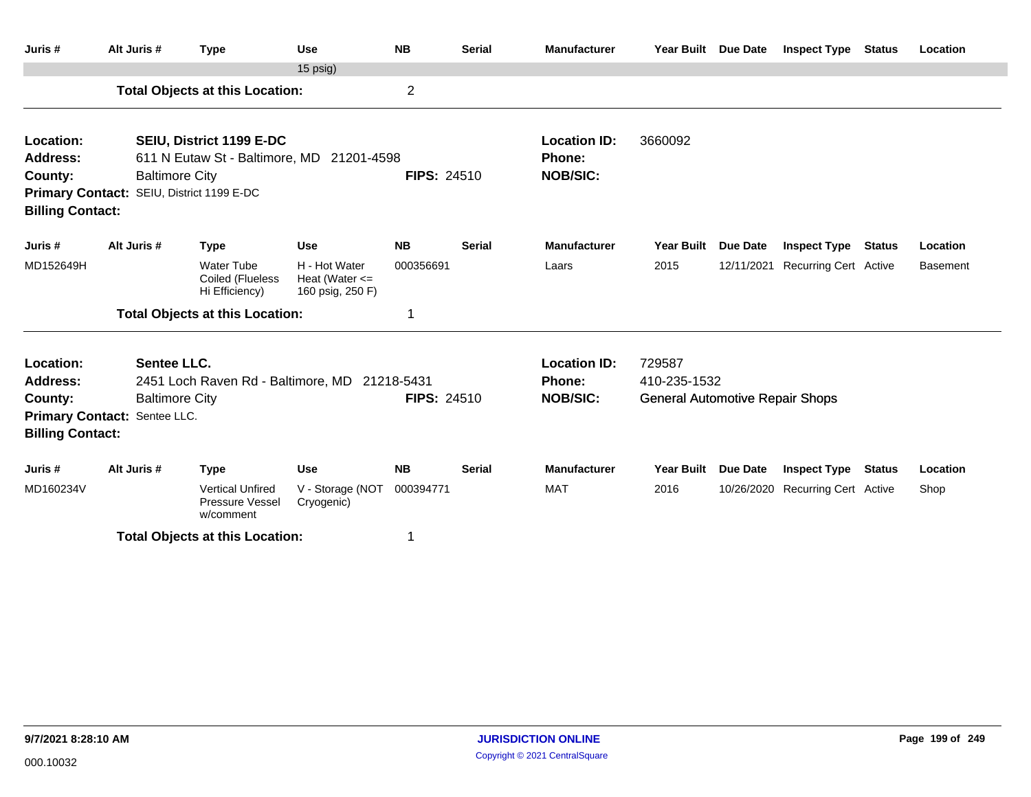| Juris #                 | Alt Juris #                               | <b>Type</b>                                             | <b>Use</b>                                              | <b>NB</b>          | <b>Serial</b> | <b>Manufacturer</b> | Year Built Due Date                    |                 | <b>Inspect Type Status</b>       | Location        |
|-------------------------|-------------------------------------------|---------------------------------------------------------|---------------------------------------------------------|--------------------|---------------|---------------------|----------------------------------------|-----------------|----------------------------------|-----------------|
|                         |                                           |                                                         | 15 psig)                                                |                    |               |                     |                                        |                 |                                  |                 |
|                         |                                           | <b>Total Objects at this Location:</b>                  |                                                         | $\overline{2}$     |               |                     |                                        |                 |                                  |                 |
| Location:               |                                           | SEIU, District 1199 E-DC                                |                                                         |                    |               | <b>Location ID:</b> | 3660092                                |                 |                                  |                 |
| <b>Address:</b>         |                                           | 611 N Eutaw St - Baltimore, MD 21201-4598               |                                                         |                    |               | Phone:              |                                        |                 |                                  |                 |
| County:                 | <b>Baltimore City</b>                     |                                                         |                                                         | <b>FIPS: 24510</b> |               | <b>NOB/SIC:</b>     |                                        |                 |                                  |                 |
|                         | Primary Contact: SEIU, District 1199 E-DC |                                                         |                                                         |                    |               |                     |                                        |                 |                                  |                 |
| <b>Billing Contact:</b> |                                           |                                                         |                                                         |                    |               |                     |                                        |                 |                                  |                 |
| Juris #                 | Alt Juris #                               | <b>Type</b>                                             | <b>Use</b>                                              | <b>NB</b>          | <b>Serial</b> | <b>Manufacturer</b> | <b>Year Built</b>                      | <b>Due Date</b> | <b>Inspect Type Status</b>       | Location        |
| MD152649H               |                                           | <b>Water Tube</b><br>Coiled (Flueless<br>Hi Efficiency) | H - Hot Water<br>Heat (Water $\leq$<br>160 psig, 250 F) | 000356691          |               | Laars               | 2015                                   | 12/11/2021      | Recurring Cert Active            | <b>Basement</b> |
|                         |                                           | <b>Total Objects at this Location:</b>                  |                                                         | 1                  |               |                     |                                        |                 |                                  |                 |
| Location:               | <b>Sentee LLC.</b>                        |                                                         |                                                         |                    |               | <b>Location ID:</b> | 729587                                 |                 |                                  |                 |
| <b>Address:</b>         |                                           | 2451 Loch Raven Rd - Baltimore, MD 21218-5431           |                                                         |                    |               | <b>Phone:</b>       | 410-235-1532                           |                 |                                  |                 |
| County:                 | <b>Baltimore City</b>                     |                                                         |                                                         | <b>FIPS: 24510</b> |               | <b>NOB/SIC:</b>     | <b>General Automotive Repair Shops</b> |                 |                                  |                 |
|                         | Primary Contact: Sentee LLC.              |                                                         |                                                         |                    |               |                     |                                        |                 |                                  |                 |
| <b>Billing Contact:</b> |                                           |                                                         |                                                         |                    |               |                     |                                        |                 |                                  |                 |
| Juris #                 | Alt Juris #                               | <b>Type</b>                                             | <b>Use</b>                                              | <b>NB</b>          | <b>Serial</b> | <b>Manufacturer</b> | <b>Year Built</b>                      | <b>Due Date</b> | <b>Inspect Type Status</b>       | Location        |
|                         |                                           | <b>Vertical Unfired</b><br>Pressure Vessel<br>w/comment | V - Storage (NOT<br>Cryogenic)                          | 000394771          |               | <b>MAT</b>          | 2016                                   |                 | 10/26/2020 Recurring Cert Active | Shop            |
| MD160234V               |                                           | <b>Total Objects at this Location:</b>                  |                                                         | 1                  |               |                     |                                        |                 |                                  |                 |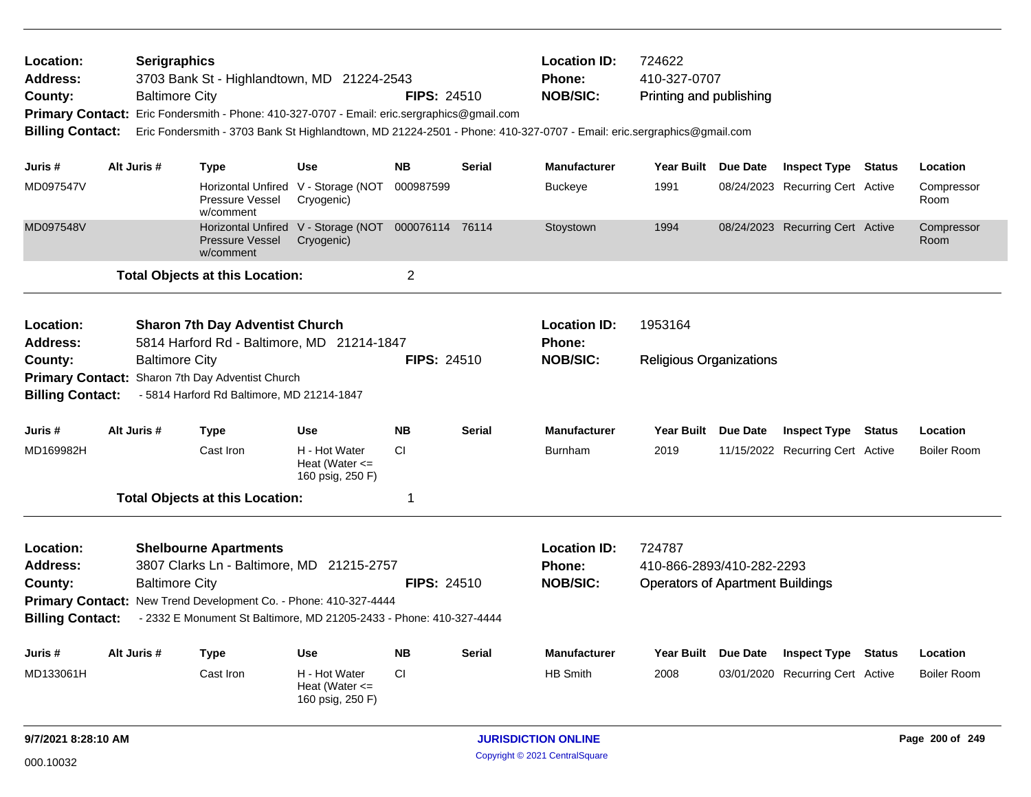| Location:<br>Serigraphics<br>Address:<br>3703 Bank St - Highlandtown, MD 21224-2543<br>County:<br><b>FIPS: 24510</b><br><b>Baltimore City</b><br><b>Primary Contact:</b><br>Eric Fondersmith - Phone: 410-327-0707 - Email: eric.sergraphics@gmail.com<br><b>Billing Contact:</b><br>Eric Fondersmith - 3703 Bank St Highlandtown, MD 21224-2501 - Phone: 410-327-0707 - Email: eric.sergraphics@gmail.com |                       |                                                                                                                                                                                                                      |                                                                   |                    |               | <b>Location ID:</b><br><b>Phone:</b><br><b>NOB/SIC:</b> | 724622<br>410-327-0707<br>Printing and publishing                              |          |                                  |               |                    |
|------------------------------------------------------------------------------------------------------------------------------------------------------------------------------------------------------------------------------------------------------------------------------------------------------------------------------------------------------------------------------------------------------------|-----------------------|----------------------------------------------------------------------------------------------------------------------------------------------------------------------------------------------------------------------|-------------------------------------------------------------------|--------------------|---------------|---------------------------------------------------------|--------------------------------------------------------------------------------|----------|----------------------------------|---------------|--------------------|
| Juris #                                                                                                                                                                                                                                                                                                                                                                                                    | Alt Juris #           | <b>Type</b>                                                                                                                                                                                                          | <b>Use</b>                                                        | <b>NB</b>          | <b>Serial</b> | <b>Manufacturer</b>                                     | Year Built Due Date                                                            |          | <b>Inspect Type Status</b>       |               | Location           |
| MD097547V                                                                                                                                                                                                                                                                                                                                                                                                  |                       | Pressure Vessel<br>w/comment                                                                                                                                                                                         | Horizontal Unfired V - Storage (NOT 000987599<br>Cryogenic)       |                    |               | <b>Buckeye</b>                                          | 1991                                                                           |          | 08/24/2023 Recurring Cert Active |               | Compressor<br>Room |
| MD097548V                                                                                                                                                                                                                                                                                                                                                                                                  |                       | <b>Pressure Vessel</b><br>w/comment                                                                                                                                                                                  | Horizontal Unfired V - Storage (NOT 000076114 76114<br>Cryogenic) |                    |               | Stoystown                                               | 1994                                                                           |          | 08/24/2023 Recurring Cert Active |               | Compressor<br>Room |
|                                                                                                                                                                                                                                                                                                                                                                                                            |                       | <b>Total Objects at this Location:</b>                                                                                                                                                                               |                                                                   | $\overline{2}$     |               |                                                         |                                                                                |          |                                  |               |                    |
| Location:<br>Address:<br>County:                                                                                                                                                                                                                                                                                                                                                                           | <b>Baltimore City</b> | <b>Sharon 7th Day Adventist Church</b><br>5814 Harford Rd - Baltimore, MD 21214-1847<br>Primary Contact: Sharon 7th Day Adventist Church                                                                             |                                                                   | <b>FIPS: 24510</b> |               | <b>Location ID:</b><br><b>Phone:</b><br><b>NOB/SIC:</b> | 1953164<br><b>Religious Organizations</b>                                      |          |                                  |               |                    |
| <b>Billing Contact:</b>                                                                                                                                                                                                                                                                                                                                                                                    |                       | - 5814 Harford Rd Baltimore, MD 21214-1847                                                                                                                                                                           |                                                                   |                    |               |                                                         |                                                                                |          |                                  |               |                    |
| Juris #                                                                                                                                                                                                                                                                                                                                                                                                    | Alt Juris #           | Type                                                                                                                                                                                                                 | <b>Use</b>                                                        | <b>NB</b>          | <b>Serial</b> | <b>Manufacturer</b>                                     | <b>Year Built</b>                                                              | Due Date | <b>Inspect Type</b>              | <b>Status</b> | Location           |
| MD169982H                                                                                                                                                                                                                                                                                                                                                                                                  |                       | Cast Iron                                                                                                                                                                                                            | H - Hot Water<br>Heat (Water $\leq$<br>160 psig, 250 F)           | CI.                |               | <b>Burnham</b>                                          | 2019                                                                           |          | 11/15/2022 Recurring Cert Active |               | <b>Boiler Room</b> |
|                                                                                                                                                                                                                                                                                                                                                                                                            |                       | <b>Total Objects at this Location:</b>                                                                                                                                                                               |                                                                   | 1                  |               |                                                         |                                                                                |          |                                  |               |                    |
| Location:<br>Address:<br>County:<br><b>Billing Contact:</b>                                                                                                                                                                                                                                                                                                                                                | <b>Baltimore City</b> | <b>Shelbourne Apartments</b><br>3807 Clarks Ln - Baltimore, MD 21215-2757<br>Primary Contact: New Trend Development Co. - Phone: 410-327-4444<br>- 2332 E Monument St Baltimore, MD 21205-2433 - Phone: 410-327-4444 |                                                                   | <b>FIPS: 24510</b> |               | <b>Location ID:</b><br><b>Phone:</b><br><b>NOB/SIC:</b> | 724787<br>410-866-2893/410-282-2293<br><b>Operators of Apartment Buildings</b> |          |                                  |               |                    |
| Juris #                                                                                                                                                                                                                                                                                                                                                                                                    | Alt Juris #           | <b>Type</b>                                                                                                                                                                                                          | <b>Use</b>                                                        | <b>NB</b>          | <b>Serial</b> | <b>Manufacturer</b>                                     | Year Built Due Date                                                            |          | <b>Inspect Type</b>              | <b>Status</b> | Location           |
| MD133061H                                                                                                                                                                                                                                                                                                                                                                                                  |                       | Cast Iron                                                                                                                                                                                                            | H - Hot Water<br>Heat (Water $\leq$<br>160 psig, 250 F)           | <b>CI</b>          |               | <b>HB Smith</b>                                         | 2008                                                                           |          | 03/01/2020 Recurring Cert Active |               | <b>Boiler Room</b> |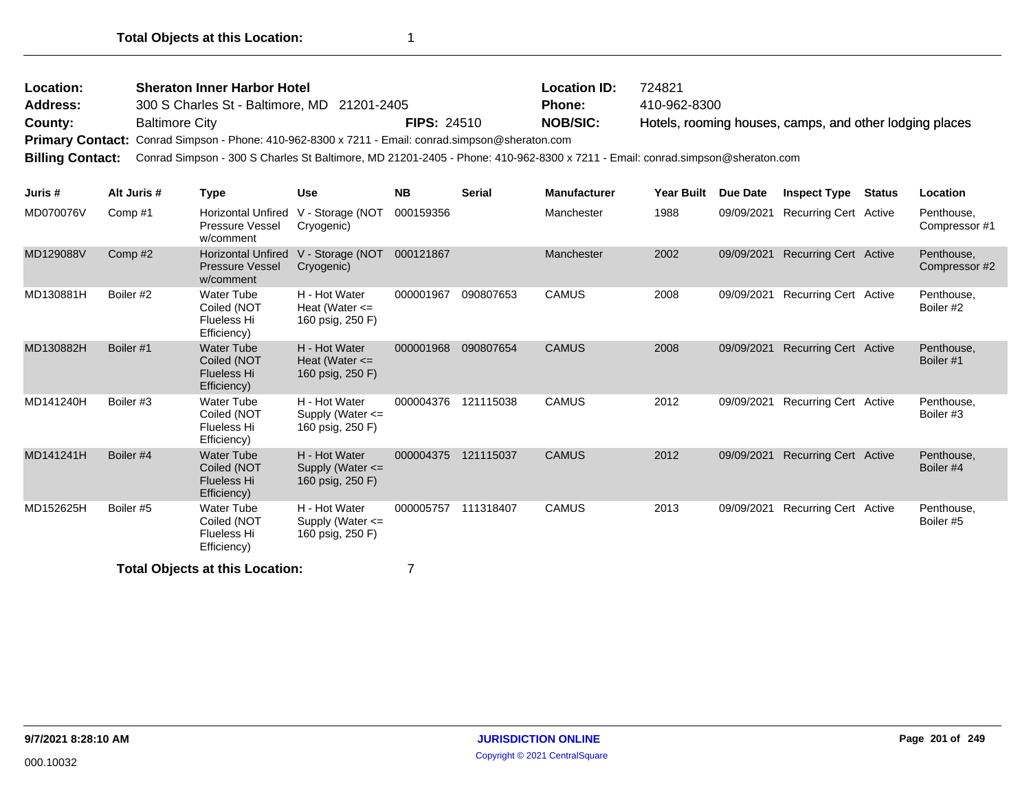| Location:<br><b>Address:</b>       |             | <b>Sheraton Inner Harbor Hotel</b><br>300 S Charles St - Baltimore, MD                                                                                                                                                                                     | 21201-2405                                                |                    |                     | <b>Location ID:</b><br><b>Phone:</b> | 724821<br>410-962-8300 |            |                                                         |                             |
|------------------------------------|-------------|------------------------------------------------------------------------------------------------------------------------------------------------------------------------------------------------------------------------------------------------------------|-----------------------------------------------------------|--------------------|---------------------|--------------------------------------|------------------------|------------|---------------------------------------------------------|-----------------------------|
| County:<br><b>Billing Contact:</b> |             | <b>Baltimore City</b><br>Primary Contact: Conrad Simpson - Phone: 410-962-8300 x 7211 - Email: conrad.simpson@sheraton.com<br>Conrad Simpson - 300 S Charles St Baltimore, MD 21201-2405 - Phone: 410-962-8300 x 7211 - Email: conrad.simpson@sheraton.com |                                                           | <b>FIPS: 24510</b> |                     | <b>NOB/SIC:</b>                      |                        |            | Hotels, rooming houses, camps, and other lodging places |                             |
| Juris #                            | Alt Juris # | <b>Type</b>                                                                                                                                                                                                                                                | <b>Use</b>                                                | <b>NB</b>          | <b>Serial</b>       | <b>Manufacturer</b>                  | <b>Year Built</b>      | Due Date   | <b>Inspect Type Status</b>                              | Location                    |
| MD070076V                          | Comp#1      | <b>Horizontal Unfired</b><br>Pressure Vessel<br>w/comment                                                                                                                                                                                                  | V - Storage (NOT<br>Cryogenic)                            | 000159356          |                     | Manchester                           | 1988                   | 09/09/2021 | <b>Recurring Cert Active</b>                            | Penthouse,<br>Compressor #1 |
| MD129088V                          | Comp#2      | <b>Horizontal Unfired</b><br><b>Pressure Vessel</b><br>w/comment                                                                                                                                                                                           | V - Storage (NOT<br>Cryogenic)                            | 000121867          |                     | Manchester                           | 2002                   |            | 09/09/2021 Recurring Cert Active                        | Penthouse,<br>Compressor #2 |
| MD130881H                          | Boiler #2   | <b>Water Tube</b><br>Coiled (NOT<br><b>Flueless Hi</b><br>Efficiency)                                                                                                                                                                                      | H - Hot Water<br>Heat (Water $\leq$<br>160 psig, 250 F)   | 000001967          | 090807653           | <b>CAMUS</b>                         | 2008                   |            | 09/09/2021 Recurring Cert Active                        | Penthouse,<br>Boiler #2     |
| MD130882H                          | Boiler #1   | <b>Water Tube</b><br>Coiled (NOT<br><b>Flueless Hi</b><br>Efficiency)                                                                                                                                                                                      | H - Hot Water<br>Heat (Water $\leq$<br>160 psig, 250 F)   | 000001968          | 090807654           | <b>CAMUS</b>                         | 2008                   | 09/09/2021 | <b>Recurring Cert Active</b>                            | Penthouse,<br>Boiler #1     |
| MD141240H                          | Boiler #3   | <b>Water Tube</b><br>Coiled (NOT<br>Flueless Hi<br>Efficiency)                                                                                                                                                                                             | H - Hot Water<br>Supply (Water $\leq$<br>160 psig, 250 F) | 000004376          | 121115038           | <b>CAMUS</b>                         | 2012                   | 09/09/2021 | Recurring Cert Active                                   | Penthouse,<br>Boiler #3     |
| MD141241H                          | Boiler #4   | <b>Water Tube</b><br>Coiled (NOT<br><b>Flueless Hi</b><br>Efficiency)                                                                                                                                                                                      | H - Hot Water<br>Supply (Water $\leq$<br>160 psig, 250 F) |                    | 000004375 121115037 | <b>CAMUS</b>                         | 2012                   | 09/09/2021 | <b>Recurring Cert Active</b>                            | Penthouse,<br>Boiler #4     |
| MD152625H                          | Boiler #5   | <b>Water Tube</b><br>Coiled (NOT<br>Flueless Hi<br>Efficiency)                                                                                                                                                                                             | H - Hot Water<br>Supply (Water <=<br>160 psig, 250 F)     |                    | 000005757 111318407 | <b>CAMUS</b>                         | 2013                   | 09/09/2021 | <b>Recurring Cert Active</b>                            | Penthouse,<br>Boiler #5     |

**Total Objects at this Location:** 7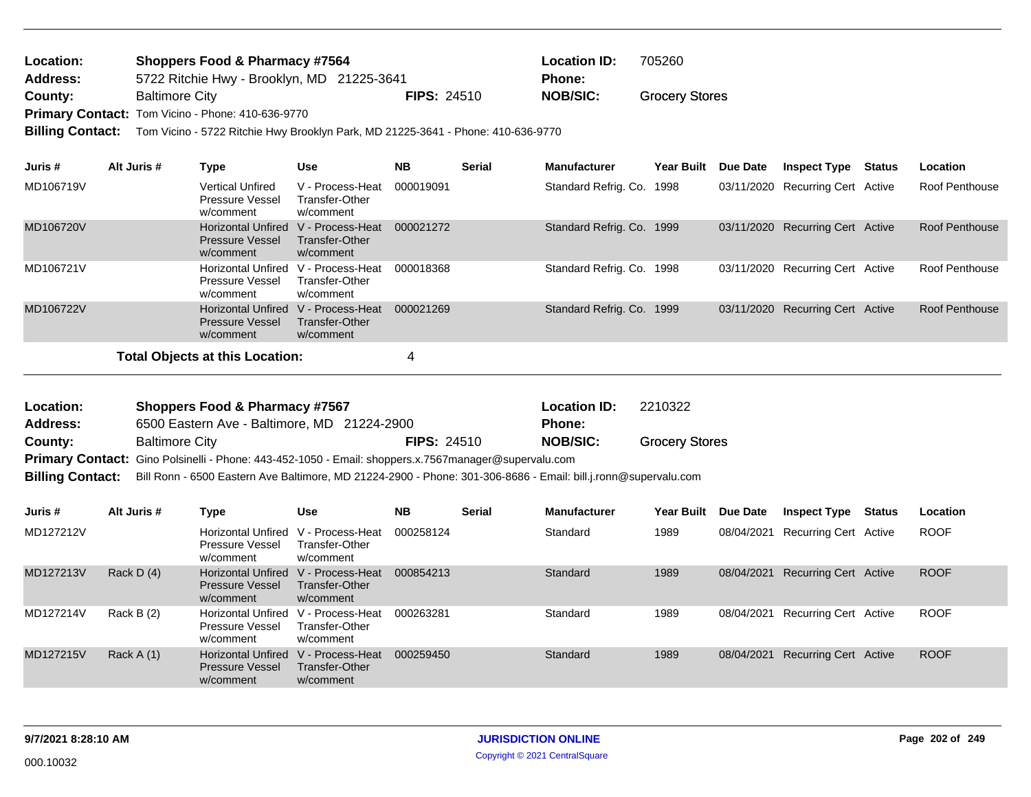| <b>Location:</b> | Shoppers Food & Pharmacy #7564                           |                    | <b>Location ID:</b> | 705260                |
|------------------|----------------------------------------------------------|--------------------|---------------------|-----------------------|
| <b>Address:</b>  | 5722 Ritchie Hwy - Brooklyn, MD 21225-3641               |                    | Phone:              |                       |
| County:          | <b>Baltimore City</b>                                    | <b>FIPS: 24510</b> | <b>NOB/SIC:</b>     | <b>Grocery Stores</b> |
|                  | <b>Primary Contact:</b> Tom Vicino - Phone: 410-636-9770 |                    |                     |                       |

**Billing Contact:** Tom Vicino - 5722 Ritchie Hwy Brooklyn Park, MD 21225-3641 - Phone: 410-636-9770

| Juris #   | Alt Juris # | Type                                                             | <b>Use</b>                                      | <b>NB</b> | <b>Serial</b> | <b>Manufacturer</b>       | <b>Year Built</b> | Due Date | <b>Inspect Type</b>              | Status | Location              |
|-----------|-------------|------------------------------------------------------------------|-------------------------------------------------|-----------|---------------|---------------------------|-------------------|----------|----------------------------------|--------|-----------------------|
| MD106719V |             | <b>Vertical Unfired</b><br>Pressure Vessel<br>w/comment          | V - Process-Heat<br>Transfer-Other<br>w/comment | 000019091 |               | Standard Refrig. Co. 1998 |                   |          | 03/11/2020 Recurring Cert Active |        | Roof Penthouse        |
| MD106720V |             | <b>Horizontal Unfired</b><br><b>Pressure Vessel</b><br>w/comment | V - Process-Heat<br>Transfer-Other<br>w/comment | 000021272 |               | Standard Refrig. Co. 1999 |                   |          | 03/11/2020 Recurring Cert Active |        | <b>Roof Penthouse</b> |
| MD106721V |             | <b>Horizontal Unfired</b><br>Pressure Vessel<br>w/comment        | V - Process-Heat<br>Transfer-Other<br>w/comment | 000018368 |               | Standard Refrig. Co. 1998 |                   |          | 03/11/2020 Recurring Cert Active |        | <b>Roof Penthouse</b> |
| MD106722V |             | <b>Horizontal Unfired</b><br><b>Pressure Vessel</b><br>w/comment | V - Process-Heat<br>Transfer-Other<br>w/comment | 000021269 |               | Standard Refrig. Co. 1999 |                   |          | 03/11/2020 Recurring Cert Active |        | <b>Roof Penthouse</b> |
|           |             | Total Objects at this Location:                                  |                                                 |           |               |                           |                   |          |                                  |        |                       |

| <b>Location:</b> | Shoppers Food & Pharmacy #7567                                                                       |                    | <b>Location ID:</b> | 2210322               |
|------------------|------------------------------------------------------------------------------------------------------|--------------------|---------------------|-----------------------|
| Address:         | 6500 Eastern Ave - Baltimore, MD 21224-2900                                                          |                    | <b>Phone:</b>       |                       |
| County:          | <b>Baltimore City</b>                                                                                | <b>FIPS: 24510</b> | NOB/SIC:            | <b>Grocery Stores</b> |
|                  | Primary Contact: Gino Polsinelli - Phone: 443-452-1050 - Email: shoppers.x.7567manager@supervalu.com |                    |                     |                       |

**Billing Contact:** Bill Ronn - 6500 Eastern Ave Baltimore, MD 21224-2900 - Phone: 301-306-8686 - Email: bill.j.ronn@supervalu.com

| Juris #   | Alt Juris #  | Type                                                             | <b>Use</b>                                      | <b>NB</b> | <b>Serial</b> | <b>Manufacturer</b> | <b>Year Built</b> | <b>Due Date</b> | <b>Inspect Type</b>   | Status | Location    |
|-----------|--------------|------------------------------------------------------------------|-------------------------------------------------|-----------|---------------|---------------------|-------------------|-----------------|-----------------------|--------|-------------|
| MD127212V |              | Horizontal Unfired<br>Pressure Vessel<br>w/comment               | V - Process-Heat<br>Transfer-Other<br>w/comment | 000258124 |               | Standard            | 1989              | 08/04/2021      | Recurring Cert Active |        | <b>ROOF</b> |
| MD127213V | Rack D $(4)$ | <b>Horizontal Unfired</b><br><b>Pressure Vessel</b><br>w/comment | V - Process-Heat<br>Transfer-Other<br>w/comment | 000854213 |               | Standard            | 1989              | 08/04/2021      | Recurring Cert Active |        | <b>ROOF</b> |
| MD127214V | Rack B $(2)$ | <b>Horizontal Unfired</b><br><b>Pressure Vessel</b><br>w/comment | V - Process-Heat<br>Transfer-Other<br>w/comment | 000263281 |               | Standard            | 1989              | 08/04/2021      | Recurring Cert Active |        | <b>ROOF</b> |
| MD127215V | Rack $A(1)$  | <b>Horizontal Unfired</b><br><b>Pressure Vessel</b><br>w/comment | V - Process-Heat<br>Transfer-Other<br>w/comment | 000259450 |               | Standard            | 1989              | 08/04/2021      | Recurring Cert Active |        | <b>ROOF</b> |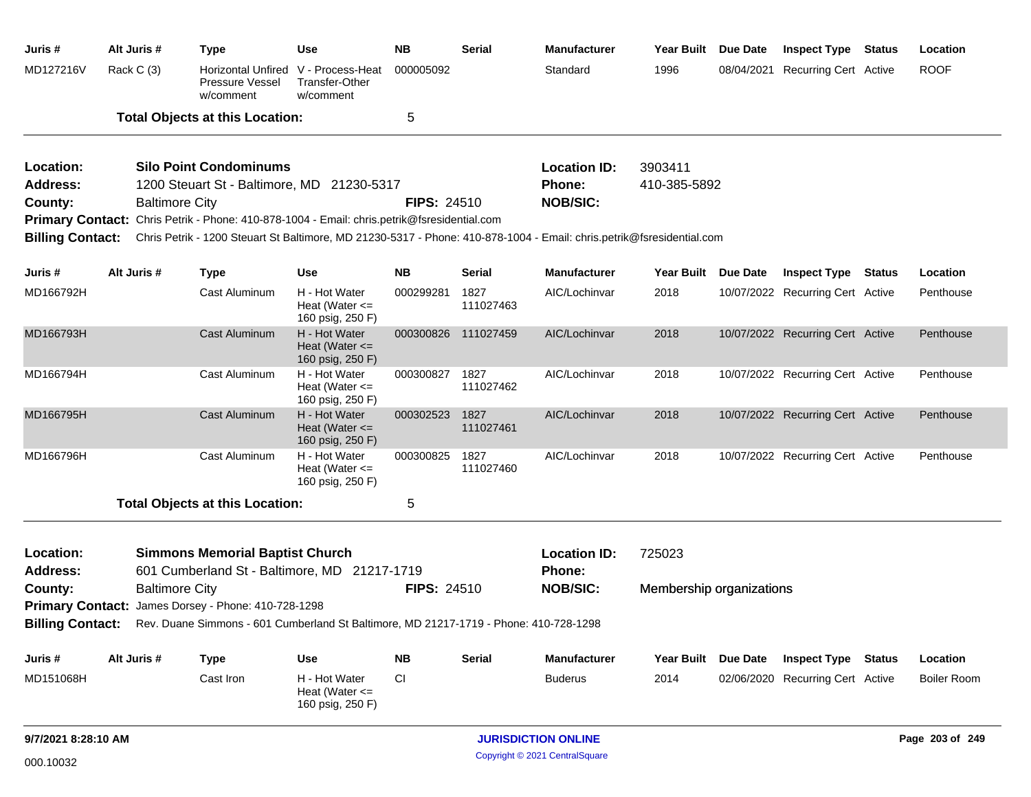| Juris #                      | Alt Juris #           | <b>Type</b>                                                                                                           | Use                                                                       | <b>NB</b>          | <b>Serial</b>       | Manufacturer                         | <b>Year Built</b>        | Due Date | Inspect Type                     | Status | Location           |
|------------------------------|-----------------------|-----------------------------------------------------------------------------------------------------------------------|---------------------------------------------------------------------------|--------------------|---------------------|--------------------------------------|--------------------------|----------|----------------------------------|--------|--------------------|
| MD127216V                    | Rack C (3)            | Pressure Vessel<br>w/comment                                                                                          | Horizontal Unfired V - Process-Heat<br><b>Transfer-Other</b><br>w/comment | 000005092          |                     | Standard                             | 1996                     |          | 08/04/2021 Recurring Cert Active |        | <b>ROOF</b>        |
|                              |                       | <b>Total Objects at this Location:</b>                                                                                |                                                                           | 5                  |                     |                                      |                          |          |                                  |        |                    |
| Location:                    |                       | <b>Silo Point Condominums</b>                                                                                         |                                                                           |                    |                     | <b>Location ID:</b>                  | 3903411                  |          |                                  |        |                    |
| <b>Address:</b>              |                       | 1200 Steuart St - Baltimore, MD 21230-5317                                                                            |                                                                           |                    |                     | Phone:                               | 410-385-5892             |          |                                  |        |                    |
| County:                      | <b>Baltimore City</b> |                                                                                                                       |                                                                           | FIPS: 24510        |                     | <b>NOB/SIC:</b>                      |                          |          |                                  |        |                    |
|                              |                       | Primary Contact: Chris Petrik - Phone: 410-878-1004 - Email: chris.petrik@fsresidential.com                           |                                                                           |                    |                     |                                      |                          |          |                                  |        |                    |
| <b>Billing Contact:</b>      |                       | Chris Petrik - 1200 Steuart St Baltimore, MD 21230-5317 - Phone: 410-878-1004 - Email: chris.petrik@fsresidential.com |                                                                           |                    |                     |                                      |                          |          |                                  |        |                    |
| Juris #                      | Alt Juris #           | <b>Type</b>                                                                                                           | <b>Use</b>                                                                | <b>NB</b>          | <b>Serial</b>       | <b>Manufacturer</b>                  | Year Built Due Date      |          | <b>Inspect Type Status</b>       |        | Location           |
| MD166792H                    |                       | Cast Aluminum                                                                                                         | H - Hot Water<br>Heat (Water $\leq$<br>160 psig, 250 F)                   | 000299281          | 1827<br>111027463   | AIC/Lochinvar                        | 2018                     |          | 10/07/2022 Recurring Cert Active |        | Penthouse          |
| MD166793H                    |                       | Cast Aluminum                                                                                                         | H - Hot Water<br>Heat (Water $\leq$<br>160 psig, 250 F)                   |                    | 000300826 111027459 | AIC/Lochinvar                        | 2018                     |          | 10/07/2022 Recurring Cert Active |        | Penthouse          |
| MD166794H                    |                       | Cast Aluminum                                                                                                         | H - Hot Water<br>Heat (Water $\leq$<br>160 psig, 250 F)                   | 000300827          | 1827<br>111027462   | AIC/Lochinvar                        | 2018                     |          | 10/07/2022 Recurring Cert Active |        | Penthouse          |
| MD166795H                    |                       | <b>Cast Aluminum</b>                                                                                                  | H - Hot Water<br>Heat (Water $\leq$<br>160 psig, 250 F)                   | 000302523          | 1827<br>111027461   | AIC/Lochinvar                        | 2018                     |          | 10/07/2022 Recurring Cert Active |        | Penthouse          |
| MD166796H                    |                       | Cast Aluminum                                                                                                         | H - Hot Water<br>Heat (Water $\leq$<br>160 psig, 250 F)                   | 000300825          | 1827<br>111027460   | AIC/Lochinvar                        | 2018                     |          | 10/07/2022 Recurring Cert Active |        | Penthouse          |
|                              |                       | <b>Total Objects at this Location:</b>                                                                                |                                                                           | 5                  |                     |                                      |                          |          |                                  |        |                    |
| Location:<br><b>Address:</b> |                       | <b>Simmons Memorial Baptist Church</b><br>601 Cumberland St - Baltimore, MD 21217-1719                                |                                                                           |                    |                     | <b>Location ID:</b><br><b>Phone:</b> | 725023                   |          |                                  |        |                    |
| County:                      | <b>Baltimore City</b> |                                                                                                                       |                                                                           | <b>FIPS: 24510</b> |                     | <b>NOB/SIC:</b>                      | Membership organizations |          |                                  |        |                    |
|                              |                       | Primary Contact: James Dorsey - Phone: 410-728-1298                                                                   |                                                                           |                    |                     |                                      |                          |          |                                  |        |                    |
| <b>Billing Contact:</b>      |                       | Rev. Duane Simmons - 601 Cumberland St Baltimore, MD 21217-1719 - Phone: 410-728-1298                                 |                                                                           |                    |                     |                                      |                          |          |                                  |        |                    |
| Juris#                       | Alt Juris #           | <b>Type</b>                                                                                                           | <b>Use</b>                                                                | <b>NB</b>          | <b>Serial</b>       | <b>Manufacturer</b>                  | Year Built Due Date      |          | <b>Inspect Type Status</b>       |        | Location           |
| MD151068H                    |                       | Cast Iron                                                                                                             | H - Hot Water<br>Heat (Water $\leq$<br>160 psig, 250 F)                   | <b>CI</b>          |                     | <b>Buderus</b>                       | 2014                     |          | 02/06/2020 Recurring Cert Active |        | <b>Boiler Room</b> |
| 9/7/2021 8:28:10 AM          |                       |                                                                                                                       |                                                                           |                    |                     | <b>JURISDICTION ONLINE</b>           |                          |          |                                  |        | Page 203 of 249    |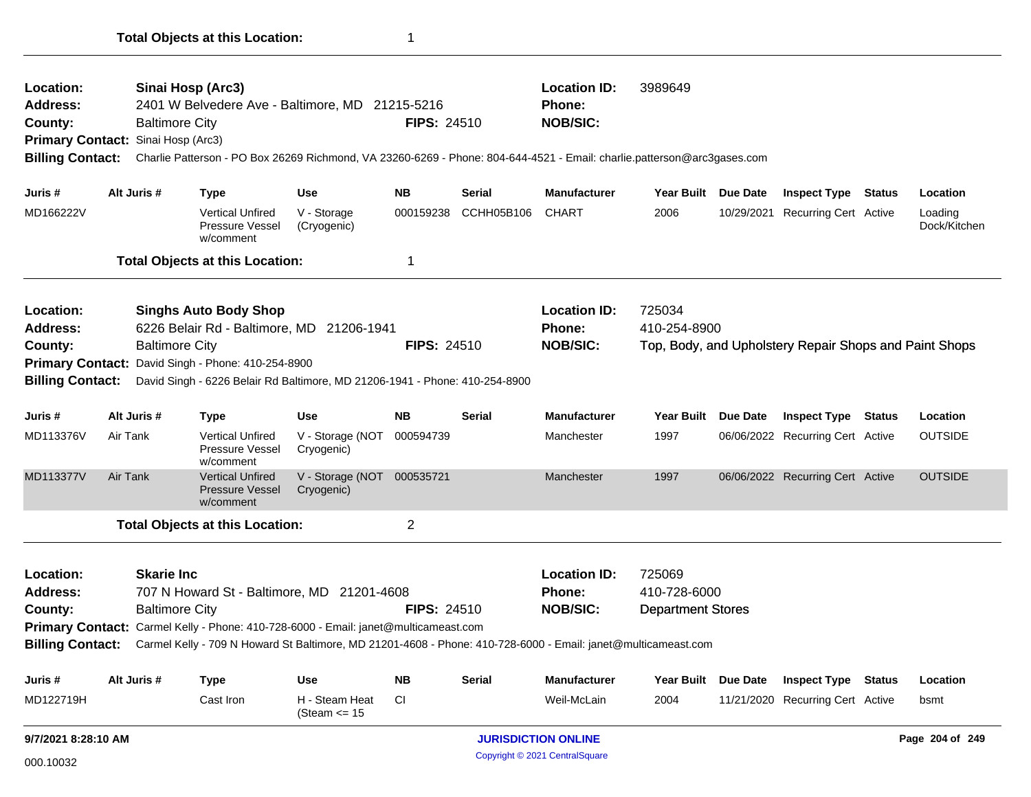| Location:<br>Address:<br>County:<br>Primary Contact: Sinai Hosp (Arc3)<br><b>Billing Contact:</b>      |             | Sinai Hosp (Arc3)<br><b>Baltimore City</b> | 2401 W Belvedere Ave - Baltimore, MD 21215-5216<br>Charlie Patterson - PO Box 26269 Richmond, VA 23260-6269 - Phone: 804-644-4521 - Email: charlie.patterson@arc3gases.com                                                                         |                                          | <b>FIPS: 24510</b> |                            | <b>Location ID:</b><br><b>Phone:</b><br><b>NOB/SIC:</b> | 3989649                                            |            |                                                        |                         |
|--------------------------------------------------------------------------------------------------------|-------------|--------------------------------------------|----------------------------------------------------------------------------------------------------------------------------------------------------------------------------------------------------------------------------------------------------|------------------------------------------|--------------------|----------------------------|---------------------------------------------------------|----------------------------------------------------|------------|--------------------------------------------------------|-------------------------|
| Juris#                                                                                                 |             | Alt Juris #                                | <b>Type</b>                                                                                                                                                                                                                                        | <b>Use</b>                               | <b>NB</b>          | Serial                     | <b>Manufacturer</b>                                     | Year Built Due Date                                |            | <b>Inspect Type Status</b>                             | Location                |
| MD166222V                                                                                              |             |                                            | <b>Vertical Unfired</b><br>Pressure Vessel<br>w/comment                                                                                                                                                                                            | V - Storage<br>(Cryogenic)               | 000159238          | CCHH05B106                 | <b>CHART</b>                                            | 2006                                               | 10/29/2021 | <b>Recurring Cert Active</b>                           | Loading<br>Dock/Kitchen |
|                                                                                                        |             |                                            | <b>Total Objects at this Location:</b>                                                                                                                                                                                                             |                                          | 1                  |                            |                                                         |                                                    |            |                                                        |                         |
| Location:<br><b>Address:</b><br>County:<br><b>Primary Contact:</b>                                     |             | <b>Baltimore City</b>                      | <b>Singhs Auto Body Shop</b><br>6226 Belair Rd - Baltimore, MD 21206-1941<br>David Singh - Phone: 410-254-8900                                                                                                                                     |                                          | <b>FIPS: 24510</b> |                            | <b>Location ID:</b><br>Phone:<br><b>NOB/SIC:</b>        | 725034<br>410-254-8900                             |            | Top, Body, and Upholstery Repair Shops and Paint Shops |                         |
| David Singh - 6226 Belair Rd Baltimore, MD 21206-1941 - Phone: 410-254-8900<br><b>Billing Contact:</b> |             |                                            |                                                                                                                                                                                                                                                    |                                          |                    |                            |                                                         |                                                    |            |                                                        |                         |
| Juris #                                                                                                |             | Alt Juris #                                | Type                                                                                                                                                                                                                                               | <b>Use</b>                               | <b>NB</b>          | <b>Serial</b>              | <b>Manufacturer</b>                                     | <b>Year Built</b>                                  | Due Date   | <b>Inspect Type Status</b>                             | Location                |
| MD113376V                                                                                              | Air Tank    |                                            | <b>Vertical Unfired</b><br>Pressure Vessel<br>w/comment                                                                                                                                                                                            | V - Storage (NOT<br>Cryogenic)           | 000594739          |                            | Manchester                                              | 1997                                               |            | 06/06/2022 Recurring Cert Active                       | <b>OUTSIDE</b>          |
| MD113377V                                                                                              | Air Tank    |                                            | <b>Vertical Unfired</b><br><b>Pressure Vessel</b><br>w/comment                                                                                                                                                                                     | V - Storage (NOT 000535721<br>Cryogenic) |                    |                            | Manchester                                              | 1997                                               |            | 06/06/2022 Recurring Cert Active                       | <b>OUTSIDE</b>          |
|                                                                                                        |             |                                            | <b>Total Objects at this Location:</b>                                                                                                                                                                                                             |                                          | $\overline{2}$     |                            |                                                         |                                                    |            |                                                        |                         |
| Location:<br><b>Address:</b><br>County:<br><b>Billing Contact:</b>                                     |             | <b>Skarie Inc</b><br><b>Baltimore City</b> | 707 N Howard St - Baltimore, MD 21201-4608<br>Primary Contact: Carmel Kelly - Phone: 410-728-6000 - Email: janet@multicameast.com<br>Carmel Kelly - 709 N Howard St Baltimore, MD 21201-4608 - Phone: 410-728-6000 - Email: janet@multicameast.com |                                          | <b>FIPS: 24510</b> |                            | <b>Location ID:</b><br>Phone:<br><b>NOB/SIC:</b>        | 725069<br>410-728-6000<br><b>Department Stores</b> |            |                                                        |                         |
| Juris #                                                                                                | Alt Juris # |                                            | Type                                                                                                                                                                                                                                               | <b>Use</b>                               | <b>NB</b>          | Serial                     | <b>Manufacturer</b>                                     | Year Built Due Date                                |            | <b>Inspect Type Status</b>                             | Location                |
| MD122719H                                                                                              |             |                                            | Cast Iron                                                                                                                                                                                                                                          | H - Steam Heat<br>(Steam $\le$ 15        | <b>CI</b>          |                            | Weil-McLain                                             | 2004                                               |            | 11/21/2020 Recurring Cert Active                       | bsmt                    |
| 9/7/2021 8:28:10 AM                                                                                    |             |                                            |                                                                                                                                                                                                                                                    |                                          |                    | <b>JURISDICTION ONLINE</b> |                                                         |                                                    |            | Page 204 of 249                                        |                         |

Copyright © 2021 CentralSquare 000.10032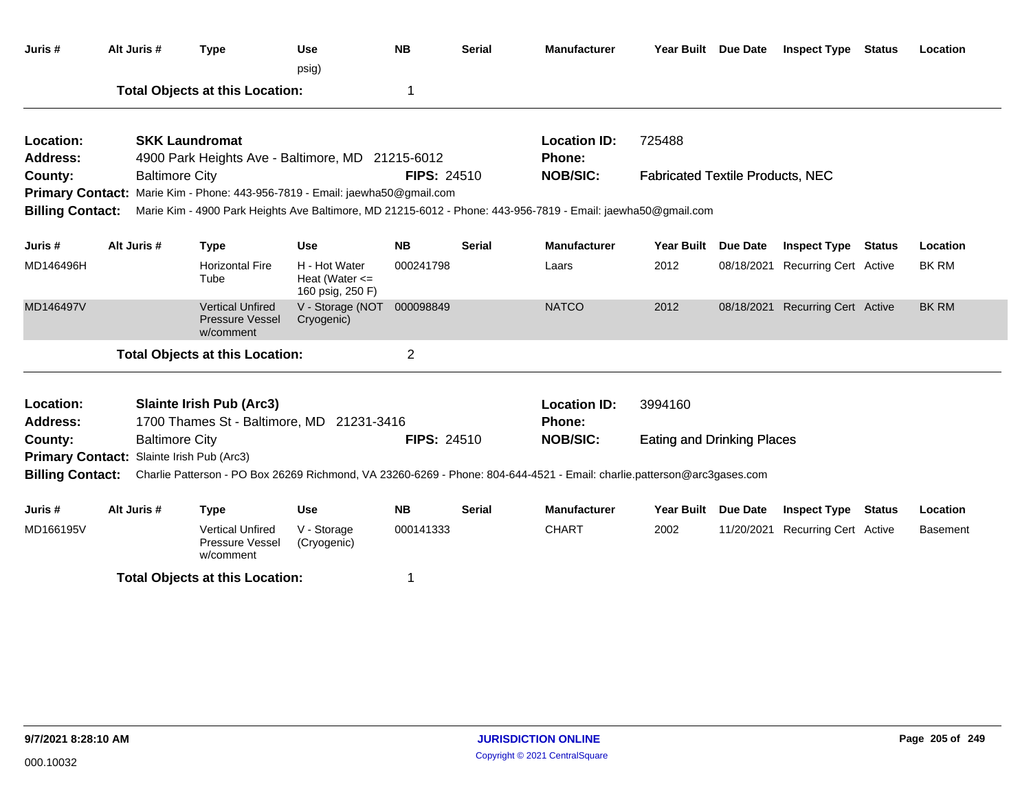| Juris #                 | Alt Juris #                               | <b>Type</b>                                                                  | Use<br>psig)                                            | <b>NB</b>          | <b>Serial</b> | <b>Manufacturer</b>                                                                                                     | Year Built Due Date                     |                 | <b>Inspect Type Status</b>       |        | Location        |
|-------------------------|-------------------------------------------|------------------------------------------------------------------------------|---------------------------------------------------------|--------------------|---------------|-------------------------------------------------------------------------------------------------------------------------|-----------------------------------------|-----------------|----------------------------------|--------|-----------------|
|                         |                                           | <b>Total Objects at this Location:</b>                                       |                                                         | 1                  |               |                                                                                                                         |                                         |                 |                                  |        |                 |
| Location:               |                                           | <b>SKK Laundromat</b>                                                        |                                                         |                    |               | <b>Location ID:</b>                                                                                                     | 725488                                  |                 |                                  |        |                 |
| <b>Address:</b>         |                                           | 4900 Park Heights Ave - Baltimore, MD 21215-6012                             |                                                         |                    |               | Phone:                                                                                                                  |                                         |                 |                                  |        |                 |
| County:                 |                                           | <b>Baltimore City</b>                                                        |                                                         | <b>FIPS: 24510</b> |               | <b>NOB/SIC:</b>                                                                                                         | <b>Fabricated Textile Products, NEC</b> |                 |                                  |        |                 |
|                         |                                           | Primary Contact: Marie Kim - Phone: 443-956-7819 - Email: jaewha50@gmail.com |                                                         |                    |               |                                                                                                                         |                                         |                 |                                  |        |                 |
| <b>Billing Contact:</b> |                                           |                                                                              |                                                         |                    |               | Marie Kim - 4900 Park Heights Ave Baltimore, MD 21215-6012 - Phone: 443-956-7819 - Email: jaewha50@gmail.com            |                                         |                 |                                  |        |                 |
| Juris #                 | Alt Juris #                               | <b>Type</b>                                                                  | <b>Use</b>                                              | <b>NB</b>          | <b>Serial</b> | <b>Manufacturer</b>                                                                                                     | Year Built                              | <b>Due Date</b> | <b>Inspect Type Status</b>       |        | Location        |
| MD146496H               |                                           | <b>Horizontal Fire</b><br>Tube                                               | H - Hot Water<br>Heat (Water $\leq$<br>160 psig, 250 F) | 000241798          |               | Laars                                                                                                                   | 2012                                    |                 | 08/18/2021 Recurring Cert Active |        | <b>BK RM</b>    |
| MD146497V               |                                           | <b>Vertical Unfired</b><br><b>Pressure Vessel</b><br>w/comment               | V - Storage (NOT<br>Cryogenic)                          | 000098849          |               | <b>NATCO</b>                                                                                                            | 2012                                    |                 | 08/18/2021 Recurring Cert Active |        | <b>BK RM</b>    |
|                         |                                           | <b>Total Objects at this Location:</b>                                       |                                                         | $\overline{2}$     |               |                                                                                                                         |                                         |                 |                                  |        |                 |
| Location:               |                                           | <b>Slainte Irish Pub (Arc3)</b>                                              |                                                         |                    |               | <b>Location ID:</b>                                                                                                     | 3994160                                 |                 |                                  |        |                 |
| <b>Address:</b>         |                                           | 1700 Thames St - Baltimore, MD 21231-3416                                    |                                                         |                    |               | <b>Phone:</b>                                                                                                           |                                         |                 |                                  |        |                 |
| County:                 |                                           | <b>Baltimore City</b>                                                        |                                                         | <b>FIPS: 24510</b> |               | <b>NOB/SIC:</b>                                                                                                         | <b>Eating and Drinking Places</b>       |                 |                                  |        |                 |
|                         | Primary Contact: Slainte Irish Pub (Arc3) |                                                                              |                                                         |                    |               |                                                                                                                         |                                         |                 |                                  |        |                 |
| <b>Billing Contact:</b> |                                           |                                                                              |                                                         |                    |               | Charlie Patterson - PO Box 26269 Richmond, VA 23260-6269 - Phone: 804-644-4521 - Email: charlie.patterson@arc3gases.com |                                         |                 |                                  |        |                 |
| Juris #                 | Alt Juris #                               | <b>Type</b>                                                                  | <b>Use</b>                                              | <b>NB</b>          | <b>Serial</b> | <b>Manufacturer</b>                                                                                                     | <b>Year Built</b>                       | <b>Due Date</b> | <b>Inspect Type</b>              | Status | Location        |
| MD166195V               |                                           | <b>Vertical Unfired</b><br>Pressure Vessel<br>w/comment                      | V - Storage<br>(Cryogenic)                              | 000141333          |               | <b>CHART</b>                                                                                                            | 2002                                    |                 | 11/20/2021 Recurring Cert Active |        | <b>Basement</b> |
|                         |                                           | <b>Total Objects at this Location:</b>                                       |                                                         | -1                 |               |                                                                                                                         |                                         |                 |                                  |        |                 |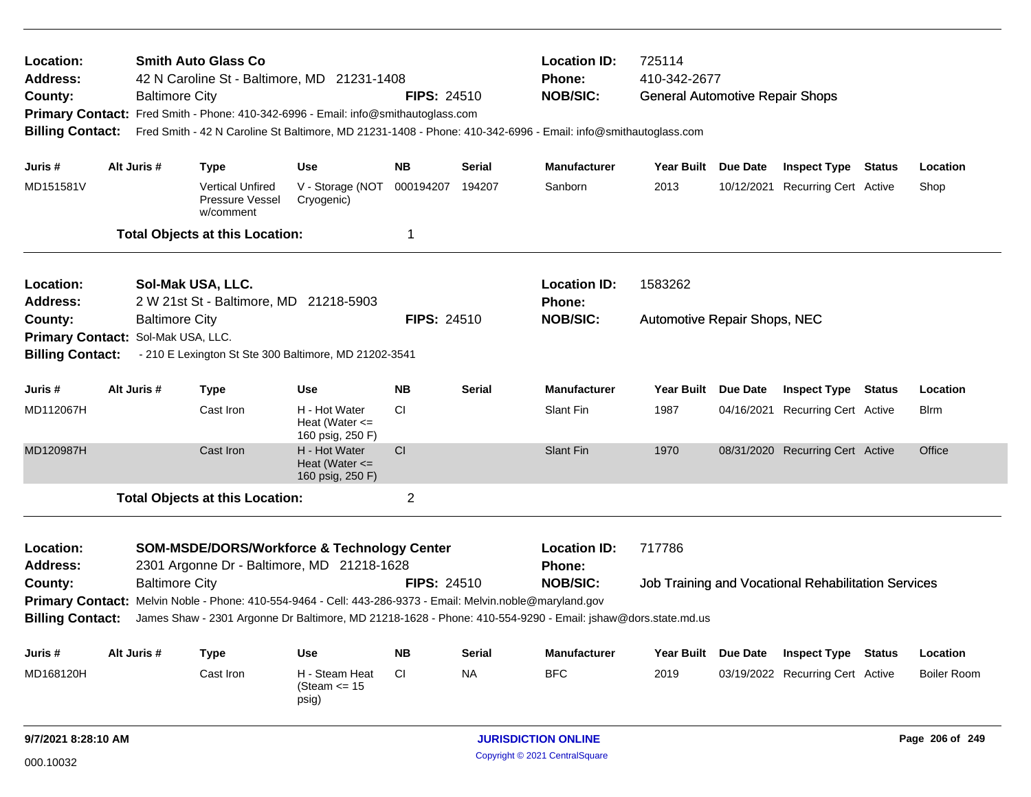| <b>Location:</b><br><b>Smith Auto Glass Co</b><br>42 N Caroline St - Baltimore, MD 21231-1408<br>Address:<br>County:<br><b>Baltimore City</b><br>Primary Contact: Fred Smith - Phone: 410-342-6996 - Email: info@smithautoglass.com<br><b>Billing Contact:</b><br>Fred Smith - 42 N Caroline St Baltimore, MD 21231-1408 - Phone: 410-342-6996 - Email: info@smithautoglass.com |                                                             |                                                                                                      |                                                         | <b>FIPS: 24510</b> |                 | <b>Location ID:</b><br>Phone:<br><b>NOB/SIC:</b>                                                            | 725114<br>410-342-2677<br><b>General Automotive Repair Shops</b> |  |                                                     |               |                    |  |
|---------------------------------------------------------------------------------------------------------------------------------------------------------------------------------------------------------------------------------------------------------------------------------------------------------------------------------------------------------------------------------|-------------------------------------------------------------|------------------------------------------------------------------------------------------------------|---------------------------------------------------------|--------------------|-----------------|-------------------------------------------------------------------------------------------------------------|------------------------------------------------------------------|--|-----------------------------------------------------|---------------|--------------------|--|
| Juris #                                                                                                                                                                                                                                                                                                                                                                         | Alt Juris #                                                 | Type                                                                                                 | <b>Use</b>                                              | <b>NB</b>          | <b>Serial</b>   | <b>Manufacturer</b>                                                                                         | Year Built Due Date                                              |  | <b>Inspect Type</b>                                 | Status        | Location           |  |
| MD151581V                                                                                                                                                                                                                                                                                                                                                                       |                                                             | <b>Vertical Unfired</b><br>Pressure Vessel<br>w/comment                                              | V - Storage (NOT<br>Cryogenic)                          | 000194207          | 194207          | Sanborn                                                                                                     | 2013                                                             |  | 10/12/2021 Recurring Cert Active                    |               | Shop               |  |
|                                                                                                                                                                                                                                                                                                                                                                                 |                                                             | <b>Total Objects at this Location:</b>                                                               |                                                         | $\mathbf 1$        |                 |                                                                                                             |                                                                  |  |                                                     |               |                    |  |
| Location:<br><b>Address:</b>                                                                                                                                                                                                                                                                                                                                                    |                                                             | Sol-Mak USA, LLC.<br>2 W 21st St - Baltimore, MD 21218-5903                                          |                                                         |                    |                 | <b>Location ID:</b><br><b>Phone:</b>                                                                        | 1583262                                                          |  |                                                     |               |                    |  |
| County:<br><b>Billing Contact:</b>                                                                                                                                                                                                                                                                                                                                              | <b>Baltimore City</b><br>Primary Contact: Sol-Mak USA, LLC. | - 210 E Lexington St Ste 300 Baltimore, MD 21202-3541                                                |                                                         | <b>FIPS: 24510</b> | <b>NOB/SIC:</b> | Automotive Repair Shops, NEC                                                                                |                                                                  |  |                                                     |               |                    |  |
| Juris #                                                                                                                                                                                                                                                                                                                                                                         | Alt Juris #                                                 | Type                                                                                                 | <b>Use</b>                                              | <b>NB</b>          | <b>Serial</b>   | <b>Manufacturer</b>                                                                                         | Year Built Due Date                                              |  | <b>Inspect Type Status</b>                          |               | Location           |  |
| MD112067H                                                                                                                                                                                                                                                                                                                                                                       |                                                             | Cast Iron                                                                                            | H - Hot Water<br>Heat (Water $\leq$<br>160 psig, 250 F) | <b>CI</b>          |                 | Slant Fin                                                                                                   | 1987                                                             |  | 04/16/2021 Recurring Cert Active                    |               | <b>B</b> lrm       |  |
| MD120987H                                                                                                                                                                                                                                                                                                                                                                       |                                                             | Cast Iron                                                                                            | H - Hot Water<br>Heat (Water $\leq$<br>160 psig, 250 F) | CI                 |                 | <b>Slant Fin</b>                                                                                            | 1970                                                             |  | 08/31/2020 Recurring Cert Active                    |               | Office             |  |
|                                                                                                                                                                                                                                                                                                                                                                                 |                                                             | <b>Total Objects at this Location:</b>                                                               |                                                         | $\overline{2}$     |                 |                                                                                                             |                                                                  |  |                                                     |               |                    |  |
| Location:<br><b>Address:</b>                                                                                                                                                                                                                                                                                                                                                    |                                                             | <b>SOM-MSDE/DORS/Workforce &amp; Technology Center</b><br>2301 Argonne Dr - Baltimore, MD 21218-1628 |                                                         |                    |                 | <b>Location ID:</b><br><b>Phone:</b>                                                                        | 717786                                                           |  |                                                     |               |                    |  |
| County:<br><b>Baltimore City</b><br>Primary Contact: Melvin Noble - Phone: 410-554-9464 - Cell: 443-286-9373 - Email: Melvin.noble@maryland.gov                                                                                                                                                                                                                                 |                                                             |                                                                                                      |                                                         | <b>FIPS: 24510</b> |                 | <b>NOB/SIC:</b>                                                                                             |                                                                  |  | Job Training and Vocational Rehabilitation Services |               |                    |  |
| <b>Billing Contact:</b>                                                                                                                                                                                                                                                                                                                                                         |                                                             |                                                                                                      |                                                         |                    |                 | James Shaw - 2301 Argonne Dr Baltimore, MD 21218-1628 - Phone: 410-554-9290 - Email: jshaw@dors.state.md.us |                                                                  |  |                                                     |               |                    |  |
| Juris #                                                                                                                                                                                                                                                                                                                                                                         | Alt Juris #                                                 | <b>Type</b>                                                                                          | <b>Use</b>                                              | <b>NB</b>          | <b>Serial</b>   | <b>Manufacturer</b>                                                                                         | Year Built Due Date                                              |  | <b>Inspect Type</b>                                 | <b>Status</b> | Location           |  |
| MD168120H                                                                                                                                                                                                                                                                                                                                                                       |                                                             | Cast Iron                                                                                            | H - Steam Heat<br>(Steam $\leq$ 15<br>psig)             | <b>CI</b>          | <b>NA</b>       | <b>BFC</b>                                                                                                  | 2019                                                             |  | 03/19/2022 Recurring Cert Active                    |               | <b>Boiler Room</b> |  |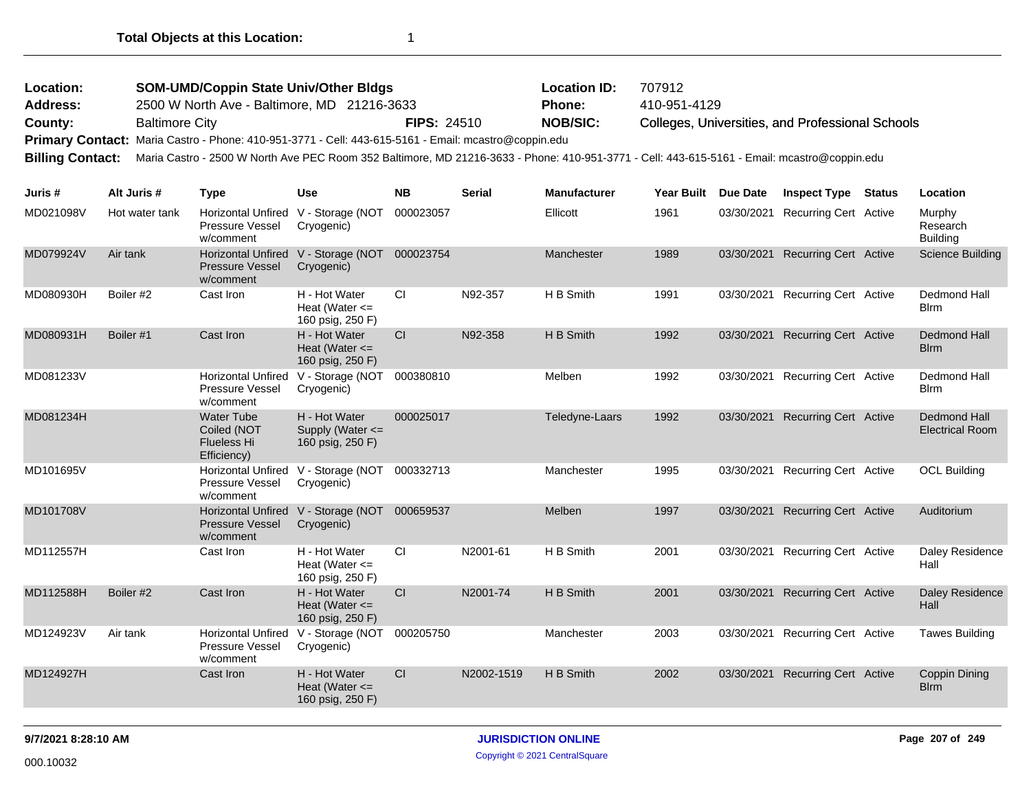| <b>Location:</b> | <b>SOM-UMD/Coppin State Univ/Other Bldgs</b>                                                         |                    | <b>Location ID:</b> | 707912                                           |
|------------------|------------------------------------------------------------------------------------------------------|--------------------|---------------------|--------------------------------------------------|
| Address:         | 2500 W North Ave - Baltimore, MD 21216-3633                                                          |                    | <b>Phone:</b>       | 410-951-4129                                     |
| <b>County:</b>   | <b>Baltimore City</b>                                                                                | <b>FIPS: 24510</b> | <b>NOB/SIC:</b>     | Colleges, Universities, and Professional Schools |
|                  | Primary Contact: Maria Castro - Phone: 410-951-3771 - Cell: 443-615-5161 - Email: mcastro@coppin.edu |                    |                     |                                                  |

**Billing Contact:** Maria Castro - 2500 W North Ave PEC Room 352 Baltimore, MD 21216-3633 - Phone: 410-951-3771 - Cell: 443-615-5161 - Email: mcastro@coppin.edu

| Juris #   | Alt Juris #    | <b>Type</b>                                                           | <b>Use</b>                                              | <b>NB</b> | <b>Serial</b> | <b>Manufacturer</b> | Year Built | <b>Due Date</b> | <b>Inspect Type</b>          | <b>Status</b> | Location                               |
|-----------|----------------|-----------------------------------------------------------------------|---------------------------------------------------------|-----------|---------------|---------------------|------------|-----------------|------------------------------|---------------|----------------------------------------|
| MD021098V | Hot water tank | <b>Horizontal Unfired</b><br>Pressure Vessel<br>w/comment             | V - Storage (NOT<br>Cryogenic)                          | 000023057 |               | Ellicott            | 1961       | 03/30/2021      | <b>Recurring Cert Active</b> |               | Murphy<br>Research<br><b>Building</b>  |
| MD079924V | Air tank       | <b>Pressure Vessel</b><br>w/comment                                   | Horizontal Unfired V - Storage (NOT<br>Cryogenic)       | 000023754 |               | Manchester          | 1989       | 03/30/2021      | <b>Recurring Cert Active</b> |               | <b>Science Building</b>                |
| MD080930H | Boiler #2      | Cast Iron                                                             | H - Hot Water<br>Heat (Water $\leq$<br>160 psig, 250 F) | <b>CI</b> | N92-357       | H B Smith           | 1991       | 03/30/2021      | <b>Recurring Cert Active</b> |               | <b>Dedmond Hall</b><br><b>Blrm</b>     |
| MD080931H | Boiler #1      | Cast Iron                                                             | H - Hot Water<br>Heat (Water $\leq$<br>160 psig, 250 F) | <b>CI</b> | N92-358       | H B Smith           | 1992       | 03/30/2021      | <b>Recurring Cert Active</b> |               | <b>Dedmond Hall</b><br><b>Blrm</b>     |
| MD081233V |                | <b>Horizontal Unfired</b><br>Pressure Vessel<br>w/comment             | V - Storage (NOT<br>Cryogenic)                          | 000380810 |               | Melben              | 1992       | 03/30/2021      | <b>Recurring Cert Active</b> |               | Dedmond Hall<br><b>Blrm</b>            |
| MD081234H |                | <b>Water Tube</b><br>Coiled (NOT<br><b>Flueless Hi</b><br>Efficiency) | H - Hot Water<br>Supply (Water <=<br>160 psig, 250 F)   | 000025017 |               | Teledyne-Laars      | 1992       | 03/30/2021      | <b>Recurring Cert Active</b> |               | Dedmond Hall<br><b>Electrical Room</b> |
| MD101695V |                | <b>Horizontal Unfired</b><br>Pressure Vessel<br>w/comment             | V - Storage (NOT<br>Cryogenic)                          | 000332713 |               | Manchester          | 1995       | 03/30/2021      | <b>Recurring Cert Active</b> |               | <b>OCL Building</b>                    |
| MD101708V |                | <b>Horizontal Unfired</b><br><b>Pressure Vessel</b><br>w/comment      | V - Storage (NOT<br>Cryogenic)                          | 000659537 |               | Melben              | 1997       | 03/30/2021      | <b>Recurring Cert Active</b> |               | Auditorium                             |
| MD112557H |                | Cast Iron                                                             | H - Hot Water<br>Heat (Water $\leq$<br>160 psig, 250 F) | <b>CI</b> | N2001-61      | H B Smith           | 2001       | 03/30/2021      | <b>Recurring Cert Active</b> |               | Daley Residence<br>Hall                |
| MD112588H | Boiler #2      | Cast Iron                                                             | H - Hot Water<br>Heat (Water $\leq$<br>160 psig, 250 F) | CI        | N2001-74      | H B Smith           | 2001       | 03/30/2021      | <b>Recurring Cert Active</b> |               | Daley Residence<br>Hall                |
| MD124923V | Air tank       | <b>Horizontal Unfired</b><br>Pressure Vessel<br>w/comment             | V - Storage (NOT<br>Cryogenic)                          | 000205750 |               | Manchester          | 2003       | 03/30/2021      | <b>Recurring Cert Active</b> |               | <b>Tawes Building</b>                  |
| MD124927H |                | Cast Iron                                                             | H - Hot Water<br>Heat (Water $\leq$<br>160 psig, 250 F) | <b>CI</b> | N2002-1519    | H B Smith           | 2002       | 03/30/2021      | <b>Recurring Cert Active</b> |               | <b>Coppin Dining</b><br><b>Blrm</b>    |

Copyright © 2021 CentralSquare 000.10032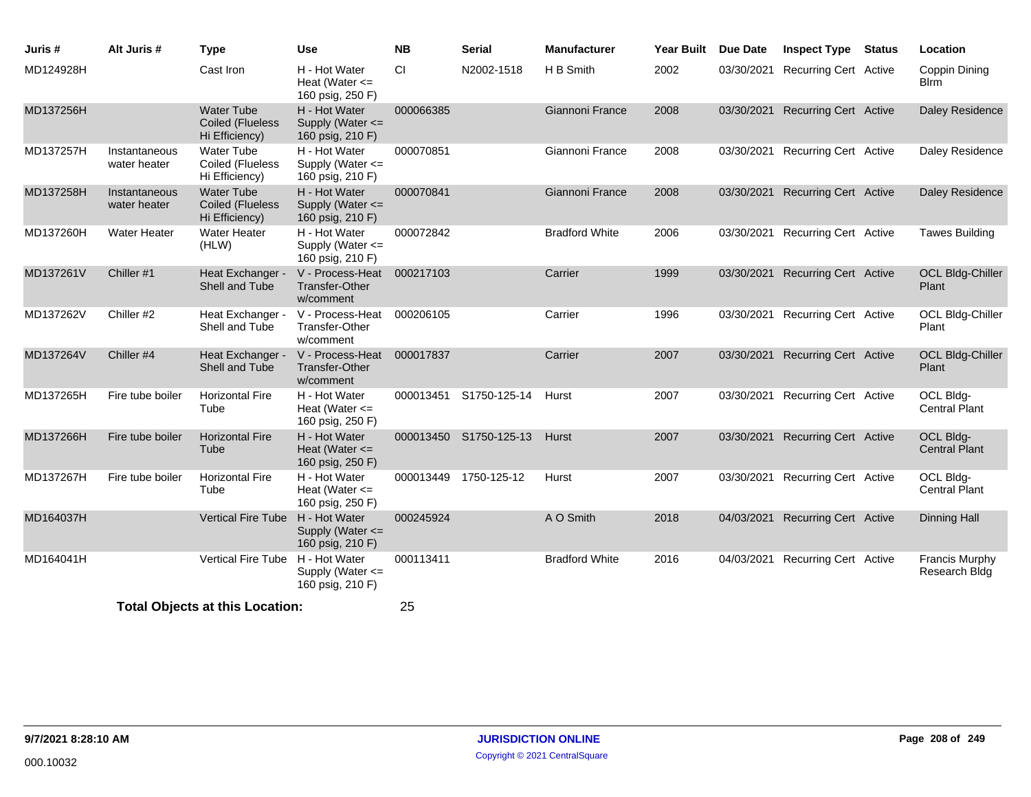| Juris #   | Alt Juris #                   | <b>Type</b>                                             | <b>Use</b>                                                | <b>NB</b> | <b>Serial</b>          | <b>Manufacturer</b>   | <b>Year Built</b> | <b>Due Date</b> | <b>Inspect Type</b>              | <b>Status</b> | Location                               |
|-----------|-------------------------------|---------------------------------------------------------|-----------------------------------------------------------|-----------|------------------------|-----------------------|-------------------|-----------------|----------------------------------|---------------|----------------------------------------|
| MD124928H |                               | Cast Iron                                               | H - Hot Water<br>Heat (Water $\leq$<br>160 psig, 250 F)   | СI        | N2002-1518             | H B Smith             | 2002              | 03/30/2021      | <b>Recurring Cert Active</b>     |               | Coppin Dining<br><b>Blrm</b>           |
| MD137256H |                               | <b>Water Tube</b><br>Coiled (Flueless<br>Hi Efficiency) | H - Hot Water<br>Supply (Water <=<br>160 psig, 210 F)     | 000066385 |                        | Giannoni France       | 2008              | 03/30/2021      | <b>Recurring Cert Active</b>     |               | Daley Residence                        |
| MD137257H | Instantaneous<br>water heater | <b>Water Tube</b><br>Coiled (Flueless<br>Hi Efficiency) | H - Hot Water<br>Supply (Water $\leq$<br>160 psig, 210 F) | 000070851 |                        | Giannoni France       | 2008              | 03/30/2021      | <b>Recurring Cert Active</b>     |               | Daley Residence                        |
| MD137258H | Instantaneous<br>water heater | <b>Water Tube</b><br>Coiled (Flueless<br>Hi Efficiency) | H - Hot Water<br>Supply (Water <=<br>160 psig, 210 F)     | 000070841 |                        | Giannoni France       | 2008              | 03/30/2021      | <b>Recurring Cert Active</b>     |               | Daley Residence                        |
| MD137260H | <b>Water Heater</b>           | Water Heater<br>(HLW)                                   | H - Hot Water<br>Supply (Water <=<br>160 psig, 210 F)     | 000072842 |                        | <b>Bradford White</b> | 2006              |                 | 03/30/2021 Recurring Cert Active |               | <b>Tawes Building</b>                  |
| MD137261V | Chiller #1                    | Heat Exchanger -<br>Shell and Tube                      | V - Process-Heat<br><b>Transfer-Other</b><br>w/comment    | 000217103 |                        | Carrier               | 1999              | 03/30/2021      | <b>Recurring Cert Active</b>     |               | <b>OCL Bldg-Chiller</b><br>Plant       |
| MD137262V | Chiller #2                    | Heat Exchanger -<br>Shell and Tube                      | V - Process-Heat<br>Transfer-Other<br>w/comment           | 000206105 |                        | Carrier               | 1996              |                 | 03/30/2021 Recurring Cert Active |               | OCL Bldg-Chiller<br>Plant              |
| MD137264V | Chiller #4                    | Heat Exchanger -<br>Shell and Tube                      | V - Process-Heat<br>Transfer-Other<br>w/comment           | 000017837 |                        | Carrier               | 2007              | 03/30/2021      | <b>Recurring Cert Active</b>     |               | <b>OCL Bldg-Chiller</b><br>Plant       |
| MD137265H | Fire tube boiler              | <b>Horizontal Fire</b><br>Tube                          | H - Hot Water<br>Heat (Water $\leq$<br>160 psig, 250 F)   | 000013451 | S1750-125-14           | Hurst                 | 2007              |                 | 03/30/2021 Recurring Cert Active |               | OCL Bldg-<br><b>Central Plant</b>      |
| MD137266H | Fire tube boiler              | <b>Horizontal Fire</b><br>Tube                          | H - Hot Water<br>Heat (Water $\leq$<br>160 psig, 250 F)   |           | 000013450 S1750-125-13 | <b>Hurst</b>          | 2007              | 03/30/2021      | <b>Recurring Cert Active</b>     |               | OCL Bldg-<br><b>Central Plant</b>      |
| MD137267H | Fire tube boiler              | <b>Horizontal Fire</b><br>Tube                          | H - Hot Water<br>Heat (Water $\leq$<br>160 psig, 250 F)   |           | 000013449 1750-125-12  | Hurst                 | 2007              |                 | 03/30/2021 Recurring Cert Active |               | OCL Bldg-<br><b>Central Plant</b>      |
| MD164037H |                               | <b>Vertical Fire Tube</b>                               | H - Hot Water<br>Supply (Water $\leq$<br>160 psig, 210 F) | 000245924 |                        | A O Smith             | 2018              | 04/03/2021      | <b>Recurring Cert Active</b>     |               | Dinning Hall                           |
| MD164041H |                               | <b>Vertical Fire Tube</b>                               | H - Hot Water<br>Supply (Water <=<br>160 psig, 210 F)     | 000113411 |                        | <b>Bradford White</b> | 2016              |                 | 04/03/2021 Recurring Cert Active |               | <b>Francis Murphy</b><br>Research Bldg |
|           |                               | <b>Total Objects at this Location:</b>                  |                                                           | 25        |                        |                       |                   |                 |                                  |               |                                        |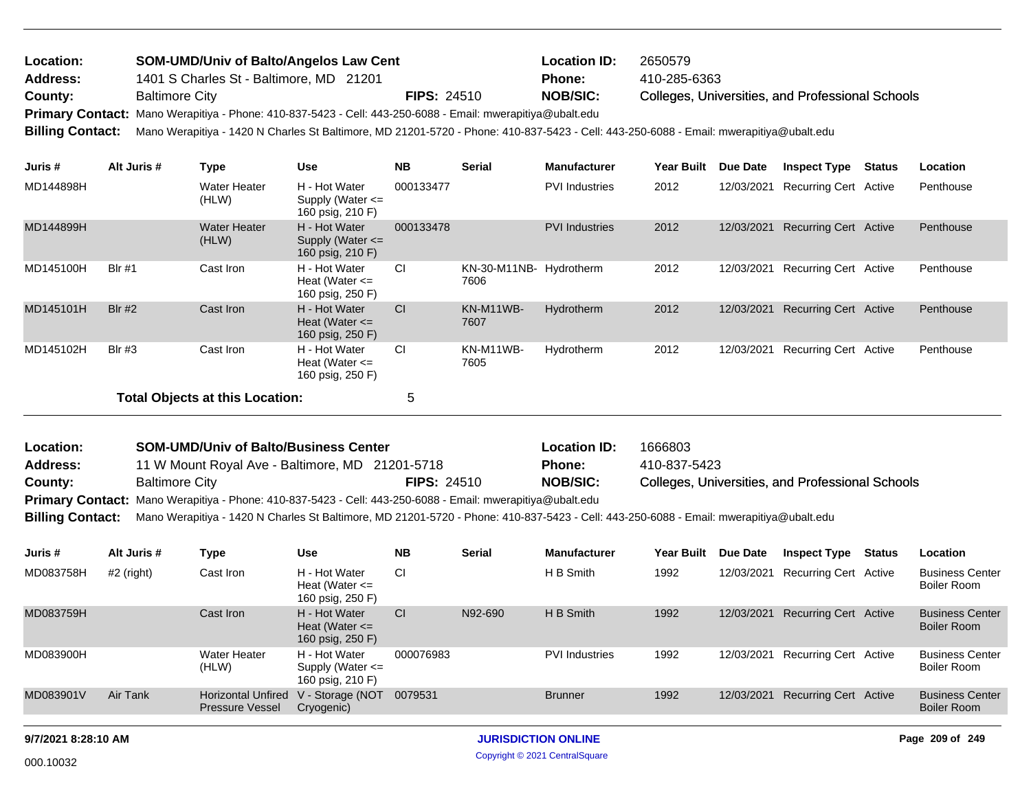| <b>Location:</b> | <b>SOM-UMD/Univ of Balto/Angelos Law Cent</b>                                                                                                           |                    | <b>Location ID:</b> | 2650579                                          |
|------------------|---------------------------------------------------------------------------------------------------------------------------------------------------------|--------------------|---------------------|--------------------------------------------------|
| <b>Address:</b>  | 1401 S Charles St - Baltimore, MD 21201                                                                                                                 |                    | <b>Phone:</b>       | 410-285-6363                                     |
| County:          | <b>Baltimore City</b>                                                                                                                                   | <b>FIPS: 24510</b> | <b>NOB/SIC:</b>     | Colleges, Universities, and Professional Schools |
|                  | Primary Contact: Mano Werapitiya - Phone: 410-837-5423 - Cell: 443-250-6088 - Email: mwerapitiya@ubalt.edu                                              |                    |                     |                                                  |
|                  | Billing Contact: Mano Werapitiya - 1420 N Charles St Baltimore, MD 21201-5720 - Phone: 410-837-5423 - Cell: 443-250-6088 - Email: mwerapitiya@ubalt.edu |                    |                     |                                                  |

| Juris #                                | Alt Juris #   | Type                         | <b>Use</b>                                                | <b>NB</b> | <b>Serial</b>        | <b>Manufacturer</b>   | <b>Year Built</b> | <b>Due Date</b> | <b>Inspect Type</b>          | <b>Status</b> | Location  |
|----------------------------------------|---------------|------------------------------|-----------------------------------------------------------|-----------|----------------------|-----------------------|-------------------|-----------------|------------------------------|---------------|-----------|
| MD144898H                              |               | <b>Water Heater</b><br>(HLW) | H - Hot Water<br>Supply (Water $\leq$<br>160 psig, 210 F) | 000133477 |                      | <b>PVI</b> Industries | 2012              | 12/03/2021      | Recurring Cert Active        |               | Penthouse |
| MD144899H                              |               | <b>Water Heater</b><br>(HLW) | H - Hot Water<br>Supply (Water $\leq$<br>160 psig, 210 F) | 000133478 |                      | <b>PVI</b> Industries | 2012              | 12/03/2021      | <b>Recurring Cert Active</b> |               | Penthouse |
| MD145100H                              | <b>Blr #1</b> | Cast Iron                    | H - Hot Water<br>Heat (Water $\leq$<br>160 psig, 250 F)   | <b>CI</b> | KN-30-M11NB-<br>7606 | Hydrotherm            | 2012              | 12/03/2021      | Recurring Cert Active        |               | Penthouse |
| MD145101H                              | <b>Blr #2</b> | Cast Iron                    | H - Hot Water<br>Heat (Water $\leq$<br>160 psig, 250 F)   | CI        | KN-M11WB-<br>7607    | Hydrotherm            | 2012              | 12/03/2021      | <b>Recurring Cert Active</b> |               | Penthouse |
| MD145102H                              | $B$ Ir #3     | Cast Iron                    | H - Hot Water<br>Heat (Water $\leq$<br>160 psig, 250 F)   | <b>CI</b> | KN-M11WB-<br>7605    | Hydrotherm            | 2012              | 12/03/2021      | Recurring Cert Active        |               | Penthouse |
| <b>Total Objects at this Location:</b> |               |                              |                                                           |           |                      |                       |                   |                 |                              |               |           |

| Location:       | <b>SOM-UMD/Univ of Balto/Business Center</b>                                                               |                      | <b>Location ID:</b> | 1666803                                          |
|-----------------|------------------------------------------------------------------------------------------------------------|----------------------|---------------------|--------------------------------------------------|
| <b>Address:</b> | 11 W Mount Royal Ave - Baltimore, MD 21201-5718                                                            |                      | <b>Phone:</b>       | 410-837-5423                                     |
| County:         | <b>Baltimore City</b>                                                                                      | <b>FIPS:</b> $24510$ | <b>NOB/SIC:</b>     | Colleges, Universities, and Professional Schools |
|                 | Primary Contact: Mano Werapitiya - Phone: 410-837-5423 - Cell: 443-250-6088 - Email: mwerapitiya@ubalt.edu |                      |                     |                                                  |
|                 |                                                                                                            |                      |                     |                                                  |

**Billing Contact:** Mano Werapitiya - 1420 N Charles St Baltimore, MD 21201-5720 - Phone: 410-837-5423 - Cell: 443-250-6088 - Email: mwerapitiya@ubalt.edu

| Juris #   | Alt Juris # | Type                                                | <b>Use</b>                                                | <b>NB</b> | <b>Serial</b> | <b>Manufacturer</b>   | <b>Year Built</b> | Due Date   | <b>Inspect Type</b>   | <b>Status</b> | Location                                     |
|-----------|-------------|-----------------------------------------------------|-----------------------------------------------------------|-----------|---------------|-----------------------|-------------------|------------|-----------------------|---------------|----------------------------------------------|
| MD083758H | #2 (right)  | Cast Iron                                           | H - Hot Water<br>Heat (Water $\leq$<br>160 psig, 250 F)   | <b>CI</b> |               | H B Smith             | 1992              | 12/03/2021 | Recurring Cert Active |               | <b>Business Center</b><br>Boiler Room        |
| MD083759H |             | Cast Iron                                           | H - Hot Water<br>Heat (Water $\leq$<br>160 psig, 250 F)   | <b>CI</b> | N92-690       | H B Smith             | 1992              | 12/03/2021 | Recurring Cert Active |               | <b>Business Center</b><br><b>Boiler Room</b> |
| MD083900H |             | Water Heater<br>(HLW)                               | H - Hot Water<br>Supply (Water $\leq$<br>160 psig, 210 F) | 000076983 |               | <b>PVI</b> Industries | 1992              | 12/03/2021 | Recurring Cert Active |               | <b>Business Center</b><br>Boiler Room        |
| MD083901V | Air Tank    | <b>Horizontal Unfired</b><br><b>Pressure Vessel</b> | V - Storage (NOT<br>Cryogenic)                            | 0079531   |               | <b>Brunner</b>        | 1992              | 12/03/2021 | Recurring Cert Active |               | <b>Business Center</b><br>Boiler Room        |
|           |             |                                                     |                                                           |           |               |                       |                   |            |                       |               |                                              |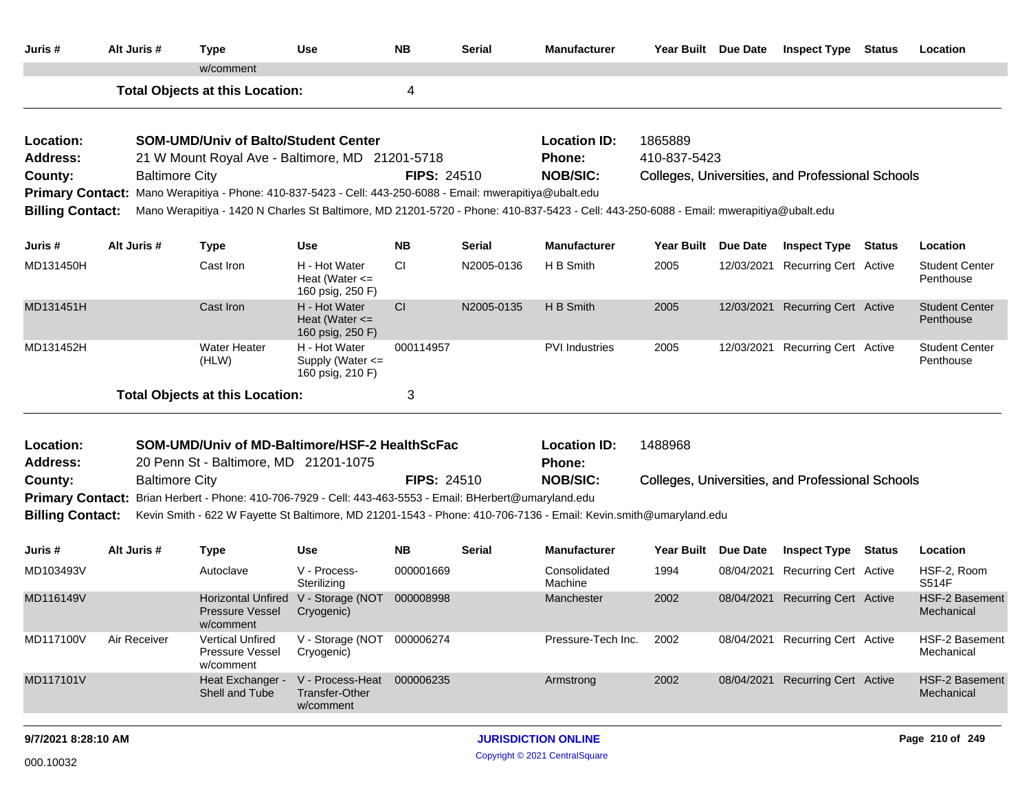| Juris #                 | Alt Juris #           | <b>Type</b>                                                                                                                            | Use                                                       | <b>NB</b>          | Serial     | <b>Manufacturer</b>     | Year Built Due Date |            | <b>Inspect Type Status</b>                       | Location                            |
|-------------------------|-----------------------|----------------------------------------------------------------------------------------------------------------------------------------|-----------------------------------------------------------|--------------------|------------|-------------------------|---------------------|------------|--------------------------------------------------|-------------------------------------|
|                         |                       | w/comment                                                                                                                              |                                                           |                    |            |                         |                     |            |                                                  |                                     |
|                         |                       | <b>Total Objects at this Location:</b>                                                                                                 |                                                           | 4                  |            |                         |                     |            |                                                  |                                     |
| Location:               |                       | <b>SOM-UMD/Univ of Balto/Student Center</b>                                                                                            |                                                           |                    |            | <b>Location ID:</b>     | 1865889             |            |                                                  |                                     |
| <b>Address:</b>         |                       | 21 W Mount Royal Ave - Baltimore, MD 21201-5718                                                                                        |                                                           |                    |            | <b>Phone:</b>           | 410-837-5423        |            |                                                  |                                     |
| County:                 | <b>Baltimore City</b> |                                                                                                                                        |                                                           | <b>FIPS: 24510</b> |            | <b>NOB/SIC:</b>         |                     |            | Colleges, Universities, and Professional Schools |                                     |
|                         |                       | Primary Contact: Mano Werapitiya - Phone: 410-837-5423 - Cell: 443-250-6088 - Email: mwerapitiya@ubalt.edu                             |                                                           |                    |            |                         |                     |            |                                                  |                                     |
| <b>Billing Contact:</b> |                       | Mano Werapitiya - 1420 N Charles St Baltimore, MD 21201-5720 - Phone: 410-837-5423 - Cell: 443-250-6088 - Email: mwerapitiya@ubalt.edu |                                                           |                    |            |                         |                     |            |                                                  |                                     |
| Juris #                 | Alt Juris #           | <b>Type</b>                                                                                                                            | <b>Use</b>                                                | <b>NB</b>          | Serial     | <b>Manufacturer</b>     | Year Built Due Date |            | <b>Inspect Type Status</b>                       | Location                            |
| MD131450H               |                       | Cast Iron                                                                                                                              | H - Hot Water<br>Heat (Water $\leq$<br>160 psig, 250 F)   | <b>CI</b>          | N2005-0136 | H B Smith               | 2005                |            | 12/03/2021 Recurring Cert Active                 | <b>Student Center</b><br>Penthouse  |
| MD131451H               |                       | Cast Iron                                                                                                                              | H - Hot Water<br>Heat (Water $\leq$<br>160 psig, 250 F)   | CI                 | N2005-0135 | H B Smith               | 2005                | 12/03/2021 | <b>Recurring Cert Active</b>                     | <b>Student Center</b><br>Penthouse  |
| MD131452H               |                       | <b>Water Heater</b><br>(HLW)                                                                                                           | H - Hot Water<br>Supply (Water <=<br>160 psig, 210 F)     | 000114957          |            | <b>PVI</b> Industries   | 2005                |            | 12/03/2021 Recurring Cert Active                 | <b>Student Center</b><br>Penthouse  |
|                         |                       | <b>Total Objects at this Location:</b>                                                                                                 |                                                           | 3                  |            |                         |                     |            |                                                  |                                     |
| Location:               |                       | SOM-UMD/Univ of MD-Baltimore/HSF-2 HealthScFac                                                                                         |                                                           |                    |            | <b>Location ID:</b>     | 1488968             |            |                                                  |                                     |
| <b>Address:</b>         |                       | 20 Penn St - Baltimore, MD 21201-1075                                                                                                  |                                                           |                    |            | <b>Phone:</b>           |                     |            |                                                  |                                     |
| County:                 | <b>Baltimore City</b> |                                                                                                                                        |                                                           | <b>FIPS: 24510</b> |            | <b>NOB/SIC:</b>         |                     |            | Colleges, Universities, and Professional Schools |                                     |
|                         |                       | Primary Contact: Brian Herbert - Phone: 410-706-7929 - Cell: 443-463-5553 - Email: BHerbert@umaryland.edu                              |                                                           |                    |            |                         |                     |            |                                                  |                                     |
| <b>Billing Contact:</b> |                       | Kevin Smith - 622 W Fayette St Baltimore, MD 21201-1543 - Phone: 410-706-7136 - Email: Kevin.smith@umaryland.edu                       |                                                           |                    |            |                         |                     |            |                                                  |                                     |
| Juris #                 | Alt Juris #           | <b>Type</b>                                                                                                                            | <b>Use</b>                                                | NB.                | Serial     | <b>Manufacturer</b>     | Year Built Due Date |            | <b>Inspect Type Status</b>                       | Location                            |
| MD103493V               |                       | Autoclave                                                                                                                              | V - Process-<br>Sterilizing                               | 000001669          |            | Consolidated<br>Machine | 1994                | 08/04/2021 | <b>Recurring Cert Active</b>                     | HSF-2, Room<br><b>S514F</b>         |
| MD116149V               |                       | <b>Horizontal Unfired</b><br><b>Pressure Vessel</b><br>w/comment                                                                       | V - Storage (NOT<br>Cryogenic)                            | 000008998          |            | Manchester              | 2002                | 08/04/2021 | <b>Recurring Cert Active</b>                     | <b>HSF-2 Basement</b><br>Mechanical |
| MD117100V               | Air Receiver          | <b>Vertical Unfired</b><br><b>Pressure Vessel</b><br>w/comment                                                                         | V - Storage (NOT 000006274<br>Cryogenic)                  |                    |            | Pressure-Tech Inc.      | 2002                |            | 08/04/2021 Recurring Cert Active                 | HSF-2 Basement<br>Mechanical        |
| MD117101V               |                       | Heat Exchanger -<br>Shell and Tube                                                                                                     | V - Process-Heat 000006235<br>Transfer-Other<br>w/comment |                    |            | Armstrong               | 2002                |            | 08/04/2021 Recurring Cert Active                 | <b>HSF-2 Basement</b><br>Mechanical |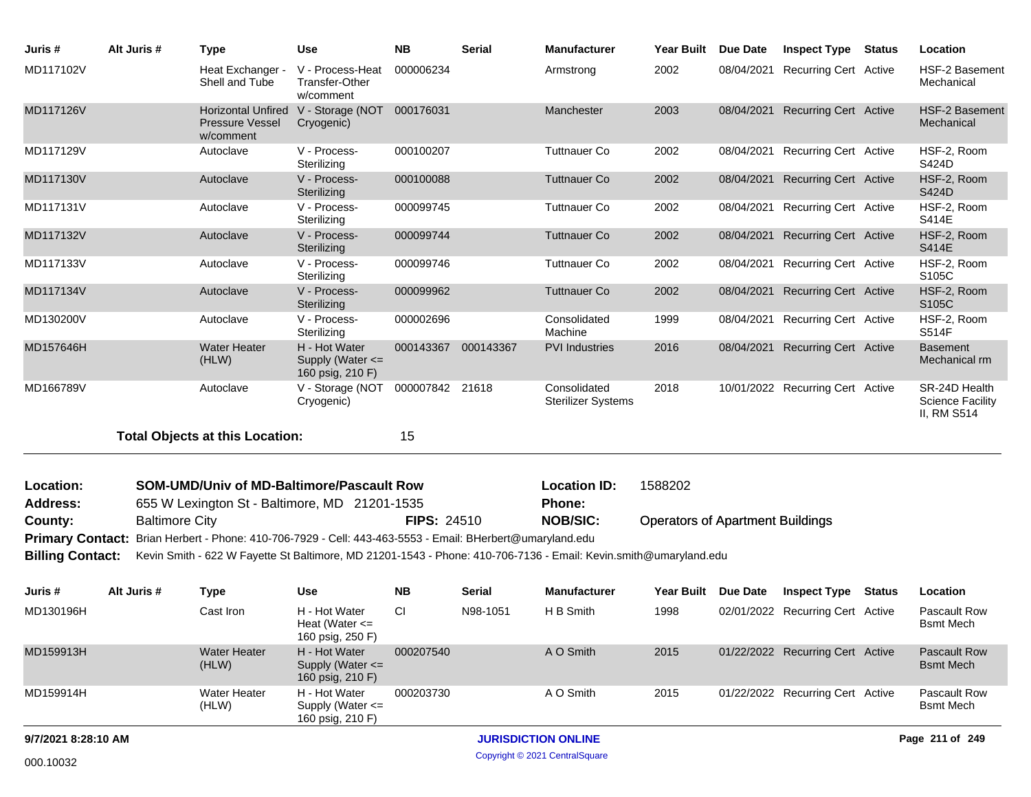| Juris #                 | Alt Juris #           | <b>Type</b>                                                                                               | <b>Use</b>                                                  | <b>NB</b>   | Serial        | <b>Manufacturer</b>                                                                                              | <b>Year Built</b>                       | Due Date   | <b>Inspect Type Status</b>       | Location                                                |
|-------------------------|-----------------------|-----------------------------------------------------------------------------------------------------------|-------------------------------------------------------------|-------------|---------------|------------------------------------------------------------------------------------------------------------------|-----------------------------------------|------------|----------------------------------|---------------------------------------------------------|
| MD117102V               |                       | Heat Exchanger -<br>Shell and Tube                                                                        | V - Process-Heat<br><b>Transfer-Other</b><br>w/comment      | 000006234   |               | Armstrong                                                                                                        | 2002                                    | 08/04/2021 | <b>Recurring Cert Active</b>     | HSF-2 Basement<br>Mechanical                            |
| MD117126V               |                       | <b>Pressure Vessel</b><br>w/comment                                                                       | Horizontal Unfired V - Storage (NOT 000176031<br>Cryogenic) |             |               | Manchester                                                                                                       | 2003                                    | 08/04/2021 | <b>Recurring Cert Active</b>     | <b>HSF-2 Basement</b><br>Mechanical                     |
| MD117129V               |                       | Autoclave                                                                                                 | V - Process-<br>Sterilizing                                 | 000100207   |               | <b>Tuttnauer Co</b>                                                                                              | 2002                                    |            | 08/04/2021 Recurring Cert Active | HSF-2, Room<br>S424D                                    |
| MD117130V               |                       | Autoclave                                                                                                 | V - Process-<br>Sterilizing                                 | 000100088   |               | <b>Tuttnauer Co</b>                                                                                              | 2002                                    | 08/04/2021 | <b>Recurring Cert Active</b>     | HSF-2, Room<br>S424D                                    |
| MD117131V               |                       | Autoclave                                                                                                 | V - Process-<br>Sterilizing                                 | 000099745   |               | <b>Tuttnauer Co</b>                                                                                              | 2002                                    |            | 08/04/2021 Recurring Cert Active | HSF-2, Room<br>S414E                                    |
| MD117132V               |                       | Autoclave                                                                                                 | V - Process-<br>Sterilizing                                 | 000099744   |               | <b>Tuttnauer Co</b>                                                                                              | 2002                                    | 08/04/2021 | <b>Recurring Cert Active</b>     | HSF-2, Room<br>S414E                                    |
| MD117133V               |                       | Autoclave                                                                                                 | V - Process-<br>Sterilizing                                 | 000099746   |               | <b>Tuttnauer Co</b>                                                                                              | 2002                                    |            | 08/04/2021 Recurring Cert Active | HSF-2, Room<br>S105C                                    |
| MD117134V               |                       | Autoclave                                                                                                 | V - Process-<br>Sterilizing                                 | 000099962   |               | <b>Tuttnauer Co</b>                                                                                              | 2002                                    | 08/04/2021 | <b>Recurring Cert Active</b>     | HSF-2, Room<br>S105C                                    |
| MD130200V               |                       | Autoclave                                                                                                 | V - Process-<br>Sterilizing                                 | 000002696   |               | Consolidated<br>Machine                                                                                          | 1999                                    |            | 08/04/2021 Recurring Cert Active | HSF-2, Room<br>S514F                                    |
| MD157646H               |                       | <b>Water Heater</b><br>(HLW)                                                                              | H - Hot Water<br>Supply (Water $\leq$<br>160 psig, 210 F)   | 000143367   | 000143367     | <b>PVI Industries</b>                                                                                            | 2016                                    | 08/04/2021 | <b>Recurring Cert Active</b>     | <b>Basement</b><br>Mechanical rm                        |
| MD166789V               |                       | Autoclave                                                                                                 | V - Storage (NOT 000007842 21618<br>Cryogenic)              |             |               | Consolidated<br><b>Sterilizer Systems</b>                                                                        | 2018                                    |            | 10/01/2022 Recurring Cert Active | SR-24D Health<br><b>Science Facility</b><br>II, RM S514 |
|                         |                       | <b>Total Objects at this Location:</b>                                                                    |                                                             | 15          |               |                                                                                                                  |                                         |            |                                  |                                                         |
| Location:               |                       | SOM-UMD/Univ of MD-Baltimore/Pascault Row                                                                 |                                                             |             |               | <b>Location ID:</b>                                                                                              | 1588202                                 |            |                                  |                                                         |
| Address:<br>County:     | <b>Baltimore City</b> | 655 W Lexington St - Baltimore, MD 21201-1535                                                             |                                                             | FIPS: 24510 |               | Phone:<br><b>NOB/SIC:</b>                                                                                        | <b>Operators of Apartment Buildings</b> |            |                                  |                                                         |
|                         |                       | Primary Contact: Brian Herbert - Phone: 410-706-7929 - Cell: 443-463-5553 - Email: BHerbert@umaryland.edu |                                                             |             |               |                                                                                                                  |                                         |            |                                  |                                                         |
| <b>Billing Contact:</b> |                       |                                                                                                           |                                                             |             |               | Kevin Smith - 622 W Fayette St Baltimore, MD 21201-1543 - Phone: 410-706-7136 - Email: Kevin.smith@umaryland.edu |                                         |            |                                  |                                                         |
| Juris #                 | Alt Juris #           | <b>Type</b>                                                                                               | <b>Use</b>                                                  | <b>NB</b>   | <b>Serial</b> | <b>Manufacturer</b>                                                                                              | Year Built Due Date                     |            | <b>Inspect Type Status</b>       | Location                                                |
| MD130196H               |                       | Cast Iron                                                                                                 | H - Hot Water<br>Heat (Water $\leq$<br>160 psig, 250 F)     | CI.         | N98-1051      | H B Smith                                                                                                        | 1998                                    |            | 02/01/2022 Recurring Cert Active | Pascault Row<br><b>Bsmt Mech</b>                        |
| MD159913H               |                       | <b>Water Heater</b><br>(HLW)                                                                              | H - Hot Water<br>Supply (Water $\leq$<br>160 psig, 210 F)   | 000207540   |               | A O Smith                                                                                                        | 2015                                    |            | 01/22/2022 Recurring Cert Active | <b>Pascault Row</b><br><b>Bsmt Mech</b>                 |
| MD159914H               |                       | Water Heater<br>(HLW)                                                                                     | H - Hot Water<br>Supply (Water $\leq$                       | 000203730   |               | A O Smith                                                                                                        | 2015                                    |            | 01/22/2022 Recurring Cert Active | Pascault Row<br><b>Bsmt Mech</b>                        |

160 psig, 210 F)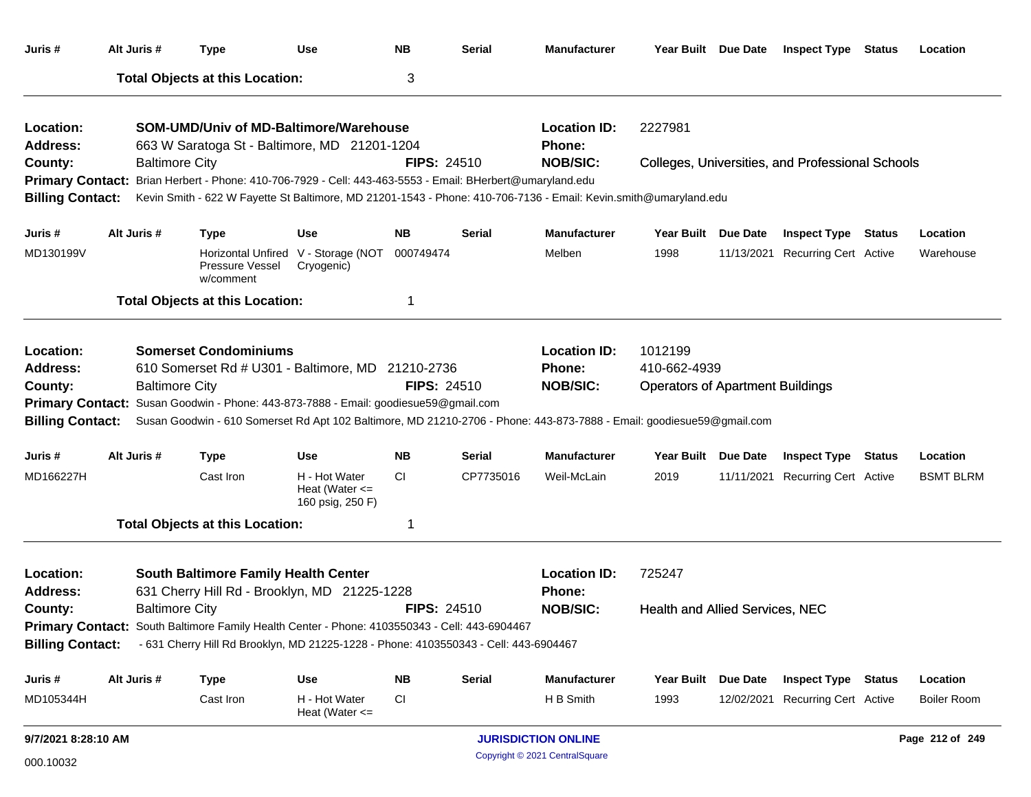| Juris #                      | Alt Juris #           | <b>Type</b>                                                                                                           | Use                                                     | <b>NB</b>          | Serial        | <b>Manufacturer</b>           |                                         |                     | Year Built Due Date Inspect Type Status          | Location           |
|------------------------------|-----------------------|-----------------------------------------------------------------------------------------------------------------------|---------------------------------------------------------|--------------------|---------------|-------------------------------|-----------------------------------------|---------------------|--------------------------------------------------|--------------------|
|                              |                       | <b>Total Objects at this Location:</b>                                                                                |                                                         | 3                  |               |                               |                                         |                     |                                                  |                    |
| Location:<br><b>Address:</b> |                       | <b>SOM-UMD/Univ of MD-Baltimore/Warehouse</b><br>663 W Saratoga St - Baltimore, MD 21201-1204                         |                                                         |                    |               | <b>Location ID:</b><br>Phone: | 2227981                                 |                     |                                                  |                    |
| County:                      | <b>Baltimore City</b> |                                                                                                                       |                                                         | <b>FIPS: 24510</b> |               | <b>NOB/SIC:</b>               |                                         |                     | Colleges, Universities, and Professional Schools |                    |
|                              |                       | Primary Contact: Brian Herbert - Phone: 410-706-7929 - Cell: 443-463-5553 - Email: BHerbert@umaryland.edu             |                                                         |                    |               |                               |                                         |                     |                                                  |                    |
| <b>Billing Contact:</b>      |                       | Kevin Smith - 622 W Fayette St Baltimore, MD 21201-1543 - Phone: 410-706-7136 - Email: Kevin.smith@umaryland.edu      |                                                         |                    |               |                               |                                         |                     |                                                  |                    |
| Juris #                      | Alt Juris #           | <b>Type</b>                                                                                                           | Use                                                     | NΒ                 | Serial        | <b>Manufacturer</b>           |                                         | Year Built Due Date | <b>Inspect Type Status</b>                       | Location           |
| MD130199V                    |                       | Pressure Vessel<br>w/comment                                                                                          | Horizontal Unfired V - Storage (NOT<br>Cryogenic)       | 000749474          |               | Melben                        | 1998                                    |                     | 11/13/2021 Recurring Cert Active                 | Warehouse          |
|                              |                       | <b>Total Objects at this Location:</b>                                                                                |                                                         | 1                  |               |                               |                                         |                     |                                                  |                    |
| Location:                    |                       | <b>Somerset Condominiums</b>                                                                                          |                                                         |                    |               | <b>Location ID:</b>           | 1012199                                 |                     |                                                  |                    |
| Address:                     |                       | 610 Somerset Rd # U301 - Baltimore, MD 21210-2736                                                                     |                                                         |                    |               | Phone:                        | 410-662-4939                            |                     |                                                  |                    |
| County:                      | <b>Baltimore City</b> |                                                                                                                       |                                                         | <b>FIPS: 24510</b> |               | <b>NOB/SIC:</b>               | <b>Operators of Apartment Buildings</b> |                     |                                                  |                    |
|                              |                       | Primary Contact: Susan Goodwin - Phone: 443-873-7888 - Email: goodiesue59@gmail.com                                   |                                                         |                    |               |                               |                                         |                     |                                                  |                    |
| <b>Billing Contact:</b>      |                       | Susan Goodwin - 610 Somerset Rd Apt 102 Baltimore, MD 21210-2706 - Phone: 443-873-7888 - Email: goodiesue59@gmail.com |                                                         |                    |               |                               |                                         |                     |                                                  |                    |
| Juris #                      | Alt Juris #           | <b>Type</b>                                                                                                           | <b>Use</b>                                              | <b>NB</b>          | Serial        | <b>Manufacturer</b>           | Year Built Due Date                     |                     | <b>Inspect Type Status</b>                       | Location           |
| MD166227H                    |                       | Cast Iron                                                                                                             | H - Hot Water<br>Heat (Water $\leq$<br>160 psig, 250 F) | <b>CI</b>          | CP7735016     | Weil-McLain                   | 2019                                    |                     | 11/11/2021 Recurring Cert Active                 | <b>BSMT BLRM</b>   |
|                              |                       | <b>Total Objects at this Location:</b>                                                                                |                                                         | 1                  |               |                               |                                         |                     |                                                  |                    |
| Location:                    |                       | South Baltimore Family Health Center                                                                                  |                                                         |                    |               | <b>Location ID:</b>           | 725247                                  |                     |                                                  |                    |
| Address:                     |                       | 631 Cherry Hill Rd - Brooklyn, MD 21225-1228                                                                          |                                                         |                    |               | <b>Phone:</b>                 |                                         |                     |                                                  |                    |
| County:                      | <b>Baltimore City</b> |                                                                                                                       |                                                         | <b>FIPS: 24510</b> |               | <b>NOB/SIC:</b>               | <b>Health and Allied Services, NEC</b>  |                     |                                                  |                    |
|                              |                       | Primary Contact: South Baltimore Family Health Center - Phone: 4103550343 - Cell: 443-6904467                         |                                                         |                    |               |                               |                                         |                     |                                                  |                    |
| <b>Billing Contact:</b>      |                       | - 631 Cherry Hill Rd Brooklyn, MD 21225-1228 - Phone: 4103550343 - Cell: 443-6904467                                  |                                                         |                    |               |                               |                                         |                     |                                                  |                    |
| Juris #                      | Alt Juris #           | <b>Type</b>                                                                                                           | <b>Use</b>                                              | <b>NB</b>          | <b>Serial</b> | <b>Manufacturer</b>           |                                         | Year Built Due Date | <b>Inspect Type Status</b>                       | Location           |
| MD105344H                    |                       | Cast Iron                                                                                                             | H - Hot Water<br>Heat (Water $\leq$                     | <b>CI</b>          |               | H B Smith                     | 1993                                    |                     | 12/02/2021 Recurring Cert Active                 | <b>Boiler Room</b> |
| 9/7/2021 8:28:10 AM          |                       |                                                                                                                       |                                                         |                    |               | <b>JURISDICTION ONLINE</b>    |                                         |                     |                                                  | Page 212 of 249    |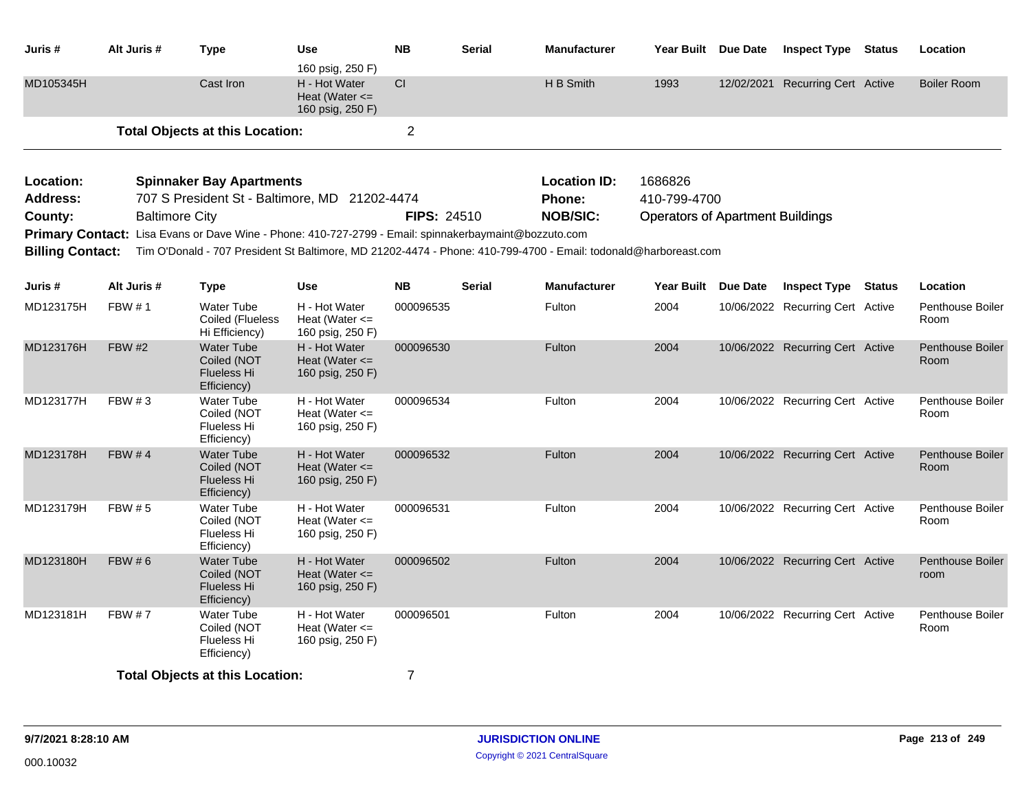| Juris #         | Alt Juris #           | Type                                   | <b>Use</b><br>160 psig, 250 F)                          | <b>NB</b>          | <b>Serial</b> | <b>Manufacturer</b> | Year Built Due Date                     | <b>Inspect Type</b>              | Status | <b>Location</b>    |
|-----------------|-----------------------|----------------------------------------|---------------------------------------------------------|--------------------|---------------|---------------------|-----------------------------------------|----------------------------------|--------|--------------------|
| MD105345H       |                       | Cast Iron                              | H - Hot Water<br>Heat (Water $\leq$<br>160 psig, 250 F) | <b>CI</b>          |               | H B Smith           | 1993                                    | 12/02/2021 Recurring Cert Active |        | <b>Boiler Room</b> |
|                 |                       | <b>Total Objects at this Location:</b> |                                                         |                    |               |                     |                                         |                                  |        |                    |
| Location:       |                       | <b>Spinnaker Bay Apartments</b>        |                                                         |                    |               | <b>Location ID:</b> | 1686826                                 |                                  |        |                    |
| <b>Address:</b> |                       |                                        | 707 S President St - Baltimore, MD 21202-4474           |                    |               | <b>Phone:</b>       | 410-799-4700                            |                                  |        |                    |
| County:         | <b>Baltimore City</b> |                                        |                                                         | <b>FIPS: 24510</b> |               | <b>NOB/SIC:</b>     | <b>Operators of Apartment Buildings</b> |                                  |        |                    |

**Primary Contact:** Lisa Evans or Dave Wine - Phone: 410-727-2799 - Email: spinnakerbaymaint@bozzuto.com

**Billing Contact:** Tim O'Donald - 707 President St Baltimore, MD 21202-4474 - Phone: 410-799-4700 - Email: todonald@harboreast.com

| Juris #   | Alt Juris #   | <b>Type</b>                                                           | <b>Use</b>                                              | <b>NB</b>                | <b>Serial</b> | <b>Manufacturer</b> | <b>Year Built</b> | <b>Due Date</b> | <b>Inspect Type</b>              | <b>Status</b> | Location                        |
|-----------|---------------|-----------------------------------------------------------------------|---------------------------------------------------------|--------------------------|---------------|---------------------|-------------------|-----------------|----------------------------------|---------------|---------------------------------|
| MD123175H | FBW#1         | <b>Water Tube</b><br>Coiled (Flueless<br>Hi Efficiency)               | H - Hot Water<br>Heat (Water $\leq$<br>160 psig, 250 F) | 000096535                |               | Fulton              | 2004              |                 | 10/06/2022 Recurring Cert Active |               | Penthouse Boiler<br>Room        |
| MD123176H | <b>FBW #2</b> | <b>Water Tube</b><br>Coiled (NOT<br><b>Flueless Hi</b><br>Efficiency) | H - Hot Water<br>Heat (Water $\leq$<br>160 psig, 250 F) | 000096530                |               | Fulton              | 2004              |                 | 10/06/2022 Recurring Cert Active |               | <b>Penthouse Boiler</b><br>Room |
| MD123177H | FBW #3        | <b>Water Tube</b><br>Coiled (NOT<br>Flueless Hi<br>Efficiency)        | H - Hot Water<br>Heat (Water $\leq$<br>160 psig, 250 F) | 000096534                |               | Fulton              | 2004              |                 | 10/06/2022 Recurring Cert Active |               | <b>Penthouse Boiler</b><br>Room |
| MD123178H | FBW #4        | <b>Water Tube</b><br>Coiled (NOT<br><b>Flueless Hi</b><br>Efficiency) | H - Hot Water<br>Heat (Water $\leq$<br>160 psig, 250 F) | 000096532                |               | Fulton              | 2004              |                 | 10/06/2022 Recurring Cert Active |               | <b>Penthouse Boiler</b><br>Room |
| MD123179H | FBW#5         | Water Tube<br>Coiled (NOT<br>Flueless Hi<br>Efficiency)               | H - Hot Water<br>Heat (Water $\leq$<br>160 psig, 250 F) | 000096531                |               | Fulton              | 2004              |                 | 10/06/2022 Recurring Cert Active |               | Penthouse Boiler<br>Room        |
| MD123180H | FBW # 6       | <b>Water Tube</b><br>Coiled (NOT<br><b>Flueless Hi</b><br>Efficiency) | H - Hot Water<br>Heat (Water $\leq$<br>160 psig, 250 F) | 000096502                |               | Fulton              | 2004              |                 | 10/06/2022 Recurring Cert Active |               | <b>Penthouse Boiler</b><br>room |
| MD123181H | <b>FBW #7</b> | Water Tube<br>Coiled (NOT<br>Flueless Hi<br>Efficiency)               | H - Hot Water<br>Heat (Water $\leq$<br>160 psig, 250 F) | 000096501                |               | Fulton              | 2004              |                 | 10/06/2022 Recurring Cert Active |               | <b>Penthouse Boiler</b><br>Room |
|           |               | Total Ohioata at this Location                                        |                                                         | $\overline{\phantom{a}}$ |               |                     |                   |                 |                                  |               |                                 |

**Total Objects at this Location:** 7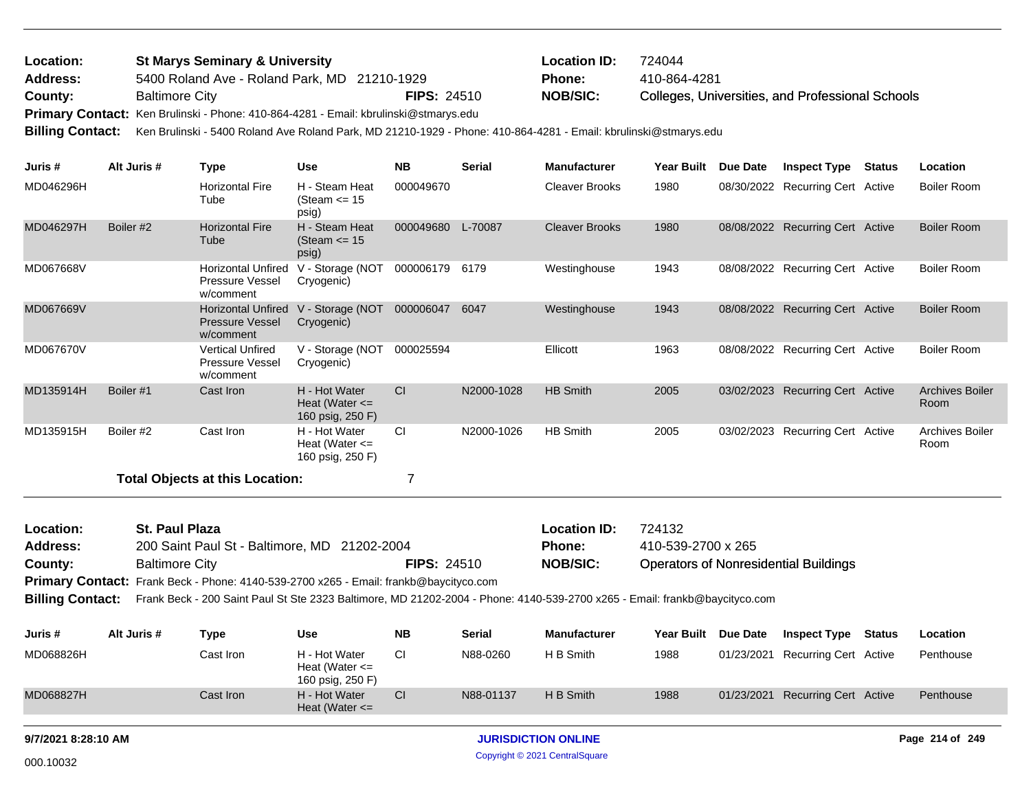| Location: | <b>St Marys Seminary &amp; University</b>                                                                                         |                    | <b>Location ID:</b> | 724044                                           |
|-----------|-----------------------------------------------------------------------------------------------------------------------------------|--------------------|---------------------|--------------------------------------------------|
| Address:  | 5400 Roland Ave - Roland Park, MD 21210-1929                                                                                      |                    | <b>Phone:</b>       | 410-864-4281                                     |
| County:   | <b>Baltimore City</b>                                                                                                             | <b>FIPS: 24510</b> | <b>NOB/SIC:</b>     | Colleges, Universities, and Professional Schools |
|           | Primary Contact: Ken Brulinski - Phone: 410-864-4281 - Email: kbrulinski@stmarys.edu                                              |                    |                     |                                                  |
|           | Billing Contact: Ken Brulinski - 5400 Roland Ave Roland Park, MD 21210-1929 - Phone: 410-864-4281 - Email: kbrulinski@stmarys.edu |                    |                     |                                                  |

| Juris #   | Alt Juris # | Type                                                             | <b>Use</b>                                              | <b>NB</b> | <b>Serial</b> | <b>Manufacturer</b>   | <b>Year Built</b> | Due Date   | <b>Inspect Type</b>              | <b>Status</b> | Location                       |
|-----------|-------------|------------------------------------------------------------------|---------------------------------------------------------|-----------|---------------|-----------------------|-------------------|------------|----------------------------------|---------------|--------------------------------|
| MD046296H |             | <b>Horizontal Fire</b><br>Tube                                   | H - Steam Heat<br>(Steam $\le$ 15<br>psig)              | 000049670 |               | <b>Cleaver Brooks</b> | 1980              |            | 08/30/2022 Recurring Cert Active |               | Boiler Room                    |
| MD046297H | Boiler #2   | <b>Horizontal Fire</b><br>Tube                                   | H - Steam Heat<br>(Steam $\le$ 15<br>psig)              | 000049680 | L-70087       | <b>Cleaver Brooks</b> | 1980              |            | 08/08/2022 Recurring Cert Active |               | <b>Boiler Room</b>             |
| MD067668V |             | <b>Horizontal Unfired</b><br>Pressure Vessel<br>w/comment        | V - Storage (NOT<br>Cryogenic)                          | 000006179 | 6179          | Westinghouse          | 1943              |            | 08/08/2022 Recurring Cert Active |               | <b>Boiler Room</b>             |
| MD067669V |             | <b>Horizontal Unfired</b><br><b>Pressure Vessel</b><br>w/comment | V - Storage (NOT<br>Cryogenic)                          | 000006047 | 6047          | Westinghouse          | 1943              | 08/08/2022 | <b>Recurring Cert Active</b>     |               | <b>Boiler Room</b>             |
| MD067670V |             | <b>Vertical Unfired</b><br>Pressure Vessel<br>w/comment          | V - Storage (NOT<br>Cryogenic)                          | 000025594 |               | Ellicott              | 1963              |            | 08/08/2022 Recurring Cert Active |               | Boiler Room                    |
| MD135914H | Boiler #1   | Cast Iron                                                        | H - Hot Water<br>Heat (Water $\leq$<br>160 psig, 250 F) | CI        | N2000-1028    | <b>HB Smith</b>       | 2005              | 03/02/2023 | <b>Recurring Cert Active</b>     |               | <b>Archives Boiler</b><br>Room |
| MD135915H | Boiler #2   | Cast Iron                                                        | H - Hot Water<br>Heat (Water $\leq$<br>160 psig, 250 F) | CI.       | N2000-1026    | <b>HB Smith</b>       | 2005              | 03/02/2023 | Recurring Cert Active            |               | <b>Archives Boiler</b><br>Room |
|           |             | Total Objects at this Location:                                  |                                                         |           |               |                       |                   |            |                                  |               |                                |

| Location:       | <b>St. Paul Plaza</b>                                                                                                                          |                    | <b>Location ID:</b> | 724132                                       |
|-----------------|------------------------------------------------------------------------------------------------------------------------------------------------|--------------------|---------------------|----------------------------------------------|
| <b>Address:</b> | 200 Saint Paul St - Baltimore, MD 21202-2004                                                                                                   |                    | <b>Phone:</b>       | 410-539-2700 x 265                           |
| County:         | <b>Baltimore City</b>                                                                                                                          | <b>FIPS: 24510</b> | <b>NOB/SIC:</b>     | <b>Operators of Nonresidential Buildings</b> |
|                 | <b>Primary Contact:</b> Frank Beck - Phone: 4140-539-2700 x265 - Email: frankb@baycityco.com                                                   |                    |                     |                                              |
|                 | <b>Dilling Contact:</b> Ereal: Poek, 200 Saint Paul St Sto 2222 Poltimere MD 21202 2004 Phone: 4140 520 2700 v265. Email: frankh@boveitues.com |                    |                     |                                              |

**Billing Contact:** Frank Beck - 200 Saint Paul St Ste 2323 Baltimore, MD 21202-2004 - Phone: 4140-539-2700 x265 - Email: frankb@baycityco.com

| Juris #   | Alt Juris # | Type        | Use                                                     | <b>NB</b> | <b>Serial</b> | <b>Manufacturer</b> | <b>Year Built</b> | <b>Due Date</b> | <b>Inspect Type</b>          | Status | Location  |
|-----------|-------------|-------------|---------------------------------------------------------|-----------|---------------|---------------------|-------------------|-----------------|------------------------------|--------|-----------|
| MD068826H |             | Cast Iron l | H - Hot Water<br>Heat (Water $\leq$<br>160 psig, 250 F) | СI        | N88-0260      | H B Smith           | 1988              | 01/23/2021      | Recurring Cert Active        |        | Penthouse |
| MD068827H |             | Cast Iron.  | H - Hot Water<br>Heat (Water $\leq$                     | CI        | N88-01137     | H B Smith           | 1988              | 01/23/2021      | <b>Recurring Cert Active</b> |        | Penthouse |
|           |             |             |                                                         |           |               |                     |                   |                 |                              |        |           |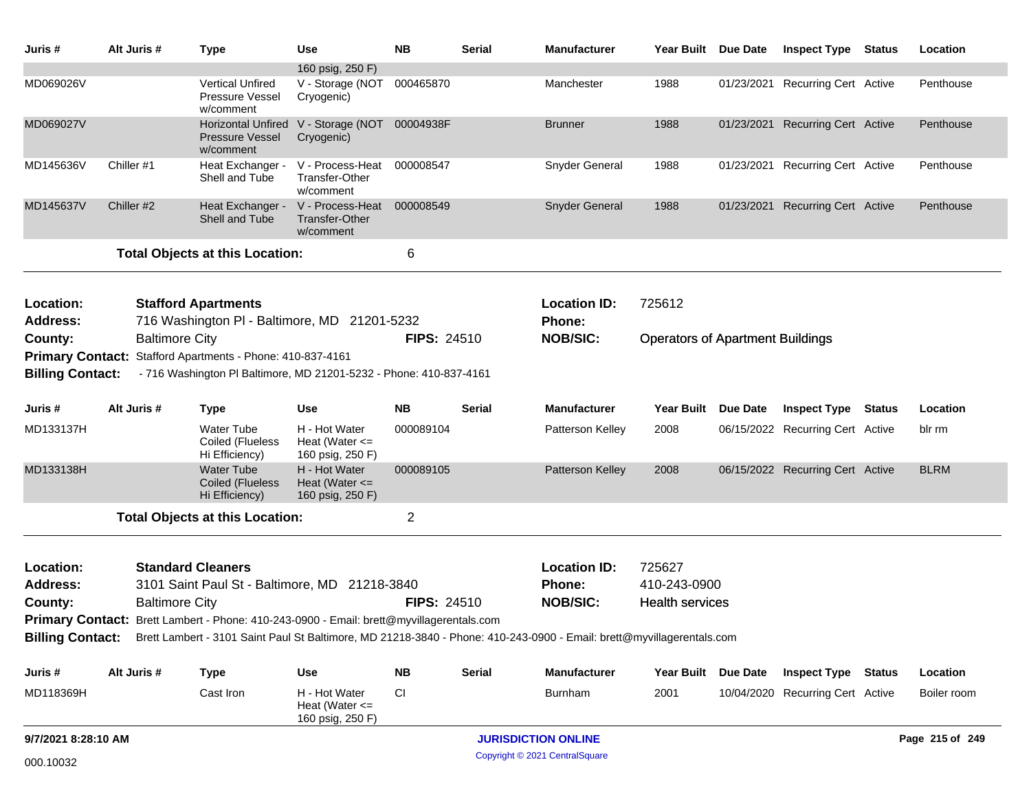| Juris #                                 | Alt Juris #           | <b>Type</b>                                                                                                                                                                                                                               | Use                                                         | <b>NB</b>               | <b>Serial</b> | <b>Manufacturer</b>                                     | Year Built Due Date                              |            | <b>Inspect Type Status</b>       | Location        |
|-----------------------------------------|-----------------------|-------------------------------------------------------------------------------------------------------------------------------------------------------------------------------------------------------------------------------------------|-------------------------------------------------------------|-------------------------|---------------|---------------------------------------------------------|--------------------------------------------------|------------|----------------------------------|-----------------|
|                                         |                       |                                                                                                                                                                                                                                           | 160 psig, 250 F)                                            |                         |               |                                                         |                                                  |            |                                  |                 |
| MD069026V                               |                       | <b>Vertical Unfired</b><br>Pressure Vessel<br>w/comment                                                                                                                                                                                   | V - Storage (NOT<br>Cryogenic)                              | 000465870               |               | Manchester                                              | 1988                                             |            | 01/23/2021 Recurring Cert Active | Penthouse       |
| MD069027V                               |                       | <b>Pressure Vessel</b><br>w/comment                                                                                                                                                                                                       | Horizontal Unfired V - Storage (NOT 00004938F<br>Cryogenic) |                         |               | <b>Brunner</b>                                          | 1988                                             |            | 01/23/2021 Recurring Cert Active | Penthouse       |
| MD145636V                               | Chiller #1            | Heat Exchanger -<br>Shell and Tube                                                                                                                                                                                                        | V - Process-Heat<br>Transfer-Other<br>w/comment             | 000008547               |               | <b>Snyder General</b>                                   | 1988                                             |            | 01/23/2021 Recurring Cert Active | Penthouse       |
| MD145637V                               | Chiller #2            | Heat Exchanger -<br>Shell and Tube                                                                                                                                                                                                        | V - Process-Heat<br><b>Transfer-Other</b><br>w/comment      | 000008549               |               | <b>Snyder General</b>                                   | 1988                                             | 01/23/2021 | <b>Recurring Cert Active</b>     | Penthouse       |
|                                         |                       | <b>Total Objects at this Location:</b>                                                                                                                                                                                                    |                                                             | 6                       |               |                                                         |                                                  |            |                                  |                 |
| Location:                               |                       | <b>Stafford Apartments</b>                                                                                                                                                                                                                |                                                             |                         |               | <b>Location ID:</b>                                     | 725612                                           |            |                                  |                 |
| Address:                                |                       | 716 Washington PI - Baltimore, MD 21201-5232                                                                                                                                                                                              |                                                             |                         |               | <b>Phone:</b>                                           |                                                  |            |                                  |                 |
| County:                                 | <b>Baltimore City</b> |                                                                                                                                                                                                                                           |                                                             | <b>FIPS: 24510</b>      |               | <b>NOB/SIC:</b>                                         | <b>Operators of Apartment Buildings</b>          |            |                                  |                 |
|                                         |                       | Primary Contact: Stafford Apartments - Phone: 410-837-4161                                                                                                                                                                                |                                                             |                         |               |                                                         |                                                  |            |                                  |                 |
| <b>Billing Contact:</b>                 |                       | - 716 Washington PI Baltimore, MD 21201-5232 - Phone: 410-837-4161                                                                                                                                                                        |                                                             |                         |               |                                                         |                                                  |            |                                  |                 |
| Juris #                                 | Alt Juris #           | <b>Type</b>                                                                                                                                                                                                                               | Use                                                         | NΒ                      | Serial        | <b>Manufacturer</b>                                     | Year Built Due Date                              |            | <b>Inspect Type Status</b>       | Location        |
| MD133137H                               |                       | <b>Water Tube</b><br>Coiled (Flueless<br>Hi Efficiency)                                                                                                                                                                                   | H - Hot Water<br>Heat (Water $\leq$<br>160 psig, 250 F)     | 000089104               |               | Patterson Kelley                                        | 2008                                             |            | 06/15/2022 Recurring Cert Active | blr rm          |
| MD133138H                               |                       | <b>Water Tube</b><br>Coiled (Flueless<br>Hi Efficiency)                                                                                                                                                                                   | H - Hot Water<br>Heat (Water $\leq$<br>160 psig, 250 F)     | 000089105               |               | <b>Patterson Kelley</b>                                 | 2008                                             |            | 06/15/2022 Recurring Cert Active | <b>BLRM</b>     |
|                                         |                       | <b>Total Objects at this Location:</b>                                                                                                                                                                                                    |                                                             | $\overline{\mathbf{c}}$ |               |                                                         |                                                  |            |                                  |                 |
| Location:<br><b>Address:</b><br>County: | <b>Baltimore City</b> | <b>Standard Cleaners</b><br>3101 Saint Paul St - Baltimore, MD 21218-3840                                                                                                                                                                 |                                                             | <b>FIPS: 24510</b>      |               | <b>Location ID:</b><br><b>Phone:</b><br><b>NOB/SIC:</b> | 725627<br>410-243-0900<br><b>Health services</b> |            |                                  |                 |
|                                         |                       | <b>Primary Contact:</b> Brett Lambert - Phone: 410-243-0900 - Email: brett@myvillagerentals.com<br>Billing Contact: Brett Lambert - 3101 Saint Paul St Baltimore, MD 21218-3840 - Phone: 410-243-0900 - Email: brett@myvillagerentals.com |                                                             |                         |               |                                                         |                                                  |            |                                  |                 |
| Juris #                                 | Alt Juris #           | <b>Type</b>                                                                                                                                                                                                                               | <b>Use</b>                                                  | <b>NB</b>               | <b>Serial</b> | <b>Manufacturer</b>                                     | Year Built Due Date                              |            | <b>Inspect Type Status</b>       | Location        |
| MD118369H                               |                       | Cast Iron                                                                                                                                                                                                                                 | H - Hot Water<br>Heat (Water $\leq$<br>160 psig, 250 F)     | <b>CI</b>               |               | <b>Burnham</b>                                          | 2001                                             |            | 10/04/2020 Recurring Cert Active | Boiler room     |
| 9/7/2021 8:28:10 AM                     |                       |                                                                                                                                                                                                                                           |                                                             |                         |               | <b>JURISDICTION ONLINE</b>                              |                                                  |            |                                  | Page 215 of 249 |
| 000.10032                               |                       |                                                                                                                                                                                                                                           |                                                             |                         |               | Copyright © 2021 CentralSquare                          |                                                  |            |                                  |                 |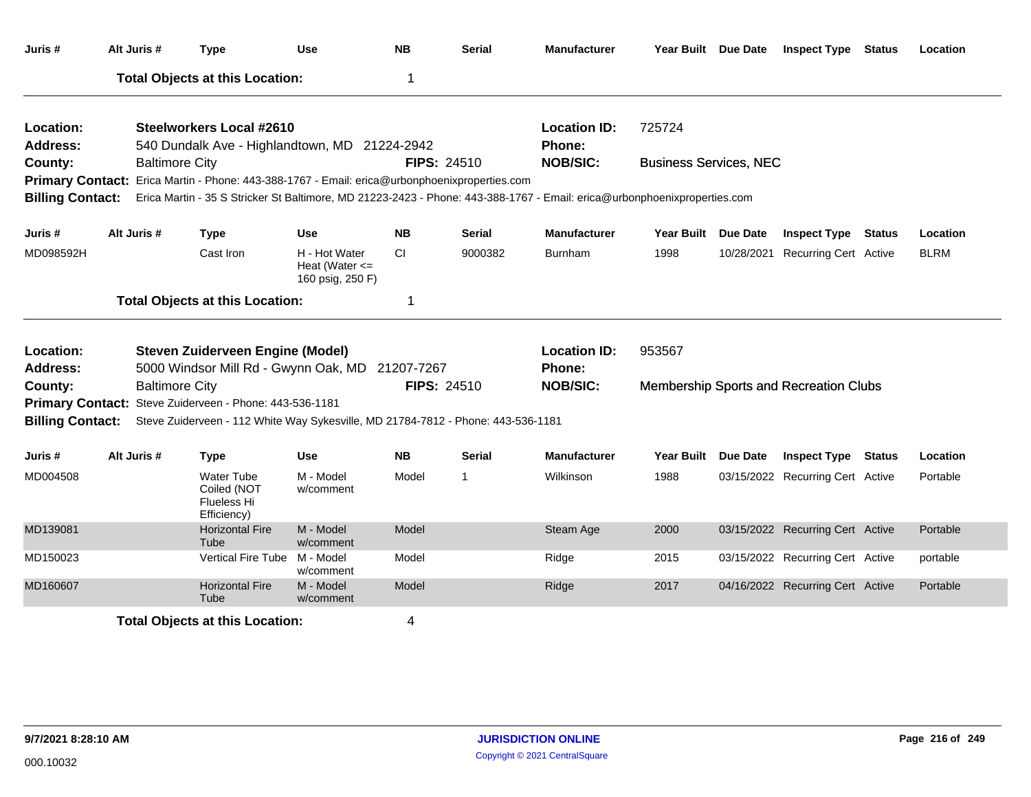| Juris #                 | Alt Juris #           | <b>Type</b>                                                                                                              | <b>Use</b>                                              | <b>NB</b>  | <b>Serial</b>      | <b>Manufacturer</b>           | Year Built Due Date           |                 | <b>Inspect Type</b>                           | <b>Status</b> | Location    |
|-------------------------|-----------------------|--------------------------------------------------------------------------------------------------------------------------|---------------------------------------------------------|------------|--------------------|-------------------------------|-------------------------------|-----------------|-----------------------------------------------|---------------|-------------|
|                         |                       | <b>Total Objects at this Location:</b>                                                                                   |                                                         | 1          |                    |                               |                               |                 |                                               |               |             |
| Location:<br>Address:   |                       | Steelworkers Local #2610<br>540 Dundalk Ave - Highlandtown, MD 21224-2942                                                |                                                         |            |                    | <b>Location ID:</b><br>Phone: | 725724                        |                 |                                               |               |             |
| County:                 | <b>Baltimore City</b> |                                                                                                                          |                                                         |            | <b>FIPS: 24510</b> | <b>NOB/SIC:</b>               | <b>Business Services, NEC</b> |                 |                                               |               |             |
|                         |                       | Primary Contact: Erica Martin - Phone: 443-388-1767 - Email: erica@urbonphoenixproperties.com                            |                                                         |            |                    |                               |                               |                 |                                               |               |             |
| <b>Billing Contact:</b> |                       | Erica Martin - 35 S Stricker St Baltimore, MD 21223-2423 - Phone: 443-388-1767 - Email: erica@urbonphoenixproperties.com |                                                         |            |                    |                               |                               |                 |                                               |               |             |
| Juris #                 | Alt Juris #           | <b>Type</b>                                                                                                              | <b>Use</b>                                              | <b>NB</b>  | <b>Serial</b>      | <b>Manufacturer</b>           | <b>Year Built</b>             | <b>Due Date</b> | <b>Inspect Type</b>                           | <b>Status</b> | Location    |
| MD098592H               |                       | Cast Iron                                                                                                                | H - Hot Water<br>Heat (Water $\leq$<br>160 psig, 250 F) | CI.        | 9000382            | <b>Burnham</b>                | 1998                          | 10/28/2021      | Recurring Cert Active                         |               | <b>BLRM</b> |
|                         |                       | <b>Total Objects at this Location:</b>                                                                                   |                                                         | 1          |                    |                               |                               |                 |                                               |               |             |
| Location:               |                       | Steven Zuiderveen Engine (Model)                                                                                         |                                                         |            |                    | <b>Location ID:</b>           | 953567                        |                 |                                               |               |             |
| Address:                |                       | 5000 Windsor Mill Rd - Gwynn Oak, MD                                                                                     |                                                         | 21207-7267 |                    | Phone:                        |                               |                 |                                               |               |             |
| County:                 | <b>Baltimore City</b> |                                                                                                                          |                                                         |            | <b>FIPS: 24510</b> | <b>NOB/SIC:</b>               |                               |                 | <b>Membership Sports and Recreation Clubs</b> |               |             |
|                         |                       | Primary Contact: Steve Zuiderveen - Phone: 443-536-1181                                                                  |                                                         |            |                    |                               |                               |                 |                                               |               |             |
| <b>Billing Contact:</b> |                       | Steve Zuiderveen - 112 White Way Sykesville, MD 21784-7812 - Phone: 443-536-1181                                         |                                                         |            |                    |                               |                               |                 |                                               |               |             |
| Juris #                 | Alt Juris #           | <b>Type</b>                                                                                                              | <b>Use</b>                                              | <b>NB</b>  | <b>Serial</b>      | <b>Manufacturer</b>           | Year Built                    | <b>Due Date</b> | <b>Inspect Type Status</b>                    |               | Location    |
| MD004508                |                       | Water Tube<br>Coiled (NOT<br>Flueless Hi<br>Efficiency)                                                                  | M - Model<br>w/comment                                  | Model      | 1                  | Wilkinson                     | 1988                          |                 | 03/15/2022 Recurring Cert Active              |               | Portable    |
| MD139081                |                       | <b>Horizontal Fire</b><br>Tube                                                                                           | M - Model<br>w/comment                                  | Model      |                    | Steam Age                     | 2000                          |                 | 03/15/2022 Recurring Cert Active              |               | Portable    |
| MD150023                |                       | Vertical Fire Tube                                                                                                       | M - Model<br>w/comment                                  | Model      |                    | Ridge                         | 2015                          |                 | 03/15/2022 Recurring Cert Active              |               | portable    |
| MD160607                |                       | <b>Horizontal Fire</b><br>Tube                                                                                           | M - Model<br>w/comment                                  | Model      |                    | Ridge                         | 2017                          |                 | 04/16/2022 Recurring Cert Active              |               | Portable    |
|                         |                       | <b>Total Objects at this Location:</b>                                                                                   |                                                         | 4          |                    |                               |                               |                 |                                               |               |             |

٦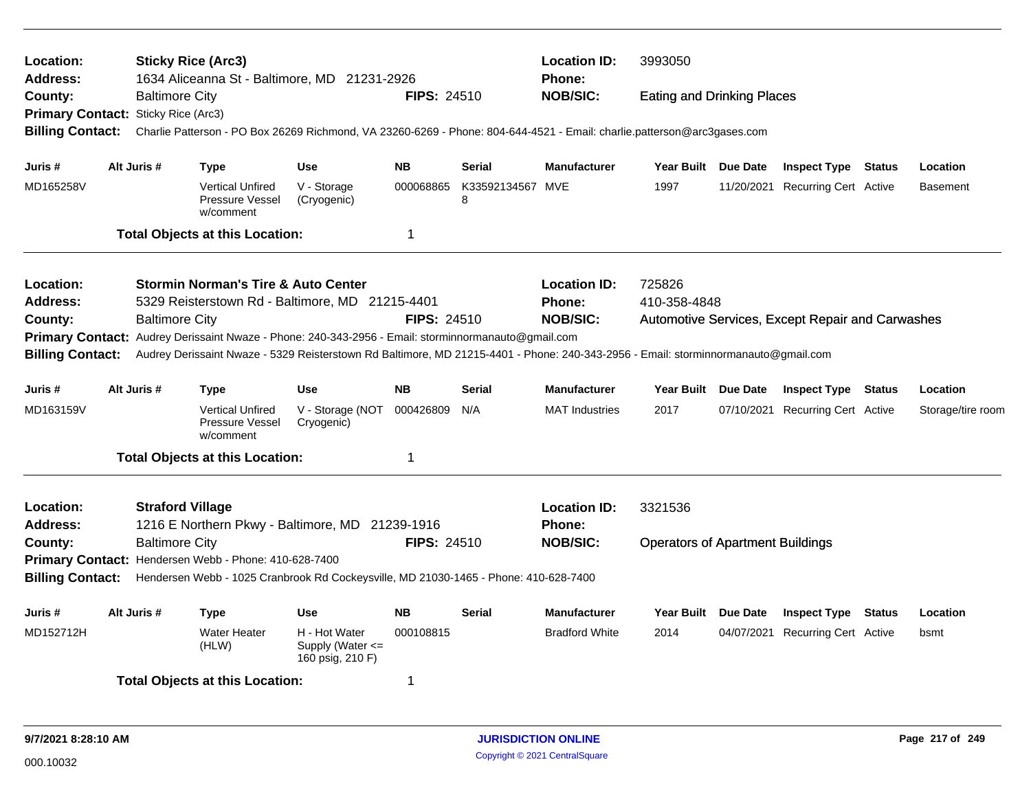| Location:<br>Address:               |             |                         | <b>Sticky Rice (Arc3)</b>                               | 1634 Aliceanna St - Baltimore, MD 21231-2926                                                                                       |                    |                       | <b>Location ID:</b><br><b>Phone:</b> | 3993050                                 |                                                  |                   |
|-------------------------------------|-------------|-------------------------|---------------------------------------------------------|------------------------------------------------------------------------------------------------------------------------------------|--------------------|-----------------------|--------------------------------------|-----------------------------------------|--------------------------------------------------|-------------------|
| County:                             |             | <b>Baltimore City</b>   |                                                         |                                                                                                                                    | <b>FIPS: 24510</b> |                       | <b>NOB/SIC:</b>                      | <b>Eating and Drinking Places</b>       |                                                  |                   |
| Primary Contact: Sticky Rice (Arc3) |             |                         |                                                         |                                                                                                                                    |                    |                       |                                      |                                         |                                                  |                   |
| <b>Billing Contact:</b>             |             |                         |                                                         | Charlie Patterson - PO Box 26269 Richmond, VA 23260-6269 - Phone: 804-644-4521 - Email: charlie.patterson@arc3gases.com            |                    |                       |                                      |                                         |                                                  |                   |
| Juris #                             | Alt Juris # |                         | <b>Type</b>                                             | <b>Use</b>                                                                                                                         | <b>NB</b>          | <b>Serial</b>         | <b>Manufacturer</b>                  | Year Built Due Date                     | <b>Inspect Type Status</b>                       | Location          |
| MD165258V                           |             |                         | <b>Vertical Unfired</b><br>Pressure Vessel<br>w/comment | V - Storage<br>(Cryogenic)                                                                                                         | 000068865          | K33592134567 MVE<br>8 |                                      | 1997                                    | 11/20/2021 Recurring Cert Active                 | <b>Basement</b>   |
|                                     |             |                         | <b>Total Objects at this Location:</b>                  |                                                                                                                                    | $\mathbf 1$        |                       |                                      |                                         |                                                  |                   |
| <b>Location:</b>                    |             |                         | <b>Stormin Norman's Tire &amp; Auto Center</b>          |                                                                                                                                    |                    |                       | <b>Location ID:</b>                  | 725826                                  |                                                  |                   |
| <b>Address:</b>                     |             |                         |                                                         | 5329 Reisterstown Rd - Baltimore, MD 21215-4401                                                                                    |                    |                       | <b>Phone:</b>                        | 410-358-4848                            |                                                  |                   |
| County:                             |             | <b>Baltimore City</b>   |                                                         |                                                                                                                                    | <b>FIPS: 24510</b> |                       | <b>NOB/SIC:</b>                      |                                         | Automotive Services, Except Repair and Carwashes |                   |
| <b>Primary Contact:</b>             |             |                         |                                                         | Audrey Derissaint Nwaze - Phone: 240-343-2956 - Email: storminnormanauto@gmail.com                                                 |                    |                       |                                      |                                         |                                                  |                   |
| <b>Billing Contact:</b>             |             |                         |                                                         | Audrey Derissaint Nwaze - 5329 Reisterstown Rd Baltimore, MD 21215-4401 - Phone: 240-343-2956 - Email: storminnormanauto@gmail.com |                    |                       |                                      |                                         |                                                  |                   |
| Juris #                             | Alt Juris # |                         | <b>Type</b>                                             | <b>Use</b>                                                                                                                         | <b>NB</b>          | Serial                | <b>Manufacturer</b>                  | Year Built Due Date                     | <b>Inspect Type Status</b>                       | Location          |
| MD163159V                           |             |                         | <b>Vertical Unfired</b><br>Pressure Vessel<br>w/comment | V - Storage (NOT 000426809<br>Cryogenic)                                                                                           |                    | N/A                   | <b>MAT Industries</b>                | 2017                                    | 07/10/2021 Recurring Cert Active                 | Storage/tire room |
|                                     |             |                         | <b>Total Objects at this Location:</b>                  |                                                                                                                                    | 1                  |                       |                                      |                                         |                                                  |                   |
| Location:                           |             | <b>Straford Village</b> |                                                         |                                                                                                                                    |                    |                       | <b>Location ID:</b>                  | 3321536                                 |                                                  |                   |
| <b>Address:</b>                     |             |                         |                                                         | 1216 E Northern Pkwy - Baltimore, MD 21239-1916                                                                                    |                    |                       | <b>Phone:</b>                        |                                         |                                                  |                   |
| County:                             |             | <b>Baltimore City</b>   |                                                         |                                                                                                                                    | <b>FIPS: 24510</b> |                       | <b>NOB/SIC:</b>                      | <b>Operators of Apartment Buildings</b> |                                                  |                   |
|                                     |             |                         | Primary Contact: Hendersen Webb - Phone: 410-628-7400   |                                                                                                                                    |                    |                       |                                      |                                         |                                                  |                   |
| <b>Billing Contact:</b>             |             |                         |                                                         | Hendersen Webb - 1025 Cranbrook Rd Cockeysville, MD 21030-1465 - Phone: 410-628-7400                                               |                    |                       |                                      |                                         |                                                  |                   |
| Juris #                             | Alt Juris # |                         | <b>Type</b>                                             | <b>Use</b>                                                                                                                         | <b>NB</b>          | <b>Serial</b>         | <b>Manufacturer</b>                  | Year Built Due Date                     | <b>Inspect Type Status</b>                       | Location          |
| MD152712H                           |             |                         | <b>Water Heater</b><br>(HLW)                            | H - Hot Water<br>Supply (Water $\leq$<br>160 psig, 210 F)                                                                          | 000108815          |                       | <b>Bradford White</b>                | 2014                                    | 04/07/2021 Recurring Cert Active                 | bsmt              |
|                                     |             |                         | <b>Total Objects at this Location:</b>                  |                                                                                                                                    | 1                  |                       |                                      |                                         |                                                  |                   |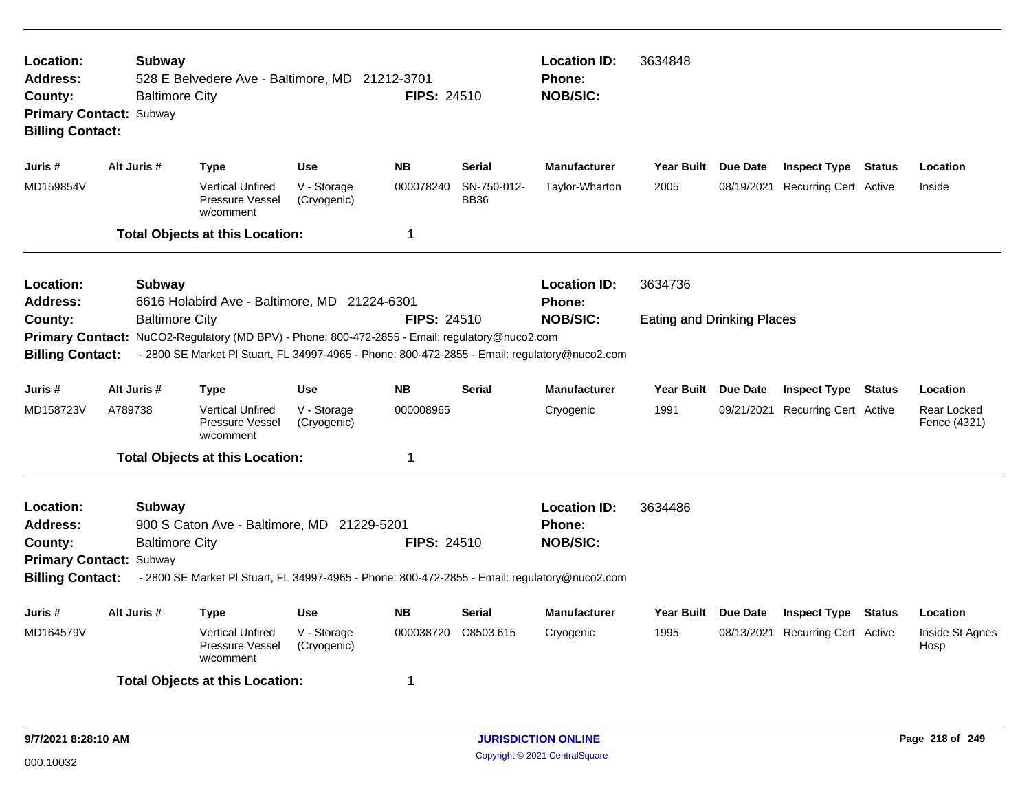| Location:<br><b>Address:</b><br>County:<br><b>Primary Contact: Subway</b><br><b>Billing Contact:</b>                                                                                                                                                                                           |         | Subway<br><b>Baltimore City</b> | 528 E Belvedere Ave - Baltimore, MD 21212-3701                                                                                              |                                   | <b>FIPS: 24510</b> |                            | <b>Location ID:</b><br><b>Phone:</b><br><b>NOB/SIC:</b> | 3634848             |            |                                  |               |                             |
|------------------------------------------------------------------------------------------------------------------------------------------------------------------------------------------------------------------------------------------------------------------------------------------------|---------|---------------------------------|---------------------------------------------------------------------------------------------------------------------------------------------|-----------------------------------|--------------------|----------------------------|---------------------------------------------------------|---------------------|------------|----------------------------------|---------------|-----------------------------|
| Juris #                                                                                                                                                                                                                                                                                        |         | Alt Juris #                     | <b>Type</b>                                                                                                                                 | <b>Use</b>                        | <b>NB</b>          | <b>Serial</b>              | <b>Manufacturer</b>                                     | Year Built Due Date |            | <b>Inspect Type Status</b>       |               | Location                    |
| MD159854V                                                                                                                                                                                                                                                                                      |         |                                 | <b>Vertical Unfired</b><br>Pressure Vessel<br>w/comment                                                                                     | V - Storage<br>(Cryogenic)        | 000078240          | SN-750-012-<br><b>BB36</b> | Taylor-Wharton                                          | 2005                |            | 08/19/2021 Recurring Cert Active |               | Inside                      |
|                                                                                                                                                                                                                                                                                                |         |                                 | <b>Total Objects at this Location:</b>                                                                                                      |                                   | 1                  |                            |                                                         |                     |            |                                  |               |                             |
| Location:<br><b>Address:</b>                                                                                                                                                                                                                                                                   |         | Subway                          | 6616 Holabird Ave - Baltimore, MD 21224-6301                                                                                                |                                   |                    |                            | <b>Location ID:</b><br>Phone:                           | 3634736             |            |                                  |               |                             |
| County:<br><b>Baltimore City</b><br><b>FIPS: 24510</b><br>NuCO2-Regulatory (MD BPV) - Phone: 800-472-2855 - Email: regulatory@nuco2.com<br><b>Primary Contact:</b><br><b>Billing Contact:</b><br>- 2800 SE Market PI Stuart, FL 34997-4965 - Phone: 800-472-2855 - Email: regulatory@nuco2.com |         |                                 | <b>NOB/SIC:</b>                                                                                                                             | <b>Eating and Drinking Places</b> |                    |                            |                                                         |                     |            |                                  |               |                             |
| Juris #                                                                                                                                                                                                                                                                                        |         | Alt Juris #                     | <b>Type</b>                                                                                                                                 | <b>Use</b>                        | <b>NB</b>          | <b>Serial</b>              | <b>Manufacturer</b>                                     | Year Built Due Date |            | <b>Inspect Type</b>              | Status        | Location                    |
| MD158723V                                                                                                                                                                                                                                                                                      | A789738 |                                 | <b>Vertical Unfired</b><br>Pressure Vessel<br>w/comment                                                                                     | V - Storage<br>(Cryogenic)        | 000008965          |                            | Cryogenic                                               | 1991                | 09/21/2021 | <b>Recurring Cert Active</b>     |               | Rear Locked<br>Fence (4321) |
|                                                                                                                                                                                                                                                                                                |         |                                 | <b>Total Objects at this Location:</b>                                                                                                      |                                   | 1                  |                            |                                                         |                     |            |                                  |               |                             |
| Location:<br>Address:<br>County:<br>Primary Contact: Subway<br><b>Billing Contact:</b>                                                                                                                                                                                                         |         | Subway<br><b>Baltimore City</b> | 900 S Caton Ave - Baltimore, MD 21229-5201<br>- 2800 SE Market PI Stuart, FL 34997-4965 - Phone: 800-472-2855 - Email: regulatory@nuco2.com |                                   | <b>FIPS: 24510</b> |                            | <b>Location ID:</b><br><b>Phone:</b><br><b>NOB/SIC:</b> | 3634486             |            |                                  |               |                             |
| Juris #                                                                                                                                                                                                                                                                                        |         | Alt Juris #                     | <b>Type</b>                                                                                                                                 | <b>Use</b>                        | <b>NB</b>          | <b>Serial</b>              | <b>Manufacturer</b>                                     | Year Built Due Date |            | <b>Inspect Type</b>              | <b>Status</b> | Location                    |
| MD164579V                                                                                                                                                                                                                                                                                      |         |                                 | <b>Vertical Unfired</b><br>Pressure Vessel<br>w/comment                                                                                     | V - Storage<br>(Cryogenic)        | 000038720          | C8503.615                  | Cryogenic                                               | 1995                |            | 08/13/2021 Recurring Cert Active |               | Inside St Agnes<br>Hosp     |
|                                                                                                                                                                                                                                                                                                |         |                                 | <b>Total Objects at this Location:</b>                                                                                                      |                                   | 1                  |                            |                                                         |                     |            |                                  |               |                             |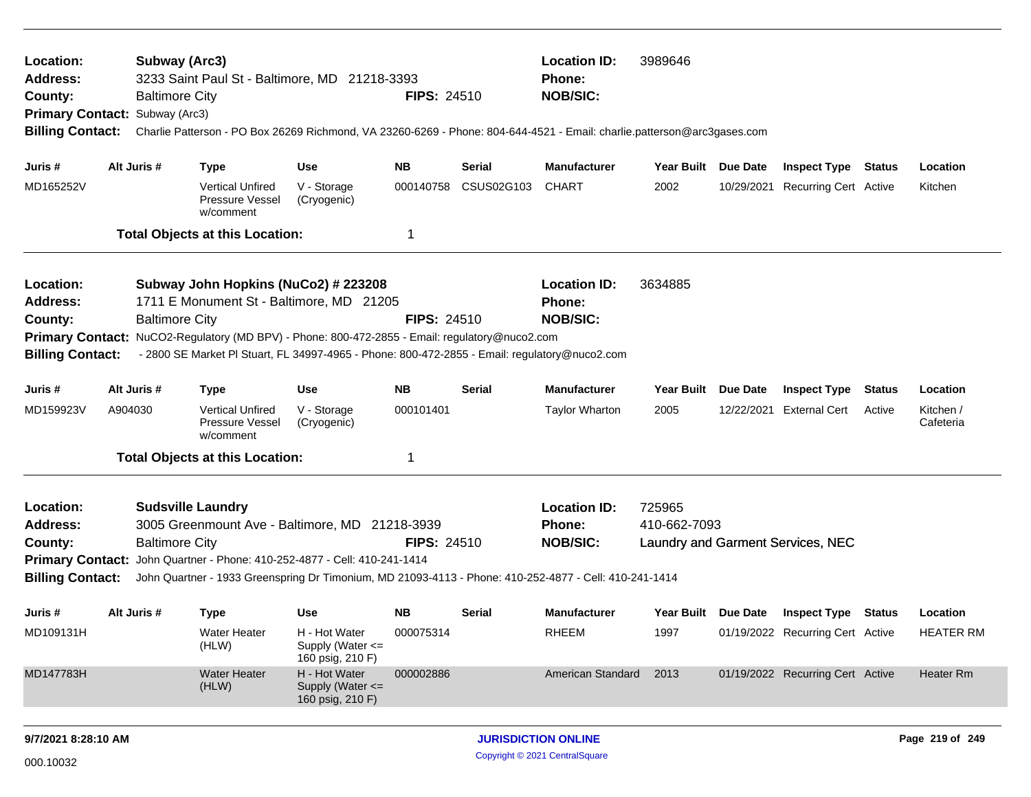| Location:<br><b>Address:</b><br>County:<br>Primary Contact: Subway (Arc3)<br><b>Billing Contact:</b> |             | Subway (Arc3)<br><b>Baltimore City</b> | 3233 Saint Paul St - Baltimore, MD 21218-3393                                                                                                                                                                                                                                       |                                                       | <b>FIPS: 24510</b>           |                      | <b>Location ID:</b><br><b>Phone:</b><br><b>NOB/SIC:</b><br>Charlie Patterson - PO Box 26269 Richmond, VA 23260-6269 - Phone: 804-644-4521 - Email: charlie.patterson@arc3gases.com | 3989646                     |            |                                                            |               |                        |
|------------------------------------------------------------------------------------------------------|-------------|----------------------------------------|-------------------------------------------------------------------------------------------------------------------------------------------------------------------------------------------------------------------------------------------------------------------------------------|-------------------------------------------------------|------------------------------|----------------------|------------------------------------------------------------------------------------------------------------------------------------------------------------------------------------|-----------------------------|------------|------------------------------------------------------------|---------------|------------------------|
| Juris #<br>MD165252V                                                                                 | Alt Juris # |                                        | <b>Type</b><br><b>Vertical Unfired</b><br>Pressure Vessel<br>w/comment<br><b>Total Objects at this Location:</b>                                                                                                                                                                    | <b>Use</b><br>V - Storage<br>(Cryogenic)              | <b>NB</b><br>000140758<br>-1 | Serial<br>CSUS02G103 | <b>Manufacturer</b><br><b>CHART</b>                                                                                                                                                | Year Built Due Date<br>2002 | 10/29/2021 | <b>Inspect Type Status</b><br><b>Recurring Cert Active</b> |               | Location<br>Kitchen    |
| Location:<br><b>Address:</b><br>County:<br><b>Billing Contact:</b>                                   |             | <b>Baltimore City</b>                  | Subway John Hopkins (NuCo2) # 223208<br>1711 E Monument St - Baltimore, MD 21205<br>Primary Contact: NuCO2-Regulatory (MD BPV) - Phone: 800-472-2855 - Email: regulatory@nuco2.com<br>- 2800 SE Market PI Stuart, FL 34997-4965 - Phone: 800-472-2855 - Email: regulatory@nuco2.com |                                                       | <b>FIPS: 24510</b>           |                      | <b>Location ID:</b><br><b>Phone:</b><br><b>NOB/SIC:</b>                                                                                                                            | 3634885                     |            |                                                            |               |                        |
| Juris #                                                                                              | Alt Juris # |                                        | <b>Type</b>                                                                                                                                                                                                                                                                         | Use                                                   | <b>NB</b>                    | Serial               | <b>Manufacturer</b>                                                                                                                                                                | <b>Year Built</b>           | Due Date   | <b>Inspect Type</b>                                        | <b>Status</b> | Location               |
| MD159923V                                                                                            | A904030     |                                        | <b>Vertical Unfired</b><br><b>Pressure Vessel</b><br>w/comment                                                                                                                                                                                                                      | V - Storage<br>(Cryogenic)                            | 000101401                    |                      | <b>Taylor Wharton</b>                                                                                                                                                              | 2005                        | 12/22/2021 | External Cert                                              | Active        | Kitchen /<br>Cafeteria |
|                                                                                                      |             |                                        | <b>Total Objects at this Location:</b>                                                                                                                                                                                                                                              |                                                       | -1                           |                      |                                                                                                                                                                                    |                             |            |                                                            |               |                        |
| Location:<br><b>Address:</b><br>County:<br><b>Billing Contact:</b>                                   |             | <b>Baltimore City</b>                  | <b>Sudsville Laundry</b><br>3005 Greenmount Ave - Baltimore, MD 21218-3939<br>Primary Contact: John Quartner - Phone: 410-252-4877 - Cell: 410-241-1414                                                                                                                             |                                                       | <b>FIPS: 24510</b>           |                      | <b>Location ID:</b><br><b>Phone:</b><br><b>NOB/SIC:</b><br>John Quartner - 1933 Greenspring Dr Timonium, MD 21093-4113 - Phone: 410-252-4877 - Cell: 410-241-1414                  | 725965<br>410-662-7093      |            | Laundry and Garment Services, NEC                          |               |                        |
| Juris #                                                                                              | Alt Juris # |                                        | <b>Type</b>                                                                                                                                                                                                                                                                         | <b>Use</b>                                            | <b>NB</b>                    | Serial               | <b>Manufacturer</b>                                                                                                                                                                | Year Built Due Date         |            | <b>Inspect Type Status</b>                                 |               | Location               |
| MD109131H                                                                                            |             |                                        | Water Heater<br>(HLW)                                                                                                                                                                                                                                                               | H - Hot Water<br>Supply (Water <=<br>160 psig, 210 F) | 000075314                    |                      | RHEEM                                                                                                                                                                              | 1997                        |            | 01/19/2022 Recurring Cert Active                           |               | <b>HEATER RM</b>       |
| MD147783H                                                                                            |             |                                        | <b>Water Heater</b><br>(HLW)                                                                                                                                                                                                                                                        | H - Hot Water<br>Supply (Water <=<br>160 psig, 210 F) | 000002886                    |                      | American Standard                                                                                                                                                                  | 2013                        |            | 01/19/2022 Recurring Cert Active                           |               | Heater Rm              |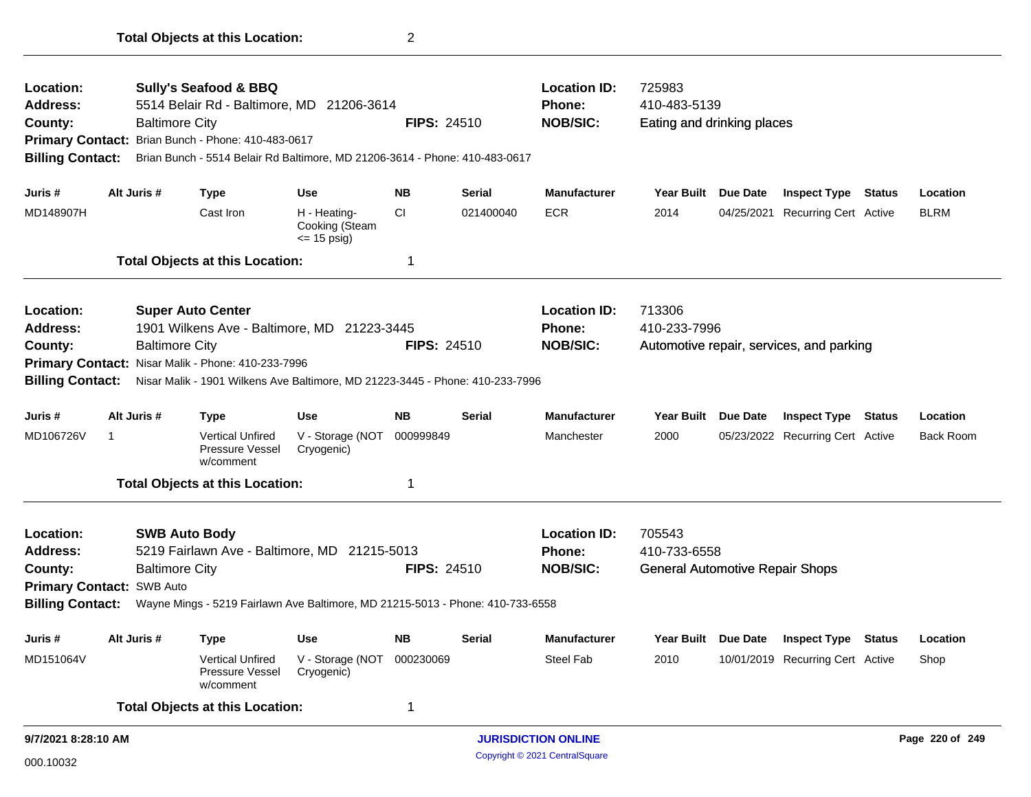| Location:                 |   |                       | <b>Sully's Seafood &amp; BBQ</b>                                               |                                                |                    |               | <b>Location ID:</b> | 725983                                 |                 |                                          |  |                  |
|---------------------------|---|-----------------------|--------------------------------------------------------------------------------|------------------------------------------------|--------------------|---------------|---------------------|----------------------------------------|-----------------|------------------------------------------|--|------------------|
| <b>Address:</b>           |   |                       | 5514 Belair Rd - Baltimore, MD 21206-3614                                      |                                                |                    |               | Phone:              | 410-483-5139                           |                 |                                          |  |                  |
| County:                   |   | <b>Baltimore City</b> |                                                                                |                                                | <b>FIPS: 24510</b> |               | <b>NOB/SIC:</b>     | Eating and drinking places             |                 |                                          |  |                  |
|                           |   |                       | Primary Contact: Brian Bunch - Phone: 410-483-0617                             |                                                |                    |               |                     |                                        |                 |                                          |  |                  |
| <b>Billing Contact:</b>   |   |                       | Brian Bunch - 5514 Belair Rd Baltimore, MD 21206-3614 - Phone: 410-483-0617    |                                                |                    |               |                     |                                        |                 |                                          |  |                  |
| Juris #                   |   | Alt Juris #           | <b>Type</b>                                                                    | <b>Use</b>                                     | <b>NB</b>          | Serial        | <b>Manufacturer</b> | <b>Year Built</b>                      | Due Date        | <b>Inspect Type Status</b>               |  | Location         |
| MD148907H                 |   |                       | Cast Iron                                                                      | H - Heating-<br>Cooking (Steam<br>$= 15$ psig) | <b>CI</b>          | 021400040     | <b>ECR</b>          | 2014                                   |                 | 04/25/2021 Recurring Cert Active         |  | <b>BLRM</b>      |
|                           |   |                       | <b>Total Objects at this Location:</b>                                         |                                                | 1                  |               |                     |                                        |                 |                                          |  |                  |
| Location:                 |   |                       | <b>Super Auto Center</b>                                                       |                                                |                    |               | <b>Location ID:</b> | 713306                                 |                 |                                          |  |                  |
| <b>Address:</b>           |   |                       | 1901 Wilkens Ave - Baltimore, MD 21223-3445                                    |                                                |                    |               | Phone:              | 410-233-7996                           |                 |                                          |  |                  |
| County:                   |   | <b>Baltimore City</b> |                                                                                |                                                | <b>FIPS: 24510</b> |               | <b>NOB/SIC:</b>     |                                        |                 | Automotive repair, services, and parking |  |                  |
|                           |   |                       | Primary Contact: Nisar Malik - Phone: 410-233-7996                             |                                                |                    |               |                     |                                        |                 |                                          |  |                  |
| <b>Billing Contact:</b>   |   |                       | Nisar Malik - 1901 Wilkens Ave Baltimore, MD 21223-3445 - Phone: 410-233-7996  |                                                |                    |               |                     |                                        |                 |                                          |  |                  |
| Juris #                   |   | Alt Juris #           | <b>Type</b>                                                                    | <b>Use</b>                                     | <b>NB</b>          | <b>Serial</b> | <b>Manufacturer</b> | Year Built                             | <b>Due Date</b> | <b>Inspect Type Status</b>               |  | Location         |
| MD106726V                 | 1 |                       | <b>Vertical Unfired</b><br>Pressure Vessel<br>w/comment                        | V - Storage (NOT<br>Cryogenic)                 | 000999849          |               | Manchester          | 2000                                   |                 | 05/23/2022 Recurring Cert Active         |  | <b>Back Room</b> |
|                           |   |                       | <b>Total Objects at this Location:</b>                                         |                                                | 1                  |               |                     |                                        |                 |                                          |  |                  |
| Location:                 |   | <b>SWB Auto Body</b>  |                                                                                |                                                |                    |               | <b>Location ID:</b> | 705543                                 |                 |                                          |  |                  |
| <b>Address:</b>           |   |                       | 5219 Fairlawn Ave - Baltimore, MD 21215-5013                                   |                                                |                    |               | <b>Phone:</b>       | 410-733-6558                           |                 |                                          |  |                  |
| County:                   |   | <b>Baltimore City</b> |                                                                                |                                                | <b>FIPS: 24510</b> |               | <b>NOB/SIC:</b>     | <b>General Automotive Repair Shops</b> |                 |                                          |  |                  |
| Primary Contact: SWB Auto |   |                       |                                                                                |                                                |                    |               |                     |                                        |                 |                                          |  |                  |
| <b>Billing Contact:</b>   |   |                       | Wayne Mings - 5219 Fairlawn Ave Baltimore, MD 21215-5013 - Phone: 410-733-6558 |                                                |                    |               |                     |                                        |                 |                                          |  |                  |
| Juris #                   |   | Alt Juris #           | <b>Type</b>                                                                    | <b>Use</b>                                     | <b>NB</b>          | <b>Serial</b> | <b>Manufacturer</b> | <b>Year Built</b>                      | <b>Due Date</b> | <b>Inspect Type Status</b>               |  | Location         |
| MD151064V                 |   |                       | <b>Vertical Unfired</b><br>Pressure Vessel<br>w/comment                        | V - Storage (NOT 000230069<br>Cryogenic)       |                    |               | <b>Steel Fab</b>    | 2010                                   |                 | 10/01/2019 Recurring Cert Active         |  | Shop             |
|                           |   |                       | <b>Total Objects at this Location:</b>                                         |                                                | 1                  |               |                     |                                        |                 |                                          |  |                  |
|                           |   |                       |                                                                                |                                                |                    |               |                     |                                        |                 |                                          |  |                  |

**Total Objects at this Location:** 2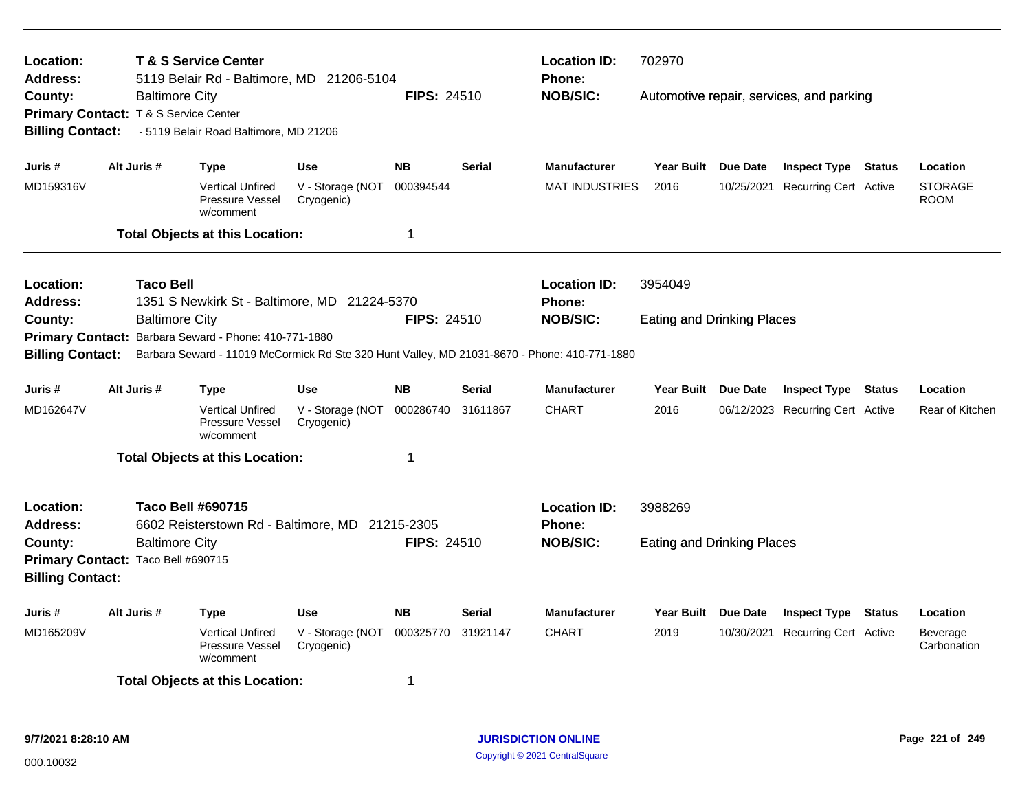| <b>Location:</b><br><b>Address:</b><br>County:                |  | <b>T &amp; S Service Center</b> | 5119 Belair Rd - Baltimore, MD 21206-5104               |                                                 |                    | <b>Location ID:</b><br><b>Phone:</b> | 702970                                                                                       |                                   |            |                                          |        |                               |
|---------------------------------------------------------------|--|---------------------------------|---------------------------------------------------------|-------------------------------------------------|--------------------|--------------------------------------|----------------------------------------------------------------------------------------------|-----------------------------------|------------|------------------------------------------|--------|-------------------------------|
|                                                               |  | <b>Baltimore City</b>           |                                                         |                                                 | <b>FIPS: 24510</b> |                                      | <b>NOB/SIC:</b>                                                                              |                                   |            | Automotive repair, services, and parking |        |                               |
| Primary Contact: T & S Service Center                         |  |                                 |                                                         |                                                 |                    |                                      |                                                                                              |                                   |            |                                          |        |                               |
| <b>Billing Contact:</b>                                       |  |                                 | - 5119 Belair Road Baltimore, MD 21206                  |                                                 |                    |                                      |                                                                                              |                                   |            |                                          |        |                               |
| Juris #                                                       |  | Alt Juris #                     | <b>Type</b>                                             | <b>Use</b>                                      | <b>NB</b>          | <b>Serial</b>                        | <b>Manufacturer</b>                                                                          | Year Built Due Date               |            | <b>Inspect Type Status</b>               |        | Location                      |
| MD159316V                                                     |  |                                 | <b>Vertical Unfired</b><br>Pressure Vessel<br>w/comment | V - Storage (NOT<br>Cryogenic)                  | 000394544          |                                      | <b>MAT INDUSTRIES</b>                                                                        | 2016                              | 10/25/2021 | Recurring Cert Active                    |        | <b>STORAGE</b><br><b>ROOM</b> |
|                                                               |  |                                 | <b>Total Objects at this Location:</b>                  |                                                 | 1                  |                                      |                                                                                              |                                   |            |                                          |        |                               |
| Location:                                                     |  | <b>Taco Bell</b>                |                                                         |                                                 |                    |                                      | <b>Location ID:</b>                                                                          | 3954049                           |            |                                          |        |                               |
| <b>Address:</b>                                               |  |                                 |                                                         | 1351 S Newkirk St - Baltimore, MD 21224-5370    |                    |                                      | Phone:                                                                                       |                                   |            |                                          |        |                               |
| County:                                                       |  | <b>Baltimore City</b>           |                                                         |                                                 | <b>FIPS: 24510</b> |                                      | <b>NOB/SIC:</b>                                                                              | <b>Eating and Drinking Places</b> |            |                                          |        |                               |
| Primary Contact: Barbara Seward - Phone: 410-771-1880         |  |                                 |                                                         |                                                 |                    |                                      |                                                                                              |                                   |            |                                          |        |                               |
| <b>Billing Contact:</b>                                       |  |                                 |                                                         |                                                 |                    |                                      | Barbara Seward - 11019 McCormick Rd Ste 320 Hunt Valley, MD 21031-8670 - Phone: 410-771-1880 |                                   |            |                                          |        |                               |
| Juris #                                                       |  | Alt Juris #                     | <b>Type</b>                                             | <b>Use</b>                                      | <b>NB</b>          | <b>Serial</b>                        | <b>Manufacturer</b>                                                                          | Year Built Due Date               |            | <b>Inspect Type Status</b>               |        | Location                      |
| MD162647V                                                     |  |                                 | <b>Vertical Unfired</b><br>Pressure Vessel<br>w/comment | V - Storage (NOT<br>Cryogenic)                  | 000286740          | 31611867                             | <b>CHART</b>                                                                                 | 2016                              |            | 06/12/2023 Recurring Cert Active         |        | Rear of Kitchen               |
|                                                               |  |                                 | <b>Total Objects at this Location:</b>                  |                                                 | 1                  |                                      |                                                                                              |                                   |            |                                          |        |                               |
| Location:<br>Address:                                         |  | <b>Taco Bell #690715</b>        |                                                         | 6602 Reisterstown Rd - Baltimore, MD 21215-2305 |                    |                                      | <b>Location ID:</b><br>Phone:                                                                | 3988269                           |            |                                          |        |                               |
| County:                                                       |  | <b>Baltimore City</b>           |                                                         |                                                 | <b>FIPS: 24510</b> |                                      | <b>NOB/SIC:</b>                                                                              | <b>Eating and Drinking Places</b> |            |                                          |        |                               |
| Primary Contact: Taco Bell #690715<br><b>Billing Contact:</b> |  |                                 |                                                         |                                                 |                    |                                      |                                                                                              |                                   |            |                                          |        |                               |
| Juris #                                                       |  | Alt Juris #                     | Type                                                    | <b>Use</b>                                      | <b>NB</b>          | <b>Serial</b>                        | <b>Manufacturer</b>                                                                          | Year Built Due Date               |            | <b>Inspect Type</b>                      | Status | Location                      |
| MD165209V                                                     |  |                                 | <b>Vertical Unfired</b><br>Pressure Vessel<br>w/comment | V - Storage (NOT<br>Cryogenic)                  | 000325770          | 31921147                             | <b>CHART</b>                                                                                 | 2019                              |            | 10/30/2021 Recurring Cert Active         |        | Beverage<br>Carbonation       |
|                                                               |  |                                 | <b>Total Objects at this Location:</b>                  |                                                 | 1                  |                                      |                                                                                              |                                   |            |                                          |        |                               |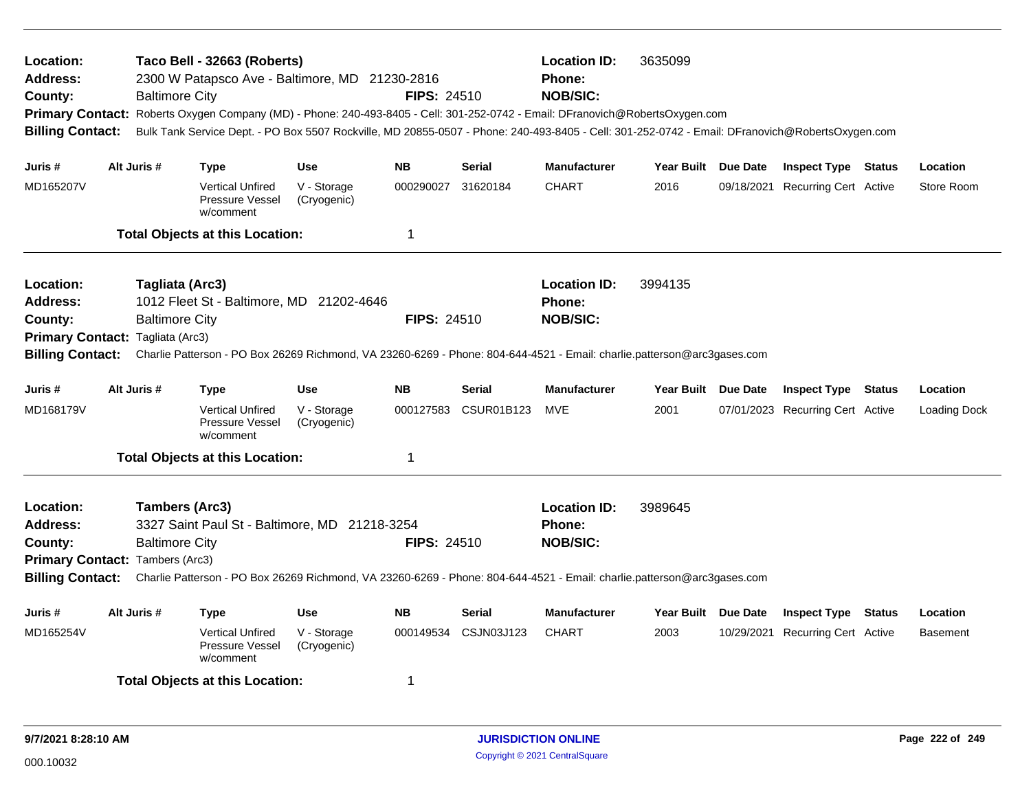| Location:<br>Address:<br>County:<br><b>Billing Contact:</b>                                            |             | <b>Baltimore City</b>                          | Taco Bell - 32663 (Roberts)<br>2300 W Patapsco Ave - Baltimore, MD 21230-2816<br>Primary Contact: Roberts Oxygen Company (MD) - Phone: 240-493-8405 - Cell: 301-252-0742 - Email: DFranovich@RobertsOxygen.com<br>Bulk Tank Service Dept. - PO Box 5507 Rockville, MD 20855-0507 - Phone: 240-493-8405 - Cell: 301-252-0742 - Email: DFranovich@RobertsOxygen.com |                            | <b>FIPS: 24510</b> |                   | <b>Location ID:</b><br><b>Phone:</b><br><b>NOB/SIC:</b> | 3635099             |                                  |        |                 |
|--------------------------------------------------------------------------------------------------------|-------------|------------------------------------------------|-------------------------------------------------------------------------------------------------------------------------------------------------------------------------------------------------------------------------------------------------------------------------------------------------------------------------------------------------------------------|----------------------------|--------------------|-------------------|---------------------------------------------------------|---------------------|----------------------------------|--------|-----------------|
| Juris #                                                                                                | Alt Juris # |                                                | Type                                                                                                                                                                                                                                                                                                                                                              | <b>Use</b>                 | <b>NB</b>          | <b>Serial</b>     | <b>Manufacturer</b>                                     | Year Built Due Date | <b>Inspect Type Status</b>       |        | Location        |
| MD165207V                                                                                              |             |                                                | <b>Vertical Unfired</b><br>Pressure Vessel<br>w/comment                                                                                                                                                                                                                                                                                                           | V - Storage<br>(Cryogenic) | 000290027          | 31620184          | <b>CHART</b>                                            | 2016                | 09/18/2021 Recurring Cert Active |        | Store Room      |
|                                                                                                        |             |                                                | <b>Total Objects at this Location:</b>                                                                                                                                                                                                                                                                                                                            |                            | $\mathbf 1$        |                   |                                                         |                     |                                  |        |                 |
| Location:<br><b>Address:</b><br>County:<br>Primary Contact: Tagliata (Arc3)<br><b>Billing Contact:</b> |             | Tagliata (Arc3)<br><b>Baltimore City</b>       | 1012 Fleet St - Baltimore, MD 21202-4646<br>Charlie Patterson - PO Box 26269 Richmond, VA 23260-6269 - Phone: 804-644-4521 - Email: charlie.patterson@arc3gases.com                                                                                                                                                                                               |                            | <b>FIPS: 24510</b> |                   | <b>Location ID:</b><br><b>Phone:</b><br><b>NOB/SIC:</b> | 3994135             |                                  |        |                 |
| Juris #                                                                                                | Alt Juris # |                                                | Type                                                                                                                                                                                                                                                                                                                                                              | <b>Use</b>                 | <b>NB</b>          | <b>Serial</b>     | <b>Manufacturer</b>                                     | Year Built Due Date | <b>Inspect Type</b>              | Status | Location        |
| MD168179V                                                                                              |             |                                                | <b>Vertical Unfired</b><br>Pressure Vessel<br>w/comment                                                                                                                                                                                                                                                                                                           | V - Storage<br>(Cryogenic) | 000127583          | <b>CSUR01B123</b> | <b>MVE</b>                                              | 2001                | 07/01/2023 Recurring Cert Active |        | Loading Dock    |
|                                                                                                        |             |                                                | <b>Total Objects at this Location:</b>                                                                                                                                                                                                                                                                                                                            |                            | $\mathbf 1$        |                   |                                                         |                     |                                  |        |                 |
| Location:<br>Address:<br>County:<br>Primary Contact: Tambers (Arc3)<br><b>Billing Contact:</b>         |             | <b>Tambers (Arc3)</b><br><b>Baltimore City</b> | 3327 Saint Paul St - Baltimore, MD 21218-3254<br>Charlie Patterson - PO Box 26269 Richmond, VA 23260-6269 - Phone: 804-644-4521 - Email: charlie.patterson@arc3gases.com                                                                                                                                                                                          |                            | <b>FIPS: 24510</b> |                   | <b>Location ID:</b><br><b>Phone:</b><br><b>NOB/SIC:</b> | 3989645             |                                  |        |                 |
| Juris #                                                                                                | Alt Juris # |                                                | <b>Type</b>                                                                                                                                                                                                                                                                                                                                                       | <b>Use</b>                 | <b>NB</b>          | <b>Serial</b>     | <b>Manufacturer</b>                                     | Year Built Due Date | <b>Inspect Type Status</b>       |        | Location        |
| MD165254V                                                                                              |             |                                                | <b>Vertical Unfired</b><br>Pressure Vessel<br>w/comment                                                                                                                                                                                                                                                                                                           | V - Storage<br>(Cryogenic) | 000149534          | CSJN03J123        | <b>CHART</b>                                            | 2003                | 10/29/2021 Recurring Cert Active |        | <b>Basement</b> |
|                                                                                                        |             |                                                | <b>Total Objects at this Location:</b>                                                                                                                                                                                                                                                                                                                            |                            | 1                  |                   |                                                         |                     |                                  |        |                 |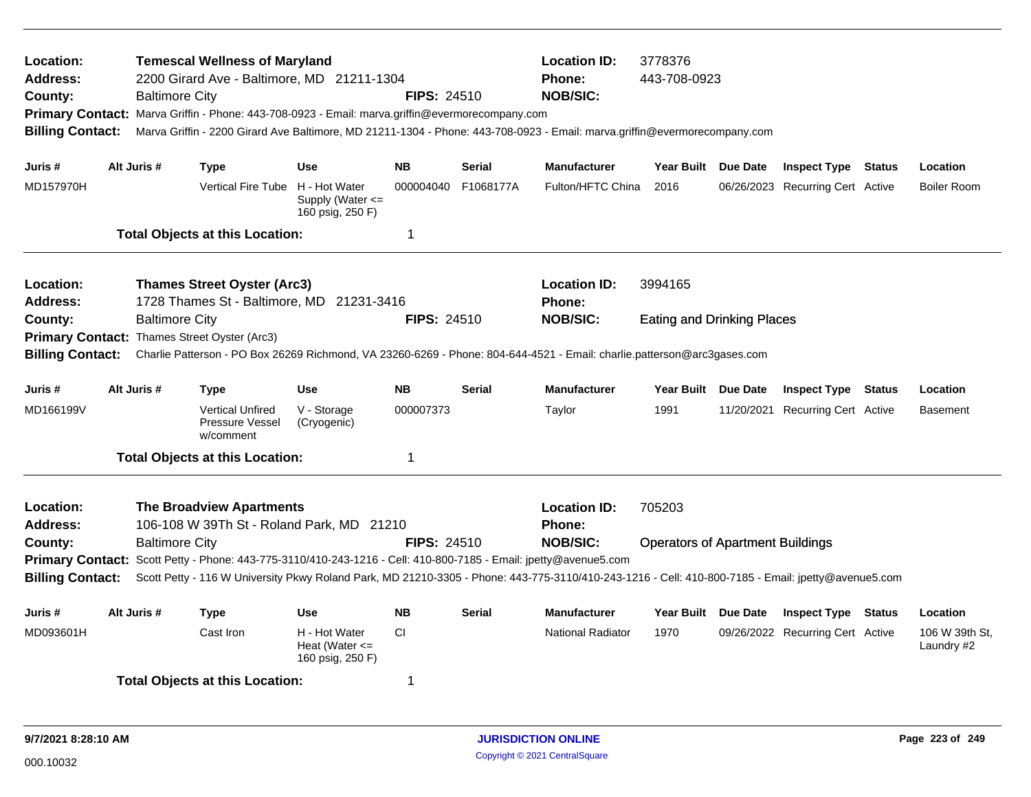| Location:<br>Address:<br>County:<br><b>Primary Contact:</b><br><b>Billing Contact:</b> | <b>Baltimore City</b> | <b>Temescal Wellness of Maryland</b><br>2200 Girard Ave - Baltimore, MD 21211-1304<br>Marva Griffin - Phone: 443-708-0923 - Email: marva.griffin@evermorecompany.com                             |                                                         | <b>FIPS: 24510</b> |               | <b>Location ID:</b><br><b>Phone:</b><br><b>NOB/SIC:</b><br>Marva Griffin - 2200 Girard Ave Baltimore, MD 21211-1304 - Phone: 443-708-0923 - Email: marva.griffin@evermorecompany.com                          | 3778376<br>443-708-0923                           |                                  |                              |
|----------------------------------------------------------------------------------------|-----------------------|--------------------------------------------------------------------------------------------------------------------------------------------------------------------------------------------------|---------------------------------------------------------|--------------------|---------------|---------------------------------------------------------------------------------------------------------------------------------------------------------------------------------------------------------------|---------------------------------------------------|----------------------------------|------------------------------|
| Juris #                                                                                | Alt Juris #           | <b>Type</b>                                                                                                                                                                                      | <b>Use</b>                                              | <b>NB</b>          | <b>Serial</b> | <b>Manufacturer</b>                                                                                                                                                                                           | Year Built Due Date                               | <b>Inspect Type Status</b>       | Location                     |
| MD157970H                                                                              |                       | Vertical Fire Tube H - Hot Water                                                                                                                                                                 | Supply (Water $\leq$<br>160 psig, 250 F)                | 000004040          | F1068177A     | Fulton/HFTC China                                                                                                                                                                                             | 2016                                              | 06/26/2023 Recurring Cert Active | <b>Boiler Room</b>           |
|                                                                                        |                       | <b>Total Objects at this Location:</b>                                                                                                                                                           |                                                         | 1                  |               |                                                                                                                                                                                                               |                                                   |                                  |                              |
| Location:<br><b>Address:</b>                                                           |                       | <b>Thames Street Oyster (Arc3)</b><br>1728 Thames St - Baltimore, MD 21231-3416                                                                                                                  |                                                         |                    |               | <b>Location ID:</b><br>Phone:                                                                                                                                                                                 | 3994165                                           |                                  |                              |
| County:<br><b>Billing Contact:</b>                                                     | <b>Baltimore City</b> | Primary Contact: Thames Street Oyster (Arc3)                                                                                                                                                     |                                                         | <b>FIPS: 24510</b> |               | <b>NOB/SIC:</b><br>Charlie Patterson - PO Box 26269 Richmond, VA 23260-6269 - Phone: 804-644-4521 - Email: charlie.patterson@arc3gases.com                                                                    | <b>Eating and Drinking Places</b>                 |                                  |                              |
| Juris #                                                                                | Alt Juris #           | <b>Type</b>                                                                                                                                                                                      | <b>Use</b>                                              | <b>NB</b>          | <b>Serial</b> | <b>Manufacturer</b>                                                                                                                                                                                           | Year Built Due Date                               | <b>Inspect Type Status</b>       | Location                     |
| MD166199V                                                                              |                       | <b>Vertical Unfired</b><br>Pressure Vessel<br>w/comment                                                                                                                                          | V - Storage<br>(Cryogenic)                              | 000007373          |               | Taylor                                                                                                                                                                                                        | 1991                                              | 11/20/2021 Recurring Cert Active | <b>Basement</b>              |
|                                                                                        |                       | <b>Total Objects at this Location:</b>                                                                                                                                                           |                                                         | 1                  |               |                                                                                                                                                                                                               |                                                   |                                  |                              |
| Location:<br>Address:<br>County:<br><b>Billing Contact:</b>                            | <b>Baltimore City</b> | <b>The Broadview Apartments</b><br>106-108 W 39Th St - Roland Park, MD 21210<br>Primary Contact: Scott Petty - Phone: 443-775-3110/410-243-1216 - Cell: 410-800-7185 - Email: jpetty@avenue5.com |                                                         | <b>FIPS: 24510</b> |               | <b>Location ID:</b><br><b>Phone:</b><br><b>NOB/SIC:</b><br>Scott Petty - 116 W University Pkwy Roland Park, MD 21210-3305 - Phone: 443-775-3110/410-243-1216 - Cell: 410-800-7185 - Email: jpetty@avenue5.com | 705203<br><b>Operators of Apartment Buildings</b> |                                  |                              |
| Juris #                                                                                | Alt Juris #           | <b>Type</b>                                                                                                                                                                                      | <b>Use</b>                                              | <b>NB</b>          | <b>Serial</b> | <b>Manufacturer</b>                                                                                                                                                                                           | Year Built Due Date                               | <b>Inspect Type Status</b>       | Location                     |
| MD093601H                                                                              |                       | Cast Iron                                                                                                                                                                                        | H - Hot Water<br>Heat (Water $\leq$<br>160 psig, 250 F) | <b>CI</b>          |               | <b>National Radiator</b>                                                                                                                                                                                      | 1970                                              | 09/26/2022 Recurring Cert Active | 106 W 39th St,<br>Laundry #2 |
|                                                                                        |                       | <b>Total Objects at this Location:</b>                                                                                                                                                           |                                                         | 1                  |               |                                                                                                                                                                                                               |                                                   |                                  |                              |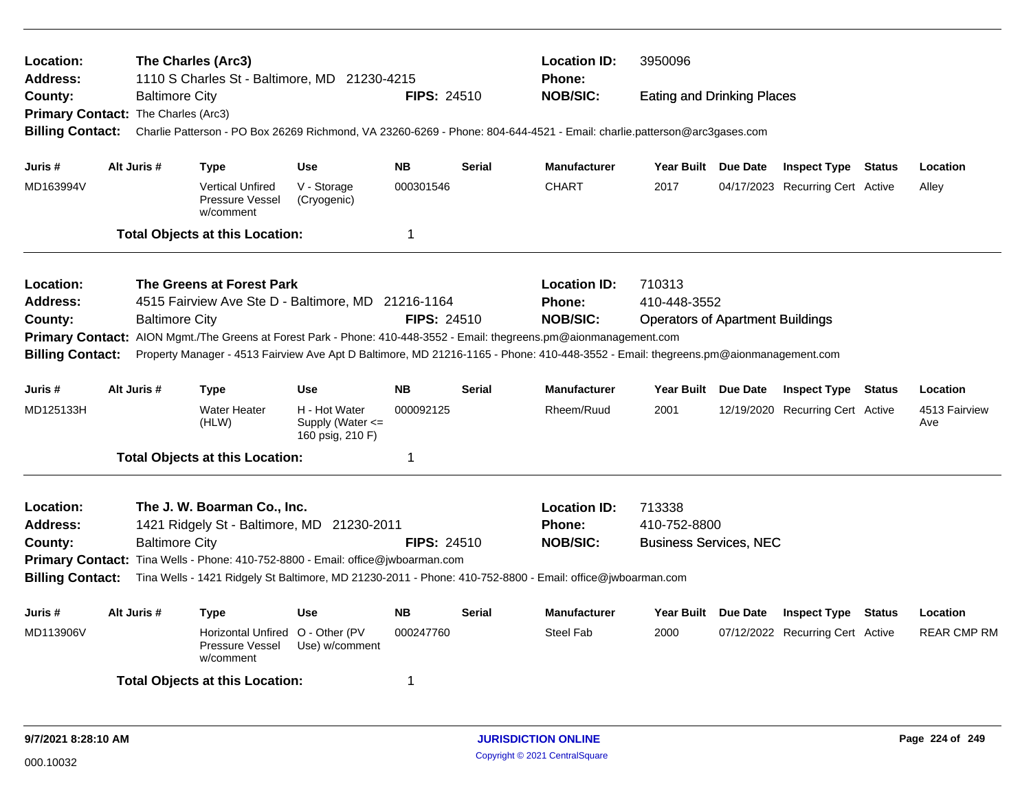| <b>Location ID:</b><br>Location:<br>The Charles (Arc3)<br>3950096<br>Address:<br>1110 S Charles St - Baltimore, MD 21230-4215<br><b>Phone:</b> |                                     |                                                                                                                                    |                                                       |                    |               |                     |                                         |                     |                                  |        |                      |
|------------------------------------------------------------------------------------------------------------------------------------------------|-------------------------------------|------------------------------------------------------------------------------------------------------------------------------------|-------------------------------------------------------|--------------------|---------------|---------------------|-----------------------------------------|---------------------|----------------------------------|--------|----------------------|
| County:                                                                                                                                        |                                     | <b>Baltimore City</b>                                                                                                              |                                                       | <b>FIPS: 24510</b> |               | <b>NOB/SIC:</b>     | <b>Eating and Drinking Places</b>       |                     |                                  |        |                      |
|                                                                                                                                                | Primary Contact: The Charles (Arc3) |                                                                                                                                    |                                                       |                    |               |                     |                                         |                     |                                  |        |                      |
| <b>Billing Contact:</b>                                                                                                                        |                                     | Charlie Patterson - PO Box 26269 Richmond, VA 23260-6269 - Phone: 804-644-4521 - Email: charlie.patterson@arc3gases.com            |                                                       |                    |               |                     |                                         |                     |                                  |        |                      |
| Juris #                                                                                                                                        | Alt Juris #                         | <b>Type</b>                                                                                                                        | <b>Use</b>                                            | <b>NB</b>          | <b>Serial</b> | <b>Manufacturer</b> |                                         | Year Built Due Date | <b>Inspect Type Status</b>       |        | Location             |
| MD163994V                                                                                                                                      |                                     | <b>Vertical Unfired</b><br>Pressure Vessel<br>w/comment                                                                            | V - Storage<br>(Cryogenic)                            | 000301546          |               | <b>CHART</b>        | 2017                                    |                     | 04/17/2023 Recurring Cert Active |        | Alley                |
|                                                                                                                                                |                                     | <b>Total Objects at this Location:</b>                                                                                             |                                                       | 1                  |               |                     |                                         |                     |                                  |        |                      |
| Location:                                                                                                                                      |                                     | The Greens at Forest Park                                                                                                          |                                                       |                    |               | <b>Location ID:</b> | 710313                                  |                     |                                  |        |                      |
| <b>Address:</b>                                                                                                                                |                                     | 4515 Fairview Ave Ste D - Baltimore, MD 21216-1164                                                                                 |                                                       |                    |               | Phone:              | 410-448-3552                            |                     |                                  |        |                      |
| County:                                                                                                                                        |                                     | <b>Baltimore City</b>                                                                                                              |                                                       | <b>FIPS: 24510</b> |               | <b>NOB/SIC:</b>     | <b>Operators of Apartment Buildings</b> |                     |                                  |        |                      |
|                                                                                                                                                |                                     | Primary Contact: AION Mgmt./The Greens at Forest Park - Phone: 410-448-3552 - Email: thegreens.pm@aionmanagement.com               |                                                       |                    |               |                     |                                         |                     |                                  |        |                      |
| <b>Billing Contact:</b>                                                                                                                        |                                     | Property Manager - 4513 Fairview Ave Apt D Baltimore, MD 21216-1165 - Phone: 410-448-3552 - Email: thegreens.pm@aionmanagement.com |                                                       |                    |               |                     |                                         |                     |                                  |        |                      |
| Juris #                                                                                                                                        | Alt Juris #                         | <b>Type</b>                                                                                                                        | <b>Use</b>                                            | <b>NB</b>          | <b>Serial</b> | <b>Manufacturer</b> |                                         | Year Built Due Date | <b>Inspect Type</b>              | Status | Location             |
| MD125133H                                                                                                                                      |                                     | <b>Water Heater</b><br>(HLW)                                                                                                       | H - Hot Water<br>Supply (Water <=<br>160 psig, 210 F) | 000092125          |               | Rheem/Ruud          | 2001                                    |                     | 12/19/2020 Recurring Cert Active |        | 4513 Fairview<br>Ave |
|                                                                                                                                                |                                     | <b>Total Objects at this Location:</b>                                                                                             |                                                       | 1                  |               |                     |                                         |                     |                                  |        |                      |
| Location:                                                                                                                                      |                                     | The J. W. Boarman Co., Inc.                                                                                                        |                                                       |                    |               | <b>Location ID:</b> | 713338                                  |                     |                                  |        |                      |
| <b>Address:</b>                                                                                                                                |                                     | 1421 Ridgely St - Baltimore, MD 21230-2011                                                                                         |                                                       |                    |               | Phone:              | 410-752-8800                            |                     |                                  |        |                      |
| County:                                                                                                                                        |                                     | <b>Baltimore City</b>                                                                                                              |                                                       | <b>FIPS: 24510</b> |               | <b>NOB/SIC:</b>     | <b>Business Services, NEC</b>           |                     |                                  |        |                      |
|                                                                                                                                                |                                     | Primary Contact: Tina Wells - Phone: 410-752-8800 - Email: office@jwboarman.com                                                    |                                                       |                    |               |                     |                                         |                     |                                  |        |                      |
| <b>Billing Contact:</b>                                                                                                                        |                                     | Tina Wells - 1421 Ridgely St Baltimore, MD 21230-2011 - Phone: 410-752-8800 - Email: office@jwboarman.com                          |                                                       |                    |               |                     |                                         |                     |                                  |        |                      |
| Juris #                                                                                                                                        | Alt Juris #                         | <b>Type</b>                                                                                                                        | <b>Use</b>                                            | <b>NB</b>          | <b>Serial</b> | <b>Manufacturer</b> |                                         | Year Built Due Date | <b>Inspect Type</b>              | Status | Location             |
| MD113906V                                                                                                                                      |                                     | Horizontal Unfired O - Other (PV<br>Pressure Vessel<br>w/comment                                                                   | Use) w/comment                                        | 000247760          |               | <b>Steel Fab</b>    | 2000                                    |                     | 07/12/2022 Recurring Cert Active |        | <b>REAR CMP RM</b>   |
|                                                                                                                                                |                                     | <b>Total Objects at this Location:</b>                                                                                             |                                                       | 1                  |               |                     |                                         |                     |                                  |        |                      |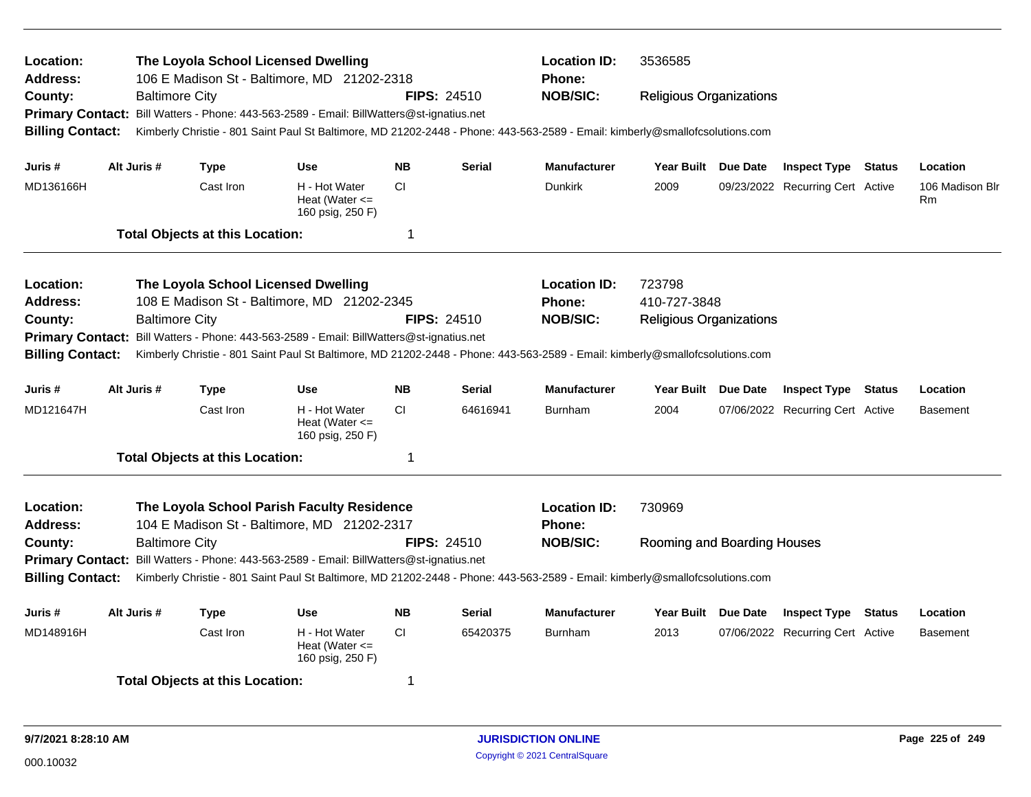| Location:<br><b>Address:</b> |                       |                                        | The Loyola School Licensed Dwelling<br>106 E Madison St - Baltimore, MD 21202-2318                                           |             |                    | <b>Location ID:</b><br><b>Phone:</b> | 3536585                        |                                  |        |                       |
|------------------------------|-----------------------|----------------------------------------|------------------------------------------------------------------------------------------------------------------------------|-------------|--------------------|--------------------------------------|--------------------------------|----------------------------------|--------|-----------------------|
| County:                      | <b>Baltimore City</b> |                                        |                                                                                                                              |             | <b>FIPS: 24510</b> | <b>NOB/SIC:</b>                      | <b>Religious Organizations</b> |                                  |        |                       |
|                              |                       |                                        | Primary Contact: Bill Watters - Phone: 443-563-2589 - Email: BillWatters@st-ignatius.net                                     |             |                    |                                      |                                |                                  |        |                       |
| <b>Billing Contact:</b>      |                       |                                        | Kimberly Christie - 801 Saint Paul St Baltimore, MD 21202-2448 - Phone: 443-563-2589 - Email: kimberly@smallofcsolutions.com |             |                    |                                      |                                |                                  |        |                       |
|                              |                       |                                        |                                                                                                                              |             |                    |                                      |                                |                                  |        |                       |
| Juris #                      | Alt Juris #           | Type                                   | <b>Use</b>                                                                                                                   | <b>NB</b>   | <b>Serial</b>      | <b>Manufacturer</b>                  | Year Built Due Date            | <b>Inspect Type Status</b>       |        | Location              |
| MD136166H                    |                       | Cast Iron                              | H - Hot Water<br>Heat (Water $\leq$<br>160 psig, 250 F)                                                                      | CI.         |                    | <b>Dunkirk</b>                       | 2009                           | 09/23/2022 Recurring Cert Active |        | 106 Madison Blr<br>Rm |
|                              |                       | <b>Total Objects at this Location:</b> |                                                                                                                              | $\mathbf 1$ |                    |                                      |                                |                                  |        |                       |
| Location:                    |                       |                                        | The Loyola School Licensed Dwelling                                                                                          |             |                    | <b>Location ID:</b>                  | 723798                         |                                  |        |                       |
| Address:                     |                       |                                        | 108 E Madison St - Baltimore, MD 21202-2345                                                                                  |             |                    | Phone:                               | 410-727-3848                   |                                  |        |                       |
| County:                      | <b>Baltimore City</b> |                                        |                                                                                                                              |             | <b>FIPS: 24510</b> | <b>NOB/SIC:</b>                      | <b>Religious Organizations</b> |                                  |        |                       |
|                              |                       |                                        | Primary Contact: Bill Watters - Phone: 443-563-2589 - Email: BillWatters@st-ignatius.net                                     |             |                    |                                      |                                |                                  |        |                       |
| <b>Billing Contact:</b>      |                       |                                        | Kimberly Christie - 801 Saint Paul St Baltimore, MD 21202-2448 - Phone: 443-563-2589 - Email: kimberly@smallofcsolutions.com |             |                    |                                      |                                |                                  |        |                       |
| Juris #                      | Alt Juris #           | <b>Type</b>                            | <b>Use</b>                                                                                                                   | <b>NB</b>   | <b>Serial</b>      | <b>Manufacturer</b>                  | Year Built Due Date            | <b>Inspect Type</b>              | Status | Location              |
| MD121647H                    |                       | Cast Iron                              | H - Hot Water<br>Heat (Water $\leq$<br>160 psig, 250 F)                                                                      | <b>CI</b>   | 64616941           | <b>Burnham</b>                       | 2004                           | 07/06/2022 Recurring Cert Active |        | <b>Basement</b>       |
|                              |                       | <b>Total Objects at this Location:</b> |                                                                                                                              | 1           |                    |                                      |                                |                                  |        |                       |
| Location:                    |                       |                                        | The Loyola School Parish Faculty Residence                                                                                   |             |                    | <b>Location ID:</b>                  | 730969                         |                                  |        |                       |
| Address:                     |                       |                                        | 104 E Madison St - Baltimore, MD 21202-2317                                                                                  |             |                    | Phone:                               |                                |                                  |        |                       |
| County:                      | <b>Baltimore City</b> |                                        |                                                                                                                              |             | <b>FIPS: 24510</b> | <b>NOB/SIC:</b>                      | Rooming and Boarding Houses    |                                  |        |                       |
|                              |                       |                                        | Primary Contact: Bill Watters - Phone: 443-563-2589 - Email: BillWatters@st-ignatius.net                                     |             |                    |                                      |                                |                                  |        |                       |
| <b>Billing Contact:</b>      |                       |                                        | Kimberly Christie - 801 Saint Paul St Baltimore, MD 21202-2448 - Phone: 443-563-2589 - Email: kimberly@smallofcsolutions.com |             |                    |                                      |                                |                                  |        |                       |
| Juris #                      | Alt Juris #           | <b>Type</b>                            | Use                                                                                                                          | <b>NB</b>   | Serial             | <b>Manufacturer</b>                  | Year Built Due Date            | <b>Inspect Type</b>              | Status | Location              |
| MD148916H                    |                       | Cast Iron                              | H - Hot Water<br>Heat (Water $\leq$<br>160 psig, 250 F)                                                                      | CI.         | 65420375           | <b>Burnham</b>                       | 2013                           | 07/06/2022 Recurring Cert Active |        | <b>Basement</b>       |
|                              |                       | <b>Total Objects at this Location:</b> |                                                                                                                              | -1          |                    |                                      |                                |                                  |        |                       |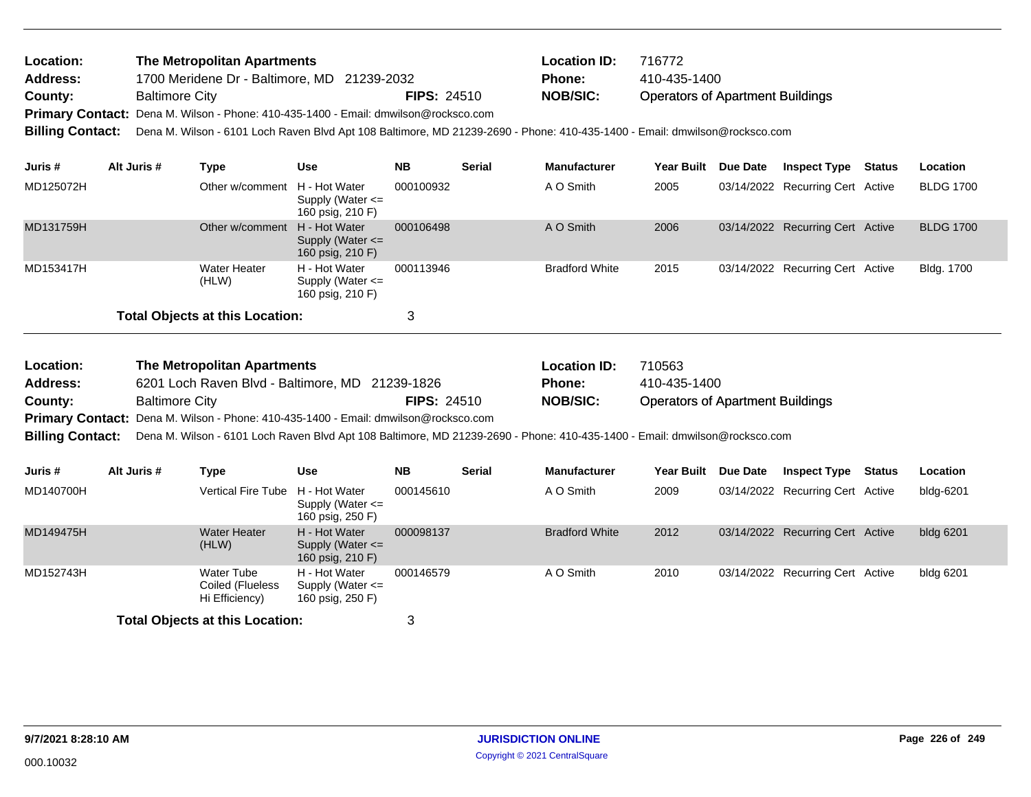| Location: | The Metropolitan Apartments                                                                |                    | <b>Location ID:</b> | 716772                                  |
|-----------|--------------------------------------------------------------------------------------------|--------------------|---------------------|-----------------------------------------|
| Address:  | 1700 Meridene Dr - Baltimore, MD 21239-2032                                                |                    | <b>Phone:</b>       | 410-435-1400                            |
| County:   | <b>Baltimore City</b>                                                                      | <b>FIPS: 24510</b> | <b>NOB/SIC:</b>     | <b>Operators of Apartment Buildings</b> |
|           | <b>Primary Contact:</b> Dena M. Wilson - Phone: 410-435-1400 - Email: dmwilson@rocksco.com |                    |                     |                                         |
|           |                                                                                            |                    |                     |                                         |

**Billing Contact:** Dena M. Wilson - 6101 Loch Raven Blvd Apt 108 Baltimore, MD 21239-2690 - Phone: 410-435-1400 - Email: dmwilson@rocksco.com

| Juris #   | Alt Juris # | Type                                   | Use                                                       | <b>NB</b> | <b>Serial</b> | <b>Manufacturer</b>   | <b>Year Built</b> | <b>Due Date</b> | <b>Inspect Type</b>              | Status | Location         |
|-----------|-------------|----------------------------------------|-----------------------------------------------------------|-----------|---------------|-----------------------|-------------------|-----------------|----------------------------------|--------|------------------|
| MD125072H |             | Other w/comment H - Hot Water          | Supply (Water $\leq$<br>160 psig, 210 F)                  | 000100932 |               | A O Smith             | 2005              |                 | 03/14/2022 Recurring Cert Active |        | <b>BLDG 1700</b> |
| MD131759H |             | Other w/comment H - Hot Water          | Supply (Water $\leq$<br>160 psig, 210 F)                  | 000106498 |               | A O Smith             | 2006              |                 | 03/14/2022 Recurring Cert Active |        | <b>BLDG 1700</b> |
| MD153417H |             | Water Heater<br>(HLW)                  | H - Hot Water<br>Supply (Water $\leq$<br>160 psig, 210 F) | 000113946 |               | <b>Bradford White</b> | 2015              |                 | 03/14/2022 Recurring Cert Active |        | Bldg. 1700       |
|           |             | <b>Total Objects at this Location:</b> |                                                           | 3         |               |                       |                   |                 |                                  |        |                  |

| <b>Location:</b> | The Metropolitan Apartments                                                                                                                         |                    | <b>Location ID:</b> | 710563                                  |
|------------------|-----------------------------------------------------------------------------------------------------------------------------------------------------|--------------------|---------------------|-----------------------------------------|
| <b>Address:</b>  | 6201 Loch Raven Blvd - Baltimore, MD 21239-1826                                                                                                     |                    | <b>Phone:</b>       | 410-435-1400                            |
| County:          | <b>Baltimore City</b>                                                                                                                               | <b>FIPS: 24510</b> | <b>NOB/SIC:</b>     | <b>Operators of Apartment Buildings</b> |
|                  | <b>Primary Contact:</b> Dena M. Wilson - Phone: 410-435-1400 - Email: dmwilson@rocksco.com                                                          |                    |                     |                                         |
|                  | <b>Dillian Content:</b> Descald Wilson 0404 Leb Dessa Dist Ant 400 Deltinens MD 04000 0000. Discos 440 405 4400. Englishments and constant services |                    |                     |                                         |

**Billing Contact:** Dena M. Wilson - 6101 Loch Raven Blvd Apt 108 Baltimore, MD 21239-2690 - Phone: 410-435-1400 - Email: dmwilson@rocksco.com

| Juris #   | Alt Juris # | Type                                             | Use                                                       | NΒ        | <b>Serial</b> | <b>Manufacturer</b>   | <b>Year Built</b> | Due Date | <b>Inspect Type</b>              | Status | <b>Location</b> |
|-----------|-------------|--------------------------------------------------|-----------------------------------------------------------|-----------|---------------|-----------------------|-------------------|----------|----------------------------------|--------|-----------------|
| MD140700H |             | Vertical Fire Tube H - Hot Water                 | Supply (Water $\leq$<br>160 psig, 250 F)                  | 000145610 |               | A O Smith             | 2009              |          | 03/14/2022 Recurring Cert Active |        | bldg-6201       |
| MD149475H |             | Water Heater<br>(HLW)                            | H - Hot Water<br>Supply (Water $\leq$<br>160 psig, 210 F) | 000098137 |               | <b>Bradford White</b> | 2012              |          | 03/14/2022 Recurring Cert Active |        | bldg 6201       |
| MD152743H |             | Water Tube<br>Coiled (Flueless<br>Hi Efficiency) | H - Hot Water<br>Supply (Water $\leq$<br>160 psig, 250 F) | 000146579 |               | A O Smith             | 2010              |          | 03/14/2022 Recurring Cert Active |        | bldg 6201       |
|           |             | Tatal Okiasta at this Laceticus.                 |                                                           |           |               |                       |                   |          |                                  |        |                 |

**Total Objects at this Location:** 3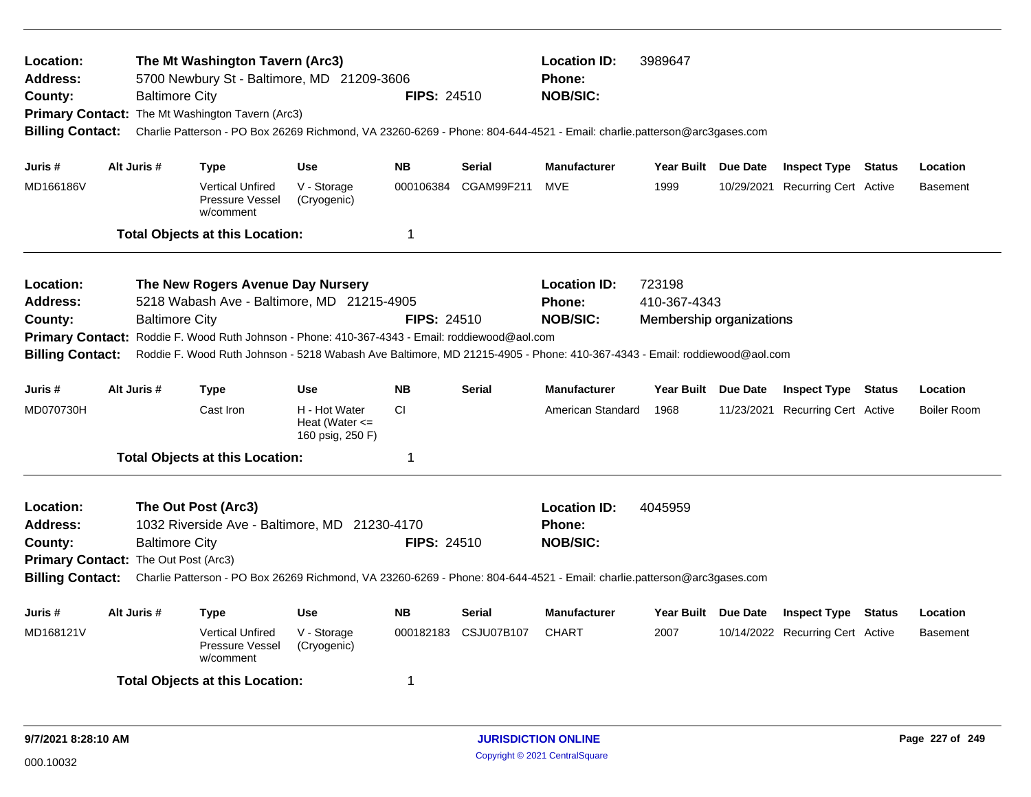| Location:<br><b>Address:</b><br>County:<br><b>Billing Contact:</b>                                  |             | <b>Baltimore City</b> | The Mt Washington Tavern (Arc3)<br>5700 Newbury St - Baltimore, MD 21209-3606<br>Primary Contact: The Mt Washington Tavern (Arc3)                                                 |                                                         | <b>FIPS: 24510</b> |                   | <b>Location ID:</b><br>Phone:<br><b>NOB/SIC:</b><br>Charlie Patterson - PO Box 26269 Richmond, VA 23260-6269 - Phone: 804-644-4521 - Email: charlie.patterson@arc3gases.com         | 3989647                                            |            |                                  |                    |
|-----------------------------------------------------------------------------------------------------|-------------|-----------------------|-----------------------------------------------------------------------------------------------------------------------------------------------------------------------------------|---------------------------------------------------------|--------------------|-------------------|-------------------------------------------------------------------------------------------------------------------------------------------------------------------------------------|----------------------------------------------------|------------|----------------------------------|--------------------|
| Juris #                                                                                             | Alt Juris # |                       | <b>Type</b>                                                                                                                                                                       | <b>Use</b>                                              | <b>NB</b>          | <b>Serial</b>     | <b>Manufacturer</b>                                                                                                                                                                 | Year Built Due Date                                |            | <b>Inspect Type Status</b>       | Location           |
| MD166186V                                                                                           |             |                       | <b>Vertical Unfired</b><br>Pressure Vessel<br>w/comment                                                                                                                           | V - Storage<br>(Cryogenic)                              | 000106384          | CGAM99F211        | MVE                                                                                                                                                                                 | 1999                                               | 10/29/2021 | Recurring Cert Active            | <b>Basement</b>    |
|                                                                                                     |             |                       | <b>Total Objects at this Location:</b>                                                                                                                                            |                                                         | 1                  |                   |                                                                                                                                                                                     |                                                    |            |                                  |                    |
| Location:<br>Address:<br>County:<br><b>Billing Contact:</b>                                         |             | <b>Baltimore City</b> | The New Rogers Avenue Day Nursery<br>5218 Wabash Ave - Baltimore, MD 21215-4905<br>Primary Contact: Roddie F. Wood Ruth Johnson - Phone: 410-367-4343 - Email: roddiewood@aol.com |                                                         | <b>FIPS: 24510</b> |                   | <b>Location ID:</b><br><b>Phone:</b><br><b>NOB/SIC:</b><br>Roddie F. Wood Ruth Johnson - 5218 Wabash Ave Baltimore, MD 21215-4905 - Phone: 410-367-4343 - Email: roddiewood@aol.com | 723198<br>410-367-4343<br>Membership organizations |            |                                  |                    |
| Juris #                                                                                             | Alt Juris # |                       | <b>Type</b>                                                                                                                                                                       | <b>Use</b>                                              | <b>NB</b>          | <b>Serial</b>     | <b>Manufacturer</b>                                                                                                                                                                 | Year Built Due Date                                |            | <b>Inspect Type Status</b>       | Location           |
| MD070730H                                                                                           |             |                       | Cast Iron                                                                                                                                                                         | H - Hot Water<br>Heat (Water $\leq$<br>160 psig, 250 F) | <b>CI</b>          |                   | American Standard                                                                                                                                                                   | 1968                                               |            | 11/23/2021 Recurring Cert Active | <b>Boiler Room</b> |
|                                                                                                     |             |                       | <b>Total Objects at this Location:</b>                                                                                                                                            |                                                         | $\mathbf 1$        |                   |                                                                                                                                                                                     |                                                    |            |                                  |                    |
| Location:<br>Address:<br>County:<br>Primary Contact: The Out Post (Arc3)<br><b>Billing Contact:</b> |             | <b>Baltimore City</b> | The Out Post (Arc3)<br>1032 Riverside Ave - Baltimore, MD 21230-4170                                                                                                              |                                                         | <b>FIPS: 24510</b> |                   | <b>Location ID:</b><br><b>Phone:</b><br><b>NOB/SIC:</b><br>Charlie Patterson - PO Box 26269 Richmond, VA 23260-6269 - Phone: 804-644-4521 - Email: charlie.patterson@arc3gases.com  | 4045959                                            |            |                                  |                    |
| Juris #                                                                                             | Alt Juris # |                       | <b>Type</b>                                                                                                                                                                       | Use                                                     | <b>NB</b>          | <b>Serial</b>     | <b>Manufacturer</b>                                                                                                                                                                 | Year Built Due Date                                |            | <b>Inspect Type Status</b>       | Location           |
| MD168121V                                                                                           |             |                       | <b>Vertical Unfired</b><br>Pressure Vessel<br>w/comment                                                                                                                           | V - Storage<br>(Cryogenic)                              | 000182183          | <b>CSJU07B107</b> | <b>CHART</b>                                                                                                                                                                        | 2007                                               |            | 10/14/2022 Recurring Cert Active | <b>Basement</b>    |
|                                                                                                     |             |                       | <b>Total Objects at this Location:</b>                                                                                                                                            |                                                         | 1                  |                   |                                                                                                                                                                                     |                                                    |            |                                  |                    |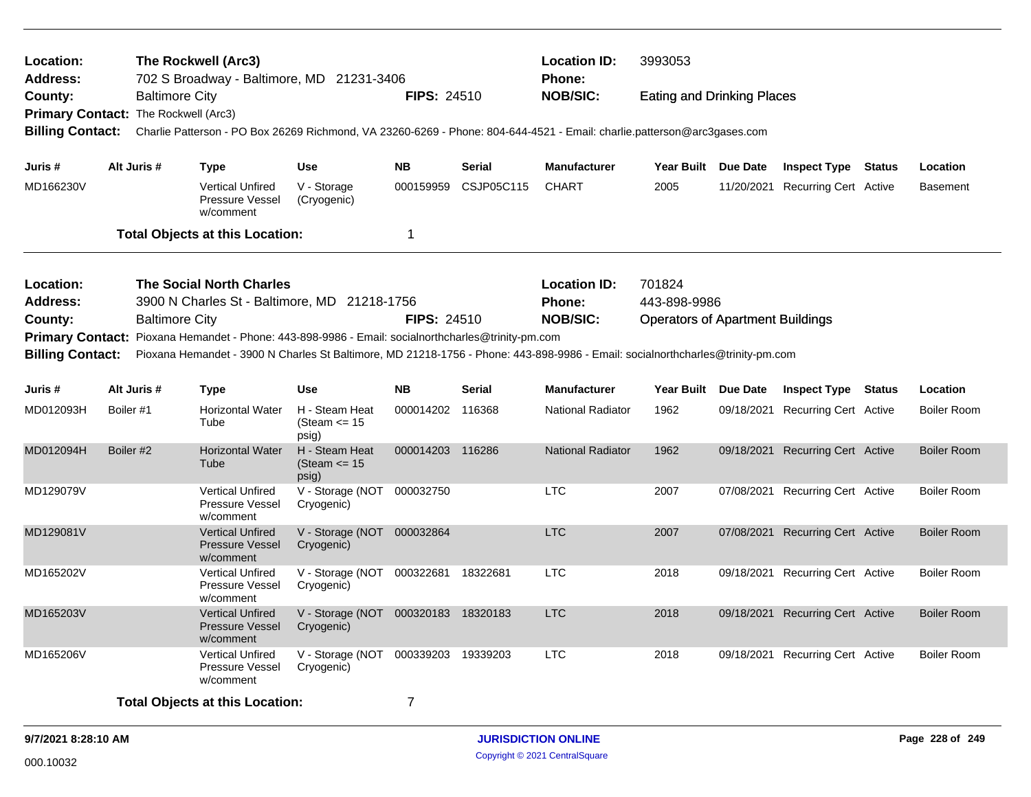| Location:<br><b>Address:</b>         |                                                                                                              |                       | The Rockwell (Arc3)<br>702 S Broadway - Baltimore, MD 21231-3406 |                                                   |                    |               | <b>Location ID:</b><br>Phone:                                                                                                  | 3993053                                 |            |                                  |        |                    |
|--------------------------------------|--------------------------------------------------------------------------------------------------------------|-----------------------|------------------------------------------------------------------|---------------------------------------------------|--------------------|---------------|--------------------------------------------------------------------------------------------------------------------------------|-----------------------------------------|------------|----------------------------------|--------|--------------------|
| County:                              |                                                                                                              | <b>Baltimore City</b> |                                                                  |                                                   | <b>FIPS: 24510</b> |               | <b>NOB/SIC:</b>                                                                                                                | <b>Eating and Drinking Places</b>       |            |                                  |        |                    |
| Primary Contact: The Rockwell (Arc3) |                                                                                                              |                       |                                                                  |                                                   |                    |               |                                                                                                                                |                                         |            |                                  |        |                    |
| <b>Billing Contact:</b>              |                                                                                                              |                       |                                                                  |                                                   |                    |               | Charlie Patterson - PO Box 26269 Richmond, VA 23260-6269 - Phone: 804-644-4521 - Email: charlie.patterson@arc3gases.com        |                                         |            |                                  |        |                    |
| Juris #                              |                                                                                                              | Alt Juris #           | <b>Type</b>                                                      | <b>Use</b>                                        | <b>NB</b>          | <b>Serial</b> | <b>Manufacturer</b>                                                                                                            | Year Built Due Date                     |            | <b>Inspect Type Status</b>       |        | Location           |
| MD166230V                            |                                                                                                              |                       | <b>Vertical Unfired</b><br>Pressure Vessel<br>w/comment          | V - Storage<br>(Cryogenic)                        | 000159959          | CSJP05C115    | <b>CHART</b>                                                                                                                   | 2005                                    | 11/20/2021 | <b>Recurring Cert Active</b>     |        | <b>Basement</b>    |
|                                      |                                                                                                              |                       | <b>Total Objects at this Location:</b>                           |                                                   | 1                  |               |                                                                                                                                |                                         |            |                                  |        |                    |
| Location:                            |                                                                                                              |                       | <b>The Social North Charles</b>                                  |                                                   |                    |               | <b>Location ID:</b>                                                                                                            | 701824                                  |            |                                  |        |                    |
| <b>Address:</b>                      |                                                                                                              |                       | 3900 N Charles St - Baltimore, MD 21218-1756                     |                                                   |                    |               | Phone:                                                                                                                         | 443-898-9986                            |            |                                  |        |                    |
| County:                              | <b>Baltimore City</b>                                                                                        |                       |                                                                  |                                                   | <b>FIPS: 24510</b> |               | <b>NOB/SIC:</b>                                                                                                                | <b>Operators of Apartment Buildings</b> |            |                                  |        |                    |
|                                      | <b>Primary Contact:</b><br>Pioxana Hemandet - Phone: 443-898-9986 - Email: socialnorthcharles@trinity-pm.com |                       |                                                                  |                                                   |                    |               |                                                                                                                                |                                         |            |                                  |        |                    |
| <b>Billing Contact:</b>              |                                                                                                              |                       |                                                                  |                                                   |                    |               | Pioxana Hemandet - 3900 N Charles St Baltimore, MD 21218-1756 - Phone: 443-898-9986 - Email: socialnorthcharles@trinity-pm.com |                                         |            |                                  |        |                    |
| Juris #                              |                                                                                                              | Alt Juris #           | <b>Type</b>                                                      | <b>Use</b>                                        | <b>NB</b>          | <b>Serial</b> | <b>Manufacturer</b>                                                                                                            | <b>Year Built</b>                       | Due Date   | <b>Inspect Type</b>              | Status | Location           |
| MD012093H                            | Boiler #1                                                                                                    |                       | <b>Horizontal Water</b><br>Tube                                  | H - Steam Heat<br>(Steam $\le$ 15<br>psig)        | 000014202 116368   |               | National Radiator                                                                                                              | 1962                                    | 09/18/2021 | <b>Recurring Cert Active</b>     |        | Boiler Room        |
| MD012094H                            | Boiler #2                                                                                                    |                       | <b>Horizontal Water</b><br>Tube                                  | H - Steam Heat<br>(Steam $\le$ 15<br>psig)        | 000014203 116286   |               | <b>National Radiator</b>                                                                                                       | 1962                                    |            | 09/18/2021 Recurring Cert Active |        | <b>Boiler Room</b> |
| MD129079V                            |                                                                                                              |                       | <b>Vertical Unfired</b><br>Pressure Vessel<br>w/comment          | V - Storage (NOT 000032750<br>Cryogenic)          |                    |               | <b>LTC</b>                                                                                                                     | 2007                                    |            | 07/08/2021 Recurring Cert Active |        | <b>Boiler Room</b> |
| MD129081V                            |                                                                                                              |                       | <b>Vertical Unfired</b><br><b>Pressure Vessel</b><br>w/comment   | V - Storage (NOT<br>Cryogenic)                    | 000032864          |               | <b>LTC</b>                                                                                                                     | 2007                                    |            | 07/08/2021 Recurring Cert Active |        | <b>Boiler Room</b> |
| MD165202V                            |                                                                                                              |                       | <b>Vertical Unfired</b><br>Pressure Vessel<br>w/comment          | V - Storage (NOT 000322681 18322681<br>Cryogenic) |                    |               | <b>LTC</b>                                                                                                                     | 2018                                    |            | 09/18/2021 Recurring Cert Active |        | <b>Boiler Room</b> |
| MD165203V                            |                                                                                                              |                       | <b>Vertical Unfired</b><br><b>Pressure Vessel</b><br>w/comment   | V - Storage (NOT 000320183 18320183<br>Cryogenic) |                    |               | <b>LTC</b>                                                                                                                     | 2018                                    |            | 09/18/2021 Recurring Cert Active |        | <b>Boiler Room</b> |
| MD165206V                            |                                                                                                              |                       | <b>Vertical Unfired</b><br>Pressure Vessel<br>w/comment          | V - Storage (NOT 000339203 19339203<br>Cryogenic) |                    |               | <b>LTC</b>                                                                                                                     | 2018                                    |            | 09/18/2021 Recurring Cert Active |        | <b>Boiler Room</b> |
|                                      |                                                                                                              |                       | <b>Total Objects at this Location:</b>                           |                                                   | $\overline{7}$     |               |                                                                                                                                |                                         |            |                                  |        |                    |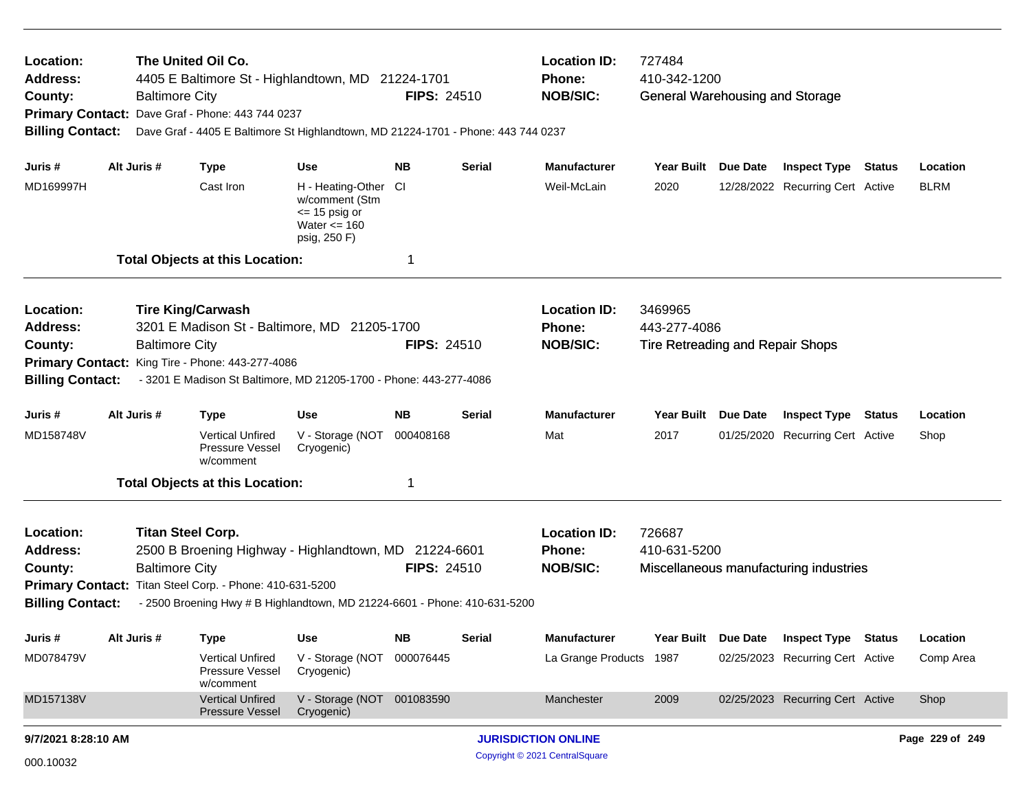| Location:<br><b>Address:</b><br>County:<br><b>Billing Contact:</b> | The United Oil Co.<br><b>Baltimore City</b>       | 4405 E Baltimore St - Highlandtown, MD 21224-1701<br>Primary Contact: Dave Graf - Phone: 443 744 0237<br>Dave Graf - 4405 E Baltimore St Highlandtown, MD 21224-1701 - Phone: 443 744 0237         |                                                                                                | <b>FIPS: 24510</b> |               | <b>Location ID:</b><br><b>Phone:</b><br><b>NOB/SIC:</b> | 727484<br>410-342-1200<br><b>General Warehousing and Storage</b> |                                        |                 |
|--------------------------------------------------------------------|---------------------------------------------------|----------------------------------------------------------------------------------------------------------------------------------------------------------------------------------------------------|------------------------------------------------------------------------------------------------|--------------------|---------------|---------------------------------------------------------|------------------------------------------------------------------|----------------------------------------|-----------------|
| Juris #                                                            | Alt Juris #                                       | <b>Type</b>                                                                                                                                                                                        | <b>Use</b>                                                                                     | <b>NB</b>          | <b>Serial</b> | <b>Manufacturer</b>                                     | Year Built Due Date                                              | <b>Inspect Type Status</b>             | Location        |
| MD169997H                                                          |                                                   | Cast Iron                                                                                                                                                                                          | H - Heating-Other CI<br>w/comment (Stm<br>$\le$ 15 psig or<br>Water $\leq$ 160<br>psig, 250 F) |                    |               | Weil-McLain                                             | 2020                                                             | 12/28/2022 Recurring Cert Active       | <b>BLRM</b>     |
|                                                                    |                                                   | <b>Total Objects at this Location:</b>                                                                                                                                                             |                                                                                                | 1                  |               |                                                         |                                                                  |                                        |                 |
| Location:<br><b>Address:</b><br>County:<br><b>Billing Contact:</b> | <b>Baltimore City</b>                             | <b>Tire King/Carwash</b><br>3201 E Madison St - Baltimore, MD 21205-1700<br>Primary Contact: King Tire - Phone: 443-277-4086<br>- 3201 E Madison St Baltimore, MD 21205-1700 - Phone: 443-277-4086 |                                                                                                | <b>FIPS: 24510</b> |               | <b>Location ID:</b><br>Phone:<br><b>NOB/SIC:</b>        | 3469965<br>443-277-4086<br>Tire Retreading and Repair Shops      |                                        |                 |
|                                                                    |                                                   |                                                                                                                                                                                                    |                                                                                                |                    |               |                                                         |                                                                  |                                        |                 |
| Juris #                                                            | Alt Juris #                                       | <b>Type</b>                                                                                                                                                                                        | Use                                                                                            | <b>NB</b>          | <b>Serial</b> | <b>Manufacturer</b>                                     | Year Built Due Date                                              | <b>Inspect Type Status</b>             | Location        |
| MD158748V                                                          |                                                   | <b>Vertical Unfired</b><br><b>Pressure Vessel</b><br>w/comment                                                                                                                                     | V - Storage (NOT<br>Cryogenic)                                                                 | 000408168          |               | Mat                                                     | 2017                                                             | 01/25/2020 Recurring Cert Active       | Shop            |
|                                                                    |                                                   | <b>Total Objects at this Location:</b>                                                                                                                                                             |                                                                                                | 1                  |               |                                                         |                                                                  |                                        |                 |
| Location:<br><b>Address:</b><br>County:<br><b>Billing Contact:</b> | <b>Titan Steel Corp.</b><br><b>Baltimore City</b> | 2500 B Broening Highway - Highlandtown, MD 21224-6601<br>Primary Contact: Titan Steel Corp. - Phone: 410-631-5200<br>- 2500 Broening Hwy # B Highlandtown, MD 21224-6601 - Phone: 410-631-5200     |                                                                                                | <b>FIPS: 24510</b> |               | <b>Location ID:</b><br><b>Phone:</b><br><b>NOB/SIC:</b> | 726687<br>410-631-5200                                           | Miscellaneous manufacturing industries |                 |
| Juris #                                                            | Alt Juris #                                       | Type                                                                                                                                                                                               | <b>Use</b>                                                                                     | <b>NB</b>          | <b>Serial</b> | <b>Manufacturer</b>                                     | Year Built Due Date                                              | <b>Inspect Type Status</b>             | Location        |
| MD078479V                                                          |                                                   | Vertical Unfired<br><b>Pressure Vessel</b><br>w/comment                                                                                                                                            | V - Storage (NOT 000076445<br>Cryogenic)                                                       |                    |               | La Grange Products                                      | 1987                                                             | 02/25/2023 Recurring Cert Active       | Comp Area       |
| MD157138V                                                          |                                                   | <b>Vertical Unfired</b><br><b>Pressure Vessel</b>                                                                                                                                                  | V - Storage (NOT 001083590<br>Cryogenic)                                                       |                    |               | Manchester                                              | 2009                                                             | 02/25/2023 Recurring Cert Active       | Shop            |
| 9/7/2021 8:28:10 AM                                                |                                                   |                                                                                                                                                                                                    |                                                                                                |                    |               | <b>JURISDICTION ONLINE</b>                              |                                                                  |                                        | Page 229 of 249 |
| 000.10032                                                          |                                                   |                                                                                                                                                                                                    |                                                                                                |                    |               | Copyright © 2021 CentralSquare                          |                                                                  |                                        |                 |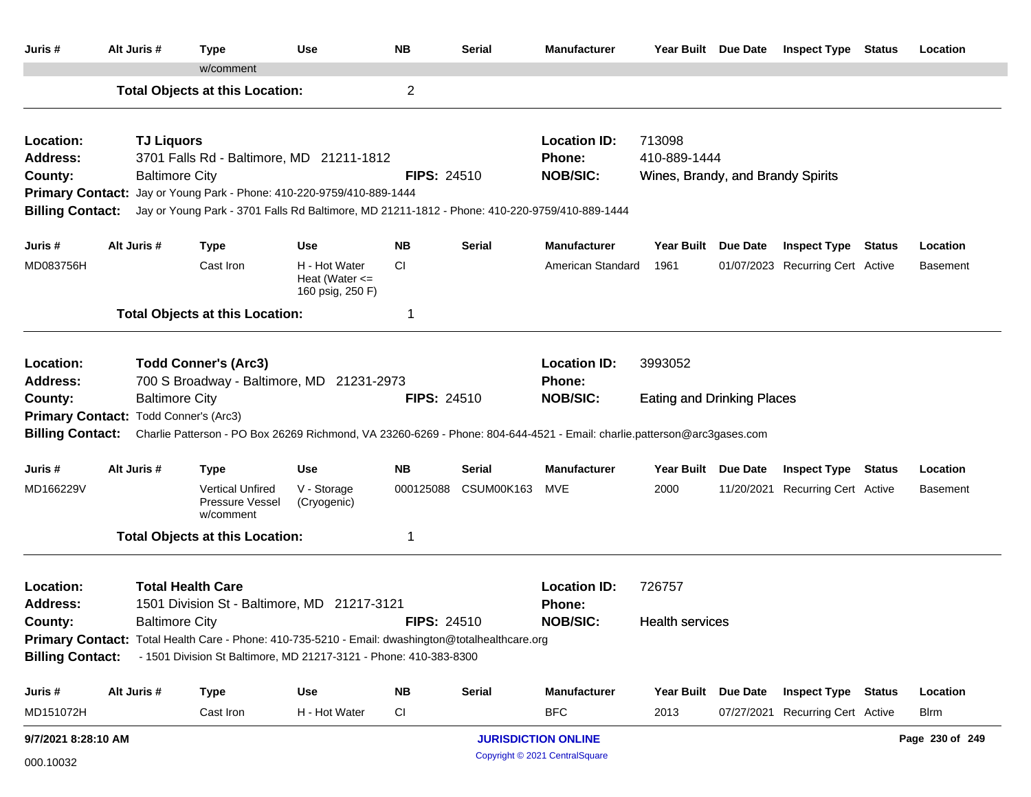| Juris#                                  | Alt Juris #                                                    | <b>Type</b>                                                                                                                                                                   | <b>Use</b>                                              | NΒ                 | <b>Serial</b> | <b>Manufacturer</b>                              |                                                             | Year Built Due Date | <b>Inspect Type Status</b>       | Location        |
|-----------------------------------------|----------------------------------------------------------------|-------------------------------------------------------------------------------------------------------------------------------------------------------------------------------|---------------------------------------------------------|--------------------|---------------|--------------------------------------------------|-------------------------------------------------------------|---------------------|----------------------------------|-----------------|
|                                         |                                                                | w/comment<br><b>Total Objects at this Location:</b>                                                                                                                           |                                                         | $\overline{2}$     |               |                                                  |                                                             |                     |                                  |                 |
| Location:<br><b>Address:</b><br>County: | <b>TJ Liquors</b><br><b>Baltimore City</b>                     | 3701 Falls Rd - Baltimore, MD 21211-1812<br>Primary Contact: Jay or Young Park - Phone: 410-220-9759/410-889-1444                                                             |                                                         | <b>FIPS: 24510</b> |               | <b>Location ID:</b><br>Phone:<br><b>NOB/SIC:</b> | 713098<br>410-889-1444<br>Wines, Brandy, and Brandy Spirits |                     |                                  |                 |
| <b>Billing Contact:</b>                 |                                                                | Jay or Young Park - 3701 Falls Rd Baltimore, MD 21211-1812 - Phone: 410-220-9759/410-889-1444                                                                                 |                                                         |                    |               |                                                  |                                                             |                     |                                  |                 |
| Juris #                                 | Alt Juris #                                                    | <b>Type</b>                                                                                                                                                                   | <b>Use</b>                                              | <b>NB</b>          | Serial        | <b>Manufacturer</b>                              |                                                             | Year Built Due Date | <b>Inspect Type Status</b>       | Location        |
| MD083756H                               |                                                                | Cast Iron                                                                                                                                                                     | H - Hot Water<br>Heat (Water $\leq$<br>160 psig, 250 F) | CI.                |               | American Standard                                | 1961                                                        |                     | 01/07/2023 Recurring Cert Active | <b>Basement</b> |
|                                         |                                                                | <b>Total Objects at this Location:</b>                                                                                                                                        |                                                         | 1                  |               |                                                  |                                                             |                     |                                  |                 |
| Location:<br><b>Address:</b>            |                                                                | <b>Todd Conner's (Arc3)</b><br>700 S Broadway - Baltimore, MD 21231-2973                                                                                                      |                                                         |                    |               | <b>Location ID:</b><br><b>Phone:</b>             | 3993052                                                     |                     |                                  |                 |
| County:                                 | <b>Baltimore City</b><br>Primary Contact: Todd Conner's (Arc3) |                                                                                                                                                                               |                                                         | <b>FIPS: 24510</b> |               | <b>NOB/SIC:</b>                                  | <b>Eating and Drinking Places</b>                           |                     |                                  |                 |
| <b>Billing Contact:</b>                 |                                                                | Charlie Patterson - PO Box 26269 Richmond, VA 23260-6269 - Phone: 804-644-4521 - Email: charlie.patterson@arc3gases.com                                                       |                                                         |                    |               |                                                  |                                                             |                     |                                  |                 |
| Juris #                                 | Alt Juris #                                                    | <b>Type</b>                                                                                                                                                                   | Use                                                     | NB.                | Serial        | <b>Manufacturer</b>                              | Year Built Due Date                                         |                     | <b>Inspect Type Status</b>       | Location        |
| MD166229V                               |                                                                | <b>Vertical Unfired</b><br>Pressure Vessel<br>w/comment                                                                                                                       | V - Storage<br>(Cryogenic)                              | 000125088          | CSUM00K163    | MVE                                              | 2000                                                        |                     | 11/20/2021 Recurring Cert Active | <b>Basement</b> |
|                                         |                                                                | <b>Total Objects at this Location:</b>                                                                                                                                        |                                                         | 1                  |               |                                                  |                                                             |                     |                                  |                 |
| Location:<br><b>Address:</b>            |                                                                | <b>Total Health Care</b><br>1501 Division St - Baltimore, MD 21217-3121                                                                                                       |                                                         |                    |               | <b>Location ID:</b><br>Phone:                    | 726757                                                      |                     |                                  |                 |
| County:<br><b>Billing Contact:</b>      | <b>Baltimore City</b>                                          | <b>Primary Contact:</b> Total Health Care - Phone: 410-735-5210 - Email: dwashington@totalhealthcare.org<br>- 1501 Division St Baltimore, MD 21217-3121 - Phone: 410-383-8300 |                                                         | <b>FIPS: 24510</b> |               | <b>NOB/SIC:</b>                                  | <b>Health services</b>                                      |                     |                                  |                 |
| Juris #                                 | Alt Juris #                                                    | Type                                                                                                                                                                          | Use                                                     | <b>NB</b>          | <b>Serial</b> | <b>Manufacturer</b>                              | <b>Year Built</b>                                           | <b>Due Date</b>     | <b>Inspect Type Status</b>       | Location        |
| MD151072H                               |                                                                | Cast Iron                                                                                                                                                                     | H - Hot Water                                           | <b>CI</b>          |               | <b>BFC</b>                                       | 2013                                                        |                     | 07/27/2021 Recurring Cert Active | <b>Blrm</b>     |
| 9/7/2021 8:28:10 AM                     |                                                                |                                                                                                                                                                               |                                                         |                    |               | <b>JURISDICTION ONLINE</b>                       |                                                             |                     |                                  | Page 230 of 249 |
| 000.10032                               |                                                                |                                                                                                                                                                               |                                                         |                    |               | Copyright © 2021 CentralSquare                   |                                                             |                     |                                  |                 |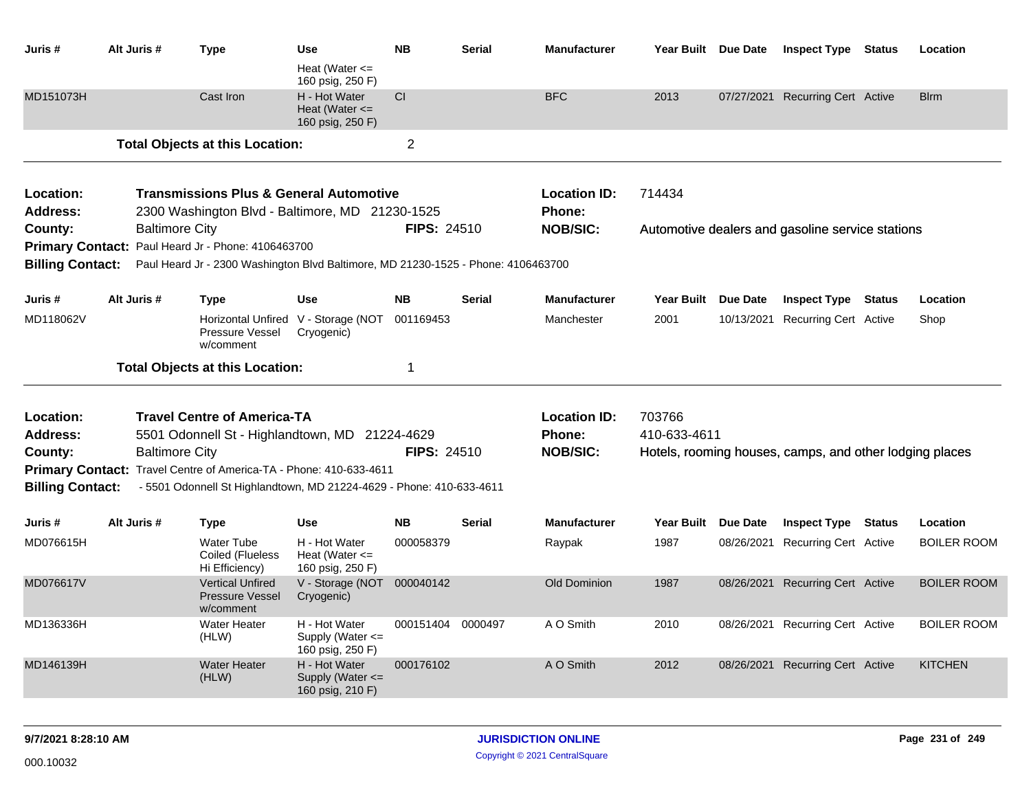| Juris #                 | Alt Juris #           | <b>Type</b>                                                                                                                                | <b>Use</b>                                                | <b>NB</b>          | <b>Serial</b> | <b>Manufacturer</b> |                   | Year Built Due Date | <b>Inspect Type Status</b>                              | Location           |
|-------------------------|-----------------------|--------------------------------------------------------------------------------------------------------------------------------------------|-----------------------------------------------------------|--------------------|---------------|---------------------|-------------------|---------------------|---------------------------------------------------------|--------------------|
|                         |                       |                                                                                                                                            | Heat (Water $\leq$<br>160 psig, 250 F)                    |                    |               |                     |                   |                     |                                                         |                    |
| MD151073H               |                       | Cast Iron                                                                                                                                  | H - Hot Water<br>Heat (Water $\leq$<br>160 psig, 250 F)   | CI                 |               | <b>BFC</b>          | 2013              |                     | 07/27/2021 Recurring Cert Active                        | <b>Blrm</b>        |
|                         |                       | <b>Total Objects at this Location:</b>                                                                                                     |                                                           | $\overline{2}$     |               |                     |                   |                     |                                                         |                    |
| Location:               |                       | <b>Transmissions Plus &amp; General Automotive</b>                                                                                         |                                                           |                    |               | <b>Location ID:</b> | 714434            |                     |                                                         |                    |
| <b>Address:</b>         |                       | 2300 Washington Blvd - Baltimore, MD 21230-1525                                                                                            |                                                           |                    |               | <b>Phone:</b>       |                   |                     |                                                         |                    |
| County:                 | <b>Baltimore City</b> |                                                                                                                                            |                                                           | <b>FIPS: 24510</b> |               | <b>NOB/SIC:</b>     |                   |                     | Automotive dealers and gasoline service stations        |                    |
|                         |                       | Primary Contact: Paul Heard Jr - Phone: 4106463700                                                                                         |                                                           |                    |               |                     |                   |                     |                                                         |                    |
| <b>Billing Contact:</b> |                       | Paul Heard Jr - 2300 Washington Blvd Baltimore, MD 21230-1525 - Phone: 4106463700                                                          |                                                           |                    |               |                     |                   |                     |                                                         |                    |
| Juris #                 | Alt Juris #           | <b>Type</b>                                                                                                                                | <b>Use</b>                                                | <b>NB</b>          | <b>Serial</b> | <b>Manufacturer</b> | <b>Year Built</b> | Due Date            | <b>Inspect Type Status</b>                              | Location           |
| MD118062V               |                       | Pressure Vessel<br>w/comment                                                                                                               | Horizontal Unfired V - Storage (NOT<br>Cryogenic)         | 001169453          |               | Manchester          | 2001              |                     | 10/13/2021 Recurring Cert Active                        | Shop               |
|                         |                       | <b>Total Objects at this Location:</b>                                                                                                     |                                                           | 1                  |               |                     |                   |                     |                                                         |                    |
| Location:               |                       | <b>Travel Centre of America-TA</b>                                                                                                         |                                                           |                    |               | <b>Location ID:</b> | 703766            |                     |                                                         |                    |
| <b>Address:</b>         |                       | 5501 Odonnell St - Highlandtown, MD 21224-4629                                                                                             |                                                           |                    |               | <b>Phone:</b>       | 410-633-4611      |                     |                                                         |                    |
| County:                 | <b>Baltimore City</b> |                                                                                                                                            |                                                           | <b>FIPS: 24510</b> |               | <b>NOB/SIC:</b>     |                   |                     | Hotels, rooming houses, camps, and other lodging places |                    |
| <b>Billing Contact:</b> |                       | Primary Contact: Travel Centre of America-TA - Phone: 410-633-4611<br>- 5501 Odonnell St Highlandtown, MD 21224-4629 - Phone: 410-633-4611 |                                                           |                    |               |                     |                   |                     |                                                         |                    |
|                         |                       |                                                                                                                                            |                                                           |                    |               |                     |                   |                     |                                                         |                    |
| Juris #                 | Alt Juris #           | <b>Type</b>                                                                                                                                | <b>Use</b>                                                | <b>NB</b>          | <b>Serial</b> | <b>Manufacturer</b> | <b>Year Built</b> | Due Date            | <b>Inspect Type Status</b>                              | Location           |
| MD076615H               |                       | <b>Water Tube</b><br>Coiled (Flueless<br>Hi Efficiency)                                                                                    | H - Hot Water<br>Heat (Water $\leq$<br>160 psig, 250 F)   | 000058379          |               | Raypak              | 1987              | 08/26/2021          | <b>Recurring Cert Active</b>                            | <b>BOILER ROOM</b> |
| MD076617V               |                       | <b>Vertical Unfired</b><br><b>Pressure Vessel</b><br>w/comment                                                                             | V - Storage (NOT 000040142<br>Cryogenic)                  |                    |               | <b>Old Dominion</b> | 1987              |                     | 08/26/2021 Recurring Cert Active                        | <b>BOILER ROOM</b> |
| MD136336H               |                       | <b>Water Heater</b><br>(HLW)                                                                                                               | H - Hot Water<br>Supply (Water $\leq$<br>160 psig, 250 F) | 000151404 0000497  |               | A O Smith           | 2010              |                     | 08/26/2021 Recurring Cert Active                        | <b>BOILER ROOM</b> |
| MD146139H               |                       | <b>Water Heater</b><br>(HLW)                                                                                                               | H - Hot Water<br>Supply (Water $\leq$<br>160 psig, 210 F) | 000176102          |               | A O Smith           | 2012              |                     | 08/26/2021 Recurring Cert Active                        | <b>KITCHEN</b>     |
|                         |                       |                                                                                                                                            |                                                           |                    |               |                     |                   |                     |                                                         |                    |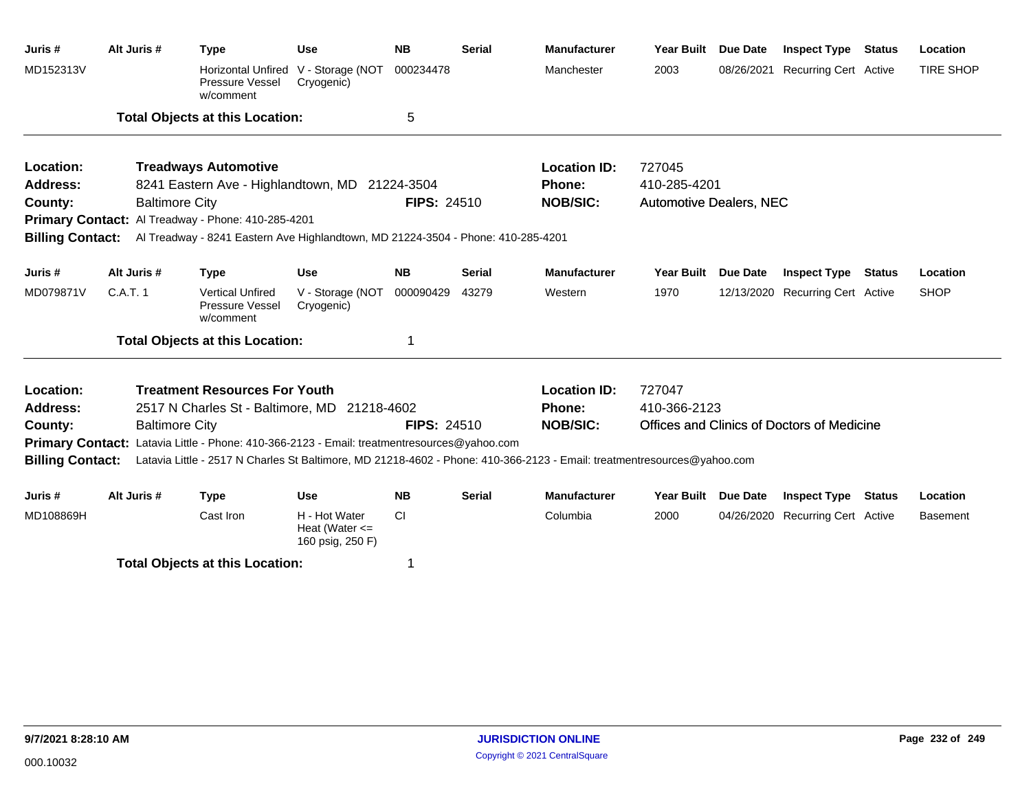| Juris#          | Alt Juris #           | <b>Type</b>                                                                                              | <b>Use</b>                                              | <b>NB</b>          | <b>Serial</b> | <b>Manufacturer</b>                                                                                                                      | Year Built                     | <b>Due Date</b> | <b>Inspect Type</b>                               | <b>Status</b> | Location         |
|-----------------|-----------------------|----------------------------------------------------------------------------------------------------------|---------------------------------------------------------|--------------------|---------------|------------------------------------------------------------------------------------------------------------------------------------------|--------------------------------|-----------------|---------------------------------------------------|---------------|------------------|
| MD152313V       |                       | Pressure Vessel<br>w/comment                                                                             | Horizontal Unfired V - Storage (NOT<br>Cryogenic)       | 000234478          |               | Manchester                                                                                                                               | 2003                           | 08/26/2021      | <b>Recurring Cert Active</b>                      |               | <b>TIRE SHOP</b> |
|                 |                       | <b>Total Objects at this Location:</b>                                                                   |                                                         | 5                  |               |                                                                                                                                          |                                |                 |                                                   |               |                  |
| Location:       |                       | <b>Treadways Automotive</b>                                                                              |                                                         |                    |               | <b>Location ID:</b>                                                                                                                      | 727045                         |                 |                                                   |               |                  |
| Address:        |                       | 8241 Eastern Ave - Highlandtown, MD 21224-3504                                                           |                                                         |                    |               | <b>Phone:</b>                                                                                                                            | 410-285-4201                   |                 |                                                   |               |                  |
| County:         | <b>Baltimore City</b> |                                                                                                          |                                                         | <b>FIPS: 24510</b> |               | <b>NOB/SIC:</b>                                                                                                                          | <b>Automotive Dealers, NEC</b> |                 |                                                   |               |                  |
|                 |                       | Primary Contact: Al Treadway - Phone: 410-285-4201                                                       |                                                         |                    |               |                                                                                                                                          |                                |                 |                                                   |               |                  |
|                 |                       | <b>Billing Contact:</b> Al Treadway - 8241 Eastern Ave Highlandtown, MD 21224-3504 - Phone: 410-285-4201 |                                                         |                    |               |                                                                                                                                          |                                |                 |                                                   |               |                  |
| Juris #         | Alt Juris #           | <b>Type</b>                                                                                              | <b>Use</b>                                              | <b>NB</b>          | <b>Serial</b> | <b>Manufacturer</b>                                                                                                                      | Year Built                     | Due Date        | <b>Inspect Type</b>                               | Status        | Location         |
| MD079871V       | C.A.T. 1              | <b>Vertical Unfired</b><br>Pressure Vessel<br>w/comment                                                  | V - Storage (NOT<br>Cryogenic)                          | 000090429          | 43279         | Western                                                                                                                                  | 1970                           |                 | 12/13/2020 Recurring Cert Active                  |               | <b>SHOP</b>      |
|                 |                       | <b>Total Objects at this Location:</b>                                                                   |                                                         |                    |               |                                                                                                                                          |                                |                 |                                                   |               |                  |
| Location:       |                       | <b>Treatment Resources For Youth</b>                                                                     |                                                         |                    |               | <b>Location ID:</b>                                                                                                                      | 727047                         |                 |                                                   |               |                  |
| <b>Address:</b> |                       | 2517 N Charles St - Baltimore, MD 21218-4602                                                             |                                                         |                    |               | Phone:                                                                                                                                   | 410-366-2123                   |                 |                                                   |               |                  |
| County:         | <b>Baltimore City</b> |                                                                                                          |                                                         | <b>FIPS: 24510</b> |               | <b>NOB/SIC:</b>                                                                                                                          |                                |                 | <b>Offices and Clinics of Doctors of Medicine</b> |               |                  |
|                 |                       | Primary Contact: Latavia Little - Phone: 410-366-2123 - Email: treatmentresources@yahoo.com              |                                                         |                    |               |                                                                                                                                          |                                |                 |                                                   |               |                  |
|                 |                       |                                                                                                          |                                                         |                    |               | Billing Contact: Latavia Little - 2517 N Charles St Baltimore, MD 21218-4602 - Phone: 410-366-2123 - Email: treatmentresources@yahoo.com |                                |                 |                                                   |               |                  |
| Juris #         | Alt Juris #           | <b>Type</b>                                                                                              | <b>Use</b>                                              | <b>NB</b>          | <b>Serial</b> | <b>Manufacturer</b>                                                                                                                      | <b>Year Built</b>              | <b>Due Date</b> | <b>Inspect Type</b>                               | <b>Status</b> | Location         |
| MD108869H       |                       | Cast Iron                                                                                                | H - Hot Water<br>Heat (Water $\leq$<br>160 psig, 250 F) | CI                 |               | Columbia                                                                                                                                 | 2000                           |                 | 04/26/2020 Recurring Cert Active                  |               | <b>Basement</b>  |
|                 |                       | <b>Total Objects at this Location:</b>                                                                   |                                                         |                    |               |                                                                                                                                          |                                |                 |                                                   |               |                  |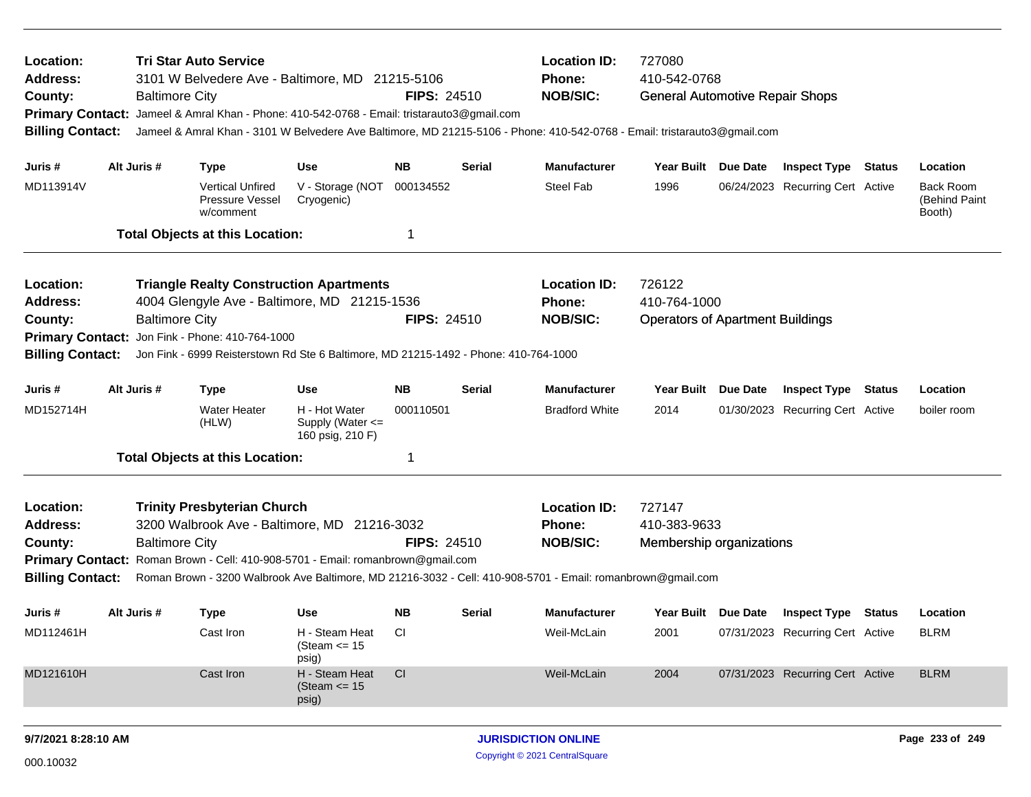| Location:<br><b>Address:</b><br>County:<br><b>Billing Contact:</b> |             | <b>Tri Star Auto Service</b><br>3101 W Belvedere Ave - Baltimore, MD 21215-5106<br><b>Baltimore City</b><br>Primary Contact: Jameel & Amral Khan - Phone: 410-542-0768 - Email: tristarauto3@gmail.com<br>Jameel & Amral Khan - 3101 W Belvedere Ave Baltimore, MD 21215-5106 - Phone: 410-542-0768 - Email: tristarauto3@gmail.com |                                                           | <b>FIPS: 24510</b> |                            | <b>Location ID:</b><br>Phone:<br><b>NOB/SIC:</b> | 727080<br>410-542-0768<br><b>General Automotive Repair Shops</b> |                                         |                                             |
|--------------------------------------------------------------------|-------------|-------------------------------------------------------------------------------------------------------------------------------------------------------------------------------------------------------------------------------------------------------------------------------------------------------------------------------------|-----------------------------------------------------------|--------------------|----------------------------|--------------------------------------------------|------------------------------------------------------------------|-----------------------------------------|---------------------------------------------|
|                                                                    |             |                                                                                                                                                                                                                                                                                                                                     |                                                           |                    |                            |                                                  |                                                                  |                                         |                                             |
| Juris #                                                            | Alt Juris # | Type                                                                                                                                                                                                                                                                                                                                | <b>Use</b>                                                | NΒ                 | Serial                     | <b>Manufacturer</b>                              | Year Built Due Date                                              | <b>Inspect Type Status</b>              | Location                                    |
| MD113914V                                                          |             | <b>Vertical Unfired</b><br>Pressure Vessel<br>w/comment                                                                                                                                                                                                                                                                             | V - Storage (NOT<br>Cryogenic)                            | 000134552          |                            | Steel Fab                                        | 1996                                                             | 06/24/2023 Recurring Cert Active        | <b>Back Room</b><br>(Behind Paint<br>Booth) |
|                                                                    |             | <b>Total Objects at this Location:</b>                                                                                                                                                                                                                                                                                              |                                                           | 1                  |                            |                                                  |                                                                  |                                         |                                             |
| Location:                                                          |             | <b>Triangle Realty Construction Apartments</b>                                                                                                                                                                                                                                                                                      |                                                           |                    |                            | <b>Location ID:</b>                              | 726122                                                           |                                         |                                             |
| Address:                                                           |             | 4004 Glengyle Ave - Baltimore, MD 21215-1536                                                                                                                                                                                                                                                                                        |                                                           |                    |                            | Phone:                                           | 410-764-1000                                                     |                                         |                                             |
| County:                                                            |             | <b>Baltimore City</b>                                                                                                                                                                                                                                                                                                               |                                                           | <b>FIPS: 24510</b> |                            | <b>NOB/SIC:</b>                                  | <b>Operators of Apartment Buildings</b>                          |                                         |                                             |
|                                                                    |             | Primary Contact: Jon Fink - Phone: 410-764-1000                                                                                                                                                                                                                                                                                     |                                                           |                    |                            |                                                  |                                                                  |                                         |                                             |
| <b>Billing Contact:</b>                                            |             | Jon Fink - 6999 Reisterstown Rd Ste 6 Baltimore, MD 21215-1492 - Phone: 410-764-1000                                                                                                                                                                                                                                                |                                                           |                    |                            |                                                  |                                                                  |                                         |                                             |
| Juris #                                                            | Alt Juris # | Type                                                                                                                                                                                                                                                                                                                                | <b>Use</b>                                                | <b>NB</b>          | Serial                     | <b>Manufacturer</b>                              | Year Built Due Date                                              | <b>Inspect Type Status</b>              | Location                                    |
| MD152714H                                                          |             | <b>Water Heater</b><br>(HLW)                                                                                                                                                                                                                                                                                                        | H - Hot Water<br>Supply (Water $\leq$<br>160 psig, 210 F) | 000110501          |                            | <b>Bradford White</b>                            | 2014                                                             | 01/30/2023 Recurring Cert Active        | boiler room                                 |
|                                                                    |             | <b>Total Objects at this Location:</b>                                                                                                                                                                                                                                                                                              |                                                           | 1                  |                            |                                                  |                                                                  |                                         |                                             |
| Location:                                                          |             | <b>Trinity Presbyterian Church</b>                                                                                                                                                                                                                                                                                                  |                                                           |                    |                            | <b>Location ID:</b>                              | 727147                                                           |                                         |                                             |
| <b>Address:</b>                                                    |             | 3200 Walbrook Ave - Baltimore, MD 21216-3032                                                                                                                                                                                                                                                                                        |                                                           |                    |                            | <b>Phone:</b>                                    | 410-383-9633                                                     |                                         |                                             |
| County:                                                            |             | <b>Baltimore City</b>                                                                                                                                                                                                                                                                                                               |                                                           | <b>FIPS: 24510</b> |                            | <b>NOB/SIC:</b>                                  | Membership organizations                                         |                                         |                                             |
|                                                                    |             | Primary Contact: Roman Brown - Cell: 410-908-5701 - Email: romanbrown@gmail.com                                                                                                                                                                                                                                                     |                                                           |                    |                            |                                                  |                                                                  |                                         |                                             |
| <b>Billing Contact:</b>                                            |             | Roman Brown - 3200 Walbrook Ave Baltimore, MD 21216-3032 - Cell: 410-908-5701 - Email: romanbrown@gmail.com                                                                                                                                                                                                                         |                                                           |                    |                            |                                                  |                                                                  |                                         |                                             |
| Juris #                                                            | Alt Juris # | <b>Type</b>                                                                                                                                                                                                                                                                                                                         | Use                                                       | NΒ                 | Serial                     | <b>Manufacturer</b>                              |                                                                  | Year Built Due Date Inspect Type Status | Location                                    |
| MD112461H                                                          |             | Cast Iron                                                                                                                                                                                                                                                                                                                           | H - Steam Heat<br>(Steam $\le$ 15<br>psig)                | CL                 |                            | Weil-McLain                                      | 2001                                                             | 07/31/2023 Recurring Cert Active        | <b>BLRM</b>                                 |
| MD121610H                                                          |             | Cast Iron                                                                                                                                                                                                                                                                                                                           | H - Steam Heat<br>(Steam $\le$ 15<br>psig)                | CI                 |                            | Weil-McLain                                      | 2004                                                             | 07/31/2023 Recurring Cert Active        | <b>BLRM</b>                                 |
| 9/7/2021 8:28:10 AM                                                |             |                                                                                                                                                                                                                                                                                                                                     |                                                           |                    | <b>JURISDICTION ONLINE</b> |                                                  |                                                                  | Page 233 of 249                         |                                             |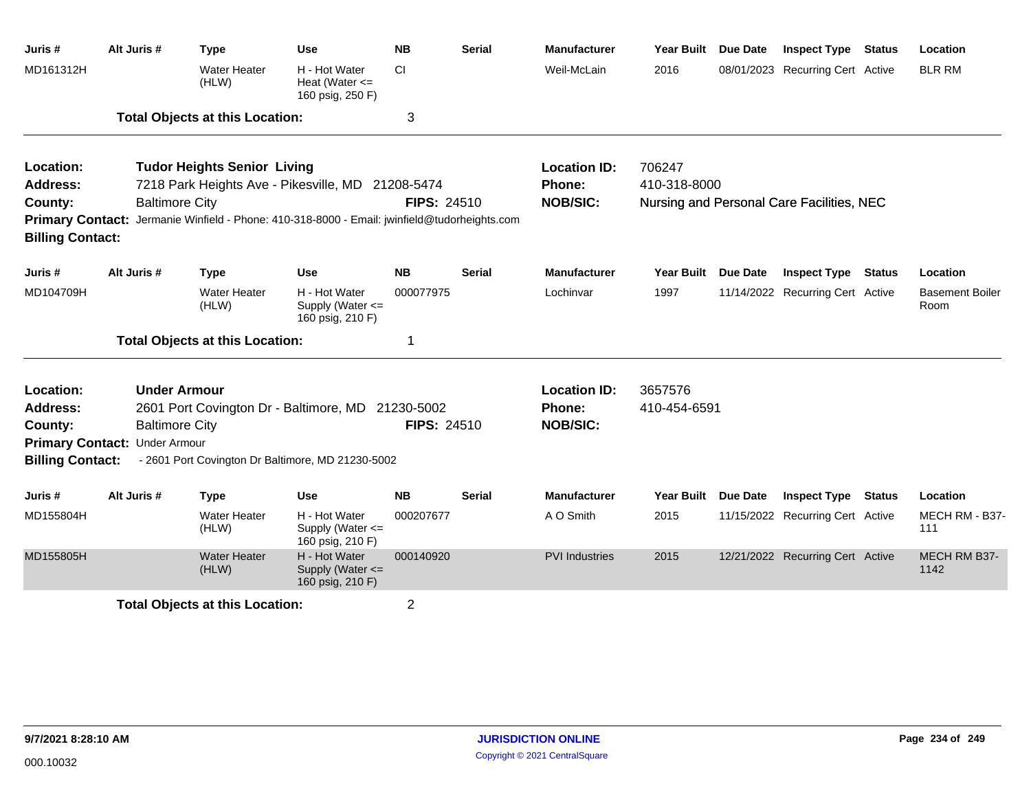| Juris #                 | Alt Juris #                   | <b>Type</b>                            | <b>Use</b>                                                                                   | <b>NB</b>          | <b>Serial</b> | <b>Manufacturer</b>   | <b>Year Built</b> | <b>Due Date</b>     | <b>Inspect Type</b>                       | <b>Status</b> | Location                       |
|-------------------------|-------------------------------|----------------------------------------|----------------------------------------------------------------------------------------------|--------------------|---------------|-----------------------|-------------------|---------------------|-------------------------------------------|---------------|--------------------------------|
| MD161312H               |                               | <b>Water Heater</b><br>(HLW)           | H - Hot Water<br>Heat (Water $\leq$<br>160 psig, 250 F)                                      | CI                 |               | Weil-McLain           | 2016              |                     | 08/01/2023 Recurring Cert Active          |               | <b>BLR RM</b>                  |
|                         |                               | <b>Total Objects at this Location:</b> |                                                                                              | 3                  |               |                       |                   |                     |                                           |               |                                |
| Location:               |                               | <b>Tudor Heights Senior Living</b>     |                                                                                              |                    |               | <b>Location ID:</b>   | 706247            |                     |                                           |               |                                |
| <b>Address:</b>         |                               |                                        | 7218 Park Heights Ave - Pikesville, MD 21208-5474                                            |                    |               | Phone:                | 410-318-8000      |                     |                                           |               |                                |
| County:                 | <b>Baltimore City</b>         |                                        |                                                                                              | <b>FIPS: 24510</b> |               | <b>NOB/SIC:</b>       |                   |                     | Nursing and Personal Care Facilities, NEC |               |                                |
| <b>Billing Contact:</b> |                               |                                        | Primary Contact: Jermanie Winfield - Phone: 410-318-8000 - Email: jwinfield@tudorheights.com |                    |               |                       |                   |                     |                                           |               |                                |
| Juris #                 | Alt Juris #                   | <b>Type</b>                            | <b>Use</b>                                                                                   | <b>NB</b>          | <b>Serial</b> | <b>Manufacturer</b>   |                   | Year Built Due Date | <b>Inspect Type</b>                       | <b>Status</b> | Location                       |
| MD104709H               |                               | <b>Water Heater</b><br>(HLW)           | H - Hot Water<br>Supply (Water $\leq$<br>160 psig, 210 F)                                    | 000077975          |               | Lochinvar             | 1997              |                     | 11/14/2022 Recurring Cert Active          |               | <b>Basement Boiler</b><br>Room |
|                         |                               | <b>Total Objects at this Location:</b> |                                                                                              | 1                  |               |                       |                   |                     |                                           |               |                                |
| Location:               |                               | <b>Under Armour</b>                    |                                                                                              |                    |               | <b>Location ID:</b>   | 3657576           |                     |                                           |               |                                |
| Address:                |                               |                                        | 2601 Port Covington Dr - Baltimore, MD 21230-5002                                            |                    |               | <b>Phone:</b>         | 410-454-6591      |                     |                                           |               |                                |
| County:                 | <b>Baltimore City</b>         |                                        |                                                                                              | <b>FIPS: 24510</b> |               | <b>NOB/SIC:</b>       |                   |                     |                                           |               |                                |
|                         | Primary Contact: Under Armour |                                        |                                                                                              |                    |               |                       |                   |                     |                                           |               |                                |
| <b>Billing Contact:</b> |                               |                                        | - 2601 Port Covington Dr Baltimore, MD 21230-5002                                            |                    |               |                       |                   |                     |                                           |               |                                |
| Juris #                 | Alt Juris #                   | <b>Type</b>                            | <b>Use</b>                                                                                   | <b>NB</b>          | <b>Serial</b> | <b>Manufacturer</b>   |                   | Year Built Due Date | <b>Inspect Type Status</b>                |               | Location                       |
| MD155804H               |                               | <b>Water Heater</b><br>(HLW)           | H - Hot Water<br>Supply (Water <=<br>160 psig, 210 F)                                        | 000207677          |               | A O Smith             | 2015              |                     | 11/15/2022 Recurring Cert Active          |               | MECH RM - B37-<br>111          |
| MD155805H               |                               | <b>Water Heater</b><br>(HLW)           | H - Hot Water<br>Supply (Water <=<br>160 psig, 210 F)                                        | 000140920          |               | <b>PVI</b> Industries | 2015              |                     | 12/21/2022 Recurring Cert Active          |               | MECH RM B37-<br>1142           |
|                         |                               | <b>Total Objects at this Location:</b> |                                                                                              | $\overline{2}$     |               |                       |                   |                     |                                           |               |                                |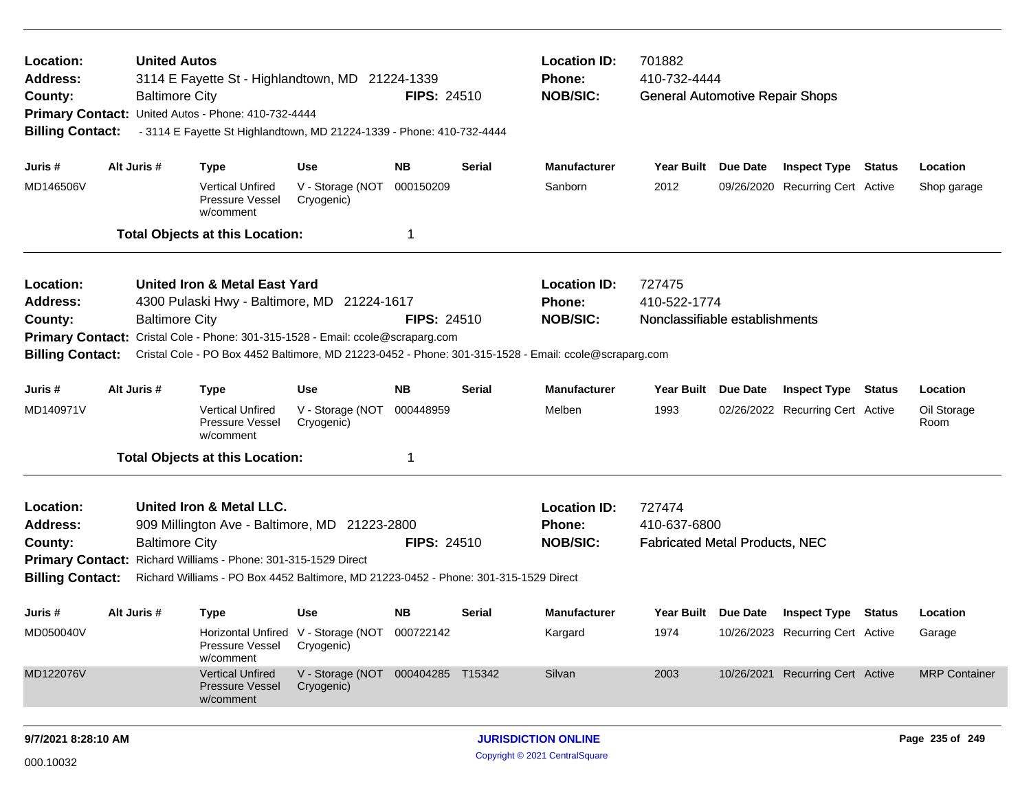| Location:<br><b>Address:</b><br>County:<br><b>Billing Contact:</b> |                                                                                                                                                                                                                                                                                                                                                         | <b>United Autos</b><br><b>Baltimore City</b> | 3114 E Fayette St - Highlandtown, MD 21224-1339<br>Primary Contact: United Autos - Phone: 410-732-4444<br>- 3114 E Fayette St Highlandtown, MD 21224-1339 - Phone: 410-732-4444 |                                                             | <b>FIPS: 24510</b> |               | <b>Location ID:</b><br>Phone:<br><b>NOB/SIC:</b>                                                      | 701882<br>410-732-4444<br><b>General Automotive Repair Shops</b> |                                         |                      |
|--------------------------------------------------------------------|---------------------------------------------------------------------------------------------------------------------------------------------------------------------------------------------------------------------------------------------------------------------------------------------------------------------------------------------------------|----------------------------------------------|---------------------------------------------------------------------------------------------------------------------------------------------------------------------------------|-------------------------------------------------------------|--------------------|---------------|-------------------------------------------------------------------------------------------------------|------------------------------------------------------------------|-----------------------------------------|----------------------|
| Juris #                                                            | Alt Juris #                                                                                                                                                                                                                                                                                                                                             |                                              | <b>Type</b>                                                                                                                                                                     | Use                                                         | NΒ                 | <b>Serial</b> | <b>Manufacturer</b>                                                                                   | Year Built Due Date                                              | <b>Inspect Type Status</b>              | Location             |
| MD146506V                                                          |                                                                                                                                                                                                                                                                                                                                                         |                                              | <b>Vertical Unfired</b><br>Pressure Vessel<br>w/comment                                                                                                                         | V - Storage (NOT<br>Cryogenic)                              | 000150209          |               | Sanborn                                                                                               | 2012                                                             | 09/26/2020 Recurring Cert Active        | Shop garage          |
|                                                                    |                                                                                                                                                                                                                                                                                                                                                         |                                              | <b>Total Objects at this Location:</b>                                                                                                                                          |                                                             |                    |               |                                                                                                       |                                                                  |                                         |                      |
| Location:<br><b>Address:</b><br>County:                            |                                                                                                                                                                                                                                                                                                                                                         | <b>Baltimore City</b>                        | <b>United Iron &amp; Metal East Yard</b><br>4300 Pulaski Hwy - Baltimore, MD 21224-1617                                                                                         |                                                             | <b>FIPS: 24510</b> |               | <b>Location ID:</b><br>Phone:<br><b>NOB/SIC:</b>                                                      | 727475<br>410-522-1774<br>Nonclassifiable establishments         |                                         |                      |
|                                                                    |                                                                                                                                                                                                                                                                                                                                                         |                                              | Primary Contact: Cristal Cole - Phone: 301-315-1528 - Email: ccole@scraparg.com                                                                                                 |                                                             |                    |               | Cristal Cole - PO Box 4452 Baltimore, MD 21223-0452 - Phone: 301-315-1528 - Email: ccole@scraparg.com |                                                                  |                                         |                      |
| <b>Billing Contact:</b>                                            |                                                                                                                                                                                                                                                                                                                                                         |                                              |                                                                                                                                                                                 |                                                             |                    |               |                                                                                                       |                                                                  |                                         |                      |
| Juris #                                                            | Alt Juris #                                                                                                                                                                                                                                                                                                                                             |                                              | <b>Type</b>                                                                                                                                                                     | Use                                                         | ΝB                 | <b>Serial</b> | <b>Manufacturer</b>                                                                                   | Year Built Due Date                                              | <b>Inspect Type Status</b>              | Location             |
| MD140971V                                                          |                                                                                                                                                                                                                                                                                                                                                         |                                              | <b>Vertical Unfired</b><br>Pressure Vessel<br>w/comment                                                                                                                         | V - Storage (NOT<br>Cryogenic)                              | 000448959          |               | Melben                                                                                                | 1993                                                             | 02/26/2022 Recurring Cert Active        | Oil Storage<br>Room  |
|                                                                    |                                                                                                                                                                                                                                                                                                                                                         |                                              |                                                                                                                                                                                 |                                                             | -1                 |               |                                                                                                       |                                                                  |                                         |                      |
| Location:<br>Address:<br>County:                                   | <b>Total Objects at this Location:</b><br>United Iron & Metal LLC.<br>909 Millington Ave - Baltimore, MD 21223-2800<br><b>Baltimore City</b><br><b>FIPS: 24510</b><br>Primary Contact: Richard Williams - Phone: 301-315-1529 Direct<br><b>Billing Contact:</b><br>Richard Williams - PO Box 4452 Baltimore, MD 21223-0452 - Phone: 301-315-1529 Direct |                                              |                                                                                                                                                                                 |                                                             |                    |               | <b>Location ID:</b><br>Phone:<br><b>NOB/SIC:</b>                                                      | 727474<br>410-637-6800<br><b>Fabricated Metal Products, NEC</b>  |                                         |                      |
| Juris #                                                            | Alt Juris #                                                                                                                                                                                                                                                                                                                                             |                                              | <b>Type</b>                                                                                                                                                                     | <b>Use</b>                                                  | NB.                | <b>Serial</b> | <b>Manufacturer</b>                                                                                   |                                                                  | Year Built Due Date Inspect Type Status | Location             |
| MD050040V                                                          |                                                                                                                                                                                                                                                                                                                                                         |                                              | Pressure Vessel<br>w/comment                                                                                                                                                    | Horizontal Unfired V - Storage (NOT 000722142<br>Cryogenic) |                    |               | Kargard                                                                                               | 1974                                                             | 10/26/2023 Recurring Cert Active        | Garage               |
| MD122076V                                                          |                                                                                                                                                                                                                                                                                                                                                         |                                              | <b>Vertical Unfired</b><br><b>Pressure Vessel</b><br>w/comment                                                                                                                  | V - Storage (NOT<br>Cryogenic)                              | 000404285 T15342   |               | Silvan                                                                                                | 2003                                                             | 10/26/2021 Recurring Cert Active        | <b>MRP Container</b> |
| 9/7/2021 8:28:10 AM                                                |                                                                                                                                                                                                                                                                                                                                                         |                                              |                                                                                                                                                                                 |                                                             |                    |               | <b>JURISDICTION ONLINE</b>                                                                            |                                                                  |                                         | Page 235 of 249      |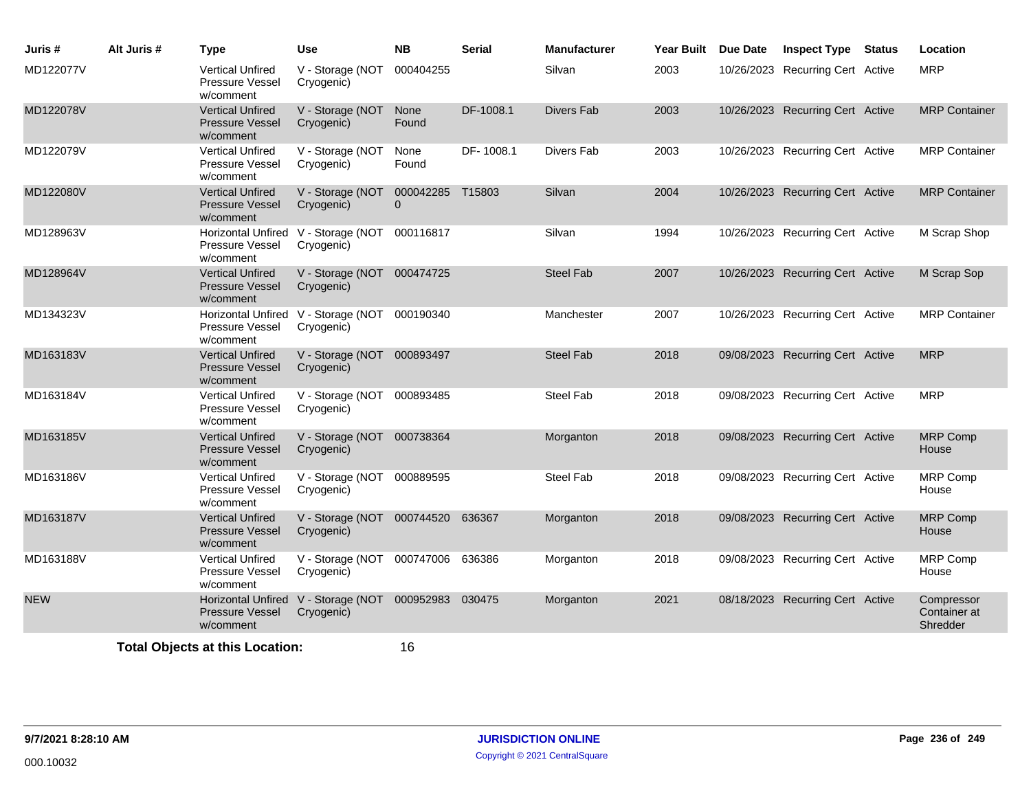| Juris #    | Alt Juris # | <b>Type</b>                                                    | Use                                                                | <b>NB</b>                 | <b>Serial</b> | <b>Manufacturer</b> | <b>Year Built</b> | <b>Due Date</b> | <b>Inspect Type Status</b>       | Location                               |
|------------|-------------|----------------------------------------------------------------|--------------------------------------------------------------------|---------------------------|---------------|---------------------|-------------------|-----------------|----------------------------------|----------------------------------------|
| MD122077V  |             | <b>Vertical Unfired</b><br>Pressure Vessel<br>w/comment        | V - Storage (NOT<br>Cryogenic)                                     | 000404255                 |               | Silvan              | 2003              |                 | 10/26/2023 Recurring Cert Active | <b>MRP</b>                             |
| MD122078V  |             | <b>Vertical Unfired</b><br><b>Pressure Vessel</b><br>w/comment | V - Storage (NOT<br>Cryogenic)                                     | None<br>Found             | DF-1008.1     | <b>Divers Fab</b>   | 2003              |                 | 10/26/2023 Recurring Cert Active | <b>MRP Container</b>                   |
| MD122079V  |             | <b>Vertical Unfired</b><br>Pressure Vessel<br>w/comment        | V - Storage (NOT<br>Cryogenic)                                     | None<br>Found             | DF-1008.1     | Divers Fab          | 2003              |                 | 10/26/2023 Recurring Cert Active | <b>MRP Container</b>                   |
| MD122080V  |             | <b>Vertical Unfired</b><br><b>Pressure Vessel</b><br>w/comment | V - Storage (NOT<br>Cryogenic)                                     | 000042285<br>$\mathbf{0}$ | T15803        | Silvan              | 2004              |                 | 10/26/2023 Recurring Cert Active | <b>MRP Container</b>                   |
| MD128963V  |             | <b>Pressure Vessel</b><br>w/comment                            | Horizontal Unfired V - Storage (NOT 000116817<br>Cryogenic)        |                           |               | Silvan              | 1994              |                 | 10/26/2023 Recurring Cert Active | M Scrap Shop                           |
| MD128964V  |             | <b>Vertical Unfired</b><br><b>Pressure Vessel</b><br>w/comment | V - Storage (NOT 000474725<br>Cryogenic)                           |                           |               | <b>Steel Fab</b>    | 2007              |                 | 10/26/2023 Recurring Cert Active | M Scrap Sop                            |
| MD134323V  |             | Pressure Vessel<br>w/comment                                   | Horizontal Unfired V - Storage (NOT 000190340<br>Cryogenic)        |                           |               | Manchester          | 2007              |                 | 10/26/2023 Recurring Cert Active | <b>MRP Container</b>                   |
| MD163183V  |             | <b>Vertical Unfired</b><br><b>Pressure Vessel</b><br>w/comment | V - Storage (NOT 000893497<br>Cryogenic)                           |                           |               | <b>Steel Fab</b>    | 2018              |                 | 09/08/2023 Recurring Cert Active | <b>MRP</b>                             |
| MD163184V  |             | <b>Vertical Unfired</b><br>Pressure Vessel<br>w/comment        | V - Storage (NOT 000893485<br>Cryogenic)                           |                           |               | <b>Steel Fab</b>    | 2018              |                 | 09/08/2023 Recurring Cert Active | <b>MRP</b>                             |
| MD163185V  |             | <b>Vertical Unfired</b><br><b>Pressure Vessel</b><br>w/comment | V - Storage (NOT 000738364<br>Cryogenic)                           |                           |               | Morganton           | 2018              |                 | 09/08/2023 Recurring Cert Active | <b>MRP Comp</b><br>House               |
| MD163186V  |             | <b>Vertical Unfired</b><br><b>Pressure Vessel</b><br>w/comment | V - Storage (NOT 000889595<br>Cryogenic)                           |                           |               | <b>Steel Fab</b>    | 2018              |                 | 09/08/2023 Recurring Cert Active | MRP Comp<br>House                      |
| MD163187V  |             | <b>Vertical Unfired</b><br><b>Pressure Vessel</b><br>w/comment | V - Storage (NOT 000744520 636367<br>Cryogenic)                    |                           |               | Morganton           | 2018              |                 | 09/08/2023 Recurring Cert Active | <b>MRP Comp</b><br>House               |
| MD163188V  |             | <b>Vertical Unfired</b><br>Pressure Vessel<br>w/comment        | V - Storage (NOT 000747006 636386<br>Cryogenic)                    |                           |               | Morganton           | 2018              |                 | 09/08/2023 Recurring Cert Active | <b>MRP Comp</b><br>House               |
| <b>NEW</b> |             | <b>Pressure Vessel</b><br>w/comment                            | Horizontal Unfired V - Storage (NOT 000952983 030475<br>Cryogenic) |                           |               | Morganton           | 2021              |                 | 08/18/2023 Recurring Cert Active | Compressor<br>Container at<br>Shredder |
|            |             | すっかいしめし しょうかいしゅうしき いしょうしゅうかい                                   |                                                                    |                           |               |                     |                   |                 |                                  |                                        |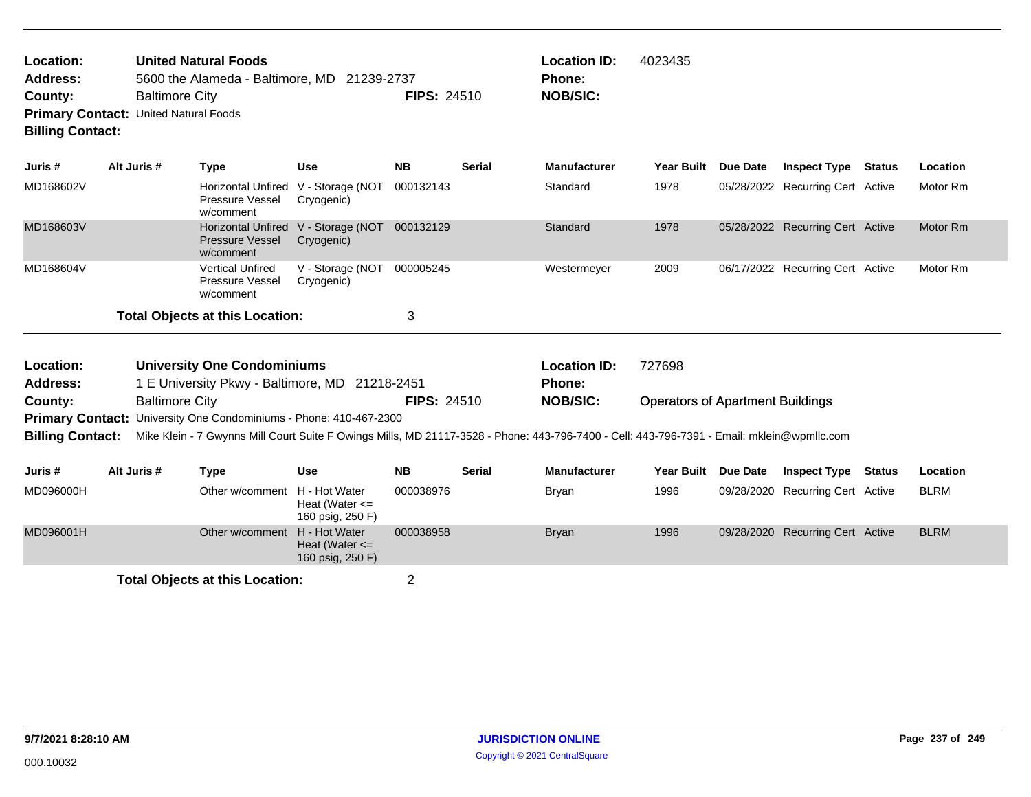| Location:<br>Address:<br>County:<br>Primary Contact: United Natural Foods<br><b>Billing Contact:</b> |                                                                                      | <b>Baltimore City</b> | <b>United Natural Foods</b>                                      | 5600 the Alameda - Baltimore, MD 21239-2737                                                                                                                                                                      | <b>FIPS: 24510</b> |               | <b>Location ID:</b><br><b>Phone:</b><br><b>NOB/SIC:</b> | 4023435                                 |                 |                                  |               |             |
|------------------------------------------------------------------------------------------------------|--------------------------------------------------------------------------------------|-----------------------|------------------------------------------------------------------|------------------------------------------------------------------------------------------------------------------------------------------------------------------------------------------------------------------|--------------------|---------------|---------------------------------------------------------|-----------------------------------------|-----------------|----------------------------------|---------------|-------------|
| Juris #                                                                                              | Alt Juris #                                                                          |                       | <b>Type</b>                                                      | <b>Use</b>                                                                                                                                                                                                       | <b>NB</b>          | <b>Serial</b> | <b>Manufacturer</b>                                     | <b>Year Built</b>                       | Due Date        | <b>Inspect Type</b>              | <b>Status</b> | Location    |
| MD168602V                                                                                            |                                                                                      |                       | Pressure Vessel<br>w/comment                                     | Horizontal Unfired V - Storage (NOT<br>Cryogenic)                                                                                                                                                                | 000132143          |               | Standard                                                | 1978                                    |                 | 05/28/2022 Recurring Cert Active |               | Motor Rm    |
| MD168603V                                                                                            |                                                                                      |                       | <b>Horizontal Unfired</b><br><b>Pressure Vessel</b><br>w/comment | V - Storage (NOT<br>Cryogenic)                                                                                                                                                                                   | 000132129          |               | Standard                                                | 1978                                    |                 | 05/28/2022 Recurring Cert Active |               | Motor Rm    |
| MD168604V                                                                                            |                                                                                      |                       | <b>Vertical Unfired</b><br>Pressure Vessel<br>w/comment          | V - Storage (NOT<br>Cryogenic)                                                                                                                                                                                   | 000005245          |               | Westermeyer                                             | 2009                                    |                 | 06/17/2022 Recurring Cert Active |               | Motor Rm    |
|                                                                                                      |                                                                                      |                       | <b>Total Objects at this Location:</b>                           |                                                                                                                                                                                                                  | 3                  |               |                                                         |                                         |                 |                                  |               |             |
| Location:<br>Address:                                                                                | <b>University One Condominiums</b><br>1 E University Pkwy - Baltimore, MD 21218-2451 |                       |                                                                  |                                                                                                                                                                                                                  |                    |               | <b>Location ID:</b><br><b>Phone:</b>                    | 727698                                  |                 |                                  |               |             |
| County:                                                                                              |                                                                                      | <b>Baltimore City</b> |                                                                  |                                                                                                                                                                                                                  | <b>FIPS: 24510</b> |               | <b>NOB/SIC:</b>                                         | <b>Operators of Apartment Buildings</b> |                 |                                  |               |             |
| <b>Billing Contact:</b>                                                                              |                                                                                      |                       |                                                                  | Primary Contact: University One Condominiums - Phone: 410-467-2300<br>Mike Klein - 7 Gwynns Mill Court Suite F Owings Mills, MD 21117-3528 - Phone: 443-796-7400 - Cell: 443-796-7391 - Email: mklein@wpmllc.com |                    |               |                                                         |                                         |                 |                                  |               |             |
| Juris #                                                                                              | Alt Juris #                                                                          |                       | <b>Type</b>                                                      | <b>Use</b>                                                                                                                                                                                                       | <b>NB</b>          | <b>Serial</b> | <b>Manufacturer</b>                                     | <b>Year Built</b>                       | <b>Due Date</b> | <b>Inspect Type</b>              | <b>Status</b> | Location    |
| MD096000H                                                                                            |                                                                                      |                       | Other w/comment                                                  | H - Hot Water<br>Heat (Water $\leq$<br>160 psig, 250 F)                                                                                                                                                          | 000038976          |               | <b>Bryan</b>                                            | 1996                                    |                 | 09/28/2020 Recurring Cert Active |               | <b>BLRM</b> |
| MD096001H                                                                                            |                                                                                      |                       | Other w/comment H - Hot Water                                    | Heat (Water $\leq$<br>160 psig, 250 F)                                                                                                                                                                           | 000038958          |               | <b>Bryan</b>                                            | 1996                                    |                 | 09/28/2020 Recurring Cert Active |               | <b>BLRM</b> |
|                                                                                                      |                                                                                      |                       | <b>Total Objects at this Location:</b>                           |                                                                                                                                                                                                                  | 2                  |               |                                                         |                                         |                 |                                  |               |             |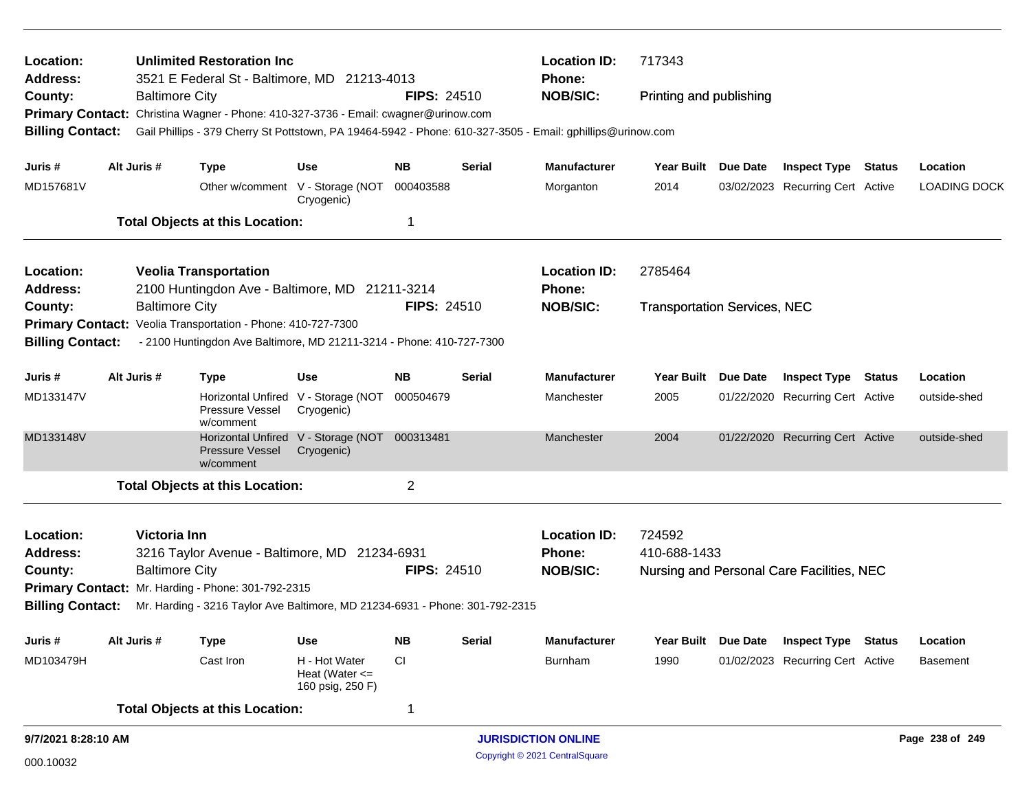| Location:<br>Address:      |                       | <b>Unlimited Restoration Inc.</b><br>3521 E Federal St - Baltimore, MD 21213-4013   |                                                             |                    |               | <b>Location ID:</b><br><b>Phone:</b>                                                                       | 717343                              |          |                                           |                     |
|----------------------------|-----------------------|-------------------------------------------------------------------------------------|-------------------------------------------------------------|--------------------|---------------|------------------------------------------------------------------------------------------------------------|-------------------------------------|----------|-------------------------------------------|---------------------|
| County:                    | <b>Baltimore City</b> | Primary Contact: Christina Wagner - Phone: 410-327-3736 - Email: cwagner@urinow.com |                                                             | <b>FIPS: 24510</b> |               | <b>NOB/SIC:</b>                                                                                            | Printing and publishing             |          |                                           |                     |
| <b>Billing Contact:</b>    |                       |                                                                                     |                                                             |                    |               | Gail Phillips - 379 Cherry St Pottstown, PA 19464-5942 - Phone: 610-327-3505 - Email: gphillips@urinow.com |                                     |          |                                           |                     |
| Juris #                    | Alt Juris #           | <b>Type</b>                                                                         | Use                                                         | NB.                | <b>Serial</b> | <b>Manufacturer</b>                                                                                        | Year Built Due Date                 |          | <b>Inspect Type Status</b>                | Location            |
| MD157681V                  |                       |                                                                                     | Other w/comment V - Storage (NOT<br>Cryogenic)              | 000403588          |               | Morganton                                                                                                  | 2014                                |          | 03/02/2023 Recurring Cert Active          | <b>LOADING DOCK</b> |
|                            |                       | <b>Total Objects at this Location:</b>                                              |                                                             | 1                  |               |                                                                                                            |                                     |          |                                           |                     |
| Location:                  |                       | <b>Veolia Transportation</b>                                                        |                                                             |                    |               | <b>Location ID:</b>                                                                                        | 2785464                             |          |                                           |                     |
| <b>Address:</b><br>County: | <b>Baltimore City</b> | 2100 Huntingdon Ave - Baltimore, MD 21211-3214                                      |                                                             | <b>FIPS: 24510</b> |               | <b>Phone:</b><br><b>NOB/SIC:</b>                                                                           | <b>Transportation Services, NEC</b> |          |                                           |                     |
|                            |                       | Primary Contact: Veolia Transportation - Phone: 410-727-7300                        |                                                             |                    |               |                                                                                                            |                                     |          |                                           |                     |
| <b>Billing Contact:</b>    |                       | - 2100 Huntingdon Ave Baltimore, MD 21211-3214 - Phone: 410-727-7300                |                                                             |                    |               |                                                                                                            |                                     |          |                                           |                     |
| Juris #                    | Alt Juris #           | <b>Type</b>                                                                         | Use                                                         | <b>NB</b>          | Serial        | <b>Manufacturer</b>                                                                                        | Year Built Due Date                 |          | <b>Inspect Type Status</b>                | Location            |
| MD133147V                  |                       | <b>Pressure Vessel</b><br>w/comment                                                 | Horizontal Unfired V - Storage (NOT<br>Cryogenic)           | 000504679          |               | Manchester                                                                                                 | 2005                                |          | 01/22/2020 Recurring Cert Active          | outside-shed        |
| MD133148V                  |                       | Pressure Vessel<br>w/comment                                                        | Horizontal Unfired V - Storage (NOT 000313481<br>Cryogenic) |                    |               | Manchester                                                                                                 | 2004                                |          | 01/22/2020 Recurring Cert Active          | outside-shed        |
|                            |                       | <b>Total Objects at this Location:</b>                                              |                                                             | $\overline{2}$     |               |                                                                                                            |                                     |          |                                           |                     |
| Location:                  | Victoria Inn          |                                                                                     |                                                             |                    |               | <b>Location ID:</b>                                                                                        | 724592                              |          |                                           |                     |
| Address:                   |                       | 3216 Taylor Avenue - Baltimore, MD 21234-6931                                       |                                                             |                    |               | <b>Phone:</b>                                                                                              | 410-688-1433                        |          |                                           |                     |
| County:                    | <b>Baltimore City</b> |                                                                                     |                                                             | <b>FIPS: 24510</b> |               | <b>NOB/SIC:</b>                                                                                            |                                     |          | Nursing and Personal Care Facilities, NEC |                     |
|                            |                       | Primary Contact: Mr. Harding - Phone: 301-792-2315                                  |                                                             |                    |               |                                                                                                            |                                     |          |                                           |                     |
| <b>Billing Contact:</b>    |                       | Mr. Harding - 3216 Taylor Ave Baltimore, MD 21234-6931 - Phone: 301-792-2315        |                                                             |                    |               |                                                                                                            |                                     |          |                                           |                     |
| Juris#                     | Alt Juris #           | <b>Type</b>                                                                         | Use                                                         | <b>NB</b>          | <b>Serial</b> | <b>Manufacturer</b>                                                                                        | <b>Year Built</b>                   | Due Date | <b>Inspect Type Status</b>                | Location            |
| MD103479H                  |                       | Cast Iron                                                                           | H - Hot Water<br>Heat (Water $\leq$<br>160 psig, 250 F)     | СI                 |               | Burnham                                                                                                    | 1990                                |          | 01/02/2023 Recurring Cert Active          | <b>Basement</b>     |
|                            |                       | <b>Total Objects at this Location:</b>                                              |                                                             | 1                  |               |                                                                                                            |                                     |          |                                           |                     |
| 9/7/2021 8:28:10 AM        |                       |                                                                                     |                                                             |                    |               | <b>JURISDICTION ONLINE</b>                                                                                 |                                     |          |                                           | Page 238 of 249     |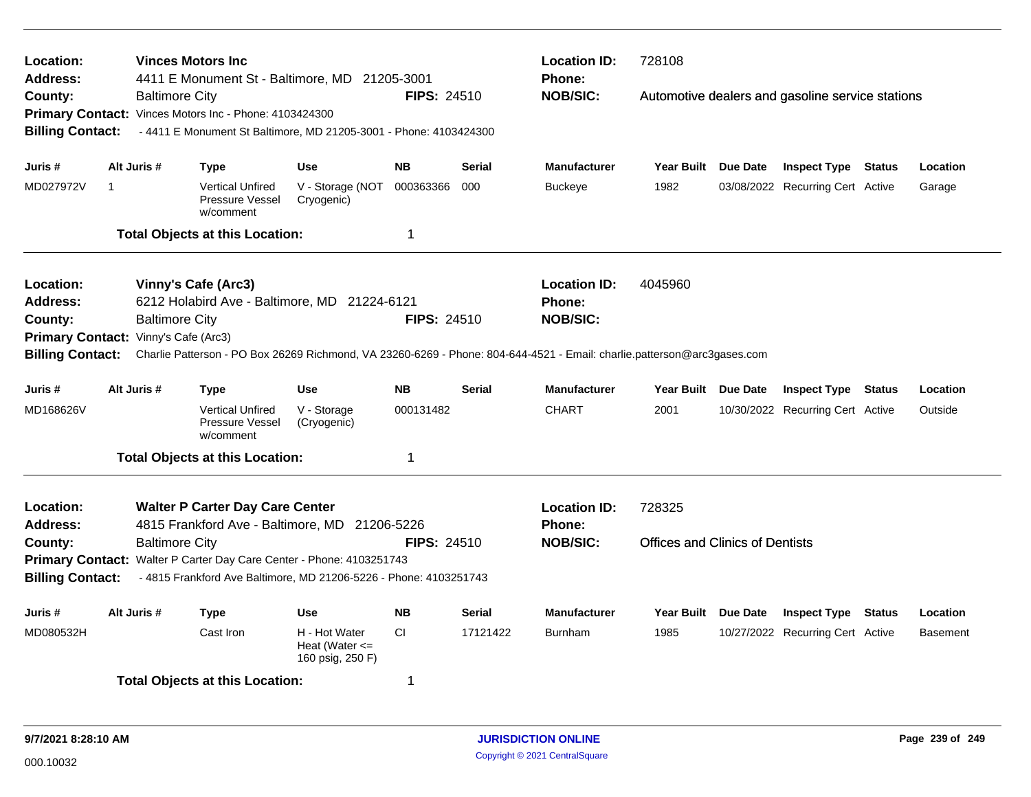| Location:<br><b>Address:</b> |                                      | <b>Vinces Motors Inc</b><br>4411 E Monument St - Baltimore, MD 21205-3001 |                                                         |                    |               | <b>Location ID:</b><br>Phone:                                                                                           | 728108                                 |          |                                                  |        |                 |
|------------------------------|--------------------------------------|---------------------------------------------------------------------------|---------------------------------------------------------|--------------------|---------------|-------------------------------------------------------------------------------------------------------------------------|----------------------------------------|----------|--------------------------------------------------|--------|-----------------|
| County:                      | <b>Baltimore City</b>                |                                                                           |                                                         | <b>FIPS: 24510</b> |               | <b>NOB/SIC:</b>                                                                                                         |                                        |          | Automotive dealers and gasoline service stations |        |                 |
|                              |                                      | Primary Contact: Vinces Motors Inc - Phone: 4103424300                    |                                                         |                    |               |                                                                                                                         |                                        |          |                                                  |        |                 |
| <b>Billing Contact:</b>      |                                      | - 4411 E Monument St Baltimore, MD 21205-3001 - Phone: 4103424300         |                                                         |                    |               |                                                                                                                         |                                        |          |                                                  |        |                 |
| Juris #                      | Alt Juris #                          | Type                                                                      | <b>Use</b>                                              | <b>NB</b>          | <b>Serial</b> | <b>Manufacturer</b>                                                                                                     | <b>Year Built</b>                      | Due Date | <b>Inspect Type Status</b>                       |        | Location        |
| MD027972V                    | $\mathbf{1}$                         | <b>Vertical Unfired</b><br>Pressure Vessel<br>w/comment                   | V - Storage (NOT<br>Cryogenic)                          | 000363366          | 000           | <b>Buckeye</b>                                                                                                          | 1982                                   |          | 03/08/2022 Recurring Cert Active                 |        | Garage          |
|                              |                                      | <b>Total Objects at this Location:</b>                                    |                                                         | 1                  |               |                                                                                                                         |                                        |          |                                                  |        |                 |
| Location:                    |                                      | Vinny's Cafe (Arc3)                                                       |                                                         |                    |               | <b>Location ID:</b>                                                                                                     | 4045960                                |          |                                                  |        |                 |
| <b>Address:</b>              |                                      | 6212 Holabird Ave - Baltimore, MD 21224-6121                              |                                                         |                    |               | <b>Phone:</b>                                                                                                           |                                        |          |                                                  |        |                 |
| County:                      | <b>Baltimore City</b>                |                                                                           |                                                         | <b>FIPS: 24510</b> |               | <b>NOB/SIC:</b>                                                                                                         |                                        |          |                                                  |        |                 |
|                              | Primary Contact: Vinny's Cafe (Arc3) |                                                                           |                                                         |                    |               |                                                                                                                         |                                        |          |                                                  |        |                 |
| <b>Billing Contact:</b>      |                                      |                                                                           |                                                         |                    |               | Charlie Patterson - PO Box 26269 Richmond, VA 23260-6269 - Phone: 804-644-4521 - Email: charlie.patterson@arc3gases.com |                                        |          |                                                  |        |                 |
| Juris #                      | Alt Juris #                          | <b>Type</b>                                                               | <b>Use</b>                                              | <b>NB</b>          | <b>Serial</b> | <b>Manufacturer</b>                                                                                                     | <b>Year Built</b>                      | Due Date | <b>Inspect Type Status</b>                       |        | Location        |
| MD168626V                    |                                      | <b>Vertical Unfired</b><br>Pressure Vessel<br>w/comment                   | V - Storage<br>(Cryogenic)                              | 000131482          |               | <b>CHART</b>                                                                                                            | 2001                                   |          | 10/30/2022 Recurring Cert Active                 |        | Outside         |
|                              |                                      | <b>Total Objects at this Location:</b>                                    |                                                         | 1                  |               |                                                                                                                         |                                        |          |                                                  |        |                 |
| Location:                    |                                      | <b>Walter P Carter Day Care Center</b>                                    |                                                         |                    |               | <b>Location ID:</b>                                                                                                     | 728325                                 |          |                                                  |        |                 |
| <b>Address:</b>              |                                      | 4815 Frankford Ave - Baltimore, MD 21206-5226                             |                                                         |                    |               | <b>Phone:</b>                                                                                                           |                                        |          |                                                  |        |                 |
| County:                      | <b>Baltimore City</b>                |                                                                           |                                                         | <b>FIPS: 24510</b> |               | <b>NOB/SIC:</b>                                                                                                         | <b>Offices and Clinics of Dentists</b> |          |                                                  |        |                 |
|                              |                                      | Primary Contact: Walter P Carter Day Care Center - Phone: 4103251743      |                                                         |                    |               |                                                                                                                         |                                        |          |                                                  |        |                 |
| <b>Billing Contact:</b>      |                                      | - 4815 Frankford Ave Baltimore, MD 21206-5226 - Phone: 4103251743         |                                                         |                    |               |                                                                                                                         |                                        |          |                                                  |        |                 |
| Juris #                      | Alt Juris #                          | <b>Type</b>                                                               | <b>Use</b>                                              | <b>NB</b>          | <b>Serial</b> | <b>Manufacturer</b>                                                                                                     | <b>Year Built</b>                      | Due Date | <b>Inspect Type</b>                              | Status | Location        |
| MD080532H                    |                                      | Cast Iron                                                                 | H - Hot Water<br>Heat (Water $\leq$<br>160 psig, 250 F) | CI.                | 17121422      | <b>Burnham</b>                                                                                                          | 1985                                   |          | 10/27/2022 Recurring Cert Active                 |        | <b>Basement</b> |
|                              |                                      | <b>Total Objects at this Location:</b>                                    |                                                         | 1                  |               |                                                                                                                         |                                        |          |                                                  |        |                 |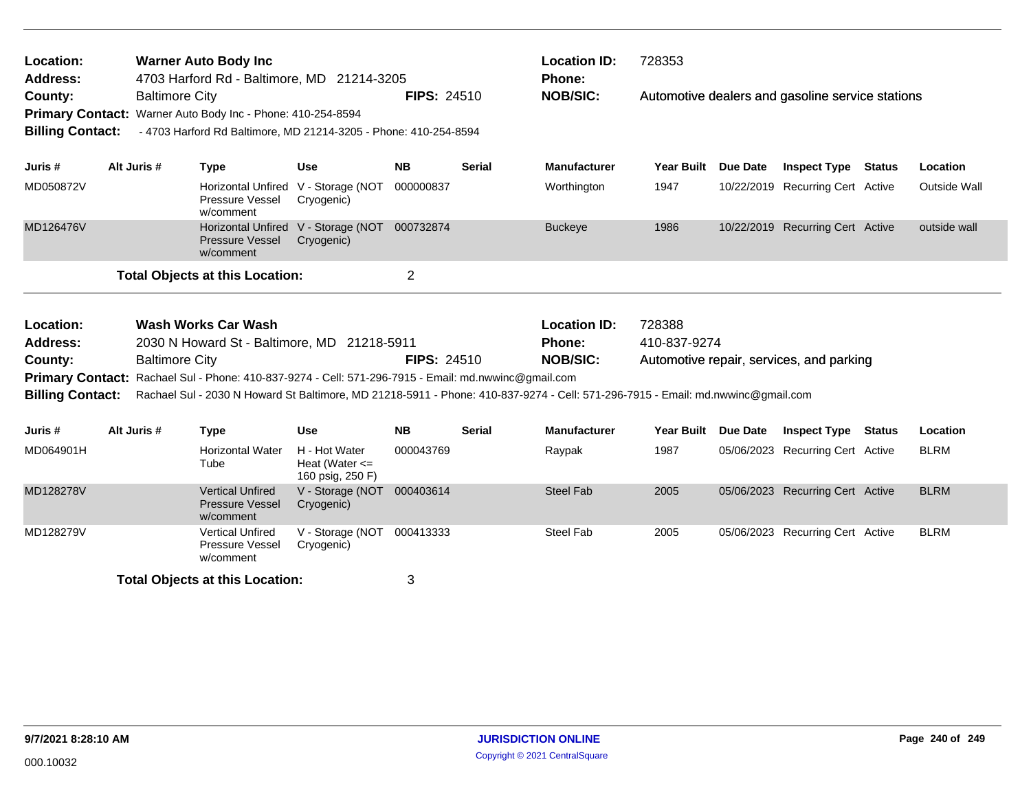| Location:<br><b>Address:</b>       |                       | <b>Warner Auto Body Inc.</b><br>4703 Harford Rd - Baltimore, MD 21214-3205                                                                                                                                                              |                                                             |                    |               | <b>Location ID:</b><br><b>Phone:</b> | 728353                 |                 |                                                  |                     |
|------------------------------------|-----------------------|-----------------------------------------------------------------------------------------------------------------------------------------------------------------------------------------------------------------------------------------|-------------------------------------------------------------|--------------------|---------------|--------------------------------------|------------------------|-----------------|--------------------------------------------------|---------------------|
| County:<br><b>Billing Contact:</b> | <b>Baltimore City</b> | Primary Contact: Warner Auto Body Inc - Phone: 410-254-8594<br>- 4703 Harford Rd Baltimore, MD 21214-3205 - Phone: 410-254-8594                                                                                                         |                                                             | <b>FIPS: 24510</b> |               | <b>NOB/SIC:</b>                      |                        |                 | Automotive dealers and gasoline service stations |                     |
| Juris #                            | Alt Juris #           | <b>Type</b>                                                                                                                                                                                                                             | <b>Use</b>                                                  | <b>NB</b>          | <b>Serial</b> | <b>Manufacturer</b>                  | <b>Year Built</b>      | <b>Due Date</b> | <b>Inspect Type Status</b>                       | Location            |
| MD050872V                          |                       | Pressure Vessel<br>w/comment                                                                                                                                                                                                            | Horizontal Unfired V - Storage (NOT<br>Cryogenic)           | 000000837          |               | Worthington                          | 1947                   |                 | 10/22/2019 Recurring Cert Active                 | <b>Outside Wall</b> |
| MD126476V                          |                       | <b>Pressure Vessel</b><br>w/comment                                                                                                                                                                                                     | Horizontal Unfired V - Storage (NOT 000732874<br>Cryogenic) |                    |               | <b>Buckeye</b>                       | 1986                   |                 | 10/22/2019 Recurring Cert Active                 | outside wall        |
|                                    |                       | <b>Total Objects at this Location:</b>                                                                                                                                                                                                  |                                                             | $\overline{2}$     |               |                                      |                        |                 |                                                  |                     |
| Location:<br><b>Address:</b>       |                       | <b>Wash Works Car Wash</b><br>2030 N Howard St - Baltimore, MD 21218-5911                                                                                                                                                               |                                                             |                    |               | <b>Location ID:</b><br>Phone:        | 728388<br>410-837-9274 |                 |                                                  |                     |
| County:                            | <b>Baltimore City</b> |                                                                                                                                                                                                                                         |                                                             | <b>FIPS: 24510</b> |               | <b>NOB/SIC:</b>                      |                        |                 | Automotive repair, services, and parking         |                     |
| <b>Billing Contact:</b>            |                       | Primary Contact: Rachael Sul - Phone: 410-837-9274 - Cell: 571-296-7915 - Email: md.nwwinc@gmail.com<br>Rachael Sul - 2030 N Howard St Baltimore, MD 21218-5911 - Phone: 410-837-9274 - Cell: 571-296-7915 - Email: md.nwwinc@gmail.com |                                                             |                    |               |                                      |                        |                 |                                                  |                     |
| Juris #                            | Alt Juris #           | <b>Type</b>                                                                                                                                                                                                                             | <b>Use</b>                                                  | <b>NB</b>          | <b>Serial</b> | <b>Manufacturer</b>                  | Year Built Due Date    |                 | <b>Inspect Type Status</b>                       | Location            |
| MD064901H                          |                       | <b>Horizontal Water</b><br>Tube                                                                                                                                                                                                         | H - Hot Water<br>Heat (Water $\leq$<br>160 psig, 250 F)     | 000043769          |               | Raypak                               | 1987                   |                 | 05/06/2023 Recurring Cert Active                 | <b>BLRM</b>         |
|                                    |                       |                                                                                                                                                                                                                                         |                                                             |                    |               |                                      |                        |                 |                                                  |                     |
| MD128278V                          |                       | <b>Vertical Unfired</b><br><b>Pressure Vessel</b><br>w/comment                                                                                                                                                                          | V - Storage (NOT 000403614<br>Cryogenic)                    |                    |               | <b>Steel Fab</b>                     | 2005                   |                 | 05/06/2023 Recurring Cert Active                 | <b>BLRM</b>         |
| MD128279V                          |                       | <b>Vertical Unfired</b><br>Pressure Vessel<br>w/comment                                                                                                                                                                                 | V - Storage (NOT<br>Cryogenic)                              | 000413333          |               | <b>Steel Fab</b>                     | 2005                   |                 | 05/06/2023 Recurring Cert Active                 | <b>BLRM</b>         |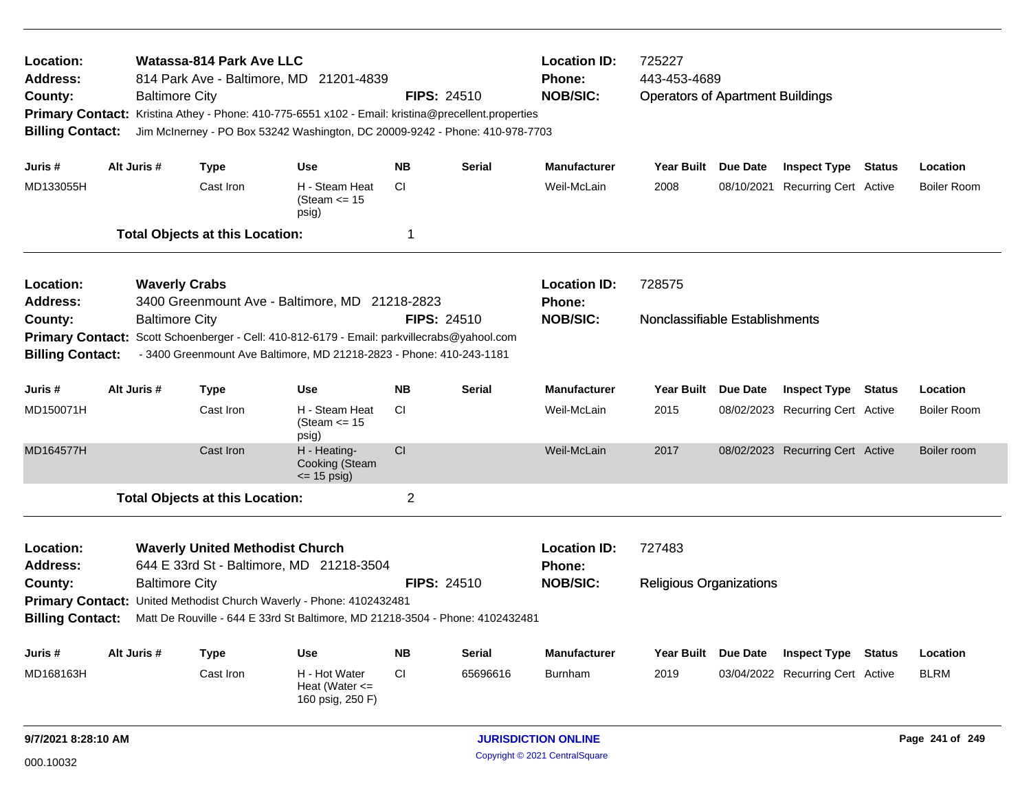| Location:<br>Address:<br>County:<br><b>Billing Contact:</b>                                                        |                                                                                     | <b>Baltimore City</b> | <b>Watassa-814 Park Ave LLC</b><br>814 Park Ave - Baltimore, MD 21201-4839<br>Primary Contact: Kristina Athey - Phone: 410-775-6551 x102 - Email: kristina@precellent.properties<br>Jim McInerney - PO Box 53242 Washington, DC 20009-9242 - Phone: 410-978-7703 |                                                         | FIPS: 24510        |               | <b>Location ID:</b><br>Phone:<br><b>NOB/SIC:</b> | 725227<br>443-453-4689<br><b>Operators of Apartment Buildings</b> |            |                                  |        |                    |
|--------------------------------------------------------------------------------------------------------------------|-------------------------------------------------------------------------------------|-----------------------|------------------------------------------------------------------------------------------------------------------------------------------------------------------------------------------------------------------------------------------------------------------|---------------------------------------------------------|--------------------|---------------|--------------------------------------------------|-------------------------------------------------------------------|------------|----------------------------------|--------|--------------------|
| Juris #                                                                                                            | Alt Juris #                                                                         |                       | <b>Type</b>                                                                                                                                                                                                                                                      | <b>Use</b>                                              | <b>NB</b>          | <b>Serial</b> | <b>Manufacturer</b>                              | Year Built Due Date                                               |            | <b>Inspect Type Status</b>       |        | Location           |
| MD133055H                                                                                                          |                                                                                     |                       | Cast Iron                                                                                                                                                                                                                                                        | H - Steam Heat<br>(Steam $\le$ 15<br>psig)              | <b>CI</b>          |               | Weil-McLain                                      | 2008                                                              | 08/10/2021 | <b>Recurring Cert Active</b>     |        | <b>Boiler Room</b> |
|                                                                                                                    |                                                                                     |                       | <b>Total Objects at this Location:</b>                                                                                                                                                                                                                           |                                                         | 1                  |               |                                                  |                                                                   |            |                                  |        |                    |
| Location:<br><b>Address:</b>                                                                                       |                                                                                     | <b>Waverly Crabs</b>  | 3400 Greenmount Ave - Baltimore, MD 21218-2823                                                                                                                                                                                                                   |                                                         |                    |               | <b>Location ID:</b><br><b>Phone:</b>             | 728575                                                            |            |                                  |        |                    |
| County:<br><b>Primary Contact:</b><br><b>Billing Contact:</b>                                                      |                                                                                     | <b>Baltimore City</b> | Scott Schoenberger - Cell: 410-812-6179 - Email: parkvillecrabs@yahool.com<br>- 3400 Greenmount Ave Baltimore, MD 21218-2823 - Phone: 410-243-1181                                                                                                               |                                                         | <b>FIPS: 24510</b> |               | <b>NOB/SIC:</b>                                  | Nonclassifiable Establishments                                    |            |                                  |        |                    |
| Juris #                                                                                                            |                                                                                     |                       | <b>Type</b>                                                                                                                                                                                                                                                      | <b>Use</b>                                              | <b>NB</b>          | <b>Serial</b> | <b>Manufacturer</b>                              | Year Built Due Date                                               |            | <b>Inspect Type Status</b>       |        | Location           |
| MD150071H                                                                                                          | Alt Juris #<br>H - Steam Heat<br><b>CI</b><br>Cast Iron<br>(Steam $\le$ 15<br>psig) |                       |                                                                                                                                                                                                                                                                  |                                                         |                    |               | Weil-McLain                                      | 2015                                                              |            | 08/02/2023 Recurring Cert Active |        | <b>Boiler Room</b> |
| MD164577H                                                                                                          |                                                                                     |                       | Cast Iron                                                                                                                                                                                                                                                        | H - Heating-<br>Cooking (Steam<br>$= 15$ psig)          | CI                 |               | Weil-McLain                                      | 2017                                                              |            | 08/02/2023 Recurring Cert Active |        | Boiler room        |
|                                                                                                                    |                                                                                     |                       | <b>Total Objects at this Location:</b>                                                                                                                                                                                                                           |                                                         | $\overline{2}$     |               |                                                  |                                                                   |            |                                  |        |                    |
| Location:<br><b>Waverly United Methodist Church</b><br><b>Address:</b><br>644 E 33rd St - Baltimore, MD 21218-3504 |                                                                                     |                       |                                                                                                                                                                                                                                                                  |                                                         |                    |               | <b>Location ID:</b><br>Phone:                    | 727483                                                            |            |                                  |        |                    |
| County:<br><b>Billing Contact:</b>                                                                                 |                                                                                     | <b>Baltimore City</b> | Primary Contact: United Methodist Church Waverly - Phone: 4102432481<br>Matt De Rouville - 644 E 33rd St Baltimore, MD 21218-3504 - Phone: 4102432481                                                                                                            |                                                         | FIPS: 24510        |               | <b>NOB/SIC:</b>                                  | <b>Religious Organizations</b>                                    |            |                                  |        |                    |
| Juris #                                                                                                            | Alt Juris #                                                                         |                       | Type                                                                                                                                                                                                                                                             | <b>Use</b>                                              | <b>NB</b>          | <b>Serial</b> | <b>Manufacturer</b>                              | Year Built Due Date                                               |            | <b>Inspect Type</b>              | Status | Location           |
| MD168163H                                                                                                          |                                                                                     |                       | Cast Iron                                                                                                                                                                                                                                                        | H - Hot Water<br>Heat (Water $\leq$<br>160 psig, 250 F) | CI.                | 65696616      | <b>Burnham</b>                                   | 2019                                                              |            | 03/04/2022 Recurring Cert Active |        | <b>BLRM</b>        |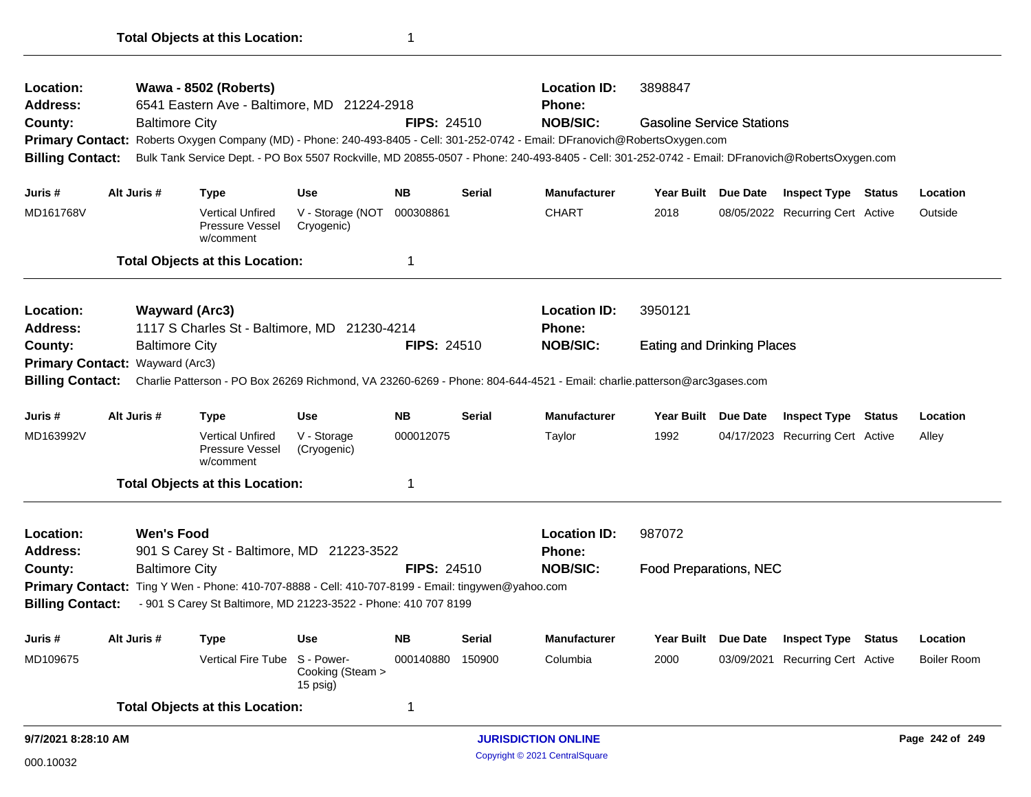| Location:<br><b>Address:</b>    |  |                       | Wawa - 8502 (Roberts)                                                                                                                                                 |                                |                    |               | <b>Location ID:</b>                                                                                                                             | 3898847                           |                                  |               |                    |
|---------------------------------|--|-----------------------|-----------------------------------------------------------------------------------------------------------------------------------------------------------------------|--------------------------------|--------------------|---------------|-------------------------------------------------------------------------------------------------------------------------------------------------|-----------------------------------|----------------------------------|---------------|--------------------|
|                                 |  |                       | 6541 Eastern Ave - Baltimore, MD 21224-2918                                                                                                                           |                                |                    |               | Phone:<br><b>NOB/SIC:</b>                                                                                                                       |                                   |                                  |               |                    |
| County:                         |  | <b>Baltimore City</b> |                                                                                                                                                                       |                                | <b>FIPS: 24510</b> |               | Primary Contact: Roberts Oxygen Company (MD) - Phone: 240-493-8405 - Cell: 301-252-0742 - Email: DFranovich@RobertsOxygen.com                   | <b>Gasoline Service Stations</b>  |                                  |               |                    |
| <b>Billing Contact:</b>         |  |                       |                                                                                                                                                                       |                                |                    |               | Bulk Tank Service Dept. - PO Box 5507 Rockville, MD 20855-0507 - Phone: 240-493-8405 - Cell: 301-252-0742 - Email: DFranovich@RobertsOxygen.com |                                   |                                  |               |                    |
|                                 |  |                       |                                                                                                                                                                       |                                |                    |               |                                                                                                                                                 |                                   |                                  |               |                    |
| Juris #                         |  | Alt Juris #           | <b>Type</b>                                                                                                                                                           | <b>Use</b>                     | <b>NB</b>          | <b>Serial</b> | <b>Manufacturer</b>                                                                                                                             | Year Built Due Date               | <b>Inspect Type Status</b>       |               | Location           |
| MD161768V                       |  |                       | <b>Vertical Unfired</b><br>Pressure Vessel<br>w/comment                                                                                                               | V - Storage (NOT<br>Cryogenic) | 000308861          |               | <b>CHART</b>                                                                                                                                    | 2018                              | 08/05/2022 Recurring Cert Active |               | Outside            |
|                                 |  |                       | <b>Total Objects at this Location:</b>                                                                                                                                |                                | 1                  |               |                                                                                                                                                 |                                   |                                  |               |                    |
| Location:                       |  | <b>Wayward (Arc3)</b> |                                                                                                                                                                       |                                |                    |               | <b>Location ID:</b>                                                                                                                             | 3950121                           |                                  |               |                    |
| <b>Address:</b>                 |  |                       | 1117 S Charles St - Baltimore, MD 21230-4214                                                                                                                          |                                |                    |               | <b>Phone:</b>                                                                                                                                   |                                   |                                  |               |                    |
| County:                         |  | <b>Baltimore City</b> |                                                                                                                                                                       |                                | <b>FIPS: 24510</b> |               | <b>NOB/SIC:</b>                                                                                                                                 | <b>Eating and Drinking Places</b> |                                  |               |                    |
| Primary Contact: Wayward (Arc3) |  |                       |                                                                                                                                                                       |                                |                    |               |                                                                                                                                                 |                                   |                                  |               |                    |
| <b>Billing Contact:</b>         |  |                       |                                                                                                                                                                       |                                |                    |               | Charlie Patterson - PO Box 26269 Richmond, VA 23260-6269 - Phone: 804-644-4521 - Email: charlie.patterson@arc3gases.com                         |                                   |                                  |               |                    |
| Juris #                         |  | Alt Juris #           | <b>Type</b>                                                                                                                                                           | <b>Use</b>                     | <b>NB</b>          | <b>Serial</b> | <b>Manufacturer</b>                                                                                                                             | Year Built Due Date               | <b>Inspect Type Status</b>       |               | Location           |
| MD163992V                       |  |                       | <b>Vertical Unfired</b><br><b>Pressure Vessel</b><br>w/comment                                                                                                        | V - Storage<br>(Cryogenic)     | 000012075          |               | Taylor                                                                                                                                          | 1992                              | 04/17/2023 Recurring Cert Active |               | Alley              |
|                                 |  |                       | <b>Total Objects at this Location:</b>                                                                                                                                |                                | 1                  |               |                                                                                                                                                 |                                   |                                  |               |                    |
| Location:                       |  | <b>Wen's Food</b>     |                                                                                                                                                                       |                                |                    |               | <b>Location ID:</b>                                                                                                                             | 987072                            |                                  |               |                    |
| <b>Address:</b>                 |  |                       | 901 S Carey St - Baltimore, MD 21223-3522                                                                                                                             |                                |                    |               | <b>Phone:</b>                                                                                                                                   |                                   |                                  |               |                    |
| County:                         |  | <b>Baltimore City</b> |                                                                                                                                                                       |                                | <b>FIPS: 24510</b> |               | <b>NOB/SIC:</b>                                                                                                                                 | Food Preparations, NEC            |                                  |               |                    |
| <b>Billing Contact:</b>         |  |                       | Primary Contact: Ting Y Wen - Phone: 410-707-8888 - Cell: 410-707-8199 - Email: tingywen@yahoo.com<br>- 901 S Carey St Baltimore, MD 21223-3522 - Phone: 410 707 8199 |                                |                    |               |                                                                                                                                                 |                                   |                                  |               |                    |
| Juris #                         |  | Alt Juris #           | <b>Type</b>                                                                                                                                                           | <b>Use</b>                     | <b>NB</b>          | <b>Serial</b> | <b>Manufacturer</b>                                                                                                                             | Year Built Due Date               | <b>Inspect Type</b>              | <b>Status</b> | Location           |
| MD109675                        |  |                       | Vertical Fire Tube S - Power-                                                                                                                                         | Cooking (Steam ><br>$15$ psig) | 000140880          | 150900        | Columbia                                                                                                                                        | 2000                              | 03/09/2021 Recurring Cert Active |               | <b>Boiler Room</b> |
|                                 |  |                       | <b>Total Objects at this Location:</b>                                                                                                                                |                                | 1                  |               |                                                                                                                                                 |                                   |                                  |               |                    |
| 9/7/2021 8:28:10 AM             |  |                       |                                                                                                                                                                       |                                |                    |               | <b>JURISDICTION ONLINE</b>                                                                                                                      |                                   |                                  |               | Page 242 of 249    |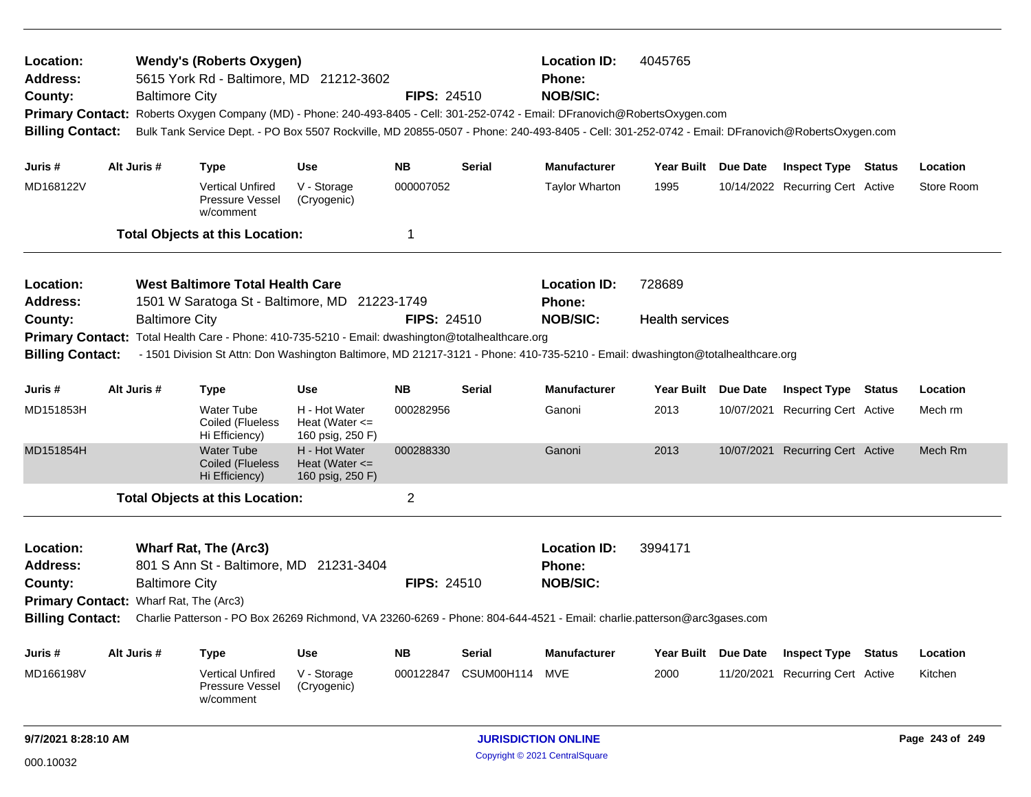| Location:<br>Address:<br>County:<br><b>Primary Contact:</b><br><b>Billing Contact:</b>                       |             | <b>Baltimore City</b> | <b>Wendy's (Roberts Oxygen)</b><br>5615 York Rd - Baltimore, MD 21212-3602<br>Roberts Oxygen Company (MD) - Phone: 240-493-8405 - Cell: 301-252-0742 - Email: DFranovich@RobertsOxygen.com<br>Bulk Tank Service Dept. - PO Box 5507 Rockville, MD 20855-0507 - Phone: 240-493-8405 - Cell: 301-252-0742 - Email: DFranovich@RobertsOxygen.com |                                                         | <b>FIPS: 24510</b>     |                             | <b>Location ID:</b><br><b>Phone:</b><br><b>NOB/SIC:</b> | 4045765                     |                 |                                                                |               |                     |
|--------------------------------------------------------------------------------------------------------------|-------------|-----------------------|-----------------------------------------------------------------------------------------------------------------------------------------------------------------------------------------------------------------------------------------------------------------------------------------------------------------------------------------------|---------------------------------------------------------|------------------------|-----------------------------|---------------------------------------------------------|-----------------------------|-----------------|----------------------------------------------------------------|---------------|---------------------|
| Juris #                                                                                                      | Alt Juris # |                       | <b>Type</b>                                                                                                                                                                                                                                                                                                                                   | <b>Use</b>                                              | <b>NB</b>              | Serial                      | <b>Manufacturer</b>                                     | Year Built Due Date         |                 | <b>Inspect Type Status</b>                                     |               | Location            |
| MD168122V                                                                                                    |             |                       | <b>Vertical Unfired</b><br>Pressure Vessel<br>w/comment                                                                                                                                                                                                                                                                                       | V - Storage<br>(Cryogenic)                              | 000007052              |                             | <b>Taylor Wharton</b>                                   | 1995                        |                 | 10/14/2022 Recurring Cert Active                               |               | Store Room          |
|                                                                                                              |             |                       | <b>Total Objects at this Location:</b>                                                                                                                                                                                                                                                                                                        |                                                         | 1                      |                             |                                                         |                             |                 |                                                                |               |                     |
| Location:<br><b>Address:</b>                                                                                 |             |                       | <b>West Baltimore Total Health Care</b><br>1501 W Saratoga St - Baltimore, MD 21223-1749                                                                                                                                                                                                                                                      |                                                         |                        |                             | <b>Location ID:</b><br><b>Phone:</b>                    | 728689                      |                 |                                                                |               |                     |
| County:                                                                                                      |             | <b>Baltimore City</b> |                                                                                                                                                                                                                                                                                                                                               |                                                         | <b>FIPS: 24510</b>     |                             | <b>NOB/SIC:</b>                                         | <b>Health services</b>      |                 |                                                                |               |                     |
| <b>Billing Contact:</b>                                                                                      |             |                       | Primary Contact: Total Health Care - Phone: 410-735-5210 - Email: dwashington@totalhealthcare.org<br>- 1501 Division St Attn: Don Washington Baltimore, MD 21217-3121 - Phone: 410-735-5210 - Email: dwashington@totalhealthcare.org                                                                                                          |                                                         |                        |                             |                                                         |                             |                 |                                                                |               |                     |
| Juris #                                                                                                      | Alt Juris # |                       | <b>Type</b>                                                                                                                                                                                                                                                                                                                                   | <b>Use</b>                                              | <b>NB</b>              | Serial                      | <b>Manufacturer</b>                                     | <b>Year Built</b>           | <b>Due Date</b> | <b>Inspect Type</b>                                            | <b>Status</b> | Location            |
| MD151853H                                                                                                    |             |                       | <b>Water Tube</b><br>Coiled (Flueless<br>Hi Efficiency)                                                                                                                                                                                                                                                                                       | H - Hot Water<br>Heat (Water $\leq$<br>160 psig, 250 F) | 000282956              |                             | Ganoni                                                  | 2013                        |                 | 10/07/2021 Recurring Cert Active                               |               | Mech rm             |
| MD151854H                                                                                                    |             |                       | <b>Water Tube</b><br>Coiled (Flueless<br>Hi Efficiency)                                                                                                                                                                                                                                                                                       | H - Hot Water<br>Heat (Water $\leq$<br>160 psig, 250 F) | 000288330              |                             | Ganoni                                                  | 2013                        |                 | 10/07/2021 Recurring Cert Active                               |               | Mech Rm             |
|                                                                                                              |             |                       | <b>Total Objects at this Location:</b>                                                                                                                                                                                                                                                                                                        |                                                         | $\overline{2}$         |                             |                                                         |                             |                 |                                                                |               |                     |
| Location:<br><b>Address:</b><br>County:<br>Primary Contact: Wharf Rat, The (Arc3)<br><b>Billing Contact:</b> |             | <b>Baltimore City</b> | <b>Wharf Rat, The (Arc3)</b><br>801 S Ann St - Baltimore, MD 21231-3404<br>Charlie Patterson - PO Box 26269 Richmond, VA 23260-6269 - Phone: 804-644-4521 - Email: charlie.patterson@arc3gases.com                                                                                                                                            |                                                         | <b>FIPS: 24510</b>     |                             | <b>Location ID:</b><br><b>Phone:</b><br><b>NOB/SIC:</b> | 3994171                     |                 |                                                                |               |                     |
|                                                                                                              |             |                       |                                                                                                                                                                                                                                                                                                                                               |                                                         |                        |                             |                                                         |                             |                 |                                                                |               |                     |
| Juris#<br>MD166198V                                                                                          | Alt Juris # |                       | <b>Type</b><br><b>Vertical Unfired</b><br><b>Pressure Vessel</b><br>w/comment                                                                                                                                                                                                                                                                 | <b>Use</b><br>V - Storage<br>(Cryogenic)                | <b>NB</b><br>000122847 | <b>Serial</b><br>CSUM00H114 | <b>Manufacturer</b><br>MVE                              | Year Built Due Date<br>2000 |                 | <b>Inspect Type Status</b><br>11/20/2021 Recurring Cert Active |               | Location<br>Kitchen |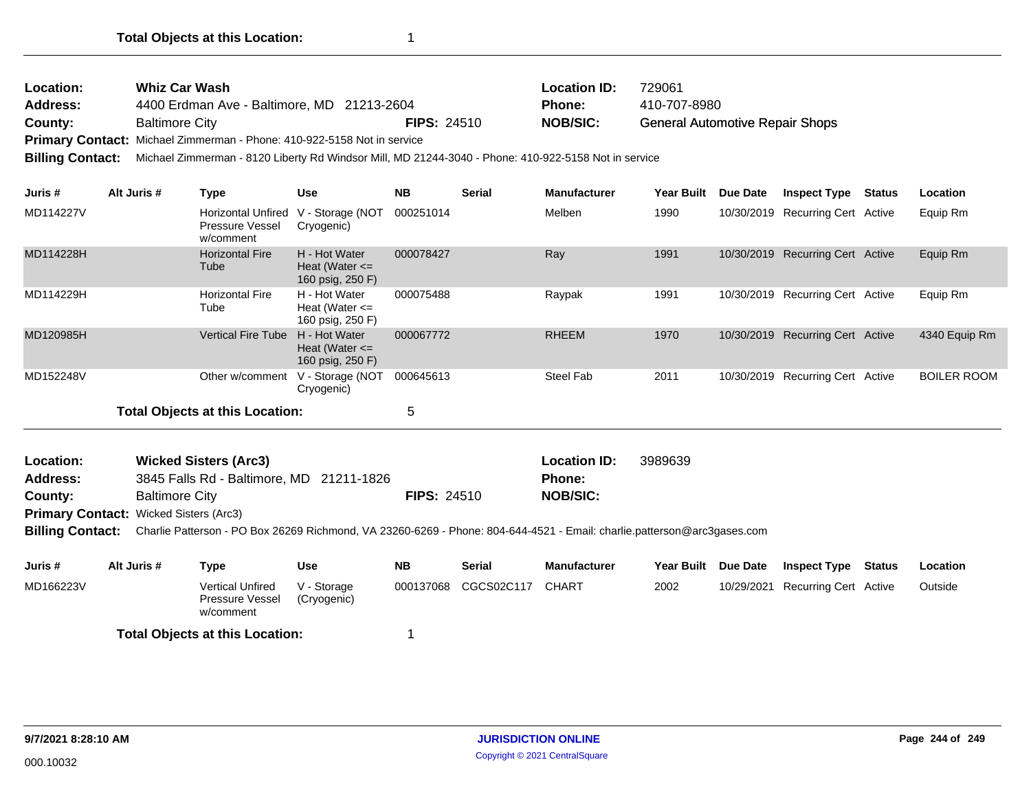| Location:<br><b>Address:</b><br>County:<br><b>Billing Contact:</b>                       |  | <b>Whiz Car Wash</b><br><b>Baltimore City</b> | 4400 Erdman Ave - Baltimore, MD 21213-2604<br>Primary Contact: Michael Zimmerman - Phone: 410-922-5158 Not in service<br>Michael Zimmerman - 8120 Liberty Rd Windsor Mill, MD 21244-3040 - Phone: 410-922-5158 Not in service |                                                         | <b>FIPS: 24510</b> |               | <b>Location ID:</b><br>Phone:<br><b>NOB/SIC:</b> | 729061<br>410-707-8980<br><b>General Automotive Repair Shops</b> |                 |                                  |                    |
|------------------------------------------------------------------------------------------|--|-----------------------------------------------|-------------------------------------------------------------------------------------------------------------------------------------------------------------------------------------------------------------------------------|---------------------------------------------------------|--------------------|---------------|--------------------------------------------------|------------------------------------------------------------------|-----------------|----------------------------------|--------------------|
| Juris #                                                                                  |  | Alt Juris #                                   | <b>Type</b>                                                                                                                                                                                                                   | <b>Use</b>                                              | <b>NB</b>          | <b>Serial</b> | <b>Manufacturer</b>                              | <b>Year Built</b>                                                | <b>Due Date</b> | <b>Inspect Type Status</b>       | Location           |
| MD114227V                                                                                |  |                                               | Pressure Vessel<br>w/comment                                                                                                                                                                                                  | Horizontal Unfired V - Storage (NOT<br>Cryogenic)       | 000251014          |               | Melben                                           | 1990                                                             |                 | 10/30/2019 Recurring Cert Active | Equip Rm           |
| MD114228H                                                                                |  |                                               | <b>Horizontal Fire</b><br>Tube                                                                                                                                                                                                | H - Hot Water<br>Heat (Water $\leq$<br>160 psig, 250 F) | 000078427          |               | Ray                                              | 1991                                                             |                 | 10/30/2019 Recurring Cert Active | Equip Rm           |
| MD114229H                                                                                |  |                                               | <b>Horizontal Fire</b><br>Tube                                                                                                                                                                                                | H - Hot Water<br>Heat (Water $\leq$<br>160 psig, 250 F) | 000075488          |               | Raypak                                           | 1991                                                             |                 | 10/30/2019 Recurring Cert Active | Equip Rm           |
| MD120985H                                                                                |  |                                               | <b>Vertical Fire Tube</b>                                                                                                                                                                                                     | H - Hot Water<br>Heat (Water $\leq$<br>160 psig, 250 F) | 000067772          |               | <b>RHEEM</b>                                     | 1970                                                             |                 | 10/30/2019 Recurring Cert Active | 4340 Equip Rm      |
| MD152248V                                                                                |  |                                               | Other w/comment V - Storage (NOT                                                                                                                                                                                              | Cryogenic)                                              | 000645613          |               | Steel Fab                                        | 2011                                                             |                 | 10/30/2019 Recurring Cert Active | <b>BOILER ROOM</b> |
|                                                                                          |  |                                               | <b>Total Objects at this Location:</b>                                                                                                                                                                                        |                                                         | 5                  |               |                                                  |                                                                  |                 |                                  |                    |
| Location:<br><b>Address:</b><br>County:<br><b>Primary Contact: Wicked Sisters (Arc3)</b> |  | <b>Baltimore City</b>                         | <b>Wicked Sisters (Arc3)</b><br>3845 Falls Rd - Baltimore, MD 21211-1826                                                                                                                                                      |                                                         | <b>FIPS: 24510</b> |               | <b>Location ID:</b><br>Phone:<br><b>NOB/SIC:</b> | 3989639                                                          |                 |                                  |                    |
|                                                                                          |  |                                               | Billing Contact: Charlie Patterson - PO Box 26269 Richmond, VA 23260-6269 - Phone: 804-644-4521 - Email: charlie.patterson@arc3gases.com                                                                                      |                                                         |                    |               |                                                  |                                                                  |                 |                                  |                    |
| Juris #                                                                                  |  | Alt Juris #                                   | <b>Type</b>                                                                                                                                                                                                                   | <b>Use</b>                                              | <b>NB</b>          | <b>Serial</b> | <b>Manufacturer</b>                              | Year Built Due Date                                              |                 | <b>Inspect Type Status</b>       | Location           |
| MD166223V                                                                                |  |                                               | <b>Vertical Unfired</b><br>Pressure Vessel<br>w/comment                                                                                                                                                                       | V - Storage<br>(Cryogenic)                              | 000137068          | CGCS02C117    | CHART                                            | 2002                                                             |                 | 10/29/2021 Recurring Cert Active | Outside            |
|                                                                                          |  |                                               | <b>Total Objects at this Location:</b>                                                                                                                                                                                        |                                                         | -1                 |               |                                                  |                                                                  |                 |                                  |                    |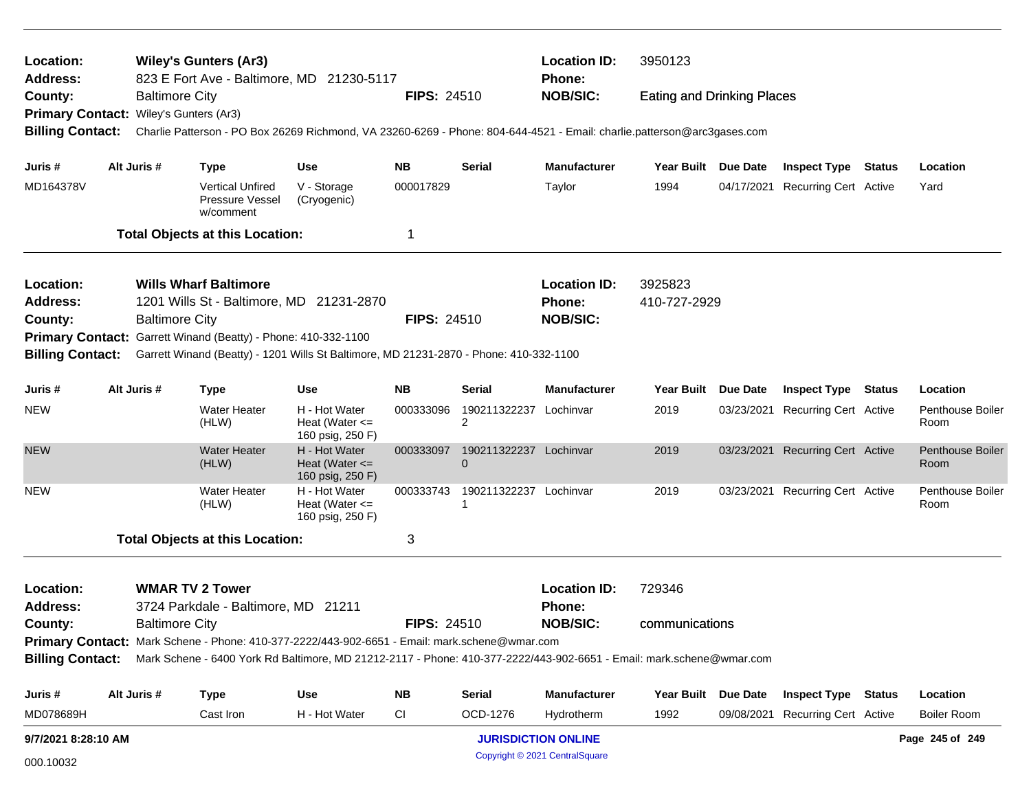| Location:<br>Address:              |                                                                 | <b>Wiley's Gunters (Ar3)</b><br>823 E Fort Ave - Baltimore, MD 21230-5117                                                                                                                                             |                                                         |                    |                              | <b>Location ID:</b><br><b>Phone:</b>                    | 3950123                           |                     |                                  |                                 |
|------------------------------------|-----------------------------------------------------------------|-----------------------------------------------------------------------------------------------------------------------------------------------------------------------------------------------------------------------|---------------------------------------------------------|--------------------|------------------------------|---------------------------------------------------------|-----------------------------------|---------------------|----------------------------------|---------------------------------|
| County:<br><b>Billing Contact:</b> | <b>Baltimore City</b><br>Primary Contact: Wiley's Gunters (Ar3) | Charlie Patterson - PO Box 26269 Richmond, VA 23260-6269 - Phone: 804-644-4521 - Email: charlie.patterson@arc3gases.com                                                                                               |                                                         | <b>FIPS: 24510</b> |                              | <b>NOB/SIC:</b>                                         | <b>Eating and Drinking Places</b> |                     |                                  |                                 |
| Juris #                            | Alt Juris #                                                     | <b>Type</b>                                                                                                                                                                                                           | <b>Use</b>                                              | <b>NB</b>          | <b>Serial</b>                | Manufacturer                                            | Year Built Due Date               |                     | <b>Inspect Type Status</b>       | Location                        |
| MD164378V                          |                                                                 | <b>Vertical Unfired</b><br><b>Pressure Vessel</b><br>w/comment                                                                                                                                                        | V - Storage<br>(Cryogenic)                              | 000017829          |                              | Taylor                                                  | 1994                              |                     | 04/17/2021 Recurring Cert Active | Yard                            |
|                                    |                                                                 | <b>Total Objects at this Location:</b>                                                                                                                                                                                |                                                         | 1                  |                              |                                                         |                                   |                     |                                  |                                 |
| Location:<br>Address:<br>County:   | <b>Baltimore City</b>                                           | <b>Wills Wharf Baltimore</b><br>1201 Wills St - Baltimore, MD 21231-2870<br>Primary Contact: Garrett Winand (Beatty) - Phone: 410-332-1100                                                                            |                                                         | <b>FIPS: 24510</b> |                              | <b>Location ID:</b><br><b>Phone:</b><br><b>NOB/SIC:</b> | 3925823<br>410-727-2929           |                     |                                  |                                 |
| <b>Billing Contact:</b>            |                                                                 | Garrett Winand (Beatty) - 1201 Wills St Baltimore, MD 21231-2870 - Phone: 410-332-1100                                                                                                                                |                                                         |                    |                              |                                                         |                                   |                     |                                  |                                 |
| Juris #                            | Alt Juris #                                                     | <b>Type</b>                                                                                                                                                                                                           | <b>Use</b>                                              | <b>NB</b>          | Serial                       | <b>Manufacturer</b>                                     | <b>Year Built</b>                 | Due Date            | <b>Inspect Type Status</b>       | Location                        |
| NEW                                |                                                                 | <b>Water Heater</b><br>(HLW)                                                                                                                                                                                          | H - Hot Water<br>Heat (Water $\leq$<br>160 psig, 250 F) | 000333096          | 190211322237<br>2            | Lochinvar                                               | 2019                              | 03/23/2021          | <b>Recurring Cert Active</b>     | Penthouse Boiler<br>Room        |
| <b>NEW</b>                         |                                                                 | <b>Water Heater</b><br>(HLW)                                                                                                                                                                                          | H - Hot Water<br>Heat (Water $\leq$<br>160 psig, 250 F) | 000333097          | 190211322237<br>$\mathbf 0$  | Lochinvar                                               | 2019                              |                     | 03/23/2021 Recurring Cert Active | <b>Penthouse Boiler</b><br>Room |
| <b>NEW</b>                         |                                                                 | <b>Water Heater</b><br>(HLW)                                                                                                                                                                                          | H - Hot Water<br>Heat (Water $\leq$<br>160 psig, 250 F) | 000333743          | 190211322237 Lochinvar<br>-1 |                                                         | 2019                              |                     | 03/23/2021 Recurring Cert Active | Penthouse Boiler<br>Room        |
|                                    |                                                                 | <b>Total Objects at this Location:</b>                                                                                                                                                                                |                                                         | 3                  |                              |                                                         |                                   |                     |                                  |                                 |
| Location:<br><b>Address:</b>       |                                                                 | <b>WMAR TV 2 Tower</b><br>3724 Parkdale - Baltimore, MD 21211                                                                                                                                                         |                                                         |                    |                              | <b>Location ID:</b><br>Phone:                           | 729346                            |                     |                                  |                                 |
| County:                            | <b>Baltimore City</b>                                           |                                                                                                                                                                                                                       |                                                         | <b>FIPS: 24510</b> |                              | <b>NOB/SIC:</b>                                         | communications                    |                     |                                  |                                 |
| <b>Billing Contact:</b>            |                                                                 | Primary Contact: Mark Schene - Phone: 410-377-2222/443-902-6651 - Email: mark.schene@wmar.com<br>Mark Schene - 6400 York Rd Baltimore, MD 21212-2117 - Phone: 410-377-2222/443-902-6651 - Email: mark.schene@wmar.com |                                                         |                    |                              |                                                         |                                   |                     |                                  |                                 |
| Juris #                            | Alt Juris #                                                     | <b>Type</b>                                                                                                                                                                                                           | <b>Use</b>                                              | <b>NB</b>          | <b>Serial</b>                | <b>Manufacturer</b>                                     |                                   | Year Built Due Date | <b>Inspect Type Status</b>       | Location                        |
| MD078689H                          |                                                                 | Cast Iron                                                                                                                                                                                                             | H - Hot Water                                           | <b>CI</b>          | OCD-1276                     | Hydrotherm                                              | 1992                              | 09/08/2021          | <b>Recurring Cert Active</b>     | <b>Boiler Room</b>              |
| 9/7/2021 8:28:10 AM                |                                                                 |                                                                                                                                                                                                                       |                                                         |                    |                              | <b>JURISDICTION ONLINE</b>                              |                                   |                     |                                  | Page 245 of 249                 |
| 000.10032                          |                                                                 |                                                                                                                                                                                                                       |                                                         |                    |                              | Copyright © 2021 CentralSquare                          |                                   |                     |                                  |                                 |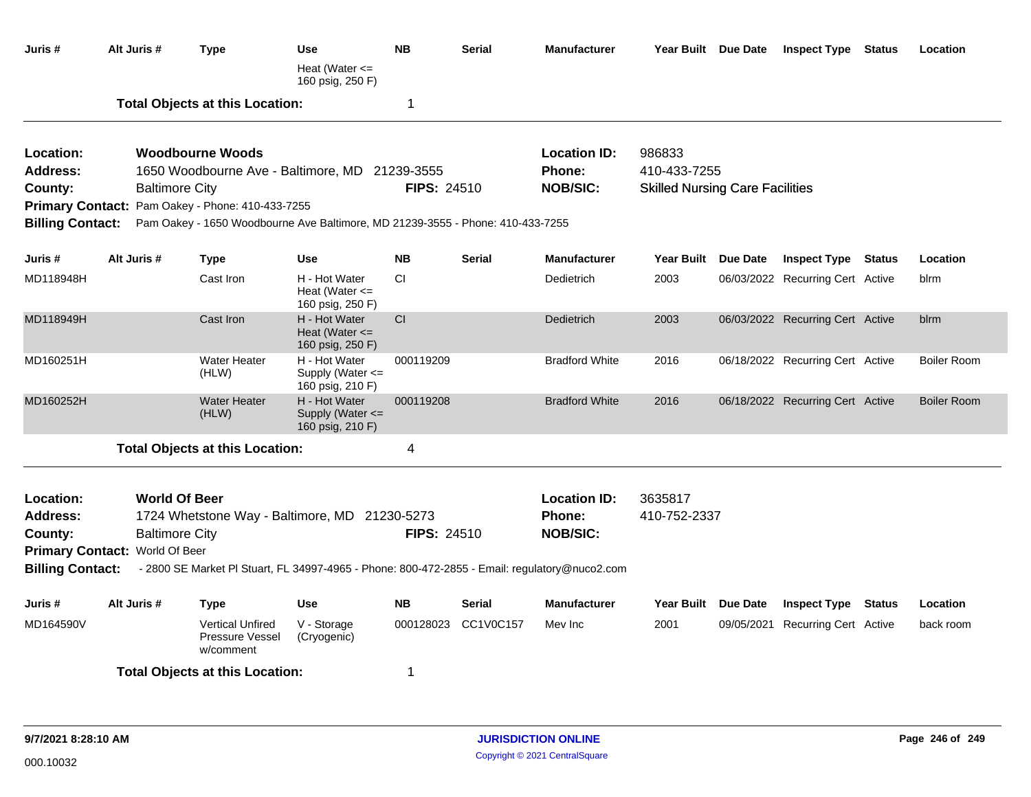| Juris #                                                            | Alt Juris #                                                                                                                                                                                                                                                                                                                                                                         | Type                                                                   | <b>Use</b><br>Heat (Water $\leq$<br>160 psig, 250 F)  | <b>NB</b>    | <b>Serial</b>                                    | <b>Manufacturer</b>                                     | Year Built Due Date                                              |                 | <b>Inspect Type Status</b>       |               | Location           |
|--------------------------------------------------------------------|-------------------------------------------------------------------------------------------------------------------------------------------------------------------------------------------------------------------------------------------------------------------------------------------------------------------------------------------------------------------------------------|------------------------------------------------------------------------|-------------------------------------------------------|--------------|--------------------------------------------------|---------------------------------------------------------|------------------------------------------------------------------|-----------------|----------------------------------|---------------|--------------------|
|                                                                    |                                                                                                                                                                                                                                                                                                                                                                                     | <b>Total Objects at this Location:</b>                                 |                                                       | $\mathbf{1}$ |                                                  |                                                         |                                                                  |                 |                                  |               |                    |
| <b>Location:</b><br>Address:<br>County:<br><b>Billing Contact:</b> | <b>Woodbourne Woods</b><br>1650 Woodbourne Ave - Baltimore, MD 21239-3555<br><b>FIPS: 24510</b><br><b>Baltimore City</b><br>Primary Contact: Pam Oakey - Phone: 410-433-7255<br>Pam Oakey - 1650 Woodbourne Ave Baltimore, MD 21239-3555 - Phone: 410-433-7255<br><b>NB</b><br>Alt Juris #<br><b>Type</b><br><b>Use</b><br><b>Serial</b><br>Cast Iron<br>H - Hot Water<br><b>CI</b> |                                                                        |                                                       |              |                                                  | <b>Location ID:</b><br><b>Phone:</b><br><b>NOB/SIC:</b> | 986833<br>410-433-7255<br><b>Skilled Nursing Care Facilities</b> |                 |                                  |               |                    |
| Juris #                                                            |                                                                                                                                                                                                                                                                                                                                                                                     |                                                                        |                                                       |              |                                                  | <b>Manufacturer</b>                                     | Year Built Due Date                                              |                 | <b>Inspect Type</b>              | <b>Status</b> | Location           |
| MD118948H                                                          |                                                                                                                                                                                                                                                                                                                                                                                     |                                                                        | Heat (Water $\leq$<br>160 psig, 250 F)                |              |                                                  | <b>Dedietrich</b>                                       | 2003                                                             |                 | 06/03/2022 Recurring Cert Active |               | blrm               |
| MD118949H                                                          |                                                                                                                                                                                                                                                                                                                                                                                     | Cast Iron                                                              | H - Hot Water<br>Heat (Water <=<br>160 psig, 250 F)   | CI           |                                                  | <b>Dedietrich</b>                                       | 2003                                                             |                 | 06/03/2022 Recurring Cert Active |               | <b>b</b> lrm       |
| MD160251H                                                          |                                                                                                                                                                                                                                                                                                                                                                                     | <b>Water Heater</b><br>(HLW)                                           | H - Hot Water<br>Supply (Water <=<br>160 psig, 210 F) | 000119209    |                                                  | <b>Bradford White</b>                                   | 2016                                                             |                 | 06/18/2022 Recurring Cert Active |               | <b>Boiler Room</b> |
| MD160252H                                                          |                                                                                                                                                                                                                                                                                                                                                                                     | <b>Water Heater</b><br>(HLW)                                           | H - Hot Water<br>Supply (Water <=<br>160 psig, 210 F) | 000119208    |                                                  | <b>Bradford White</b>                                   | 2016                                                             |                 | 06/18/2022 Recurring Cert Active |               | <b>Boiler Room</b> |
|                                                                    |                                                                                                                                                                                                                                                                                                                                                                                     |                                                                        |                                                       | 4            |                                                  |                                                         |                                                                  |                 |                                  |               |                    |
| Location:<br><b>Address:</b><br>County:<br><b>Billing Contact:</b> | <b>Total Objects at this Location:</b><br><b>World Of Beer</b><br>1724 Whetstone Way - Baltimore, MD 21230-5273<br>FIPS: 24510<br><b>Baltimore City</b><br>Primary Contact: World Of Beer<br>- 2800 SE Market PI Stuart, FL 34997-4965 - Phone: 800-472-2855 - Email: regulatory@nuco2.com                                                                                          |                                                                        |                                                       |              | <b>Location ID:</b><br>Phone:<br><b>NOB/SIC:</b> | 3635817<br>410-752-2337                                 |                                                                  |                 |                                  |               |                    |
| Juris #                                                            | Alt Juris #                                                                                                                                                                                                                                                                                                                                                                         |                                                                        | <b>Use</b>                                            | <b>NB</b>    | <b>Serial</b>                                    | <b>Manufacturer</b>                                     | <b>Year Built</b>                                                | <b>Due Date</b> | <b>Inspect Type</b>              |               | Location           |
| MD164590V                                                          |                                                                                                                                                                                                                                                                                                                                                                                     | <b>Type</b><br><b>Vertical Unfired</b><br>Pressure Vessel<br>w/comment | V - Storage<br>(Cryogenic)                            | 000128023    | CC1V0C157                                        | Mev Inc                                                 | 2001                                                             |                 | 09/05/2021 Recurring Cert Active | Status        | back room          |
|                                                                    |                                                                                                                                                                                                                                                                                                                                                                                     | <b>Total Objects at this Location:</b>                                 |                                                       | 1            |                                                  |                                                         |                                                                  |                 |                                  |               |                    |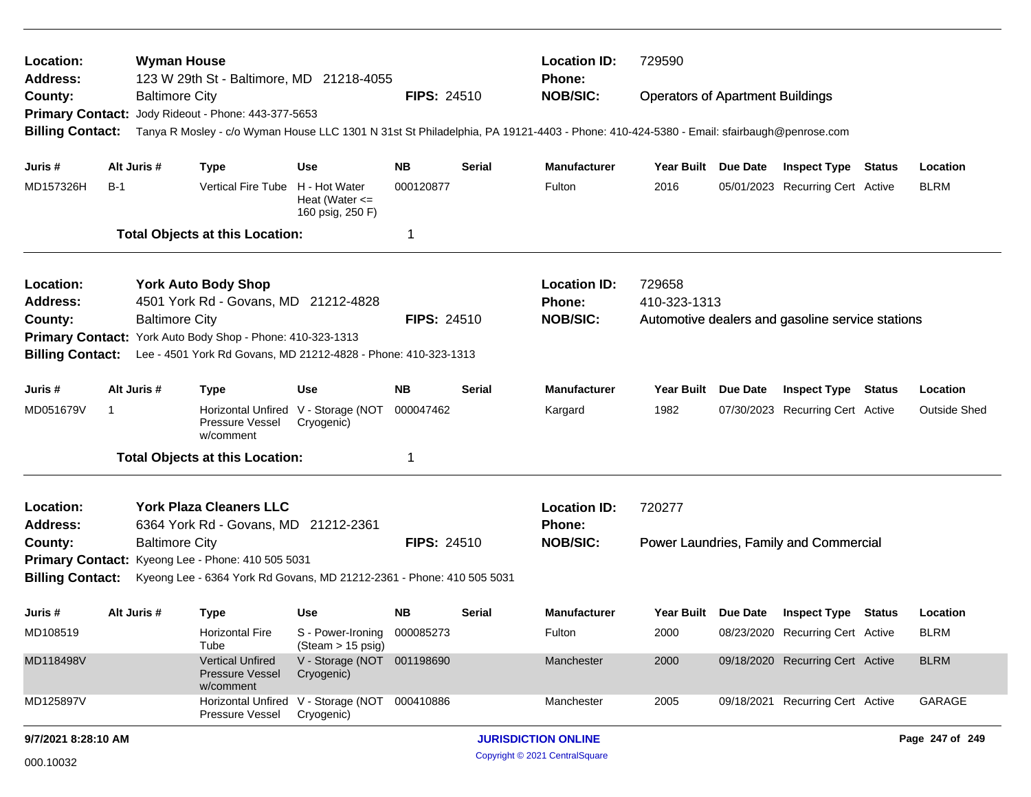| Location:<br>Address:   |                            | <b>Wyman House</b>    | 123 W 29th St - Baltimore, MD 21218-4055                              |                                                             |                        |               | <b>Location ID:</b><br><b>Phone:</b>                                                                                                  | 729590                                  |          |                                                         |        |                                 |
|-------------------------|----------------------------|-----------------------|-----------------------------------------------------------------------|-------------------------------------------------------------|------------------------|---------------|---------------------------------------------------------------------------------------------------------------------------------------|-----------------------------------------|----------|---------------------------------------------------------|--------|---------------------------------|
| County:                 |                            | <b>Baltimore City</b> |                                                                       |                                                             | <b>FIPS: 24510</b>     |               | <b>NOB/SIC:</b>                                                                                                                       | <b>Operators of Apartment Buildings</b> |          |                                                         |        |                                 |
| <b>Billing Contact:</b> |                            |                       | Primary Contact: Jody Rideout - Phone: 443-377-5653                   |                                                             |                        |               | Tanya R Mosley - c/o Wyman House LLC 1301 N 31st St Philadelphia, PA 19121-4403 - Phone: 410-424-5380 - Email: sfairbaugh@penrose.com |                                         |          |                                                         |        |                                 |
|                         |                            |                       |                                                                       |                                                             |                        |               |                                                                                                                                       |                                         |          |                                                         |        |                                 |
| Juris #                 | Alt Juris #                |                       | <b>Type</b>                                                           | <b>Use</b>                                                  | NB.                    | <b>Serial</b> | Manufacturer                                                                                                                          | Year Built Due Date                     |          | <b>Inspect Type Status</b>                              |        | Location                        |
| MD157326H               | $B-1$                      |                       | <b>Vertical Fire Tube</b>                                             | H - Hot Water<br>Heat (Water $\leq$<br>160 psig, 250 F)     | 000120877              |               | Fulton                                                                                                                                | 2016                                    |          | 05/01/2023 Recurring Cert Active                        |        | <b>BLRM</b>                     |
|                         |                            |                       | <b>Total Objects at this Location:</b>                                |                                                             |                        |               |                                                                                                                                       |                                         |          |                                                         |        |                                 |
| Location:               |                            |                       | <b>York Auto Body Shop</b>                                            |                                                             |                        |               | <b>Location ID:</b>                                                                                                                   | 729658                                  |          |                                                         |        |                                 |
| <b>Address:</b>         |                            |                       | 4501 York Rd - Govans, MD 21212-4828                                  |                                                             |                        |               | <b>Phone:</b>                                                                                                                         | 410-323-1313                            |          |                                                         |        |                                 |
| County:                 |                            | <b>Baltimore City</b> | Primary Contact: York Auto Body Shop - Phone: 410-323-1313            |                                                             | <b>FIPS: 24510</b>     |               | <b>NOB/SIC:</b>                                                                                                                       |                                         |          | Automotive dealers and gasoline service stations        |        |                                 |
| <b>Billing Contact:</b> |                            |                       | Lee - 4501 York Rd Govans, MD 21212-4828 - Phone: 410-323-1313        |                                                             |                        |               |                                                                                                                                       |                                         |          |                                                         |        |                                 |
|                         |                            |                       |                                                                       |                                                             |                        |               |                                                                                                                                       |                                         |          |                                                         |        |                                 |
| Juris #<br>MD051679V    | Alt Juris #<br>$\mathbf 1$ |                       | <b>Type</b><br>Horizontal Unfired V - Storage (NOT                    | <b>Use</b>                                                  | <b>NB</b><br>000047462 | <b>Serial</b> | <b>Manufacturer</b><br>Kargard                                                                                                        | Year Built<br>1982                      | Due Date | <b>Inspect Type</b><br>07/30/2023 Recurring Cert Active | Status | Location<br><b>Outside Shed</b> |
|                         |                            |                       | Pressure Vessel<br>w/comment                                          | Cryogenic)                                                  |                        |               |                                                                                                                                       |                                         |          |                                                         |        |                                 |
|                         |                            |                       | <b>Total Objects at this Location:</b>                                |                                                             | 1                      |               |                                                                                                                                       |                                         |          |                                                         |        |                                 |
| Location:               |                            |                       | <b>York Plaza Cleaners LLC</b>                                        |                                                             |                        |               | <b>Location ID:</b>                                                                                                                   | 720277                                  |          |                                                         |        |                                 |
| Address:                |                            |                       | 6364 York Rd - Govans, MD 21212-2361                                  |                                                             |                        |               | <b>Phone:</b>                                                                                                                         |                                         |          |                                                         |        |                                 |
| County:                 |                            | <b>Baltimore City</b> | Primary Contact: Kyeong Lee - Phone: 410 505 5031                     |                                                             | <b>FIPS: 24510</b>     |               | <b>NOB/SIC:</b>                                                                                                                       |                                         |          | Power Laundries, Family and Commercial                  |        |                                 |
| <b>Billing Contact:</b> |                            |                       | Kyeong Lee - 6364 York Rd Govans, MD 21212-2361 - Phone: 410 505 5031 |                                                             |                        |               |                                                                                                                                       |                                         |          |                                                         |        |                                 |
| Juris #                 | Alt Juris #                |                       | <b>Type</b>                                                           | <b>Use</b>                                                  | NB.                    | <b>Serial</b> | Manufacturer                                                                                                                          | Year Built Due Date                     |          | <b>Inspect Type Status</b>                              |        | Location                        |
| MD108519                |                            |                       | Horizontal Fire<br>Tube                                               | S - Power-Ironing 000085273<br>(Steam > 15 psig)            |                        |               | Fulton                                                                                                                                | 2000                                    |          | 08/23/2020 Recurring Cert Active                        |        | <b>BLRM</b>                     |
| MD118498V               |                            |                       | <b>Vertical Unfired</b><br><b>Pressure Vessel</b><br>w/comment        | V - Storage (NOT 001198690<br>Cryogenic)                    |                        |               | Manchester                                                                                                                            | 2000                                    |          | 09/18/2020 Recurring Cert Active                        |        | <b>BLRM</b>                     |
| MD125897V               |                            |                       | Pressure Vessel                                                       | Horizontal Unfired V - Storage (NOT 000410886<br>Cryogenic) |                        |               | Manchester                                                                                                                            | 2005                                    |          | 09/18/2021 Recurring Cert Active                        |        | GARAGE                          |
| 9/7/2021 8:28:10 AM     |                            |                       |                                                                       |                                                             |                        |               | <b>JURISDICTION ONLINE</b>                                                                                                            |                                         |          |                                                         |        | Page 247 of 249                 |
| 000.10032               |                            |                       |                                                                       |                                                             |                        |               | Copyright © 2021 CentralSquare                                                                                                        |                                         |          |                                                         |        |                                 |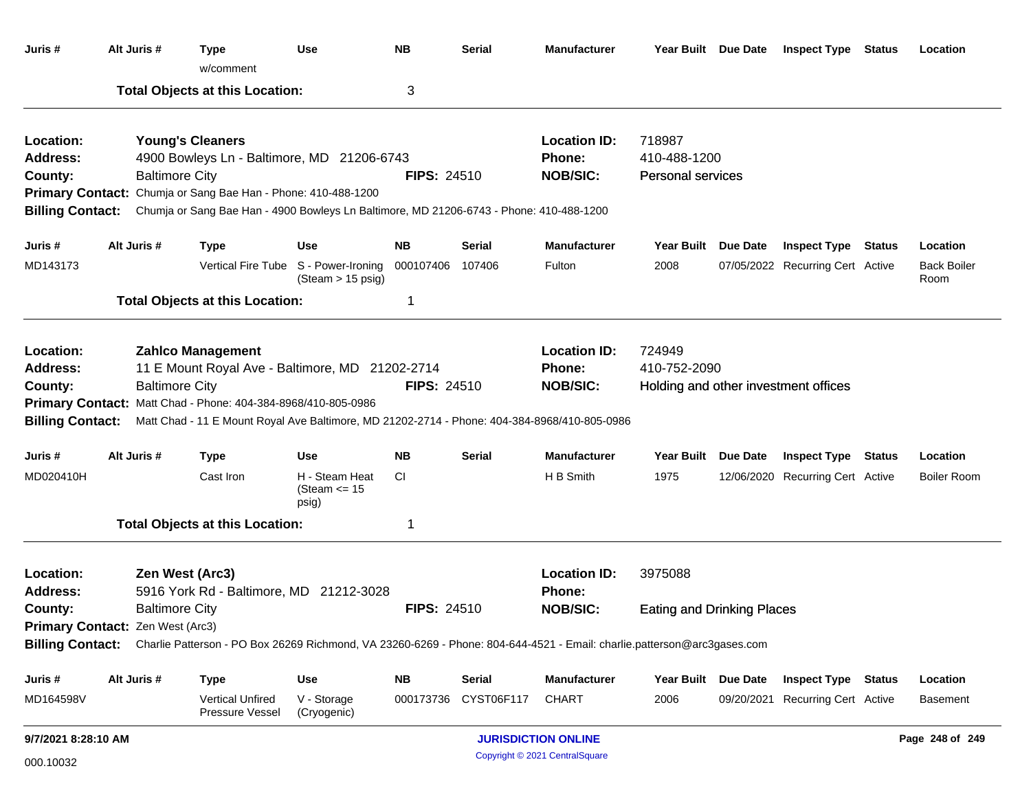| Juris #                      | Alt Juris #                      | Type<br>w/comment                                                                                                                        | <b>Use</b>                                                | <b>NB</b>          | <b>Serial</b> | <b>Manufacturer</b>           |                                   | Year Built Due Date | <b>Inspect Type Status</b>           | Location                   |
|------------------------------|----------------------------------|------------------------------------------------------------------------------------------------------------------------------------------|-----------------------------------------------------------|--------------------|---------------|-------------------------------|-----------------------------------|---------------------|--------------------------------------|----------------------------|
|                              |                                  | <b>Total Objects at this Location:</b>                                                                                                   |                                                           | 3                  |               |                               |                                   |                     |                                      |                            |
| Location:<br><b>Address:</b> |                                  | <b>Young's Cleaners</b><br>4900 Bowleys Ln - Baltimore, MD 21206-6743                                                                    |                                                           |                    |               | <b>Location ID:</b><br>Phone: | 718987<br>410-488-1200            |                     |                                      |                            |
| County:                      | <b>Baltimore City</b>            | Primary Contact: Chumja or Sang Bae Han - Phone: 410-488-1200                                                                            |                                                           | <b>FIPS: 24510</b> |               | <b>NOB/SIC:</b>               | <b>Personal services</b>          |                     |                                      |                            |
| <b>Billing Contact:</b>      |                                  | Chumja or Sang Bae Han - 4900 Bowleys Ln Baltimore, MD 21206-6743 - Phone: 410-488-1200                                                  |                                                           |                    |               |                               |                                   |                     |                                      |                            |
| Juris #                      | Alt Juris #                      | <b>Type</b>                                                                                                                              | <b>Use</b>                                                | <b>NB</b>          | <b>Serial</b> | <b>Manufacturer</b>           | Year Built Due Date               |                     | <b>Inspect Type Status</b>           | Location                   |
| MD143173                     |                                  |                                                                                                                                          | Vertical Fire Tube S - Power-Ironing<br>(Steam > 15 psig) | 000107406          | 107406        | Fulton                        | 2008                              |                     | 07/05/2022 Recurring Cert Active     | <b>Back Boiler</b><br>Room |
|                              |                                  | <b>Total Objects at this Location:</b>                                                                                                   |                                                           | 1                  |               |                               |                                   |                     |                                      |                            |
| Location:<br><b>Address:</b> |                                  | <b>Zahlco Management</b><br>11 E Mount Royal Ave - Baltimore, MD 21202-2714                                                              |                                                           |                    |               | <b>Location ID:</b><br>Phone: | 724949<br>410-752-2090            |                     |                                      |                            |
| County:                      | <b>Baltimore City</b>            |                                                                                                                                          |                                                           | <b>FIPS: 24510</b> |               | <b>NOB/SIC:</b>               |                                   |                     | Holding and other investment offices |                            |
|                              |                                  | Primary Contact: Matt Chad - Phone: 404-384-8968/410-805-0986                                                                            |                                                           |                    |               |                               |                                   |                     |                                      |                            |
| <b>Billing Contact:</b>      |                                  | Matt Chad - 11 E Mount Royal Ave Baltimore, MD 21202-2714 - Phone: 404-384-8968/410-805-0986                                             |                                                           |                    |               |                               |                                   |                     |                                      |                            |
| Juris #                      | Alt Juris #                      | <b>Type</b>                                                                                                                              | Use                                                       | <b>NB</b>          | <b>Serial</b> | <b>Manufacturer</b>           |                                   | Year Built Due Date | <b>Inspect Type Status</b>           | Location                   |
| MD020410H                    |                                  | Cast Iron                                                                                                                                | H - Steam Heat<br>(Steam $\le$ 15<br>psig)                | <b>CI</b>          |               | H B Smith                     | 1975                              |                     | 12/06/2020 Recurring Cert Active     | <b>Boiler Room</b>         |
|                              |                                  | <b>Total Objects at this Location:</b>                                                                                                   |                                                           | 1                  |               |                               |                                   |                     |                                      |                            |
| Location:                    |                                  | Zen West (Arc3)                                                                                                                          |                                                           |                    |               | <b>Location ID:</b>           | 3975088                           |                     |                                      |                            |
| <b>Address:</b>              |                                  | 5916 York Rd - Baltimore, MD 21212-3028                                                                                                  |                                                           |                    | <b>Phone:</b> |                               |                                   |                     |                                      |                            |
| County:                      | <b>Baltimore City</b>            |                                                                                                                                          |                                                           | <b>FIPS: 24510</b> |               | <b>NOB/SIC:</b>               | <b>Eating and Drinking Places</b> |                     |                                      |                            |
|                              | Primary Contact: Zen West (Arc3) |                                                                                                                                          |                                                           |                    |               |                               |                                   |                     |                                      |                            |
|                              |                                  | Billing Contact: Charlie Patterson - PO Box 26269 Richmond, VA 23260-6269 - Phone: 804-644-4521 - Email: charlie.patterson@arc3gases.com |                                                           |                    |               |                               |                                   |                     |                                      |                            |
| Juris #                      | Alt Juris #                      | <b>Type</b>                                                                                                                              | <b>Use</b>                                                | <b>NB</b>          | <b>Serial</b> | <b>Manufacturer</b>           | Year Built Due Date               |                     | <b>Inspect Type Status</b>           | Location                   |
| MD164598V                    |                                  | Vertical Unfired<br>Pressure Vessel                                                                                                      | V - Storage<br>(Cryogenic)                                | 000173736          | CYST06F117    | <b>CHART</b>                  | 2006                              | 09/20/2021          | <b>Recurring Cert Active</b>         | <b>Basement</b>            |
| 9/7/2021 8:28:10 AM          |                                  |                                                                                                                                          |                                                           |                    |               | <b>JURISDICTION ONLINE</b>    |                                   |                     |                                      | Page 248 of 249            |